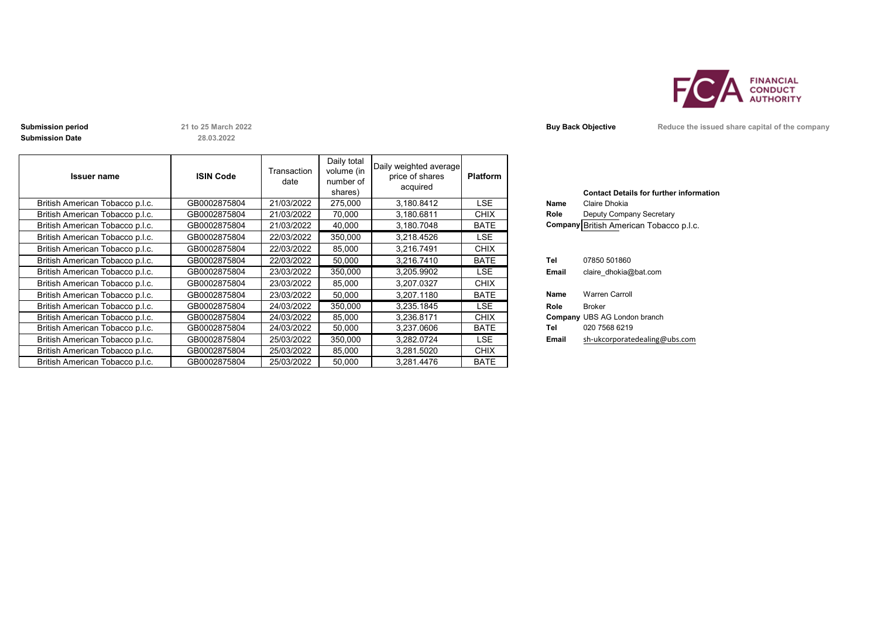

**Submission Date**

**28.03.2022**

| <b>Issuer name</b>              | <b>ISIN Code</b> | Transaction<br>date | Daily total<br>volume (in<br>number of<br>shares) | Daily weighted average<br>price of shares<br>acquired | <b>Platform</b> |       | <b>Contact Details for further inforn</b> |
|---------------------------------|------------------|---------------------|---------------------------------------------------|-------------------------------------------------------|-----------------|-------|-------------------------------------------|
| British American Tobacco p.l.c. | GB0002875804     | 21/03/2022          | 275,000                                           | 3.180.8412                                            | LSE             | Name  | Claire Dhokia                             |
| British American Tobacco p.l.c. | GB0002875804     | 21/03/2022          | 70,000                                            | 3,180.6811                                            | <b>CHIX</b>     | Role  | Deputy Company Secretary                  |
| British American Tobacco p.l.c. | GB0002875804     | 21/03/2022          | 40,000                                            | 3,180.7048                                            | <b>BATE</b>     |       | Company British American Tobacco p.l.c.   |
| British American Tobacco p.l.c. | GB0002875804     | 22/03/2022          | 350,000                                           | 3,218.4526                                            | LSE             |       |                                           |
| British American Tobacco p.l.c. | GB0002875804     | 22/03/2022          | 85,000                                            | 3,216.7491                                            | <b>CHIX</b>     |       |                                           |
| British American Tobacco p.l.c. | GB0002875804     | 22/03/2022          | 50,000                                            | 3,216.7410                                            | <b>BATE</b>     | Tel   | 07850 501860                              |
| British American Tobacco p.l.c. | GB0002875804     | 23/03/2022          | 350,000                                           | 3,205.9902                                            | LSE             | Email | claire dhokia@bat.com                     |
| British American Tobacco p.l.c. | GB0002875804     | 23/03/2022          | 85,000                                            | 3,207.0327                                            | <b>CHIX</b>     |       |                                           |
| British American Tobacco p.l.c. | GB0002875804     | 23/03/2022          | 50,000                                            | 3,207.1180                                            | <b>BATE</b>     | Name  | <b>Warren Carroll</b>                     |
| British American Tobacco p.l.c. | GB0002875804     | 24/03/2022          | 350,000                                           | 3,235.1845                                            | LSE.            | Role  | <b>Broker</b>                             |
| British American Tobacco p.l.c. | GB0002875804     | 24/03/2022          | 85,000                                            | 3,236.8171                                            | <b>CHIX</b>     |       | Company UBS AG London branch              |
| British American Tobacco p.l.c. | GB0002875804     | 24/03/2022          | 50,000                                            | 3,237.0606                                            | <b>BATE</b>     | Tel   | 020 7568 6219                             |
| British American Tobacco p.l.c. | GB0002875804     | 25/03/2022          | 350,000                                           | 3,282.0724                                            | LSE             | Email | sh-ukcorporatedealing@ubs.com             |
| British American Tobacco p.l.c. | GB0002875804     | 25/03/2022          | 85,000                                            | 3,281.5020                                            | <b>CHIX</b>     |       |                                           |
| British American Tobacco p.l.c. | GB0002875804     | 25/03/2022          | 50,000                                            | 3,281.4476                                            | <b>BATE</b>     |       |                                           |

| Name<br>Role | <b>Contact Details for further information</b><br>Claire Dhokia<br>Deputy Company Secretary<br>Company British American Tobacco p.l.c. |
|--------------|----------------------------------------------------------------------------------------------------------------------------------------|
| Tel          | 07850 501860                                                                                                                           |
| Email        | claire dhokia@bat.com                                                                                                                  |
| Name         | <b>Warren Carroll</b>                                                                                                                  |
| Role         | <b>Broker</b>                                                                                                                          |
|              | <b>Company UBS AG London branch</b>                                                                                                    |
| Tel          | 020 7568 6219                                                                                                                          |
| Email        | sh-ukcorporatedealing@ubs.com                                                                                                          |

**Submission period 21 to 25 March 2022 Buy Back Objective Reduce the issued share capital of the company**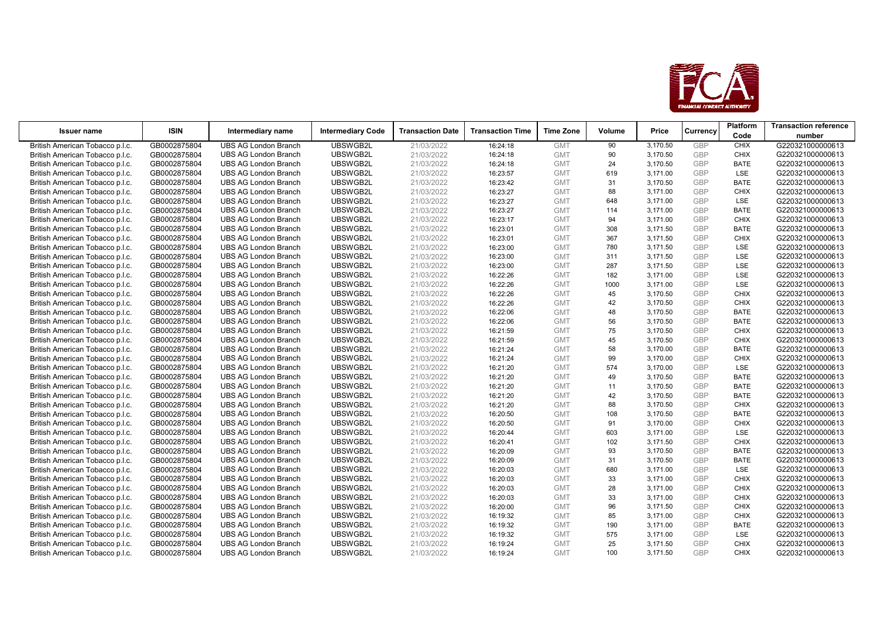

| <b>Issuer name</b>              | <b>ISIN</b>  | Intermediary name           | <b>Intermediary Code</b> | <b>Transaction Date</b> | <b>Transaction Time</b> | <b>Time Zone</b> | Volume | Price    | Currency   | <b>Platform</b> | <b>Transaction reference</b> |
|---------------------------------|--------------|-----------------------------|--------------------------|-------------------------|-------------------------|------------------|--------|----------|------------|-----------------|------------------------------|
|                                 |              |                             |                          |                         |                         |                  |        |          |            | Code            | number                       |
| British American Tobacco p.l.c. | GB0002875804 | <b>UBS AG London Branch</b> | UBSWGB2L                 | 21/03/2022              | 16:24:18                | <b>GMT</b>       | 90     | 3,170.50 | GBP        | <b>CHIX</b>     | G220321000000613             |
| British American Tobacco p.l.c. | GB0002875804 | <b>UBS AG London Branch</b> | UBSWGB2L                 | 21/03/2022              | 16:24:18                | <b>GMT</b>       | 90     | 3,170.50 | <b>GBP</b> | <b>CHIX</b>     | G220321000000613             |
| British American Tobacco p.l.c. | GB0002875804 | <b>UBS AG London Branch</b> | UBSWGB2L                 | 21/03/2022              | 16:24:18                | <b>GMT</b>       | 24     | 3,170.50 | GBP        | <b>BATE</b>     | G220321000000613             |
| British American Tobacco p.l.c. | GB0002875804 | <b>UBS AG London Branch</b> | UBSWGB2L                 | 21/03/2022              | 16:23:57                | <b>GMT</b>       | 619    | 3,171.00 | GBP        | LSE             | G220321000000613             |
| British American Tobacco p.l.c. | GB0002875804 | <b>UBS AG London Branch</b> | UBSWGB2L                 | 21/03/2022              | 16:23:42                | <b>GMT</b>       | 31     | 3,170.50 | <b>GBP</b> | <b>BATE</b>     | G220321000000613             |
| British American Tobacco p.l.c. | GB0002875804 | <b>UBS AG London Branch</b> | UBSWGB2L                 | 21/03/2022              | 16:23:27                | <b>GMT</b>       | 88     | 3,171.00 | GBP        | <b>CHIX</b>     | G220321000000613             |
| British American Tobacco p.l.c. | GB0002875804 | <b>UBS AG London Branch</b> | UBSWGB2L                 | 21/03/2022              | 16:23:27                | <b>GMT</b>       | 648    | 3,171.00 | <b>GBP</b> | <b>LSE</b>      | G220321000000613             |
| British American Tobacco p.l.c. | GB0002875804 | <b>UBS AG London Branch</b> | UBSWGB2L                 | 21/03/2022              | 16:23:27                | <b>GMT</b>       | 114    | 3,171.00 | <b>GBP</b> | <b>BATE</b>     | G220321000000613             |
| British American Tobacco p.l.c. | GB0002875804 | <b>UBS AG London Branch</b> | UBSWGB2L                 | 21/03/2022              | 16:23:17                | <b>GMT</b>       | 94     | 3,171.00 | GBP        | <b>CHIX</b>     | G220321000000613             |
| British American Tobacco p.l.c. | GB0002875804 | <b>UBS AG London Branch</b> | UBSWGB2L                 | 21/03/2022              | 16:23:01                | <b>GMT</b>       | 308    | 3,171.50 | <b>GBP</b> | <b>BATE</b>     | G220321000000613             |
| British American Tobacco p.l.c. | GB0002875804 | <b>UBS AG London Branch</b> | UBSWGB2L                 | 21/03/2022              | 16:23:01                | <b>GMT</b>       | 367    | 3,171.50 | GBP        | <b>CHIX</b>     | G220321000000613             |
| British American Tobacco p.l.c. | GB0002875804 | <b>UBS AG London Branch</b> | UBSWGB2L                 | 21/03/2022              | 16:23:00                | <b>GMT</b>       | 780    | 3,171.50 | <b>GBP</b> | LSE             | G220321000000613             |
| British American Tobacco p.l.c. | GB0002875804 | <b>UBS AG London Branch</b> | UBSWGB2L                 | 21/03/2022              | 16:23:00                | <b>GMT</b>       | 311    | 3,171.50 | <b>GBP</b> | LSE             | G220321000000613             |
| British American Tobacco p.l.c. | GB0002875804 | <b>UBS AG London Branch</b> | UBSWGB2L                 | 21/03/2022              | 16:23:00                | <b>GMT</b>       | 287    | 3,171.50 | GBP        | LSE             | G220321000000613             |
| British American Tobacco p.l.c. | GB0002875804 | <b>UBS AG London Branch</b> | UBSWGB2L                 | 21/03/2022              | 16:22:26                | <b>GMT</b>       | 182    | 3,171.00 | <b>GBP</b> | LSE             | G220321000000613             |
| British American Tobacco p.l.c. | GB0002875804 | <b>UBS AG London Branch</b> | UBSWGB2L                 | 21/03/2022              | 16:22:26                | <b>GMT</b>       | 1000   | 3,171.00 | GBP        | LSE             | G220321000000613             |
| British American Tobacco p.l.c. | GB0002875804 | <b>UBS AG London Branch</b> | UBSWGB2L                 | 21/03/2022              | 16:22:26                | <b>GMT</b>       | 45     | 3,170.50 | <b>GBP</b> | <b>CHIX</b>     | G220321000000613             |
| British American Tobacco p.l.c. | GB0002875804 | <b>UBS AG London Branch</b> | UBSWGB2L                 | 21/03/2022              | 16:22:26                | <b>GMT</b>       | 42     | 3,170.50 | <b>GBP</b> | <b>CHIX</b>     | G220321000000613             |
| British American Tobacco p.l.c. | GB0002875804 | <b>UBS AG London Branch</b> | UBSWGB2L                 | 21/03/2022              | 16:22:06                | <b>GMT</b>       | 48     | 3,170.50 | <b>GBP</b> | <b>BATE</b>     | G220321000000613             |
| British American Tobacco p.l.c. | GB0002875804 | <b>UBS AG London Branch</b> | UBSWGB2L                 | 21/03/2022              | 16:22:06                | <b>GMT</b>       | 56     | 3,170.50 | GBP        | <b>BATE</b>     | G220321000000613             |
| British American Tobacco p.l.c. | GB0002875804 | <b>UBS AG London Branch</b> | UBSWGB2L                 | 21/03/2022              | 16:21:59                | <b>GMT</b>       | 75     | 3,170.50 | GBP        | <b>CHIX</b>     | G220321000000613             |
| British American Tobacco p.l.c. | GB0002875804 | <b>UBS AG London Branch</b> | UBSWGB2L                 | 21/03/2022              | 16:21:59                | <b>GMT</b>       | 45     | 3,170.50 | GBP        | <b>CHIX</b>     | G220321000000613             |
| British American Tobacco p.l.c. | GB0002875804 | <b>UBS AG London Branch</b> | UBSWGB2L                 | 21/03/2022              | 16:21:24                | <b>GMT</b>       | 58     | 3,170.00 | <b>GBP</b> | <b>BATE</b>     | G220321000000613             |
| British American Tobacco p.l.c. | GB0002875804 | <b>UBS AG London Branch</b> | UBSWGB2L                 | 21/03/2022              | 16:21:24                | <b>GMT</b>       | 99     | 3,170.00 | GBP        | <b>CHIX</b>     | G220321000000613             |
| British American Tobacco p.l.c. | GB0002875804 | <b>UBS AG London Branch</b> | UBSWGB2L                 | 21/03/2022              | 16:21:20                | <b>GMT</b>       | 574    | 3,170.00 | <b>GBP</b> | <b>LSE</b>      | G220321000000613             |
| British American Tobacco p.l.c. | GB0002875804 | <b>UBS AG London Branch</b> | UBSWGB2L                 | 21/03/2022              | 16:21:20                | <b>GMT</b>       | 49     | 3,170.50 | <b>GBP</b> | <b>BATE</b>     | G220321000000613             |
| British American Tobacco p.l.c. | GB0002875804 | <b>UBS AG London Branch</b> | UBSWGB2L                 | 21/03/2022              | 16:21:20                | <b>GMT</b>       | 11     | 3,170.50 | <b>GBP</b> | <b>BATE</b>     | G220321000000613             |
| British American Tobacco p.l.c. | GB0002875804 | <b>UBS AG London Branch</b> | UBSWGB2L                 | 21/03/2022              | 16:21:20                | <b>GMT</b>       | 42     | 3,170.50 | <b>GBP</b> | <b>BATE</b>     | G220321000000613             |
| British American Tobacco p.l.c. | GB0002875804 | <b>UBS AG London Branch</b> | UBSWGB2L                 | 21/03/2022              | 16:21:20                | <b>GMT</b>       | 88     | 3,170.50 | GBP        | <b>CHIX</b>     | G220321000000613             |
| British American Tobacco p.l.c. | GB0002875804 | <b>UBS AG London Branch</b> | UBSWGB2L                 | 21/03/2022              | 16:20:50                | <b>GMT</b>       | 108    | 3,170.50 | <b>GBP</b> | <b>BATE</b>     | G220321000000613             |
| British American Tobacco p.l.c. | GB0002875804 | <b>UBS AG London Branch</b> | UBSWGB2L                 | 21/03/2022              | 16:20:50                | <b>GMT</b>       | 91     | 3,170.00 | <b>GBP</b> | <b>CHIX</b>     | G220321000000613             |
| British American Tobacco p.l.c. | GB0002875804 | <b>UBS AG London Branch</b> | UBSWGB2L                 | 21/03/2022              | 16:20:44                | <b>GMT</b>       | 603    | 3,171.00 | GBP        | LSE             | G220321000000613             |
| British American Tobacco p.l.c. | GB0002875804 | <b>UBS AG London Branch</b> | UBSWGB2L                 | 21/03/2022              | 16:20:41                | <b>GMT</b>       | 102    | 3,171.50 | GBP        | <b>CHIX</b>     | G220321000000613             |
| British American Tobacco p.l.c. | GB0002875804 | <b>UBS AG London Branch</b> | UBSWGB2L                 | 21/03/2022              | 16:20:09                | <b>GMT</b>       | 93     | 3,170.50 | <b>GBP</b> | <b>BATE</b>     | G220321000000613             |
| British American Tobacco p.l.c. | GB0002875804 | <b>UBS AG London Branch</b> | UBSWGB2L                 | 21/03/2022              | 16:20:09                | <b>GMT</b>       | 31     | 3,170.50 | GBP        | <b>BATE</b>     | G220321000000613             |
| British American Tobacco p.l.c. | GB0002875804 | <b>UBS AG London Branch</b> | UBSWGB2L                 | 21/03/2022              | 16:20:03                | <b>GMT</b>       | 680    | 3,171.00 | GBP        | LSE             | G220321000000613             |
| British American Tobacco p.l.c. | GB0002875804 | <b>UBS AG London Branch</b> | UBSWGB2L                 | 21/03/2022              | 16:20:03                | <b>GMT</b>       | 33     | 3,171.00 | <b>GBP</b> | <b>CHIX</b>     | G220321000000613             |
| British American Tobacco p.l.c. | GB0002875804 | <b>UBS AG London Branch</b> | UBSWGB2L                 | 21/03/2022              | 16:20:03                | <b>GMT</b>       | 28     | 3,171.00 | GBP        | <b>CHIX</b>     | G220321000000613             |
| British American Tobacco p.l.c. | GB0002875804 | <b>UBS AG London Branch</b> | UBSWGB2L                 | 21/03/2022              | 16:20:03                | <b>GMT</b>       | 33     | 3,171.00 | <b>GBP</b> | <b>CHIX</b>     | G220321000000613             |
| British American Tobacco p.l.c. | GB0002875804 | <b>UBS AG London Branch</b> | UBSWGB2L                 | 21/03/2022              | 16:20:00                | <b>GMT</b>       | 96     | 3,171.50 | <b>GBP</b> | <b>CHIX</b>     | G220321000000613             |
| British American Tobacco p.l.c. | GB0002875804 | <b>UBS AG London Branch</b> | UBSWGB2L                 | 21/03/2022              | 16:19:32                | <b>GMT</b>       | 85     | 3,171.00 | GBP        | <b>CHIX</b>     | G220321000000613             |
| British American Tobacco p.l.c. | GB0002875804 | <b>UBS AG London Branch</b> | UBSWGB2L                 | 21/03/2022              | 16:19:32                | <b>GMT</b>       | 190    | 3,171.00 | <b>GBP</b> | <b>BATE</b>     | G220321000000613             |
| British American Tobacco p.l.c. | GB0002875804 | <b>UBS AG London Branch</b> | UBSWGB2L                 | 21/03/2022              | 16:19:32                | <b>GMT</b>       | 575    | 3,171.00 | GBP        | <b>LSE</b>      | G220321000000613             |
| British American Tobacco p.l.c. | GB0002875804 | <b>UBS AG London Branch</b> | UBSWGB2L                 | 21/03/2022              | 16:19:24                | <b>GMT</b>       | 25     | 3,171.50 | <b>GBP</b> | <b>CHIX</b>     | G220321000000613             |
| British American Tobacco p.l.c. | GB0002875804 | <b>UBS AG London Branch</b> | UBSWGB2L                 | 21/03/2022              | 16:19:24                | <b>GMT</b>       | 100    | 3.171.50 | GBP        | <b>CHIX</b>     | G220321000000613             |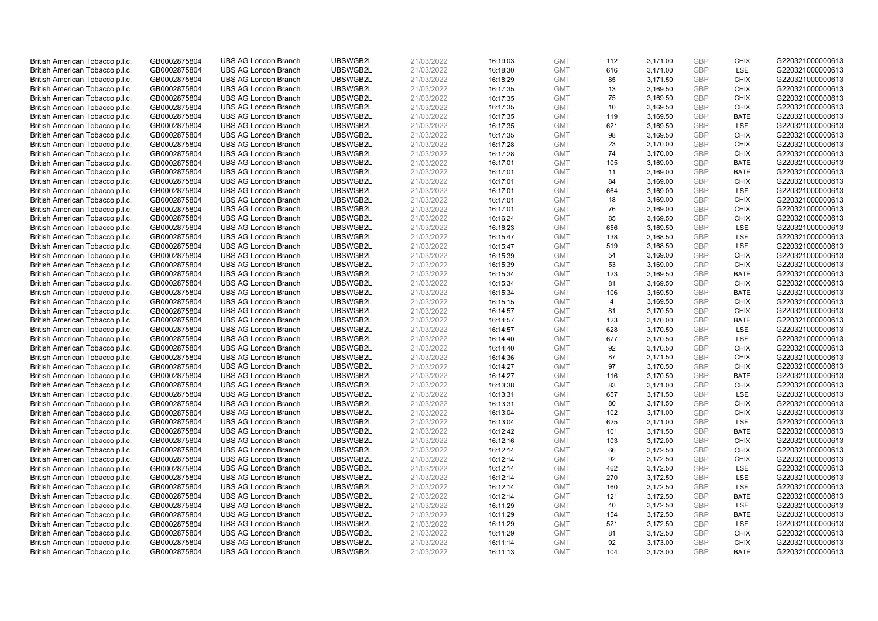| British American Tobacco p.l.c. | GB0002875804 | <b>UBS AG London Branch</b> | UBSWGB2L | 21/03/2022 | 16:19:03 | <b>GMT</b> | 112            | 3,171.00 | <b>GBP</b> | <b>CHIX</b> | G220321000000613 |
|---------------------------------|--------------|-----------------------------|----------|------------|----------|------------|----------------|----------|------------|-------------|------------------|
| British American Tobacco p.l.c. | GB0002875804 | <b>UBS AG London Branch</b> | UBSWGB2L | 21/03/2022 | 16:18:30 | <b>GMT</b> | 616            | 3,171.00 | <b>GBP</b> | <b>LSE</b>  | G220321000000613 |
| British American Tobacco p.l.c. | GB0002875804 | <b>UBS AG London Branch</b> | UBSWGB2L | 21/03/2022 | 16:18:29 | <b>GMT</b> | 85             | 3,171.50 | <b>GBP</b> | <b>CHIX</b> | G220321000000613 |
| British American Tobacco p.l.c. | GB0002875804 | <b>UBS AG London Branch</b> | UBSWGB2L | 21/03/2022 | 16:17:35 | <b>GMT</b> | 13             | 3,169.50 | GBP        | <b>CHIX</b> | G220321000000613 |
| British American Tobacco p.l.c. | GB0002875804 | <b>UBS AG London Branch</b> | UBSWGB2L | 21/03/2022 | 16:17:35 | <b>GMT</b> | 75             | 3,169.50 | <b>GBP</b> | <b>CHIX</b> | G220321000000613 |
| British American Tobacco p.l.c. | GB0002875804 | <b>UBS AG London Branch</b> | UBSWGB2L | 21/03/2022 | 16:17:35 | <b>GMT</b> | 10             | 3,169.50 | <b>GBP</b> | <b>CHIX</b> | G220321000000613 |
| British American Tobacco p.l.c. | GB0002875804 | <b>UBS AG London Branch</b> | UBSWGB2L | 21/03/2022 | 16:17:35 | <b>GMT</b> | 119            | 3,169.50 | <b>GBP</b> | <b>BATE</b> | G220321000000613 |
| British American Tobacco p.l.c. | GB0002875804 | <b>UBS AG London Branch</b> | UBSWGB2L | 21/03/2022 | 16:17:35 | <b>GMT</b> | 621            | 3,169.50 | GBP        | LSE         | G220321000000613 |
| British American Tobacco p.l.c. | GB0002875804 | <b>UBS AG London Branch</b> | UBSWGB2L | 21/03/2022 | 16:17:35 | <b>GMT</b> | 98             | 3,169.50 | <b>GBP</b> | <b>CHIX</b> | G220321000000613 |
| British American Tobacco p.l.c. | GB0002875804 | <b>UBS AG London Branch</b> | UBSWGB2L | 21/03/2022 | 16:17:28 | <b>GMT</b> | 23             | 3,170.00 | <b>GBP</b> | <b>CHIX</b> | G220321000000613 |
| British American Tobacco p.l.c. | GB0002875804 | <b>UBS AG London Branch</b> | UBSWGB2L | 21/03/2022 | 16:17:28 | <b>GMT</b> | 74             | 3,170.00 | <b>GBP</b> | <b>CHIX</b> | G220321000000613 |
| British American Tobacco p.l.c. | GB0002875804 | <b>UBS AG London Branch</b> | UBSWGB2L | 21/03/2022 | 16:17:01 | <b>GMT</b> | 105            | 3,169.00 | <b>GBP</b> | <b>BATE</b> | G220321000000613 |
| British American Tobacco p.l.c. | GB0002875804 | <b>UBS AG London Branch</b> | UBSWGB2L | 21/03/2022 | 16:17:01 | <b>GMT</b> | 11             | 3,169.00 | <b>GBP</b> | <b>BATE</b> | G220321000000613 |
| British American Tobacco p.l.c. | GB0002875804 | <b>UBS AG London Branch</b> | UBSWGB2L | 21/03/2022 | 16:17:01 | <b>GMT</b> | 84             | 3,169.00 | <b>GBP</b> | <b>CHIX</b> | G220321000000613 |
| British American Tobacco p.l.c. | GB0002875804 | <b>UBS AG London Branch</b> | UBSWGB2L | 21/03/2022 | 16:17:01 | <b>GMT</b> | 664            | 3,169.00 | <b>GBP</b> | <b>LSE</b>  | G220321000000613 |
| British American Tobacco p.l.c. | GB0002875804 | <b>UBS AG London Branch</b> | UBSWGB2L | 21/03/2022 | 16:17:01 | <b>GMT</b> | 18             | 3,169.00 | <b>GBP</b> | <b>CHIX</b> | G220321000000613 |
| British American Tobacco p.l.c. | GB0002875804 | <b>UBS AG London Branch</b> | UBSWGB2L | 21/03/2022 | 16:17:01 | <b>GMT</b> | 76             | 3,169.00 | <b>GBP</b> | <b>CHIX</b> | G220321000000613 |
| British American Tobacco p.l.c. | GB0002875804 | <b>UBS AG London Branch</b> | UBSWGB2L | 21/03/2022 | 16:16:24 | <b>GMT</b> | 85             | 3,169.50 | <b>GBP</b> | <b>CHIX</b> | G220321000000613 |
| British American Tobacco p.l.c. | GB0002875804 | <b>UBS AG London Branch</b> | UBSWGB2L | 21/03/2022 | 16:16:23 | <b>GMT</b> | 656            | 3,169.50 | GBP        | <b>LSE</b>  | G220321000000613 |
| British American Tobacco p.l.c. | GB0002875804 | <b>UBS AG London Branch</b> | UBSWGB2L | 21/03/2022 | 16:15:47 | <b>GMT</b> | 138            | 3,168.50 | <b>GBP</b> | LSE         | G220321000000613 |
| British American Tobacco p.l.c. | GB0002875804 | <b>UBS AG London Branch</b> | UBSWGB2L | 21/03/2022 | 16:15:47 | <b>GMT</b> | 519            | 3,168.50 | GBP        | LSE         | G220321000000613 |
| British American Tobacco p.l.c. | GB0002875804 | <b>UBS AG London Branch</b> | UBSWGB2L | 21/03/2022 | 16:15:39 | <b>GMT</b> | 54             | 3,169.00 | <b>GBP</b> | <b>CHIX</b> | G220321000000613 |
| British American Tobacco p.l.c. | GB0002875804 | <b>UBS AG London Branch</b> | UBSWGB2L | 21/03/2022 | 16:15:39 | <b>GMT</b> | 53             | 3,169.00 | <b>GBP</b> | <b>CHIX</b> | G220321000000613 |
| British American Tobacco p.l.c. | GB0002875804 | <b>UBS AG London Branch</b> | UBSWGB2L | 21/03/2022 | 16:15:34 | <b>GMT</b> | 123            | 3,169.50 | GBP        | <b>BATE</b> | G220321000000613 |
| British American Tobacco p.l.c. | GB0002875804 | <b>UBS AG London Branch</b> | UBSWGB2L | 21/03/2022 | 16:15:34 | <b>GMT</b> | 81             | 3,169.50 | <b>GBP</b> | <b>CHIX</b> | G220321000000613 |
| British American Tobacco p.l.c. | GB0002875804 | <b>UBS AG London Branch</b> | UBSWGB2L | 21/03/2022 | 16:15:34 | <b>GMT</b> | 106            | 3,169.50 | <b>GBP</b> | <b>BATE</b> | G220321000000613 |
| British American Tobacco p.l.c. | GB0002875804 | <b>UBS AG London Branch</b> | UBSWGB2L | 21/03/2022 | 16:15:15 | <b>GMT</b> | $\overline{4}$ | 3,169.50 | <b>GBP</b> | <b>CHIX</b> | G220321000000613 |
| British American Tobacco p.l.c. | GB0002875804 | <b>UBS AG London Branch</b> | UBSWGB2L | 21/03/2022 | 16:14:57 | <b>GMT</b> | 81             | 3,170.50 | GBP        | <b>CHIX</b> | G220321000000613 |
| British American Tobacco p.l.c. | GB0002875804 | <b>UBS AG London Branch</b> | UBSWGB2L | 21/03/2022 | 16:14:57 | <b>GMT</b> | 123            | 3,170.00 | <b>GBP</b> | <b>BATE</b> | G220321000000613 |
| British American Tobacco p.l.c. | GB0002875804 | <b>UBS AG London Branch</b> | UBSWGB2L | 21/03/2022 | 16:14:57 | <b>GMT</b> | 628            | 3,170.50 | GBP        | LSE         | G220321000000613 |
| British American Tobacco p.l.c. | GB0002875804 | <b>UBS AG London Branch</b> | UBSWGB2L | 21/03/2022 | 16:14:40 | <b>GMT</b> | 677            | 3,170.50 | GBP        | LSE         | G220321000000613 |
| British American Tobacco p.l.c. | GB0002875804 | <b>UBS AG London Branch</b> | UBSWGB2L | 21/03/2022 | 16:14:40 | <b>GMT</b> | 92             | 3,170.50 | <b>GBP</b> | <b>CHIX</b> | G220321000000613 |
| British American Tobacco p.l.c. | GB0002875804 | <b>UBS AG London Branch</b> | UBSWGB2L | 21/03/2022 | 16:14:36 | <b>GMT</b> | 87             | 3,171.50 | <b>GBP</b> | <b>CHIX</b> | G220321000000613 |
| British American Tobacco p.l.c. | GB0002875804 | <b>UBS AG London Branch</b> | UBSWGB2L | 21/03/2022 | 16:14:27 | <b>GMT</b> | 97             | 3,170.50 | GBP        | <b>CHIX</b> | G220321000000613 |
| British American Tobacco p.l.c. | GB0002875804 | <b>UBS AG London Branch</b> | UBSWGB2L | 21/03/2022 | 16:14:27 | <b>GMT</b> | 116            | 3,170.50 | GBP        | <b>BATE</b> | G220321000000613 |
| British American Tobacco p.l.c. | GB0002875804 | <b>UBS AG London Branch</b> | UBSWGB2L | 21/03/2022 | 16:13:38 | <b>GMT</b> | 83             | 3,171.00 | GBP        | <b>CHIX</b> | G220321000000613 |
| British American Tobacco p.l.c. | GB0002875804 | <b>UBS AG London Branch</b> | UBSWGB2L | 21/03/2022 | 16:13:31 | <b>GMT</b> | 657            | 3,171.50 | GBP        | <b>LSE</b>  | G220321000000613 |
| British American Tobacco p.l.c. | GB0002875804 | <b>UBS AG London Branch</b> | UBSWGB2L | 21/03/2022 | 16:13:31 | <b>GMT</b> | 80             | 3,171.50 | <b>GBP</b> | <b>CHIX</b> | G220321000000613 |
| British American Tobacco p.l.c. | GB0002875804 | <b>UBS AG London Branch</b> | UBSWGB2L | 21/03/2022 | 16:13:04 | <b>GMT</b> | 102            | 3,171.00 | <b>GBP</b> | <b>CHIX</b> | G220321000000613 |
| British American Tobacco p.l.c. | GB0002875804 | <b>UBS AG London Branch</b> | UBSWGB2L | 21/03/2022 | 16:13:04 | <b>GMT</b> | 625            | 3,171.00 | <b>GBP</b> | <b>LSE</b>  | G220321000000613 |
| British American Tobacco p.l.c. | GB0002875804 | <b>UBS AG London Branch</b> | UBSWGB2L | 21/03/2022 | 16:12:42 | <b>GMT</b> | 101            | 3,171.50 | GBP        | <b>BATE</b> | G220321000000613 |
| British American Tobacco p.l.c. | GB0002875804 | <b>UBS AG London Branch</b> | UBSWGB2L | 21/03/2022 | 16:12:16 | <b>GMT</b> | 103            | 3,172.00 | <b>GBP</b> | <b>CHIX</b> | G220321000000613 |
| British American Tobacco p.l.c. | GB0002875804 | <b>UBS AG London Branch</b> | UBSWGB2L | 21/03/2022 | 16:12:14 | <b>GMT</b> | 66             | 3,172.50 | GBP        | <b>CHIX</b> | G220321000000613 |
| British American Tobacco p.l.c. | GB0002875804 | <b>UBS AG London Branch</b> | UBSWGB2L | 21/03/2022 | 16:12:14 | <b>GMT</b> | 92             | 3,172.50 | GBP        | <b>CHIX</b> | G220321000000613 |
| British American Tobacco p.l.c. | GB0002875804 | <b>UBS AG London Branch</b> | UBSWGB2L | 21/03/2022 | 16:12:14 | <b>GMT</b> | 462            | 3,172.50 | <b>GBP</b> | <b>LSE</b>  | G220321000000613 |
| British American Tobacco p.l.c. | GB0002875804 | <b>UBS AG London Branch</b> | UBSWGB2L | 21/03/2022 | 16:12:14 | <b>GMT</b> | 270            | 3,172.50 | <b>GBP</b> | LSE         | G220321000000613 |
| British American Tobacco p.l.c. | GB0002875804 | <b>UBS AG London Branch</b> | UBSWGB2L | 21/03/2022 | 16:12:14 | <b>GMT</b> | 160            | 3,172.50 | <b>GBP</b> | LSE         | G220321000000613 |
| British American Tobacco p.l.c. | GB0002875804 | <b>UBS AG London Branch</b> | UBSWGB2L | 21/03/2022 | 16:12:14 | <b>GMT</b> | 121            | 3,172.50 | GBP        | <b>BATE</b> | G220321000000613 |
| British American Tobacco p.l.c. | GB0002875804 | <b>UBS AG London Branch</b> | UBSWGB2L | 21/03/2022 | 16:11:29 | <b>GMT</b> | 40             | 3,172.50 | <b>GBP</b> | LSE         | G220321000000613 |
| British American Tobacco p.l.c. | GB0002875804 | <b>UBS AG London Branch</b> | UBSWGB2L | 21/03/2022 | 16:11:29 | <b>GMT</b> | 154            | 3,172.50 | GBP        | <b>BATE</b> | G220321000000613 |
| British American Tobacco p.l.c. | GB0002875804 | <b>UBS AG London Branch</b> | UBSWGB2L | 21/03/2022 | 16:11:29 | <b>GMT</b> | 521            | 3,172.50 | GBP        | LSE         | G220321000000613 |
| British American Tobacco p.l.c. | GB0002875804 | <b>UBS AG London Branch</b> | UBSWGB2L | 21/03/2022 | 16:11:29 | <b>GMT</b> | 81             | 3,172.50 | <b>GBP</b> | <b>CHIX</b> | G220321000000613 |
| British American Tobacco p.l.c. | GB0002875804 | <b>UBS AG London Branch</b> | UBSWGB2L | 21/03/2022 | 16:11:14 | <b>GMT</b> | 92             | 3,173.00 | GBP        | <b>CHIX</b> | G220321000000613 |
| British American Tobacco p.l.c. | GB0002875804 | <b>UBS AG London Branch</b> | UBSWGB2L | 21/03/2022 | 16:11:13 | <b>GMT</b> | 104            | 3,173.00 | GBP        | <b>BATE</b> | G220321000000613 |
|                                 |              |                             |          |            |          |            |                |          |            |             |                  |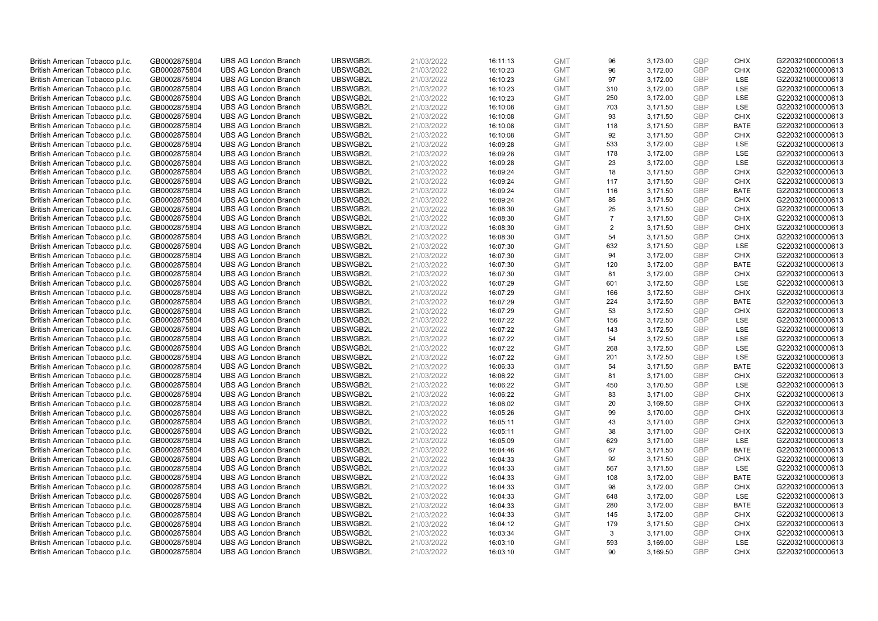| British American Tobacco p.l.c.                                    | GB0002875804 | <b>UBS AG London Branch</b> | UBSWGB2L | 21/03/2022 | 16:11:13 | <b>GMT</b> | 96             | 3,173.00 | <b>GBP</b> | <b>CHIX</b> | G220321000000613 |
|--------------------------------------------------------------------|--------------|-----------------------------|----------|------------|----------|------------|----------------|----------|------------|-------------|------------------|
| British American Tobacco p.l.c.                                    | GB0002875804 | <b>UBS AG London Branch</b> | UBSWGB2L | 21/03/2022 | 16:10:23 | <b>GMT</b> | 96             | 3,172.00 | GBP        | <b>CHIX</b> | G220321000000613 |
| British American Tobacco p.l.c.                                    | GB0002875804 | <b>UBS AG London Branch</b> | UBSWGB2L | 21/03/2022 | 16:10:23 | <b>GMT</b> | 97             | 3,172.00 | <b>GBP</b> | <b>LSE</b>  | G220321000000613 |
| British American Tobacco p.l.c.                                    | GB0002875804 | <b>UBS AG London Branch</b> | UBSWGB2L | 21/03/2022 | 16:10:23 | <b>GMT</b> | 310            | 3,172.00 | GBP        | <b>LSE</b>  | G220321000000613 |
| British American Tobacco p.l.c.                                    | GB0002875804 | <b>UBS AG London Branch</b> | UBSWGB2L | 21/03/2022 | 16:10:23 | <b>GMT</b> | 250            | 3,172.00 | <b>GBP</b> | <b>LSE</b>  | G220321000000613 |
| British American Tobacco p.l.c.                                    | GB0002875804 | <b>UBS AG London Branch</b> | UBSWGB2L | 21/03/2022 | 16:10:08 | <b>GMT</b> | 703            | 3,171.50 | GBP        | LSE         | G220321000000613 |
| British American Tobacco p.l.c.                                    | GB0002875804 | <b>UBS AG London Branch</b> | UBSWGB2L | 21/03/2022 | 16:10:08 | <b>GMT</b> | 93             | 3,171.50 | <b>GBP</b> | <b>CHIX</b> | G220321000000613 |
| British American Tobacco p.l.c.                                    | GB0002875804 | <b>UBS AG London Branch</b> | UBSWGB2L | 21/03/2022 | 16:10:08 | <b>GMT</b> | 118            | 3,171.50 | GBP        | <b>BATE</b> | G220321000000613 |
| British American Tobacco p.l.c.                                    | GB0002875804 | <b>UBS AG London Branch</b> | UBSWGB2L | 21/03/2022 | 16:10:08 | <b>GMT</b> | 92             | 3,171.50 | <b>GBP</b> | <b>CHIX</b> | G220321000000613 |
| British American Tobacco p.l.c.                                    | GB0002875804 | <b>UBS AG London Branch</b> | UBSWGB2L | 21/03/2022 | 16:09:28 | <b>GMT</b> | 533            | 3,172.00 | GBP        | <b>LSE</b>  | G220321000000613 |
| British American Tobacco p.l.c.                                    | GB0002875804 | <b>UBS AG London Branch</b> | UBSWGB2L | 21/03/2022 | 16:09:28 | <b>GMT</b> | 178            | 3,172.00 | <b>GBP</b> | LSE         | G220321000000613 |
| British American Tobacco p.l.c.                                    | GB0002875804 | <b>UBS AG London Branch</b> | UBSWGB2L | 21/03/2022 | 16:09:28 | <b>GMT</b> | 23             | 3,172.00 | <b>GBP</b> | LSE         | G220321000000613 |
| British American Tobacco p.l.c.                                    | GB0002875804 | <b>UBS AG London Branch</b> | UBSWGB2L | 21/03/2022 | 16:09:24 | <b>GMT</b> | 18             | 3,171.50 | GBP        | <b>CHIX</b> | G220321000000613 |
| British American Tobacco p.l.c.                                    | GB0002875804 | <b>UBS AG London Branch</b> | UBSWGB2L | 21/03/2022 | 16:09:24 | <b>GMT</b> | 117            | 3,171.50 | <b>GBP</b> | <b>CHIX</b> | G220321000000613 |
| British American Tobacco p.l.c.                                    | GB0002875804 | <b>UBS AG London Branch</b> | UBSWGB2L | 21/03/2022 | 16:09:24 | <b>GMT</b> | 116            | 3,171.50 | <b>GBP</b> | <b>BATE</b> | G220321000000613 |
| British American Tobacco p.l.c.                                    | GB0002875804 | <b>UBS AG London Branch</b> | UBSWGB2L | 21/03/2022 | 16:09:24 | <b>GMT</b> | 85             | 3,171.50 | <b>GBP</b> | <b>CHIX</b> | G220321000000613 |
| British American Tobacco p.l.c.                                    | GB0002875804 | <b>UBS AG London Branch</b> | UBSWGB2L | 21/03/2022 | 16:08:30 | <b>GMT</b> | 25             | 3,171.50 | <b>GBP</b> | <b>CHIX</b> | G220321000000613 |
| British American Tobacco p.l.c.                                    | GB0002875804 | <b>UBS AG London Branch</b> | UBSWGB2L | 21/03/2022 | 16:08:30 | <b>GMT</b> | $\overline{7}$ | 3,171.50 | <b>GBP</b> | <b>CHIX</b> | G220321000000613 |
|                                                                    | GB0002875804 | <b>UBS AG London Branch</b> | UBSWGB2L | 21/03/2022 | 16:08:30 | <b>GMT</b> | 2              | 3,171.50 | <b>GBP</b> | <b>CHIX</b> | G220321000000613 |
| British American Tobacco p.l.c.<br>British American Tobacco p.l.c. | GB0002875804 | <b>UBS AG London Branch</b> | UBSWGB2L | 21/03/2022 | 16:08:30 | <b>GMT</b> | 54             | 3,171.50 | <b>GBP</b> | <b>CHIX</b> | G220321000000613 |
|                                                                    |              |                             |          |            |          |            |                |          |            | <b>LSE</b>  |                  |
| British American Tobacco p.l.c.                                    | GB0002875804 | <b>UBS AG London Branch</b> | UBSWGB2L | 21/03/2022 | 16:07:30 | <b>GMT</b> | 632            | 3,171.50 | <b>GBP</b> |             | G220321000000613 |
| British American Tobacco p.l.c.                                    | GB0002875804 | <b>UBS AG London Branch</b> | UBSWGB2L | 21/03/2022 | 16:07:30 | <b>GMT</b> | 94             | 3,172.00 | GBP        | <b>CHIX</b> | G220321000000613 |
| British American Tobacco p.l.c.                                    | GB0002875804 | <b>UBS AG London Branch</b> | UBSWGB2L | 21/03/2022 | 16:07:30 | <b>GMT</b> | 120            | 3,172.00 | <b>GBP</b> | <b>BATE</b> | G220321000000613 |
| British American Tobacco p.l.c.                                    | GB0002875804 | <b>UBS AG London Branch</b> | UBSWGB2L | 21/03/2022 | 16:07:30 | <b>GMT</b> | 81             | 3.172.00 | GBP        | <b>CHIX</b> | G220321000000613 |
| British American Tobacco p.l.c.                                    | GB0002875804 | <b>UBS AG London Branch</b> | UBSWGB2L | 21/03/2022 | 16:07:29 | <b>GMT</b> | 601            | 3,172.50 | <b>GBP</b> | <b>LSE</b>  | G220321000000613 |
| British American Tobacco p.l.c.                                    | GB0002875804 | <b>UBS AG London Branch</b> | UBSWGB2L | 21/03/2022 | 16:07:29 | <b>GMT</b> | 166            | 3,172.50 | <b>GBP</b> | <b>CHIX</b> | G220321000000613 |
| British American Tobacco p.l.c.                                    | GB0002875804 | <b>UBS AG London Branch</b> | UBSWGB2L | 21/03/2022 | 16:07:29 | <b>GMT</b> | 224            | 3,172.50 | <b>GBP</b> | <b>BATE</b> | G220321000000613 |
| British American Tobacco p.l.c.                                    | GB0002875804 | <b>UBS AG London Branch</b> | UBSWGB2L | 21/03/2022 | 16:07:29 | <b>GMT</b> | 53             | 3,172.50 | GBP        | <b>CHIX</b> | G220321000000613 |
| British American Tobacco p.l.c.                                    | GB0002875804 | <b>UBS AG London Branch</b> | UBSWGB2L | 21/03/2022 | 16:07:22 | <b>GMT</b> | 156            | 3,172.50 | <b>GBP</b> | <b>LSE</b>  | G220321000000613 |
| British American Tobacco p.l.c.                                    | GB0002875804 | <b>UBS AG London Branch</b> | UBSWGB2L | 21/03/2022 | 16:07:22 | <b>GMT</b> | 143            | 3,172.50 | <b>GBP</b> | LSE         | G220321000000613 |
| British American Tobacco p.l.c.                                    | GB0002875804 | <b>UBS AG London Branch</b> | UBSWGB2L | 21/03/2022 | 16:07:22 | <b>GMT</b> | 54             | 3,172.50 | GBP        | <b>LSE</b>  | G220321000000613 |
| British American Tobacco p.l.c.                                    | GB0002875804 | <b>UBS AG London Branch</b> | UBSWGB2L | 21/03/2022 | 16:07:22 | <b>GMT</b> | 268            | 3,172.50 | <b>GBP</b> | <b>LSE</b>  | G220321000000613 |
| British American Tobacco p.l.c.                                    | GB0002875804 | <b>UBS AG London Branch</b> | UBSWGB2L | 21/03/2022 | 16:07:22 | <b>GMT</b> | 201            | 3,172.50 | <b>GBP</b> | LSE         | G220321000000613 |
| British American Tobacco p.l.c.                                    | GB0002875804 | <b>UBS AG London Branch</b> | UBSWGB2L | 21/03/2022 | 16:06:33 | <b>GMT</b> | 54             | 3,171.50 | <b>GBP</b> | <b>BATE</b> | G220321000000613 |
| British American Tobacco p.l.c.                                    | GB0002875804 | <b>UBS AG London Branch</b> | UBSWGB2L | 21/03/2022 | 16:06:22 | <b>GMT</b> | 81             | 3,171.00 | <b>GBP</b> | <b>CHIX</b> | G220321000000613 |
| British American Tobacco p.l.c.                                    | GB0002875804 | <b>UBS AG London Branch</b> | UBSWGB2L | 21/03/2022 | 16:06:22 | <b>GMT</b> | 450            | 3,170.50 | <b>GBP</b> | LSE         | G220321000000613 |
| British American Tobacco p.l.c.                                    | GB0002875804 | <b>UBS AG London Branch</b> | UBSWGB2L | 21/03/2022 | 16:06:22 | <b>GMT</b> | 83             | 3,171.00 | <b>GBP</b> | <b>CHIX</b> | G220321000000613 |
| British American Tobacco p.l.c.                                    | GB0002875804 | <b>UBS AG London Branch</b> | UBSWGB2L | 21/03/2022 | 16:06:02 | <b>GMT</b> | 20             | 3,169.50 | GBP        | <b>CHIX</b> | G220321000000613 |
| British American Tobacco p.l.c.                                    | GB0002875804 | <b>UBS AG London Branch</b> | UBSWGB2L | 21/03/2022 | 16:05:26 | <b>GMT</b> | 99             | 3,170.00 | <b>GBP</b> | <b>CHIX</b> | G220321000000613 |
| British American Tobacco p.l.c.                                    | GB0002875804 | <b>UBS AG London Branch</b> | UBSWGB2L | 21/03/2022 | 16:05:11 | <b>GMT</b> | 43             | 3,171.00 | <b>GBP</b> | <b>CHIX</b> | G220321000000613 |
| British American Tobacco p.l.c.                                    | GB0002875804 | <b>UBS AG London Branch</b> | UBSWGB2L | 21/03/2022 | 16:05:11 | <b>GMT</b> | 38             | 3,171.00 | <b>GBP</b> | <b>CHIX</b> | G220321000000613 |
| British American Tobacco p.l.c.                                    | GB0002875804 | <b>UBS AG London Branch</b> | UBSWGB2L | 21/03/2022 | 16:05:09 | <b>GMT</b> | 629            | 3,171.00 | GBP        | LSE         | G220321000000613 |
| British American Tobacco p.l.c.                                    | GB0002875804 | <b>UBS AG London Branch</b> | UBSWGB2L | 21/03/2022 | 16:04:46 | <b>GMT</b> | 67             | 3,171.50 | <b>GBP</b> | <b>BATE</b> | G220321000000613 |
| British American Tobacco p.l.c.                                    | GB0002875804 | <b>UBS AG London Branch</b> | UBSWGB2L | 21/03/2022 | 16:04:33 | <b>GMT</b> | 92             | 3,171.50 | GBP        | <b>CHIX</b> | G220321000000613 |
| British American Tobacco p.l.c.                                    | GB0002875804 | <b>UBS AG London Branch</b> | UBSWGB2L | 21/03/2022 | 16:04:33 | <b>GMT</b> | 567            | 3,171.50 | <b>GBP</b> | <b>LSE</b>  | G220321000000613 |
| British American Tobacco p.l.c.                                    | GB0002875804 | <b>UBS AG London Branch</b> | UBSWGB2L | 21/03/2022 | 16:04:33 | <b>GMT</b> | 108            | 3,172.00 | GBP        | <b>BATE</b> | G220321000000613 |
| British American Tobacco p.l.c.                                    | GB0002875804 | <b>UBS AG London Branch</b> | UBSWGB2L | 21/03/2022 | 16:04:33 | <b>GMT</b> | 98             | 3,172.00 | <b>GBP</b> | <b>CHIX</b> | G220321000000613 |
| British American Tobacco p.l.c.                                    | GB0002875804 | <b>UBS AG London Branch</b> | UBSWGB2L | 21/03/2022 | 16:04:33 | <b>GMT</b> | 648            | 3,172.00 | <b>GBP</b> | LSE         | G220321000000613 |
| British American Tobacco p.l.c.                                    | GB0002875804 | <b>UBS AG London Branch</b> | UBSWGB2L | 21/03/2022 | 16:04:33 | <b>GMT</b> | 280            | 3,172.00 | GBP        | <b>BATE</b> | G220321000000613 |
| British American Tobacco p.l.c.                                    | GB0002875804 | <b>UBS AG London Branch</b> | UBSWGB2L | 21/03/2022 | 16:04:33 | <b>GMT</b> | 145            | 3,172.00 | <b>GBP</b> | <b>CHIX</b> | G220321000000613 |
| British American Tobacco p.l.c.                                    | GB0002875804 | <b>UBS AG London Branch</b> | UBSWGB2L | 21/03/2022 | 16:04:12 | <b>GMT</b> | 179            | 3,171.50 | <b>GBP</b> | <b>CHIX</b> | G220321000000613 |
| British American Tobacco p.l.c.                                    | GB0002875804 | <b>UBS AG London Branch</b> | UBSWGB2L | 21/03/2022 | 16:03:34 | <b>GMT</b> | 3              | 3,171.00 | <b>GBP</b> | <b>CHIX</b> | G220321000000613 |
| British American Tobacco p.l.c.                                    | GB0002875804 | <b>UBS AG London Branch</b> | UBSWGB2L | 21/03/2022 | 16:03:10 | <b>GMT</b> | 593            | 3,169.00 | GBP        | LSE         | G220321000000613 |
| British American Tobacco p.l.c.                                    | GB0002875804 | <b>UBS AG London Branch</b> | UBSWGB2L | 21/03/2022 | 16:03:10 | <b>GMT</b> | 90             | 3.169.50 | GBP        | <b>CHIX</b> | G220321000000613 |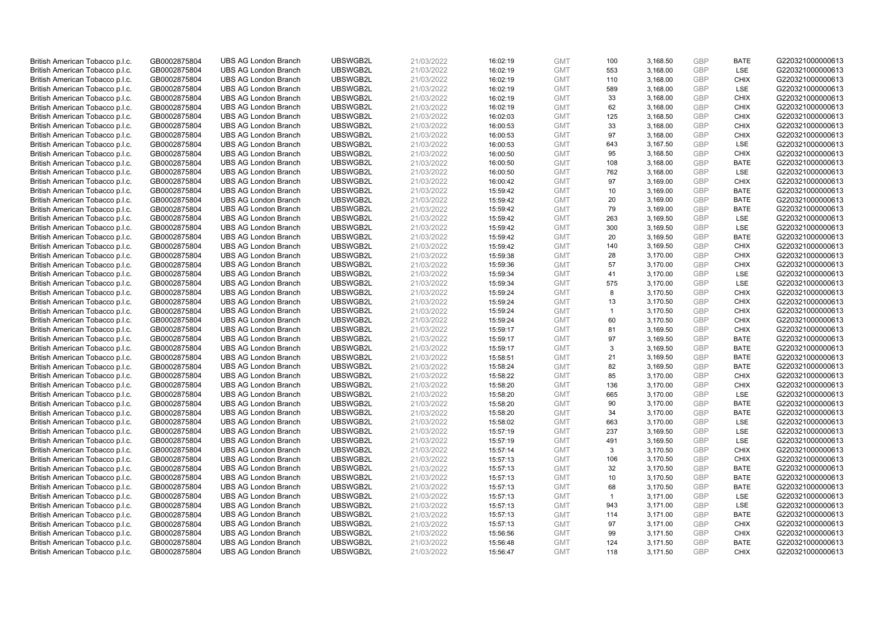| British American Tobacco p.l.c. | GB0002875804 | <b>UBS AG London Branch</b> | UBSWGB2L | 21/03/2022 | 16:02:19 | <b>GMT</b> | 100          | 3,168.50 | <b>GBP</b> | <b>BATE</b> | G220321000000613 |
|---------------------------------|--------------|-----------------------------|----------|------------|----------|------------|--------------|----------|------------|-------------|------------------|
| British American Tobacco p.l.c. | GB0002875804 | <b>UBS AG London Branch</b> | UBSWGB2L | 21/03/2022 | 16:02:19 | <b>GMT</b> | 553          | 3,168.00 | GBP        | <b>LSE</b>  | G220321000000613 |
| British American Tobacco p.l.c. | GB0002875804 | <b>UBS AG London Branch</b> | UBSWGB2L | 21/03/2022 | 16:02:19 | <b>GMT</b> | 110          | 3,168.00 | GBP        | <b>CHIX</b> | G220321000000613 |
| British American Tobacco p.l.c. | GB0002875804 | <b>UBS AG London Branch</b> | UBSWGB2L | 21/03/2022 | 16:02:19 | <b>GMT</b> | 589          | 3,168.00 | GBP        | <b>LSE</b>  | G220321000000613 |
| British American Tobacco p.l.c. | GB0002875804 | <b>UBS AG London Branch</b> | UBSWGB2L | 21/03/2022 | 16:02:19 | <b>GMT</b> | 33           | 3,168.00 | <b>GBP</b> | <b>CHIX</b> | G220321000000613 |
| British American Tobacco p.l.c. | GB0002875804 | <b>UBS AG London Branch</b> | UBSWGB2L | 21/03/2022 | 16:02:19 | <b>GMT</b> | 62           | 3,168.00 | <b>GBP</b> | <b>CHIX</b> | G220321000000613 |
| British American Tobacco p.l.c. | GB0002875804 | <b>UBS AG London Branch</b> | UBSWGB2L | 21/03/2022 | 16:02:03 | <b>GMT</b> | 125          | 3,168.50 | GBP        | <b>CHIX</b> | G220321000000613 |
| British American Tobacco p.l.c. | GB0002875804 | <b>UBS AG London Branch</b> | UBSWGB2L | 21/03/2022 | 16:00:53 | <b>GMT</b> | 33           | 3,168.00 | GBP        | <b>CHIX</b> | G220321000000613 |
| British American Tobacco p.l.c. | GB0002875804 | <b>UBS AG London Branch</b> | UBSWGB2L | 21/03/2022 | 16:00:53 | <b>GMT</b> | 97           | 3,168.00 | GBP        | <b>CHIX</b> | G220321000000613 |
| British American Tobacco p.l.c. | GB0002875804 | <b>UBS AG London Branch</b> | UBSWGB2L | 21/03/2022 | 16:00:53 | <b>GMT</b> | 643          | 3,167.50 | GBP        | <b>LSE</b>  | G220321000000613 |
| British American Tobacco p.l.c. | GB0002875804 | <b>UBS AG London Branch</b> | UBSWGB2L | 21/03/2022 | 16:00:50 | <b>GMT</b> | 95           | 3,168.50 | <b>GBP</b> | <b>CHIX</b> | G220321000000613 |
| British American Tobacco p.l.c. | GB0002875804 | <b>UBS AG London Branch</b> | UBSWGB2L | 21/03/2022 | 16:00:50 | <b>GMT</b> | 108          | 3,168.00 | <b>GBP</b> | <b>BATE</b> | G220321000000613 |
| British American Tobacco p.l.c. | GB0002875804 | <b>UBS AG London Branch</b> | UBSWGB2L | 21/03/2022 | 16:00:50 | <b>GMT</b> | 762          | 3,168.00 | <b>GBP</b> | <b>LSE</b>  | G220321000000613 |
| British American Tobacco p.l.c. | GB0002875804 | <b>UBS AG London Branch</b> | UBSWGB2L | 21/03/2022 | 16:00:42 | <b>GMT</b> | 97           | 3,169.00 | <b>GBP</b> | <b>CHIX</b> | G220321000000613 |
| British American Tobacco p.l.c. | GB0002875804 | <b>UBS AG London Branch</b> | UBSWGB2L | 21/03/2022 | 15:59:42 | <b>GMT</b> | 10           | 3,169.00 | <b>GBP</b> | <b>BATE</b> | G220321000000613 |
| British American Tobacco p.l.c. | GB0002875804 | <b>UBS AG London Branch</b> | UBSWGB2L | 21/03/2022 | 15:59:42 | <b>GMT</b> | 20           | 3,169.00 | GBP        | <b>BATE</b> | G220321000000613 |
| British American Tobacco p.l.c. | GB0002875804 | <b>UBS AG London Branch</b> | UBSWGB2L | 21/03/2022 | 15:59:42 | <b>GMT</b> | 79           | 3,169.00 | <b>GBP</b> | <b>BATE</b> | G220321000000613 |
| British American Tobacco p.l.c. | GB0002875804 | <b>UBS AG London Branch</b> | UBSWGB2L | 21/03/2022 | 15:59:42 | <b>GMT</b> | 263          | 3,169.50 | <b>GBP</b> | LSE         | G220321000000613 |
| British American Tobacco p.l.c. | GB0002875804 | <b>UBS AG London Branch</b> | UBSWGB2L | 21/03/2022 | 15:59:42 | <b>GMT</b> | 300          | 3,169.50 | GBP        | <b>LSE</b>  | G220321000000613 |
| British American Tobacco p.l.c. | GB0002875804 | <b>UBS AG London Branch</b> | UBSWGB2L | 21/03/2022 | 15:59:42 | <b>GMT</b> | 20           | 3,169.50 | <b>GBP</b> | <b>BATE</b> | G220321000000613 |
| British American Tobacco p.l.c. | GB0002875804 | <b>UBS AG London Branch</b> | UBSWGB2L | 21/03/2022 | 15:59:42 | <b>GMT</b> | 140          | 3,169.50 | GBP        | <b>CHIX</b> | G220321000000613 |
| British American Tobacco p.l.c. | GB0002875804 | <b>UBS AG London Branch</b> | UBSWGB2L | 21/03/2022 | 15:59:38 | <b>GMT</b> | 28           | 3,170.00 | <b>GBP</b> | <b>CHIX</b> | G220321000000613 |
| British American Tobacco p.l.c. | GB0002875804 | <b>UBS AG London Branch</b> | UBSWGB2L | 21/03/2022 | 15:59:36 | <b>GMT</b> | 57           | 3,170.00 | GBP        | <b>CHIX</b> | G220321000000613 |
| British American Tobacco p.l.c. | GB0002875804 | <b>UBS AG London Branch</b> | UBSWGB2L | 21/03/2022 | 15:59:34 | <b>GMT</b> | 41           | 3,170.00 | <b>GBP</b> | <b>LSE</b>  | G220321000000613 |
| British American Tobacco p.l.c. | GB0002875804 | <b>UBS AG London Branch</b> | UBSWGB2L | 21/03/2022 | 15:59:34 | <b>GMT</b> | 575          | 3,170.00 | <b>GBP</b> | LSE         | G220321000000613 |
| British American Tobacco p.l.c. | GB0002875804 | <b>UBS AG London Branch</b> | UBSWGB2L | 21/03/2022 | 15:59:24 | <b>GMT</b> | 8            | 3,170.50 | <b>GBP</b> | <b>CHIX</b> | G220321000000613 |
| British American Tobacco p.l.c. | GB0002875804 | <b>UBS AG London Branch</b> | UBSWGB2L | 21/03/2022 | 15:59:24 | <b>GMT</b> | 13           | 3,170.50 | <b>GBP</b> | <b>CHIX</b> | G220321000000613 |
| British American Tobacco p.l.c. | GB0002875804 | <b>UBS AG London Branch</b> | UBSWGB2L | 21/03/2022 | 15:59:24 | <b>GMT</b> | $\mathbf{1}$ | 3,170.50 | <b>GBP</b> | <b>CHIX</b> | G220321000000613 |
| British American Tobacco p.l.c. | GB0002875804 | <b>UBS AG London Branch</b> | UBSWGB2L | 21/03/2022 | 15:59:24 | <b>GMT</b> | 60           | 3,170.50 | <b>GBP</b> | <b>CHIX</b> | G220321000000613 |
| British American Tobacco p.l.c. | GB0002875804 | <b>UBS AG London Branch</b> | UBSWGB2L | 21/03/2022 | 15:59:17 | <b>GMT</b> | 81           | 3,169.50 | <b>GBP</b> | <b>CHIX</b> | G220321000000613 |
| British American Tobacco p.l.c. | GB0002875804 | <b>UBS AG London Branch</b> | UBSWGB2L | 21/03/2022 | 15:59:17 | <b>GMT</b> | 97           | 3,169.50 | GBP        | <b>BATE</b> | G220321000000613 |
| British American Tobacco p.l.c. | GB0002875804 | <b>UBS AG London Branch</b> | UBSWGB2L | 21/03/2022 | 15:59:17 | <b>GMT</b> | 3            | 3,169.50 | <b>GBP</b> | <b>BATE</b> | G220321000000613 |
| British American Tobacco p.l.c. | GB0002875804 | <b>UBS AG London Branch</b> | UBSWGB2L | 21/03/2022 | 15:58:51 | <b>GMT</b> | 21           | 3,169.50 | <b>GBP</b> | <b>BATE</b> | G220321000000613 |
| British American Tobacco p.l.c. | GB0002875804 | <b>UBS AG London Branch</b> | UBSWGB2L | 21/03/2022 | 15:58:24 | <b>GMT</b> | 82           | 3,169.50 | GBP        | <b>BATE</b> | G220321000000613 |
| British American Tobacco p.l.c. | GB0002875804 | <b>UBS AG London Branch</b> | UBSWGB2L | 21/03/2022 | 15:58:22 | <b>GMT</b> | 85           | 3,170.00 | <b>GBP</b> | <b>CHIX</b> | G220321000000613 |
| British American Tobacco p.l.c. | GB0002875804 | <b>UBS AG London Branch</b> | UBSWGB2L | 21/03/2022 | 15:58:20 | <b>GMT</b> | 136          | 3,170.00 | GBP        | <b>CHIX</b> | G220321000000613 |
| British American Tobacco p.l.c. | GB0002875804 | <b>UBS AG London Branch</b> | UBSWGB2L | 21/03/2022 | 15:58:20 | <b>GMT</b> | 665          | 3,170.00 | <b>GBP</b> | <b>LSE</b>  | G220321000000613 |
| British American Tobacco p.l.c. | GB0002875804 | <b>UBS AG London Branch</b> | UBSWGB2L | 21/03/2022 | 15:58:20 | <b>GMT</b> | 90           | 3,170.00 | <b>GBP</b> | <b>BATE</b> | G220321000000613 |
| British American Tobacco p.l.c. | GB0002875804 | <b>UBS AG London Branch</b> | UBSWGB2L | 21/03/2022 | 15:58:20 | <b>GMT</b> | 34           | 3,170.00 | <b>GBP</b> | <b>BATE</b> | G220321000000613 |
| British American Tobacco p.l.c. | GB0002875804 | <b>UBS AG London Branch</b> | UBSWGB2L | 21/03/2022 | 15:58:02 | <b>GMT</b> | 663          | 3,170.00 | <b>GBP</b> | <b>LSE</b>  | G220321000000613 |
| British American Tobacco p.l.c. | GB0002875804 | <b>UBS AG London Branch</b> | UBSWGB2L | 21/03/2022 | 15:57:19 | <b>GMT</b> | 237          | 3,169.50 | <b>GBP</b> | <b>LSE</b>  | G220321000000613 |
| British American Tobacco p.l.c. | GB0002875804 | <b>UBS AG London Branch</b> | UBSWGB2L | 21/03/2022 | 15:57:19 | <b>GMT</b> | 491          | 3,169.50 | <b>GBP</b> | LSE         | G220321000000613 |
| British American Tobacco p.l.c. | GB0002875804 | <b>UBS AG London Branch</b> | UBSWGB2L | 21/03/2022 | 15:57:14 | <b>GMT</b> | 3            | 3,170.50 | <b>GBP</b> | <b>CHIX</b> | G220321000000613 |
| British American Tobacco p.l.c. | GB0002875804 | <b>UBS AG London Branch</b> | UBSWGB2L | 21/03/2022 | 15:57:13 | <b>GMT</b> | 106          | 3,170.50 | GBP        | <b>CHIX</b> | G220321000000613 |
| British American Tobacco p.l.c. | GB0002875804 | <b>UBS AG London Branch</b> | UBSWGB2L | 21/03/2022 | 15:57:13 | <b>GMT</b> | 32           | 3,170.50 | <b>GBP</b> | <b>BATE</b> | G220321000000613 |
| British American Tobacco p.l.c. | GB0002875804 | <b>UBS AG London Branch</b> | UBSWGB2L | 21/03/2022 | 15:57:13 | <b>GMT</b> | 10           | 3,170.50 | GBP        | <b>BATE</b> | G220321000000613 |
| British American Tobacco p.l.c. | GB0002875804 | <b>UBS AG London Branch</b> | UBSWGB2L | 21/03/2022 | 15:57:13 | <b>GMT</b> | 68           | 3,170.50 | <b>GBP</b> | <b>BATE</b> | G220321000000613 |
| British American Tobacco p.l.c. | GB0002875804 | <b>UBS AG London Branch</b> | UBSWGB2L | 21/03/2022 | 15:57:13 | <b>GMT</b> | $\mathbf{1}$ | 3,171.00 | <b>GBP</b> | LSE         | G220321000000613 |
| British American Tobacco p.l.c. | GB0002875804 | <b>UBS AG London Branch</b> | UBSWGB2L | 21/03/2022 | 15:57:13 | <b>GMT</b> | 943          | 3,171.00 | <b>GBP</b> | LSE         | G220321000000613 |
| British American Tobacco p.l.c. | GB0002875804 | <b>UBS AG London Branch</b> | UBSWGB2L | 21/03/2022 | 15:57:13 | <b>GMT</b> | 114          | 3,171.00 | <b>GBP</b> | <b>BATE</b> | G220321000000613 |
| British American Tobacco p.l.c. | GB0002875804 | <b>UBS AG London Branch</b> | UBSWGB2L | 21/03/2022 | 15:57:13 | <b>GMT</b> | 97           | 3,171.00 | GBP        | <b>CHIX</b> | G220321000000613 |
| British American Tobacco p.l.c. | GB0002875804 | <b>UBS AG London Branch</b> | UBSWGB2L | 21/03/2022 | 15:56:56 | <b>GMT</b> | 99           | 3,171.50 | <b>GBP</b> | <b>CHIX</b> | G220321000000613 |
| British American Tobacco p.l.c. | GB0002875804 | <b>UBS AG London Branch</b> | UBSWGB2L | 21/03/2022 | 15:56:48 | <b>GMT</b> | 124          | 3,171.50 | GBP        | <b>BATE</b> | G220321000000613 |
| British American Tobacco p.l.c. | GB0002875804 | <b>UBS AG London Branch</b> | UBSWGB2L | 21/03/2022 | 15:56:47 | <b>GMT</b> | 118          | 3,171.50 | GBP        | <b>CHIX</b> | G220321000000613 |
|                                 |              |                             |          |            |          |            |              |          |            |             |                  |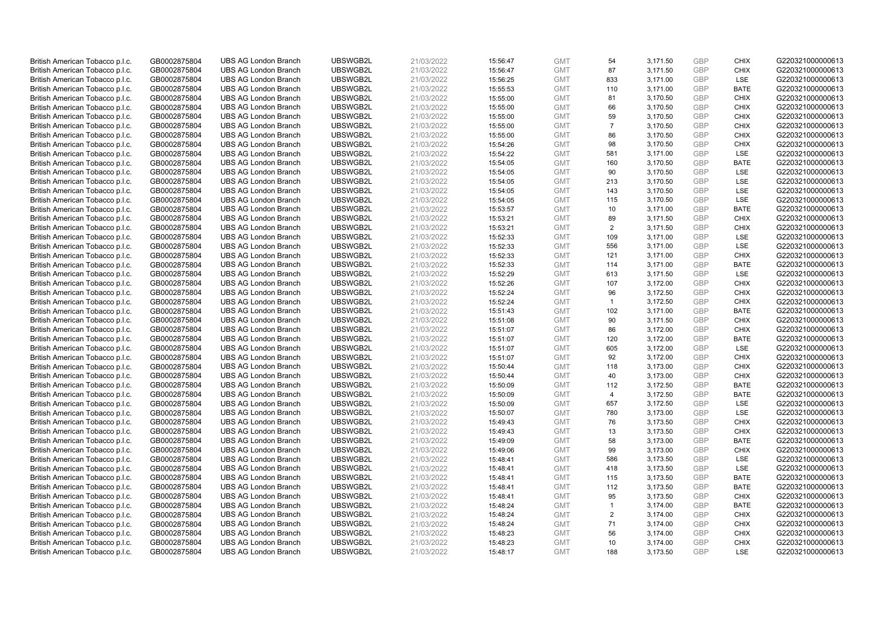| British American Tobacco p.l.c. | GB0002875804 | <b>UBS AG London Branch</b> | UBSWGB2L | 21/03/2022 | 15:56:47 | <b>GMT</b> | 54             | 3,171.50 | <b>GBP</b> | <b>CHIX</b> | G220321000000613 |
|---------------------------------|--------------|-----------------------------|----------|------------|----------|------------|----------------|----------|------------|-------------|------------------|
| British American Tobacco p.l.c. | GB0002875804 | <b>UBS AG London Branch</b> | UBSWGB2L | 21/03/2022 | 15:56:47 | <b>GMT</b> | 87             | 3,171.50 | GBP        | <b>CHIX</b> | G220321000000613 |
| British American Tobacco p.l.c. | GB0002875804 | <b>UBS AG London Branch</b> | UBSWGB2L | 21/03/2022 | 15:56:25 | <b>GMT</b> | 833            | 3,171.00 | <b>GBP</b> | LSE         | G220321000000613 |
| British American Tobacco p.l.c. | GB0002875804 | <b>UBS AG London Branch</b> | UBSWGB2L | 21/03/2022 | 15:55:53 | <b>GMT</b> | 110            | 3,171.00 | GBP        | <b>BATE</b> | G220321000000613 |
| British American Tobacco p.l.c. | GB0002875804 | <b>UBS AG London Branch</b> | UBSWGB2L | 21/03/2022 | 15:55:00 | <b>GMT</b> | 81             | 3,170.50 | <b>GBP</b> | <b>CHIX</b> | G220321000000613 |
| British American Tobacco p.l.c. | GB0002875804 | <b>UBS AG London Branch</b> | UBSWGB2L | 21/03/2022 | 15:55:00 | <b>GMT</b> | 66             | 3,170.50 | <b>GBP</b> | <b>CHIX</b> | G220321000000613 |
| British American Tobacco p.l.c. | GB0002875804 | <b>UBS AG London Branch</b> | UBSWGB2L | 21/03/2022 | 15:55:00 | <b>GMT</b> | 59             | 3,170.50 | <b>GBP</b> | <b>CHIX</b> | G220321000000613 |
| British American Tobacco p.l.c. | GB0002875804 | <b>UBS AG London Branch</b> | UBSWGB2L | 21/03/2022 | 15:55:00 | <b>GMT</b> | $\overline{7}$ | 3,170.50 | GBP        | <b>CHIX</b> | G220321000000613 |
| British American Tobacco p.l.c. | GB0002875804 | <b>UBS AG London Branch</b> | UBSWGB2L | 21/03/2022 | 15:55:00 | <b>GMT</b> | 86             | 3,170.50 | <b>GBP</b> | <b>CHIX</b> | G220321000000613 |
| British American Tobacco p.l.c. | GB0002875804 | <b>UBS AG London Branch</b> | UBSWGB2L | 21/03/2022 | 15:54:26 | <b>GMT</b> | 98             | 3,170.50 | GBP        | <b>CHIX</b> | G220321000000613 |
| British American Tobacco p.l.c. | GB0002875804 | <b>UBS AG London Branch</b> | UBSWGB2L | 21/03/2022 | 15:54:22 | <b>GMT</b> | 581            | 3.171.00 | <b>GBP</b> | <b>LSE</b>  | G220321000000613 |
| British American Tobacco p.l.c. | GB0002875804 | <b>UBS AG London Branch</b> | UBSWGB2L | 21/03/2022 | 15:54:05 | <b>GMT</b> | 160            | 3,170.50 | <b>GBP</b> | <b>BATE</b> | G220321000000613 |
| British American Tobacco p.l.c. | GB0002875804 | <b>UBS AG London Branch</b> | UBSWGB2L | 21/03/2022 | 15:54:05 | <b>GMT</b> | 90             | 3,170.50 | <b>GBP</b> | <b>LSE</b>  | G220321000000613 |
| British American Tobacco p.l.c. | GB0002875804 | <b>UBS AG London Branch</b> | UBSWGB2L | 21/03/2022 | 15:54:05 | <b>GMT</b> | 213            | 3,170.50 | <b>GBP</b> | <b>LSE</b>  | G220321000000613 |
| British American Tobacco p.l.c. | GB0002875804 | <b>UBS AG London Branch</b> | UBSWGB2L | 21/03/2022 | 15:54:05 | <b>GMT</b> | 143            | 3,170.50 | GBP        | <b>LSE</b>  | G220321000000613 |
| British American Tobacco p.l.c. | GB0002875804 | <b>UBS AG London Branch</b> | UBSWGB2L | 21/03/2022 | 15:54:05 | <b>GMT</b> | 115            | 3,170.50 | <b>GBP</b> | LSE         | G220321000000613 |
| British American Tobacco p.l.c. | GB0002875804 | <b>UBS AG London Branch</b> | UBSWGB2L | 21/03/2022 | 15:53:57 | <b>GMT</b> | 10             | 3,171.00 | <b>GBP</b> | <b>BATE</b> | G220321000000613 |
| British American Tobacco p.l.c. | GB0002875804 | <b>UBS AG London Branch</b> | UBSWGB2L | 21/03/2022 | 15:53:21 | <b>GMT</b> | 89             | 3,171.50 | <b>GBP</b> | <b>CHIX</b> | G220321000000613 |
| British American Tobacco p.l.c. | GB0002875804 | <b>UBS AG London Branch</b> | UBSWGB2L | 21/03/2022 | 15:53:21 | <b>GMT</b> | 2              | 3,171.50 | GBP        | <b>CHIX</b> | G220321000000613 |
| British American Tobacco p.l.c. | GB0002875804 | <b>UBS AG London Branch</b> | UBSWGB2L | 21/03/2022 | 15:52:33 | <b>GMT</b> | 109            | 3,171.00 | <b>GBP</b> | LSE         | G220321000000613 |
| British American Tobacco p.l.c. | GB0002875804 | <b>UBS AG London Branch</b> | UBSWGB2L | 21/03/2022 | 15:52:33 | <b>GMT</b> | 556            | 3,171.00 | GBP        | LSE         | G220321000000613 |
| British American Tobacco p.l.c. | GB0002875804 | <b>UBS AG London Branch</b> | UBSWGB2L | 21/03/2022 | 15:52:33 | <b>GMT</b> | 121            | 3,171.00 | <b>GBP</b> | <b>CHIX</b> | G220321000000613 |
| British American Tobacco p.l.c. | GB0002875804 | <b>UBS AG London Branch</b> | UBSWGB2L | 21/03/2022 | 15:52:33 | <b>GMT</b> | 114            | 3,171.00 | GBP        | <b>BATE</b> | G220321000000613 |
| British American Tobacco p.l.c. | GB0002875804 | <b>UBS AG London Branch</b> | UBSWGB2L | 21/03/2022 | 15:52:29 | <b>GMT</b> | 613            | 3,171.50 | <b>GBP</b> | <b>LSE</b>  | G220321000000613 |
| British American Tobacco p.l.c. | GB0002875804 | <b>UBS AG London Branch</b> | UBSWGB2L | 21/03/2022 | 15:52:26 | <b>GMT</b> | 107            | 3,172.00 | <b>GBP</b> | <b>CHIX</b> | G220321000000613 |
| British American Tobacco p.l.c. | GB0002875804 | <b>UBS AG London Branch</b> | UBSWGB2L | 21/03/2022 | 15:52:24 | <b>GMT</b> | 96             | 3,172.50 | <b>GBP</b> | <b>CHIX</b> | G220321000000613 |
| British American Tobacco p.l.c. | GB0002875804 | <b>UBS AG London Branch</b> | UBSWGB2L | 21/03/2022 | 15:52:24 | <b>GMT</b> | $\mathbf{1}$   | 3,172.50 | <b>GBP</b> | <b>CHIX</b> | G220321000000613 |
| British American Tobacco p.l.c. | GB0002875804 | <b>UBS AG London Branch</b> | UBSWGB2L | 21/03/2022 | 15:51:43 | <b>GMT</b> | 102            | 3,171.00 | GBP        | <b>BATE</b> | G220321000000613 |
| British American Tobacco p.l.c. | GB0002875804 | <b>UBS AG London Branch</b> | UBSWGB2L | 21/03/2022 | 15:51:08 | <b>GMT</b> | 90             | 3,171.50 | <b>GBP</b> | <b>CHIX</b> | G220321000000613 |
| British American Tobacco p.l.c. | GB0002875804 | <b>UBS AG London Branch</b> | UBSWGB2L | 21/03/2022 | 15:51:07 | <b>GMT</b> | 86             | 3,172.00 | GBP        | <b>CHIX</b> | G220321000000613 |
| British American Tobacco p.l.c. | GB0002875804 | <b>UBS AG London Branch</b> | UBSWGB2L | 21/03/2022 | 15:51:07 | <b>GMT</b> | 120            | 3,172.00 | GBP        | <b>BATE</b> | G220321000000613 |
| British American Tobacco p.l.c. | GB0002875804 | <b>UBS AG London Branch</b> | UBSWGB2L | 21/03/2022 | 15:51:07 | <b>GMT</b> | 605            | 3,172.00 | <b>GBP</b> | <b>LSE</b>  | G220321000000613 |
| British American Tobacco p.l.c. | GB0002875804 | <b>UBS AG London Branch</b> | UBSWGB2L | 21/03/2022 | 15:51:07 | <b>GMT</b> | 92             | 3,172.00 | <b>GBP</b> | <b>CHIX</b> | G220321000000613 |
| British American Tobacco p.l.c. | GB0002875804 | <b>UBS AG London Branch</b> | UBSWGB2L | 21/03/2022 | 15:50:44 | <b>GMT</b> | 118            | 3,173.00 | GBP        | <b>CHIX</b> | G220321000000613 |
| British American Tobacco p.l.c. | GB0002875804 | <b>UBS AG London Branch</b> | UBSWGB2L | 21/03/2022 | 15:50:44 | <b>GMT</b> | 40             | 3,173.00 | GBP        | <b>CHIX</b> | G220321000000613 |
| British American Tobacco p.l.c. | GB0002875804 | <b>UBS AG London Branch</b> | UBSWGB2L | 21/03/2022 | 15:50:09 | <b>GMT</b> | 112            | 3,172.50 | GBP        | <b>BATE</b> | G220321000000613 |
| British American Tobacco p.l.c. | GB0002875804 | <b>UBS AG London Branch</b> | UBSWGB2L | 21/03/2022 | 15:50:09 | <b>GMT</b> | $\overline{4}$ | 3,172.50 | GBP        | <b>BATE</b> | G220321000000613 |
| British American Tobacco p.l.c. | GB0002875804 | <b>UBS AG London Branch</b> | UBSWGB2L | 21/03/2022 | 15:50:09 | <b>GMT</b> | 657            | 3,172.50 | <b>GBP</b> | LSE         | G220321000000613 |
| British American Tobacco p.l.c. | GB0002875804 | <b>UBS AG London Branch</b> | UBSWGB2L | 21/03/2022 | 15:50:07 | <b>GMT</b> | 780            | 3,173.00 | <b>GBP</b> | LSE         | G220321000000613 |
| British American Tobacco p.l.c. | GB0002875804 | <b>UBS AG London Branch</b> | UBSWGB2L | 21/03/2022 | 15:49:43 | <b>GMT</b> | 76             | 3,173.50 | <b>GBP</b> | <b>CHIX</b> | G220321000000613 |
| British American Tobacco p.l.c. | GB0002875804 | <b>UBS AG London Branch</b> | UBSWGB2L | 21/03/2022 | 15:49:43 | <b>GMT</b> | 13             | 3,173.50 | <b>GBP</b> | <b>CHIX</b> | G220321000000613 |
| British American Tobacco p.l.c. | GB0002875804 | <b>UBS AG London Branch</b> | UBSWGB2L | 21/03/2022 | 15:49:09 | <b>GMT</b> | 58             | 3,173.00 | <b>GBP</b> | <b>BATE</b> | G220321000000613 |
| British American Tobacco p.l.c. | GB0002875804 | <b>UBS AG London Branch</b> | UBSWGB2L | 21/03/2022 | 15:49:06 | <b>GMT</b> | 99             | 3,173.00 | <b>GBP</b> | <b>CHIX</b> | G220321000000613 |
| British American Tobacco p.l.c. | GB0002875804 | <b>UBS AG London Branch</b> | UBSWGB2L | 21/03/2022 | 15:48:41 | <b>GMT</b> | 586            | 3,173.50 | GBP        | <b>LSE</b>  | G220321000000613 |
| British American Tobacco p.l.c. | GB0002875804 | <b>UBS AG London Branch</b> | UBSWGB2L | 21/03/2022 | 15:48:41 | <b>GMT</b> | 418            | 3,173.50 | <b>GBP</b> | <b>LSE</b>  | G220321000000613 |
| British American Tobacco p.l.c. | GB0002875804 | <b>UBS AG London Branch</b> | UBSWGB2L | 21/03/2022 | 15:48:41 | <b>GMT</b> | 115            | 3,173.50 | GBP        | <b>BATE</b> | G220321000000613 |
| British American Tobacco p.l.c. | GB0002875804 | <b>UBS AG London Branch</b> | UBSWGB2L | 21/03/2022 | 15:48:41 | <b>GMT</b> | 112            | 3,173.50 | <b>GBP</b> | <b>BATE</b> | G220321000000613 |
| British American Tobacco p.l.c. | GB0002875804 | <b>UBS AG London Branch</b> | UBSWGB2L | 21/03/2022 | 15:48:41 | <b>GMT</b> | 95             | 3,173.50 | <b>GBP</b> | <b>CHIX</b> | G220321000000613 |
| British American Tobacco p.l.c. | GB0002875804 | <b>UBS AG London Branch</b> | UBSWGB2L | 21/03/2022 | 15:48:24 | <b>GMT</b> | $\mathbf{1}$   | 3,174.00 | <b>GBP</b> | <b>BATE</b> | G220321000000613 |
| British American Tobacco p.l.c. | GB0002875804 | <b>UBS AG London Branch</b> | UBSWGB2L | 21/03/2022 | 15:48:24 | <b>GMT</b> | 2              | 3,174.00 | <b>GBP</b> | <b>CHIX</b> | G220321000000613 |
| British American Tobacco p.l.c. | GB0002875804 | <b>UBS AG London Branch</b> | UBSWGB2L | 21/03/2022 | 15:48:24 | <b>GMT</b> | 71             | 3,174.00 | GBP        | <b>CHIX</b> | G220321000000613 |
| British American Tobacco p.l.c. | GB0002875804 | <b>UBS AG London Branch</b> | UBSWGB2L | 21/03/2022 | 15:48:23 | <b>GMT</b> | 56             | 3,174.00 | <b>GBP</b> | <b>CHIX</b> | G220321000000613 |
| British American Tobacco p.l.c. | GB0002875804 | <b>UBS AG London Branch</b> | UBSWGB2L | 21/03/2022 | 15:48:23 | <b>GMT</b> | 10             | 3,174.00 | GBP        | <b>CHIX</b> | G220321000000613 |
| British American Tobacco p.l.c. | GB0002875804 | <b>UBS AG London Branch</b> | UBSWGB2L | 21/03/2022 | 15:48:17 | <b>GMT</b> | 188            | 3,173.50 | GBP        | <b>LSE</b>  | G220321000000613 |
|                                 |              |                             |          |            |          |            |                |          |            |             |                  |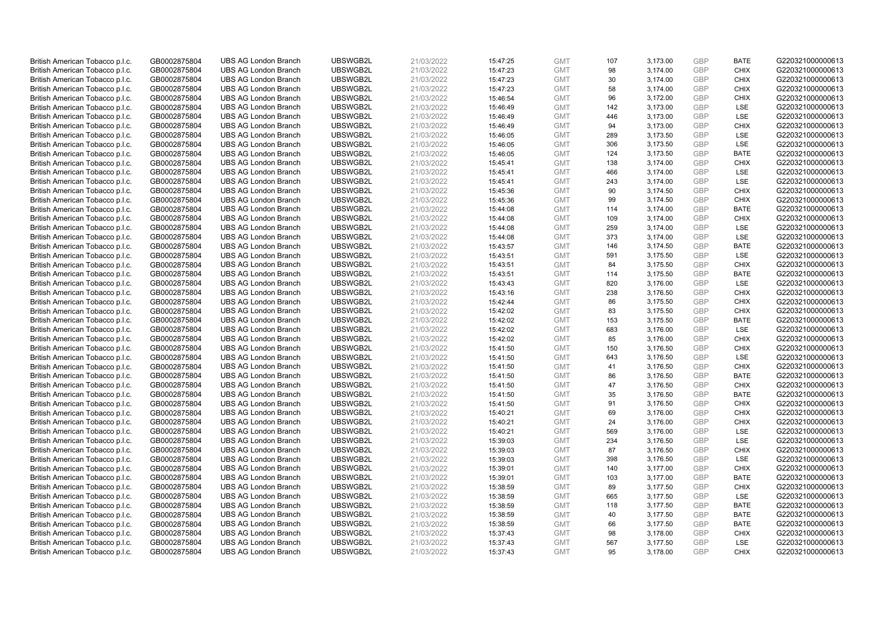| British American Tobacco p.l.c. | GB0002875804 | <b>UBS AG London Branch</b> | UBSWGB2L | 21/03/2022 | 15:47:25 | <b>GMT</b> | 107 | 3,173.00 | <b>GBP</b> | <b>BATE</b> | G220321000000613 |
|---------------------------------|--------------|-----------------------------|----------|------------|----------|------------|-----|----------|------------|-------------|------------------|
| British American Tobacco p.l.c. | GB0002875804 | <b>UBS AG London Branch</b> | UBSWGB2L | 21/03/2022 | 15:47:23 | <b>GMT</b> | 98  | 3,174.00 | <b>GBP</b> | <b>CHIX</b> | G220321000000613 |
| British American Tobacco p.l.c. | GB0002875804 | <b>UBS AG London Branch</b> | UBSWGB2L | 21/03/2022 | 15:47:23 | <b>GMT</b> | 30  | 3,174.00 | <b>GBP</b> | <b>CHIX</b> | G220321000000613 |
| British American Tobacco p.l.c. | GB0002875804 | <b>UBS AG London Branch</b> | UBSWGB2L | 21/03/2022 | 15:47:23 | <b>GMT</b> | 58  | 3,174.00 | GBP        | <b>CHIX</b> | G220321000000613 |
| British American Tobacco p.l.c. | GB0002875804 | <b>UBS AG London Branch</b> | UBSWGB2L | 21/03/2022 | 15:46:54 | <b>GMT</b> | 96  | 3,172.00 | <b>GBP</b> | <b>CHIX</b> | G220321000000613 |
| British American Tobacco p.l.c. | GB0002875804 | <b>UBS AG London Branch</b> | UBSWGB2L | 21/03/2022 | 15:46:49 | <b>GMT</b> | 142 | 3,173.00 | <b>GBP</b> | <b>LSE</b>  | G220321000000613 |
| British American Tobacco p.l.c. | GB0002875804 | <b>UBS AG London Branch</b> | UBSWGB2L | 21/03/2022 | 15:46:49 | <b>GMT</b> | 446 | 3,173.00 | <b>GBP</b> | LSE         | G220321000000613 |
| British American Tobacco p.l.c. | GB0002875804 | <b>UBS AG London Branch</b> | UBSWGB2L | 21/03/2022 | 15:46:49 | <b>GMT</b> | 94  | 3,173.00 | GBP        | <b>CHIX</b> | G220321000000613 |
| British American Tobacco p.l.c. | GB0002875804 | <b>UBS AG London Branch</b> | UBSWGB2L | 21/03/2022 | 15:46:05 | <b>GMT</b> | 289 | 3,173.50 | <b>GBP</b> | LSE         | G220321000000613 |
| British American Tobacco p.l.c. | GB0002875804 | <b>UBS AG London Branch</b> | UBSWGB2L | 21/03/2022 | 15:46:05 | <b>GMT</b> | 306 | 3,173.50 | <b>GBP</b> | LSE         | G220321000000613 |
| British American Tobacco p.l.c. | GB0002875804 | <b>UBS AG London Branch</b> | UBSWGB2L | 21/03/2022 | 15:46:05 | <b>GMT</b> | 124 | 3,173.50 | <b>GBP</b> | <b>BATE</b> | G220321000000613 |
| British American Tobacco p.l.c. | GB0002875804 | <b>UBS AG London Branch</b> | UBSWGB2L | 21/03/2022 | 15:45:41 | <b>GMT</b> | 138 | 3,174.00 | <b>GBP</b> | <b>CHIX</b> | G220321000000613 |
| British American Tobacco p.l.c. | GB0002875804 | <b>UBS AG London Branch</b> | UBSWGB2L | 21/03/2022 | 15:45:41 | <b>GMT</b> | 466 | 3,174.00 | <b>GBP</b> | LSE         | G220321000000613 |
| British American Tobacco p.l.c. | GB0002875804 | <b>UBS AG London Branch</b> | UBSWGB2L | 21/03/2022 | 15:45:41 | <b>GMT</b> | 243 | 3,174.00 | <b>GBP</b> | <b>LSE</b>  | G220321000000613 |
| British American Tobacco p.l.c. | GB0002875804 | <b>UBS AG London Branch</b> | UBSWGB2L | 21/03/2022 | 15:45:36 | <b>GMT</b> | 90  | 3,174.50 | <b>GBP</b> | <b>CHIX</b> | G220321000000613 |
| British American Tobacco p.l.c. | GB0002875804 | <b>UBS AG London Branch</b> | UBSWGB2L | 21/03/2022 | 15:45:36 | <b>GMT</b> | 99  | 3,174.50 | <b>GBP</b> | <b>CHIX</b> | G220321000000613 |
| British American Tobacco p.l.c. | GB0002875804 | <b>UBS AG London Branch</b> | UBSWGB2L | 21/03/2022 | 15:44:08 | <b>GMT</b> | 114 | 3,174.00 | <b>GBP</b> | <b>BATE</b> | G220321000000613 |
| British American Tobacco p.l.c. | GB0002875804 | <b>UBS AG London Branch</b> | UBSWGB2L | 21/03/2022 | 15:44:08 | <b>GMT</b> | 109 | 3,174.00 | <b>GBP</b> | <b>CHIX</b> | G220321000000613 |
| British American Tobacco p.l.c. | GB0002875804 | <b>UBS AG London Branch</b> | UBSWGB2L | 21/03/2022 | 15:44:08 | <b>GMT</b> | 259 | 3,174.00 | GBP        | <b>LSE</b>  | G220321000000613 |
| British American Tobacco p.l.c. | GB0002875804 | <b>UBS AG London Branch</b> | UBSWGB2L | 21/03/2022 | 15:44:08 | <b>GMT</b> | 373 | 3,174.00 | <b>GBP</b> | LSE         | G220321000000613 |
| British American Tobacco p.l.c. | GB0002875804 | <b>UBS AG London Branch</b> | UBSWGB2L | 21/03/2022 | 15:43:57 | <b>GMT</b> | 146 | 3,174.50 | GBP        | <b>BATE</b> | G220321000000613 |
| British American Tobacco p.l.c. | GB0002875804 | <b>UBS AG London Branch</b> | UBSWGB2L | 21/03/2022 | 15:43:51 | <b>GMT</b> | 591 | 3,175.50 | <b>GBP</b> | LSE         | G220321000000613 |
| British American Tobacco p.l.c. | GB0002875804 | <b>UBS AG London Branch</b> | UBSWGB2L | 21/03/2022 | 15:43:51 | <b>GMT</b> | 84  | 3,175.50 | GBP        | <b>CHIX</b> | G220321000000613 |
| British American Tobacco p.l.c. | GB0002875804 | <b>UBS AG London Branch</b> | UBSWGB2L | 21/03/2022 | 15:43:51 | <b>GMT</b> | 114 | 3,175.50 | <b>GBP</b> | <b>BATE</b> | G220321000000613 |
| British American Tobacco p.l.c. | GB0002875804 | <b>UBS AG London Branch</b> | UBSWGB2L | 21/03/2022 | 15:43:43 | <b>GMT</b> | 820 | 3,176.00 | <b>GBP</b> | LSE         | G220321000000613 |
| British American Tobacco p.l.c. | GB0002875804 | <b>UBS AG London Branch</b> | UBSWGB2L | 21/03/2022 | 15:43:16 | <b>GMT</b> | 238 | 3,176.50 | <b>GBP</b> | <b>CHIX</b> | G220321000000613 |
| British American Tobacco p.l.c. | GB0002875804 | <b>UBS AG London Branch</b> | UBSWGB2L | 21/03/2022 | 15:42:44 | <b>GMT</b> | 86  | 3,175.50 | <b>GBP</b> | <b>CHIX</b> | G220321000000613 |
| British American Tobacco p.l.c. | GB0002875804 | <b>UBS AG London Branch</b> | UBSWGB2L | 21/03/2022 | 15:42:02 | <b>GMT</b> | 83  | 3,175.50 | GBP        | <b>CHIX</b> | G220321000000613 |
| British American Tobacco p.l.c. | GB0002875804 | <b>UBS AG London Branch</b> | UBSWGB2L | 21/03/2022 | 15:42:02 | <b>GMT</b> | 153 | 3,175.50 | <b>GBP</b> | <b>BATE</b> | G220321000000613 |
| British American Tobacco p.l.c. | GB0002875804 | <b>UBS AG London Branch</b> | UBSWGB2L | 21/03/2022 | 15:42:02 | <b>GMT</b> | 683 | 3,176.00 | GBP        | LSE         | G220321000000613 |
| British American Tobacco p.l.c. | GB0002875804 | <b>UBS AG London Branch</b> | UBSWGB2L | 21/03/2022 | 15:42:02 | <b>GMT</b> | 85  | 3,176.00 | GBP        | <b>CHIX</b> | G220321000000613 |
| British American Tobacco p.l.c. | GB0002875804 | <b>UBS AG London Branch</b> | UBSWGB2L | 21/03/2022 | 15:41:50 | <b>GMT</b> | 150 | 3,176.50 | <b>GBP</b> | <b>CHIX</b> | G220321000000613 |
| British American Tobacco p.l.c. | GB0002875804 | <b>UBS AG London Branch</b> | UBSWGB2L | 21/03/2022 | 15:41:50 | <b>GMT</b> | 643 | 3,176.50 | <b>GBP</b> | LSE         | G220321000000613 |
| British American Tobacco p.l.c. | GB0002875804 | <b>UBS AG London Branch</b> | UBSWGB2L | 21/03/2022 | 15:41:50 | <b>GMT</b> | 41  | 3,176.50 | GBP        | <b>CHIX</b> | G220321000000613 |
| British American Tobacco p.l.c. | GB0002875804 | <b>UBS AG London Branch</b> | UBSWGB2L | 21/03/2022 | 15:41:50 | <b>GMT</b> | 86  | 3,176.50 | GBP        | <b>BATE</b> | G220321000000613 |
| British American Tobacco p.l.c. | GB0002875804 | <b>UBS AG London Branch</b> | UBSWGB2L | 21/03/2022 | 15:41:50 | <b>GMT</b> | 47  | 3,176.50 | <b>GBP</b> | <b>CHIX</b> | G220321000000613 |
| British American Tobacco p.l.c. | GB0002875804 | <b>UBS AG London Branch</b> | UBSWGB2L | 21/03/2022 | 15:41:50 | <b>GMT</b> | 35  | 3,176.50 | GBP        | <b>BATE</b> | G220321000000613 |
| British American Tobacco p.l.c. | GB0002875804 | <b>UBS AG London Branch</b> | UBSWGB2L | 21/03/2022 | 15:41:50 | <b>GMT</b> | 91  | 3,176.50 | <b>GBP</b> | <b>CHIX</b> | G220321000000613 |
| British American Tobacco p.l.c. | GB0002875804 | <b>UBS AG London Branch</b> | UBSWGB2L | 21/03/2022 | 15:40:21 | <b>GMT</b> | 69  | 3,176.00 | <b>GBP</b> | <b>CHIX</b> | G220321000000613 |
| British American Tobacco p.l.c. | GB0002875804 | <b>UBS AG London Branch</b> | UBSWGB2L | 21/03/2022 | 15:40:21 | <b>GMT</b> | 24  | 3,176.00 | <b>GBP</b> | <b>CHIX</b> | G220321000000613 |
| British American Tobacco p.l.c. | GB0002875804 | <b>UBS AG London Branch</b> | UBSWGB2L | 21/03/2022 | 15:40:21 | <b>GMT</b> | 569 | 3,176.00 | GBP        | <b>LSE</b>  | G220321000000613 |
| British American Tobacco p.l.c. | GB0002875804 | <b>UBS AG London Branch</b> | UBSWGB2L | 21/03/2022 | 15:39:03 | <b>GMT</b> | 234 | 3,176.50 | <b>GBP</b> | LSE         | G220321000000613 |
| British American Tobacco p.l.c. | GB0002875804 | <b>UBS AG London Branch</b> | UBSWGB2L | 21/03/2022 | 15:39:03 | <b>GMT</b> | 87  | 3,176.50 | GBP        | <b>CHIX</b> | G220321000000613 |
| British American Tobacco p.l.c. | GB0002875804 | <b>UBS AG London Branch</b> | UBSWGB2L | 21/03/2022 | 15:39:03 | <b>GMT</b> | 398 | 3,176.50 | GBP        | <b>LSE</b>  | G220321000000613 |
| British American Tobacco p.l.c. | GB0002875804 | <b>UBS AG London Branch</b> | UBSWGB2L | 21/03/2022 | 15:39:01 | <b>GMT</b> | 140 | 3,177.00 | <b>GBP</b> | <b>CHIX</b> | G220321000000613 |
| British American Tobacco p.l.c. | GB0002875804 | <b>UBS AG London Branch</b> | UBSWGB2L | 21/03/2022 | 15:39:01 | <b>GMT</b> | 103 | 3,177.00 | <b>GBP</b> | <b>BATE</b> | G220321000000613 |
| British American Tobacco p.l.c. | GB0002875804 | <b>UBS AG London Branch</b> | UBSWGB2L | 21/03/2022 | 15:38:59 | <b>GMT</b> | 89  | 3,177.50 | <b>GBP</b> | <b>CHIX</b> | G220321000000613 |
| British American Tobacco p.l.c. | GB0002875804 | <b>UBS AG London Branch</b> | UBSWGB2L | 21/03/2022 | 15:38:59 | <b>GMT</b> | 665 | 3,177.50 | GBP        | LSE         | G220321000000613 |
| British American Tobacco p.l.c. | GB0002875804 | <b>UBS AG London Branch</b> | UBSWGB2L | 21/03/2022 | 15:38:59 | <b>GMT</b> | 118 | 3,177.50 | <b>GBP</b> | <b>BATE</b> | G220321000000613 |
| British American Tobacco p.l.c. | GB0002875804 | <b>UBS AG London Branch</b> | UBSWGB2L | 21/03/2022 | 15:38:59 | <b>GMT</b> | 40  | 3,177.50 | GBP        | <b>BATE</b> | G220321000000613 |
| British American Tobacco p.l.c. | GB0002875804 | <b>UBS AG London Branch</b> | UBSWGB2L | 21/03/2022 | 15:38:59 | <b>GMT</b> | 66  | 3,177.50 | GBP        | <b>BATE</b> | G220321000000613 |
| British American Tobacco p.l.c. | GB0002875804 | <b>UBS AG London Branch</b> | UBSWGB2L | 21/03/2022 | 15:37:43 | <b>GMT</b> | 98  | 3,178.00 | <b>GBP</b> | <b>CHIX</b> | G220321000000613 |
| British American Tobacco p.l.c. | GB0002875804 | <b>UBS AG London Branch</b> | UBSWGB2L | 21/03/2022 | 15:37:43 | <b>GMT</b> | 567 | 3,177.50 | GBP        | <b>LSE</b>  | G220321000000613 |
| British American Tobacco p.l.c. | GB0002875804 | <b>UBS AG London Branch</b> | UBSWGB2L | 21/03/2022 | 15:37:43 | <b>GMT</b> | 95  | 3.178.00 | GBP        | <b>CHIX</b> | G220321000000613 |
|                                 |              |                             |          |            |          |            |     |          |            |             |                  |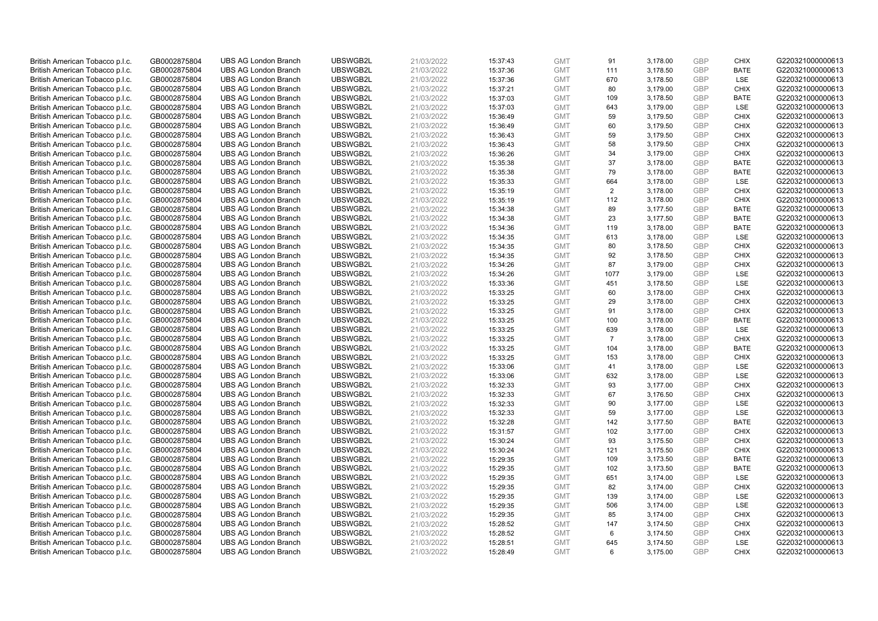| British American Tobacco p.l.c. | GB0002875804 | <b>UBS AG London Branch</b> | UBSWGB2L | 21/03/2022 | 15:37:43 | <b>GMT</b> | 91             | 3,178.00 | <b>GBP</b> | <b>CHIX</b> | G220321000000613 |
|---------------------------------|--------------|-----------------------------|----------|------------|----------|------------|----------------|----------|------------|-------------|------------------|
| British American Tobacco p.l.c. | GB0002875804 | <b>UBS AG London Branch</b> | UBSWGB2L | 21/03/2022 | 15:37:36 | <b>GMT</b> | 111            | 3,178.50 | GBP        | <b>BATE</b> | G220321000000613 |
| British American Tobacco p.l.c. | GB0002875804 | <b>UBS AG London Branch</b> | UBSWGB2L | 21/03/2022 | 15:37:36 | <b>GMT</b> | 670            | 3,178.50 | GBP        | LSE         | G220321000000613 |
| British American Tobacco p.l.c. | GB0002875804 | <b>UBS AG London Branch</b> | UBSWGB2L | 21/03/2022 | 15:37:21 | <b>GMT</b> | 80             | 3,179.00 | GBP        | <b>CHIX</b> | G220321000000613 |
| British American Tobacco p.l.c. | GB0002875804 | <b>UBS AG London Branch</b> | UBSWGB2L | 21/03/2022 | 15:37:03 | <b>GMT</b> | 109            | 3,178.50 | <b>GBP</b> | <b>BATE</b> | G220321000000613 |
| British American Tobacco p.l.c. | GB0002875804 | <b>UBS AG London Branch</b> | UBSWGB2L | 21/03/2022 | 15:37:03 | <b>GMT</b> | 643            | 3,179.00 | <b>GBP</b> | <b>LSE</b>  | G220321000000613 |
| British American Tobacco p.l.c. | GB0002875804 | <b>UBS AG London Branch</b> | UBSWGB2L | 21/03/2022 | 15:36:49 | <b>GMT</b> | 59             | 3,179.50 | <b>GBP</b> | <b>CHIX</b> | G220321000000613 |
| British American Tobacco p.l.c. | GB0002875804 | <b>UBS AG London Branch</b> | UBSWGB2L | 21/03/2022 | 15:36:49 | <b>GMT</b> | 60             | 3,179.50 | GBP        | <b>CHIX</b> | G220321000000613 |
| British American Tobacco p.l.c. | GB0002875804 | <b>UBS AG London Branch</b> | UBSWGB2L | 21/03/2022 | 15:36:43 | <b>GMT</b> | 59             | 3,179.50 | GBP        | <b>CHIX</b> | G220321000000613 |
| British American Tobacco p.l.c. | GB0002875804 | <b>UBS AG London Branch</b> | UBSWGB2L | 21/03/2022 | 15:36:43 | <b>GMT</b> | 58             | 3,179.50 | <b>GBP</b> | <b>CHIX</b> | G220321000000613 |
| British American Tobacco p.l.c. | GB0002875804 | <b>UBS AG London Branch</b> | UBSWGB2L | 21/03/2022 | 15:36:26 | <b>GMT</b> | 34             | 3.179.00 | GBP        | <b>CHIX</b> | G220321000000613 |
| British American Tobacco p.l.c. | GB0002875804 | <b>UBS AG London Branch</b> | UBSWGB2L | 21/03/2022 | 15:35:38 | <b>GMT</b> | 37             | 3,178.00 | <b>GBP</b> | <b>BATE</b> | G220321000000613 |
| British American Tobacco p.l.c. | GB0002875804 | <b>UBS AG London Branch</b> | UBSWGB2L | 21/03/2022 | 15:35:38 | <b>GMT</b> | 79             | 3,178.00 | GBP        | <b>BATE</b> | G220321000000613 |
| British American Tobacco p.l.c. | GB0002875804 | <b>UBS AG London Branch</b> | UBSWGB2L | 21/03/2022 | 15:35:33 | <b>GMT</b> | 664            | 3,178.00 | <b>GBP</b> | <b>LSE</b>  | G220321000000613 |
| British American Tobacco p.l.c. | GB0002875804 | <b>UBS AG London Branch</b> | UBSWGB2L | 21/03/2022 | 15:35:19 | <b>GMT</b> | $\overline{2}$ | 3,178.00 | GBP        | <b>CHIX</b> | G220321000000613 |
| British American Tobacco p.l.c. | GB0002875804 | <b>UBS AG London Branch</b> | UBSWGB2L | 21/03/2022 | 15:35:19 | <b>GMT</b> | 112            | 3,178.00 | <b>GBP</b> | <b>CHIX</b> | G220321000000613 |
| British American Tobacco p.l.c. | GB0002875804 | <b>UBS AG London Branch</b> | UBSWGB2L | 21/03/2022 | 15:34:38 | <b>GMT</b> | 89             | 3,177.50 | GBP        | <b>BATE</b> | G220321000000613 |
| British American Tobacco p.l.c. | GB0002875804 | <b>UBS AG London Branch</b> | UBSWGB2L | 21/03/2022 | 15:34:38 | <b>GMT</b> | 23             | 3,177.50 | <b>GBP</b> | <b>BATE</b> | G220321000000613 |
| British American Tobacco p.l.c. | GB0002875804 | <b>UBS AG London Branch</b> | UBSWGB2L | 21/03/2022 | 15:34:36 | <b>GMT</b> | 119            | 3,178.00 | GBP        | <b>BATE</b> | G220321000000613 |
| British American Tobacco p.l.c. | GB0002875804 | <b>UBS AG London Branch</b> | UBSWGB2L | 21/03/2022 | 15:34:35 | <b>GMT</b> | 613            | 3,178.00 | <b>GBP</b> | LSE         | G220321000000613 |
| British American Tobacco p.l.c. | GB0002875804 | <b>UBS AG London Branch</b> | UBSWGB2L | 21/03/2022 | 15:34:35 | <b>GMT</b> | 80             | 3,178.50 | GBP        | <b>CHIX</b> | G220321000000613 |
| British American Tobacco p.l.c. | GB0002875804 | <b>UBS AG London Branch</b> | UBSWGB2L | 21/03/2022 | 15:34:35 | <b>GMT</b> | 92             | 3,178.50 | GBP        | <b>CHIX</b> | G220321000000613 |
| British American Tobacco p.l.c. | GB0002875804 | <b>UBS AG London Branch</b> | UBSWGB2L | 21/03/2022 | 15:34:26 | <b>GMT</b> | 87             | 3,179.00 | GBP        | <b>CHIX</b> | G220321000000613 |
| British American Tobacco p.l.c. | GB0002875804 | <b>UBS AG London Branch</b> | UBSWGB2L | 21/03/2022 | 15:34:26 | <b>GMT</b> | 1077           | 3,179.00 | GBP        | <b>LSE</b>  | G220321000000613 |
| British American Tobacco p.l.c. | GB0002875804 | <b>UBS AG London Branch</b> | UBSWGB2L | 21/03/2022 | 15:33:36 | <b>GMT</b> | 451            | 3,178.50 | <b>GBP</b> | LSE         | G220321000000613 |
| British American Tobacco p.l.c. | GB0002875804 | <b>UBS AG London Branch</b> | UBSWGB2L | 21/03/2022 | 15:33:25 | <b>GMT</b> | 60             | 3,178.00 | <b>GBP</b> | <b>CHIX</b> | G220321000000613 |
| British American Tobacco p.l.c. | GB0002875804 | <b>UBS AG London Branch</b> | UBSWGB2L | 21/03/2022 | 15:33:25 | <b>GMT</b> | 29             | 3,178.00 | <b>GBP</b> | <b>CHIX</b> | G220321000000613 |
| British American Tobacco p.l.c. | GB0002875804 | <b>UBS AG London Branch</b> | UBSWGB2L | 21/03/2022 | 15:33:25 | <b>GMT</b> | 91             | 3,178.00 | GBP        | <b>CHIX</b> | G220321000000613 |
| British American Tobacco p.l.c. | GB0002875804 | <b>UBS AG London Branch</b> | UBSWGB2L | 21/03/2022 | 15:33:25 | <b>GMT</b> | 100            | 3,178.00 | <b>GBP</b> | <b>BATE</b> | G220321000000613 |
| British American Tobacco p.l.c. | GB0002875804 | <b>UBS AG London Branch</b> | UBSWGB2L | 21/03/2022 | 15:33:25 | <b>GMT</b> | 639            | 3,178.00 | GBP        | LSE         | G220321000000613 |
| British American Tobacco p.l.c. | GB0002875804 | <b>UBS AG London Branch</b> | UBSWGB2L | 21/03/2022 | 15:33:25 | <b>GMT</b> | $\overline{7}$ | 3,178.00 | GBP        | <b>CHIX</b> | G220321000000613 |
| British American Tobacco p.l.c. | GB0002875804 | <b>UBS AG London Branch</b> | UBSWGB2L | 21/03/2022 | 15:33:25 | <b>GMT</b> | 104            | 3,178.00 | <b>GBP</b> | <b>BATE</b> | G220321000000613 |
| British American Tobacco p.l.c. | GB0002875804 | <b>UBS AG London Branch</b> | UBSWGB2L | 21/03/2022 | 15:33:25 | <b>GMT</b> | 153            | 3,178.00 | <b>GBP</b> | <b>CHIX</b> | G220321000000613 |
| British American Tobacco p.l.c. | GB0002875804 | <b>UBS AG London Branch</b> | UBSWGB2L | 21/03/2022 | 15:33:06 | <b>GMT</b> | 41             | 3,178.00 | GBP        | LSE         | G220321000000613 |
| British American Tobacco p.l.c. | GB0002875804 | <b>UBS AG London Branch</b> | UBSWGB2L | 21/03/2022 | 15:33:06 | <b>GMT</b> | 632            | 3,178.00 | GBP        | LSE         | G220321000000613 |
| British American Tobacco p.l.c. | GB0002875804 | <b>UBS AG London Branch</b> | UBSWGB2L | 21/03/2022 | 15:32:33 | <b>GMT</b> | 93             | 3,177.00 | GBP        | <b>CHIX</b> | G220321000000613 |
| British American Tobacco p.l.c. | GB0002875804 | <b>UBS AG London Branch</b> | UBSWGB2L | 21/03/2022 | 15:32:33 | <b>GMT</b> | 67             | 3,176.50 | GBP        | <b>CHIX</b> | G220321000000613 |
| British American Tobacco p.l.c. | GB0002875804 | <b>UBS AG London Branch</b> | UBSWGB2L | 21/03/2022 | 15:32:33 | <b>GMT</b> | 90             | 3,177.00 | <b>GBP</b> | LSE         | G220321000000613 |
| British American Tobacco p.l.c. | GB0002875804 | <b>UBS AG London Branch</b> | UBSWGB2L | 21/03/2022 | 15:32:33 | <b>GMT</b> | 59             | 3,177.00 | <b>GBP</b> | LSE         | G220321000000613 |
| British American Tobacco p.l.c. | GB0002875804 | <b>UBS AG London Branch</b> | UBSWGB2L | 21/03/2022 | 15:32:28 | <b>GMT</b> | 142            | 3,177.50 | <b>GBP</b> | <b>BATE</b> | G220321000000613 |
| British American Tobacco p.l.c. | GB0002875804 | <b>UBS AG London Branch</b> | UBSWGB2L | 21/03/2022 | 15:31:57 | <b>GMT</b> | 102            | 3,177.00 | GBP        | <b>CHIX</b> | G220321000000613 |
| British American Tobacco p.l.c. | GB0002875804 | <b>UBS AG London Branch</b> | UBSWGB2L | 21/03/2022 | 15:30:24 | <b>GMT</b> | 93             | 3,175.50 | <b>GBP</b> | <b>CHIX</b> | G220321000000613 |
| British American Tobacco p.l.c. | GB0002875804 | <b>UBS AG London Branch</b> | UBSWGB2L | 21/03/2022 | 15:30:24 | <b>GMT</b> | 121            | 3,175.50 | GBP        | <b>CHIX</b> | G220321000000613 |
| British American Tobacco p.l.c. | GB0002875804 | <b>UBS AG London Branch</b> | UBSWGB2L | 21/03/2022 | 15:29:35 | <b>GMT</b> | 109            | 3,173.50 | GBP        | <b>BATE</b> | G220321000000613 |
| British American Tobacco p.l.c. | GB0002875804 | <b>UBS AG London Branch</b> | UBSWGB2L | 21/03/2022 | 15:29:35 | <b>GMT</b> | 102            | 3,173.50 | <b>GBP</b> | <b>BATE</b> | G220321000000613 |
| British American Tobacco p.l.c. | GB0002875804 | <b>UBS AG London Branch</b> | UBSWGB2L | 21/03/2022 | 15:29:35 | <b>GMT</b> | 651            | 3,174.00 | <b>GBP</b> | LSE         | G220321000000613 |
| British American Tobacco p.l.c. | GB0002875804 | <b>UBS AG London Branch</b> | UBSWGB2L | 21/03/2022 | 15:29:35 | <b>GMT</b> | 82             | 3,174.00 | <b>GBP</b> | <b>CHIX</b> | G220321000000613 |
| British American Tobacco p.l.c. | GB0002875804 | <b>UBS AG London Branch</b> | UBSWGB2L | 21/03/2022 | 15:29:35 | <b>GMT</b> | 139            | 3,174.00 | GBP        | LSE         | G220321000000613 |
| British American Tobacco p.l.c. | GB0002875804 | <b>UBS AG London Branch</b> | UBSWGB2L | 21/03/2022 | 15:29:35 | <b>GMT</b> | 506            | 3,174.00 | <b>GBP</b> | LSE         | G220321000000613 |
| British American Tobacco p.l.c. | GB0002875804 | <b>UBS AG London Branch</b> | UBSWGB2L | 21/03/2022 | 15:29:35 | <b>GMT</b> | 85             | 3,174.00 | GBP        | <b>CHIX</b> | G220321000000613 |
| British American Tobacco p.l.c. | GB0002875804 | <b>UBS AG London Branch</b> | UBSWGB2L | 21/03/2022 | 15:28:52 | <b>GMT</b> | 147            | 3,174.50 | <b>GBP</b> | <b>CHIX</b> | G220321000000613 |
| British American Tobacco p.l.c. | GB0002875804 | <b>UBS AG London Branch</b> | UBSWGB2L | 21/03/2022 | 15:28:52 | <b>GMT</b> | 6              | 3,174.50 | <b>GBP</b> | <b>CHIX</b> | G220321000000613 |
| British American Tobacco p.l.c. | GB0002875804 | <b>UBS AG London Branch</b> | UBSWGB2L | 21/03/2022 | 15:28:51 | <b>GMT</b> | 645            | 3,174.50 | GBP        | <b>LSE</b>  | G220321000000613 |
| British American Tobacco p.l.c. | GB0002875804 | <b>UBS AG London Branch</b> | UBSWGB2L | 21/03/2022 | 15:28:49 | <b>GMT</b> | 6              | 3.175.00 | GBP        | <b>CHIX</b> | G220321000000613 |
|                                 |              |                             |          |            |          |            |                |          |            |             |                  |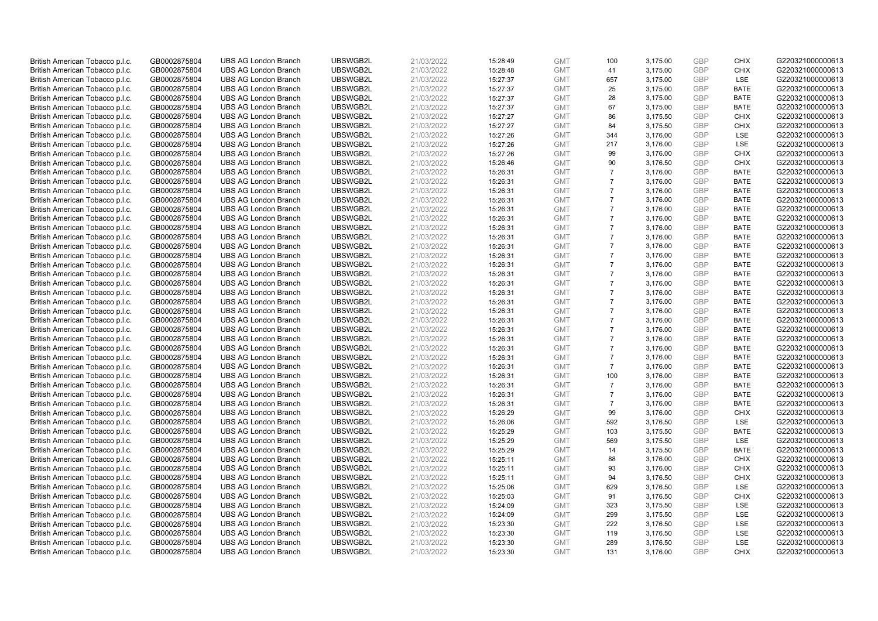| British American Tobacco p.l.c. | GB0002875804 | <b>UBS AG London Branch</b> | UBSWGB2L | 21/03/2022 | 15:28:49 | <b>GMT</b> | 100            | 3,175.00 | <b>GBP</b> | <b>CHIX</b> | G220321000000613 |
|---------------------------------|--------------|-----------------------------|----------|------------|----------|------------|----------------|----------|------------|-------------|------------------|
| British American Tobacco p.l.c. | GB0002875804 | <b>UBS AG London Branch</b> | UBSWGB2L | 21/03/2022 | 15:28:48 | <b>GMT</b> | 41             | 3,175.00 | GBP        | <b>CHIX</b> | G220321000000613 |
| British American Tobacco p.l.c. | GB0002875804 | <b>UBS AG London Branch</b> | UBSWGB2L | 21/03/2022 | 15:27:37 | <b>GMT</b> | 657            | 3,175.00 | GBP        | LSE         | G220321000000613 |
| British American Tobacco p.l.c. | GB0002875804 | <b>UBS AG London Branch</b> | UBSWGB2L | 21/03/2022 | 15:27:37 | <b>GMT</b> | 25             | 3,175.00 | GBP        | <b>BATE</b> | G220321000000613 |
| British American Tobacco p.l.c. | GB0002875804 | <b>UBS AG London Branch</b> | UBSWGB2L | 21/03/2022 | 15:27:37 | <b>GMT</b> | 28             | 3,175.00 | GBP        | <b>BATE</b> | G220321000000613 |
| British American Tobacco p.l.c. | GB0002875804 | <b>UBS AG London Branch</b> | UBSWGB2L | 21/03/2022 | 15:27:37 | <b>GMT</b> | 67             | 3,175.00 | <b>GBP</b> | <b>BATE</b> | G220321000000613 |
| British American Tobacco p.l.c. | GB0002875804 | <b>UBS AG London Branch</b> | UBSWGB2L | 21/03/2022 | 15:27:27 | <b>GMT</b> | 86             | 3,175.50 | <b>GBP</b> | <b>CHIX</b> | G220321000000613 |
| British American Tobacco p.l.c. | GB0002875804 | <b>UBS AG London Branch</b> | UBSWGB2L | 21/03/2022 | 15:27:27 | <b>GMT</b> | 84             | 3,175.50 | GBP        | <b>CHIX</b> | G220321000000613 |
| British American Tobacco p.l.c. | GB0002875804 | <b>UBS AG London Branch</b> | UBSWGB2L | 21/03/2022 | 15:27:26 | <b>GMT</b> | 344            | 3,176.00 | GBP        | LSE         | G220321000000613 |
| British American Tobacco p.l.c. | GB0002875804 | <b>UBS AG London Branch</b> | UBSWGB2L | 21/03/2022 | 15:27:26 | <b>GMT</b> | 217            | 3,176.00 | GBP        | LSE         | G220321000000613 |
| British American Tobacco p.l.c. | GB0002875804 | <b>UBS AG London Branch</b> | UBSWGB2L | 21/03/2022 | 15:27:26 | <b>GMT</b> | 99             | 3,176.00 | GBP        | <b>CHIX</b> | G220321000000613 |
| British American Tobacco p.l.c. | GB0002875804 | <b>UBS AG London Branch</b> | UBSWGB2L | 21/03/2022 | 15:26:46 | <b>GMT</b> | 90             | 3,176.50 | <b>GBP</b> | <b>CHIX</b> | G220321000000613 |
| British American Tobacco p.l.c. | GB0002875804 | <b>UBS AG London Branch</b> | UBSWGB2L | 21/03/2022 | 15:26:31 | <b>GMT</b> | $\overline{7}$ | 3,176.00 | GBP        | <b>BATE</b> | G220321000000613 |
| British American Tobacco p.l.c. | GB0002875804 | <b>UBS AG London Branch</b> | UBSWGB2L | 21/03/2022 | 15:26:31 | <b>GMT</b> | $\overline{7}$ | 3,176.00 | <b>GBP</b> | <b>BATE</b> | G220321000000613 |
| British American Tobacco p.l.c. | GB0002875804 | <b>UBS AG London Branch</b> | UBSWGB2L | 21/03/2022 | 15:26:31 | <b>GMT</b> | $\overline{7}$ | 3,176.00 | <b>GBP</b> | <b>BATE</b> | G220321000000613 |
| British American Tobacco p.l.c. | GB0002875804 | <b>UBS AG London Branch</b> | UBSWGB2L | 21/03/2022 | 15:26:31 | <b>GMT</b> | $\overline{7}$ | 3,176.00 | <b>GBP</b> | <b>BATE</b> | G220321000000613 |
| British American Tobacco p.l.c. | GB0002875804 | <b>UBS AG London Branch</b> | UBSWGB2L | 21/03/2022 | 15:26:31 | <b>GMT</b> | $\overline{7}$ | 3,176.00 | GBP        | <b>BATE</b> | G220321000000613 |
| British American Tobacco p.l.c. | GB0002875804 | <b>UBS AG London Branch</b> | UBSWGB2L | 21/03/2022 | 15:26:31 | <b>GMT</b> | $\overline{7}$ | 3,176.00 | GBP        | <b>BATE</b> | G220321000000613 |
| British American Tobacco p.l.c. | GB0002875804 | <b>UBS AG London Branch</b> | UBSWGB2L | 21/03/2022 | 15:26:31 | <b>GMT</b> | $\overline{7}$ | 3,176.00 | GBP        | <b>BATE</b> | G220321000000613 |
| British American Tobacco p.l.c. | GB0002875804 | <b>UBS AG London Branch</b> | UBSWGB2L | 21/03/2022 | 15:26:31 | <b>GMT</b> | $\overline{7}$ | 3,176.00 | GBP        | <b>BATE</b> | G220321000000613 |
| British American Tobacco p.l.c. | GB0002875804 | <b>UBS AG London Branch</b> | UBSWGB2L | 21/03/2022 | 15:26:31 | <b>GMT</b> | $\overline{7}$ | 3,176.00 | GBP        | <b>BATE</b> | G220321000000613 |
| British American Tobacco p.l.c. | GB0002875804 | <b>UBS AG London Branch</b> | UBSWGB2L | 21/03/2022 | 15:26:31 | <b>GMT</b> | $\overline{7}$ | 3,176.00 | GBP        | <b>BATE</b> | G220321000000613 |
| British American Tobacco p.l.c. | GB0002875804 | <b>UBS AG London Branch</b> | UBSWGB2L | 21/03/2022 | 15:26:31 | <b>GMT</b> | $\overline{7}$ | 3,176.00 | <b>GBP</b> | <b>BATE</b> | G220321000000613 |
| British American Tobacco p.l.c. | GB0002875804 | <b>UBS AG London Branch</b> | UBSWGB2L | 21/03/2022 | 15:26:31 | <b>GMT</b> | $\overline{7}$ | 3,176.00 | GBP        | <b>BATE</b> | G220321000000613 |
| British American Tobacco p.l.c. | GB0002875804 | <b>UBS AG London Branch</b> | UBSWGB2L | 21/03/2022 | 15:26:31 | <b>GMT</b> | $\overline{7}$ | 3,176.00 | <b>GBP</b> | <b>BATE</b> | G220321000000613 |
| British American Tobacco p.l.c. | GB0002875804 | <b>UBS AG London Branch</b> | UBSWGB2L | 21/03/2022 | 15:26:31 | <b>GMT</b> | $\overline{7}$ | 3,176.00 | <b>GBP</b> | <b>BATE</b> | G220321000000613 |
| British American Tobacco p.l.c. | GB0002875804 | <b>UBS AG London Branch</b> | UBSWGB2L | 21/03/2022 | 15:26:31 | <b>GMT</b> | $\overline{7}$ | 3,176.00 | <b>GBP</b> | <b>BATE</b> | G220321000000613 |
| British American Tobacco p.l.c. | GB0002875804 | <b>UBS AG London Branch</b> | UBSWGB2L | 21/03/2022 | 15:26:31 | <b>GMT</b> | $\overline{7}$ | 3,176.00 | <b>GBP</b> | <b>BATE</b> | G220321000000613 |
| British American Tobacco p.l.c. | GB0002875804 | <b>UBS AG London Branch</b> | UBSWGB2L | 21/03/2022 | 15:26:31 | <b>GMT</b> | $\overline{7}$ | 3,176.00 | <b>GBP</b> | <b>BATE</b> | G220321000000613 |
| British American Tobacco p.l.c. | GB0002875804 | <b>UBS AG London Branch</b> | UBSWGB2L | 21/03/2022 | 15:26:31 | <b>GMT</b> | $\overline{7}$ | 3,176.00 | GBP        | <b>BATE</b> | G220321000000613 |
| British American Tobacco p.l.c. | GB0002875804 | <b>UBS AG London Branch</b> | UBSWGB2L | 21/03/2022 | 15:26:31 | <b>GMT</b> | $\overline{7}$ | 3,176.00 | GBP        | <b>BATE</b> | G220321000000613 |
| British American Tobacco p.l.c. | GB0002875804 | <b>UBS AG London Branch</b> | UBSWGB2L | 21/03/2022 | 15:26:31 | <b>GMT</b> | $\overline{7}$ | 3,176.00 | <b>GBP</b> | <b>BATE</b> | G220321000000613 |
| British American Tobacco p.l.c. | GB0002875804 | <b>UBS AG London Branch</b> | UBSWGB2L | 21/03/2022 | 15:26:31 | <b>GMT</b> | $\overline{7}$ | 3,176.00 | GBP        | <b>BATE</b> | G220321000000613 |
| British American Tobacco p.l.c. | GB0002875804 | <b>UBS AG London Branch</b> | UBSWGB2L | 21/03/2022 | 15:26:31 | <b>GMT</b> | $\overline{7}$ | 3,176.00 | GBP        | <b>BATE</b> | G220321000000613 |
| British American Tobacco p.l.c. | GB0002875804 | <b>UBS AG London Branch</b> | UBSWGB2L | 21/03/2022 | 15:26:31 | <b>GMT</b> | 100            | 3,176.00 | GBP        | <b>BATE</b> | G220321000000613 |
| British American Tobacco p.l.c. | GB0002875804 | <b>UBS AG London Branch</b> | UBSWGB2L | 21/03/2022 | 15:26:31 | <b>GMT</b> | $\overline{7}$ | 3,176.00 | GBP        | <b>BATE</b> | G220321000000613 |
| British American Tobacco p.l.c. | GB0002875804 | <b>UBS AG London Branch</b> | UBSWGB2L | 21/03/2022 | 15:26:31 | <b>GMT</b> | $\overline{7}$ | 3,176.00 | GBP        | <b>BATE</b> | G220321000000613 |
| British American Tobacco p.l.c. | GB0002875804 | <b>UBS AG London Branch</b> | UBSWGB2L | 21/03/2022 | 15:26:31 | <b>GMT</b> | $\overline{7}$ | 3,176.00 | <b>GBP</b> | <b>BATE</b> | G220321000000613 |
| British American Tobacco p.l.c. | GB0002875804 | <b>UBS AG London Branch</b> | UBSWGB2L | 21/03/2022 | 15:26:29 | <b>GMT</b> | 99             | 3,176.00 | <b>GBP</b> | <b>CHIX</b> | G220321000000613 |
| British American Tobacco p.l.c. | GB0002875804 | <b>UBS AG London Branch</b> | UBSWGB2L | 21/03/2022 | 15:26:06 | <b>GMT</b> | 592            | 3,176.50 | <b>GBP</b> | <b>LSE</b>  | G220321000000613 |
| British American Tobacco p.l.c. | GB0002875804 | <b>UBS AG London Branch</b> | UBSWGB2L | 21/03/2022 | 15:25:29 | <b>GMT</b> | 103            | 3,175.50 | GBP        | <b>BATE</b> | G220321000000613 |
| British American Tobacco p.l.c. | GB0002875804 | <b>UBS AG London Branch</b> | UBSWGB2L | 21/03/2022 | 15:25:29 | <b>GMT</b> | 569            | 3,175.50 | <b>GBP</b> | <b>LSE</b>  | G220321000000613 |
| British American Tobacco p.l.c. | GB0002875804 | <b>UBS AG London Branch</b> | UBSWGB2L | 21/03/2022 | 15:25:29 | <b>GMT</b> | 14             | 3,175.50 | <b>GBP</b> | <b>BATE</b> | G220321000000613 |
| British American Tobacco p.l.c. | GB0002875804 | <b>UBS AG London Branch</b> | UBSWGB2L | 21/03/2022 | 15:25:11 | <b>GMT</b> | 88             | 3,176.00 | GBP        | <b>CHIX</b> | G220321000000613 |
| British American Tobacco p.l.c. | GB0002875804 | <b>UBS AG London Branch</b> | UBSWGB2L | 21/03/2022 | 15:25:11 | <b>GMT</b> | 93             | 3,176.00 | <b>GBP</b> | <b>CHIX</b> | G220321000000613 |
| British American Tobacco p.l.c. | GB0002875804 | <b>UBS AG London Branch</b> | UBSWGB2L | 21/03/2022 | 15:25:11 | <b>GMT</b> | 94             | 3,176.50 | <b>GBP</b> | <b>CHIX</b> | G220321000000613 |
| British American Tobacco p.l.c. | GB0002875804 | <b>UBS AG London Branch</b> | UBSWGB2L | 21/03/2022 | 15:25:06 | <b>GMT</b> | 629            | 3,176.50 | <b>GBP</b> | LSE         | G220321000000613 |
| British American Tobacco p.l.c. | GB0002875804 | <b>UBS AG London Branch</b> | UBSWGB2L | 21/03/2022 | 15:25:03 | <b>GMT</b> | 91             | 3,176.50 | GBP        | <b>CHIX</b> | G220321000000613 |
| British American Tobacco p.l.c. | GB0002875804 | <b>UBS AG London Branch</b> | UBSWGB2L | 21/03/2022 | 15:24:09 | <b>GMT</b> | 323            | 3,175.50 | <b>GBP</b> | LSE         | G220321000000613 |
| British American Tobacco p.l.c. | GB0002875804 | <b>UBS AG London Branch</b> | UBSWGB2L | 21/03/2022 | 15:24:09 | <b>GMT</b> | 299            | 3,175.50 | <b>GBP</b> | LSE         | G220321000000613 |
| British American Tobacco p.l.c. | GB0002875804 | <b>UBS AG London Branch</b> | UBSWGB2L | 21/03/2022 | 15:23:30 | <b>GMT</b> | 222            | 3,176.50 | <b>GBP</b> | LSE         | G220321000000613 |
| British American Tobacco p.l.c. | GB0002875804 | <b>UBS AG London Branch</b> | UBSWGB2L | 21/03/2022 | 15:23:30 | <b>GMT</b> | 119            | 3,176.50 | <b>GBP</b> | LSE         | G220321000000613 |
| British American Tobacco p.l.c. | GB0002875804 | <b>UBS AG London Branch</b> | UBSWGB2L | 21/03/2022 | 15:23:30 | <b>GMT</b> | 289            | 3,176.50 | GBP        | LSE         | G220321000000613 |
| British American Tobacco p.l.c. | GB0002875804 | <b>UBS AG London Branch</b> | UBSWGB2L | 21/03/2022 | 15:23:30 | <b>GMT</b> | 131            | 3.176.00 | GBP        | <b>CHIX</b> | G220321000000613 |
|                                 |              |                             |          |            |          |            |                |          |            |             |                  |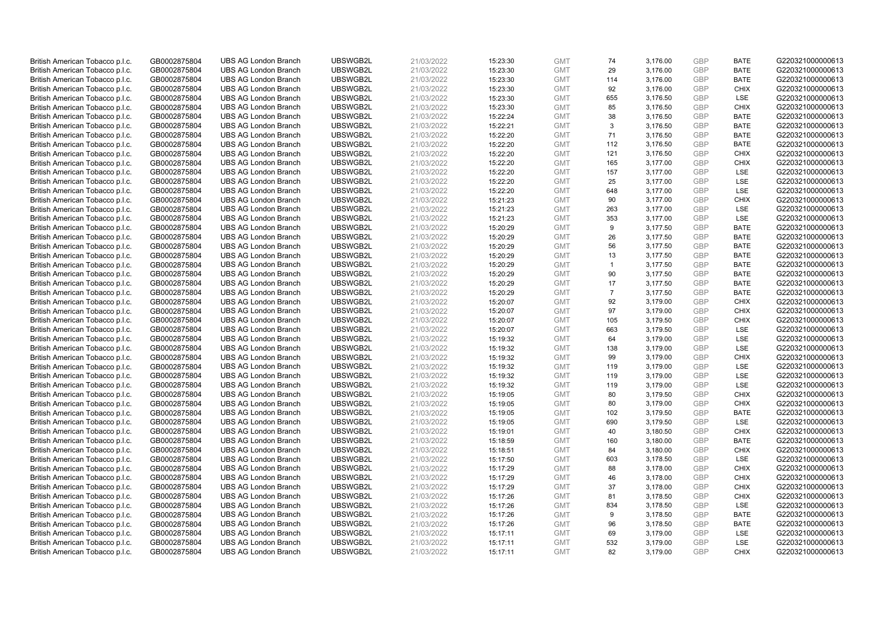| British American Tobacco p.l.c. | GB0002875804 | <b>UBS AG London Branch</b> | UBSWGB2L | 21/03/2022 | 15:23:30 | <b>GMT</b> | 74             | 3,176.00 | <b>GBP</b> | <b>BATE</b> | G220321000000613 |
|---------------------------------|--------------|-----------------------------|----------|------------|----------|------------|----------------|----------|------------|-------------|------------------|
| British American Tobacco p.l.c. | GB0002875804 | <b>UBS AG London Branch</b> | UBSWGB2L | 21/03/2022 | 15:23:30 | <b>GMT</b> | 29             | 3,176.00 | GBP        | <b>BATE</b> | G220321000000613 |
| British American Tobacco p.l.c. | GB0002875804 | <b>UBS AG London Branch</b> | UBSWGB2L | 21/03/2022 | 15:23:30 | <b>GMT</b> | 114            | 3,176.00 | GBP        | <b>BATE</b> | G220321000000613 |
| British American Tobacco p.l.c. | GB0002875804 | <b>UBS AG London Branch</b> | UBSWGB2L | 21/03/2022 | 15:23:30 | <b>GMT</b> | 92             | 3,176.00 | GBP        | <b>CHIX</b> | G220321000000613 |
| British American Tobacco p.l.c. | GB0002875804 | <b>UBS AG London Branch</b> | UBSWGB2L | 21/03/2022 | 15:23:30 | <b>GMT</b> | 655            | 3,176.50 | <b>GBP</b> | LSE         | G220321000000613 |
| British American Tobacco p.l.c. | GB0002875804 | <b>UBS AG London Branch</b> | UBSWGB2L | 21/03/2022 | 15:23:30 | <b>GMT</b> | 85             | 3,176.50 | GBP        | <b>CHIX</b> | G220321000000613 |
| British American Tobacco p.l.c. | GB0002875804 | <b>UBS AG London Branch</b> | UBSWGB2L | 21/03/2022 | 15:22:24 | <b>GMT</b> | 38             | 3,176.50 | <b>GBP</b> | <b>BATE</b> | G220321000000613 |
| British American Tobacco p.l.c. | GB0002875804 | <b>UBS AG London Branch</b> | UBSWGB2L | 21/03/2022 | 15:22:21 | <b>GMT</b> | 3              | 3,176.50 | GBP        | <b>BATE</b> | G220321000000613 |
| British American Tobacco p.l.c. | GB0002875804 | <b>UBS AG London Branch</b> | UBSWGB2L | 21/03/2022 | 15:22:20 | <b>GMT</b> | 71             | 3,176.50 | GBP        | <b>BATE</b> | G220321000000613 |
| British American Tobacco p.l.c. | GB0002875804 | <b>UBS AG London Branch</b> | UBSWGB2L | 21/03/2022 | 15:22:20 | <b>GMT</b> | 112            | 3,176.50 | <b>GBP</b> | <b>BATE</b> | G220321000000613 |
| British American Tobacco p.l.c. | GB0002875804 | <b>UBS AG London Branch</b> | UBSWGB2L | 21/03/2022 | 15:22:20 | <b>GMT</b> | 121            | 3,176.50 | GBP        | <b>CHIX</b> | G220321000000613 |
| British American Tobacco p.l.c. | GB0002875804 | <b>UBS AG London Branch</b> | UBSWGB2L | 21/03/2022 | 15:22:20 | <b>GMT</b> | 165            | 3,177.00 | <b>GBP</b> | <b>CHIX</b> | G220321000000613 |
| British American Tobacco p.l.c. | GB0002875804 | <b>UBS AG London Branch</b> | UBSWGB2L | 21/03/2022 | 15:22:20 | <b>GMT</b> | 157            | 3,177.00 | <b>GBP</b> | <b>LSE</b>  | G220321000000613 |
| British American Tobacco p.l.c. | GB0002875804 | <b>UBS AG London Branch</b> | UBSWGB2L | 21/03/2022 | 15:22:20 | <b>GMT</b> | 25             | 3,177.00 | <b>GBP</b> | <b>LSE</b>  | G220321000000613 |
| British American Tobacco p.l.c. | GB0002875804 | <b>UBS AG London Branch</b> | UBSWGB2L | 21/03/2022 | 15:22:20 | <b>GMT</b> | 648            | 3,177.00 | <b>GBP</b> | <b>LSE</b>  | G220321000000613 |
| British American Tobacco p.l.c. | GB0002875804 | <b>UBS AG London Branch</b> | UBSWGB2L | 21/03/2022 | 15:21:23 | <b>GMT</b> | 90             | 3,177.00 | <b>GBP</b> | <b>CHIX</b> | G220321000000613 |
| British American Tobacco p.l.c. | GB0002875804 | <b>UBS AG London Branch</b> | UBSWGB2L | 21/03/2022 | 15:21:23 | <b>GMT</b> | 263            | 3,177.00 | GBP        | <b>LSE</b>  | G220321000000613 |
| British American Tobacco p.l.c. | GB0002875804 | <b>UBS AG London Branch</b> | UBSWGB2L | 21/03/2022 | 15:21:23 | <b>GMT</b> | 353            | 3,177.00 | GBP        | LSE         | G220321000000613 |
| British American Tobacco p.l.c. | GB0002875804 | <b>UBS AG London Branch</b> | UBSWGB2L | 21/03/2022 | 15:20:29 | <b>GMT</b> | 9              | 3,177.50 | GBP        | <b>BATE</b> | G220321000000613 |
| British American Tobacco p.l.c. | GB0002875804 | <b>UBS AG London Branch</b> | UBSWGB2L | 21/03/2022 | 15:20:29 | <b>GMT</b> | 26             | 3,177.50 | <b>GBP</b> | <b>BATE</b> | G220321000000613 |
| British American Tobacco p.l.c. | GB0002875804 | <b>UBS AG London Branch</b> | UBSWGB2L | 21/03/2022 | 15:20:29 | <b>GMT</b> | 56             | 3,177.50 | GBP        | <b>BATE</b> | G220321000000613 |
| British American Tobacco p.l.c. | GB0002875804 | <b>UBS AG London Branch</b> | UBSWGB2L | 21/03/2022 | 15:20:29 | <b>GMT</b> | 13             | 3,177.50 | GBP        | <b>BATE</b> | G220321000000613 |
| British American Tobacco p.l.c. | GB0002875804 | <b>UBS AG London Branch</b> | UBSWGB2L | 21/03/2022 | 15:20:29 | <b>GMT</b> | $\mathbf{1}$   | 3,177.50 | GBP        | <b>BATE</b> | G220321000000613 |
| British American Tobacco p.l.c. | GB0002875804 | <b>UBS AG London Branch</b> | UBSWGB2L | 21/03/2022 | 15:20:29 | <b>GMT</b> | 90             | 3,177.50 | GBP        | <b>BATE</b> | G220321000000613 |
| British American Tobacco p.l.c. | GB0002875804 | <b>UBS AG London Branch</b> | UBSWGB2L | 21/03/2022 | 15:20:29 | <b>GMT</b> | 17             | 3,177.50 | <b>GBP</b> | <b>BATE</b> | G220321000000613 |
| British American Tobacco p.l.c. | GB0002875804 | <b>UBS AG London Branch</b> | UBSWGB2L | 21/03/2022 | 15:20:29 | <b>GMT</b> | $\overline{7}$ | 3,177.50 | <b>GBP</b> | <b>BATE</b> | G220321000000613 |
| British American Tobacco p.l.c. | GB0002875804 | <b>UBS AG London Branch</b> | UBSWGB2L | 21/03/2022 | 15:20:07 | <b>GMT</b> | 92             | 3,179.00 | <b>GBP</b> | <b>CHIX</b> | G220321000000613 |
| British American Tobacco p.l.c. | GB0002875804 | <b>UBS AG London Branch</b> | UBSWGB2L | 21/03/2022 | 15:20:07 | <b>GMT</b> | 97             | 3,179.00 | <b>GBP</b> | <b>CHIX</b> | G220321000000613 |
| British American Tobacco p.l.c. | GB0002875804 | <b>UBS AG London Branch</b> | UBSWGB2L | 21/03/2022 | 15:20:07 | <b>GMT</b> | 105            | 3,179.50 | <b>GBP</b> | <b>CHIX</b> | G220321000000613 |
| British American Tobacco p.l.c. | GB0002875804 | <b>UBS AG London Branch</b> | UBSWGB2L | 21/03/2022 | 15:20:07 | <b>GMT</b> | 663            | 3,179.50 | <b>GBP</b> | LSE         | G220321000000613 |
| British American Tobacco p.l.c. | GB0002875804 | <b>UBS AG London Branch</b> | UBSWGB2L | 21/03/2022 | 15:19:32 | <b>GMT</b> | 64             | 3,179.00 | <b>GBP</b> | <b>LSE</b>  | G220321000000613 |
| British American Tobacco p.l.c. | GB0002875804 | <b>UBS AG London Branch</b> | UBSWGB2L | 21/03/2022 | 15:19:32 | <b>GMT</b> | 138            | 3,179.00 | <b>GBP</b> | <b>LSE</b>  | G220321000000613 |
| British American Tobacco p.l.c. | GB0002875804 | <b>UBS AG London Branch</b> | UBSWGB2L | 21/03/2022 | 15:19:32 | <b>GMT</b> | 99             | 3,179.00 | <b>GBP</b> | <b>CHIX</b> | G220321000000613 |
| British American Tobacco p.l.c. | GB0002875804 | <b>UBS AG London Branch</b> | UBSWGB2L | 21/03/2022 | 15:19:32 | <b>GMT</b> | 119            | 3,179.00 | GBP        | LSE         | G220321000000613 |
| British American Tobacco p.l.c. | GB0002875804 | <b>UBS AG London Branch</b> | UBSWGB2L | 21/03/2022 | 15:19:32 | <b>GMT</b> | 119            | 3,179.00 | GBP        | LSE         | G220321000000613 |
| British American Tobacco p.l.c. | GB0002875804 | <b>UBS AG London Branch</b> | UBSWGB2L | 21/03/2022 | 15:19:32 | <b>GMT</b> | 119            | 3,179.00 | GBP        | LSE         | G220321000000613 |
| British American Tobacco p.l.c. | GB0002875804 | <b>UBS AG London Branch</b> | UBSWGB2L | 21/03/2022 | 15:19:05 | <b>GMT</b> | 80             | 3,179.50 | GBP        | <b>CHIX</b> | G220321000000613 |
| British American Tobacco p.l.c. | GB0002875804 | <b>UBS AG London Branch</b> | UBSWGB2L | 21/03/2022 | 15:19:05 | <b>GMT</b> | 80             | 3,179.00 | <b>GBP</b> | <b>CHIX</b> | G220321000000613 |
| British American Tobacco p.l.c. | GB0002875804 | <b>UBS AG London Branch</b> | UBSWGB2L | 21/03/2022 | 15:19:05 | <b>GMT</b> | 102            | 3,179.50 | <b>GBP</b> | <b>BATE</b> | G220321000000613 |
| British American Tobacco p.l.c. | GB0002875804 | <b>UBS AG London Branch</b> | UBSWGB2L | 21/03/2022 | 15:19:05 | <b>GMT</b> | 690            | 3,179.50 | <b>GBP</b> | <b>LSE</b>  | G220321000000613 |
| British American Tobacco p.l.c. | GB0002875804 | <b>UBS AG London Branch</b> | UBSWGB2L | 21/03/2022 | 15:19:01 | <b>GMT</b> | 40             | 3,180.50 | GBP        | <b>CHIX</b> | G220321000000613 |
| British American Tobacco p.l.c. | GB0002875804 | <b>UBS AG London Branch</b> | UBSWGB2L | 21/03/2022 | 15:18:59 | <b>GMT</b> | 160            | 3,180.00 | <b>GBP</b> | <b>BATE</b> | G220321000000613 |
| British American Tobacco p.l.c. | GB0002875804 | <b>UBS AG London Branch</b> | UBSWGB2L | 21/03/2022 | 15:18:51 | <b>GMT</b> | 84             | 3,180.00 | <b>GBP</b> | <b>CHIX</b> | G220321000000613 |
| British American Tobacco p.l.c. | GB0002875804 | <b>UBS AG London Branch</b> | UBSWGB2L | 21/03/2022 | 15:17:50 | <b>GMT</b> | 603            | 3,178.50 | GBP        | <b>LSE</b>  | G220321000000613 |
| British American Tobacco p.l.c. | GB0002875804 | <b>UBS AG London Branch</b> | UBSWGB2L | 21/03/2022 | 15:17:29 | <b>GMT</b> | 88             | 3,178.00 | <b>GBP</b> | <b>CHIX</b> | G220321000000613 |
| British American Tobacco p.l.c. | GB0002875804 | <b>UBS AG London Branch</b> | UBSWGB2L | 21/03/2022 | 15:17:29 | <b>GMT</b> | 46             | 3,178.00 | <b>GBP</b> | <b>CHIX</b> | G220321000000613 |
| British American Tobacco p.l.c. | GB0002875804 | <b>UBS AG London Branch</b> | UBSWGB2L | 21/03/2022 | 15:17:29 | <b>GMT</b> | 37             | 3,178.00 | <b>GBP</b> | <b>CHIX</b> | G220321000000613 |
| British American Tobacco p.l.c. | GB0002875804 | <b>UBS AG London Branch</b> | UBSWGB2L | 21/03/2022 | 15:17:26 | <b>GMT</b> | 81             | 3,178.50 | GBP        | <b>CHIX</b> | G220321000000613 |
| British American Tobacco p.l.c. | GB0002875804 | <b>UBS AG London Branch</b> | UBSWGB2L | 21/03/2022 | 15:17:26 | <b>GMT</b> | 834            | 3,178.50 | <b>GBP</b> | LSE         | G220321000000613 |
| British American Tobacco p.l.c. | GB0002875804 | <b>UBS AG London Branch</b> | UBSWGB2L | 21/03/2022 | 15:17:26 | <b>GMT</b> | 9              | 3,178.50 | <b>GBP</b> | <b>BATE</b> | G220321000000613 |
| British American Tobacco p.l.c. | GB0002875804 | <b>UBS AG London Branch</b> | UBSWGB2L | 21/03/2022 | 15:17:26 | <b>GMT</b> | 96             | 3,178.50 | GBP        | <b>BATE</b> | G220321000000613 |
| British American Tobacco p.l.c. | GB0002875804 | <b>UBS AG London Branch</b> | UBSWGB2L | 21/03/2022 | 15:17:11 | <b>GMT</b> | 69             | 3,179.00 | <b>GBP</b> | LSE         | G220321000000613 |
| British American Tobacco p.l.c. | GB0002875804 | <b>UBS AG London Branch</b> | UBSWGB2L | 21/03/2022 | 15:17:11 | <b>GMT</b> | 532            | 3,179.00 | GBP        | LSE         | G220321000000613 |
| British American Tobacco p.l.c. | GB0002875804 | <b>UBS AG London Branch</b> | UBSWGB2L | 21/03/2022 | 15:17:11 | <b>GMT</b> | 82             | 3.179.00 | GBP        | <b>CHIX</b> | G220321000000613 |
|                                 |              |                             |          |            |          |            |                |          |            |             |                  |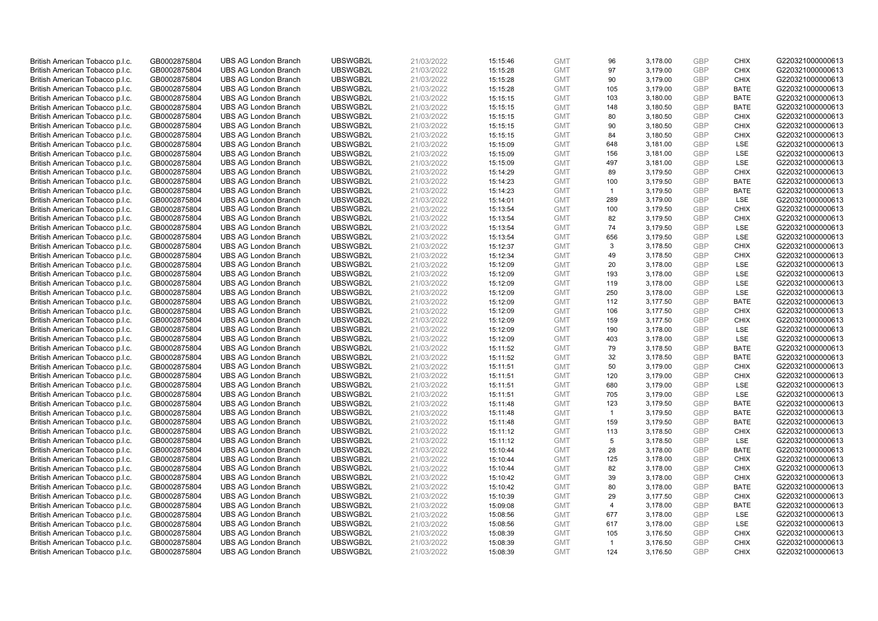| British American Tobacco p.l.c. | GB0002875804 | <b>UBS AG London Branch</b> | UBSWGB2L | 21/03/2022 | 15:15:46 | <b>GMT</b> | 96             | 3,178.00 | <b>GBP</b> | <b>CHIX</b> | G220321000000613 |
|---------------------------------|--------------|-----------------------------|----------|------------|----------|------------|----------------|----------|------------|-------------|------------------|
| British American Tobacco p.l.c. | GB0002875804 | <b>UBS AG London Branch</b> | UBSWGB2L | 21/03/2022 | 15:15:28 | <b>GMT</b> | 97             | 3,179.00 | GBP        | <b>CHIX</b> | G220321000000613 |
| British American Tobacco p.l.c. | GB0002875804 | <b>UBS AG London Branch</b> | UBSWGB2L | 21/03/2022 | 15:15:28 | <b>GMT</b> | 90             | 3,179.00 | GBP        | <b>CHIX</b> | G220321000000613 |
| British American Tobacco p.l.c. | GB0002875804 | <b>UBS AG London Branch</b> | UBSWGB2L | 21/03/2022 | 15:15:28 | <b>GMT</b> | 105            | 3,179.00 | GBP        | <b>BATE</b> | G220321000000613 |
| British American Tobacco p.l.c. | GB0002875804 | <b>UBS AG London Branch</b> | UBSWGB2L | 21/03/2022 | 15:15:15 | <b>GMT</b> | 103            | 3,180.00 | GBP        | <b>BATE</b> | G220321000000613 |
| British American Tobacco p.l.c. | GB0002875804 | <b>UBS AG London Branch</b> | UBSWGB2L | 21/03/2022 | 15:15:15 | <b>GMT</b> | 148            | 3,180.50 | <b>GBP</b> | <b>BATE</b> | G220321000000613 |
| British American Tobacco p.l.c. | GB0002875804 | <b>UBS AG London Branch</b> | UBSWGB2L | 21/03/2022 | 15:15:15 | <b>GMT</b> | 80             | 3,180.50 | <b>GBP</b> | <b>CHIX</b> | G220321000000613 |
| British American Tobacco p.l.c. | GB0002875804 | <b>UBS AG London Branch</b> | UBSWGB2L | 21/03/2022 | 15:15:15 | <b>GMT</b> | 90             | 3,180.50 | GBP        | <b>CHIX</b> | G220321000000613 |
| British American Tobacco p.l.c. | GB0002875804 | <b>UBS AG London Branch</b> | UBSWGB2L | 21/03/2022 | 15:15:15 | <b>GMT</b> | 84             | 3,180.50 | <b>GBP</b> | <b>CHIX</b> | G220321000000613 |
| British American Tobacco p.l.c. | GB0002875804 | <b>UBS AG London Branch</b> | UBSWGB2L | 21/03/2022 | 15:15:09 | <b>GMT</b> | 648            | 3,181.00 | GBP        | <b>LSE</b>  | G220321000000613 |
| British American Tobacco p.l.c. | GB0002875804 | <b>UBS AG London Branch</b> | UBSWGB2L | 21/03/2022 | 15:15:09 | <b>GMT</b> | 156            | 3,181.00 | <b>GBP</b> | LSE         | G220321000000613 |
| British American Tobacco p.l.c. | GB0002875804 | <b>UBS AG London Branch</b> | UBSWGB2L | 21/03/2022 | 15:15:09 | <b>GMT</b> | 497            | 3,181.00 | <b>GBP</b> | LSE         | G220321000000613 |
| British American Tobacco p.l.c. | GB0002875804 | <b>UBS AG London Branch</b> | UBSWGB2L | 21/03/2022 | 15:14:29 | <b>GMT</b> | 89             | 3,179.50 | <b>GBP</b> | <b>CHIX</b> | G220321000000613 |
| British American Tobacco p.l.c. | GB0002875804 | <b>UBS AG London Branch</b> | UBSWGB2L | 21/03/2022 | 15:14:23 | <b>GMT</b> | 100            | 3,179.50 | <b>GBP</b> | <b>BATE</b> | G220321000000613 |
| British American Tobacco p.l.c. | GB0002875804 | <b>UBS AG London Branch</b> | UBSWGB2L | 21/03/2022 | 15:14:23 | <b>GMT</b> | $\overline{1}$ | 3,179.50 | <b>GBP</b> | <b>BATE</b> | G220321000000613 |
| British American Tobacco p.l.c. | GB0002875804 | <b>UBS AG London Branch</b> | UBSWGB2L | 21/03/2022 | 15:14:01 | <b>GMT</b> | 289            | 3,179.00 | <b>GBP</b> | LSE         | G220321000000613 |
| British American Tobacco p.l.c. | GB0002875804 | <b>UBS AG London Branch</b> | UBSWGB2L | 21/03/2022 | 15:13:54 | <b>GMT</b> | 100            | 3,179.50 | <b>GBP</b> | <b>CHIX</b> | G220321000000613 |
| British American Tobacco p.l.c. | GB0002875804 | <b>UBS AG London Branch</b> | UBSWGB2L | 21/03/2022 | 15:13:54 | <b>GMT</b> | 82             | 3,179.50 | <b>GBP</b> | <b>CHIX</b> | G220321000000613 |
| British American Tobacco p.l.c. | GB0002875804 | <b>UBS AG London Branch</b> | UBSWGB2L | 21/03/2022 | 15:13:54 | <b>GMT</b> | 74             | 3,179.50 | GBP        | <b>LSE</b>  | G220321000000613 |
| British American Tobacco p.l.c. | GB0002875804 | <b>UBS AG London Branch</b> | UBSWGB2L | 21/03/2022 | 15:13:54 | <b>GMT</b> | 656            | 3,179.50 | <b>GBP</b> | LSE         | G220321000000613 |
| British American Tobacco p.l.c. | GB0002875804 | <b>UBS AG London Branch</b> | UBSWGB2L | 21/03/2022 | 15:12:37 | <b>GMT</b> | 3              | 3,178.50 | GBP        | <b>CHIX</b> | G220321000000613 |
| British American Tobacco p.l.c. | GB0002875804 | <b>UBS AG London Branch</b> | UBSWGB2L | 21/03/2022 | 15:12:34 | <b>GMT</b> | 49             | 3,178.50 | <b>GBP</b> | <b>CHIX</b> | G220321000000613 |
| British American Tobacco p.l.c. | GB0002875804 | <b>UBS AG London Branch</b> | UBSWGB2L | 21/03/2022 | 15:12:09 | <b>GMT</b> | 20             | 3,178.00 | GBP        | LSE         | G220321000000613 |
| British American Tobacco p.l.c. | GB0002875804 | <b>UBS AG London Branch</b> | UBSWGB2L | 21/03/2022 | 15:12:09 | <b>GMT</b> | 193            | 3,178.00 | <b>GBP</b> | LSE         | G220321000000613 |
| British American Tobacco p.l.c. | GB0002875804 | <b>UBS AG London Branch</b> | UBSWGB2L | 21/03/2022 | 15:12:09 | <b>GMT</b> | 119            | 3,178.00 | <b>GBP</b> | LSE         | G220321000000613 |
| British American Tobacco p.l.c. | GB0002875804 | <b>UBS AG London Branch</b> | UBSWGB2L | 21/03/2022 | 15:12:09 | <b>GMT</b> | 250            | 3,178.00 | <b>GBP</b> | LSE         | G220321000000613 |
| British American Tobacco p.l.c. | GB0002875804 | <b>UBS AG London Branch</b> | UBSWGB2L | 21/03/2022 | 15:12:09 | <b>GMT</b> | 112            | 3,177.50 | <b>GBP</b> | <b>BATE</b> | G220321000000613 |
| British American Tobacco p.l.c. | GB0002875804 | <b>UBS AG London Branch</b> | UBSWGB2L | 21/03/2022 | 15:12:09 | <b>GMT</b> | 106            | 3,177.50 | <b>GBP</b> | <b>CHIX</b> | G220321000000613 |
| British American Tobacco p.l.c. | GB0002875804 | <b>UBS AG London Branch</b> | UBSWGB2L | 21/03/2022 | 15:12:09 | <b>GMT</b> | 159            | 3,177.50 | <b>GBP</b> | <b>CHIX</b> | G220321000000613 |
| British American Tobacco p.l.c. | GB0002875804 | <b>UBS AG London Branch</b> | UBSWGB2L | 21/03/2022 | 15:12:09 | <b>GMT</b> | 190            | 3,178.00 | <b>GBP</b> | LSE         | G220321000000613 |
| British American Tobacco p.l.c. | GB0002875804 | <b>UBS AG London Branch</b> | UBSWGB2L | 21/03/2022 | 15:12:09 | <b>GMT</b> | 403            | 3,178.00 | GBP        | <b>LSE</b>  | G220321000000613 |
| British American Tobacco p.l.c. | GB0002875804 | <b>UBS AG London Branch</b> | UBSWGB2L | 21/03/2022 | 15:11:52 | <b>GMT</b> | 79             | 3,178.50 | <b>GBP</b> | <b>BATE</b> | G220321000000613 |
| British American Tobacco p.l.c. | GB0002875804 | <b>UBS AG London Branch</b> | UBSWGB2L | 21/03/2022 | 15:11:52 | <b>GMT</b> | 32             | 3,178.50 | <b>GBP</b> | <b>BATE</b> | G220321000000613 |
| British American Tobacco p.l.c. | GB0002875804 | <b>UBS AG London Branch</b> | UBSWGB2L | 21/03/2022 | 15:11:51 | <b>GMT</b> | 50             | 3,179.00 | GBP        | <b>CHIX</b> | G220321000000613 |
| British American Tobacco p.l.c. | GB0002875804 | <b>UBS AG London Branch</b> | UBSWGB2L | 21/03/2022 | 15:11:51 | <b>GMT</b> | 120            | 3,179.00 | <b>GBP</b> | <b>CHIX</b> | G220321000000613 |
| British American Tobacco p.l.c. | GB0002875804 | <b>UBS AG London Branch</b> | UBSWGB2L | 21/03/2022 | 15:11:51 | <b>GMT</b> | 680            | 3,179.00 | GBP        | LSE         | G220321000000613 |
| British American Tobacco p.l.c. | GB0002875804 | <b>UBS AG London Branch</b> | UBSWGB2L | 21/03/2022 | 15:11:51 | <b>GMT</b> | 705            | 3,179.00 | <b>GBP</b> | <b>LSE</b>  | G220321000000613 |
| British American Tobacco p.l.c. | GB0002875804 | <b>UBS AG London Branch</b> | UBSWGB2L | 21/03/2022 | 15:11:48 | <b>GMT</b> | 123            | 3,179.50 | <b>GBP</b> | <b>BATE</b> | G220321000000613 |
| British American Tobacco p.l.c. | GB0002875804 | <b>UBS AG London Branch</b> | UBSWGB2L | 21/03/2022 | 15:11:48 | <b>GMT</b> | $\overline{1}$ | 3,179.50 | <b>GBP</b> | <b>BATE</b> | G220321000000613 |
| British American Tobacco p.l.c. | GB0002875804 | <b>UBS AG London Branch</b> | UBSWGB2L | 21/03/2022 | 15:11:48 | <b>GMT</b> | 159            | 3,179.50 | <b>GBP</b> | <b>BATE</b> | G220321000000613 |
| British American Tobacco p.l.c. | GB0002875804 | <b>UBS AG London Branch</b> | UBSWGB2L | 21/03/2022 | 15:11:12 | <b>GMT</b> | 113            | 3,178.50 | GBP        | <b>CHIX</b> | G220321000000613 |
| British American Tobacco p.l.c. | GB0002875804 | <b>UBS AG London Branch</b> | UBSWGB2L | 21/03/2022 | 15:11:12 | <b>GMT</b> | 5              | 3,178.50 | <b>GBP</b> | <b>LSE</b>  | G220321000000613 |
| British American Tobacco p.l.c. | GB0002875804 | <b>UBS AG London Branch</b> | UBSWGB2L | 21/03/2022 | 15:10:44 | <b>GMT</b> | 28             | 3,178.00 | <b>GBP</b> | <b>BATE</b> | G220321000000613 |
| British American Tobacco p.l.c. | GB0002875804 | <b>UBS AG London Branch</b> | UBSWGB2L | 21/03/2022 | 15:10:44 | <b>GMT</b> | 125            | 3,178.00 | GBP        | <b>CHIX</b> | G220321000000613 |
| British American Tobacco p.l.c. | GB0002875804 | <b>UBS AG London Branch</b> | UBSWGB2L | 21/03/2022 | 15:10:44 | <b>GMT</b> | 82             | 3,178.00 | <b>GBP</b> | <b>CHIX</b> | G220321000000613 |
| British American Tobacco p.l.c. | GB0002875804 | <b>UBS AG London Branch</b> | UBSWGB2L | 21/03/2022 | 15:10:42 | <b>GMT</b> | 39             | 3,178.00 | <b>GBP</b> | <b>CHIX</b> | G220321000000613 |
| British American Tobacco p.l.c. | GB0002875804 | <b>UBS AG London Branch</b> | UBSWGB2L | 21/03/2022 | 15:10:42 | <b>GMT</b> | 80             | 3,178.00 | <b>GBP</b> | <b>BATE</b> | G220321000000613 |
| British American Tobacco p.l.c. | GB0002875804 | <b>UBS AG London Branch</b> | UBSWGB2L | 21/03/2022 | 15:10:39 | <b>GMT</b> | 29             | 3,177.50 | GBP        | <b>CHIX</b> | G220321000000613 |
| British American Tobacco p.l.c. | GB0002875804 | <b>UBS AG London Branch</b> | UBSWGB2L | 21/03/2022 | 15:09:08 | <b>GMT</b> | $\overline{4}$ | 3,178.00 | <b>GBP</b> | <b>BATE</b> | G220321000000613 |
| British American Tobacco p.l.c. | GB0002875804 | <b>UBS AG London Branch</b> | UBSWGB2L | 21/03/2022 | 15:08:56 | <b>GMT</b> | 677            | 3,178.00 | <b>GBP</b> | LSE         | G220321000000613 |
| British American Tobacco p.l.c. | GB0002875804 | <b>UBS AG London Branch</b> | UBSWGB2L | 21/03/2022 | 15:08:56 | <b>GMT</b> | 617            | 3,178.00 | <b>GBP</b> | LSE         | G220321000000613 |
| British American Tobacco p.l.c. | GB0002875804 | <b>UBS AG London Branch</b> | UBSWGB2L | 21/03/2022 | 15:08:39 | <b>GMT</b> | 105            | 3,176.50 | <b>GBP</b> | <b>CHIX</b> | G220321000000613 |
| British American Tobacco p.l.c. | GB0002875804 | <b>UBS AG London Branch</b> | UBSWGB2L | 21/03/2022 | 15:08:39 | <b>GMT</b> | $\overline{1}$ | 3,176.50 | GBP        | <b>CHIX</b> | G220321000000613 |
| British American Tobacco p.l.c. | GB0002875804 | <b>UBS AG London Branch</b> | UBSWGB2L | 21/03/2022 | 15:08:39 | <b>GMT</b> | 124            | 3.176.50 | GBP        | <b>CHIX</b> | G220321000000613 |
|                                 |              |                             |          |            |          |            |                |          |            |             |                  |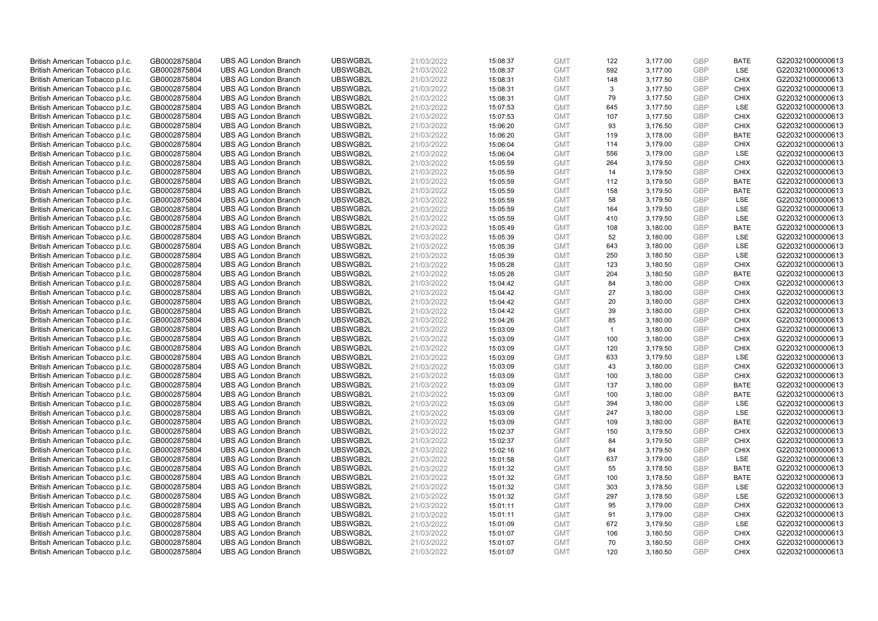| British American Tobacco p.l.c. | GB0002875804 | <b>UBS AG London Branch</b> | UBSWGB2L             | 21/03/2022               | 15:08:37             | <b>GMT</b>               | 122          | 3,177.00             | <b>GBP</b>               | <b>BATE</b>        | G220321000000613                     |
|---------------------------------|--------------|-----------------------------|----------------------|--------------------------|----------------------|--------------------------|--------------|----------------------|--------------------------|--------------------|--------------------------------------|
| British American Tobacco p.l.c. | GB0002875804 | <b>UBS AG London Branch</b> | UBSWGB2L             | 21/03/2022               | 15:08:37             | <b>GMT</b>               | 592          | 3,177.00             | GBP                      | LSE                | G220321000000613                     |
| British American Tobacco p.l.c. | GB0002875804 | <b>UBS AG London Branch</b> | UBSWGB2L             | 21/03/2022               | 15:08:31             | <b>GMT</b>               | 148          | 3,177.50             | <b>GBP</b>               | <b>CHIX</b>        | G220321000000613                     |
| British American Tobacco p.l.c. | GB0002875804 | <b>UBS AG London Branch</b> | UBSWGB2L             | 21/03/2022               | 15:08:31             | <b>GMT</b>               | 3            | 3.177.50             | GBP                      | <b>CHIX</b>        | G220321000000613                     |
| British American Tobacco p.l.c. | GB0002875804 | <b>UBS AG London Branch</b> | UBSWGB2L             | 21/03/2022               | 15:08:31             | <b>GMT</b>               | 79           | 3,177.50             | <b>GBP</b>               | <b>CHIX</b>        | G220321000000613                     |
| British American Tobacco p.l.c. | GB0002875804 | <b>UBS AG London Branch</b> | UBSWGB2L             | 21/03/2022               | 15:07:53             | <b>GMT</b>               | 645          | 3,177.50             | GBP                      | <b>LSE</b>         | G220321000000613                     |
| British American Tobacco p.l.c. | GB0002875804 | <b>UBS AG London Branch</b> | UBSWGB2L             | 21/03/2022               | 15:07:53             | <b>GMT</b>               | 107          | 3,177.50             | <b>GBP</b>               | <b>CHIX</b>        | G220321000000613                     |
| British American Tobacco p.l.c. | GB0002875804 | <b>UBS AG London Branch</b> | UBSWGB2L             | 21/03/2022               | 15:06:20             | <b>GMT</b>               | 93           | 3,176.50             | GBP                      | <b>CHIX</b>        | G220321000000613                     |
| British American Tobacco p.l.c. | GB0002875804 | <b>UBS AG London Branch</b> | UBSWGB2L             | 21/03/2022               | 15:06:20             | <b>GMT</b>               | 119          | 3,178.00             | GBP                      | <b>BATE</b>        | G220321000000613                     |
| British American Tobacco p.l.c. | GB0002875804 | <b>UBS AG London Branch</b> | UBSWGB2L             | 21/03/2022               | 15:06:04             | <b>GMT</b>               | 114          | 3,179.00             | GBP                      | <b>CHIX</b>        | G220321000000613                     |
| British American Tobacco p.l.c. | GB0002875804 | <b>UBS AG London Branch</b> | UBSWGB2L             | 21/03/2022               | 15:06:04             | <b>GMT</b>               | 556          | 3,179.00             | <b>GBP</b>               | LSE                | G220321000000613                     |
| British American Tobacco p.l.c. | GB0002875804 | <b>UBS AG London Branch</b> | UBSWGB2L             | 21/03/2022               | 15:05:59             | <b>GMT</b>               | 264          | 3,179.50             | <b>GBP</b>               | <b>CHIX</b>        | G220321000000613                     |
| British American Tobacco p.l.c. | GB0002875804 | <b>UBS AG London Branch</b> | UBSWGB2L             | 21/03/2022               | 15:05:59             | <b>GMT</b>               | 14           | 3,179.50             | GBP                      | <b>CHIX</b>        | G220321000000613                     |
| British American Tobacco p.l.c. | GB0002875804 | <b>UBS AG London Branch</b> | UBSWGB2L             | 21/03/2022               | 15:05:59             | <b>GMT</b>               | 112          | 3,179.50             | <b>GBP</b>               | <b>BATE</b>        | G220321000000613                     |
| British American Tobacco p.l.c. | GB0002875804 | <b>UBS AG London Branch</b> | UBSWGB2L             | 21/03/2022               | 15:05:59             | <b>GMT</b>               | 158          | 3,179.50             | <b>GBP</b>               | <b>BATE</b>        | G220321000000613                     |
| British American Tobacco p.l.c. | GB0002875804 | <b>UBS AG London Branch</b> | UBSWGB2L             | 21/03/2022               | 15:05:59             | <b>GMT</b>               | 58           | 3,179.50             | <b>GBP</b>               | LSE                | G220321000000613                     |
| British American Tobacco p.l.c. | GB0002875804 | <b>UBS AG London Branch</b> | UBSWGB2L             | 21/03/2022               | 15:05:59             | <b>GMT</b>               | 164          | 3,179.50             | <b>GBP</b>               | LSE                | G220321000000613                     |
| British American Tobacco p.l.c. | GB0002875804 | <b>UBS AG London Branch</b> | UBSWGB2L             | 21/03/2022               | 15:05:59             | <b>GMT</b>               | 410          | 3,179.50             | <b>GBP</b>               | LSE                | G220321000000613                     |
| British American Tobacco p.l.c. | GB0002875804 | <b>UBS AG London Branch</b> | UBSWGB2L             | 21/03/2022               | 15:05:49             | <b>GMT</b>               | 108          | 3,180.00             | <b>GBP</b>               | <b>BATE</b>        | G220321000000613                     |
| British American Tobacco p.l.c. | GB0002875804 | <b>UBS AG London Branch</b> | UBSWGB2L             | 21/03/2022               | 15:05:39             | <b>GMT</b>               | 52           | 3,180.00             | <b>GBP</b>               | LSE                | G220321000000613                     |
| British American Tobacco p.l.c. | GB0002875804 | <b>UBS AG London Branch</b> | UBSWGB2L             | 21/03/2022               | 15:05:39             | <b>GMT</b>               | 643          | 3,180.00             | <b>GBP</b>               | LSE                | G220321000000613                     |
| British American Tobacco p.l.c. | GB0002875804 | <b>UBS AG London Branch</b> | UBSWGB2L             | 21/03/2022               | 15:05:39             | <b>GMT</b>               | 250          | 3,180.50             | GBP                      | LSE                | G220321000000613                     |
| British American Tobacco p.l.c. | GB0002875804 | <b>UBS AG London Branch</b> | UBSWGB2L             | 21/03/2022               | 15:05:28             | <b>GMT</b>               | 123          | 3,180.50             | <b>GBP</b>               | <b>CHIX</b>        | G220321000000613                     |
| British American Tobacco p.l.c. | GB0002875804 | <b>UBS AG London Branch</b> | UBSWGB2L             | 21/03/2022               | 15:05:28             | <b>GMT</b>               | 204          | 3,180.50             | GBP                      | <b>BATE</b>        | G220321000000613                     |
| British American Tobacco p.l.c. | GB0002875804 | <b>UBS AG London Branch</b> | UBSWGB2L             | 21/03/2022               | 15:04:42             | <b>GMT</b>               | 84           | 3,180.00             | <b>GBP</b>               | <b>CHIX</b>        | G220321000000613                     |
| British American Tobacco p.l.c. | GB0002875804 | <b>UBS AG London Branch</b> | UBSWGB2L             | 21/03/2022               | 15:04:42             | <b>GMT</b>               | 27           | 3,180.00             | GBP                      | <b>CHIX</b>        | G220321000000613                     |
| British American Tobacco p.l.c. | GB0002875804 | <b>UBS AG London Branch</b> | UBSWGB2L             | 21/03/2022               | 15:04:42             | <b>GMT</b>               | 20           | 3,180.00             | <b>GBP</b>               | <b>CHIX</b>        | G220321000000613                     |
| British American Tobacco p.l.c. | GB0002875804 | <b>UBS AG London Branch</b> | UBSWGB2L             | 21/03/2022               | 15:04:42             | <b>GMT</b>               | 39           | 3,180.00             | GBP                      | <b>CHIX</b>        | G220321000000613                     |
| British American Tobacco p.l.c. | GB0002875804 | <b>UBS AG London Branch</b> | UBSWGB2L             | 21/03/2022               | 15:04:26             | <b>GMT</b>               | 85           | 3,180.00             | <b>GBP</b>               | <b>CHIX</b>        | G220321000000613                     |
| British American Tobacco p.l.c. | GB0002875804 | <b>UBS AG London Branch</b> | UBSWGB2L             | 21/03/2022               | 15:03:09             | <b>GMT</b>               | $\mathbf{1}$ | 3,180.00             | <b>GBP</b>               | <b>CHIX</b>        | G220321000000613                     |
|                                 |              | <b>UBS AG London Branch</b> | UBSWGB2L             | 21/03/2022               |                      | <b>GMT</b>               | 100          |                      | <b>GBP</b>               | <b>CHIX</b>        |                                      |
| British American Tobacco p.l.c. | GB0002875804 | <b>UBS AG London Branch</b> | UBSWGB2L             |                          | 15:03:09<br>15:03:09 | <b>GMT</b>               | 120          | 3,180.00<br>3,179.50 | <b>GBP</b>               | <b>CHIX</b>        | G220321000000613<br>G220321000000613 |
| British American Tobacco p.l.c. | GB0002875804 | <b>UBS AG London Branch</b> | UBSWGB2L             | 21/03/2022<br>21/03/2022 |                      |                          |              |                      | <b>GBP</b>               | LSE                |                                      |
| British American Tobacco p.l.c. | GB0002875804 |                             |                      |                          | 15:03:09             | <b>GMT</b><br><b>GMT</b> | 633<br>43    | 3,179.50             | <b>GBP</b>               | <b>CHIX</b>        | G220321000000613                     |
| British American Tobacco p.l.c. | GB0002875804 | <b>UBS AG London Branch</b> | UBSWGB2L<br>UBSWGB2L | 21/03/2022               | 15:03:09             |                          |              | 3,180.00             |                          |                    | G220321000000613                     |
| British American Tobacco p.l.c. | GB0002875804 | <b>UBS AG London Branch</b> |                      | 21/03/2022               | 15:03:09             | <b>GMT</b><br><b>GMT</b> | 100          | 3,180.00             | <b>GBP</b><br><b>GBP</b> | <b>CHIX</b>        | G220321000000613                     |
| British American Tobacco p.l.c. | GB0002875804 | <b>UBS AG London Branch</b> | UBSWGB2L             | 21/03/2022               | 15:03:09             |                          | 137          | 3,180.00             | <b>GBP</b>               | <b>BATE</b>        | G220321000000613                     |
| British American Tobacco p.l.c. | GB0002875804 | <b>UBS AG London Branch</b> | UBSWGB2L             | 21/03/2022               | 15:03:09             | <b>GMT</b>               | 100          | 3,180.00             |                          | <b>BATE</b><br>LSE | G220321000000613                     |
| British American Tobacco p.l.c. | GB0002875804 | <b>UBS AG London Branch</b> | UBSWGB2L             | 21/03/2022               | 15:03:09             | <b>GMT</b>               | 394          | 3,180.00             | <b>GBP</b>               | LSE                | G220321000000613                     |
| British American Tobacco p.l.c. | GB0002875804 | <b>UBS AG London Branch</b> | UBSWGB2L             | 21/03/2022               | 15:03:09             | <b>GMT</b>               | 247          | 3,180.00             | <b>GBP</b>               |                    | G220321000000613                     |
| British American Tobacco p.l.c. | GB0002875804 | <b>UBS AG London Branch</b> | UBSWGB2L             | 21/03/2022               | 15:03:09             | <b>GMT</b>               | 109          | 3,180.00             | GBP                      | <b>BATE</b>        | G220321000000613                     |
| British American Tobacco p.l.c. | GB0002875804 | <b>UBS AG London Branch</b> | UBSWGB2L             | 21/03/2022               | 15:02:37             | <b>GMT</b>               | 150          | 3,179.50             | <b>GBP</b>               | <b>CHIX</b>        | G220321000000613                     |
| British American Tobacco p.l.c. | GB0002875804 | <b>UBS AG London Branch</b> | UBSWGB2L             | 21/03/2022               | 15:02:37             | <b>GMT</b>               | 84           | 3,179.50             | GBP                      | <b>CHIX</b>        | G220321000000613                     |
| British American Tobacco p.l.c. | GB0002875804 | <b>UBS AG London Branch</b> | UBSWGB2L             | 21/03/2022               | 15:02:16             | <b>GMT</b>               | 84           | 3,179.50             | GBP                      | <b>CHIX</b>        | G220321000000613                     |
| British American Tobacco p.l.c. | GB0002875804 | <b>UBS AG London Branch</b> | UBSWGB2L             | 21/03/2022               | 15:01:58             | <b>GMT</b>               | 637          | 3,179.00             | GBP                      | LSE                | G220321000000613                     |
| British American Tobacco p.l.c. | GB0002875804 | <b>UBS AG London Branch</b> | UBSWGB2L             | 21/03/2022               | 15:01:32             | <b>GMT</b>               | 55           | 3,178.50             | <b>GBP</b>               | <b>BATE</b>        | G220321000000613                     |
| British American Tobacco p.l.c. | GB0002875804 | <b>UBS AG London Branch</b> | UBSWGB2L             | 21/03/2022               | 15:01:32             | <b>GMT</b>               | 100          | 3,178.50             | GBP                      | <b>BATE</b>        | G220321000000613                     |
| British American Tobacco p.l.c. | GB0002875804 | <b>UBS AG London Branch</b> | UBSWGB2L             | 21/03/2022               | 15:01:32             | <b>GMT</b>               | 303          | 3,178.50             | <b>GBP</b>               | LSE                | G220321000000613                     |
| British American Tobacco p.l.c. | GB0002875804 | <b>UBS AG London Branch</b> | UBSWGB2L             | 21/03/2022               | 15:01:32             | <b>GMT</b>               | 297          | 3,178.50             | <b>GBP</b>               | LSE                | G220321000000613                     |
| British American Tobacco p.l.c. | GB0002875804 | <b>UBS AG London Branch</b> | UBSWGB2L             | 21/03/2022               | 15:01:11             | <b>GMT</b>               | 95           | 3,179.00             | GBP                      | <b>CHIX</b>        | G220321000000613                     |
| British American Tobacco p.l.c. | GB0002875804 | <b>UBS AG London Branch</b> | UBSWGB2L             | 21/03/2022               | 15:01:11             | <b>GMT</b>               | 91           | 3,179.00             | <b>GBP</b>               | <b>CHIX</b>        | G220321000000613                     |
| British American Tobacco p.l.c. | GB0002875804 | <b>UBS AG London Branch</b> | UBSWGB2L             | 21/03/2022               | 15:01:09             | <b>GMT</b>               | 672          | 3,179.50             | <b>GBP</b>               | <b>LSE</b>         | G220321000000613                     |
| British American Tobacco p.l.c. | GB0002875804 | <b>UBS AG London Branch</b> | UBSWGB2L             | 21/03/2022               | 15:01:07             | <b>GMT</b>               | 106          | 3,180.50             | <b>GBP</b>               | <b>CHIX</b>        | G220321000000613                     |
| British American Tobacco p.l.c. | GB0002875804 | <b>UBS AG London Branch</b> | UBSWGB2L             | 21/03/2022               | 15:01:07             | <b>GMT</b>               | 70           | 3,180.50             | GBP                      | <b>CHIX</b>        | G220321000000613                     |
| British American Tobacco p.l.c. | GB0002875804 | <b>UBS AG London Branch</b> | UBSWGB2L             | 21/03/2022               | 15:01:07             | <b>GMT</b>               | 120          | 3,180.50             | GBP                      | <b>CHIX</b>        | G220321000000613                     |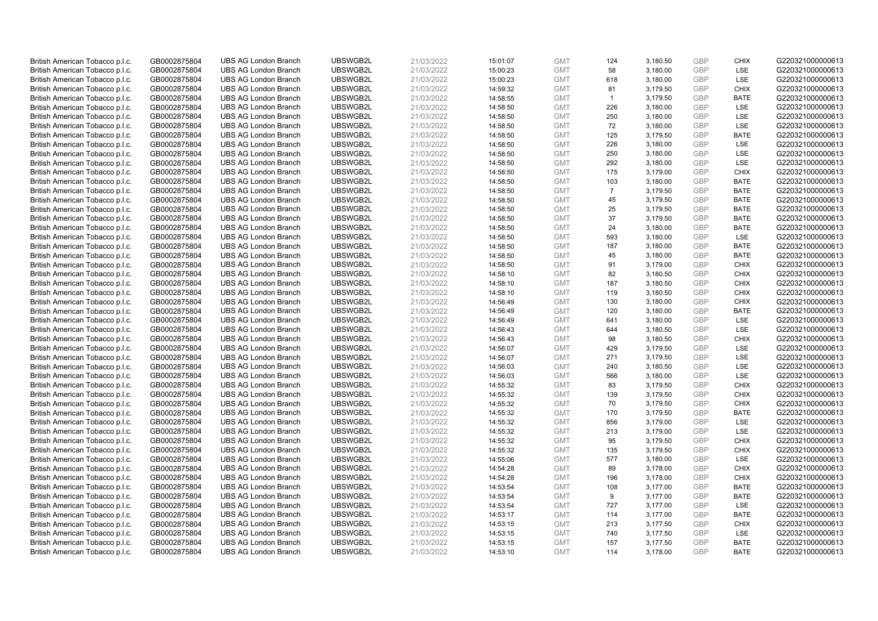| British American Tobacco p.l.c. | GB0002875804 | <b>UBS AG London Branch</b> | UBSWGB2L | 21/03/2022 | 15:01:07 | <b>GMT</b> | 124            | 3,180.50 | <b>GBP</b> | <b>CHIX</b> | G220321000000613 |
|---------------------------------|--------------|-----------------------------|----------|------------|----------|------------|----------------|----------|------------|-------------|------------------|
| British American Tobacco p.l.c. | GB0002875804 | <b>UBS AG London Branch</b> | UBSWGB2L | 21/03/2022 | 15:00:23 | <b>GMT</b> | 58             | 3,180.00 | GBP        | <b>LSE</b>  | G220321000000613 |
| British American Tobacco p.l.c. | GB0002875804 | <b>UBS AG London Branch</b> | UBSWGB2L | 21/03/2022 | 15:00:23 | <b>GMT</b> | 618            | 3,180.00 | <b>GBP</b> | LSE         | G220321000000613 |
| British American Tobacco p.l.c. | GB0002875804 | <b>UBS AG London Branch</b> | UBSWGB2L | 21/03/2022 | 14:59:32 | <b>GMT</b> | 81             | 3,179.50 | GBP        | <b>CHIX</b> | G220321000000613 |
| British American Tobacco p.l.c. | GB0002875804 | <b>UBS AG London Branch</b> | UBSWGB2L | 21/03/2022 | 14:58:55 | <b>GMT</b> | $\overline{1}$ | 3,179.50 | <b>GBP</b> | <b>BATE</b> | G220321000000613 |
| British American Tobacco p.l.c. | GB0002875804 | <b>UBS AG London Branch</b> | UBSWGB2L | 21/03/2022 | 14:58:50 | <b>GMT</b> | 226            | 3,180.00 | <b>GBP</b> | <b>LSE</b>  | G220321000000613 |
| British American Tobacco p.l.c. | GB0002875804 | <b>UBS AG London Branch</b> | UBSWGB2L | 21/03/2022 | 14:58:50 | <b>GMT</b> | 250            | 3,180.00 | <b>GBP</b> | LSE         | G220321000000613 |
| British American Tobacco p.l.c. | GB0002875804 | <b>UBS AG London Branch</b> | UBSWGB2L | 21/03/2022 | 14:58:50 | <b>GMT</b> | 72             | 3,180.00 | GBP        | LSE         | G220321000000613 |
| British American Tobacco p.l.c. | GB0002875804 | <b>UBS AG London Branch</b> | UBSWGB2L | 21/03/2022 | 14:58:50 | <b>GMT</b> | 125            | 3,179.50 | GBP        | <b>BATE</b> | G220321000000613 |
| British American Tobacco p.l.c. | GB0002875804 | <b>UBS AG London Branch</b> | UBSWGB2L | 21/03/2022 | 14:58:50 | <b>GMT</b> | 226            | 3,180.00 | <b>GBP</b> | <b>LSE</b>  | G220321000000613 |
| British American Tobacco p.l.c. | GB0002875804 | <b>UBS AG London Branch</b> | UBSWGB2L | 21/03/2022 | 14:58:50 | <b>GMT</b> | 250            | 3,180.00 | GBP        | LSE         | G220321000000613 |
| British American Tobacco p.l.c. | GB0002875804 | <b>UBS AG London Branch</b> | UBSWGB2L | 21/03/2022 | 14:58:50 | <b>GMT</b> | 292            | 3,180.00 | <b>GBP</b> | LSE         | G220321000000613 |
| British American Tobacco p.l.c. | GB0002875804 | <b>UBS AG London Branch</b> | UBSWGB2L | 21/03/2022 | 14:58:50 | <b>GMT</b> | 175            | 3,179.00 | GBP        | <b>CHIX</b> | G220321000000613 |
| British American Tobacco p.l.c. | GB0002875804 | <b>UBS AG London Branch</b> | UBSWGB2L | 21/03/2022 | 14:58:50 | <b>GMT</b> | 103            | 3,180.00 | <b>GBP</b> | <b>BATE</b> | G220321000000613 |
| British American Tobacco p.l.c. | GB0002875804 | <b>UBS AG London Branch</b> | UBSWGB2L | 21/03/2022 | 14:58:50 | <b>GMT</b> | $\overline{7}$ | 3,179.50 | GBP        | <b>BATE</b> | G220321000000613 |
| British American Tobacco p.l.c. | GB0002875804 | <b>UBS AG London Branch</b> | UBSWGB2L | 21/03/2022 | 14:58:50 | <b>GMT</b> | 45             | 3,179.50 | GBP        | <b>BATE</b> | G220321000000613 |
| British American Tobacco p.l.c. | GB0002875804 | <b>UBS AG London Branch</b> | UBSWGB2L | 21/03/2022 | 14:58:50 | <b>GMT</b> | 25             | 3,179.50 | GBP        | <b>BATE</b> | G220321000000613 |
| British American Tobacco p.l.c. | GB0002875804 | <b>UBS AG London Branch</b> | UBSWGB2L | 21/03/2022 | 14:58:50 | <b>GMT</b> | 37             | 3,179.50 | GBP        | <b>BATE</b> | G220321000000613 |
| British American Tobacco p.l.c. | GB0002875804 | <b>UBS AG London Branch</b> | UBSWGB2L | 21/03/2022 | 14:58:50 | <b>GMT</b> | 24             | 3,180.00 | GBP        | <b>BATE</b> | G220321000000613 |
| British American Tobacco p.l.c. | GB0002875804 | <b>UBS AG London Branch</b> | UBSWGB2L | 21/03/2022 | 14:58:50 | <b>GMT</b> | 593            | 3,180.00 | <b>GBP</b> | LSE         | G220321000000613 |
| British American Tobacco p.l.c. | GB0002875804 | <b>UBS AG London Branch</b> | UBSWGB2L | 21/03/2022 | 14:58:50 | <b>GMT</b> | 187            | 3,180.00 | GBP        | <b>BATE</b> | G220321000000613 |
| British American Tobacco p.l.c. | GB0002875804 | <b>UBS AG London Branch</b> | UBSWGB2L | 21/03/2022 | 14:58:50 | <b>GMT</b> | 45             | 3,180.00 | GBP        | <b>BATE</b> | G220321000000613 |
| British American Tobacco p.l.c. | GB0002875804 | <b>UBS AG London Branch</b> | UBSWGB2L | 21/03/2022 | 14:58:50 | <b>GMT</b> | 91             | 3,179.00 | GBP        | <b>CHIX</b> | G220321000000613 |
| British American Tobacco p.l.c. | GB0002875804 | <b>UBS AG London Branch</b> | UBSWGB2L | 21/03/2022 | 14:58:10 | <b>GMT</b> | 82             | 3,180.50 | GBP        | <b>CHIX</b> | G220321000000613 |
| British American Tobacco p.l.c. | GB0002875804 | <b>UBS AG London Branch</b> | UBSWGB2L | 21/03/2022 | 14:58:10 | <b>GMT</b> | 187            | 3,180.50 | <b>GBP</b> | <b>CHIX</b> | G220321000000613 |
| British American Tobacco p.l.c. | GB0002875804 | <b>UBS AG London Branch</b> | UBSWGB2L | 21/03/2022 | 14:58:10 | <b>GMT</b> | 119            | 3,180.50 | <b>GBP</b> | <b>CHIX</b> | G220321000000613 |
| British American Tobacco p.l.c. | GB0002875804 | <b>UBS AG London Branch</b> | UBSWGB2L | 21/03/2022 | 14:56:49 | <b>GMT</b> | 130            | 3,180.00 | <b>GBP</b> | <b>CHIX</b> | G220321000000613 |
| British American Tobacco p.l.c. | GB0002875804 | <b>UBS AG London Branch</b> | UBSWGB2L | 21/03/2022 | 14:56:49 | <b>GMT</b> | 120            | 3,180.00 | GBP        | <b>BATE</b> | G220321000000613 |
| British American Tobacco p.l.c. | GB0002875804 | <b>UBS AG London Branch</b> | UBSWGB2L | 21/03/2022 | 14:56:49 | <b>GMT</b> | 641            | 3,180.00 | <b>GBP</b> | <b>LSE</b>  | G220321000000613 |
| British American Tobacco p.l.c. | GB0002875804 | <b>UBS AG London Branch</b> | UBSWGB2L | 21/03/2022 | 14:56:43 | <b>GMT</b> | 644            | 3,180.50 | <b>GBP</b> | LSE         | G220321000000613 |
| British American Tobacco p.l.c. | GB0002875804 | <b>UBS AG London Branch</b> | UBSWGB2L | 21/03/2022 | 14:56:43 | <b>GMT</b> | 98             | 3,180.50 | <b>GBP</b> | <b>CHIX</b> | G220321000000613 |
| British American Tobacco p.l.c. | GB0002875804 | <b>UBS AG London Branch</b> | UBSWGB2L | 21/03/2022 | 14:56:07 | <b>GMT</b> | 429            | 3,179.50 | <b>GBP</b> | <b>LSE</b>  | G220321000000613 |
| British American Tobacco p.l.c. | GB0002875804 | <b>UBS AG London Branch</b> | UBSWGB2L | 21/03/2022 | 14:56:07 | <b>GMT</b> | 271            | 3,179.50 | <b>GBP</b> | LSE         | G220321000000613 |
| British American Tobacco p.l.c. | GB0002875804 | <b>UBS AG London Branch</b> | UBSWGB2L | 21/03/2022 | 14:56:03 | <b>GMT</b> | 240            | 3,180.50 | GBP        | LSE         | G220321000000613 |
| British American Tobacco p.l.c. | GB0002875804 | <b>UBS AG London Branch</b> | UBSWGB2L | 21/03/2022 | 14:56:03 | <b>GMT</b> | 566            | 3,180.00 | GBP        | LSE         | G220321000000613 |
| British American Tobacco p.l.c. | GB0002875804 | <b>UBS AG London Branch</b> | UBSWGB2L | 21/03/2022 | 14:55:32 | <b>GMT</b> | 83             | 3,179.50 | GBP        | <b>CHIX</b> | G220321000000613 |
| British American Tobacco p.l.c. | GB0002875804 | <b>UBS AG London Branch</b> | UBSWGB2L | 21/03/2022 | 14:55:32 | <b>GMT</b> | 139            | 3,179.50 | GBP        | <b>CHIX</b> | G220321000000613 |
| British American Tobacco p.l.c. | GB0002875804 | <b>UBS AG London Branch</b> | UBSWGB2L | 21/03/2022 | 14:55:32 | <b>GMT</b> | 70             | 3,179.50 | <b>GBP</b> | <b>CHIX</b> | G220321000000613 |
| British American Tobacco p.l.c. | GB0002875804 | <b>UBS AG London Branch</b> | UBSWGB2L | 21/03/2022 | 14:55:32 | <b>GMT</b> | 170            | 3,179.50 | <b>GBP</b> | <b>BATE</b> | G220321000000613 |
| British American Tobacco p.l.c. | GB0002875804 | <b>UBS AG London Branch</b> | UBSWGB2L | 21/03/2022 | 14:55:32 | <b>GMT</b> | 856            | 3,179.00 | <b>GBP</b> | <b>LSE</b>  | G220321000000613 |
| British American Tobacco p.l.c. | GB0002875804 | <b>UBS AG London Branch</b> | UBSWGB2L | 21/03/2022 | 14:55:32 | <b>GMT</b> | 213            | 3,179.00 | <b>GBP</b> | <b>LSE</b>  | G220321000000613 |
| British American Tobacco p.l.c. | GB0002875804 | <b>UBS AG London Branch</b> | UBSWGB2L | 21/03/2022 | 14:55:32 | <b>GMT</b> | 95             | 3,179.50 | <b>GBP</b> | <b>CHIX</b> | G220321000000613 |
| British American Tobacco p.l.c. | GB0002875804 | <b>UBS AG London Branch</b> | UBSWGB2L | 21/03/2022 | 14:55:32 | <b>GMT</b> | 135            | 3,179.50 | <b>GBP</b> | <b>CHIX</b> | G220321000000613 |
| British American Tobacco p.l.c. | GB0002875804 | <b>UBS AG London Branch</b> | UBSWGB2L | 21/03/2022 | 14:55:06 | <b>GMT</b> | 577            | 3,180.00 | GBP        | <b>LSE</b>  | G220321000000613 |
| British American Tobacco p.l.c. | GB0002875804 | <b>UBS AG London Branch</b> | UBSWGB2L | 21/03/2022 | 14:54:28 | <b>GMT</b> | 89             | 3,178.00 | <b>GBP</b> | <b>CHIX</b> | G220321000000613 |
| British American Tobacco p.l.c. | GB0002875804 | <b>UBS AG London Branch</b> | UBSWGB2L | 21/03/2022 | 14:54:28 | <b>GMT</b> | 196            | 3,178.00 | <b>GBP</b> | <b>CHIX</b> | G220321000000613 |
| British American Tobacco p.l.c. | GB0002875804 | <b>UBS AG London Branch</b> | UBSWGB2L | 21/03/2022 | 14:53:54 | <b>GMT</b> | 108            | 3,177.00 | <b>GBP</b> | <b>BATE</b> | G220321000000613 |
| British American Tobacco p.l.c. | GB0002875804 | <b>UBS AG London Branch</b> | UBSWGB2L | 21/03/2022 | 14:53:54 | <b>GMT</b> | 9              | 3,177.00 | GBP        | <b>BATE</b> | G220321000000613 |
| British American Tobacco p.l.c. | GB0002875804 | <b>UBS AG London Branch</b> | UBSWGB2L | 21/03/2022 | 14:53:54 | <b>GMT</b> | 727            | 3,177.00 | <b>GBP</b> | LSE         | G220321000000613 |
| British American Tobacco p.l.c. | GB0002875804 | <b>UBS AG London Branch</b> | UBSWGB2L | 21/03/2022 | 14:53:17 | <b>GMT</b> | 114            | 3,177.00 | <b>GBP</b> | <b>BATE</b> | G220321000000613 |
| British American Tobacco p.l.c. | GB0002875804 | <b>UBS AG London Branch</b> | UBSWGB2L | 21/03/2022 | 14:53:15 | <b>GMT</b> | 213            | 3,177.50 | GBP        | <b>CHIX</b> | G220321000000613 |
| British American Tobacco p.l.c. | GB0002875804 | <b>UBS AG London Branch</b> | UBSWGB2L | 21/03/2022 | 14:53:15 | <b>GMT</b> | 740            | 3,177.50 | <b>GBP</b> | LSE         | G220321000000613 |
| British American Tobacco p.l.c. | GB0002875804 | <b>UBS AG London Branch</b> | UBSWGB2L | 21/03/2022 | 14:53:15 | <b>GMT</b> | 157            | 3,177.50 | GBP        | <b>BATE</b> | G220321000000613 |
| British American Tobacco p.l.c. | GB0002875804 | <b>UBS AG London Branch</b> | UBSWGB2L | 21/03/2022 | 14:53:10 | <b>GMT</b> | 114            | 3.178.00 | GBP        | <b>BATE</b> | G220321000000613 |
|                                 |              |                             |          |            |          |            |                |          |            |             |                  |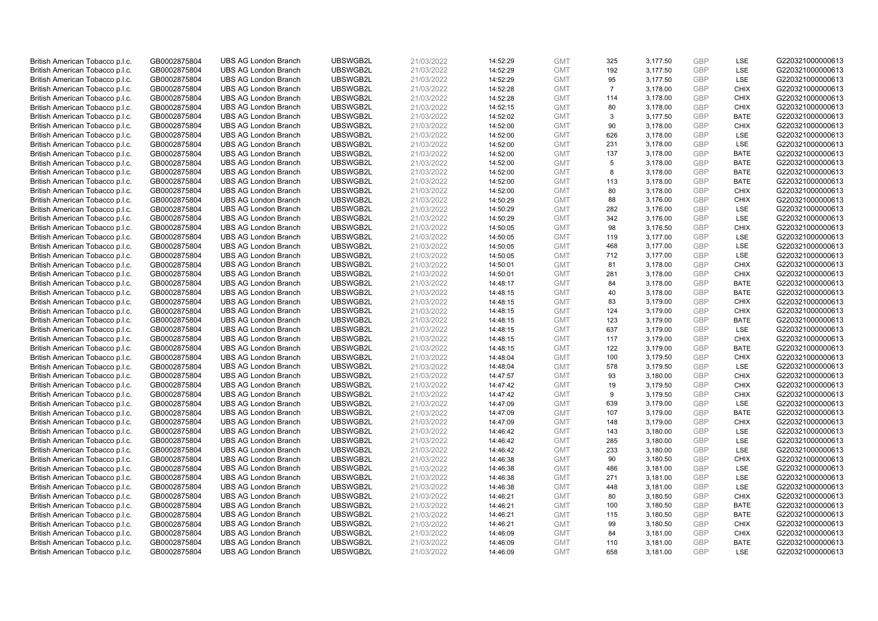| British American Tobacco p.l.c. | GB0002875804 | <b>UBS AG London Branch</b> | UBSWGB2L | 21/03/2022 | 14:52:29 | <b>GMT</b> | 325            | 3,177.50 | <b>GBP</b> | LSE         | G220321000000613 |
|---------------------------------|--------------|-----------------------------|----------|------------|----------|------------|----------------|----------|------------|-------------|------------------|
| British American Tobacco p.l.c. | GB0002875804 | <b>UBS AG London Branch</b> | UBSWGB2L | 21/03/2022 | 14:52:29 | <b>GMT</b> | 192            | 3,177.50 | GBP        | LSE         | G220321000000613 |
| British American Tobacco p.l.c. | GB0002875804 | <b>UBS AG London Branch</b> | UBSWGB2L | 21/03/2022 | 14:52:29 | <b>GMT</b> | 95             | 3,177.50 | GBP        | LSE         | G220321000000613 |
| British American Tobacco p.l.c. | GB0002875804 | <b>UBS AG London Branch</b> | UBSWGB2L | 21/03/2022 | 14:52:28 | <b>GMT</b> | $\overline{7}$ | 3,178.00 | GBP        | <b>CHIX</b> | G220321000000613 |
| British American Tobacco p.l.c. | GB0002875804 | <b>UBS AG London Branch</b> | UBSWGB2L | 21/03/2022 | 14:52:28 | <b>GMT</b> | 114            | 3,178.00 | <b>GBP</b> | <b>CHIX</b> | G220321000000613 |
| British American Tobacco p.l.c. | GB0002875804 | <b>UBS AG London Branch</b> | UBSWGB2L | 21/03/2022 | 14:52:15 | <b>GMT</b> | 80             | 3,178.00 | <b>GBP</b> | <b>CHIX</b> | G220321000000613 |
| British American Tobacco p.l.c. | GB0002875804 | <b>UBS AG London Branch</b> | UBSWGB2L | 21/03/2022 | 14:52:02 | <b>GMT</b> | 3              | 3,177.50 | GBP        | <b>BATE</b> | G220321000000613 |
| British American Tobacco p.l.c. | GB0002875804 | <b>UBS AG London Branch</b> | UBSWGB2L | 21/03/2022 | 14:52:00 | <b>GMT</b> | 90             | 3,178.00 | GBP        | <b>CHIX</b> | G220321000000613 |
| British American Tobacco p.l.c. | GB0002875804 | <b>UBS AG London Branch</b> | UBSWGB2L | 21/03/2022 | 14:52:00 | <b>GMT</b> | 626            | 3,178.00 | GBP        | LSE         | G220321000000613 |
| British American Tobacco p.l.c. | GB0002875804 | <b>UBS AG London Branch</b> | UBSWGB2L | 21/03/2022 | 14:52:00 | <b>GMT</b> | 231            | 3,178.00 | GBP        | <b>LSE</b>  | G220321000000613 |
| British American Tobacco p.l.c. | GB0002875804 | <b>UBS AG London Branch</b> | UBSWGB2L | 21/03/2022 | 14:52:00 | <b>GMT</b> | 137            | 3,178.00 | GBP        | <b>BATE</b> | G220321000000613 |
| British American Tobacco p.l.c. | GB0002875804 | <b>UBS AG London Branch</b> | UBSWGB2L | 21/03/2022 | 14:52:00 | <b>GMT</b> | 5              | 3,178.00 | <b>GBP</b> | <b>BATE</b> | G220321000000613 |
| British American Tobacco p.l.c. | GB0002875804 | <b>UBS AG London Branch</b> | UBSWGB2L | 21/03/2022 | 14:52:00 | <b>GMT</b> | 8              | 3,178.00 | <b>GBP</b> | <b>BATE</b> | G220321000000613 |
| British American Tobacco p.l.c. | GB0002875804 | <b>UBS AG London Branch</b> | UBSWGB2L | 21/03/2022 | 14:52:00 | <b>GMT</b> | 113            | 3,178.00 | <b>GBP</b> | <b>BATE</b> | G220321000000613 |
| British American Tobacco p.l.c. | GB0002875804 | <b>UBS AG London Branch</b> | UBSWGB2L | 21/03/2022 | 14:52:00 | <b>GMT</b> | 80             | 3,178.00 | <b>GBP</b> | <b>CHIX</b> | G220321000000613 |
| British American Tobacco p.l.c. | GB0002875804 | <b>UBS AG London Branch</b> | UBSWGB2L | 21/03/2022 | 14:50:29 | <b>GMT</b> | 88             | 3,176.00 | <b>GBP</b> | <b>CHIX</b> | G220321000000613 |
| British American Tobacco p.l.c. | GB0002875804 | <b>UBS AG London Branch</b> | UBSWGB2L | 21/03/2022 | 14:50:29 | <b>GMT</b> | 282            | 3,176.00 | GBP        | LSE         | G220321000000613 |
| British American Tobacco p.l.c. | GB0002875804 | <b>UBS AG London Branch</b> | UBSWGB2L | 21/03/2022 | 14:50:29 | <b>GMT</b> | 342            | 3,176.00 | <b>GBP</b> | LSE         | G220321000000613 |
| British American Tobacco p.l.c. | GB0002875804 | <b>UBS AG London Branch</b> | UBSWGB2L | 21/03/2022 | 14:50:05 | <b>GMT</b> | 98             | 3,176.50 | GBP        | <b>CHIX</b> | G220321000000613 |
| British American Tobacco p.l.c. | GB0002875804 | <b>UBS AG London Branch</b> | UBSWGB2L | 21/03/2022 | 14:50:05 | <b>GMT</b> | 119            | 3,177.00 | <b>GBP</b> | LSE         | G220321000000613 |
| British American Tobacco p.l.c. | GB0002875804 | <b>UBS AG London Branch</b> | UBSWGB2L | 21/03/2022 | 14:50:05 | <b>GMT</b> | 468            | 3,177.00 | GBP        | LSE         | G220321000000613 |
| British American Tobacco p.l.c. | GB0002875804 | <b>UBS AG London Branch</b> | UBSWGB2L | 21/03/2022 | 14:50:05 | <b>GMT</b> | 712            | 3,177.00 | GBP        | LSE         | G220321000000613 |
| British American Tobacco p.l.c. | GB0002875804 | <b>UBS AG London Branch</b> | UBSWGB2L | 21/03/2022 | 14:50:01 | <b>GMT</b> | 81             | 3,178.00 | GBP        | <b>CHIX</b> | G220321000000613 |
| British American Tobacco p.l.c. | GB0002875804 | <b>UBS AG London Branch</b> | UBSWGB2L | 21/03/2022 | 14:50:01 | <b>GMT</b> | 281            | 3,178.00 | GBP        | <b>CHIX</b> | G220321000000613 |
| British American Tobacco p.l.c. | GB0002875804 | <b>UBS AG London Branch</b> | UBSWGB2L | 21/03/2022 | 14:48:17 | <b>GMT</b> | 84             | 3,178.00 | <b>GBP</b> | <b>BATE</b> | G220321000000613 |
| British American Tobacco p.l.c. | GB0002875804 | <b>UBS AG London Branch</b> | UBSWGB2L | 21/03/2022 | 14:48:15 | <b>GMT</b> | 40             | 3,178.00 | <b>GBP</b> | <b>BATE</b> | G220321000000613 |
| British American Tobacco p.l.c. | GB0002875804 | <b>UBS AG London Branch</b> | UBSWGB2L | 21/03/2022 | 14:48:15 | <b>GMT</b> | 83             | 3,179.00 | <b>GBP</b> | <b>CHIX</b> | G220321000000613 |
| British American Tobacco p.l.c. | GB0002875804 | <b>UBS AG London Branch</b> | UBSWGB2L | 21/03/2022 | 14:48:15 | <b>GMT</b> | 124            | 3,179.00 | GBP        | <b>CHIX</b> | G220321000000613 |
| British American Tobacco p.l.c. | GB0002875804 | <b>UBS AG London Branch</b> | UBSWGB2L | 21/03/2022 | 14:48:15 | <b>GMT</b> | 123            | 3,179.00 | <b>GBP</b> | <b>BATE</b> | G220321000000613 |
| British American Tobacco p.l.c. | GB0002875804 | <b>UBS AG London Branch</b> | UBSWGB2L | 21/03/2022 | 14:48:15 | <b>GMT</b> | 637            | 3,179.00 | GBP        | LSE         | G220321000000613 |
| British American Tobacco p.l.c. | GB0002875804 | <b>UBS AG London Branch</b> | UBSWGB2L | 21/03/2022 | 14:48:15 | <b>GMT</b> | 117            | 3,179.00 | GBP        | <b>CHIX</b> | G220321000000613 |
| British American Tobacco p.l.c. | GB0002875804 | <b>UBS AG London Branch</b> | UBSWGB2L | 21/03/2022 | 14:48:15 | <b>GMT</b> | 122            | 3,179.00 | <b>GBP</b> | <b>BATE</b> | G220321000000613 |
| British American Tobacco p.l.c. | GB0002875804 | <b>UBS AG London Branch</b> | UBSWGB2L | 21/03/2022 | 14:48:04 | <b>GMT</b> | 100            | 3,179.50 | <b>GBP</b> | <b>CHIX</b> | G220321000000613 |
| British American Tobacco p.l.c. | GB0002875804 | <b>UBS AG London Branch</b> | UBSWGB2L | 21/03/2022 | 14:48:04 | <b>GMT</b> | 578            | 3,179.50 | GBP        | LSE         | G220321000000613 |
| British American Tobacco p.l.c. | GB0002875804 | <b>UBS AG London Branch</b> | UBSWGB2L | 21/03/2022 | 14:47:57 | <b>GMT</b> | 93             | 3,180.00 | GBP        | <b>CHIX</b> | G220321000000613 |
| British American Tobacco p.l.c. | GB0002875804 | <b>UBS AG London Branch</b> | UBSWGB2L | 21/03/2022 | 14:47:42 | <b>GMT</b> | 19             | 3,179.50 | GBP        | <b>CHIX</b> | G220321000000613 |
| British American Tobacco p.l.c. | GB0002875804 | <b>UBS AG London Branch</b> | UBSWGB2L | 21/03/2022 | 14:47:42 | <b>GMT</b> | 9              | 3,179.50 | GBP        | <b>CHIX</b> | G220321000000613 |
| British American Tobacco p.l.c. | GB0002875804 | <b>UBS AG London Branch</b> | UBSWGB2L | 21/03/2022 | 14:47:09 | <b>GMT</b> | 639            | 3,179.00 | <b>GBP</b> | LSE         | G220321000000613 |
| British American Tobacco p.l.c. | GB0002875804 | <b>UBS AG London Branch</b> | UBSWGB2L | 21/03/2022 | 14:47:09 | <b>GMT</b> | 107            | 3,179.00 | <b>GBP</b> | <b>BATE</b> | G220321000000613 |
| British American Tobacco p.l.c. | GB0002875804 | <b>UBS AG London Branch</b> | UBSWGB2L | 21/03/2022 | 14:47:09 | <b>GMT</b> | 148            | 3,179.00 | <b>GBP</b> | <b>CHIX</b> | G220321000000613 |
| British American Tobacco p.l.c. | GB0002875804 | <b>UBS AG London Branch</b> | UBSWGB2L | 21/03/2022 | 14:46:42 | <b>GMT</b> | 143            | 3,180.00 | <b>GBP</b> | <b>LSE</b>  | G220321000000613 |
| British American Tobacco p.l.c. | GB0002875804 | <b>UBS AG London Branch</b> | UBSWGB2L | 21/03/2022 | 14:46:42 | <b>GMT</b> | 285            | 3,180.00 | <b>GBP</b> | LSE         | G220321000000613 |
| British American Tobacco p.l.c. | GB0002875804 | <b>UBS AG London Branch</b> | UBSWGB2L | 21/03/2022 | 14:46:42 | <b>GMT</b> | 233            | 3,180.00 | <b>GBP</b> | LSE         | G220321000000613 |
| British American Tobacco p.l.c. | GB0002875804 | <b>UBS AG London Branch</b> | UBSWGB2L | 21/03/2022 | 14:46:38 | <b>GMT</b> | 90             | 3,180.50 | GBP        | <b>CHIX</b> | G220321000000613 |
| British American Tobacco p.l.c. | GB0002875804 | <b>UBS AG London Branch</b> | UBSWGB2L | 21/03/2022 | 14:46:38 | <b>GMT</b> | 486            | 3,181.00 | <b>GBP</b> | <b>LSE</b>  | G220321000000613 |
| British American Tobacco p.l.c. | GB0002875804 | <b>UBS AG London Branch</b> | UBSWGB2L | 21/03/2022 | 14:46:38 | <b>GMT</b> | 271            | 3,181.00 | <b>GBP</b> | LSE         | G220321000000613 |
| British American Tobacco p.l.c. | GB0002875804 | <b>UBS AG London Branch</b> | UBSWGB2L | 21/03/2022 | 14:46:38 | <b>GMT</b> | 448            | 3,181.00 | <b>GBP</b> | LSE         | G220321000000613 |
| British American Tobacco p.l.c. | GB0002875804 | <b>UBS AG London Branch</b> | UBSWGB2L | 21/03/2022 | 14:46:21 | <b>GMT</b> | 80             | 3,180.50 | GBP        | <b>CHIX</b> | G220321000000613 |
| British American Tobacco p.l.c. | GB0002875804 | <b>UBS AG London Branch</b> | UBSWGB2L | 21/03/2022 | 14:46:21 | <b>GMT</b> | 100            | 3,180.50 | <b>GBP</b> | <b>BATE</b> | G220321000000613 |
| British American Tobacco p.l.c. | GB0002875804 | <b>UBS AG London Branch</b> | UBSWGB2L | 21/03/2022 | 14:46:21 | <b>GMT</b> | 115            | 3,180.50 | GBP        | <b>BATE</b> | G220321000000613 |
| British American Tobacco p.l.c. | GB0002875804 | <b>UBS AG London Branch</b> | UBSWGB2L | 21/03/2022 | 14:46:21 | <b>GMT</b> | 99             | 3,180.50 | GBP        | <b>CHIX</b> | G220321000000613 |
| British American Tobacco p.l.c. | GB0002875804 | <b>UBS AG London Branch</b> | UBSWGB2L | 21/03/2022 | 14:46:09 | <b>GMT</b> | 84             | 3,181.00 | <b>GBP</b> | <b>CHIX</b> | G220321000000613 |
| British American Tobacco p.l.c. | GB0002875804 | <b>UBS AG London Branch</b> | UBSWGB2L | 21/03/2022 | 14:46:09 | <b>GMT</b> | 110            | 3,181.00 | GBP        | <b>BATE</b> | G220321000000613 |
| British American Tobacco p.l.c. | GB0002875804 | <b>UBS AG London Branch</b> | UBSWGB2L | 21/03/2022 | 14:46:09 | <b>GMT</b> | 658            | 3,181.00 | GBP        | <b>LSE</b>  | G220321000000613 |
|                                 |              |                             |          |            |          |            |                |          |            |             |                  |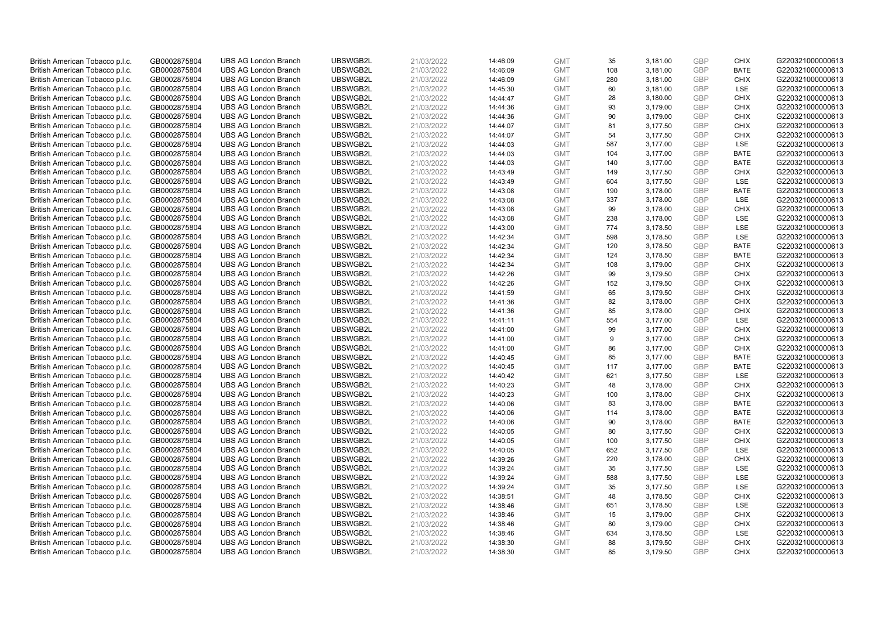| British American Tobacco p.l.c. | GB0002875804 | <b>UBS AG London Branch</b> | UBSWGB2L | 21/03/2022 | 14:46:09 | <b>GMT</b> | 35  | 3,181.00 | <b>GBP</b> | <b>CHIX</b> | G220321000000613 |
|---------------------------------|--------------|-----------------------------|----------|------------|----------|------------|-----|----------|------------|-------------|------------------|
| British American Tobacco p.l.c. | GB0002875804 | <b>UBS AG London Branch</b> | UBSWGB2L | 21/03/2022 | 14:46:09 | <b>GMT</b> | 108 | 3,181.00 | GBP        | <b>BATE</b> | G220321000000613 |
| British American Tobacco p.l.c. | GB0002875804 | <b>UBS AG London Branch</b> | UBSWGB2L | 21/03/2022 | 14:46:09 | <b>GMT</b> | 280 | 3,181.00 | GBP        | <b>CHIX</b> | G220321000000613 |
| British American Tobacco p.l.c. | GB0002875804 | <b>UBS AG London Branch</b> | UBSWGB2L | 21/03/2022 | 14:45:30 | <b>GMT</b> | 60  | 3,181.00 | GBP        | <b>LSE</b>  | G220321000000613 |
| British American Tobacco p.l.c. | GB0002875804 | <b>UBS AG London Branch</b> | UBSWGB2L | 21/03/2022 | 14:44:47 | <b>GMT</b> | 28  | 3,180.00 | <b>GBP</b> | <b>CHIX</b> | G220321000000613 |
| British American Tobacco p.l.c. | GB0002875804 | <b>UBS AG London Branch</b> | UBSWGB2L | 21/03/2022 | 14:44:36 | <b>GMT</b> | 93  | 3,179.00 | <b>GBP</b> | <b>CHIX</b> | G220321000000613 |
| British American Tobacco p.l.c. | GB0002875804 | <b>UBS AG London Branch</b> | UBSWGB2L | 21/03/2022 | 14:44:36 | <b>GMT</b> | 90  | 3,179.00 | GBP        | <b>CHIX</b> | G220321000000613 |
| British American Tobacco p.l.c. | GB0002875804 | <b>UBS AG London Branch</b> | UBSWGB2L | 21/03/2022 | 14:44:07 | <b>GMT</b> | 81  | 3,177.50 | GBP        | <b>CHIX</b> | G220321000000613 |
| British American Tobacco p.l.c. | GB0002875804 | <b>UBS AG London Branch</b> | UBSWGB2L | 21/03/2022 | 14:44:07 | <b>GMT</b> | 54  | 3,177.50 | GBP        | <b>CHIX</b> | G220321000000613 |
| British American Tobacco p.l.c. | GB0002875804 | <b>UBS AG London Branch</b> | UBSWGB2L | 21/03/2022 | 14:44:03 | <b>GMT</b> | 587 | 3,177.00 | GBP        | <b>LSE</b>  | G220321000000613 |
| British American Tobacco p.l.c. | GB0002875804 | <b>UBS AG London Branch</b> | UBSWGB2L | 21/03/2022 | 14:44:03 | <b>GMT</b> | 104 | 3,177.00 | GBP        | <b>BATE</b> | G220321000000613 |
| British American Tobacco p.l.c. | GB0002875804 | <b>UBS AG London Branch</b> | UBSWGB2L | 21/03/2022 | 14:44:03 | <b>GMT</b> | 140 | 3,177.00 | <b>GBP</b> | <b>BATE</b> | G220321000000613 |
| British American Tobacco p.l.c. | GB0002875804 | <b>UBS AG London Branch</b> | UBSWGB2L | 21/03/2022 | 14:43:49 | <b>GMT</b> | 149 | 3,177.50 | GBP        | <b>CHIX</b> | G220321000000613 |
| British American Tobacco p.l.c. | GB0002875804 | <b>UBS AG London Branch</b> | UBSWGB2L | 21/03/2022 | 14:43:49 | <b>GMT</b> | 604 | 3,177.50 | <b>GBP</b> | <b>LSE</b>  | G220321000000613 |
| British American Tobacco p.l.c. | GB0002875804 | <b>UBS AG London Branch</b> | UBSWGB2L | 21/03/2022 | 14:43:08 | <b>GMT</b> | 190 | 3,178.00 | GBP        | <b>BATE</b> | G220321000000613 |
| British American Tobacco p.l.c. | GB0002875804 | <b>UBS AG London Branch</b> | UBSWGB2L | 21/03/2022 | 14:43:08 | <b>GMT</b> | 337 | 3,178.00 | <b>GBP</b> | LSE         | G220321000000613 |
| British American Tobacco p.l.c. | GB0002875804 | <b>UBS AG London Branch</b> | UBSWGB2L | 21/03/2022 | 14:43:08 | <b>GMT</b> | 99  | 3,178.00 | GBP        | <b>CHIX</b> | G220321000000613 |
| British American Tobacco p.l.c. | GB0002875804 | <b>UBS AG London Branch</b> | UBSWGB2L | 21/03/2022 | 14:43:08 | <b>GMT</b> | 238 | 3,178.00 | <b>GBP</b> | LSE         | G220321000000613 |
| British American Tobacco p.l.c. | GB0002875804 | <b>UBS AG London Branch</b> | UBSWGB2L | 21/03/2022 | 14:43:00 | <b>GMT</b> | 774 | 3,178.50 | GBP        | <b>LSE</b>  | G220321000000613 |
| British American Tobacco p.l.c. | GB0002875804 | <b>UBS AG London Branch</b> | UBSWGB2L | 21/03/2022 | 14:42:34 | <b>GMT</b> | 598 | 3,178.50 | <b>GBP</b> | LSE         | G220321000000613 |
| British American Tobacco p.l.c. | GB0002875804 | <b>UBS AG London Branch</b> | UBSWGB2L | 21/03/2022 | 14:42:34 | <b>GMT</b> | 120 | 3,178.50 | GBP        | <b>BATE</b> | G220321000000613 |
| British American Tobacco p.l.c. | GB0002875804 | <b>UBS AG London Branch</b> | UBSWGB2L | 21/03/2022 | 14:42:34 | <b>GMT</b> | 124 | 3,178.50 | GBP        | <b>BATE</b> | G220321000000613 |
| British American Tobacco p.l.c. | GB0002875804 | <b>UBS AG London Branch</b> | UBSWGB2L | 21/03/2022 | 14:42:34 | <b>GMT</b> | 108 | 3,179.00 | GBP        | <b>CHIX</b> | G220321000000613 |
| British American Tobacco p.l.c. | GB0002875804 | <b>UBS AG London Branch</b> | UBSWGB2L | 21/03/2022 | 14:42:26 | <b>GMT</b> | 99  | 3,179.50 | GBP        | <b>CHIX</b> | G220321000000613 |
| British American Tobacco p.l.c. | GB0002875804 | <b>UBS AG London Branch</b> | UBSWGB2L | 21/03/2022 | 14:42:26 | <b>GMT</b> | 152 | 3,179.50 | <b>GBP</b> | <b>CHIX</b> | G220321000000613 |
| British American Tobacco p.l.c. | GB0002875804 | <b>UBS AG London Branch</b> | UBSWGB2L | 21/03/2022 | 14:41:59 | <b>GMT</b> | 65  | 3,179.50 | <b>GBP</b> | <b>CHIX</b> | G220321000000613 |
| British American Tobacco p.l.c. | GB0002875804 | <b>UBS AG London Branch</b> | UBSWGB2L | 21/03/2022 | 14:41:36 | <b>GMT</b> | 82  | 3,178.00 | <b>GBP</b> | <b>CHIX</b> | G220321000000613 |
| British American Tobacco p.l.c. | GB0002875804 | <b>UBS AG London Branch</b> | UBSWGB2L | 21/03/2022 | 14:41:36 | <b>GMT</b> | 85  | 3,178.00 | GBP        | <b>CHIX</b> | G220321000000613 |
| British American Tobacco p.l.c. | GB0002875804 | <b>UBS AG London Branch</b> | UBSWGB2L | 21/03/2022 | 14:41:11 | <b>GMT</b> | 554 | 3,177.00 | <b>GBP</b> | <b>LSE</b>  | G220321000000613 |
| British American Tobacco p.l.c. | GB0002875804 | <b>UBS AG London Branch</b> | UBSWGB2L | 21/03/2022 | 14:41:00 | <b>GMT</b> | 99  | 3,177.00 | GBP        | <b>CHIX</b> | G220321000000613 |
| British American Tobacco p.l.c. | GB0002875804 | <b>UBS AG London Branch</b> | UBSWGB2L | 21/03/2022 | 14:41:00 | <b>GMT</b> | 9   | 3,177.00 | GBP        | <b>CHIX</b> | G220321000000613 |
| British American Tobacco p.l.c. | GB0002875804 | <b>UBS AG London Branch</b> | UBSWGB2L | 21/03/2022 | 14:41:00 | <b>GMT</b> | 86  | 3,177.00 | <b>GBP</b> | <b>CHIX</b> | G220321000000613 |
| British American Tobacco p.l.c. | GB0002875804 | <b>UBS AG London Branch</b> | UBSWGB2L | 21/03/2022 | 14:40:45 | <b>GMT</b> | 85  | 3,177.00 | <b>GBP</b> | <b>BATE</b> | G220321000000613 |
| British American Tobacco p.l.c. | GB0002875804 | <b>UBS AG London Branch</b> | UBSWGB2L | 21/03/2022 | 14:40:45 | <b>GMT</b> | 117 | 3,177.00 | GBP        | <b>BATE</b> | G220321000000613 |
| British American Tobacco p.l.c. | GB0002875804 | <b>UBS AG London Branch</b> | UBSWGB2L | 21/03/2022 | 14:40:42 | <b>GMT</b> | 621 | 3,177.50 | GBP        | LSE         | G220321000000613 |
| British American Tobacco p.l.c. | GB0002875804 | <b>UBS AG London Branch</b> | UBSWGB2L | 21/03/2022 | 14:40:23 | <b>GMT</b> | 48  | 3,178.00 | GBP        | <b>CHIX</b> | G220321000000613 |
| British American Tobacco p.l.c. | GB0002875804 | <b>UBS AG London Branch</b> | UBSWGB2L | 21/03/2022 | 14:40:23 | <b>GMT</b> | 100 | 3,178.00 | GBP        | <b>CHIX</b> | G220321000000613 |
| British American Tobacco p.l.c. | GB0002875804 | <b>UBS AG London Branch</b> | UBSWGB2L | 21/03/2022 | 14:40:06 | <b>GMT</b> | 83  | 3,178.00 | <b>GBP</b> | <b>BATE</b> | G220321000000613 |
| British American Tobacco p.l.c. | GB0002875804 | <b>UBS AG London Branch</b> | UBSWGB2L | 21/03/2022 | 14:40:06 | <b>GMT</b> | 114 | 3,178.00 | <b>GBP</b> | <b>BATE</b> | G220321000000613 |
| British American Tobacco p.l.c. | GB0002875804 | <b>UBS AG London Branch</b> | UBSWGB2L | 21/03/2022 | 14:40:06 | <b>GMT</b> | 90  | 3,178.00 | <b>GBP</b> | <b>BATE</b> | G220321000000613 |
| British American Tobacco p.l.c. | GB0002875804 | <b>UBS AG London Branch</b> | UBSWGB2L | 21/03/2022 | 14:40:05 | <b>GMT</b> | 80  | 3,177.50 | GBP        | <b>CHIX</b> | G220321000000613 |
| British American Tobacco p.l.c. | GB0002875804 | <b>UBS AG London Branch</b> | UBSWGB2L | 21/03/2022 | 14:40:05 | <b>GMT</b> | 100 | 3,177.50 | <b>GBP</b> | <b>CHIX</b> | G220321000000613 |
| British American Tobacco p.l.c. | GB0002875804 | <b>UBS AG London Branch</b> | UBSWGB2L | 21/03/2022 | 14:40:05 | <b>GMT</b> | 652 | 3,177.50 | <b>GBP</b> | LSE         | G220321000000613 |
| British American Tobacco p.l.c. | GB0002875804 | <b>UBS AG London Branch</b> | UBSWGB2L | 21/03/2022 | 14:39:26 | <b>GMT</b> | 220 | 3,178.00 | GBP        | <b>CHIX</b> | G220321000000613 |
| British American Tobacco p.l.c. | GB0002875804 | <b>UBS AG London Branch</b> | UBSWGB2L | 21/03/2022 | 14:39:24 | <b>GMT</b> | 35  | 3,177.50 | <b>GBP</b> | <b>LSE</b>  | G220321000000613 |
| British American Tobacco p.l.c. | GB0002875804 | <b>UBS AG London Branch</b> | UBSWGB2L | 21/03/2022 | 14:39:24 | <b>GMT</b> | 588 | 3,177.50 | <b>GBP</b> | LSE         | G220321000000613 |
| British American Tobacco p.l.c. | GB0002875804 | <b>UBS AG London Branch</b> | UBSWGB2L | 21/03/2022 | 14:39:24 | <b>GMT</b> | 35  | 3,177.50 | <b>GBP</b> | LSE         | G220321000000613 |
| British American Tobacco p.l.c. | GB0002875804 | <b>UBS AG London Branch</b> | UBSWGB2L | 21/03/2022 | 14:38:51 | <b>GMT</b> | 48  | 3,178.50 | GBP        | <b>CHIX</b> | G220321000000613 |
| British American Tobacco p.l.c. | GB0002875804 | <b>UBS AG London Branch</b> | UBSWGB2L | 21/03/2022 | 14:38:46 | <b>GMT</b> | 651 | 3,178.50 | <b>GBP</b> | LSE         | G220321000000613 |
| British American Tobacco p.l.c. | GB0002875804 | <b>UBS AG London Branch</b> | UBSWGB2L | 21/03/2022 | 14:38:46 | <b>GMT</b> | 15  | 3,179.00 | <b>GBP</b> | <b>CHIX</b> | G220321000000613 |
| British American Tobacco p.l.c. | GB0002875804 | <b>UBS AG London Branch</b> | UBSWGB2L | 21/03/2022 | 14:38:46 | <b>GMT</b> | 80  | 3,179.00 | GBP        | <b>CHIX</b> | G220321000000613 |
| British American Tobacco p.l.c. | GB0002875804 | <b>UBS AG London Branch</b> | UBSWGB2L | 21/03/2022 | 14:38:46 | <b>GMT</b> | 634 | 3,178.50 | <b>GBP</b> | LSE         | G220321000000613 |
| British American Tobacco p.l.c. | GB0002875804 | <b>UBS AG London Branch</b> | UBSWGB2L | 21/03/2022 | 14:38:30 | <b>GMT</b> | 88  | 3,179.50 | GBP        | <b>CHIX</b> | G220321000000613 |
| British American Tobacco p.l.c. | GB0002875804 | <b>UBS AG London Branch</b> | UBSWGB2L | 21/03/2022 | 14:38:30 | <b>GMT</b> | 85  | 3.179.50 | GBP        | <b>CHIX</b> | G220321000000613 |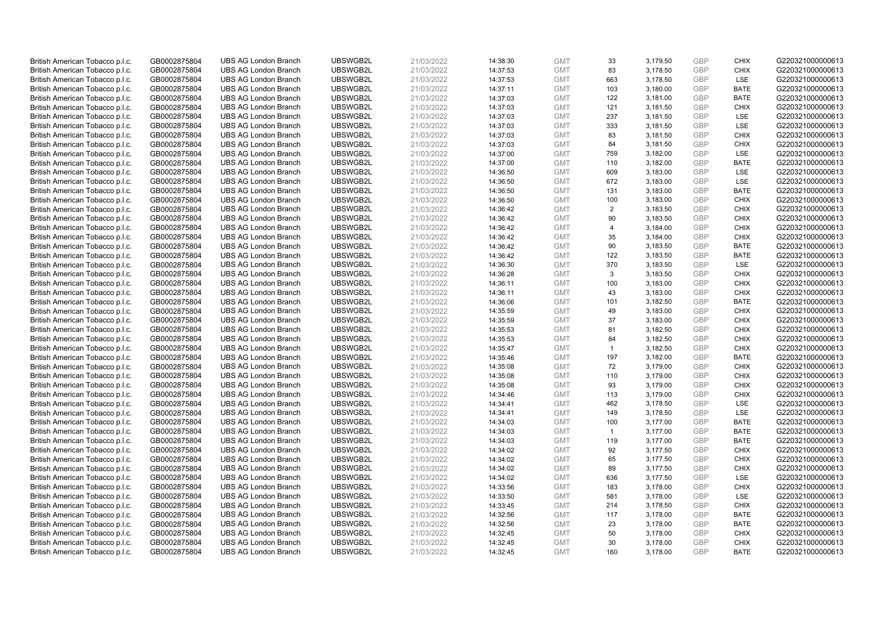| British American Tobacco p.l.c. | GB0002875804 | <b>UBS AG London Branch</b> | UBSWGB2L | 21/03/2022 | 14:38:30 | <b>GMT</b> | 33             | 3,179.50 | <b>GBP</b> | <b>CHIX</b> | G220321000000613 |
|---------------------------------|--------------|-----------------------------|----------|------------|----------|------------|----------------|----------|------------|-------------|------------------|
| British American Tobacco p.l.c. | GB0002875804 | <b>UBS AG London Branch</b> | UBSWGB2L | 21/03/2022 | 14:37:53 | <b>GMT</b> | 83             | 3,178.50 | GBP        | <b>CHIX</b> | G220321000000613 |
| British American Tobacco p.l.c. | GB0002875804 | <b>UBS AG London Branch</b> | UBSWGB2L | 21/03/2022 | 14:37:53 | <b>GMT</b> | 663            | 3,178.50 | GBP        | LSE         | G220321000000613 |
| British American Tobacco p.l.c. | GB0002875804 | <b>UBS AG London Branch</b> | UBSWGB2L | 21/03/2022 | 14:37:11 | <b>GMT</b> | 103            | 3,180.00 | GBP        | <b>BATE</b> | G220321000000613 |
| British American Tobacco p.l.c. | GB0002875804 | <b>UBS AG London Branch</b> | UBSWGB2L | 21/03/2022 | 14:37:03 | <b>GMT</b> | 122            | 3,181.00 | <b>GBP</b> | <b>BATE</b> | G220321000000613 |
| British American Tobacco p.l.c. | GB0002875804 | <b>UBS AG London Branch</b> | UBSWGB2L | 21/03/2022 | 14:37:03 | <b>GMT</b> | 121            | 3,181.50 | <b>GBP</b> | <b>CHIX</b> | G220321000000613 |
| British American Tobacco p.l.c. | GB0002875804 | <b>UBS AG London Branch</b> | UBSWGB2L | 21/03/2022 | 14:37:03 | <b>GMT</b> | 237            | 3,181.50 | <b>GBP</b> | LSE         | G220321000000613 |
| British American Tobacco p.l.c. | GB0002875804 | <b>UBS AG London Branch</b> | UBSWGB2L | 21/03/2022 | 14:37:03 | <b>GMT</b> | 333            | 3,181.50 | GBP        | LSE         | G220321000000613 |
| British American Tobacco p.l.c. | GB0002875804 | <b>UBS AG London Branch</b> | UBSWGB2L | 21/03/2022 | 14:37:03 | <b>GMT</b> | 83             | 3,181.50 | GBP        | <b>CHIX</b> | G220321000000613 |
| British American Tobacco p.l.c. | GB0002875804 | <b>UBS AG London Branch</b> | UBSWGB2L | 21/03/2022 | 14:37:03 | <b>GMT</b> | 84             | 3,181.50 | GBP        | <b>CHIX</b> | G220321000000613 |
| British American Tobacco p.l.c. | GB0002875804 | <b>UBS AG London Branch</b> | UBSWGB2L | 21/03/2022 | 14:37:00 | <b>GMT</b> | 759            | 3,182.00 | GBP        | <b>LSE</b>  | G220321000000613 |
| British American Tobacco p.l.c. | GB0002875804 | <b>UBS AG London Branch</b> | UBSWGB2L | 21/03/2022 | 14:37:00 | <b>GMT</b> | 110            | 3,182.00 | <b>GBP</b> | <b>BATE</b> | G220321000000613 |
| British American Tobacco p.l.c. | GB0002875804 | <b>UBS AG London Branch</b> | UBSWGB2L | 21/03/2022 | 14:36:50 | <b>GMT</b> | 609            | 3,183.00 | <b>GBP</b> | LSE         | G220321000000613 |
| British American Tobacco p.l.c. | GB0002875804 | <b>UBS AG London Branch</b> | UBSWGB2L | 21/03/2022 | 14:36:50 | <b>GMT</b> | 672            | 3,183.00 | <b>GBP</b> | <b>LSE</b>  | G220321000000613 |
| British American Tobacco p.l.c. | GB0002875804 | <b>UBS AG London Branch</b> | UBSWGB2L | 21/03/2022 | 14:36:50 | <b>GMT</b> | 131            | 3,183.00 | GBP        | <b>BATE</b> | G220321000000613 |
| British American Tobacco p.l.c. | GB0002875804 | <b>UBS AG London Branch</b> | UBSWGB2L | 21/03/2022 | 14:36:50 | <b>GMT</b> | 100            | 3,183.00 | <b>GBP</b> | <b>CHIX</b> | G220321000000613 |
| British American Tobacco p.l.c. | GB0002875804 | <b>UBS AG London Branch</b> | UBSWGB2L | 21/03/2022 | 14:36:42 | <b>GMT</b> | $\overline{2}$ | 3,183.50 | GBP        | <b>CHIX</b> | G220321000000613 |
| British American Tobacco p.l.c. | GB0002875804 | <b>UBS AG London Branch</b> | UBSWGB2L | 21/03/2022 | 14:36:42 | <b>GMT</b> | 90             | 3,183.50 | GBP        | <b>CHIX</b> | G220321000000613 |
| British American Tobacco p.l.c. | GB0002875804 | <b>UBS AG London Branch</b> | UBSWGB2L | 21/03/2022 | 14:36:42 | <b>GMT</b> | $\overline{4}$ | 3,184.00 | GBP        | <b>CHIX</b> | G220321000000613 |
| British American Tobacco p.l.c. | GB0002875804 | <b>UBS AG London Branch</b> | UBSWGB2L | 21/03/2022 | 14:36:42 | <b>GMT</b> | 35             | 3,184.00 | <b>GBP</b> | <b>CHIX</b> | G220321000000613 |
| British American Tobacco p.l.c. | GB0002875804 | <b>UBS AG London Branch</b> | UBSWGB2L | 21/03/2022 | 14:36:42 | <b>GMT</b> | 90             | 3,183.50 | GBP        | <b>BATE</b> | G220321000000613 |
| British American Tobacco p.l.c. | GB0002875804 | <b>UBS AG London Branch</b> | UBSWGB2L | 21/03/2022 | 14:36:42 | <b>GMT</b> | 122            | 3,183.50 | GBP        | <b>BATE</b> | G220321000000613 |
| British American Tobacco p.l.c. | GB0002875804 | <b>UBS AG London Branch</b> | UBSWGB2L | 21/03/2022 | 14:36:30 | <b>GMT</b> | 370            | 3,183.50 | GBP        | LSE         | G220321000000613 |
| British American Tobacco p.l.c. | GB0002875804 | <b>UBS AG London Branch</b> | UBSWGB2L | 21/03/2022 | 14:36:28 | <b>GMT</b> | 3              | 3,183.50 | GBP        | <b>CHIX</b> | G220321000000613 |
| British American Tobacco p.l.c. | GB0002875804 | <b>UBS AG London Branch</b> | UBSWGB2L | 21/03/2022 | 14:36:11 | <b>GMT</b> | 100            | 3,183.00 | <b>GBP</b> | <b>CHIX</b> | G220321000000613 |
| British American Tobacco p.l.c. | GB0002875804 | <b>UBS AG London Branch</b> | UBSWGB2L | 21/03/2022 | 14:36:11 | <b>GMT</b> | 43             | 3,183.00 | GBP        | <b>CHIX</b> | G220321000000613 |
| British American Tobacco p.l.c. | GB0002875804 | <b>UBS AG London Branch</b> | UBSWGB2L | 21/03/2022 | 14:36:06 | <b>GMT</b> | 101            | 3,182.50 | <b>GBP</b> | <b>BATE</b> | G220321000000613 |
| British American Tobacco p.l.c. | GB0002875804 | <b>UBS AG London Branch</b> | UBSWGB2L | 21/03/2022 | 14:35:59 | <b>GMT</b> | 49             | 3,183.00 | GBP        | <b>CHIX</b> | G220321000000613 |
| British American Tobacco p.l.c. | GB0002875804 | <b>UBS AG London Branch</b> | UBSWGB2L | 21/03/2022 | 14:35:59 | <b>GMT</b> | 37             | 3,183.00 | <b>GBP</b> | <b>CHIX</b> | G220321000000613 |
| British American Tobacco p.l.c. | GB0002875804 | <b>UBS AG London Branch</b> | UBSWGB2L | 21/03/2022 | 14:35:53 | <b>GMT</b> | 81             | 3,182.50 | GBP        | <b>CHIX</b> | G220321000000613 |
| British American Tobacco p.l.c. | GB0002875804 | <b>UBS AG London Branch</b> | UBSWGB2L | 21/03/2022 | 14:35:53 | <b>GMT</b> | 84             | 3,182.50 | GBP        | <b>CHIX</b> | G220321000000613 |
| British American Tobacco p.l.c. | GB0002875804 | <b>UBS AG London Branch</b> | UBSWGB2L | 21/03/2022 | 14:35:47 | <b>GMT</b> | $\overline{1}$ | 3,182.50 | <b>GBP</b> | <b>CHIX</b> | G220321000000613 |
| British American Tobacco p.l.c. | GB0002875804 | <b>UBS AG London Branch</b> | UBSWGB2L | 21/03/2022 | 14:35:46 | <b>GMT</b> | 197            | 3,182.00 | <b>GBP</b> | <b>BATE</b> | G220321000000613 |
| British American Tobacco p.l.c. | GB0002875804 | <b>UBS AG London Branch</b> | UBSWGB2L | 21/03/2022 | 14:35:08 | <b>GMT</b> | 72             | 3,179.00 | GBP        | <b>CHIX</b> | G220321000000613 |
| British American Tobacco p.l.c. | GB0002875804 | <b>UBS AG London Branch</b> | UBSWGB2L | 21/03/2022 | 14:35:08 | <b>GMT</b> | 110            | 3,179.00 | GBP        | <b>CHIX</b> | G220321000000613 |
| British American Tobacco p.l.c. | GB0002875804 | <b>UBS AG London Branch</b> | UBSWGB2L | 21/03/2022 | 14:35:08 | <b>GMT</b> | 93             | 3,179.00 | GBP        | <b>CHIX</b> | G220321000000613 |
| British American Tobacco p.l.c. | GB0002875804 | <b>UBS AG London Branch</b> | UBSWGB2L | 21/03/2022 | 14:34:46 | <b>GMT</b> | 113            | 3,179.00 | GBP        | <b>CHIX</b> | G220321000000613 |
| British American Tobacco p.l.c. | GB0002875804 | <b>UBS AG London Branch</b> | UBSWGB2L | 21/03/2022 | 14:34:41 | <b>GMT</b> | 462            | 3,178.50 | <b>GBP</b> | LSE         | G220321000000613 |
| British American Tobacco p.l.c. | GB0002875804 | <b>UBS AG London Branch</b> | UBSWGB2L | 21/03/2022 | 14:34:41 | <b>GMT</b> | 149            | 3,178.50 | <b>GBP</b> | LSE         | G220321000000613 |
| British American Tobacco p.l.c. | GB0002875804 | <b>UBS AG London Branch</b> | UBSWGB2L | 21/03/2022 | 14:34:03 | <b>GMT</b> | 100            | 3,177.00 | <b>GBP</b> | <b>BATE</b> | G220321000000613 |
| British American Tobacco p.l.c. | GB0002875804 | <b>UBS AG London Branch</b> | UBSWGB2L | 21/03/2022 | 14:34:03 | <b>GMT</b> | $\overline{1}$ | 3,177.00 | GBP        | <b>BATE</b> | G220321000000613 |
| British American Tobacco p.l.c. | GB0002875804 | <b>UBS AG London Branch</b> | UBSWGB2L | 21/03/2022 | 14:34:03 | <b>GMT</b> | 119            | 3,177.00 | <b>GBP</b> | <b>BATE</b> | G220321000000613 |
| British American Tobacco p.l.c. | GB0002875804 | <b>UBS AG London Branch</b> | UBSWGB2L | 21/03/2022 | 14:34:02 | <b>GMT</b> | 92             | 3,177.50 | <b>GBP</b> | <b>CHIX</b> | G220321000000613 |
| British American Tobacco p.l.c. | GB0002875804 | <b>UBS AG London Branch</b> | UBSWGB2L | 21/03/2022 | 14:34:02 | <b>GMT</b> | 65             | 3,177.50 | GBP        | <b>CHIX</b> | G220321000000613 |
| British American Tobacco p.l.c. | GB0002875804 | <b>UBS AG London Branch</b> | UBSWGB2L | 21/03/2022 | 14:34:02 | <b>GMT</b> | 89             | 3,177.50 | <b>GBP</b> | <b>CHIX</b> | G220321000000613 |
| British American Tobacco p.l.c. | GB0002875804 | <b>UBS AG London Branch</b> | UBSWGB2L | 21/03/2022 | 14:34:02 | <b>GMT</b> | 636            | 3,177.50 | <b>GBP</b> | LSE         | G220321000000613 |
| British American Tobacco p.l.c. | GB0002875804 | <b>UBS AG London Branch</b> | UBSWGB2L | 21/03/2022 | 14:33:56 | <b>GMT</b> | 183            | 3,178.00 | <b>GBP</b> | <b>CHIX</b> | G220321000000613 |
| British American Tobacco p.l.c. | GB0002875804 | <b>UBS AG London Branch</b> | UBSWGB2L | 21/03/2022 | 14:33:50 | <b>GMT</b> | 581            | 3,178.00 | <b>GBP</b> | LSE         | G220321000000613 |
| British American Tobacco p.l.c. | GB0002875804 | <b>UBS AG London Branch</b> | UBSWGB2L | 21/03/2022 | 14:33:45 | <b>GMT</b> | 214            | 3,178.50 | <b>GBP</b> | <b>CHIX</b> | G220321000000613 |
| British American Tobacco p.l.c. | GB0002875804 | <b>UBS AG London Branch</b> | UBSWGB2L | 21/03/2022 | 14:32:56 | <b>GMT</b> | 117            | 3,178.00 | <b>GBP</b> | <b>BATE</b> | G220321000000613 |
| British American Tobacco p.l.c. | GB0002875804 | <b>UBS AG London Branch</b> | UBSWGB2L | 21/03/2022 | 14:32:56 | <b>GMT</b> | 23             | 3,178.00 | GBP        | <b>BATE</b> | G220321000000613 |
| British American Tobacco p.l.c. | GB0002875804 | <b>UBS AG London Branch</b> | UBSWGB2L | 21/03/2022 | 14:32:45 | <b>GMT</b> | 50             | 3,178.00 | <b>GBP</b> | <b>CHIX</b> | G220321000000613 |
| British American Tobacco p.l.c. | GB0002875804 | <b>UBS AG London Branch</b> | UBSWGB2L | 21/03/2022 | 14:32:45 | <b>GMT</b> | 30             | 3,178.00 | GBP        | <b>CHIX</b> | G220321000000613 |
| British American Tobacco p.l.c. | GB0002875804 | <b>UBS AG London Branch</b> | UBSWGB2L | 21/03/2022 | 14:32:45 | <b>GMT</b> | 160            | 3.178.00 | GBP        | <b>BATE</b> | G220321000000613 |
|                                 |              |                             |          |            |          |            |                |          |            |             |                  |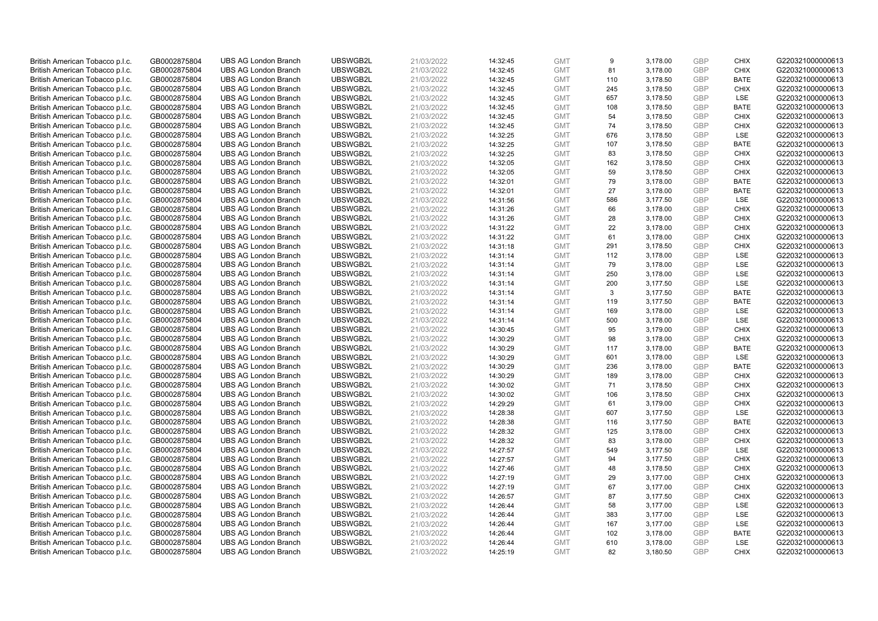| British American Tobacco p.l.c. | GB0002875804 | <b>UBS AG London Branch</b> | UBSWGB2L | 21/03/2022 | 14:32:45 | <b>GMT</b> | 9   | 3,178.00 | <b>GBP</b> | <b>CHIX</b> | G220321000000613 |
|---------------------------------|--------------|-----------------------------|----------|------------|----------|------------|-----|----------|------------|-------------|------------------|
| British American Tobacco p.l.c. | GB0002875804 | <b>UBS AG London Branch</b> | UBSWGB2L | 21/03/2022 | 14:32:45 | <b>GMT</b> | 81  | 3,178.00 | <b>GBP</b> | <b>CHIX</b> | G220321000000613 |
| British American Tobacco p.l.c. | GB0002875804 | <b>UBS AG London Branch</b> | UBSWGB2L | 21/03/2022 | 14:32:45 | <b>GMT</b> | 110 | 3,178.50 | GBP        | <b>BATE</b> | G220321000000613 |
| British American Tobacco p.l.c. | GB0002875804 | <b>UBS AG London Branch</b> | UBSWGB2L | 21/03/2022 | 14:32:45 | <b>GMT</b> | 245 | 3,178.50 | GBP        | <b>CHIX</b> | G220321000000613 |
| British American Tobacco p.l.c. | GB0002875804 | <b>UBS AG London Branch</b> | UBSWGB2L | 21/03/2022 | 14:32:45 | <b>GMT</b> | 657 | 3,178.50 | <b>GBP</b> | LSE         | G220321000000613 |
| British American Tobacco p.l.c. | GB0002875804 | <b>UBS AG London Branch</b> | UBSWGB2L | 21/03/2022 | 14:32:45 | <b>GMT</b> | 108 | 3,178.50 | <b>GBP</b> | <b>BATE</b> | G220321000000613 |
| British American Tobacco p.l.c. | GB0002875804 | <b>UBS AG London Branch</b> | UBSWGB2L | 21/03/2022 | 14:32:45 | <b>GMT</b> | 54  | 3,178.50 | <b>GBP</b> | <b>CHIX</b> | G220321000000613 |
| British American Tobacco p.l.c. | GB0002875804 | <b>UBS AG London Branch</b> | UBSWGB2L | 21/03/2022 | 14:32:45 | <b>GMT</b> | 74  | 3,178.50 | GBP        | <b>CHIX</b> | G220321000000613 |
| British American Tobacco p.l.c. | GB0002875804 | <b>UBS AG London Branch</b> | UBSWGB2L | 21/03/2022 | 14:32:25 | <b>GMT</b> | 676 | 3,178.50 | <b>GBP</b> | LSE         | G220321000000613 |
| British American Tobacco p.l.c. | GB0002875804 | <b>UBS AG London Branch</b> | UBSWGB2L | 21/03/2022 | 14:32:25 | <b>GMT</b> | 107 | 3,178.50 | GBP        | <b>BATE</b> | G220321000000613 |
| British American Tobacco p.l.c. | GB0002875804 | <b>UBS AG London Branch</b> | UBSWGB2L | 21/03/2022 | 14:32:25 | <b>GMT</b> | 83  | 3,178.50 | <b>GBP</b> | <b>CHIX</b> | G220321000000613 |
| British American Tobacco p.l.c. | GB0002875804 | <b>UBS AG London Branch</b> | UBSWGB2L | 21/03/2022 | 14:32:05 | <b>GMT</b> | 162 | 3,178.50 | <b>GBP</b> | <b>CHIX</b> | G220321000000613 |
| British American Tobacco p.l.c. | GB0002875804 | <b>UBS AG London Branch</b> | UBSWGB2L | 21/03/2022 | 14:32:05 | <b>GMT</b> | 59  | 3,178.50 | <b>GBP</b> | <b>CHIX</b> | G220321000000613 |
| British American Tobacco p.l.c. | GB0002875804 | <b>UBS AG London Branch</b> | UBSWGB2L | 21/03/2022 | 14:32:01 | <b>GMT</b> | 79  | 3,178.00 | <b>GBP</b> | <b>BATE</b> | G220321000000613 |
| British American Tobacco p.l.c. | GB0002875804 | <b>UBS AG London Branch</b> | UBSWGB2L | 21/03/2022 | 14:32:01 | <b>GMT</b> | 27  | 3,178.00 | <b>GBP</b> | <b>BATE</b> | G220321000000613 |
| British American Tobacco p.l.c. | GB0002875804 | <b>UBS AG London Branch</b> | UBSWGB2L | 21/03/2022 | 14:31:56 | <b>GMT</b> | 586 | 3,177.50 | <b>GBP</b> | LSE         | G220321000000613 |
| British American Tobacco p.l.c. | GB0002875804 | <b>UBS AG London Branch</b> | UBSWGB2L | 21/03/2022 | 14:31:26 | <b>GMT</b> | 66  | 3,178.00 | <b>GBP</b> | <b>CHIX</b> | G220321000000613 |
| British American Tobacco p.l.c. | GB0002875804 | <b>UBS AG London Branch</b> | UBSWGB2L | 21/03/2022 | 14:31:26 | <b>GMT</b> | 28  | 3,178.00 | GBP        | <b>CHIX</b> | G220321000000613 |
| British American Tobacco p.l.c. | GB0002875804 | <b>UBS AG London Branch</b> | UBSWGB2L | 21/03/2022 | 14:31:22 | <b>GMT</b> | 22  | 3,178.00 | GBP        | <b>CHIX</b> | G220321000000613 |
| British American Tobacco p.l.c. | GB0002875804 | <b>UBS AG London Branch</b> | UBSWGB2L | 21/03/2022 | 14:31:22 | <b>GMT</b> | 61  | 3,178.00 | <b>GBP</b> | <b>CHIX</b> | G220321000000613 |
| British American Tobacco p.l.c. | GB0002875804 | <b>UBS AG London Branch</b> | UBSWGB2L | 21/03/2022 | 14:31:18 | <b>GMT</b> | 291 | 3,178.50 | GBP        | <b>CHIX</b> | G220321000000613 |
| British American Tobacco p.l.c. | GB0002875804 | <b>UBS AG London Branch</b> | UBSWGB2L | 21/03/2022 | 14:31:14 | <b>GMT</b> | 112 | 3,178.00 | <b>GBP</b> | LSE         | G220321000000613 |
| British American Tobacco p.l.c. | GB0002875804 | <b>UBS AG London Branch</b> | UBSWGB2L | 21/03/2022 | 14:31:14 | <b>GMT</b> | 79  | 3,178.00 | GBP        | LSE         | G220321000000613 |
| British American Tobacco p.l.c. | GB0002875804 | <b>UBS AG London Branch</b> | UBSWGB2L | 21/03/2022 | 14:31:14 | <b>GMT</b> | 250 | 3,178.00 | <b>GBP</b> | LSE         | G220321000000613 |
| British American Tobacco p.l.c. | GB0002875804 | <b>UBS AG London Branch</b> | UBSWGB2L | 21/03/2022 | 14:31:14 | <b>GMT</b> | 200 | 3,177.50 | <b>GBP</b> | LSE         | G220321000000613 |
| British American Tobacco p.l.c. | GB0002875804 | <b>UBS AG London Branch</b> | UBSWGB2L | 21/03/2022 | 14:31:14 | <b>GMT</b> | 3   | 3,177.50 | <b>GBP</b> | <b>BATE</b> | G220321000000613 |
| British American Tobacco p.l.c. | GB0002875804 | <b>UBS AG London Branch</b> | UBSWGB2L | 21/03/2022 | 14:31:14 | <b>GMT</b> | 119 | 3,177.50 | <b>GBP</b> | <b>BATE</b> | G220321000000613 |
| British American Tobacco p.l.c. | GB0002875804 | <b>UBS AG London Branch</b> | UBSWGB2L | 21/03/2022 | 14:31:14 | <b>GMT</b> | 169 | 3,178.00 | <b>GBP</b> | <b>LSE</b>  | G220321000000613 |
| British American Tobacco p.l.c. | GB0002875804 | <b>UBS AG London Branch</b> | UBSWGB2L | 21/03/2022 | 14:31:14 | <b>GMT</b> | 500 | 3,178.00 | <b>GBP</b> | LSE         | G220321000000613 |
| British American Tobacco p.l.c. | GB0002875804 | <b>UBS AG London Branch</b> | UBSWGB2L | 21/03/2022 | 14:30:45 | <b>GMT</b> | 95  | 3,179.00 | <b>GBP</b> | <b>CHIX</b> | G220321000000613 |
| British American Tobacco p.l.c. | GB0002875804 | <b>UBS AG London Branch</b> | UBSWGB2L | 21/03/2022 | 14:30:29 | <b>GMT</b> | 98  | 3,178.00 | GBP        | <b>CHIX</b> | G220321000000613 |
| British American Tobacco p.l.c. | GB0002875804 | <b>UBS AG London Branch</b> | UBSWGB2L | 21/03/2022 | 14:30:29 | <b>GMT</b> | 117 | 3,178.00 | <b>GBP</b> | <b>BATE</b> | G220321000000613 |
| British American Tobacco p.l.c. | GB0002875804 | <b>UBS AG London Branch</b> | UBSWGB2L | 21/03/2022 | 14:30:29 | <b>GMT</b> | 601 | 3,178.00 | <b>GBP</b> | LSE         | G220321000000613 |
| British American Tobacco p.l.c. | GB0002875804 | <b>UBS AG London Branch</b> | UBSWGB2L | 21/03/2022 | 14:30:29 | <b>GMT</b> | 236 | 3,178.00 | GBP        | <b>BATE</b> | G220321000000613 |
| British American Tobacco p.l.c. | GB0002875804 | <b>UBS AG London Branch</b> | UBSWGB2L | 21/03/2022 | 14:30:29 | <b>GMT</b> | 189 | 3,178.00 | <b>GBP</b> | <b>CHIX</b> | G220321000000613 |
| British American Tobacco p.l.c. | GB0002875804 | <b>UBS AG London Branch</b> | UBSWGB2L | 21/03/2022 | 14:30:02 | <b>GMT</b> | 71  | 3,178.50 | GBP        | <b>CHIX</b> | G220321000000613 |
| British American Tobacco p.l.c. | GB0002875804 | <b>UBS AG London Branch</b> | UBSWGB2L | 21/03/2022 | 14:30:02 | <b>GMT</b> | 106 | 3,178.50 | <b>GBP</b> | <b>CHIX</b> | G220321000000613 |
| British American Tobacco p.l.c. | GB0002875804 | <b>UBS AG London Branch</b> | UBSWGB2L | 21/03/2022 | 14:29:29 | <b>GMT</b> | 61  | 3,179.00 | <b>GBP</b> | <b>CHIX</b> | G220321000000613 |
| British American Tobacco p.l.c. | GB0002875804 | <b>UBS AG London Branch</b> | UBSWGB2L | 21/03/2022 | 14:28:38 | <b>GMT</b> | 607 | 3,177.50 | <b>GBP</b> | LSE         | G220321000000613 |
| British American Tobacco p.l.c. | GB0002875804 | <b>UBS AG London Branch</b> | UBSWGB2L | 21/03/2022 | 14:28:38 | <b>GMT</b> | 116 | 3,177.50 | <b>GBP</b> | <b>BATE</b> | G220321000000613 |
| British American Tobacco p.l.c. | GB0002875804 | <b>UBS AG London Branch</b> | UBSWGB2L | 21/03/2022 | 14:28:32 | <b>GMT</b> | 125 | 3,178.00 | <b>GBP</b> | <b>CHIX</b> | G220321000000613 |
| British American Tobacco p.l.c. | GB0002875804 | <b>UBS AG London Branch</b> | UBSWGB2L | 21/03/2022 | 14:28:32 | <b>GMT</b> | 83  | 3,178.00 | <b>GBP</b> | <b>CHIX</b> | G220321000000613 |
| British American Tobacco p.l.c. | GB0002875804 | <b>UBS AG London Branch</b> | UBSWGB2L | 21/03/2022 | 14:27:57 | <b>GMT</b> | 549 | 3,177.50 | <b>GBP</b> | LSE         | G220321000000613 |
| British American Tobacco p.l.c. | GB0002875804 | <b>UBS AG London Branch</b> | UBSWGB2L | 21/03/2022 | 14:27:57 | <b>GMT</b> | 94  | 3,177.50 | GBP        | <b>CHIX</b> | G220321000000613 |
| British American Tobacco p.l.c. | GB0002875804 | <b>UBS AG London Branch</b> | UBSWGB2L | 21/03/2022 | 14:27:46 | <b>GMT</b> | 48  | 3,178.50 | <b>GBP</b> | <b>CHIX</b> | G220321000000613 |
| British American Tobacco p.l.c. | GB0002875804 | <b>UBS AG London Branch</b> | UBSWGB2L | 21/03/2022 | 14:27:19 | <b>GMT</b> | 29  | 3,177.00 | <b>GBP</b> | <b>CHIX</b> | G220321000000613 |
| British American Tobacco p.l.c. | GB0002875804 | <b>UBS AG London Branch</b> | UBSWGB2L | 21/03/2022 | 14:27:19 | <b>GMT</b> | 67  | 3,177.00 | <b>GBP</b> | <b>CHIX</b> | G220321000000613 |
| British American Tobacco p.l.c. | GB0002875804 | <b>UBS AG London Branch</b> | UBSWGB2L | 21/03/2022 | 14:26:57 | <b>GMT</b> | 87  | 3,177.50 | <b>GBP</b> | <b>CHIX</b> | G220321000000613 |
| British American Tobacco p.l.c. | GB0002875804 | <b>UBS AG London Branch</b> | UBSWGB2L | 21/03/2022 | 14:26:44 | <b>GMT</b> | 58  | 3,177.00 | <b>GBP</b> | LSE         | G220321000000613 |
| British American Tobacco p.l.c. | GB0002875804 | <b>UBS AG London Branch</b> | UBSWGB2L | 21/03/2022 | 14:26:44 | <b>GMT</b> | 383 | 3,177.00 | <b>GBP</b> | LSE         | G220321000000613 |
| British American Tobacco p.l.c. | GB0002875804 | <b>UBS AG London Branch</b> | UBSWGB2L | 21/03/2022 | 14:26:44 | <b>GMT</b> | 167 | 3,177.00 | <b>GBP</b> | LSE         | G220321000000613 |
| British American Tobacco p.l.c. | GB0002875804 | <b>UBS AG London Branch</b> | UBSWGB2L | 21/03/2022 | 14:26:44 | <b>GMT</b> | 102 | 3,178.00 | <b>GBP</b> | <b>BATE</b> | G220321000000613 |
| British American Tobacco p.l.c. | GB0002875804 | <b>UBS AG London Branch</b> | UBSWGB2L | 21/03/2022 | 14:26:44 | <b>GMT</b> | 610 | 3,178.00 | GBP        | LSE         | G220321000000613 |
| British American Tobacco p.l.c. | GB0002875804 | <b>UBS AG London Branch</b> | UBSWGB2L | 21/03/2022 | 14:25:19 | <b>GMT</b> | 82  | 3,180.50 | GBP        | <b>CHIX</b> | G220321000000613 |
|                                 |              |                             |          |            |          |            |     |          |            |             |                  |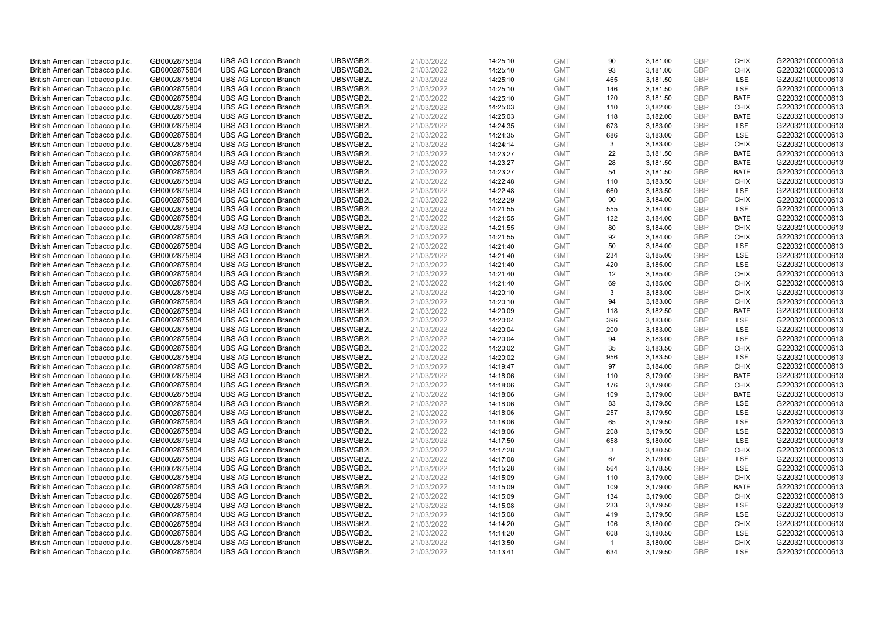| British American Tobacco p.l.c. | GB0002875804 | <b>UBS AG London Branch</b> | UBSWGB2L | 21/03/2022 | 14:25:10 | <b>GMT</b> | 90             | 3,181.00 | <b>GBP</b> | <b>CHIX</b> | G220321000000613 |
|---------------------------------|--------------|-----------------------------|----------|------------|----------|------------|----------------|----------|------------|-------------|------------------|
| British American Tobacco p.l.c. | GB0002875804 | <b>UBS AG London Branch</b> | UBSWGB2L | 21/03/2022 | 14:25:10 | <b>GMT</b> | 93             | 3,181.00 | <b>GBP</b> | <b>CHIX</b> | G220321000000613 |
| British American Tobacco p.l.c. | GB0002875804 | <b>UBS AG London Branch</b> | UBSWGB2L | 21/03/2022 | 14:25:10 | <b>GMT</b> | 465            | 3,181.50 | <b>GBP</b> | LSE         | G220321000000613 |
| British American Tobacco p.l.c. | GB0002875804 | <b>UBS AG London Branch</b> | UBSWGB2L | 21/03/2022 | 14:25:10 | <b>GMT</b> | 146            | 3,181.50 | GBP        | <b>LSE</b>  | G220321000000613 |
| British American Tobacco p.l.c. | GB0002875804 | <b>UBS AG London Branch</b> | UBSWGB2L | 21/03/2022 | 14:25:10 | <b>GMT</b> | 120            | 3,181.50 | GBP        | <b>BATE</b> | G220321000000613 |
| British American Tobacco p.l.c. | GB0002875804 | <b>UBS AG London Branch</b> | UBSWGB2L | 21/03/2022 | 14:25:03 | <b>GMT</b> | 110            | 3,182.00 | <b>GBP</b> | <b>CHIX</b> | G220321000000613 |
| British American Tobacco p.l.c. | GB0002875804 | <b>UBS AG London Branch</b> | UBSWGB2L | 21/03/2022 | 14:25:03 | <b>GMT</b> | 118            | 3,182.00 | <b>GBP</b> | <b>BATE</b> | G220321000000613 |
| British American Tobacco p.l.c. | GB0002875804 | <b>UBS AG London Branch</b> | UBSWGB2L | 21/03/2022 | 14:24:35 | <b>GMT</b> | 673            | 3,183.00 | GBP        | LSE         | G220321000000613 |
| British American Tobacco p.l.c. | GB0002875804 | <b>UBS AG London Branch</b> | UBSWGB2L | 21/03/2022 | 14:24:35 | <b>GMT</b> | 686            | 3,183.00 | GBP        | LSE         | G220321000000613 |
| British American Tobacco p.l.c. | GB0002875804 | <b>UBS AG London Branch</b> | UBSWGB2L | 21/03/2022 | 14:24:14 | <b>GMT</b> | 3              | 3,183.00 | <b>GBP</b> | <b>CHIX</b> | G220321000000613 |
| British American Tobacco p.l.c. | GB0002875804 | <b>UBS AG London Branch</b> | UBSWGB2L | 21/03/2022 | 14:23:27 | <b>GMT</b> | 22             | 3,181.50 | GBP        | <b>BATE</b> | G220321000000613 |
| British American Tobacco p.l.c. | GB0002875804 | <b>UBS AG London Branch</b> | UBSWGB2L | 21/03/2022 | 14:23:27 | <b>GMT</b> | 28             | 3,181.50 | <b>GBP</b> | <b>BATE</b> | G220321000000613 |
| British American Tobacco p.l.c. | GB0002875804 | <b>UBS AG London Branch</b> | UBSWGB2L | 21/03/2022 | 14:23:27 | <b>GMT</b> | 54             | 3,181.50 | GBP        | <b>BATE</b> | G220321000000613 |
| British American Tobacco p.l.c. | GB0002875804 | <b>UBS AG London Branch</b> | UBSWGB2L | 21/03/2022 | 14:22:48 | <b>GMT</b> | 110            | 3,183.50 | <b>GBP</b> | <b>CHIX</b> | G220321000000613 |
| British American Tobacco p.l.c. | GB0002875804 | <b>UBS AG London Branch</b> | UBSWGB2L | 21/03/2022 | 14:22:48 | <b>GMT</b> | 660            | 3,183.50 | <b>GBP</b> | <b>LSE</b>  | G220321000000613 |
| British American Tobacco p.l.c. | GB0002875804 | <b>UBS AG London Branch</b> | UBSWGB2L | 21/03/2022 | 14:22:29 | <b>GMT</b> | 90             | 3,184.00 | <b>GBP</b> | <b>CHIX</b> | G220321000000613 |
| British American Tobacco p.l.c. | GB0002875804 | <b>UBS AG London Branch</b> | UBSWGB2L | 21/03/2022 | 14:21:55 | <b>GMT</b> | 555            | 3,184.00 | GBP        | <b>LSE</b>  | G220321000000613 |
| British American Tobacco p.l.c. | GB0002875804 | <b>UBS AG London Branch</b> | UBSWGB2L | 21/03/2022 | 14:21:55 | <b>GMT</b> | 122            | 3,184.00 | GBP        | <b>BATE</b> | G220321000000613 |
| British American Tobacco p.l.c. | GB0002875804 | <b>UBS AG London Branch</b> | UBSWGB2L | 21/03/2022 | 14:21:55 | <b>GMT</b> | 80             | 3,184.00 | GBP        | <b>CHIX</b> | G220321000000613 |
| British American Tobacco p.l.c. | GB0002875804 | <b>UBS AG London Branch</b> | UBSWGB2L | 21/03/2022 | 14:21:55 | <b>GMT</b> | 92             | 3,184.00 | <b>GBP</b> | <b>CHIX</b> | G220321000000613 |
| British American Tobacco p.l.c. | GB0002875804 | <b>UBS AG London Branch</b> | UBSWGB2L | 21/03/2022 | 14:21:40 | <b>GMT</b> | 50             | 3,184.00 | GBP        | LSE         | G220321000000613 |
| British American Tobacco p.l.c. | GB0002875804 | <b>UBS AG London Branch</b> | UBSWGB2L | 21/03/2022 | 14:21:40 | <b>GMT</b> | 234            | 3,185.00 | GBP        | LSE         | G220321000000613 |
| British American Tobacco p.l.c. | GB0002875804 | <b>UBS AG London Branch</b> | UBSWGB2L | 21/03/2022 | 14:21:40 | <b>GMT</b> | 420            | 3,185.00 | GBP        | LSE         | G220321000000613 |
| British American Tobacco p.l.c. | GB0002875804 | <b>UBS AG London Branch</b> | UBSWGB2L | 21/03/2022 | 14:21:40 | <b>GMT</b> | 12             | 3,185.00 | GBP        | <b>CHIX</b> | G220321000000613 |
| British American Tobacco p.l.c. | GB0002875804 | <b>UBS AG London Branch</b> | UBSWGB2L | 21/03/2022 | 14:21:40 | <b>GMT</b> | 69             | 3,185.00 | <b>GBP</b> | <b>CHIX</b> | G220321000000613 |
| British American Tobacco p.l.c. | GB0002875804 | <b>UBS AG London Branch</b> | UBSWGB2L | 21/03/2022 | 14:20:10 | <b>GMT</b> | 3              | 3,183.00 | <b>GBP</b> | <b>CHIX</b> | G220321000000613 |
| British American Tobacco p.l.c. | GB0002875804 | <b>UBS AG London Branch</b> | UBSWGB2L | 21/03/2022 | 14:20:10 | <b>GMT</b> | 94             | 3,183.00 | <b>GBP</b> | <b>CHIX</b> | G220321000000613 |
| British American Tobacco p.l.c. | GB0002875804 | <b>UBS AG London Branch</b> | UBSWGB2L | 21/03/2022 | 14:20:09 | <b>GMT</b> | 118            | 3,182.50 | GBP        | <b>BATE</b> | G220321000000613 |
| British American Tobacco p.l.c. | GB0002875804 | <b>UBS AG London Branch</b> | UBSWGB2L | 21/03/2022 | 14:20:04 | <b>GMT</b> | 396            | 3,183.00 | <b>GBP</b> | <b>LSE</b>  | G220321000000613 |
| British American Tobacco p.l.c. | GB0002875804 | <b>UBS AG London Branch</b> | UBSWGB2L | 21/03/2022 | 14:20:04 | <b>GMT</b> | 200            | 3,183.00 | <b>GBP</b> | LSE         | G220321000000613 |
| British American Tobacco p.l.c. | GB0002875804 | <b>UBS AG London Branch</b> | UBSWGB2L | 21/03/2022 | 14:20:04 | <b>GMT</b> | 94             | 3,183.00 | GBP        | LSE         | G220321000000613 |
| British American Tobacco p.l.c. | GB0002875804 | <b>UBS AG London Branch</b> | UBSWGB2L | 21/03/2022 | 14:20:02 | <b>GMT</b> | 35             | 3,183.50 | <b>GBP</b> | <b>CHIX</b> | G220321000000613 |
| British American Tobacco p.l.c. | GB0002875804 | <b>UBS AG London Branch</b> | UBSWGB2L | 21/03/2022 | 14:20:02 | <b>GMT</b> | 956            | 3,183.50 | <b>GBP</b> | LSE         | G220321000000613 |
| British American Tobacco p.l.c. | GB0002875804 | <b>UBS AG London Branch</b> | UBSWGB2L | 21/03/2022 | 14:19:47 | <b>GMT</b> | 97             | 3,184.00 | GBP        | <b>CHIX</b> | G220321000000613 |
| British American Tobacco p.l.c. | GB0002875804 | <b>UBS AG London Branch</b> | UBSWGB2L | 21/03/2022 | 14:18:06 | <b>GMT</b> | 110            | 3,179.00 | GBP        | <b>BATE</b> | G220321000000613 |
| British American Tobacco p.l.c. | GB0002875804 | <b>UBS AG London Branch</b> | UBSWGB2L | 21/03/2022 | 14:18:06 | <b>GMT</b> | 176            | 3,179.00 | GBP        | <b>CHIX</b> | G220321000000613 |
| British American Tobacco p.l.c. | GB0002875804 | <b>UBS AG London Branch</b> | UBSWGB2L | 21/03/2022 | 14:18:06 | <b>GMT</b> | 109            | 3,179.00 | GBP        | <b>BATE</b> | G220321000000613 |
| British American Tobacco p.l.c. | GB0002875804 | <b>UBS AG London Branch</b> | UBSWGB2L | 21/03/2022 | 14:18:06 | <b>GMT</b> | 83             | 3,179.50 | <b>GBP</b> | LSE         | G220321000000613 |
| British American Tobacco p.l.c. | GB0002875804 | <b>UBS AG London Branch</b> | UBSWGB2L | 21/03/2022 | 14:18:06 | <b>GMT</b> | 257            | 3,179.50 | <b>GBP</b> | LSE         | G220321000000613 |
| British American Tobacco p.l.c. | GB0002875804 | <b>UBS AG London Branch</b> | UBSWGB2L | 21/03/2022 | 14:18:06 | <b>GMT</b> | 65             | 3,179.50 | <b>GBP</b> | <b>LSE</b>  | G220321000000613 |
| British American Tobacco p.l.c. | GB0002875804 | <b>UBS AG London Branch</b> | UBSWGB2L | 21/03/2022 | 14:18:06 | <b>GMT</b> | 208            | 3,179.50 | <b>GBP</b> | <b>LSE</b>  | G220321000000613 |
| British American Tobacco p.l.c. | GB0002875804 | <b>UBS AG London Branch</b> | UBSWGB2L | 21/03/2022 | 14:17:50 | <b>GMT</b> | 658            | 3,180.00 | <b>GBP</b> | LSE         | G220321000000613 |
| British American Tobacco p.l.c. | GB0002875804 | <b>UBS AG London Branch</b> | UBSWGB2L | 21/03/2022 | 14:17:28 | <b>GMT</b> | 3              | 3,180.50 | <b>GBP</b> | <b>CHIX</b> | G220321000000613 |
| British American Tobacco p.l.c. | GB0002875804 | <b>UBS AG London Branch</b> | UBSWGB2L | 21/03/2022 | 14:17:08 | <b>GMT</b> | 67             | 3,179.00 | GBP        | <b>LSE</b>  | G220321000000613 |
| British American Tobacco p.l.c. | GB0002875804 | <b>UBS AG London Branch</b> | UBSWGB2L | 21/03/2022 | 14:15:28 | <b>GMT</b> | 564            | 3,178.50 | <b>GBP</b> | <b>LSE</b>  | G220321000000613 |
| British American Tobacco p.l.c. | GB0002875804 | <b>UBS AG London Branch</b> | UBSWGB2L | 21/03/2022 | 14:15:09 | <b>GMT</b> | 110            | 3,179.00 | <b>GBP</b> | <b>CHIX</b> | G220321000000613 |
| British American Tobacco p.l.c. | GB0002875804 | <b>UBS AG London Branch</b> | UBSWGB2L | 21/03/2022 | 14:15:09 | <b>GMT</b> | 109            | 3,179.00 | <b>GBP</b> | <b>BATE</b> | G220321000000613 |
| British American Tobacco p.l.c. | GB0002875804 | <b>UBS AG London Branch</b> | UBSWGB2L | 21/03/2022 | 14:15:09 | <b>GMT</b> | 134            | 3,179.00 | <b>GBP</b> | <b>CHIX</b> | G220321000000613 |
| British American Tobacco p.l.c. | GB0002875804 | <b>UBS AG London Branch</b> | UBSWGB2L | 21/03/2022 | 14:15:08 | <b>GMT</b> | 233            | 3,179.50 | <b>GBP</b> | LSE         | G220321000000613 |
| British American Tobacco p.l.c. | GB0002875804 | <b>UBS AG London Branch</b> | UBSWGB2L | 21/03/2022 | 14:15:08 | <b>GMT</b> | 419            | 3,179.50 | <b>GBP</b> | LSE         | G220321000000613 |
| British American Tobacco p.l.c. | GB0002875804 | <b>UBS AG London Branch</b> | UBSWGB2L | 21/03/2022 | 14:14:20 | <b>GMT</b> | 106            | 3,180.00 | GBP        | <b>CHIX</b> | G220321000000613 |
| British American Tobacco p.l.c. | GB0002875804 | <b>UBS AG London Branch</b> | UBSWGB2L | 21/03/2022 | 14:14:20 | <b>GMT</b> | 608            | 3,180.50 | <b>GBP</b> | LSE         | G220321000000613 |
| British American Tobacco p.l.c. | GB0002875804 | <b>UBS AG London Branch</b> | UBSWGB2L | 21/03/2022 | 14:13:50 | <b>GMT</b> | $\overline{1}$ | 3,180.00 | GBP        | <b>CHIX</b> | G220321000000613 |
| British American Tobacco p.l.c. | GB0002875804 | <b>UBS AG London Branch</b> | UBSWGB2L | 21/03/2022 | 14:13:41 | <b>GMT</b> | 634            | 3.179.50 | GBP        | <b>LSE</b>  | G220321000000613 |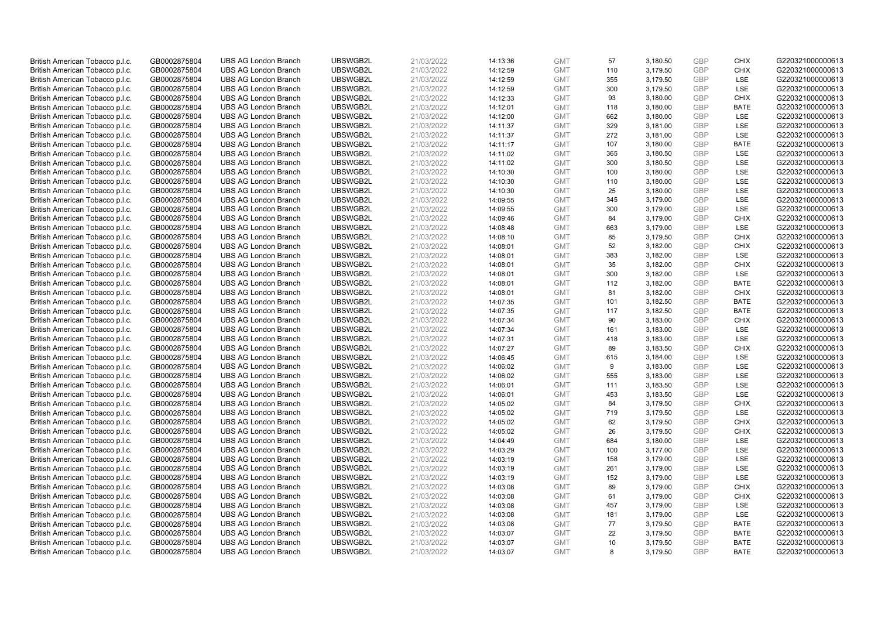| British American Tobacco p.l.c. | GB0002875804 | <b>UBS AG London Branch</b> | UBSWGB2L | 21/03/2022 | 14:13:36 | <b>GMT</b> | 57  | 3,180.50 | <b>GBP</b> | <b>CHIX</b> | G220321000000613 |
|---------------------------------|--------------|-----------------------------|----------|------------|----------|------------|-----|----------|------------|-------------|------------------|
| British American Tobacco p.l.c. | GB0002875804 | <b>UBS AG London Branch</b> | UBSWGB2L | 21/03/2022 | 14:12:59 | <b>GMT</b> | 110 | 3,179.50 | GBP        | <b>CHIX</b> | G220321000000613 |
| British American Tobacco p.l.c. | GB0002875804 | <b>UBS AG London Branch</b> | UBSWGB2L | 21/03/2022 | 14:12:59 | <b>GMT</b> | 355 | 3,179.50 | <b>GBP</b> | LSE         | G220321000000613 |
| British American Tobacco p.l.c. | GB0002875804 | <b>UBS AG London Branch</b> | UBSWGB2L | 21/03/2022 | 14:12:59 | <b>GMT</b> | 300 | 3,179.50 | GBP        | <b>LSE</b>  | G220321000000613 |
| British American Tobacco p.l.c. | GB0002875804 | <b>UBS AG London Branch</b> | UBSWGB2L | 21/03/2022 | 14:12:33 | <b>GMT</b> | 93  | 3,180.00 | <b>GBP</b> | <b>CHIX</b> | G220321000000613 |
| British American Tobacco p.l.c. | GB0002875804 | <b>UBS AG London Branch</b> | UBSWGB2L | 21/03/2022 | 14:12:01 | <b>GMT</b> | 118 | 3,180.00 | <b>GBP</b> | <b>BATE</b> | G220321000000613 |
| British American Tobacco p.l.c. | GB0002875804 | <b>UBS AG London Branch</b> | UBSWGB2L | 21/03/2022 | 14:12:00 | <b>GMT</b> | 662 | 3,180.00 | <b>GBP</b> | LSE         | G220321000000613 |
| British American Tobacco p.l.c. | GB0002875804 | <b>UBS AG London Branch</b> | UBSWGB2L | 21/03/2022 | 14:11:37 | <b>GMT</b> | 329 | 3,181.00 | GBP        | LSE         | G220321000000613 |
| British American Tobacco p.l.c. | GB0002875804 | <b>UBS AG London Branch</b> | UBSWGB2L | 21/03/2022 | 14:11:37 | <b>GMT</b> | 272 | 3,181.00 | GBP        | <b>LSE</b>  | G220321000000613 |
| British American Tobacco p.l.c. | GB0002875804 | <b>UBS AG London Branch</b> | UBSWGB2L | 21/03/2022 | 14:11:17 | <b>GMT</b> | 107 | 3,180.00 | GBP        | <b>BATE</b> | G220321000000613 |
| British American Tobacco p.l.c. | GB0002875804 | <b>UBS AG London Branch</b> | UBSWGB2L | 21/03/2022 | 14:11:02 | <b>GMT</b> | 365 | 3,180.50 | GBP        | <b>LSE</b>  | G220321000000613 |
| British American Tobacco p.l.c. | GB0002875804 | <b>UBS AG London Branch</b> | UBSWGB2L | 21/03/2022 | 14:11:02 | <b>GMT</b> | 300 | 3,180.50 | <b>GBP</b> | LSE         | G220321000000613 |
| British American Tobacco p.l.c. | GB0002875804 | <b>UBS AG London Branch</b> | UBSWGB2L | 21/03/2022 | 14:10:30 | <b>GMT</b> | 100 | 3,180.00 | <b>GBP</b> | LSE         | G220321000000613 |
| British American Tobacco p.l.c. | GB0002875804 | <b>UBS AG London Branch</b> | UBSWGB2L | 21/03/2022 | 14:10:30 | <b>GMT</b> | 110 | 3,180.00 | <b>GBP</b> | <b>LSE</b>  | G220321000000613 |
| British American Tobacco p.l.c. | GB0002875804 | <b>UBS AG London Branch</b> | UBSWGB2L | 21/03/2022 | 14:10:30 | <b>GMT</b> | 25  | 3,180.00 | GBP        | <b>LSE</b>  | G220321000000613 |
| British American Tobacco p.l.c. | GB0002875804 | <b>UBS AG London Branch</b> | UBSWGB2L | 21/03/2022 | 14:09:55 | <b>GMT</b> | 345 | 3,179.00 | <b>GBP</b> | LSE         | G220321000000613 |
| British American Tobacco p.l.c. | GB0002875804 | <b>UBS AG London Branch</b> | UBSWGB2L | 21/03/2022 | 14:09:55 | <b>GMT</b> | 300 | 3,179.00 | GBP        | <b>LSE</b>  | G220321000000613 |
| British American Tobacco p.l.c. | GB0002875804 | <b>UBS AG London Branch</b> | UBSWGB2L | 21/03/2022 | 14:09:46 | <b>GMT</b> | 84  | 3,179.00 | <b>GBP</b> | <b>CHIX</b> | G220321000000613 |
| British American Tobacco p.l.c. | GB0002875804 | <b>UBS AG London Branch</b> | UBSWGB2L | 21/03/2022 | 14:08:48 | <b>GMT</b> | 663 | 3,179.00 | GBP        | <b>LSE</b>  | G220321000000613 |
| British American Tobacco p.l.c. | GB0002875804 | <b>UBS AG London Branch</b> | UBSWGB2L | 21/03/2022 | 14:08:10 | <b>GMT</b> | 85  | 3,179.50 | <b>GBP</b> | <b>CHIX</b> | G220321000000613 |
| British American Tobacco p.l.c. | GB0002875804 | <b>UBS AG London Branch</b> | UBSWGB2L | 21/03/2022 | 14:08:01 | <b>GMT</b> | 52  | 3,182.00 | GBP        | <b>CHIX</b> | G220321000000613 |
| British American Tobacco p.l.c. | GB0002875804 | <b>UBS AG London Branch</b> | UBSWGB2L | 21/03/2022 | 14:08:01 | <b>GMT</b> | 383 | 3,182.00 | GBP        | LSE         | G220321000000613 |
| British American Tobacco p.l.c. | GB0002875804 | <b>UBS AG London Branch</b> | UBSWGB2L | 21/03/2022 | 14:08:01 | <b>GMT</b> | 35  | 3,182.00 | GBP        | <b>CHIX</b> | G220321000000613 |
| British American Tobacco p.l.c. | GB0002875804 | <b>UBS AG London Branch</b> | UBSWGB2L | 21/03/2022 | 14:08:01 | <b>GMT</b> | 300 | 3,182.00 | GBP        | <b>LSE</b>  | G220321000000613 |
| British American Tobacco p.l.c. | GB0002875804 | <b>UBS AG London Branch</b> | UBSWGB2L | 21/03/2022 | 14:08:01 | <b>GMT</b> | 112 | 3,182.00 | <b>GBP</b> | <b>BATE</b> | G220321000000613 |
| British American Tobacco p.l.c. | GB0002875804 | <b>UBS AG London Branch</b> | UBSWGB2L | 21/03/2022 | 14:08:01 | <b>GMT</b> | 81  | 3,182.00 | <b>GBP</b> | <b>CHIX</b> | G220321000000613 |
| British American Tobacco p.l.c. | GB0002875804 | <b>UBS AG London Branch</b> | UBSWGB2L | 21/03/2022 | 14:07:35 | <b>GMT</b> | 101 | 3,182.50 | <b>GBP</b> | <b>BATE</b> | G220321000000613 |
| British American Tobacco p.l.c. | GB0002875804 | <b>UBS AG London Branch</b> | UBSWGB2L | 21/03/2022 | 14:07:35 | <b>GMT</b> | 117 | 3,182.50 | GBP        | <b>BATE</b> | G220321000000613 |
| British American Tobacco p.l.c. | GB0002875804 | <b>UBS AG London Branch</b> | UBSWGB2L | 21/03/2022 | 14:07:34 | <b>GMT</b> | 90  | 3,183.00 | <b>GBP</b> | <b>CHIX</b> | G220321000000613 |
| British American Tobacco p.l.c. | GB0002875804 | <b>UBS AG London Branch</b> | UBSWGB2L | 21/03/2022 | 14:07:34 | <b>GMT</b> | 161 | 3,183.00 | <b>GBP</b> | LSE         | G220321000000613 |
| British American Tobacco p.l.c. | GB0002875804 | <b>UBS AG London Branch</b> | UBSWGB2L | 21/03/2022 | 14:07:31 | <b>GMT</b> | 418 | 3,183.00 | <b>GBP</b> | <b>LSE</b>  | G220321000000613 |
| British American Tobacco p.l.c. | GB0002875804 | <b>UBS AG London Branch</b> | UBSWGB2L | 21/03/2022 | 14:07:27 | <b>GMT</b> | 89  | 3,183.50 | <b>GBP</b> | <b>CHIX</b> | G220321000000613 |
| British American Tobacco p.l.c. | GB0002875804 | <b>UBS AG London Branch</b> | UBSWGB2L | 21/03/2022 | 14:06:45 | <b>GMT</b> | 615 | 3,184.00 | <b>GBP</b> | LSE         | G220321000000613 |
| British American Tobacco p.l.c. | GB0002875804 | <b>UBS AG London Branch</b> | UBSWGB2L | 21/03/2022 | 14:06:02 | <b>GMT</b> | 9   | 3,183.00 | GBP        | LSE         | G220321000000613 |
| British American Tobacco p.l.c. | GB0002875804 | <b>UBS AG London Branch</b> | UBSWGB2L | 21/03/2022 | 14:06:02 | <b>GMT</b> | 555 | 3,183.00 | GBP        | LSE         | G220321000000613 |
| British American Tobacco p.l.c. | GB0002875804 | <b>UBS AG London Branch</b> | UBSWGB2L | 21/03/2022 | 14:06:01 | <b>GMT</b> | 111 | 3,183.50 | GBP        | LSE         | G220321000000613 |
| British American Tobacco p.l.c. | GB0002875804 | <b>UBS AG London Branch</b> | UBSWGB2L | 21/03/2022 | 14:06:01 | <b>GMT</b> | 453 | 3,183.50 | GBP        | <b>LSE</b>  | G220321000000613 |
| British American Tobacco p.l.c. | GB0002875804 | <b>UBS AG London Branch</b> | UBSWGB2L | 21/03/2022 | 14:05:02 | <b>GMT</b> | 84  | 3,179.50 | <b>GBP</b> | <b>CHIX</b> | G220321000000613 |
| British American Tobacco p.l.c. | GB0002875804 | <b>UBS AG London Branch</b> | UBSWGB2L | 21/03/2022 | 14:05:02 | <b>GMT</b> | 719 | 3,179.50 | <b>GBP</b> | LSE         | G220321000000613 |
| British American Tobacco p.l.c. | GB0002875804 | <b>UBS AG London Branch</b> | UBSWGB2L | 21/03/2022 | 14:05:02 | <b>GMT</b> | 62  | 3,179.50 | <b>GBP</b> | <b>CHIX</b> | G220321000000613 |
| British American Tobacco p.l.c. | GB0002875804 | <b>UBS AG London Branch</b> | UBSWGB2L | 21/03/2022 | 14:05:02 | <b>GMT</b> | 26  | 3,179.50 | GBP        | <b>CHIX</b> | G220321000000613 |
| British American Tobacco p.l.c. | GB0002875804 | <b>UBS AG London Branch</b> | UBSWGB2L | 21/03/2022 | 14:04:49 | <b>GMT</b> | 684 | 3,180.00 | <b>GBP</b> | <b>LSE</b>  | G220321000000613 |
| British American Tobacco p.l.c. | GB0002875804 | <b>UBS AG London Branch</b> | UBSWGB2L | 21/03/2022 | 14:03:29 | <b>GMT</b> | 100 | 3,177.00 | <b>GBP</b> | LSE         | G220321000000613 |
| British American Tobacco p.l.c. | GB0002875804 | <b>UBS AG London Branch</b> | UBSWGB2L | 21/03/2022 | 14:03:19 | <b>GMT</b> | 158 | 3,179.00 | GBP        | <b>LSE</b>  | G220321000000613 |
| British American Tobacco p.l.c. | GB0002875804 | <b>UBS AG London Branch</b> | UBSWGB2L | 21/03/2022 | 14:03:19 | <b>GMT</b> | 261 | 3,179.00 | <b>GBP</b> | <b>LSE</b>  | G220321000000613 |
| British American Tobacco p.l.c. | GB0002875804 | <b>UBS AG London Branch</b> | UBSWGB2L | 21/03/2022 | 14:03:19 | <b>GMT</b> | 152 | 3,179.00 | <b>GBP</b> | LSE         | G220321000000613 |
| British American Tobacco p.l.c. | GB0002875804 | <b>UBS AG London Branch</b> | UBSWGB2L | 21/03/2022 | 14:03:08 | <b>GMT</b> | 89  | 3,179.00 | <b>GBP</b> | <b>CHIX</b> | G220321000000613 |
| British American Tobacco p.l.c. | GB0002875804 | <b>UBS AG London Branch</b> | UBSWGB2L | 21/03/2022 | 14:03:08 | <b>GMT</b> | 61  | 3,179.00 | <b>GBP</b> | <b>CHIX</b> | G220321000000613 |
| British American Tobacco p.l.c. | GB0002875804 | <b>UBS AG London Branch</b> | UBSWGB2L | 21/03/2022 | 14:03:08 | <b>GMT</b> | 457 | 3,179.00 | <b>GBP</b> | LSE         | G220321000000613 |
| British American Tobacco p.l.c. | GB0002875804 | <b>UBS AG London Branch</b> | UBSWGB2L | 21/03/2022 | 14:03:08 | <b>GMT</b> | 181 | 3,179.00 | <b>GBP</b> | <b>LSE</b>  | G220321000000613 |
| British American Tobacco p.l.c. | GB0002875804 | <b>UBS AG London Branch</b> | UBSWGB2L | 21/03/2022 | 14:03:08 | <b>GMT</b> | 77  | 3,179.50 | <b>GBP</b> | <b>BATE</b> | G220321000000613 |
| British American Tobacco p.l.c. | GB0002875804 | <b>UBS AG London Branch</b> | UBSWGB2L | 21/03/2022 | 14:03:07 | <b>GMT</b> | 22  | 3,179.50 | <b>GBP</b> | <b>BATE</b> | G220321000000613 |
| British American Tobacco p.l.c. | GB0002875804 | <b>UBS AG London Branch</b> | UBSWGB2L | 21/03/2022 | 14:03:07 | <b>GMT</b> | 10  | 3,179.50 | GBP        | <b>BATE</b> | G220321000000613 |
| British American Tobacco p.l.c. | GB0002875804 | <b>UBS AG London Branch</b> | UBSWGB2L | 21/03/2022 | 14:03:07 | <b>GMT</b> | 8   | 3.179.50 | GBP        | <b>BATE</b> | G220321000000613 |
|                                 |              |                             |          |            |          |            |     |          |            |             |                  |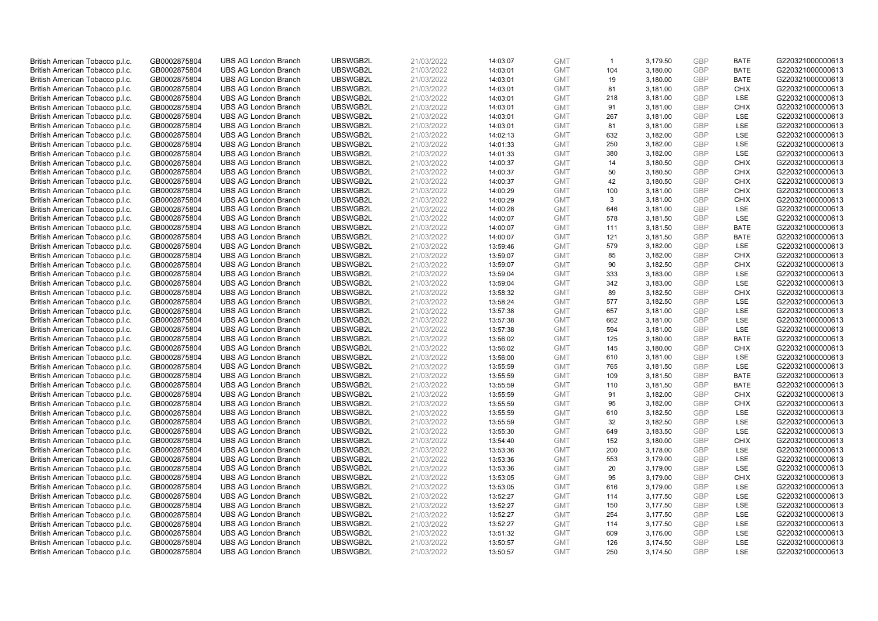| British American Tobacco p.l.c. | GB0002875804 | <b>UBS AG London Branch</b> | UBSWGB2L | 21/03/2022 | 14:03:07 | <b>GMT</b> | $\overline{1}$ | 3,179.50 | <b>GBP</b> | <b>BATE</b> | G220321000000613 |
|---------------------------------|--------------|-----------------------------|----------|------------|----------|------------|----------------|----------|------------|-------------|------------------|
| British American Tobacco p.l.c. | GB0002875804 | <b>UBS AG London Branch</b> | UBSWGB2L | 21/03/2022 | 14:03:01 | <b>GMT</b> | 104            | 3,180.00 | GBP        | <b>BATE</b> | G220321000000613 |
| British American Tobacco p.l.c. | GB0002875804 | <b>UBS AG London Branch</b> | UBSWGB2L | 21/03/2022 | 14:03:01 | <b>GMT</b> | 19             | 3,180.00 | GBP        | <b>BATE</b> | G220321000000613 |
| British American Tobacco p.l.c. | GB0002875804 | <b>UBS AG London Branch</b> | UBSWGB2L | 21/03/2022 | 14:03:01 | <b>GMT</b> | 81             | 3,181.00 | GBP        | <b>CHIX</b> | G220321000000613 |
| British American Tobacco p.l.c. | GB0002875804 | <b>UBS AG London Branch</b> | UBSWGB2L | 21/03/2022 | 14:03:01 | <b>GMT</b> | 218            | 3,181.00 | <b>GBP</b> | LSE         | G220321000000613 |
| British American Tobacco p.l.c. | GB0002875804 | <b>UBS AG London Branch</b> | UBSWGB2L | 21/03/2022 | 14:03:01 | <b>GMT</b> | 91             | 3,181.00 | <b>GBP</b> | <b>CHIX</b> | G220321000000613 |
| British American Tobacco p.l.c. | GB0002875804 | <b>UBS AG London Branch</b> | UBSWGB2L | 21/03/2022 | 14:03:01 | <b>GMT</b> | 267            | 3,181.00 | <b>GBP</b> | LSE         | G220321000000613 |
| British American Tobacco p.l.c. | GB0002875804 | <b>UBS AG London Branch</b> | UBSWGB2L | 21/03/2022 | 14:03:01 | <b>GMT</b> | 81             | 3,181.00 | GBP        | LSE         | G220321000000613 |
| British American Tobacco p.l.c. | GB0002875804 | <b>UBS AG London Branch</b> | UBSWGB2L | 21/03/2022 | 14:02:13 | <b>GMT</b> | 632            | 3,182.00 | GBP        | LSE         | G220321000000613 |
| British American Tobacco p.l.c. | GB0002875804 | <b>UBS AG London Branch</b> | UBSWGB2L | 21/03/2022 | 14:01:33 | <b>GMT</b> | 250            | 3,182.00 | GBP        | <b>LSE</b>  | G220321000000613 |
| British American Tobacco p.l.c. | GB0002875804 | <b>UBS AG London Branch</b> | UBSWGB2L | 21/03/2022 | 14:01:33 | <b>GMT</b> | 380            | 3,182.00 | GBP        | LSE         | G220321000000613 |
| British American Tobacco p.l.c. | GB0002875804 | <b>UBS AG London Branch</b> | UBSWGB2L | 21/03/2022 | 14:00:37 | <b>GMT</b> | 14             | 3,180.50 | <b>GBP</b> | <b>CHIX</b> | G220321000000613 |
| British American Tobacco p.l.c. | GB0002875804 | <b>UBS AG London Branch</b> | UBSWGB2L | 21/03/2022 | 14:00:37 | <b>GMT</b> | 50             | 3,180.50 | GBP        | <b>CHIX</b> | G220321000000613 |
| British American Tobacco p.l.c. | GB0002875804 | <b>UBS AG London Branch</b> | UBSWGB2L | 21/03/2022 | 14:00:37 | <b>GMT</b> | 42             | 3,180.50 | <b>GBP</b> | <b>CHIX</b> | G220321000000613 |
| British American Tobacco p.l.c. | GB0002875804 | <b>UBS AG London Branch</b> | UBSWGB2L | 21/03/2022 | 14:00:29 | <b>GMT</b> | 100            | 3,181.00 | GBP        | <b>CHIX</b> | G220321000000613 |
| British American Tobacco p.l.c. | GB0002875804 | <b>UBS AG London Branch</b> | UBSWGB2L | 21/03/2022 | 14:00:29 | <b>GMT</b> | 3              | 3,181.00 | <b>GBP</b> | <b>CHIX</b> | G220321000000613 |
| British American Tobacco p.l.c. | GB0002875804 | <b>UBS AG London Branch</b> | UBSWGB2L | 21/03/2022 | 14:00:28 | <b>GMT</b> | 646            | 3,181.00 | GBP        | LSE         | G220321000000613 |
| British American Tobacco p.l.c. | GB0002875804 | <b>UBS AG London Branch</b> | UBSWGB2L | 21/03/2022 | 14:00:07 | <b>GMT</b> | 578            | 3,181.50 | <b>GBP</b> | LSE         | G220321000000613 |
| British American Tobacco p.l.c. | GB0002875804 | <b>UBS AG London Branch</b> | UBSWGB2L | 21/03/2022 | 14:00:07 | <b>GMT</b> | 111            | 3,181.50 | GBP        | <b>BATE</b> | G220321000000613 |
| British American Tobacco p.l.c. | GB0002875804 | <b>UBS AG London Branch</b> | UBSWGB2L | 21/03/2022 | 14:00:07 | <b>GMT</b> | 121            | 3,181.50 | <b>GBP</b> | <b>BATE</b> | G220321000000613 |
| British American Tobacco p.l.c. | GB0002875804 | <b>UBS AG London Branch</b> | UBSWGB2L | 21/03/2022 | 13:59:46 | <b>GMT</b> | 579            | 3,182.00 | GBP        | LSE         | G220321000000613 |
| British American Tobacco p.l.c. | GB0002875804 | <b>UBS AG London Branch</b> | UBSWGB2L | 21/03/2022 | 13:59:07 | <b>GMT</b> | 85             | 3,182.00 | GBP        | <b>CHIX</b> | G220321000000613 |
| British American Tobacco p.l.c. | GB0002875804 | <b>UBS AG London Branch</b> | UBSWGB2L | 21/03/2022 | 13:59:07 | <b>GMT</b> | 90             | 3,182.50 | GBP        | <b>CHIX</b> | G220321000000613 |
| British American Tobacco p.l.c. | GB0002875804 | <b>UBS AG London Branch</b> | UBSWGB2L | 21/03/2022 | 13:59:04 | <b>GMT</b> | 333            | 3,183.00 | GBP        | <b>LSE</b>  | G220321000000613 |
| British American Tobacco p.l.c. | GB0002875804 | <b>UBS AG London Branch</b> | UBSWGB2L | 21/03/2022 | 13:59:04 | <b>GMT</b> | 342            | 3,183.00 | <b>GBP</b> | LSE         | G220321000000613 |
| British American Tobacco p.l.c. | GB0002875804 | <b>UBS AG London Branch</b> | UBSWGB2L | 21/03/2022 | 13:58:32 | <b>GMT</b> | 89             | 3,182.50 | <b>GBP</b> | <b>CHIX</b> | G220321000000613 |
| British American Tobacco p.l.c. | GB0002875804 | <b>UBS AG London Branch</b> | UBSWGB2L | 21/03/2022 | 13:58:24 | <b>GMT</b> | 577            | 3,182.50 | <b>GBP</b> | <b>LSE</b>  | G220321000000613 |
| British American Tobacco p.l.c. | GB0002875804 | <b>UBS AG London Branch</b> | UBSWGB2L | 21/03/2022 | 13:57:38 | <b>GMT</b> | 657            | 3,181.00 | GBP        | <b>LSE</b>  | G220321000000613 |
| British American Tobacco p.l.c. | GB0002875804 | <b>UBS AG London Branch</b> | UBSWGB2L | 21/03/2022 | 13:57:38 | <b>GMT</b> | 662            | 3,181.00 | <b>GBP</b> | LSE         | G220321000000613 |
| British American Tobacco p.l.c. | GB0002875804 | <b>UBS AG London Branch</b> | UBSWGB2L | 21/03/2022 | 13:57:38 | <b>GMT</b> | 594            | 3,181.00 | GBP        | LSE         | G220321000000613 |
| British American Tobacco p.l.c. | GB0002875804 | <b>UBS AG London Branch</b> | UBSWGB2L | 21/03/2022 | 13:56:02 | <b>GMT</b> | 125            | 3,180.00 | GBP        | <b>BATE</b> | G220321000000613 |
| British American Tobacco p.l.c. | GB0002875804 | <b>UBS AG London Branch</b> | UBSWGB2L | 21/03/2022 | 13:56:02 | <b>GMT</b> | 145            | 3,180.00 | <b>GBP</b> | <b>CHIX</b> | G220321000000613 |
| British American Tobacco p.l.c. | GB0002875804 | <b>UBS AG London Branch</b> | UBSWGB2L | 21/03/2022 | 13:56:00 | <b>GMT</b> | 610            | 3,181.00 | <b>GBP</b> | LSE         | G220321000000613 |
| British American Tobacco p.l.c. | GB0002875804 | <b>UBS AG London Branch</b> | UBSWGB2L | 21/03/2022 | 13:55:59 | <b>GMT</b> | 765            | 3,181.50 | GBP        | LSE         | G220321000000613 |
| British American Tobacco p.l.c. | GB0002875804 | <b>UBS AG London Branch</b> | UBSWGB2L | 21/03/2022 | 13:55:59 | <b>GMT</b> | 109            | 3,181.50 | GBP        | <b>BATE</b> | G220321000000613 |
| British American Tobacco p.l.c. | GB0002875804 | <b>UBS AG London Branch</b> | UBSWGB2L | 21/03/2022 | 13:55:59 | <b>GMT</b> | 110            | 3,181.50 | GBP        | <b>BATE</b> | G220321000000613 |
| British American Tobacco p.l.c. | GB0002875804 | <b>UBS AG London Branch</b> | UBSWGB2L | 21/03/2022 | 13:55:59 | <b>GMT</b> | 91             | 3,182.00 | GBP        | <b>CHIX</b> | G220321000000613 |
| British American Tobacco p.l.c. | GB0002875804 | <b>UBS AG London Branch</b> | UBSWGB2L | 21/03/2022 | 13:55:59 | <b>GMT</b> | 95             | 3,182.00 | <b>GBP</b> | <b>CHIX</b> | G220321000000613 |
| British American Tobacco p.l.c. | GB0002875804 | <b>UBS AG London Branch</b> | UBSWGB2L | 21/03/2022 | 13:55:59 | <b>GMT</b> | 610            | 3,182.50 | <b>GBP</b> | LSE         | G220321000000613 |
| British American Tobacco p.l.c. | GB0002875804 | <b>UBS AG London Branch</b> | UBSWGB2L | 21/03/2022 | 13:55:59 | <b>GMT</b> | 32             | 3,182.50 | <b>GBP</b> | <b>LSE</b>  | G220321000000613 |
| British American Tobacco p.l.c. | GB0002875804 | <b>UBS AG London Branch</b> | UBSWGB2L | 21/03/2022 | 13:55:30 | <b>GMT</b> | 649            | 3,183.50 | <b>GBP</b> | <b>LSE</b>  | G220321000000613 |
| British American Tobacco p.l.c. | GB0002875804 | <b>UBS AG London Branch</b> | UBSWGB2L | 21/03/2022 | 13:54:40 | <b>GMT</b> | 152            | 3,180.00 | <b>GBP</b> | <b>CHIX</b> | G220321000000613 |
| British American Tobacco p.l.c. | GB0002875804 | <b>UBS AG London Branch</b> | UBSWGB2L | 21/03/2022 | 13:53:36 | <b>GMT</b> | 200            | 3,178.00 | <b>GBP</b> | LSE         | G220321000000613 |
| British American Tobacco p.l.c. | GB0002875804 | <b>UBS AG London Branch</b> | UBSWGB2L | 21/03/2022 | 13:53:36 | <b>GMT</b> | 553            | 3,179.00 | GBP        | <b>LSE</b>  | G220321000000613 |
| British American Tobacco p.l.c. | GB0002875804 | <b>UBS AG London Branch</b> | UBSWGB2L | 21/03/2022 | 13:53:36 | <b>GMT</b> | 20             | 3,179.00 | <b>GBP</b> | <b>LSE</b>  | G220321000000613 |
| British American Tobacco p.l.c. | GB0002875804 | <b>UBS AG London Branch</b> | UBSWGB2L | 21/03/2022 | 13:53:05 | <b>GMT</b> | 95             | 3,179.00 | <b>GBP</b> | <b>CHIX</b> | G220321000000613 |
| British American Tobacco p.l.c. | GB0002875804 | <b>UBS AG London Branch</b> | UBSWGB2L | 21/03/2022 | 13:53:05 | <b>GMT</b> | 616            | 3,179.00 | <b>GBP</b> | LSE         | G220321000000613 |
| British American Tobacco p.l.c. | GB0002875804 | <b>UBS AG London Branch</b> | UBSWGB2L | 21/03/2022 | 13:52:27 | <b>GMT</b> | 114            | 3,177.50 | <b>GBP</b> | LSE         | G220321000000613 |
| British American Tobacco p.l.c. | GB0002875804 | <b>UBS AG London Branch</b> | UBSWGB2L | 21/03/2022 | 13:52:27 | <b>GMT</b> | 150            | 3,177.50 | <b>GBP</b> | LSE         | G220321000000613 |
| British American Tobacco p.l.c. | GB0002875804 | <b>UBS AG London Branch</b> | UBSWGB2L | 21/03/2022 | 13:52:27 | <b>GMT</b> | 254            | 3,177.50 | <b>GBP</b> | LSE         | G220321000000613 |
| British American Tobacco p.l.c. | GB0002875804 | <b>UBS AG London Branch</b> | UBSWGB2L | 21/03/2022 | 13:52:27 | <b>GMT</b> | 114            | 3,177.50 | GBP        | LSE         | G220321000000613 |
| British American Tobacco p.l.c. | GB0002875804 | <b>UBS AG London Branch</b> | UBSWGB2L | 21/03/2022 | 13:51:32 | <b>GMT</b> | 609            | 3,176.00 | <b>GBP</b> | LSE         | G220321000000613 |
| British American Tobacco p.l.c. | GB0002875804 | <b>UBS AG London Branch</b> | UBSWGB2L | 21/03/2022 | 13:50:57 | <b>GMT</b> | 126            | 3,174.50 | GBP        | LSE         | G220321000000613 |
| British American Tobacco p.l.c. | GB0002875804 | <b>UBS AG London Branch</b> | UBSWGB2L | 21/03/2022 | 13:50:57 | <b>GMT</b> | 250            | 3.174.50 | GBP        | <b>LSE</b>  | G220321000000613 |
|                                 |              |                             |          |            |          |            |                |          |            |             |                  |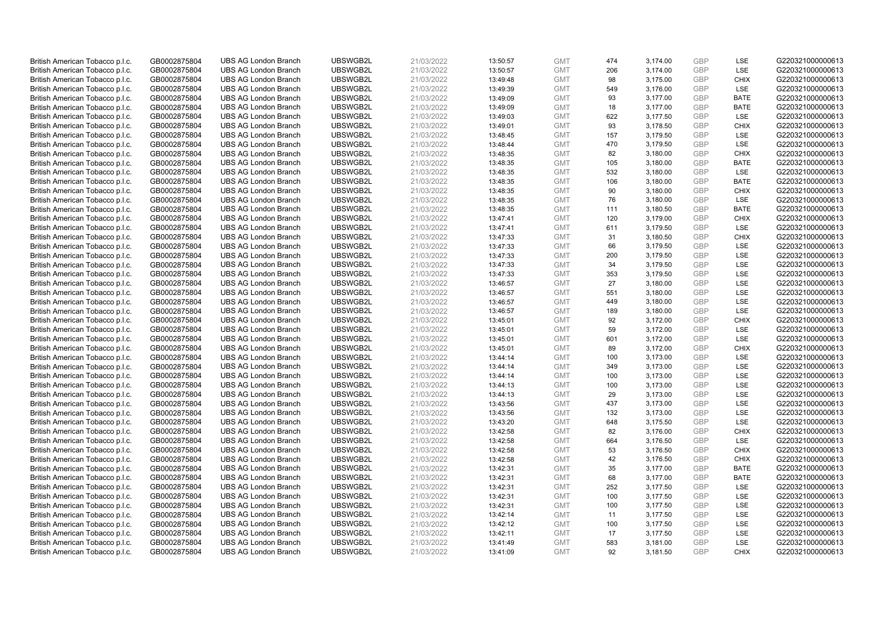| British American Tobacco p.l.c. | GB0002875804 | <b>UBS AG London Branch</b> | UBSWGB2L | 21/03/2022 | 13:50:57 | <b>GMT</b> | 474 | 3,174.00 | <b>GBP</b> | LSE         | G220321000000613 |
|---------------------------------|--------------|-----------------------------|----------|------------|----------|------------|-----|----------|------------|-------------|------------------|
| British American Tobacco p.l.c. | GB0002875804 | <b>UBS AG London Branch</b> | UBSWGB2L | 21/03/2022 | 13:50:57 | <b>GMT</b> | 206 | 3,174.00 | GBP        | LSE         | G220321000000613 |
| British American Tobacco p.l.c. | GB0002875804 | <b>UBS AG London Branch</b> | UBSWGB2L | 21/03/2022 | 13:49:48 | <b>GMT</b> | 98  | 3,175.00 | GBP        | <b>CHIX</b> | G220321000000613 |
| British American Tobacco p.l.c. | GB0002875804 | <b>UBS AG London Branch</b> | UBSWGB2L | 21/03/2022 | 13:49:39 | <b>GMT</b> | 549 | 3,176.00 | GBP        | <b>LSE</b>  | G220321000000613 |
| British American Tobacco p.l.c. | GB0002875804 | <b>UBS AG London Branch</b> | UBSWGB2L | 21/03/2022 | 13:49:09 | <b>GMT</b> | 93  | 3,177.00 | <b>GBP</b> | <b>BATE</b> | G220321000000613 |
| British American Tobacco p.l.c. | GB0002875804 | <b>UBS AG London Branch</b> | UBSWGB2L | 21/03/2022 | 13:49:09 | <b>GMT</b> | 18  | 3,177.00 | <b>GBP</b> | <b>BATE</b> | G220321000000613 |
| British American Tobacco p.l.c. | GB0002875804 | <b>UBS AG London Branch</b> | UBSWGB2L | 21/03/2022 | 13:49:03 | <b>GMT</b> | 622 | 3,177.50 | GBP        | LSE         | G220321000000613 |
| British American Tobacco p.l.c. | GB0002875804 | <b>UBS AG London Branch</b> | UBSWGB2L | 21/03/2022 | 13:49:01 | <b>GMT</b> | 93  | 3,178.50 | GBP        | <b>CHIX</b> | G220321000000613 |
| British American Tobacco p.l.c. | GB0002875804 | <b>UBS AG London Branch</b> | UBSWGB2L | 21/03/2022 | 13:48:45 | <b>GMT</b> | 157 | 3,179.50 | GBP        | LSE         | G220321000000613 |
| British American Tobacco p.l.c. | GB0002875804 | <b>UBS AG London Branch</b> | UBSWGB2L | 21/03/2022 | 13:48:44 | <b>GMT</b> | 470 | 3,179.50 | GBP        | LSE         | G220321000000613 |
| British American Tobacco p.l.c. | GB0002875804 | <b>UBS AG London Branch</b> | UBSWGB2L | 21/03/2022 | 13:48:35 | <b>GMT</b> | 82  | 3,180.00 | GBP        | <b>CHIX</b> | G220321000000613 |
| British American Tobacco p.l.c. | GB0002875804 | <b>UBS AG London Branch</b> | UBSWGB2L | 21/03/2022 | 13:48:35 | <b>GMT</b> | 105 | 3,180.00 | <b>GBP</b> | <b>BATE</b> | G220321000000613 |
| British American Tobacco p.l.c. | GB0002875804 | <b>UBS AG London Branch</b> | UBSWGB2L | 21/03/2022 | 13:48:35 | <b>GMT</b> | 532 | 3,180.00 | GBP        | LSE         | G220321000000613 |
| British American Tobacco p.l.c. | GB0002875804 | <b>UBS AG London Branch</b> | UBSWGB2L | 21/03/2022 | 13:48:35 | <b>GMT</b> | 106 | 3,180.00 | <b>GBP</b> | <b>BATE</b> | G220321000000613 |
| British American Tobacco p.l.c. | GB0002875804 | <b>UBS AG London Branch</b> | UBSWGB2L | 21/03/2022 | 13:48:35 | <b>GMT</b> | 90  | 3,180.00 | GBP        | <b>CHIX</b> | G220321000000613 |
| British American Tobacco p.l.c. | GB0002875804 | <b>UBS AG London Branch</b> | UBSWGB2L | 21/03/2022 | 13:48:35 | <b>GMT</b> | 76  | 3,180.00 | <b>GBP</b> | <b>LSE</b>  | G220321000000613 |
| British American Tobacco p.l.c. | GB0002875804 | <b>UBS AG London Branch</b> | UBSWGB2L | 21/03/2022 | 13:48:35 | <b>GMT</b> | 111 | 3,180.50 | GBP        | <b>BATE</b> | G220321000000613 |
| British American Tobacco p.l.c. | GB0002875804 | <b>UBS AG London Branch</b> | UBSWGB2L | 21/03/2022 | 13:47:41 | <b>GMT</b> | 120 | 3,179.00 | <b>GBP</b> | <b>CHIX</b> | G220321000000613 |
| British American Tobacco p.l.c. | GB0002875804 | <b>UBS AG London Branch</b> | UBSWGB2L | 21/03/2022 | 13:47:41 | <b>GMT</b> | 611 | 3,179.50 | GBP        | <b>LSE</b>  | G220321000000613 |
| British American Tobacco p.l.c. | GB0002875804 | <b>UBS AG London Branch</b> | UBSWGB2L | 21/03/2022 | 13:47:33 | <b>GMT</b> | 31  | 3,180.50 | <b>GBP</b> | <b>CHIX</b> | G220321000000613 |
| British American Tobacco p.l.c. | GB0002875804 | <b>UBS AG London Branch</b> | UBSWGB2L | 21/03/2022 | 13:47:33 | <b>GMT</b> | 66  | 3,179.50 | GBP        | <b>LSE</b>  | G220321000000613 |
| British American Tobacco p.l.c. | GB0002875804 | <b>UBS AG London Branch</b> | UBSWGB2L | 21/03/2022 | 13:47:33 | <b>GMT</b> | 200 | 3,179.50 | GBP        | LSE         | G220321000000613 |
| British American Tobacco p.l.c. | GB0002875804 | <b>UBS AG London Branch</b> | UBSWGB2L | 21/03/2022 | 13:47:33 | <b>GMT</b> | 34  | 3,179.50 | GBP        | LSE         | G220321000000613 |
| British American Tobacco p.l.c. | GB0002875804 | <b>UBS AG London Branch</b> | UBSWGB2L | 21/03/2022 | 13:47:33 | <b>GMT</b> | 353 | 3,179.50 | GBP        | LSE         | G220321000000613 |
| British American Tobacco p.l.c. | GB0002875804 | <b>UBS AG London Branch</b> | UBSWGB2L | 21/03/2022 | 13:46:57 | <b>GMT</b> | 27  | 3,180.00 | <b>GBP</b> | LSE         | G220321000000613 |
| British American Tobacco p.l.c. | GB0002875804 | <b>UBS AG London Branch</b> | UBSWGB2L | 21/03/2022 | 13:46:57 | <b>GMT</b> | 551 | 3,180.00 | <b>GBP</b> | <b>LSE</b>  | G220321000000613 |
| British American Tobacco p.l.c. | GB0002875804 | <b>UBS AG London Branch</b> | UBSWGB2L | 21/03/2022 | 13:46:57 | <b>GMT</b> | 449 | 3,180.00 | <b>GBP</b> | <b>LSE</b>  | G220321000000613 |
| British American Tobacco p.l.c. | GB0002875804 | <b>UBS AG London Branch</b> | UBSWGB2L | 21/03/2022 | 13:46:57 | <b>GMT</b> | 189 | 3,180.00 | <b>GBP</b> | <b>LSE</b>  | G220321000000613 |
| British American Tobacco p.l.c. | GB0002875804 | <b>UBS AG London Branch</b> | UBSWGB2L | 21/03/2022 | 13:45:01 | <b>GMT</b> | 92  | 3,172.00 | <b>GBP</b> | <b>CHIX</b> | G220321000000613 |
| British American Tobacco p.l.c. | GB0002875804 | <b>UBS AG London Branch</b> | UBSWGB2L | 21/03/2022 | 13:45:01 | <b>GMT</b> | 59  | 3,172.00 | <b>GBP</b> | LSE         | G220321000000613 |
| British American Tobacco p.l.c. | GB0002875804 | <b>UBS AG London Branch</b> | UBSWGB2L | 21/03/2022 | 13:45:01 | <b>GMT</b> | 601 | 3,172.00 | GBP        | <b>LSE</b>  | G220321000000613 |
| British American Tobacco p.l.c. | GB0002875804 | <b>UBS AG London Branch</b> | UBSWGB2L | 21/03/2022 | 13:45:01 | <b>GMT</b> | 89  | 3,172.00 | <b>GBP</b> | <b>CHIX</b> | G220321000000613 |
| British American Tobacco p.l.c. | GB0002875804 | <b>UBS AG London Branch</b> | UBSWGB2L | 21/03/2022 | 13:44:14 | <b>GMT</b> | 100 | 3,173.00 | <b>GBP</b> | LSE         | G220321000000613 |
| British American Tobacco p.l.c. | GB0002875804 | <b>UBS AG London Branch</b> | UBSWGB2L | 21/03/2022 | 13:44:14 | <b>GMT</b> | 349 | 3,173.00 | GBP        | LSE         | G220321000000613 |
| British American Tobacco p.l.c. | GB0002875804 | <b>UBS AG London Branch</b> | UBSWGB2L | 21/03/2022 | 13:44:14 | <b>GMT</b> | 100 | 3,173.00 | GBP        | LSE         | G220321000000613 |
| British American Tobacco p.l.c. | GB0002875804 | <b>UBS AG London Branch</b> | UBSWGB2L | 21/03/2022 | 13:44:13 | <b>GMT</b> | 100 | 3,173.00 | GBP        | LSE         | G220321000000613 |
| British American Tobacco p.l.c. | GB0002875804 | <b>UBS AG London Branch</b> | UBSWGB2L | 21/03/2022 | 13:44:13 | <b>GMT</b> | 29  | 3,173.00 | GBP        | LSE         | G220321000000613 |
| British American Tobacco p.l.c. | GB0002875804 | <b>UBS AG London Branch</b> | UBSWGB2L | 21/03/2022 | 13:43:56 | <b>GMT</b> | 437 | 3,173.00 | <b>GBP</b> | LSE         | G220321000000613 |
| British American Tobacco p.l.c. | GB0002875804 | <b>UBS AG London Branch</b> | UBSWGB2L | 21/03/2022 | 13:43:56 | <b>GMT</b> | 132 | 3,173.00 | <b>GBP</b> | LSE         | G220321000000613 |
| British American Tobacco p.l.c. | GB0002875804 | <b>UBS AG London Branch</b> | UBSWGB2L | 21/03/2022 | 13:43:20 | <b>GMT</b> | 648 | 3,175.50 | <b>GBP</b> | <b>LSE</b>  | G220321000000613 |
| British American Tobacco p.l.c. | GB0002875804 | <b>UBS AG London Branch</b> | UBSWGB2L | 21/03/2022 | 13:42:58 | <b>GMT</b> | 82  | 3,176.00 | GBP        | <b>CHIX</b> | G220321000000613 |
| British American Tobacco p.l.c. | GB0002875804 | <b>UBS AG London Branch</b> | UBSWGB2L | 21/03/2022 | 13:42:58 | <b>GMT</b> | 664 | 3,176.50 | <b>GBP</b> | <b>LSE</b>  | G220321000000613 |
| British American Tobacco p.l.c. | GB0002875804 | <b>UBS AG London Branch</b> | UBSWGB2L | 21/03/2022 | 13:42:58 | <b>GMT</b> | 53  | 3,176.50 | GBP        | <b>CHIX</b> | G220321000000613 |
| British American Tobacco p.l.c. | GB0002875804 | <b>UBS AG London Branch</b> | UBSWGB2L | 21/03/2022 | 13:42:58 | <b>GMT</b> | 42  | 3,176.50 | GBP        | <b>CHIX</b> | G220321000000613 |
| British American Tobacco p.l.c. | GB0002875804 | <b>UBS AG London Branch</b> | UBSWGB2L | 21/03/2022 | 13:42:31 | <b>GMT</b> | 35  | 3,177.00 | <b>GBP</b> | <b>BATE</b> | G220321000000613 |
| British American Tobacco p.l.c. | GB0002875804 | <b>UBS AG London Branch</b> | UBSWGB2L | 21/03/2022 | 13:42:31 | <b>GMT</b> | 68  | 3,177.00 | <b>GBP</b> | <b>BATE</b> | G220321000000613 |
| British American Tobacco p.l.c. | GB0002875804 | <b>UBS AG London Branch</b> | UBSWGB2L | 21/03/2022 | 13:42:31 | <b>GMT</b> | 252 | 3,177.50 | <b>GBP</b> | LSE         | G220321000000613 |
| British American Tobacco p.l.c. | GB0002875804 | <b>UBS AG London Branch</b> | UBSWGB2L | 21/03/2022 | 13:42:31 | <b>GMT</b> | 100 | 3,177.50 | <b>GBP</b> | LSE         | G220321000000613 |
| British American Tobacco p.l.c. | GB0002875804 | <b>UBS AG London Branch</b> | UBSWGB2L | 21/03/2022 | 13:42:31 | <b>GMT</b> | 100 | 3,177.50 | <b>GBP</b> | LSE         | G220321000000613 |
| British American Tobacco p.l.c. | GB0002875804 | <b>UBS AG London Branch</b> | UBSWGB2L | 21/03/2022 | 13:42:14 | <b>GMT</b> | 11  | 3,177.50 | <b>GBP</b> | LSE         | G220321000000613 |
| British American Tobacco p.l.c. | GB0002875804 | <b>UBS AG London Branch</b> | UBSWGB2L | 21/03/2022 | 13:42:12 | <b>GMT</b> | 100 | 3,177.50 | GBP        | LSE         | G220321000000613 |
| British American Tobacco p.l.c. | GB0002875804 | <b>UBS AG London Branch</b> | UBSWGB2L | 21/03/2022 | 13:42:11 | <b>GMT</b> | 17  | 3,177.50 | <b>GBP</b> | LSE         | G220321000000613 |
| British American Tobacco p.l.c. | GB0002875804 | <b>UBS AG London Branch</b> | UBSWGB2L | 21/03/2022 | 13:41:49 | <b>GMT</b> | 583 | 3,181.00 | GBP        | LSE         | G220321000000613 |
| British American Tobacco p.l.c. | GB0002875804 | <b>UBS AG London Branch</b> | UBSWGB2L | 21/03/2022 | 13:41:09 | <b>GMT</b> | 92  | 3,181.50 | GBP        | <b>CHIX</b> | G220321000000613 |
|                                 |              |                             |          |            |          |            |     |          |            |             |                  |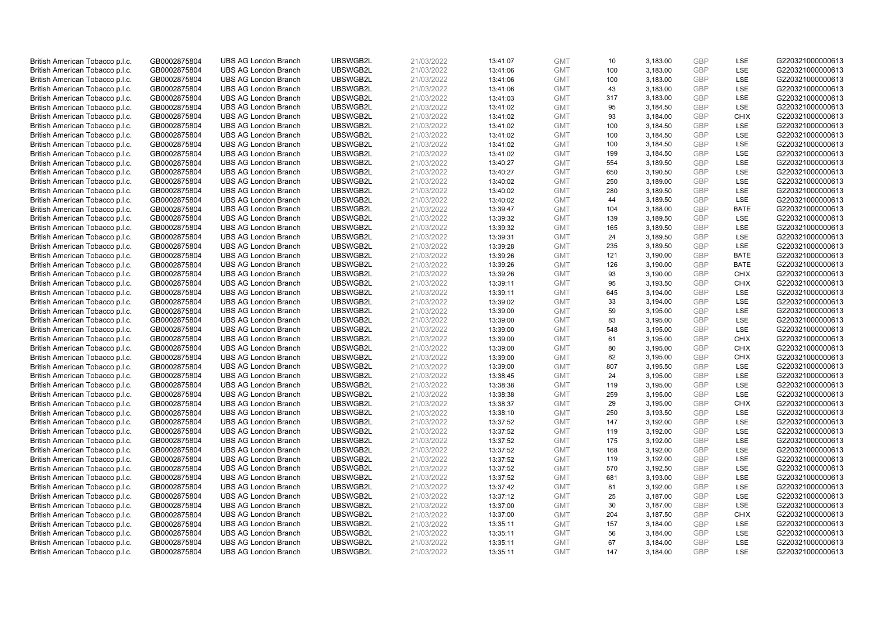| British American Tobacco p.l.c. | GB0002875804 | <b>UBS AG London Branch</b> | UBSWGB2L | 21/03/2022 | 13:41:07 | <b>GMT</b> | 10  | 3,183.00 | <b>GBP</b> | LSE         | G220321000000613 |
|---------------------------------|--------------|-----------------------------|----------|------------|----------|------------|-----|----------|------------|-------------|------------------|
| British American Tobacco p.l.c. | GB0002875804 | <b>UBS AG London Branch</b> | UBSWGB2L | 21/03/2022 | 13:41:06 | <b>GMT</b> | 100 | 3,183.00 | GBP        | LSE         | G220321000000613 |
| British American Tobacco p.l.c. | GB0002875804 | <b>UBS AG London Branch</b> | UBSWGB2L | 21/03/2022 | 13:41:06 | <b>GMT</b> | 100 | 3,183.00 | <b>GBP</b> | LSE         | G220321000000613 |
| British American Tobacco p.l.c. | GB0002875804 | <b>UBS AG London Branch</b> | UBSWGB2L | 21/03/2022 | 13:41:06 | <b>GMT</b> | 43  | 3,183.00 | GBP        | LSE         | G220321000000613 |
| British American Tobacco p.l.c. | GB0002875804 | <b>UBS AG London Branch</b> | UBSWGB2L | 21/03/2022 | 13:41:03 | <b>GMT</b> | 317 | 3,183.00 | <b>GBP</b> | LSE         | G220321000000613 |
| British American Tobacco p.l.c. | GB0002875804 | <b>UBS AG London Branch</b> | UBSWGB2L | 21/03/2022 | 13:41:02 | <b>GMT</b> | 95  | 3,184.50 | <b>GBP</b> | <b>LSE</b>  | G220321000000613 |
| British American Tobacco p.l.c. | GB0002875804 | <b>UBS AG London Branch</b> | UBSWGB2L | 21/03/2022 | 13:41:02 | <b>GMT</b> | 93  | 3,184.00 | <b>GBP</b> | <b>CHIX</b> | G220321000000613 |
| British American Tobacco p.l.c. | GB0002875804 | <b>UBS AG London Branch</b> | UBSWGB2L | 21/03/2022 | 13:41:02 | <b>GMT</b> | 100 | 3,184.50 | GBP        | <b>LSE</b>  | G220321000000613 |
| British American Tobacco p.l.c. | GB0002875804 | <b>UBS AG London Branch</b> | UBSWGB2L | 21/03/2022 | 13:41:02 | <b>GMT</b> | 100 | 3,184.50 | GBP        | LSE         | G220321000000613 |
| British American Tobacco p.l.c. | GB0002875804 | <b>UBS AG London Branch</b> | UBSWGB2L | 21/03/2022 | 13:41:02 | <b>GMT</b> | 100 | 3,184.50 | GBP        | <b>LSE</b>  | G220321000000613 |
| British American Tobacco p.l.c. | GB0002875804 | <b>UBS AG London Branch</b> | UBSWGB2L | 21/03/2022 | 13:41:02 | <b>GMT</b> | 199 | 3,184.50 | GBP        | LSE         | G220321000000613 |
| British American Tobacco p.l.c. | GB0002875804 | <b>UBS AG London Branch</b> | UBSWGB2L | 21/03/2022 | 13:40:27 | <b>GMT</b> | 554 | 3,189.50 | <b>GBP</b> | LSE         | G220321000000613 |
| British American Tobacco p.l.c. | GB0002875804 | <b>UBS AG London Branch</b> | UBSWGB2L | 21/03/2022 | 13:40:27 | <b>GMT</b> | 650 | 3,190.50 | <b>GBP</b> | LSE         | G220321000000613 |
| British American Tobacco p.l.c. | GB0002875804 | <b>UBS AG London Branch</b> | UBSWGB2L | 21/03/2022 | 13:40:02 | <b>GMT</b> | 250 | 3,189.00 | <b>GBP</b> | <b>LSE</b>  | G220321000000613 |
| British American Tobacco p.l.c. | GB0002875804 | <b>UBS AG London Branch</b> | UBSWGB2L | 21/03/2022 | 13:40:02 | <b>GMT</b> | 280 | 3,189.50 | GBP        | <b>LSE</b>  | G220321000000613 |
| British American Tobacco p.l.c. | GB0002875804 | <b>UBS AG London Branch</b> | UBSWGB2L | 21/03/2022 | 13:40:02 | <b>GMT</b> | 44  | 3,189.50 | <b>GBP</b> | LSE         | G220321000000613 |
| British American Tobacco p.l.c. | GB0002875804 | <b>UBS AG London Branch</b> | UBSWGB2L | 21/03/2022 | 13:39:47 | <b>GMT</b> | 104 | 3,188.00 | GBP        | <b>BATE</b> | G220321000000613 |
| British American Tobacco p.l.c. | GB0002875804 | <b>UBS AG London Branch</b> | UBSWGB2L | 21/03/2022 | 13:39:32 | <b>GMT</b> | 139 | 3,189.50 | <b>GBP</b> | LSE         | G220321000000613 |
| British American Tobacco p.l.c. | GB0002875804 | <b>UBS AG London Branch</b> | UBSWGB2L | 21/03/2022 | 13:39:32 | <b>GMT</b> | 165 | 3,189.50 | GBP        | <b>LSE</b>  | G220321000000613 |
| British American Tobacco p.l.c. | GB0002875804 | <b>UBS AG London Branch</b> | UBSWGB2L | 21/03/2022 | 13:39:31 | <b>GMT</b> | 24  | 3,189.50 | <b>GBP</b> | LSE         | G220321000000613 |
| British American Tobacco p.l.c. | GB0002875804 | <b>UBS AG London Branch</b> | UBSWGB2L | 21/03/2022 | 13:39:28 | <b>GMT</b> | 235 | 3,189.50 | GBP        | LSE         | G220321000000613 |
| British American Tobacco p.l.c. | GB0002875804 | <b>UBS AG London Branch</b> | UBSWGB2L | 21/03/2022 | 13:39:26 | <b>GMT</b> | 121 | 3,190.00 | GBP        | <b>BATE</b> | G220321000000613 |
| British American Tobacco p.l.c. | GB0002875804 | <b>UBS AG London Branch</b> | UBSWGB2L | 21/03/2022 | 13:39:26 | <b>GMT</b> | 126 | 3,190.00 | <b>GBP</b> | <b>BATE</b> | G220321000000613 |
| British American Tobacco p.l.c. | GB0002875804 | <b>UBS AG London Branch</b> | UBSWGB2L | 21/03/2022 | 13:39:26 | <b>GMT</b> | 93  | 3,190.00 | GBP        | <b>CHIX</b> | G220321000000613 |
| British American Tobacco p.l.c. | GB0002875804 | <b>UBS AG London Branch</b> | UBSWGB2L | 21/03/2022 | 13:39:11 | <b>GMT</b> | 95  | 3,193.50 | <b>GBP</b> | <b>CHIX</b> | G220321000000613 |
| British American Tobacco p.l.c. | GB0002875804 | <b>UBS AG London Branch</b> | UBSWGB2L | 21/03/2022 | 13:39:11 | <b>GMT</b> | 645 | 3,194.00 | <b>GBP</b> | <b>LSE</b>  | G220321000000613 |
| British American Tobacco p.l.c. | GB0002875804 | <b>UBS AG London Branch</b> | UBSWGB2L | 21/03/2022 | 13:39:02 | <b>GMT</b> | 33  | 3,194.00 | <b>GBP</b> | <b>LSE</b>  | G220321000000613 |
| British American Tobacco p.l.c. | GB0002875804 | <b>UBS AG London Branch</b> | UBSWGB2L | 21/03/2022 | 13:39:00 | <b>GMT</b> | 59  | 3,195.00 | GBP        | <b>LSE</b>  | G220321000000613 |
| British American Tobacco p.l.c. | GB0002875804 | <b>UBS AG London Branch</b> | UBSWGB2L | 21/03/2022 | 13:39:00 | <b>GMT</b> | 83  | 3,195.00 | <b>GBP</b> | LSE         | G220321000000613 |
| British American Tobacco p.l.c. | GB0002875804 | <b>UBS AG London Branch</b> | UBSWGB2L | 21/03/2022 | 13:39:00 | <b>GMT</b> | 548 | 3,195.00 | GBP        | LSE         | G220321000000613 |
| British American Tobacco p.l.c. | GB0002875804 | <b>UBS AG London Branch</b> | UBSWGB2L | 21/03/2022 | 13:39:00 | <b>GMT</b> | 61  | 3,195.00 | GBP        | <b>CHIX</b> | G220321000000613 |
| British American Tobacco p.l.c. | GB0002875804 | <b>UBS AG London Branch</b> | UBSWGB2L | 21/03/2022 | 13:39:00 | <b>GMT</b> | 80  | 3,195.00 | <b>GBP</b> | <b>CHIX</b> | G220321000000613 |
| British American Tobacco p.l.c. | GB0002875804 | <b>UBS AG London Branch</b> | UBSWGB2L | 21/03/2022 | 13:39:00 | <b>GMT</b> | 82  | 3,195.00 | <b>GBP</b> | <b>CHIX</b> | G220321000000613 |
| British American Tobacco p.l.c. | GB0002875804 | <b>UBS AG London Branch</b> | UBSWGB2L | 21/03/2022 | 13:39:00 | <b>GMT</b> | 807 | 3,195.50 | GBP        | LSE         | G220321000000613 |
| British American Tobacco p.l.c. | GB0002875804 | <b>UBS AG London Branch</b> | UBSWGB2L | 21/03/2022 | 13:38:45 | <b>GMT</b> | 24  | 3,195.00 | GBP        | LSE         | G220321000000613 |
| British American Tobacco p.l.c. | GB0002875804 | <b>UBS AG London Branch</b> | UBSWGB2L | 21/03/2022 | 13:38:38 | <b>GMT</b> | 119 | 3,195.00 | GBP        | LSE         | G220321000000613 |
| British American Tobacco p.l.c. | GB0002875804 | <b>UBS AG London Branch</b> | UBSWGB2L | 21/03/2022 | 13:38:38 | <b>GMT</b> | 259 | 3,195.00 | GBP        | <b>LSE</b>  | G220321000000613 |
| British American Tobacco p.l.c. | GB0002875804 | <b>UBS AG London Branch</b> | UBSWGB2L | 21/03/2022 | 13:38:37 | <b>GMT</b> | 29  | 3,195.00 | <b>GBP</b> | <b>CHIX</b> | G220321000000613 |
| British American Tobacco p.l.c. | GB0002875804 | <b>UBS AG London Branch</b> | UBSWGB2L | 21/03/2022 | 13:38:10 | <b>GMT</b> | 250 | 3,193.50 | <b>GBP</b> | LSE         | G220321000000613 |
| British American Tobacco p.l.c. | GB0002875804 | <b>UBS AG London Branch</b> | UBSWGB2L | 21/03/2022 | 13:37:52 | <b>GMT</b> | 147 | 3,192.00 | <b>GBP</b> | <b>LSE</b>  | G220321000000613 |
| British American Tobacco p.l.c. | GB0002875804 | <b>UBS AG London Branch</b> | UBSWGB2L | 21/03/2022 | 13:37:52 | <b>GMT</b> | 119 | 3,192.00 | <b>GBP</b> | <b>LSE</b>  | G220321000000613 |
| British American Tobacco p.l.c. | GB0002875804 | <b>UBS AG London Branch</b> | UBSWGB2L | 21/03/2022 | 13:37:52 | <b>GMT</b> | 175 | 3,192.00 | <b>GBP</b> | LSE         | G220321000000613 |
| British American Tobacco p.l.c. | GB0002875804 | <b>UBS AG London Branch</b> | UBSWGB2L | 21/03/2022 | 13:37:52 | <b>GMT</b> | 168 | 3,192.00 | <b>GBP</b> | LSE         | G220321000000613 |
| British American Tobacco p.l.c. | GB0002875804 | <b>UBS AG London Branch</b> | UBSWGB2L | 21/03/2022 | 13:37:52 | <b>GMT</b> | 119 | 3,192.00 | GBP        | <b>LSE</b>  | G220321000000613 |
| British American Tobacco p.l.c. | GB0002875804 | <b>UBS AG London Branch</b> | UBSWGB2L | 21/03/2022 | 13:37:52 | <b>GMT</b> | 570 | 3,192.50 | <b>GBP</b> | <b>LSE</b>  | G220321000000613 |
| British American Tobacco p.l.c. | GB0002875804 | <b>UBS AG London Branch</b> | UBSWGB2L | 21/03/2022 | 13:37:52 | <b>GMT</b> | 681 | 3,193.00 | <b>GBP</b> | LSE         | G220321000000613 |
| British American Tobacco p.l.c. | GB0002875804 | <b>UBS AG London Branch</b> | UBSWGB2L | 21/03/2022 | 13:37:42 | <b>GMT</b> | 81  | 3,192.00 | <b>GBP</b> | LSE         | G220321000000613 |
| British American Tobacco p.l.c. | GB0002875804 | <b>UBS AG London Branch</b> | UBSWGB2L | 21/03/2022 | 13:37:12 | <b>GMT</b> | 25  | 3,187.00 | GBP        | LSE         | G220321000000613 |
| British American Tobacco p.l.c. | GB0002875804 | <b>UBS AG London Branch</b> | UBSWGB2L | 21/03/2022 | 13:37:00 | <b>GMT</b> | 30  | 3,187.00 | <b>GBP</b> | LSE         | G220321000000613 |
| British American Tobacco p.l.c. | GB0002875804 | <b>UBS AG London Branch</b> | UBSWGB2L | 21/03/2022 | 13:37:00 | <b>GMT</b> | 204 | 3,187.50 | <b>GBP</b> | <b>CHIX</b> | G220321000000613 |
| British American Tobacco p.l.c. | GB0002875804 | <b>UBS AG London Branch</b> | UBSWGB2L | 21/03/2022 | 13:35:11 | <b>GMT</b> | 157 | 3,184.00 | GBP        | LSE         | G220321000000613 |
| British American Tobacco p.l.c. | GB0002875804 | <b>UBS AG London Branch</b> | UBSWGB2L | 21/03/2022 | 13:35:11 | <b>GMT</b> | 56  | 3,184.00 | <b>GBP</b> | LSE         | G220321000000613 |
| British American Tobacco p.l.c. | GB0002875804 | <b>UBS AG London Branch</b> | UBSWGB2L | 21/03/2022 | 13:35:11 | <b>GMT</b> | 67  | 3,184.00 | GBP        | LSE         | G220321000000613 |
| British American Tobacco p.l.c. | GB0002875804 | <b>UBS AG London Branch</b> | UBSWGB2L | 21/03/2022 | 13:35:11 | <b>GMT</b> | 147 | 3,184.00 | GBP        | <b>LSE</b>  | G220321000000613 |
|                                 |              |                             |          |            |          |            |     |          |            |             |                  |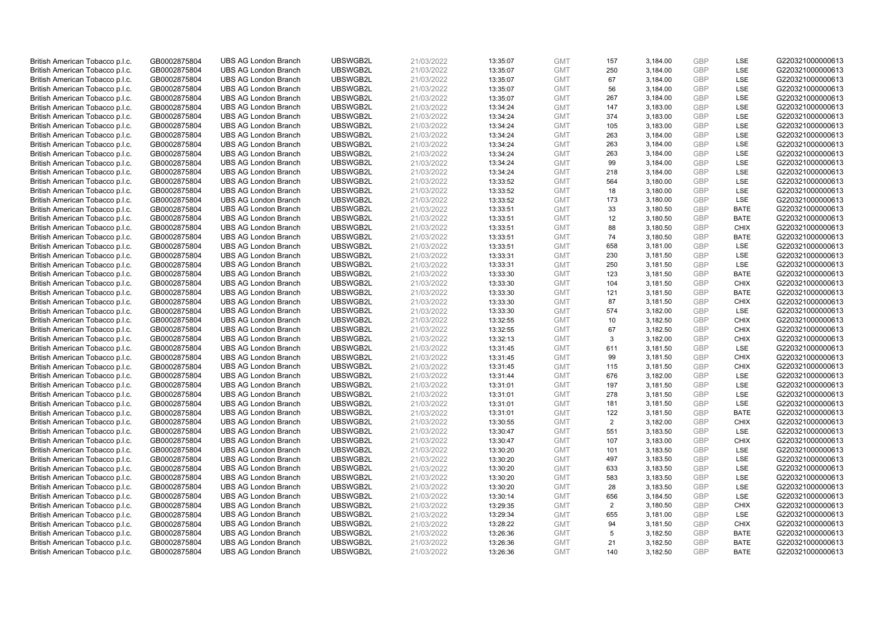| British American Tobacco p.l.c. | GB0002875804 | <b>UBS AG London Branch</b> | UBSWGB2L | 21/03/2022 | 13:35:07 | <b>GMT</b> | 157            | 3,184.00 | <b>GBP</b> | LSE         | G220321000000613 |
|---------------------------------|--------------|-----------------------------|----------|------------|----------|------------|----------------|----------|------------|-------------|------------------|
| British American Tobacco p.l.c. | GB0002875804 | <b>UBS AG London Branch</b> | UBSWGB2L | 21/03/2022 | 13:35:07 | <b>GMT</b> | 250            | 3,184.00 | GBP        | LSE         | G220321000000613 |
| British American Tobacco p.l.c. | GB0002875804 | <b>UBS AG London Branch</b> | UBSWGB2L | 21/03/2022 | 13:35:07 | <b>GMT</b> | 67             | 3,184.00 | <b>GBP</b> | LSE         | G220321000000613 |
| British American Tobacco p.l.c. | GB0002875804 | <b>UBS AG London Branch</b> | UBSWGB2L | 21/03/2022 | 13:35:07 | <b>GMT</b> | 56             | 3,184.00 | GBP        | LSE         | G220321000000613 |
| British American Tobacco p.l.c. | GB0002875804 | <b>UBS AG London Branch</b> | UBSWGB2L | 21/03/2022 | 13:35:07 | <b>GMT</b> | 267            | 3,184.00 | <b>GBP</b> | LSE         | G220321000000613 |
| British American Tobacco p.l.c. | GB0002875804 | <b>UBS AG London Branch</b> | UBSWGB2L | 21/03/2022 | 13:34:24 | <b>GMT</b> | 147            | 3,183.00 | <b>GBP</b> | LSE         | G220321000000613 |
| British American Tobacco p.l.c. | GB0002875804 | <b>UBS AG London Branch</b> | UBSWGB2L | 21/03/2022 | 13:34:24 | <b>GMT</b> | 374            | 3,183.00 | <b>GBP</b> | LSE         | G220321000000613 |
| British American Tobacco p.l.c. | GB0002875804 | <b>UBS AG London Branch</b> | UBSWGB2L | 21/03/2022 | 13:34:24 | <b>GMT</b> | 105            | 3,183.00 | GBP        | <b>LSE</b>  | G220321000000613 |
| British American Tobacco p.l.c. | GB0002875804 | <b>UBS AG London Branch</b> | UBSWGB2L | 21/03/2022 | 13:34:24 | <b>GMT</b> | 263            | 3,184.00 | GBP        | LSE         | G220321000000613 |
| British American Tobacco p.l.c. | GB0002875804 | <b>UBS AG London Branch</b> | UBSWGB2L | 21/03/2022 | 13:34:24 | <b>GMT</b> | 263            | 3,184.00 | GBP        | <b>LSE</b>  | G220321000000613 |
| British American Tobacco p.l.c. | GB0002875804 | <b>UBS AG London Branch</b> | UBSWGB2L | 21/03/2022 | 13:34:24 | <b>GMT</b> | 263            | 3,184.00 | GBP        | LSE         | G220321000000613 |
| British American Tobacco p.l.c. | GB0002875804 | <b>UBS AG London Branch</b> | UBSWGB2L | 21/03/2022 | 13:34:24 | <b>GMT</b> | 99             | 3,184.00 | <b>GBP</b> | LSE         | G220321000000613 |
| British American Tobacco p.l.c. | GB0002875804 | <b>UBS AG London Branch</b> | UBSWGB2L | 21/03/2022 | 13:34:24 | <b>GMT</b> | 218            | 3,184.00 | <b>GBP</b> | LSE         | G220321000000613 |
| British American Tobacco p.l.c. | GB0002875804 | <b>UBS AG London Branch</b> | UBSWGB2L | 21/03/2022 | 13:33:52 | <b>GMT</b> | 564            | 3,180.00 | <b>GBP</b> | <b>LSE</b>  | G220321000000613 |
| British American Tobacco p.l.c. | GB0002875804 | <b>UBS AG London Branch</b> | UBSWGB2L | 21/03/2022 | 13:33:52 | <b>GMT</b> | 18             | 3,180.00 | GBP        | <b>LSE</b>  | G220321000000613 |
| British American Tobacco p.l.c. | GB0002875804 | <b>UBS AG London Branch</b> | UBSWGB2L | 21/03/2022 | 13:33:52 | <b>GMT</b> | 173            | 3,180.00 | <b>GBP</b> | LSE         | G220321000000613 |
| British American Tobacco p.l.c. | GB0002875804 | <b>UBS AG London Branch</b> | UBSWGB2L | 21/03/2022 | 13:33:51 | <b>GMT</b> | 33             | 3,180.50 | GBP        | <b>BATE</b> | G220321000000613 |
| British American Tobacco p.l.c. | GB0002875804 | <b>UBS AG London Branch</b> | UBSWGB2L | 21/03/2022 | 13:33:51 | <b>GMT</b> | 12             | 3,180.50 | GBP        | <b>BATE</b> | G220321000000613 |
| British American Tobacco p.l.c. | GB0002875804 | <b>UBS AG London Branch</b> | UBSWGB2L | 21/03/2022 | 13:33:51 | <b>GMT</b> | 88             | 3,180.50 | GBP        | <b>CHIX</b> | G220321000000613 |
| British American Tobacco p.l.c. | GB0002875804 | <b>UBS AG London Branch</b> | UBSWGB2L | 21/03/2022 | 13:33:51 | <b>GMT</b> | 74             | 3,180.50 | <b>GBP</b> | <b>BATE</b> | G220321000000613 |
| British American Tobacco p.l.c. | GB0002875804 | <b>UBS AG London Branch</b> | UBSWGB2L | 21/03/2022 | 13:33:51 | <b>GMT</b> | 658            | 3,181.00 | GBP        | LSE         | G220321000000613 |
| British American Tobacco p.l.c. | GB0002875804 | <b>UBS AG London Branch</b> | UBSWGB2L | 21/03/2022 | 13:33:31 | <b>GMT</b> | 230            | 3,181.50 | GBP        | LSE         | G220321000000613 |
| British American Tobacco p.l.c. | GB0002875804 | <b>UBS AG London Branch</b> | UBSWGB2L | 21/03/2022 | 13:33:31 | <b>GMT</b> | 250            | 3,181.50 | GBP        | LSE         | G220321000000613 |
| British American Tobacco p.l.c. | GB0002875804 | <b>UBS AG London Branch</b> | UBSWGB2L | 21/03/2022 | 13:33:30 | <b>GMT</b> | 123            | 3,181.50 | GBP        | <b>BATE</b> | G220321000000613 |
| British American Tobacco p.l.c. | GB0002875804 | <b>UBS AG London Branch</b> | UBSWGB2L | 21/03/2022 | 13:33:30 | <b>GMT</b> | 104            | 3,181.50 | <b>GBP</b> | <b>CHIX</b> | G220321000000613 |
| British American Tobacco p.l.c. | GB0002875804 | <b>UBS AG London Branch</b> | UBSWGB2L | 21/03/2022 | 13:33:30 | <b>GMT</b> | 121            | 3,181.50 | <b>GBP</b> | <b>BATE</b> | G220321000000613 |
| British American Tobacco p.l.c. | GB0002875804 | <b>UBS AG London Branch</b> | UBSWGB2L | 21/03/2022 | 13:33:30 | <b>GMT</b> | 87             | 3,181.50 | <b>GBP</b> | <b>CHIX</b> | G220321000000613 |
| British American Tobacco p.l.c. | GB0002875804 | <b>UBS AG London Branch</b> | UBSWGB2L | 21/03/2022 | 13:33:30 | <b>GMT</b> | 574            | 3,182.00 | <b>GBP</b> | <b>LSE</b>  | G220321000000613 |
| British American Tobacco p.l.c. | GB0002875804 | <b>UBS AG London Branch</b> | UBSWGB2L | 21/03/2022 | 13:32:55 | <b>GMT</b> | 10             | 3,182.50 | <b>GBP</b> | <b>CHIX</b> | G220321000000613 |
| British American Tobacco p.l.c. | GB0002875804 | <b>UBS AG London Branch</b> | UBSWGB2L | 21/03/2022 | 13:32:55 | <b>GMT</b> | 67             | 3,182.50 | GBP        | <b>CHIX</b> | G220321000000613 |
| British American Tobacco p.l.c. | GB0002875804 | <b>UBS AG London Branch</b> | UBSWGB2L | 21/03/2022 | 13:32:13 | <b>GMT</b> | 3              | 3,182.00 | <b>GBP</b> | <b>CHIX</b> | G220321000000613 |
| British American Tobacco p.l.c. | GB0002875804 | <b>UBS AG London Branch</b> | UBSWGB2L | 21/03/2022 | 13:31:45 | <b>GMT</b> | 611            | 3,181.50 | <b>GBP</b> | <b>LSE</b>  | G220321000000613 |
| British American Tobacco p.l.c. | GB0002875804 | <b>UBS AG London Branch</b> | UBSWGB2L | 21/03/2022 | 13:31:45 | <b>GMT</b> | 99             | 3,181.50 | <b>GBP</b> | <b>CHIX</b> | G220321000000613 |
| British American Tobacco p.l.c. | GB0002875804 | <b>UBS AG London Branch</b> | UBSWGB2L | 21/03/2022 | 13:31:45 | <b>GMT</b> | 115            | 3,181.50 | GBP        | <b>CHIX</b> | G220321000000613 |
| British American Tobacco p.l.c. | GB0002875804 | <b>UBS AG London Branch</b> | UBSWGB2L | 21/03/2022 | 13:31:44 | <b>GMT</b> | 676            | 3,182.00 | GBP        | LSE         | G220321000000613 |
| British American Tobacco p.l.c. | GB0002875804 | <b>UBS AG London Branch</b> | UBSWGB2L | 21/03/2022 | 13:31:01 | <b>GMT</b> | 197            | 3,181.50 | GBP        | LSE         | G220321000000613 |
| British American Tobacco p.l.c. | GB0002875804 | <b>UBS AG London Branch</b> | UBSWGB2L | 21/03/2022 | 13:31:01 | <b>GMT</b> | 278            | 3,181.50 | GBP        | LSE         | G220321000000613 |
| British American Tobacco p.l.c. | GB0002875804 | <b>UBS AG London Branch</b> | UBSWGB2L | 21/03/2022 | 13:31:01 | <b>GMT</b> | 181            | 3,181.50 | <b>GBP</b> | LSE         | G220321000000613 |
| British American Tobacco p.l.c. | GB0002875804 | <b>UBS AG London Branch</b> | UBSWGB2L | 21/03/2022 | 13:31:01 | <b>GMT</b> | 122            | 3,181.50 | <b>GBP</b> | <b>BATE</b> | G220321000000613 |
| British American Tobacco p.l.c. | GB0002875804 | <b>UBS AG London Branch</b> | UBSWGB2L | 21/03/2022 | 13:30:55 | <b>GMT</b> | $\overline{2}$ | 3,182.00 | <b>GBP</b> | <b>CHIX</b> | G220321000000613 |
| British American Tobacco p.l.c. | GB0002875804 | <b>UBS AG London Branch</b> | UBSWGB2L | 21/03/2022 | 13:30:47 | <b>GMT</b> | 551            | 3,183.50 | <b>GBP</b> | <b>LSE</b>  | G220321000000613 |
| British American Tobacco p.l.c. | GB0002875804 | <b>UBS AG London Branch</b> | UBSWGB2L | 21/03/2022 | 13:30:47 | <b>GMT</b> | 107            | 3,183.00 | <b>GBP</b> | <b>CHIX</b> | G220321000000613 |
| British American Tobacco p.l.c. | GB0002875804 | <b>UBS AG London Branch</b> | UBSWGB2L | 21/03/2022 | 13:30:20 | <b>GMT</b> | 101            | 3,183.50 | <b>GBP</b> | LSE         | G220321000000613 |
| British American Tobacco p.l.c. | GB0002875804 | <b>UBS AG London Branch</b> | UBSWGB2L | 21/03/2022 | 13:30:20 | <b>GMT</b> | 497            | 3,183.50 | GBP        | <b>LSE</b>  | G220321000000613 |
| British American Tobacco p.l.c. | GB0002875804 | <b>UBS AG London Branch</b> | UBSWGB2L | 21/03/2022 | 13:30:20 | <b>GMT</b> | 633            | 3,183.50 | <b>GBP</b> | <b>LSE</b>  | G220321000000613 |
| British American Tobacco p.l.c. | GB0002875804 | <b>UBS AG London Branch</b> | UBSWGB2L | 21/03/2022 | 13:30:20 | <b>GMT</b> | 583            | 3,183.50 | <b>GBP</b> | LSE         | G220321000000613 |
| British American Tobacco p.l.c. | GB0002875804 | <b>UBS AG London Branch</b> | UBSWGB2L | 21/03/2022 | 13:30:20 | <b>GMT</b> | 28             | 3,183.50 | <b>GBP</b> | LSE         | G220321000000613 |
| British American Tobacco p.l.c. | GB0002875804 | <b>UBS AG London Branch</b> | UBSWGB2L | 21/03/2022 | 13:30:14 | <b>GMT</b> | 656            | 3,184.50 | GBP        | LSE         | G220321000000613 |
| British American Tobacco p.l.c. | GB0002875804 | <b>UBS AG London Branch</b> | UBSWGB2L | 21/03/2022 | 13:29:35 | <b>GMT</b> | 2              | 3,180.50 | <b>GBP</b> | <b>CHIX</b> | G220321000000613 |
| British American Tobacco p.l.c. | GB0002875804 | <b>UBS AG London Branch</b> | UBSWGB2L | 21/03/2022 | 13:29:34 | <b>GMT</b> | 655            | 3,181.00 | GBP        | <b>LSE</b>  | G220321000000613 |
| British American Tobacco p.l.c. | GB0002875804 | <b>UBS AG London Branch</b> | UBSWGB2L | 21/03/2022 | 13:28:22 | <b>GMT</b> | 94             | 3,181.50 | <b>GBP</b> | <b>CHIX</b> | G220321000000613 |
| British American Tobacco p.l.c. | GB0002875804 | <b>UBS AG London Branch</b> | UBSWGB2L | 21/03/2022 | 13:26:36 | <b>GMT</b> | 5              | 3,182.50 | <b>GBP</b> | <b>BATE</b> | G220321000000613 |
| British American Tobacco p.l.c. | GB0002875804 | <b>UBS AG London Branch</b> | UBSWGB2L | 21/03/2022 | 13:26:36 | <b>GMT</b> | 21             | 3,182.50 | GBP        | <b>BATE</b> | G220321000000613 |
| British American Tobacco p.l.c. | GB0002875804 | <b>UBS AG London Branch</b> | UBSWGB2L | 21/03/2022 | 13:26:36 | <b>GMT</b> | 140            | 3,182.50 | GBP        | <b>BATE</b> | G220321000000613 |
|                                 |              |                             |          |            |          |            |                |          |            |             |                  |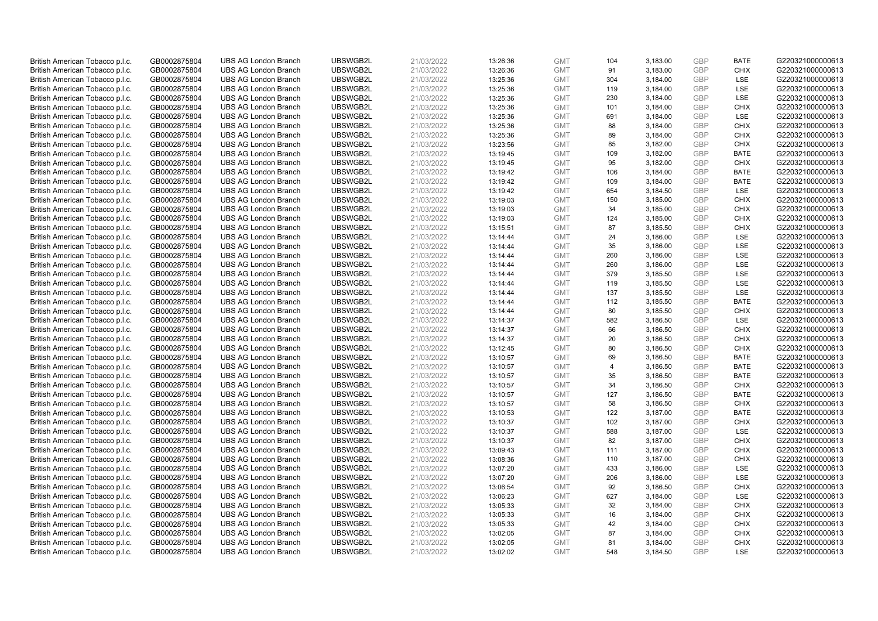| British American Tobacco p.l.c. | GB0002875804                 | <b>UBS AG London Branch</b> | UBSWGB2L             | 21/03/2022               | 13:26:36 | <b>GMT</b>               | 104            | 3,183.00             | <b>GBP</b> | <b>BATE</b>               | G220321000000613 |
|---------------------------------|------------------------------|-----------------------------|----------------------|--------------------------|----------|--------------------------|----------------|----------------------|------------|---------------------------|------------------|
| British American Tobacco p.l.c. | GB0002875804                 | <b>UBS AG London Branch</b> | UBSWGB2L             | 21/03/2022               | 13:26:36 | <b>GMT</b>               | 91             | 3,183.00             | GBP        | <b>CHIX</b>               | G220321000000613 |
| British American Tobacco p.l.c. | GB0002875804                 | <b>UBS AG London Branch</b> | UBSWGB2L             | 21/03/2022               | 13:25:36 | <b>GMT</b>               | 304            | 3,184.00             | <b>GBP</b> | <b>LSE</b>                | G220321000000613 |
| British American Tobacco p.l.c. | GB0002875804                 | <b>UBS AG London Branch</b> | UBSWGB2L             | 21/03/2022               | 13:25:36 | <b>GMT</b>               | 119            | 3,184.00             | GBP        | <b>LSE</b>                | G220321000000613 |
| British American Tobacco p.l.c. | GB0002875804                 | <b>UBS AG London Branch</b> | UBSWGB2L             | 21/03/2022               | 13:25:36 | <b>GMT</b>               | 230            | 3,184.00             | <b>GBP</b> | <b>LSE</b>                | G220321000000613 |
| British American Tobacco p.l.c. | GB0002875804                 | <b>UBS AG London Branch</b> | UBSWGB2L             | 21/03/2022               | 13:25:36 | <b>GMT</b>               | 101            | 3,184.00             | GBP        | <b>CHIX</b>               | G220321000000613 |
| British American Tobacco p.l.c. | GB0002875804                 | <b>UBS AG London Branch</b> | UBSWGB2L             | 21/03/2022               | 13:25:36 | <b>GMT</b>               | 691            | 3,184.00             | <b>GBP</b> | LSE                       | G220321000000613 |
| British American Tobacco p.l.c. | GB0002875804                 | <b>UBS AG London Branch</b> | UBSWGB2L             | 21/03/2022               | 13:25:36 | <b>GMT</b>               | 88             | 3,184.00             | GBP        | <b>CHIX</b>               | G220321000000613 |
| British American Tobacco p.l.c. | GB0002875804                 | <b>UBS AG London Branch</b> | UBSWGB2L             | 21/03/2022               | 13:25:36 | <b>GMT</b>               | 89             | 3,184.00             | <b>GBP</b> | <b>CHIX</b>               | G220321000000613 |
| British American Tobacco p.l.c. | GB0002875804                 | <b>UBS AG London Branch</b> | UBSWGB2L             | 21/03/2022               | 13:23:56 | <b>GMT</b>               | 85             | 3,182.00             | GBP        | <b>CHIX</b>               | G220321000000613 |
| British American Tobacco p.l.c. | GB0002875804                 | <b>UBS AG London Branch</b> | UBSWGB2L             | 21/03/2022               | 13:19:45 | <b>GMT</b>               | 109            | 3,182.00             | <b>GBP</b> | <b>BATE</b>               | G220321000000613 |
| British American Tobacco p.l.c. | GB0002875804                 | <b>UBS AG London Branch</b> | UBSWGB2L             | 21/03/2022               | 13:19:45 | <b>GMT</b>               | 95             | 3,182.00             | GBP        | <b>CHIX</b>               | G220321000000613 |
| British American Tobacco p.l.c. | GB0002875804                 | <b>UBS AG London Branch</b> | UBSWGB2L             | 21/03/2022               | 13:19:42 | <b>GMT</b>               | 106            | 3,184.00             | GBP        | <b>BATE</b>               | G220321000000613 |
| British American Tobacco p.l.c. | GB0002875804                 | <b>UBS AG London Branch</b> | UBSWGB2L             | 21/03/2022               | 13:19:42 | <b>GMT</b>               | 109            | 3,184.00             | GBP        | <b>BATE</b>               | G220321000000613 |
| British American Tobacco p.l.c. | GB0002875804                 | <b>UBS AG London Branch</b> | UBSWGB2L             | 21/03/2022               | 13:19:42 | <b>GMT</b>               | 654            | 3,184.50             | GBP        | LSE                       | G220321000000613 |
| British American Tobacco p.l.c. | GB0002875804                 | <b>UBS AG London Branch</b> | UBSWGB2L             | 21/03/2022               | 13:19:03 | <b>GMT</b>               | 150            | 3,185.00             | <b>GBP</b> | <b>CHIX</b>               | G220321000000613 |
| British American Tobacco p.l.c. | GB0002875804                 | <b>UBS AG London Branch</b> | UBSWGB2L             | 21/03/2022               | 13:19:03 | <b>GMT</b>               | 34             | 3,185.00             | <b>GBP</b> | <b>CHIX</b>               | G220321000000613 |
| British American Tobacco p.l.c. | GB0002875804                 | <b>UBS AG London Branch</b> | UBSWGB2L             | 21/03/2022               | 13:19:03 | <b>GMT</b>               | 124            | 3,185.00             | GBP        | <b>CHIX</b>               | G220321000000613 |
| British American Tobacco p.l.c. | GB0002875804                 | <b>UBS AG London Branch</b> | UBSWGB2L             | 21/03/2022               | 13:15:51 | <b>GMT</b>               | 87             | 3,185.50             | <b>GBP</b> | <b>CHIX</b>               | G220321000000613 |
| British American Tobacco p.l.c. | GB0002875804                 | <b>UBS AG London Branch</b> | UBSWGB2L             | 21/03/2022               | 13:14:44 | <b>GMT</b>               | 24             | 3,186.00             | <b>GBP</b> | <b>LSE</b>                | G220321000000613 |
| British American Tobacco p.l.c. | GB0002875804                 | <b>UBS AG London Branch</b> | UBSWGB2L             | 21/03/2022               | 13:14:44 | <b>GMT</b>               | 35             | 3,186.00             | <b>GBP</b> | LSE                       | G220321000000613 |
| British American Tobacco p.l.c. | GB0002875804                 | <b>UBS AG London Branch</b> | UBSWGB2L             | 21/03/2022               | 13:14:44 | <b>GMT</b>               | 260            | 3,186.00             | GBP        | <b>LSE</b>                | G220321000000613 |
| British American Tobacco p.l.c. | GB0002875804                 | <b>UBS AG London Branch</b> | UBSWGB2L             | 21/03/2022               | 13:14:44 | <b>GMT</b>               | 260            | 3,186.00             | <b>GBP</b> | LSE                       | G220321000000613 |
| British American Tobacco p.l.c. | GB0002875804                 | <b>UBS AG London Branch</b> | UBSWGB2L             | 21/03/2022               | 13:14:44 | <b>GMT</b>               | 379            | 3,185.50             | <b>GBP</b> | LSE                       | G220321000000613 |
| British American Tobacco p.l.c. | GB0002875804                 | <b>UBS AG London Branch</b> | UBSWGB2L             | 21/03/2022               | 13:14:44 | <b>GMT</b>               | 119            | 3,185.50             | <b>GBP</b> | LSE                       | G220321000000613 |
| British American Tobacco p.l.c. | GB0002875804                 | <b>UBS AG London Branch</b> | UBSWGB2L             | 21/03/2022               | 13:14:44 | <b>GMT</b>               | 137            | 3,185.50             | <b>GBP</b> | LSE                       | G220321000000613 |
| British American Tobacco p.l.c. | GB0002875804                 | <b>UBS AG London Branch</b> | UBSWGB2L             | 21/03/2022               | 13:14:44 | <b>GMT</b>               | 112            | 3,185.50             | <b>GBP</b> | <b>BATE</b>               | G220321000000613 |
| British American Tobacco p.l.c. | GB0002875804                 | <b>UBS AG London Branch</b> | UBSWGB2L             | 21/03/2022               | 13:14:44 | <b>GMT</b>               | 80             | 3,185.50             | <b>GBP</b> | <b>CHIX</b>               | G220321000000613 |
| British American Tobacco p.l.c. | GB0002875804                 | <b>UBS AG London Branch</b> | UBSWGB2L             | 21/03/2022               | 13:14:37 | <b>GMT</b>               | 582            | 3,186.50             | GBP        | LSE                       | G220321000000613 |
| British American Tobacco p.l.c. | GB0002875804                 | <b>UBS AG London Branch</b> | UBSWGB2L             | 21/03/2022               | 13:14:37 | <b>GMT</b>               | 66             | 3,186.50             | <b>GBP</b> | <b>CHIX</b>               | G220321000000613 |
| British American Tobacco p.l.c. | GB0002875804                 | <b>UBS AG London Branch</b> | UBSWGB2L             | 21/03/2022               | 13:14:37 | <b>GMT</b>               | 20             | 3,186.50             | <b>GBP</b> | <b>CHIX</b>               | G220321000000613 |
| British American Tobacco p.l.c. | GB0002875804                 | <b>UBS AG London Branch</b> | UBSWGB2L             | 21/03/2022               | 13:12:45 | <b>GMT</b>               | 80             | 3,186.50             | <b>GBP</b> | <b>CHIX</b>               | G220321000000613 |
| British American Tobacco p.l.c. | GB0002875804                 | <b>UBS AG London Branch</b> | UBSWGB2L             | 21/03/2022               | 13:10:57 | <b>GMT</b>               | 69             | 3,186.50             | GBP        | <b>BATE</b>               | G220321000000613 |
| British American Tobacco p.l.c. | GB0002875804                 | <b>UBS AG London Branch</b> | UBSWGB2L             | 21/03/2022               | 13:10:57 | <b>GMT</b>               | $\overline{4}$ | 3,186.50             | <b>GBP</b> | <b>BATE</b>               | G220321000000613 |
| British American Tobacco p.l.c. | GB0002875804                 | <b>UBS AG London Branch</b> | UBSWGB2L             | 21/03/2022               | 13:10:57 | <b>GMT</b>               | 35             | 3,186.50             | GBP        | <b>BATE</b>               | G220321000000613 |
| British American Tobacco p.l.c. | GB0002875804                 | <b>UBS AG London Branch</b> | UBSWGB2L             | 21/03/2022               | 13:10:57 | <b>GMT</b>               | 34             | 3,186.50             | <b>GBP</b> | <b>CHIX</b>               | G220321000000613 |
| British American Tobacco p.l.c. | GB0002875804                 | <b>UBS AG London Branch</b> | UBSWGB2L             | 21/03/2022               | 13:10:57 | <b>GMT</b>               | 127            | 3,186.50             | GBP        | <b>BATE</b>               | G220321000000613 |
| British American Tobacco p.l.c. | GB0002875804                 | <b>UBS AG London Branch</b> | UBSWGB2L             | 21/03/2022               | 13:10:57 | <b>GMT</b>               | 58             | 3,186.50             | <b>GBP</b> | <b>CHIX</b>               | G220321000000613 |
| British American Tobacco p.l.c. | GB0002875804                 | <b>UBS AG London Branch</b> | UBSWGB2L             | 21/03/2022               | 13:10:53 | <b>GMT</b>               | 122            | 3,187.00             | GBP        | <b>BATE</b>               | G220321000000613 |
| British American Tobacco p.l.c. | GB0002875804                 | <b>UBS AG London Branch</b> | UBSWGB2L             | 21/03/2022               | 13:10:37 | <b>GMT</b>               | 102            | 3,187.00             | <b>GBP</b> | <b>CHIX</b>               | G220321000000613 |
| British American Tobacco p.l.c. | GB0002875804                 | <b>UBS AG London Branch</b> | UBSWGB2L             | 21/03/2022               | 13:10:37 | <b>GMT</b>               | 588            | 3,187.00             | GBP        | <b>LSE</b>                | G220321000000613 |
| British American Tobacco p.l.c. | GB0002875804                 | <b>UBS AG London Branch</b> | UBSWGB2L             | 21/03/2022               | 13:10:37 | <b>GMT</b>               | 82             | 3,187.00             | <b>GBP</b> | <b>CHIX</b>               | G220321000000613 |
| British American Tobacco p.l.c. | GB0002875804                 | <b>UBS AG London Branch</b> | UBSWGB2L             | 21/03/2022               | 13:09:43 | <b>GMT</b>               | 111            | 3,187.00             | GBP        | <b>CHIX</b>               | G220321000000613 |
| British American Tobacco p.l.c. | GB0002875804                 | <b>UBS AG London Branch</b> | UBSWGB2L             | 21/03/2022               | 13:08:36 | <b>GMT</b>               | 110            | 3,187.00             | <b>GBP</b> | <b>CHIX</b>               | G220321000000613 |
| British American Tobacco p.l.c. | GB0002875804                 | <b>UBS AG London Branch</b> | UBSWGB2L             | 21/03/2022               | 13:07:20 | <b>GMT</b>               | 433            | 3,186.00             | GBP        | <b>LSE</b>                | G220321000000613 |
| British American Tobacco p.l.c. | GB0002875804                 | <b>UBS AG London Branch</b> | UBSWGB2L             | 21/03/2022               | 13:07:20 | <b>GMT</b>               | 206            | 3,186.00             | <b>GBP</b> | LSE                       | G220321000000613 |
| British American Tobacco p.l.c. | GB0002875804                 | <b>UBS AG London Branch</b> | UBSWGB2L             | 21/03/2022               | 13:06:54 | <b>GMT</b>               | 92             | 3,186.50             | GBP        | <b>CHIX</b>               | G220321000000613 |
| British American Tobacco p.l.c. | GB0002875804                 | <b>UBS AG London Branch</b> | UBSWGB2L             | 21/03/2022               | 13:06:23 | <b>GMT</b>               | 627            | 3,184.00             | GBP        | LSE                       | G220321000000613 |
| British American Tobacco p.l.c. | GB0002875804                 | <b>UBS AG London Branch</b> | UBSWGB2L             | 21/03/2022               | 13:05:33 | <b>GMT</b>               | 32             | 3,184.00             | GBP        | <b>CHIX</b>               | G220321000000613 |
| British American Tobacco p.l.c. | GB0002875804                 | <b>UBS AG London Branch</b> | UBSWGB2L             | 21/03/2022               | 13:05:33 | <b>GMT</b>               | 16             | 3,184.00             | GBP        | <b>CHIX</b>               | G220321000000613 |
| British American Tobacco p.l.c. | GB0002875804                 | <b>UBS AG London Branch</b> | UBSWGB2L             | 21/03/2022               | 13:05:33 | <b>GMT</b>               | 42             | 3,184.00             | <b>GBP</b> | <b>CHIX</b>               | G220321000000613 |
| British American Tobacco p.l.c. | GB0002875804                 | <b>UBS AG London Branch</b> | UBSWGB2L             | 21/03/2022               | 13:02:05 | <b>GMT</b>               | 87             | 3,184.00             | <b>GBP</b> | <b>CHIX</b>               | G220321000000613 |
| British American Tobacco p.l.c. | GB0002875804<br>GB0002875804 | <b>UBS AG London Branch</b> | UBSWGB2L<br>UBSWGB2L | 21/03/2022<br>21/03/2022 | 13:02:05 | <b>GMT</b><br><b>GMT</b> | 81<br>548      | 3,184.00<br>3,184.50 | GBP<br>GBP | <b>CHIX</b><br><b>LSE</b> | G220321000000613 |
| British American Tobacco p.l.c. |                              | <b>UBS AG London Branch</b> |                      |                          | 13:02:02 |                          |                |                      |            |                           | G220321000000613 |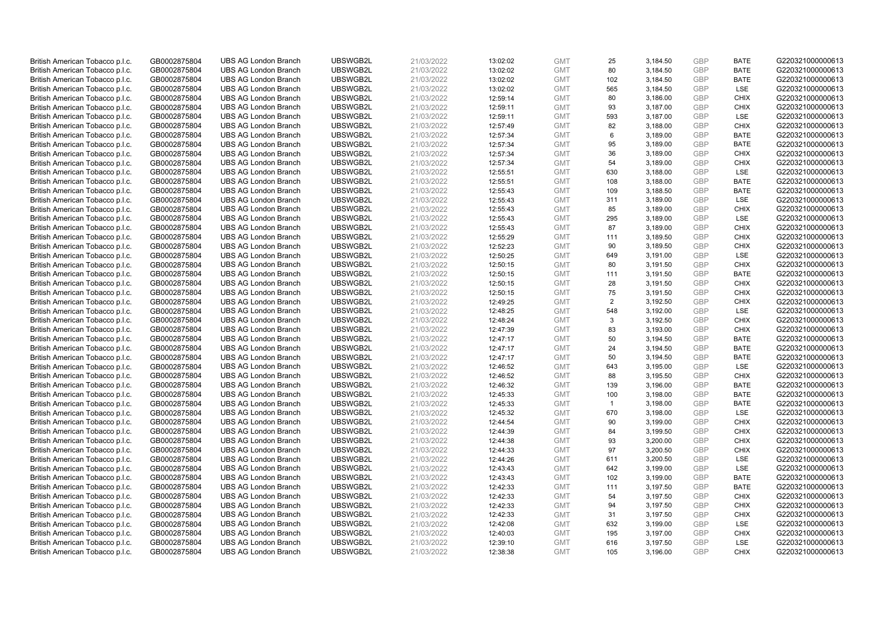| British American Tobacco p.l.c. | GB0002875804 | <b>UBS AG London Branch</b> | UBSWGB2L | 21/03/2022 | 13:02:02 | <b>GMT</b> | 25             | 3,184.50 | <b>GBP</b> | <b>BATE</b> | G220321000000613 |
|---------------------------------|--------------|-----------------------------|----------|------------|----------|------------|----------------|----------|------------|-------------|------------------|
| British American Tobacco p.l.c. | GB0002875804 | <b>UBS AG London Branch</b> | UBSWGB2L | 21/03/2022 | 13:02:02 | <b>GMT</b> | 80             | 3,184.50 | GBP        | <b>BATE</b> | G220321000000613 |
| British American Tobacco p.l.c. | GB0002875804 | <b>UBS AG London Branch</b> | UBSWGB2L | 21/03/2022 | 13:02:02 | <b>GMT</b> | 102            | 3,184.50 | GBP        | <b>BATE</b> | G220321000000613 |
| British American Tobacco p.l.c. | GB0002875804 | <b>UBS AG London Branch</b> | UBSWGB2L | 21/03/2022 | 13:02:02 | <b>GMT</b> | 565            | 3,184.50 | GBP        | <b>LSE</b>  | G220321000000613 |
| British American Tobacco p.l.c. | GB0002875804 | <b>UBS AG London Branch</b> | UBSWGB2L | 21/03/2022 | 12:59:14 | <b>GMT</b> | 80             | 3,186.00 | <b>GBP</b> | <b>CHIX</b> | G220321000000613 |
| British American Tobacco p.l.c. | GB0002875804 | <b>UBS AG London Branch</b> | UBSWGB2L | 21/03/2022 | 12:59:11 | <b>GMT</b> | 93             | 3,187.00 | GBP        | <b>CHIX</b> | G220321000000613 |
| British American Tobacco p.l.c. | GB0002875804 | <b>UBS AG London Branch</b> | UBSWGB2L | 21/03/2022 | 12:59:11 | <b>GMT</b> | 593            | 3,187.00 | <b>GBP</b> | LSE         | G220321000000613 |
| British American Tobacco p.l.c. | GB0002875804 | <b>UBS AG London Branch</b> | UBSWGB2L | 21/03/2022 | 12:57:49 | <b>GMT</b> | 82             | 3,188.00 | GBP        | <b>CHIX</b> | G220321000000613 |
| British American Tobacco p.l.c. | GB0002875804 | <b>UBS AG London Branch</b> | UBSWGB2L | 21/03/2022 | 12:57:34 | <b>GMT</b> | 6              | 3,189.00 | GBP        | <b>BATE</b> | G220321000000613 |
| British American Tobacco p.l.c. | GB0002875804 | <b>UBS AG London Branch</b> | UBSWGB2L | 21/03/2022 | 12:57:34 | <b>GMT</b> | 95             | 3,189.00 | <b>GBP</b> | <b>BATE</b> | G220321000000613 |
| British American Tobacco p.l.c. | GB0002875804 | <b>UBS AG London Branch</b> | UBSWGB2L | 21/03/2022 | 12:57:34 | <b>GMT</b> | 36             | 3,189.00 | GBP        | <b>CHIX</b> | G220321000000613 |
| British American Tobacco p.l.c. | GB0002875804 | <b>UBS AG London Branch</b> | UBSWGB2L | 21/03/2022 | 12:57:34 | <b>GMT</b> | 54             | 3,189.00 | <b>GBP</b> | <b>CHIX</b> | G220321000000613 |
| British American Tobacco p.l.c. | GB0002875804 | <b>UBS AG London Branch</b> | UBSWGB2L | 21/03/2022 | 12:55:51 | <b>GMT</b> | 630            | 3,188.00 | GBP        | LSE         | G220321000000613 |
| British American Tobacco p.l.c. | GB0002875804 | <b>UBS AG London Branch</b> | UBSWGB2L | 21/03/2022 | 12:55:51 | <b>GMT</b> | 108            | 3,188.00 | <b>GBP</b> | <b>BATE</b> | G220321000000613 |
| British American Tobacco p.l.c. | GB0002875804 | <b>UBS AG London Branch</b> | UBSWGB2L | 21/03/2022 | 12:55:43 | <b>GMT</b> | 109            | 3,188.50 | GBP        | <b>BATE</b> | G220321000000613 |
| British American Tobacco p.l.c. | GB0002875804 | <b>UBS AG London Branch</b> | UBSWGB2L | 21/03/2022 | 12:55:43 | <b>GMT</b> | 311            | 3,189.00 | <b>GBP</b> | LSE         | G220321000000613 |
| British American Tobacco p.l.c. | GB0002875804 | <b>UBS AG London Branch</b> | UBSWGB2L | 21/03/2022 | 12:55:43 | <b>GMT</b> | 85             | 3,189.00 | GBP        | <b>CHIX</b> | G220321000000613 |
| British American Tobacco p.l.c. | GB0002875804 | <b>UBS AG London Branch</b> | UBSWGB2L | 21/03/2022 | 12:55:43 | <b>GMT</b> | 295            | 3,189.00 | <b>GBP</b> | LSE         | G220321000000613 |
| British American Tobacco p.l.c. | GB0002875804 | <b>UBS AG London Branch</b> | UBSWGB2L | 21/03/2022 | 12:55:43 | <b>GMT</b> | 87             | 3,189.00 | GBP        | <b>CHIX</b> | G220321000000613 |
| British American Tobacco p.l.c. | GB0002875804 | <b>UBS AG London Branch</b> | UBSWGB2L | 21/03/2022 | 12:55:29 | <b>GMT</b> | 111            | 3,189.50 | <b>GBP</b> | <b>CHIX</b> | G220321000000613 |
| British American Tobacco p.l.c. | GB0002875804 | <b>UBS AG London Branch</b> | UBSWGB2L | 21/03/2022 | 12:52:23 | <b>GMT</b> | 90             | 3,189.50 | GBP        | <b>CHIX</b> | G220321000000613 |
| British American Tobacco p.l.c. | GB0002875804 | <b>UBS AG London Branch</b> | UBSWGB2L | 21/03/2022 | 12:50:25 | <b>GMT</b> | 649            | 3,191.00 | GBP        | LSE         | G220321000000613 |
| British American Tobacco p.l.c. | GB0002875804 | <b>UBS AG London Branch</b> | UBSWGB2L | 21/03/2022 | 12:50:15 | <b>GMT</b> | 80             | 3,191.50 | GBP        | <b>CHIX</b> | G220321000000613 |
| British American Tobacco p.l.c. | GB0002875804 | <b>UBS AG London Branch</b> | UBSWGB2L | 21/03/2022 | 12:50:15 | <b>GMT</b> | 111            | 3,191.50 | GBP        | <b>BATE</b> | G220321000000613 |
| British American Tobacco p.l.c. | GB0002875804 | <b>UBS AG London Branch</b> | UBSWGB2L | 21/03/2022 | 12:50:15 | <b>GMT</b> | 28             | 3,191.50 | <b>GBP</b> | <b>CHIX</b> | G220321000000613 |
| British American Tobacco p.l.c. | GB0002875804 | <b>UBS AG London Branch</b> | UBSWGB2L | 21/03/2022 | 12:50:15 | <b>GMT</b> | 75             | 3,191.50 | <b>GBP</b> | <b>CHIX</b> | G220321000000613 |
| British American Tobacco p.l.c. | GB0002875804 | <b>UBS AG London Branch</b> | UBSWGB2L | 21/03/2022 | 12:49:25 | <b>GMT</b> | 2              | 3,192.50 | <b>GBP</b> | <b>CHIX</b> | G220321000000613 |
| British American Tobacco p.l.c. | GB0002875804 | <b>UBS AG London Branch</b> | UBSWGB2L | 21/03/2022 | 12:48:25 | <b>GMT</b> | 548            | 3,192.00 | GBP        | <b>LSE</b>  | G220321000000613 |
| British American Tobacco p.l.c. | GB0002875804 | <b>UBS AG London Branch</b> | UBSWGB2L | 21/03/2022 | 12:48:24 | <b>GMT</b> | 3              | 3,192.50 | <b>GBP</b> | <b>CHIX</b> | G220321000000613 |
| British American Tobacco p.l.c. | GB0002875804 | <b>UBS AG London Branch</b> | UBSWGB2L | 21/03/2022 | 12:47:39 | <b>GMT</b> | 83             | 3,193.00 | GBP        | <b>CHIX</b> | G220321000000613 |
| British American Tobacco p.l.c. | GB0002875804 | <b>UBS AG London Branch</b> | UBSWGB2L | 21/03/2022 | 12:47:17 | <b>GMT</b> | 50             | 3,194.50 | GBP        | <b>BATE</b> | G220321000000613 |
| British American Tobacco p.l.c. | GB0002875804 | <b>UBS AG London Branch</b> | UBSWGB2L | 21/03/2022 | 12:47:17 | <b>GMT</b> | 24             | 3,194.50 | <b>GBP</b> | <b>BATE</b> | G220321000000613 |
| British American Tobacco p.l.c. | GB0002875804 | <b>UBS AG London Branch</b> | UBSWGB2L | 21/03/2022 | 12:47:17 | <b>GMT</b> | 50             | 3,194.50 | <b>GBP</b> | <b>BATE</b> | G220321000000613 |
| British American Tobacco p.l.c. | GB0002875804 | <b>UBS AG London Branch</b> | UBSWGB2L | 21/03/2022 | 12:46:52 | <b>GMT</b> | 643            | 3,195.00 | GBP        | LSE         | G220321000000613 |
| British American Tobacco p.l.c. | GB0002875804 | <b>UBS AG London Branch</b> | UBSWGB2L | 21/03/2022 | 12:46:52 | <b>GMT</b> | 88             | 3,195.50 | GBP        | <b>CHIX</b> | G220321000000613 |
| British American Tobacco p.l.c. | GB0002875804 | <b>UBS AG London Branch</b> | UBSWGB2L | 21/03/2022 | 12:46:32 | <b>GMT</b> | 139            | 3,196.00 | GBP        | <b>BATE</b> | G220321000000613 |
| British American Tobacco p.l.c. | GB0002875804 | <b>UBS AG London Branch</b> | UBSWGB2L | 21/03/2022 | 12:45:33 | <b>GMT</b> | 100            | 3,198.00 | GBP        | <b>BATE</b> | G220321000000613 |
| British American Tobacco p.l.c. | GB0002875804 | <b>UBS AG London Branch</b> | UBSWGB2L | 21/03/2022 | 12:45:33 | <b>GMT</b> | $\overline{1}$ | 3,198.00 | <b>GBP</b> | <b>BATE</b> | G220321000000613 |
| British American Tobacco p.l.c. | GB0002875804 | <b>UBS AG London Branch</b> | UBSWGB2L | 21/03/2022 | 12:45:32 | <b>GMT</b> | 670            | 3,198.00 | <b>GBP</b> | LSE         | G220321000000613 |
| British American Tobacco p.l.c. | GB0002875804 | <b>UBS AG London Branch</b> | UBSWGB2L | 21/03/2022 | 12:44:54 | <b>GMT</b> | 90             | 3,199.00 | <b>GBP</b> | <b>CHIX</b> | G220321000000613 |
| British American Tobacco p.l.c. | GB0002875804 | <b>UBS AG London Branch</b> | UBSWGB2L | 21/03/2022 | 12:44:39 | <b>GMT</b> | 84             | 3,199.50 | GBP        | <b>CHIX</b> | G220321000000613 |
| British American Tobacco p.l.c. | GB0002875804 | <b>UBS AG London Branch</b> | UBSWGB2L | 21/03/2022 | 12:44:38 | <b>GMT</b> | 93             | 3,200.00 | <b>GBP</b> | <b>CHIX</b> | G220321000000613 |
| British American Tobacco p.l.c. | GB0002875804 | <b>UBS AG London Branch</b> | UBSWGB2L | 21/03/2022 | 12:44:33 | <b>GMT</b> | 97             | 3,200.50 | <b>GBP</b> | <b>CHIX</b> | G220321000000613 |
| British American Tobacco p.l.c. | GB0002875804 | <b>UBS AG London Branch</b> | UBSWGB2L | 21/03/2022 | 12:44:26 | <b>GMT</b> | 611            | 3,200.50 | GBP        | <b>LSE</b>  | G220321000000613 |
| British American Tobacco p.l.c. | GB0002875804 | <b>UBS AG London Branch</b> | UBSWGB2L | 21/03/2022 | 12:43:43 | <b>GMT</b> | 642            | 3,199.00 | <b>GBP</b> | <b>LSE</b>  | G220321000000613 |
| British American Tobacco p.l.c. | GB0002875804 | <b>UBS AG London Branch</b> | UBSWGB2L | 21/03/2022 | 12:43:43 | <b>GMT</b> | 102            | 3,199.00 | <b>GBP</b> | <b>BATE</b> | G220321000000613 |
| British American Tobacco p.l.c. | GB0002875804 | <b>UBS AG London Branch</b> | UBSWGB2L | 21/03/2022 | 12:42:33 | <b>GMT</b> | 111            | 3,197.50 | <b>GBP</b> | <b>BATE</b> | G220321000000613 |
| British American Tobacco p.l.c. | GB0002875804 | <b>UBS AG London Branch</b> | UBSWGB2L | 21/03/2022 | 12:42:33 | <b>GMT</b> | 54             | 3,197.50 | GBP        | <b>CHIX</b> | G220321000000613 |
| British American Tobacco p.l.c. | GB0002875804 | <b>UBS AG London Branch</b> | UBSWGB2L | 21/03/2022 | 12:42:33 | <b>GMT</b> | 94             | 3,197.50 | <b>GBP</b> | <b>CHIX</b> | G220321000000613 |
| British American Tobacco p.l.c. | GB0002875804 | <b>UBS AG London Branch</b> | UBSWGB2L | 21/03/2022 | 12:42:33 | <b>GMT</b> | 31             | 3,197.50 | <b>GBP</b> | <b>CHIX</b> | G220321000000613 |
| British American Tobacco p.l.c. | GB0002875804 | <b>UBS AG London Branch</b> | UBSWGB2L | 21/03/2022 | 12:42:08 | <b>GMT</b> | 632            | 3,199.00 | <b>GBP</b> | LSE         | G220321000000613 |
| British American Tobacco p.l.c. | GB0002875804 | <b>UBS AG London Branch</b> | UBSWGB2L | 21/03/2022 | 12:40:03 | <b>GMT</b> | 195            | 3,197.00 | <b>GBP</b> | <b>CHIX</b> | G220321000000613 |
| British American Tobacco p.l.c. | GB0002875804 | <b>UBS AG London Branch</b> | UBSWGB2L | 21/03/2022 | 12:39:10 | <b>GMT</b> | 616            | 3,197.50 | GBP        | LSE         | G220321000000613 |
| British American Tobacco p.l.c. | GB0002875804 | <b>UBS AG London Branch</b> | UBSWGB2L | 21/03/2022 | 12:38:38 | <b>GMT</b> | 105            | 3,196.00 | GBP        | <b>CHIX</b> | G220321000000613 |
|                                 |              |                             |          |            |          |            |                |          |            |             |                  |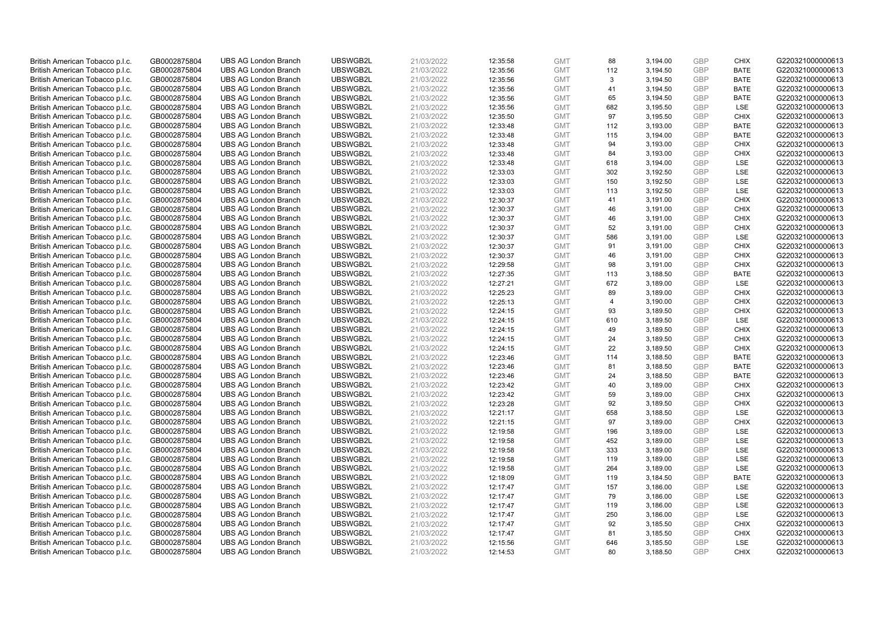| British American Tobacco p.l.c. | GB0002875804 | <b>UBS AG London Branch</b> | UBSWGB2L | 21/03/2022 | 12:35:58 | <b>GMT</b> | 88             | 3,194.00 | <b>GBP</b> | <b>CHIX</b> | G220321000000613 |
|---------------------------------|--------------|-----------------------------|----------|------------|----------|------------|----------------|----------|------------|-------------|------------------|
| British American Tobacco p.l.c. | GB0002875804 | <b>UBS AG London Branch</b> | UBSWGB2L | 21/03/2022 | 12:35:56 | <b>GMT</b> | 112            | 3,194.50 | GBP        | <b>BATE</b> | G220321000000613 |
| British American Tobacco p.l.c. | GB0002875804 | <b>UBS AG London Branch</b> | UBSWGB2L | 21/03/2022 | 12:35:56 | <b>GMT</b> | 3              | 3,194.50 | GBP        | <b>BATE</b> | G220321000000613 |
| British American Tobacco p.l.c. | GB0002875804 | <b>UBS AG London Branch</b> | UBSWGB2L | 21/03/2022 | 12:35:56 | <b>GMT</b> | 41             | 3,194.50 | GBP        | <b>BATE</b> | G220321000000613 |
| British American Tobacco p.l.c. | GB0002875804 | <b>UBS AG London Branch</b> | UBSWGB2L | 21/03/2022 | 12:35:56 | <b>GMT</b> | 65             | 3,194.50 | <b>GBP</b> | <b>BATE</b> | G220321000000613 |
| British American Tobacco p.l.c. | GB0002875804 | <b>UBS AG London Branch</b> | UBSWGB2L | 21/03/2022 | 12:35:56 | <b>GMT</b> | 682            | 3,195.50 | GBP        | <b>LSE</b>  | G220321000000613 |
| British American Tobacco p.l.c. | GB0002875804 | <b>UBS AG London Branch</b> | UBSWGB2L | 21/03/2022 | 12:35:50 | <b>GMT</b> | 97             | 3,195.50 | <b>GBP</b> | <b>CHIX</b> | G220321000000613 |
| British American Tobacco p.l.c. | GB0002875804 | <b>UBS AG London Branch</b> | UBSWGB2L | 21/03/2022 | 12:33:48 | <b>GMT</b> | 112            | 3,193.00 | GBP        | <b>BATE</b> | G220321000000613 |
| British American Tobacco p.l.c. | GB0002875804 | <b>UBS AG London Branch</b> | UBSWGB2L | 21/03/2022 | 12:33:48 | <b>GMT</b> | 115            | 3,194.00 | GBP        | <b>BATE</b> | G220321000000613 |
| British American Tobacco p.l.c. | GB0002875804 | <b>UBS AG London Branch</b> | UBSWGB2L | 21/03/2022 | 12:33:48 | <b>GMT</b> | 94             | 3,193.00 | <b>GBP</b> | <b>CHIX</b> | G220321000000613 |
| British American Tobacco p.l.c. | GB0002875804 | <b>UBS AG London Branch</b> | UBSWGB2L | 21/03/2022 | 12:33:48 | <b>GMT</b> | 84             | 3,193.00 | GBP        | <b>CHIX</b> | G220321000000613 |
| British American Tobacco p.l.c. | GB0002875804 | <b>UBS AG London Branch</b> | UBSWGB2L | 21/03/2022 | 12:33:48 | <b>GMT</b> | 618            | 3,194.00 | <b>GBP</b> | LSE         | G220321000000613 |
| British American Tobacco p.l.c. | GB0002875804 | <b>UBS AG London Branch</b> | UBSWGB2L | 21/03/2022 | 12:33:03 | <b>GMT</b> | 302            | 3,192.50 | <b>GBP</b> | LSE         | G220321000000613 |
| British American Tobacco p.l.c. | GB0002875804 | <b>UBS AG London Branch</b> | UBSWGB2L | 21/03/2022 | 12:33:03 | <b>GMT</b> | 150            | 3,192.50 | <b>GBP</b> | <b>LSE</b>  | G220321000000613 |
| British American Tobacco p.l.c. | GB0002875804 | <b>UBS AG London Branch</b> | UBSWGB2L | 21/03/2022 | 12:33:03 | <b>GMT</b> | 113            | 3,192.50 | GBP        | <b>LSE</b>  | G220321000000613 |
| British American Tobacco p.l.c. | GB0002875804 | <b>UBS AG London Branch</b> | UBSWGB2L | 21/03/2022 | 12:30:37 | <b>GMT</b> | 41             | 3,191.00 | <b>GBP</b> | <b>CHIX</b> | G220321000000613 |
| British American Tobacco p.l.c. | GB0002875804 | <b>UBS AG London Branch</b> | UBSWGB2L | 21/03/2022 | 12:30:37 | <b>GMT</b> | 46             | 3,191.00 | GBP        | <b>CHIX</b> | G220321000000613 |
| British American Tobacco p.l.c. | GB0002875804 | <b>UBS AG London Branch</b> | UBSWGB2L | 21/03/2022 | 12:30:37 | <b>GMT</b> | 46             | 3,191.00 | <b>GBP</b> | <b>CHIX</b> | G220321000000613 |
| British American Tobacco p.l.c. | GB0002875804 | <b>UBS AG London Branch</b> | UBSWGB2L | 21/03/2022 | 12:30:37 | <b>GMT</b> | 52             | 3,191.00 | GBP        | <b>CHIX</b> | G220321000000613 |
| British American Tobacco p.l.c. | GB0002875804 | <b>UBS AG London Branch</b> | UBSWGB2L | 21/03/2022 | 12:30:37 | <b>GMT</b> | 586            | 3,191.00 | <b>GBP</b> | LSE         | G220321000000613 |
| British American Tobacco p.l.c. | GB0002875804 | <b>UBS AG London Branch</b> | UBSWGB2L | 21/03/2022 | 12:30:37 | <b>GMT</b> | 91             | 3,191.00 | GBP        | <b>CHIX</b> | G220321000000613 |
| British American Tobacco p.l.c. | GB0002875804 | <b>UBS AG London Branch</b> | UBSWGB2L | 21/03/2022 | 12:30:37 | <b>GMT</b> | 46             | 3,191.00 | GBP        | <b>CHIX</b> | G220321000000613 |
| British American Tobacco p.l.c. | GB0002875804 | <b>UBS AG London Branch</b> | UBSWGB2L | 21/03/2022 | 12:29:58 | <b>GMT</b> | 98             | 3,191.00 | GBP        | <b>CHIX</b> | G220321000000613 |
| British American Tobacco p.l.c. | GB0002875804 | <b>UBS AG London Branch</b> | UBSWGB2L | 21/03/2022 | 12:27:35 | <b>GMT</b> | 113            | 3,188.50 | GBP        | <b>BATE</b> | G220321000000613 |
| British American Tobacco p.l.c. | GB0002875804 | <b>UBS AG London Branch</b> | UBSWGB2L | 21/03/2022 | 12:27:21 | <b>GMT</b> | 672            | 3,189.00 | <b>GBP</b> | LSE         | G220321000000613 |
| British American Tobacco p.l.c. | GB0002875804 | <b>UBS AG London Branch</b> | UBSWGB2L | 21/03/2022 | 12:25:23 | <b>GMT</b> | 89             | 3,189.00 | <b>GBP</b> | <b>CHIX</b> | G220321000000613 |
| British American Tobacco p.l.c. | GB0002875804 | <b>UBS AG London Branch</b> | UBSWGB2L | 21/03/2022 | 12:25:13 | <b>GMT</b> | $\overline{4}$ | 3,190.00 | <b>GBP</b> | <b>CHIX</b> | G220321000000613 |
| British American Tobacco p.l.c. | GB0002875804 | <b>UBS AG London Branch</b> | UBSWGB2L | 21/03/2022 | 12:24:15 | <b>GMT</b> | 93             | 3,189.50 | GBP        | <b>CHIX</b> | G220321000000613 |
| British American Tobacco p.l.c. | GB0002875804 | <b>UBS AG London Branch</b> | UBSWGB2L | 21/03/2022 | 12:24:15 | <b>GMT</b> | 610            | 3,189.50 | <b>GBP</b> | <b>LSE</b>  | G220321000000613 |
| British American Tobacco p.l.c. | GB0002875804 | <b>UBS AG London Branch</b> | UBSWGB2L | 21/03/2022 | 12:24:15 | <b>GMT</b> | 49             | 3,189.50 | GBP        | <b>CHIX</b> | G220321000000613 |
| British American Tobacco p.l.c. | GB0002875804 | <b>UBS AG London Branch</b> | UBSWGB2L | 21/03/2022 | 12:24:15 | <b>GMT</b> | 24             | 3,189.50 | GBP        | <b>CHIX</b> | G220321000000613 |
| British American Tobacco p.l.c. | GB0002875804 | <b>UBS AG London Branch</b> | UBSWGB2L | 21/03/2022 | 12:24:15 | <b>GMT</b> | 22             | 3,189.50 | <b>GBP</b> | <b>CHIX</b> | G220321000000613 |
| British American Tobacco p.l.c. | GB0002875804 | <b>UBS AG London Branch</b> | UBSWGB2L | 21/03/2022 | 12:23:46 | <b>GMT</b> | 114            | 3,188.50 | <b>GBP</b> | <b>BATE</b> | G220321000000613 |
| British American Tobacco p.l.c. | GB0002875804 | <b>UBS AG London Branch</b> | UBSWGB2L | 21/03/2022 | 12:23:46 | <b>GMT</b> | 81             | 3,188.50 | GBP        | <b>BATE</b> | G220321000000613 |
| British American Tobacco p.l.c. | GB0002875804 | <b>UBS AG London Branch</b> | UBSWGB2L | 21/03/2022 | 12:23:46 | <b>GMT</b> | 24             | 3,188.50 | GBP        | <b>BATE</b> | G220321000000613 |
| British American Tobacco p.l.c. | GB0002875804 | <b>UBS AG London Branch</b> | UBSWGB2L | 21/03/2022 | 12:23:42 | <b>GMT</b> | 40             | 3,189.00 | GBP        | <b>CHIX</b> | G220321000000613 |
| British American Tobacco p.l.c. | GB0002875804 | <b>UBS AG London Branch</b> | UBSWGB2L | 21/03/2022 | 12:23:42 | <b>GMT</b> | 59             | 3,189.00 | GBP        | <b>CHIX</b> | G220321000000613 |
| British American Tobacco p.l.c. | GB0002875804 | <b>UBS AG London Branch</b> | UBSWGB2L | 21/03/2022 | 12:23:28 | <b>GMT</b> | 92             | 3,189.50 | <b>GBP</b> | <b>CHIX</b> | G220321000000613 |
| British American Tobacco p.l.c. | GB0002875804 | <b>UBS AG London Branch</b> | UBSWGB2L | 21/03/2022 | 12:21:17 | <b>GMT</b> | 658            | 3,188.50 | <b>GBP</b> | LSE         | G220321000000613 |
| British American Tobacco p.l.c. | GB0002875804 | <b>UBS AG London Branch</b> | UBSWGB2L | 21/03/2022 | 12:21:15 | <b>GMT</b> | 97             | 3,189.00 | <b>GBP</b> | <b>CHIX</b> | G220321000000613 |
| British American Tobacco p.l.c. | GB0002875804 | <b>UBS AG London Branch</b> | UBSWGB2L | 21/03/2022 | 12:19:58 | <b>GMT</b> | 196            | 3,189.00 | <b>GBP</b> | <b>LSE</b>  | G220321000000613 |
| British American Tobacco p.l.c. | GB0002875804 | <b>UBS AG London Branch</b> | UBSWGB2L | 21/03/2022 | 12:19:58 | <b>GMT</b> | 452            | 3,189.00 | <b>GBP</b> | LSE         | G220321000000613 |
| British American Tobacco p.l.c. | GB0002875804 | <b>UBS AG London Branch</b> | UBSWGB2L | 21/03/2022 | 12:19:58 | <b>GMT</b> | 333            | 3,189.00 | <b>GBP</b> | LSE         | G220321000000613 |
| British American Tobacco p.l.c. | GB0002875804 | <b>UBS AG London Branch</b> | UBSWGB2L | 21/03/2022 | 12:19:58 | <b>GMT</b> | 119            | 3,189.00 | GBP        | <b>LSE</b>  | G220321000000613 |
| British American Tobacco p.l.c. | GB0002875804 | <b>UBS AG London Branch</b> | UBSWGB2L | 21/03/2022 | 12:19:58 | <b>GMT</b> | 264            | 3,189.00 | <b>GBP</b> | <b>LSE</b>  | G220321000000613 |
| British American Tobacco p.l.c. | GB0002875804 | <b>UBS AG London Branch</b> | UBSWGB2L | 21/03/2022 | 12:18:09 | <b>GMT</b> | 119            | 3,184.50 | <b>GBP</b> | <b>BATE</b> | G220321000000613 |
| British American Tobacco p.l.c. | GB0002875804 | <b>UBS AG London Branch</b> | UBSWGB2L | 21/03/2022 | 12:17:47 | <b>GMT</b> | 157            | 3,186.00 | <b>GBP</b> | LSE         | G220321000000613 |
| British American Tobacco p.l.c. | GB0002875804 | <b>UBS AG London Branch</b> | UBSWGB2L | 21/03/2022 | 12:17:47 | <b>GMT</b> | 79             | 3,186.00 | <b>GBP</b> | LSE         | G220321000000613 |
| British American Tobacco p.l.c. | GB0002875804 | <b>UBS AG London Branch</b> | UBSWGB2L | 21/03/2022 | 12:17:47 | <b>GMT</b> | 119            | 3,186.00 | <b>GBP</b> | LSE         | G220321000000613 |
| British American Tobacco p.l.c. | GB0002875804 | <b>UBS AG London Branch</b> | UBSWGB2L | 21/03/2022 | 12:17:47 | <b>GMT</b> | 250            | 3,186.00 | <b>GBP</b> | LSE         | G220321000000613 |
| British American Tobacco p.l.c. | GB0002875804 | <b>UBS AG London Branch</b> | UBSWGB2L | 21/03/2022 | 12:17:47 | <b>GMT</b> | 92             | 3,185.50 | GBP        | <b>CHIX</b> | G220321000000613 |
| British American Tobacco p.l.c. | GB0002875804 | <b>UBS AG London Branch</b> | UBSWGB2L | 21/03/2022 | 12:17:47 | <b>GMT</b> | 81             | 3,185.50 | <b>GBP</b> | <b>CHIX</b> | G220321000000613 |
| British American Tobacco p.l.c. | GB0002875804 | <b>UBS AG London Branch</b> | UBSWGB2L | 21/03/2022 | 12:15:56 | <b>GMT</b> | 646            | 3,185.50 | GBP        | <b>LSE</b>  | G220321000000613 |
| British American Tobacco p.l.c. | GB0002875804 | <b>UBS AG London Branch</b> | UBSWGB2L | 21/03/2022 | 12:14:53 | <b>GMT</b> | 80             | 3,188.50 | GBP        | <b>CHIX</b> | G220321000000613 |
|                                 |              |                             |          |            |          |            |                |          |            |             |                  |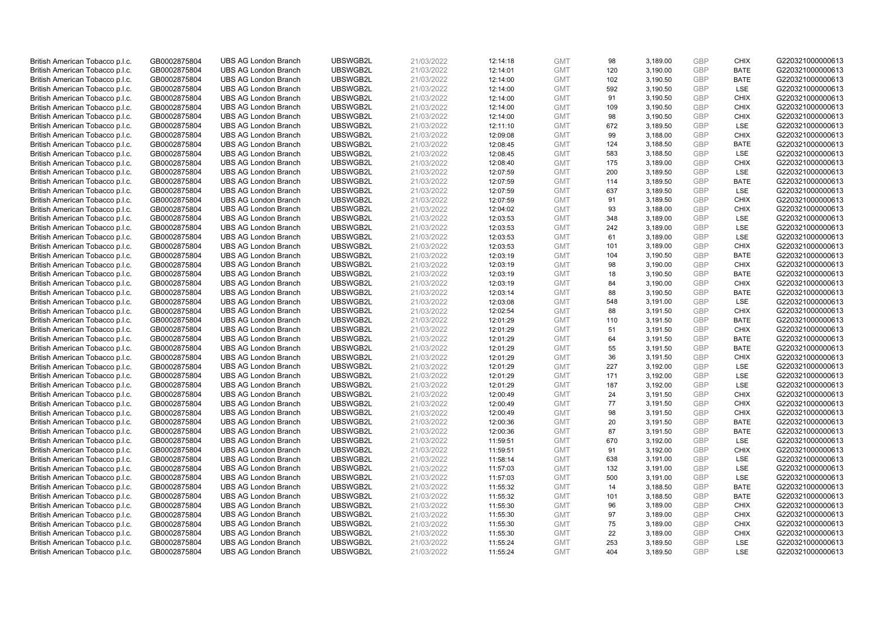| British American Tobacco p.l.c. | GB0002875804 | <b>UBS AG London Branch</b> | UBSWGB2L | 21/03/2022 | 12:14:18 | <b>GMT</b> | 98  | 3,189.00 | <b>GBP</b> | <b>CHIX</b> | G220321000000613 |
|---------------------------------|--------------|-----------------------------|----------|------------|----------|------------|-----|----------|------------|-------------|------------------|
| British American Tobacco p.l.c. | GB0002875804 | <b>UBS AG London Branch</b> | UBSWGB2L | 21/03/2022 | 12:14:01 | <b>GMT</b> | 120 | 3,190.00 | GBP        | <b>BATE</b> | G220321000000613 |
| British American Tobacco p.l.c. | GB0002875804 | <b>UBS AG London Branch</b> | UBSWGB2L | 21/03/2022 | 12:14:00 | <b>GMT</b> | 102 | 3,190.50 | GBP        | <b>BATE</b> | G220321000000613 |
| British American Tobacco p.l.c. | GB0002875804 | <b>UBS AG London Branch</b> | UBSWGB2L | 21/03/2022 | 12:14:00 | <b>GMT</b> | 592 | 3,190.50 | GBP        | <b>LSE</b>  | G220321000000613 |
| British American Tobacco p.l.c. | GB0002875804 | <b>UBS AG London Branch</b> | UBSWGB2L | 21/03/2022 | 12:14:00 | <b>GMT</b> | 91  | 3,190.50 | <b>GBP</b> | <b>CHIX</b> | G220321000000613 |
| British American Tobacco p.l.c. | GB0002875804 | <b>UBS AG London Branch</b> | UBSWGB2L | 21/03/2022 | 12:14:00 | <b>GMT</b> | 109 | 3,190.50 | GBP        | <b>CHIX</b> | G220321000000613 |
| British American Tobacco p.l.c. | GB0002875804 | <b>UBS AG London Branch</b> | UBSWGB2L | 21/03/2022 | 12:14:00 | <b>GMT</b> | 98  | 3,190.50 | <b>GBP</b> | <b>CHIX</b> | G220321000000613 |
| British American Tobacco p.l.c. | GB0002875804 | <b>UBS AG London Branch</b> | UBSWGB2L | 21/03/2022 | 12:11:10 | <b>GMT</b> | 672 | 3,189.50 | GBP        | LSE         | G220321000000613 |
| British American Tobacco p.l.c. | GB0002875804 | <b>UBS AG London Branch</b> | UBSWGB2L | 21/03/2022 | 12:09:08 | <b>GMT</b> | 99  | 3,188.00 | GBP        | <b>CHIX</b> | G220321000000613 |
| British American Tobacco p.l.c. | GB0002875804 | <b>UBS AG London Branch</b> | UBSWGB2L | 21/03/2022 | 12:08:45 | <b>GMT</b> | 124 | 3,188.50 | GBP        | <b>BATE</b> | G220321000000613 |
| British American Tobacco p.l.c. | GB0002875804 | <b>UBS AG London Branch</b> | UBSWGB2L | 21/03/2022 | 12:08:45 | <b>GMT</b> | 583 | 3,188.50 | GBP        | <b>LSE</b>  | G220321000000613 |
| British American Tobacco p.l.c. | GB0002875804 | <b>UBS AG London Branch</b> | UBSWGB2L | 21/03/2022 | 12:08:40 | <b>GMT</b> | 175 | 3,189.00 | <b>GBP</b> | <b>CHIX</b> | G220321000000613 |
| British American Tobacco p.l.c. | GB0002875804 | <b>UBS AG London Branch</b> | UBSWGB2L | 21/03/2022 | 12:07:59 | <b>GMT</b> | 200 | 3,189.50 | GBP        | <b>LSE</b>  | G220321000000613 |
| British American Tobacco p.l.c. | GB0002875804 | <b>UBS AG London Branch</b> | UBSWGB2L | 21/03/2022 | 12:07:59 | <b>GMT</b> | 114 | 3,189.50 | <b>GBP</b> | <b>BATE</b> | G220321000000613 |
| British American Tobacco p.l.c. | GB0002875804 | <b>UBS AG London Branch</b> | UBSWGB2L | 21/03/2022 | 12:07:59 | <b>GMT</b> | 637 | 3,189.50 | <b>GBP</b> | <b>LSE</b>  | G220321000000613 |
| British American Tobacco p.l.c. | GB0002875804 | <b>UBS AG London Branch</b> | UBSWGB2L | 21/03/2022 | 12:07:59 | <b>GMT</b> | 91  | 3,189.50 | <b>GBP</b> | <b>CHIX</b> | G220321000000613 |
| British American Tobacco p.l.c. | GB0002875804 | <b>UBS AG London Branch</b> | UBSWGB2L | 21/03/2022 | 12:04:02 | <b>GMT</b> | 93  | 3,188.00 | GBP        | <b>CHIX</b> | G220321000000613 |
| British American Tobacco p.l.c. | GB0002875804 | <b>UBS AG London Branch</b> | UBSWGB2L | 21/03/2022 | 12:03:53 | <b>GMT</b> | 348 | 3,189.00 | <b>GBP</b> | <b>LSE</b>  | G220321000000613 |
| British American Tobacco p.l.c. | GB0002875804 | <b>UBS AG London Branch</b> | UBSWGB2L | 21/03/2022 | 12:03:53 | <b>GMT</b> | 242 | 3,189.00 | GBP        | <b>LSE</b>  | G220321000000613 |
| British American Tobacco p.l.c. | GB0002875804 | <b>UBS AG London Branch</b> | UBSWGB2L | 21/03/2022 | 12:03:53 | <b>GMT</b> | 61  | 3,189.00 | <b>GBP</b> | LSE         | G220321000000613 |
| British American Tobacco p.l.c. | GB0002875804 | <b>UBS AG London Branch</b> | UBSWGB2L | 21/03/2022 | 12:03:53 | <b>GMT</b> | 101 | 3,189.00 | GBP        | <b>CHIX</b> | G220321000000613 |
| British American Tobacco p.l.c. | GB0002875804 | <b>UBS AG London Branch</b> | UBSWGB2L | 21/03/2022 | 12:03:19 | <b>GMT</b> | 104 | 3,190.50 | GBP        | <b>BATE</b> | G220321000000613 |
| British American Tobacco p.l.c. | GB0002875804 | <b>UBS AG London Branch</b> | UBSWGB2L | 21/03/2022 | 12:03:19 | <b>GMT</b> | 98  | 3,190.00 | <b>GBP</b> | <b>CHIX</b> | G220321000000613 |
| British American Tobacco p.l.c. | GB0002875804 | <b>UBS AG London Branch</b> | UBSWGB2L | 21/03/2022 | 12:03:19 | <b>GMT</b> | 18  | 3,190.50 | GBP        | <b>BATE</b> | G220321000000613 |
| British American Tobacco p.l.c. | GB0002875804 | <b>UBS AG London Branch</b> | UBSWGB2L | 21/03/2022 | 12:03:19 | <b>GMT</b> | 84  | 3,190.00 | <b>GBP</b> | <b>CHIX</b> | G220321000000613 |
| British American Tobacco p.l.c. | GB0002875804 | <b>UBS AG London Branch</b> | UBSWGB2L | 21/03/2022 | 12:03:14 | <b>GMT</b> | 88  | 3,190.50 | <b>GBP</b> | <b>BATE</b> | G220321000000613 |
| British American Tobacco p.l.c. | GB0002875804 | <b>UBS AG London Branch</b> | UBSWGB2L | 21/03/2022 | 12:03:08 | <b>GMT</b> | 548 | 3,191.00 | <b>GBP</b> | LSE         | G220321000000613 |
| British American Tobacco p.l.c. | GB0002875804 | <b>UBS AG London Branch</b> | UBSWGB2L | 21/03/2022 | 12:02:54 | <b>GMT</b> | 88  | 3,191.50 | GBP        | <b>CHIX</b> | G220321000000613 |
| British American Tobacco p.l.c. | GB0002875804 | <b>UBS AG London Branch</b> | UBSWGB2L | 21/03/2022 | 12:01:29 | <b>GMT</b> | 110 | 3,191.50 | <b>GBP</b> | <b>BATE</b> | G220321000000613 |
| British American Tobacco p.l.c. | GB0002875804 | <b>UBS AG London Branch</b> | UBSWGB2L | 21/03/2022 | 12:01:29 | <b>GMT</b> | 51  | 3,191.50 | GBP        | <b>CHIX</b> | G220321000000613 |
| British American Tobacco p.l.c. | GB0002875804 | <b>UBS AG London Branch</b> | UBSWGB2L | 21/03/2022 | 12:01:29 | <b>GMT</b> | 64  | 3,191.50 | GBP        | <b>BATE</b> | G220321000000613 |
| British American Tobacco p.l.c. | GB0002875804 | <b>UBS AG London Branch</b> | UBSWGB2L | 21/03/2022 | 12:01:29 | <b>GMT</b> | 55  | 3,191.50 | <b>GBP</b> | <b>BATE</b> | G220321000000613 |
| British American Tobacco p.l.c. | GB0002875804 | <b>UBS AG London Branch</b> | UBSWGB2L | 21/03/2022 | 12:01:29 | <b>GMT</b> | 36  | 3,191.50 | <b>GBP</b> | <b>CHIX</b> | G220321000000613 |
| British American Tobacco p.l.c. | GB0002875804 | <b>UBS AG London Branch</b> | UBSWGB2L | 21/03/2022 | 12:01:29 | <b>GMT</b> | 227 | 3,192.00 | GBP        | LSE         | G220321000000613 |
| British American Tobacco p.l.c. | GB0002875804 | <b>UBS AG London Branch</b> | UBSWGB2L | 21/03/2022 | 12:01:29 | <b>GMT</b> | 171 | 3,192.00 | GBP        | LSE         | G220321000000613 |
| British American Tobacco p.l.c. | GB0002875804 | <b>UBS AG London Branch</b> | UBSWGB2L | 21/03/2022 | 12:01:29 | <b>GMT</b> | 187 | 3,192.00 | GBP        | LSE         | G220321000000613 |
| British American Tobacco p.l.c. | GB0002875804 | <b>UBS AG London Branch</b> | UBSWGB2L | 21/03/2022 | 12:00:49 | <b>GMT</b> | 24  | 3,191.50 | GBP        | <b>CHIX</b> | G220321000000613 |
| British American Tobacco p.l.c. | GB0002875804 | <b>UBS AG London Branch</b> | UBSWGB2L | 21/03/2022 | 12:00:49 | <b>GMT</b> | 77  | 3,191.50 | <b>GBP</b> | <b>CHIX</b> | G220321000000613 |
| British American Tobacco p.l.c. | GB0002875804 | <b>UBS AG London Branch</b> | UBSWGB2L | 21/03/2022 | 12:00:49 | <b>GMT</b> | 98  | 3,191.50 | <b>GBP</b> | <b>CHIX</b> | G220321000000613 |
| British American Tobacco p.l.c. | GB0002875804 | <b>UBS AG London Branch</b> | UBSWGB2L | 21/03/2022 | 12:00:36 | <b>GMT</b> | 20  | 3,191.50 | <b>GBP</b> | <b>BATE</b> | G220321000000613 |
| British American Tobacco p.l.c. | GB0002875804 | <b>UBS AG London Branch</b> | UBSWGB2L | 21/03/2022 | 12:00:36 | <b>GMT</b> | 87  | 3,191.50 | GBP        | <b>BATE</b> | G220321000000613 |
| British American Tobacco p.l.c. | GB0002875804 | <b>UBS AG London Branch</b> | UBSWGB2L | 21/03/2022 | 11:59:51 | <b>GMT</b> | 670 | 3,192.00 | <b>GBP</b> | LSE         | G220321000000613 |
| British American Tobacco p.l.c. | GB0002875804 | <b>UBS AG London Branch</b> | UBSWGB2L | 21/03/2022 | 11:59:51 | <b>GMT</b> | 91  | 3,192.00 | <b>GBP</b> | <b>CHIX</b> | G220321000000613 |
| British American Tobacco p.l.c. | GB0002875804 | <b>UBS AG London Branch</b> | UBSWGB2L | 21/03/2022 | 11:58:14 | <b>GMT</b> | 638 | 3,191.00 | <b>GBP</b> | <b>LSE</b>  | G220321000000613 |
| British American Tobacco p.l.c. | GB0002875804 | <b>UBS AG London Branch</b> | UBSWGB2L | 21/03/2022 | 11:57:03 | <b>GMT</b> | 132 | 3,191.00 | <b>GBP</b> | <b>LSE</b>  | G220321000000613 |
| British American Tobacco p.l.c. | GB0002875804 | <b>UBS AG London Branch</b> | UBSWGB2L | 21/03/2022 | 11:57:03 | <b>GMT</b> | 500 | 3,191.00 | <b>GBP</b> | LSE         | G220321000000613 |
| British American Tobacco p.l.c. | GB0002875804 | <b>UBS AG London Branch</b> | UBSWGB2L | 21/03/2022 | 11:55:32 | <b>GMT</b> | 14  | 3,188.50 | GBP        | <b>BATE</b> | G220321000000613 |
| British American Tobacco p.l.c. | GB0002875804 | <b>UBS AG London Branch</b> | UBSWGB2L | 21/03/2022 | 11:55:32 | <b>GMT</b> | 101 | 3,188.50 | GBP        | <b>BATE</b> | G220321000000613 |
| British American Tobacco p.l.c. | GB0002875804 | <b>UBS AG London Branch</b> | UBSWGB2L | 21/03/2022 | 11:55:30 | <b>GMT</b> | 96  | 3,189.00 | <b>GBP</b> | <b>CHIX</b> | G220321000000613 |
| British American Tobacco p.l.c. | GB0002875804 | <b>UBS AG London Branch</b> | UBSWGB2L | 21/03/2022 | 11:55:30 | <b>GMT</b> | 97  | 3,189.00 | <b>GBP</b> | <b>CHIX</b> | G220321000000613 |
| British American Tobacco p.l.c. | GB0002875804 | <b>UBS AG London Branch</b> | UBSWGB2L | 21/03/2022 | 11:55:30 | <b>GMT</b> | 75  | 3,189.00 | <b>GBP</b> | <b>CHIX</b> | G220321000000613 |
| British American Tobacco p.l.c. | GB0002875804 | <b>UBS AG London Branch</b> | UBSWGB2L | 21/03/2022 | 11:55:30 | <b>GMT</b> | 22  | 3,189.00 | <b>GBP</b> | <b>CHIX</b> | G220321000000613 |
| British American Tobacco p.l.c. | GB0002875804 | <b>UBS AG London Branch</b> | UBSWGB2L | 21/03/2022 | 11:55:24 | <b>GMT</b> | 253 | 3,189.50 | GBP        | <b>LSE</b>  | G220321000000613 |
| British American Tobacco p.l.c. | GB0002875804 | <b>UBS AG London Branch</b> | UBSWGB2L | 21/03/2022 | 11:55:24 | <b>GMT</b> | 404 | 3,189.50 | GBP        | <b>LSE</b>  | G220321000000613 |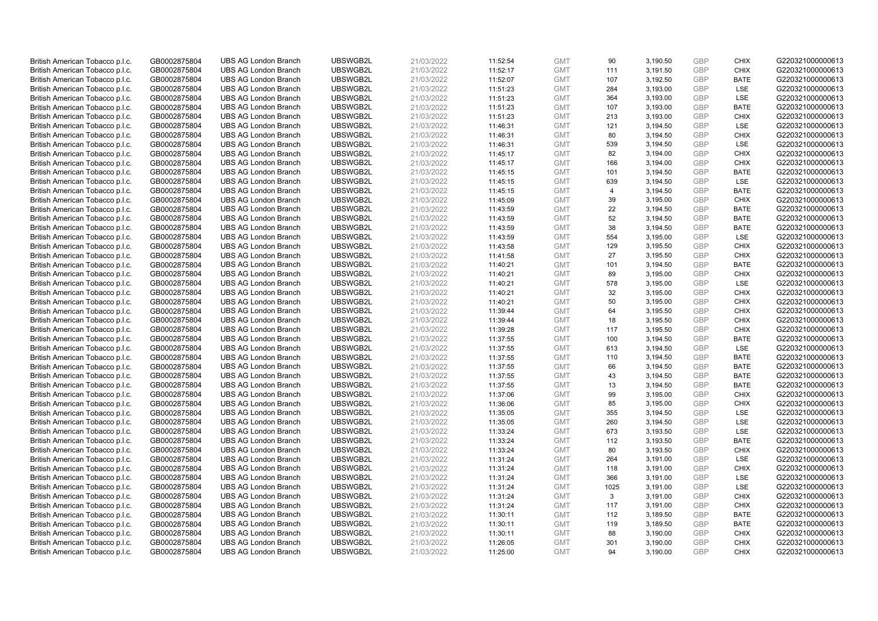| British American Tobacco p.l.c. | GB0002875804 | <b>UBS AG London Branch</b> | UBSWGB2L | 21/03/2022 | 11:52:54 | <b>GMT</b> | 90             | 3,190.50 | <b>GBP</b> | <b>CHIX</b> | G220321000000613 |
|---------------------------------|--------------|-----------------------------|----------|------------|----------|------------|----------------|----------|------------|-------------|------------------|
| British American Tobacco p.l.c. | GB0002875804 | <b>UBS AG London Branch</b> | UBSWGB2L | 21/03/2022 | 11:52:17 | <b>GMT</b> | 111            | 3,191.50 | GBP        | <b>CHIX</b> | G220321000000613 |
| British American Tobacco p.l.c. | GB0002875804 | <b>UBS AG London Branch</b> | UBSWGB2L | 21/03/2022 | 11:52:07 | <b>GMT</b> | 107            | 3,192.50 | GBP        | <b>BATE</b> | G220321000000613 |
| British American Tobacco p.l.c. | GB0002875804 | <b>UBS AG London Branch</b> | UBSWGB2L | 21/03/2022 | 11:51:23 | <b>GMT</b> | 284            | 3,193.00 | GBP        | <b>LSE</b>  | G220321000000613 |
| British American Tobacco p.l.c. | GB0002875804 | <b>UBS AG London Branch</b> | UBSWGB2L | 21/03/2022 | 11:51:23 | <b>GMT</b> | 364            | 3,193.00 | <b>GBP</b> | LSE         | G220321000000613 |
| British American Tobacco p.l.c. | GB0002875804 | <b>UBS AG London Branch</b> | UBSWGB2L | 21/03/2022 | 11:51:23 | <b>GMT</b> | 107            | 3,193.00 | GBP        | <b>BATE</b> | G220321000000613 |
| British American Tobacco p.l.c. | GB0002875804 | <b>UBS AG London Branch</b> | UBSWGB2L | 21/03/2022 | 11:51:23 | <b>GMT</b> | 213            | 3,193.00 | <b>GBP</b> | <b>CHIX</b> | G220321000000613 |
| British American Tobacco p.l.c. | GB0002875804 | <b>UBS AG London Branch</b> | UBSWGB2L | 21/03/2022 | 11:46:31 | <b>GMT</b> | 121            | 3,194.50 | GBP        | LSE         | G220321000000613 |
| British American Tobacco p.l.c. | GB0002875804 | <b>UBS AG London Branch</b> | UBSWGB2L | 21/03/2022 | 11:46:31 | <b>GMT</b> | 80             | 3,194.50 | GBP        | <b>CHIX</b> | G220321000000613 |
| British American Tobacco p.l.c. | GB0002875804 | <b>UBS AG London Branch</b> | UBSWGB2L | 21/03/2022 | 11:46:31 | <b>GMT</b> | 539            | 3,194.50 | GBP        | LSE         | G220321000000613 |
| British American Tobacco p.l.c. | GB0002875804 | <b>UBS AG London Branch</b> | UBSWGB2L | 21/03/2022 | 11:45:17 | <b>GMT</b> | 82             | 3,194.00 | GBP        | <b>CHIX</b> | G220321000000613 |
| British American Tobacco p.l.c. | GB0002875804 | <b>UBS AG London Branch</b> | UBSWGB2L | 21/03/2022 | 11:45:17 | <b>GMT</b> | 166            | 3,194.00 | <b>GBP</b> | <b>CHIX</b> | G220321000000613 |
| British American Tobacco p.l.c. | GB0002875804 | <b>UBS AG London Branch</b> | UBSWGB2L | 21/03/2022 | 11:45:15 | <b>GMT</b> | 101            | 3,194.50 | GBP        | <b>BATE</b> | G220321000000613 |
| British American Tobacco p.l.c. | GB0002875804 | <b>UBS AG London Branch</b> | UBSWGB2L | 21/03/2022 | 11:45:15 | <b>GMT</b> | 639            | 3,194.50 | <b>GBP</b> | LSE         | G220321000000613 |
| British American Tobacco p.l.c. | GB0002875804 | <b>UBS AG London Branch</b> | UBSWGB2L | 21/03/2022 | 11:45:15 | <b>GMT</b> | $\overline{4}$ | 3,194.50 | GBP        | <b>BATE</b> | G220321000000613 |
| British American Tobacco p.l.c. | GB0002875804 | <b>UBS AG London Branch</b> | UBSWGB2L | 21/03/2022 | 11:45:09 | <b>GMT</b> | 39             | 3,195.00 | <b>GBP</b> | <b>CHIX</b> | G220321000000613 |
| British American Tobacco p.l.c. | GB0002875804 | <b>UBS AG London Branch</b> | UBSWGB2L | 21/03/2022 | 11:43:59 | <b>GMT</b> | 22             | 3,194.50 | GBP        | <b>BATE</b> | G220321000000613 |
| British American Tobacco p.l.c. | GB0002875804 | <b>UBS AG London Branch</b> | UBSWGB2L | 21/03/2022 | 11:43:59 | <b>GMT</b> | 52             | 3,194.50 | GBP        | <b>BATE</b> | G220321000000613 |
| British American Tobacco p.l.c. | GB0002875804 | <b>UBS AG London Branch</b> | UBSWGB2L | 21/03/2022 | 11:43:59 | <b>GMT</b> | 38             | 3,194.50 | GBP        | <b>BATE</b> | G220321000000613 |
| British American Tobacco p.l.c. | GB0002875804 | <b>UBS AG London Branch</b> | UBSWGB2L | 21/03/2022 | 11:43:59 | <b>GMT</b> | 554            | 3,195.00 | <b>GBP</b> | LSE         | G220321000000613 |
| British American Tobacco p.l.c. | GB0002875804 | <b>UBS AG London Branch</b> | UBSWGB2L | 21/03/2022 | 11:43:58 | <b>GMT</b> | 129            | 3,195.50 | GBP        | <b>CHIX</b> | G220321000000613 |
| British American Tobacco p.l.c. | GB0002875804 | <b>UBS AG London Branch</b> | UBSWGB2L | 21/03/2022 | 11:41:58 | <b>GMT</b> | 27             | 3,195.50 | GBP        | <b>CHIX</b> | G220321000000613 |
| British American Tobacco p.l.c. | GB0002875804 | <b>UBS AG London Branch</b> | UBSWGB2L | 21/03/2022 | 11:40:21 | <b>GMT</b> | 101            | 3,194.50 | GBP        | <b>BATE</b> | G220321000000613 |
| British American Tobacco p.l.c. | GB0002875804 | <b>UBS AG London Branch</b> | UBSWGB2L | 21/03/2022 | 11:40:21 | <b>GMT</b> | 89             | 3,195.00 | GBP        | <b>CHIX</b> | G220321000000613 |
| British American Tobacco p.l.c. | GB0002875804 | <b>UBS AG London Branch</b> | UBSWGB2L | 21/03/2022 | 11:40:21 | <b>GMT</b> | 578            | 3,195.00 | <b>GBP</b> | LSE         | G220321000000613 |
| British American Tobacco p.l.c. | GB0002875804 | <b>UBS AG London Branch</b> | UBSWGB2L | 21/03/2022 | 11:40:21 | <b>GMT</b> | 32             | 3,195.00 | <b>GBP</b> | <b>CHIX</b> | G220321000000613 |
| British American Tobacco p.l.c. | GB0002875804 | <b>UBS AG London Branch</b> | UBSWGB2L | 21/03/2022 | 11:40:21 | <b>GMT</b> | 50             | 3,195.00 | <b>GBP</b> | <b>CHIX</b> | G220321000000613 |
| British American Tobacco p.l.c. | GB0002875804 | <b>UBS AG London Branch</b> | UBSWGB2L | 21/03/2022 | 11:39:44 | <b>GMT</b> | 64             | 3,195.50 | GBP        | <b>CHIX</b> | G220321000000613 |
| British American Tobacco p.l.c. | GB0002875804 | <b>UBS AG London Branch</b> | UBSWGB2L | 21/03/2022 | 11:39:44 | <b>GMT</b> | 18             | 3,195.50 | <b>GBP</b> | <b>CHIX</b> | G220321000000613 |
| British American Tobacco p.l.c. | GB0002875804 | <b>UBS AG London Branch</b> | UBSWGB2L | 21/03/2022 | 11:39:28 | <b>GMT</b> | 117            | 3,195.50 | GBP        | <b>CHIX</b> | G220321000000613 |
| British American Tobacco p.l.c. | GB0002875804 | <b>UBS AG London Branch</b> | UBSWGB2L | 21/03/2022 | 11:37:55 | <b>GMT</b> | 100            | 3,194.50 | GBP        | <b>BATE</b> | G220321000000613 |
| British American Tobacco p.l.c. | GB0002875804 | <b>UBS AG London Branch</b> | UBSWGB2L | 21/03/2022 | 11:37:55 | <b>GMT</b> | 613            | 3,194.50 | <b>GBP</b> | <b>LSE</b>  | G220321000000613 |
| British American Tobacco p.l.c. | GB0002875804 | <b>UBS AG London Branch</b> | UBSWGB2L | 21/03/2022 | 11:37:55 | <b>GMT</b> | 110            | 3,194.50 | GBP        | <b>BATE</b> | G220321000000613 |
| British American Tobacco p.l.c. | GB0002875804 | <b>UBS AG London Branch</b> | UBSWGB2L | 21/03/2022 | 11:37:55 | <b>GMT</b> | 66             | 3,194.50 | GBP        | <b>BATE</b> | G220321000000613 |
| British American Tobacco p.l.c. | GB0002875804 | <b>UBS AG London Branch</b> | UBSWGB2L | 21/03/2022 | 11:37:55 | <b>GMT</b> | 43             | 3,194.50 | GBP        | <b>BATE</b> | G220321000000613 |
| British American Tobacco p.l.c. | GB0002875804 | <b>UBS AG London Branch</b> | UBSWGB2L | 21/03/2022 | 11:37:55 | <b>GMT</b> | 13             | 3,194.50 | GBP        | <b>BATE</b> | G220321000000613 |
| British American Tobacco p.l.c. | GB0002875804 | <b>UBS AG London Branch</b> | UBSWGB2L | 21/03/2022 | 11:37:06 | <b>GMT</b> | 99             | 3,195.00 | GBP        | <b>CHIX</b> | G220321000000613 |
| British American Tobacco p.l.c. | GB0002875804 | <b>UBS AG London Branch</b> | UBSWGB2L | 21/03/2022 | 11:36:06 | <b>GMT</b> | 85             | 3,195.00 | <b>GBP</b> | <b>CHIX</b> | G220321000000613 |
| British American Tobacco p.l.c. | GB0002875804 | <b>UBS AG London Branch</b> | UBSWGB2L | 21/03/2022 | 11:35:05 | <b>GMT</b> | 355            | 3,194.50 | <b>GBP</b> | LSE         | G220321000000613 |
| British American Tobacco p.l.c. | GB0002875804 | <b>UBS AG London Branch</b> | UBSWGB2L | 21/03/2022 | 11:35:05 | <b>GMT</b> | 260            | 3,194.50 | <b>GBP</b> | <b>LSE</b>  | G220321000000613 |
| British American Tobacco p.l.c. | GB0002875804 | <b>UBS AG London Branch</b> | UBSWGB2L | 21/03/2022 | 11:33:24 | <b>GMT</b> | 673            | 3,193.50 | <b>GBP</b> | LSE         | G220321000000613 |
| British American Tobacco p.l.c. | GB0002875804 | <b>UBS AG London Branch</b> | UBSWGB2L | 21/03/2022 | 11:33:24 | <b>GMT</b> | 112            | 3,193.50 | <b>GBP</b> | <b>BATE</b> | G220321000000613 |
| British American Tobacco p.l.c. | GB0002875804 | <b>UBS AG London Branch</b> | UBSWGB2L | 21/03/2022 | 11:33:24 | <b>GMT</b> | 80             | 3,193.50 | <b>GBP</b> | <b>CHIX</b> | G220321000000613 |
| British American Tobacco p.l.c. | GB0002875804 | <b>UBS AG London Branch</b> | UBSWGB2L | 21/03/2022 | 11:31:24 | <b>GMT</b> | 264            | 3,191.00 | GBP        | LSE         | G220321000000613 |
| British American Tobacco p.l.c. | GB0002875804 | <b>UBS AG London Branch</b> | UBSWGB2L | 21/03/2022 | 11:31:24 | <b>GMT</b> | 118            | 3,191.00 | <b>GBP</b> | <b>CHIX</b> | G220321000000613 |
| British American Tobacco p.l.c. | GB0002875804 | <b>UBS AG London Branch</b> | UBSWGB2L | 21/03/2022 | 11:31:24 | <b>GMT</b> | 366            | 3,191.00 | <b>GBP</b> | LSE         | G220321000000613 |
| British American Tobacco p.l.c. | GB0002875804 | <b>UBS AG London Branch</b> | UBSWGB2L | 21/03/2022 | 11:31:24 | <b>GMT</b> | 1025           | 3,191.00 | <b>GBP</b> | LSE         | G220321000000613 |
| British American Tobacco p.l.c. | GB0002875804 | <b>UBS AG London Branch</b> | UBSWGB2L | 21/03/2022 | 11:31:24 | <b>GMT</b> | 3              | 3,191.00 | GBP        | <b>CHIX</b> | G220321000000613 |
| British American Tobacco p.l.c. | GB0002875804 | <b>UBS AG London Branch</b> | UBSWGB2L | 21/03/2022 | 11:31:24 | <b>GMT</b> | 117            | 3,191.00 | <b>GBP</b> | <b>CHIX</b> | G220321000000613 |
| British American Tobacco p.l.c. | GB0002875804 | <b>UBS AG London Branch</b> | UBSWGB2L | 21/03/2022 | 11:30:11 | <b>GMT</b> | 112            | 3,189.50 | GBP        | <b>BATE</b> | G220321000000613 |
| British American Tobacco p.l.c. | GB0002875804 | <b>UBS AG London Branch</b> | UBSWGB2L | 21/03/2022 | 11:30:11 | <b>GMT</b> | 119            | 3,189.50 | GBP        | <b>BATE</b> | G220321000000613 |
| British American Tobacco p.l.c. | GB0002875804 | <b>UBS AG London Branch</b> | UBSWGB2L | 21/03/2022 | 11:30:11 | <b>GMT</b> | 88             | 3,190.00 | <b>GBP</b> | <b>CHIX</b> | G220321000000613 |
| British American Tobacco p.l.c. | GB0002875804 | <b>UBS AG London Branch</b> | UBSWGB2L | 21/03/2022 | 11:26:05 | <b>GMT</b> | 301            | 3,190.00 | GBP        | <b>CHIX</b> | G220321000000613 |
| British American Tobacco p.l.c. | GB0002875804 | <b>UBS AG London Branch</b> | UBSWGB2L | 21/03/2022 | 11:25:00 | <b>GMT</b> | 94             | 3.190.00 | GBP        | <b>CHIX</b> | G220321000000613 |
|                                 |              |                             |          |            |          |            |                |          |            |             |                  |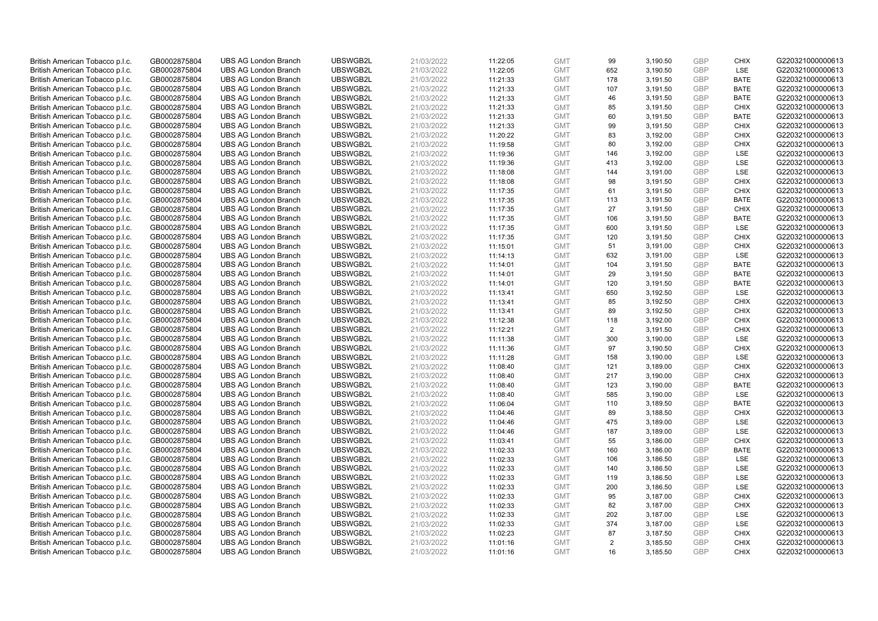| British American Tobacco p.l.c. | GB0002875804 | <b>UBS AG London Branch</b> | UBSWGB2L | 21/03/2022 | 11:22:05 | <b>GMT</b> | 99  | 3,190.50 | <b>GBP</b> | <b>CHIX</b> | G220321000000613 |
|---------------------------------|--------------|-----------------------------|----------|------------|----------|------------|-----|----------|------------|-------------|------------------|
| British American Tobacco p.l.c. | GB0002875804 | <b>UBS AG London Branch</b> | UBSWGB2L | 21/03/2022 | 11:22:05 | <b>GMT</b> | 652 | 3,190.50 | GBP        | <b>LSE</b>  | G220321000000613 |
| British American Tobacco p.l.c. | GB0002875804 | <b>UBS AG London Branch</b> | UBSWGB2L | 21/03/2022 | 11:21:33 | <b>GMT</b> | 178 | 3,191.50 | GBP        | <b>BATE</b> | G220321000000613 |
| British American Tobacco p.l.c. | GB0002875804 | <b>UBS AG London Branch</b> | UBSWGB2L | 21/03/2022 | 11:21:33 | <b>GMT</b> | 107 | 3,191.50 | GBP        | <b>BATE</b> | G220321000000613 |
| British American Tobacco p.l.c. | GB0002875804 | <b>UBS AG London Branch</b> | UBSWGB2L | 21/03/2022 | 11:21:33 | <b>GMT</b> | 46  | 3,191.50 | GBP        | <b>BATE</b> | G220321000000613 |
| British American Tobacco p.l.c. | GB0002875804 | <b>UBS AG London Branch</b> | UBSWGB2L | 21/03/2022 | 11:21:33 | <b>GMT</b> | 85  | 3,191.50 | <b>GBP</b> | <b>CHIX</b> | G220321000000613 |
| British American Tobacco p.l.c. | GB0002875804 | <b>UBS AG London Branch</b> | UBSWGB2L | 21/03/2022 | 11:21:33 | <b>GMT</b> | 60  | 3,191.50 | <b>GBP</b> | <b>BATE</b> | G220321000000613 |
| British American Tobacco p.l.c. | GB0002875804 | <b>UBS AG London Branch</b> | UBSWGB2L | 21/03/2022 | 11:21:33 | <b>GMT</b> | 99  | 3,191.50 | GBP        | <b>CHIX</b> | G220321000000613 |
| British American Tobacco p.l.c. | GB0002875804 | <b>UBS AG London Branch</b> | UBSWGB2L | 21/03/2022 | 11:20:22 | <b>GMT</b> | 83  | 3,192.00 | GBP        | <b>CHIX</b> | G220321000000613 |
| British American Tobacco p.l.c. | GB0002875804 | <b>UBS AG London Branch</b> | UBSWGB2L | 21/03/2022 | 11:19:58 | <b>GMT</b> | 80  | 3,192.00 | GBP        | <b>CHIX</b> | G220321000000613 |
| British American Tobacco p.l.c. | GB0002875804 | <b>UBS AG London Branch</b> | UBSWGB2L | 21/03/2022 | 11:19:36 | <b>GMT</b> | 146 | 3,192.00 | GBP        | <b>LSE</b>  | G220321000000613 |
| British American Tobacco p.l.c. | GB0002875804 | <b>UBS AG London Branch</b> | UBSWGB2L | 21/03/2022 | 11:19:36 | <b>GMT</b> | 413 | 3,192.00 | <b>GBP</b> | LSE         | G220321000000613 |
| British American Tobacco p.l.c. | GB0002875804 | <b>UBS AG London Branch</b> | UBSWGB2L | 21/03/2022 | 11:18:08 | <b>GMT</b> | 144 | 3,191.00 | <b>GBP</b> | LSE         | G220321000000613 |
| British American Tobacco p.l.c. | GB0002875804 | <b>UBS AG London Branch</b> | UBSWGB2L | 21/03/2022 | 11:18:08 | <b>GMT</b> | 98  | 3,191.50 | <b>GBP</b> | <b>CHIX</b> | G220321000000613 |
| British American Tobacco p.l.c. | GB0002875804 | <b>UBS AG London Branch</b> | UBSWGB2L | 21/03/2022 | 11:17:35 | <b>GMT</b> | 61  | 3,191.50 | GBP        | <b>CHIX</b> | G220321000000613 |
| British American Tobacco p.l.c. | GB0002875804 | <b>UBS AG London Branch</b> | UBSWGB2L | 21/03/2022 | 11:17:35 | <b>GMT</b> | 113 | 3,191.50 | <b>GBP</b> | <b>BATE</b> | G220321000000613 |
| British American Tobacco p.l.c. | GB0002875804 | <b>UBS AG London Branch</b> | UBSWGB2L | 21/03/2022 | 11:17:35 | <b>GMT</b> | 27  | 3,191.50 | GBP        | <b>CHIX</b> | G220321000000613 |
| British American Tobacco p.l.c. | GB0002875804 | <b>UBS AG London Branch</b> | UBSWGB2L | 21/03/2022 | 11:17:35 | <b>GMT</b> | 106 | 3,191.50 | <b>GBP</b> | <b>BATE</b> | G220321000000613 |
| British American Tobacco p.l.c. | GB0002875804 | <b>UBS AG London Branch</b> | UBSWGB2L | 21/03/2022 | 11:17:35 | <b>GMT</b> | 600 | 3,191.50 | GBP        | <b>LSE</b>  | G220321000000613 |
| British American Tobacco p.l.c. | GB0002875804 | <b>UBS AG London Branch</b> | UBSWGB2L | 21/03/2022 | 11:17:35 | <b>GMT</b> | 120 | 3,191.50 | <b>GBP</b> | <b>CHIX</b> | G220321000000613 |
| British American Tobacco p.l.c. | GB0002875804 | <b>UBS AG London Branch</b> | UBSWGB2L | 21/03/2022 | 11:15:01 | <b>GMT</b> | 51  | 3,191.00 | GBP        | <b>CHIX</b> | G220321000000613 |
| British American Tobacco p.l.c. | GB0002875804 | <b>UBS AG London Branch</b> | UBSWGB2L | 21/03/2022 | 11:14:13 | <b>GMT</b> | 632 | 3,191.00 | GBP        | LSE         | G220321000000613 |
| British American Tobacco p.l.c. | GB0002875804 | <b>UBS AG London Branch</b> | UBSWGB2L | 21/03/2022 | 11:14:01 | <b>GMT</b> | 104 | 3,191.50 | GBP        | <b>BATE</b> | G220321000000613 |
| British American Tobacco p.l.c. | GB0002875804 | <b>UBS AG London Branch</b> | UBSWGB2L | 21/03/2022 | 11:14:01 | <b>GMT</b> | 29  | 3,191.50 | GBP        | <b>BATE</b> | G220321000000613 |
| British American Tobacco p.l.c. | GB0002875804 | <b>UBS AG London Branch</b> | UBSWGB2L | 21/03/2022 | 11:14:01 | <b>GMT</b> | 120 | 3,191.50 | <b>GBP</b> | <b>BATE</b> | G220321000000613 |
| British American Tobacco p.l.c. | GB0002875804 | <b>UBS AG London Branch</b> | UBSWGB2L | 21/03/2022 | 11:13:41 | <b>GMT</b> | 650 | 3,192.50 | <b>GBP</b> | LSE         | G220321000000613 |
| British American Tobacco p.l.c. | GB0002875804 | <b>UBS AG London Branch</b> | UBSWGB2L | 21/03/2022 | 11:13:41 | <b>GMT</b> | 85  | 3,192.50 | <b>GBP</b> | <b>CHIX</b> | G220321000000613 |
| British American Tobacco p.l.c. | GB0002875804 | <b>UBS AG London Branch</b> | UBSWGB2L | 21/03/2022 | 11:13:41 | <b>GMT</b> | 89  | 3,192.50 | GBP        | <b>CHIX</b> | G220321000000613 |
| British American Tobacco p.l.c. | GB0002875804 | <b>UBS AG London Branch</b> | UBSWGB2L | 21/03/2022 | 11:12:38 | <b>GMT</b> | 118 | 3,192.00 | <b>GBP</b> | <b>CHIX</b> | G220321000000613 |
| British American Tobacco p.l.c. | GB0002875804 | <b>UBS AG London Branch</b> | UBSWGB2L | 21/03/2022 | 11:12:21 | <b>GMT</b> | 2   | 3,191.50 | GBP        | <b>CHIX</b> | G220321000000613 |
| British American Tobacco p.l.c. | GB0002875804 | <b>UBS AG London Branch</b> | UBSWGB2L | 21/03/2022 | 11:11:38 | <b>GMT</b> | 300 | 3,190.00 | <b>GBP</b> | LSE         | G220321000000613 |
| British American Tobacco p.l.c. | GB0002875804 | <b>UBS AG London Branch</b> | UBSWGB2L | 21/03/2022 | 11:11:36 | <b>GMT</b> | 97  | 3,190.50 | <b>GBP</b> | <b>CHIX</b> | G220321000000613 |
| British American Tobacco p.l.c. | GB0002875804 | <b>UBS AG London Branch</b> | UBSWGB2L | 21/03/2022 | 11:11:28 | <b>GMT</b> | 158 | 3,190.00 | <b>GBP</b> | LSE         | G220321000000613 |
| British American Tobacco p.l.c. | GB0002875804 | <b>UBS AG London Branch</b> | UBSWGB2L | 21/03/2022 | 11:08:40 | <b>GMT</b> | 121 | 3,189.00 | GBP        | <b>CHIX</b> | G220321000000613 |
| British American Tobacco p.l.c. | GB0002875804 | <b>UBS AG London Branch</b> | UBSWGB2L | 21/03/2022 | 11:08:40 | <b>GMT</b> | 217 | 3,190.00 | GBP        | <b>CHIX</b> | G220321000000613 |
| British American Tobacco p.l.c. | GB0002875804 | <b>UBS AG London Branch</b> | UBSWGB2L | 21/03/2022 | 11:08:40 | <b>GMT</b> | 123 | 3,190.00 | GBP        | <b>BATE</b> | G220321000000613 |
| British American Tobacco p.l.c. | GB0002875804 | <b>UBS AG London Branch</b> | UBSWGB2L | 21/03/2022 | 11:08:40 | <b>GMT</b> | 585 | 3,190.00 | GBP        | <b>LSE</b>  | G220321000000613 |
| British American Tobacco p.l.c. | GB0002875804 | <b>UBS AG London Branch</b> | UBSWGB2L | 21/03/2022 | 11:06:04 | <b>GMT</b> | 110 | 3,189.50 | <b>GBP</b> | <b>BATE</b> | G220321000000613 |
| British American Tobacco p.l.c. | GB0002875804 | <b>UBS AG London Branch</b> | UBSWGB2L | 21/03/2022 | 11:04:46 | <b>GMT</b> | 89  | 3,188.50 | <b>GBP</b> | <b>CHIX</b> | G220321000000613 |
| British American Tobacco p.l.c. | GB0002875804 | <b>UBS AG London Branch</b> | UBSWGB2L | 21/03/2022 | 11:04:46 | <b>GMT</b> | 475 | 3,189.00 | <b>GBP</b> | <b>LSE</b>  | G220321000000613 |
| British American Tobacco p.l.c. | GB0002875804 | <b>UBS AG London Branch</b> | UBSWGB2L | 21/03/2022 | 11:04:46 | <b>GMT</b> | 187 | 3,189.00 | GBP        | <b>LSE</b>  | G220321000000613 |
| British American Tobacco p.l.c. | GB0002875804 | <b>UBS AG London Branch</b> | UBSWGB2L | 21/03/2022 | 11:03:41 | <b>GMT</b> | 55  | 3,186.00 | <b>GBP</b> | <b>CHIX</b> | G220321000000613 |
| British American Tobacco p.l.c. | GB0002875804 | <b>UBS AG London Branch</b> | UBSWGB2L | 21/03/2022 | 11:02:33 | <b>GMT</b> | 160 | 3,186.00 | <b>GBP</b> | <b>BATE</b> | G220321000000613 |
| British American Tobacco p.l.c. | GB0002875804 | <b>UBS AG London Branch</b> | UBSWGB2L | 21/03/2022 | 11:02:33 | <b>GMT</b> | 106 | 3,186.50 | GBP        | LSE         | G220321000000613 |
| British American Tobacco p.l.c. | GB0002875804 | <b>UBS AG London Branch</b> | UBSWGB2L | 21/03/2022 | 11:02:33 | <b>GMT</b> | 140 | 3,186.50 | <b>GBP</b> | <b>LSE</b>  | G220321000000613 |
| British American Tobacco p.l.c. | GB0002875804 | <b>UBS AG London Branch</b> | UBSWGB2L | 21/03/2022 | 11:02:33 | <b>GMT</b> | 119 | 3,186.50 | <b>GBP</b> | LSE         | G220321000000613 |
| British American Tobacco p.l.c. | GB0002875804 | <b>UBS AG London Branch</b> | UBSWGB2L | 21/03/2022 | 11:02:33 | <b>GMT</b> | 200 | 3,186.50 | <b>GBP</b> | LSE         | G220321000000613 |
| British American Tobacco p.l.c. | GB0002875804 | <b>UBS AG London Branch</b> | UBSWGB2L | 21/03/2022 | 11:02:33 | <b>GMT</b> | 95  | 3,187.00 | GBP        | <b>CHIX</b> | G220321000000613 |
| British American Tobacco p.l.c. | GB0002875804 | <b>UBS AG London Branch</b> | UBSWGB2L | 21/03/2022 | 11:02:33 | <b>GMT</b> | 82  | 3,187.00 | <b>GBP</b> | <b>CHIX</b> | G220321000000613 |
| British American Tobacco p.l.c. | GB0002875804 | <b>UBS AG London Branch</b> | UBSWGB2L | 21/03/2022 | 11:02:33 | <b>GMT</b> | 202 | 3,187.00 | <b>GBP</b> | <b>LSE</b>  | G220321000000613 |
| British American Tobacco p.l.c. | GB0002875804 | <b>UBS AG London Branch</b> | UBSWGB2L | 21/03/2022 | 11:02:33 | <b>GMT</b> | 374 | 3,187.00 | <b>GBP</b> | LSE         | G220321000000613 |
| British American Tobacco p.l.c. | GB0002875804 | <b>UBS AG London Branch</b> | UBSWGB2L | 21/03/2022 | 11:02:23 | <b>GMT</b> | 87  | 3,187.50 | <b>GBP</b> | <b>CHIX</b> | G220321000000613 |
| British American Tobacco p.l.c. | GB0002875804 | <b>UBS AG London Branch</b> | UBSWGB2L | 21/03/2022 | 11:01:16 | <b>GMT</b> | 2   | 3,185.50 | GBP        | <b>CHIX</b> | G220321000000613 |
| British American Tobacco p.l.c. | GB0002875804 | <b>UBS AG London Branch</b> | UBSWGB2L | 21/03/2022 | 11:01:16 | <b>GMT</b> | 16  | 3,185.50 | GBP        | <b>CHIX</b> | G220321000000613 |
|                                 |              |                             |          |            |          |            |     |          |            |             |                  |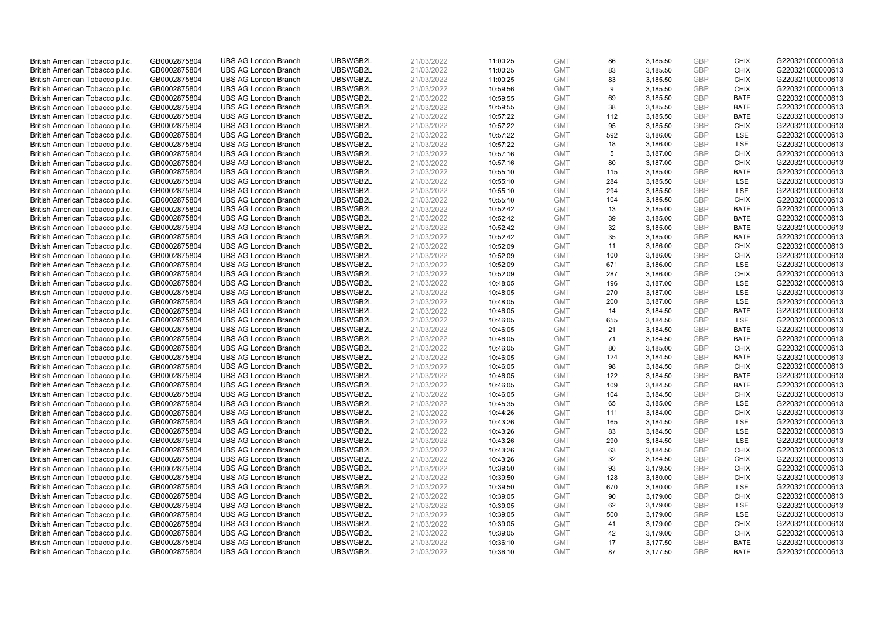| British American Tobacco p.l.c. | GB0002875804 | <b>UBS AG London Branch</b> | UBSWGB2L | 21/03/2022 | 11:00:25 | <b>GMT</b> | 86  | 3,185.50 | <b>GBP</b> | <b>CHIX</b> | G220321000000613 |
|---------------------------------|--------------|-----------------------------|----------|------------|----------|------------|-----|----------|------------|-------------|------------------|
| British American Tobacco p.l.c. | GB0002875804 | <b>UBS AG London Branch</b> | UBSWGB2L | 21/03/2022 | 11:00:25 | <b>GMT</b> | 83  | 3,185.50 | GBP        | <b>CHIX</b> | G220321000000613 |
| British American Tobacco p.l.c. | GB0002875804 | <b>UBS AG London Branch</b> | UBSWGB2L | 21/03/2022 | 11:00:25 | <b>GMT</b> | 83  | 3,185.50 | GBP        | <b>CHIX</b> | G220321000000613 |
| British American Tobacco p.l.c. | GB0002875804 | <b>UBS AG London Branch</b> | UBSWGB2L | 21/03/2022 | 10:59:56 | <b>GMT</b> | 9   | 3,185.50 | GBP        | <b>CHIX</b> | G220321000000613 |
| British American Tobacco p.l.c. | GB0002875804 | <b>UBS AG London Branch</b> | UBSWGB2L | 21/03/2022 | 10:59:55 | <b>GMT</b> | 69  | 3,185.50 | <b>GBP</b> | <b>BATE</b> | G220321000000613 |
| British American Tobacco p.l.c. | GB0002875804 | <b>UBS AG London Branch</b> | UBSWGB2L | 21/03/2022 | 10:59:55 | <b>GMT</b> | 38  | 3,185.50 | <b>GBP</b> | <b>BATE</b> | G220321000000613 |
| British American Tobacco p.l.c. | GB0002875804 | <b>UBS AG London Branch</b> | UBSWGB2L | 21/03/2022 | 10:57:22 | <b>GMT</b> | 112 | 3,185.50 | GBP        | <b>BATE</b> | G220321000000613 |
| British American Tobacco p.l.c. | GB0002875804 | <b>UBS AG London Branch</b> | UBSWGB2L | 21/03/2022 | 10:57:22 | <b>GMT</b> | 95  | 3,185.50 | GBP        | <b>CHIX</b> | G220321000000613 |
| British American Tobacco p.l.c. | GB0002875804 | <b>UBS AG London Branch</b> | UBSWGB2L | 21/03/2022 | 10:57:22 | <b>GMT</b> | 592 | 3,186.00 | GBP        | LSE         | G220321000000613 |
| British American Tobacco p.l.c. | GB0002875804 | <b>UBS AG London Branch</b> | UBSWGB2L | 21/03/2022 | 10:57:22 | <b>GMT</b> | 18  | 3,186.00 | GBP        | LSE         | G220321000000613 |
| British American Tobacco p.l.c. | GB0002875804 | <b>UBS AG London Branch</b> | UBSWGB2L | 21/03/2022 | 10:57:16 | <b>GMT</b> | 5   | 3,187.00 | GBP        | <b>CHIX</b> | G220321000000613 |
| British American Tobacco p.l.c. | GB0002875804 | <b>UBS AG London Branch</b> | UBSWGB2L | 21/03/2022 | 10:57:16 | <b>GMT</b> | 80  | 3,187.00 | <b>GBP</b> | <b>CHIX</b> | G220321000000613 |
| British American Tobacco p.l.c. | GB0002875804 | <b>UBS AG London Branch</b> | UBSWGB2L | 21/03/2022 | 10:55:10 | <b>GMT</b> | 115 | 3,185.00 | GBP        | <b>BATE</b> | G220321000000613 |
| British American Tobacco p.l.c. | GB0002875804 | <b>UBS AG London Branch</b> | UBSWGB2L | 21/03/2022 | 10:55:10 | <b>GMT</b> | 284 | 3,185.50 | <b>GBP</b> | LSE         | G220321000000613 |
| British American Tobacco p.l.c. | GB0002875804 | <b>UBS AG London Branch</b> | UBSWGB2L | 21/03/2022 | 10:55:10 | <b>GMT</b> | 294 | 3,185.50 | <b>GBP</b> | <b>LSE</b>  | G220321000000613 |
| British American Tobacco p.l.c. | GB0002875804 | <b>UBS AG London Branch</b> | UBSWGB2L | 21/03/2022 | 10:55:10 | <b>GMT</b> | 104 | 3,185.50 | <b>GBP</b> | <b>CHIX</b> | G220321000000613 |
| British American Tobacco p.l.c. | GB0002875804 | <b>UBS AG London Branch</b> | UBSWGB2L | 21/03/2022 | 10:52:42 | <b>GMT</b> | 13  | 3,185.00 | GBP        | <b>BATE</b> | G220321000000613 |
| British American Tobacco p.l.c. | GB0002875804 | <b>UBS AG London Branch</b> | UBSWGB2L | 21/03/2022 | 10:52:42 | <b>GMT</b> | 39  | 3,185.00 | GBP        | <b>BATE</b> | G220321000000613 |
| British American Tobacco p.l.c. | GB0002875804 | <b>UBS AG London Branch</b> | UBSWGB2L | 21/03/2022 | 10:52:42 | <b>GMT</b> | 32  | 3,185.00 | GBP        | <b>BATE</b> | G220321000000613 |
| British American Tobacco p.l.c. | GB0002875804 | <b>UBS AG London Branch</b> | UBSWGB2L | 21/03/2022 | 10:52:42 | <b>GMT</b> | 35  | 3,185.00 | <b>GBP</b> | <b>BATE</b> | G220321000000613 |
| British American Tobacco p.l.c. | GB0002875804 | <b>UBS AG London Branch</b> | UBSWGB2L | 21/03/2022 | 10:52:09 | <b>GMT</b> | 11  | 3,186.00 | GBP        | <b>CHIX</b> | G220321000000613 |
| British American Tobacco p.l.c. | GB0002875804 | <b>UBS AG London Branch</b> | UBSWGB2L | 21/03/2022 | 10:52:09 | <b>GMT</b> | 100 | 3,186.00 | GBP        | <b>CHIX</b> | G220321000000613 |
| British American Tobacco p.l.c. | GB0002875804 | <b>UBS AG London Branch</b> | UBSWGB2L | 21/03/2022 | 10:52:09 | <b>GMT</b> | 671 | 3,186.00 | GBP        | LSE         | G220321000000613 |
| British American Tobacco p.l.c. | GB0002875804 | <b>UBS AG London Branch</b> | UBSWGB2L | 21/03/2022 | 10:52:09 | <b>GMT</b> | 287 | 3,186.00 | GBP        | <b>CHIX</b> | G220321000000613 |
| British American Tobacco p.l.c. | GB0002875804 | <b>UBS AG London Branch</b> | UBSWGB2L | 21/03/2022 | 10:48:05 | <b>GMT</b> | 196 | 3,187.00 | <b>GBP</b> | LSE         | G220321000000613 |
| British American Tobacco p.l.c. | GB0002875804 | <b>UBS AG London Branch</b> | UBSWGB2L | 21/03/2022 | 10:48:05 | <b>GMT</b> | 270 | 3,187.00 | <b>GBP</b> | LSE         | G220321000000613 |
| British American Tobacco p.l.c. | GB0002875804 | <b>UBS AG London Branch</b> | UBSWGB2L | 21/03/2022 | 10:48:05 | <b>GMT</b> | 200 | 3,187.00 | <b>GBP</b> | <b>LSE</b>  | G220321000000613 |
| British American Tobacco p.l.c. | GB0002875804 | <b>UBS AG London Branch</b> | UBSWGB2L | 21/03/2022 | 10:46:05 | <b>GMT</b> | 14  | 3,184.50 | GBP        | <b>BATE</b> | G220321000000613 |
| British American Tobacco p.l.c. | GB0002875804 | <b>UBS AG London Branch</b> | UBSWGB2L | 21/03/2022 | 10:46:05 | <b>GMT</b> | 655 | 3,184.50 | <b>GBP</b> | LSE         | G220321000000613 |
| British American Tobacco p.l.c. | GB0002875804 | <b>UBS AG London Branch</b> | UBSWGB2L | 21/03/2022 | 10:46:05 | <b>GMT</b> | 21  | 3,184.50 | GBP        | <b>BATE</b> | G220321000000613 |
| British American Tobacco p.l.c. | GB0002875804 | <b>UBS AG London Branch</b> | UBSWGB2L | 21/03/2022 | 10:46:05 | <b>GMT</b> | 71  | 3,184.50 | GBP        | <b>BATE</b> | G220321000000613 |
| British American Tobacco p.l.c. | GB0002875804 | <b>UBS AG London Branch</b> | UBSWGB2L | 21/03/2022 | 10:46:05 | <b>GMT</b> | 80  | 3,185.00 | <b>GBP</b> | <b>CHIX</b> | G220321000000613 |
| British American Tobacco p.l.c. | GB0002875804 | <b>UBS AG London Branch</b> | UBSWGB2L | 21/03/2022 | 10:46:05 | <b>GMT</b> | 124 | 3,184.50 | GBP        | <b>BATE</b> | G220321000000613 |
| British American Tobacco p.l.c. | GB0002875804 | <b>UBS AG London Branch</b> | UBSWGB2L | 21/03/2022 | 10:46:05 | <b>GMT</b> | 98  | 3,184.50 | GBP        | <b>CHIX</b> | G220321000000613 |
| British American Tobacco p.l.c. | GB0002875804 | <b>UBS AG London Branch</b> | UBSWGB2L | 21/03/2022 | 10:46:05 | <b>GMT</b> | 122 | 3,184.50 | GBP        | <b>BATE</b> | G220321000000613 |
| British American Tobacco p.l.c. | GB0002875804 | <b>UBS AG London Branch</b> | UBSWGB2L | 21/03/2022 | 10:46:05 | <b>GMT</b> | 109 | 3,184.50 | GBP        | <b>BATE</b> | G220321000000613 |
| British American Tobacco p.l.c. | GB0002875804 | <b>UBS AG London Branch</b> | UBSWGB2L | 21/03/2022 | 10:46:05 | <b>GMT</b> | 104 | 3,184.50 | GBP        | <b>CHIX</b> | G220321000000613 |
| British American Tobacco p.l.c. | GB0002875804 | <b>UBS AG London Branch</b> | UBSWGB2L | 21/03/2022 | 10:45:35 | <b>GMT</b> | 65  | 3,185.00 | <b>GBP</b> | LSE         | G220321000000613 |
| British American Tobacco p.l.c. | GB0002875804 | <b>UBS AG London Branch</b> | UBSWGB2L | 21/03/2022 | 10:44:26 | <b>GMT</b> | 111 | 3,184.00 | <b>GBP</b> | <b>CHIX</b> | G220321000000613 |
| British American Tobacco p.l.c. | GB0002875804 | <b>UBS AG London Branch</b> | UBSWGB2L | 21/03/2022 | 10:43:26 | <b>GMT</b> | 165 | 3,184.50 | <b>GBP</b> | <b>LSE</b>  | G220321000000613 |
| British American Tobacco p.l.c. | GB0002875804 | <b>UBS AG London Branch</b> | UBSWGB2L | 21/03/2022 | 10:43:26 | <b>GMT</b> | 83  | 3,184.50 | <b>GBP</b> | LSE         | G220321000000613 |
| British American Tobacco p.l.c. | GB0002875804 | <b>UBS AG London Branch</b> | UBSWGB2L | 21/03/2022 | 10:43:26 | <b>GMT</b> | 290 | 3,184.50 | <b>GBP</b> | LSE         | G220321000000613 |
| British American Tobacco p.l.c. | GB0002875804 | <b>UBS AG London Branch</b> | UBSWGB2L | 21/03/2022 | 10:43:26 | <b>GMT</b> | 63  | 3,184.50 | <b>GBP</b> | <b>CHIX</b> | G220321000000613 |
| British American Tobacco p.l.c. | GB0002875804 | <b>UBS AG London Branch</b> | UBSWGB2L | 21/03/2022 | 10:43:26 | <b>GMT</b> | 32  | 3,184.50 | GBP        | <b>CHIX</b> | G220321000000613 |
| British American Tobacco p.l.c. | GB0002875804 | <b>UBS AG London Branch</b> | UBSWGB2L | 21/03/2022 | 10:39:50 | <b>GMT</b> | 93  | 3,179.50 | <b>GBP</b> | <b>CHIX</b> | G220321000000613 |
| British American Tobacco p.l.c. | GB0002875804 | <b>UBS AG London Branch</b> | UBSWGB2L | 21/03/2022 | 10:39:50 | <b>GMT</b> | 128 | 3,180.00 | <b>GBP</b> | <b>CHIX</b> | G220321000000613 |
| British American Tobacco p.l.c. | GB0002875804 | <b>UBS AG London Branch</b> | UBSWGB2L | 21/03/2022 | 10:39:50 | <b>GMT</b> | 670 | 3,180.00 | <b>GBP</b> | LSE         | G220321000000613 |
| British American Tobacco p.l.c. | GB0002875804 | <b>UBS AG London Branch</b> | UBSWGB2L | 21/03/2022 | 10:39:05 | <b>GMT</b> | 90  | 3,179.00 | GBP        | <b>CHIX</b> | G220321000000613 |
| British American Tobacco p.l.c. | GB0002875804 | <b>UBS AG London Branch</b> | UBSWGB2L | 21/03/2022 | 10:39:05 | <b>GMT</b> | 62  | 3,179.00 | <b>GBP</b> | LSE         | G220321000000613 |
| British American Tobacco p.l.c. | GB0002875804 | <b>UBS AG London Branch</b> | UBSWGB2L | 21/03/2022 | 10:39:05 | <b>GMT</b> | 500 | 3,179.00 | <b>GBP</b> | <b>LSE</b>  | G220321000000613 |
| British American Tobacco p.l.c. | GB0002875804 | <b>UBS AG London Branch</b> | UBSWGB2L | 21/03/2022 | 10:39:05 | <b>GMT</b> | 41  | 3,179.00 | GBP        | <b>CHIX</b> | G220321000000613 |
| British American Tobacco p.l.c. | GB0002875804 | <b>UBS AG London Branch</b> | UBSWGB2L | 21/03/2022 | 10:39:05 | <b>GMT</b> | 42  | 3,179.00 | <b>GBP</b> | <b>CHIX</b> | G220321000000613 |
| British American Tobacco p.l.c. | GB0002875804 | <b>UBS AG London Branch</b> | UBSWGB2L | 21/03/2022 | 10:36:10 | <b>GMT</b> | 17  | 3,177.50 | GBP        | <b>BATE</b> | G220321000000613 |
| British American Tobacco p.l.c. | GB0002875804 | <b>UBS AG London Branch</b> | UBSWGB2L | 21/03/2022 | 10:36:10 | <b>GMT</b> | 87  | 3.177.50 | GBP        | <b>BATE</b> | G220321000000613 |
|                                 |              |                             |          |            |          |            |     |          |            |             |                  |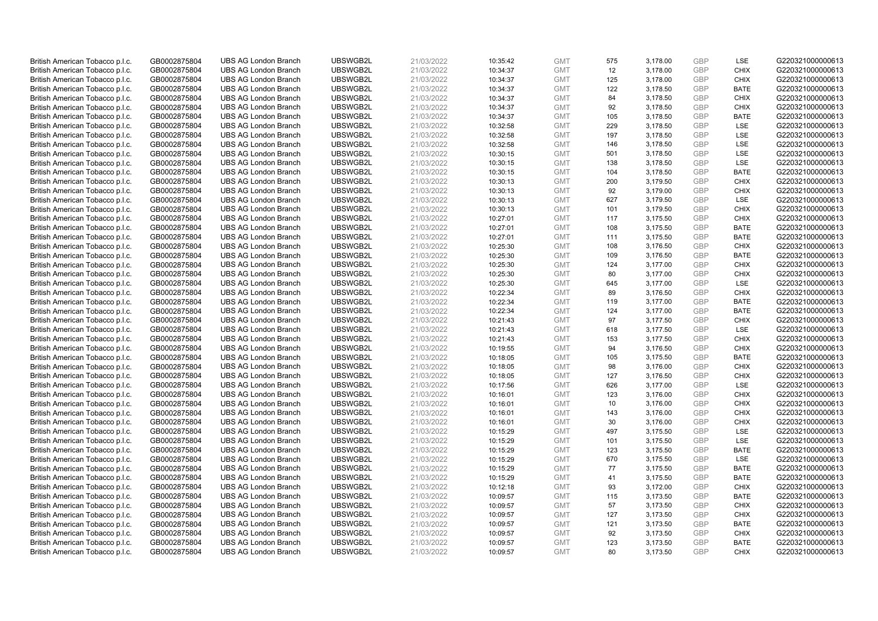| British American Tobacco p.l.c. | GB0002875804 | <b>UBS AG London Branch</b> | UBSWGB2L | 21/03/2022 | 10:35:42 | <b>GMT</b> | 575 | 3,178.00 | <b>GBP</b> | LSE         | G220321000000613 |
|---------------------------------|--------------|-----------------------------|----------|------------|----------|------------|-----|----------|------------|-------------|------------------|
| British American Tobacco p.l.c. | GB0002875804 | <b>UBS AG London Branch</b> | UBSWGB2L | 21/03/2022 | 10:34:37 | <b>GMT</b> | 12  | 3,178.00 | GBP        | <b>CHIX</b> | G220321000000613 |
| British American Tobacco p.l.c. | GB0002875804 | <b>UBS AG London Branch</b> | UBSWGB2L | 21/03/2022 | 10:34:37 | <b>GMT</b> | 125 | 3,178.00 | GBP        | <b>CHIX</b> | G220321000000613 |
| British American Tobacco p.l.c. | GB0002875804 | <b>UBS AG London Branch</b> | UBSWGB2L | 21/03/2022 | 10:34:37 | <b>GMT</b> | 122 | 3,178.50 | GBP        | <b>BATE</b> | G220321000000613 |
| British American Tobacco p.l.c. | GB0002875804 | <b>UBS AG London Branch</b> | UBSWGB2L | 21/03/2022 | 10:34:37 | <b>GMT</b> | 84  | 3,178.50 | <b>GBP</b> | <b>CHIX</b> | G220321000000613 |
| British American Tobacco p.l.c. | GB0002875804 | <b>UBS AG London Branch</b> | UBSWGB2L | 21/03/2022 | 10:34:37 | <b>GMT</b> | 92  | 3,178.50 | <b>GBP</b> | <b>CHIX</b> | G220321000000613 |
| British American Tobacco p.l.c. | GB0002875804 | <b>UBS AG London Branch</b> | UBSWGB2L | 21/03/2022 | 10:34:37 | <b>GMT</b> | 105 | 3,178.50 | <b>GBP</b> | <b>BATE</b> | G220321000000613 |
| British American Tobacco p.l.c. | GB0002875804 | <b>UBS AG London Branch</b> | UBSWGB2L | 21/03/2022 | 10:32:58 | <b>GMT</b> | 229 | 3,178.50 | GBP        | <b>LSE</b>  | G220321000000613 |
| British American Tobacco p.l.c. | GB0002875804 | <b>UBS AG London Branch</b> | UBSWGB2L | 21/03/2022 | 10:32:58 | <b>GMT</b> | 197 | 3,178.50 | GBP        | LSE         | G220321000000613 |
| British American Tobacco p.l.c. | GB0002875804 | <b>UBS AG London Branch</b> | UBSWGB2L | 21/03/2022 | 10:32:58 | <b>GMT</b> | 146 | 3,178.50 | GBP        | <b>LSE</b>  | G220321000000613 |
| British American Tobacco p.l.c. | GB0002875804 | <b>UBS AG London Branch</b> | UBSWGB2L | 21/03/2022 | 10:30:15 | <b>GMT</b> | 501 | 3,178.50 | GBP        | LSE         | G220321000000613 |
| British American Tobacco p.l.c. | GB0002875804 | <b>UBS AG London Branch</b> | UBSWGB2L | 21/03/2022 | 10:30:15 | <b>GMT</b> | 138 | 3,178.50 | <b>GBP</b> | LSE         | G220321000000613 |
| British American Tobacco p.l.c. | GB0002875804 | <b>UBS AG London Branch</b> | UBSWGB2L | 21/03/2022 | 10:30:15 | <b>GMT</b> | 104 | 3,178.50 | GBP        | <b>BATE</b> | G220321000000613 |
| British American Tobacco p.l.c. | GB0002875804 | <b>UBS AG London Branch</b> | UBSWGB2L | 21/03/2022 | 10:30:13 | <b>GMT</b> | 200 | 3,179.50 | <b>GBP</b> | <b>CHIX</b> | G220321000000613 |
| British American Tobacco p.l.c. | GB0002875804 | <b>UBS AG London Branch</b> | UBSWGB2L | 21/03/2022 | 10:30:13 | <b>GMT</b> | 92  | 3,179.00 | GBP        | <b>CHIX</b> | G220321000000613 |
| British American Tobacco p.l.c. | GB0002875804 | <b>UBS AG London Branch</b> | UBSWGB2L | 21/03/2022 | 10:30:13 | <b>GMT</b> | 627 | 3,179.50 | <b>GBP</b> | <b>LSE</b>  | G220321000000613 |
| British American Tobacco p.l.c. | GB0002875804 | <b>UBS AG London Branch</b> | UBSWGB2L | 21/03/2022 | 10:30:13 | <b>GMT</b> | 101 | 3,179.50 | GBP        | <b>CHIX</b> | G220321000000613 |
| British American Tobacco p.l.c. | GB0002875804 | <b>UBS AG London Branch</b> | UBSWGB2L | 21/03/2022 | 10:27:01 | <b>GMT</b> | 117 | 3,175.50 | GBP        | <b>CHIX</b> | G220321000000613 |
| British American Tobacco p.l.c. | GB0002875804 | <b>UBS AG London Branch</b> | UBSWGB2L | 21/03/2022 | 10:27:01 | <b>GMT</b> | 108 | 3,175.50 | GBP        | <b>BATE</b> | G220321000000613 |
| British American Tobacco p.l.c. | GB0002875804 | <b>UBS AG London Branch</b> | UBSWGB2L | 21/03/2022 | 10:27:01 | <b>GMT</b> | 111 | 3,175.50 | <b>GBP</b> | <b>BATE</b> | G220321000000613 |
| British American Tobacco p.l.c. | GB0002875804 | <b>UBS AG London Branch</b> | UBSWGB2L | 21/03/2022 | 10:25:30 | <b>GMT</b> | 108 | 3,176.50 | GBP        | <b>CHIX</b> | G220321000000613 |
| British American Tobacco p.l.c. | GB0002875804 | <b>UBS AG London Branch</b> | UBSWGB2L | 21/03/2022 | 10:25:30 | <b>GMT</b> | 109 | 3,176.50 | GBP        | <b>BATE</b> | G220321000000613 |
| British American Tobacco p.l.c. | GB0002875804 | <b>UBS AG London Branch</b> | UBSWGB2L | 21/03/2022 | 10:25:30 | <b>GMT</b> | 124 | 3,177.00 | GBP        | <b>CHIX</b> | G220321000000613 |
| British American Tobacco p.l.c. | GB0002875804 | <b>UBS AG London Branch</b> | UBSWGB2L | 21/03/2022 | 10:25:30 | <b>GMT</b> | 80  | 3,177.00 | GBP        | <b>CHIX</b> | G220321000000613 |
| British American Tobacco p.l.c. | GB0002875804 | <b>UBS AG London Branch</b> | UBSWGB2L | 21/03/2022 | 10:25:30 | <b>GMT</b> | 645 | 3,177.00 | <b>GBP</b> | LSE         | G220321000000613 |
| British American Tobacco p.l.c. | GB0002875804 | <b>UBS AG London Branch</b> | UBSWGB2L | 21/03/2022 | 10:22:34 | <b>GMT</b> | 89  | 3,176.50 | <b>GBP</b> | <b>CHIX</b> | G220321000000613 |
| British American Tobacco p.l.c. | GB0002875804 | <b>UBS AG London Branch</b> | UBSWGB2L | 21/03/2022 | 10:22:34 | <b>GMT</b> | 119 | 3,177.00 | <b>GBP</b> | <b>BATE</b> | G220321000000613 |
| British American Tobacco p.l.c. | GB0002875804 | <b>UBS AG London Branch</b> | UBSWGB2L | 21/03/2022 | 10:22:34 | <b>GMT</b> | 124 | 3,177.00 | GBP        | <b>BATE</b> | G220321000000613 |
| British American Tobacco p.l.c. | GB0002875804 | <b>UBS AG London Branch</b> | UBSWGB2L | 21/03/2022 | 10:21:43 | <b>GMT</b> | 97  | 3,177.50 | <b>GBP</b> | <b>CHIX</b> | G220321000000613 |
| British American Tobacco p.l.c. | GB0002875804 | <b>UBS AG London Branch</b> | UBSWGB2L | 21/03/2022 | 10:21:43 | <b>GMT</b> | 618 | 3,177.50 | GBP        | LSE         | G220321000000613 |
| British American Tobacco p.l.c. | GB0002875804 | <b>UBS AG London Branch</b> | UBSWGB2L | 21/03/2022 | 10:21:43 | <b>GMT</b> | 153 | 3,177.50 | GBP        | <b>CHIX</b> | G220321000000613 |
| British American Tobacco p.l.c. | GB0002875804 | <b>UBS AG London Branch</b> | UBSWGB2L | 21/03/2022 | 10:19:55 | <b>GMT</b> | 94  | 3,176.50 | <b>GBP</b> | <b>CHIX</b> | G220321000000613 |
| British American Tobacco p.l.c. | GB0002875804 | <b>UBS AG London Branch</b> | UBSWGB2L | 21/03/2022 | 10:18:05 | <b>GMT</b> | 105 | 3,175.50 | <b>GBP</b> | <b>BATE</b> | G220321000000613 |
| British American Tobacco p.l.c. | GB0002875804 | <b>UBS AG London Branch</b> | UBSWGB2L | 21/03/2022 | 10:18:05 | <b>GMT</b> | 98  | 3,176.00 | GBP        | <b>CHIX</b> | G220321000000613 |
| British American Tobacco p.l.c. | GB0002875804 | <b>UBS AG London Branch</b> | UBSWGB2L | 21/03/2022 | 10:18:05 | <b>GMT</b> | 127 | 3,176.50 | GBP        | <b>CHIX</b> | G220321000000613 |
| British American Tobacco p.l.c. | GB0002875804 | <b>UBS AG London Branch</b> | UBSWGB2L | 21/03/2022 | 10:17:56 | <b>GMT</b> | 626 | 3,177.00 | GBP        | LSE         | G220321000000613 |
| British American Tobacco p.l.c. | GB0002875804 | <b>UBS AG London Branch</b> | UBSWGB2L | 21/03/2022 | 10:16:01 | <b>GMT</b> | 123 | 3,176.00 | GBP        | <b>CHIX</b> | G220321000000613 |
| British American Tobacco p.l.c. | GB0002875804 | <b>UBS AG London Branch</b> | UBSWGB2L | 21/03/2022 | 10:16:01 | <b>GMT</b> | 10  | 3,176.00 | <b>GBP</b> | <b>CHIX</b> | G220321000000613 |
| British American Tobacco p.l.c. | GB0002875804 | <b>UBS AG London Branch</b> | UBSWGB2L | 21/03/2022 | 10:16:01 | <b>GMT</b> | 143 | 3,176.00 | <b>GBP</b> | <b>CHIX</b> | G220321000000613 |
| British American Tobacco p.l.c. | GB0002875804 | <b>UBS AG London Branch</b> | UBSWGB2L | 21/03/2022 | 10:16:01 | <b>GMT</b> | 30  | 3,176.00 | <b>GBP</b> | <b>CHIX</b> | G220321000000613 |
| British American Tobacco p.l.c. | GB0002875804 | <b>UBS AG London Branch</b> | UBSWGB2L | 21/03/2022 | 10:15:29 | <b>GMT</b> | 497 | 3,175.50 | <b>GBP</b> | <b>LSE</b>  | G220321000000613 |
| British American Tobacco p.l.c. | GB0002875804 | <b>UBS AG London Branch</b> | UBSWGB2L | 21/03/2022 | 10:15:29 | <b>GMT</b> | 101 | 3,175.50 | <b>GBP</b> | LSE         | G220321000000613 |
| British American Tobacco p.l.c. | GB0002875804 | <b>UBS AG London Branch</b> | UBSWGB2L | 21/03/2022 | 10:15:29 | <b>GMT</b> | 123 | 3,175.50 | <b>GBP</b> | <b>BATE</b> | G220321000000613 |
| British American Tobacco p.l.c. | GB0002875804 | <b>UBS AG London Branch</b> | UBSWGB2L | 21/03/2022 | 10:15:29 | <b>GMT</b> | 670 | 3,175.50 | GBP        | LSE         | G220321000000613 |
| British American Tobacco p.l.c. | GB0002875804 | <b>UBS AG London Branch</b> | UBSWGB2L | 21/03/2022 | 10:15:29 | <b>GMT</b> | 77  | 3,175.50 | <b>GBP</b> | <b>BATE</b> | G220321000000613 |
| British American Tobacco p.l.c. | GB0002875804 | <b>UBS AG London Branch</b> | UBSWGB2L | 21/03/2022 | 10:15:29 | <b>GMT</b> | 41  | 3,175.50 | <b>GBP</b> | <b>BATE</b> | G220321000000613 |
| British American Tobacco p.l.c. | GB0002875804 | <b>UBS AG London Branch</b> | UBSWGB2L | 21/03/2022 | 10:12:18 | <b>GMT</b> | 93  | 3,172.00 | <b>GBP</b> | <b>CHIX</b> | G220321000000613 |
| British American Tobacco p.l.c. | GB0002875804 | <b>UBS AG London Branch</b> | UBSWGB2L | 21/03/2022 | 10:09:57 | <b>GMT</b> | 115 | 3,173.50 | <b>GBP</b> | <b>BATE</b> | G220321000000613 |
| British American Tobacco p.l.c. | GB0002875804 | <b>UBS AG London Branch</b> | UBSWGB2L | 21/03/2022 | 10:09:57 | <b>GMT</b> | 57  | 3,173.50 | <b>GBP</b> | <b>CHIX</b> | G220321000000613 |
| British American Tobacco p.l.c. | GB0002875804 | <b>UBS AG London Branch</b> | UBSWGB2L | 21/03/2022 | 10:09:57 | <b>GMT</b> | 127 | 3,173.50 | <b>GBP</b> | <b>CHIX</b> | G220321000000613 |
| British American Tobacco p.l.c. | GB0002875804 | <b>UBS AG London Branch</b> | UBSWGB2L | 21/03/2022 | 10:09:57 | <b>GMT</b> | 121 | 3,173.50 | GBP        | <b>BATE</b> | G220321000000613 |
| British American Tobacco p.l.c. | GB0002875804 | <b>UBS AG London Branch</b> | UBSWGB2L | 21/03/2022 | 10:09:57 | <b>GMT</b> | 92  | 3,173.50 | <b>GBP</b> | <b>CHIX</b> | G220321000000613 |
| British American Tobacco p.l.c. | GB0002875804 | <b>UBS AG London Branch</b> | UBSWGB2L | 21/03/2022 | 10:09:57 | <b>GMT</b> | 123 | 3,173.50 | GBP        | <b>BATE</b> | G220321000000613 |
| British American Tobacco p.l.c. | GB0002875804 | <b>UBS AG London Branch</b> | UBSWGB2L | 21/03/2022 | 10:09:57 | <b>GMT</b> | 80  | 3.173.50 | GBP        | <b>CHIX</b> | G220321000000613 |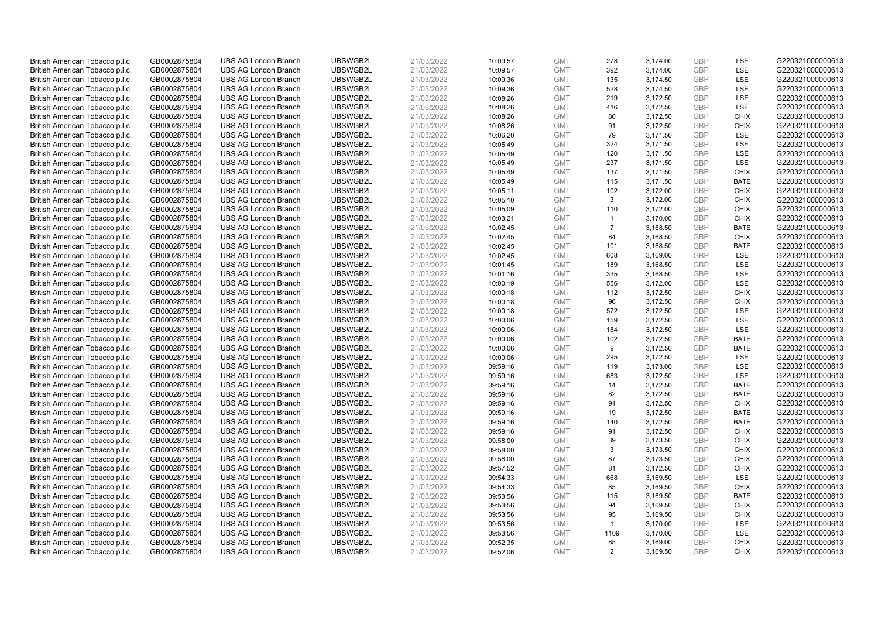| British American Tobacco p.l.c. | GB0002875804 | <b>UBS AG London Branch</b> | UBSWGB2L | 21/03/2022 | 10:09:57 | <b>GMT</b> | 278            | 3,174.00 | <b>GBP</b> | LSE         | G220321000000613 |
|---------------------------------|--------------|-----------------------------|----------|------------|----------|------------|----------------|----------|------------|-------------|------------------|
| British American Tobacco p.l.c. | GB0002875804 | <b>UBS AG London Branch</b> | UBSWGB2L | 21/03/2022 | 10:09:57 | <b>GMT</b> | 392            | 3,174.00 | GBP        | LSE         | G220321000000613 |
| British American Tobacco p.l.c. | GB0002875804 | <b>UBS AG London Branch</b> | UBSWGB2L | 21/03/2022 | 10:09:36 | <b>GMT</b> | 135            | 3,174.50 | <b>GBP</b> | LSE         | G220321000000613 |
| British American Tobacco p.l.c. | GB0002875804 | <b>UBS AG London Branch</b> | UBSWGB2L | 21/03/2022 | 10:09:36 | <b>GMT</b> | 528            | 3,174.50 | GBP        | LSE         | G220321000000613 |
| British American Tobacco p.l.c. | GB0002875804 | <b>UBS AG London Branch</b> | UBSWGB2L | 21/03/2022 | 10:08:26 | <b>GMT</b> | 219            | 3,172.50 | <b>GBP</b> | LSE         | G220321000000613 |
| British American Tobacco p.l.c. | GB0002875804 | <b>UBS AG London Branch</b> | UBSWGB2L | 21/03/2022 | 10:08:26 | <b>GMT</b> | 416            | 3,172.50 | <b>GBP</b> | <b>LSE</b>  | G220321000000613 |
| British American Tobacco p.l.c. | GB0002875804 | <b>UBS AG London Branch</b> | UBSWGB2L | 21/03/2022 | 10:08:26 | <b>GMT</b> | 80             | 3,172.50 | <b>GBP</b> | <b>CHIX</b> | G220321000000613 |
| British American Tobacco p.l.c. | GB0002875804 | <b>UBS AG London Branch</b> | UBSWGB2L | 21/03/2022 | 10:08:26 | <b>GMT</b> | 91             | 3,172.50 | GBP        | <b>CHIX</b> | G220321000000613 |
| British American Tobacco p.l.c. | GB0002875804 | <b>UBS AG London Branch</b> | UBSWGB2L | 21/03/2022 | 10:06:20 | <b>GMT</b> | 79             | 3,171.50 | <b>GBP</b> | LSE         | G220321000000613 |
| British American Tobacco p.l.c. | GB0002875804 | <b>UBS AG London Branch</b> | UBSWGB2L | 21/03/2022 | 10:05:49 | <b>GMT</b> | 324            | 3,171.50 | <b>GBP</b> | LSE         | G220321000000613 |
| British American Tobacco p.l.c. | GB0002875804 | <b>UBS AG London Branch</b> | UBSWGB2L | 21/03/2022 | 10:05:49 | <b>GMT</b> | 120            | 3,171.50 | <b>GBP</b> | LSE         | G220321000000613 |
| British American Tobacco p.l.c. | GB0002875804 | <b>UBS AG London Branch</b> | UBSWGB2L | 21/03/2022 | 10:05:49 | <b>GMT</b> | 237            | 3,171.50 | <b>GBP</b> | LSE         | G220321000000613 |
| British American Tobacco p.l.c. | GB0002875804 | <b>UBS AG London Branch</b> | UBSWGB2L | 21/03/2022 | 10:05:49 | <b>GMT</b> | 137            | 3,171.50 | <b>GBP</b> | <b>CHIX</b> | G220321000000613 |
| British American Tobacco p.l.c. | GB0002875804 | <b>UBS AG London Branch</b> | UBSWGB2L | 21/03/2022 | 10:05:49 | <b>GMT</b> | 115            | 3,171.50 | <b>GBP</b> | <b>BATE</b> | G220321000000613 |
| British American Tobacco p.l.c. | GB0002875804 | <b>UBS AG London Branch</b> | UBSWGB2L | 21/03/2022 | 10:05:11 | <b>GMT</b> | 102            | 3,172.00 | <b>GBP</b> | <b>CHIX</b> | G220321000000613 |
| British American Tobacco p.l.c. | GB0002875804 | <b>UBS AG London Branch</b> | UBSWGB2L | 21/03/2022 | 10:05:10 | <b>GMT</b> | 3              | 3,172.00 | <b>GBP</b> | <b>CHIX</b> | G220321000000613 |
| British American Tobacco p.l.c. | GB0002875804 | <b>UBS AG London Branch</b> | UBSWGB2L | 21/03/2022 | 10:05:09 | <b>GMT</b> | 110            | 3,172.00 | <b>GBP</b> | <b>CHIX</b> | G220321000000613 |
| British American Tobacco p.l.c. | GB0002875804 | <b>UBS AG London Branch</b> | UBSWGB2L | 21/03/2022 | 10:03:21 | <b>GMT</b> | $\mathbf{1}$   | 3,170.00 | GBP        | <b>CHIX</b> | G220321000000613 |
| British American Tobacco p.l.c. | GB0002875804 | <b>UBS AG London Branch</b> | UBSWGB2L | 21/03/2022 | 10:02:45 | <b>GMT</b> | $\overline{7}$ | 3,168.50 | GBP        | <b>BATE</b> | G220321000000613 |
| British American Tobacco p.l.c. | GB0002875804 | <b>UBS AG London Branch</b> | UBSWGB2L | 21/03/2022 | 10:02:45 | <b>GMT</b> | 84             | 3,168.50 | <b>GBP</b> | <b>CHIX</b> | G220321000000613 |
| British American Tobacco p.l.c. | GB0002875804 | <b>UBS AG London Branch</b> | UBSWGB2L | 21/03/2022 | 10:02:45 | <b>GMT</b> | 101            | 3,168.50 | GBP        | <b>BATE</b> | G220321000000613 |
| British American Tobacco p.l.c. | GB0002875804 | <b>UBS AG London Branch</b> | UBSWGB2L | 21/03/2022 | 10:02:45 | <b>GMT</b> | 608            | 3,169.00 | <b>GBP</b> | LSE         | G220321000000613 |
| British American Tobacco p.l.c. | GB0002875804 | <b>UBS AG London Branch</b> | UBSWGB2L | 21/03/2022 | 10:01:45 | <b>GMT</b> | 189            | 3,168.50 | GBP        | LSE         | G220321000000613 |
| British American Tobacco p.l.c. | GB0002875804 | <b>UBS AG London Branch</b> | UBSWGB2L | 21/03/2022 | 10:01:16 | <b>GMT</b> | 335            | 3,168.50 | <b>GBP</b> | LSE         | G220321000000613 |
| British American Tobacco p.l.c. | GB0002875804 | <b>UBS AG London Branch</b> | UBSWGB2L | 21/03/2022 | 10:00:19 | <b>GMT</b> | 556            | 3,172.00 | <b>GBP</b> | LSE         | G220321000000613 |
| British American Tobacco p.l.c. | GB0002875804 | <b>UBS AG London Branch</b> | UBSWGB2L | 21/03/2022 | 10:00:18 | <b>GMT</b> | 112            | 3,172.50 | <b>GBP</b> | <b>CHIX</b> | G220321000000613 |
| British American Tobacco p.l.c. | GB0002875804 | <b>UBS AG London Branch</b> | UBSWGB2L | 21/03/2022 | 10:00:18 | <b>GMT</b> | 96             | 3,172.50 | <b>GBP</b> | <b>CHIX</b> | G220321000000613 |
| British American Tobacco p.l.c. | GB0002875804 | <b>UBS AG London Branch</b> | UBSWGB2L | 21/03/2022 | 10:00:18 | <b>GMT</b> | 572            | 3,172.50 | GBP        | <b>LSE</b>  | G220321000000613 |
| British American Tobacco p.l.c. | GB0002875804 | <b>UBS AG London Branch</b> | UBSWGB2L | 21/03/2022 | 10:00:06 | <b>GMT</b> | 159            | 3,172.50 | <b>GBP</b> | LSE         | G220321000000613 |
| British American Tobacco p.l.c. | GB0002875804 | <b>UBS AG London Branch</b> | UBSWGB2L | 21/03/2022 | 10:00:06 | <b>GMT</b> | 184            | 3,172.50 | GBP        | LSE         | G220321000000613 |
| British American Tobacco p.l.c. | GB0002875804 | <b>UBS AG London Branch</b> | UBSWGB2L | 21/03/2022 | 10:00:06 | <b>GMT</b> | 102            | 3,172.50 | GBP        | <b>BATE</b> | G220321000000613 |
| British American Tobacco p.l.c. | GB0002875804 | <b>UBS AG London Branch</b> | UBSWGB2L | 21/03/2022 | 10:00:06 | <b>GMT</b> | 9              | 3,172.50 | <b>GBP</b> | <b>BATE</b> | G220321000000613 |
| British American Tobacco p.l.c. | GB0002875804 | <b>UBS AG London Branch</b> | UBSWGB2L | 21/03/2022 | 10:00:06 | <b>GMT</b> | 295            | 3,172.50 | <b>GBP</b> | LSE         | G220321000000613 |
| British American Tobacco p.l.c. | GB0002875804 | <b>UBS AG London Branch</b> | UBSWGB2L | 21/03/2022 | 09:59:16 | <b>GMT</b> | 119            | 3,173.00 | GBP        | LSE         | G220321000000613 |
| British American Tobacco p.l.c. | GB0002875804 | <b>UBS AG London Branch</b> | UBSWGB2L | 21/03/2022 | 09:59:16 | <b>GMT</b> | 683            | 3,172.50 | GBP        | LSE         | G220321000000613 |
| British American Tobacco p.l.c. | GB0002875804 | <b>UBS AG London Branch</b> | UBSWGB2L | 21/03/2022 | 09:59:16 | <b>GMT</b> | 14             | 3,172.50 | GBP        | <b>BATE</b> | G220321000000613 |
| British American Tobacco p.l.c. | GB0002875804 | <b>UBS AG London Branch</b> | UBSWGB2L | 21/03/2022 | 09:59:16 | <b>GMT</b> | 82             | 3,172.50 | GBP        | <b>BATE</b> | G220321000000613 |
| British American Tobacco p.l.c. | GB0002875804 | <b>UBS AG London Branch</b> | UBSWGB2L | 21/03/2022 | 09:59:16 | <b>GMT</b> | 91             | 3,172.50 | <b>GBP</b> | <b>CHIX</b> | G220321000000613 |
| British American Tobacco p.l.c. | GB0002875804 | <b>UBS AG London Branch</b> | UBSWGB2L | 21/03/2022 | 09:59:16 | <b>GMT</b> | 19             | 3,172.50 | GBP        | <b>BATE</b> | G220321000000613 |
| British American Tobacco p.l.c. | GB0002875804 | <b>UBS AG London Branch</b> | UBSWGB2L | 21/03/2022 | 09:59:16 | <b>GMT</b> | 140            | 3,172.50 | <b>GBP</b> | <b>BATE</b> | G220321000000613 |
| British American Tobacco p.l.c. | GB0002875804 | <b>UBS AG London Branch</b> | UBSWGB2L | 21/03/2022 | 09:59:16 | <b>GMT</b> | 91             | 3,172.50 | GBP        | <b>CHIX</b> | G220321000000613 |
| British American Tobacco p.l.c. | GB0002875804 | <b>UBS AG London Branch</b> | UBSWGB2L | 21/03/2022 | 09:58:00 | <b>GMT</b> | 39             | 3,173.50 | <b>GBP</b> | <b>CHIX</b> | G220321000000613 |
| British American Tobacco p.l.c. | GB0002875804 | <b>UBS AG London Branch</b> | UBSWGB2L | 21/03/2022 | 09:58:00 | <b>GMT</b> | 3              | 3,173.50 | <b>GBP</b> | <b>CHIX</b> | G220321000000613 |
| British American Tobacco p.l.c. | GB0002875804 | <b>UBS AG London Branch</b> | UBSWGB2L | 21/03/2022 | 09:58:00 | <b>GMT</b> | 87             | 3,173.50 | GBP        | <b>CHIX</b> | G220321000000613 |
| British American Tobacco p.l.c. | GB0002875804 | <b>UBS AG London Branch</b> | UBSWGB2L | 21/03/2022 | 09:57:52 | <b>GMT</b> | 81             | 3,172.50 | GBP        | <b>CHIX</b> | G220321000000613 |
| British American Tobacco p.l.c. | GB0002875804 | <b>UBS AG London Branch</b> | UBSWGB2L | 21/03/2022 | 09:54:33 | <b>GMT</b> | 668            | 3,169.50 | <b>GBP</b> | LSE         | G220321000000613 |
| British American Tobacco p.l.c. | GB0002875804 | <b>UBS AG London Branch</b> | UBSWGB2L | 21/03/2022 | 09:54:33 | <b>GMT</b> | 85             | 3,169.50 | <b>GBP</b> | <b>CHIX</b> | G220321000000613 |
| British American Tobacco p.l.c. | GB0002875804 | <b>UBS AG London Branch</b> | UBSWGB2L | 21/03/2022 | 09:53:56 | <b>GMT</b> | 115            | 3,169.50 | GBP        | <b>BATE</b> | G220321000000613 |
| British American Tobacco p.l.c. | GB0002875804 | <b>UBS AG London Branch</b> | UBSWGB2L | 21/03/2022 | 09:53:56 | <b>GMT</b> | 94             | 3,169.50 | <b>GBP</b> | <b>CHIX</b> | G220321000000613 |
| British American Tobacco p.l.c. | GB0002875804 | <b>UBS AG London Branch</b> | UBSWGB2L | 21/03/2022 | 09:53:56 | <b>GMT</b> | 95             | 3,169.50 | GBP        | <b>CHIX</b> | G220321000000613 |
| British American Tobacco p.l.c. | GB0002875804 | <b>UBS AG London Branch</b> | UBSWGB2L | 21/03/2022 | 09:53:56 | <b>GMT</b> | $\mathbf{1}$   | 3,170.00 | <b>GBP</b> | LSE         | G220321000000613 |
| British American Tobacco p.l.c. | GB0002875804 | <b>UBS AG London Branch</b> | UBSWGB2L | 21/03/2022 | 09:53:56 | <b>GMT</b> | 1109           | 3,170.00 | <b>GBP</b> | LSE         | G220321000000613 |
| British American Tobacco p.l.c. | GB0002875804 | <b>UBS AG London Branch</b> | UBSWGB2L | 21/03/2022 | 09:52:35 | <b>GMT</b> | 85             | 3,169.00 | GBP        | <b>CHIX</b> | G220321000000613 |
| British American Tobacco p.l.c. | GB0002875804 | <b>UBS AG London Branch</b> | UBSWGB2L | 21/03/2022 | 09:52:06 | <b>GMT</b> | $\overline{2}$ | 3.169.50 | GBP        | <b>CHIX</b> | G220321000000613 |
|                                 |              |                             |          |            |          |            |                |          |            |             |                  |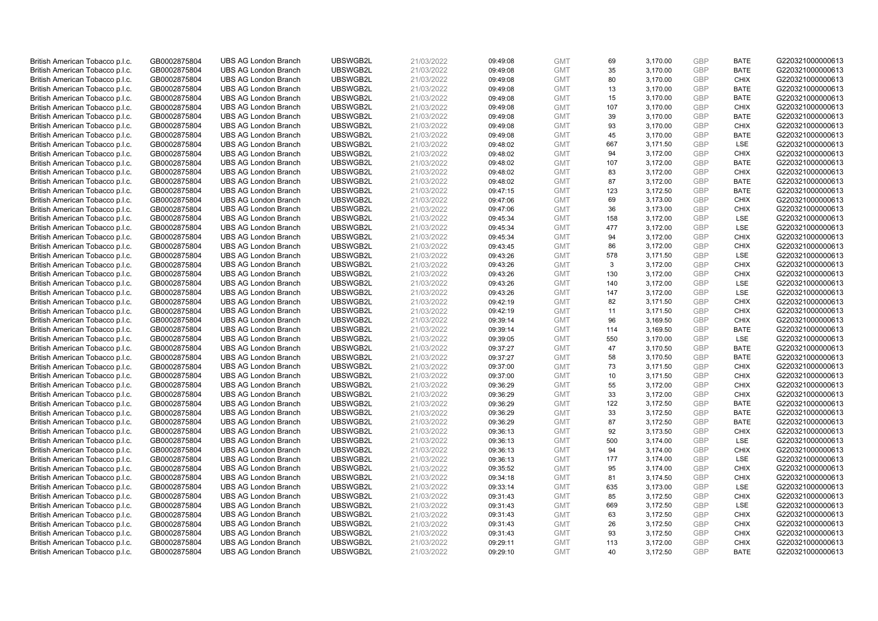| British American Tobacco p.l.c. | GB0002875804 | <b>UBS AG London Branch</b> | UBSWGB2L | 21/03/2022 | 09:49:08 | <b>GMT</b> | 69  | 3,170.00 | <b>GBP</b> | <b>BATE</b> | G220321000000613 |
|---------------------------------|--------------|-----------------------------|----------|------------|----------|------------|-----|----------|------------|-------------|------------------|
| British American Tobacco p.l.c. | GB0002875804 | <b>UBS AG London Branch</b> | UBSWGB2L | 21/03/2022 | 09:49:08 | <b>GMT</b> | 35  | 3,170.00 | GBP        | <b>BATE</b> | G220321000000613 |
| British American Tobacco p.l.c. | GB0002875804 | <b>UBS AG London Branch</b> | UBSWGB2L | 21/03/2022 | 09:49:08 | <b>GMT</b> | 80  | 3,170.00 | GBP        | <b>CHIX</b> | G220321000000613 |
| British American Tobacco p.l.c. | GB0002875804 | <b>UBS AG London Branch</b> | UBSWGB2L | 21/03/2022 | 09:49:08 | <b>GMT</b> | 13  | 3,170.00 | GBP        | <b>BATE</b> | G220321000000613 |
| British American Tobacco p.l.c. | GB0002875804 | <b>UBS AG London Branch</b> | UBSWGB2L | 21/03/2022 | 09:49:08 | <b>GMT</b> | 15  | 3,170.00 | <b>GBP</b> | <b>BATE</b> | G220321000000613 |
| British American Tobacco p.l.c. | GB0002875804 | <b>UBS AG London Branch</b> | UBSWGB2L | 21/03/2022 | 09:49:08 | <b>GMT</b> | 107 | 3,170.00 | GBP        | <b>CHIX</b> | G220321000000613 |
| British American Tobacco p.l.c. | GB0002875804 | <b>UBS AG London Branch</b> | UBSWGB2L | 21/03/2022 | 09:49:08 | <b>GMT</b> | 39  | 3,170.00 | <b>GBP</b> | <b>BATE</b> | G220321000000613 |
| British American Tobacco p.l.c. | GB0002875804 | <b>UBS AG London Branch</b> | UBSWGB2L | 21/03/2022 | 09:49:08 | <b>GMT</b> | 93  | 3,170.00 | GBP        | <b>CHIX</b> | G220321000000613 |
| British American Tobacco p.l.c. | GB0002875804 | <b>UBS AG London Branch</b> | UBSWGB2L | 21/03/2022 | 09:49:08 | <b>GMT</b> | 45  | 3,170.00 | GBP        | <b>BATE</b> | G220321000000613 |
| British American Tobacco p.l.c. | GB0002875804 | <b>UBS AG London Branch</b> | UBSWGB2L | 21/03/2022 | 09:48:02 | <b>GMT</b> | 667 | 3,171.50 | GBP        | LSE         | G220321000000613 |
| British American Tobacco p.l.c. | GB0002875804 | <b>UBS AG London Branch</b> | UBSWGB2L | 21/03/2022 | 09:48:02 | <b>GMT</b> | 94  | 3,172.00 | GBP        | <b>CHIX</b> | G220321000000613 |
| British American Tobacco p.l.c. | GB0002875804 | <b>UBS AG London Branch</b> | UBSWGB2L | 21/03/2022 | 09:48:02 | <b>GMT</b> | 107 | 3,172.00 | <b>GBP</b> | <b>BATE</b> | G220321000000613 |
| British American Tobacco p.l.c. | GB0002875804 | <b>UBS AG London Branch</b> | UBSWGB2L | 21/03/2022 | 09:48:02 | <b>GMT</b> | 83  | 3,172.00 | GBP        | <b>CHIX</b> | G220321000000613 |
| British American Tobacco p.l.c. | GB0002875804 | <b>UBS AG London Branch</b> | UBSWGB2L | 21/03/2022 | 09:48:02 | <b>GMT</b> | 87  | 3,172.00 | <b>GBP</b> | <b>BATE</b> | G220321000000613 |
| British American Tobacco p.l.c. | GB0002875804 | <b>UBS AG London Branch</b> | UBSWGB2L | 21/03/2022 | 09:47:15 | <b>GMT</b> | 123 | 3,172.50 | <b>GBP</b> | <b>BATE</b> | G220321000000613 |
| British American Tobacco p.l.c. | GB0002875804 | <b>UBS AG London Branch</b> | UBSWGB2L | 21/03/2022 | 09:47:06 | <b>GMT</b> | 69  | 3,173.00 | <b>GBP</b> | <b>CHIX</b> | G220321000000613 |
| British American Tobacco p.l.c. | GB0002875804 | <b>UBS AG London Branch</b> | UBSWGB2L | 21/03/2022 | 09:47:06 | <b>GMT</b> | 36  | 3,173.00 | GBP        | <b>CHIX</b> | G220321000000613 |
| British American Tobacco p.l.c. | GB0002875804 | <b>UBS AG London Branch</b> | UBSWGB2L | 21/03/2022 | 09:45:34 | <b>GMT</b> | 158 | 3,172.00 | <b>GBP</b> | <b>LSE</b>  | G220321000000613 |
| British American Tobacco p.l.c. | GB0002875804 | <b>UBS AG London Branch</b> | UBSWGB2L | 21/03/2022 | 09:45:34 | <b>GMT</b> | 477 | 3,172.00 | GBP        | <b>LSE</b>  | G220321000000613 |
| British American Tobacco p.l.c. | GB0002875804 | <b>UBS AG London Branch</b> | UBSWGB2L | 21/03/2022 | 09:45:34 | <b>GMT</b> | 94  | 3,172.00 | <b>GBP</b> | <b>CHIX</b> | G220321000000613 |
| British American Tobacco p.l.c. | GB0002875804 | <b>UBS AG London Branch</b> | UBSWGB2L | 21/03/2022 | 09:43:45 | <b>GMT</b> | 86  | 3,172.00 | GBP        | <b>CHIX</b> | G220321000000613 |
| British American Tobacco p.l.c. | GB0002875804 | <b>UBS AG London Branch</b> | UBSWGB2L | 21/03/2022 | 09:43:26 | <b>GMT</b> | 578 | 3,171.50 | <b>GBP</b> | LSE         | G220321000000613 |
| British American Tobacco p.l.c. | GB0002875804 | <b>UBS AG London Branch</b> | UBSWGB2L | 21/03/2022 | 09:43:26 | <b>GMT</b> | 3   | 3,172.00 | GBP        | <b>CHIX</b> | G220321000000613 |
| British American Tobacco p.l.c. | GB0002875804 | <b>UBS AG London Branch</b> | UBSWGB2L | 21/03/2022 | 09:43:26 | <b>GMT</b> | 130 | 3,172.00 | <b>GBP</b> | <b>CHIX</b> | G220321000000613 |
| British American Tobacco p.l.c. | GB0002875804 | <b>UBS AG London Branch</b> | UBSWGB2L | 21/03/2022 | 09:43:26 | <b>GMT</b> | 140 | 3,172.00 | <b>GBP</b> | LSE         | G220321000000613 |
| British American Tobacco p.l.c. | GB0002875804 | <b>UBS AG London Branch</b> | UBSWGB2L | 21/03/2022 | 09:43:26 | <b>GMT</b> | 147 | 3,172.00 | <b>GBP</b> | LSE         | G220321000000613 |
| British American Tobacco p.l.c. | GB0002875804 | <b>UBS AG London Branch</b> | UBSWGB2L | 21/03/2022 | 09:42:19 | <b>GMT</b> | 82  | 3,171.50 | <b>GBP</b> | <b>CHIX</b> | G220321000000613 |
| British American Tobacco p.l.c. | GB0002875804 | <b>UBS AG London Branch</b> | UBSWGB2L | 21/03/2022 | 09:42:19 | <b>GMT</b> | 11  | 3,171.50 | <b>GBP</b> | <b>CHIX</b> | G220321000000613 |
| British American Tobacco p.l.c. | GB0002875804 | <b>UBS AG London Branch</b> | UBSWGB2L | 21/03/2022 | 09:39:14 | <b>GMT</b> | 96  | 3,169.50 | <b>GBP</b> | <b>CHIX</b> | G220321000000613 |
| British American Tobacco p.l.c. | GB0002875804 | <b>UBS AG London Branch</b> | UBSWGB2L | 21/03/2022 | 09:39:14 | <b>GMT</b> | 114 | 3,169.50 | <b>GBP</b> | <b>BATE</b> | G220321000000613 |
| British American Tobacco p.l.c. | GB0002875804 | <b>UBS AG London Branch</b> | UBSWGB2L | 21/03/2022 | 09:39:05 | <b>GMT</b> | 550 | 3,170.00 | GBP        | LSE         | G220321000000613 |
| British American Tobacco p.l.c. | GB0002875804 | <b>UBS AG London Branch</b> | UBSWGB2L | 21/03/2022 | 09:37:27 | <b>GMT</b> | 47  | 3,170.50 | <b>GBP</b> | <b>BATE</b> | G220321000000613 |
| British American Tobacco p.l.c. | GB0002875804 | <b>UBS AG London Branch</b> | UBSWGB2L | 21/03/2022 | 09:37:27 | <b>GMT</b> | 58  | 3,170.50 | <b>GBP</b> | <b>BATE</b> | G220321000000613 |
| British American Tobacco p.l.c. | GB0002875804 | <b>UBS AG London Branch</b> | UBSWGB2L | 21/03/2022 | 09:37:00 | <b>GMT</b> | 73  | 3,171.50 | GBP        | <b>CHIX</b> | G220321000000613 |
| British American Tobacco p.l.c. | GB0002875804 | <b>UBS AG London Branch</b> | UBSWGB2L | 21/03/2022 | 09:37:00 | <b>GMT</b> | 10  | 3,171.50 | <b>GBP</b> | <b>CHIX</b> | G220321000000613 |
| British American Tobacco p.l.c. | GB0002875804 | <b>UBS AG London Branch</b> | UBSWGB2L | 21/03/2022 | 09:36:29 | <b>GMT</b> | 55  | 3,172.00 | GBP        | <b>CHIX</b> | G220321000000613 |
| British American Tobacco p.l.c. | GB0002875804 | <b>UBS AG London Branch</b> | UBSWGB2L | 21/03/2022 | 09:36:29 | <b>GMT</b> | 33  | 3,172.00 | <b>GBP</b> | <b>CHIX</b> | G220321000000613 |
| British American Tobacco p.l.c. | GB0002875804 | <b>UBS AG London Branch</b> | UBSWGB2L | 21/03/2022 | 09:36:29 | <b>GMT</b> | 122 | 3,172.50 | <b>GBP</b> | <b>BATE</b> | G220321000000613 |
| British American Tobacco p.l.c. | GB0002875804 | <b>UBS AG London Branch</b> | UBSWGB2L | 21/03/2022 | 09:36:29 | <b>GMT</b> | 33  | 3,172.50 | <b>GBP</b> | <b>BATE</b> | G220321000000613 |
| British American Tobacco p.l.c. | GB0002875804 | <b>UBS AG London Branch</b> | UBSWGB2L | 21/03/2022 | 09:36:29 | <b>GMT</b> | 87  | 3,172.50 | <b>GBP</b> | <b>BATE</b> | G220321000000613 |
| British American Tobacco p.l.c. | GB0002875804 | <b>UBS AG London Branch</b> | UBSWGB2L | 21/03/2022 | 09:36:13 | <b>GMT</b> | 92  | 3,173.50 | <b>GBP</b> | <b>CHIX</b> | G220321000000613 |
| British American Tobacco p.l.c. | GB0002875804 | <b>UBS AG London Branch</b> | UBSWGB2L | 21/03/2022 | 09:36:13 | <b>GMT</b> | 500 | 3,174.00 | <b>GBP</b> | <b>LSE</b>  | G220321000000613 |
| British American Tobacco p.l.c. | GB0002875804 | <b>UBS AG London Branch</b> | UBSWGB2L | 21/03/2022 | 09:36:13 | <b>GMT</b> | 94  | 3,174.00 | <b>GBP</b> | <b>CHIX</b> | G220321000000613 |
| British American Tobacco p.l.c. | GB0002875804 | <b>UBS AG London Branch</b> | UBSWGB2L | 21/03/2022 | 09:36:13 | <b>GMT</b> | 177 | 3,174.00 | GBP        | LSE         | G220321000000613 |
| British American Tobacco p.l.c. | GB0002875804 | <b>UBS AG London Branch</b> | UBSWGB2L | 21/03/2022 | 09:35:52 | <b>GMT</b> | 95  | 3,174.00 | <b>GBP</b> | <b>CHIX</b> | G220321000000613 |
| British American Tobacco p.l.c. | GB0002875804 | <b>UBS AG London Branch</b> | UBSWGB2L | 21/03/2022 | 09:34:18 | <b>GMT</b> | 81  | 3,174.50 | <b>GBP</b> | <b>CHIX</b> | G220321000000613 |
| British American Tobacco p.l.c. | GB0002875804 | <b>UBS AG London Branch</b> | UBSWGB2L | 21/03/2022 | 09:33:14 | <b>GMT</b> | 635 | 3,173.00 | <b>GBP</b> | LSE         | G220321000000613 |
| British American Tobacco p.l.c. | GB0002875804 | <b>UBS AG London Branch</b> | UBSWGB2L | 21/03/2022 | 09:31:43 | <b>GMT</b> | 85  | 3,172.50 | <b>GBP</b> | <b>CHIX</b> | G220321000000613 |
| British American Tobacco p.l.c. | GB0002875804 | <b>UBS AG London Branch</b> | UBSWGB2L | 21/03/2022 | 09:31:43 | <b>GMT</b> | 669 | 3,172.50 | <b>GBP</b> | LSE         | G220321000000613 |
| British American Tobacco p.l.c. | GB0002875804 | <b>UBS AG London Branch</b> | UBSWGB2L | 21/03/2022 | 09:31:43 | <b>GMT</b> | 63  | 3,172.50 | <b>GBP</b> | <b>CHIX</b> | G220321000000613 |
| British American Tobacco p.l.c. | GB0002875804 | <b>UBS AG London Branch</b> | UBSWGB2L | 21/03/2022 | 09:31:43 | <b>GMT</b> | 26  | 3,172.50 | GBP        | <b>CHIX</b> | G220321000000613 |
| British American Tobacco p.l.c. | GB0002875804 | <b>UBS AG London Branch</b> | UBSWGB2L | 21/03/2022 | 09:31:43 | <b>GMT</b> | 93  | 3,172.50 | <b>GBP</b> | <b>CHIX</b> | G220321000000613 |
| British American Tobacco p.l.c. | GB0002875804 | <b>UBS AG London Branch</b> | UBSWGB2L | 21/03/2022 | 09:29:11 | <b>GMT</b> | 113 | 3,172.00 | GBP        | <b>CHIX</b> | G220321000000613 |
| British American Tobacco p.l.c. | GB0002875804 | <b>UBS AG London Branch</b> | UBSWGB2L | 21/03/2022 | 09:29:10 | <b>GMT</b> | 40  | 3.172.50 | GBP        | <b>BATE</b> | G220321000000613 |
|                                 |              |                             |          |            |          |            |     |          |            |             |                  |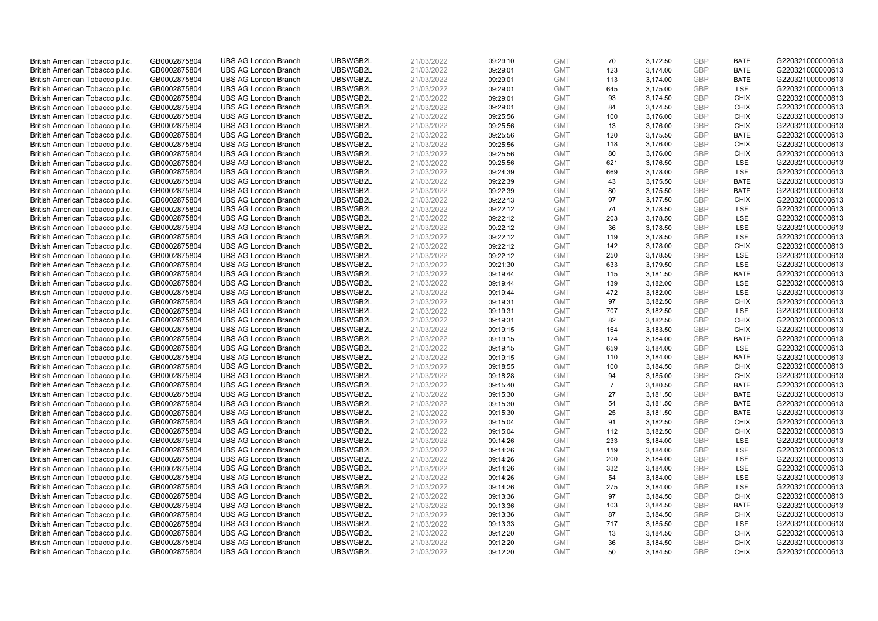| British American Tobacco p.l.c. | GB0002875804 | <b>UBS AG London Branch</b> | UBSWGB2L             | 21/03/2022               | 09:29:10             | <b>GMT</b> | 70             | 3,172.50             | <b>GBP</b> | <b>BATE</b> | G220321000000613                     |
|---------------------------------|--------------|-----------------------------|----------------------|--------------------------|----------------------|------------|----------------|----------------------|------------|-------------|--------------------------------------|
| British American Tobacco p.l.c. | GB0002875804 | <b>UBS AG London Branch</b> | UBSWGB2L             | 21/03/2022               | 09:29:01             | <b>GMT</b> | 123            | 3,174.00             | <b>GBP</b> | <b>BATE</b> | G220321000000613                     |
| British American Tobacco p.l.c. | GB0002875804 | <b>UBS AG London Branch</b> | UBSWGB2L             | 21/03/2022               | 09:29:01             | <b>GMT</b> | 113            | 3,174.00             | <b>GBP</b> | <b>BATE</b> | G220321000000613                     |
| British American Tobacco p.l.c. | GB0002875804 | <b>UBS AG London Branch</b> | UBSWGB2L             | 21/03/2022               | 09:29:01             | <b>GMT</b> | 645            | 3,175.00             | GBP        | <b>LSE</b>  | G220321000000613                     |
| British American Tobacco p.l.c. | GB0002875804 | <b>UBS AG London Branch</b> | UBSWGB2L             | 21/03/2022               | 09:29:01             | <b>GMT</b> | 93             | 3,174.50             | <b>GBP</b> | <b>CHIX</b> | G220321000000613                     |
| British American Tobacco p.l.c. | GB0002875804 | <b>UBS AG London Branch</b> | UBSWGB2L             | 21/03/2022               | 09:29:01             | <b>GMT</b> | 84             | 3,174.50             | GBP        | <b>CHIX</b> | G220321000000613                     |
| British American Tobacco p.l.c. | GB0002875804 | <b>UBS AG London Branch</b> | UBSWGB2L             | 21/03/2022               | 09:25:56             | <b>GMT</b> | 100            | 3,176.00             | <b>GBP</b> | <b>CHIX</b> | G220321000000613                     |
| British American Tobacco p.l.c. | GB0002875804 | <b>UBS AG London Branch</b> | UBSWGB2L             | 21/03/2022               | 09:25:56             | <b>GMT</b> | 13             | 3,176.00             | GBP        | <b>CHIX</b> | G220321000000613                     |
| British American Tobacco p.l.c. | GB0002875804 | <b>UBS AG London Branch</b> | UBSWGB2L             | 21/03/2022               | 09:25:56             | <b>GMT</b> | 120            | 3,175.50             | GBP        | <b>BATE</b> | G220321000000613                     |
| British American Tobacco p.l.c. | GB0002875804 | <b>UBS AG London Branch</b> | UBSWGB2L             | 21/03/2022               | 09:25:56             | <b>GMT</b> | 118            | 3,176.00             | GBP        | <b>CHIX</b> | G220321000000613                     |
| British American Tobacco p.l.c. | GB0002875804 | <b>UBS AG London Branch</b> | UBSWGB2L             | 21/03/2022               | 09:25:56             | <b>GMT</b> | 80             | 3,176.00             | <b>GBP</b> | <b>CHIX</b> | G220321000000613                     |
| British American Tobacco p.l.c. | GB0002875804 | <b>UBS AG London Branch</b> | UBSWGB2L             | 21/03/2022               | 09:25:56             | <b>GMT</b> | 621            | 3,176.50             | <b>GBP</b> | <b>LSE</b>  | G220321000000613                     |
| British American Tobacco p.l.c. | GB0002875804 | <b>UBS AG London Branch</b> | UBSWGB2L             | 21/03/2022               | 09:24:39             | <b>GMT</b> | 669            | 3,178.00             | <b>GBP</b> | LSE         | G220321000000613                     |
| British American Tobacco p.l.c. | GB0002875804 | <b>UBS AG London Branch</b> | UBSWGB2L             | 21/03/2022               | 09:22:39             | <b>GMT</b> | 43             | 3,175.50             | <b>GBP</b> | <b>BATE</b> | G220321000000613                     |
| British American Tobacco p.l.c. | GB0002875804 | <b>UBS AG London Branch</b> | UBSWGB2L             | 21/03/2022               | 09:22:39             | <b>GMT</b> | 80             | 3,175.50             | <b>GBP</b> | <b>BATE</b> | G220321000000613                     |
| British American Tobacco p.l.c. | GB0002875804 | <b>UBS AG London Branch</b> | UBSWGB2L             | 21/03/2022               | 09:22:13             | <b>GMT</b> | 97             | 3,177.50             | <b>GBP</b> | <b>CHIX</b> | G220321000000613                     |
| British American Tobacco p.l.c. | GB0002875804 | <b>UBS AG London Branch</b> | UBSWGB2L             | 21/03/2022               | 09:22:12             | <b>GMT</b> | 74             | 3,178.50             | <b>GBP</b> | LSE         | G220321000000613                     |
| British American Tobacco p.l.c. | GB0002875804 | <b>UBS AG London Branch</b> | UBSWGB2L             | 21/03/2022               | 09:22:12             | <b>GMT</b> | 203            | 3,178.50             | <b>GBP</b> | LSE         | G220321000000613                     |
| British American Tobacco p.l.c. | GB0002875804 | <b>UBS AG London Branch</b> | UBSWGB2L             | 21/03/2022               | 09:22:12             | <b>GMT</b> | 36             | 3,178.50             | <b>GBP</b> | LSE         | G220321000000613                     |
| British American Tobacco p.l.c. | GB0002875804 | <b>UBS AG London Branch</b> | UBSWGB2L             | 21/03/2022               | 09:22:12             | <b>GMT</b> | 119            | 3,178.50             | <b>GBP</b> | LSE         | G220321000000613                     |
| British American Tobacco p.l.c. | GB0002875804 | <b>UBS AG London Branch</b> | UBSWGB2L             | 21/03/2022               | 09:22:12             | <b>GMT</b> | 142            | 3,178.00             | <b>GBP</b> | <b>CHIX</b> | G220321000000613                     |
| British American Tobacco p.l.c. | GB0002875804 | <b>UBS AG London Branch</b> | UBSWGB2L             | 21/03/2022               | 09:22:12             | <b>GMT</b> | 250            | 3,178.50             | GBP        | LSE         | G220321000000613                     |
| British American Tobacco p.l.c. | GB0002875804 | <b>UBS AG London Branch</b> | UBSWGB2L             | 21/03/2022               | 09:21:30             | <b>GMT</b> | 633            | 3,179.50             | <b>GBP</b> | <b>LSE</b>  | G220321000000613                     |
| British American Tobacco p.l.c. | GB0002875804 | <b>UBS AG London Branch</b> | UBSWGB2L             | 21/03/2022               | 09:19:44             | <b>GMT</b> | 115            | 3,181.50             | GBP        | <b>BATE</b> | G220321000000613                     |
| British American Tobacco p.l.c. | GB0002875804 | <b>UBS AG London Branch</b> | UBSWGB2L             | 21/03/2022               | 09:19:44             | <b>GMT</b> | 139            | 3,182.00             | <b>GBP</b> | LSE         | G220321000000613                     |
| British American Tobacco p.l.c. | GB0002875804 | <b>UBS AG London Branch</b> | UBSWGB2L             | 21/03/2022               | 09:19:44             | <b>GMT</b> | 472            | 3,182.00             | GBP        | LSE         | G220321000000613                     |
| British American Tobacco p.l.c. | GB0002875804 | <b>UBS AG London Branch</b> | UBSWGB2L             | 21/03/2022               | 09:19:31             | <b>GMT</b> | 97             | 3,182.50             | <b>GBP</b> | <b>CHIX</b> | G220321000000613                     |
| British American Tobacco p.l.c. | GB0002875804 | <b>UBS AG London Branch</b> | UBSWGB2L             | 21/03/2022               | 09:19:31             | <b>GMT</b> | 707            | 3,182.50             | GBP        | LSE         | G220321000000613                     |
| British American Tobacco p.l.c. | GB0002875804 | <b>UBS AG London Branch</b> | UBSWGB2L             | 21/03/2022               | 09:19:31             | <b>GMT</b> | 82             | 3,182.50             | <b>GBP</b> | <b>CHIX</b> | G220321000000613                     |
| British American Tobacco p.l.c. | GB0002875804 | <b>UBS AG London Branch</b> | UBSWGB2L             | 21/03/2022               | 09:19:15             | <b>GMT</b> | 164            | 3,183.50             | <b>GBP</b> | <b>CHIX</b> | G220321000000613                     |
|                                 |              | <b>UBS AG London Branch</b> | UBSWGB2L             | 21/03/2022               |                      | <b>GMT</b> | 124            |                      | GBP        | <b>BATE</b> |                                      |
| British American Tobacco p.l.c. | GB0002875804 | <b>UBS AG London Branch</b> | UBSWGB2L             |                          | 09:19:15<br>09:19:15 | <b>GMT</b> | 659            | 3,184.00<br>3,184.00 | <b>GBP</b> | <b>LSE</b>  | G220321000000613<br>G220321000000613 |
| British American Tobacco p.l.c. | GB0002875804 |                             | UBSWGB2L             | 21/03/2022<br>21/03/2022 |                      | <b>GMT</b> |                |                      | <b>GBP</b> | <b>BATE</b> |                                      |
| British American Tobacco p.l.c. | GB0002875804 | <b>UBS AG London Branch</b> |                      |                          | 09:19:15             | <b>GMT</b> | 110<br>100     | 3,184.00             | <b>GBP</b> | <b>CHIX</b> | G220321000000613                     |
| British American Tobacco p.l.c. | GB0002875804 | <b>UBS AG London Branch</b> | UBSWGB2L<br>UBSWGB2L | 21/03/2022               | 09:18:55             |            |                | 3,184.50             |            |             | G220321000000613                     |
| British American Tobacco p.l.c. | GB0002875804 | <b>UBS AG London Branch</b> |                      | 21/03/2022               | 09:18:28             | <b>GMT</b> | 94             | 3,185.00             | <b>GBP</b> | <b>CHIX</b> | G220321000000613                     |
| British American Tobacco p.l.c. | GB0002875804 | <b>UBS AG London Branch</b> | UBSWGB2L             | 21/03/2022               | 09:15:40             | <b>GMT</b> | $\overline{7}$ | 3,180.50             | <b>GBP</b> | <b>BATE</b> | G220321000000613                     |
| British American Tobacco p.l.c. | GB0002875804 | <b>UBS AG London Branch</b> | UBSWGB2L             | 21/03/2022               | 09:15:30             | <b>GMT</b> | 27             | 3,181.50             | <b>GBP</b> | <b>BATE</b> | G220321000000613                     |
| British American Tobacco p.l.c. | GB0002875804 | <b>UBS AG London Branch</b> | UBSWGB2L             | 21/03/2022               | 09:15:30             | <b>GMT</b> | 54             | 3,181.50             | GBP        | <b>BATE</b> | G220321000000613                     |
| British American Tobacco p.l.c. | GB0002875804 | <b>UBS AG London Branch</b> | UBSWGB2L             | 21/03/2022               | 09:15:30             | <b>GMT</b> | 25             | 3,181.50             | <b>GBP</b> | <b>BATE</b> | G220321000000613                     |
| British American Tobacco p.l.c. | GB0002875804 | <b>UBS AG London Branch</b> | UBSWGB2L             | 21/03/2022               | 09:15:04             | <b>GMT</b> | 91             | 3,182.50             | <b>GBP</b> | <b>CHIX</b> | G220321000000613                     |
| British American Tobacco p.l.c. | GB0002875804 | <b>UBS AG London Branch</b> | UBSWGB2L             | 21/03/2022               | 09:15:04             | <b>GMT</b> | 112            | 3,182.50             | <b>GBP</b> | <b>CHIX</b> | G220321000000613                     |
| British American Tobacco p.l.c. | GB0002875804 | <b>UBS AG London Branch</b> | UBSWGB2L             | 21/03/2022               | 09:14:26             | <b>GMT</b> | 233            | 3,184.00             | GBP        | <b>LSE</b>  | G220321000000613                     |
| British American Tobacco p.l.c. | GB0002875804 | <b>UBS AG London Branch</b> | UBSWGB2L             | 21/03/2022               | 09:14:26             | <b>GMT</b> | 119            | 3,184.00             | GBP        | <b>LSE</b>  | G220321000000613                     |
| British American Tobacco p.l.c. | GB0002875804 | <b>UBS AG London Branch</b> | UBSWGB2L             | 21/03/2022               | 09:14:26             | <b>GMT</b> | 200            | 3,184.00             | GBP        | LSE         | G220321000000613                     |
| British American Tobacco p.l.c. | GB0002875804 | <b>UBS AG London Branch</b> | UBSWGB2L             | 21/03/2022               | 09:14:26             | <b>GMT</b> | 332            | 3,184.00             | <b>GBP</b> | <b>LSE</b>  | G220321000000613                     |
| British American Tobacco p.l.c. | GB0002875804 | <b>UBS AG London Branch</b> | UBSWGB2L             | 21/03/2022               | 09:14:26             | <b>GMT</b> | 54             | 3,184.00             | GBP        | LSE         | G220321000000613                     |
| British American Tobacco p.l.c. | GB0002875804 | <b>UBS AG London Branch</b> | UBSWGB2L             | 21/03/2022               | 09:14:26             | <b>GMT</b> | 275            | 3,184.00             | <b>GBP</b> | LSE         | G220321000000613                     |
| British American Tobacco p.l.c. | GB0002875804 | <b>UBS AG London Branch</b> | UBSWGB2L             | 21/03/2022               | 09:13:36             | <b>GMT</b> | 97             | 3,184.50             | <b>GBP</b> | <b>CHIX</b> | G220321000000613                     |
| British American Tobacco p.l.c. | GB0002875804 | <b>UBS AG London Branch</b> | UBSWGB2L             | 21/03/2022               | 09:13:36             | <b>GMT</b> | 103            | 3,184.50             | GBP        | <b>BATE</b> | G220321000000613                     |
| British American Tobacco p.l.c. | GB0002875804 | <b>UBS AG London Branch</b> | UBSWGB2L             | 21/03/2022               | 09:13:36             | <b>GMT</b> | 87             | 3,184.50             | <b>GBP</b> | <b>CHIX</b> | G220321000000613                     |
| British American Tobacco p.l.c. | GB0002875804 | <b>UBS AG London Branch</b> | UBSWGB2L             | 21/03/2022               | 09:13:33             | <b>GMT</b> | 717            | 3,185.50             | <b>GBP</b> | <b>LSE</b>  | G220321000000613                     |
| British American Tobacco p.l.c. | GB0002875804 | <b>UBS AG London Branch</b> | UBSWGB2L             | 21/03/2022               | 09:12:20             | <b>GMT</b> | 13             | 3,184.50             | <b>GBP</b> | <b>CHIX</b> | G220321000000613                     |
| British American Tobacco p.l.c. | GB0002875804 | <b>UBS AG London Branch</b> | UBSWGB2L             | 21/03/2022               | 09:12:20             | <b>GMT</b> | 36             | 3,184.50             | GBP        | <b>CHIX</b> | G220321000000613                     |
| British American Tobacco p.l.c. | GB0002875804 | <b>UBS AG London Branch</b> | UBSWGB2L             | 21/03/2022               | 09:12:20             | <b>GMT</b> | 50             | 3,184.50             | GBP        | <b>CHIX</b> | G220321000000613                     |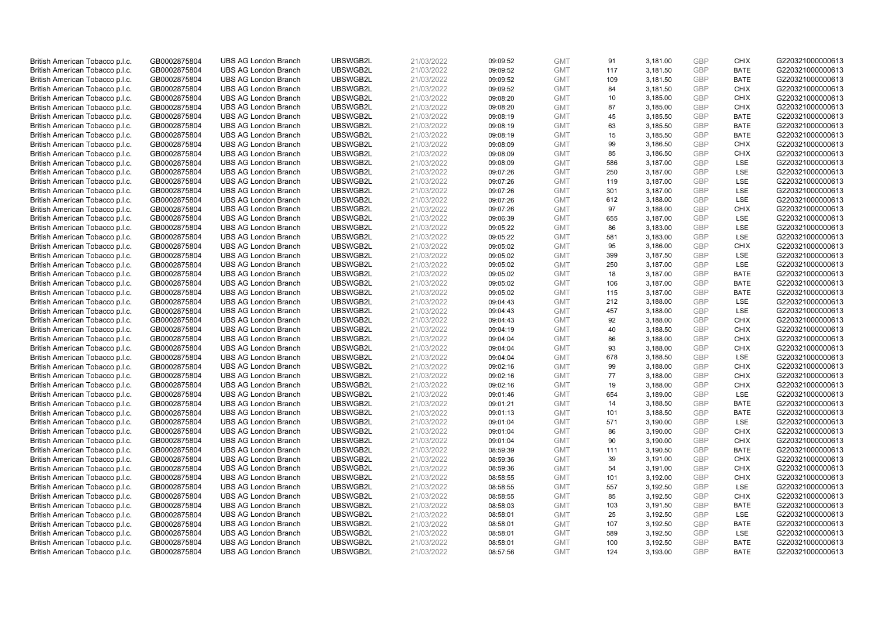| British American Tobacco p.l.c. | GB0002875804 | <b>UBS AG London Branch</b> | UBSWGB2L | 21/03/2022 | 09:09:52 | <b>GMT</b> | 91  | 3,181.00 | <b>GBP</b> | <b>CHIX</b> | G220321000000613 |
|---------------------------------|--------------|-----------------------------|----------|------------|----------|------------|-----|----------|------------|-------------|------------------|
| British American Tobacco p.l.c. | GB0002875804 | <b>UBS AG London Branch</b> | UBSWGB2L | 21/03/2022 | 09:09:52 | <b>GMT</b> | 117 | 3,181.50 | GBP        | <b>BATE</b> | G220321000000613 |
| British American Tobacco p.l.c. | GB0002875804 | <b>UBS AG London Branch</b> | UBSWGB2L | 21/03/2022 | 09:09:52 | <b>GMT</b> | 109 | 3,181.50 | GBP        | <b>BATE</b> | G220321000000613 |
| British American Tobacco p.l.c. | GB0002875804 | <b>UBS AG London Branch</b> | UBSWGB2L | 21/03/2022 | 09:09:52 | <b>GMT</b> | 84  | 3,181.50 | GBP        | <b>CHIX</b> | G220321000000613 |
| British American Tobacco p.l.c. | GB0002875804 | <b>UBS AG London Branch</b> | UBSWGB2L | 21/03/2022 | 09:08:20 | <b>GMT</b> | 10  | 3,185.00 | <b>GBP</b> | <b>CHIX</b> | G220321000000613 |
| British American Tobacco p.l.c. | GB0002875804 | <b>UBS AG London Branch</b> | UBSWGB2L | 21/03/2022 | 09:08:20 | <b>GMT</b> | 87  | 3,185.00 | GBP        | <b>CHIX</b> | G220321000000613 |
| British American Tobacco p.l.c. | GB0002875804 | <b>UBS AG London Branch</b> | UBSWGB2L | 21/03/2022 | 09:08:19 | <b>GMT</b> | 45  | 3,185.50 | GBP        | <b>BATE</b> | G220321000000613 |
| British American Tobacco p.l.c. | GB0002875804 | <b>UBS AG London Branch</b> | UBSWGB2L | 21/03/2022 | 09:08:19 | <b>GMT</b> | 63  | 3,185.50 | GBP        | <b>BATE</b> | G220321000000613 |
| British American Tobacco p.l.c. | GB0002875804 | <b>UBS AG London Branch</b> | UBSWGB2L | 21/03/2022 | 09:08:19 | <b>GMT</b> | 15  | 3,185.50 | GBP        | <b>BATE</b> | G220321000000613 |
| British American Tobacco p.l.c. | GB0002875804 | <b>UBS AG London Branch</b> | UBSWGB2L | 21/03/2022 | 09:08:09 | <b>GMT</b> | 99  | 3,186.50 | <b>GBP</b> | <b>CHIX</b> | G220321000000613 |
| British American Tobacco p.l.c. | GB0002875804 | <b>UBS AG London Branch</b> | UBSWGB2L | 21/03/2022 | 09:08:09 | <b>GMT</b> | 85  | 3,186.50 | GBP        | <b>CHIX</b> | G220321000000613 |
| British American Tobacco p.l.c. | GB0002875804 | <b>UBS AG London Branch</b> | UBSWGB2L | 21/03/2022 | 09:08:09 | <b>GMT</b> | 586 | 3,187.00 | <b>GBP</b> | LSE         | G220321000000613 |
| British American Tobacco p.l.c. | GB0002875804 | <b>UBS AG London Branch</b> | UBSWGB2L | 21/03/2022 | 09:07:26 | <b>GMT</b> | 250 | 3,187.00 | <b>GBP</b> | LSE         | G220321000000613 |
| British American Tobacco p.l.c. | GB0002875804 | <b>UBS AG London Branch</b> | UBSWGB2L | 21/03/2022 | 09:07:26 | <b>GMT</b> | 119 | 3,187.00 | <b>GBP</b> | <b>LSE</b>  | G220321000000613 |
| British American Tobacco p.l.c. | GB0002875804 | <b>UBS AG London Branch</b> | UBSWGB2L | 21/03/2022 | 09:07:26 | <b>GMT</b> | 301 | 3,187.00 | GBP        | <b>LSE</b>  | G220321000000613 |
| British American Tobacco p.l.c. | GB0002875804 | <b>UBS AG London Branch</b> | UBSWGB2L | 21/03/2022 | 09:07:26 | <b>GMT</b> | 612 | 3,188.00 | <b>GBP</b> | LSE         | G220321000000613 |
| British American Tobacco p.l.c. | GB0002875804 | <b>UBS AG London Branch</b> | UBSWGB2L | 21/03/2022 | 09:07:26 | <b>GMT</b> | 97  | 3,188.00 | GBP        | <b>CHIX</b> | G220321000000613 |
| British American Tobacco p.l.c. | GB0002875804 | <b>UBS AG London Branch</b> | UBSWGB2L | 21/03/2022 | 09:06:39 | <b>GMT</b> | 655 | 3,187.00 | <b>GBP</b> | LSE         | G220321000000613 |
| British American Tobacco p.l.c. | GB0002875804 | <b>UBS AG London Branch</b> | UBSWGB2L | 21/03/2022 | 09:05:22 | <b>GMT</b> | 86  | 3,183.00 | <b>GBP</b> | <b>LSE</b>  | G220321000000613 |
| British American Tobacco p.l.c. | GB0002875804 | <b>UBS AG London Branch</b> | UBSWGB2L | 21/03/2022 | 09:05:22 | <b>GMT</b> | 581 | 3,183.00 | <b>GBP</b> | LSE         | G220321000000613 |
| British American Tobacco p.l.c. | GB0002875804 | <b>UBS AG London Branch</b> | UBSWGB2L | 21/03/2022 | 09:05:02 | <b>GMT</b> | 95  | 3,186.00 | GBP        | <b>CHIX</b> | G220321000000613 |
| British American Tobacco p.l.c. | GB0002875804 | <b>UBS AG London Branch</b> | UBSWGB2L | 21/03/2022 | 09:05:02 | <b>GMT</b> | 399 | 3,187.50 | GBP        | LSE         | G220321000000613 |
| British American Tobacco p.l.c. | GB0002875804 | <b>UBS AG London Branch</b> | UBSWGB2L | 21/03/2022 | 09:05:02 | <b>GMT</b> | 250 | 3,187.00 | GBP        | LSE         | G220321000000613 |
| British American Tobacco p.l.c. | GB0002875804 | <b>UBS AG London Branch</b> | UBSWGB2L | 21/03/2022 | 09:05:02 | <b>GMT</b> | 18  | 3,187.00 | GBP        | <b>BATE</b> | G220321000000613 |
| British American Tobacco p.l.c. | GB0002875804 | <b>UBS AG London Branch</b> | UBSWGB2L | 21/03/2022 | 09:05:02 | <b>GMT</b> | 106 | 3,187.00 | <b>GBP</b> | <b>BATE</b> | G220321000000613 |
| British American Tobacco p.l.c. | GB0002875804 | <b>UBS AG London Branch</b> | UBSWGB2L | 21/03/2022 | 09:05:02 | <b>GMT</b> | 115 | 3,187.00 | <b>GBP</b> | <b>BATE</b> | G220321000000613 |
| British American Tobacco p.l.c. | GB0002875804 | <b>UBS AG London Branch</b> | UBSWGB2L | 21/03/2022 | 09:04:43 | <b>GMT</b> | 212 | 3,188.00 | <b>GBP</b> | <b>LSE</b>  | G220321000000613 |
| British American Tobacco p.l.c. | GB0002875804 | <b>UBS AG London Branch</b> | UBSWGB2L | 21/03/2022 | 09:04:43 | <b>GMT</b> | 457 | 3,188.00 | GBP        | <b>LSE</b>  | G220321000000613 |
| British American Tobacco p.l.c. | GB0002875804 | <b>UBS AG London Branch</b> | UBSWGB2L | 21/03/2022 | 09:04:43 | <b>GMT</b> | 92  | 3,188.00 | <b>GBP</b> | <b>CHIX</b> | G220321000000613 |
| British American Tobacco p.l.c. | GB0002875804 | <b>UBS AG London Branch</b> | UBSWGB2L | 21/03/2022 | 09:04:19 | <b>GMT</b> | 40  | 3,188.50 | GBP        | <b>CHIX</b> | G220321000000613 |
| British American Tobacco p.l.c. | GB0002875804 | <b>UBS AG London Branch</b> | UBSWGB2L | 21/03/2022 | 09:04:04 | <b>GMT</b> | 86  | 3,188.00 | GBP        | <b>CHIX</b> | G220321000000613 |
| British American Tobacco p.l.c. | GB0002875804 | <b>UBS AG London Branch</b> | UBSWGB2L | 21/03/2022 | 09:04:04 | <b>GMT</b> | 93  | 3,188.00 | <b>GBP</b> | <b>CHIX</b> | G220321000000613 |
| British American Tobacco p.l.c. | GB0002875804 | <b>UBS AG London Branch</b> | UBSWGB2L | 21/03/2022 | 09:04:04 | <b>GMT</b> | 678 | 3,188.50 | <b>GBP</b> | LSE         | G220321000000613 |
| British American Tobacco p.l.c. | GB0002875804 | <b>UBS AG London Branch</b> | UBSWGB2L | 21/03/2022 | 09:02:16 | <b>GMT</b> | 99  | 3,188.00 | GBP        | <b>CHIX</b> | G220321000000613 |
| British American Tobacco p.l.c. | GB0002875804 | <b>UBS AG London Branch</b> | UBSWGB2L | 21/03/2022 | 09:02:16 | <b>GMT</b> | 77  | 3,188.00 | GBP        | <b>CHIX</b> | G220321000000613 |
| British American Tobacco p.l.c. | GB0002875804 | <b>UBS AG London Branch</b> | UBSWGB2L | 21/03/2022 | 09:02:16 | <b>GMT</b> | 19  | 3,188.00 | GBP        | <b>CHIX</b> | G220321000000613 |
| British American Tobacco p.l.c. | GB0002875804 | <b>UBS AG London Branch</b> | UBSWGB2L | 21/03/2022 | 09:01:46 | <b>GMT</b> | 654 | 3,189.00 | GBP        | <b>LSE</b>  | G220321000000613 |
| British American Tobacco p.l.c. | GB0002875804 | <b>UBS AG London Branch</b> | UBSWGB2L | 21/03/2022 | 09:01:21 | <b>GMT</b> | 14  | 3,188.50 | <b>GBP</b> | <b>BATE</b> | G220321000000613 |
| British American Tobacco p.l.c. | GB0002875804 | <b>UBS AG London Branch</b> | UBSWGB2L | 21/03/2022 | 09:01:13 | <b>GMT</b> | 101 | 3,188.50 | <b>GBP</b> | <b>BATE</b> | G220321000000613 |
| British American Tobacco p.l.c. | GB0002875804 | <b>UBS AG London Branch</b> | UBSWGB2L | 21/03/2022 | 09:01:04 | <b>GMT</b> | 571 | 3,190.00 | <b>GBP</b> | <b>LSE</b>  | G220321000000613 |
| British American Tobacco p.l.c. | GB0002875804 | <b>UBS AG London Branch</b> | UBSWGB2L | 21/03/2022 | 09:01:04 | <b>GMT</b> | 86  | 3,190.00 | GBP        | <b>CHIX</b> | G220321000000613 |
| British American Tobacco p.l.c. | GB0002875804 | <b>UBS AG London Branch</b> | UBSWGB2L | 21/03/2022 | 09:01:04 | <b>GMT</b> | 90  | 3,190.00 | <b>GBP</b> | <b>CHIX</b> | G220321000000613 |
| British American Tobacco p.l.c. | GB0002875804 | <b>UBS AG London Branch</b> | UBSWGB2L | 21/03/2022 | 08:59:39 | <b>GMT</b> | 111 | 3,190.50 | <b>GBP</b> | <b>BATE</b> | G220321000000613 |
| British American Tobacco p.l.c. | GB0002875804 | <b>UBS AG London Branch</b> | UBSWGB2L | 21/03/2022 | 08:59:36 | <b>GMT</b> | 39  | 3,191.00 | GBP        | <b>CHIX</b> | G220321000000613 |
| British American Tobacco p.l.c. | GB0002875804 | <b>UBS AG London Branch</b> | UBSWGB2L | 21/03/2022 | 08:59:36 | <b>GMT</b> | 54  | 3,191.00 | <b>GBP</b> | <b>CHIX</b> | G220321000000613 |
| British American Tobacco p.l.c. | GB0002875804 | <b>UBS AG London Branch</b> | UBSWGB2L | 21/03/2022 | 08:58:55 | <b>GMT</b> | 101 | 3,192.00 | <b>GBP</b> | <b>CHIX</b> | G220321000000613 |
| British American Tobacco p.l.c. | GB0002875804 | <b>UBS AG London Branch</b> | UBSWGB2L | 21/03/2022 | 08:58:55 | <b>GMT</b> | 557 | 3,192.50 | <b>GBP</b> | LSE         | G220321000000613 |
| British American Tobacco p.l.c. | GB0002875804 | <b>UBS AG London Branch</b> | UBSWGB2L | 21/03/2022 | 08:58:55 | <b>GMT</b> | 85  | 3,192.50 | GBP        | <b>CHIX</b> | G220321000000613 |
| British American Tobacco p.l.c. | GB0002875804 | <b>UBS AG London Branch</b> | UBSWGB2L | 21/03/2022 | 08:58:03 | <b>GMT</b> | 103 | 3,191.50 | <b>GBP</b> | <b>BATE</b> | G220321000000613 |
| British American Tobacco p.l.c. | GB0002875804 | <b>UBS AG London Branch</b> | UBSWGB2L | 21/03/2022 | 08:58:01 | <b>GMT</b> | 25  | 3,192.50 | GBP        | <b>LSE</b>  | G220321000000613 |
| British American Tobacco p.l.c. | GB0002875804 | <b>UBS AG London Branch</b> | UBSWGB2L | 21/03/2022 | 08:58:01 | <b>GMT</b> | 107 | 3,192.50 | GBP        | <b>BATE</b> | G220321000000613 |
| British American Tobacco p.l.c. | GB0002875804 | <b>UBS AG London Branch</b> | UBSWGB2L | 21/03/2022 | 08:58:01 | <b>GMT</b> | 589 | 3,192.50 | <b>GBP</b> | LSE         | G220321000000613 |
| British American Tobacco p.l.c. | GB0002875804 | <b>UBS AG London Branch</b> | UBSWGB2L | 21/03/2022 | 08:58:01 | <b>GMT</b> | 100 | 3,192.50 | GBP        | <b>BATE</b> | G220321000000613 |
| British American Tobacco p.l.c. | GB0002875804 | <b>UBS AG London Branch</b> | UBSWGB2L | 21/03/2022 | 08:57:56 | <b>GMT</b> | 124 | 3,193.00 | GBP        | <b>BATE</b> | G220321000000613 |
|                                 |              |                             |          |            |          |            |     |          |            |             |                  |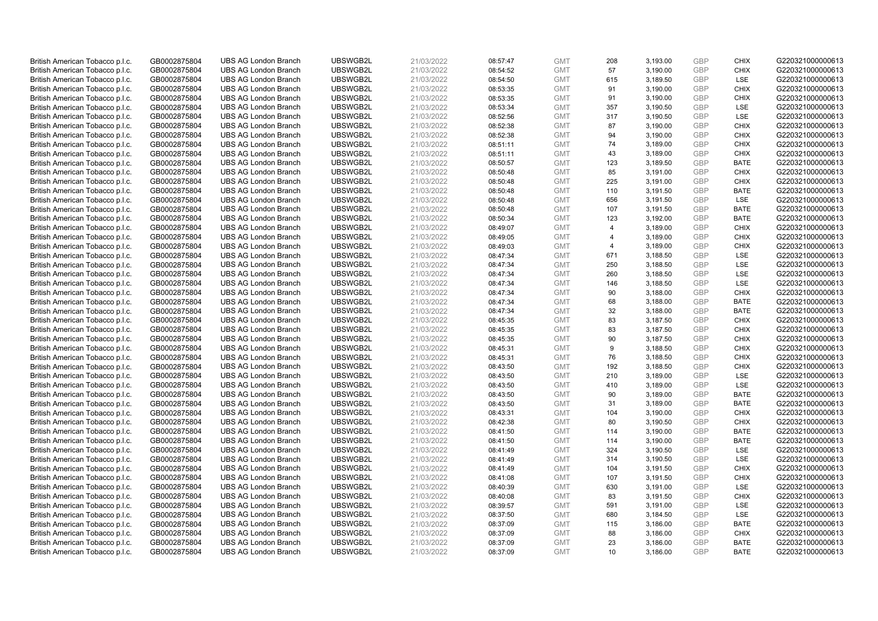| British American Tobacco p.l.c. | GB0002875804 | <b>UBS AG London Branch</b> | UBSWGB2L | 21/03/2022 | 08:57:47 | <b>GMT</b> | 208             | 3,193.00 | <b>GBP</b> | <b>CHIX</b> | G220321000000613 |
|---------------------------------|--------------|-----------------------------|----------|------------|----------|------------|-----------------|----------|------------|-------------|------------------|
| British American Tobacco p.l.c. | GB0002875804 | <b>UBS AG London Branch</b> | UBSWGB2L | 21/03/2022 | 08:54:52 | <b>GMT</b> | 57              | 3,190.00 | GBP        | <b>CHIX</b> | G220321000000613 |
| British American Tobacco p.l.c. | GB0002875804 | <b>UBS AG London Branch</b> | UBSWGB2L | 21/03/2022 | 08:54:50 | <b>GMT</b> | 615             | 3,189.50 | <b>GBP</b> | LSE         | G220321000000613 |
| British American Tobacco p.l.c. | GB0002875804 | <b>UBS AG London Branch</b> | UBSWGB2L | 21/03/2022 | 08:53:35 | <b>GMT</b> | 91              | 3,190.00 | GBP        | <b>CHIX</b> | G220321000000613 |
| British American Tobacco p.l.c. | GB0002875804 | <b>UBS AG London Branch</b> | UBSWGB2L | 21/03/2022 | 08:53:35 | <b>GMT</b> | 91              | 3,190.00 | <b>GBP</b> | <b>CHIX</b> | G220321000000613 |
| British American Tobacco p.l.c. | GB0002875804 | <b>UBS AG London Branch</b> | UBSWGB2L | 21/03/2022 | 08:53:34 | <b>GMT</b> | 357             | 3,190.50 | <b>GBP</b> | <b>LSE</b>  | G220321000000613 |
| British American Tobacco p.l.c. | GB0002875804 | <b>UBS AG London Branch</b> | UBSWGB2L | 21/03/2022 | 08:52:56 | <b>GMT</b> | 317             | 3,190.50 | <b>GBP</b> | LSE         | G220321000000613 |
| British American Tobacco p.l.c. | GB0002875804 | <b>UBS AG London Branch</b> | UBSWGB2L | 21/03/2022 | 08:52:38 | <b>GMT</b> | 87              | 3,190.00 | GBP        | <b>CHIX</b> | G220321000000613 |
| British American Tobacco p.l.c. | GB0002875804 | <b>UBS AG London Branch</b> | UBSWGB2L | 21/03/2022 | 08:52:38 | <b>GMT</b> | 94              | 3,190.00 | GBP        | <b>CHIX</b> | G220321000000613 |
| British American Tobacco p.l.c. | GB0002875804 | <b>UBS AG London Branch</b> | UBSWGB2L | 21/03/2022 | 08:51:11 | <b>GMT</b> | 74              | 3,189.00 | GBP        | <b>CHIX</b> | G220321000000613 |
| British American Tobacco p.l.c. | GB0002875804 | <b>UBS AG London Branch</b> | UBSWGB2L | 21/03/2022 | 08:51:11 | <b>GMT</b> | 43              | 3,189.00 | GBP        | <b>CHIX</b> | G220321000000613 |
| British American Tobacco p.l.c. | GB0002875804 | <b>UBS AG London Branch</b> | UBSWGB2L | 21/03/2022 | 08:50:57 | <b>GMT</b> | 123             | 3,189.50 | <b>GBP</b> | <b>BATE</b> | G220321000000613 |
| British American Tobacco p.l.c. | GB0002875804 | <b>UBS AG London Branch</b> | UBSWGB2L | 21/03/2022 | 08:50:48 | <b>GMT</b> | 85              | 3,191.00 | GBP        | <b>CHIX</b> | G220321000000613 |
| British American Tobacco p.l.c. | GB0002875804 | <b>UBS AG London Branch</b> | UBSWGB2L | 21/03/2022 | 08:50:48 | <b>GMT</b> | 225             | 3,191.00 | <b>GBP</b> | <b>CHIX</b> | G220321000000613 |
| British American Tobacco p.l.c. | GB0002875804 | <b>UBS AG London Branch</b> | UBSWGB2L | 21/03/2022 | 08:50:48 | <b>GMT</b> | 110             | 3,191.50 | GBP        | <b>BATE</b> | G220321000000613 |
| British American Tobacco p.l.c. | GB0002875804 | <b>UBS AG London Branch</b> | UBSWGB2L | 21/03/2022 | 08:50:48 | <b>GMT</b> | 656             | 3,191.50 | <b>GBP</b> | <b>LSE</b>  | G220321000000613 |
| British American Tobacco p.l.c. | GB0002875804 | <b>UBS AG London Branch</b> | UBSWGB2L | 21/03/2022 | 08:50:48 | <b>GMT</b> | 107             | 3,191.50 | GBP        | <b>BATE</b> | G220321000000613 |
| British American Tobacco p.l.c. | GB0002875804 | <b>UBS AG London Branch</b> | UBSWGB2L | 21/03/2022 | 08:50:34 | <b>GMT</b> | 123             | 3,192.00 | GBP        | <b>BATE</b> | G220321000000613 |
| British American Tobacco p.l.c. | GB0002875804 | <b>UBS AG London Branch</b> | UBSWGB2L | 21/03/2022 | 08:49:07 | <b>GMT</b> | $\overline{4}$  | 3,189.00 | GBP        | <b>CHIX</b> | G220321000000613 |
| British American Tobacco p.l.c. | GB0002875804 | <b>UBS AG London Branch</b> | UBSWGB2L | 21/03/2022 | 08:49:05 | <b>GMT</b> | 4               | 3,189.00 | <b>GBP</b> | <b>CHIX</b> | G220321000000613 |
| British American Tobacco p.l.c. | GB0002875804 | <b>UBS AG London Branch</b> | UBSWGB2L | 21/03/2022 | 08:49:03 | <b>GMT</b> | $\overline{a}$  | 3,189.00 | GBP        | <b>CHIX</b> | G220321000000613 |
| British American Tobacco p.l.c. | GB0002875804 | <b>UBS AG London Branch</b> | UBSWGB2L | 21/03/2022 | 08:47:34 | <b>GMT</b> | 671             | 3,188.50 | GBP        | LSE         | G220321000000613 |
| British American Tobacco p.l.c. | GB0002875804 | <b>UBS AG London Branch</b> | UBSWGB2L | 21/03/2022 | 08:47:34 | <b>GMT</b> | 250             | 3,188.50 | GBP        | LSE         | G220321000000613 |
| British American Tobacco p.l.c. | GB0002875804 | <b>UBS AG London Branch</b> | UBSWGB2L | 21/03/2022 | 08:47:34 | <b>GMT</b> | 260             | 3,188.50 | GBP        | LSE         | G220321000000613 |
| British American Tobacco p.l.c. | GB0002875804 | <b>UBS AG London Branch</b> | UBSWGB2L | 21/03/2022 | 08:47:34 | <b>GMT</b> | 146             | 3,188.50 | <b>GBP</b> | LSE         | G220321000000613 |
| British American Tobacco p.l.c. | GB0002875804 | <b>UBS AG London Branch</b> | UBSWGB2L | 21/03/2022 | 08:47:34 | <b>GMT</b> | 90              | 3,188.00 | <b>GBP</b> | <b>CHIX</b> | G220321000000613 |
| British American Tobacco p.l.c. | GB0002875804 | <b>UBS AG London Branch</b> | UBSWGB2L | 21/03/2022 | 08:47:34 | <b>GMT</b> | 68              | 3,188.00 | <b>GBP</b> | <b>BATE</b> | G220321000000613 |
| British American Tobacco p.l.c. | GB0002875804 | <b>UBS AG London Branch</b> | UBSWGB2L | 21/03/2022 | 08:47:34 | <b>GMT</b> | 32              | 3,188.00 | GBP        | <b>BATE</b> | G220321000000613 |
| British American Tobacco p.l.c. | GB0002875804 | <b>UBS AG London Branch</b> | UBSWGB2L | 21/03/2022 | 08:45:35 | <b>GMT</b> | 83              | 3,187.50 | <b>GBP</b> | <b>CHIX</b> | G220321000000613 |
| British American Tobacco p.l.c. | GB0002875804 | <b>UBS AG London Branch</b> | UBSWGB2L | 21/03/2022 | 08:45:35 | <b>GMT</b> | 83              | 3,187.50 | <b>GBP</b> | <b>CHIX</b> | G220321000000613 |
| British American Tobacco p.l.c. | GB0002875804 | <b>UBS AG London Branch</b> | UBSWGB2L | 21/03/2022 | 08:45:35 | <b>GMT</b> | 90              | 3,187.50 | GBP        | <b>CHIX</b> | G220321000000613 |
| British American Tobacco p.l.c. | GB0002875804 | <b>UBS AG London Branch</b> | UBSWGB2L | 21/03/2022 | 08:45:31 | <b>GMT</b> | 9               | 3,188.50 | <b>GBP</b> | <b>CHIX</b> | G220321000000613 |
| British American Tobacco p.l.c. | GB0002875804 | <b>UBS AG London Branch</b> | UBSWGB2L | 21/03/2022 | 08:45:31 | <b>GMT</b> | 76              | 3,188.50 | <b>GBP</b> | <b>CHIX</b> | G220321000000613 |
| British American Tobacco p.l.c. | GB0002875804 | <b>UBS AG London Branch</b> | UBSWGB2L | 21/03/2022 | 08:43:50 | <b>GMT</b> | 192             | 3,188.50 | GBP        | <b>CHIX</b> | G220321000000613 |
| British American Tobacco p.l.c. | GB0002875804 | <b>UBS AG London Branch</b> | UBSWGB2L | 21/03/2022 | 08:43:50 | <b>GMT</b> | 210             | 3,189.00 | GBP        | LSE         | G220321000000613 |
| British American Tobacco p.l.c. | GB0002875804 | <b>UBS AG London Branch</b> | UBSWGB2L | 21/03/2022 | 08:43:50 | <b>GMT</b> | 410             | 3,189.00 | GBP        | LSE         | G220321000000613 |
| British American Tobacco p.l.c. | GB0002875804 | <b>UBS AG London Branch</b> | UBSWGB2L | 21/03/2022 | 08:43:50 | <b>GMT</b> | 90              | 3,189.00 | GBP        | <b>BATE</b> | G220321000000613 |
| British American Tobacco p.l.c. | GB0002875804 | <b>UBS AG London Branch</b> | UBSWGB2L | 21/03/2022 | 08:43:50 | <b>GMT</b> | 31              | 3,189.00 | <b>GBP</b> | <b>BATE</b> | G220321000000613 |
| British American Tobacco p.l.c. | GB0002875804 | <b>UBS AG London Branch</b> | UBSWGB2L | 21/03/2022 | 08:43:31 | <b>GMT</b> | 104             | 3,190.00 | <b>GBP</b> | <b>CHIX</b> | G220321000000613 |
| British American Tobacco p.l.c. | GB0002875804 | <b>UBS AG London Branch</b> | UBSWGB2L | 21/03/2022 | 08:42:38 | <b>GMT</b> | 80              | 3,190.50 | <b>GBP</b> | <b>CHIX</b> | G220321000000613 |
| British American Tobacco p.l.c. | GB0002875804 | <b>UBS AG London Branch</b> | UBSWGB2L | 21/03/2022 | 08:41:50 | <b>GMT</b> | 114             | 3,190.00 | GBP        | <b>BATE</b> | G220321000000613 |
| British American Tobacco p.l.c. | GB0002875804 | <b>UBS AG London Branch</b> | UBSWGB2L | 21/03/2022 | 08:41:50 | <b>GMT</b> | 114             | 3,190.00 | <b>GBP</b> | <b>BATE</b> | G220321000000613 |
| British American Tobacco p.l.c. | GB0002875804 | <b>UBS AG London Branch</b> | UBSWGB2L | 21/03/2022 | 08:41:49 | <b>GMT</b> | 324             | 3,190.50 | <b>GBP</b> | LSE         | G220321000000613 |
| British American Tobacco p.l.c. | GB0002875804 | <b>UBS AG London Branch</b> | UBSWGB2L | 21/03/2022 | 08:41:49 | <b>GMT</b> | 314             | 3,190.50 | GBP        | <b>LSE</b>  | G220321000000613 |
| British American Tobacco p.l.c. | GB0002875804 | <b>UBS AG London Branch</b> | UBSWGB2L | 21/03/2022 | 08:41:49 | <b>GMT</b> | 104             | 3,191.50 | <b>GBP</b> | <b>CHIX</b> | G220321000000613 |
| British American Tobacco p.l.c. | GB0002875804 | <b>UBS AG London Branch</b> | UBSWGB2L | 21/03/2022 | 08:41:08 | <b>GMT</b> | 107             | 3,191.50 | <b>GBP</b> | <b>CHIX</b> | G220321000000613 |
| British American Tobacco p.l.c. | GB0002875804 | <b>UBS AG London Branch</b> | UBSWGB2L | 21/03/2022 | 08:40:39 | <b>GMT</b> | 630             | 3,191.00 | <b>GBP</b> | LSE         | G220321000000613 |
| British American Tobacco p.l.c. | GB0002875804 | <b>UBS AG London Branch</b> | UBSWGB2L | 21/03/2022 | 08:40:08 | <b>GMT</b> | 83              | 3,191.50 | GBP        | <b>CHIX</b> | G220321000000613 |
| British American Tobacco p.l.c. | GB0002875804 | <b>UBS AG London Branch</b> | UBSWGB2L | 21/03/2022 | 08:39:57 | <b>GMT</b> | 591             | 3,191.00 | <b>GBP</b> | LSE         | G220321000000613 |
| British American Tobacco p.l.c. | GB0002875804 | <b>UBS AG London Branch</b> | UBSWGB2L | 21/03/2022 | 08:37:50 | <b>GMT</b> | 680             | 3,184.50 | <b>GBP</b> | <b>LSE</b>  | G220321000000613 |
| British American Tobacco p.l.c. | GB0002875804 | <b>UBS AG London Branch</b> | UBSWGB2L | 21/03/2022 | 08:37:09 | <b>GMT</b> | 115             | 3,186.00 | GBP        | <b>BATE</b> | G220321000000613 |
| British American Tobacco p.l.c. | GB0002875804 | <b>UBS AG London Branch</b> | UBSWGB2L | 21/03/2022 | 08:37:09 | <b>GMT</b> | 88              | 3,186.00 | <b>GBP</b> | <b>CHIX</b> | G220321000000613 |
| British American Tobacco p.l.c. | GB0002875804 | <b>UBS AG London Branch</b> | UBSWGB2L | 21/03/2022 | 08:37:09 | <b>GMT</b> | 23              | 3,186.00 | GBP        | <b>BATE</b> | G220321000000613 |
| British American Tobacco p.l.c. | GB0002875804 | <b>UBS AG London Branch</b> | UBSWGB2L | 21/03/2022 | 08:37:09 | <b>GMT</b> | 10 <sup>1</sup> | 3,186.00 | GBP        | <b>BATE</b> | G220321000000613 |
|                                 |              |                             |          |            |          |            |                 |          |            |             |                  |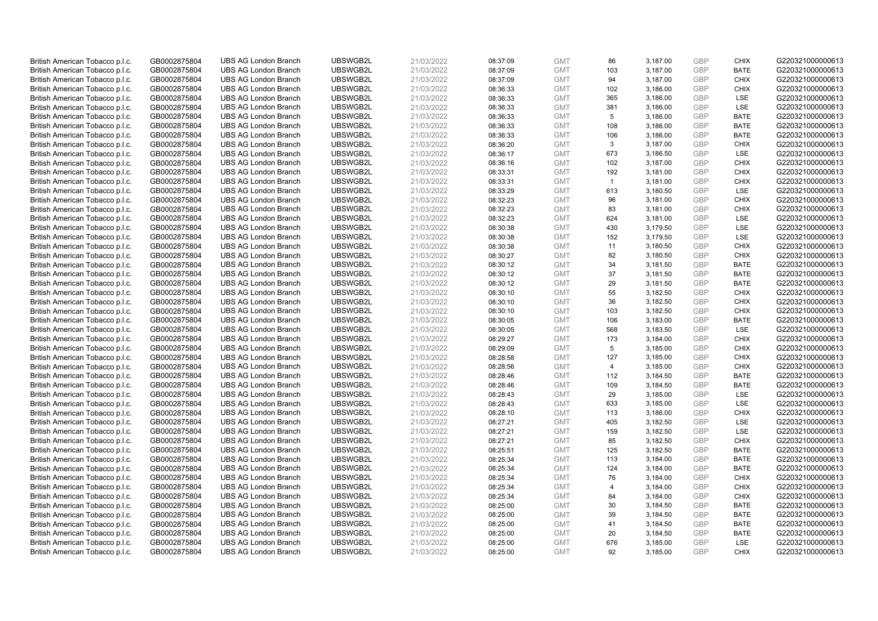| British American Tobacco p.l.c. | GB0002875804 | <b>UBS AG London Branch</b> | UBSWGB2L | 21/03/2022 | 08:37:09 | <b>GMT</b> | 86             | 3,187.00 | <b>GBP</b> | <b>CHIX</b> | G220321000000613 |
|---------------------------------|--------------|-----------------------------|----------|------------|----------|------------|----------------|----------|------------|-------------|------------------|
| British American Tobacco p.l.c. | GB0002875804 | <b>UBS AG London Branch</b> | UBSWGB2L | 21/03/2022 | 08:37:09 | <b>GMT</b> | 103            | 3,187.00 | GBP        | <b>BATE</b> | G220321000000613 |
| British American Tobacco p.l.c. | GB0002875804 | <b>UBS AG London Branch</b> | UBSWGB2L | 21/03/2022 | 08:37:09 | <b>GMT</b> | 94             | 3,187.00 | GBP        | <b>CHIX</b> | G220321000000613 |
| British American Tobacco p.l.c. | GB0002875804 | <b>UBS AG London Branch</b> | UBSWGB2L | 21/03/2022 | 08:36:33 | <b>GMT</b> | 102            | 3,186.00 | GBP        | <b>CHIX</b> | G220321000000613 |
| British American Tobacco p.l.c. | GB0002875804 | <b>UBS AG London Branch</b> | UBSWGB2L | 21/03/2022 | 08:36:33 | <b>GMT</b> | 365            | 3,186.00 | <b>GBP</b> | LSE         | G220321000000613 |
| British American Tobacco p.l.c. | GB0002875804 | <b>UBS AG London Branch</b> | UBSWGB2L | 21/03/2022 | 08:36:33 | <b>GMT</b> | 381            | 3,186.00 | GBP        | <b>LSE</b>  | G220321000000613 |
| British American Tobacco p.l.c. | GB0002875804 | <b>UBS AG London Branch</b> | UBSWGB2L | 21/03/2022 | 08:36:33 | <b>GMT</b> | 5              | 3,186.00 | <b>GBP</b> | <b>BATE</b> | G220321000000613 |
| British American Tobacco p.l.c. | GB0002875804 | <b>UBS AG London Branch</b> | UBSWGB2L | 21/03/2022 | 08:36:33 | <b>GMT</b> | 108            | 3,186.00 | GBP        | <b>BATE</b> | G220321000000613 |
| British American Tobacco p.l.c. | GB0002875804 | <b>UBS AG London Branch</b> | UBSWGB2L | 21/03/2022 | 08:36:33 | <b>GMT</b> | 106            | 3,186.00 | GBP        | <b>BATE</b> | G220321000000613 |
| British American Tobacco p.l.c. | GB0002875804 | <b>UBS AG London Branch</b> | UBSWGB2L | 21/03/2022 | 08:36:20 | <b>GMT</b> | 3              | 3,187.00 | GBP        | <b>CHIX</b> | G220321000000613 |
| British American Tobacco p.l.c. | GB0002875804 | <b>UBS AG London Branch</b> | UBSWGB2L | 21/03/2022 | 08:36:17 | <b>GMT</b> | 673            | 3,186.50 | <b>GBP</b> | <b>LSE</b>  | G220321000000613 |
| British American Tobacco p.l.c. | GB0002875804 | <b>UBS AG London Branch</b> | UBSWGB2L | 21/03/2022 | 08:36:16 | <b>GMT</b> | 102            | 3,187.00 | <b>GBP</b> | <b>CHIX</b> | G220321000000613 |
| British American Tobacco p.l.c. | GB0002875804 | <b>UBS AG London Branch</b> | UBSWGB2L | 21/03/2022 | 08:33:31 | <b>GMT</b> | 192            | 3,181.00 | <b>GBP</b> | <b>CHIX</b> | G220321000000613 |
| British American Tobacco p.l.c. | GB0002875804 | <b>UBS AG London Branch</b> | UBSWGB2L | 21/03/2022 | 08:33:31 | <b>GMT</b> | $\mathbf{1}$   | 3,181.00 | <b>GBP</b> | <b>CHIX</b> | G220321000000613 |
| British American Tobacco p.l.c. | GB0002875804 | <b>UBS AG London Branch</b> | UBSWGB2L | 21/03/2022 | 08:33:29 | <b>GMT</b> | 613            | 3,180.50 | <b>GBP</b> | <b>LSE</b>  | G220321000000613 |
| British American Tobacco p.l.c. | GB0002875804 | <b>UBS AG London Branch</b> | UBSWGB2L | 21/03/2022 | 08:32:23 | <b>GMT</b> | 96             | 3,181.00 | <b>GBP</b> | <b>CHIX</b> | G220321000000613 |
| British American Tobacco p.l.c. | GB0002875804 | <b>UBS AG London Branch</b> | UBSWGB2L | 21/03/2022 | 08:32:23 | <b>GMT</b> | 83             | 3,181.00 | <b>GBP</b> | <b>CHIX</b> | G220321000000613 |
| British American Tobacco p.l.c. | GB0002875804 | <b>UBS AG London Branch</b> | UBSWGB2L | 21/03/2022 | 08:32:23 | <b>GMT</b> | 624            | 3,181.00 | <b>GBP</b> | <b>LSE</b>  | G220321000000613 |
| British American Tobacco p.l.c. | GB0002875804 | <b>UBS AG London Branch</b> | UBSWGB2L | 21/03/2022 | 08:30:38 | <b>GMT</b> | 430            | 3,179.50 | GBP        | <b>LSE</b>  | G220321000000613 |
| British American Tobacco p.l.c. | GB0002875804 | <b>UBS AG London Branch</b> | UBSWGB2L | 21/03/2022 | 08:30:38 | <b>GMT</b> | 152            | 3,179.50 | <b>GBP</b> | LSE         | G220321000000613 |
| British American Tobacco p.l.c. | GB0002875804 | <b>UBS AG London Branch</b> | UBSWGB2L | 21/03/2022 | 08:30:38 | <b>GMT</b> | 11             | 3,180.50 | GBP        | <b>CHIX</b> | G220321000000613 |
| British American Tobacco p.l.c. | GB0002875804 | <b>UBS AG London Branch</b> | UBSWGB2L | 21/03/2022 | 08:30:27 | <b>GMT</b> | 82             | 3,180.50 | <b>GBP</b> | <b>CHIX</b> | G220321000000613 |
| British American Tobacco p.l.c. | GB0002875804 | <b>UBS AG London Branch</b> | UBSWGB2L | 21/03/2022 | 08:30:12 | <b>GMT</b> | 34             | 3,181.50 | GBP        | <b>BATE</b> | G220321000000613 |
| British American Tobacco p.l.c. | GB0002875804 | <b>UBS AG London Branch</b> | UBSWGB2L | 21/03/2022 | 08:30:12 | <b>GMT</b> | 37             | 3,181.50 | <b>GBP</b> | <b>BATE</b> | G220321000000613 |
| British American Tobacco p.l.c. | GB0002875804 | <b>UBS AG London Branch</b> | UBSWGB2L | 21/03/2022 | 08:30:12 | <b>GMT</b> | 29             | 3,181.50 | <b>GBP</b> | <b>BATE</b> | G220321000000613 |
| British American Tobacco p.l.c. | GB0002875804 | <b>UBS AG London Branch</b> | UBSWGB2L | 21/03/2022 | 08:30:10 | <b>GMT</b> | 55             | 3,182.50 | <b>GBP</b> | <b>CHIX</b> | G220321000000613 |
| British American Tobacco p.l.c. | GB0002875804 | <b>UBS AG London Branch</b> | UBSWGB2L | 21/03/2022 | 08:30:10 | <b>GMT</b> | 36             | 3,182.50 | <b>GBP</b> | <b>CHIX</b> | G220321000000613 |
| British American Tobacco p.l.c. | GB0002875804 | <b>UBS AG London Branch</b> | UBSWGB2L | 21/03/2022 | 08:30:10 | <b>GMT</b> | 103            | 3,182.50 | <b>GBP</b> | <b>CHIX</b> | G220321000000613 |
| British American Tobacco p.l.c. | GB0002875804 | <b>UBS AG London Branch</b> | UBSWGB2L | 21/03/2022 | 08:30:05 | <b>GMT</b> | 106            | 3,183.00 | <b>GBP</b> | <b>BATE</b> | G220321000000613 |
| British American Tobacco p.l.c. | GB0002875804 | <b>UBS AG London Branch</b> | UBSWGB2L | 21/03/2022 | 08:30:05 | <b>GMT</b> | 568            | 3,183.50 | <b>GBP</b> | LSE         | G220321000000613 |
| British American Tobacco p.l.c. | GB0002875804 | <b>UBS AG London Branch</b> | UBSWGB2L | 21/03/2022 | 08:29:27 | <b>GMT</b> | 173            | 3,184.00 | GBP        | <b>CHIX</b> | G220321000000613 |
| British American Tobacco p.l.c. | GB0002875804 | <b>UBS AG London Branch</b> | UBSWGB2L | 21/03/2022 | 08:29:09 | <b>GMT</b> | 5              | 3,185.00 | <b>GBP</b> | <b>CHIX</b> | G220321000000613 |
| British American Tobacco p.l.c. | GB0002875804 | <b>UBS AG London Branch</b> | UBSWGB2L | 21/03/2022 | 08:28:58 | <b>GMT</b> | 127            | 3,185.00 | <b>GBP</b> | <b>CHIX</b> | G220321000000613 |
| British American Tobacco p.l.c. | GB0002875804 | <b>UBS AG London Branch</b> | UBSWGB2L | 21/03/2022 | 08:28:56 | <b>GMT</b> | $\overline{4}$ | 3,185.00 | GBP        | <b>CHIX</b> | G220321000000613 |
| British American Tobacco p.l.c. | GB0002875804 | <b>UBS AG London Branch</b> | UBSWGB2L | 21/03/2022 | 08:28:46 | <b>GMT</b> | 112            | 3,184.50 | <b>GBP</b> | <b>BATE</b> | G220321000000613 |
| British American Tobacco p.l.c. | GB0002875804 | <b>UBS AG London Branch</b> | UBSWGB2L | 21/03/2022 | 08:28:46 | <b>GMT</b> | 109            | 3,184.50 | GBP        | <b>BATE</b> | G220321000000613 |
| British American Tobacco p.l.c. | GB0002875804 | <b>UBS AG London Branch</b> | UBSWGB2L | 21/03/2022 | 08:28:43 | <b>GMT</b> | 29             | 3,185.00 | <b>GBP</b> | <b>LSE</b>  | G220321000000613 |
| British American Tobacco p.l.c. | GB0002875804 | <b>UBS AG London Branch</b> | UBSWGB2L | 21/03/2022 | 08:28:43 | <b>GMT</b> | 633            | 3,185.00 | <b>GBP</b> | LSE         | G220321000000613 |
| British American Tobacco p.l.c. | GB0002875804 | <b>UBS AG London Branch</b> | UBSWGB2L | 21/03/2022 | 08:28:10 | <b>GMT</b> | 113            | 3,186.00 | <b>GBP</b> | <b>CHIX</b> | G220321000000613 |
| British American Tobacco p.l.c. | GB0002875804 | <b>UBS AG London Branch</b> | UBSWGB2L | 21/03/2022 | 08:27:21 | <b>GMT</b> | 405            | 3,182.50 | <b>GBP</b> | <b>LSE</b>  | G220321000000613 |
| British American Tobacco p.l.c. | GB0002875804 | <b>UBS AG London Branch</b> | UBSWGB2L | 21/03/2022 | 08:27:21 | <b>GMT</b> | 159            | 3,182.50 | GBP        | <b>LSE</b>  | G220321000000613 |
| British American Tobacco p.l.c. | GB0002875804 | <b>UBS AG London Branch</b> | UBSWGB2L | 21/03/2022 | 08:27:21 | <b>GMT</b> | 85             | 3,182.50 | <b>GBP</b> | <b>CHIX</b> | G220321000000613 |
| British American Tobacco p.l.c. | GB0002875804 | <b>UBS AG London Branch</b> | UBSWGB2L | 21/03/2022 | 08:25:51 | <b>GMT</b> | 125            | 3,182.50 | GBP        | <b>BATE</b> | G220321000000613 |
| British American Tobacco p.l.c. | GB0002875804 | <b>UBS AG London Branch</b> | UBSWGB2L | 21/03/2022 | 08:25:34 | <b>GMT</b> | 113            | 3,184.00 | GBP        | <b>BATE</b> | G220321000000613 |
| British American Tobacco p.l.c. | GB0002875804 | <b>UBS AG London Branch</b> | UBSWGB2L | 21/03/2022 | 08:25:34 | <b>GMT</b> | 124            | 3,184.00 | <b>GBP</b> | <b>BATE</b> | G220321000000613 |
| British American Tobacco p.l.c. | GB0002875804 | <b>UBS AG London Branch</b> | UBSWGB2L | 21/03/2022 | 08:25:34 | <b>GMT</b> | 76             | 3,184.00 | <b>GBP</b> | <b>CHIX</b> | G220321000000613 |
| British American Tobacco p.l.c. | GB0002875804 | <b>UBS AG London Branch</b> | UBSWGB2L | 21/03/2022 | 08:25:34 | <b>GMT</b> | 4              | 3,184.00 | <b>GBP</b> | <b>CHIX</b> | G220321000000613 |
| British American Tobacco p.l.c. | GB0002875804 | <b>UBS AG London Branch</b> | UBSWGB2L | 21/03/2022 | 08:25:34 | <b>GMT</b> | 84             | 3,184.00 | <b>GBP</b> | <b>CHIX</b> | G220321000000613 |
| British American Tobacco p.l.c. | GB0002875804 | <b>UBS AG London Branch</b> | UBSWGB2L | 21/03/2022 | 08:25:00 | <b>GMT</b> | 30             | 3,184.50 | <b>GBP</b> | <b>BATE</b> | G220321000000613 |
| British American Tobacco p.l.c. | GB0002875804 | <b>UBS AG London Branch</b> | UBSWGB2L | 21/03/2022 | 08:25:00 | <b>GMT</b> | 39             | 3,184.50 | GBP        | <b>BATE</b> | G220321000000613 |
| British American Tobacco p.l.c. | GB0002875804 | <b>UBS AG London Branch</b> | UBSWGB2L | 21/03/2022 | 08:25:00 | <b>GMT</b> | 41             | 3,184.50 | GBP        | <b>BATE</b> | G220321000000613 |
| British American Tobacco p.l.c. | GB0002875804 | <b>UBS AG London Branch</b> | UBSWGB2L | 21/03/2022 | 08:25:00 | <b>GMT</b> | 20             | 3,184.50 | <b>GBP</b> | <b>BATE</b> | G220321000000613 |
| British American Tobacco p.l.c. | GB0002875804 | <b>UBS AG London Branch</b> | UBSWGB2L | 21/03/2022 | 08:25:00 | <b>GMT</b> | 676            | 3,185.00 | GBP        | <b>LSE</b>  | G220321000000613 |
| British American Tobacco p.l.c. | GB0002875804 | <b>UBS AG London Branch</b> | UBSWGB2L | 21/03/2022 | 08:25:00 | <b>GMT</b> | 92             | 3,185.00 | GBP        | <b>CHIX</b> | G220321000000613 |
|                                 |              |                             |          |            |          |            |                |          |            |             |                  |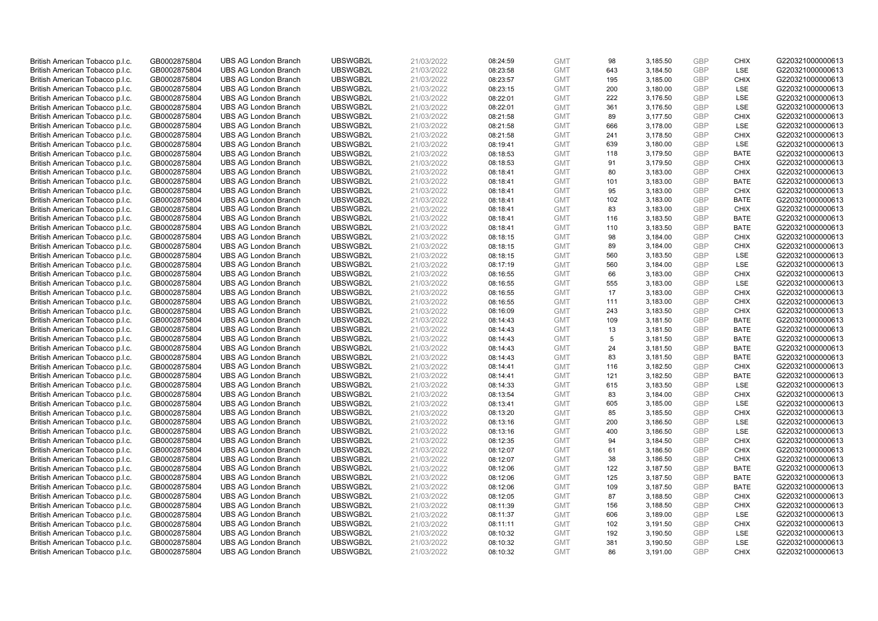| British American Tobacco p.l.c. | GB0002875804 | <b>UBS AG London Branch</b> | UBSWGB2L | 21/03/2022 | 08:24:59 | <b>GMT</b> | 98  | 3,185.50 | <b>GBP</b> | <b>CHIX</b> | G220321000000613 |
|---------------------------------|--------------|-----------------------------|----------|------------|----------|------------|-----|----------|------------|-------------|------------------|
| British American Tobacco p.l.c. | GB0002875804 | <b>UBS AG London Branch</b> | UBSWGB2L | 21/03/2022 | 08:23:58 | <b>GMT</b> | 643 | 3,184.50 | GBP        | <b>LSE</b>  | G220321000000613 |
| British American Tobacco p.l.c. | GB0002875804 | <b>UBS AG London Branch</b> | UBSWGB2L | 21/03/2022 | 08:23:57 | <b>GMT</b> | 195 | 3,185.00 | GBP        | <b>CHIX</b> | G220321000000613 |
| British American Tobacco p.l.c. | GB0002875804 | <b>UBS AG London Branch</b> | UBSWGB2L | 21/03/2022 | 08:23:15 | <b>GMT</b> | 200 | 3,180.00 | GBP        | <b>LSE</b>  | G220321000000613 |
| British American Tobacco p.l.c. | GB0002875804 | <b>UBS AG London Branch</b> | UBSWGB2L | 21/03/2022 | 08:22:01 | <b>GMT</b> | 222 | 3,176.50 | <b>GBP</b> | LSE         | G220321000000613 |
| British American Tobacco p.l.c. | GB0002875804 | <b>UBS AG London Branch</b> | UBSWGB2L | 21/03/2022 | 08:22:01 | <b>GMT</b> | 361 | 3,176.50 | <b>GBP</b> | <b>LSE</b>  | G220321000000613 |
| British American Tobacco p.l.c. | GB0002875804 | <b>UBS AG London Branch</b> | UBSWGB2L | 21/03/2022 | 08:21:58 | <b>GMT</b> | 89  | 3,177.50 | <b>GBP</b> | <b>CHIX</b> | G220321000000613 |
| British American Tobacco p.l.c. | GB0002875804 | <b>UBS AG London Branch</b> | UBSWGB2L | 21/03/2022 | 08:21:58 | <b>GMT</b> | 666 | 3,178.00 | GBP        | LSE         | G220321000000613 |
| British American Tobacco p.l.c. | GB0002875804 | <b>UBS AG London Branch</b> | UBSWGB2L | 21/03/2022 | 08:21:58 | <b>GMT</b> | 241 | 3,178.50 | GBP        | <b>CHIX</b> | G220321000000613 |
| British American Tobacco p.l.c. | GB0002875804 | <b>UBS AG London Branch</b> | UBSWGB2L | 21/03/2022 | 08:19:41 | <b>GMT</b> | 639 | 3,180.00 | GBP        | <b>LSE</b>  | G220321000000613 |
| British American Tobacco p.l.c. | GB0002875804 | <b>UBS AG London Branch</b> | UBSWGB2L | 21/03/2022 | 08:18:53 | <b>GMT</b> | 118 | 3,179.50 | GBP        | <b>BATE</b> | G220321000000613 |
| British American Tobacco p.l.c. | GB0002875804 | <b>UBS AG London Branch</b> | UBSWGB2L | 21/03/2022 | 08:18:53 | <b>GMT</b> | 91  | 3,179.50 | <b>GBP</b> | <b>CHIX</b> | G220321000000613 |
| British American Tobacco p.l.c. | GB0002875804 | <b>UBS AG London Branch</b> | UBSWGB2L | 21/03/2022 | 08:18:41 | <b>GMT</b> | 80  | 3,183.00 | GBP        | <b>CHIX</b> | G220321000000613 |
| British American Tobacco p.l.c. | GB0002875804 | <b>UBS AG London Branch</b> | UBSWGB2L | 21/03/2022 | 08:18:41 | <b>GMT</b> | 101 | 3,183.00 | <b>GBP</b> | <b>BATE</b> | G220321000000613 |
| British American Tobacco p.l.c. | GB0002875804 | <b>UBS AG London Branch</b> | UBSWGB2L | 21/03/2022 | 08:18:41 | <b>GMT</b> | 95  | 3,183.00 | GBP        | <b>CHIX</b> | G220321000000613 |
| British American Tobacco p.l.c. | GB0002875804 | <b>UBS AG London Branch</b> | UBSWGB2L | 21/03/2022 | 08:18:41 | <b>GMT</b> | 102 | 3,183.00 | <b>GBP</b> | <b>BATE</b> | G220321000000613 |
| British American Tobacco p.l.c. | GB0002875804 | <b>UBS AG London Branch</b> | UBSWGB2L | 21/03/2022 | 08:18:41 | <b>GMT</b> | 83  | 3,183.00 | GBP        | <b>CHIX</b> | G220321000000613 |
| British American Tobacco p.l.c. | GB0002875804 | <b>UBS AG London Branch</b> | UBSWGB2L | 21/03/2022 | 08:18:41 | <b>GMT</b> | 116 | 3,183.50 | GBP        | <b>BATE</b> | G220321000000613 |
| British American Tobacco p.l.c. | GB0002875804 | <b>UBS AG London Branch</b> | UBSWGB2L | 21/03/2022 | 08:18:41 | <b>GMT</b> | 110 | 3,183.50 | GBP        | <b>BATE</b> | G220321000000613 |
| British American Tobacco p.l.c. | GB0002875804 | <b>UBS AG London Branch</b> | UBSWGB2L | 21/03/2022 | 08:18:15 | <b>GMT</b> | 98  | 3,184.00 | <b>GBP</b> | <b>CHIX</b> | G220321000000613 |
| British American Tobacco p.l.c. | GB0002875804 | <b>UBS AG London Branch</b> | UBSWGB2L | 21/03/2022 | 08:18:15 | <b>GMT</b> | 89  | 3,184.00 | GBP        | <b>CHIX</b> | G220321000000613 |
| British American Tobacco p.l.c. | GB0002875804 | <b>UBS AG London Branch</b> | UBSWGB2L | 21/03/2022 | 08:18:15 | <b>GMT</b> | 560 | 3,183.50 | GBP        | LSE         | G220321000000613 |
| British American Tobacco p.l.c. | GB0002875804 | <b>UBS AG London Branch</b> | UBSWGB2L | 21/03/2022 | 08:17:19 | <b>GMT</b> | 560 | 3,184.00 | GBP        | LSE         | G220321000000613 |
| British American Tobacco p.l.c. | GB0002875804 | <b>UBS AG London Branch</b> | UBSWGB2L | 21/03/2022 | 08:16:55 | <b>GMT</b> | 66  | 3,183.00 | GBP        | <b>CHIX</b> | G220321000000613 |
| British American Tobacco p.l.c. | GB0002875804 | <b>UBS AG London Branch</b> | UBSWGB2L | 21/03/2022 | 08:16:55 | <b>GMT</b> | 555 | 3,183.00 | <b>GBP</b> | LSE         | G220321000000613 |
| British American Tobacco p.l.c. | GB0002875804 | <b>UBS AG London Branch</b> | UBSWGB2L | 21/03/2022 | 08:16:55 | <b>GMT</b> | 17  | 3,183.00 | <b>GBP</b> | <b>CHIX</b> | G220321000000613 |
| British American Tobacco p.l.c. | GB0002875804 | <b>UBS AG London Branch</b> | UBSWGB2L | 21/03/2022 | 08:16:55 | <b>GMT</b> | 111 | 3,183.00 | <b>GBP</b> | <b>CHIX</b> | G220321000000613 |
| British American Tobacco p.l.c. | GB0002875804 | <b>UBS AG London Branch</b> | UBSWGB2L | 21/03/2022 | 08:16:09 | <b>GMT</b> | 243 | 3,183.50 | GBP        | <b>CHIX</b> | G220321000000613 |
| British American Tobacco p.l.c. | GB0002875804 | <b>UBS AG London Branch</b> | UBSWGB2L | 21/03/2022 | 08:14:43 | <b>GMT</b> | 109 | 3,181.50 | <b>GBP</b> | <b>BATE</b> | G220321000000613 |
| British American Tobacco p.l.c. | GB0002875804 | <b>UBS AG London Branch</b> | UBSWGB2L | 21/03/2022 | 08:14:43 | <b>GMT</b> | 13  | 3,181.50 | GBP        | <b>BATE</b> | G220321000000613 |
| British American Tobacco p.l.c. | GB0002875804 | <b>UBS AG London Branch</b> | UBSWGB2L | 21/03/2022 | 08:14:43 | <b>GMT</b> | 5   | 3,181.50 | GBP        | <b>BATE</b> | G220321000000613 |
| British American Tobacco p.l.c. | GB0002875804 | <b>UBS AG London Branch</b> | UBSWGB2L | 21/03/2022 | 08:14:43 | <b>GMT</b> | 24  | 3,181.50 | <b>GBP</b> | <b>BATE</b> | G220321000000613 |
| British American Tobacco p.l.c. | GB0002875804 | <b>UBS AG London Branch</b> | UBSWGB2L | 21/03/2022 | 08:14:43 | <b>GMT</b> | 83  | 3,181.50 | <b>GBP</b> | <b>BATE</b> | G220321000000613 |
| British American Tobacco p.l.c. | GB0002875804 | <b>UBS AG London Branch</b> | UBSWGB2L | 21/03/2022 | 08:14:41 | <b>GMT</b> | 116 | 3,182.50 | GBP        | <b>CHIX</b> | G220321000000613 |
| British American Tobacco p.l.c. | GB0002875804 | <b>UBS AG London Branch</b> | UBSWGB2L | 21/03/2022 | 08:14:41 | <b>GMT</b> | 121 | 3,182.50 | GBP        | <b>BATE</b> | G220321000000613 |
| British American Tobacco p.l.c. | GB0002875804 | <b>UBS AG London Branch</b> | UBSWGB2L | 21/03/2022 | 08:14:33 | <b>GMT</b> | 615 | 3,183.50 | GBP        | LSE         | G220321000000613 |
| British American Tobacco p.l.c. | GB0002875804 | <b>UBS AG London Branch</b> | UBSWGB2L | 21/03/2022 | 08:13:54 | <b>GMT</b> | 83  | 3,184.00 | GBP        | <b>CHIX</b> | G220321000000613 |
| British American Tobacco p.l.c. | GB0002875804 | <b>UBS AG London Branch</b> | UBSWGB2L | 21/03/2022 | 08:13:41 | <b>GMT</b> | 605 | 3,185.00 | <b>GBP</b> | LSE         | G220321000000613 |
| British American Tobacco p.l.c. | GB0002875804 | <b>UBS AG London Branch</b> | UBSWGB2L | 21/03/2022 | 08:13:20 | <b>GMT</b> | 85  | 3,185.50 | <b>GBP</b> | <b>CHIX</b> | G220321000000613 |
| British American Tobacco p.l.c. | GB0002875804 | <b>UBS AG London Branch</b> | UBSWGB2L | 21/03/2022 | 08:13:16 | <b>GMT</b> | 200 | 3,186.50 | <b>GBP</b> | <b>LSE</b>  | G220321000000613 |
| British American Tobacco p.l.c. | GB0002875804 | <b>UBS AG London Branch</b> | UBSWGB2L | 21/03/2022 | 08:13:16 | <b>GMT</b> | 400 | 3,186.50 | GBP        | LSE         | G220321000000613 |
| British American Tobacco p.l.c. | GB0002875804 | <b>UBS AG London Branch</b> | UBSWGB2L | 21/03/2022 | 08:12:35 | <b>GMT</b> | 94  | 3,184.50 | <b>GBP</b> | <b>CHIX</b> | G220321000000613 |
| British American Tobacco p.l.c. | GB0002875804 | <b>UBS AG London Branch</b> | UBSWGB2L | 21/03/2022 | 08:12:07 | <b>GMT</b> | 61  | 3,186.50 | <b>GBP</b> | <b>CHIX</b> | G220321000000613 |
| British American Tobacco p.l.c. | GB0002875804 | <b>UBS AG London Branch</b> | UBSWGB2L | 21/03/2022 | 08:12:07 | <b>GMT</b> | 38  | 3,186.50 | GBP        | <b>CHIX</b> | G220321000000613 |
| British American Tobacco p.l.c. | GB0002875804 | <b>UBS AG London Branch</b> | UBSWGB2L | 21/03/2022 | 08:12:06 | <b>GMT</b> | 122 | 3,187.50 | <b>GBP</b> | <b>BATE</b> | G220321000000613 |
| British American Tobacco p.l.c. | GB0002875804 | <b>UBS AG London Branch</b> | UBSWGB2L | 21/03/2022 | 08:12:06 | <b>GMT</b> | 125 | 3,187.50 | <b>GBP</b> | <b>BATE</b> | G220321000000613 |
| British American Tobacco p.l.c. | GB0002875804 | <b>UBS AG London Branch</b> | UBSWGB2L | 21/03/2022 | 08:12:06 | <b>GMT</b> | 109 | 3,187.50 | <b>GBP</b> | <b>BATE</b> | G220321000000613 |
| British American Tobacco p.l.c. | GB0002875804 | <b>UBS AG London Branch</b> | UBSWGB2L | 21/03/2022 | 08:12:05 | <b>GMT</b> | 87  | 3,188.50 | <b>GBP</b> | <b>CHIX</b> | G220321000000613 |
| British American Tobacco p.l.c. | GB0002875804 | <b>UBS AG London Branch</b> | UBSWGB2L | 21/03/2022 | 08:11:39 | <b>GMT</b> | 156 | 3,188.50 | <b>GBP</b> | <b>CHIX</b> | G220321000000613 |
| British American Tobacco p.l.c. | GB0002875804 | <b>UBS AG London Branch</b> | UBSWGB2L | 21/03/2022 | 08:11:37 | <b>GMT</b> | 606 | 3,189.00 | <b>GBP</b> | <b>LSE</b>  | G220321000000613 |
| British American Tobacco p.l.c. | GB0002875804 | <b>UBS AG London Branch</b> | UBSWGB2L | 21/03/2022 | 08:11:11 | <b>GMT</b> | 102 | 3,191.50 | GBP        | <b>CHIX</b> | G220321000000613 |
| British American Tobacco p.l.c. | GB0002875804 | <b>UBS AG London Branch</b> | UBSWGB2L | 21/03/2022 | 08:10:32 | <b>GMT</b> | 192 | 3,190.50 | <b>GBP</b> | LSE         | G220321000000613 |
| British American Tobacco p.l.c. | GB0002875804 | <b>UBS AG London Branch</b> | UBSWGB2L | 21/03/2022 | 08:10:32 | <b>GMT</b> | 381 | 3,190.50 | GBP        | LSE         | G220321000000613 |
| British American Tobacco p.l.c. | GB0002875804 | <b>UBS AG London Branch</b> | UBSWGB2L | 21/03/2022 | 08:10:32 | <b>GMT</b> | 86  | 3,191.00 | GBP        | <b>CHIX</b> | G220321000000613 |
|                                 |              |                             |          |            |          |            |     |          |            |             |                  |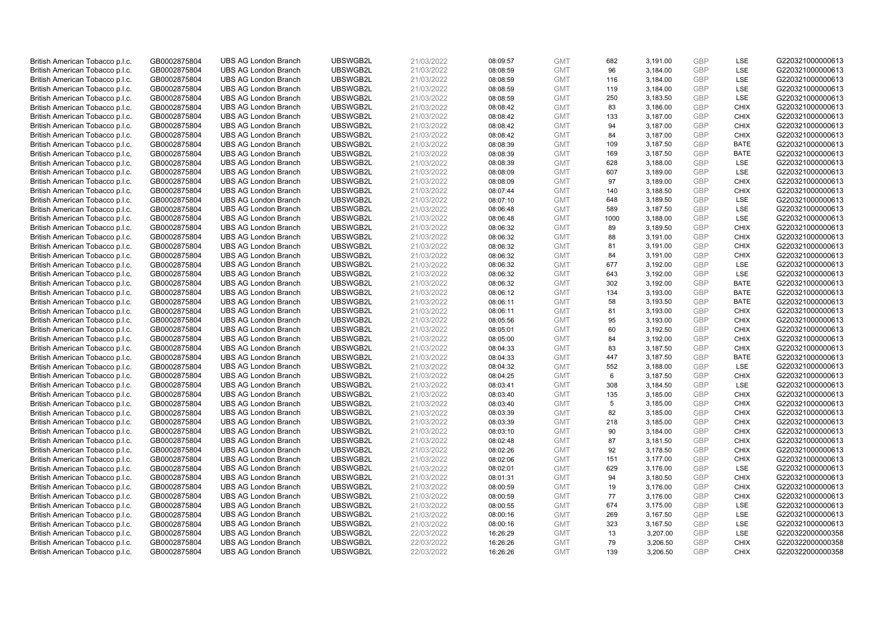| British American Tobacco p.l.c.                                    | GB0002875804                 | <b>UBS AG London Branch</b> | UBSWGB2L | 21/03/2022 | 08:09:57             | <b>GMT</b> | 682  | 3,191.00             | <b>GBP</b> | LSE         | G220321000000613 |
|--------------------------------------------------------------------|------------------------------|-----------------------------|----------|------------|----------------------|------------|------|----------------------|------------|-------------|------------------|
| British American Tobacco p.l.c.                                    | GB0002875804                 | <b>UBS AG London Branch</b> | UBSWGB2L | 21/03/2022 | 08:08:59             | <b>GMT</b> | 96   | 3,184.00             | GBP        | LSE         | G220321000000613 |
| British American Tobacco p.l.c.                                    | GB0002875804                 | <b>UBS AG London Branch</b> | UBSWGB2L | 21/03/2022 | 08:08:59             | <b>GMT</b> | 116  | 3,184.00             | <b>GBP</b> | LSE         | G220321000000613 |
| British American Tobacco p.l.c.                                    | GB0002875804                 | <b>UBS AG London Branch</b> | UBSWGB2L | 21/03/2022 | 08:08:59             | <b>GMT</b> | 119  | 3,184.00             | GBP        | LSE         | G220321000000613 |
| British American Tobacco p.l.c.                                    | GB0002875804                 | <b>UBS AG London Branch</b> | UBSWGB2L | 21/03/2022 | 08:08:59             | <b>GMT</b> | 250  | 3,183.50             | <b>GBP</b> | LSE         | G220321000000613 |
| British American Tobacco p.l.c.                                    | GB0002875804                 | <b>UBS AG London Branch</b> | UBSWGB2L | 21/03/2022 | 08:08:42             | <b>GMT</b> | 83   | 3,186.00             | GBP        | <b>CHIX</b> | G220321000000613 |
| British American Tobacco p.l.c.                                    | GB0002875804                 | <b>UBS AG London Branch</b> | UBSWGB2L | 21/03/2022 | 08:08:42             | <b>GMT</b> | 133  | 3,187.00             | <b>GBP</b> | <b>CHIX</b> | G220321000000613 |
| British American Tobacco p.l.c.                                    | GB0002875804                 | <b>UBS AG London Branch</b> | UBSWGB2L | 21/03/2022 | 08:08:42             | <b>GMT</b> | 94   | 3,187.00             | GBP        | <b>CHIX</b> | G220321000000613 |
| British American Tobacco p.l.c.                                    | GB0002875804                 | <b>UBS AG London Branch</b> | UBSWGB2L | 21/03/2022 | 08:08:42             | <b>GMT</b> | 84   | 3,187.00             | GBP        | <b>CHIX</b> | G220321000000613 |
| British American Tobacco p.l.c.                                    | GB0002875804                 | <b>UBS AG London Branch</b> | UBSWGB2L | 21/03/2022 | 08:08:39             | <b>GMT</b> | 109  | 3,187.50             | GBP        | <b>BATE</b> | G220321000000613 |
| British American Tobacco p.l.c.                                    | GB0002875804                 | <b>UBS AG London Branch</b> | UBSWGB2L | 21/03/2022 | 08:08:39             | <b>GMT</b> | 169  | 3,187.50             | GBP        | <b>BATE</b> | G220321000000613 |
| British American Tobacco p.l.c.                                    | GB0002875804                 | <b>UBS AG London Branch</b> | UBSWGB2L | 21/03/2022 | 08:08:39             | <b>GMT</b> | 628  | 3,188.00             | <b>GBP</b> | LSE         | G220321000000613 |
| British American Tobacco p.l.c.                                    | GB0002875804                 | <b>UBS AG London Branch</b> | UBSWGB2L | 21/03/2022 | 08:08:09             | <b>GMT</b> | 607  | 3,189.00             | <b>GBP</b> | LSE         | G220321000000613 |
| British American Tobacco p.l.c.                                    | GB0002875804                 | <b>UBS AG London Branch</b> | UBSWGB2L | 21/03/2022 | 08:08:09             | <b>GMT</b> | 97   | 3,189.00             | <b>GBP</b> | <b>CHIX</b> | G220321000000613 |
| British American Tobacco p.l.c.                                    | GB0002875804                 | <b>UBS AG London Branch</b> | UBSWGB2L | 21/03/2022 | 08:07:44             | <b>GMT</b> | 140  | 3,188.50             | GBP        | <b>CHIX</b> | G220321000000613 |
| British American Tobacco p.l.c.                                    | GB0002875804                 | <b>UBS AG London Branch</b> | UBSWGB2L | 21/03/2022 | 08:07:10             | <b>GMT</b> | 648  | 3,189.50             | <b>GBP</b> | <b>LSE</b>  | G220321000000613 |
| British American Tobacco p.l.c.                                    | GB0002875804                 | <b>UBS AG London Branch</b> | UBSWGB2L | 21/03/2022 | 08:06:48             | <b>GMT</b> | 589  | 3,187.50             | GBP        | LSE         | G220321000000613 |
| British American Tobacco p.l.c.                                    | GB0002875804                 | <b>UBS AG London Branch</b> | UBSWGB2L | 21/03/2022 | 08:06:48             | <b>GMT</b> | 1000 | 3,188.00             | <b>GBP</b> | LSE         | G220321000000613 |
| British American Tobacco p.l.c.                                    | GB0002875804                 | <b>UBS AG London Branch</b> | UBSWGB2L | 21/03/2022 | 08:06:32             | <b>GMT</b> | 89   | 3,189.50             | GBP        | <b>CHIX</b> | G220321000000613 |
| British American Tobacco p.l.c.                                    | GB0002875804                 | <b>UBS AG London Branch</b> | UBSWGB2L | 21/03/2022 | 08:06:32             | <b>GMT</b> | 88   | 3,191.00             | <b>GBP</b> | <b>CHIX</b> | G220321000000613 |
| British American Tobacco p.l.c.                                    | GB0002875804                 | <b>UBS AG London Branch</b> | UBSWGB2L | 21/03/2022 | 08:06:32             | <b>GMT</b> | 81   | 3,191.00             | GBP        | <b>CHIX</b> | G220321000000613 |
| British American Tobacco p.l.c.                                    | GB0002875804                 | <b>UBS AG London Branch</b> | UBSWGB2L | 21/03/2022 | 08:06:32             | <b>GMT</b> | 84   | 3,191.00             | GBP        | <b>CHIX</b> | G220321000000613 |
| British American Tobacco p.l.c.                                    | GB0002875804                 | <b>UBS AG London Branch</b> | UBSWGB2L | 21/03/2022 | 08:06:32             | <b>GMT</b> | 677  | 3,192.00             | GBP        | LSE         | G220321000000613 |
| British American Tobacco p.l.c.                                    | GB0002875804                 | <b>UBS AG London Branch</b> | UBSWGB2L | 21/03/2022 | 08:06:32             | <b>GMT</b> | 643  | 3,192.00             | GBP        | <b>LSE</b>  | G220321000000613 |
| British American Tobacco p.l.c.                                    | GB0002875804                 | <b>UBS AG London Branch</b> | UBSWGB2L | 21/03/2022 | 08:06:32             | <b>GMT</b> | 302  | 3,192.00             | <b>GBP</b> | <b>BATE</b> | G220321000000613 |
| British American Tobacco p.l.c.                                    | GB0002875804                 | <b>UBS AG London Branch</b> | UBSWGB2L | 21/03/2022 | 08:06:12             | <b>GMT</b> | 134  | 3,193.00             | <b>GBP</b> | <b>BATE</b> | G220321000000613 |
| British American Tobacco p.l.c.                                    | GB0002875804                 | <b>UBS AG London Branch</b> | UBSWGB2L | 21/03/2022 | 08:06:11             | <b>GMT</b> | 58   | 3,193.50             | <b>GBP</b> | <b>BATE</b> | G220321000000613 |
| British American Tobacco p.l.c.                                    | GB0002875804                 | <b>UBS AG London Branch</b> | UBSWGB2L | 21/03/2022 | 08:06:11             | <b>GMT</b> | 81   | 3,193.00             | GBP        | <b>CHIX</b> | G220321000000613 |
| British American Tobacco p.l.c.                                    | GB0002875804                 | <b>UBS AG London Branch</b> | UBSWGB2L | 21/03/2022 | 08:05:56             | <b>GMT</b> | 95   | 3,193.00             | <b>GBP</b> | <b>CHIX</b> | G220321000000613 |
| British American Tobacco p.l.c.                                    | GB0002875804                 | <b>UBS AG London Branch</b> | UBSWGB2L | 21/03/2022 | 08:05:01             | <b>GMT</b> | 60   | 3,192.50             | GBP        | <b>CHIX</b> | G220321000000613 |
| British American Tobacco p.l.c.                                    | GB0002875804                 | <b>UBS AG London Branch</b> | UBSWGB2L | 21/03/2022 | 08:05:00             | <b>GMT</b> | 84   | 3,192.00             | GBP        | <b>CHIX</b> | G220321000000613 |
| British American Tobacco p.l.c.                                    | GB0002875804                 | <b>UBS AG London Branch</b> | UBSWGB2L | 21/03/2022 | 08:04:33             | <b>GMT</b> | 83   | 3,187.50             | <b>GBP</b> | <b>CHIX</b> | G220321000000613 |
| British American Tobacco p.l.c.                                    | GB0002875804                 | <b>UBS AG London Branch</b> | UBSWGB2L | 21/03/2022 | 08:04:33             | <b>GMT</b> | 447  | 3,187.50             | <b>GBP</b> | <b>BATE</b> | G220321000000613 |
| British American Tobacco p.l.c.                                    | GB0002875804                 | <b>UBS AG London Branch</b> | UBSWGB2L | 21/03/2022 | 08:04:32             | <b>GMT</b> | 552  | 3,188.00             | GBP        | LSE         | G220321000000613 |
| British American Tobacco p.l.c.                                    | GB0002875804                 | <b>UBS AG London Branch</b> | UBSWGB2L | 21/03/2022 | 08:04:25             | <b>GMT</b> | 6    | 3,187.50             | GBP        | <b>CHIX</b> | G220321000000613 |
| British American Tobacco p.l.c.                                    | GB0002875804                 | <b>UBS AG London Branch</b> | UBSWGB2L | 21/03/2022 | 08:03:41             | <b>GMT</b> | 308  | 3,184.50             | GBP        | LSE         | G220321000000613 |
| British American Tobacco p.l.c.                                    | GB0002875804                 | <b>UBS AG London Branch</b> | UBSWGB2L | 21/03/2022 | 08:03:40             | <b>GMT</b> | 135  | 3,185.00             | GBP        | <b>CHIX</b> | G220321000000613 |
| British American Tobacco p.l.c.                                    | GB0002875804                 | <b>UBS AG London Branch</b> | UBSWGB2L | 21/03/2022 | 08:03:40             | <b>GMT</b> | 5    | 3,185.00             | <b>GBP</b> | <b>CHIX</b> | G220321000000613 |
| British American Tobacco p.l.c.                                    | GB0002875804                 | <b>UBS AG London Branch</b> | UBSWGB2L | 21/03/2022 | 08:03:39             | <b>GMT</b> | 82   | 3,185.00             | <b>GBP</b> | <b>CHIX</b> | G220321000000613 |
| British American Tobacco p.l.c.                                    | GB0002875804                 | <b>UBS AG London Branch</b> | UBSWGB2L | 21/03/2022 | 08:03:39             | <b>GMT</b> | 218  | 3,185.00             | <b>GBP</b> | <b>CHIX</b> | G220321000000613 |
| British American Tobacco p.l.c.                                    | GB0002875804                 | <b>UBS AG London Branch</b> | UBSWGB2L | 21/03/2022 | 08:03:10             | <b>GMT</b> | 90   | 3,184.00             | GBP        | <b>CHIX</b> | G220321000000613 |
| British American Tobacco p.l.c.                                    | GB0002875804                 | <b>UBS AG London Branch</b> | UBSWGB2L | 21/03/2022 | 08:02:48             | <b>GMT</b> | 87   | 3,181.50             | <b>GBP</b> | <b>CHIX</b> | G220321000000613 |
| British American Tobacco p.l.c.                                    | GB0002875804                 | <b>UBS AG London Branch</b> | UBSWGB2L | 21/03/2022 | 08:02:26             | <b>GMT</b> | 92   | 3,178.50             | <b>GBP</b> | <b>CHIX</b> | G220321000000613 |
| British American Tobacco p.l.c.                                    | GB0002875804                 | <b>UBS AG London Branch</b> | UBSWGB2L | 21/03/2022 | 08:02:06             | <b>GMT</b> | 151  | 3,177.00             | GBP        | <b>CHIX</b> | G220321000000613 |
| British American Tobacco p.l.c.                                    | GB0002875804                 | <b>UBS AG London Branch</b> | UBSWGB2L | 21/03/2022 | 08:02:01             | <b>GMT</b> | 629  | 3,176.00             | <b>GBP</b> | <b>LSE</b>  | G220321000000613 |
| British American Tobacco p.l.c.                                    | GB0002875804                 | <b>UBS AG London Branch</b> | UBSWGB2L | 21/03/2022 | 08:01:31             | <b>GMT</b> | 94   | 3,180.50             | <b>GBP</b> | <b>CHIX</b> | G220321000000613 |
| British American Tobacco p.l.c.                                    | GB0002875804                 | <b>UBS AG London Branch</b> | UBSWGB2L | 21/03/2022 | 08:00:59             | <b>GMT</b> | 19   | 3,176.00             | <b>GBP</b> | <b>CHIX</b> | G220321000000613 |
| British American Tobacco p.l.c.                                    | GB0002875804                 | <b>UBS AG London Branch</b> | UBSWGB2L | 21/03/2022 | 08:00:59             | <b>GMT</b> | 77   | 3,176.00             | <b>GBP</b> | <b>CHIX</b> | G220321000000613 |
| British American Tobacco p.l.c.                                    | GB0002875804                 | <b>UBS AG London Branch</b> | UBSWGB2L | 21/03/2022 | 08:00:55             | <b>GMT</b> | 674  | 3,175.00             | <b>GBP</b> | LSE         | G220321000000613 |
| British American Tobacco p.l.c.                                    | GB0002875804                 | <b>UBS AG London Branch</b> | UBSWGB2L | 21/03/2022 | 08:00:16             | <b>GMT</b> | 269  | 3,167.50             | <b>GBP</b> | LSE         | G220321000000613 |
| British American Tobacco p.l.c.                                    | GB0002875804                 | <b>UBS AG London Branch</b> | UBSWGB2L | 21/03/2022 | 08:00:16             | <b>GMT</b> | 323  | 3,167.50             | GBP        | LSE         | G220321000000613 |
| British American Tobacco p.l.c.                                    |                              | <b>UBS AG London Branch</b> | UBSWGB2L | 22/03/2022 | 16:26:29             | <b>GMT</b> | 13   | 3,207.00             | <b>GBP</b> | LSE         | G220322000000358 |
|                                                                    | GB0002875804<br>GB0002875804 | <b>UBS AG London Branch</b> | UBSWGB2L | 22/03/2022 |                      | <b>GMT</b> | 79   |                      | GBP        | <b>CHIX</b> | G220322000000358 |
| British American Tobacco p.l.c.<br>British American Tobacco p.l.c. | GB0002875804                 | <b>UBS AG London Branch</b> | UBSWGB2L | 22/03/2022 | 16:26:26<br>16:26:26 | <b>GMT</b> | 139  | 3,206.50<br>3,206.50 | GBP        | <b>CHIX</b> | G220322000000358 |
|                                                                    |                              |                             |          |            |                      |            |      |                      |            |             |                  |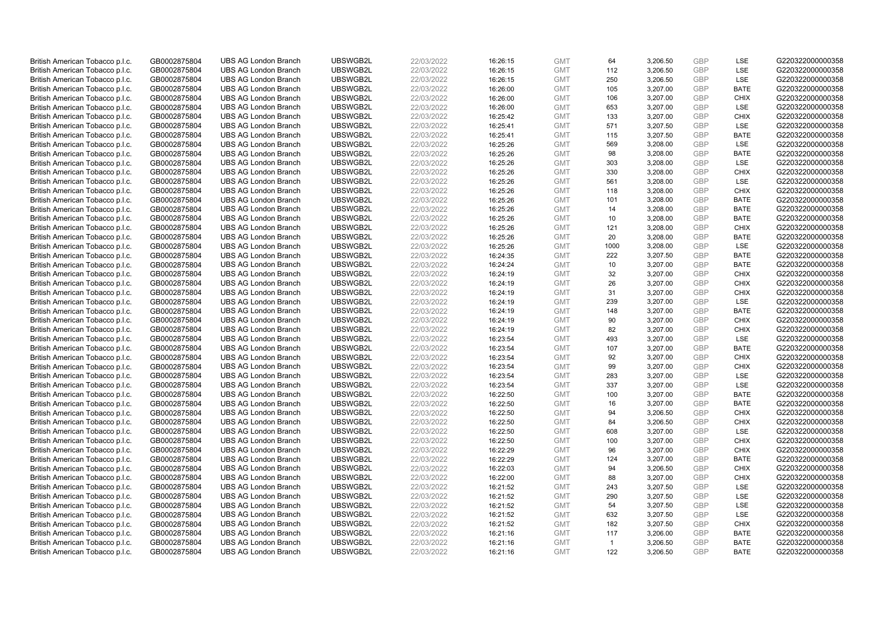| British American Tobacco p.l.c. | GB0002875804 | <b>UBS AG London Branch</b> | UBSWGB2L | 22/03/2022 | 16:26:15 | <b>GMT</b> | 64           | 3,206.50 | <b>GBP</b> | LSE         | G220322000000358 |
|---------------------------------|--------------|-----------------------------|----------|------------|----------|------------|--------------|----------|------------|-------------|------------------|
| British American Tobacco p.l.c. | GB0002875804 | <b>UBS AG London Branch</b> | UBSWGB2L | 22/03/2022 | 16:26:15 | <b>GMT</b> | 112          | 3,206.50 | GBP        | LSE         | G220322000000358 |
| British American Tobacco p.l.c. | GB0002875804 | <b>UBS AG London Branch</b> | UBSWGB2L | 22/03/2022 | 16:26:15 | <b>GMT</b> | 250          | 3,206.50 | <b>GBP</b> | LSE         | G220322000000358 |
| British American Tobacco p.l.c. | GB0002875804 | <b>UBS AG London Branch</b> | UBSWGB2L | 22/03/2022 | 16:26:00 | <b>GMT</b> | 105          | 3,207.00 | <b>GBP</b> | <b>BATE</b> | G220322000000358 |
| British American Tobacco p.l.c. | GB0002875804 | <b>UBS AG London Branch</b> | UBSWGB2L | 22/03/2022 | 16:26:00 | <b>GMT</b> | 106          | 3,207.00 | <b>GBP</b> | <b>CHIX</b> | G220322000000358 |
| British American Tobacco p.l.c. | GB0002875804 | <b>UBS AG London Branch</b> | UBSWGB2L | 22/03/2022 | 16:26:00 | <b>GMT</b> | 653          | 3,207.00 | <b>GBP</b> | LSE         | G220322000000358 |
| British American Tobacco p.l.c. | GB0002875804 | <b>UBS AG London Branch</b> | UBSWGB2L | 22/03/2022 | 16:25:42 | <b>GMT</b> | 133          | 3,207.00 | <b>GBP</b> | <b>CHIX</b> | G220322000000358 |
| British American Tobacco p.l.c. | GB0002875804 | <b>UBS AG London Branch</b> | UBSWGB2L | 22/03/2022 | 16:25:41 | <b>GMT</b> | 571          | 3,207.50 | <b>GBP</b> | LSE         | G220322000000358 |
| British American Tobacco p.l.c. | GB0002875804 | <b>UBS AG London Branch</b> | UBSWGB2L | 22/03/2022 | 16:25:41 | <b>GMT</b> | 115          | 3,207.50 | <b>GBP</b> | <b>BATE</b> | G220322000000358 |
| British American Tobacco p.l.c. | GB0002875804 | <b>UBS AG London Branch</b> | UBSWGB2L | 22/03/2022 | 16:25:26 | <b>GMT</b> | 569          | 3,208.00 | <b>GBP</b> | LSE         | G220322000000358 |
| British American Tobacco p.l.c. | GB0002875804 | <b>UBS AG London Branch</b> | UBSWGB2L | 22/03/2022 | 16:25:26 | <b>GMT</b> | 98           | 3,208.00 | <b>GBP</b> | <b>BATE</b> | G220322000000358 |
| British American Tobacco p.l.c. | GB0002875804 | <b>UBS AG London Branch</b> | UBSWGB2L | 22/03/2022 | 16:25:26 | <b>GMT</b> | 303          | 3,208.00 | <b>GBP</b> | LSE         | G220322000000358 |
| British American Tobacco p.l.c. | GB0002875804 | <b>UBS AG London Branch</b> | UBSWGB2L | 22/03/2022 | 16:25:26 | <b>GMT</b> | 330          | 3,208.00 | <b>GBP</b> | <b>CHIX</b> | G220322000000358 |
| British American Tobacco p.l.c. | GB0002875804 | <b>UBS AG London Branch</b> | UBSWGB2L | 22/03/2022 | 16:25:26 | <b>GMT</b> | 561          | 3,208.00 | <b>GBP</b> | <b>LSE</b>  | G220322000000358 |
| British American Tobacco p.l.c. | GB0002875804 | <b>UBS AG London Branch</b> | UBSWGB2L | 22/03/2022 | 16:25:26 | <b>GMT</b> | 118          | 3,208.00 | <b>GBP</b> | <b>CHIX</b> | G220322000000358 |
| British American Tobacco p.l.c. | GB0002875804 | <b>UBS AG London Branch</b> | UBSWGB2L | 22/03/2022 | 16:25:26 | <b>GMT</b> | 101          | 3,208.00 | <b>GBP</b> | <b>BATE</b> | G220322000000358 |
| British American Tobacco p.l.c. | GB0002875804 | <b>UBS AG London Branch</b> | UBSWGB2L | 22/03/2022 | 16:25:26 | <b>GMT</b> | 14           | 3,208.00 | <b>GBP</b> | <b>BATE</b> | G220322000000358 |
| British American Tobacco p.l.c. | GB0002875804 | <b>UBS AG London Branch</b> | UBSWGB2L | 22/03/2022 | 16:25:26 | <b>GMT</b> | 10           | 3,208.00 | <b>GBP</b> | <b>BATE</b> | G220322000000358 |
| British American Tobacco p.l.c. | GB0002875804 | <b>UBS AG London Branch</b> | UBSWGB2L | 22/03/2022 | 16:25:26 | <b>GMT</b> | 121          | 3,208.00 | <b>GBP</b> | <b>CHIX</b> | G220322000000358 |
| British American Tobacco p.l.c. | GB0002875804 | <b>UBS AG London Branch</b> | UBSWGB2L | 22/03/2022 | 16:25:26 | <b>GMT</b> | 20           | 3,208.00 | <b>GBP</b> | <b>BATE</b> | G220322000000358 |
| British American Tobacco p.l.c. | GB0002875804 | <b>UBS AG London Branch</b> | UBSWGB2L | 22/03/2022 | 16:25:26 | <b>GMT</b> | 1000         | 3,208.00 | <b>GBP</b> | <b>LSE</b>  | G220322000000358 |
| British American Tobacco p.l.c. | GB0002875804 | <b>UBS AG London Branch</b> | UBSWGB2L | 22/03/2022 | 16:24:35 | <b>GMT</b> | 222          | 3,207.50 | <b>GBP</b> | <b>BATE</b> | G220322000000358 |
| British American Tobacco p.l.c. | GB0002875804 | <b>UBS AG London Branch</b> | UBSWGB2L | 22/03/2022 | 16:24:24 | <b>GMT</b> | 10           | 3,207.00 | <b>GBP</b> | <b>BATE</b> | G220322000000358 |
| British American Tobacco p.l.c. | GB0002875804 | <b>UBS AG London Branch</b> | UBSWGB2L | 22/03/2022 | 16:24:19 | <b>GMT</b> | 32           | 3,207.00 | <b>GBP</b> | <b>CHIX</b> | G220322000000358 |
| British American Tobacco p.l.c. | GB0002875804 | <b>UBS AG London Branch</b> | UBSWGB2L | 22/03/2022 | 16:24:19 | <b>GMT</b> | 26           | 3,207.00 | <b>GBP</b> | <b>CHIX</b> | G220322000000358 |
| British American Tobacco p.l.c. | GB0002875804 | <b>UBS AG London Branch</b> | UBSWGB2L | 22/03/2022 | 16:24:19 | <b>GMT</b> | 31           | 3,207.00 | <b>GBP</b> | <b>CHIX</b> | G220322000000358 |
| British American Tobacco p.l.c. | GB0002875804 | <b>UBS AG London Branch</b> | UBSWGB2L | 22/03/2022 | 16:24:19 | <b>GMT</b> | 239          | 3,207.00 | <b>GBP</b> | LSE         | G220322000000358 |
| British American Tobacco p.l.c. | GB0002875804 | <b>UBS AG London Branch</b> | UBSWGB2L | 22/03/2022 | 16:24:19 | <b>GMT</b> | 148          | 3,207.00 | <b>GBP</b> | <b>BATE</b> | G220322000000358 |
| British American Tobacco p.l.c. | GB0002875804 | <b>UBS AG London Branch</b> | UBSWGB2L | 22/03/2022 | 16:24:19 | <b>GMT</b> | 90           | 3,207.00 | <b>GBP</b> | <b>CHIX</b> | G220322000000358 |
| British American Tobacco p.l.c. | GB0002875804 | <b>UBS AG London Branch</b> | UBSWGB2L | 22/03/2022 | 16:24:19 | <b>GMT</b> | 82           | 3,207.00 | <b>GBP</b> | <b>CHIX</b> | G220322000000358 |
| British American Tobacco p.l.c. | GB0002875804 | <b>UBS AG London Branch</b> | UBSWGB2L | 22/03/2022 | 16:23:54 | <b>GMT</b> | 493          | 3,207.00 | <b>GBP</b> | LSE         | G220322000000358 |
| British American Tobacco p.l.c. | GB0002875804 | <b>UBS AG London Branch</b> | UBSWGB2L | 22/03/2022 | 16:23:54 | <b>GMT</b> | 107          | 3,207.00 | <b>GBP</b> | <b>BATE</b> | G220322000000358 |
| British American Tobacco p.l.c. | GB0002875804 | <b>UBS AG London Branch</b> | UBSWGB2L | 22/03/2022 | 16:23:54 | <b>GMT</b> | 92           | 3,207.00 | <b>GBP</b> | <b>CHIX</b> | G220322000000358 |
| British American Tobacco p.l.c. | GB0002875804 | <b>UBS AG London Branch</b> | UBSWGB2L | 22/03/2022 | 16:23:54 | <b>GMT</b> | 99           | 3,207.00 | <b>GBP</b> | <b>CHIX</b> | G220322000000358 |
| British American Tobacco p.l.c. | GB0002875804 | UBS AG London Branch        | UBSWGB2L | 22/03/2022 | 16:23:54 | <b>GMT</b> | 283          | 3,207.00 | GBP        | LSE         | G220322000000358 |
| British American Tobacco p.l.c. | GB0002875804 | <b>UBS AG London Branch</b> | UBSWGB2L | 22/03/2022 | 16:23:54 | <b>GMT</b> | 337          | 3,207.00 | <b>GBP</b> | LSE         | G220322000000358 |
| British American Tobacco p.l.c. | GB0002875804 | <b>UBS AG London Branch</b> | UBSWGB2L | 22/03/2022 | 16:22:50 | <b>GMT</b> | 100          | 3,207.00 | <b>GBP</b> | <b>BATE</b> | G220322000000358 |
| British American Tobacco p.l.c. | GB0002875804 | <b>UBS AG London Branch</b> | UBSWGB2L | 22/03/2022 | 16:22:50 | <b>GMT</b> | 16           | 3,207.00 | <b>GBP</b> | <b>BATE</b> | G220322000000358 |
| British American Tobacco p.l.c. | GB0002875804 | <b>UBS AG London Branch</b> | UBSWGB2L | 22/03/2022 | 16:22:50 | <b>GMT</b> | 94           | 3,206.50 | <b>GBP</b> | <b>CHIX</b> | G220322000000358 |
| British American Tobacco p.l.c. | GB0002875804 | <b>UBS AG London Branch</b> | UBSWGB2L | 22/03/2022 | 16:22:50 | <b>GMT</b> | 84           | 3,206.50 | <b>GBP</b> | <b>CHIX</b> | G220322000000358 |
| British American Tobacco p.l.c. | GB0002875804 | <b>UBS AG London Branch</b> | UBSWGB2L | 22/03/2022 | 16:22:50 | <b>GMT</b> | 608          | 3,207.00 | <b>GBP</b> | LSE         | G220322000000358 |
| British American Tobacco p.l.c. | GB0002875804 | <b>UBS AG London Branch</b> | UBSWGB2L | 22/03/2022 | 16:22:50 | <b>GMT</b> | 100          | 3,207.00 | <b>GBP</b> | <b>CHIX</b> | G220322000000358 |
| British American Tobacco p.l.c. | GB0002875804 | <b>UBS AG London Branch</b> | UBSWGB2L | 22/03/2022 | 16:22:29 | <b>GMT</b> | 96           | 3,207.00 | <b>GBP</b> | <b>CHIX</b> | G220322000000358 |
| British American Tobacco p.l.c. | GB0002875804 | <b>UBS AG London Branch</b> | UBSWGB2L | 22/03/2022 | 16:22:29 | <b>GMT</b> | 124          | 3,207.00 | <b>GBP</b> | <b>BATE</b> | G220322000000358 |
| British American Tobacco p.l.c. | GB0002875804 | <b>UBS AG London Branch</b> | UBSWGB2L | 22/03/2022 | 16:22:03 | <b>GMT</b> | 94           | 3,206.50 | <b>GBP</b> | <b>CHIX</b> | G220322000000358 |
| British American Tobacco p.l.c. | GB0002875804 | <b>UBS AG London Branch</b> | UBSWGB2L | 22/03/2022 | 16:22:00 | <b>GMT</b> | 88           | 3,207.00 | <b>GBP</b> | <b>CHIX</b> | G220322000000358 |
| British American Tobacco p.l.c. | GB0002875804 | <b>UBS AG London Branch</b> | UBSWGB2L | 22/03/2022 | 16:21:52 | <b>GMT</b> | 243          | 3,207.50 | <b>GBP</b> | LSE         | G220322000000358 |
| British American Tobacco p.l.c. | GB0002875804 | <b>UBS AG London Branch</b> | UBSWGB2L | 22/03/2022 | 16:21:52 | <b>GMT</b> | 290          | 3,207.50 | <b>GBP</b> | LSE         | G220322000000358 |
| British American Tobacco p.l.c. | GB0002875804 | <b>UBS AG London Branch</b> | UBSWGB2L | 22/03/2022 | 16:21:52 | <b>GMT</b> | 54           | 3,207.50 | <b>GBP</b> | LSE         | G220322000000358 |
| British American Tobacco p.l.c. | GB0002875804 | <b>UBS AG London Branch</b> | UBSWGB2L | 22/03/2022 | 16:21:52 | <b>GMT</b> | 632          | 3,207.50 | <b>GBP</b> | LSE         | G220322000000358 |
| British American Tobacco p.l.c. | GB0002875804 | <b>UBS AG London Branch</b> | UBSWGB2L | 22/03/2022 | 16:21:52 | <b>GMT</b> | 182          | 3,207.50 | <b>GBP</b> | <b>CHIX</b> | G220322000000358 |
| British American Tobacco p.l.c. | GB0002875804 | <b>UBS AG London Branch</b> | UBSWGB2L | 22/03/2022 | 16:21:16 | <b>GMT</b> | 117          | 3,206.00 | <b>GBP</b> | <b>BATE</b> | G220322000000358 |
| British American Tobacco p.l.c. | GB0002875804 | <b>UBS AG London Branch</b> | UBSWGB2L | 22/03/2022 | 16:21:16 | <b>GMT</b> | $\mathbf{1}$ | 3,206.50 | <b>GBP</b> | <b>BATE</b> | G220322000000358 |
| British American Tobacco p.l.c. | GB0002875804 | <b>UBS AG London Branch</b> | UBSWGB2L | 22/03/2022 | 16:21:16 | <b>GMT</b> | 122          | 3,206.50 | GBP        | <b>BATE</b> | G220322000000358 |
|                                 |              |                             |          |            |          |            |              |          |            |             |                  |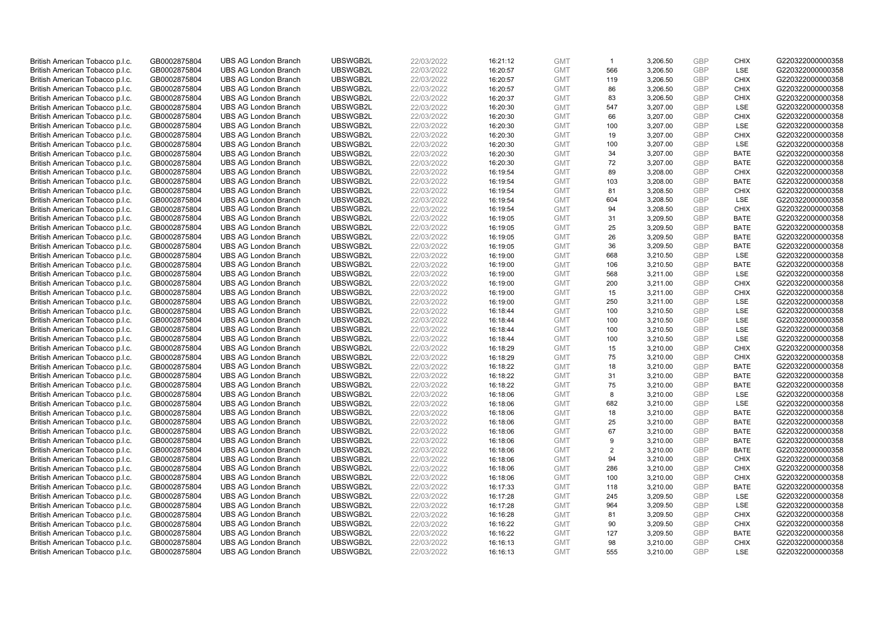| British American Tobacco p.l.c. | GB0002875804 | <b>UBS AG London Branch</b> | UBSWGB2L | 22/03/2022 | 16:21:12 | <b>GMT</b> | $\mathbf{1}$   | 3,206.50 | <b>GBP</b> | <b>CHIX</b> | G220322000000358 |
|---------------------------------|--------------|-----------------------------|----------|------------|----------|------------|----------------|----------|------------|-------------|------------------|
| British American Tobacco p.l.c. | GB0002875804 | <b>UBS AG London Branch</b> | UBSWGB2L | 22/03/2022 | 16:20:57 | <b>GMT</b> | 566            | 3,206.50 | <b>GBP</b> | LSE         | G220322000000358 |
| British American Tobacco p.l.c. | GB0002875804 | <b>UBS AG London Branch</b> | UBSWGB2L | 22/03/2022 | 16:20:57 | <b>GMT</b> | 119            | 3,206.50 | <b>GBP</b> | <b>CHIX</b> | G220322000000358 |
| British American Tobacco p.l.c. | GB0002875804 | <b>UBS AG London Branch</b> | UBSWGB2L | 22/03/2022 | 16:20:57 | <b>GMT</b> | 86             | 3,206.50 | <b>GBP</b> | <b>CHIX</b> | G220322000000358 |
| British American Tobacco p.l.c. | GB0002875804 | <b>UBS AG London Branch</b> | UBSWGB2L | 22/03/2022 | 16:20:37 | <b>GMT</b> | 83             | 3,206.50 | <b>GBP</b> | <b>CHIX</b> | G220322000000358 |
| British American Tobacco p.l.c. | GB0002875804 | <b>UBS AG London Branch</b> | UBSWGB2L | 22/03/2022 | 16:20:30 | <b>GMT</b> | 547            | 3,207.00 | <b>GBP</b> | <b>LSE</b>  | G220322000000358 |
| British American Tobacco p.l.c. | GB0002875804 | <b>UBS AG London Branch</b> | UBSWGB2L | 22/03/2022 | 16:20:30 | <b>GMT</b> | 66             | 3,207.00 | <b>GBP</b> | <b>CHIX</b> | G220322000000358 |
| British American Tobacco p.l.c. | GB0002875804 | <b>UBS AG London Branch</b> | UBSWGB2L | 22/03/2022 | 16:20:30 | <b>GMT</b> | 100            | 3,207.00 | <b>GBP</b> | LSE         | G220322000000358 |
| British American Tobacco p.l.c. | GB0002875804 | <b>UBS AG London Branch</b> | UBSWGB2L | 22/03/2022 | 16:20:30 | <b>GMT</b> | 19             | 3,207.00 | <b>GBP</b> | <b>CHIX</b> | G220322000000358 |
| British American Tobacco p.l.c. | GB0002875804 | <b>UBS AG London Branch</b> | UBSWGB2L | 22/03/2022 | 16:20:30 | <b>GMT</b> | 100            | 3,207.00 | <b>GBP</b> | LSE         | G220322000000358 |
| British American Tobacco p.l.c. | GB0002875804 | <b>UBS AG London Branch</b> | UBSWGB2L | 22/03/2022 | 16:20:30 | <b>GMT</b> | 34             | 3,207.00 | <b>GBP</b> | <b>BATE</b> | G220322000000358 |
| British American Tobacco p.l.c. | GB0002875804 | <b>UBS AG London Branch</b> | UBSWGB2L | 22/03/2022 | 16:20:30 | <b>GMT</b> | 72             | 3,207.00 | <b>GBP</b> | <b>BATE</b> | G220322000000358 |
| British American Tobacco p.l.c. | GB0002875804 | <b>UBS AG London Branch</b> | UBSWGB2L | 22/03/2022 | 16:19:54 | <b>GMT</b> | 89             | 3,208.00 | <b>GBP</b> | <b>CHIX</b> | G220322000000358 |
| British American Tobacco p.l.c. | GB0002875804 | <b>UBS AG London Branch</b> | UBSWGB2L | 22/03/2022 | 16:19:54 | <b>GMT</b> | 103            | 3,208.00 | <b>GBP</b> | <b>BATE</b> | G220322000000358 |
| British American Tobacco p.l.c. | GB0002875804 | <b>UBS AG London Branch</b> | UBSWGB2L | 22/03/2022 | 16:19:54 | <b>GMT</b> | 81             | 3,208.50 | <b>GBP</b> | <b>CHIX</b> | G220322000000358 |
| British American Tobacco p.l.c. | GB0002875804 | <b>UBS AG London Branch</b> | UBSWGB2L | 22/03/2022 | 16:19:54 | <b>GMT</b> | 604            | 3,208.50 | <b>GBP</b> | <b>LSE</b>  | G220322000000358 |
| British American Tobacco p.l.c. | GB0002875804 | <b>UBS AG London Branch</b> | UBSWGB2L | 22/03/2022 | 16:19:54 | <b>GMT</b> | 94             | 3,208.50 | <b>GBP</b> | <b>CHIX</b> | G220322000000358 |
| British American Tobacco p.l.c. | GB0002875804 | <b>UBS AG London Branch</b> | UBSWGB2L | 22/03/2022 | 16:19:05 | <b>GMT</b> | 31             | 3,209.50 | <b>GBP</b> | <b>BATE</b> | G220322000000358 |
| British American Tobacco p.l.c. | GB0002875804 | <b>UBS AG London Branch</b> | UBSWGB2L | 22/03/2022 | 16:19:05 | <b>GMT</b> | 25             | 3,209.50 | <b>GBP</b> | <b>BATE</b> | G220322000000358 |
| British American Tobacco p.l.c. | GB0002875804 | <b>UBS AG London Branch</b> | UBSWGB2L | 22/03/2022 | 16:19:05 | <b>GMT</b> | 26             | 3,209.50 | <b>GBP</b> | <b>BATE</b> | G220322000000358 |
| British American Tobacco p.l.c. | GB0002875804 | <b>UBS AG London Branch</b> | UBSWGB2L | 22/03/2022 | 16:19:05 | <b>GMT</b> | 36             | 3,209.50 | <b>GBP</b> | <b>BATE</b> | G220322000000358 |
| British American Tobacco p.l.c. | GB0002875804 | <b>UBS AG London Branch</b> | UBSWGB2L | 22/03/2022 | 16:19:00 | <b>GMT</b> | 668            | 3,210.50 | <b>GBP</b> | LSE         | G220322000000358 |
| British American Tobacco p.l.c. | GB0002875804 | <b>UBS AG London Branch</b> | UBSWGB2L | 22/03/2022 | 16:19:00 | <b>GMT</b> | 106            | 3,210.50 | <b>GBP</b> | <b>BATE</b> | G220322000000358 |
| British American Tobacco p.l.c. | GB0002875804 | <b>UBS AG London Branch</b> | UBSWGB2L | 22/03/2022 | 16:19:00 | <b>GMT</b> | 568            | 3,211.00 | <b>GBP</b> | <b>LSE</b>  | G220322000000358 |
| British American Tobacco p.l.c. | GB0002875804 | <b>UBS AG London Branch</b> | UBSWGB2L | 22/03/2022 | 16:19:00 | <b>GMT</b> | 200            | 3,211.00 | <b>GBP</b> | <b>CHIX</b> | G220322000000358 |
| British American Tobacco p.l.c. | GB0002875804 | <b>UBS AG London Branch</b> | UBSWGB2L | 22/03/2022 | 16:19:00 | <b>GMT</b> | 15             | 3,211.00 | <b>GBP</b> | <b>CHIX</b> | G220322000000358 |
| British American Tobacco p.l.c. | GB0002875804 | <b>UBS AG London Branch</b> | UBSWGB2L | 22/03/2022 | 16:19:00 | <b>GMT</b> | 250            | 3,211.00 | <b>GBP</b> | LSE         | G220322000000358 |
| British American Tobacco p.l.c. | GB0002875804 | <b>UBS AG London Branch</b> | UBSWGB2L | 22/03/2022 | 16:18:44 | <b>GMT</b> | 100            | 3,210.50 | <b>GBP</b> | <b>LSE</b>  | G220322000000358 |
| British American Tobacco p.l.c. | GB0002875804 | <b>UBS AG London Branch</b> | UBSWGB2L | 22/03/2022 | 16:18:44 | <b>GMT</b> | 100            | 3,210.50 | <b>GBP</b> | LSE         | G220322000000358 |
| British American Tobacco p.l.c. | GB0002875804 | <b>UBS AG London Branch</b> | UBSWGB2L | 22/03/2022 | 16:18:44 | <b>GMT</b> | 100            | 3,210.50 | <b>GBP</b> | LSE         | G220322000000358 |
| British American Tobacco p.l.c. | GB0002875804 | <b>UBS AG London Branch</b> | UBSWGB2L | 22/03/2022 | 16:18:44 | <b>GMT</b> | 100            | 3,210.50 | <b>GBP</b> | LSE         | G220322000000358 |
| British American Tobacco p.l.c. | GB0002875804 | <b>UBS AG London Branch</b> | UBSWGB2L | 22/03/2022 | 16:18:29 | <b>GMT</b> | 15             | 3,210.00 | <b>GBP</b> | <b>CHIX</b> | G220322000000358 |
| British American Tobacco p.l.c. | GB0002875804 | <b>UBS AG London Branch</b> | UBSWGB2L | 22/03/2022 | 16:18:29 | <b>GMT</b> | 75             | 3,210.00 | <b>GBP</b> | CHIX        | G220322000000358 |
| British American Tobacco p.l.c. | GB0002875804 | <b>UBS AG London Branch</b> | UBSWGB2L | 22/03/2022 | 16:18:22 | <b>GMT</b> | 18             | 3,210.00 | <b>GBP</b> | <b>BATE</b> | G220322000000358 |
| British American Tobacco p.l.c. | GB0002875804 | <b>UBS AG London Branch</b> | UBSWGB2L | 22/03/2022 | 16:18:22 | <b>GMT</b> | 31             | 3,210.00 | GBP        | <b>BATE</b> | G220322000000358 |
| British American Tobacco p.l.c. | GB0002875804 | <b>UBS AG London Branch</b> | UBSWGB2L | 22/03/2022 | 16:18:22 | <b>GMT</b> | 75             | 3,210.00 | <b>GBP</b> | <b>BATE</b> | G220322000000358 |
| British American Tobacco p.l.c. | GB0002875804 | <b>UBS AG London Branch</b> | UBSWGB2L | 22/03/2022 | 16:18:06 | <b>GMT</b> | 8              | 3,210.00 | GBP        | <b>LSE</b>  | G220322000000358 |
| British American Tobacco p.l.c. | GB0002875804 | <b>UBS AG London Branch</b> | UBSWGB2L | 22/03/2022 | 16:18:06 | <b>GMT</b> | 682            | 3,210.00 | <b>GBP</b> | LSE         | G220322000000358 |
| British American Tobacco p.l.c. | GB0002875804 | <b>UBS AG London Branch</b> | UBSWGB2L | 22/03/2022 | 16:18:06 | <b>GMT</b> | 18             | 3,210.00 | <b>GBP</b> | <b>BATE</b> | G220322000000358 |
| British American Tobacco p.l.c. | GB0002875804 | <b>UBS AG London Branch</b> | UBSWGB2L | 22/03/2022 | 16:18:06 | <b>GMT</b> | 25             | 3,210.00 | <b>GBP</b> | <b>BATE</b> | G220322000000358 |
| British American Tobacco p.l.c. | GB0002875804 | <b>UBS AG London Branch</b> | UBSWGB2L | 22/03/2022 | 16:18:06 | <b>GMT</b> | 67             | 3,210.00 | <b>GBP</b> | <b>BATE</b> | G220322000000358 |
| British American Tobacco p.l.c. | GB0002875804 | <b>UBS AG London Branch</b> | UBSWGB2L | 22/03/2022 | 16:18:06 | <b>GMT</b> | 9              | 3,210.00 | <b>GBP</b> | <b>BATE</b> | G220322000000358 |
| British American Tobacco p.l.c. | GB0002875804 | <b>UBS AG London Branch</b> | UBSWGB2L | 22/03/2022 | 16:18:06 | <b>GMT</b> | $\overline{2}$ | 3,210.00 | <b>GBP</b> | <b>BATE</b> | G220322000000358 |
| British American Tobacco p.l.c. | GB0002875804 | <b>UBS AG London Branch</b> | UBSWGB2L | 22/03/2022 | 16:18:06 | <b>GMT</b> | 94             | 3,210.00 | <b>GBP</b> | <b>CHIX</b> | G220322000000358 |
| British American Tobacco p.l.c. | GB0002875804 | <b>UBS AG London Branch</b> | UBSWGB2L | 22/03/2022 | 16:18:06 | <b>GMT</b> | 286            | 3,210.00 | <b>GBP</b> | <b>CHIX</b> | G220322000000358 |
| British American Tobacco p.l.c. | GB0002875804 | <b>UBS AG London Branch</b> | UBSWGB2L | 22/03/2022 | 16:18:06 | <b>GMT</b> | 100            | 3,210.00 | <b>GBP</b> | <b>CHIX</b> | G220322000000358 |
| British American Tobacco p.l.c. | GB0002875804 | <b>UBS AG London Branch</b> | UBSWGB2L | 22/03/2022 | 16:17:33 | <b>GMT</b> | 118            | 3,210.00 | <b>GBP</b> | <b>BATE</b> | G220322000000358 |
| British American Tobacco p.l.c. | GB0002875804 | <b>UBS AG London Branch</b> | UBSWGB2L | 22/03/2022 | 16:17:28 | <b>GMT</b> | 245            | 3,209.50 | <b>GBP</b> | LSE         | G220322000000358 |
| British American Tobacco p.l.c. | GB0002875804 | <b>UBS AG London Branch</b> | UBSWGB2L | 22/03/2022 | 16:17:28 | <b>GMT</b> | 964            | 3,209.50 | <b>GBP</b> | LSE         | G220322000000358 |
| British American Tobacco p.l.c. | GB0002875804 | <b>UBS AG London Branch</b> | UBSWGB2L | 22/03/2022 | 16:16:28 | <b>GMT</b> | 81             | 3,209.50 | <b>GBP</b> | <b>CHIX</b> | G220322000000358 |
| British American Tobacco p.l.c. | GB0002875804 | <b>UBS AG London Branch</b> | UBSWGB2L | 22/03/2022 | 16:16:22 | <b>GMT</b> | 90             | 3,209.50 | <b>GBP</b> | <b>CHIX</b> | G220322000000358 |
| British American Tobacco p.l.c. | GB0002875804 | <b>UBS AG London Branch</b> | UBSWGB2L | 22/03/2022 | 16:16:22 | <b>GMT</b> | 127            | 3,209.50 | <b>GBP</b> | <b>BATE</b> | G220322000000358 |
| British American Tobacco p.l.c. | GB0002875804 | <b>UBS AG London Branch</b> | UBSWGB2L | 22/03/2022 | 16:16:13 | <b>GMT</b> | 98             | 3,210.00 | <b>GBP</b> | <b>CHIX</b> | G220322000000358 |
| British American Tobacco p.l.c. | GB0002875804 | <b>UBS AG London Branch</b> | UBSWGB2L | 22/03/2022 | 16:16:13 | <b>GMT</b> | 555            | 3,210.00 | GBP        | <b>LSE</b>  | G220322000000358 |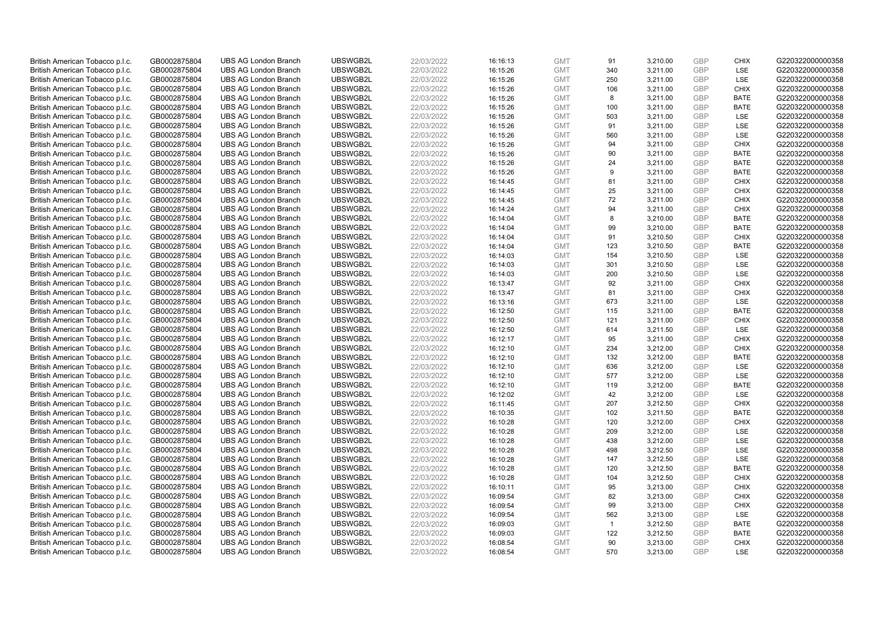| British American Tobacco p.l.c. | GB0002875804                 | <b>UBS AG London Branch</b> | UBSWGB2L | 22/03/2022               |          | <b>GMT</b> | 91           | 3,210.00 | <b>GBP</b> | <b>CHIX</b> | G220322000000358 |
|---------------------------------|------------------------------|-----------------------------|----------|--------------------------|----------|------------|--------------|----------|------------|-------------|------------------|
|                                 |                              |                             |          |                          | 16:16:13 |            |              |          | GBP        | LSE         |                  |
| British American Tobacco p.l.c. | GB0002875804                 | <b>UBS AG London Branch</b> | UBSWGB2L | 22/03/2022               | 16:15:26 | <b>GMT</b> | 340          | 3,211.00 |            |             | G220322000000358 |
| British American Tobacco p.l.c. | GB0002875804                 | <b>UBS AG London Branch</b> | UBSWGB2L | 22/03/2022               | 16:15:26 | <b>GMT</b> | 250          | 3,211.00 | <b>GBP</b> | LSE         | G220322000000358 |
| British American Tobacco p.l.c. | GB0002875804                 | <b>UBS AG London Branch</b> | UBSWGB2L | 22/03/2022               | 16:15:26 | <b>GMT</b> | 106          | 3,211.00 | <b>GBP</b> | <b>CHIX</b> | G220322000000358 |
| British American Tobacco p.l.c. | GB0002875804                 | <b>UBS AG London Branch</b> | UBSWGB2L | 22/03/2022               | 16:15:26 | <b>GMT</b> | 8            | 3,211.00 | <b>GBP</b> | <b>BATE</b> | G220322000000358 |
| British American Tobacco p.l.c. | GB0002875804                 | <b>UBS AG London Branch</b> | UBSWGB2L | 22/03/2022               | 16:15:26 | <b>GMT</b> | 100          | 3,211.00 | <b>GBP</b> | BATE        | G220322000000358 |
| British American Tobacco p.l.c. | GB0002875804                 | <b>UBS AG London Branch</b> | UBSWGB2L | 22/03/2022               | 16:15:26 | <b>GMT</b> | 503          | 3,211.00 | <b>GBP</b> | LSE         | G220322000000358 |
| British American Tobacco p.l.c. | GB0002875804                 | <b>UBS AG London Branch</b> | UBSWGB2L | 22/03/2022               | 16:15:26 | <b>GMT</b> | 91           | 3,211.00 | <b>GBP</b> | LSE         | G220322000000358 |
| British American Tobacco p.l.c. | GB0002875804                 | <b>UBS AG London Branch</b> | UBSWGB2L | 22/03/2022               | 16:15:26 | <b>GMT</b> | 560          | 3,211.00 | <b>GBP</b> | LSE         | G220322000000358 |
| British American Tobacco p.l.c. | GB0002875804                 | <b>UBS AG London Branch</b> | UBSWGB2L | 22/03/2022               | 16:15:26 | <b>GMT</b> | 94           | 3,211.00 | <b>GBP</b> | <b>CHIX</b> | G220322000000358 |
| British American Tobacco p.l.c. | GB0002875804                 | <b>UBS AG London Branch</b> | UBSWGB2L | 22/03/2022               | 16:15:26 | <b>GMT</b> | 90           | 3,211.00 | <b>GBP</b> | <b>BATE</b> | G220322000000358 |
| British American Tobacco p.l.c. | GB0002875804                 | <b>UBS AG London Branch</b> | UBSWGB2L | 22/03/2022               | 16:15:26 | <b>GMT</b> | 24           | 3,211.00 | <b>GBP</b> | <b>BATE</b> | G220322000000358 |
| British American Tobacco p.l.c. | GB0002875804                 | <b>UBS AG London Branch</b> | UBSWGB2L | 22/03/2022               | 16:15:26 | <b>GMT</b> | 9            | 3,211.00 | <b>GBP</b> | <b>BATE</b> | G220322000000358 |
| British American Tobacco p.l.c. | GB0002875804                 | <b>UBS AG London Branch</b> | UBSWGB2L | 22/03/2022               | 16:14:45 | <b>GMT</b> | 81           | 3,211.00 | <b>GBP</b> | <b>CHIX</b> | G220322000000358 |
| British American Tobacco p.l.c. | GB0002875804                 | <b>UBS AG London Branch</b> | UBSWGB2L | 22/03/2022               | 16:14:45 | <b>GMT</b> | 25           | 3,211.00 | <b>GBP</b> | <b>CHIX</b> | G220322000000358 |
| British American Tobacco p.l.c. | GB0002875804                 | <b>UBS AG London Branch</b> | UBSWGB2L | 22/03/2022               | 16:14:45 | <b>GMT</b> | 72           | 3,211.00 | <b>GBP</b> | <b>CHIX</b> | G220322000000358 |
| British American Tobacco p.l.c. | GB0002875804                 | <b>UBS AG London Branch</b> | UBSWGB2L | 22/03/2022               | 16:14:24 | <b>GMT</b> | 94           | 3,211.00 | <b>GBP</b> | <b>CHIX</b> | G220322000000358 |
| British American Tobacco p.l.c. | GB0002875804                 | <b>UBS AG London Branch</b> | UBSWGB2L | 22/03/2022               | 16:14:04 | <b>GMT</b> | 8            | 3,210.00 | <b>GBP</b> | <b>BATE</b> | G220322000000358 |
| British American Tobacco p.l.c. | GB0002875804                 | <b>UBS AG London Branch</b> | UBSWGB2L | 22/03/2022               | 16:14:04 | <b>GMT</b> | 99           | 3,210.00 | <b>GBP</b> | <b>BATE</b> | G220322000000358 |
| British American Tobacco p.l.c. | GB0002875804                 | <b>UBS AG London Branch</b> | UBSWGB2L | 22/03/2022               | 16:14:04 | <b>GMT</b> | 91           | 3,210.50 | <b>GBP</b> | <b>CHIX</b> | G220322000000358 |
| British American Tobacco p.l.c. | GB0002875804                 | <b>UBS AG London Branch</b> | UBSWGB2L | 22/03/2022               | 16:14:04 | <b>GMT</b> | 123          | 3,210.50 | <b>GBP</b> | <b>BATE</b> | G220322000000358 |
| British American Tobacco p.l.c. | GB0002875804                 | <b>UBS AG London Branch</b> | UBSWGB2L | 22/03/2022               | 16:14:03 | <b>GMT</b> | 154          | 3,210.50 | <b>GBP</b> | LSE         | G220322000000358 |
| British American Tobacco p.l.c. | GB0002875804                 | <b>UBS AG London Branch</b> | UBSWGB2L | 22/03/2022               | 16:14:03 | <b>GMT</b> | 301          | 3,210.50 | <b>GBP</b> | LSE         | G220322000000358 |
| British American Tobacco p.l.c. | GB0002875804                 | <b>UBS AG London Branch</b> | UBSWGB2L | 22/03/2022               | 16:14:03 | <b>GMT</b> | 200          | 3,210.50 | <b>GBP</b> | LSE         | G220322000000358 |
| British American Tobacco p.l.c. | GB0002875804                 | <b>UBS AG London Branch</b> | UBSWGB2L | 22/03/2022               | 16:13:47 | <b>GMT</b> | 92           | 3,211.00 | <b>GBP</b> | <b>CHIX</b> | G220322000000358 |
| British American Tobacco p.l.c. | GB0002875804                 | <b>UBS AG London Branch</b> | UBSWGB2L | 22/03/2022               | 16:13:47 | <b>GMT</b> | 81           | 3,211.00 | <b>GBP</b> | <b>CHIX</b> | G220322000000358 |
| British American Tobacco p.l.c. | GB0002875804                 | <b>UBS AG London Branch</b> | UBSWGB2L | 22/03/2022               | 16:13:16 | <b>GMT</b> | 673          | 3,211.00 | <b>GBP</b> | <b>LSE</b>  | G220322000000358 |
| British American Tobacco p.l.c. | GB0002875804                 | <b>UBS AG London Branch</b> | UBSWGB2L | 22/03/2022               | 16:12:50 | <b>GMT</b> | 115          | 3,211.00 | <b>GBP</b> | <b>BATE</b> | G220322000000358 |
| British American Tobacco p.l.c. | GB0002875804                 | <b>UBS AG London Branch</b> | UBSWGB2L | 22/03/2022               | 16:12:50 | <b>GMT</b> | 121          | 3,211.00 | <b>GBP</b> | <b>CHIX</b> | G220322000000358 |
| British American Tobacco p.l.c. | GB0002875804                 | <b>UBS AG London Branch</b> | UBSWGB2L | 22/03/2022               | 16:12:50 | <b>GMT</b> | 614          | 3,211.50 | <b>GBP</b> | LSE         | G220322000000358 |
| British American Tobacco p.l.c. | GB0002875804                 | <b>UBS AG London Branch</b> | UBSWGB2L | 22/03/2022               | 16:12:17 | <b>GMT</b> | 95           | 3,211.00 | <b>GBP</b> | <b>CHIX</b> | G220322000000358 |
|                                 |                              | <b>UBS AG London Branch</b> | UBSWGB2L |                          | 16:12:10 | <b>GMT</b> | 234          | 3,212.00 | <b>GBP</b> | <b>CHIX</b> | G220322000000358 |
| British American Tobacco p.l.c. | GB0002875804<br>GB0002875804 | <b>UBS AG London Branch</b> | UBSWGB2L | 22/03/2022<br>22/03/2022 | 16:12:10 | <b>GMT</b> | 132          | 3,212.00 | <b>GBP</b> | <b>BATE</b> | G220322000000358 |
| British American Tobacco p.l.c. |                              |                             |          |                          |          |            |              |          |            |             |                  |
| British American Tobacco p.l.c. | GB0002875804                 | <b>UBS AG London Branch</b> | UBSWGB2L | 22/03/2022               | 16:12:10 | <b>GMT</b> | 636          | 3,212.00 | <b>GBP</b> | LSE         | G220322000000358 |
| British American Tobacco p.l.c. | GB0002875804                 | <b>UBS AG London Branch</b> | UBSWGB2L | 22/03/2022               | 16:12:10 | <b>GMT</b> | 577          | 3,212.00 | <b>GBP</b> | LSE         | G220322000000358 |
| British American Tobacco p.l.c. | GB0002875804                 | <b>UBS AG London Branch</b> | UBSWGB2L | 22/03/2022               | 16:12:10 | <b>GMT</b> | 119          | 3,212.00 | <b>GBP</b> | <b>BATE</b> | G220322000000358 |
| British American Tobacco p.l.c. | GB0002875804                 | <b>UBS AG London Branch</b> | UBSWGB2L | 22/03/2022               | 16:12:02 | <b>GMT</b> | 42           | 3,212.00 | <b>GBP</b> | LSE         | G220322000000358 |
| British American Tobacco p.l.c. | GB0002875804                 | <b>UBS AG London Branch</b> | UBSWGB2L | 22/03/2022               | 16:11:45 | <b>GMT</b> | 207          | 3,212.50 | <b>GBP</b> | <b>CHIX</b> | G220322000000358 |
| British American Tobacco p.l.c. | GB0002875804                 | <b>UBS AG London Branch</b> | UBSWGB2L | 22/03/2022               | 16:10:35 | <b>GMT</b> | 102          | 3,211.50 | <b>GBP</b> | <b>BATE</b> | G220322000000358 |
| British American Tobacco p.l.c. | GB0002875804                 | <b>UBS AG London Branch</b> | UBSWGB2L | 22/03/2022               | 16:10:28 | <b>GMT</b> | 120          | 3,212.00 | <b>GBP</b> | <b>CHIX</b> | G220322000000358 |
| British American Tobacco p.l.c. | GB0002875804                 | <b>UBS AG London Branch</b> | UBSWGB2L | 22/03/2022               | 16:10:28 | <b>GMT</b> | 209          | 3,212.00 | <b>GBP</b> | LSE         | G220322000000358 |
| British American Tobacco p.l.c. | GB0002875804                 | <b>UBS AG London Branch</b> | UBSWGB2L | 22/03/2022               | 16:10:28 | <b>GMT</b> | 438          | 3,212.00 | <b>GBP</b> | LSE         | G220322000000358 |
| British American Tobacco p.l.c. | GB0002875804                 | <b>UBS AG London Branch</b> | UBSWGB2L | 22/03/2022               | 16:10:28 | <b>GMT</b> | 498          | 3,212.50 | <b>GBP</b> | LSE         | G220322000000358 |
| British American Tobacco p.l.c. | GB0002875804                 | <b>UBS AG London Branch</b> | UBSWGB2L | 22/03/2022               | 16:10:28 | <b>GMT</b> | 147          | 3,212.50 | <b>GBP</b> | LSE         | G220322000000358 |
| British American Tobacco p.l.c. | GB0002875804                 | <b>UBS AG London Branch</b> | UBSWGB2L | 22/03/2022               | 16:10:28 | <b>GMT</b> | 120          | 3,212.50 | <b>GBP</b> | <b>BATE</b> | G220322000000358 |
| British American Tobacco p.l.c. | GB0002875804                 | <b>UBS AG London Branch</b> | UBSWGB2L | 22/03/2022               | 16:10:28 | <b>GMT</b> | 104          | 3,212.50 | <b>GBP</b> | <b>CHIX</b> | G220322000000358 |
| British American Tobacco p.l.c. | GB0002875804                 | <b>UBS AG London Branch</b> | UBSWGB2L | 22/03/2022               | 16:10:11 | <b>GMT</b> | 95           | 3,213.00 | <b>GBP</b> | <b>CHIX</b> | G220322000000358 |
| British American Tobacco p.l.c. | GB0002875804                 | <b>UBS AG London Branch</b> | UBSWGB2L | 22/03/2022               | 16:09:54 | <b>GMT</b> | 82           | 3,213.00 | <b>GBP</b> | <b>CHIX</b> | G220322000000358 |
| British American Tobacco p.l.c. | GB0002875804                 | <b>UBS AG London Branch</b> | UBSWGB2L | 22/03/2022               | 16:09:54 | <b>GMT</b> | 99           | 3,213.00 | <b>GBP</b> | <b>CHIX</b> | G220322000000358 |
| British American Tobacco p.l.c. | GB0002875804                 | <b>UBS AG London Branch</b> | UBSWGB2L | 22/03/2022               | 16:09:54 | <b>GMT</b> | 562          | 3,213.00 | <b>GBP</b> | LSE         | G220322000000358 |
| British American Tobacco p.l.c. | GB0002875804                 | <b>UBS AG London Branch</b> | UBSWGB2L | 22/03/2022               | 16:09:03 | <b>GMT</b> | $\mathbf{1}$ | 3,212.50 | <b>GBP</b> | <b>BATE</b> | G220322000000358 |
| British American Tobacco p.l.c. | GB0002875804                 | <b>UBS AG London Branch</b> | UBSWGB2L | 22/03/2022               | 16:09:03 | <b>GMT</b> | 122          | 3,212.50 | <b>GBP</b> | <b>BATE</b> | G220322000000358 |
| British American Tobacco p.l.c. | GB0002875804                 | <b>UBS AG London Branch</b> | UBSWGB2L | 22/03/2022               | 16:08:54 | <b>GMT</b> | 90           | 3,213.00 | <b>GBP</b> | <b>CHIX</b> | G220322000000358 |
| British American Tobacco p.l.c. | GB0002875804                 | <b>UBS AG London Branch</b> | UBSWGB2L | 22/03/2022               | 16:08:54 | <b>GMT</b> | 570          | 3.213.00 | GBP        | LSE         | G220322000000358 |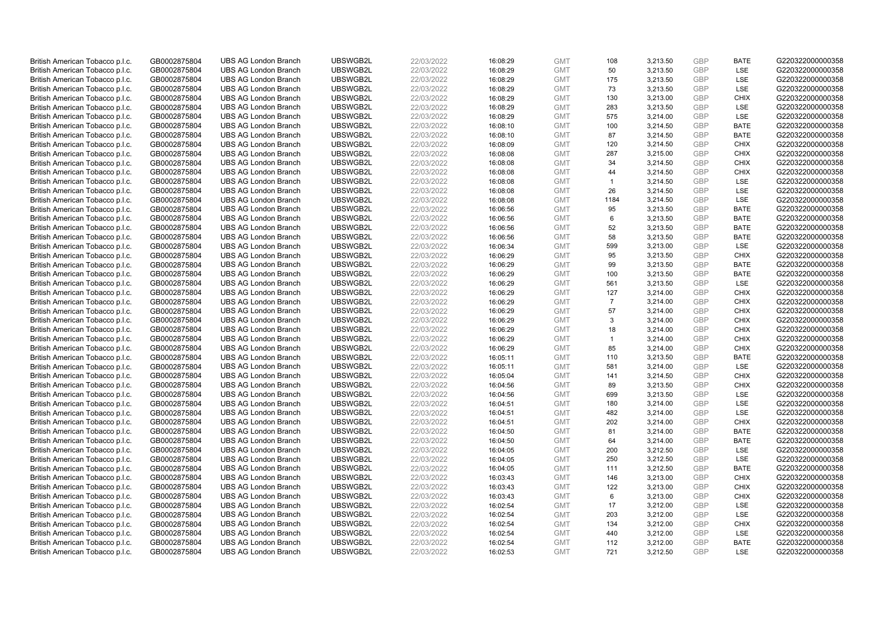| British American Tobacco p.l.c. | GB0002875804 | <b>UBS AG London Branch</b> | UBSWGB2L | 22/03/2022 | 16:08:29 | <b>GMT</b> | 108            | 3,213.50 | <b>GBP</b> | <b>BATE</b> | G220322000000358 |
|---------------------------------|--------------|-----------------------------|----------|------------|----------|------------|----------------|----------|------------|-------------|------------------|
| British American Tobacco p.l.c. | GB0002875804 | <b>UBS AG London Branch</b> | UBSWGB2L | 22/03/2022 | 16:08:29 | <b>GMT</b> | 50             | 3,213.50 | GBP        | <b>LSE</b>  | G220322000000358 |
| British American Tobacco p.l.c. | GB0002875804 | <b>UBS AG London Branch</b> | UBSWGB2L | 22/03/2022 | 16:08:29 | <b>GMT</b> | 175            | 3,213.50 | <b>GBP</b> | LSE         | G220322000000358 |
| British American Tobacco p.l.c. | GB0002875804 | <b>UBS AG London Branch</b> | UBSWGB2L | 22/03/2022 | 16:08:29 | <b>GMT</b> | 73             | 3,213.50 | GBP        | LSE         | G220322000000358 |
| British American Tobacco p.l.c. | GB0002875804 | <b>UBS AG London Branch</b> | UBSWGB2L | 22/03/2022 | 16:08:29 | <b>GMT</b> | 130            | 3,213.00 | <b>GBP</b> | <b>CHIX</b> | G220322000000358 |
| British American Tobacco p.l.c. | GB0002875804 | <b>UBS AG London Branch</b> | UBSWGB2L | 22/03/2022 | 16:08:29 | <b>GMT</b> | 283            | 3,213.50 | <b>GBP</b> | <b>LSE</b>  | G220322000000358 |
| British American Tobacco p.l.c. | GB0002875804 | <b>UBS AG London Branch</b> | UBSWGB2L | 22/03/2022 | 16:08:29 | <b>GMT</b> | 575            | 3,214.00 | GBP        | LSE         | G220322000000358 |
| British American Tobacco p.l.c. | GB0002875804 | <b>UBS AG London Branch</b> | UBSWGB2L | 22/03/2022 | 16:08:10 | <b>GMT</b> | 100            | 3,214.50 | GBP        | <b>BATE</b> | G220322000000358 |
| British American Tobacco p.l.c. | GB0002875804 | <b>UBS AG London Branch</b> | UBSWGB2L | 22/03/2022 | 16:08:10 | <b>GMT</b> | 87             | 3,214.50 | GBP        | <b>BATE</b> | G220322000000358 |
| British American Tobacco p.l.c. | GB0002875804 | <b>UBS AG London Branch</b> | UBSWGB2L | 22/03/2022 | 16:08:09 | <b>GMT</b> | 120            | 3,214.50 | <b>GBP</b> | <b>CHIX</b> | G220322000000358 |
| British American Tobacco p.l.c. | GB0002875804 | <b>UBS AG London Branch</b> | UBSWGB2L | 22/03/2022 | 16:08:08 | <b>GMT</b> | 287            | 3,215.00 | GBP        | <b>CHIX</b> | G220322000000358 |
| British American Tobacco p.l.c. | GB0002875804 | <b>UBS AG London Branch</b> | UBSWGB2L | 22/03/2022 | 16:08:08 | <b>GMT</b> | 34             | 3,214.50 | <b>GBP</b> | <b>CHIX</b> | G220322000000358 |
| British American Tobacco p.l.c. | GB0002875804 | <b>UBS AG London Branch</b> | UBSWGB2L | 22/03/2022 | 16:08:08 | <b>GMT</b> | 44             | 3,214.50 | <b>GBP</b> | <b>CHIX</b> | G220322000000358 |
| British American Tobacco p.l.c. | GB0002875804 | <b>UBS AG London Branch</b> | UBSWGB2L | 22/03/2022 | 16:08:08 | <b>GMT</b> | $\mathbf{1}$   | 3,214.50 | <b>GBP</b> | <b>LSE</b>  | G220322000000358 |
| British American Tobacco p.l.c. | GB0002875804 | <b>UBS AG London Branch</b> | UBSWGB2L | 22/03/2022 | 16:08:08 | <b>GMT</b> | 26             | 3,214.50 | GBP        | <b>LSE</b>  | G220322000000358 |
| British American Tobacco p.l.c. | GB0002875804 | <b>UBS AG London Branch</b> | UBSWGB2L | 22/03/2022 | 16:08:08 | <b>GMT</b> | 1184           | 3,214.50 | <b>GBP</b> | LSE         | G220322000000358 |
| British American Tobacco p.l.c. | GB0002875804 | <b>UBS AG London Branch</b> | UBSWGB2L | 22/03/2022 | 16:06:56 | <b>GMT</b> | 95             | 3,213.50 | GBP        | <b>BATE</b> | G220322000000358 |
| British American Tobacco p.l.c. | GB0002875804 | <b>UBS AG London Branch</b> | UBSWGB2L | 22/03/2022 | 16:06:56 | <b>GMT</b> | 6              | 3,213.50 | GBP        | <b>BATE</b> | G220322000000358 |
| British American Tobacco p.l.c. | GB0002875804 | <b>UBS AG London Branch</b> | UBSWGB2L | 22/03/2022 | 16:06:56 | <b>GMT</b> | 52             | 3,213.50 | <b>GBP</b> | <b>BATE</b> | G220322000000358 |
| British American Tobacco p.l.c. | GB0002875804 | <b>UBS AG London Branch</b> | UBSWGB2L | 22/03/2022 | 16:06:56 | <b>GMT</b> | 58             | 3,213.50 | <b>GBP</b> | <b>BATE</b> | G220322000000358 |
| British American Tobacco p.l.c. | GB0002875804 | <b>UBS AG London Branch</b> | UBSWGB2L | 22/03/2022 | 16:06:34 | <b>GMT</b> | 599            | 3,213.00 | GBP        | LSE         | G220322000000358 |
| British American Tobacco p.l.c. | GB0002875804 | <b>UBS AG London Branch</b> | UBSWGB2L | 22/03/2022 | 16:06:29 | <b>GMT</b> | 95             | 3,213.50 | GBP        | <b>CHIX</b> | G220322000000358 |
| British American Tobacco p.l.c. | GB0002875804 | <b>UBS AG London Branch</b> | UBSWGB2L | 22/03/2022 | 16:06:29 | <b>GMT</b> | 99             | 3,213.50 | <b>GBP</b> | <b>BATE</b> | G220322000000358 |
| British American Tobacco p.l.c. | GB0002875804 | <b>UBS AG London Branch</b> | UBSWGB2L | 22/03/2022 | 16:06:29 | <b>GMT</b> | 100            | 3,213.50 | GBP        | <b>BATE</b> | G220322000000358 |
| British American Tobacco p.l.c. | GB0002875804 | <b>UBS AG London Branch</b> | UBSWGB2L | 22/03/2022 | 16:06:29 | <b>GMT</b> | 561            | 3,213.50 | <b>GBP</b> | LSE         | G220322000000358 |
| British American Tobacco p.l.c. | GB0002875804 | <b>UBS AG London Branch</b> | UBSWGB2L | 22/03/2022 | 16:06:29 | <b>GMT</b> | 127            | 3,214.00 | <b>GBP</b> | <b>CHIX</b> | G220322000000358 |
| British American Tobacco p.l.c. | GB0002875804 | <b>UBS AG London Branch</b> | UBSWGB2L | 22/03/2022 | 16:06:29 | <b>GMT</b> | $\overline{7}$ | 3,214.00 | <b>GBP</b> | <b>CHIX</b> | G220322000000358 |
| British American Tobacco p.l.c. | GB0002875804 | <b>UBS AG London Branch</b> | UBSWGB2L | 22/03/2022 | 16:06:29 | <b>GMT</b> | 57             | 3,214.00 | GBP        | <b>CHIX</b> | G220322000000358 |
| British American Tobacco p.l.c. | GB0002875804 | <b>UBS AG London Branch</b> | UBSWGB2L | 22/03/2022 | 16:06:29 | <b>GMT</b> | 3              | 3,214.00 | <b>GBP</b> | <b>CHIX</b> | G220322000000358 |
| British American Tobacco p.l.c. | GB0002875804 | <b>UBS AG London Branch</b> | UBSWGB2L | 22/03/2022 | 16:06:29 | <b>GMT</b> | 18             | 3,214.00 | GBP        | <b>CHIX</b> | G220322000000358 |
| British American Tobacco p.l.c. | GB0002875804 | <b>UBS AG London Branch</b> | UBSWGB2L | 22/03/2022 | 16:06:29 | <b>GMT</b> | $\mathbf{1}$   | 3,214.00 | GBP        | <b>CHIX</b> | G220322000000358 |
| British American Tobacco p.l.c. | GB0002875804 | <b>UBS AG London Branch</b> | UBSWGB2L | 22/03/2022 | 16:06:29 | <b>GMT</b> | 85             | 3,214.00 | <b>GBP</b> | <b>CHIX</b> | G220322000000358 |
| British American Tobacco p.l.c. | GB0002875804 | <b>UBS AG London Branch</b> | UBSWGB2L | 22/03/2022 | 16:05:11 | <b>GMT</b> | 110            | 3,213.50 | <b>GBP</b> | <b>BATE</b> | G220322000000358 |
| British American Tobacco p.l.c. | GB0002875804 | <b>UBS AG London Branch</b> | UBSWGB2L | 22/03/2022 | 16:05:11 | <b>GMT</b> | 581            | 3,214.00 | GBP        | LSE         | G220322000000358 |
| British American Tobacco p.l.c. | GB0002875804 | <b>UBS AG London Branch</b> | UBSWGB2L | 22/03/2022 | 16:05:04 | <b>GMT</b> | 141            | 3,214.50 | <b>GBP</b> | <b>CHIX</b> | G220322000000358 |
| British American Tobacco p.l.c. | GB0002875804 | <b>UBS AG London Branch</b> | UBSWGB2L | 22/03/2022 | 16:04:56 | <b>GMT</b> | 89             | 3,213.50 | GBP        | <b>CHIX</b> | G220322000000358 |
| British American Tobacco p.l.c. | GB0002875804 | <b>UBS AG London Branch</b> | UBSWGB2L | 22/03/2022 | 16:04:56 | <b>GMT</b> | 699            | 3,213.50 | <b>GBP</b> | <b>LSE</b>  | G220322000000358 |
| British American Tobacco p.l.c. | GB0002875804 | <b>UBS AG London Branch</b> | UBSWGB2L | 22/03/2022 | 16:04:51 | <b>GMT</b> | 180            | 3,214.00 | <b>GBP</b> | LSE         | G220322000000358 |
| British American Tobacco p.l.c. | GB0002875804 | <b>UBS AG London Branch</b> | UBSWGB2L | 22/03/2022 | 16:04:51 | <b>GMT</b> | 482            | 3,214.00 | <b>GBP</b> | LSE         | G220322000000358 |
| British American Tobacco p.l.c. | GB0002875804 | <b>UBS AG London Branch</b> | UBSWGB2L | 22/03/2022 | 16:04:51 | <b>GMT</b> | 202            | 3,214.00 | <b>GBP</b> | <b>CHIX</b> | G220322000000358 |
| British American Tobacco p.l.c. | GB0002875804 | <b>UBS AG London Branch</b> | UBSWGB2L | 22/03/2022 | 16:04:50 | <b>GMT</b> | 81             | 3,214.00 | <b>GBP</b> | <b>BATE</b> | G220322000000358 |
| British American Tobacco p.l.c. | GB0002875804 | <b>UBS AG London Branch</b> | UBSWGB2L | 22/03/2022 | 16:04:50 | <b>GMT</b> | 64             | 3,214.00 | <b>GBP</b> | <b>BATE</b> | G220322000000358 |
| British American Tobacco p.l.c. | GB0002875804 | <b>UBS AG London Branch</b> | UBSWGB2L | 22/03/2022 | 16:04:05 | <b>GMT</b> | 200            | 3,212.50 | <b>GBP</b> | LSE         | G220322000000358 |
| British American Tobacco p.l.c. | GB0002875804 | <b>UBS AG London Branch</b> | UBSWGB2L | 22/03/2022 | 16:04:05 | <b>GMT</b> | 250            | 3,212.50 | GBP        | <b>LSE</b>  | G220322000000358 |
| British American Tobacco p.l.c. | GB0002875804 | <b>UBS AG London Branch</b> | UBSWGB2L | 22/03/2022 | 16:04:05 | <b>GMT</b> | 111            | 3,212.50 | <b>GBP</b> | <b>BATE</b> | G220322000000358 |
| British American Tobacco p.l.c. | GB0002875804 | <b>UBS AG London Branch</b> | UBSWGB2L | 22/03/2022 | 16:03:43 | <b>GMT</b> | 146            | 3,213.00 | <b>GBP</b> | <b>CHIX</b> | G220322000000358 |
| British American Tobacco p.l.c. | GB0002875804 | <b>UBS AG London Branch</b> | UBSWGB2L | 22/03/2022 | 16:03:43 | <b>GMT</b> | 122            | 3,213.00 | <b>GBP</b> | <b>CHIX</b> | G220322000000358 |
| British American Tobacco p.l.c. | GB0002875804 | <b>UBS AG London Branch</b> | UBSWGB2L | 22/03/2022 | 16:03:43 | <b>GMT</b> | 6              | 3,213.00 | <b>GBP</b> | <b>CHIX</b> | G220322000000358 |
| British American Tobacco p.l.c. | GB0002875804 | <b>UBS AG London Branch</b> | UBSWGB2L | 22/03/2022 | 16:02:54 | <b>GMT</b> | 17             | 3,212.00 | <b>GBP</b> | LSE         | G220322000000358 |
| British American Tobacco p.l.c. | GB0002875804 | <b>UBS AG London Branch</b> | UBSWGB2L | 22/03/2022 | 16:02:54 | <b>GMT</b> | 203            | 3,212.00 | <b>GBP</b> | <b>LSE</b>  | G220322000000358 |
| British American Tobacco p.l.c. | GB0002875804 | <b>UBS AG London Branch</b> | UBSWGB2L | 22/03/2022 | 16:02:54 | <b>GMT</b> | 134            | 3,212.00 | GBP        | <b>CHIX</b> | G220322000000358 |
| British American Tobacco p.l.c. | GB0002875804 | <b>UBS AG London Branch</b> | UBSWGB2L | 22/03/2022 | 16:02:54 | <b>GMT</b> | 440            | 3,212.00 | <b>GBP</b> | LSE         | G220322000000358 |
| British American Tobacco p.l.c. | GB0002875804 | <b>UBS AG London Branch</b> | UBSWGB2L | 22/03/2022 | 16:02:54 | <b>GMT</b> | 112            | 3,212.00 | GBP        | <b>BATE</b> | G220322000000358 |
| British American Tobacco p.l.c. | GB0002875804 | <b>UBS AG London Branch</b> | UBSWGB2L | 22/03/2022 | 16:02:53 | <b>GMT</b> | 721            | 3.212.50 | GBP        | <b>LSE</b>  | G220322000000358 |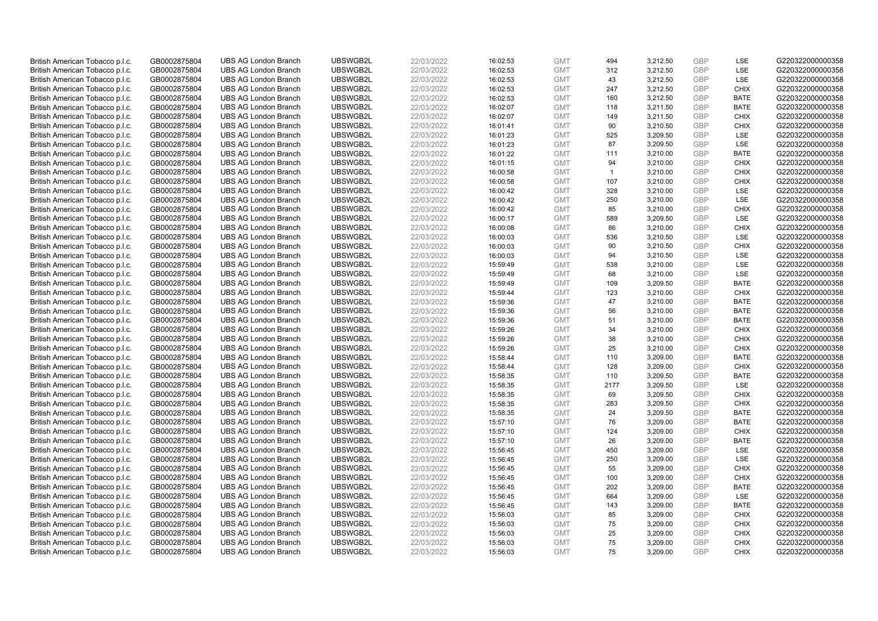| British American Tobacco p.l.c. | GB0002875804 | <b>UBS AG London Branch</b> | UBSWGB2L | 22/03/2022 | 16:02:53             | <b>GMT</b> | 494          | 3,212.50             | <b>GBP</b> | LSE                 | G220322000000358 |
|---------------------------------|--------------|-----------------------------|----------|------------|----------------------|------------|--------------|----------------------|------------|---------------------|------------------|
| British American Tobacco p.l.c. | GB0002875804 | <b>UBS AG London Branch</b> | UBSWGB2L | 22/03/2022 | 16:02:53             | <b>GMT</b> | 312          | 3,212.50             | GBP        | LSE                 | G220322000000358 |
| British American Tobacco p.l.c. | GB0002875804 | <b>UBS AG London Branch</b> | UBSWGB2L | 22/03/2022 | 16:02:53             | <b>GMT</b> | 43           | 3,212.50             | <b>GBP</b> | LSE                 | G220322000000358 |
| British American Tobacco p.l.c. | GB0002875804 | <b>UBS AG London Branch</b> | UBSWGB2L | 22/03/2022 | 16:02:53             | <b>GMT</b> | 247          | 3,212.50             | <b>GBP</b> | <b>CHIX</b>         | G220322000000358 |
| British American Tobacco p.l.c. | GB0002875804 | <b>UBS AG London Branch</b> | UBSWGB2L | 22/03/2022 | 16:02:53             | <b>GMT</b> | 160          | 3,212.50             | <b>GBP</b> | <b>BATE</b>         | G220322000000358 |
| British American Tobacco p.l.c. | GB0002875804 | <b>UBS AG London Branch</b> | UBSWGB2L | 22/03/2022 | 16:02:07             | <b>GMT</b> | 118          | 3,211.50             | <b>GBP</b> | <b>BATE</b>         | G220322000000358 |
| British American Tobacco p.l.c. | GB0002875804 | <b>UBS AG London Branch</b> | UBSWGB2L | 22/03/2022 | 16:02:07             | <b>GMT</b> | 149          | 3,211.50             | <b>GBP</b> | <b>CHIX</b>         | G220322000000358 |
| British American Tobacco p.l.c. | GB0002875804 | <b>UBS AG London Branch</b> | UBSWGB2L | 22/03/2022 | 16:01:41             | <b>GMT</b> | 90           | 3,210.50             | <b>GBP</b> | <b>CHIX</b>         | G220322000000358 |
| British American Tobacco p.l.c. | GB0002875804 | <b>UBS AG London Branch</b> | UBSWGB2L | 22/03/2022 | 16:01:23             | <b>GMT</b> | 525          | 3,209.50             | <b>GBP</b> | LSE                 | G220322000000358 |
| British American Tobacco p.l.c. | GB0002875804 | <b>UBS AG London Branch</b> | UBSWGB2L | 22/03/2022 | 16:01:23             | <b>GMT</b> | 87           | 3,209.50             | <b>GBP</b> | LSE                 | G220322000000358 |
| British American Tobacco p.l.c. | GB0002875804 | <b>UBS AG London Branch</b> | UBSWGB2L | 22/03/2022 | 16:01:22             | <b>GMT</b> | 111          | 3,210.00             | GBP        | <b>BATE</b>         | G220322000000358 |
| British American Tobacco p.l.c. | GB0002875804 | <b>UBS AG London Branch</b> | UBSWGB2L | 22/03/2022 | 16:01:15             | <b>GMT</b> | 94           | 3,210.00             | <b>GBP</b> | <b>CHIX</b>         | G220322000000358 |
| British American Tobacco p.l.c. | GB0002875804 | <b>UBS AG London Branch</b> | UBSWGB2L | 22/03/2022 | 16:00:58             | <b>GMT</b> | $\mathbf{1}$ | 3,210.00             | <b>GBP</b> | <b>CHIX</b>         | G220322000000358 |
| British American Tobacco p.l.c. | GB0002875804 | <b>UBS AG London Branch</b> | UBSWGB2L | 22/03/2022 | 16:00:58             | <b>GMT</b> | 107          | 3,210.00             | <b>GBP</b> | <b>CHIX</b>         | G220322000000358 |
| British American Tobacco p.l.c. | GB0002875804 | <b>UBS AG London Branch</b> | UBSWGB2L | 22/03/2022 | 16:00:42             | <b>GMT</b> | 328          | 3,210.00             | GBP        | <b>LSE</b>          | G220322000000358 |
| British American Tobacco p.l.c. | GB0002875804 | <b>UBS AG London Branch</b> | UBSWGB2L | 22/03/2022 | 16:00:42             | <b>GMT</b> | 250          | 3,210.00             | GBP        | LSE                 | G220322000000358 |
| British American Tobacco p.l.c. | GB0002875804 | <b>UBS AG London Branch</b> | UBSWGB2L | 22/03/2022 | 16:00:42             | <b>GMT</b> | 85           | 3,210.00             | <b>GBP</b> | <b>CHIX</b>         | G220322000000358 |
| British American Tobacco p.l.c. | GB0002875804 | <b>UBS AG London Branch</b> | UBSWGB2L | 22/03/2022 | 16:00:17             | <b>GMT</b> | 589          | 3,209.50             | <b>GBP</b> | <b>LSE</b>          | G220322000000358 |
| British American Tobacco p.l.c. | GB0002875804 | <b>UBS AG London Branch</b> | UBSWGB2L | 22/03/2022 | 16:00:08             | <b>GMT</b> | 86           | 3,210.00             | <b>GBP</b> | <b>CHIX</b>         | G220322000000358 |
| British American Tobacco p.l.c. | GB0002875804 | <b>UBS AG London Branch</b> | UBSWGB2L | 22/03/2022 | 16:00:03             | <b>GMT</b> | 536          | 3,210.50             | <b>GBP</b> | LSE                 | G220322000000358 |
| British American Tobacco p.l.c. | GB0002875804 | <b>UBS AG London Branch</b> | UBSWGB2L | 22/03/2022 | 16:00:03             | <b>GMT</b> | 90           | 3,210.50             | <b>GBP</b> | <b>CHIX</b>         | G220322000000358 |
| British American Tobacco p.l.c. | GB0002875804 | <b>UBS AG London Branch</b> | UBSWGB2L | 22/03/2022 | 16:00:03             | <b>GMT</b> | 94           | 3,210.50             | GBP        | LSE                 | G220322000000358 |
| British American Tobacco p.l.c. | GB0002875804 | <b>UBS AG London Branch</b> | UBSWGB2L | 22/03/2022 | 15:59:49             | <b>GMT</b> | 538          | 3,210.00             | <b>GBP</b> | LSE                 | G220322000000358 |
| British American Tobacco p.l.c. | GB0002875804 | <b>UBS AG London Branch</b> | UBSWGB2L | 22/03/2022 | 15:59:49             | <b>GMT</b> | 68           | 3,210.00             | GBP        | <b>LSE</b>          | G220322000000358 |
| British American Tobacco p.l.c. | GB0002875804 | <b>UBS AG London Branch</b> | UBSWGB2L | 22/03/2022 | 15:59:49             | <b>GMT</b> | 109          | 3,209.50             | <b>GBP</b> | <b>BATE</b>         | G220322000000358 |
| British American Tobacco p.l.c. | GB0002875804 | <b>UBS AG London Branch</b> | UBSWGB2L | 22/03/2022 | 15:59:44             | <b>GMT</b> | 123          | 3,210.00             | <b>GBP</b> | <b>CHIX</b>         | G220322000000358 |
| British American Tobacco p.l.c. | GB0002875804 | <b>UBS AG London Branch</b> | UBSWGB2L | 22/03/2022 | 15:59:36             | <b>GMT</b> | 47           | 3,210.00             | <b>GBP</b> | <b>BATE</b>         | G220322000000358 |
| British American Tobacco p.l.c. | GB0002875804 | <b>UBS AG London Branch</b> | UBSWGB2L | 22/03/2022 | 15:59:36             | <b>GMT</b> | 56           | 3,210.00             | GBP        | <b>BATE</b>         | G220322000000358 |
| British American Tobacco p.l.c. | GB0002875804 | <b>UBS AG London Branch</b> | UBSWGB2L | 22/03/2022 | 15:59:36             | <b>GMT</b> | 51           | 3,210.00             | <b>GBP</b> | <b>BATE</b>         | G220322000000358 |
| British American Tobacco p.l.c. | GB0002875804 | <b>UBS AG London Branch</b> | UBSWGB2L | 22/03/2022 | 15:59:26             | <b>GMT</b> | 34           | 3,210.00             | <b>GBP</b> | <b>CHIX</b>         | G220322000000358 |
| British American Tobacco p.l.c. | GB0002875804 | <b>UBS AG London Branch</b> | UBSWGB2L | 22/03/2022 | 15:59:26             | <b>GMT</b> | 38           | 3,210.00             | <b>GBP</b> | <b>CHIX</b>         | G220322000000358 |
| British American Tobacco p.l.c. | GB0002875804 | <b>UBS AG London Branch</b> | UBSWGB2L | 22/03/2022 | 15:59:26             | <b>GMT</b> | 25           | 3,210.00             | GBP        | <b>CHIX</b>         | G220322000000358 |
| British American Tobacco p.l.c. | GB0002875804 | <b>UBS AG London Branch</b> | UBSWGB2L | 22/03/2022 | 15:58:44             | <b>GMT</b> | 110          | 3,209.00             | <b>GBP</b> | <b>BATE</b>         | G220322000000358 |
| British American Tobacco p.l.c. | GB0002875804 | <b>UBS AG London Branch</b> | UBSWGB2L | 22/03/2022 | 15:58:44             | <b>GMT</b> | 128          | 3,209.00             | <b>GBP</b> | <b>CHIX</b>         | G220322000000358 |
| British American Tobacco p.l.c. | GB0002875804 | <b>UBS AG London Branch</b> | UBSWGB2L | 22/03/2022 | 15:58:35             | <b>GMT</b> | 110          | 3,209.50             | GBP        | <b>BATE</b>         | G220322000000358 |
| British American Tobacco p.l.c. | GB0002875804 | <b>UBS AG London Branch</b> | UBSWGB2L | 22/03/2022 | 15:58:35             | <b>GMT</b> | 2177         | 3,209.50             | <b>GBP</b> | LSE                 | G220322000000358 |
| British American Tobacco p.l.c. | GB0002875804 | <b>UBS AG London Branch</b> | UBSWGB2L | 22/03/2022 | 15:58:35             | <b>GMT</b> | 69           | 3,209.50             | GBP        | <b>CHIX</b>         | G220322000000358 |
| British American Tobacco p.l.c. | GB0002875804 | <b>UBS AG London Branch</b> | UBSWGB2L | 22/03/2022 | 15:58:35             | <b>GMT</b> | 283          | 3,209.50             | <b>GBP</b> | <b>CHIX</b>         | G220322000000358 |
| British American Tobacco p.l.c. | GB0002875804 | <b>UBS AG London Branch</b> | UBSWGB2L | 22/03/2022 | 15:58:35             | <b>GMT</b> | 24           | 3,209.50             | GBP        | <b>BATE</b>         | G220322000000358 |
| British American Tobacco p.l.c. | GB0002875804 | <b>UBS AG London Branch</b> | UBSWGB2L | 22/03/2022 | 15:57:10             | <b>GMT</b> | 76           | 3,209.00             | <b>GBP</b> | <b>BATE</b>         | G220322000000358 |
| British American Tobacco p.l.c. | GB0002875804 | <b>UBS AG London Branch</b> | UBSWGB2L | 22/03/2022 | 15:57:10             | <b>GMT</b> | 124          | 3,209.00             | GBP        | <b>CHIX</b>         | G220322000000358 |
| British American Tobacco p.l.c. | GB0002875804 | <b>UBS AG London Branch</b> | UBSWGB2L | 22/03/2022 | 15:57:10             | <b>GMT</b> | 26           | 3,209.00             | <b>GBP</b> | <b>BATE</b>         | G220322000000358 |
| British American Tobacco p.l.c. | GB0002875804 | <b>UBS AG London Branch</b> | UBSWGB2L | 22/03/2022 | 15:56:45             | <b>GMT</b> | 450          | 3,209.00             | <b>GBP</b> | LSE                 | G220322000000358 |
| British American Tobacco p.l.c. | GB0002875804 | <b>UBS AG London Branch</b> | UBSWGB2L | 22/03/2022 | 15:56:45             | <b>GMT</b> | 250          | 3,209.00             | <b>GBP</b> | LSE                 | G220322000000358 |
| British American Tobacco p.l.c. | GB0002875804 | <b>UBS AG London Branch</b> | UBSWGB2L | 22/03/2022 | 15:56:45             | <b>GMT</b> | 55           | 3,209.00             | <b>GBP</b> | <b>CHIX</b>         | G220322000000358 |
| British American Tobacco p.l.c. | GB0002875804 | <b>UBS AG London Branch</b> | UBSWGB2L | 22/03/2022 | 15:56:45             | <b>GMT</b> | 100          | 3,209.00             | <b>GBP</b> | <b>CHIX</b>         | G220322000000358 |
| British American Tobacco p.l.c. | GB0002875804 | <b>UBS AG London Branch</b> | UBSWGB2L | 22/03/2022 | 15:56:45             | <b>GMT</b> | 202          | 3,209.00             | <b>GBP</b> | <b>BATE</b>         | G220322000000358 |
| British American Tobacco p.l.c. | GB0002875804 | <b>UBS AG London Branch</b> | UBSWGB2L | 22/03/2022 | 15:56:45             | <b>GMT</b> | 664          | 3,209.00             | <b>GBP</b> | LSE                 | G220322000000358 |
| British American Tobacco p.l.c. | GB0002875804 | <b>UBS AG London Branch</b> | UBSWGB2L | 22/03/2022 | 15:56:45             | <b>GMT</b> | 143          | 3,209.00             | <b>GBP</b> | <b>BATE</b>         | G220322000000358 |
| British American Tobacco p.l.c. | GB0002875804 | <b>UBS AG London Branch</b> | UBSWGB2L | 22/03/2022 | 15:56:03             | <b>GMT</b> | 85           | 3,209.00             | <b>GBP</b> | <b>CHIX</b>         | G220322000000358 |
| British American Tobacco p.l.c. |              | <b>UBS AG London Branch</b> | UBSWGB2L | 22/03/2022 |                      | <b>GMT</b> | 75           | 3,209.00             | <b>GBP</b> | <b>CHIX</b>         | G220322000000358 |
| British American Tobacco p.l.c. | GB0002875804 | <b>UBS AG London Branch</b> | UBSWGB2L | 22/03/2022 | 15:56:03<br>15:56:03 | <b>GMT</b> | 25           | 3,209.00             | <b>GBP</b> | <b>CHIX</b>         | G220322000000358 |
|                                 | GB0002875804 |                             |          |            |                      |            |              |                      | <b>GBP</b> |                     | G220322000000358 |
| British American Tobacco p.l.c. | GB0002875804 | <b>UBS AG London Branch</b> | UBSWGB2L | 22/03/2022 | 15:56:03             | <b>GMT</b> | 75<br>75     | 3,209.00<br>3.209.00 | GBP        | <b>CHIX</b><br>CHIX |                  |
| British American Tobacco p.l.c. | GB0002875804 | <b>UBS AG London Branch</b> | UBSWGB2L | 22/03/2022 | 15:56:03             | <b>GMT</b> |              |                      |            |                     | G220322000000358 |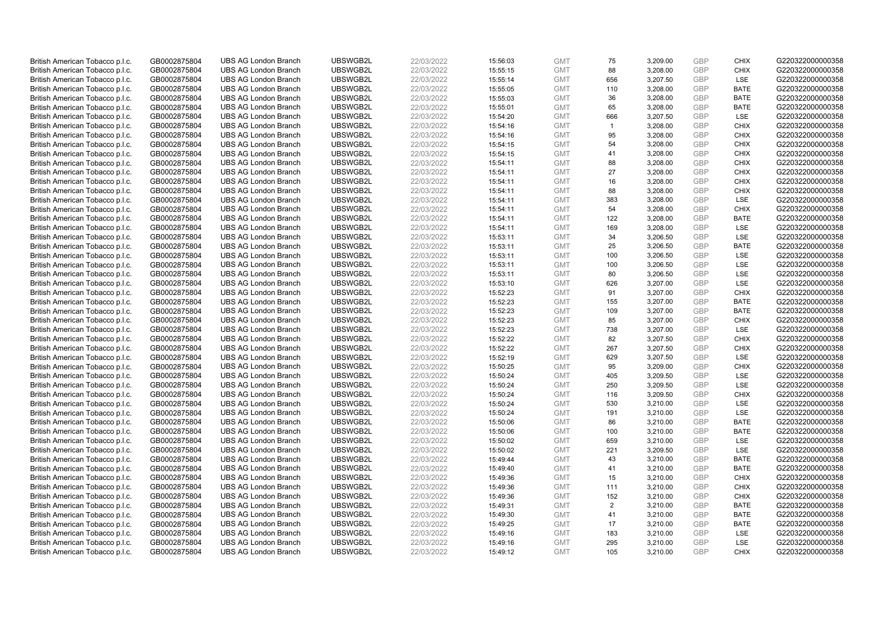| British American Tobacco p.l.c. | GB0002875804 | <b>UBS AG London Branch</b> | UBSWGB2L | 22/03/2022 | 15:56:03 | <b>GMT</b> | 75             | 3,209.00 | <b>GBP</b> | <b>CHIX</b> | G220322000000358 |
|---------------------------------|--------------|-----------------------------|----------|------------|----------|------------|----------------|----------|------------|-------------|------------------|
| British American Tobacco p.l.c. | GB0002875804 | <b>UBS AG London Branch</b> | UBSWGB2L | 22/03/2022 | 15:55:15 | <b>GMT</b> | 88             | 3,208.00 | GBP        | CHIX        | G220322000000358 |
| British American Tobacco p.l.c. | GB0002875804 | <b>UBS AG London Branch</b> | UBSWGB2L | 22/03/2022 | 15:55:14 | <b>GMT</b> | 656            | 3,207.50 | <b>GBP</b> | <b>LSE</b>  | G220322000000358 |
| British American Tobacco p.l.c. | GB0002875804 | <b>UBS AG London Branch</b> | UBSWGB2L | 22/03/2022 | 15:55:05 | <b>GMT</b> | 110            | 3,208.00 | <b>GBP</b> | <b>BATE</b> | G220322000000358 |
| British American Tobacco p.l.c. | GB0002875804 | <b>UBS AG London Branch</b> | UBSWGB2L | 22/03/2022 | 15:55:03 | <b>GMT</b> | 36             | 3,208.00 | <b>GBP</b> | <b>BATE</b> | G220322000000358 |
| British American Tobacco p.l.c. | GB0002875804 | <b>UBS AG London Branch</b> | UBSWGB2L | 22/03/2022 | 15:55:01 | <b>GMT</b> | 65             | 3,208.00 | <b>GBP</b> | <b>BATE</b> | G220322000000358 |
| British American Tobacco p.l.c. | GB0002875804 | <b>UBS AG London Branch</b> | UBSWGB2L | 22/03/2022 | 15:54:20 | <b>GMT</b> | 666            | 3,207.50 | <b>GBP</b> | LSE         | G220322000000358 |
| British American Tobacco p.l.c. | GB0002875804 | <b>UBS AG London Branch</b> | UBSWGB2L | 22/03/2022 | 15:54:16 | <b>GMT</b> | $\overline{1}$ | 3,208.00 | <b>GBP</b> | <b>CHIX</b> | G220322000000358 |
| British American Tobacco p.l.c. | GB0002875804 | <b>UBS AG London Branch</b> | UBSWGB2L | 22/03/2022 | 15:54:16 | <b>GMT</b> | 95             | 3,208.00 | GBP        | <b>CHIX</b> | G220322000000358 |
| British American Tobacco p.l.c. | GB0002875804 | <b>UBS AG London Branch</b> | UBSWGB2L | 22/03/2022 | 15:54:15 | <b>GMT</b> | 54             | 3,208.00 | <b>GBP</b> | <b>CHIX</b> | G220322000000358 |
| British American Tobacco p.l.c. | GB0002875804 | <b>UBS AG London Branch</b> | UBSWGB2L | 22/03/2022 | 15:54:15 | <b>GMT</b> | 41             | 3,208.00 | GBP        | <b>CHIX</b> | G220322000000358 |
| British American Tobacco p.l.c. | GB0002875804 | <b>UBS AG London Branch</b> | UBSWGB2L | 22/03/2022 | 15:54:11 | <b>GMT</b> | 88             | 3,208.00 | <b>GBP</b> | <b>CHIX</b> | G220322000000358 |
| British American Tobacco p.l.c. | GB0002875804 | <b>UBS AG London Branch</b> | UBSWGB2L | 22/03/2022 | 15:54:11 | <b>GMT</b> | 27             | 3,208.00 | GBP        | <b>CHIX</b> | G220322000000358 |
| British American Tobacco p.l.c. | GB0002875804 | <b>UBS AG London Branch</b> | UBSWGB2L | 22/03/2022 | 15:54:11 | <b>GMT</b> | 16             | 3,208.00 | <b>GBP</b> | <b>CHIX</b> | G220322000000358 |
| British American Tobacco p.l.c. | GB0002875804 | <b>UBS AG London Branch</b> | UBSWGB2L | 22/03/2022 | 15:54:11 | <b>GMT</b> | 88             | 3,208.00 | GBP        | <b>CHIX</b> | G220322000000358 |
| British American Tobacco p.l.c. | GB0002875804 | <b>UBS AG London Branch</b> | UBSWGB2L | 22/03/2022 | 15:54:11 | <b>GMT</b> | 383            | 3,208.00 | GBP        | <b>LSE</b>  | G220322000000358 |
| British American Tobacco p.l.c. | GB0002875804 | <b>UBS AG London Branch</b> | UBSWGB2L | 22/03/2022 | 15:54:11 | <b>GMT</b> | 54             | 3,208.00 | GBP        | <b>CHIX</b> | G220322000000358 |
| British American Tobacco p.l.c. | GB0002875804 | <b>UBS AG London Branch</b> | UBSWGB2L | 22/03/2022 | 15:54:11 | <b>GMT</b> | 122            | 3,208.00 | <b>GBP</b> | <b>BATE</b> | G220322000000358 |
| British American Tobacco p.l.c. | GB0002875804 | <b>UBS AG London Branch</b> | UBSWGB2L | 22/03/2022 | 15:54:11 | <b>GMT</b> | 169            | 3,208.00 | <b>GBP</b> | <b>LSE</b>  | G220322000000358 |
| British American Tobacco p.l.c. | GB0002875804 | <b>UBS AG London Branch</b> | UBSWGB2L | 22/03/2022 | 15:53:11 | <b>GMT</b> | 34             | 3,206.50 | <b>GBP</b> | LSE         | G220322000000358 |
| British American Tobacco p.l.c. | GB0002875804 | <b>UBS AG London Branch</b> | UBSWGB2L | 22/03/2022 | 15:53:11 | <b>GMT</b> | 25             | 3,206.50 | <b>GBP</b> | <b>BATE</b> | G220322000000358 |
| British American Tobacco p.l.c. | GB0002875804 | <b>UBS AG London Branch</b> | UBSWGB2L | 22/03/2022 | 15:53:11 | <b>GMT</b> | 100            | 3,206.50 | GBP        | LSE         | G220322000000358 |
| British American Tobacco p.l.c. | GB0002875804 | <b>UBS AG London Branch</b> | UBSWGB2L | 22/03/2022 | 15:53:11 | <b>GMT</b> | 100            | 3,206.50 | <b>GBP</b> | LSE         | G220322000000358 |
| British American Tobacco p.l.c. | GB0002875804 | <b>UBS AG London Branch</b> | UBSWGB2L | 22/03/2022 | 15:53:11 | <b>GMT</b> | 80             | 3,206.50 | GBP        | <b>LSE</b>  | G220322000000358 |
| British American Tobacco p.l.c. | GB0002875804 | <b>UBS AG London Branch</b> | UBSWGB2L | 22/03/2022 | 15:53:10 | <b>GMT</b> | 626            | 3,207.00 | <b>GBP</b> | LSE         | G220322000000358 |
| British American Tobacco p.l.c. | GB0002875804 | <b>UBS AG London Branch</b> | UBSWGB2L | 22/03/2022 | 15:52:23 | <b>GMT</b> | 91             | 3,207.00 | <b>GBP</b> | <b>CHIX</b> | G220322000000358 |
| British American Tobacco p.l.c. | GB0002875804 | <b>UBS AG London Branch</b> | UBSWGB2L | 22/03/2022 | 15:52:23 | <b>GMT</b> | 155            | 3,207.00 | <b>GBP</b> | <b>BATE</b> | G220322000000358 |
| British American Tobacco p.l.c. | GB0002875804 | <b>UBS AG London Branch</b> | UBSWGB2L | 22/03/2022 | 15:52:23 | <b>GMT</b> | 109            | 3,207.00 | GBP        | <b>BATE</b> | G220322000000358 |
| British American Tobacco p.l.c. | GB0002875804 | <b>UBS AG London Branch</b> | UBSWGB2L | 22/03/2022 | 15:52:23 | <b>GMT</b> | 85             | 3,207.00 | <b>GBP</b> | <b>CHIX</b> | G220322000000358 |
| British American Tobacco p.l.c. | GB0002875804 | <b>UBS AG London Branch</b> | UBSWGB2L | 22/03/2022 | 15:52:23 | <b>GMT</b> | 738            | 3,207.00 | GBP        | LSE         | G220322000000358 |
| British American Tobacco p.l.c. | GB0002875804 | <b>UBS AG London Branch</b> | UBSWGB2L | 22/03/2022 | 15:52:22 | <b>GMT</b> | 82             | 3,207.50 | <b>GBP</b> | <b>CHIX</b> | G220322000000358 |
| British American Tobacco p.l.c. | GB0002875804 | <b>UBS AG London Branch</b> | UBSWGB2L | 22/03/2022 | 15:52:22 | <b>GMT</b> | 267            | 3,207.50 | GBP        | CHIX        | G220322000000358 |
| British American Tobacco p.l.c. | GB0002875804 | <b>UBS AG London Branch</b> | UBSWGB2L | 22/03/2022 | 15:52:19 | <b>GMT</b> | 629            | 3,207.50 | <b>GBP</b> | LSE         | G220322000000358 |
| British American Tobacco p.l.c. | GB0002875804 | <b>UBS AG London Branch</b> | UBSWGB2L | 22/03/2022 | 15:50:25 | <b>GMT</b> | 95             | 3,209.00 | <b>GBP</b> | <b>CHIX</b> | G220322000000358 |
| British American Tobacco p.l.c. | GB0002875804 | <b>UBS AG London Branch</b> | UBSWGB2L | 22/03/2022 | 15:50:24 | <b>GMT</b> | 405            | 3,209.50 | GBP        | LSE         | G220322000000358 |
| British American Tobacco p.l.c. | GB0002875804 | <b>UBS AG London Branch</b> | UBSWGB2L | 22/03/2022 | 15:50:24 | <b>GMT</b> | 250            | 3,209.50 | <b>GBP</b> | LSE         | G220322000000358 |
| British American Tobacco p.l.c. | GB0002875804 | <b>UBS AG London Branch</b> | UBSWGB2L | 22/03/2022 | 15:50:24 | <b>GMT</b> | 116            | 3,209.50 | <b>GBP</b> | <b>CHIX</b> | G220322000000358 |
| British American Tobacco p.l.c. | GB0002875804 | <b>UBS AG London Branch</b> | UBSWGB2L | 22/03/2022 | 15:50:24 | <b>GMT</b> | 530            | 3,210.00 | <b>GBP</b> | LSE         | G220322000000358 |
| British American Tobacco p.l.c. | GB0002875804 | <b>UBS AG London Branch</b> | UBSWGB2L | 22/03/2022 | 15:50:24 | <b>GMT</b> | 191            | 3,210.00 | <b>GBP</b> | LSE         | G220322000000358 |
| British American Tobacco p.l.c. | GB0002875804 | <b>UBS AG London Branch</b> | UBSWGB2L | 22/03/2022 | 15:50:06 | <b>GMT</b> | 86             | 3,210.00 | <b>GBP</b> | <b>BATE</b> | G220322000000358 |
| British American Tobacco p.l.c. | GB0002875804 | <b>UBS AG London Branch</b> | UBSWGB2L | 22/03/2022 | 15:50:06 | <b>GMT</b> | 100            | 3,210.00 | GBP        | <b>BATE</b> | G220322000000358 |
| British American Tobacco p.l.c. | GB0002875804 | <b>UBS AG London Branch</b> | UBSWGB2L | 22/03/2022 | 15:50:02 | <b>GMT</b> | 659            | 3,210.00 | <b>GBP</b> | <b>LSE</b>  | G220322000000358 |
| British American Tobacco p.l.c. | GB0002875804 | <b>UBS AG London Branch</b> | UBSWGB2L | 22/03/2022 | 15:50:02 | <b>GMT</b> | 221            | 3,209.50 | <b>GBP</b> | LSE         | G220322000000358 |
| British American Tobacco p.l.c. | GB0002875804 | <b>UBS AG London Branch</b> | UBSWGB2L | 22/03/2022 | 15:49:44 | <b>GMT</b> | 43             | 3,210.00 | <b>GBP</b> | <b>BATE</b> | G220322000000358 |
| British American Tobacco p.l.c. | GB0002875804 | <b>UBS AG London Branch</b> | UBSWGB2L | 22/03/2022 | 15:49:40 | <b>GMT</b> | 41             | 3,210.00 | <b>GBP</b> | <b>BATE</b> | G220322000000358 |
| British American Tobacco p.l.c. | GB0002875804 | <b>UBS AG London Branch</b> | UBSWGB2L | 22/03/2022 | 15:49:36 | <b>GMT</b> | 15             | 3,210.00 | <b>GBP</b> | <b>CHIX</b> | G220322000000358 |
| British American Tobacco p.l.c. | GB0002875804 | <b>UBS AG London Branch</b> | UBSWGB2L | 22/03/2022 | 15:49:36 | <b>GMT</b> | 111            | 3,210.00 | <b>GBP</b> | <b>CHIX</b> | G220322000000358 |
| British American Tobacco p.l.c. | GB0002875804 | <b>UBS AG London Branch</b> | UBSWGB2L | 22/03/2022 | 15:49:36 | <b>GMT</b> | 152            | 3,210.00 | <b>GBP</b> | <b>CHIX</b> | G220322000000358 |
| British American Tobacco p.l.c. | GB0002875804 | <b>UBS AG London Branch</b> | UBSWGB2L | 22/03/2022 | 15:49:31 | <b>GMT</b> | $\overline{2}$ | 3,210.00 | <b>GBP</b> | <b>BATE</b> | G220322000000358 |
| British American Tobacco p.l.c. | GB0002875804 | <b>UBS AG London Branch</b> | UBSWGB2L | 22/03/2022 | 15:49:30 | <b>GMT</b> | 41             | 3,210.00 | <b>GBP</b> | <b>BATE</b> | G220322000000358 |
| British American Tobacco p.l.c. | GB0002875804 | <b>UBS AG London Branch</b> | UBSWGB2L | 22/03/2022 | 15:49:25 | <b>GMT</b> | 17             | 3,210.00 | <b>GBP</b> | <b>BATE</b> | G220322000000358 |
| British American Tobacco p.l.c. | GB0002875804 | <b>UBS AG London Branch</b> | UBSWGB2L | 22/03/2022 | 15:49:16 | <b>GMT</b> | 183            | 3,210.00 | <b>GBP</b> | LSE         | G220322000000358 |
| British American Tobacco p.l.c. | GB0002875804 | <b>UBS AG London Branch</b> | UBSWGB2L | 22/03/2022 | 15:49:16 | <b>GMT</b> | 295            | 3,210.00 | <b>GBP</b> | LSE         | G220322000000358 |
| British American Tobacco p.l.c. | GB0002875804 | <b>UBS AG London Branch</b> | UBSWGB2L | 22/03/2022 | 15:49:12 | <b>GMT</b> | 105            | 3.210.00 | GBP        | CHIX        | G220322000000358 |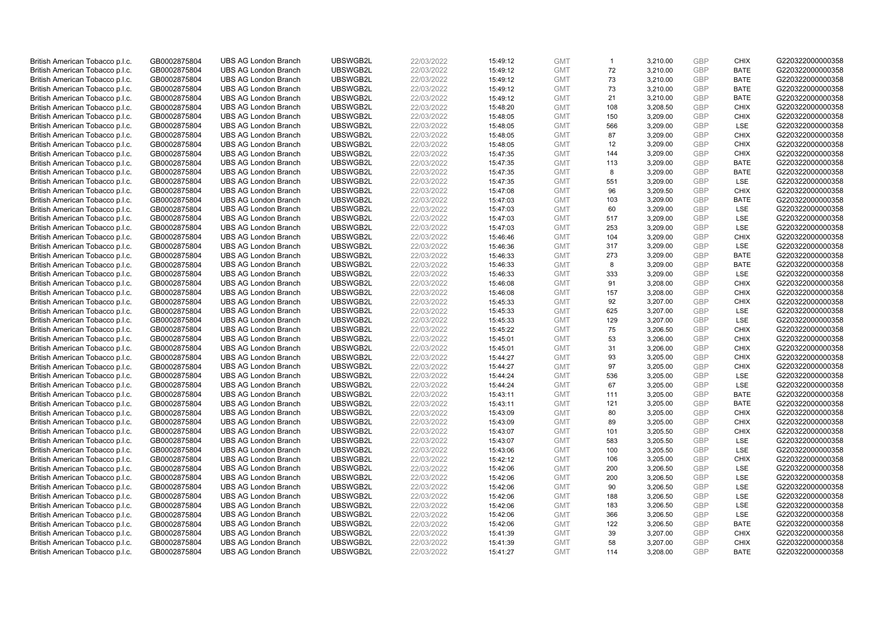| British American Tobacco p.l.c. | GB0002875804                 | <b>UBS AG London Branch</b> | UBSWGB2L             | 22/03/2022 | 15:49:12 | <b>GMT</b>               | $\mathbf{1}$ | 3,210.00 | <b>GBP</b> | <b>CHIX</b> | G220322000000358                     |
|---------------------------------|------------------------------|-----------------------------|----------------------|------------|----------|--------------------------|--------------|----------|------------|-------------|--------------------------------------|
| British American Tobacco p.l.c. | GB0002875804                 | <b>UBS AG London Branch</b> | UBSWGB2L             | 22/03/2022 | 15:49:12 | <b>GMT</b>               | 72           | 3,210.00 | <b>GBP</b> | <b>BATE</b> | G220322000000358                     |
| British American Tobacco p.l.c. | GB0002875804                 | <b>UBS AG London Branch</b> | UBSWGB2L             | 22/03/2022 | 15:49:12 | <b>GMT</b>               | 73           | 3,210.00 | <b>GBP</b> | <b>BATE</b> | G220322000000358                     |
| British American Tobacco p.l.c. | GB0002875804                 | <b>UBS AG London Branch</b> | UBSWGB2L             | 22/03/2022 | 15:49:12 | <b>GMT</b>               | 73           | 3,210.00 | <b>GBP</b> | <b>BATE</b> | G220322000000358                     |
| British American Tobacco p.l.c. | GB0002875804                 | <b>UBS AG London Branch</b> | UBSWGB2L             | 22/03/2022 | 15:49:12 | <b>GMT</b>               | 21           | 3,210.00 | <b>GBP</b> | <b>BATE</b> | G220322000000358                     |
| British American Tobacco p.l.c. | GB0002875804                 | <b>UBS AG London Branch</b> | UBSWGB2L             | 22/03/2022 | 15:48:20 | <b>GMT</b>               | 108          | 3,208.50 | <b>GBP</b> | <b>CHIX</b> | G220322000000358                     |
| British American Tobacco p.l.c. | GB0002875804                 | <b>UBS AG London Branch</b> | UBSWGB2L             | 22/03/2022 | 15:48:05 | <b>GMT</b>               | 150          | 3,209.00 | <b>GBP</b> | <b>CHIX</b> | G220322000000358                     |
| British American Tobacco p.l.c. | GB0002875804                 | <b>UBS AG London Branch</b> | UBSWGB2L             | 22/03/2022 | 15:48:05 | <b>GMT</b>               | 566          | 3,209.00 | <b>GBP</b> | LSE         | G220322000000358                     |
| British American Tobacco p.l.c. | GB0002875804                 | <b>UBS AG London Branch</b> | UBSWGB2L             | 22/03/2022 | 15:48:05 | <b>GMT</b>               | 87           | 3,209.00 | <b>GBP</b> | <b>CHIX</b> | G220322000000358                     |
| British American Tobacco p.l.c. | GB0002875804                 | <b>UBS AG London Branch</b> | UBSWGB2L             | 22/03/2022 | 15:48:05 | <b>GMT</b>               | 12           | 3,209.00 | <b>GBP</b> | <b>CHIX</b> | G220322000000358                     |
| British American Tobacco p.l.c. | GB0002875804                 | <b>UBS AG London Branch</b> | UBSWGB2L             | 22/03/2022 | 15:47:35 | <b>GMT</b>               | 144          | 3,209.00 | <b>GBP</b> | <b>CHIX</b> | G220322000000358                     |
| British American Tobacco p.l.c. | GB0002875804                 | <b>UBS AG London Branch</b> | UBSWGB2L             | 22/03/2022 | 15:47:35 | <b>GMT</b>               | 113          | 3,209.00 | <b>GBP</b> | <b>BATE</b> | G220322000000358                     |
| British American Tobacco p.l.c. | GB0002875804                 | <b>UBS AG London Branch</b> | UBSWGB2L             | 22/03/2022 | 15:47:35 | <b>GMT</b>               | 8            | 3,209.00 | <b>GBP</b> | <b>BATE</b> | G220322000000358                     |
| British American Tobacco p.l.c. | GB0002875804                 | <b>UBS AG London Branch</b> | UBSWGB2L             | 22/03/2022 | 15:47:35 | <b>GMT</b>               | 551          | 3,209.00 | <b>GBP</b> | LSE         | G220322000000358                     |
| British American Tobacco p.l.c. | GB0002875804                 | <b>UBS AG London Branch</b> | UBSWGB2L             | 22/03/2022 | 15:47:08 | <b>GMT</b>               | 96           | 3,209.50 | <b>GBP</b> | <b>CHIX</b> | G220322000000358                     |
| British American Tobacco p.l.c. | GB0002875804                 | <b>UBS AG London Branch</b> | UBSWGB2L             | 22/03/2022 | 15:47:03 | <b>GMT</b>               | 103          | 3,209.00 | <b>GBP</b> | <b>BATE</b> | G220322000000358                     |
| British American Tobacco p.l.c. | GB0002875804                 | <b>UBS AG London Branch</b> | UBSWGB2L             | 22/03/2022 | 15:47:03 | <b>GMT</b>               | 60           | 3,209.00 | <b>GBP</b> | LSE         | G220322000000358                     |
| British American Tobacco p.l.c. | GB0002875804                 | <b>UBS AG London Branch</b> | UBSWGB2L             | 22/03/2022 | 15:47:03 | <b>GMT</b>               | 517          | 3,209.00 | <b>GBP</b> | LSE         | G220322000000358                     |
| British American Tobacco p.l.c. | GB0002875804                 | <b>UBS AG London Branch</b> | UBSWGB2L             | 22/03/2022 | 15:47:03 | <b>GMT</b>               | 253          | 3,209.00 | <b>GBP</b> | LSE         | G220322000000358                     |
| British American Tobacco p.l.c. | GB0002875804                 | <b>UBS AG London Branch</b> | UBSWGB2L             | 22/03/2022 | 15:46:46 | <b>GMT</b>               | 104          | 3,209.00 | <b>GBP</b> | <b>CHIX</b> | G220322000000358                     |
| British American Tobacco p.l.c. | GB0002875804                 | <b>UBS AG London Branch</b> | UBSWGB2L             | 22/03/2022 | 15:46:36 | <b>GMT</b>               | 317          | 3,209.00 | <b>GBP</b> | <b>LSE</b>  | G220322000000358                     |
| British American Tobacco p.l.c. | GB0002875804                 | <b>UBS AG London Branch</b> | UBSWGB2L             | 22/03/2022 | 15:46:33 | <b>GMT</b>               | 273          | 3,209.00 | <b>GBP</b> | <b>BATE</b> | G220322000000358                     |
| British American Tobacco p.l.c. | GB0002875804                 | <b>UBS AG London Branch</b> | UBSWGB2L             | 22/03/2022 | 15:46:33 | <b>GMT</b>               | 8            | 3,209.00 | <b>GBP</b> | <b>BATE</b> | G220322000000358                     |
| British American Tobacco p.l.c. | GB0002875804                 | <b>UBS AG London Branch</b> | UBSWGB2L             | 22/03/2022 | 15:46:33 | <b>GMT</b>               | 333          | 3,209.00 | <b>GBP</b> | LSE         | G220322000000358                     |
| British American Tobacco p.l.c. | GB0002875804                 | <b>UBS AG London Branch</b> | UBSWGB2L             | 22/03/2022 | 15:46:08 | <b>GMT</b>               | 91           | 3,208.00 | <b>GBP</b> | <b>CHIX</b> | G220322000000358                     |
| British American Tobacco p.l.c. | GB0002875804                 | <b>UBS AG London Branch</b> | UBSWGB2L             | 22/03/2022 | 15:46:08 | <b>GMT</b>               | 157          | 3,208.00 | <b>GBP</b> | <b>CHIX</b> | G220322000000358                     |
| British American Tobacco p.l.c. | GB0002875804                 | <b>UBS AG London Branch</b> | UBSWGB2L             | 22/03/2022 | 15:45:33 | <b>GMT</b>               | 92           | 3,207.00 | <b>GBP</b> | <b>CHIX</b> | G220322000000358                     |
| British American Tobacco p.l.c. | GB0002875804                 | <b>UBS AG London Branch</b> | UBSWGB2L             | 22/03/2022 | 15:45:33 | <b>GMT</b>               | 625          | 3,207.00 | <b>GBP</b> | LSE         | G220322000000358                     |
| British American Tobacco p.l.c. | GB0002875804                 | <b>UBS AG London Branch</b> | UBSWGB2L             | 22/03/2022 | 15:45:33 | <b>GMT</b>               | 129          | 3,207.00 | <b>GBP</b> | LSE         | G220322000000358                     |
| British American Tobacco p.l.c. | GB0002875804                 | <b>UBS AG London Branch</b> | UBSWGB2L             | 22/03/2022 | 15:45:22 | <b>GMT</b>               | 75           | 3,206.50 | <b>GBP</b> | <b>CHIX</b> | G220322000000358                     |
| British American Tobacco p.l.c. | GB0002875804                 | <b>UBS AG London Branch</b> | UBSWGB2L             | 22/03/2022 | 15:45:01 | <b>GMT</b>               | 53           | 3,206.00 | <b>GBP</b> | <b>CHIX</b> | G220322000000358                     |
| British American Tobacco p.l.c. |                              | <b>UBS AG London Branch</b> | UBSWGB2L             | 22/03/2022 | 15:45:01 |                          | 31           | 3,206.00 | <b>GBP</b> | <b>CHIX</b> | G220322000000358                     |
| British American Tobacco p.l.c. | GB0002875804<br>GB0002875804 | <b>UBS AG London Branch</b> | UBSWGB2L             | 22/03/2022 | 15:44:27 | <b>GMT</b><br><b>GMT</b> | 93           | 3,205.00 | <b>GBP</b> | <b>CHIX</b> | G220322000000358                     |
|                                 |                              |                             |                      |            |          |                          | 97           |          |            | <b>CHIX</b> |                                      |
| British American Tobacco p.l.c. | GB0002875804                 | <b>UBS AG London Branch</b> | UBSWGB2L<br>UBSWGB2L | 22/03/2022 | 15:44:27 | <b>GMT</b>               | 536          | 3,205.00 | <b>GBP</b> | <b>LSE</b>  | G220322000000358<br>G220322000000358 |
| British American Tobacco p.l.c. | GB0002875804                 | UBS AG London Branch        |                      | 22/03/2022 | 15:44:24 | <b>GMT</b>               |              | 3,205.00 | <b>GBP</b> |             |                                      |
| British American Tobacco p.l.c. | GB0002875804                 | <b>UBS AG London Branch</b> | UBSWGB2L             | 22/03/2022 | 15:44:24 | <b>GMT</b>               | 67           | 3,205.00 | <b>GBP</b> | LSE         | G220322000000358                     |
| British American Tobacco p.l.c. | GB0002875804                 | <b>UBS AG London Branch</b> | UBSWGB2L             | 22/03/2022 | 15:43:11 | <b>GMT</b>               | 111          | 3,205.00 | <b>GBP</b> | <b>BATE</b> | G220322000000358                     |
| British American Tobacco p.l.c. | GB0002875804                 | <b>UBS AG London Branch</b> | UBSWGB2L             | 22/03/2022 | 15:43:11 | <b>GMT</b>               | 121          | 3,205.00 | <b>GBP</b> | <b>BATE</b> | G220322000000358                     |
| British American Tobacco p.l.c. | GB0002875804                 | UBS AG London Branch        | UBSWGB2L             | 22/03/2022 | 15:43:09 | <b>GMT</b>               | 80           | 3,205.00 | <b>GBP</b> | <b>CHIX</b> | G220322000000358                     |
| British American Tobacco p.l.c. | GB0002875804                 | <b>UBS AG London Branch</b> | UBSWGB2L             | 22/03/2022 | 15:43:09 | <b>GMT</b>               | 89           | 3,205.00 | <b>GBP</b> | <b>CHIX</b> | G220322000000358                     |
| British American Tobacco p.l.c. | GB0002875804                 | <b>UBS AG London Branch</b> | UBSWGB2L             | 22/03/2022 | 15:43:07 | <b>GMT</b>               | 101          | 3,205.50 | <b>GBP</b> | <b>CHIX</b> | G220322000000358                     |
| British American Tobacco p.l.c. | GB0002875804                 | <b>UBS AG London Branch</b> | UBSWGB2L             | 22/03/2022 | 15:43:07 | <b>GMT</b>               | 583          | 3,205.50 | <b>GBP</b> | LSE         | G220322000000358                     |
| British American Tobacco p.l.c. | GB0002875804                 | <b>UBS AG London Branch</b> | UBSWGB2L             | 22/03/2022 | 15:43:06 | <b>GMT</b>               | 100          | 3,205.50 | <b>GBP</b> | LSE         | G220322000000358                     |
| British American Tobacco p.l.c. | GB0002875804                 | <b>UBS AG London Branch</b> | UBSWGB2L             | 22/03/2022 | 15:42:12 | <b>GMT</b>               | 106          | 3,205.00 | <b>GBP</b> | <b>CHIX</b> | G220322000000358                     |
| British American Tobacco p.l.c. | GB0002875804                 | <b>UBS AG London Branch</b> | UBSWGB2L             | 22/03/2022 | 15:42:06 | <b>GMT</b>               | 200          | 3,206.50 | <b>GBP</b> | LSE         | G220322000000358                     |
| British American Tobacco p.l.c. | GB0002875804                 | <b>UBS AG London Branch</b> | UBSWGB2L             | 22/03/2022 | 15:42:06 | <b>GMT</b>               | 200          | 3,206.50 | <b>GBP</b> | LSE         | G220322000000358                     |
| British American Tobacco p.l.c. | GB0002875804                 | <b>UBS AG London Branch</b> | UBSWGB2L             | 22/03/2022 | 15:42:06 | <b>GMT</b>               | 90           | 3,206.50 | <b>GBP</b> | LSE         | G220322000000358                     |
| British American Tobacco p.l.c. | GB0002875804                 | <b>UBS AG London Branch</b> | UBSWGB2L             | 22/03/2022 | 15:42:06 | <b>GMT</b>               | 188          | 3,206.50 | <b>GBP</b> | LSE         | G220322000000358                     |
| British American Tobacco p.l.c. | GB0002875804                 | <b>UBS AG London Branch</b> | UBSWGB2L             | 22/03/2022 | 15:42:06 | <b>GMT</b>               | 183          | 3,206.50 | <b>GBP</b> | LSE         | G220322000000358                     |
| British American Tobacco p.l.c. | GB0002875804                 | <b>UBS AG London Branch</b> | UBSWGB2L             | 22/03/2022 | 15:42:06 | <b>GMT</b>               | 366          | 3,206.50 | <b>GBP</b> | LSE         | G220322000000358                     |
| British American Tobacco p.l.c. | GB0002875804                 | <b>UBS AG London Branch</b> | UBSWGB2L             | 22/03/2022 | 15:42:06 | <b>GMT</b>               | 122          | 3,206.50 | <b>GBP</b> | <b>BATE</b> | G220322000000358                     |
| British American Tobacco p.l.c. | GB0002875804                 | <b>UBS AG London Branch</b> | UBSWGB2L             | 22/03/2022 | 15:41:39 | <b>GMT</b>               | 39           | 3,207.00 | <b>GBP</b> | <b>CHIX</b> | G220322000000358                     |
| British American Tobacco p.l.c. | GB0002875804                 | <b>UBS AG London Branch</b> | UBSWGB2L             | 22/03/2022 | 15:41:39 | <b>GMT</b>               | 58           | 3,207.00 | <b>GBP</b> | <b>CHIX</b> | G220322000000358                     |
| British American Tobacco p.l.c. | GB0002875804                 | <b>UBS AG London Branch</b> | UBSWGB2L             | 22/03/2022 | 15:41:27 | <b>GMT</b>               | 114          | 3,208.00 | GBP        | <b>BATE</b> | G220322000000358                     |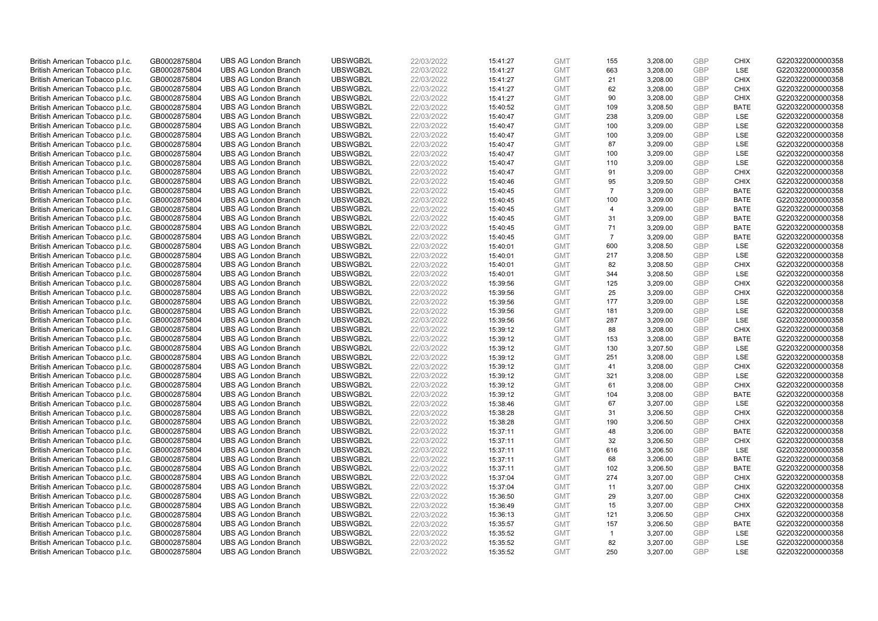| British American Tobacco p.l.c. | GB0002875804 | <b>UBS AG London Branch</b> | UBSWGB2L | 22/03/2022 | 15:41:27 | <b>GMT</b> | 155            | 3,208.00 | <b>GBP</b> | <b>CHIX</b> | G220322000000358 |
|---------------------------------|--------------|-----------------------------|----------|------------|----------|------------|----------------|----------|------------|-------------|------------------|
|                                 |              |                             |          |            |          |            |                |          |            | LSE         |                  |
| British American Tobacco p.l.c. | GB0002875804 | <b>UBS AG London Branch</b> | UBSWGB2L | 22/03/2022 | 15:41:27 | <b>GMT</b> | 663            | 3,208.00 | <b>GBP</b> |             | G220322000000358 |
| British American Tobacco p.l.c. | GB0002875804 | <b>UBS AG London Branch</b> | UBSWGB2L | 22/03/2022 | 15:41:27 | <b>GMT</b> | 21             | 3,208.00 | <b>GBP</b> | <b>CHIX</b> | G220322000000358 |
| British American Tobacco p.l.c. | GB0002875804 | <b>UBS AG London Branch</b> | UBSWGB2L | 22/03/2022 | 15:41:27 | <b>GMT</b> | 62             | 3,208.00 | <b>GBP</b> | <b>CHIX</b> | G220322000000358 |
| British American Tobacco p.l.c. | GB0002875804 | <b>UBS AG London Branch</b> | UBSWGB2L | 22/03/2022 | 15:41:27 | <b>GMT</b> | 90             | 3,208.00 | <b>GBP</b> | <b>CHIX</b> | G220322000000358 |
| British American Tobacco p.l.c. | GB0002875804 | <b>UBS AG London Branch</b> | UBSWGB2L | 22/03/2022 | 15:40:52 | <b>GMT</b> | 109            | 3,208.50 | <b>GBP</b> | BATE        | G220322000000358 |
| British American Tobacco p.l.c. | GB0002875804 | <b>UBS AG London Branch</b> | UBSWGB2L | 22/03/2022 | 15:40:47 | <b>GMT</b> | 238            | 3,209.00 | <b>GBP</b> | LSE         | G220322000000358 |
| British American Tobacco p.l.c. | GB0002875804 | <b>UBS AG London Branch</b> | UBSWGB2L | 22/03/2022 | 15:40:47 | <b>GMT</b> | 100            | 3,209.00 | <b>GBP</b> | LSE         | G220322000000358 |
| British American Tobacco p.l.c. | GB0002875804 | <b>UBS AG London Branch</b> | UBSWGB2L | 22/03/2022 | 15:40:47 | <b>GMT</b> | 100            | 3,209.00 | <b>GBP</b> | LSE         | G220322000000358 |
| British American Tobacco p.l.c. | GB0002875804 | <b>UBS AG London Branch</b> | UBSWGB2L | 22/03/2022 | 15:40:47 | <b>GMT</b> | 87             | 3,209.00 | <b>GBP</b> | LSE         | G220322000000358 |
| British American Tobacco p.l.c. | GB0002875804 | <b>UBS AG London Branch</b> | UBSWGB2L | 22/03/2022 | 15:40:47 | <b>GMT</b> | 100            | 3,209.00 | <b>GBP</b> | LSE         | G220322000000358 |
| British American Tobacco p.l.c. | GB0002875804 | <b>UBS AG London Branch</b> | UBSWGB2L | 22/03/2022 | 15:40:47 | <b>GMT</b> | 110            | 3,209.00 | <b>GBP</b> | LSE         | G220322000000358 |
| British American Tobacco p.l.c. | GB0002875804 | <b>UBS AG London Branch</b> | UBSWGB2L | 22/03/2022 | 15:40:47 | <b>GMT</b> | 91             | 3,209.00 | <b>GBP</b> | <b>CHIX</b> | G220322000000358 |
| British American Tobacco p.l.c. | GB0002875804 | <b>UBS AG London Branch</b> | UBSWGB2L | 22/03/2022 | 15:40:46 | <b>GMT</b> | 95             | 3,209.50 | <b>GBP</b> | <b>CHIX</b> | G220322000000358 |
| British American Tobacco p.l.c. | GB0002875804 | <b>UBS AG London Branch</b> | UBSWGB2L | 22/03/2022 | 15:40:45 | <b>GMT</b> | $\overline{7}$ | 3,209.00 | <b>GBP</b> | <b>BATE</b> | G220322000000358 |
| British American Tobacco p.l.c. | GB0002875804 | <b>UBS AG London Branch</b> | UBSWGB2L | 22/03/2022 | 15:40:45 | <b>GMT</b> | 100            | 3,209.00 | <b>GBP</b> | <b>BATE</b> | G220322000000358 |
| British American Tobacco p.l.c. | GB0002875804 | <b>UBS AG London Branch</b> | UBSWGB2L | 22/03/2022 | 15:40:45 | <b>GMT</b> | $\overline{4}$ | 3,209.00 | <b>GBP</b> | <b>BATE</b> | G220322000000358 |
| British American Tobacco p.l.c. | GB0002875804 | <b>UBS AG London Branch</b> | UBSWGB2L | 22/03/2022 | 15:40:45 | <b>GMT</b> | 31             | 3,209.00 | <b>GBP</b> | <b>BATE</b> | G220322000000358 |
| British American Tobacco p.l.c. | GB0002875804 | <b>UBS AG London Branch</b> | UBSWGB2L | 22/03/2022 | 15:40:45 | <b>GMT</b> | 71             | 3,209.00 | <b>GBP</b> | <b>BATE</b> | G220322000000358 |
| British American Tobacco p.l.c. | GB0002875804 | <b>UBS AG London Branch</b> | UBSWGB2L | 22/03/2022 | 15:40:45 | <b>GMT</b> | $\overline{7}$ | 3,209.00 | <b>GBP</b> | <b>BATE</b> | G220322000000358 |
| British American Tobacco p.l.c. | GB0002875804 | <b>UBS AG London Branch</b> | UBSWGB2L | 22/03/2022 | 15:40:01 | <b>GMT</b> | 600            | 3,208.50 | <b>GBP</b> | LSE         | G220322000000358 |
| British American Tobacco p.l.c. | GB0002875804 | <b>UBS AG London Branch</b> | UBSWGB2L | 22/03/2022 | 15:40:01 | <b>GMT</b> | 217            | 3,208.50 | <b>GBP</b> | LSE         | G220322000000358 |
| British American Tobacco p.l.c. | GB0002875804 | <b>UBS AG London Branch</b> | UBSWGB2L | 22/03/2022 | 15:40:01 | <b>GMT</b> | 82             | 3,208.50 | <b>GBP</b> | <b>CHIX</b> | G220322000000358 |
| British American Tobacco p.l.c. | GB0002875804 | <b>UBS AG London Branch</b> | UBSWGB2L | 22/03/2022 | 15:40:01 | <b>GMT</b> | 344            | 3,208.50 | <b>GBP</b> | LSE         | G220322000000358 |
| British American Tobacco p.l.c. | GB0002875804 | <b>UBS AG London Branch</b> | UBSWGB2L | 22/03/2022 | 15:39:56 | <b>GMT</b> | 125            | 3,209.00 | <b>GBP</b> | <b>CHIX</b> | G220322000000358 |
| British American Tobacco p.l.c. | GB0002875804 | <b>UBS AG London Branch</b> | UBSWGB2L | 22/03/2022 | 15:39:56 | <b>GMT</b> | 25             | 3,209.00 | <b>GBP</b> | <b>CHIX</b> | G220322000000358 |
| British American Tobacco p.l.c. | GB0002875804 | <b>UBS AG London Branch</b> | UBSWGB2L | 22/03/2022 | 15:39:56 | <b>GMT</b> | 177            | 3,209.00 | <b>GBP</b> | LSE         | G220322000000358 |
| British American Tobacco p.l.c. | GB0002875804 | <b>UBS AG London Branch</b> | UBSWGB2L | 22/03/2022 | 15:39:56 | <b>GMT</b> | 181            | 3,209.00 | <b>GBP</b> | LSE         | G220322000000358 |
| British American Tobacco p.l.c. | GB0002875804 | <b>UBS AG London Branch</b> | UBSWGB2L | 22/03/2022 | 15:39:56 | <b>GMT</b> | 287            | 3,209.00 | <b>GBP</b> | LSE         | G220322000000358 |
| British American Tobacco p.l.c. | GB0002875804 | <b>UBS AG London Branch</b> | UBSWGB2L | 22/03/2022 | 15:39:12 | <b>GMT</b> | 88             | 3,208.00 | <b>GBP</b> | <b>CHIX</b> | G220322000000358 |
| British American Tobacco p.l.c. |              | <b>UBS AG London Branch</b> | UBSWGB2L | 22/03/2022 |          | <b>GMT</b> | 153            | 3,208.00 | <b>GBP</b> | <b>BATE</b> | G220322000000358 |
|                                 | GB0002875804 |                             | UBSWGB2L |            | 15:39:12 |            | 130            |          |            |             |                  |
| British American Tobacco p.l.c. | GB0002875804 | <b>UBS AG London Branch</b> |          | 22/03/2022 | 15:39:12 | <b>GMT</b> |                | 3,207.50 | <b>GBP</b> | <b>LSE</b>  | G220322000000358 |
| British American Tobacco p.l.c. | GB0002875804 | <b>UBS AG London Branch</b> | UBSWGB2L | 22/03/2022 | 15:39:12 | <b>GMT</b> | 251<br>41      | 3,208.00 | <b>GBP</b> | LSE         | G220322000000358 |
| British American Tobacco p.l.c. | GB0002875804 | <b>UBS AG London Branch</b> | UBSWGB2L | 22/03/2022 | 15:39:12 | <b>GMT</b> |                | 3,208.00 | <b>GBP</b> | <b>CHIX</b> | G220322000000358 |
| British American Tobacco p.l.c. | GB0002875804 | <b>UBS AG London Branch</b> | UBSWGB2L | 22/03/2022 | 15:39:12 | <b>GMT</b> | 321            | 3,208.00 | <b>GBP</b> | LSE         | G220322000000358 |
| British American Tobacco p.l.c. | GB0002875804 | <b>UBS AG London Branch</b> | UBSWGB2L | 22/03/2022 | 15:39:12 | <b>GMT</b> | 61             | 3,208.00 | <b>GBP</b> | <b>CHIX</b> | G220322000000358 |
| British American Tobacco p.l.c. | GB0002875804 | <b>UBS AG London Branch</b> | UBSWGB2L | 22/03/2022 | 15:39:12 | <b>GMT</b> | 104            | 3,208.00 | <b>GBP</b> | <b>BATE</b> | G220322000000358 |
| British American Tobacco p.l.c. | GB0002875804 | <b>UBS AG London Branch</b> | UBSWGB2L | 22/03/2022 | 15:38:46 | <b>GMT</b> | 67             | 3,207.00 | <b>GBP</b> | LSE         | G220322000000358 |
| British American Tobacco p.l.c. | GB0002875804 | <b>UBS AG London Branch</b> | UBSWGB2L | 22/03/2022 | 15:38:28 | <b>GMT</b> | 31             | 3,206.50 | <b>GBP</b> | <b>CHIX</b> | G220322000000358 |
| British American Tobacco p.l.c. | GB0002875804 | <b>UBS AG London Branch</b> | UBSWGB2L | 22/03/2022 | 15:38:28 | <b>GMT</b> | 190            | 3,206.50 | <b>GBP</b> | <b>CHIX</b> | G220322000000358 |
| British American Tobacco p.l.c. | GB0002875804 | <b>UBS AG London Branch</b> | UBSWGB2L | 22/03/2022 | 15:37:11 | <b>GMT</b> | 48             | 3,206.00 | <b>GBP</b> | <b>BATE</b> | G220322000000358 |
| British American Tobacco p.l.c. | GB0002875804 | <b>UBS AG London Branch</b> | UBSWGB2L | 22/03/2022 | 15:37:11 | <b>GMT</b> | 32             | 3,206.50 | <b>GBP</b> | <b>CHIX</b> | G220322000000358 |
| British American Tobacco p.l.c. | GB0002875804 | <b>UBS AG London Branch</b> | UBSWGB2L | 22/03/2022 | 15:37:11 | <b>GMT</b> | 616            | 3,206.50 | <b>GBP</b> | LSE         | G220322000000358 |
| British American Tobacco p.l.c. | GB0002875804 | <b>UBS AG London Branch</b> | UBSWGB2L | 22/03/2022 | 15:37:11 | <b>GMT</b> | 68             | 3,206.00 | <b>GBP</b> | <b>BATE</b> | G220322000000358 |
| British American Tobacco p.l.c. | GB0002875804 | <b>UBS AG London Branch</b> | UBSWGB2L | 22/03/2022 | 15:37:11 | <b>GMT</b> | 102            | 3,206.50 | <b>GBP</b> | <b>BATE</b> | G220322000000358 |
| British American Tobacco p.l.c. | GB0002875804 | <b>UBS AG London Branch</b> | UBSWGB2L | 22/03/2022 | 15:37:04 | <b>GMT</b> | 274            | 3,207.00 | <b>GBP</b> | <b>CHIX</b> | G220322000000358 |
| British American Tobacco p.l.c. | GB0002875804 | <b>UBS AG London Branch</b> | UBSWGB2L | 22/03/2022 | 15:37:04 | <b>GMT</b> | 11             | 3,207.00 | <b>GBP</b> | <b>CHIX</b> | G220322000000358 |
| British American Tobacco p.l.c. | GB0002875804 | <b>UBS AG London Branch</b> | UBSWGB2L | 22/03/2022 | 15:36:50 | <b>GMT</b> | 29             | 3,207.00 | <b>GBP</b> | <b>CHIX</b> | G220322000000358 |
| British American Tobacco p.l.c. | GB0002875804 | <b>UBS AG London Branch</b> | UBSWGB2L | 22/03/2022 | 15:36:49 | <b>GMT</b> | 15             | 3,207.00 | <b>GBP</b> | <b>CHIX</b> | G220322000000358 |
| British American Tobacco p.l.c. | GB0002875804 | <b>UBS AG London Branch</b> | UBSWGB2L | 22/03/2022 | 15:36:13 | <b>GMT</b> | 121            | 3,206.50 | <b>GBP</b> | <b>CHIX</b> | G220322000000358 |
| British American Tobacco p.l.c. | GB0002875804 | <b>UBS AG London Branch</b> | UBSWGB2L | 22/03/2022 | 15:35:57 | <b>GMT</b> | 157            | 3,206.50 | <b>GBP</b> | <b>BATE</b> | G220322000000358 |
| British American Tobacco p.l.c. | GB0002875804 | <b>UBS AG London Branch</b> | UBSWGB2L | 22/03/2022 | 15:35:52 | <b>GMT</b> | $\mathbf{1}$   | 3,207.00 | <b>GBP</b> | LSE         | G220322000000358 |
| British American Tobacco p.l.c. | GB0002875804 | <b>UBS AG London Branch</b> | UBSWGB2L | 22/03/2022 | 15:35:52 | <b>GMT</b> | 82             | 3,207.00 | <b>GBP</b> | LSE         | G220322000000358 |
| British American Tobacco p.l.c. | GB0002875804 | <b>UBS AG London Branch</b> | UBSWGB2L | 22/03/2022 | 15:35:52 | <b>GMT</b> | 250            | 3.207.00 | GBP        | LSE         | G220322000000358 |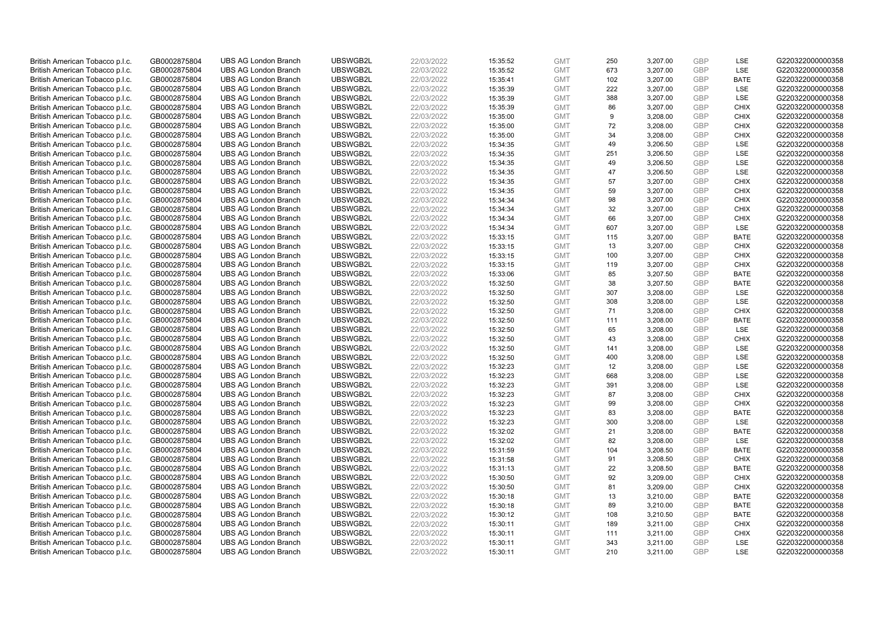| British American Tobacco p.l.c. | GB0002875804 | <b>UBS AG London Branch</b> | UBSWGB2L | 22/03/2022 | 15:35:52 | <b>GMT</b> | 250 | 3,207.00 | <b>GBP</b> | LSE         | G220322000000358 |
|---------------------------------|--------------|-----------------------------|----------|------------|----------|------------|-----|----------|------------|-------------|------------------|
| British American Tobacco p.l.c. | GB0002875804 | <b>UBS AG London Branch</b> | UBSWGB2L | 22/03/2022 | 15:35:52 | <b>GMT</b> | 673 | 3,207.00 | GBP        | LSE         | G220322000000358 |
| British American Tobacco p.l.c. | GB0002875804 | <b>UBS AG London Branch</b> | UBSWGB2L | 22/03/2022 | 15:35:41 | <b>GMT</b> | 102 | 3,207.00 | <b>GBP</b> | <b>BATE</b> | G220322000000358 |
| British American Tobacco p.l.c. | GB0002875804 | <b>UBS AG London Branch</b> | UBSWGB2L | 22/03/2022 | 15:35:39 | <b>GMT</b> | 222 | 3,207.00 | <b>GBP</b> | LSE         | G220322000000358 |
| British American Tobacco p.l.c. | GB0002875804 | <b>UBS AG London Branch</b> | UBSWGB2L | 22/03/2022 | 15:35:39 | <b>GMT</b> | 388 | 3,207.00 | <b>GBP</b> | LSE         | G220322000000358 |
| British American Tobacco p.l.c. | GB0002875804 | <b>UBS AG London Branch</b> | UBSWGB2L | 22/03/2022 | 15:35:39 | <b>GMT</b> | 86  | 3,207.00 | <b>GBP</b> | CHIX        | G220322000000358 |
| British American Tobacco p.l.c. | GB0002875804 | <b>UBS AG London Branch</b> | UBSWGB2L | 22/03/2022 | 15:35:00 | <b>GMT</b> | 9   | 3,208.00 | <b>GBP</b> | <b>CHIX</b> | G220322000000358 |
| British American Tobacco p.l.c. | GB0002875804 | <b>UBS AG London Branch</b> | UBSWGB2L | 22/03/2022 | 15:35:00 | <b>GMT</b> | 72  | 3,208.00 | <b>GBP</b> | <b>CHIX</b> | G220322000000358 |
| British American Tobacco p.l.c. | GB0002875804 | <b>UBS AG London Branch</b> | UBSWGB2L | 22/03/2022 | 15:35:00 | <b>GMT</b> | 34  | 3,208.00 | <b>GBP</b> | <b>CHIX</b> | G220322000000358 |
| British American Tobacco p.l.c. | GB0002875804 | <b>UBS AG London Branch</b> | UBSWGB2L | 22/03/2022 | 15:34:35 | <b>GMT</b> | 49  | 3,206.50 | <b>GBP</b> | LSE         | G220322000000358 |
| British American Tobacco p.l.c. | GB0002875804 | <b>UBS AG London Branch</b> | UBSWGB2L | 22/03/2022 | 15:34:35 | <b>GMT</b> | 251 | 3,206.50 | <b>GBP</b> | <b>LSE</b>  | G220322000000358 |
| British American Tobacco p.l.c. | GB0002875804 | <b>UBS AG London Branch</b> | UBSWGB2L | 22/03/2022 | 15:34:35 | <b>GMT</b> | 49  | 3,206.50 | <b>GBP</b> | LSE         | G220322000000358 |
| British American Tobacco p.l.c. | GB0002875804 | <b>UBS AG London Branch</b> | UBSWGB2L | 22/03/2022 | 15:34:35 | <b>GMT</b> | 47  | 3,206.50 | <b>GBP</b> | LSE         | G220322000000358 |
| British American Tobacco p.l.c. | GB0002875804 | <b>UBS AG London Branch</b> | UBSWGB2L | 22/03/2022 | 15:34:35 | <b>GMT</b> | 57  | 3,207.00 | <b>GBP</b> | <b>CHIX</b> | G220322000000358 |
| British American Tobacco p.l.c. | GB0002875804 | <b>UBS AG London Branch</b> | UBSWGB2L | 22/03/2022 | 15:34:35 | <b>GMT</b> | 59  | 3,207.00 | <b>GBP</b> | <b>CHIX</b> | G220322000000358 |
| British American Tobacco p.l.c. | GB0002875804 | <b>UBS AG London Branch</b> | UBSWGB2L | 22/03/2022 | 15:34:34 | <b>GMT</b> | 98  | 3,207.00 | <b>GBP</b> | <b>CHIX</b> | G220322000000358 |
| British American Tobacco p.l.c. | GB0002875804 | <b>UBS AG London Branch</b> | UBSWGB2L | 22/03/2022 | 15:34:34 | <b>GMT</b> | 32  | 3,207.00 | <b>GBP</b> | <b>CHIX</b> | G220322000000358 |
| British American Tobacco p.l.c. | GB0002875804 | <b>UBS AG London Branch</b> | UBSWGB2L | 22/03/2022 | 15:34:34 | <b>GMT</b> | 66  | 3,207.00 | <b>GBP</b> | <b>CHIX</b> | G220322000000358 |
| British American Tobacco p.l.c. | GB0002875804 | <b>UBS AG London Branch</b> | UBSWGB2L | 22/03/2022 | 15:34:34 | <b>GMT</b> | 607 | 3,207.00 | <b>GBP</b> | <b>LSE</b>  | G220322000000358 |
| British American Tobacco p.l.c. | GB0002875804 | <b>UBS AG London Branch</b> | UBSWGB2L | 22/03/2022 | 15:33:15 | <b>GMT</b> | 115 | 3,207.00 | <b>GBP</b> | <b>BATE</b> | G220322000000358 |
| British American Tobacco p.l.c. | GB0002875804 | <b>UBS AG London Branch</b> | UBSWGB2L | 22/03/2022 | 15:33:15 | <b>GMT</b> | 13  | 3,207.00 | <b>GBP</b> | <b>CHIX</b> | G220322000000358 |
| British American Tobacco p.l.c. | GB0002875804 | <b>UBS AG London Branch</b> | UBSWGB2L | 22/03/2022 | 15:33:15 | <b>GMT</b> | 100 | 3,207.00 | <b>GBP</b> | <b>CHIX</b> | G220322000000358 |
| British American Tobacco p.l.c. | GB0002875804 | <b>UBS AG London Branch</b> | UBSWGB2L | 22/03/2022 | 15:33:15 | <b>GMT</b> | 119 | 3,207.00 | <b>GBP</b> | <b>CHIX</b> | G220322000000358 |
| British American Tobacco p.l.c. | GB0002875804 | <b>UBS AG London Branch</b> | UBSWGB2L | 22/03/2022 | 15:33:06 | <b>GMT</b> | 85  | 3,207.50 | GBP        | <b>BATE</b> | G220322000000358 |
| British American Tobacco p.l.c. | GB0002875804 | <b>UBS AG London Branch</b> | UBSWGB2L | 22/03/2022 | 15:32:50 | <b>GMT</b> | 38  | 3,207.50 | GBP        | <b>BATE</b> | G220322000000358 |
| British American Tobacco p.l.c. | GB0002875804 | <b>UBS AG London Branch</b> | UBSWGB2L | 22/03/2022 | 15:32:50 | <b>GMT</b> | 307 | 3,208.00 | <b>GBP</b> | <b>LSE</b>  | G220322000000358 |
| British American Tobacco p.l.c. | GB0002875804 | <b>UBS AG London Branch</b> | UBSWGB2L | 22/03/2022 | 15:32:50 | <b>GMT</b> | 308 | 3,208.00 | <b>GBP</b> | LSE         | G220322000000358 |
| British American Tobacco p.l.c. | GB0002875804 | <b>UBS AG London Branch</b> | UBSWGB2L | 22/03/2022 | 15:32:50 | <b>GMT</b> | 71  | 3,208.00 | <b>GBP</b> | <b>CHIX</b> | G220322000000358 |
| British American Tobacco p.l.c. | GB0002875804 | <b>UBS AG London Branch</b> | UBSWGB2L | 22/03/2022 | 15:32:50 | <b>GMT</b> | 111 | 3,208.00 | GBP        | <b>BATE</b> | G220322000000358 |
| British American Tobacco p.l.c. | GB0002875804 | <b>UBS AG London Branch</b> | UBSWGB2L | 22/03/2022 | 15:32:50 | <b>GMT</b> | 65  | 3,208.00 | <b>GBP</b> | LSE         | G220322000000358 |
| British American Tobacco p.l.c. | GB0002875804 | <b>UBS AG London Branch</b> | UBSWGB2L | 22/03/2022 | 15:32:50 | <b>GMT</b> | 43  | 3,208.00 | GBP        | <b>CHIX</b> | G220322000000358 |
| British American Tobacco p.l.c. | GB0002875804 | <b>UBS AG London Branch</b> | UBSWGB2L | 22/03/2022 | 15:32:50 | <b>GMT</b> | 141 | 3,208.00 | <b>GBP</b> | <b>LSE</b>  | G220322000000358 |
| British American Tobacco p.l.c. | GB0002875804 | <b>UBS AG London Branch</b> | UBSWGB2L | 22/03/2022 | 15:32:50 | <b>GMT</b> | 400 | 3,208.00 | GBP        | <b>LSE</b>  | G220322000000358 |
| British American Tobacco p.l.c. | GB0002875804 | <b>UBS AG London Branch</b> | UBSWGB2L | 22/03/2022 | 15:32:23 | <b>GMT</b> | 12  | 3,208.00 | <b>GBP</b> | LSE         | G220322000000358 |
| British American Tobacco p.l.c. | GB0002875804 | <b>UBS AG London Branch</b> | UBSWGB2L | 22/03/2022 | 15:32:23 | <b>GMT</b> | 668 | 3,208.00 | GBP        | LSE         | G220322000000358 |
| British American Tobacco p.l.c. | GB0002875804 | <b>UBS AG London Branch</b> | UBSWGB2L | 22/03/2022 | 15:32:23 | <b>GMT</b> | 391 | 3,208.00 | <b>GBP</b> | LSE         | G220322000000358 |
| British American Tobacco p.l.c. | GB0002875804 | <b>UBS AG London Branch</b> | UBSWGB2L | 22/03/2022 | 15:32:23 | <b>GMT</b> | 87  | 3,208.00 | GBP        | <b>CHIX</b> | G220322000000358 |
| British American Tobacco p.l.c. | GB0002875804 | <b>UBS AG London Branch</b> | UBSWGB2L | 22/03/2022 | 15:32:23 | <b>GMT</b> | 99  | 3,208.00 | <b>GBP</b> | <b>CHIX</b> | G220322000000358 |
| British American Tobacco p.l.c. | GB0002875804 | <b>UBS AG London Branch</b> | UBSWGB2L | 22/03/2022 | 15:32:23 | <b>GMT</b> | 83  | 3,208.00 | <b>GBP</b> | <b>BATE</b> | G220322000000358 |
| British American Tobacco p.l.c. | GB0002875804 | <b>UBS AG London Branch</b> | UBSWGB2L | 22/03/2022 | 15:32:23 | <b>GMT</b> | 300 | 3,208.00 | <b>GBP</b> | LSE         | G220322000000358 |
| British American Tobacco p.l.c. | GB0002875804 | <b>UBS AG London Branch</b> | UBSWGB2L | 22/03/2022 | 15:32:02 | <b>GMT</b> | 21  | 3,208.00 | GBP        | <b>BATE</b> | G220322000000358 |
| British American Tobacco p.l.c. | GB0002875804 | <b>UBS AG London Branch</b> | UBSWGB2L | 22/03/2022 | 15:32:02 | <b>GMT</b> | 82  | 3,208.00 | <b>GBP</b> | LSE         | G220322000000358 |
| British American Tobacco p.l.c. | GB0002875804 | <b>UBS AG London Branch</b> | UBSWGB2L | 22/03/2022 | 15:31:59 | <b>GMT</b> | 104 | 3,208.50 | <b>GBP</b> | <b>BATE</b> | G220322000000358 |
| British American Tobacco p.l.c. | GB0002875804 | <b>UBS AG London Branch</b> | UBSWGB2L | 22/03/2022 | 15:31:58 | <b>GMT</b> | 91  | 3,208.50 | <b>GBP</b> | <b>CHIX</b> | G220322000000358 |
| British American Tobacco p.l.c. | GB0002875804 | <b>UBS AG London Branch</b> | UBSWGB2L | 22/03/2022 | 15:31:13 | <b>GMT</b> | 22  | 3,208.50 | <b>GBP</b> | <b>BATE</b> | G220322000000358 |
| British American Tobacco p.l.c. | GB0002875804 | <b>UBS AG London Branch</b> | UBSWGB2L | 22/03/2022 | 15:30:50 | <b>GMT</b> | 92  | 3,209.00 | <b>GBP</b> | <b>CHIX</b> | G220322000000358 |
| British American Tobacco p.l.c. | GB0002875804 | <b>UBS AG London Branch</b> | UBSWGB2L | 22/03/2022 | 15:30:50 | <b>GMT</b> | 81  | 3,209.00 | <b>GBP</b> | <b>CHIX</b> | G220322000000358 |
| British American Tobacco p.l.c. | GB0002875804 | <b>UBS AG London Branch</b> | UBSWGB2L | 22/03/2022 | 15:30:18 | <b>GMT</b> | 13  | 3,210.00 | <b>GBP</b> | <b>BATE</b> | G220322000000358 |
| British American Tobacco p.l.c. | GB0002875804 | <b>UBS AG London Branch</b> | UBSWGB2L | 22/03/2022 | 15:30:18 | <b>GMT</b> | 89  | 3,210.00 | <b>GBP</b> | <b>BATE</b> | G220322000000358 |
| British American Tobacco p.l.c. | GB0002875804 | <b>UBS AG London Branch</b> | UBSWGB2L | 22/03/2022 | 15:30:12 | <b>GMT</b> | 108 | 3,210.50 | <b>GBP</b> | <b>BATE</b> | G220322000000358 |
| British American Tobacco p.l.c. | GB0002875804 | <b>UBS AG London Branch</b> | UBSWGB2L | 22/03/2022 | 15:30:11 | <b>GMT</b> | 189 | 3,211.00 | <b>GBP</b> | <b>CHIX</b> | G220322000000358 |
| British American Tobacco p.l.c. | GB0002875804 | <b>UBS AG London Branch</b> | UBSWGB2L | 22/03/2022 | 15:30:11 | <b>GMT</b> | 111 | 3,211.00 | <b>GBP</b> | <b>CHIX</b> | G220322000000358 |
| British American Tobacco p.l.c. | GB0002875804 | <b>UBS AG London Branch</b> | UBSWGB2L | 22/03/2022 | 15:30:11 | <b>GMT</b> | 343 | 3,211.00 | <b>GBP</b> | LSE         | G220322000000358 |
| British American Tobacco p.l.c. | GB0002875804 | <b>UBS AG London Branch</b> | UBSWGB2L | 22/03/2022 | 15:30:11 | <b>GMT</b> | 210 | 3,211.00 | GBP        | <b>LSE</b>  | G220322000000358 |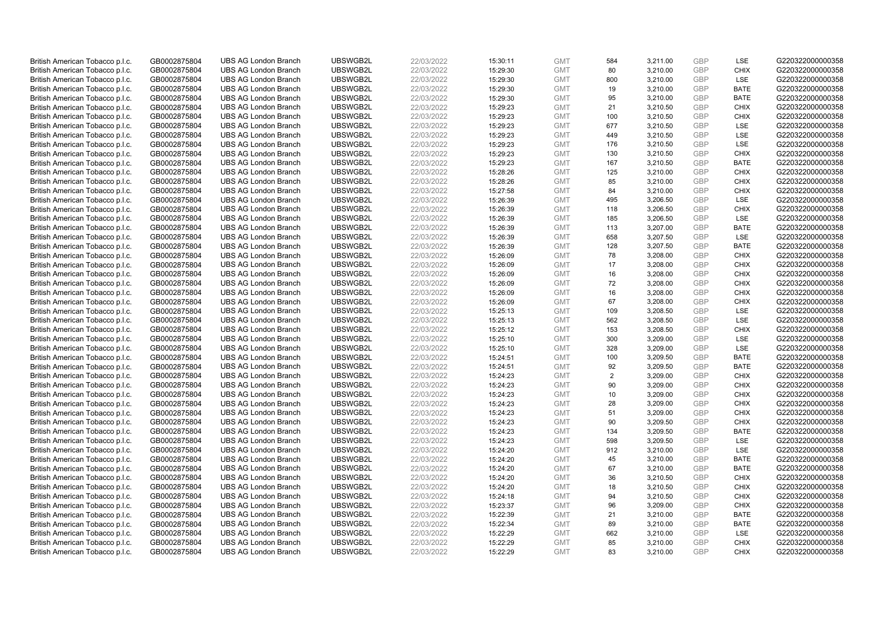| British American Tobacco p.l.c. | GB0002875804 | <b>UBS AG London Branch</b> | UBSWGB2L | 22/03/2022 | 15:30:11 | <b>GMT</b> | 584            | 3,211.00 | <b>GBP</b> | LSE         | G220322000000358 |
|---------------------------------|--------------|-----------------------------|----------|------------|----------|------------|----------------|----------|------------|-------------|------------------|
|                                 |              |                             |          |            |          |            |                |          |            | <b>CHIX</b> |                  |
| British American Tobacco p.l.c. | GB0002875804 | <b>UBS AG London Branch</b> | UBSWGB2L | 22/03/2022 | 15:29:30 | <b>GMT</b> | 80             | 3,210.00 | <b>GBP</b> |             | G220322000000358 |
| British American Tobacco p.l.c. | GB0002875804 | <b>UBS AG London Branch</b> | UBSWGB2L | 22/03/2022 | 15:29:30 | <b>GMT</b> | 800            | 3,210.00 | <b>GBP</b> | LSE         | G220322000000358 |
| British American Tobacco p.l.c. | GB0002875804 | <b>UBS AG London Branch</b> | UBSWGB2L | 22/03/2022 | 15:29:30 | <b>GMT</b> | 19             | 3,210.00 | <b>GBP</b> | <b>BATE</b> | G220322000000358 |
| British American Tobacco p.l.c. | GB0002875804 | <b>UBS AG London Branch</b> | UBSWGB2L | 22/03/2022 | 15:29:30 | <b>GMT</b> | 95             | 3,210.00 | <b>GBP</b> | <b>BATE</b> | G220322000000358 |
| British American Tobacco p.l.c. | GB0002875804 | <b>UBS AG London Branch</b> | UBSWGB2L | 22/03/2022 | 15:29:23 | <b>GMT</b> | 21             | 3,210.50 | <b>GBP</b> | <b>CHIX</b> | G220322000000358 |
| British American Tobacco p.l.c. | GB0002875804 | <b>UBS AG London Branch</b> | UBSWGB2L | 22/03/2022 | 15:29:23 | <b>GMT</b> | 100            | 3,210.50 | <b>GBP</b> | <b>CHIX</b> | G220322000000358 |
| British American Tobacco p.l.c. | GB0002875804 | <b>UBS AG London Branch</b> | UBSWGB2L | 22/03/2022 | 15:29:23 | <b>GMT</b> | 677            | 3,210.50 | <b>GBP</b> | LSE         | G220322000000358 |
| British American Tobacco p.l.c. | GB0002875804 | <b>UBS AG London Branch</b> | UBSWGB2L | 22/03/2022 | 15:29:23 | <b>GMT</b> | 449            | 3,210.50 | <b>GBP</b> | LSE         | G220322000000358 |
| British American Tobacco p.l.c. | GB0002875804 | <b>UBS AG London Branch</b> | UBSWGB2L | 22/03/2022 | 15:29:23 | <b>GMT</b> | 176            | 3,210.50 | <b>GBP</b> | LSE         | G220322000000358 |
| British American Tobacco p.l.c. | GB0002875804 | <b>UBS AG London Branch</b> | UBSWGB2L | 22/03/2022 | 15:29:23 | <b>GMT</b> | 130            | 3,210.50 | <b>GBP</b> | <b>CHIX</b> | G220322000000358 |
| British American Tobacco p.l.c. | GB0002875804 | <b>UBS AG London Branch</b> | UBSWGB2L | 22/03/2022 | 15:29:23 | <b>GMT</b> | 167            | 3,210.50 | <b>GBP</b> | <b>BATE</b> | G220322000000358 |
| British American Tobacco p.l.c. | GB0002875804 | <b>UBS AG London Branch</b> | UBSWGB2L | 22/03/2022 | 15:28:26 | <b>GMT</b> | 125            | 3,210.00 | <b>GBP</b> | <b>CHIX</b> | G220322000000358 |
| British American Tobacco p.l.c. | GB0002875804 | <b>UBS AG London Branch</b> | UBSWGB2L | 22/03/2022 | 15:28:26 | <b>GMT</b> | 85             | 3,210.00 | <b>GBP</b> | <b>CHIX</b> | G220322000000358 |
| British American Tobacco p.l.c. | GB0002875804 | <b>UBS AG London Branch</b> | UBSWGB2L | 22/03/2022 | 15:27:58 | <b>GMT</b> | 84             | 3,210.00 | <b>GBP</b> | <b>CHIX</b> | G220322000000358 |
| British American Tobacco p.l.c. | GB0002875804 | <b>UBS AG London Branch</b> | UBSWGB2L | 22/03/2022 | 15:26:39 | <b>GMT</b> | 495            | 3,206.50 | <b>GBP</b> | LSE         | G220322000000358 |
|                                 | GB0002875804 | <b>UBS AG London Branch</b> | UBSWGB2L | 22/03/2022 | 15:26:39 | <b>GMT</b> | 118            |          | <b>GBP</b> | <b>CHIX</b> | G220322000000358 |
| British American Tobacco p.l.c. |              |                             |          |            |          |            | 185            | 3,206.50 | <b>GBP</b> | LSE         |                  |
| British American Tobacco p.l.c. | GB0002875804 | <b>UBS AG London Branch</b> | UBSWGB2L | 22/03/2022 | 15:26:39 | <b>GMT</b> |                | 3,206.50 |            |             | G220322000000358 |
| British American Tobacco p.l.c. | GB0002875804 | <b>UBS AG London Branch</b> | UBSWGB2L | 22/03/2022 | 15:26:39 | <b>GMT</b> | 113            | 3,207.00 | <b>GBP</b> | <b>BATE</b> | G220322000000358 |
| British American Tobacco p.l.c. | GB0002875804 | <b>UBS AG London Branch</b> | UBSWGB2L | 22/03/2022 | 15:26:39 | <b>GMT</b> | 658            | 3,207.50 | <b>GBP</b> | LSE         | G220322000000358 |
| British American Tobacco p.l.c. | GB0002875804 | <b>UBS AG London Branch</b> | UBSWGB2L | 22/03/2022 | 15:26:39 | <b>GMT</b> | 128            | 3,207.50 | <b>GBP</b> | <b>BATE</b> | G220322000000358 |
| British American Tobacco p.l.c. | GB0002875804 | <b>UBS AG London Branch</b> | UBSWGB2L | 22/03/2022 | 15:26:09 | <b>GMT</b> | 78             | 3,208.00 | <b>GBP</b> | <b>CHIX</b> | G220322000000358 |
| British American Tobacco p.l.c. | GB0002875804 | <b>UBS AG London Branch</b> | UBSWGB2L | 22/03/2022 | 15:26:09 | <b>GMT</b> | 17             | 3,208.00 | <b>GBP</b> | <b>CHIX</b> | G220322000000358 |
| British American Tobacco p.l.c. | GB0002875804 | <b>UBS AG London Branch</b> | UBSWGB2L | 22/03/2022 | 15:26:09 | <b>GMT</b> | 16             | 3,208.00 | <b>GBP</b> | <b>CHIX</b> | G220322000000358 |
| British American Tobacco p.l.c. | GB0002875804 | <b>UBS AG London Branch</b> | UBSWGB2L | 22/03/2022 | 15:26:09 | <b>GMT</b> | 72             | 3,208.00 | <b>GBP</b> | <b>CHIX</b> | G220322000000358 |
| British American Tobacco p.l.c. | GB0002875804 | <b>UBS AG London Branch</b> | UBSWGB2L | 22/03/2022 | 15:26:09 | <b>GMT</b> | 16             | 3,208.00 | <b>GBP</b> | <b>CHIX</b> | G220322000000358 |
| British American Tobacco p.l.c. | GB0002875804 | <b>UBS AG London Branch</b> | UBSWGB2L | 22/03/2022 | 15:26:09 | <b>GMT</b> | 67             | 3,208.00 | <b>GBP</b> | <b>CHIX</b> | G220322000000358 |
| British American Tobacco p.l.c. | GB0002875804 | <b>UBS AG London Branch</b> | UBSWGB2L | 22/03/2022 | 15:25:13 | <b>GMT</b> | 109            | 3,208.50 | <b>GBP</b> | LSE         | G220322000000358 |
| British American Tobacco p.l.c. | GB0002875804 | <b>UBS AG London Branch</b> | UBSWGB2L | 22/03/2022 | 15:25:13 | <b>GMT</b> | 562            | 3,208.50 | <b>GBP</b> | LSE         | G220322000000358 |
| British American Tobacco p.l.c. | GB0002875804 | <b>UBS AG London Branch</b> | UBSWGB2L | 22/03/2022 | 15:25:12 | <b>GMT</b> | 153            | 3,208.50 | <b>GBP</b> | <b>CHIX</b> | G220322000000358 |
| British American Tobacco p.l.c. | GB0002875804 | <b>UBS AG London Branch</b> | UBSWGB2L | 22/03/2022 | 15:25:10 | <b>GMT</b> | 300            | 3,209.00 | <b>GBP</b> | LSE         | G220322000000358 |
| British American Tobacco p.l.c. | GB0002875804 | <b>UBS AG London Branch</b> | UBSWGB2L | 22/03/2022 | 15:25:10 | <b>GMT</b> | 328            | 3,209.00 | <b>GBP</b> | LSE         | G220322000000358 |
| British American Tobacco p.l.c. | GB0002875804 | <b>UBS AG London Branch</b> | UBSWGB2L | 22/03/2022 | 15:24:51 | <b>GMT</b> | 100            | 3,209.50 | <b>GBP</b> | <b>BATE</b> | G220322000000358 |
| British American Tobacco p.l.c. | GB0002875804 | <b>UBS AG London Branch</b> | UBSWGB2L | 22/03/2022 | 15:24:51 | <b>GMT</b> | 92             | 3,209.50 | <b>GBP</b> | <b>BATE</b> | G220322000000358 |
| British American Tobacco p.l.c. | GB0002875804 | <b>UBS AG London Branch</b> | UBSWGB2L | 22/03/2022 | 15:24:23 | <b>GMT</b> | $\overline{2}$ | 3,209.00 | <b>GBP</b> | <b>CHIX</b> | G220322000000358 |
| British American Tobacco p.l.c. | GB0002875804 | <b>UBS AG London Branch</b> | UBSWGB2L | 22/03/2022 | 15:24:23 | <b>GMT</b> | 90             | 3,209.00 | <b>GBP</b> | <b>CHIX</b> | G220322000000358 |
| British American Tobacco p.l.c. | GB0002875804 | <b>UBS AG London Branch</b> | UBSWGB2L | 22/03/2022 | 15:24:23 | <b>GMT</b> | 10             | 3,209.00 | <b>GBP</b> | <b>CHIX</b> | G220322000000358 |
| British American Tobacco p.l.c. | GB0002875804 | <b>UBS AG London Branch</b> | UBSWGB2L | 22/03/2022 | 15:24:23 | <b>GMT</b> | 28             | 3,209.00 | <b>GBP</b> | <b>CHIX</b> | G220322000000358 |
| British American Tobacco p.l.c. | GB0002875804 | <b>UBS AG London Branch</b> | UBSWGB2L | 22/03/2022 | 15:24:23 | <b>GMT</b> | 51             | 3,209.00 | <b>GBP</b> | <b>CHIX</b> | G220322000000358 |
| British American Tobacco p.l.c. | GB0002875804 | <b>UBS AG London Branch</b> | UBSWGB2L | 22/03/2022 | 15:24:23 | <b>GMT</b> | 90             | 3,209.50 | <b>GBP</b> | <b>CHIX</b> | G220322000000358 |
| British American Tobacco p.l.c. | GB0002875804 | <b>UBS AG London Branch</b> | UBSWGB2L | 22/03/2022 | 15:24:23 | <b>GMT</b> | 134            | 3,209.50 | <b>GBP</b> | <b>BATE</b> | G220322000000358 |
| British American Tobacco p.l.c. | GB0002875804 | <b>UBS AG London Branch</b> | UBSWGB2L | 22/03/2022 | 15:24:23 | <b>GMT</b> | 598            | 3,209.50 | <b>GBP</b> | LSE         | G220322000000358 |
| British American Tobacco p.l.c. | GB0002875804 | <b>UBS AG London Branch</b> | UBSWGB2L | 22/03/2022 | 15:24:20 | <b>GMT</b> | 912            | 3,210.00 | <b>GBP</b> | LSE         | G220322000000358 |
| British American Tobacco p.l.c. | GB0002875804 | <b>UBS AG London Branch</b> | UBSWGB2L | 22/03/2022 | 15:24:20 | <b>GMT</b> | 45             | 3,210.00 | <b>GBP</b> | <b>BATE</b> | G220322000000358 |
| British American Tobacco p.l.c. | GB0002875804 | <b>UBS AG London Branch</b> | UBSWGB2L | 22/03/2022 | 15:24:20 | <b>GMT</b> | 67             | 3,210.00 | <b>GBP</b> | <b>BATE</b> | G220322000000358 |
|                                 |              |                             |          |            |          |            |                |          |            |             |                  |
| British American Tobacco p.l.c. | GB0002875804 | <b>UBS AG London Branch</b> | UBSWGB2L | 22/03/2022 | 15:24:20 | <b>GMT</b> | 36<br>18       | 3,210.50 | <b>GBP</b> | <b>CHIX</b> | G220322000000358 |
| British American Tobacco p.l.c. | GB0002875804 | <b>UBS AG London Branch</b> | UBSWGB2L | 22/03/2022 | 15:24:20 | <b>GMT</b> |                | 3,210.50 | <b>GBP</b> | <b>CHIX</b> | G220322000000358 |
| British American Tobacco p.l.c. | GB0002875804 | <b>UBS AG London Branch</b> | UBSWGB2L | 22/03/2022 | 15:24:18 | <b>GMT</b> | 94             | 3,210.50 | <b>GBP</b> | <b>CHIX</b> | G220322000000358 |
| British American Tobacco p.l.c. | GB0002875804 | <b>UBS AG London Branch</b> | UBSWGB2L | 22/03/2022 | 15:23:37 | <b>GMT</b> | 96             | 3,209.00 | <b>GBP</b> | <b>CHIX</b> | G220322000000358 |
| British American Tobacco p.l.c. | GB0002875804 | <b>UBS AG London Branch</b> | UBSWGB2L | 22/03/2022 | 15:22:39 | <b>GMT</b> | 21             | 3,210.00 | <b>GBP</b> | <b>BATE</b> | G220322000000358 |
| British American Tobacco p.l.c. | GB0002875804 | <b>UBS AG London Branch</b> | UBSWGB2L | 22/03/2022 | 15:22:34 | <b>GMT</b> | 89             | 3,210.00 | <b>GBP</b> | <b>BATE</b> | G220322000000358 |
| British American Tobacco p.l.c. | GB0002875804 | <b>UBS AG London Branch</b> | UBSWGB2L | 22/03/2022 | 15:22:29 | <b>GMT</b> | 662            | 3,210.00 | <b>GBP</b> | LSE         | G220322000000358 |
| British American Tobacco p.l.c. | GB0002875804 | <b>UBS AG London Branch</b> | UBSWGB2L | 22/03/2022 | 15:22:29 | <b>GMT</b> | 85             | 3,210.00 | <b>GBP</b> | <b>CHIX</b> | G220322000000358 |
| British American Tobacco p.l.c. | GB0002875804 | <b>UBS AG London Branch</b> | UBSWGB2L | 22/03/2022 | 15:22:29 | <b>GMT</b> | 83             | 3.210.00 | GBP        | <b>CHIX</b> | G220322000000358 |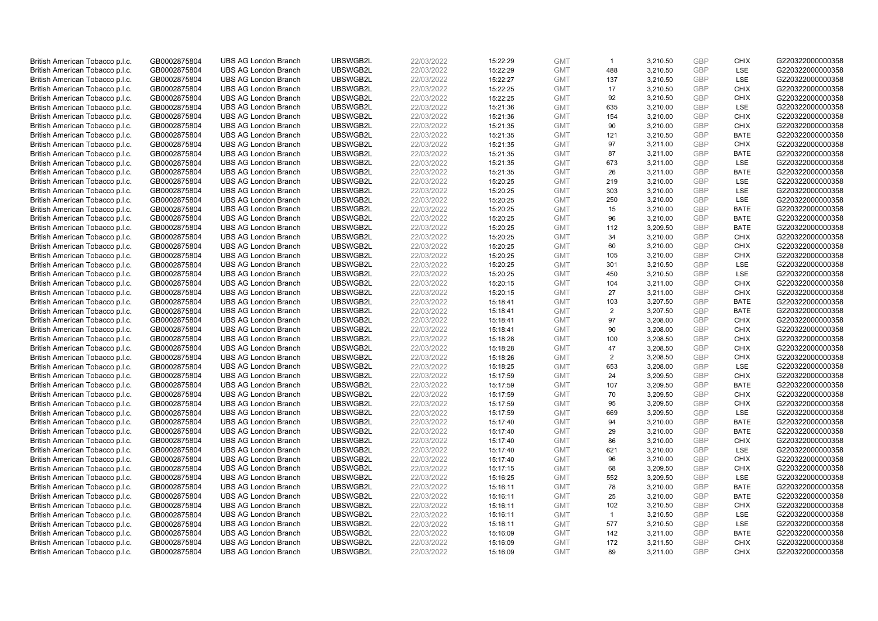| British American Tobacco p.l.c. | GB0002875804                 | <b>UBS AG London Branch</b> | UBSWGB2L             | 22/03/2022               | 15:22:29             | <b>GMT</b>               | $\mathbf{1}$   | 3,210.50 | <b>GBP</b>               | <b>CHIX</b> | G220322000000358 |
|---------------------------------|------------------------------|-----------------------------|----------------------|--------------------------|----------------------|--------------------------|----------------|----------|--------------------------|-------------|------------------|
|                                 |                              |                             |                      |                          |                      |                          |                |          |                          |             |                  |
| British American Tobacco p.l.c. | GB0002875804                 | <b>UBS AG London Branch</b> | UBSWGB2L             | 22/03/2022               | 15:22:29             | <b>GMT</b>               | 488            | 3,210.50 | GBP                      | <b>LSE</b>  | G220322000000358 |
| British American Tobacco p.l.c. | GB0002875804                 | <b>UBS AG London Branch</b> | UBSWGB2L             | 22/03/2022               | 15:22:27             | <b>GMT</b>               | 137            | 3,210.50 | <b>GBP</b>               | LSE         | G220322000000358 |
| British American Tobacco p.l.c. | GB0002875804                 | <b>UBS AG London Branch</b> | UBSWGB2L             | 22/03/2022               | 15:22:25             | <b>GMT</b>               | 17             | 3,210.50 | <b>GBP</b>               | <b>CHIX</b> | G220322000000358 |
| British American Tobacco p.l.c. | GB0002875804                 | <b>UBS AG London Branch</b> | UBSWGB2L             | 22/03/2022               | 15:22:25             | <b>GMT</b>               | 92             | 3,210.50 | GBP                      | <b>CHIX</b> | G220322000000358 |
| British American Tobacco p.l.c. | GB0002875804                 | <b>UBS AG London Branch</b> | UBSWGB2L             | 22/03/2022               | 15:21:36             | <b>GMT</b>               | 635            | 3,210.00 | <b>GBP</b>               | <b>LSE</b>  | G220322000000358 |
| British American Tobacco p.l.c. | GB0002875804                 | <b>UBS AG London Branch</b> | UBSWGB2L             | 22/03/2022               | 15:21:36             | <b>GMT</b>               | 154            | 3,210.00 | <b>GBP</b>               | <b>CHIX</b> | G220322000000358 |
| British American Tobacco p.l.c. | GB0002875804                 | <b>UBS AG London Branch</b> | UBSWGB2L             | 22/03/2022               | 15:21:35             | <b>GMT</b>               | 90             | 3,210.00 | <b>GBP</b>               | <b>CHIX</b> | G220322000000358 |
| British American Tobacco p.l.c. | GB0002875804                 | <b>UBS AG London Branch</b> | UBSWGB2L             | 22/03/2022               | 15:21:35             | <b>GMT</b>               | 121            | 3,210.50 | <b>GBP</b>               | <b>BATE</b> | G220322000000358 |
| British American Tobacco p.l.c. | GB0002875804                 | <b>UBS AG London Branch</b> | UBSWGB2L             | 22/03/2022               | 15:21:35             | <b>GMT</b>               | 97             | 3,211.00 | <b>GBP</b>               | <b>CHIX</b> | G220322000000358 |
| British American Tobacco p.l.c. | GB0002875804                 | <b>UBS AG London Branch</b> | UBSWGB2L             | 22/03/2022               | 15:21:35             | <b>GMT</b>               | 87             | 3.211.00 | <b>GBP</b>               | <b>BATE</b> | G220322000000358 |
| British American Tobacco p.l.c. | GB0002875804                 | <b>UBS AG London Branch</b> | UBSWGB2L             | 22/03/2022               | 15:21:35             | <b>GMT</b>               | 673            | 3,211.00 | <b>GBP</b>               | LSE         | G220322000000358 |
| British American Tobacco p.l.c. | GB0002875804                 | <b>UBS AG London Branch</b> | UBSWGB2L             | 22/03/2022               | 15:21:35             | <b>GMT</b>               | 26             | 3,211.00 | <b>GBP</b>               | <b>BATE</b> | G220322000000358 |
| British American Tobacco p.l.c. | GB0002875804                 | <b>UBS AG London Branch</b> | UBSWGB2L             | 22/03/2022               | 15:20:25             | <b>GMT</b>               | 219            | 3,210.00 | <b>GBP</b>               | LSE         | G220322000000358 |
| British American Tobacco p.l.c. | GB0002875804                 | <b>UBS AG London Branch</b> | UBSWGB2L             | 22/03/2022               | 15:20:25             | <b>GMT</b>               | 303            | 3,210.00 | GBP                      | LSE         | G220322000000358 |
| British American Tobacco p.l.c. | GB0002875804                 | <b>UBS AG London Branch</b> | UBSWGB2L             | 22/03/2022               | 15:20:25             | <b>GMT</b>               | 250            | 3,210.00 | <b>GBP</b>               | LSE         | G220322000000358 |
| British American Tobacco p.l.c. | GB0002875804                 | <b>UBS AG London Branch</b> | UBSWGB2L             | 22/03/2022               | 15:20:25             | <b>GMT</b>               | 15             | 3,210.00 | <b>GBP</b>               | <b>BATE</b> | G220322000000358 |
| British American Tobacco p.l.c. | GB0002875804                 | <b>UBS AG London Branch</b> | UBSWGB2L             | 22/03/2022               | 15:20:25             | <b>GMT</b>               | 96             | 3,210.00 | <b>GBP</b>               | <b>BATE</b> | G220322000000358 |
| British American Tobacco p.l.c. | GB0002875804                 | <b>UBS AG London Branch</b> | UBSWGB2L             | 22/03/2022               | 15:20:25             | <b>GMT</b>               | 112            | 3,209.50 | <b>GBP</b>               | <b>BATE</b> | G220322000000358 |
| British American Tobacco p.l.c. | GB0002875804                 | <b>UBS AG London Branch</b> | UBSWGB2L             | 22/03/2022               | 15:20:25             | <b>GMT</b>               | 34             | 3,210.00 | <b>GBP</b>               | <b>CHIX</b> | G220322000000358 |
| British American Tobacco p.l.c. | GB0002875804                 | <b>UBS AG London Branch</b> | UBSWGB2L             | 22/03/2022               | 15:20:25             | <b>GMT</b>               | 60             | 3,210.00 | <b>GBP</b>               | <b>CHIX</b> | G220322000000358 |
| British American Tobacco p.l.c. | GB0002875804                 | <b>UBS AG London Branch</b> | UBSWGB2L             | 22/03/2022               | 15:20:25             | <b>GMT</b>               | 105            | 3,210.00 | GBP                      | <b>CHIX</b> | G220322000000358 |
| British American Tobacco p.l.c. | GB0002875804                 | <b>UBS AG London Branch</b> | UBSWGB2L             | 22/03/2022               | 15:20:25             | <b>GMT</b>               | 301            | 3,210.50 | <b>GBP</b>               | LSE         | G220322000000358 |
| British American Tobacco p.l.c. | GB0002875804                 | <b>UBS AG London Branch</b> | UBSWGB2L             | 22/03/2022               | 15:20:25             | <b>GMT</b>               | 450            | 3.210.50 | <b>GBP</b>               | <b>LSE</b>  | G220322000000358 |
| British American Tobacco p.l.c. | GB0002875804                 | <b>UBS AG London Branch</b> | UBSWGB2L             | 22/03/2022               | 15:20:15             | <b>GMT</b>               | 104            | 3,211.00 | <b>GBP</b>               | <b>CHIX</b> | G220322000000358 |
| British American Tobacco p.l.c. | GB0002875804                 | <b>UBS AG London Branch</b> | UBSWGB2L             | 22/03/2022               | 15:20:15             | <b>GMT</b>               | 27             | 3,211.00 | <b>GBP</b>               | <b>CHIX</b> | G220322000000358 |
| British American Tobacco p.l.c. | GB0002875804                 | <b>UBS AG London Branch</b> | UBSWGB2L             | 22/03/2022               | 15:18:41             | <b>GMT</b>               | 103            | 3,207.50 | <b>GBP</b>               | <b>BATE</b> | G220322000000358 |
| British American Tobacco p.l.c. | GB0002875804                 | <b>UBS AG London Branch</b> | UBSWGB2L             | 22/03/2022               | 15:18:41             | <b>GMT</b>               | 2              | 3,207.50 | <b>GBP</b>               | <b>BATE</b> | G220322000000358 |
|                                 |                              | <b>UBS AG London Branch</b> | UBSWGB2L             |                          |                      |                          | 97             | 3,208.00 |                          | <b>CHIX</b> | G220322000000358 |
| British American Tobacco p.l.c. | GB0002875804<br>GB0002875804 | <b>UBS AG London Branch</b> | UBSWGB2L             | 22/03/2022<br>22/03/2022 | 15:18:41<br>15:18:41 | <b>GMT</b><br><b>GMT</b> | 90             |          | <b>GBP</b><br><b>GBP</b> | <b>CHIX</b> | G220322000000358 |
| British American Tobacco p.l.c. |                              |                             |                      |                          |                      |                          |                | 3,208.00 |                          |             |                  |
| British American Tobacco p.l.c. | GB0002875804                 | <b>UBS AG London Branch</b> | UBSWGB2L<br>UBSWGB2L | 22/03/2022               | 15:18:28             | <b>GMT</b>               | 100            | 3,208.50 | <b>GBP</b>               | <b>CHIX</b> | G220322000000358 |
| British American Tobacco p.l.c. | GB0002875804                 | <b>UBS AG London Branch</b> |                      | 22/03/2022               | 15:18:28             | <b>GMT</b>               | 47             | 3,208.50 | <b>GBP</b>               | <b>CHIX</b> | G220322000000358 |
| British American Tobacco p.l.c. | GB0002875804                 | <b>UBS AG London Branch</b> | UBSWGB2L             | 22/03/2022               | 15:18:26             | <b>GMT</b>               | 2              | 3,208.50 | <b>GBP</b>               | <b>CHIX</b> | G220322000000358 |
| British American Tobacco p.l.c. | GB0002875804                 | <b>UBS AG London Branch</b> | UBSWGB2L             | 22/03/2022               | 15:18:25             | <b>GMT</b>               | 653            | 3,208.00 | <b>GBP</b>               | LSE         | G220322000000358 |
| British American Tobacco p.l.c. | GB0002875804                 | <b>UBS AG London Branch</b> | UBSWGB2L             | 22/03/2022               | 15:17:59             | <b>GMT</b>               | 24             | 3,209.50 | GBP                      | <b>CHIX</b> | G220322000000358 |
| British American Tobacco p.l.c. | GB0002875804                 | <b>UBS AG London Branch</b> | UBSWGB2L             | 22/03/2022               | 15:17:59             | <b>GMT</b>               | 107            | 3,209.50 | <b>GBP</b>               | <b>BATE</b> | G220322000000358 |
| British American Tobacco p.l.c. | GB0002875804                 | <b>UBS AG London Branch</b> | UBSWGB2L             | 22/03/2022               | 15:17:59             | <b>GMT</b>               | 70             | 3,209.50 | GBP                      | <b>CHIX</b> | G220322000000358 |
| British American Tobacco p.l.c. | GB0002875804                 | <b>UBS AG London Branch</b> | UBSWGB2L             | 22/03/2022               | 15:17:59             | <b>GMT</b>               | 95             | 3,209.50 | <b>GBP</b>               | <b>CHIX</b> | G220322000000358 |
| British American Tobacco p.l.c. | GB0002875804                 | <b>UBS AG London Branch</b> | UBSWGB2L             | 22/03/2022               | 15:17:59             | <b>GMT</b>               | 669            | 3,209.50 | GBP                      | LSE         | G220322000000358 |
| British American Tobacco p.l.c. | GB0002875804                 | <b>UBS AG London Branch</b> | UBSWGB2L             | 22/03/2022               | 15:17:40             | <b>GMT</b>               | 94             | 3,210.00 | <b>GBP</b>               | <b>BATE</b> | G220322000000358 |
| British American Tobacco p.l.c. | GB0002875804                 | <b>UBS AG London Branch</b> | UBSWGB2L             | 22/03/2022               | 15:17:40             | <b>GMT</b>               | 29             | 3,210.00 | GBP                      | <b>BATE</b> | G220322000000358 |
| British American Tobacco p.l.c. | GB0002875804                 | <b>UBS AG London Branch</b> | UBSWGB2L             | 22/03/2022               | 15:17:40             | <b>GMT</b>               | 86             | 3,210.00 | <b>GBP</b>               | <b>CHIX</b> | G220322000000358 |
| British American Tobacco p.l.c. | GB0002875804                 | <b>UBS AG London Branch</b> | UBSWGB2L             | 22/03/2022               | 15:17:40             | <b>GMT</b>               | 621            | 3,210.00 | <b>GBP</b>               | LSE         | G220322000000358 |
| British American Tobacco p.l.c. | GB0002875804                 | <b>UBS AG London Branch</b> | UBSWGB2L             | 22/03/2022               | 15:17:40             | <b>GMT</b>               | 96             | 3,210.00 | <b>GBP</b>               | <b>CHIX</b> | G220322000000358 |
| British American Tobacco p.l.c. | GB0002875804                 | <b>UBS AG London Branch</b> | UBSWGB2L             | 22/03/2022               | 15:17:15             | <b>GMT</b>               | 68             | 3,209.50 | GBP                      | <b>CHIX</b> | G220322000000358 |
| British American Tobacco p.l.c. | GB0002875804                 | <b>UBS AG London Branch</b> | UBSWGB2L             | 22/03/2022               | 15:16:25             | <b>GMT</b>               | 552            | 3,209.50 | <b>GBP</b>               | LSE         | G220322000000358 |
| British American Tobacco p.l.c. | GB0002875804                 | <b>UBS AG London Branch</b> | UBSWGB2L             | 22/03/2022               | 15:16:11             | <b>GMT</b>               | 78             | 3,210.00 | <b>GBP</b>               | <b>BATE</b> | G220322000000358 |
| British American Tobacco p.l.c. | GB0002875804                 | <b>UBS AG London Branch</b> | UBSWGB2L             | 22/03/2022               | 15:16:11             | <b>GMT</b>               | 25             | 3,210.00 | GBP                      | <b>BATE</b> | G220322000000358 |
| British American Tobacco p.l.c. | GB0002875804                 | <b>UBS AG London Branch</b> | UBSWGB2L             | 22/03/2022               | 15:16:11             | <b>GMT</b>               | 102            | 3,210.50 | <b>GBP</b>               | <b>CHIX</b> | G220322000000358 |
| British American Tobacco p.l.c. | GB0002875804                 | <b>UBS AG London Branch</b> | UBSWGB2L             | 22/03/2022               | 15:16:11             | <b>GMT</b>               | $\overline{1}$ | 3,210.50 | GBP                      | <b>LSE</b>  | G220322000000358 |
| British American Tobacco p.l.c. | GB0002875804                 | <b>UBS AG London Branch</b> | UBSWGB2L             | 22/03/2022               | 15:16:11             | <b>GMT</b>               | 577            | 3,210.50 | <b>GBP</b>               | LSE         | G220322000000358 |
| British American Tobacco p.l.c. | GB0002875804                 | <b>UBS AG London Branch</b> | UBSWGB2L             | 22/03/2022               | 15:16:09             | <b>GMT</b>               | 142            | 3,211.00 | <b>GBP</b>               | <b>BATE</b> | G220322000000358 |
| British American Tobacco p.l.c. | GB0002875804                 | <b>UBS AG London Branch</b> | UBSWGB2L             | 22/03/2022               | 15:16:09             | <b>GMT</b>               | 172            | 3,211.50 | <b>GBP</b>               | <b>CHIX</b> | G220322000000358 |
| British American Tobacco p.l.c. | GB0002875804                 | <b>UBS AG London Branch</b> | UBSWGB2L             | 22/03/2022               | 15:16:09             | <b>GMT</b>               | 89             | 3.211.00 | GBP                      | CHIX        | G220322000000358 |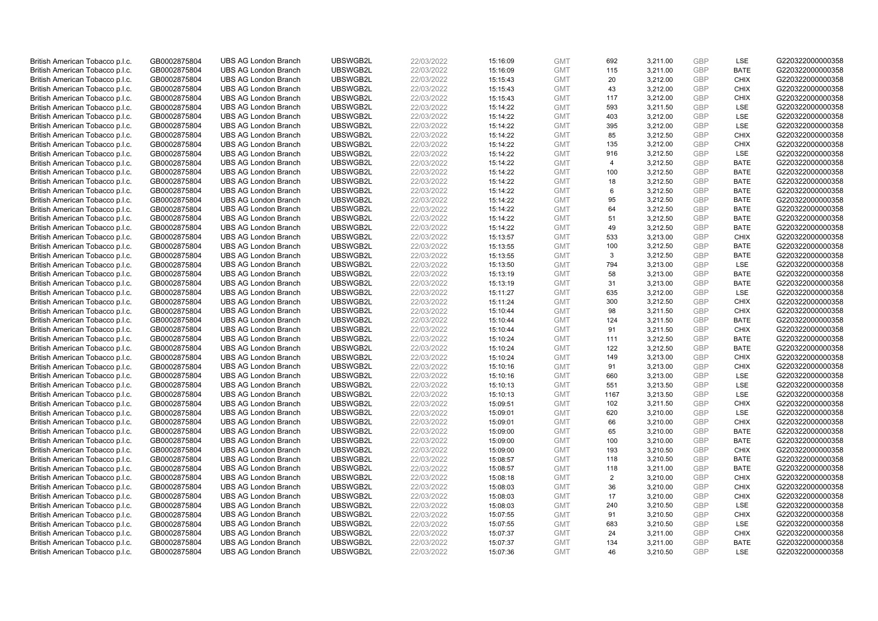| British American Tobacco p.l.c.                                    | GB0002875804                 | <b>UBS AG London Branch</b>                                | UBSWGB2L             | 22/03/2022               | 15:16:09             | <b>GMT</b>               | 692       | 3,211.00             | <b>GBP</b>               | LSE                        | G220322000000358                     |
|--------------------------------------------------------------------|------------------------------|------------------------------------------------------------|----------------------|--------------------------|----------------------|--------------------------|-----------|----------------------|--------------------------|----------------------------|--------------------------------------|
| British American Tobacco p.l.c.                                    | GB0002875804                 | <b>UBS AG London Branch</b>                                | UBSWGB2L             | 22/03/2022               | 15:16:09             | <b>GMT</b>               | 115       | 3,211.00             | <b>GBP</b>               | <b>BATE</b>                | G220322000000358                     |
| British American Tobacco p.l.c.                                    | GB0002875804                 | <b>UBS AG London Branch</b>                                | UBSWGB2L             | 22/03/2022               | 15:15:43             | <b>GMT</b>               | 20        | 3,212.00             | GBP                      | <b>CHIX</b>                | G220322000000358                     |
| British American Tobacco p.l.c.                                    | GB0002875804                 | <b>UBS AG London Branch</b>                                | UBSWGB2L             | 22/03/2022               | 15:15:43             | <b>GMT</b>               | 43        | 3,212.00             | <b>GBP</b>               | <b>CHIX</b>                | G220322000000358                     |
| British American Tobacco p.l.c.                                    | GB0002875804                 | <b>UBS AG London Branch</b>                                | UBSWGB2L             | 22/03/2022               | 15:15:43             | <b>GMT</b>               | 117       | 3,212.00             | GBP                      | <b>CHIX</b>                | G220322000000358                     |
| British American Tobacco p.l.c.                                    | GB0002875804                 | <b>UBS AG London Branch</b>                                | UBSWGB2L             | 22/03/2022               | 15:14:22             | <b>GMT</b>               | 593       | 3,211.50             | <b>GBP</b>               | <b>LSE</b>                 | G220322000000358                     |
| British American Tobacco p.l.c.                                    | GB0002875804                 | <b>UBS AG London Branch</b>                                | UBSWGB2L             | 22/03/2022               | 15:14:22             | <b>GMT</b>               | 403       | 3,212.00             | GBP                      | LSE                        | G220322000000358                     |
| British American Tobacco p.l.c.                                    | GB0002875804                 | <b>UBS AG London Branch</b>                                | UBSWGB2L             | 22/03/2022               | 15:14:22             | <b>GMT</b>               | 395       | 3,212.00             | <b>GBP</b>               | LSE                        | G220322000000358                     |
| British American Tobacco p.l.c.                                    | GB0002875804                 | <b>UBS AG London Branch</b>                                | UBSWGB2L             | 22/03/2022               | 15:14:22             | <b>GMT</b>               | 85        | 3,212.50             | GBP                      | <b>CHIX</b>                | G220322000000358                     |
| British American Tobacco p.l.c.                                    | GB0002875804                 | <b>UBS AG London Branch</b>                                | UBSWGB2L             | 22/03/2022               | 15:14:22             | <b>GMT</b>               | 135       | 3,212.00             | <b>GBP</b>               | <b>CHIX</b>                | G220322000000358                     |
| British American Tobacco p.l.c.                                    | GB0002875804                 | <b>UBS AG London Branch</b>                                | UBSWGB2L             | 22/03/2022               | 15:14:22             | <b>GMT</b>               | 916       | 3.212.50             | <b>GBP</b>               | <b>LSE</b>                 | G220322000000358                     |
| British American Tobacco p.l.c.                                    | GB0002875804                 | <b>UBS AG London Branch</b>                                | UBSWGB2L             | 22/03/2022               | 15:14:22             | <b>GMT</b>               | 4         | 3,212.50             | <b>GBP</b>               | <b>BATE</b>                | G220322000000358                     |
| British American Tobacco p.l.c.                                    | GB0002875804                 | <b>UBS AG London Branch</b>                                | UBSWGB2L             | 22/03/2022               | 15:14:22             | <b>GMT</b>               | 100       | 3,212.50             | <b>GBP</b>               | <b>BATE</b>                | G220322000000358                     |
| British American Tobacco p.l.c.                                    | GB0002875804                 | <b>UBS AG London Branch</b>                                | UBSWGB2L             | 22/03/2022               | 15:14:22             | <b>GMT</b>               | 18        | 3,212.50             | <b>GBP</b>               | <b>BATE</b>                | G220322000000358                     |
| British American Tobacco p.l.c.                                    | GB0002875804                 | <b>UBS AG London Branch</b>                                | UBSWGB2L             | 22/03/2022               | 15:14:22             | <b>GMT</b>               | 6         | 3,212.50             | <b>GBP</b>               | <b>BATE</b>                | G220322000000358                     |
| British American Tobacco p.l.c.                                    | GB0002875804                 | <b>UBS AG London Branch</b>                                | UBSWGB2L             | 22/03/2022               | 15:14:22             | <b>GMT</b>               | 95        | 3,212.50             | <b>GBP</b><br><b>GBP</b> | <b>BATE</b>                | G220322000000358                     |
| British American Tobacco p.l.c.                                    | GB0002875804                 | <b>UBS AG London Branch</b>                                | UBSWGB2L             | 22/03/2022               | 15:14:22             | <b>GMT</b>               | 64        | 3,212.50             |                          | <b>BATE</b>                | G220322000000358                     |
| British American Tobacco p.l.c.                                    | GB0002875804                 | <b>UBS AG London Branch</b>                                | UBSWGB2L             | 22/03/2022               | 15:14:22             | <b>GMT</b>               | 51        | 3,212.50             | GBP                      | <b>BATE</b>                | G220322000000358                     |
| British American Tobacco p.l.c.                                    | GB0002875804                 | <b>UBS AG London Branch</b>                                | UBSWGB2L             | 22/03/2022               | 15:14:22             | <b>GMT</b>               | 49        | 3,212.50             | <b>GBP</b>               | <b>BATE</b>                | G220322000000358                     |
| British American Tobacco p.l.c.                                    | GB0002875804                 | <b>UBS AG London Branch</b>                                | UBSWGB2L             | 22/03/2022               | 15:13:57             | <b>GMT</b>               | 533       | 3,213.00             | <b>GBP</b>               | <b>CHIX</b>                | G220322000000358                     |
| British American Tobacco p.l.c.                                    | GB0002875804                 | <b>UBS AG London Branch</b>                                | UBSWGB2L<br>UBSWGB2L | 22/03/2022<br>22/03/2022 | 15:13:55<br>15:13:55 | <b>GMT</b>               | 100       | 3,212.50             | <b>GBP</b><br>GBP        | <b>BATE</b><br><b>BATE</b> | G220322000000358<br>G220322000000358 |
| British American Tobacco p.l.c.                                    | GB0002875804                 | <b>UBS AG London Branch</b>                                |                      |                          |                      | <b>GMT</b>               | 3         | 3,212.50             | <b>GBP</b>               |                            |                                      |
| British American Tobacco p.l.c.<br>British American Tobacco p.l.c. | GB0002875804<br>GB0002875804 | <b>UBS AG London Branch</b><br><b>UBS AG London Branch</b> | UBSWGB2L<br>UBSWGB2L | 22/03/2022<br>22/03/2022 | 15:13:50<br>15:13:19 | <b>GMT</b><br><b>GMT</b> | 794<br>58 | 3,213.00<br>3,213.00 | <b>GBP</b>               | LSE<br><b>BATE</b>         | G220322000000358<br>G220322000000358 |
| British American Tobacco p.l.c.                                    |                              | <b>UBS AG London Branch</b>                                | UBSWGB2L             | 22/03/2022               |                      | <b>GMT</b>               | 31        | 3,213.00             | <b>GBP</b>               | <b>BATE</b>                | G220322000000358                     |
| British American Tobacco p.l.c.                                    | GB0002875804<br>GB0002875804 | <b>UBS AG London Branch</b>                                | UBSWGB2L             | 22/03/2022               | 15:13:19<br>15:11:27 | <b>GMT</b>               | 635       | 3,212.00             | GBP                      | LSE                        | G220322000000358                     |
| British American Tobacco p.l.c.                                    | GB0002875804                 | <b>UBS AG London Branch</b>                                | UBSWGB2L             | 22/03/2022               | 15:11:24             | <b>GMT</b>               | 300       | 3,212.50             | <b>GBP</b>               | <b>CHIX</b>                | G220322000000358                     |
| British American Tobacco p.l.c.                                    | GB0002875804                 | <b>UBS AG London Branch</b>                                | UBSWGB2L             | 22/03/2022               | 15:10:44             | <b>GMT</b>               | 98        | 3,211.50             | GBP                      | <b>CHIX</b>                | G220322000000358                     |
| British American Tobacco p.l.c.                                    | GB0002875804                 | <b>UBS AG London Branch</b>                                | UBSWGB2L             | 22/03/2022               | 15:10:44             | <b>GMT</b>               | 124       | 3,211.50             | <b>GBP</b>               | <b>BATE</b>                | G220322000000358                     |
| British American Tobacco p.l.c.                                    | GB0002875804                 | <b>UBS AG London Branch</b>                                | UBSWGB2L             | 22/03/2022               | 15:10:44             | <b>GMT</b>               | 91        | 3,211.50             | <b>GBP</b>               | <b>CHIX</b>                | G220322000000358                     |
| British American Tobacco p.l.c.                                    | GB0002875804                 | <b>UBS AG London Branch</b>                                | UBSWGB2L             | 22/03/2022               | 15:10:24             | <b>GMT</b>               | 111       | 3,212.50             | <b>GBP</b>               | <b>BATE</b>                | G220322000000358                     |
| British American Tobacco p.l.c.                                    | GB0002875804                 | <b>UBS AG London Branch</b>                                | UBSWGB2L             | 22/03/2022               | 15:10:24             | <b>GMT</b>               | 122       | 3,212.50             | <b>GBP</b>               | <b>BATE</b>                | G220322000000358                     |
| British American Tobacco p.l.c.                                    | GB0002875804                 | <b>UBS AG London Branch</b>                                | UBSWGB2L             | 22/03/2022               | 15:10:24             | <b>GMT</b>               | 149       | 3,213.00             | <b>GBP</b>               | <b>CHIX</b>                | G220322000000358                     |
| British American Tobacco p.l.c.                                    | GB0002875804                 | <b>UBS AG London Branch</b>                                | UBSWGB2L             | 22/03/2022               | 15:10:16             | <b>GMT</b>               | 91        | 3,213.00             | <b>GBP</b>               | <b>CHIX</b>                | G220322000000358                     |
| British American Tobacco p.l.c.                                    | GB0002875804                 | <b>UBS AG London Branch</b>                                | UBSWGB2L             | 22/03/2022               | 15:10:16             | <b>GMT</b>               | 660       | 3,213.00             | GBP                      | LSE                        | G220322000000358                     |
| British American Tobacco p.l.c.                                    | GB0002875804                 | <b>UBS AG London Branch</b>                                | UBSWGB2L             | 22/03/2022               | 15:10:13             | <b>GMT</b>               | 551       | 3,213.50             | <b>GBP</b>               | LSE                        | G220322000000358                     |
| British American Tobacco p.l.c.                                    | GB0002875804                 | <b>UBS AG London Branch</b>                                | UBSWGB2L             | 22/03/2022               | 15:10:13             | <b>GMT</b>               | 1167      | 3,213.50             | GBP                      | <b>LSE</b>                 | G220322000000358                     |
| British American Tobacco p.l.c.                                    | GB0002875804                 | <b>UBS AG London Branch</b>                                | UBSWGB2L             | 22/03/2022               | 15:09:51             | <b>GMT</b>               | 102       | 3,211.50             | <b>GBP</b>               | <b>CHIX</b>                | G220322000000358                     |
| British American Tobacco p.l.c.                                    | GB0002875804                 | <b>UBS AG London Branch</b>                                | UBSWGB2L             | 22/03/2022               | 15:09:01             | <b>GMT</b>               | 620       | 3,210.00             | <b>GBP</b>               | LSE                        | G220322000000358                     |
| British American Tobacco p.l.c.                                    | GB0002875804                 | <b>UBS AG London Branch</b>                                | UBSWGB2L             | 22/03/2022               | 15:09:01             | <b>GMT</b>               | 66        | 3,210.00             | <b>GBP</b>               | <b>CHIX</b>                | G220322000000358                     |
| British American Tobacco p.l.c.                                    | GB0002875804                 | <b>UBS AG London Branch</b>                                | UBSWGB2L             | 22/03/2022               | 15:09:00             | <b>GMT</b>               | 65        | 3,210.00             | GBP                      | <b>BATE</b>                | G220322000000358                     |
| British American Tobacco p.l.c.                                    | GB0002875804                 | <b>UBS AG London Branch</b>                                | UBSWGB2L             | 22/03/2022               | 15:09:00             | <b>GMT</b>               | 100       | 3,210.00             | <b>GBP</b>               | <b>BATE</b>                | G220322000000358                     |
| British American Tobacco p.l.c.                                    | GB0002875804                 | <b>UBS AG London Branch</b>                                | UBSWGB2L             | 22/03/2022               | 15:09:00             | <b>GMT</b>               | 193       | 3,210.50             | <b>GBP</b>               | <b>CHIX</b>                | G220322000000358                     |
| British American Tobacco p.l.c.                                    | GB0002875804                 | <b>UBS AG London Branch</b>                                | UBSWGB2L             | 22/03/2022               | 15:08:57             | <b>GMT</b>               | 118       | 3,210.50             | <b>GBP</b>               | <b>BATE</b>                | G220322000000358                     |
| British American Tobacco p.l.c.                                    | GB0002875804                 | <b>UBS AG London Branch</b>                                | UBSWGB2L             | 22/03/2022               | 15:08:57             | <b>GMT</b>               | 118       | 3,211.00             | <b>GBP</b>               | <b>BATE</b>                | G220322000000358                     |
| British American Tobacco p.l.c.                                    | GB0002875804                 | <b>UBS AG London Branch</b>                                | UBSWGB2L             | 22/03/2022               | 15:08:18             | <b>GMT</b>               | 2         | 3,210.00             | <b>GBP</b>               | <b>CHIX</b>                | G220322000000358                     |
| British American Tobacco p.l.c.                                    | GB0002875804                 | <b>UBS AG London Branch</b>                                | UBSWGB2L             | 22/03/2022               | 15:08:03             | <b>GMT</b>               | 36        | 3,210.00             | <b>GBP</b>               | <b>CHIX</b>                | G220322000000358                     |
| British American Tobacco p.l.c.                                    | GB0002875804                 | <b>UBS AG London Branch</b>                                | UBSWGB2L             | 22/03/2022               | 15:08:03             | <b>GMT</b>               | 17        | 3,210.00             | GBP                      | <b>CHIX</b>                | G220322000000358                     |
| British American Tobacco p.l.c.                                    | GB0002875804                 | <b>UBS AG London Branch</b>                                | UBSWGB2L             | 22/03/2022               | 15:08:03             | <b>GMT</b>               | 240       | 3,210.50             | <b>GBP</b>               | LSE                        | G220322000000358                     |
| British American Tobacco p.l.c.                                    | GB0002875804                 | <b>UBS AG London Branch</b>                                | UBSWGB2L             | 22/03/2022               | 15:07:55             | <b>GMT</b>               | 91        | 3,210.50             | GBP                      | <b>CHIX</b>                | G220322000000358                     |
| British American Tobacco p.l.c.                                    | GB0002875804                 | <b>UBS AG London Branch</b>                                | UBSWGB2L             | 22/03/2022               | 15:07:55             | <b>GMT</b>               | 683       | 3,210.50             | <b>GBP</b>               | LSE                        | G220322000000358                     |
| British American Tobacco p.l.c.                                    | GB0002875804                 | <b>UBS AG London Branch</b>                                | UBSWGB2L             | 22/03/2022               | 15:07:37             | <b>GMT</b>               | 24        | 3,211.00             | <b>GBP</b>               | <b>CHIX</b>                | G220322000000358                     |
| British American Tobacco p.l.c.                                    | GB0002875804                 | <b>UBS AG London Branch</b>                                | UBSWGB2L             | 22/03/2022               | 15:07:37             | <b>GMT</b>               | 134       | 3,211.00             | <b>GBP</b>               | <b>BATE</b>                | G220322000000358                     |
| British American Tobacco p.l.c.                                    | GB0002875804                 | <b>UBS AG London Branch</b>                                | UBSWGB2L             | 22/03/2022               | 15:07:36             | <b>GMT</b>               | 46        | 3.210.50             | GBP                      | <b>LSE</b>                 | G220322000000358                     |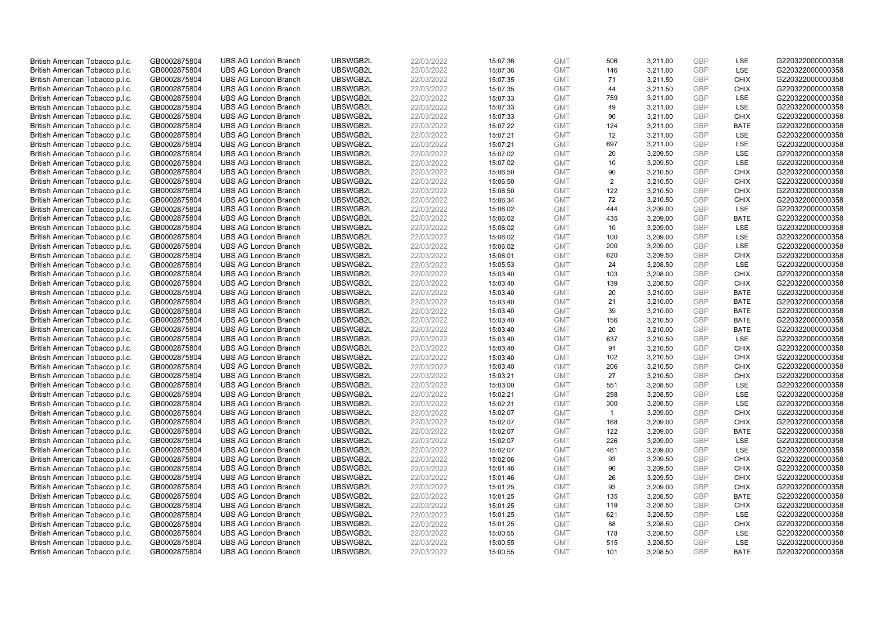| British American Tobacco p.l.c. | GB0002875804 | <b>UBS AG London Branch</b> | UBSWGB2L | 22/03/2022 | 15:07:36 | <b>GMT</b> | 506            | 3,211.00 | <b>GBP</b> | LSE         | G220322000000358 |
|---------------------------------|--------------|-----------------------------|----------|------------|----------|------------|----------------|----------|------------|-------------|------------------|
| British American Tobacco p.l.c. | GB0002875804 | <b>UBS AG London Branch</b> | UBSWGB2L | 22/03/2022 | 15:07:36 | <b>GMT</b> | 146            | 3,211.00 | GBP        | LSE         | G220322000000358 |
| British American Tobacco p.l.c. | GB0002875804 | <b>UBS AG London Branch</b> | UBSWGB2L | 22/03/2022 | 15:07:35 | <b>GMT</b> | 71             | 3,211.50 | <b>GBP</b> | <b>CHIX</b> | G220322000000358 |
| British American Tobacco p.l.c. | GB0002875804 | <b>UBS AG London Branch</b> | UBSWGB2L | 22/03/2022 | 15:07:35 | <b>GMT</b> | 44             | 3,211.50 | <b>GBP</b> | <b>CHIX</b> | G220322000000358 |
| British American Tobacco p.l.c. | GB0002875804 | <b>UBS AG London Branch</b> | UBSWGB2L | 22/03/2022 | 15:07:33 | <b>GMT</b> | 759            | 3,211.00 | GBP        | <b>LSE</b>  | G220322000000358 |
| British American Tobacco p.l.c. | GB0002875804 | <b>UBS AG London Branch</b> | UBSWGB2L | 22/03/2022 | 15:07:33 | <b>GMT</b> | 49             | 3,211.00 | <b>GBP</b> | <b>LSE</b>  | G220322000000358 |
| British American Tobacco p.l.c. | GB0002875804 | <b>UBS AG London Branch</b> | UBSWGB2L | 22/03/2022 | 15:07:33 | <b>GMT</b> | 90             | 3,211.00 | <b>GBP</b> | <b>CHIX</b> | G220322000000358 |
| British American Tobacco p.l.c. | GB0002875804 | <b>UBS AG London Branch</b> | UBSWGB2L | 22/03/2022 | 15:07:22 | <b>GMT</b> | 124            | 3,211.00 | <b>GBP</b> | <b>BATE</b> | G220322000000358 |
| British American Tobacco p.l.c. | GB0002875804 | <b>UBS AG London Branch</b> | UBSWGB2L | 22/03/2022 | 15:07:21 | <b>GMT</b> | 12             | 3,211.00 | GBP        | LSE         | G220322000000358 |
| British American Tobacco p.l.c. | GB0002875804 | <b>UBS AG London Branch</b> | UBSWGB2L | 22/03/2022 | 15:07:21 | <b>GMT</b> | 697            | 3,211.00 | <b>GBP</b> | LSE         | G220322000000358 |
| British American Tobacco p.l.c. | GB0002875804 | <b>UBS AG London Branch</b> | UBSWGB2L | 22/03/2022 | 15:07:02 | <b>GMT</b> | 20             | 3,209.50 | GBP        | <b>LSE</b>  | G220322000000358 |
| British American Tobacco p.l.c. | GB0002875804 | <b>UBS AG London Branch</b> | UBSWGB2L | 22/03/2022 | 15:07:02 | <b>GMT</b> | 10             | 3,209.50 | <b>GBP</b> | LSE         | G220322000000358 |
| British American Tobacco p.l.c. | GB0002875804 | <b>UBS AG London Branch</b> | UBSWGB2L | 22/03/2022 | 15:06:50 | <b>GMT</b> | 90             | 3,210.50 | <b>GBP</b> | <b>CHIX</b> | G220322000000358 |
| British American Tobacco p.l.c. | GB0002875804 | <b>UBS AG London Branch</b> | UBSWGB2L | 22/03/2022 | 15:06:50 | <b>GMT</b> | 2              | 3,210.50 | <b>GBP</b> | <b>CHIX</b> | G220322000000358 |
| British American Tobacco p.l.c. | GB0002875804 | <b>UBS AG London Branch</b> | UBSWGB2L | 22/03/2022 | 15:06:50 | <b>GMT</b> | 122            | 3,210.50 | <b>GBP</b> | <b>CHIX</b> | G220322000000358 |
| British American Tobacco p.l.c. | GB0002875804 | <b>UBS AG London Branch</b> | UBSWGB2L | 22/03/2022 | 15:06:34 | <b>GMT</b> | 72             | 3,210.50 | <b>GBP</b> | <b>CHIX</b> | G220322000000358 |
| British American Tobacco p.l.c. | GB0002875804 | <b>UBS AG London Branch</b> | UBSWGB2L | 22/03/2022 | 15:06:02 | <b>GMT</b> | 444            | 3,209.00 | <b>GBP</b> | <b>LSE</b>  | G220322000000358 |
| British American Tobacco p.l.c. | GB0002875804 | <b>UBS AG London Branch</b> | UBSWGB2L | 22/03/2022 | 15:06:02 | <b>GMT</b> | 435            | 3,209.00 | <b>GBP</b> | <b>BATE</b> | G220322000000358 |
| British American Tobacco p.l.c. | GB0002875804 | <b>UBS AG London Branch</b> | UBSWGB2L | 22/03/2022 | 15:06:02 | <b>GMT</b> | 10             | 3,209.00 | <b>GBP</b> | <b>LSE</b>  | G220322000000358 |
| British American Tobacco p.l.c. | GB0002875804 | <b>UBS AG London Branch</b> | UBSWGB2L | 22/03/2022 | 15:06:02 | <b>GMT</b> | 100            | 3,209.00 | <b>GBP</b> | LSE         | G220322000000358 |
| British American Tobacco p.l.c. | GB0002875804 | <b>UBS AG London Branch</b> | UBSWGB2L | 22/03/2022 | 15:06:02 | <b>GMT</b> | 200            | 3,209.00 | <b>GBP</b> | LSE         | G220322000000358 |
| British American Tobacco p.l.c. | GB0002875804 | <b>UBS AG London Branch</b> | UBSWGB2L | 22/03/2022 | 15:06:01 | <b>GMT</b> | 620            | 3,209.50 | <b>GBP</b> | <b>CHIX</b> | G220322000000358 |
| British American Tobacco p.l.c. | GB0002875804 | <b>UBS AG London Branch</b> | UBSWGB2L | 22/03/2022 | 15:05:53 | <b>GMT</b> | 24             | 3,208.50 | <b>GBP</b> | LSE         | G220322000000358 |
| British American Tobacco p.l.c. | GB0002875804 | <b>UBS AG London Branch</b> | UBSWGB2L | 22/03/2022 | 15:03:40 | <b>GMT</b> | 103            | 3,208.00 | <b>GBP</b> | <b>CHIX</b> | G220322000000358 |
| British American Tobacco p.l.c. | GB0002875804 | <b>UBS AG London Branch</b> | UBSWGB2L | 22/03/2022 | 15:03:40 | <b>GMT</b> | 139            | 3,208.50 | <b>GBP</b> | <b>CHIX</b> | G220322000000358 |
| British American Tobacco p.l.c. | GB0002875804 | <b>UBS AG London Branch</b> | UBSWGB2L | 22/03/2022 | 15:03:40 | <b>GMT</b> | 20             | 3,210.00 | <b>GBP</b> | <b>BATE</b> | G220322000000358 |
| British American Tobacco p.l.c. | GB0002875804 | <b>UBS AG London Branch</b> | UBSWGB2L | 22/03/2022 | 15:03:40 | <b>GMT</b> | 21             | 3,210.00 | <b>GBP</b> | <b>BATE</b> | G220322000000358 |
| British American Tobacco p.l.c. | GB0002875804 | <b>UBS AG London Branch</b> | UBSWGB2L | 22/03/2022 | 15:03:40 | <b>GMT</b> | 39             | 3,210.00 | <b>GBP</b> | <b>BATE</b> | G220322000000358 |
| British American Tobacco p.l.c. | GB0002875804 | <b>UBS AG London Branch</b> | UBSWGB2L | 22/03/2022 | 15:03:40 | <b>GMT</b> | 156            | 3,210.50 | <b>GBP</b> | <b>BATE</b> | G220322000000358 |
| British American Tobacco p.l.c. | GB0002875804 | <b>UBS AG London Branch</b> | UBSWGB2L | 22/03/2022 | 15:03:40 | <b>GMT</b> | 20             | 3,210.00 | <b>GBP</b> | <b>BATE</b> | G220322000000358 |
| British American Tobacco p.l.c. | GB0002875804 | <b>UBS AG London Branch</b> | UBSWGB2L | 22/03/2022 | 15:03:40 | <b>GMT</b> | 637            | 3,210.50 | <b>GBP</b> | LSE         | G220322000000358 |
| British American Tobacco p.l.c. | GB0002875804 | <b>UBS AG London Branch</b> | UBSWGB2L | 22/03/2022 | 15:03:40 | <b>GMT</b> | 91             | 3,210.50 | <b>GBP</b> | <b>CHIX</b> | G220322000000358 |
| British American Tobacco p.l.c. | GB0002875804 | <b>UBS AG London Branch</b> | UBSWGB2L | 22/03/2022 | 15:03:40 | <b>GMT</b> | 102            | 3,210.50 | <b>GBP</b> | CHIX        | G220322000000358 |
| British American Tobacco p.l.c. | GB0002875804 | <b>UBS AG London Branch</b> | UBSWGB2L | 22/03/2022 | 15:03:40 | <b>GMT</b> | 206            | 3,210.50 | <b>GBP</b> | <b>CHIX</b> | G220322000000358 |
| British American Tobacco p.l.c. | GB0002875804 | <b>UBS AG London Branch</b> | UBSWGB2L | 22/03/2022 | 15:03:21 | <b>GMT</b> | 27             | 3,210.50 | GBP        | CHIX        | G220322000000358 |
| British American Tobacco p.l.c. | GB0002875804 | <b>UBS AG London Branch</b> | UBSWGB2L | 22/03/2022 | 15:03:00 | <b>GMT</b> | 551            | 3,208.50 | <b>GBP</b> | <b>LSE</b>  | G220322000000358 |
| British American Tobacco p.l.c. | GB0002875804 | <b>UBS AG London Branch</b> | UBSWGB2L | 22/03/2022 | 15:02:21 | <b>GMT</b> | 298            | 3,208.50 | GBP        | <b>LSE</b>  | G220322000000358 |
| British American Tobacco p.l.c. | GB0002875804 | <b>UBS AG London Branch</b> | UBSWGB2L | 22/03/2022 | 15:02:21 | <b>GMT</b> | 300            | 3,208.50 | <b>GBP</b> | LSE         | G220322000000358 |
| British American Tobacco p.l.c. | GB0002875804 | <b>UBS AG London Branch</b> | UBSWGB2L | 22/03/2022 | 15:02:07 | <b>GMT</b> | $\overline{1}$ | 3,209.00 | <b>GBP</b> | <b>CHIX</b> | G220322000000358 |
| British American Tobacco p.l.c. | GB0002875804 | <b>UBS AG London Branch</b> | UBSWGB2L | 22/03/2022 | 15:02:07 | <b>GMT</b> | 168            | 3,209.00 | <b>GBP</b> | <b>CHIX</b> | G220322000000358 |
| British American Tobacco p.l.c. | GB0002875804 | <b>UBS AG London Branch</b> | UBSWGB2L | 22/03/2022 | 15:02:07 | <b>GMT</b> | 122            | 3,209.00 | GBP        | <b>BATE</b> | G220322000000358 |
| British American Tobacco p.l.c. | GB0002875804 | <b>UBS AG London Branch</b> | UBSWGB2L | 22/03/2022 | 15:02:07 | <b>GMT</b> | 226            | 3,209.00 | GBP        | LSE         | G220322000000358 |
| British American Tobacco p.l.c. | GB0002875804 | <b>UBS AG London Branch</b> | UBSWGB2L | 22/03/2022 | 15:02:07 | <b>GMT</b> | 461            | 3,209.00 | <b>GBP</b> | LSE         | G220322000000358 |
| British American Tobacco p.l.c. | GB0002875804 | <b>UBS AG London Branch</b> | UBSWGB2L | 22/03/2022 | 15:02:06 | <b>GMT</b> | 93             | 3,209.50 | GBP        | <b>CHIX</b> | G220322000000358 |
| British American Tobacco p.l.c. | GB0002875804 | <b>UBS AG London Branch</b> | UBSWGB2L | 22/03/2022 | 15:01:46 | <b>GMT</b> | 90             | 3,209.50 | <b>GBP</b> | <b>CHIX</b> | G220322000000358 |
| British American Tobacco p.l.c. | GB0002875804 | <b>UBS AG London Branch</b> | UBSWGB2L | 22/03/2022 | 15:01:46 | <b>GMT</b> | 26             | 3,209.50 | GBP        | <b>CHIX</b> | G220322000000358 |
| British American Tobacco p.l.c. | GB0002875804 | <b>UBS AG London Branch</b> | UBSWGB2L | 22/03/2022 | 15:01:25 | <b>GMT</b> | 93             | 3,209.00 | <b>GBP</b> | <b>CHIX</b> | G220322000000358 |
| British American Tobacco p.l.c. | GB0002875804 | <b>UBS AG London Branch</b> | UBSWGB2L | 22/03/2022 | 15:01:25 | <b>GMT</b> | 135            | 3,208.50 | GBP        | <b>BATE</b> | G220322000000358 |
| British American Tobacco p.l.c. | GB0002875804 | <b>UBS AG London Branch</b> | UBSWGB2L | 22/03/2022 | 15:01:25 | <b>GMT</b> | 119            | 3,208.50 | <b>GBP</b> | <b>CHIX</b> | G220322000000358 |
| British American Tobacco p.l.c. | GB0002875804 | <b>UBS AG London Branch</b> | UBSWGB2L | 22/03/2022 | 15:01:25 | <b>GMT</b> | 621            | 3,208.50 | <b>GBP</b> | <b>LSE</b>  | G220322000000358 |
| British American Tobacco p.l.c. | GB0002875804 | <b>UBS AG London Branch</b> | UBSWGB2L | 22/03/2022 | 15:01:25 | <b>GMT</b> | 88             | 3,208.50 | <b>GBP</b> | <b>CHIX</b> | G220322000000358 |
| British American Tobacco p.l.c. | GB0002875804 | <b>UBS AG London Branch</b> | UBSWGB2L | 22/03/2022 | 15:00:55 | <b>GMT</b> | 178            | 3,208.50 | <b>GBP</b> | LSE         | G220322000000358 |
| British American Tobacco p.l.c. | GB0002875804 | <b>UBS AG London Branch</b> | UBSWGB2L | 22/03/2022 | 15:00:55 | <b>GMT</b> | 515            | 3,208.50 | <b>GBP</b> | LSE         | G220322000000358 |
| British American Tobacco p.l.c. | GB0002875804 | <b>UBS AG London Branch</b> | UBSWGB2L | 22/03/2022 | 15:00:55 | <b>GMT</b> | 101            | 3,208.50 | GBP        | <b>BATE</b> | G220322000000358 |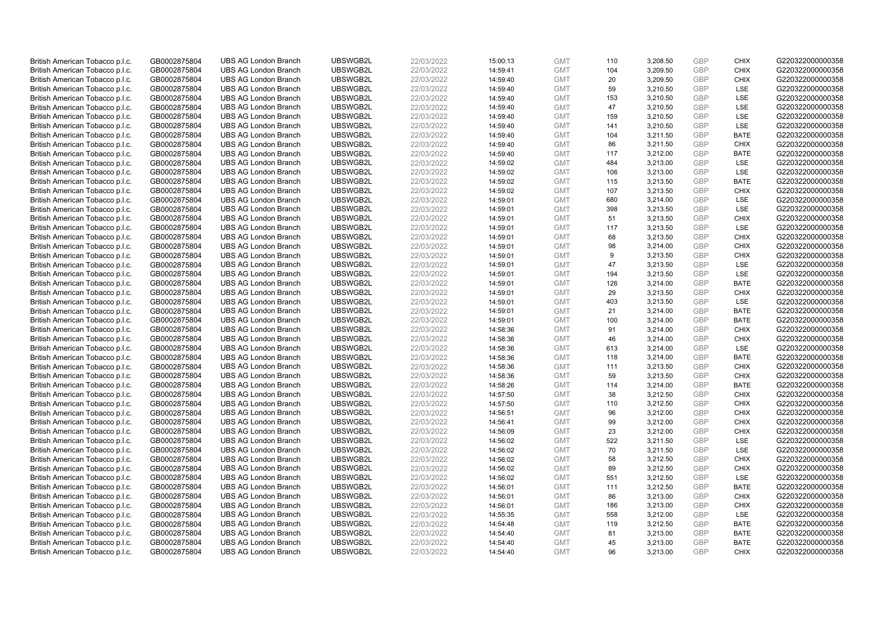| British American Tobacco p.l.c. | GB0002875804 | <b>UBS AG London Branch</b> | UBSWGB2L | 22/03/2022 |          | <b>GMT</b> | 110 | 3,208.50 | <b>GBP</b> | <b>CHIX</b> | G220322000000358 |
|---------------------------------|--------------|-----------------------------|----------|------------|----------|------------|-----|----------|------------|-------------|------------------|
|                                 |              |                             |          |            | 15:00:13 |            |     |          |            |             |                  |
| British American Tobacco p.l.c. | GB0002875804 | <b>UBS AG London Branch</b> | UBSWGB2L | 22/03/2022 | 14:59:41 | <b>GMT</b> | 104 | 3,209.50 | <b>GBP</b> | <b>CHIX</b> | G220322000000358 |
| British American Tobacco p.l.c. | GB0002875804 | <b>UBS AG London Branch</b> | UBSWGB2L | 22/03/2022 | 14:59:40 | <b>GMT</b> | 20  | 3,209.50 | <b>GBP</b> | <b>CHIX</b> | G220322000000358 |
| British American Tobacco p.l.c. | GB0002875804 | <b>UBS AG London Branch</b> | UBSWGB2L | 22/03/2022 | 14:59:40 | <b>GMT</b> | 59  | 3,210.50 | <b>GBP</b> | LSE         | G220322000000358 |
| British American Tobacco p.l.c. | GB0002875804 | <b>UBS AG London Branch</b> | UBSWGB2L | 22/03/2022 | 14:59:40 | <b>GMT</b> | 153 | 3,210.50 | <b>GBP</b> | LSE         | G220322000000358 |
| British American Tobacco p.l.c. | GB0002875804 | <b>UBS AG London Branch</b> | UBSWGB2L | 22/03/2022 | 14:59:40 | <b>GMT</b> | 47  | 3,210.50 | <b>GBP</b> | LSE         | G220322000000358 |
| British American Tobacco p.l.c. | GB0002875804 | <b>UBS AG London Branch</b> | UBSWGB2L | 22/03/2022 | 14:59:40 | <b>GMT</b> | 159 | 3,210.50 | <b>GBP</b> | LSE         | G220322000000358 |
| British American Tobacco p.l.c. | GB0002875804 | <b>UBS AG London Branch</b> | UBSWGB2L | 22/03/2022 | 14:59:40 | <b>GMT</b> | 141 | 3,210.50 | <b>GBP</b> | LSE         | G220322000000358 |
| British American Tobacco p.l.c. | GB0002875804 | <b>UBS AG London Branch</b> | UBSWGB2L | 22/03/2022 | 14:59:40 | <b>GMT</b> | 104 | 3,211.50 | <b>GBP</b> | <b>BATE</b> | G220322000000358 |
| British American Tobacco p.l.c. | GB0002875804 | <b>UBS AG London Branch</b> | UBSWGB2L | 22/03/2022 | 14:59:40 | <b>GMT</b> | 86  | 3,211.50 | <b>GBP</b> | <b>CHIX</b> | G220322000000358 |
| British American Tobacco p.l.c. | GB0002875804 | <b>UBS AG London Branch</b> | UBSWGB2L | 22/03/2022 | 14:59:40 | <b>GMT</b> | 117 | 3,212.00 | <b>GBP</b> | <b>BATE</b> | G220322000000358 |
| British American Tobacco p.l.c. | GB0002875804 | <b>UBS AG London Branch</b> | UBSWGB2L | 22/03/2022 | 14:59:02 | <b>GMT</b> | 484 | 3,213.00 | <b>GBP</b> | LSE         | G220322000000358 |
| British American Tobacco p.l.c. | GB0002875804 | <b>UBS AG London Branch</b> | UBSWGB2L | 22/03/2022 | 14:59:02 | <b>GMT</b> | 106 | 3,213.00 | <b>GBP</b> | LSE         | G220322000000358 |
| British American Tobacco p.l.c. | GB0002875804 | <b>UBS AG London Branch</b> | UBSWGB2L | 22/03/2022 | 14:59:02 | <b>GMT</b> | 115 | 3,213.50 | <b>GBP</b> | <b>BATE</b> | G220322000000358 |
| British American Tobacco p.l.c. | GB0002875804 | <b>UBS AG London Branch</b> | UBSWGB2L | 22/03/2022 |          | <b>GMT</b> | 107 | 3,213.50 | <b>GBP</b> | <b>CHIX</b> | G220322000000358 |
|                                 |              |                             |          |            | 14:59:02 |            |     |          |            |             |                  |
| British American Tobacco p.l.c. | GB0002875804 | <b>UBS AG London Branch</b> | UBSWGB2L | 22/03/2022 | 14:59:01 | <b>GMT</b> | 680 | 3,214.00 | <b>GBP</b> | LSE         | G220322000000358 |
| British American Tobacco p.l.c. | GB0002875804 | <b>UBS AG London Branch</b> | UBSWGB2L | 22/03/2022 | 14:59:01 | <b>GMT</b> | 398 | 3,213.50 | <b>GBP</b> | LSE         | G220322000000358 |
| British American Tobacco p.l.c. | GB0002875804 | <b>UBS AG London Branch</b> | UBSWGB2L | 22/03/2022 | 14:59:01 | <b>GMT</b> | 51  | 3,213.50 | <b>GBP</b> | <b>CHIX</b> | G220322000000358 |
| British American Tobacco p.l.c. | GB0002875804 | <b>UBS AG London Branch</b> | UBSWGB2L | 22/03/2022 | 14:59:01 | <b>GMT</b> | 117 | 3,213.50 | <b>GBP</b> | <b>LSE</b>  | G220322000000358 |
| British American Tobacco p.l.c. | GB0002875804 | <b>UBS AG London Branch</b> | UBSWGB2L | 22/03/2022 | 14:59:01 | <b>GMT</b> | 68  | 3,213.50 | <b>GBP</b> | <b>CHIX</b> | G220322000000358 |
| British American Tobacco p.l.c. | GB0002875804 | <b>UBS AG London Branch</b> | UBSWGB2L | 22/03/2022 | 14:59:01 | <b>GMT</b> | 98  | 3,214.00 | <b>GBP</b> | <b>CHIX</b> | G220322000000358 |
| British American Tobacco p.l.c. | GB0002875804 | <b>UBS AG London Branch</b> | UBSWGB2L | 22/03/2022 | 14:59:01 | <b>GMT</b> | 9   | 3,213.50 | <b>GBP</b> | <b>CHIX</b> | G220322000000358 |
| British American Tobacco p.l.c. | GB0002875804 | <b>UBS AG London Branch</b> | UBSWGB2L | 22/03/2022 | 14:59:01 | <b>GMT</b> | 47  | 3,213.50 | <b>GBP</b> | LSE         | G220322000000358 |
| British American Tobacco p.l.c. | GB0002875804 | <b>UBS AG London Branch</b> | UBSWGB2L | 22/03/2022 | 14:59:01 | <b>GMT</b> | 194 | 3,213.50 | <b>GBP</b> | LSE         | G220322000000358 |
| British American Tobacco p.l.c. | GB0002875804 | <b>UBS AG London Branch</b> | UBSWGB2L | 22/03/2022 | 14:59:01 | <b>GMT</b> | 126 | 3,214.00 | <b>GBP</b> | <b>BATE</b> | G220322000000358 |
| British American Tobacco p.l.c. | GB0002875804 | <b>UBS AG London Branch</b> | UBSWGB2L | 22/03/2022 | 14:59:01 | <b>GMT</b> | 29  | 3,213.50 | <b>GBP</b> | <b>CHIX</b> | G220322000000358 |
| British American Tobacco p.l.c. | GB0002875804 | <b>UBS AG London Branch</b> | UBSWGB2L | 22/03/2022 | 14:59:01 | <b>GMT</b> | 403 | 3,213.50 | <b>GBP</b> | <b>LSE</b>  | G220322000000358 |
| British American Tobacco p.l.c. | GB0002875804 | <b>UBS AG London Branch</b> | UBSWGB2L | 22/03/2022 | 14:59:01 | <b>GMT</b> | 21  | 3,214.00 | <b>GBP</b> | <b>BATE</b> | G220322000000358 |
| British American Tobacco p.l.c. | GB0002875804 | <b>UBS AG London Branch</b> | UBSWGB2L | 22/03/2022 | 14:59:01 | <b>GMT</b> | 100 | 3,214.00 | <b>GBP</b> | <b>BATE</b> | G220322000000358 |
| British American Tobacco p.l.c. | GB0002875804 | <b>UBS AG London Branch</b> | UBSWGB2L | 22/03/2022 | 14:58:36 | <b>GMT</b> | 91  | 3,214.00 | <b>GBP</b> | <b>CHIX</b> | G220322000000358 |
| British American Tobacco p.l.c. | GB0002875804 | <b>UBS AG London Branch</b> | UBSWGB2L | 22/03/2022 | 14:58:36 | <b>GMT</b> | 46  | 3,214.00 | <b>GBP</b> | <b>CHIX</b> | G220322000000358 |
| British American Tobacco p.l.c. | GB0002875804 | <b>UBS AG London Branch</b> | UBSWGB2L | 22/03/2022 | 14:58:36 | <b>GMT</b> | 613 | 3,214.00 | <b>GBP</b> | LSE         | G220322000000358 |
| British American Tobacco p.l.c. | GB0002875804 | <b>UBS AG London Branch</b> | UBSWGB2L | 22/03/2022 | 14:58:36 | <b>GMT</b> | 118 | 3,214.00 | <b>GBP</b> | <b>BATE</b> | G220322000000358 |
| British American Tobacco p.l.c. | GB0002875804 | <b>UBS AG London Branch</b> | UBSWGB2L | 22/03/2022 | 14:58:36 | <b>GMT</b> | 111 | 3,213.50 | <b>GBP</b> | <b>CHIX</b> | G220322000000358 |
| British American Tobacco p.l.c. | GB0002875804 | <b>UBS AG London Branch</b> | UBSWGB2L | 22/03/2022 | 14:58:36 | <b>GMT</b> | 59  | 3,213.50 | <b>GBP</b> | <b>CHIX</b> | G220322000000358 |
| British American Tobacco p.l.c. | GB0002875804 | <b>UBS AG London Branch</b> | UBSWGB2L | 22/03/2022 | 14:58:26 | <b>GMT</b> | 114 | 3,214.00 | <b>GBP</b> | <b>BATE</b> | G220322000000358 |
| British American Tobacco p.l.c. | GB0002875804 | <b>UBS AG London Branch</b> | UBSWGB2L | 22/03/2022 | 14:57:50 | <b>GMT</b> | 38  | 3,212.50 | <b>GBP</b> | <b>CHIX</b> | G220322000000358 |
|                                 |              |                             | UBSWGB2L | 22/03/2022 |          |            | 110 | 3,212.50 | <b>GBP</b> | <b>CHIX</b> | G220322000000358 |
| British American Tobacco p.l.c. | GB0002875804 | <b>UBS AG London Branch</b> |          |            | 14:57:50 | <b>GMT</b> | 96  |          |            |             |                  |
| British American Tobacco p.l.c. | GB0002875804 | <b>UBS AG London Branch</b> | UBSWGB2L | 22/03/2022 | 14:56:51 | <b>GMT</b> |     | 3,212.00 | <b>GBP</b> | <b>CHIX</b> | G220322000000358 |
| British American Tobacco p.l.c. | GB0002875804 | <b>UBS AG London Branch</b> | UBSWGB2L | 22/03/2022 | 14:56:41 | <b>GMT</b> | 99  | 3,212.00 | <b>GBP</b> | <b>CHIX</b> | G220322000000358 |
| British American Tobacco p.l.c. | GB0002875804 | <b>UBS AG London Branch</b> | UBSWGB2L | 22/03/2022 | 14:56:09 | <b>GMT</b> | 23  | 3,212.00 | <b>GBP</b> | <b>CHIX</b> | G220322000000358 |
| British American Tobacco p.l.c. | GB0002875804 | <b>UBS AG London Branch</b> | UBSWGB2L | 22/03/2022 | 14:56:02 | <b>GMT</b> | 522 | 3,211.50 | <b>GBP</b> | LSE         | G220322000000358 |
| British American Tobacco p.l.c. | GB0002875804 | <b>UBS AG London Branch</b> | UBSWGB2L | 22/03/2022 | 14:56:02 | <b>GMT</b> | 70  | 3,211.50 | <b>GBP</b> | LSE         | G220322000000358 |
| British American Tobacco p.l.c. | GB0002875804 | <b>UBS AG London Branch</b> | UBSWGB2L | 22/03/2022 | 14:56:02 | <b>GMT</b> | 58  | 3,212.50 | <b>GBP</b> | <b>CHIX</b> | G220322000000358 |
| British American Tobacco p.l.c. | GB0002875804 | <b>UBS AG London Branch</b> | UBSWGB2L | 22/03/2022 | 14:56:02 | <b>GMT</b> | 89  | 3,212.50 | <b>GBP</b> | <b>CHIX</b> | G220322000000358 |
| British American Tobacco p.l.c. | GB0002875804 | <b>UBS AG London Branch</b> | UBSWGB2L | 22/03/2022 | 14:56:02 | <b>GMT</b> | 551 | 3,212.50 | <b>GBP</b> | LSE         | G220322000000358 |
| British American Tobacco p.l.c. | GB0002875804 | <b>UBS AG London Branch</b> | UBSWGB2L | 22/03/2022 | 14:56:01 | <b>GMT</b> | 111 | 3,212.50 | <b>GBP</b> | <b>BATE</b> | G220322000000358 |
| British American Tobacco p.l.c. | GB0002875804 | <b>UBS AG London Branch</b> | UBSWGB2L | 22/03/2022 | 14:56:01 | <b>GMT</b> | 86  | 3,213.00 | <b>GBP</b> | <b>CHIX</b> | G220322000000358 |
| British American Tobacco p.l.c. | GB0002875804 | <b>UBS AG London Branch</b> | UBSWGB2L | 22/03/2022 | 14:56:01 | <b>GMT</b> | 186 | 3,213.00 | <b>GBP</b> | <b>CHIX</b> | G220322000000358 |
| British American Tobacco p.l.c. | GB0002875804 | <b>UBS AG London Branch</b> | UBSWGB2L | 22/03/2022 | 14:55:35 | <b>GMT</b> | 558 | 3,212.00 | <b>GBP</b> | LSE         | G220322000000358 |
| British American Tobacco p.l.c. | GB0002875804 | <b>UBS AG London Branch</b> | UBSWGB2L | 22/03/2022 | 14:54:48 | <b>GMT</b> | 119 | 3,212.50 | <b>GBP</b> | <b>BATE</b> | G220322000000358 |
| British American Tobacco p.l.c. | GB0002875804 | <b>UBS AG London Branch</b> | UBSWGB2L | 22/03/2022 | 14:54:40 | <b>GMT</b> | 81  | 3,213.00 | <b>GBP</b> | <b>BATE</b> | G220322000000358 |
| British American Tobacco p.l.c. | GB0002875804 | <b>UBS AG London Branch</b> | UBSWGB2L | 22/03/2022 | 14:54:40 | <b>GMT</b> | 45  | 3,213.00 | <b>GBP</b> | <b>BATE</b> | G220322000000358 |
| British American Tobacco p.l.c. | GB0002875804 | <b>UBS AG London Branch</b> | UBSWGB2L | 22/03/2022 | 14:54:40 | <b>GMT</b> | 96  | 3.213.00 | GBP        | <b>CHIX</b> | G220322000000358 |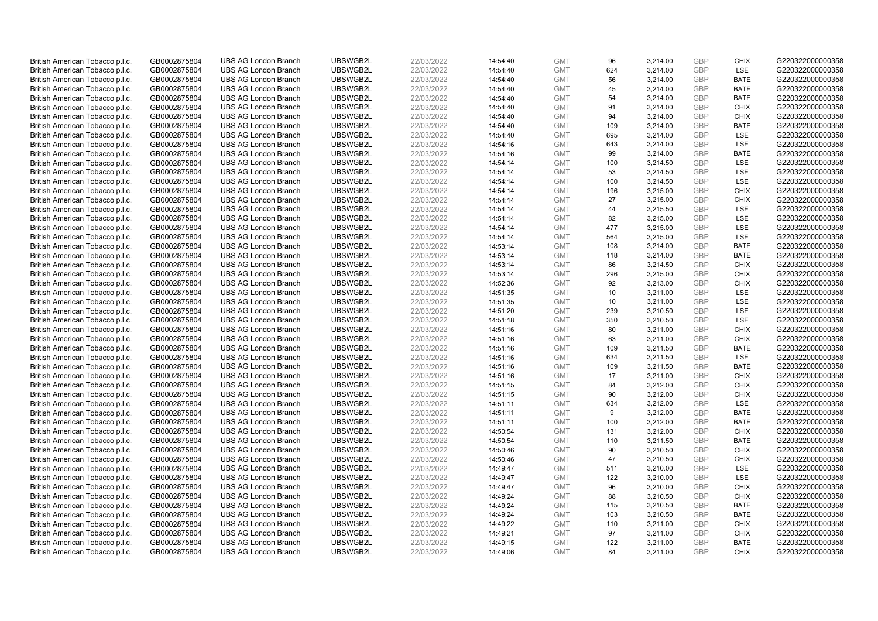| British American Tobacco p.l.c.                                    | GB0002875804                 | <b>UBS AG London Branch</b>                                | UBSWGB2L             | 22/03/2022               | 14:54:40             | <b>GMT</b>               | 96        | 3,214.00             | <b>GBP</b>               | <b>CHIX</b>                | G220322000000358                     |
|--------------------------------------------------------------------|------------------------------|------------------------------------------------------------|----------------------|--------------------------|----------------------|--------------------------|-----------|----------------------|--------------------------|----------------------------|--------------------------------------|
| British American Tobacco p.l.c.                                    | GB0002875804                 | <b>UBS AG London Branch</b>                                | UBSWGB2L             | 22/03/2022               | 14:54:40             | <b>GMT</b>               | 624       | 3,214.00             | GBP                      | LSE                        | G220322000000358                     |
| British American Tobacco p.l.c.                                    | GB0002875804                 | <b>UBS AG London Branch</b>                                | UBSWGB2L             | 22/03/2022               | 14:54:40             | <b>GMT</b>               | 56        | 3,214.00             | <b>GBP</b>               | <b>BATE</b>                | G220322000000358                     |
| British American Tobacco p.l.c.                                    | GB0002875804                 | <b>UBS AG London Branch</b>                                | UBSWGB2L             | 22/03/2022               | 14:54:40             | <b>GMT</b>               | 45        | 3,214.00             | <b>GBP</b>               | <b>BATE</b>                | G220322000000358                     |
| British American Tobacco p.l.c.                                    | GB0002875804                 | <b>UBS AG London Branch</b>                                | UBSWGB2L             | 22/03/2022               | 14:54:40             | <b>GMT</b>               | 54        | 3,214.00             | <b>GBP</b>               | <b>BATE</b>                | G220322000000358                     |
| British American Tobacco p.l.c.                                    | GB0002875804                 | <b>UBS AG London Branch</b>                                | UBSWGB2L             | 22/03/2022               | 14:54:40             | <b>GMT</b>               | 91        | 3,214.00             | <b>GBP</b>               | <b>CHIX</b>                | G220322000000358                     |
| British American Tobacco p.l.c.                                    | GB0002875804                 | <b>UBS AG London Branch</b>                                | UBSWGB2L             | 22/03/2022               | 14:54:40             | <b>GMT</b>               | 94        | 3,214.00             | <b>GBP</b>               | <b>CHIX</b>                | G220322000000358                     |
| British American Tobacco p.l.c.                                    | GB0002875804                 | <b>UBS AG London Branch</b>                                | UBSWGB2L             | 22/03/2022               | 14:54:40             | <b>GMT</b>               | 109       | 3,214.00             | <b>GBP</b>               | <b>BATE</b>                | G220322000000358                     |
| British American Tobacco p.l.c.                                    | GB0002875804                 | <b>UBS AG London Branch</b>                                | UBSWGB2L             | 22/03/2022               | 14:54:40             | <b>GMT</b>               | 695       | 3,214.00             | <b>GBP</b>               | LSE                        | G220322000000358                     |
| British American Tobacco p.l.c.                                    | GB0002875804                 | <b>UBS AG London Branch</b>                                | UBSWGB2L             | 22/03/2022               | 14:54:16             | <b>GMT</b>               | 643       | 3,214.00             | <b>GBP</b>               | LSE                        | G220322000000358                     |
| British American Tobacco p.l.c.                                    | GB0002875804                 | <b>UBS AG London Branch</b>                                | UBSWGB2L             | 22/03/2022               | 14:54:16             | <b>GMT</b>               | 99        | 3,214.00             | <b>GBP</b>               | <b>BATE</b>                | G220322000000358                     |
| British American Tobacco p.l.c.                                    | GB0002875804                 | <b>UBS AG London Branch</b>                                | UBSWGB2L             | 22/03/2022               | 14:54:14             | <b>GMT</b>               | 100       | 3,214.50             | <b>GBP</b>               | LSE                        | G220322000000358                     |
| British American Tobacco p.l.c.                                    | GB0002875804                 | <b>UBS AG London Branch</b>                                | UBSWGB2L             | 22/03/2022               | 14:54:14             | <b>GMT</b>               | 53        | 3,214.50             | <b>GBP</b>               | LSE                        | G220322000000358                     |
| British American Tobacco p.l.c.                                    | GB0002875804                 | <b>UBS AG London Branch</b>                                | UBSWGB2L             | 22/03/2022               | 14:54:14             | <b>GMT</b>               | 100       | 3,214.50             | <b>GBP</b><br>GBP        | LSE<br><b>CHIX</b>         | G220322000000358                     |
| British American Tobacco p.l.c.                                    | GB0002875804                 | <b>UBS AG London Branch</b>                                | UBSWGB2L             | 22/03/2022               | 14:54:14             | <b>GMT</b>               | 196       | 3,215.00             |                          |                            | G220322000000358                     |
| British American Tobacco p.l.c.                                    | GB0002875804                 | <b>UBS AG London Branch</b>                                | UBSWGB2L             | 22/03/2022               | 14:54:14             | <b>GMT</b>               | 27        | 3,215.00             | <b>GBP</b><br><b>GBP</b> | <b>CHIX</b>                | G220322000000358                     |
| British American Tobacco p.l.c.                                    | GB0002875804                 | <b>UBS AG London Branch</b>                                | UBSWGB2L             | 22/03/2022               | 14:54:14             | <b>GMT</b>               | 44        | 3,215.50             |                          | LSE                        | G220322000000358                     |
| British American Tobacco p.l.c.                                    | GB0002875804                 | <b>UBS AG London Branch</b>                                | UBSWGB2L             | 22/03/2022               | 14:54:14             | <b>GMT</b>               | 82        | 3,215.00             | <b>GBP</b>               | <b>LSE</b>                 | G220322000000358                     |
| British American Tobacco p.l.c.                                    | GB0002875804                 | <b>UBS AG London Branch</b>                                | UBSWGB2L             | 22/03/2022               | 14:54:14             | <b>GMT</b>               | 477       | 3,215.00             | <b>GBP</b>               | <b>LSE</b>                 | G220322000000358                     |
| British American Tobacco p.l.c.                                    | GB0002875804                 | <b>UBS AG London Branch</b>                                | UBSWGB2L             | 22/03/2022               | 14:54:14             | <b>GMT</b>               | 564       | 3,215.00             | <b>GBP</b>               | LSE                        | G220322000000358                     |
| British American Tobacco p.l.c.                                    | GB0002875804                 | <b>UBS AG London Branch</b>                                | UBSWGB2L<br>UBSWGB2L | 22/03/2022               | 14:53:14<br>14:53:14 | <b>GMT</b>               | 108       | 3,214.00             | <b>GBP</b><br>GBP        | <b>BATE</b><br><b>BATE</b> | G220322000000358<br>G220322000000358 |
| British American Tobacco p.l.c.                                    | GB0002875804                 | <b>UBS AG London Branch</b>                                |                      | 22/03/2022               |                      | <b>GMT</b>               | 118       | 3,214.00             |                          |                            |                                      |
| British American Tobacco p.l.c.<br>British American Tobacco p.l.c. | GB0002875804<br>GB0002875804 | <b>UBS AG London Branch</b><br><b>UBS AG London Branch</b> | UBSWGB2L<br>UBSWGB2L | 22/03/2022<br>22/03/2022 | 14:53:14             | <b>GMT</b><br><b>GMT</b> | 86        | 3,214.50             | <b>GBP</b><br>GBP        | <b>CHIX</b><br><b>CHIX</b> | G220322000000358<br>G220322000000358 |
|                                                                    |                              | <b>UBS AG London Branch</b>                                | UBSWGB2L             | 22/03/2022               | 14:53:14             |                          | 296<br>92 | 3,215.00<br>3,213.00 | <b>GBP</b>               | <b>CHIX</b>                |                                      |
| British American Tobacco p.l.c.<br>British American Tobacco p.l.c. | GB0002875804<br>GB0002875804 | <b>UBS AG London Branch</b>                                | UBSWGB2L             | 22/03/2022               | 14:52:36<br>14:51:35 | <b>GMT</b><br><b>GMT</b> | 10        | 3,211.00             | GBP                      | LSE                        | G220322000000358<br>G220322000000358 |
| British American Tobacco p.l.c.                                    | GB0002875804                 | <b>UBS AG London Branch</b>                                | UBSWGB2L             | 22/03/2022               | 14:51:35             | <b>GMT</b>               | 10        | 3,211.00             | <b>GBP</b>               | LSE                        | G220322000000358                     |
| British American Tobacco p.l.c.                                    | GB0002875804                 | <b>UBS AG London Branch</b>                                | UBSWGB2L             | 22/03/2022               | 14:51:20             | <b>GMT</b>               | 239       | 3,210.50             | GBP                      | LSE                        | G220322000000358                     |
| British American Tobacco p.l.c.                                    | GB0002875804                 | <b>UBS AG London Branch</b>                                | UBSWGB2L             | 22/03/2022               | 14:51:18             | <b>GMT</b>               | 350       | 3,210.50             | <b>GBP</b>               | LSE                        | G220322000000358                     |
| British American Tobacco p.l.c.                                    | GB0002875804                 | <b>UBS AG London Branch</b>                                | UBSWGB2L             | 22/03/2022               | 14:51:16             | <b>GMT</b>               | 80        | 3,211.00             | GBP                      | <b>CHIX</b>                | G220322000000358                     |
| British American Tobacco p.l.c.                                    | GB0002875804                 | <b>UBS AG London Branch</b>                                | UBSWGB2L             | 22/03/2022               | 14:51:16             | <b>GMT</b>               | 63        | 3,211.00             | <b>GBP</b>               | <b>CHIX</b>                | G220322000000358                     |
| British American Tobacco p.l.c.                                    | GB0002875804                 | <b>UBS AG London Branch</b>                                | UBSWGB2L             | 22/03/2022               | 14:51:16             | <b>GMT</b>               | 109       | 3,211.50             | GBP                      | <b>BATE</b>                | G220322000000358                     |
| British American Tobacco p.l.c.                                    | GB0002875804                 | <b>UBS AG London Branch</b>                                | UBSWGB2L             | 22/03/2022               | 14:51:16             | <b>GMT</b>               | 634       | 3,211.50             | <b>GBP</b>               | LSE                        | G220322000000358                     |
| British American Tobacco p.l.c.                                    | GB0002875804                 | <b>UBS AG London Branch</b>                                | UBSWGB2L             | 22/03/2022               | 14:51:16             | <b>GMT</b>               | 109       | 3,211.50             | <b>GBP</b>               | <b>BATE</b>                | G220322000000358                     |
| British American Tobacco p.l.c.                                    | GB0002875804                 | <b>UBS AG London Branch</b>                                | UBSWGB2L             | 22/03/2022               | 14:51:16             | <b>GMT</b>               | 17        | 3,211.00             | GBP                      | <b>CHIX</b>                | G220322000000358                     |
| British American Tobacco p.l.c.                                    | GB0002875804                 | <b>UBS AG London Branch</b>                                | UBSWGB2L             | 22/03/2022               | 14:51:15             | <b>GMT</b>               | 84        | 3,212.00             | <b>GBP</b>               | <b>CHIX</b>                | G220322000000358                     |
| British American Tobacco p.l.c.                                    | GB0002875804                 | <b>UBS AG London Branch</b>                                | UBSWGB2L             | 22/03/2022               | 14:51:15             | <b>GMT</b>               | 90        | 3,212.00             | GBP                      | <b>CHIX</b>                | G220322000000358                     |
| British American Tobacco p.l.c.                                    | GB0002875804                 | <b>UBS AG London Branch</b>                                | UBSWGB2L             | 22/03/2022               | 14:51:11             | <b>GMT</b>               | 634       | 3,212.00             | <b>GBP</b>               | LSE                        | G220322000000358                     |
| British American Tobacco p.l.c.                                    | GB0002875804                 | <b>UBS AG London Branch</b>                                | UBSWGB2L             | 22/03/2022               | 14:51:11             | <b>GMT</b>               | 9         | 3,212.00             | <b>GBP</b>               | <b>BATE</b>                | G220322000000358                     |
| British American Tobacco p.l.c.                                    | GB0002875804                 | <b>UBS AG London Branch</b>                                | UBSWGB2L             | 22/03/2022               | 14:51:11             | <b>GMT</b>               | 100       | 3,212.00             | <b>GBP</b>               | <b>BATE</b>                | G220322000000358                     |
| British American Tobacco p.l.c.                                    | GB0002875804                 | <b>UBS AG London Branch</b>                                | UBSWGB2L             | 22/03/2022               | 14:50:54             | <b>GMT</b>               | 131       | 3,212.00             | GBP                      | <b>CHIX</b>                | G220322000000358                     |
| British American Tobacco p.l.c.                                    | GB0002875804                 | <b>UBS AG London Branch</b>                                | UBSWGB2L             | 22/03/2022               | 14:50:54             | <b>GMT</b>               | 110       | 3,211.50             | <b>GBP</b>               | <b>BATE</b>                | G220322000000358                     |
| British American Tobacco p.l.c.                                    | GB0002875804                 | <b>UBS AG London Branch</b>                                | UBSWGB2L             | 22/03/2022               | 14:50:46             | <b>GMT</b>               | 90        | 3,210.50             | <b>GBP</b>               | <b>CHIX</b>                | G220322000000358                     |
| British American Tobacco p.l.c.                                    | GB0002875804                 | <b>UBS AG London Branch</b>                                | UBSWGB2L             | 22/03/2022               | 14:50:46             | <b>GMT</b>               | 47        | 3,210.50             | <b>GBP</b>               | <b>CHIX</b>                | G220322000000358                     |
| British American Tobacco p.l.c.                                    | GB0002875804                 | <b>UBS AG London Branch</b>                                | UBSWGB2L             | 22/03/2022               | 14:49:47             | <b>GMT</b>               | 511       | 3,210.00             | <b>GBP</b>               | <b>LSE</b>                 | G220322000000358                     |
| British American Tobacco p.l.c.                                    | GB0002875804                 | <b>UBS AG London Branch</b>                                | UBSWGB2L             | 22/03/2022               | 14:49:47             | <b>GMT</b>               | 122       | 3,210.00             | <b>GBP</b>               | LSE                        | G220322000000358                     |
| British American Tobacco p.l.c.                                    | GB0002875804                 | <b>UBS AG London Branch</b>                                | UBSWGB2L             | 22/03/2022               | 14:49:47             | <b>GMT</b>               | 96        | 3,210.00             | <b>GBP</b>               | <b>CHIX</b>                | G220322000000358                     |
| British American Tobacco p.l.c.                                    | GB0002875804                 | <b>UBS AG London Branch</b>                                | UBSWGB2L             | 22/03/2022               | 14:49:24             | <b>GMT</b>               | 88        | 3,210.50             | GBP                      | <b>CHIX</b>                | G220322000000358                     |
| British American Tobacco p.l.c.                                    | GB0002875804                 | <b>UBS AG London Branch</b>                                | UBSWGB2L             | 22/03/2022               | 14:49:24             | <b>GMT</b>               | 115       | 3,210.50             | <b>GBP</b>               | <b>BATE</b>                | G220322000000358                     |
| British American Tobacco p.l.c.                                    | GB0002875804                 | <b>UBS AG London Branch</b>                                | UBSWGB2L             | 22/03/2022               | 14:49:24             | <b>GMT</b>               | 103       | 3,210.50             | GBP                      | <b>BATE</b>                | G220322000000358                     |
| British American Tobacco p.l.c.                                    | GB0002875804                 | <b>UBS AG London Branch</b>                                | UBSWGB2L             | 22/03/2022               | 14:49:22             | <b>GMT</b>               | 110       | 3,211.00             | <b>GBP</b>               | <b>CHIX</b>                | G220322000000358                     |
| British American Tobacco p.l.c.                                    | GB0002875804                 | <b>UBS AG London Branch</b>                                | UBSWGB2L             | 22/03/2022               | 14:49:21             | <b>GMT</b>               | 97        | 3,211.00             | <b>GBP</b>               | <b>CHIX</b>                | G220322000000358                     |
| British American Tobacco p.l.c.                                    | GB0002875804                 | <b>UBS AG London Branch</b>                                | UBSWGB2L             | 22/03/2022               | 14:49:15             | <b>GMT</b>               | 122       | 3,211.00             | <b>GBP</b>               | <b>BATE</b>                | G220322000000358                     |
| British American Tobacco p.l.c.                                    | GB0002875804                 | <b>UBS AG London Branch</b>                                | UBSWGB2L             | 22/03/2022               | 14:49:06             | <b>GMT</b>               | 84        | 3.211.00             | GBP                      | CHIX                       | G220322000000358                     |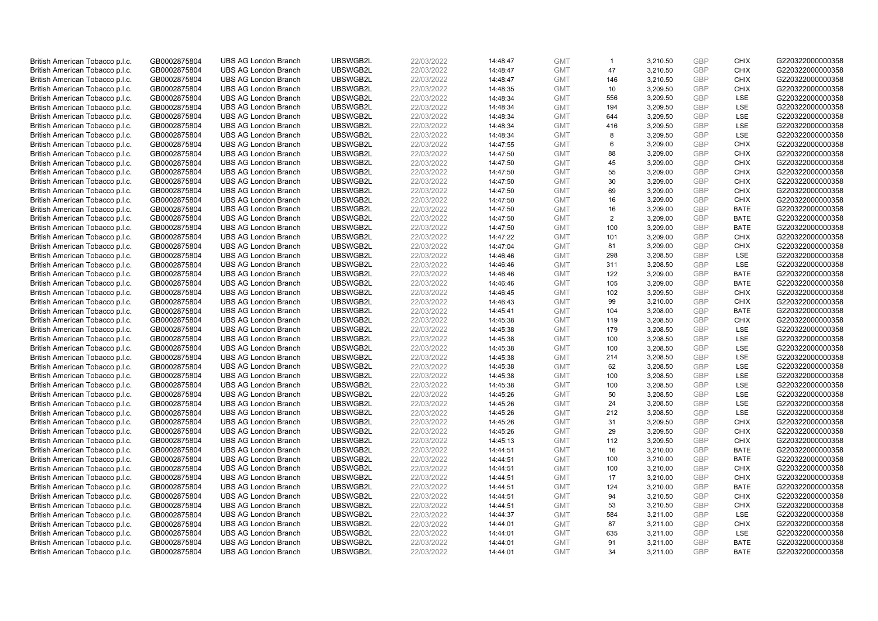| British American Tobacco p.l.c.                                    | GB0002875804                 | <b>UBS AG London Branch</b> | UBSWGB2L | 22/03/2022 | 14:48:47 | <b>GMT</b> | $\mathbf{1}$   | 3,210.50 | <b>GBP</b> | <b>CHIX</b> | G220322000000358 |
|--------------------------------------------------------------------|------------------------------|-----------------------------|----------|------------|----------|------------|----------------|----------|------------|-------------|------------------|
|                                                                    |                              |                             |          |            |          |            | 47             |          | <b>GBP</b> | <b>CHIX</b> |                  |
| British American Tobacco p.l.c.                                    | GB0002875804                 | <b>UBS AG London Branch</b> | UBSWGB2L | 22/03/2022 | 14:48:47 | <b>GMT</b> |                | 3,210.50 |            |             | G220322000000358 |
| British American Tobacco p.l.c.                                    | GB0002875804                 | <b>UBS AG London Branch</b> | UBSWGB2L | 22/03/2022 | 14:48:47 | <b>GMT</b> | 146            | 3,210.50 | <b>GBP</b> | <b>CHIX</b> | G220322000000358 |
| British American Tobacco p.l.c.                                    | GB0002875804                 | <b>UBS AG London Branch</b> | UBSWGB2L | 22/03/2022 | 14:48:35 | <b>GMT</b> | 10             | 3,209.50 | <b>GBP</b> | <b>CHIX</b> | G220322000000358 |
| British American Tobacco p.l.c.                                    | GB0002875804                 | <b>UBS AG London Branch</b> | UBSWGB2L | 22/03/2022 | 14:48:34 | <b>GMT</b> | 556            | 3,209.50 | <b>GBP</b> | LSE         | G220322000000358 |
| British American Tobacco p.l.c.                                    | GB0002875804                 | <b>UBS AG London Branch</b> | UBSWGB2L | 22/03/2022 | 14:48:34 | <b>GMT</b> | 194            | 3,209.50 | <b>GBP</b> | LSE         | G220322000000358 |
| British American Tobacco p.l.c.                                    | GB0002875804                 | <b>UBS AG London Branch</b> | UBSWGB2L | 22/03/2022 | 14:48:34 | <b>GMT</b> | 644            | 3,209.50 | <b>GBP</b> | LSE         | G220322000000358 |
| British American Tobacco p.l.c.                                    | GB0002875804                 | <b>UBS AG London Branch</b> | UBSWGB2L | 22/03/2022 | 14:48:34 | <b>GMT</b> | 416            | 3,209.50 | <b>GBP</b> | LSE         | G220322000000358 |
| British American Tobacco p.l.c.                                    | GB0002875804                 | <b>UBS AG London Branch</b> | UBSWGB2L | 22/03/2022 | 14:48:34 | <b>GMT</b> | 8              | 3,209.50 | <b>GBP</b> | LSE         | G220322000000358 |
| British American Tobacco p.l.c.                                    | GB0002875804                 | <b>UBS AG London Branch</b> | UBSWGB2L | 22/03/2022 | 14:47:55 | <b>GMT</b> | 6              | 3,209.00 | <b>GBP</b> | <b>CHIX</b> | G220322000000358 |
| British American Tobacco p.l.c.                                    | GB0002875804                 | <b>UBS AG London Branch</b> | UBSWGB2L | 22/03/2022 | 14:47:50 | <b>GMT</b> | 88             | 3,209.00 | <b>GBP</b> | <b>CHIX</b> | G220322000000358 |
| British American Tobacco p.l.c.                                    | GB0002875804                 | <b>UBS AG London Branch</b> | UBSWGB2L | 22/03/2022 | 14:47:50 | <b>GMT</b> | 45             | 3,209.00 | <b>GBP</b> | <b>CHIX</b> | G220322000000358 |
| British American Tobacco p.l.c.                                    | GB0002875804                 | <b>UBS AG London Branch</b> | UBSWGB2L | 22/03/2022 | 14:47:50 | <b>GMT</b> | 55             | 3,209.00 | <b>GBP</b> | <b>CHIX</b> | G220322000000358 |
| British American Tobacco p.l.c.                                    | GB0002875804                 | <b>UBS AG London Branch</b> | UBSWGB2L | 22/03/2022 | 14:47:50 | <b>GMT</b> | 30             | 3,209.00 | <b>GBP</b> | <b>CHIX</b> | G220322000000358 |
| British American Tobacco p.l.c.                                    | GB0002875804                 | <b>UBS AG London Branch</b> | UBSWGB2L | 22/03/2022 | 14:47:50 | <b>GMT</b> | 69             | 3,209.00 | <b>GBP</b> | <b>CHIX</b> | G220322000000358 |
| British American Tobacco p.l.c.                                    | GB0002875804                 | <b>UBS AG London Branch</b> | UBSWGB2L | 22/03/2022 | 14:47:50 | <b>GMT</b> | 16             | 3,209.00 | <b>GBP</b> | <b>CHIX</b> | G220322000000358 |
| British American Tobacco p.l.c.                                    | GB0002875804                 | <b>UBS AG London Branch</b> | UBSWGB2L | 22/03/2022 | 14:47:50 | <b>GMT</b> | 16             | 3,209.00 | <b>GBP</b> | <b>BATE</b> | G220322000000358 |
| British American Tobacco p.l.c.                                    | GB0002875804                 | <b>UBS AG London Branch</b> | UBSWGB2L | 22/03/2022 | 14:47:50 | <b>GMT</b> | $\overline{2}$ | 3,209.00 | <b>GBP</b> | <b>BATE</b> | G220322000000358 |
|                                                                    |                              | <b>UBS AG London Branch</b> | UBSWGB2L |            |          |            | 100            |          |            |             |                  |
| British American Tobacco p.l.c.                                    | GB0002875804                 |                             |          | 22/03/2022 | 14:47:50 | <b>GMT</b> |                | 3,209.00 | <b>GBP</b> | <b>BATE</b> | G220322000000358 |
| British American Tobacco p.l.c.                                    | GB0002875804                 | <b>UBS AG London Branch</b> | UBSWGB2L | 22/03/2022 | 14:47:22 | <b>GMT</b> | 101            | 3,209.00 | <b>GBP</b> | <b>CHIX</b> | G220322000000358 |
| British American Tobacco p.l.c.                                    | GB0002875804                 | <b>UBS AG London Branch</b> | UBSWGB2L | 22/03/2022 | 14:47:04 | <b>GMT</b> | 81             | 3,209.00 | <b>GBP</b> | <b>CHIX</b> | G220322000000358 |
| British American Tobacco p.l.c.                                    | GB0002875804                 | <b>UBS AG London Branch</b> | UBSWGB2L | 22/03/2022 | 14:46:46 | <b>GMT</b> | 298            | 3,208.50 | <b>GBP</b> | LSE         | G220322000000358 |
| British American Tobacco p.l.c.                                    | GB0002875804                 | <b>UBS AG London Branch</b> | UBSWGB2L | 22/03/2022 | 14:46:46 | <b>GMT</b> | 311            | 3,208.50 | <b>GBP</b> | LSE         | G220322000000358 |
| British American Tobacco p.l.c.                                    | GB0002875804                 | <b>UBS AG London Branch</b> | UBSWGB2L | 22/03/2022 | 14:46:46 | <b>GMT</b> | 122            | 3,209.00 | <b>GBP</b> | <b>BATE</b> | G220322000000358 |
| British American Tobacco p.l.c.                                    | GB0002875804                 | <b>UBS AG London Branch</b> | UBSWGB2L | 22/03/2022 | 14:46:46 | <b>GMT</b> | 105            | 3,209.00 | <b>GBP</b> | <b>BATE</b> | G220322000000358 |
| British American Tobacco p.l.c.                                    | GB0002875804                 | <b>UBS AG London Branch</b> | UBSWGB2L | 22/03/2022 | 14:46:45 | <b>GMT</b> | 102            | 3,209.50 | <b>GBP</b> | <b>CHIX</b> | G220322000000358 |
| British American Tobacco p.l.c.                                    | GB0002875804                 | <b>UBS AG London Branch</b> | UBSWGB2L | 22/03/2022 | 14:46:43 | <b>GMT</b> | 99             | 3,210.00 | <b>GBP</b> | <b>CHIX</b> | G220322000000358 |
| British American Tobacco p.l.c.                                    | GB0002875804                 | <b>UBS AG London Branch</b> | UBSWGB2L | 22/03/2022 | 14:45:41 | <b>GMT</b> | 104            | 3,208.00 | <b>GBP</b> | <b>BATE</b> | G220322000000358 |
| British American Tobacco p.l.c.                                    | GB0002875804                 | <b>UBS AG London Branch</b> | UBSWGB2L | 22/03/2022 | 14:45:38 | <b>GMT</b> | 119            | 3,208.50 | <b>GBP</b> | <b>CHIX</b> | G220322000000358 |
| British American Tobacco p.l.c.                                    | GB0002875804                 | <b>UBS AG London Branch</b> | UBSWGB2L | 22/03/2022 | 14:45:38 | <b>GMT</b> | 179            | 3,208.50 | <b>GBP</b> | LSE         | G220322000000358 |
| British American Tobacco p.l.c.                                    | GB0002875804                 | <b>UBS AG London Branch</b> | UBSWGB2L | 22/03/2022 | 14:45:38 | <b>GMT</b> | 100            | 3,208.50 | <b>GBP</b> | LSE         | G220322000000358 |
| British American Tobacco p.l.c.                                    | GB0002875804                 | <b>UBS AG London Branch</b> | UBSWGB2L | 22/03/2022 | 14:45:38 | <b>GMT</b> | 100            | 3,208.50 | <b>GBP</b> | LSE         | G220322000000358 |
| British American Tobacco p.l.c.                                    | GB0002875804                 | <b>UBS AG London Branch</b> | UBSWGB2L | 22/03/2022 | 14:45:38 | <b>GMT</b> | 214            | 3,208.50 | <b>GBP</b> | LSE         | G220322000000358 |
| British American Tobacco p.l.c.                                    | GB0002875804                 | <b>UBS AG London Branch</b> | UBSWGB2L | 22/03/2022 | 14:45:38 | <b>GMT</b> | 62             | 3,208.50 | <b>GBP</b> | LSE         | G220322000000358 |
| British American Tobacco p.l.c.                                    | GB0002875804                 | <b>UBS AG London Branch</b> | UBSWGB2L | 22/03/2022 | 14:45:38 | <b>GMT</b> | 100            | 3,208.50 | <b>GBP</b> | LSE         | G220322000000358 |
| British American Tobacco p.l.c.                                    | GB0002875804                 | <b>UBS AG London Branch</b> | UBSWGB2L | 22/03/2022 | 14:45:38 | <b>GMT</b> | 100            | 3,208.50 | <b>GBP</b> | LSE         | G220322000000358 |
| British American Tobacco p.l.c.                                    | GB0002875804                 | <b>UBS AG London Branch</b> | UBSWGB2L | 22/03/2022 | 14:45:26 | <b>GMT</b> | 50             | 3,208.50 | <b>GBP</b> | LSE         | G220322000000358 |
| British American Tobacco p.l.c.                                    | GB0002875804                 | <b>UBS AG London Branch</b> | UBSWGB2L | 22/03/2022 | 14:45:26 | <b>GMT</b> | 24             | 3,208.50 | <b>GBP</b> | LSE         | G220322000000358 |
| British American Tobacco p.l.c.                                    | GB0002875804                 | <b>UBS AG London Branch</b> | UBSWGB2L | 22/03/2022 | 14:45:26 | <b>GMT</b> | 212            | 3,208.50 | <b>GBP</b> | LSE         | G220322000000358 |
| British American Tobacco p.l.c.                                    | GB0002875804                 | <b>UBS AG London Branch</b> | UBSWGB2L | 22/03/2022 | 14:45:26 | <b>GMT</b> | 31             | 3,209.50 | <b>GBP</b> | <b>CHIX</b> | G220322000000358 |
| British American Tobacco p.l.c.                                    | GB0002875804                 | <b>UBS AG London Branch</b> | UBSWGB2L | 22/03/2022 | 14:45:26 | <b>GMT</b> | 29             | 3,209.50 | <b>GBP</b> | <b>CHIX</b> | G220322000000358 |
| British American Tobacco p.l.c.                                    | GB0002875804                 | <b>UBS AG London Branch</b> | UBSWGB2L | 22/03/2022 | 14:45:13 | <b>GMT</b> | 112            | 3,209.50 | <b>GBP</b> | <b>CHIX</b> | G220322000000358 |
| British American Tobacco p.l.c.                                    | GB0002875804                 | <b>UBS AG London Branch</b> | UBSWGB2L | 22/03/2022 | 14:44:51 | <b>GMT</b> | 16             | 3,210.00 | <b>GBP</b> | <b>BATE</b> | G220322000000358 |
| British American Tobacco p.l.c.                                    | GB0002875804                 | <b>UBS AG London Branch</b> | UBSWGB2L | 22/03/2022 | 14:44:51 | <b>GMT</b> | 100            | 3,210.00 | <b>GBP</b> | <b>BATE</b> | G220322000000358 |
| British American Tobacco p.l.c.                                    | GB0002875804                 | <b>UBS AG London Branch</b> | UBSWGB2L | 22/03/2022 | 14:44:51 | <b>GMT</b> | 100            | 3,210.00 | <b>GBP</b> | <b>CHIX</b> | G220322000000358 |
|                                                                    |                              | <b>UBS AG London Branch</b> | UBSWGB2L | 22/03/2022 | 14:44:51 | <b>GMT</b> | 17             | 3,210.00 | <b>GBP</b> | <b>CHIX</b> | G220322000000358 |
| British American Tobacco p.l.c.<br>British American Tobacco p.l.c. | GB0002875804<br>GB0002875804 | <b>UBS AG London Branch</b> | UBSWGB2L | 22/03/2022 | 14:44:51 | <b>GMT</b> | 124            | 3,210.00 | <b>GBP</b> | <b>BATE</b> | G220322000000358 |
|                                                                    |                              | <b>UBS AG London Branch</b> | UBSWGB2L |            |          | <b>GMT</b> | 94             | 3,210.50 | <b>GBP</b> | <b>CHIX</b> | G220322000000358 |
| British American Tobacco p.l.c.                                    | GB0002875804                 |                             |          | 22/03/2022 | 14:44:51 |            |                |          |            |             |                  |
| British American Tobacco p.l.c.                                    | GB0002875804                 | <b>UBS AG London Branch</b> | UBSWGB2L | 22/03/2022 | 14:44:51 | <b>GMT</b> | 53             | 3,210.50 | <b>GBP</b> | <b>CHIX</b> | G220322000000358 |
| British American Tobacco p.l.c.                                    | GB0002875804                 | <b>UBS AG London Branch</b> | UBSWGB2L | 22/03/2022 | 14:44:37 | <b>GMT</b> | 584            | 3,211.00 | <b>GBP</b> | LSE         | G220322000000358 |
| British American Tobacco p.l.c.                                    | GB0002875804                 | <b>UBS AG London Branch</b> | UBSWGB2L | 22/03/2022 | 14:44:01 | <b>GMT</b> | 87             | 3,211.00 | <b>GBP</b> | <b>CHIX</b> | G220322000000358 |
| British American Tobacco p.l.c.                                    | GB0002875804                 | <b>UBS AG London Branch</b> | UBSWGB2L | 22/03/2022 | 14:44:01 | <b>GMT</b> | 635            | 3,211.00 | <b>GBP</b> | LSE         | G220322000000358 |
| British American Tobacco p.l.c.                                    | GB0002875804                 | <b>UBS AG London Branch</b> | UBSWGB2L | 22/03/2022 | 14:44:01 | <b>GMT</b> | 91             | 3,211.00 | <b>GBP</b> | <b>BATE</b> | G220322000000358 |
| British American Tobacco p.l.c.                                    | GB0002875804                 | <b>UBS AG London Branch</b> | UBSWGB2L | 22/03/2022 | 14:44:01 | <b>GMT</b> | 34             | 3.211.00 | GBP        | <b>BATE</b> | G220322000000358 |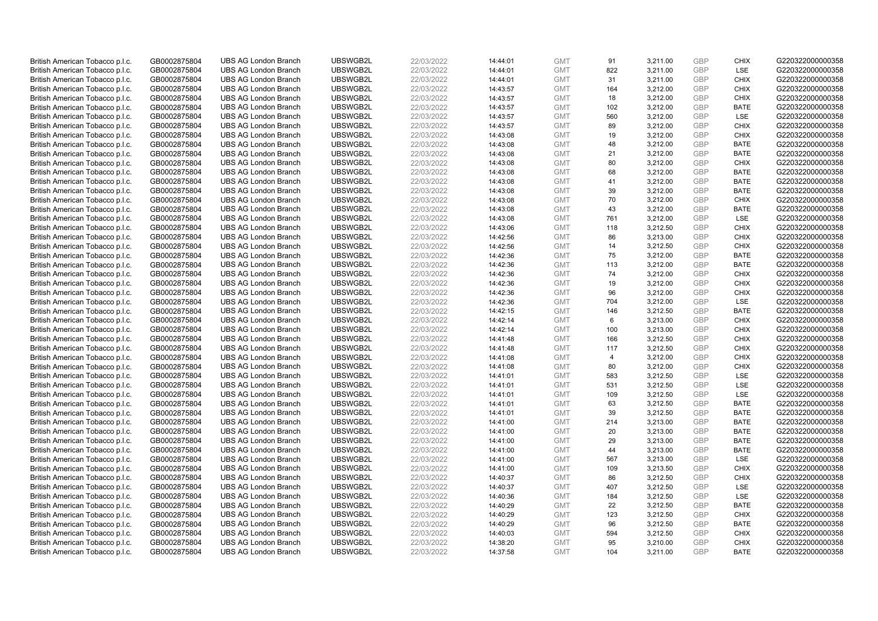| British American Tobacco p.l.c. | GB0002875804 | <b>UBS AG London Branch</b> | UBSWGB2L | 22/03/2022 | 14:44:01 | <b>GMT</b> | 91             | 3,211.00 | <b>GBP</b> | <b>CHIX</b> | G220322000000358 |
|---------------------------------|--------------|-----------------------------|----------|------------|----------|------------|----------------|----------|------------|-------------|------------------|
| British American Tobacco p.l.c. | GB0002875804 | <b>UBS AG London Branch</b> | UBSWGB2L | 22/03/2022 | 14:44:01 | <b>GMT</b> | 822            | 3,211.00 | GBP        | LSE         | G220322000000358 |
| British American Tobacco p.l.c. | GB0002875804 | <b>UBS AG London Branch</b> | UBSWGB2L | 22/03/2022 | 14:44:01 | <b>GMT</b> | 31             | 3,211.00 | <b>GBP</b> | <b>CHIX</b> | G220322000000358 |
| British American Tobacco p.l.c. | GB0002875804 | <b>UBS AG London Branch</b> | UBSWGB2L | 22/03/2022 | 14:43:57 | <b>GMT</b> | 164            | 3,212.00 | <b>GBP</b> | <b>CHIX</b> | G220322000000358 |
| British American Tobacco p.l.c. | GB0002875804 | <b>UBS AG London Branch</b> | UBSWGB2L | 22/03/2022 | 14:43:57 | <b>GMT</b> | 18             | 3,212.00 | <b>GBP</b> | <b>CHIX</b> | G220322000000358 |
| British American Tobacco p.l.c. | GB0002875804 | <b>UBS AG London Branch</b> | UBSWGB2L | 22/03/2022 | 14:43:57 | <b>GMT</b> | 102            | 3,212.00 | <b>GBP</b> | <b>BATE</b> | G220322000000358 |
| British American Tobacco p.l.c. | GB0002875804 | <b>UBS AG London Branch</b> | UBSWGB2L | 22/03/2022 | 14:43:57 | <b>GMT</b> | 560            | 3,212.00 | GBP        | LSE         | G220322000000358 |
| British American Tobacco p.l.c. | GB0002875804 | <b>UBS AG London Branch</b> | UBSWGB2L | 22/03/2022 | 14:43:57 | <b>GMT</b> | 89             | 3,212.00 | <b>GBP</b> | <b>CHIX</b> | G220322000000358 |
| British American Tobacco p.l.c. | GB0002875804 | <b>UBS AG London Branch</b> | UBSWGB2L | 22/03/2022 | 14:43:08 | <b>GMT</b> | 19             | 3,212.00 | GBP        | <b>CHIX</b> | G220322000000358 |
| British American Tobacco p.l.c. | GB0002875804 | <b>UBS AG London Branch</b> | UBSWGB2L | 22/03/2022 | 14:43:08 | <b>GMT</b> | 48             | 3,212.00 | <b>GBP</b> | <b>BATE</b> | G220322000000358 |
| British American Tobacco p.l.c. | GB0002875804 | <b>UBS AG London Branch</b> | UBSWGB2L | 22/03/2022 | 14:43:08 | <b>GMT</b> | 21             | 3,212.00 | GBP        | <b>BATE</b> | G220322000000358 |
| British American Tobacco p.l.c. | GB0002875804 | <b>UBS AG London Branch</b> | UBSWGB2L | 22/03/2022 | 14:43:08 | <b>GMT</b> | 80             | 3,212.00 | <b>GBP</b> | <b>CHIX</b> | G220322000000358 |
| British American Tobacco p.l.c. | GB0002875804 | <b>UBS AG London Branch</b> | UBSWGB2L | 22/03/2022 | 14:43:08 | <b>GMT</b> | 68             | 3,212.00 | <b>GBP</b> | <b>BATE</b> | G220322000000358 |
| British American Tobacco p.l.c. | GB0002875804 | <b>UBS AG London Branch</b> | UBSWGB2L | 22/03/2022 | 14:43:08 | <b>GMT</b> | 41             | 3,212.00 | <b>GBP</b> | <b>BATE</b> | G220322000000358 |
| British American Tobacco p.l.c. | GB0002875804 | <b>UBS AG London Branch</b> | UBSWGB2L | 22/03/2022 | 14:43:08 | <b>GMT</b> | 39             | 3,212.00 | GBP        | <b>BATE</b> | G220322000000358 |
| British American Tobacco p.l.c. | GB0002875804 | <b>UBS AG London Branch</b> | UBSWGB2L | 22/03/2022 | 14:43:08 | <b>GMT</b> | 70             | 3,212.00 | GBP        | <b>CHIX</b> | G220322000000358 |
| British American Tobacco p.l.c. | GB0002875804 | <b>UBS AG London Branch</b> | UBSWGB2L | 22/03/2022 | 14:43:08 | <b>GMT</b> | 43             | 3,212.00 | GBP        | <b>BATE</b> | G220322000000358 |
| British American Tobacco p.l.c. | GB0002875804 | <b>UBS AG London Branch</b> | UBSWGB2L | 22/03/2022 | 14:43:08 | <b>GMT</b> | 761            | 3,212.00 | <b>GBP</b> | LSE         | G220322000000358 |
| British American Tobacco p.l.c. | GB0002875804 | <b>UBS AG London Branch</b> | UBSWGB2L | 22/03/2022 | 14:43:06 | <b>GMT</b> | 118            | 3,212.50 | <b>GBP</b> | <b>CHIX</b> | G220322000000358 |
| British American Tobacco p.l.c. | GB0002875804 | <b>UBS AG London Branch</b> | UBSWGB2L | 22/03/2022 | 14:42:56 | <b>GMT</b> | 86             | 3,213.00 | <b>GBP</b> | <b>CHIX</b> | G220322000000358 |
| British American Tobacco p.l.c. | GB0002875804 | <b>UBS AG London Branch</b> | UBSWGB2L | 22/03/2022 | 14:42:56 | <b>GMT</b> | 14             | 3,212.50 | <b>GBP</b> | <b>CHIX</b> | G220322000000358 |
| British American Tobacco p.l.c. | GB0002875804 | <b>UBS AG London Branch</b> | UBSWGB2L | 22/03/2022 | 14:42:36 | <b>GMT</b> | 75             | 3,212.00 | GBP        | <b>BATE</b> | G220322000000358 |
| British American Tobacco p.l.c. | GB0002875804 | <b>UBS AG London Branch</b> | UBSWGB2L | 22/03/2022 | 14:42:36 | <b>GMT</b> | 113            | 3,212.00 | <b>GBP</b> | <b>BATE</b> | G220322000000358 |
| British American Tobacco p.l.c. | GB0002875804 | <b>UBS AG London Branch</b> | UBSWGB2L | 22/03/2022 | 14:42:36 | <b>GMT</b> | 74             | 3,212.00 | GBP        | <b>CHIX</b> | G220322000000358 |
| British American Tobacco p.l.c. | GB0002875804 | <b>UBS AG London Branch</b> | UBSWGB2L | 22/03/2022 | 14:42:36 | <b>GMT</b> | 19             | 3,212.00 | <b>GBP</b> | <b>CHIX</b> | G220322000000358 |
| British American Tobacco p.l.c. | GB0002875804 | <b>UBS AG London Branch</b> | UBSWGB2L | 22/03/2022 | 14:42:36 | <b>GMT</b> | 96             | 3,212.00 | GBP        | <b>CHIX</b> | G220322000000358 |
| British American Tobacco p.l.c. | GB0002875804 | <b>UBS AG London Branch</b> | UBSWGB2L | 22/03/2022 | 14:42:36 | <b>GMT</b> | 704            | 3,212.00 | <b>GBP</b> | <b>LSE</b>  | G220322000000358 |
| British American Tobacco p.l.c. | GB0002875804 | <b>UBS AG London Branch</b> | UBSWGB2L | 22/03/2022 | 14:42:15 | <b>GMT</b> | 146            | 3,212.50 | GBP        | <b>BATE</b> | G220322000000358 |
| British American Tobacco p.l.c. | GB0002875804 | <b>UBS AG London Branch</b> | UBSWGB2L | 22/03/2022 | 14:42:14 | <b>GMT</b> | 6              | 3,213.00 | <b>GBP</b> | <b>CHIX</b> | G220322000000358 |
| British American Tobacco p.l.c. | GB0002875804 | <b>UBS AG London Branch</b> | UBSWGB2L | 22/03/2022 | 14:42:14 | <b>GMT</b> | 100            | 3,213.00 | GBP        | <b>CHIX</b> | G220322000000358 |
| British American Tobacco p.l.c. | GB0002875804 | <b>UBS AG London Branch</b> | UBSWGB2L | 22/03/2022 | 14:41:48 | <b>GMT</b> | 166            | 3,212.50 | <b>GBP</b> | <b>CHIX</b> | G220322000000358 |
| British American Tobacco p.l.c. | GB0002875804 | <b>UBS AG London Branch</b> | UBSWGB2L | 22/03/2022 | 14:41:48 | <b>GMT</b> | 117            | 3,212.50 | GBP        | <b>CHIX</b> | G220322000000358 |
| British American Tobacco p.l.c. | GB0002875804 | <b>UBS AG London Branch</b> | UBSWGB2L | 22/03/2022 | 14:41:08 | <b>GMT</b> | $\overline{4}$ | 3,212.00 | <b>GBP</b> | <b>CHIX</b> | G220322000000358 |
| British American Tobacco p.l.c. | GB0002875804 | <b>UBS AG London Branch</b> | UBSWGB2L | 22/03/2022 | 14:41:08 | <b>GMT</b> | 80             | 3,212.00 | <b>GBP</b> | <b>CHIX</b> | G220322000000358 |
| British American Tobacco p.l.c. | GB0002875804 | <b>UBS AG London Branch</b> | UBSWGB2L | 22/03/2022 | 14:41:01 | <b>GMT</b> | 583            | 3,212.50 | GBP        | LSE         | G220322000000358 |
| British American Tobacco p.l.c. | GB0002875804 | <b>UBS AG London Branch</b> | UBSWGB2L | 22/03/2022 | 14:41:01 | <b>GMT</b> | 531            | 3,212.50 | <b>GBP</b> | LSE         | G220322000000358 |
| British American Tobacco p.l.c. | GB0002875804 | <b>UBS AG London Branch</b> | UBSWGB2L | 22/03/2022 | 14:41:01 | <b>GMT</b> | 109            | 3,212.50 | <b>GBP</b> | LSE         | G220322000000358 |
| British American Tobacco p.l.c. | GB0002875804 | <b>UBS AG London Branch</b> | UBSWGB2L | 22/03/2022 | 14:41:01 | <b>GMT</b> | 63             | 3,212.50 | <b>GBP</b> | <b>BATE</b> | G220322000000358 |
| British American Tobacco p.l.c. | GB0002875804 | <b>UBS AG London Branch</b> | UBSWGB2L | 22/03/2022 | 14:41:01 | <b>GMT</b> | 39             | 3,212.50 | <b>GBP</b> | <b>BATE</b> | G220322000000358 |
| British American Tobacco p.l.c. | GB0002875804 | <b>UBS AG London Branch</b> | UBSWGB2L | 22/03/2022 | 14:41:00 | <b>GMT</b> | 214            | 3,213.00 | <b>GBP</b> | <b>BATE</b> | G220322000000358 |
| British American Tobacco p.l.c. | GB0002875804 | <b>UBS AG London Branch</b> | UBSWGB2L | 22/03/2022 | 14:41:00 | <b>GMT</b> | 20             | 3,213.00 | <b>GBP</b> | <b>BATE</b> | G220322000000358 |
| British American Tobacco p.l.c. | GB0002875804 | <b>UBS AG London Branch</b> | UBSWGB2L | 22/03/2022 | 14:41:00 | <b>GMT</b> | 29             | 3,213.00 | <b>GBP</b> | <b>BATE</b> | G220322000000358 |
| British American Tobacco p.l.c. | GB0002875804 | <b>UBS AG London Branch</b> | UBSWGB2L | 22/03/2022 | 14:41:00 | <b>GMT</b> | 44             | 3,213.00 | <b>GBP</b> | <b>BATE</b> | G220322000000358 |
| British American Tobacco p.l.c. | GB0002875804 | <b>UBS AG London Branch</b> | UBSWGB2L | 22/03/2022 | 14:41:00 | <b>GMT</b> | 567            | 3,213.00 | <b>GBP</b> | LSE         | G220322000000358 |
| British American Tobacco p.l.c. | GB0002875804 | <b>UBS AG London Branch</b> | UBSWGB2L | 22/03/2022 | 14:41:00 | <b>GMT</b> | 109            | 3,213.50 | <b>GBP</b> | <b>CHIX</b> | G220322000000358 |
| British American Tobacco p.l.c. | GB0002875804 | <b>UBS AG London Branch</b> | UBSWGB2L | 22/03/2022 | 14:40:37 | <b>GMT</b> | 86             | 3,212.50 | <b>GBP</b> | <b>CHIX</b> | G220322000000358 |
| British American Tobacco p.l.c. | GB0002875804 | <b>UBS AG London Branch</b> | UBSWGB2L | 22/03/2022 | 14:40:37 | <b>GMT</b> | 407            | 3,212.50 | <b>GBP</b> | LSE         | G220322000000358 |
| British American Tobacco p.l.c. | GB0002875804 | <b>UBS AG London Branch</b> | UBSWGB2L | 22/03/2022 | 14:40:36 | <b>GMT</b> | 184            | 3,212.50 | <b>GBP</b> | LSE         | G220322000000358 |
| British American Tobacco p.l.c. | GB0002875804 | <b>UBS AG London Branch</b> | UBSWGB2L | 22/03/2022 | 14:40:29 | <b>GMT</b> | 22             | 3,212.50 | <b>GBP</b> | <b>BATE</b> | G220322000000358 |
| British American Tobacco p.l.c. | GB0002875804 | <b>UBS AG London Branch</b> | UBSWGB2L | 22/03/2022 | 14:40:29 | <b>GMT</b> | 123            | 3,212.50 | <b>GBP</b> | <b>CHIX</b> | G220322000000358 |
| British American Tobacco p.l.c. | GB0002875804 | <b>UBS AG London Branch</b> | UBSWGB2L | 22/03/2022 | 14:40:29 | <b>GMT</b> | 96             | 3,212.50 | <b>GBP</b> | <b>BATE</b> | G220322000000358 |
| British American Tobacco p.l.c. | GB0002875804 | <b>UBS AG London Branch</b> | UBSWGB2L | 22/03/2022 | 14:40:03 | <b>GMT</b> | 594            | 3,212.50 | <b>GBP</b> | <b>CHIX</b> | G220322000000358 |
| British American Tobacco p.l.c. | GB0002875804 | <b>UBS AG London Branch</b> | UBSWGB2L | 22/03/2022 | 14:38:20 | <b>GMT</b> | 95             | 3,210.00 | <b>GBP</b> | <b>CHIX</b> | G220322000000358 |
| British American Tobacco p.l.c. | GB0002875804 | <b>UBS AG London Branch</b> | UBSWGB2L | 22/03/2022 | 14:37:58 | <b>GMT</b> | 104            | 3.211.00 | GBP        | <b>BATE</b> | G220322000000358 |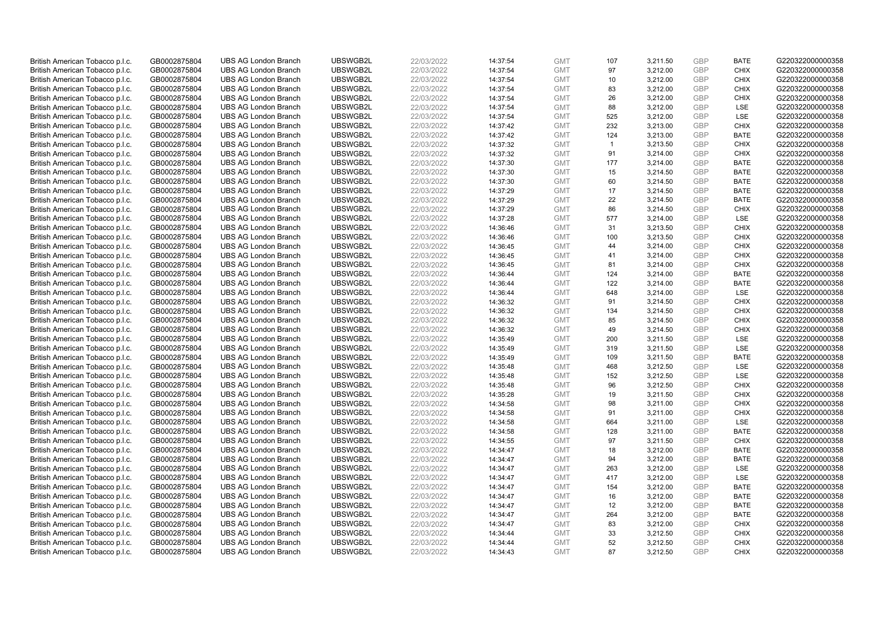| British American Tobacco p.l.c. | GB0002875804 | <b>UBS AG London Branch</b> | UBSWGB2L | 22/03/2022 | 14:37:54 | <b>GMT</b>               | 107          | 3,211.50 | <b>GBP</b>        | <b>BATE</b>         | G220322000000358 |
|---------------------------------|--------------|-----------------------------|----------|------------|----------|--------------------------|--------------|----------|-------------------|---------------------|------------------|
| British American Tobacco p.l.c. | GB0002875804 | <b>UBS AG London Branch</b> | UBSWGB2L | 22/03/2022 | 14:37:54 | <b>GMT</b>               | 97           | 3,212.00 | <b>GBP</b>        | <b>CHIX</b>         | G220322000000358 |
| British American Tobacco p.l.c. | GB0002875804 | <b>UBS AG London Branch</b> | UBSWGB2L | 22/03/2022 | 14:37:54 | <b>GMT</b>               | 10           | 3,212.00 | <b>GBP</b>        | <b>CHIX</b>         | G220322000000358 |
| British American Tobacco p.l.c. | GB0002875804 | <b>UBS AG London Branch</b> | UBSWGB2L | 22/03/2022 | 14:37:54 | <b>GMT</b>               | 83           | 3,212.00 | <b>GBP</b>        | <b>CHIX</b>         | G220322000000358 |
| British American Tobacco p.l.c. | GB0002875804 | <b>UBS AG London Branch</b> | UBSWGB2L | 22/03/2022 | 14:37:54 | <b>GMT</b>               | 26           | 3,212.00 | GBP               | <b>CHIX</b>         | G220322000000358 |
| British American Tobacco p.l.c. | GB0002875804 | <b>UBS AG London Branch</b> | UBSWGB2L | 22/03/2022 | 14:37:54 | <b>GMT</b>               | 88           | 3,212.00 | <b>GBP</b>        | <b>LSE</b>          | G220322000000358 |
| British American Tobacco p.l.c. | GB0002875804 | <b>UBS AG London Branch</b> | UBSWGB2L | 22/03/2022 | 14:37:54 | <b>GMT</b>               | 525          | 3,212.00 | <b>GBP</b>        | LSE                 | G220322000000358 |
| British American Tobacco p.l.c. | GB0002875804 | <b>UBS AG London Branch</b> | UBSWGB2L | 22/03/2022 | 14:37:42 | <b>GMT</b>               | 232          | 3,213.00 | <b>GBP</b>        | <b>CHIX</b>         | G220322000000358 |
| British American Tobacco p.l.c. | GB0002875804 | <b>UBS AG London Branch</b> | UBSWGB2L | 22/03/2022 | 14:37:42 | <b>GMT</b>               | 124          | 3,213.00 | GBP               | <b>BATE</b>         | G220322000000358 |
| British American Tobacco p.l.c. | GB0002875804 | <b>UBS AG London Branch</b> | UBSWGB2L | 22/03/2022 | 14:37:32 | <b>GMT</b>               | $\mathbf{1}$ | 3,213.50 | <b>GBP</b>        | <b>CHIX</b>         | G220322000000358 |
| British American Tobacco p.l.c. | GB0002875804 | <b>UBS AG London Branch</b> | UBSWGB2L | 22/03/2022 | 14:37:32 | <b>GMT</b>               | 91           | 3,214.00 | GBP               | <b>CHIX</b>         | G220322000000358 |
| British American Tobacco p.l.c. | GB0002875804 | <b>UBS AG London Branch</b> | UBSWGB2L | 22/03/2022 | 14:37:30 | <b>GMT</b>               | 177          | 3,214.00 | <b>GBP</b>        | <b>BATE</b>         | G220322000000358 |
| British American Tobacco p.l.c. | GB0002875804 | <b>UBS AG London Branch</b> | UBSWGB2L | 22/03/2022 | 14:37:30 | <b>GMT</b>               | 15           | 3,214.50 | <b>GBP</b>        | <b>BATE</b>         | G220322000000358 |
| British American Tobacco p.l.c. | GB0002875804 | <b>UBS AG London Branch</b> | UBSWGB2L | 22/03/2022 | 14:37:30 | <b>GMT</b>               | 60           | 3,214.50 | <b>GBP</b>        | <b>BATE</b>         | G220322000000358 |
| British American Tobacco p.l.c. | GB0002875804 | <b>UBS AG London Branch</b> | UBSWGB2L | 22/03/2022 | 14:37:29 | <b>GMT</b>               | 17           | 3,214.50 | GBP               | <b>BATE</b>         | G220322000000358 |
| British American Tobacco p.l.c. | GB0002875804 | <b>UBS AG London Branch</b> | UBSWGB2L | 22/03/2022 | 14:37:29 | <b>GMT</b>               | 22           | 3,214.50 | <b>GBP</b>        | <b>BATE</b>         | G220322000000358 |
| British American Tobacco p.l.c. | GB0002875804 | <b>UBS AG London Branch</b> | UBSWGB2L | 22/03/2022 | 14:37:29 | <b>GMT</b>               | 86           | 3,214.50 | <b>GBP</b>        | <b>CHIX</b>         | G220322000000358 |
| British American Tobacco p.l.c. | GB0002875804 | <b>UBS AG London Branch</b> | UBSWGB2L | 22/03/2022 | 14:37:28 | <b>GMT</b>               | 577          | 3,214.00 | <b>GBP</b>        | LSE                 | G220322000000358 |
| British American Tobacco p.l.c. | GB0002875804 | <b>UBS AG London Branch</b> | UBSWGB2L | 22/03/2022 | 14:36:46 | <b>GMT</b>               | 31           | 3,213.50 | <b>GBP</b>        | <b>CHIX</b>         | G220322000000358 |
| British American Tobacco p.l.c. | GB0002875804 | <b>UBS AG London Branch</b> | UBSWGB2L | 22/03/2022 | 14:36:46 | <b>GMT</b>               | 100          | 3,213.50 | <b>GBP</b>        | <b>CHIX</b>         | G220322000000358 |
| British American Tobacco p.l.c. | GB0002875804 | <b>UBS AG London Branch</b> | UBSWGB2L | 22/03/2022 | 14:36:45 | <b>GMT</b>               | 44           | 3,214.00 | <b>GBP</b>        | <b>CHIX</b>         | G220322000000358 |
| British American Tobacco p.l.c. | GB0002875804 | <b>UBS AG London Branch</b> | UBSWGB2L | 22/03/2022 | 14:36:45 | <b>GMT</b>               | 41           | 3,214.00 | <b>GBP</b>        | <b>CHIX</b>         | G220322000000358 |
| British American Tobacco p.l.c. | GB0002875804 | <b>UBS AG London Branch</b> | UBSWGB2L | 22/03/2022 | 14:36:45 | <b>GMT</b>               | 81           | 3,214.00 | <b>GBP</b>        | <b>CHIX</b>         | G220322000000358 |
| British American Tobacco p.l.c. | GB0002875804 | <b>UBS AG London Branch</b> | UBSWGB2L | 22/03/2022 | 14:36:44 | <b>GMT</b>               | 124          | 3,214.00 | GBP               | <b>BATE</b>         | G220322000000358 |
| British American Tobacco p.l.c. | GB0002875804 | <b>UBS AG London Branch</b> | UBSWGB2L | 22/03/2022 | 14:36:44 | <b>GMT</b>               | 122          | 3,214.00 | GBP               | <b>BATE</b>         | G220322000000358 |
| British American Tobacco p.l.c. | GB0002875804 | <b>UBS AG London Branch</b> | UBSWGB2L | 22/03/2022 | 14:36:44 | <b>GMT</b>               | 648          | 3,214.00 | <b>GBP</b>        | <b>LSE</b>          | G220322000000358 |
| British American Tobacco p.l.c. | GB0002875804 | <b>UBS AG London Branch</b> | UBSWGB2L | 22/03/2022 | 14:36:32 | <b>GMT</b>               | 91           | 3,214.50 | <b>GBP</b>        | <b>CHIX</b>         | G220322000000358 |
| British American Tobacco p.l.c. | GB0002875804 | <b>UBS AG London Branch</b> | UBSWGB2L | 22/03/2022 | 14:36:32 | <b>GMT</b>               | 134          | 3,214.50 | <b>GBP</b>        | <b>CHIX</b>         | G220322000000358 |
| British American Tobacco p.l.c. | GB0002875804 | <b>UBS AG London Branch</b> | UBSWGB2L | 22/03/2022 | 14:36:32 | <b>GMT</b>               | 85           | 3,214.50 | GBP               | <b>CHIX</b>         | G220322000000358 |
| British American Tobacco p.l.c. | GB0002875804 | <b>UBS AG London Branch</b> | UBSWGB2L | 22/03/2022 | 14:36:32 | <b>GMT</b>               | 49           | 3,214.50 | <b>GBP</b>        | <b>CHIX</b>         | G220322000000358 |
| British American Tobacco p.l.c. | GB0002875804 | <b>UBS AG London Branch</b> | UBSWGB2L | 22/03/2022 | 14:35:49 | <b>GMT</b>               | 200          | 3,211.50 | <b>GBP</b>        | LSE                 | G220322000000358 |
| British American Tobacco p.l.c. | GB0002875804 | <b>UBS AG London Branch</b> | UBSWGB2L | 22/03/2022 | 14:35:49 | <b>GMT</b>               | 319          | 3,211.50 | <b>GBP</b>        | <b>LSE</b>          | G220322000000358 |
| British American Tobacco p.l.c. | GB0002875804 | <b>UBS AG London Branch</b> | UBSWGB2L | 22/03/2022 | 14:35:49 | <b>GMT</b>               | 109          | 3,211.50 | <b>GBP</b>        | <b>BATE</b>         | G220322000000358 |
| British American Tobacco p.l.c. | GB0002875804 | <b>UBS AG London Branch</b> | UBSWGB2L | 22/03/2022 | 14:35:48 | <b>GMT</b>               | 468          | 3,212.50 | <b>GBP</b>        | LSE                 | G220322000000358 |
| British American Tobacco p.l.c. | GB0002875804 | <b>UBS AG London Branch</b> | UBSWGB2L | 22/03/2022 | 14:35:48 | <b>GMT</b>               | 152          | 3,212.50 | GBP               | LSE                 | G220322000000358 |
| British American Tobacco p.l.c. | GB0002875804 | <b>UBS AG London Branch</b> | UBSWGB2L | 22/03/2022 | 14:35:48 | <b>GMT</b>               | 96           | 3,212.50 | <b>GBP</b>        | <b>CHIX</b>         | G220322000000358 |
| British American Tobacco p.l.c. | GB0002875804 | <b>UBS AG London Branch</b> | UBSWGB2L | 22/03/2022 | 14:35:28 | <b>GMT</b>               | 19           | 3.211.50 | <b>GBP</b>        | <b>CHIX</b>         | G220322000000358 |
| British American Tobacco p.l.c. | GB0002875804 | <b>UBS AG London Branch</b> | UBSWGB2L | 22/03/2022 | 14:34:58 | <b>GMT</b>               | 98           | 3,211.00 | <b>GBP</b>        | <b>CHIX</b>         | G220322000000358 |
| British American Tobacco p.l.c. | GB0002875804 | <b>UBS AG London Branch</b> | UBSWGB2L | 22/03/2022 | 14:34:58 | <b>GMT</b>               | 91           | 3,211.00 | <b>GBP</b>        | <b>CHIX</b>         | G220322000000358 |
| British American Tobacco p.l.c. | GB0002875804 | <b>UBS AG London Branch</b> | UBSWGB2L | 22/03/2022 | 14:34:58 | <b>GMT</b>               | 664          | 3,211.00 | <b>GBP</b>        | LSE                 | G220322000000358 |
| British American Tobacco p.l.c. | GB0002875804 | <b>UBS AG London Branch</b> | UBSWGB2L | 22/03/2022 | 14:34:58 | <b>GMT</b>               | 128          | 3,211.00 | <b>GBP</b>        | <b>BATE</b>         | G220322000000358 |
| British American Tobacco p.l.c. | GB0002875804 | <b>UBS AG London Branch</b> | UBSWGB2L | 22/03/2022 | 14:34:55 | <b>GMT</b>               | 97           | 3,211.50 | <b>GBP</b>        | <b>CHIX</b>         | G220322000000358 |
| British American Tobacco p.l.c. | GB0002875804 | <b>UBS AG London Branch</b> | UBSWGB2L | 22/03/2022 | 14:34:47 | <b>GMT</b>               | 18           | 3,212.00 | <b>GBP</b>        | <b>BATE</b>         | G220322000000358 |
| British American Tobacco p.l.c. | GB0002875804 | <b>UBS AG London Branch</b> | UBSWGB2L | 22/03/2022 | 14:34:47 | <b>GMT</b>               | 94           | 3,212.00 | GBP               | <b>BATE</b>         | G220322000000358 |
| British American Tobacco p.l.c. | GB0002875804 | <b>UBS AG London Branch</b> | UBSWGB2L | 22/03/2022 | 14:34:47 | <b>GMT</b>               | 263          | 3,212.00 | <b>GBP</b>        | LSE                 | G220322000000358 |
| British American Tobacco p.l.c. | GB0002875804 | <b>UBS AG London Branch</b> | UBSWGB2L | 22/03/2022 | 14:34:47 | <b>GMT</b>               | 417          | 3,212.00 | <b>GBP</b>        | LSE                 | G220322000000358 |
| British American Tobacco p.l.c. | GB0002875804 | <b>UBS AG London Branch</b> | UBSWGB2L | 22/03/2022 | 14:34:47 | <b>GMT</b>               | 154          | 3,212.00 | <b>GBP</b>        | <b>BATE</b>         | G220322000000358 |
| British American Tobacco p.l.c. | GB0002875804 | <b>UBS AG London Branch</b> | UBSWGB2L | 22/03/2022 | 14:34:47 | <b>GMT</b>               | 16           | 3,212.00 | <b>GBP</b>        | <b>BATE</b>         | G220322000000358 |
| British American Tobacco p.l.c. | GB0002875804 | <b>UBS AG London Branch</b> | UBSWGB2L | 22/03/2022 | 14:34:47 | <b>GMT</b>               | 12           | 3,212.00 | <b>GBP</b>        | <b>BATE</b>         | G220322000000358 |
| British American Tobacco p.l.c. | GB0002875804 | <b>UBS AG London Branch</b> | UBSWGB2L | 22/03/2022 | 14:34:47 | <b>GMT</b>               | 264          | 3,212.00 | <b>GBP</b>        | <b>BATE</b>         | G220322000000358 |
| British American Tobacco p.l.c. | GB0002875804 | <b>UBS AG London Branch</b> | UBSWGB2L | 22/03/2022 | 14:34:47 | <b>GMT</b>               | 83           | 3,212.00 | <b>GBP</b>        | <b>CHIX</b>         | G220322000000358 |
| British American Tobacco p.l.c. | GB0002875804 | <b>UBS AG London Branch</b> | UBSWGB2L | 22/03/2022 | 14:34:44 | <b>GMT</b>               | 33           | 3,212.50 | <b>GBP</b>        | <b>CHIX</b>         | G220322000000358 |
| British American Tobacco p.l.c. | GB0002875804 | <b>UBS AG London Branch</b> | UBSWGB2L | 22/03/2022 | 14:34:44 | <b>GMT</b><br><b>GMT</b> | 52<br>87     | 3,212.50 | <b>GBP</b><br>GBP | <b>CHIX</b><br>CHIX | G220322000000358 |
| British American Tobacco p.l.c. | GB0002875804 | <b>UBS AG London Branch</b> | UBSWGB2L | 22/03/2022 | 14:34:43 |                          |              | 3,212.50 |                   |                     | G220322000000358 |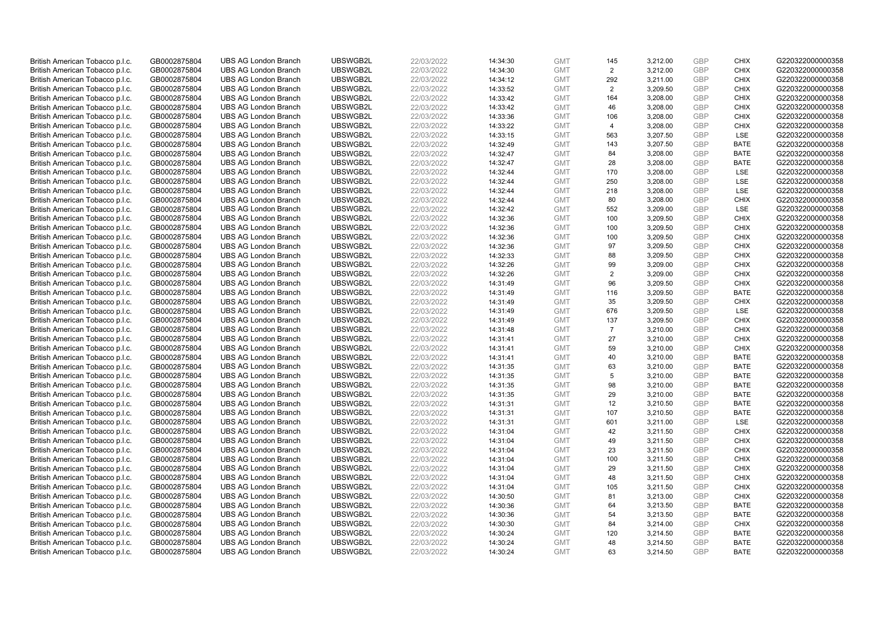| British American Tobacco p.l.c. | GB0002875804 | <b>UBS AG London Branch</b> | UBSWGB2L | 22/03/2022 | 14:34:30 | <b>GMT</b> | 145            | 3,212.00 | <b>GBP</b> | <b>CHIX</b> | G220322000000358 |
|---------------------------------|--------------|-----------------------------|----------|------------|----------|------------|----------------|----------|------------|-------------|------------------|
| British American Tobacco p.l.c. | GB0002875804 | <b>UBS AG London Branch</b> | UBSWGB2L | 22/03/2022 | 14:34:30 | <b>GMT</b> | 2              | 3,212.00 | <b>GBP</b> | CHIX        | G220322000000358 |
| British American Tobacco p.l.c. | GB0002875804 | <b>UBS AG London Branch</b> | UBSWGB2L | 22/03/2022 | 14:34:12 | <b>GMT</b> | 292            | 3,211.00 | <b>GBP</b> | <b>CHIX</b> | G220322000000358 |
| British American Tobacco p.l.c. | GB0002875804 | <b>UBS AG London Branch</b> | UBSWGB2L | 22/03/2022 | 14:33:52 | <b>GMT</b> | $\overline{2}$ | 3,209.50 | <b>GBP</b> | <b>CHIX</b> | G220322000000358 |
| British American Tobacco p.l.c. | GB0002875804 | <b>UBS AG London Branch</b> | UBSWGB2L | 22/03/2022 | 14:33:42 | <b>GMT</b> | 164            | 3,208.00 | <b>GBP</b> | <b>CHIX</b> | G220322000000358 |
| British American Tobacco p.l.c. | GB0002875804 | <b>UBS AG London Branch</b> | UBSWGB2L | 22/03/2022 | 14:33:42 | <b>GMT</b> | 46             | 3,208.00 | <b>GBP</b> | <b>CHIX</b> | G220322000000358 |
| British American Tobacco p.l.c. | GB0002875804 | <b>UBS AG London Branch</b> | UBSWGB2L | 22/03/2022 | 14:33:36 | <b>GMT</b> | 106            | 3,208.00 | GBP        | <b>CHIX</b> | G220322000000358 |
| British American Tobacco p.l.c. | GB0002875804 | <b>UBS AG London Branch</b> | UBSWGB2L | 22/03/2022 | 14:33:22 | <b>GMT</b> | 4              | 3,208.00 | <b>GBP</b> | <b>CHIX</b> | G220322000000358 |
| British American Tobacco p.l.c. | GB0002875804 | <b>UBS AG London Branch</b> | UBSWGB2L | 22/03/2022 | 14:33:15 | <b>GMT</b> | 563            | 3,207.50 | GBP        | LSE         | G220322000000358 |
| British American Tobacco p.l.c. | GB0002875804 | <b>UBS AG London Branch</b> | UBSWGB2L | 22/03/2022 | 14:32:49 | <b>GMT</b> | 143            | 3,207.50 | <b>GBP</b> | <b>BATE</b> | G220322000000358 |
| British American Tobacco p.l.c. | GB0002875804 | <b>UBS AG London Branch</b> | UBSWGB2L | 22/03/2022 | 14:32:47 | <b>GMT</b> | 84             | 3,208.00 | GBP        | <b>BATE</b> | G220322000000358 |
| British American Tobacco p.l.c. | GB0002875804 | <b>UBS AG London Branch</b> | UBSWGB2L | 22/03/2022 | 14:32:47 | <b>GMT</b> | 28             | 3,208.00 | <b>GBP</b> | <b>BATE</b> | G220322000000358 |
| British American Tobacco p.l.c. | GB0002875804 | <b>UBS AG London Branch</b> | UBSWGB2L | 22/03/2022 | 14:32:44 | <b>GMT</b> | 170            | 3,208.00 | <b>GBP</b> | LSE         | G220322000000358 |
| British American Tobacco p.l.c. | GB0002875804 | <b>UBS AG London Branch</b> | UBSWGB2L | 22/03/2022 | 14:32:44 | <b>GMT</b> | 250            | 3,208.00 | <b>GBP</b> | LSE         | G220322000000358 |
| British American Tobacco p.l.c. | GB0002875804 | <b>UBS AG London Branch</b> | UBSWGB2L | 22/03/2022 | 14:32:44 | <b>GMT</b> | 218            | 3,208.00 | GBP        | <b>LSE</b>  | G220322000000358 |
| British American Tobacco p.l.c. | GB0002875804 | <b>UBS AG London Branch</b> | UBSWGB2L | 22/03/2022 | 14:32:44 | <b>GMT</b> | 80             | 3,208.00 | GBP        | <b>CHIX</b> | G220322000000358 |
| British American Tobacco p.l.c. | GB0002875804 | <b>UBS AG London Branch</b> | UBSWGB2L | 22/03/2022 | 14:32:42 | <b>GMT</b> | 552            | 3,209.00 | GBP        | LSE         | G220322000000358 |
| British American Tobacco p.l.c. | GB0002875804 | <b>UBS AG London Branch</b> | UBSWGB2L | 22/03/2022 | 14:32:36 | <b>GMT</b> | 100            | 3,209.50 | <b>GBP</b> | <b>CHIX</b> | G220322000000358 |
| British American Tobacco p.l.c. | GB0002875804 | <b>UBS AG London Branch</b> | UBSWGB2L | 22/03/2022 | 14:32:36 | <b>GMT</b> | 100            | 3,209.50 | <b>GBP</b> | <b>CHIX</b> | G220322000000358 |
| British American Tobacco p.l.c. | GB0002875804 | <b>UBS AG London Branch</b> | UBSWGB2L | 22/03/2022 | 14:32:36 | <b>GMT</b> | 100            | 3,209.50 | <b>GBP</b> | <b>CHIX</b> | G220322000000358 |
| British American Tobacco p.l.c. | GB0002875804 | <b>UBS AG London Branch</b> | UBSWGB2L | 22/03/2022 | 14:32:36 | <b>GMT</b> | 97             | 3,209.50 | <b>GBP</b> | <b>CHIX</b> | G220322000000358 |
| British American Tobacco p.l.c. | GB0002875804 | <b>UBS AG London Branch</b> | UBSWGB2L | 22/03/2022 | 14:32:33 | <b>GMT</b> | 88             | 3,209.50 | GBP        | <b>CHIX</b> | G220322000000358 |
| British American Tobacco p.l.c. | GB0002875804 | <b>UBS AG London Branch</b> | UBSWGB2L | 22/03/2022 | 14:32:26 | <b>GMT</b> | 99             | 3,209.00 | <b>GBP</b> | <b>CHIX</b> | G220322000000358 |
| British American Tobacco p.l.c. | GB0002875804 | <b>UBS AG London Branch</b> | UBSWGB2L | 22/03/2022 | 14:32:26 | <b>GMT</b> | 2              | 3.209.00 | GBP        | <b>CHIX</b> | G220322000000358 |
| British American Tobacco p.l.c. | GB0002875804 | <b>UBS AG London Branch</b> | UBSWGB2L | 22/03/2022 | 14:31:49 | <b>GMT</b> | 96             | 3,209.50 | <b>GBP</b> | <b>CHIX</b> | G220322000000358 |
| British American Tobacco p.l.c. | GB0002875804 | <b>UBS AG London Branch</b> | UBSWGB2L | 22/03/2022 | 14:31:49 | <b>GMT</b> | 116            | 3,209.50 | <b>GBP</b> | <b>BATE</b> | G220322000000358 |
| British American Tobacco p.l.c. | GB0002875804 | <b>UBS AG London Branch</b> | UBSWGB2L | 22/03/2022 | 14:31:49 | <b>GMT</b> | 35             | 3,209.50 | <b>GBP</b> | <b>CHIX</b> | G220322000000358 |
| British American Tobacco p.l.c. | GB0002875804 | <b>UBS AG London Branch</b> | UBSWGB2L | 22/03/2022 | 14:31:49 | <b>GMT</b> | 676            | 3,209.50 | GBP        | LSE         | G220322000000358 |
| British American Tobacco p.l.c. | GB0002875804 | <b>UBS AG London Branch</b> | UBSWGB2L | 22/03/2022 | 14:31:49 | <b>GMT</b> | 137            | 3,209.50 | <b>GBP</b> | <b>CHIX</b> | G220322000000358 |
| British American Tobacco p.l.c. | GB0002875804 | <b>UBS AG London Branch</b> | UBSWGB2L | 22/03/2022 | 14:31:48 | <b>GMT</b> | $\overline{7}$ | 3,210.00 | GBP        | <b>CHIX</b> | G220322000000358 |
| British American Tobacco p.l.c. | GB0002875804 | <b>UBS AG London Branch</b> | UBSWGB2L | 22/03/2022 | 14:31:41 | <b>GMT</b> | 27             | 3,210.00 | <b>GBP</b> | <b>CHIX</b> | G220322000000358 |
| British American Tobacco p.l.c. | GB0002875804 | <b>UBS AG London Branch</b> | UBSWGB2L | 22/03/2022 | 14:31:41 | <b>GMT</b> | 59             | 3,210.00 | GBP        | <b>CHIX</b> | G220322000000358 |
| British American Tobacco p.l.c. | GB0002875804 | <b>UBS AG London Branch</b> | UBSWGB2L | 22/03/2022 | 14:31:41 | <b>GMT</b> | 40             | 3,210.00 | <b>GBP</b> | <b>BATE</b> | G220322000000358 |
| British American Tobacco p.l.c. | GB0002875804 | <b>UBS AG London Branch</b> | UBSWGB2L | 22/03/2022 | 14:31:35 | <b>GMT</b> | 63             | 3,210.00 | <b>GBP</b> | <b>BATE</b> | G220322000000358 |
| British American Tobacco p.l.c. | GB0002875804 | <b>UBS AG London Branch</b> | UBSWGB2L | 22/03/2022 | 14:31:35 | <b>GMT</b> | 5              | 3,210.00 | GBP        | <b>BATE</b> | G220322000000358 |
| British American Tobacco p.l.c. | GB0002875804 | <b>UBS AG London Branch</b> | UBSWGB2L | 22/03/2022 | 14:31:35 | <b>GMT</b> | 98             | 3,210.00 | <b>GBP</b> | <b>BATE</b> | G220322000000358 |
| British American Tobacco p.l.c. | GB0002875804 | <b>UBS AG London Branch</b> | UBSWGB2L | 22/03/2022 | 14:31:35 | <b>GMT</b> | 29             | 3,210.00 | GBP        | <b>BATE</b> | G220322000000358 |
| British American Tobacco p.l.c. | GB0002875804 | <b>UBS AG London Branch</b> | UBSWGB2L | 22/03/2022 | 14:31:31 | <b>GMT</b> | 12             | 3,210.50 | <b>GBP</b> | <b>BATE</b> | G220322000000358 |
| British American Tobacco p.l.c. | GB0002875804 | <b>UBS AG London Branch</b> | UBSWGB2L | 22/03/2022 | 14:31:31 | <b>GMT</b> | 107            | 3,210.50 | GBP        | <b>BATE</b> | G220322000000358 |
| British American Tobacco p.l.c. | GB0002875804 | <b>UBS AG London Branch</b> | UBSWGB2L | 22/03/2022 | 14:31:31 | <b>GMT</b> | 601            | 3,211.00 | <b>GBP</b> | <b>LSE</b>  | G220322000000358 |
| British American Tobacco p.l.c. | GB0002875804 | <b>UBS AG London Branch</b> | UBSWGB2L | 22/03/2022 | 14:31:04 | <b>GMT</b> | 42             | 3,211.50 | GBP        | <b>CHIX</b> | G220322000000358 |
| British American Tobacco p.l.c. | GB0002875804 | <b>UBS AG London Branch</b> | UBSWGB2L | 22/03/2022 | 14:31:04 | <b>GMT</b> | 49             | 3,211.50 | <b>GBP</b> | <b>CHIX</b> | G220322000000358 |
| British American Tobacco p.l.c. | GB0002875804 | <b>UBS AG London Branch</b> | UBSWGB2L | 22/03/2022 | 14:31:04 | <b>GMT</b> | 23             | 3,211.50 | <b>GBP</b> | <b>CHIX</b> | G220322000000358 |
| British American Tobacco p.l.c. | GB0002875804 | <b>UBS AG London Branch</b> | UBSWGB2L | 22/03/2022 | 14:31:04 | <b>GMT</b> | 100            | 3,211.50 | <b>GBP</b> | <b>CHIX</b> | G220322000000358 |
| British American Tobacco p.l.c. | GB0002875804 | <b>UBS AG London Branch</b> | UBSWGB2L | 22/03/2022 | 14:31:04 | <b>GMT</b> | 29             | 3,211.50 | GBP        | <b>CHIX</b> | G220322000000358 |
| British American Tobacco p.l.c. | GB0002875804 | <b>UBS AG London Branch</b> | UBSWGB2L | 22/03/2022 | 14:31:04 | <b>GMT</b> | 48             | 3,211.50 | <b>GBP</b> | <b>CHIX</b> | G220322000000358 |
| British American Tobacco p.l.c. | GB0002875804 | <b>UBS AG London Branch</b> | UBSWGB2L | 22/03/2022 | 14:31:04 | <b>GMT</b> | 105            | 3,211.50 | <b>GBP</b> | <b>CHIX</b> | G220322000000358 |
| British American Tobacco p.l.c. | GB0002875804 | <b>UBS AG London Branch</b> | UBSWGB2L | 22/03/2022 | 14:30:50 | <b>GMT</b> | 81             | 3,213.00 | GBP        | <b>CHIX</b> | G220322000000358 |
| British American Tobacco p.l.c. | GB0002875804 | <b>UBS AG London Branch</b> | UBSWGB2L | 22/03/2022 | 14:30:36 | <b>GMT</b> | 64             | 3,213.50 | <b>GBP</b> | <b>BATE</b> | G220322000000358 |
| British American Tobacco p.l.c. | GB0002875804 | <b>UBS AG London Branch</b> | UBSWGB2L | 22/03/2022 | 14:30:36 | <b>GMT</b> | 54             | 3,213.50 | GBP        | <b>BATE</b> | G220322000000358 |
| British American Tobacco p.l.c. | GB0002875804 | <b>UBS AG London Branch</b> | UBSWGB2L | 22/03/2022 | 14:30:30 | <b>GMT</b> | 84             | 3,214.00 | <b>GBP</b> | <b>CHIX</b> | G220322000000358 |
| British American Tobacco p.l.c. | GB0002875804 | <b>UBS AG London Branch</b> | UBSWGB2L | 22/03/2022 | 14:30:24 | <b>GMT</b> | 120            | 3,214.50 | <b>GBP</b> | <b>BATE</b> | G220322000000358 |
| British American Tobacco p.l.c. | GB0002875804 | <b>UBS AG London Branch</b> | UBSWGB2L | 22/03/2022 | 14:30:24 | <b>GMT</b> | 48             | 3,214.50 | <b>GBP</b> | <b>BATE</b> | G220322000000358 |
| British American Tobacco p.l.c. | GB0002875804 | <b>UBS AG London Branch</b> | UBSWGB2L | 22/03/2022 | 14:30:24 | <b>GMT</b> | 63             | 3.214.50 | GBP        | <b>BATE</b> | G220322000000358 |
|                                 |              |                             |          |            |          |            |                |          |            |             |                  |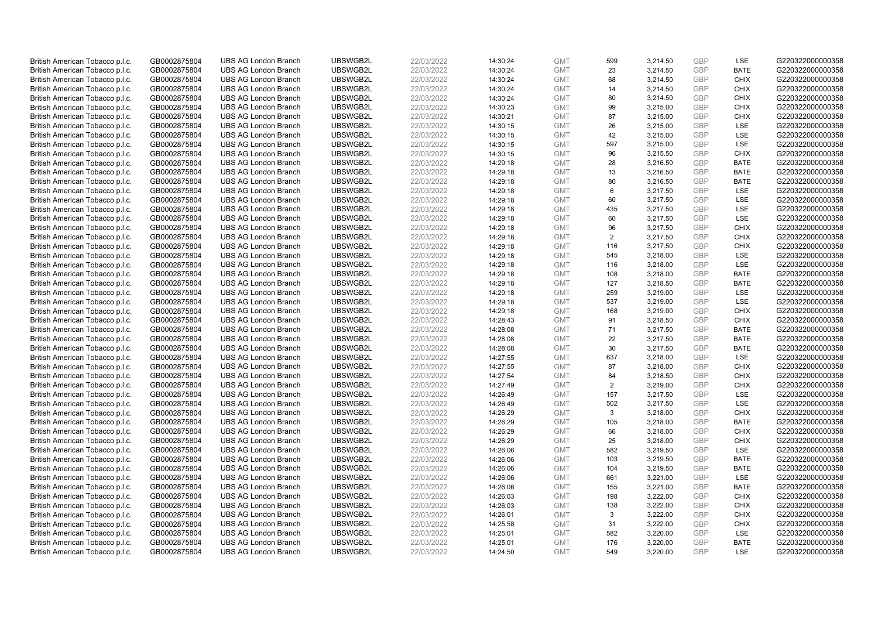| British American Tobacco p.l.c. | GB0002875804 | <b>UBS AG London Branch</b> | UBSWGB2L | 22/03/2022 | 14:30:24 | <b>GMT</b> | 599 | 3,214.50 | <b>GBP</b> | LSE         | G220322000000358 |
|---------------------------------|--------------|-----------------------------|----------|------------|----------|------------|-----|----------|------------|-------------|------------------|
| British American Tobacco p.l.c. | GB0002875804 | <b>UBS AG London Branch</b> | UBSWGB2L | 22/03/2022 | 14:30:24 | <b>GMT</b> | 23  | 3,214.50 | <b>GBP</b> | <b>BATE</b> | G220322000000358 |
| British American Tobacco p.l.c. | GB0002875804 | <b>UBS AG London Branch</b> | UBSWGB2L | 22/03/2022 | 14:30:24 | <b>GMT</b> | 68  | 3,214.50 | GBP        | <b>CHIX</b> | G220322000000358 |
| British American Tobacco p.l.c. | GB0002875804 | <b>UBS AG London Branch</b> | UBSWGB2L | 22/03/2022 | 14:30:24 | <b>GMT</b> | 14  | 3,214.50 | <b>GBP</b> | <b>CHIX</b> | G220322000000358 |
| British American Tobacco p.l.c. | GB0002875804 | <b>UBS AG London Branch</b> | UBSWGB2L | 22/03/2022 | 14:30:24 | <b>GMT</b> | 80  | 3,214.50 | <b>GBP</b> | <b>CHIX</b> | G220322000000358 |
| British American Tobacco p.l.c. | GB0002875804 | <b>UBS AG London Branch</b> | UBSWGB2L | 22/03/2022 | 14:30:23 | <b>GMT</b> | 99  | 3,215.00 | <b>GBP</b> | <b>CHIX</b> | G220322000000358 |
| British American Tobacco p.l.c. | GB0002875804 | <b>UBS AG London Branch</b> | UBSWGB2L | 22/03/2022 | 14:30:21 | <b>GMT</b> | 87  | 3,215.00 | <b>GBP</b> | <b>CHIX</b> | G220322000000358 |
| British American Tobacco p.l.c. | GB0002875804 | <b>UBS AG London Branch</b> | UBSWGB2L | 22/03/2022 | 14:30:15 | <b>GMT</b> | 26  | 3,215.00 | <b>GBP</b> | LSE         | G220322000000358 |
| British American Tobacco p.l.c. | GB0002875804 | <b>UBS AG London Branch</b> | UBSWGB2L | 22/03/2022 | 14:30:15 | <b>GMT</b> | 42  | 3,215.00 | GBP        | LSE         | G220322000000358 |
| British American Tobacco p.l.c. | GB0002875804 | <b>UBS AG London Branch</b> | UBSWGB2L | 22/03/2022 | 14:30:15 | <b>GMT</b> | 597 | 3,215.00 | <b>GBP</b> | LSE         | G220322000000358 |
| British American Tobacco p.l.c. | GB0002875804 | <b>UBS AG London Branch</b> | UBSWGB2L | 22/03/2022 | 14:30:15 | <b>GMT</b> | 96  | 3,215.50 | GBP        | CHIX        | G220322000000358 |
| British American Tobacco p.l.c. | GB0002875804 | <b>UBS AG London Branch</b> | UBSWGB2L | 22/03/2022 | 14:29:18 | <b>GMT</b> | 28  | 3,216.50 | <b>GBP</b> | <b>BATE</b> | G220322000000358 |
| British American Tobacco p.l.c. | GB0002875804 | <b>UBS AG London Branch</b> | UBSWGB2L | 22/03/2022 | 14:29:18 | <b>GMT</b> | 13  | 3,216.50 | <b>GBP</b> | <b>BATE</b> | G220322000000358 |
| British American Tobacco p.l.c. | GB0002875804 | <b>UBS AG London Branch</b> | UBSWGB2L | 22/03/2022 | 14:29:18 | <b>GMT</b> | 80  | 3,216.50 | <b>GBP</b> | <b>BATE</b> | G220322000000358 |
| British American Tobacco p.l.c. | GB0002875804 | <b>UBS AG London Branch</b> | UBSWGB2L | 22/03/2022 | 14:29:18 | <b>GMT</b> | 6   | 3,217.50 | <b>GBP</b> | <b>LSE</b>  | G220322000000358 |
| British American Tobacco p.l.c. | GB0002875804 | <b>UBS AG London Branch</b> | UBSWGB2L | 22/03/2022 | 14:29:18 | <b>GMT</b> | 60  | 3,217.50 | <b>GBP</b> | LSE         | G220322000000358 |
| British American Tobacco p.l.c. | GB0002875804 | <b>UBS AG London Branch</b> | UBSWGB2L | 22/03/2022 | 14:29:18 | <b>GMT</b> | 435 | 3,217.50 | <b>GBP</b> | LSE         | G220322000000358 |
| British American Tobacco p.l.c. | GB0002875804 | <b>UBS AG London Branch</b> | UBSWGB2L | 22/03/2022 | 14:29:18 | <b>GMT</b> | 60  | 3,217.50 | <b>GBP</b> | LSE         | G220322000000358 |
| British American Tobacco p.l.c. | GB0002875804 | <b>UBS AG London Branch</b> | UBSWGB2L | 22/03/2022 | 14:29:18 | <b>GMT</b> | 96  | 3,217.50 | <b>GBP</b> | <b>CHIX</b> | G220322000000358 |
| British American Tobacco p.l.c. | GB0002875804 | <b>UBS AG London Branch</b> | UBSWGB2L | 22/03/2022 | 14:29:18 | <b>GMT</b> | 2   | 3,217.50 | <b>GBP</b> | <b>CHIX</b> | G220322000000358 |
| British American Tobacco p.l.c. | GB0002875804 | <b>UBS AG London Branch</b> | UBSWGB2L | 22/03/2022 | 14:29:18 | <b>GMT</b> | 116 | 3,217.50 | <b>GBP</b> | <b>CHIX</b> | G220322000000358 |
| British American Tobacco p.l.c. | GB0002875804 | <b>UBS AG London Branch</b> | UBSWGB2L | 22/03/2022 | 14:29:18 | <b>GMT</b> | 545 | 3,218.00 | <b>GBP</b> | LSE         | G220322000000358 |
| British American Tobacco p.l.c. | GB0002875804 | <b>UBS AG London Branch</b> | UBSWGB2L | 22/03/2022 | 14:29:18 | <b>GMT</b> | 116 | 3,218.00 | <b>GBP</b> | LSE         | G220322000000358 |
| British American Tobacco p.l.c. | GB0002875804 | <b>UBS AG London Branch</b> | UBSWGB2L | 22/03/2022 | 14:29:18 | <b>GMT</b> | 108 | 3,218.00 | GBP        | <b>BATE</b> | G220322000000358 |
| British American Tobacco p.l.c. | GB0002875804 | <b>UBS AG London Branch</b> | UBSWGB2L | 22/03/2022 | 14:29:18 | <b>GMT</b> | 127 | 3,218.50 | GBP        | <b>BATE</b> | G220322000000358 |
| British American Tobacco p.l.c. | GB0002875804 | <b>UBS AG London Branch</b> | UBSWGB2L | 22/03/2022 | 14:29:18 | <b>GMT</b> | 259 | 3,219.00 | <b>GBP</b> | <b>LSE</b>  | G220322000000358 |
| British American Tobacco p.l.c. | GB0002875804 | <b>UBS AG London Branch</b> | UBSWGB2L | 22/03/2022 | 14:29:18 | <b>GMT</b> | 537 | 3,219.00 | <b>GBP</b> | LSE         | G220322000000358 |
| British American Tobacco p.l.c. | GB0002875804 | <b>UBS AG London Branch</b> | UBSWGB2L | 22/03/2022 | 14:29:18 | <b>GMT</b> | 168 | 3,219.00 | <b>GBP</b> | <b>CHIX</b> | G220322000000358 |
| British American Tobacco p.l.c. | GB0002875804 | <b>UBS AG London Branch</b> | UBSWGB2L | 22/03/2022 | 14:28:43 | <b>GMT</b> | 91  | 3,218.50 | GBP        | <b>CHIX</b> | G220322000000358 |
| British American Tobacco p.l.c. | GB0002875804 | <b>UBS AG London Branch</b> | UBSWGB2L | 22/03/2022 | 14:28:08 | <b>GMT</b> | 71  | 3,217.50 | <b>GBP</b> | <b>BATE</b> | G220322000000358 |
| British American Tobacco p.l.c. | GB0002875804 | <b>UBS AG London Branch</b> | UBSWGB2L | 22/03/2022 | 14:28:08 | <b>GMT</b> | 22  | 3,217.50 | GBP        | <b>BATE</b> | G220322000000358 |
| British American Tobacco p.l.c. | GB0002875804 | <b>UBS AG London Branch</b> | UBSWGB2L | 22/03/2022 | 14:28:08 | <b>GMT</b> | 30  | 3,217.50 | <b>GBP</b> | <b>BATE</b> | G220322000000358 |
| British American Tobacco p.l.c. | GB0002875804 | <b>UBS AG London Branch</b> | UBSWGB2L | 22/03/2022 | 14:27:55 | <b>GMT</b> | 637 | 3,218.00 | GBP        | <b>LSE</b>  | G220322000000358 |
| British American Tobacco p.l.c. | GB0002875804 | <b>UBS AG London Branch</b> | UBSWGB2L | 22/03/2022 | 14:27:55 | <b>GMT</b> | 87  | 3,218.00 | <b>GBP</b> | <b>CHIX</b> | G220322000000358 |
| British American Tobacco p.l.c. | GB0002875804 | <b>UBS AG London Branch</b> | UBSWGB2L | 22/03/2022 | 14:27:54 | <b>GMT</b> | 84  | 3,218.50 | GBP        | <b>CHIX</b> | G220322000000358 |
| British American Tobacco p.l.c. | GB0002875804 | <b>UBS AG London Branch</b> | UBSWGB2L | 22/03/2022 | 14:27:49 | <b>GMT</b> | 2   | 3,219.00 | <b>GBP</b> | <b>CHIX</b> | G220322000000358 |
| British American Tobacco p.l.c. | GB0002875804 | <b>UBS AG London Branch</b> | UBSWGB2L | 22/03/2022 | 14:26:49 | <b>GMT</b> | 157 | 3.217.50 | GBP        | <b>LSE</b>  | G220322000000358 |
| British American Tobacco p.l.c. | GB0002875804 | <b>UBS AG London Branch</b> | UBSWGB2L | 22/03/2022 | 14:26:49 | <b>GMT</b> | 502 | 3,217.50 | <b>GBP</b> | LSE         | G220322000000358 |
| British American Tobacco p.l.c. | GB0002875804 | <b>UBS AG London Branch</b> | UBSWGB2L | 22/03/2022 | 14:26:29 | <b>GMT</b> | 3   | 3,218.00 | <b>GBP</b> | <b>CHIX</b> | G220322000000358 |
| British American Tobacco p.l.c. | GB0002875804 | <b>UBS AG London Branch</b> | UBSWGB2L | 22/03/2022 | 14:26:29 | <b>GMT</b> | 105 | 3,218.00 | <b>GBP</b> | <b>BATE</b> | G220322000000358 |
| British American Tobacco p.l.c. | GB0002875804 | <b>UBS AG London Branch</b> | UBSWGB2L | 22/03/2022 | 14:26:29 | <b>GMT</b> | 66  | 3,218.00 | <b>GBP</b> | <b>CHIX</b> | G220322000000358 |
| British American Tobacco p.l.c. | GB0002875804 | <b>UBS AG London Branch</b> | UBSWGB2L | 22/03/2022 | 14:26:29 | <b>GMT</b> | 25  | 3,218.00 | <b>GBP</b> | <b>CHIX</b> | G220322000000358 |
| British American Tobacco p.l.c. | GB0002875804 | <b>UBS AG London Branch</b> | UBSWGB2L | 22/03/2022 | 14:26:06 | <b>GMT</b> | 582 | 3,219.50 | <b>GBP</b> | LSE         | G220322000000358 |
| British American Tobacco p.l.c. | GB0002875804 | <b>UBS AG London Branch</b> | UBSWGB2L | 22/03/2022 | 14:26:06 | <b>GMT</b> | 103 | 3,219.50 | <b>GBP</b> | <b>BATE</b> | G220322000000358 |
| British American Tobacco p.l.c. | GB0002875804 | <b>UBS AG London Branch</b> | UBSWGB2L | 22/03/2022 | 14:26:06 | <b>GMT</b> | 104 | 3,219.50 | <b>GBP</b> | <b>BATE</b> | G220322000000358 |
| British American Tobacco p.l.c. | GB0002875804 | <b>UBS AG London Branch</b> | UBSWGB2L | 22/03/2022 | 14:26:06 | <b>GMT</b> | 661 | 3,221.00 | <b>GBP</b> | LSE         | G220322000000358 |
| British American Tobacco p.l.c. | GB0002875804 | <b>UBS AG London Branch</b> | UBSWGB2L | 22/03/2022 | 14:26:06 | <b>GMT</b> | 155 | 3,221.00 | <b>GBP</b> | <b>BATE</b> | G220322000000358 |
| British American Tobacco p.l.c. | GB0002875804 | <b>UBS AG London Branch</b> | UBSWGB2L | 22/03/2022 | 14:26:03 | <b>GMT</b> | 198 | 3,222.00 | <b>GBP</b> | <b>CHIX</b> | G220322000000358 |
| British American Tobacco p.l.c. | GB0002875804 | <b>UBS AG London Branch</b> | UBSWGB2L | 22/03/2022 | 14:26:03 | <b>GMT</b> | 138 | 3,222.00 | <b>GBP</b> | <b>CHIX</b> | G220322000000358 |
| British American Tobacco p.l.c. | GB0002875804 | <b>UBS AG London Branch</b> | UBSWGB2L | 22/03/2022 | 14:26:01 | <b>GMT</b> | 3   | 3,222.00 | <b>GBP</b> | <b>CHIX</b> | G220322000000358 |
| British American Tobacco p.l.c. | GB0002875804 | <b>UBS AG London Branch</b> | UBSWGB2L | 22/03/2022 | 14:25:58 | <b>GMT</b> | 31  | 3,222.00 | <b>GBP</b> | <b>CHIX</b> | G220322000000358 |
| British American Tobacco p.l.c. | GB0002875804 | <b>UBS AG London Branch</b> | UBSWGB2L | 22/03/2022 | 14:25:01 | <b>GMT</b> | 582 | 3,220.00 | <b>GBP</b> | <b>LSE</b>  | G220322000000358 |
| British American Tobacco p.l.c. | GB0002875804 | <b>UBS AG London Branch</b> | UBSWGB2L | 22/03/2022 | 14:25:01 | <b>GMT</b> | 176 | 3,220.00 | <b>GBP</b> | <b>BATE</b> | G220322000000358 |
| British American Tobacco p.l.c. | GB0002875804 | <b>UBS AG London Branch</b> | UBSWGB2L | 22/03/2022 | 14:24:50 | <b>GMT</b> | 549 | 3,220.00 | GBP        | <b>LSE</b>  | G220322000000358 |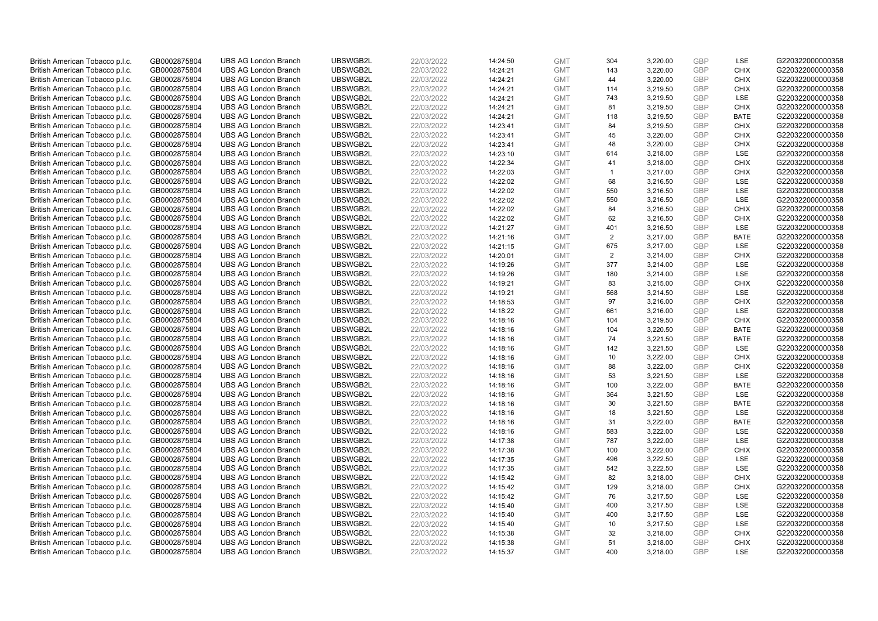| British American Tobacco p.l.c.                                    | GB0002875804                 | <b>UBS AG London Branch</b>                                | UBSWGB2L             | 22/03/2022               | 14:24:50             | <b>GMT</b>               | 304          | 3,220.00             | <b>GBP</b>        | LSE                | G220322000000358                     |
|--------------------------------------------------------------------|------------------------------|------------------------------------------------------------|----------------------|--------------------------|----------------------|--------------------------|--------------|----------------------|-------------------|--------------------|--------------------------------------|
| British American Tobacco p.l.c.                                    | GB0002875804                 | <b>UBS AG London Branch</b>                                | UBSWGB2L             | 22/03/2022               | 14:24:21             | <b>GMT</b>               | 143          | 3,220.00             | GBP               | <b>CHIX</b>        | G220322000000358                     |
| British American Tobacco p.l.c.                                    | GB0002875804                 | <b>UBS AG London Branch</b>                                | UBSWGB2L             | 22/03/2022               | 14:24:21             | <b>GMT</b>               | 44           | 3,220.00             | <b>GBP</b>        | <b>CHIX</b>        | G220322000000358                     |
| British American Tobacco p.l.c.                                    | GB0002875804                 | <b>UBS AG London Branch</b>                                | UBSWGB2L             | 22/03/2022               | 14:24:21             | <b>GMT</b>               | 114          | 3,219.50             | <b>GBP</b>        | <b>CHIX</b>        | G220322000000358                     |
| British American Tobacco p.l.c.                                    | GB0002875804                 | <b>UBS AG London Branch</b>                                | UBSWGB2L             | 22/03/2022               | 14:24:21             | <b>GMT</b>               | 743          | 3,219.50             | <b>GBP</b>        | <b>LSE</b>         | G220322000000358                     |
| British American Tobacco p.l.c.                                    | GB0002875804                 | <b>UBS AG London Branch</b>                                | UBSWGB2L             | 22/03/2022               | 14:24:21             | <b>GMT</b>               | 81           | 3,219.50             | <b>GBP</b>        | <b>CHIX</b>        | G220322000000358                     |
| British American Tobacco p.l.c.                                    | GB0002875804                 | <b>UBS AG London Branch</b>                                | UBSWGB2L             | 22/03/2022               | 14:24:21             | <b>GMT</b>               | 118          | 3,219.50             | <b>GBP</b>        | <b>BATE</b>        | G220322000000358                     |
| British American Tobacco p.l.c.                                    | GB0002875804                 | <b>UBS AG London Branch</b>                                | UBSWGB2L             | 22/03/2022               | 14:23:41             | <b>GMT</b>               | 84           | 3,219.50             | <b>GBP</b>        | <b>CHIX</b>        | G220322000000358                     |
| British American Tobacco p.l.c.                                    | GB0002875804                 | <b>UBS AG London Branch</b>                                | UBSWGB2L             | 22/03/2022               | 14:23:41             | <b>GMT</b>               | 45           | 3,220.00             | <b>GBP</b>        | <b>CHIX</b>        | G220322000000358                     |
| British American Tobacco p.l.c.                                    | GB0002875804                 | <b>UBS AG London Branch</b>                                | UBSWGB2L             | 22/03/2022               | 14:23:41             | <b>GMT</b>               | 48           | 3,220.00             | <b>GBP</b>        | <b>CHIX</b>        | G220322000000358                     |
| British American Tobacco p.l.c.                                    | GB0002875804                 | <b>UBS AG London Branch</b>                                | UBSWGB2L             | 22/03/2022               | 14:23:10             | <b>GMT</b>               | 614          | 3,218.00             | GBP               | <b>LSE</b>         | G220322000000358                     |
| British American Tobacco p.l.c.                                    | GB0002875804                 | <b>UBS AG London Branch</b>                                | UBSWGB2L             | 22/03/2022               | 14:22:34             | <b>GMT</b>               | 41           | 3,218.00             | <b>GBP</b>        | <b>CHIX</b>        | G220322000000358                     |
| British American Tobacco p.l.c.                                    | GB0002875804                 | <b>UBS AG London Branch</b>                                | UBSWGB2L             | 22/03/2022               | 14:22:03             | <b>GMT</b>               | $\mathbf{1}$ | 3,217.00             | <b>GBP</b>        | <b>CHIX</b>        | G220322000000358                     |
| British American Tobacco p.l.c.                                    | GB0002875804                 | <b>UBS AG London Branch</b>                                | UBSWGB2L             | 22/03/2022               | 14:22:02             | <b>GMT</b>               | 68           | 3,216.50             | <b>GBP</b><br>GBP | <b>LSE</b>         | G220322000000358                     |
| British American Tobacco p.l.c.                                    | GB0002875804                 | <b>UBS AG London Branch</b>                                | UBSWGB2L             | 22/03/2022               | 14:22:02             | <b>GMT</b>               | 550          | 3,216.50             |                   | LSE                | G220322000000358                     |
| British American Tobacco p.l.c.                                    | GB0002875804                 | <b>UBS AG London Branch</b>                                | UBSWGB2L             | 22/03/2022               | 14:22:02             | <b>GMT</b>               | 550          | 3,216.50             | GBP<br><b>GBP</b> | LSE                | G220322000000358                     |
| British American Tobacco p.l.c.                                    | GB0002875804                 | <b>UBS AG London Branch</b>                                | UBSWGB2L             | 22/03/2022               | 14:22:02             | <b>GMT</b>               | 84           | 3,216.50             |                   | <b>CHIX</b>        | G220322000000358                     |
| British American Tobacco p.l.c.                                    | GB0002875804                 | <b>UBS AG London Branch</b>                                | UBSWGB2L             | 22/03/2022               | 14:22:02             | <b>GMT</b>               | 62           | 3,216.50             | <b>GBP</b>        | <b>CHIX</b>        | G220322000000358                     |
| British American Tobacco p.l.c.                                    | GB0002875804                 | <b>UBS AG London Branch</b>                                | UBSWGB2L             | 22/03/2022               | 14:21:27             | <b>GMT</b>               | 401          | 3,216.50             | <b>GBP</b>        | <b>LSE</b>         | G220322000000358                     |
| British American Tobacco p.l.c.                                    | GB0002875804                 | <b>UBS AG London Branch</b>                                | UBSWGB2L             | 22/03/2022               | 14:21:16             | <b>GMT</b>               | 2            | 3,217.00             | <b>GBP</b>        | <b>BATE</b>        | G220322000000358                     |
| British American Tobacco p.l.c.                                    | GB0002875804                 | <b>UBS AG London Branch</b>                                | UBSWGB2L<br>UBSWGB2L | 22/03/2022<br>22/03/2022 | 14:21:15<br>14:20:01 | <b>GMT</b>               | 675<br>2     | 3,217.00             | <b>GBP</b><br>GBP | LSE<br><b>CHIX</b> | G220322000000358<br>G220322000000358 |
| British American Tobacco p.l.c.                                    | GB0002875804                 | <b>UBS AG London Branch</b>                                |                      |                          |                      | <b>GMT</b>               |              | 3,214.00             | <b>GBP</b>        |                    |                                      |
| British American Tobacco p.l.c.<br>British American Tobacco p.l.c. | GB0002875804<br>GB0002875804 | <b>UBS AG London Branch</b><br><b>UBS AG London Branch</b> | UBSWGB2L<br>UBSWGB2L | 22/03/2022<br>22/03/2022 | 14:19:26             | <b>GMT</b><br><b>GMT</b> | 377<br>180   | 3,214.00             | GBP               | LSE<br><b>LSE</b>  | G220322000000358<br>G220322000000358 |
|                                                                    |                              | <b>UBS AG London Branch</b>                                | UBSWGB2L             | 22/03/2022               | 14:19:26             |                          | 83           | 3,214.00<br>3,215.00 | <b>GBP</b>        | <b>CHIX</b>        |                                      |
| British American Tobacco p.l.c.<br>British American Tobacco p.l.c. | GB0002875804<br>GB0002875804 | <b>UBS AG London Branch</b>                                | UBSWGB2L             | 22/03/2022               | 14:19:21<br>14:19:21 | <b>GMT</b><br><b>GMT</b> | 568          | 3,214.50             | <b>GBP</b>        | LSE                | G220322000000358<br>G220322000000358 |
| British American Tobacco p.l.c.                                    | GB0002875804                 | <b>UBS AG London Branch</b>                                | UBSWGB2L             | 22/03/2022               | 14:18:53             | <b>GMT</b>               | 97           | 3,216.00             | <b>GBP</b>        | <b>CHIX</b>        | G220322000000358                     |
| British American Tobacco p.l.c.                                    | GB0002875804                 | <b>UBS AG London Branch</b>                                | UBSWGB2L             | 22/03/2022               | 14:18:22             | <b>GMT</b>               | 661          | 3,216.00             | GBP               | LSE                | G220322000000358                     |
| British American Tobacco p.l.c.                                    | GB0002875804                 | <b>UBS AG London Branch</b>                                | UBSWGB2L             | 22/03/2022               | 14:18:16             | <b>GMT</b>               | 104          | 3,219.50             | <b>GBP</b>        | <b>CHIX</b>        | G220322000000358                     |
| British American Tobacco p.l.c.                                    | GB0002875804                 | <b>UBS AG London Branch</b>                                | UBSWGB2L             | 22/03/2022               | 14:18:16             | <b>GMT</b>               | 104          | 3,220.50             | GBP               | <b>BATE</b>        | G220322000000358                     |
| British American Tobacco p.l.c.                                    | GB0002875804                 | <b>UBS AG London Branch</b>                                | UBSWGB2L             | 22/03/2022               | 14:18:16             | <b>GMT</b>               | 74           | 3,221.50             | <b>GBP</b>        | <b>BATE</b>        | G220322000000358                     |
| British American Tobacco p.l.c.                                    | GB0002875804                 | <b>UBS AG London Branch</b>                                | UBSWGB2L             | 22/03/2022               | 14:18:16             | <b>GMT</b>               | 142          | 3,221.50             | GBP               | <b>LSE</b>         | G220322000000358                     |
| British American Tobacco p.l.c.                                    | GB0002875804                 | <b>UBS AG London Branch</b>                                | UBSWGB2L             | 22/03/2022               | 14:18:16             | <b>GMT</b>               | 10           | 3,222.00             | <b>GBP</b>        | <b>CHIX</b>        | G220322000000358                     |
| British American Tobacco p.l.c.                                    | GB0002875804                 | <b>UBS AG London Branch</b>                                | UBSWGB2L             | 22/03/2022               | 14:18:16             | <b>GMT</b>               | 88           | 3,222.00             | <b>GBP</b>        | <b>CHIX</b>        | G220322000000358                     |
| British American Tobacco p.l.c.                                    | GB0002875804                 | <b>UBS AG London Branch</b>                                | UBSWGB2L             | 22/03/2022               | 14:18:16             | <b>GMT</b>               | 53           | 3,221.50             | GBP               | LSE                | G220322000000358                     |
| British American Tobacco p.l.c.                                    | GB0002875804                 | <b>UBS AG London Branch</b>                                | UBSWGB2L             | 22/03/2022               | 14:18:16             | <b>GMT</b>               | 100          | 3,222.00             | <b>GBP</b>        | <b>BATE</b>        | G220322000000358                     |
| British American Tobacco p.l.c.                                    | GB0002875804                 | <b>UBS AG London Branch</b>                                | UBSWGB2L             | 22/03/2022               | 14:18:16             | <b>GMT</b>               | 364          | 3,221.50             | GBP               | <b>LSE</b>         | G220322000000358                     |
| British American Tobacco p.l.c.                                    | GB0002875804                 | <b>UBS AG London Branch</b>                                | UBSWGB2L             | 22/03/2022               | 14:18:16             | <b>GMT</b>               | 30           | 3,221.50             | <b>GBP</b>        | <b>BATE</b>        | G220322000000358                     |
| British American Tobacco p.l.c.                                    | GB0002875804                 | <b>UBS AG London Branch</b>                                | UBSWGB2L             | 22/03/2022               | 14:18:16             | <b>GMT</b>               | 18           | 3,221.50             | <b>GBP</b>        | LSE                | G220322000000358                     |
| British American Tobacco p.l.c.                                    | GB0002875804                 | <b>UBS AG London Branch</b>                                | UBSWGB2L             | 22/03/2022               | 14:18:16             | <b>GMT</b>               | 31           | 3,222.00             | <b>GBP</b>        | <b>BATE</b>        | G220322000000358                     |
| British American Tobacco p.l.c.                                    | GB0002875804                 | <b>UBS AG London Branch</b>                                | UBSWGB2L             | 22/03/2022               | 14:18:16             | <b>GMT</b>               | 583          | 3,222.00             | GBP               | LSE                | G220322000000358                     |
| British American Tobacco p.l.c.                                    | GB0002875804                 | <b>UBS AG London Branch</b>                                | UBSWGB2L             | 22/03/2022               | 14:17:38             | <b>GMT</b>               | 787          | 3,222.00             | <b>GBP</b>        | LSE                | G220322000000358                     |
| British American Tobacco p.l.c.                                    | GB0002875804                 | <b>UBS AG London Branch</b>                                | UBSWGB2L             | 22/03/2022               | 14:17:38             | <b>GMT</b>               | 100          | 3,222.00             | <b>GBP</b>        | <b>CHIX</b>        | G220322000000358                     |
| British American Tobacco p.l.c.                                    | GB0002875804                 | <b>UBS AG London Branch</b>                                | UBSWGB2L             | 22/03/2022               | 14:17:35             | <b>GMT</b>               | 496          | 3,222.50             | <b>GBP</b>        | LSE                | G220322000000358                     |
| British American Tobacco p.l.c.                                    | GB0002875804                 | <b>UBS AG London Branch</b>                                | UBSWGB2L             | 22/03/2022               | 14:17:35             | <b>GMT</b>               | 542          | 3,222.50             | <b>GBP</b>        | LSE                | G220322000000358                     |
| British American Tobacco p.l.c.                                    | GB0002875804                 | <b>UBS AG London Branch</b>                                | UBSWGB2L             | 22/03/2022               | 14:15:42             | <b>GMT</b>               | 82           | 3,218.00             | <b>GBP</b>        | <b>CHIX</b>        | G220322000000358                     |
| British American Tobacco p.l.c.                                    | GB0002875804                 | <b>UBS AG London Branch</b>                                | UBSWGB2L             | 22/03/2022               | 14:15:42             | <b>GMT</b>               | 129          | 3,218.00             | <b>GBP</b>        | <b>CHIX</b>        | G220322000000358                     |
| British American Tobacco p.l.c.                                    | GB0002875804                 | <b>UBS AG London Branch</b>                                | UBSWGB2L             | 22/03/2022               | 14:15:42             | <b>GMT</b>               | 76           | 3,217.50             | <b>GBP</b>        | LSE                | G220322000000358                     |
| British American Tobacco p.l.c.                                    | GB0002875804                 | <b>UBS AG London Branch</b>                                | UBSWGB2L             | 22/03/2022               | 14:15:40             | <b>GMT</b>               | 400          | 3,217.50             | <b>GBP</b>        | LSE                | G220322000000358                     |
| British American Tobacco p.l.c.                                    | GB0002875804                 | <b>UBS AG London Branch</b>                                | UBSWGB2L             | 22/03/2022               | 14:15:40             | <b>GMT</b>               | 400          | 3,217.50             | <b>GBP</b>        | LSE                | G220322000000358                     |
| British American Tobacco p.l.c.                                    | GB0002875804                 | <b>UBS AG London Branch</b>                                | UBSWGB2L             | 22/03/2022               | 14:15:40             | <b>GMT</b>               | 10           | 3,217.50             | <b>GBP</b>        | LSE                | G220322000000358                     |
| British American Tobacco p.l.c.                                    | GB0002875804                 | <b>UBS AG London Branch</b>                                | UBSWGB2L             | 22/03/2022               | 14:15:38             | <b>GMT</b>               | 32           | 3,218.00             | <b>GBP</b>        | <b>CHIX</b>        | G220322000000358                     |
| British American Tobacco p.l.c.                                    | GB0002875804                 | <b>UBS AG London Branch</b>                                | UBSWGB2L             | 22/03/2022               | 14:15:38             | <b>GMT</b>               | 51           | 3,218.00             | <b>GBP</b>        | <b>CHIX</b>        | G220322000000358                     |
| British American Tobacco p.l.c.                                    | GB0002875804                 | <b>UBS AG London Branch</b>                                | UBSWGB2L             | 22/03/2022               | 14:15:37             | <b>GMT</b>               | 400          | 3.218.00             | GBP               | <b>LSE</b>         | G220322000000358                     |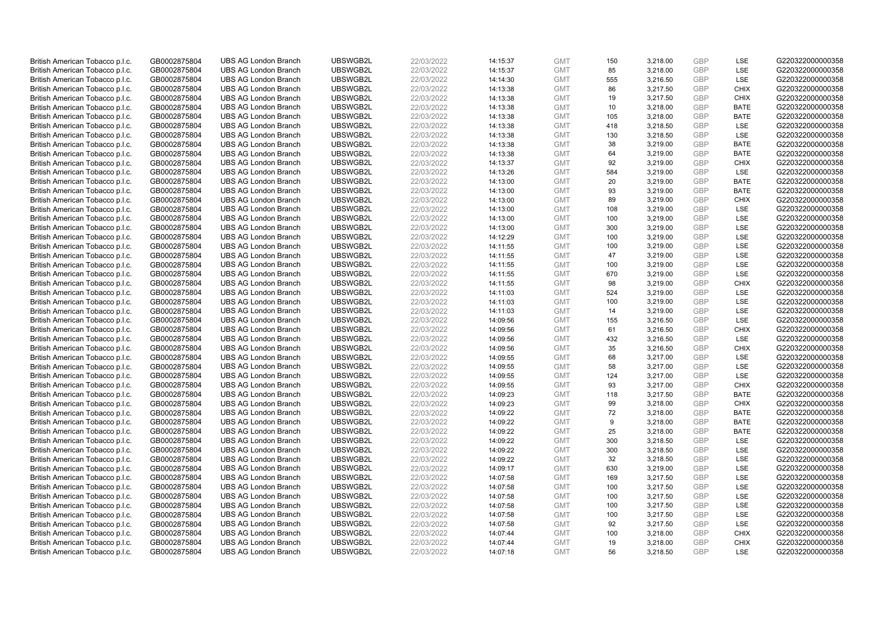| British American Tobacco p.l.c. | GB0002875804 | <b>UBS AG London Branch</b> | UBSWGB2L | 22/03/2022 | 14:15:37 | <b>GMT</b> | 150 | 3,218.00 | <b>GBP</b> | LSE         | G220322000000358 |
|---------------------------------|--------------|-----------------------------|----------|------------|----------|------------|-----|----------|------------|-------------|------------------|
| British American Tobacco p.l.c. | GB0002875804 | <b>UBS AG London Branch</b> | UBSWGB2L | 22/03/2022 | 14:15:37 | <b>GMT</b> | 85  | 3,218.00 | GBP        | LSE         | G220322000000358 |
| British American Tobacco p.l.c. | GB0002875804 | <b>UBS AG London Branch</b> | UBSWGB2L | 22/03/2022 | 14:14:30 | <b>GMT</b> | 555 | 3,216.50 | <b>GBP</b> | LSE         | G220322000000358 |
| British American Tobacco p.l.c. | GB0002875804 | <b>UBS AG London Branch</b> | UBSWGB2L | 22/03/2022 | 14:13:38 | <b>GMT</b> | 86  | 3,217.50 | <b>GBP</b> | <b>CHIX</b> | G220322000000358 |
| British American Tobacco p.l.c. | GB0002875804 | <b>UBS AG London Branch</b> | UBSWGB2L | 22/03/2022 | 14:13:38 | <b>GMT</b> | 19  | 3,217.50 | <b>GBP</b> | <b>CHIX</b> | G220322000000358 |
| British American Tobacco p.l.c. | GB0002875804 | <b>UBS AG London Branch</b> | UBSWGB2L | 22/03/2022 | 14:13:38 | <b>GMT</b> | 10  | 3,218.00 | <b>GBP</b> | <b>BATE</b> | G220322000000358 |
| British American Tobacco p.l.c. | GB0002875804 | <b>UBS AG London Branch</b> | UBSWGB2L | 22/03/2022 | 14:13:38 | <b>GMT</b> | 105 | 3,218.00 | <b>GBP</b> | <b>BATE</b> | G220322000000358 |
| British American Tobacco p.l.c. | GB0002875804 | <b>UBS AG London Branch</b> | UBSWGB2L | 22/03/2022 | 14:13:38 | <b>GMT</b> | 418 | 3,218.50 | <b>GBP</b> | LSE         | G220322000000358 |
| British American Tobacco p.l.c. | GB0002875804 | <b>UBS AG London Branch</b> | UBSWGB2L | 22/03/2022 | 14:13:38 | <b>GMT</b> | 130 | 3,218.50 | <b>GBP</b> | LSE         | G220322000000358 |
| British American Tobacco p.l.c. | GB0002875804 | <b>UBS AG London Branch</b> | UBSWGB2L | 22/03/2022 | 14:13:38 | <b>GMT</b> | 38  | 3,219.00 | <b>GBP</b> | <b>BATE</b> | G220322000000358 |
| British American Tobacco p.l.c. | GB0002875804 | <b>UBS AG London Branch</b> | UBSWGB2L | 22/03/2022 | 14:13:38 | <b>GMT</b> | 64  | 3,219.00 | <b>GBP</b> | <b>BATE</b> | G220322000000358 |
| British American Tobacco p.l.c. | GB0002875804 | <b>UBS AG London Branch</b> | UBSWGB2L | 22/03/2022 | 14:13:37 | <b>GMT</b> | 92  | 3,219.00 | <b>GBP</b> | <b>CHIX</b> | G220322000000358 |
| British American Tobacco p.l.c. | GB0002875804 | <b>UBS AG London Branch</b> | UBSWGB2L | 22/03/2022 | 14:13:26 | <b>GMT</b> | 584 | 3,219.00 | <b>GBP</b> | LSE         | G220322000000358 |
| British American Tobacco p.l.c. | GB0002875804 | <b>UBS AG London Branch</b> | UBSWGB2L | 22/03/2022 | 14:13:00 | <b>GMT</b> | 20  | 3,219.00 | <b>GBP</b> | <b>BATE</b> | G220322000000358 |
| British American Tobacco p.l.c. | GB0002875804 | <b>UBS AG London Branch</b> | UBSWGB2L | 22/03/2022 | 14:13:00 | <b>GMT</b> | 93  | 3,219.00 | <b>GBP</b> | <b>BATE</b> | G220322000000358 |
| British American Tobacco p.l.c. | GB0002875804 | <b>UBS AG London Branch</b> | UBSWGB2L | 22/03/2022 | 14:13:00 | <b>GMT</b> | 89  | 3,219.00 | <b>GBP</b> | <b>CHIX</b> | G220322000000358 |
| British American Tobacco p.l.c. | GB0002875804 | <b>UBS AG London Branch</b> | UBSWGB2L | 22/03/2022 | 14:13:00 | <b>GMT</b> | 108 | 3,219.00 | <b>GBP</b> | LSE         | G220322000000358 |
| British American Tobacco p.l.c. | GB0002875804 | <b>UBS AG London Branch</b> | UBSWGB2L | 22/03/2022 | 14:13:00 | <b>GMT</b> | 100 | 3,219.00 | <b>GBP</b> | LSE         | G220322000000358 |
| British American Tobacco p.l.c. | GB0002875804 | <b>UBS AG London Branch</b> | UBSWGB2L | 22/03/2022 | 14:13:00 | <b>GMT</b> | 300 | 3,219.00 | <b>GBP</b> | LSE         | G220322000000358 |
| British American Tobacco p.l.c. | GB0002875804 | <b>UBS AG London Branch</b> | UBSWGB2L | 22/03/2022 | 14:12:29 | <b>GMT</b> | 100 | 3,219.00 | <b>GBP</b> | LSE         | G220322000000358 |
| British American Tobacco p.l.c. | GB0002875804 | <b>UBS AG London Branch</b> | UBSWGB2L | 22/03/2022 | 14:11:55 | <b>GMT</b> | 100 | 3,219.00 | <b>GBP</b> | LSE         | G220322000000358 |
| British American Tobacco p.l.c. | GB0002875804 | <b>UBS AG London Branch</b> | UBSWGB2L | 22/03/2022 | 14:11:55 | <b>GMT</b> | 47  | 3,219.00 | <b>GBP</b> | LSE         | G220322000000358 |
| British American Tobacco p.l.c. | GB0002875804 | <b>UBS AG London Branch</b> | UBSWGB2L | 22/03/2022 | 14:11:55 | <b>GMT</b> | 100 | 3,219.00 | <b>GBP</b> | LSE         | G220322000000358 |
| British American Tobacco p.l.c. | GB0002875804 | <b>UBS AG London Branch</b> | UBSWGB2L | 22/03/2022 | 14:11:55 | <b>GMT</b> | 670 | 3,219.00 | <b>GBP</b> | LSE         | G220322000000358 |
| British American Tobacco p.l.c. | GB0002875804 | <b>UBS AG London Branch</b> | UBSWGB2L | 22/03/2022 | 14:11:55 | <b>GMT</b> | 98  | 3,219.00 | <b>GBP</b> | <b>CHIX</b> | G220322000000358 |
| British American Tobacco p.l.c. | GB0002875804 | <b>UBS AG London Branch</b> | UBSWGB2L | 22/03/2022 | 14:11:03 | <b>GMT</b> | 524 | 3,219.00 | <b>GBP</b> | LSE         | G220322000000358 |
| British American Tobacco p.l.c. | GB0002875804 | <b>UBS AG London Branch</b> | UBSWGB2L | 22/03/2022 | 14:11:03 | <b>GMT</b> | 100 | 3,219.00 | <b>GBP</b> | LSE         | G220322000000358 |
| British American Tobacco p.l.c. | GB0002875804 | <b>UBS AG London Branch</b> | UBSWGB2L | 22/03/2022 | 14:11:03 | <b>GMT</b> | 14  | 3,219.00 | <b>GBP</b> | LSE         | G220322000000358 |
| British American Tobacco p.l.c. | GB0002875804 | <b>UBS AG London Branch</b> | UBSWGB2L | 22/03/2022 | 14:09:56 | <b>GMT</b> | 155 | 3,216.50 | <b>GBP</b> | LSE         | G220322000000358 |
| British American Tobacco p.l.c. | GB0002875804 | <b>UBS AG London Branch</b> | UBSWGB2L | 22/03/2022 | 14:09:56 | <b>GMT</b> | 61  | 3,216.50 | <b>GBP</b> | <b>CHIX</b> | G220322000000358 |
| British American Tobacco p.l.c. | GB0002875804 | <b>UBS AG London Branch</b> | UBSWGB2L | 22/03/2022 | 14:09:56 | <b>GMT</b> | 432 | 3,216.50 | <b>GBP</b> | LSE         | G220322000000358 |
| British American Tobacco p.l.c. | GB0002875804 | <b>UBS AG London Branch</b> | UBSWGB2L | 22/03/2022 | 14:09:56 | <b>GMT</b> | 35  | 3,216.50 | <b>GBP</b> | <b>CHIX</b> | G220322000000358 |
| British American Tobacco p.l.c. | GB0002875804 | <b>UBS AG London Branch</b> | UBSWGB2L | 22/03/2022 | 14:09:55 | <b>GMT</b> | 68  | 3,217.00 | <b>GBP</b> | LSE         | G220322000000358 |
| British American Tobacco p.l.c. | GB0002875804 | <b>UBS AG London Branch</b> | UBSWGB2L | 22/03/2022 | 14:09:55 | <b>GMT</b> | 58  | 3,217.00 | <b>GBP</b> | LSE         | G220322000000358 |
| British American Tobacco p.l.c. | GB0002875804 | UBS AG London Branch        | UBSWGB2L | 22/03/2022 | 14:09:55 | <b>GMT</b> | 124 | 3,217.00 | <b>GBP</b> | LSE         | G220322000000358 |
| British American Tobacco p.l.c. | GB0002875804 | <b>UBS AG London Branch</b> | UBSWGB2L | 22/03/2022 | 14:09:55 | <b>GMT</b> | 93  | 3,217.00 | <b>GBP</b> | <b>CHIX</b> | G220322000000358 |
| British American Tobacco p.l.c. | GB0002875804 | <b>UBS AG London Branch</b> | UBSWGB2L | 22/03/2022 | 14:09:23 | <b>GMT</b> | 118 | 3,217.50 | <b>GBP</b> | <b>BATE</b> | G220322000000358 |
| British American Tobacco p.l.c. | GB0002875804 | <b>UBS AG London Branch</b> | UBSWGB2L | 22/03/2022 | 14:09:23 | <b>GMT</b> | 99  | 3,218.00 | <b>GBP</b> | <b>CHIX</b> | G220322000000358 |
| British American Tobacco p.l.c. | GB0002875804 | <b>UBS AG London Branch</b> | UBSWGB2L | 22/03/2022 | 14:09:22 | <b>GMT</b> | 72  | 3,218.00 | <b>GBP</b> | <b>BATE</b> | G220322000000358 |
| British American Tobacco p.l.c. | GB0002875804 | <b>UBS AG London Branch</b> | UBSWGB2L | 22/03/2022 | 14:09:22 | <b>GMT</b> | 9   | 3,218.00 | <b>GBP</b> | <b>BATE</b> | G220322000000358 |
| British American Tobacco p.l.c. | GB0002875804 | <b>UBS AG London Branch</b> | UBSWGB2L | 22/03/2022 | 14:09:22 | <b>GMT</b> | 25  | 3,218.00 | <b>GBP</b> | <b>BATE</b> | G220322000000358 |
| British American Tobacco p.l.c. | GB0002875804 | <b>UBS AG London Branch</b> | UBSWGB2L | 22/03/2022 | 14:09:22 | <b>GMT</b> | 300 | 3,218.50 | <b>GBP</b> | LSE         | G220322000000358 |
| British American Tobacco p.l.c. | GB0002875804 | <b>UBS AG London Branch</b> | UBSWGB2L | 22/03/2022 | 14:09:22 | <b>GMT</b> | 300 | 3,218.50 | <b>GBP</b> | LSE         | G220322000000358 |
| British American Tobacco p.l.c. | GB0002875804 | <b>UBS AG London Branch</b> | UBSWGB2L | 22/03/2022 | 14:09:22 | <b>GMT</b> | 32  | 3,218.50 | <b>GBP</b> | LSE         | G220322000000358 |
| British American Tobacco p.l.c. | GB0002875804 | <b>UBS AG London Branch</b> | UBSWGB2L | 22/03/2022 | 14:09:17 | <b>GMT</b> | 630 | 3,219.00 | <b>GBP</b> | LSE         | G220322000000358 |
| British American Tobacco p.l.c. | GB0002875804 | <b>UBS AG London Branch</b> | UBSWGB2L | 22/03/2022 | 14:07:58 | <b>GMT</b> | 169 | 3,217.50 | <b>GBP</b> | <b>LSE</b>  | G220322000000358 |
| British American Tobacco p.l.c. | GB0002875804 | <b>UBS AG London Branch</b> | UBSWGB2L | 22/03/2022 | 14:07:58 | <b>GMT</b> | 100 | 3,217.50 | <b>GBP</b> | LSE         | G220322000000358 |
| British American Tobacco p.l.c. | GB0002875804 | <b>UBS AG London Branch</b> | UBSWGB2L | 22/03/2022 | 14:07:58 | <b>GMT</b> | 100 | 3,217.50 | <b>GBP</b> | LSE         | G220322000000358 |
| British American Tobacco p.l.c. | GB0002875804 | <b>UBS AG London Branch</b> | UBSWGB2L | 22/03/2022 | 14:07:58 | <b>GMT</b> | 100 | 3,217.50 | <b>GBP</b> | LSE         | G220322000000358 |
| British American Tobacco p.l.c. | GB0002875804 | <b>UBS AG London Branch</b> | UBSWGB2L | 22/03/2022 | 14:07:58 | <b>GMT</b> | 100 | 3,217.50 | <b>GBP</b> | LSE         | G220322000000358 |
| British American Tobacco p.l.c. | GB0002875804 | <b>UBS AG London Branch</b> | UBSWGB2L | 22/03/2022 | 14:07:58 | <b>GMT</b> | 92  | 3,217.50 | <b>GBP</b> | LSE         | G220322000000358 |
| British American Tobacco p.l.c. | GB0002875804 | <b>UBS AG London Branch</b> | UBSWGB2L | 22/03/2022 | 14:07:44 | <b>GMT</b> | 100 | 3,218.00 | <b>GBP</b> | <b>CHIX</b> | G220322000000358 |
| British American Tobacco p.l.c. | GB0002875804 | <b>UBS AG London Branch</b> | UBSWGB2L | 22/03/2022 | 14:07:44 | <b>GMT</b> | 19  | 3,218.00 | <b>GBP</b> | <b>CHIX</b> | G220322000000358 |
| British American Tobacco p.l.c. | GB0002875804 | <b>UBS AG London Branch</b> | UBSWGB2L | 22/03/2022 | 14:07:18 | <b>GMT</b> | 56  | 3,218.50 | GBP        | <b>LSE</b>  | G220322000000358 |
|                                 |              |                             |          |            |          |            |     |          |            |             |                  |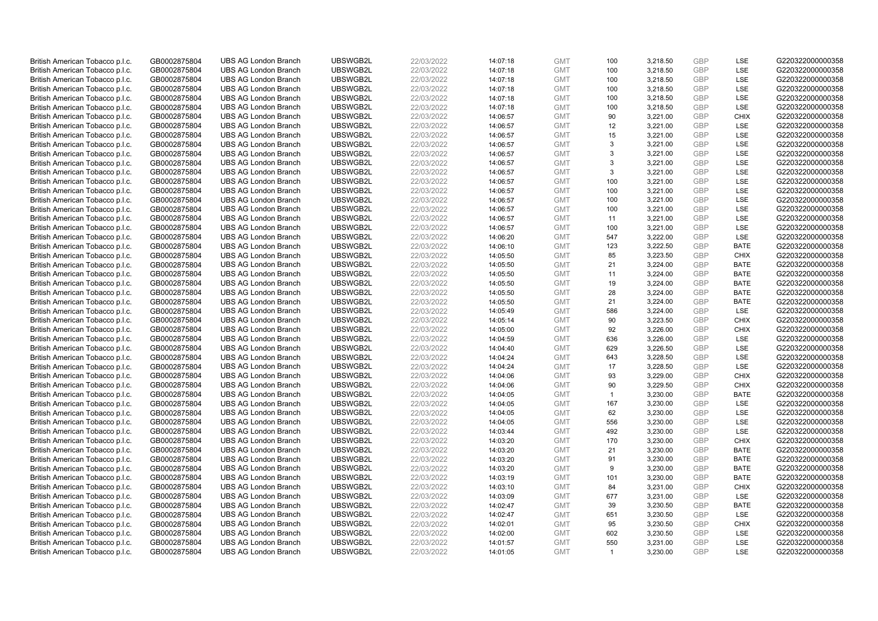| British American Tobacco p.l.c. | GB0002875804 | <b>UBS AG London Branch</b> | UBSWGB2L | 22/03/2022 |          | <b>GMT</b> | 100            | 3,218.50 | <b>GBP</b> | LSE         | G220322000000358 |
|---------------------------------|--------------|-----------------------------|----------|------------|----------|------------|----------------|----------|------------|-------------|------------------|
|                                 |              |                             |          |            | 14:07:18 |            | 100            |          | GBP        | <b>LSE</b>  |                  |
| British American Tobacco p.l.c. | GB0002875804 | <b>UBS AG London Branch</b> | UBSWGB2L | 22/03/2022 | 14:07:18 | <b>GMT</b> |                | 3,218.50 |            |             | G220322000000358 |
| British American Tobacco p.l.c. | GB0002875804 | <b>UBS AG London Branch</b> | UBSWGB2L | 22/03/2022 | 14:07:18 | <b>GMT</b> | 100            | 3,218.50 | <b>GBP</b> | LSE         | G220322000000358 |
| British American Tobacco p.l.c. | GB0002875804 | <b>UBS AG London Branch</b> | UBSWGB2L | 22/03/2022 | 14:07:18 | <b>GMT</b> | 100            | 3,218.50 | <b>GBP</b> | LSE         | G220322000000358 |
| British American Tobacco p.l.c. | GB0002875804 | <b>UBS AG London Branch</b> | UBSWGB2L | 22/03/2022 | 14:07:18 | <b>GMT</b> | 100            | 3,218.50 | <b>GBP</b> | LSE         | G220322000000358 |
| British American Tobacco p.l.c. | GB0002875804 | <b>UBS AG London Branch</b> | UBSWGB2L | 22/03/2022 | 14:07:18 | <b>GMT</b> | 100            | 3,218.50 | <b>GBP</b> | LSE         | G220322000000358 |
| British American Tobacco p.l.c. | GB0002875804 | <b>UBS AG London Branch</b> | UBSWGB2L | 22/03/2022 | 14:06:57 | <b>GMT</b> | 90             | 3,221.00 | <b>GBP</b> | <b>CHIX</b> | G220322000000358 |
| British American Tobacco p.l.c. | GB0002875804 | <b>UBS AG London Branch</b> | UBSWGB2L | 22/03/2022 | 14:06:57 | <b>GMT</b> | 12             | 3,221.00 | <b>GBP</b> | LSE         | G220322000000358 |
| British American Tobacco p.l.c. | GB0002875804 | <b>UBS AG London Branch</b> | UBSWGB2L | 22/03/2022 | 14:06:57 | <b>GMT</b> | 15             | 3,221.00 | <b>GBP</b> | LSE         | G220322000000358 |
| British American Tobacco p.l.c. | GB0002875804 | <b>UBS AG London Branch</b> | UBSWGB2L | 22/03/2022 | 14:06:57 | <b>GMT</b> | 3              | 3,221.00 | <b>GBP</b> | LSE         | G220322000000358 |
| British American Tobacco p.l.c. | GB0002875804 | <b>UBS AG London Branch</b> | UBSWGB2L | 22/03/2022 | 14:06:57 | <b>GMT</b> | 3              | 3,221.00 | <b>GBP</b> | LSE         | G220322000000358 |
| British American Tobacco p.l.c. | GB0002875804 | <b>UBS AG London Branch</b> | UBSWGB2L | 22/03/2022 | 14:06:57 | <b>GMT</b> | 3              | 3,221.00 | <b>GBP</b> | LSE         | G220322000000358 |
| British American Tobacco p.l.c. | GB0002875804 | <b>UBS AG London Branch</b> | UBSWGB2L | 22/03/2022 | 14:06:57 | <b>GMT</b> | 3              | 3,221.00 | <b>GBP</b> | LSE         | G220322000000358 |
| British American Tobacco p.l.c. | GB0002875804 | <b>UBS AG London Branch</b> | UBSWGB2L | 22/03/2022 | 14:06:57 | <b>GMT</b> | 100            | 3,221.00 | <b>GBP</b> | LSE         | G220322000000358 |
| British American Tobacco p.l.c. | GB0002875804 | <b>UBS AG London Branch</b> | UBSWGB2L | 22/03/2022 | 14:06:57 | <b>GMT</b> | 100            | 3,221.00 | GBP        | LSE         | G220322000000358 |
| British American Tobacco p.l.c. | GB0002875804 | <b>UBS AG London Branch</b> | UBSWGB2L | 22/03/2022 | 14:06:57 | <b>GMT</b> | 100            | 3,221.00 | <b>GBP</b> | LSE         | G220322000000358 |
| British American Tobacco p.l.c. | GB0002875804 | <b>UBS AG London Branch</b> | UBSWGB2L | 22/03/2022 | 14:06:57 | <b>GMT</b> | 100            | 3,221.00 | <b>GBP</b> | LSE         | G220322000000358 |
| British American Tobacco p.l.c. | GB0002875804 | <b>UBS AG London Branch</b> | UBSWGB2L | 22/03/2022 | 14:06:57 | <b>GMT</b> | 11             | 3,221.00 | <b>GBP</b> | LSE         | G220322000000358 |
| British American Tobacco p.l.c. | GB0002875804 | <b>UBS AG London Branch</b> | UBSWGB2L | 22/03/2022 | 14:06:57 | <b>GMT</b> | 100            | 3,221.00 | <b>GBP</b> | <b>LSE</b>  | G220322000000358 |
| British American Tobacco p.l.c. | GB0002875804 | <b>UBS AG London Branch</b> | UBSWGB2L | 22/03/2022 | 14:06:20 | <b>GMT</b> | 547            | 3,222.00 | <b>GBP</b> | LSE         | G220322000000358 |
| British American Tobacco p.l.c. | GB0002875804 | <b>UBS AG London Branch</b> | UBSWGB2L | 22/03/2022 | 14:06:10 | <b>GMT</b> | 123            | 3,222.50 | <b>GBP</b> | <b>BATE</b> | G220322000000358 |
| British American Tobacco p.l.c. | GB0002875804 | <b>UBS AG London Branch</b> | UBSWGB2L | 22/03/2022 | 14:05:50 | <b>GMT</b> | 85             | 3,223.50 | <b>GBP</b> | <b>CHIX</b> | G220322000000358 |
| British American Tobacco p.l.c. | GB0002875804 | <b>UBS AG London Branch</b> | UBSWGB2L | 22/03/2022 | 14:05:50 | <b>GMT</b> | 21             | 3,224.00 | <b>GBP</b> | <b>BATE</b> | G220322000000358 |
| British American Tobacco p.l.c. | GB0002875804 | <b>UBS AG London Branch</b> | UBSWGB2L | 22/03/2022 | 14:05:50 | <b>GMT</b> | 11             | 3,224.00 | <b>GBP</b> | <b>BATE</b> | G220322000000358 |
| British American Tobacco p.l.c. | GB0002875804 | <b>UBS AG London Branch</b> | UBSWGB2L | 22/03/2022 | 14:05:50 | <b>GMT</b> | 19             | 3,224.00 | <b>GBP</b> | <b>BATE</b> | G220322000000358 |
| British American Tobacco p.l.c. | GB0002875804 | <b>UBS AG London Branch</b> | UBSWGB2L | 22/03/2022 | 14:05:50 | <b>GMT</b> | 28             | 3,224.00 | <b>GBP</b> | <b>BATE</b> | G220322000000358 |
| British American Tobacco p.l.c. | GB0002875804 | <b>UBS AG London Branch</b> | UBSWGB2L | 22/03/2022 | 14:05:50 | <b>GMT</b> | 21             | 3,224.00 | <b>GBP</b> | <b>BATE</b> | G220322000000358 |
| British American Tobacco p.l.c. | GB0002875804 | <b>UBS AG London Branch</b> | UBSWGB2L | 22/03/2022 | 14:05:49 | <b>GMT</b> | 586            | 3,224.00 | <b>GBP</b> | LSE         | G220322000000358 |
| British American Tobacco p.l.c. | GB0002875804 | <b>UBS AG London Branch</b> | UBSWGB2L | 22/03/2022 | 14:05:14 | <b>GMT</b> | 90             | 3,223.50 | <b>GBP</b> | <b>CHIX</b> | G220322000000358 |
| British American Tobacco p.l.c. | GB0002875804 | <b>UBS AG London Branch</b> | UBSWGB2L | 22/03/2022 | 14:05:00 | <b>GMT</b> | 92             | 3,226.00 | <b>GBP</b> | <b>CHIX</b> | G220322000000358 |
| British American Tobacco p.l.c. | GB0002875804 | <b>UBS AG London Branch</b> | UBSWGB2L | 22/03/2022 | 14:04:59 | <b>GMT</b> | 636            | 3,226.00 | <b>GBP</b> | LSE         | G220322000000358 |
| British American Tobacco p.l.c. | GB0002875804 | <b>UBS AG London Branch</b> | UBSWGB2L | 22/03/2022 | 14:04:40 | <b>GMT</b> | 629            | 3,226.50 | <b>GBP</b> | LSE         | G220322000000358 |
| British American Tobacco p.l.c. | GB0002875804 | <b>UBS AG London Branch</b> | UBSWGB2L | 22/03/2022 | 14:04:24 | <b>GMT</b> | 643            | 3,228.50 | <b>GBP</b> | LSE         | G220322000000358 |
| British American Tobacco p.l.c. | GB0002875804 | <b>UBS AG London Branch</b> | UBSWGB2L | 22/03/2022 | 14:04:24 | <b>GMT</b> | 17             | 3,228.50 | <b>GBP</b> | LSE         | G220322000000358 |
| British American Tobacco p.l.c. | GB0002875804 | <b>UBS AG London Branch</b> | UBSWGB2L | 22/03/2022 | 14:04:06 | <b>GMT</b> | 93             | 3,229.00 | <b>GBP</b> | <b>CHIX</b> | G220322000000358 |
| British American Tobacco p.l.c. | GB0002875804 | <b>UBS AG London Branch</b> | UBSWGB2L | 22/03/2022 | 14:04:06 | <b>GMT</b> | 90             | 3,229.50 | <b>GBP</b> | <b>CHIX</b> | G220322000000358 |
| British American Tobacco p.l.c. | GB0002875804 | <b>UBS AG London Branch</b> | UBSWGB2L | 22/03/2022 | 14:04:05 | <b>GMT</b> | $\mathbf{1}$   | 3,230.00 | <b>GBP</b> | <b>BATE</b> | G220322000000358 |
| British American Tobacco p.l.c. | GB0002875804 | <b>UBS AG London Branch</b> | UBSWGB2L | 22/03/2022 | 14:04:05 | <b>GMT</b> | 167            | 3,230.00 | <b>GBP</b> | LSE         | G220322000000358 |
| British American Tobacco p.l.c. | GB0002875804 | <b>UBS AG London Branch</b> | UBSWGB2L | 22/03/2022 | 14:04:05 | <b>GMT</b> | 62             | 3,230.00 | <b>GBP</b> | LSE         | G220322000000358 |
| British American Tobacco p.l.c. | GB0002875804 | <b>UBS AG London Branch</b> | UBSWGB2L | 22/03/2022 | 14:04:05 | <b>GMT</b> | 556            | 3,230.00 | <b>GBP</b> | LSE         | G220322000000358 |
| British American Tobacco p.l.c. | GB0002875804 | <b>UBS AG London Branch</b> | UBSWGB2L | 22/03/2022 | 14:03:44 | <b>GMT</b> | 492            | 3,230.00 | <b>GBP</b> | LSE         | G220322000000358 |
| British American Tobacco p.l.c. | GB0002875804 | <b>UBS AG London Branch</b> | UBSWGB2L | 22/03/2022 | 14:03:20 | <b>GMT</b> | 170            | 3,230.00 | <b>GBP</b> | <b>CHIX</b> | G220322000000358 |
| British American Tobacco p.l.c. | GB0002875804 | <b>UBS AG London Branch</b> | UBSWGB2L | 22/03/2022 | 14:03:20 | <b>GMT</b> | 21             | 3,230.00 | <b>GBP</b> | <b>BATE</b> | G220322000000358 |
| British American Tobacco p.l.c. | GB0002875804 | <b>UBS AG London Branch</b> | UBSWGB2L | 22/03/2022 | 14:03:20 | <b>GMT</b> | 91             | 3,230.00 | <b>GBP</b> | <b>BATE</b> | G220322000000358 |
| British American Tobacco p.l.c. | GB0002875804 | <b>UBS AG London Branch</b> | UBSWGB2L | 22/03/2022 | 14:03:20 | <b>GMT</b> | 9              | 3,230.00 | <b>GBP</b> | <b>BATE</b> | G220322000000358 |
| British American Tobacco p.l.c. | GB0002875804 | <b>UBS AG London Branch</b> | UBSWGB2L | 22/03/2022 | 14:03:19 | <b>GMT</b> | 101            | 3,230.00 | <b>GBP</b> | <b>BATE</b> | G220322000000358 |
| British American Tobacco p.l.c. | GB0002875804 | <b>UBS AG London Branch</b> | UBSWGB2L | 22/03/2022 | 14:03:10 | <b>GMT</b> | 84             | 3,231.00 | <b>GBP</b> | <b>CHIX</b> | G220322000000358 |
| British American Tobacco p.l.c. | GB0002875804 | <b>UBS AG London Branch</b> | UBSWGB2L | 22/03/2022 | 14:03:09 | <b>GMT</b> | 677            | 3,231.00 | <b>GBP</b> | LSE         | G220322000000358 |
|                                 |              |                             |          |            |          | <b>GMT</b> |                |          | <b>GBP</b> |             |                  |
| British American Tobacco p.l.c. | GB0002875804 | <b>UBS AG London Branch</b> | UBSWGB2L | 22/03/2022 | 14:02:47 |            | 39             | 3,230.50 | <b>GBP</b> | <b>BATE</b> | G220322000000358 |
| British American Tobacco p.l.c. | GB0002875804 | <b>UBS AG London Branch</b> | UBSWGB2L | 22/03/2022 | 14:02:47 | <b>GMT</b> | 651            | 3,230.50 |            | LSE         | G220322000000358 |
| British American Tobacco p.l.c. | GB0002875804 | <b>UBS AG London Branch</b> | UBSWGB2L | 22/03/2022 | 14:02:01 | <b>GMT</b> | 95             | 3,230.50 | <b>GBP</b> | <b>CHIX</b> | G220322000000358 |
| British American Tobacco p.l.c. | GB0002875804 | <b>UBS AG London Branch</b> | UBSWGB2L | 22/03/2022 | 14:02:00 | <b>GMT</b> | 602            | 3,230.50 | <b>GBP</b> | LSE         | G220322000000358 |
| British American Tobacco p.l.c. | GB0002875804 | <b>UBS AG London Branch</b> | UBSWGB2L | 22/03/2022 | 14:01:57 | <b>GMT</b> | 550            | 3,231.00 | <b>GBP</b> | LSE         | G220322000000358 |
| British American Tobacco p.l.c. | GB0002875804 | <b>UBS AG London Branch</b> | UBSWGB2L | 22/03/2022 | 14:01:05 | <b>GMT</b> | $\overline{1}$ | 3.230.00 | GBP        | LSE         | G220322000000358 |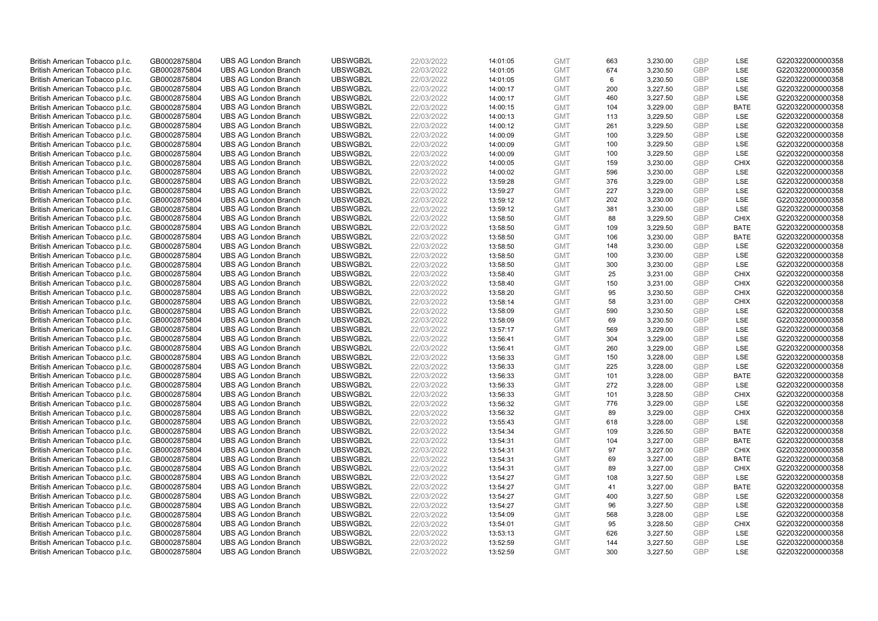| British American Tobacco p.l.c.                                    | GB0002875804                 | <b>UBS AG London Branch</b>                                | UBSWGB2L             | 22/03/2022               | 14:01:05             | <b>GMT</b>               | 663        | 3,230.00             | <b>GBP</b>        | LSE                      | G220322000000358                     |
|--------------------------------------------------------------------|------------------------------|------------------------------------------------------------|----------------------|--------------------------|----------------------|--------------------------|------------|----------------------|-------------------|--------------------------|--------------------------------------|
| British American Tobacco p.l.c.                                    | GB0002875804                 | <b>UBS AG London Branch</b>                                | UBSWGB2L             | 22/03/2022               | 14:01:05             | <b>GMT</b>               | 674        | 3,230.50             | GBP               | <b>LSE</b>               | G220322000000358                     |
| British American Tobacco p.l.c.                                    | GB0002875804                 | <b>UBS AG London Branch</b>                                | UBSWGB2L             | 22/03/2022               | 14:01:05             | <b>GMT</b>               | 6          | 3,230.50             | <b>GBP</b>        | LSE                      | G220322000000358                     |
| British American Tobacco p.l.c.                                    | GB0002875804                 | <b>UBS AG London Branch</b>                                | UBSWGB2L             | 22/03/2022               | 14:00:17             | <b>GMT</b>               | 200        | 3,227.50             | <b>GBP</b>        | LSE                      | G220322000000358                     |
| British American Tobacco p.l.c.                                    | GB0002875804                 | <b>UBS AG London Branch</b>                                | UBSWGB2L             | 22/03/2022               | 14:00:17             | <b>GMT</b>               | 460        | 3,227.50             | <b>GBP</b>        | LSE                      | G220322000000358                     |
| British American Tobacco p.l.c.                                    | GB0002875804                 | <b>UBS AG London Branch</b>                                | UBSWGB2L             | 22/03/2022               | 14:00:15             | <b>GMT</b>               | 104        | 3,229.00             | <b>GBP</b>        | <b>BATE</b>              | G220322000000358                     |
| British American Tobacco p.l.c.                                    | GB0002875804                 | <b>UBS AG London Branch</b>                                | UBSWGB2L             | 22/03/2022               | 14:00:13             | <b>GMT</b>               | 113        | 3,229.50             | <b>GBP</b>        | LSE                      | G220322000000358                     |
| British American Tobacco p.l.c.                                    | GB0002875804                 | <b>UBS AG London Branch</b>                                | UBSWGB2L             | 22/03/2022               | 14:00:12             | <b>GMT</b>               | 261        | 3,229.50             | <b>GBP</b>        | LSE                      | G220322000000358                     |
| British American Tobacco p.l.c.                                    | GB0002875804                 | <b>UBS AG London Branch</b>                                | UBSWGB2L             | 22/03/2022               | 14:00:09             | <b>GMT</b>               | 100        | 3,229.50             | <b>GBP</b>        | LSE                      | G220322000000358                     |
| British American Tobacco p.l.c.                                    | GB0002875804                 | <b>UBS AG London Branch</b>                                | UBSWGB2L             | 22/03/2022               | 14:00:09             | <b>GMT</b>               | 100        | 3,229.50             | <b>GBP</b>        | LSE                      | G220322000000358                     |
| British American Tobacco p.l.c.                                    | GB0002875804                 | <b>UBS AG London Branch</b>                                | UBSWGB2L             | 22/03/2022               | 14:00:09             | <b>GMT</b>               | 100        | 3.229.50             | <b>GBP</b>        | <b>LSE</b>               | G220322000000358                     |
| British American Tobacco p.l.c.                                    | GB0002875804                 | <b>UBS AG London Branch</b>                                | UBSWGB2L             | 22/03/2022               | 14:00:05             | <b>GMT</b>               | 159        | 3,230.00             | <b>GBP</b>        | <b>CHIX</b>              | G220322000000358                     |
| British American Tobacco p.l.c.                                    | GB0002875804                 | <b>UBS AG London Branch</b>                                | UBSWGB2L             | 22/03/2022               | 14:00:02             | <b>GMT</b>               | 596        | 3,230.00             | <b>GBP</b>        | LSE                      | G220322000000358                     |
| British American Tobacco p.l.c.                                    | GB0002875804                 | <b>UBS AG London Branch</b>                                | UBSWGB2L             | 22/03/2022               | 13:59:28             | <b>GMT</b>               | 376        | 3,229.00             | <b>GBP</b>        | LSE                      | G220322000000358                     |
| British American Tobacco p.l.c.                                    | GB0002875804                 | <b>UBS AG London Branch</b>                                | UBSWGB2L             | 22/03/2022               | 13:59:27             | <b>GMT</b>               | 227        | 3,229.00             | GBP               | <b>LSE</b>               | G220322000000358                     |
| British American Tobacco p.l.c.                                    | GB0002875804                 | <b>UBS AG London Branch</b>                                | UBSWGB2L             | 22/03/2022               | 13:59:12             | <b>GMT</b>               | 202        | 3,230.00             | <b>GBP</b>        | LSE                      | G220322000000358                     |
| British American Tobacco p.l.c.                                    | GB0002875804                 | <b>UBS AG London Branch</b>                                | UBSWGB2L             | 22/03/2022               | 13:59:12             | <b>GMT</b>               | 381        | 3,230.00             | GBP               | LSE                      | G220322000000358                     |
| British American Tobacco p.l.c.                                    | GB0002875804                 | <b>UBS AG London Branch</b>                                | UBSWGB2L             | 22/03/2022               | 13:58:50             | <b>GMT</b>               | 88         | 3,229.50             | <b>GBP</b>        | <b>CHIX</b>              | G220322000000358                     |
| British American Tobacco p.l.c.                                    | GB0002875804                 | <b>UBS AG London Branch</b>                                | UBSWGB2L             | 22/03/2022               | 13:58:50             | <b>GMT</b>               | 109        | 3,229.50             | <b>GBP</b>        | <b>BATE</b>              | G220322000000358                     |
| British American Tobacco p.l.c.                                    | GB0002875804                 | <b>UBS AG London Branch</b>                                | UBSWGB2L             | 22/03/2022               | 13:58:50             | <b>GMT</b>               | 106        | 3,230.00             | <b>GBP</b>        | <b>BATE</b>              | G220322000000358                     |
| British American Tobacco p.l.c.                                    | GB0002875804                 | <b>UBS AG London Branch</b>                                | UBSWGB2L             | 22/03/2022               | 13:58:50             | <b>GMT</b>               | 148        | 3,230.00             | <b>GBP</b>        | LSE                      | G220322000000358                     |
| British American Tobacco p.l.c.                                    | GB0002875804                 | <b>UBS AG London Branch</b>                                | UBSWGB2L             | 22/03/2022               | 13:58:50             | <b>GMT</b>               | 100        | 3,230.00             | GBP               | LSE                      | G220322000000358                     |
| British American Tobacco p.l.c.                                    | GB0002875804                 | <b>UBS AG London Branch</b>                                | UBSWGB2L             | 22/03/2022               | 13:58:50             | <b>GMT</b>               | 300        | 3,230.00             | <b>GBP</b>        | LSE                      | G220322000000358                     |
| British American Tobacco p.l.c.                                    | GB0002875804                 | <b>UBS AG London Branch</b>                                | UBSWGB2L             | 22/03/2022               | 13:58:40             | <b>GMT</b>               | 25         | 3.231.00             | <b>GBP</b>        | CHIX                     | G220322000000358                     |
| British American Tobacco p.l.c.                                    | GB0002875804                 | <b>UBS AG London Branch</b>                                | UBSWGB2L             | 22/03/2022               | 13:58:40             | <b>GMT</b>               | 150        | 3,231.00             | <b>GBP</b>        | <b>CHIX</b>              | G220322000000358                     |
| British American Tobacco p.l.c.                                    | GB0002875804                 | <b>UBS AG London Branch</b>                                | UBSWGB2L             | 22/03/2022               | 13:58:20             | <b>GMT</b>               | 95         | 3,230.50             | GBP               | <b>CHIX</b>              | G220322000000358                     |
| British American Tobacco p.l.c.                                    | GB0002875804                 | <b>UBS AG London Branch</b>                                | UBSWGB2L             | 22/03/2022               | 13:58:14             | <b>GMT</b>               | 58         | 3,231.00             | <b>GBP</b>        | <b>CHIX</b>              | G220322000000358                     |
| British American Tobacco p.l.c.                                    | GB0002875804                 | <b>UBS AG London Branch</b>                                | UBSWGB2L             | 22/03/2022               | 13:58:09             | <b>GMT</b>               | 590        | 3,230.50             | GBP               | <b>LSE</b>               | G220322000000358                     |
| British American Tobacco p.l.c.                                    | GB0002875804                 | <b>UBS AG London Branch</b>                                | UBSWGB2L             | 22/03/2022               | 13:58:09             | <b>GMT</b>               | 69         | 3,230.50             | <b>GBP</b>        | LSE                      | G220322000000358                     |
| British American Tobacco p.l.c.                                    | GB0002875804                 | <b>UBS AG London Branch</b>                                | UBSWGB2L             | 22/03/2022               | 13:57:17             | <b>GMT</b>               | 569        | 3,229.00             | GBP               | LSE                      | G220322000000358                     |
| British American Tobacco p.l.c.                                    | GB0002875804                 | <b>UBS AG London Branch</b>                                | UBSWGB2L<br>UBSWGB2L | 22/03/2022               | 13:56:41             | <b>GMT</b>               | 304<br>260 | 3,229.00             | <b>GBP</b><br>GBP | <b>LSE</b><br><b>LSE</b> | G220322000000358<br>G220322000000358 |
| British American Tobacco p.l.c.                                    | GB0002875804                 | <b>UBS AG London Branch</b><br><b>UBS AG London Branch</b> | UBSWGB2L             | 22/03/2022<br>22/03/2022 | 13:56:41             | <b>GMT</b><br><b>GMT</b> |            | 3,229.00             | <b>GBP</b>        | LSE                      | G220322000000358                     |
| British American Tobacco p.l.c.                                    | GB0002875804                 |                                                            |                      |                          | 13:56:33             |                          | 150<br>225 | 3,228.00             |                   | LSE                      |                                      |
| British American Tobacco p.l.c.                                    | GB0002875804                 | <b>UBS AG London Branch</b><br><b>UBS AG London Branch</b> | UBSWGB2L<br>UBSWGB2L | 22/03/2022               | 13:56:33<br>13:56:33 | <b>GMT</b><br><b>GMT</b> | 101        | 3,228.00<br>3,228.00 | <b>GBP</b><br>GBP | <b>BATE</b>              | G220322000000358<br>G220322000000358 |
| British American Tobacco p.l.c.                                    | GB0002875804                 | <b>UBS AG London Branch</b>                                | UBSWGB2L             | 22/03/2022               |                      | <b>GMT</b>               |            |                      | <b>GBP</b>        |                          |                                      |
| British American Tobacco p.l.c.<br>British American Tobacco p.l.c. | GB0002875804<br>GB0002875804 | <b>UBS AG London Branch</b>                                | UBSWGB2L             | 22/03/2022<br>22/03/2022 | 13:56:33<br>13:56:33 | <b>GMT</b>               | 272<br>101 | 3,228.00<br>3,228.50 | GBP               | LSE<br><b>CHIX</b>       | G220322000000358<br>G220322000000358 |
| British American Tobacco p.l.c.                                    |                              | <b>UBS AG London Branch</b>                                | UBSWGB2L             | 22/03/2022               | 13:56:32             | <b>GMT</b>               | 776        | 3,229.00             | <b>GBP</b>        | LSE                      | G220322000000358                     |
| British American Tobacco p.l.c.                                    | GB0002875804<br>GB0002875804 | <b>UBS AG London Branch</b>                                | UBSWGB2L             | 22/03/2022               | 13:56:32             | <b>GMT</b>               | 89         | 3,229.00             | <b>GBP</b>        | <b>CHIX</b>              | G220322000000358                     |
| British American Tobacco p.l.c.                                    | GB0002875804                 | <b>UBS AG London Branch</b>                                | UBSWGB2L             | 22/03/2022               | 13:55:43             | <b>GMT</b>               | 618        | 3,228.00             | <b>GBP</b>        | <b>LSE</b>               | G220322000000358                     |
| British American Tobacco p.l.c.                                    | GB0002875804                 | <b>UBS AG London Branch</b>                                | UBSWGB2L             | 22/03/2022               | 13:54:34             | <b>GMT</b>               | 109        | 3,226.50             | GBP               | <b>BATE</b>              | G220322000000358                     |
| British American Tobacco p.l.c.                                    | GB0002875804                 | <b>UBS AG London Branch</b>                                | UBSWGB2L             | 22/03/2022               | 13:54:31             | <b>GMT</b>               | 104        | 3,227.00             | <b>GBP</b>        | <b>BATE</b>              | G220322000000358                     |
| British American Tobacco p.l.c.                                    | GB0002875804                 | <b>UBS AG London Branch</b>                                | UBSWGB2L             | 22/03/2022               | 13:54:31             | <b>GMT</b>               | 97         | 3,227.00             | <b>GBP</b>        | <b>CHIX</b>              | G220322000000358                     |
| British American Tobacco p.l.c.                                    | GB0002875804                 | <b>UBS AG London Branch</b>                                | UBSWGB2L             | 22/03/2022               | 13:54:31             | <b>GMT</b>               | 69         | 3,227.00             | <b>GBP</b>        | <b>BATE</b>              | G220322000000358                     |
| British American Tobacco p.l.c.                                    | GB0002875804                 | <b>UBS AG London Branch</b>                                | UBSWGB2L             | 22/03/2022               | 13:54:31             | <b>GMT</b>               | 89         | 3,227.00             | <b>GBP</b>        | <b>CHIX</b>              | G220322000000358                     |
| British American Tobacco p.l.c.                                    | GB0002875804                 | <b>UBS AG London Branch</b>                                | UBSWGB2L             | 22/03/2022               | 13:54:27             | <b>GMT</b>               | 108        | 3,227.50             | <b>GBP</b>        | LSE                      | G220322000000358                     |
| British American Tobacco p.l.c.                                    | GB0002875804                 | <b>UBS AG London Branch</b>                                | UBSWGB2L             | 22/03/2022               | 13:54:27             | <b>GMT</b>               | 41         | 3,227.00             | <b>GBP</b>        | <b>BATE</b>              | G220322000000358                     |
| British American Tobacco p.l.c.                                    | GB0002875804                 | <b>UBS AG London Branch</b>                                | UBSWGB2L             | 22/03/2022               | 13:54:27             | <b>GMT</b>               | 400        | 3,227.50             | GBP               | LSE                      | G220322000000358                     |
| British American Tobacco p.l.c.                                    | GB0002875804                 | <b>UBS AG London Branch</b>                                | UBSWGB2L             | 22/03/2022               | 13:54:27             | <b>GMT</b>               | 96         | 3,227.50             | <b>GBP</b>        | LSE                      | G220322000000358                     |
| British American Tobacco p.l.c.                                    | GB0002875804                 | <b>UBS AG London Branch</b>                                | UBSWGB2L             | 22/03/2022               | 13:54:09             | <b>GMT</b>               | 568        | 3,228.00             | GBP               | <b>LSE</b>               | G220322000000358                     |
| British American Tobacco p.l.c.                                    | GB0002875804                 | <b>UBS AG London Branch</b>                                | UBSWGB2L             | 22/03/2022               | 13:54:01             | <b>GMT</b>               | 95         | 3,228.50             | <b>GBP</b>        | <b>CHIX</b>              | G220322000000358                     |
| British American Tobacco p.l.c.                                    | GB0002875804                 | <b>UBS AG London Branch</b>                                | UBSWGB2L             | 22/03/2022               | 13:53:13             | <b>GMT</b>               | 626        | 3,227.50             | <b>GBP</b>        | LSE                      | G220322000000358                     |
| British American Tobacco p.l.c.                                    | GB0002875804                 | <b>UBS AG London Branch</b>                                | UBSWGB2L             | 22/03/2022               | 13:52:59             | <b>GMT</b>               | 144        | 3,227.50             | <b>GBP</b>        | <b>LSE</b>               | G220322000000358                     |
| British American Tobacco p.l.c.                                    | GB0002875804                 | <b>UBS AG London Branch</b>                                | UBSWGB2L             | 22/03/2022               | 13:52:59             | <b>GMT</b>               | 300        | 3.227.50             | GBP               | <b>LSE</b>               | G220322000000358                     |
|                                                                    |                              |                                                            |                      |                          |                      |                          |            |                      |                   |                          |                                      |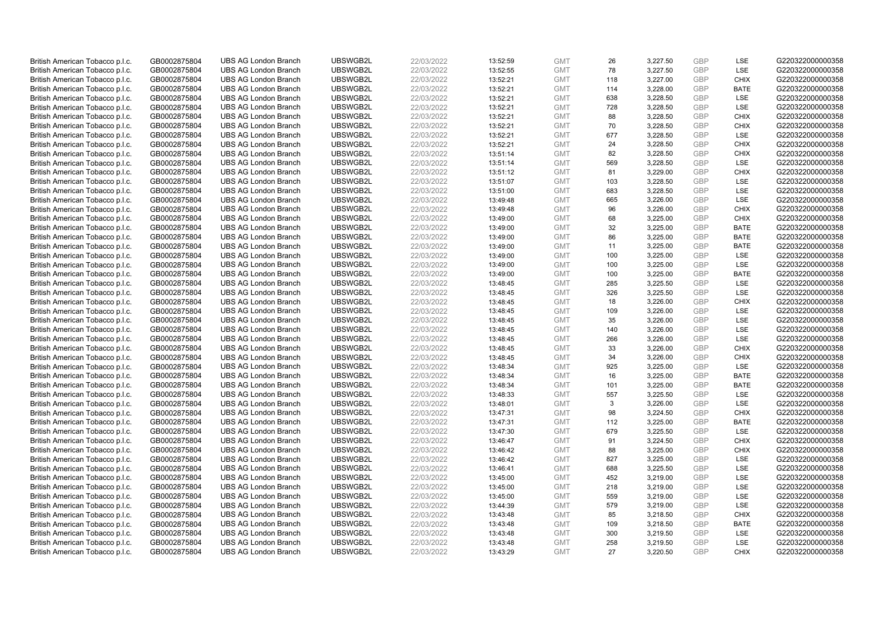| British American Tobacco p.l.c.                                    | GB0002875804                 | <b>UBS AG London Branch</b> | UBSWGB2L | 22/03/2022 | 13:52:59             | <b>GMT</b> | 26        | 3,227.50 | <b>GBP</b> | LSE                | G220322000000358 |
|--------------------------------------------------------------------|------------------------------|-----------------------------|----------|------------|----------------------|------------|-----------|----------|------------|--------------------|------------------|
| British American Tobacco p.l.c.                                    | GB0002875804                 | <b>UBS AG London Branch</b> | UBSWGB2L | 22/03/2022 | 13:52:55             | <b>GMT</b> | 78        | 3,227.50 | GBP        | LSE                | G220322000000358 |
| British American Tobacco p.l.c.                                    | GB0002875804                 | <b>UBS AG London Branch</b> | UBSWGB2L | 22/03/2022 | 13:52:21             | <b>GMT</b> | 118       | 3,227.00 | GBP        | <b>CHIX</b>        | G220322000000358 |
| British American Tobacco p.l.c.                                    | GB0002875804                 | <b>UBS AG London Branch</b> | UBSWGB2L | 22/03/2022 | 13:52:21             | <b>GMT</b> | 114       | 3,228.00 | GBP        | <b>BATE</b>        | G220322000000358 |
| British American Tobacco p.l.c.                                    | GB0002875804                 | <b>UBS AG London Branch</b> | UBSWGB2L | 22/03/2022 | 13:52:21             | <b>GMT</b> | 638       | 3,228.50 | <b>GBP</b> | <b>LSE</b>         | G220322000000358 |
| British American Tobacco p.l.c.                                    | GB0002875804                 | <b>UBS AG London Branch</b> | UBSWGB2L | 22/03/2022 | 13:52:21             | <b>GMT</b> | 728       | 3,228.50 | GBP        | <b>LSE</b>         | G220322000000358 |
| British American Tobacco p.l.c.                                    | GB0002875804                 | <b>UBS AG London Branch</b> | UBSWGB2L | 22/03/2022 | 13:52:21             | <b>GMT</b> | 88        | 3,228.50 | <b>GBP</b> | <b>CHIX</b>        | G220322000000358 |
| British American Tobacco p.l.c.                                    | GB0002875804                 | <b>UBS AG London Branch</b> | UBSWGB2L | 22/03/2022 | 13:52:21             | <b>GMT</b> | 70        | 3,228.50 | GBP        | <b>CHIX</b>        | G220322000000358 |
| British American Tobacco p.l.c.                                    | GB0002875804                 | <b>UBS AG London Branch</b> | UBSWGB2L | 22/03/2022 | 13:52:21             | <b>GMT</b> | 677       | 3,228.50 | GBP        | LSE                | G220322000000358 |
| British American Tobacco p.l.c.                                    | GB0002875804                 | <b>UBS AG London Branch</b> | UBSWGB2L | 22/03/2022 | 13:52:21             | <b>GMT</b> | 24        | 3,228.50 | GBP        | <b>CHIX</b>        | G220322000000358 |
| British American Tobacco p.l.c.                                    | GB0002875804                 | <b>UBS AG London Branch</b> | UBSWGB2L | 22/03/2022 | 13:51:14             | <b>GMT</b> | 82        | 3,228.50 | GBP        | <b>CHIX</b>        | G220322000000358 |
| British American Tobacco p.l.c.                                    | GB0002875804                 | <b>UBS AG London Branch</b> | UBSWGB2L | 22/03/2022 | 13:51:14             | <b>GMT</b> | 569       | 3,228.50 | <b>GBP</b> | LSE                | G220322000000358 |
| British American Tobacco p.l.c.                                    | GB0002875804                 | <b>UBS AG London Branch</b> | UBSWGB2L | 22/03/2022 | 13:51:12             | <b>GMT</b> | 81        | 3,229.00 | <b>GBP</b> | <b>CHIX</b>        | G220322000000358 |
| British American Tobacco p.l.c.                                    | GB0002875804                 | <b>UBS AG London Branch</b> | UBSWGB2L | 22/03/2022 | 13:51:07             | <b>GMT</b> | 103       | 3,228.50 | <b>GBP</b> | <b>LSE</b>         | G220322000000358 |
| British American Tobacco p.l.c.                                    | GB0002875804                 | <b>UBS AG London Branch</b> | UBSWGB2L | 22/03/2022 | 13:51:00             | <b>GMT</b> | 683       | 3,228.50 | <b>GBP</b> | LSE                | G220322000000358 |
| British American Tobacco p.l.c.                                    | GB0002875804                 | <b>UBS AG London Branch</b> | UBSWGB2L | 22/03/2022 | 13:49:48             | <b>GMT</b> | 665       | 3,226.00 | <b>GBP</b> | <b>LSE</b>         | G220322000000358 |
| British American Tobacco p.l.c.                                    | GB0002875804                 | <b>UBS AG London Branch</b> | UBSWGB2L | 22/03/2022 | 13:49:48             | <b>GMT</b> | 96        | 3,226.00 | <b>GBP</b> | <b>CHIX</b>        | G220322000000358 |
| British American Tobacco p.l.c.                                    | GB0002875804                 | <b>UBS AG London Branch</b> | UBSWGB2L | 22/03/2022 | 13:49:00             | <b>GMT</b> | 68        | 3,225.00 | <b>GBP</b> | <b>CHIX</b>        | G220322000000358 |
| British American Tobacco p.l.c.                                    | GB0002875804                 | <b>UBS AG London Branch</b> | UBSWGB2L | 22/03/2022 | 13:49:00             | <b>GMT</b> | 32        | 3,225.00 | <b>GBP</b> | <b>BATE</b>        | G220322000000358 |
| British American Tobacco p.l.c.                                    | GB0002875804                 | <b>UBS AG London Branch</b> | UBSWGB2L | 22/03/2022 | 13:49:00             | <b>GMT</b> | 86        | 3,225.00 | <b>GBP</b> | <b>BATE</b>        | G220322000000358 |
| British American Tobacco p.l.c.                                    | GB0002875804                 | <b>UBS AG London Branch</b> | UBSWGB2L | 22/03/2022 | 13:49:00             | <b>GMT</b> | 11        | 3,225.00 | <b>GBP</b> | <b>BATE</b>        | G220322000000358 |
| British American Tobacco p.l.c.                                    | GB0002875804                 | <b>UBS AG London Branch</b> | UBSWGB2L | 22/03/2022 | 13:49:00             | <b>GMT</b> | 100       | 3,225.00 | <b>GBP</b> | LSE                | G220322000000358 |
| British American Tobacco p.l.c.                                    | GB0002875804                 | <b>UBS AG London Branch</b> | UBSWGB2L | 22/03/2022 | 13:49:00             | <b>GMT</b> | 100       | 3,225.00 | <b>GBP</b> | LSE                | G220322000000358 |
| British American Tobacco p.l.c.                                    | GB0002875804                 | <b>UBS AG London Branch</b> | UBSWGB2L | 22/03/2022 | 13:49:00             | <b>GMT</b> | 100       | 3,225.00 | <b>GBP</b> | <b>BATE</b>        | G220322000000358 |
| British American Tobacco p.l.c.                                    | GB0002875804                 | <b>UBS AG London Branch</b> | UBSWGB2L | 22/03/2022 | 13:48:45             | <b>GMT</b> | 285       | 3,225.50 | GBP        | LSE                | G220322000000358 |
| British American Tobacco p.l.c.                                    | GB0002875804                 | <b>UBS AG London Branch</b> | UBSWGB2L | 22/03/2022 | 13:48:45             | <b>GMT</b> | 326       | 3,225.50 | <b>GBP</b> | LSE                | G220322000000358 |
| British American Tobacco p.l.c.                                    | GB0002875804                 | <b>UBS AG London Branch</b> | UBSWGB2L | 22/03/2022 | 13:48:45             | <b>GMT</b> | 18        | 3,226.00 | <b>GBP</b> | <b>CHIX</b>        | G220322000000358 |
| British American Tobacco p.l.c.                                    | GB0002875804                 | <b>UBS AG London Branch</b> | UBSWGB2L | 22/03/2022 | 13:48:45             | <b>GMT</b> | 109       | 3,226.00 | <b>GBP</b> | <b>LSE</b>         | G220322000000358 |
| British American Tobacco p.l.c.                                    | GB0002875804                 | <b>UBS AG London Branch</b> | UBSWGB2L | 22/03/2022 | 13:48:45             | <b>GMT</b> | 35        | 3,226.00 | GBP        | <b>LSE</b>         | G220322000000358 |
| British American Tobacco p.l.c.                                    | GB0002875804                 | <b>UBS AG London Branch</b> | UBSWGB2L | 22/03/2022 | 13:48:45             | <b>GMT</b> | 140       | 3,226.00 | <b>GBP</b> | <b>LSE</b>         | G220322000000358 |
| British American Tobacco p.l.c.                                    | GB0002875804                 | <b>UBS AG London Branch</b> | UBSWGB2L | 22/03/2022 | 13:48:45             | <b>GMT</b> | 266       | 3,226.00 | GBP        | LSE                | G220322000000358 |
| British American Tobacco p.l.c.                                    | GB0002875804                 | <b>UBS AG London Branch</b> | UBSWGB2L | 22/03/2022 | 13:48:45             | <b>GMT</b> | 33        | 3,226.00 | <b>GBP</b> | <b>CHIX</b>        | G220322000000358 |
| British American Tobacco p.l.c.                                    | GB0002875804                 | <b>UBS AG London Branch</b> | UBSWGB2L | 22/03/2022 | 13:48:45             | <b>GMT</b> | 34        | 3,226.00 | GBP        | <b>CHIX</b>        | G220322000000358 |
| British American Tobacco p.l.c.                                    | GB0002875804                 | <b>UBS AG London Branch</b> | UBSWGB2L | 22/03/2022 | 13:48:34             | <b>GMT</b> | 925       | 3,225.00 | <b>GBP</b> | LSE                | G220322000000358 |
| British American Tobacco p.l.c.                                    | GB0002875804                 | <b>UBS AG London Branch</b> | UBSWGB2L | 22/03/2022 | 13:48:34             | <b>GMT</b> | 16        | 3,225.00 | GBP        | <b>BATE</b>        | G220322000000358 |
| British American Tobacco p.l.c.                                    | GB0002875804                 | <b>UBS AG London Branch</b> | UBSWGB2L | 22/03/2022 | 13:48:34             | <b>GMT</b> | 101       | 3,225.00 | <b>GBP</b> | <b>BATE</b>        | G220322000000358 |
| British American Tobacco p.l.c.                                    | GB0002875804                 | <b>UBS AG London Branch</b> | UBSWGB2L | 22/03/2022 | 13:48:33             | <b>GMT</b> | 557       | 3,225.50 | GBP        | <b>LSE</b>         | G220322000000358 |
| British American Tobacco p.l.c.                                    | GB0002875804                 | <b>UBS AG London Branch</b> | UBSWGB2L | 22/03/2022 | 13:48:01             | <b>GMT</b> | 3         | 3,226.00 | GBP        | LSE                | G220322000000358 |
| British American Tobacco p.l.c.                                    | GB0002875804                 | <b>UBS AG London Branch</b> | UBSWGB2L | 22/03/2022 | 13:47:31             | <b>GMT</b> | 98        | 3,224.50 | <b>GBP</b> | <b>CHIX</b>        | G220322000000358 |
| British American Tobacco p.l.c.                                    | GB0002875804                 | <b>UBS AG London Branch</b> | UBSWGB2L | 22/03/2022 | 13:47:31             | <b>GMT</b> | 112       | 3,225.00 | <b>GBP</b> | <b>BATE</b>        | G220322000000358 |
|                                                                    |                              | <b>UBS AG London Branch</b> | UBSWGB2L | 22/03/2022 |                      | <b>GMT</b> | 679       | 3,225.50 | <b>GBP</b> | LSE                | G220322000000358 |
| British American Tobacco p.l.c.<br>British American Tobacco p.l.c. | GB0002875804<br>GB0002875804 | <b>UBS AG London Branch</b> | UBSWGB2L | 22/03/2022 | 13:47:30<br>13:46:47 | <b>GMT</b> | 91        | 3,224.50 | GBP        | <b>CHIX</b>        | G220322000000358 |
|                                                                    |                              |                             |          |            |                      |            |           |          |            |                    |                  |
| British American Tobacco p.l.c.                                    | GB0002875804                 | <b>UBS AG London Branch</b> | UBSWGB2L | 22/03/2022 | 13:46:42             | <b>GMT</b> | 88<br>827 | 3,225.00 | GBP<br>GBP | <b>CHIX</b><br>LSE | G220322000000358 |
| British American Tobacco p.l.c.                                    | GB0002875804                 | <b>UBS AG London Branch</b> | UBSWGB2L | 22/03/2022 | 13:46:42             | <b>GMT</b> |           | 3,225.00 |            |                    | G220322000000358 |
| British American Tobacco p.l.c.                                    | GB0002875804                 | <b>UBS AG London Branch</b> | UBSWGB2L | 22/03/2022 | 13:46:41             | <b>GMT</b> | 688       | 3,225.50 | <b>GBP</b> | <b>LSE</b>         | G220322000000358 |
| British American Tobacco p.l.c.                                    | GB0002875804                 | <b>UBS AG London Branch</b> | UBSWGB2L | 22/03/2022 | 13:45:00             | <b>GMT</b> | 452       | 3,219.00 | GBP        | <b>LSE</b>         | G220322000000358 |
| British American Tobacco p.l.c.                                    | GB0002875804                 | <b>UBS AG London Branch</b> | UBSWGB2L | 22/03/2022 | 13:45:00             | <b>GMT</b> | 218       | 3,219.00 | <b>GBP</b> | LSE                | G220322000000358 |
| British American Tobacco p.l.c.                                    | GB0002875804                 | <b>UBS AG London Branch</b> | UBSWGB2L | 22/03/2022 | 13:45:00             | <b>GMT</b> | 559       | 3,219.00 | <b>GBP</b> | LSE                | G220322000000358 |
| British American Tobacco p.l.c.                                    | GB0002875804                 | <b>UBS AG London Branch</b> | UBSWGB2L | 22/03/2022 | 13:44:39             | <b>GMT</b> | 579       | 3,219.00 | GBP        | <b>LSE</b>         | G220322000000358 |
| British American Tobacco p.l.c.                                    | GB0002875804                 | <b>UBS AG London Branch</b> | UBSWGB2L | 22/03/2022 | 13:43:48             | <b>GMT</b> | 85        | 3,218.50 | <b>GBP</b> | <b>CHIX</b>        | G220322000000358 |
| British American Tobacco p.l.c.                                    | GB0002875804                 | <b>UBS AG London Branch</b> | UBSWGB2L | 22/03/2022 | 13:43:48             | <b>GMT</b> | 109       | 3,218.50 | <b>GBP</b> | <b>BATE</b>        | G220322000000358 |
| British American Tobacco p.l.c.                                    | GB0002875804                 | <b>UBS AG London Branch</b> | UBSWGB2L | 22/03/2022 | 13:43:48             | <b>GMT</b> | 300       | 3,219.50 | <b>GBP</b> | LSE                | G220322000000358 |
| British American Tobacco p.l.c.                                    | GB0002875804                 | <b>UBS AG London Branch</b> | UBSWGB2L | 22/03/2022 | 13:43:48             | <b>GMT</b> | 258       | 3,219.50 | GBP        | LSE                | G220322000000358 |
| British American Tobacco p.l.c.                                    | GB0002875804                 | <b>UBS AG London Branch</b> | UBSWGB2L | 22/03/2022 | 13:43:29             | <b>GMT</b> | 27        | 3,220.50 | GBP        | <b>CHIX</b>        | G220322000000358 |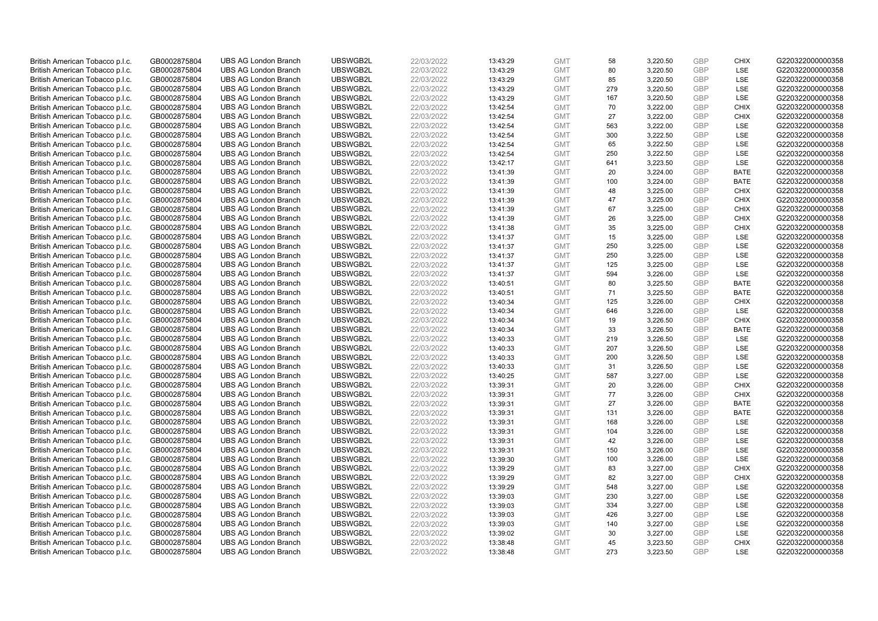| British American Tobacco p.l.c. | GB0002875804 | <b>UBS AG London Branch</b> | UBSWGB2L | 22/03/2022 | 13:43:29 | <b>GMT</b>               | 58        | 3,220.50             | <b>GBP</b>        | <b>CHIX</b>               | G220322000000358 |
|---------------------------------|--------------|-----------------------------|----------|------------|----------|--------------------------|-----------|----------------------|-------------------|---------------------------|------------------|
| British American Tobacco p.l.c. | GB0002875804 | <b>UBS AG London Branch</b> | UBSWGB2L | 22/03/2022 | 13:43:29 | <b>GMT</b>               | 80        | 3,220.50             | GBP               | <b>LSE</b>                | G220322000000358 |
| British American Tobacco p.l.c. | GB0002875804 | <b>UBS AG London Branch</b> | UBSWGB2L | 22/03/2022 | 13:43:29 | <b>GMT</b>               | 85        | 3,220.50             | GBP               | LSE                       | G220322000000358 |
| British American Tobacco p.l.c. | GB0002875804 | <b>UBS AG London Branch</b> | UBSWGB2L | 22/03/2022 | 13:43:29 | <b>GMT</b>               | 279       | 3,220.50             | <b>GBP</b>        | LSE                       | G220322000000358 |
| British American Tobacco p.l.c. | GB0002875804 | <b>UBS AG London Branch</b> | UBSWGB2L | 22/03/2022 | 13:43:29 | <b>GMT</b>               | 167       | 3,220.50             | GBP               | LSE                       | G220322000000358 |
| British American Tobacco p.l.c. | GB0002875804 | <b>UBS AG London Branch</b> | UBSWGB2L | 22/03/2022 | 13:42:54 | <b>GMT</b>               | 70        | 3,222.00             | <b>GBP</b>        | <b>CHIX</b>               | G220322000000358 |
| British American Tobacco p.l.c. | GB0002875804 | <b>UBS AG London Branch</b> | UBSWGB2L | 22/03/2022 | 13:42:54 | <b>GMT</b>               | 27        | 3,222.00             | GBP               | <b>CHIX</b>               | G220322000000358 |
| British American Tobacco p.l.c. | GB0002875804 | <b>UBS AG London Branch</b> | UBSWGB2L | 22/03/2022 | 13:42:54 | <b>GMT</b>               | 563       | 3,222.00             | <b>GBP</b>        | <b>LSE</b>                | G220322000000358 |
| British American Tobacco p.l.c. | GB0002875804 | <b>UBS AG London Branch</b> | UBSWGB2L | 22/03/2022 | 13:42:54 | <b>GMT</b>               | 300       | 3,222.50             | GBP               | LSE                       | G220322000000358 |
| British American Tobacco p.l.c. | GB0002875804 | <b>UBS AG London Branch</b> | UBSWGB2L | 22/03/2022 | 13:42:54 | <b>GMT</b>               | 65        | 3,222.50             | <b>GBP</b>        | LSE                       | G220322000000358 |
| British American Tobacco p.l.c. | GB0002875804 | <b>UBS AG London Branch</b> | UBSWGB2L | 22/03/2022 | 13:42:54 | <b>GMT</b>               | 250       | 3.222.50             | GBP               | <b>LSE</b>                | G220322000000358 |
| British American Tobacco p.l.c. | GB0002875804 | <b>UBS AG London Branch</b> | UBSWGB2L | 22/03/2022 | 13:42:17 | <b>GMT</b>               | 641       | 3,223.50             | <b>GBP</b>        | LSE                       | G220322000000358 |
| British American Tobacco p.l.c. | GB0002875804 | <b>UBS AG London Branch</b> | UBSWGB2L | 22/03/2022 | 13:41:39 | <b>GMT</b>               | 20        | 3,224.00             | <b>GBP</b>        | <b>BATE</b>               | G220322000000358 |
| British American Tobacco p.l.c. | GB0002875804 | <b>UBS AG London Branch</b> | UBSWGB2L | 22/03/2022 | 13:41:39 | <b>GMT</b>               | 100       | 3,224.00             | <b>GBP</b>        | <b>BATE</b>               | G220322000000358 |
| British American Tobacco p.l.c. | GB0002875804 | <b>UBS AG London Branch</b> | UBSWGB2L | 22/03/2022 | 13:41:39 | <b>GMT</b>               | 48        | 3,225.00             | GBP               | <b>CHIX</b>               | G220322000000358 |
| British American Tobacco p.l.c. | GB0002875804 | <b>UBS AG London Branch</b> | UBSWGB2L | 22/03/2022 | 13:41:39 | <b>GMT</b>               | 47        | 3,225.00             | GBP               | <b>CHIX</b>               | G220322000000358 |
| British American Tobacco p.l.c. | GB0002875804 | <b>UBS AG London Branch</b> | UBSWGB2L | 22/03/2022 | 13:41:39 | <b>GMT</b>               | 67        | 3,225.00             | GBP               | <b>CHIX</b>               | G220322000000358 |
| British American Tobacco p.l.c. | GB0002875804 | <b>UBS AG London Branch</b> | UBSWGB2L | 22/03/2022 | 13:41:39 | <b>GMT</b>               | 26        | 3,225.00             | GBP               | <b>CHIX</b>               | G220322000000358 |
| British American Tobacco p.l.c. | GB0002875804 | <b>UBS AG London Branch</b> | UBSWGB2L | 22/03/2022 | 13:41:38 | <b>GMT</b>               | 35        | 3,225.00             | <b>GBP</b>        | <b>CHIX</b>               | G220322000000358 |
| British American Tobacco p.l.c. | GB0002875804 | <b>UBS AG London Branch</b> | UBSWGB2L | 22/03/2022 | 13:41:37 | <b>GMT</b>               | 15        | 3,225.00             | <b>GBP</b>        | LSE                       | G220322000000358 |
| British American Tobacco p.l.c. | GB0002875804 | <b>UBS AG London Branch</b> | UBSWGB2L | 22/03/2022 | 13:41:37 | <b>GMT</b>               | 250       | 3,225.00             | <b>GBP</b>        | LSE                       | G220322000000358 |
| British American Tobacco p.l.c. | GB0002875804 | <b>UBS AG London Branch</b> | UBSWGB2L | 22/03/2022 | 13:41:37 | <b>GMT</b>               | 250       | 3,225.00             | GBP               | LSE                       | G220322000000358 |
| British American Tobacco p.l.c. | GB0002875804 | <b>UBS AG London Branch</b> | UBSWGB2L | 22/03/2022 | 13:41:37 | <b>GMT</b>               | 125       | 3,225.00             | <b>GBP</b>        | LSE                       | G220322000000358 |
| British American Tobacco p.l.c. | GB0002875804 | <b>UBS AG London Branch</b> | UBSWGB2L | 22/03/2022 | 13:41:37 | <b>GMT</b>               | 594       | 3.226.00             | <b>GBP</b>        | <b>LSE</b>                | G220322000000358 |
| British American Tobacco p.l.c. | GB0002875804 | <b>UBS AG London Branch</b> | UBSWGB2L | 22/03/2022 | 13:40:51 | <b>GMT</b>               | 80        | 3,225.50             | <b>GBP</b>        | <b>BATE</b>               | G220322000000358 |
| British American Tobacco p.l.c. | GB0002875804 | <b>UBS AG London Branch</b> | UBSWGB2L | 22/03/2022 | 13:40:51 | <b>GMT</b>               | 71        | 3,225.50             | <b>GBP</b>        | <b>BATE</b>               | G220322000000358 |
| British American Tobacco p.l.c. | GB0002875804 | <b>UBS AG London Branch</b> | UBSWGB2L | 22/03/2022 | 13:40:34 | <b>GMT</b>               | 125       | 3,226.00             | <b>GBP</b>        | <b>CHIX</b>               | G220322000000358 |
| British American Tobacco p.l.c. | GB0002875804 | <b>UBS AG London Branch</b> | UBSWGB2L | 22/03/2022 | 13:40:34 | <b>GMT</b>               | 646       | 3,226.00             | GBP               | LSE                       | G220322000000358 |
| British American Tobacco p.l.c. | GB0002875804 | <b>UBS AG London Branch</b> | UBSWGB2L | 22/03/2022 | 13:40:34 | <b>GMT</b>               | 19        | 3,226.50             | <b>GBP</b>        | <b>CHIX</b>               | G220322000000358 |
| British American Tobacco p.l.c. | GB0002875804 | <b>UBS AG London Branch</b> | UBSWGB2L | 22/03/2022 | 13:40:34 | <b>GMT</b>               | 33        | 3,226.50             | GBP               | <b>BATE</b>               | G220322000000358 |
| British American Tobacco p.l.c. | GB0002875804 | <b>UBS AG London Branch</b> | UBSWGB2L | 22/03/2022 | 13:40:33 | <b>GMT</b>               | 219       | 3,226.50             | <b>GBP</b>        | <b>LSE</b>                | G220322000000358 |
| British American Tobacco p.l.c. | GB0002875804 | <b>UBS AG London Branch</b> | UBSWGB2L | 22/03/2022 | 13:40:33 | <b>GMT</b>               | 207       | 3,226.50             | <b>GBP</b>        | <b>LSE</b>                | G220322000000358 |
| British American Tobacco p.l.c. | GB0002875804 | <b>UBS AG London Branch</b> | UBSWGB2L | 22/03/2022 | 13:40:33 | <b>GMT</b>               | 200       | 3,226.50             | <b>GBP</b>        | LSE                       | G220322000000358 |
| British American Tobacco p.l.c. | GB0002875804 | <b>UBS AG London Branch</b> | UBSWGB2L | 22/03/2022 | 13:40:33 | <b>GMT</b>               | 31        | 3,226.50             | <b>GBP</b>        | LSE                       | G220322000000358 |
| British American Tobacco p.l.c. | GB0002875804 | <b>UBS AG London Branch</b> | UBSWGB2L | 22/03/2022 | 13:40:25 | <b>GMT</b>               | 587       | 3,227.00             | <b>GBP</b>        | LSE                       | G220322000000358 |
| British American Tobacco p.l.c. | GB0002875804 | <b>UBS AG London Branch</b> | UBSWGB2L | 22/03/2022 | 13:39:31 | <b>GMT</b>               | 20        | 3,226.00             | <b>GBP</b>        | <b>CHIX</b>               | G220322000000358 |
| British American Tobacco p.l.c. | GB0002875804 | <b>UBS AG London Branch</b> | UBSWGB2L | 22/03/2022 | 13:39:31 | <b>GMT</b>               | 77        | 3,226.00             | <b>GBP</b>        | <b>CHIX</b>               | G220322000000358 |
| British American Tobacco p.l.c. | GB0002875804 | <b>UBS AG London Branch</b> | UBSWGB2L | 22/03/2022 | 13:39:31 | <b>GMT</b>               | 27        | 3,226.00             | <b>GBP</b>        | <b>BATE</b>               | G220322000000358 |
| British American Tobacco p.l.c. | GB0002875804 | <b>UBS AG London Branch</b> | UBSWGB2L | 22/03/2022 | 13:39:31 | <b>GMT</b>               | 131       | 3,226.00             | GBP               | <b>BATE</b>               | G220322000000358 |
| British American Tobacco p.l.c. | GB0002875804 | <b>UBS AG London Branch</b> | UBSWGB2L | 22/03/2022 | 13:39:31 | <b>GMT</b>               | 168       | 3,226.00             | <b>GBP</b>        | <b>LSE</b>                | G220322000000358 |
| British American Tobacco p.l.c. | GB0002875804 | <b>UBS AG London Branch</b> | UBSWGB2L | 22/03/2022 | 13:39:31 | <b>GMT</b>               | 104       | 3,226.00             | GBP               | LSE                       | G220322000000358 |
| British American Tobacco p.l.c. | GB0002875804 | <b>UBS AG London Branch</b> | UBSWGB2L | 22/03/2022 | 13:39:31 | <b>GMT</b>               | 42        | 3,226.00             | <b>GBP</b>        | LSE                       | G220322000000358 |
| British American Tobacco p.l.c. | GB0002875804 | <b>UBS AG London Branch</b> | UBSWGB2L | 22/03/2022 | 13:39:31 | <b>GMT</b>               | 150       | 3,226.00             | <b>GBP</b>        | LSE                       | G220322000000358 |
| British American Tobacco p.l.c. | GB0002875804 | <b>UBS AG London Branch</b> | UBSWGB2L | 22/03/2022 | 13:39:30 | <b>GMT</b>               | 100       | 3,226.00             | <b>GBP</b>        | LSE                       | G220322000000358 |
| British American Tobacco p.l.c. | GB0002875804 | <b>UBS AG London Branch</b> | UBSWGB2L | 22/03/2022 | 13:39:29 | <b>GMT</b>               | 83        | 3,227.00             | <b>GBP</b>        | <b>CHIX</b>               | G220322000000358 |
| British American Tobacco p.l.c. | GB0002875804 | <b>UBS AG London Branch</b> | UBSWGB2L | 22/03/2022 | 13:39:29 | <b>GMT</b>               | 82        | 3,227.00             | <b>GBP</b>        | <b>CHIX</b>               | G220322000000358 |
| British American Tobacco p.l.c. | GB0002875804 | <b>UBS AG London Branch</b> | UBSWGB2L | 22/03/2022 | 13:39:29 | <b>GMT</b>               | 548       | 3,227.00             | <b>GBP</b>        | LSE                       | G220322000000358 |
| British American Tobacco p.l.c. | GB0002875804 | <b>UBS AG London Branch</b> | UBSWGB2L | 22/03/2022 | 13:39:03 | <b>GMT</b>               | 230       | 3,227.00             | GBP               | LSE                       | G220322000000358 |
| British American Tobacco p.l.c. | GB0002875804 | <b>UBS AG London Branch</b> | UBSWGB2L | 22/03/2022 | 13:39:03 | <b>GMT</b>               | 334       | 3,227.00             | <b>GBP</b>        | LSE                       | G220322000000358 |
| British American Tobacco p.l.c. | GB0002875804 | <b>UBS AG London Branch</b> | UBSWGB2L | 22/03/2022 | 13:39:03 | <b>GMT</b>               | 426       | 3,227.00             | GBP               | <b>LSE</b>                | G220322000000358 |
| British American Tobacco p.l.c. | GB0002875804 | <b>UBS AG London Branch</b> | UBSWGB2L | 22/03/2022 | 13:39:03 | <b>GMT</b>               | 140       | 3,227.00             | <b>GBP</b>        | LSE                       | G220322000000358 |
| British American Tobacco p.l.c. | GB0002875804 | <b>UBS AG London Branch</b> | UBSWGB2L | 22/03/2022 | 13:39:02 | <b>GMT</b>               | 30        | 3,227.00             | <b>GBP</b>        | LSE                       | G220322000000358 |
| British American Tobacco p.l.c. | GB0002875804 | <b>UBS AG London Branch</b> | UBSWGB2L | 22/03/2022 | 13:38:48 | <b>GMT</b><br><b>GMT</b> | 45<br>273 | 3,223.50<br>3.223.50 | <b>GBP</b><br>GBP | <b>CHIX</b><br><b>LSE</b> | G220322000000358 |
| British American Tobacco p.l.c. | GB0002875804 | <b>UBS AG London Branch</b> | UBSWGB2L | 22/03/2022 | 13:38:48 |                          |           |                      |                   |                           | G220322000000358 |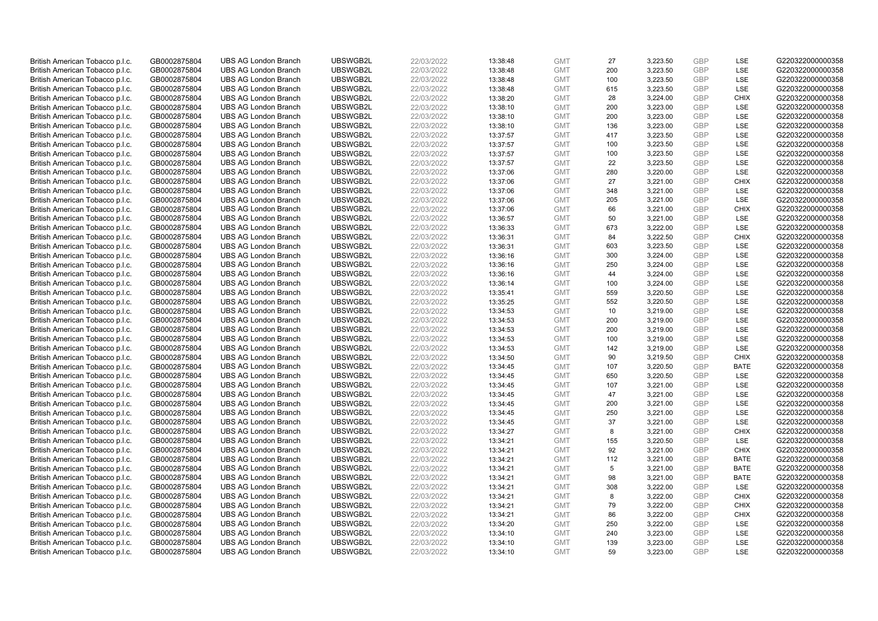| British American Tobacco p.l.c. | GB0002875804 | <b>UBS AG London Branch</b>                                | UBSWGB2L             | 22/03/2022 | 13:38:48             | <b>GMT</b>               | 27  | 3,223.50             | <b>GBP</b>               | LSE         | G220322000000358                     |
|---------------------------------|--------------|------------------------------------------------------------|----------------------|------------|----------------------|--------------------------|-----|----------------------|--------------------------|-------------|--------------------------------------|
| British American Tobacco p.l.c. | GB0002875804 | <b>UBS AG London Branch</b>                                | UBSWGB2L             | 22/03/2022 | 13:38:48             | <b>GMT</b>               | 200 | 3,223.50             | GBP                      | <b>LSE</b>  | G220322000000358                     |
| British American Tobacco p.l.c. | GB0002875804 | <b>UBS AG London Branch</b>                                | UBSWGB2L             | 22/03/2022 | 13:38:48             | <b>GMT</b>               | 100 | 3,223.50             | <b>GBP</b>               | LSE         | G220322000000358                     |
| British American Tobacco p.l.c. | GB0002875804 | <b>UBS AG London Branch</b>                                | UBSWGB2L             | 22/03/2022 | 13:38:48             | <b>GMT</b>               | 615 | 3,223.50             | <b>GBP</b>               | LSE         | G220322000000358                     |
| British American Tobacco p.l.c. | GB0002875804 | <b>UBS AG London Branch</b>                                | UBSWGB2L             | 22/03/2022 | 13:38:20             | <b>GMT</b>               | 28  | 3,224.00             | <b>GBP</b>               | <b>CHIX</b> | G220322000000358                     |
| British American Tobacco p.l.c. | GB0002875804 | <b>UBS AG London Branch</b>                                | UBSWGB2L             | 22/03/2022 | 13:38:10             | <b>GMT</b>               | 200 | 3,223.00             | <b>GBP</b>               | LSE         | G220322000000358                     |
| British American Tobacco p.l.c. | GB0002875804 | <b>UBS AG London Branch</b>                                | UBSWGB2L             | 22/03/2022 | 13:38:10             | <b>GMT</b>               | 200 | 3,223.00             | <b>GBP</b>               | LSE         | G220322000000358                     |
| British American Tobacco p.l.c. | GB0002875804 | <b>UBS AG London Branch</b>                                | UBSWGB2L             | 22/03/2022 | 13:38:10             | <b>GMT</b>               | 136 | 3,223.00             | <b>GBP</b>               | LSE         | G220322000000358                     |
| British American Tobacco p.l.c. | GB0002875804 | <b>UBS AG London Branch</b>                                | UBSWGB2L             | 22/03/2022 | 13:37:57             | <b>GMT</b>               | 417 | 3,223.50             | <b>GBP</b>               | LSE         | G220322000000358                     |
| British American Tobacco p.l.c. | GB0002875804 | <b>UBS AG London Branch</b>                                | UBSWGB2L             | 22/03/2022 | 13:37:57             | <b>GMT</b>               | 100 | 3,223.50             | <b>GBP</b>               | LSE         | G220322000000358                     |
| British American Tobacco p.l.c. | GB0002875804 | <b>UBS AG London Branch</b>                                | UBSWGB2L             | 22/03/2022 | 13:37:57             | <b>GMT</b>               | 100 | 3,223.50             | <b>GBP</b>               | LSE         | G220322000000358                     |
| British American Tobacco p.l.c. | GB0002875804 | <b>UBS AG London Branch</b>                                | UBSWGB2L             | 22/03/2022 | 13:37:57             | <b>GMT</b>               | 22  | 3,223.50             | <b>GBP</b>               | LSE         | G220322000000358                     |
| British American Tobacco p.l.c. | GB0002875804 | <b>UBS AG London Branch</b>                                | UBSWGB2L             | 22/03/2022 | 13:37:06             | <b>GMT</b>               | 280 | 3,220.00             | <b>GBP</b>               | LSE         | G220322000000358                     |
| British American Tobacco p.l.c. | GB0002875804 | <b>UBS AG London Branch</b>                                | UBSWGB2L             | 22/03/2022 | 13:37:06             | <b>GMT</b>               | 27  | 3,221.00             | <b>GBP</b>               | <b>CHIX</b> | G220322000000358                     |
| British American Tobacco p.l.c. | GB0002875804 | <b>UBS AG London Branch</b>                                | UBSWGB2L             | 22/03/2022 | 13:37:06             | <b>GMT</b>               | 348 | 3,221.00             | <b>GBP</b>               | <b>LSE</b>  | G220322000000358                     |
| British American Tobacco p.l.c. | GB0002875804 | <b>UBS AG London Branch</b>                                | UBSWGB2L             | 22/03/2022 | 13:37:06             | <b>GMT</b>               | 205 | 3,221.00             | <b>GBP</b>               | LSE         | G220322000000358                     |
| British American Tobacco p.l.c. | GB0002875804 | <b>UBS AG London Branch</b>                                | UBSWGB2L             | 22/03/2022 | 13:37:06             | <b>GMT</b>               | 66  | 3,221.00             | <b>GBP</b>               | <b>CHIX</b> | G220322000000358                     |
| British American Tobacco p.l.c. | GB0002875804 | <b>UBS AG London Branch</b>                                | UBSWGB2L             | 22/03/2022 | 13:36:57             | <b>GMT</b>               | 50  | 3,221.00             | <b>GBP</b>               | LSE         | G220322000000358                     |
| British American Tobacco p.l.c. | GB0002875804 | <b>UBS AG London Branch</b>                                | UBSWGB2L             | 22/03/2022 | 13:36:33             | <b>GMT</b>               | 673 | 3,222.00             | <b>GBP</b>               | <b>LSE</b>  | G220322000000358                     |
| British American Tobacco p.l.c. | GB0002875804 | <b>UBS AG London Branch</b>                                | UBSWGB2L             | 22/03/2022 | 13:36:31             | <b>GMT</b>               | 84  | 3,222.50             | <b>GBP</b>               | <b>CHIX</b> | G220322000000358                     |
| British American Tobacco p.l.c. | GB0002875804 | <b>UBS AG London Branch</b>                                | UBSWGB2L             | 22/03/2022 | 13:36:31             | <b>GMT</b>               | 603 | 3,223.50             | <b>GBP</b>               | LSE         | G220322000000358                     |
| British American Tobacco p.l.c. | GB0002875804 | <b>UBS AG London Branch</b>                                | UBSWGB2L             | 22/03/2022 | 13:36:16             | <b>GMT</b>               | 300 | 3,224.00             | <b>GBP</b>               | LSE         | G220322000000358                     |
| British American Tobacco p.l.c. | GB0002875804 | <b>UBS AG London Branch</b>                                | UBSWGB2L             | 22/03/2022 | 13:36:16             | <b>GMT</b>               | 250 | 3,224.00             | <b>GBP</b>               | LSE         | G220322000000358                     |
| British American Tobacco p.l.c. | GB0002875804 | <b>UBS AG London Branch</b>                                | UBSWGB2L             | 22/03/2022 | 13:36:16             | <b>GMT</b>               | 44  | 3,224.00             | <b>GBP</b>               | LSE         | G220322000000358                     |
| British American Tobacco p.l.c. | GB0002875804 | <b>UBS AG London Branch</b>                                | UBSWGB2L             | 22/03/2022 | 13:36:14             | <b>GMT</b>               | 100 | 3,224.00             | <b>GBP</b>               | LSE         | G220322000000358                     |
| British American Tobacco p.l.c. | GB0002875804 | <b>UBS AG London Branch</b>                                | UBSWGB2L             | 22/03/2022 | 13:35:41             | <b>GMT</b>               | 559 | 3,220.50             | <b>GBP</b>               | LSE         | G220322000000358                     |
| British American Tobacco p.l.c. | GB0002875804 | <b>UBS AG London Branch</b>                                | UBSWGB2L             | 22/03/2022 | 13:35:25             | <b>GMT</b>               | 552 | 3,220.50             | <b>GBP</b>               | LSE         | G220322000000358                     |
| British American Tobacco p.l.c. | GB0002875804 | <b>UBS AG London Branch</b>                                | UBSWGB2L             | 22/03/2022 | 13:34:53             | <b>GMT</b>               | 10  | 3,219.00             | <b>GBP</b>               | LSE         | G220322000000358                     |
| British American Tobacco p.l.c. | GB0002875804 | <b>UBS AG London Branch</b>                                | UBSWGB2L             | 22/03/2022 | 13:34:53             | <b>GMT</b>               | 200 | 3,219.00             | <b>GBP</b>               | LSE         | G220322000000358                     |
| British American Tobacco p.l.c. | GB0002875804 | <b>UBS AG London Branch</b>                                | UBSWGB2L             | 22/03/2022 | 13:34:53             | <b>GMT</b>               | 200 | 3,219.00             | <b>GBP</b>               | LSE         | G220322000000358                     |
| British American Tobacco p.l.c. | GB0002875804 | <b>UBS AG London Branch</b>                                | UBSWGB2L             | 22/03/2022 | 13:34:53             | <b>GMT</b>               | 100 | 3,219.00             | <b>GBP</b>               | LSE         | G220322000000358                     |
| British American Tobacco p.l.c. | GB0002875804 | <b>UBS AG London Branch</b>                                | UBSWGB2L             | 22/03/2022 | 13:34:53             | <b>GMT</b>               | 142 | 3,219.00             | <b>GBP</b>               | LSE         | G220322000000358                     |
| British American Tobacco p.l.c. | GB0002875804 | <b>UBS AG London Branch</b>                                | UBSWGB2L             | 22/03/2022 | 13:34:50             | <b>GMT</b>               | 90  | 3,219.50             | <b>GBP</b>               | <b>CHIX</b> | G220322000000358                     |
|                                 |              |                                                            |                      |            |                      |                          | 107 |                      |                          | <b>BATE</b> |                                      |
| British American Tobacco p.l.c. | GB0002875804 | <b>UBS AG London Branch</b><br><b>UBS AG London Branch</b> | UBSWGB2L<br>UBSWGB2L | 22/03/2022 | 13:34:45<br>13:34:45 | <b>GMT</b><br><b>GMT</b> | 650 | 3,220.50<br>3,220.50 | <b>GBP</b><br><b>GBP</b> | LSE         | G220322000000358<br>G220322000000358 |
| British American Tobacco p.l.c. | GB0002875804 |                                                            |                      | 22/03/2022 |                      |                          |     |                      |                          |             |                                      |
| British American Tobacco p.l.c. | GB0002875804 | <b>UBS AG London Branch</b>                                | UBSWGB2L             | 22/03/2022 | 13:34:45             | <b>GMT</b>               | 107 | 3,221.00             | <b>GBP</b>               | LSE         | G220322000000358                     |
| British American Tobacco p.l.c. | GB0002875804 | <b>UBS AG London Branch</b>                                | UBSWGB2L             | 22/03/2022 | 13:34:45             | <b>GMT</b>               | 47  | 3,221.00             | <b>GBP</b>               | LSE         | G220322000000358                     |
| British American Tobacco p.l.c. | GB0002875804 | <b>UBS AG London Branch</b>                                | UBSWGB2L             | 22/03/2022 | 13:34:45             | <b>GMT</b>               | 200 | 3,221.00             | <b>GBP</b>               | LSE         | G220322000000358                     |
| British American Tobacco p.l.c. | GB0002875804 | <b>UBS AG London Branch</b>                                | UBSWGB2L             | 22/03/2022 | 13:34:45             | <b>GMT</b>               | 250 | 3,221.00             | <b>GBP</b>               | LSE         | G220322000000358                     |
| British American Tobacco p.l.c. | GB0002875804 | <b>UBS AG London Branch</b>                                | UBSWGB2L             | 22/03/2022 | 13:34:45             | <b>GMT</b>               | 37  | 3,221.00             | <b>GBP</b>               | LSE         | G220322000000358                     |
| British American Tobacco p.l.c. | GB0002875804 | <b>UBS AG London Branch</b>                                | UBSWGB2L             | 22/03/2022 | 13:34:27             | <b>GMT</b>               | 8   | 3,221.00             | <b>GBP</b>               | <b>CHIX</b> | G220322000000358                     |
| British American Tobacco p.l.c. | GB0002875804 | <b>UBS AG London Branch</b>                                | UBSWGB2L             | 22/03/2022 | 13:34:21             | <b>GMT</b>               | 155 | 3,220.50             | <b>GBP</b>               | LSE         | G220322000000358                     |
| British American Tobacco p.l.c. | GB0002875804 | <b>UBS AG London Branch</b>                                | UBSWGB2L             | 22/03/2022 | 13:34:21             | <b>GMT</b>               | 92  | 3,221.00             | <b>GBP</b>               | <b>CHIX</b> | G220322000000358                     |
| British American Tobacco p.l.c. | GB0002875804 | <b>UBS AG London Branch</b>                                | UBSWGB2L             | 22/03/2022 | 13:34:21             | <b>GMT</b>               | 112 | 3,221.00             | <b>GBP</b>               | <b>BATE</b> | G220322000000358                     |
| British American Tobacco p.l.c. | GB0002875804 | <b>UBS AG London Branch</b>                                | UBSWGB2L             | 22/03/2022 | 13:34:21             | <b>GMT</b>               | 5   | 3,221.00             | <b>GBP</b>               | <b>BATE</b> | G220322000000358                     |
| British American Tobacco p.l.c. | GB0002875804 | <b>UBS AG London Branch</b>                                | UBSWGB2L             | 22/03/2022 | 13:34:21             | <b>GMT</b>               | 98  | 3,221.00             | <b>GBP</b>               | <b>BATE</b> | G220322000000358                     |
| British American Tobacco p.l.c. | GB0002875804 | <b>UBS AG London Branch</b>                                | UBSWGB2L             | 22/03/2022 | 13:34:21             | <b>GMT</b>               | 308 | 3,222.00             | <b>GBP</b>               | <b>LSE</b>  | G220322000000358                     |
| British American Tobacco p.l.c. | GB0002875804 | <b>UBS AG London Branch</b>                                | UBSWGB2L             | 22/03/2022 | 13:34:21             | <b>GMT</b>               | 8   | 3,222.00             | <b>GBP</b>               | <b>CHIX</b> | G220322000000358                     |
| British American Tobacco p.l.c. | GB0002875804 | <b>UBS AG London Branch</b>                                | UBSWGB2L             | 22/03/2022 | 13:34:21             | <b>GMT</b>               | 79  | 3,222.00             | <b>GBP</b>               | <b>CHIX</b> | G220322000000358                     |
| British American Tobacco p.l.c. | GB0002875804 | <b>UBS AG London Branch</b>                                | UBSWGB2L             | 22/03/2022 | 13:34:21             | <b>GMT</b>               | 86  | 3,222.00             | <b>GBP</b>               | <b>CHIX</b> | G220322000000358                     |
| British American Tobacco p.l.c. | GB0002875804 | <b>UBS AG London Branch</b>                                | UBSWGB2L             | 22/03/2022 | 13:34:20             | <b>GMT</b>               | 250 | 3,222.00             | <b>GBP</b>               | LSE         | G220322000000358                     |
| British American Tobacco p.l.c. | GB0002875804 | <b>UBS AG London Branch</b>                                | UBSWGB2L             | 22/03/2022 | 13:34:10             | <b>GMT</b>               | 240 | 3,223.00             | <b>GBP</b>               | LSE         | G220322000000358                     |
| British American Tobacco p.l.c. | GB0002875804 | <b>UBS AG London Branch</b>                                | UBSWGB2L             | 22/03/2022 | 13:34:10             | <b>GMT</b>               | 139 | 3,223.00             | <b>GBP</b>               | LSE         | G220322000000358                     |
| British American Tobacco p.l.c. | GB0002875804 | <b>UBS AG London Branch</b>                                | UBSWGB2L             | 22/03/2022 | 13:34:10             | <b>GMT</b>               | 59  | 3.223.00             | GBP                      | LSE         | G220322000000358                     |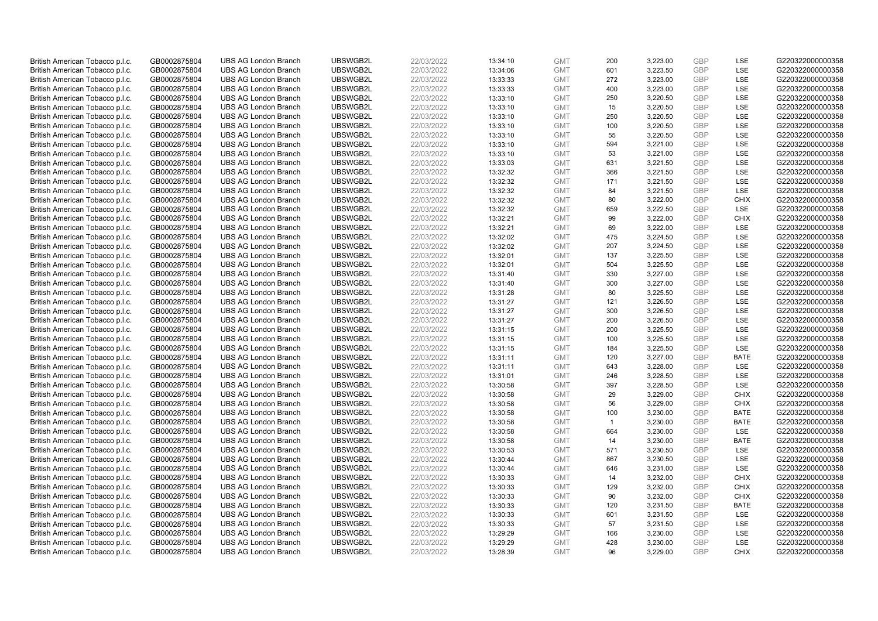| British American Tobacco p.l.c. | GB0002875804 | <b>UBS AG London Branch</b> | UBSWGB2L | 22/03/2022 |          | <b>GMT</b> | 200          | 3,223.00 | <b>GBP</b>               | LSE         | G220322000000358 |
|---------------------------------|--------------|-----------------------------|----------|------------|----------|------------|--------------|----------|--------------------------|-------------|------------------|
|                                 |              |                             |          |            | 13:34:10 |            |              |          |                          |             |                  |
| British American Tobacco p.l.c. | GB0002875804 | <b>UBS AG London Branch</b> | UBSWGB2L | 22/03/2022 | 13:34:06 | <b>GMT</b> | 601          | 3,223.50 | GBP                      | LSE         | G220322000000358 |
| British American Tobacco p.l.c. | GB0002875804 | <b>UBS AG London Branch</b> | UBSWGB2L | 22/03/2022 | 13:33:33 | <b>GMT</b> | 272          | 3,223.00 | <b>GBP</b>               | LSE         | G220322000000358 |
| British American Tobacco p.l.c. | GB0002875804 | <b>UBS AG London Branch</b> | UBSWGB2L | 22/03/2022 | 13:33:33 | <b>GMT</b> | 400          | 3,223.00 | <b>GBP</b>               | LSE         | G220322000000358 |
| British American Tobacco p.l.c. | GB0002875804 | <b>UBS AG London Branch</b> | UBSWGB2L | 22/03/2022 | 13:33:10 | <b>GMT</b> | 250          | 3,220.50 | <b>GBP</b>               | LSE         | G220322000000358 |
| British American Tobacco p.l.c. | GB0002875804 | <b>UBS AG London Branch</b> | UBSWGB2L | 22/03/2022 | 13:33:10 | <b>GMT</b> | 15           | 3,220.50 | <b>GBP</b>               | LSE         | G220322000000358 |
| British American Tobacco p.l.c. | GB0002875804 | <b>UBS AG London Branch</b> | UBSWGB2L | 22/03/2022 | 13:33:10 | <b>GMT</b> | 250          | 3,220.50 | <b>GBP</b>               | LSE         | G220322000000358 |
| British American Tobacco p.l.c. | GB0002875804 | <b>UBS AG London Branch</b> | UBSWGB2L | 22/03/2022 | 13:33:10 | <b>GMT</b> | 100          | 3,220.50 | <b>GBP</b>               | LSE         | G220322000000358 |
| British American Tobacco p.l.c. | GB0002875804 | <b>UBS AG London Branch</b> | UBSWGB2L | 22/03/2022 | 13:33:10 | <b>GMT</b> | 55           | 3,220.50 | <b>GBP</b>               | LSE         | G220322000000358 |
| British American Tobacco p.l.c. | GB0002875804 | <b>UBS AG London Branch</b> | UBSWGB2L | 22/03/2022 | 13:33:10 | <b>GMT</b> | 594          | 3,221.00 | <b>GBP</b>               | LSE         | G220322000000358 |
| British American Tobacco p.l.c. | GB0002875804 | <b>UBS AG London Branch</b> | UBSWGB2L | 22/03/2022 | 13:33:10 | <b>GMT</b> | 53           | 3.221.00 | <b>GBP</b>               | LSE         | G220322000000358 |
| British American Tobacco p.l.c. | GB0002875804 | <b>UBS AG London Branch</b> | UBSWGB2L | 22/03/2022 | 13:33:03 | <b>GMT</b> | 631          | 3,221.50 | <b>GBP</b>               | LSE         | G220322000000358 |
| British American Tobacco p.l.c. | GB0002875804 | <b>UBS AG London Branch</b> | UBSWGB2L | 22/03/2022 | 13:32:32 | <b>GMT</b> | 366          | 3,221.50 | <b>GBP</b>               | <b>LSE</b>  | G220322000000358 |
| British American Tobacco p.l.c. | GB0002875804 | <b>UBS AG London Branch</b> | UBSWGB2L | 22/03/2022 | 13:32:32 | <b>GMT</b> | 171          | 3,221.50 | <b>GBP</b>               | LSE         | G220322000000358 |
| British American Tobacco p.l.c. | GB0002875804 | <b>UBS AG London Branch</b> | UBSWGB2L | 22/03/2022 | 13:32:32 | <b>GMT</b> | 84           | 3,221.50 | <b>GBP</b>               | <b>LSE</b>  | G220322000000358 |
| British American Tobacco p.l.c. | GB0002875804 | <b>UBS AG London Branch</b> | UBSWGB2L | 22/03/2022 | 13:32:32 | <b>GMT</b> | 80           | 3,222.00 | <b>GBP</b>               | <b>CHIX</b> | G220322000000358 |
| British American Tobacco p.l.c. | GB0002875804 | <b>UBS AG London Branch</b> | UBSWGB2L | 22/03/2022 | 13:32:32 | <b>GMT</b> | 659          | 3,222.50 | <b>GBP</b>               | LSE         | G220322000000358 |
| British American Tobacco p.l.c. | GB0002875804 | <b>UBS AG London Branch</b> | UBSWGB2L | 22/03/2022 | 13:32:21 | <b>GMT</b> | 99           | 3,222.00 | <b>GBP</b>               | <b>CHIX</b> | G220322000000358 |
| British American Tobacco p.l.c. | GB0002875804 | <b>UBS AG London Branch</b> | UBSWGB2L | 22/03/2022 | 13:32:21 | <b>GMT</b> | 69           | 3,222.00 | <b>GBP</b>               | <b>LSE</b>  | G220322000000358 |
| British American Tobacco p.l.c. | GB0002875804 | <b>UBS AG London Branch</b> | UBSWGB2L | 22/03/2022 | 13:32:02 | <b>GMT</b> | 475          | 3,224.50 | <b>GBP</b>               | LSE         | G220322000000358 |
| British American Tobacco p.l.c. | GB0002875804 | <b>UBS AG London Branch</b> | UBSWGB2L | 22/03/2022 | 13:32:02 | <b>GMT</b> | 207          | 3,224.50 | <b>GBP</b>               | LSE         | G220322000000358 |
| British American Tobacco p.l.c. | GB0002875804 | <b>UBS AG London Branch</b> | UBSWGB2L | 22/03/2022 | 13:32:01 | <b>GMT</b> | 137          | 3,225.50 | <b>GBP</b>               | LSE         | G220322000000358 |
| British American Tobacco p.l.c. | GB0002875804 | <b>UBS AG London Branch</b> | UBSWGB2L | 22/03/2022 | 13:32:01 | <b>GMT</b> | 504          | 3,225.50 | <b>GBP</b>               | LSE         | G220322000000358 |
| British American Tobacco p.l.c. | GB0002875804 | <b>UBS AG London Branch</b> | UBSWGB2L | 22/03/2022 | 13:31:40 | <b>GMT</b> | 330          | 3,227.00 | <b>GBP</b>               | <b>LSE</b>  | G220322000000358 |
| British American Tobacco p.l.c. | GB0002875804 | <b>UBS AG London Branch</b> | UBSWGB2L | 22/03/2022 | 13:31:40 | <b>GMT</b> | 300          | 3,227.00 | <b>GBP</b>               | LSE         | G220322000000358 |
| British American Tobacco p.l.c. | GB0002875804 | <b>UBS AG London Branch</b> | UBSWGB2L | 22/03/2022 | 13:31:28 | <b>GMT</b> | 80           | 3,225.50 | <b>GBP</b>               | LSE         | G220322000000358 |
| British American Tobacco p.l.c. | GB0002875804 | <b>UBS AG London Branch</b> | UBSWGB2L | 22/03/2022 | 13:31:27 | <b>GMT</b> | 121          | 3,226.50 | <b>GBP</b>               | LSE         | G220322000000358 |
| British American Tobacco p.l.c. | GB0002875804 | <b>UBS AG London Branch</b> | UBSWGB2L | 22/03/2022 | 13:31:27 | <b>GMT</b> | 300          | 3,226.50 | <b>GBP</b>               | <b>LSE</b>  | G220322000000358 |
| British American Tobacco p.l.c. | GB0002875804 | <b>UBS AG London Branch</b> | UBSWGB2L | 22/03/2022 | 13:31:27 | <b>GMT</b> | 200          | 3,226.50 | <b>GBP</b>               | LSE         | G220322000000358 |
| British American Tobacco p.l.c. | GB0002875804 | <b>UBS AG London Branch</b> | UBSWGB2L | 22/03/2022 | 13:31:15 | <b>GMT</b> | 200          | 3,225.50 | <b>GBP</b>               | LSE         | G220322000000358 |
| British American Tobacco p.l.c. | GB0002875804 | <b>UBS AG London Branch</b> | UBSWGB2L | 22/03/2022 | 13:31:15 | <b>GMT</b> | 100          | 3,225.50 | <b>GBP</b>               | LSE         | G220322000000358 |
|                                 |              | <b>UBS AG London Branch</b> | UBSWGB2L |            |          |            | 184          |          |                          | <b>LSE</b>  |                  |
| British American Tobacco p.l.c. | GB0002875804 |                             |          | 22/03/2022 | 13:31:15 | <b>GMT</b> |              | 3,225.50 | <b>GBP</b><br><b>GBP</b> |             | G220322000000358 |
| British American Tobacco p.l.c. | GB0002875804 | <b>UBS AG London Branch</b> | UBSWGB2L | 22/03/2022 | 13:31:11 | <b>GMT</b> | 120          | 3,227.00 |                          | <b>BATE</b> | G220322000000358 |
| British American Tobacco p.l.c. | GB0002875804 | <b>UBS AG London Branch</b> | UBSWGB2L | 22/03/2022 | 13:31:11 | <b>GMT</b> | 643          | 3,228.00 | <b>GBP</b>               | LSE         | G220322000000358 |
| British American Tobacco p.l.c. | GB0002875804 | <b>UBS AG London Branch</b> | UBSWGB2L | 22/03/2022 | 13:31:01 | <b>GMT</b> | 246          | 3,228.50 | <b>GBP</b>               | LSE         | G220322000000358 |
| British American Tobacco p.l.c. | GB0002875804 | <b>UBS AG London Branch</b> | UBSWGB2L | 22/03/2022 | 13:30:58 | <b>GMT</b> | 397          | 3,228.50 | <b>GBP</b>               | LSE         | G220322000000358 |
| British American Tobacco p.l.c. | GB0002875804 | <b>UBS AG London Branch</b> | UBSWGB2L | 22/03/2022 | 13:30:58 | <b>GMT</b> | 29           | 3,229.00 | <b>GBP</b>               | <b>CHIX</b> | G220322000000358 |
| British American Tobacco p.l.c. | GB0002875804 | <b>UBS AG London Branch</b> | UBSWGB2L | 22/03/2022 | 13:30:58 | <b>GMT</b> | 56           | 3,229.00 | <b>GBP</b>               | <b>CHIX</b> | G220322000000358 |
| British American Tobacco p.l.c. | GB0002875804 | <b>UBS AG London Branch</b> | UBSWGB2L | 22/03/2022 | 13:30:58 | <b>GMT</b> | 100          | 3,230.00 | <b>GBP</b>               | <b>BATE</b> | G220322000000358 |
| British American Tobacco p.l.c. | GB0002875804 | <b>UBS AG London Branch</b> | UBSWGB2L | 22/03/2022 | 13:30:58 | <b>GMT</b> | $\mathbf{1}$ | 3,230.00 | <b>GBP</b>               | <b>BATE</b> | G220322000000358 |
| British American Tobacco p.l.c. | GB0002875804 | <b>UBS AG London Branch</b> | UBSWGB2L | 22/03/2022 | 13:30:58 | <b>GMT</b> | 664          | 3,230.00 | <b>GBP</b>               | LSE         | G220322000000358 |
| British American Tobacco p.l.c. | GB0002875804 | <b>UBS AG London Branch</b> | UBSWGB2L | 22/03/2022 | 13:30:58 | <b>GMT</b> | 14           | 3,230.00 | <b>GBP</b>               | <b>BATE</b> | G220322000000358 |
| British American Tobacco p.l.c. | GB0002875804 | <b>UBS AG London Branch</b> | UBSWGB2L | 22/03/2022 | 13:30:53 | <b>GMT</b> | 571          | 3,230.50 | <b>GBP</b>               | LSE         | G220322000000358 |
| British American Tobacco p.l.c. | GB0002875804 | <b>UBS AG London Branch</b> | UBSWGB2L | 22/03/2022 | 13:30:44 | <b>GMT</b> | 867          | 3,230.50 | <b>GBP</b>               | LSE         | G220322000000358 |
| British American Tobacco p.l.c. | GB0002875804 | <b>UBS AG London Branch</b> | UBSWGB2L | 22/03/2022 | 13:30:44 | <b>GMT</b> | 646          | 3,231.00 | <b>GBP</b>               | LSE         | G220322000000358 |
| British American Tobacco p.l.c. | GB0002875804 | <b>UBS AG London Branch</b> | UBSWGB2L | 22/03/2022 | 13:30:33 | <b>GMT</b> | 14           | 3,232.00 | <b>GBP</b>               | <b>CHIX</b> | G220322000000358 |
| British American Tobacco p.l.c. | GB0002875804 | <b>UBS AG London Branch</b> | UBSWGB2L | 22/03/2022 | 13:30:33 | <b>GMT</b> | 129          | 3,232.00 | <b>GBP</b>               | <b>CHIX</b> | G220322000000358 |
| British American Tobacco p.l.c. | GB0002875804 | <b>UBS AG London Branch</b> | UBSWGB2L | 22/03/2022 | 13:30:33 | <b>GMT</b> | 90           | 3,232.00 | <b>GBP</b>               | <b>CHIX</b> | G220322000000358 |
| British American Tobacco p.l.c. | GB0002875804 | <b>UBS AG London Branch</b> | UBSWGB2L | 22/03/2022 | 13:30:33 | <b>GMT</b> | 120          | 3,231.50 | <b>GBP</b>               | <b>BATE</b> | G220322000000358 |
| British American Tobacco p.l.c. | GB0002875804 | <b>UBS AG London Branch</b> | UBSWGB2L | 22/03/2022 | 13:30:33 | <b>GMT</b> | 601          | 3,231.50 | <b>GBP</b>               | <b>LSE</b>  | G220322000000358 |
| British American Tobacco p.l.c. | GB0002875804 | <b>UBS AG London Branch</b> | UBSWGB2L | 22/03/2022 | 13:30:33 | <b>GMT</b> | 57           | 3,231.50 | <b>GBP</b>               | LSE         | G220322000000358 |
| British American Tobacco p.l.c. | GB0002875804 | <b>UBS AG London Branch</b> | UBSWGB2L | 22/03/2022 | 13:29:29 | <b>GMT</b> | 166          | 3,230.00 | <b>GBP</b>               | LSE         | G220322000000358 |
| British American Tobacco p.l.c. | GB0002875804 | <b>UBS AG London Branch</b> | UBSWGB2L | 22/03/2022 | 13:29:29 | <b>GMT</b> | 428          | 3,230.00 | <b>GBP</b>               | LSE         | G220322000000358 |
| British American Tobacco p.l.c. | GB0002875804 | <b>UBS AG London Branch</b> | UBSWGB2L | 22/03/2022 | 13:28:39 | <b>GMT</b> | 96           | 3.229.00 | GBP                      | <b>CHIX</b> | G220322000000358 |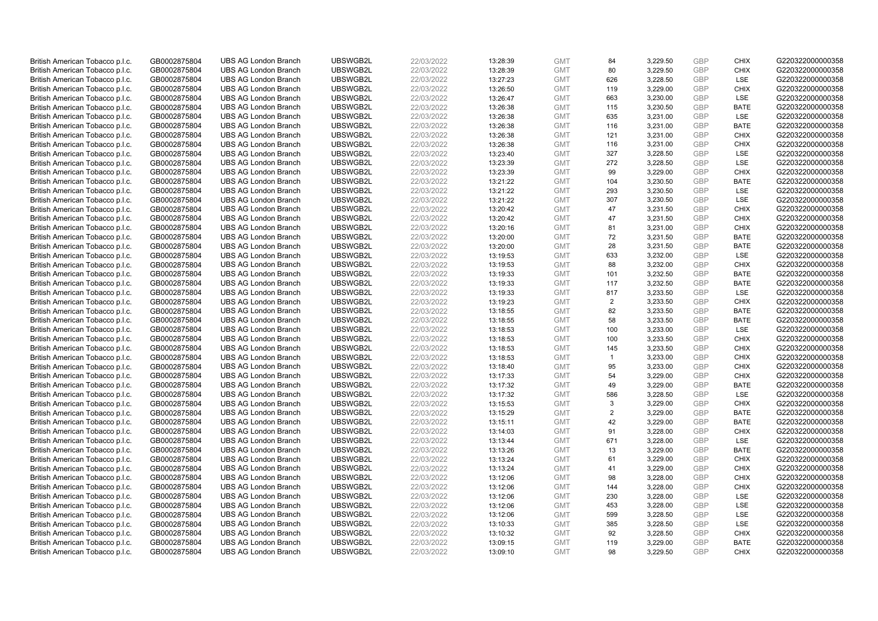| British American Tobacco p.l.c. | GB0002875804 | <b>UBS AG London Branch</b> | UBSWGB2L | 22/03/2022 | 13:28:39 | <b>GMT</b> | 84             | 3,229.50 | <b>GBP</b> | <b>CHIX</b> | G220322000000358 |
|---------------------------------|--------------|-----------------------------|----------|------------|----------|------------|----------------|----------|------------|-------------|------------------|
| British American Tobacco p.l.c. | GB0002875804 | <b>UBS AG London Branch</b> | UBSWGB2L | 22/03/2022 | 13:28:39 | <b>GMT</b> | 80             | 3,229.50 | <b>GBP</b> | <b>CHIX</b> | G220322000000358 |
| British American Tobacco p.l.c. | GB0002875804 | <b>UBS AG London Branch</b> | UBSWGB2L | 22/03/2022 | 13:27:23 | <b>GMT</b> | 626            | 3,228.50 | <b>GBP</b> | LSE         | G220322000000358 |
| British American Tobacco p.l.c. | GB0002875804 | <b>UBS AG London Branch</b> | UBSWGB2L | 22/03/2022 | 13:26:50 | <b>GMT</b> | 119            | 3,229.00 | <b>GBP</b> | <b>CHIX</b> | G220322000000358 |
| British American Tobacco p.l.c. | GB0002875804 | <b>UBS AG London Branch</b> | UBSWGB2L | 22/03/2022 | 13:26:47 | <b>GMT</b> | 663            | 3,230.00 | <b>GBP</b> | LSE         | G220322000000358 |
| British American Tobacco p.l.c. | GB0002875804 | <b>UBS AG London Branch</b> | UBSWGB2L | 22/03/2022 | 13:26:38 | <b>GMT</b> | 115            | 3,230.50 | <b>GBP</b> | <b>BATE</b> | G220322000000358 |
| British American Tobacco p.l.c. | GB0002875804 | <b>UBS AG London Branch</b> | UBSWGB2L | 22/03/2022 | 13:26:38 | <b>GMT</b> | 635            | 3,231.00 | <b>GBP</b> | LSE         | G220322000000358 |
| British American Tobacco p.l.c. | GB0002875804 | <b>UBS AG London Branch</b> | UBSWGB2L | 22/03/2022 | 13:26:38 | <b>GMT</b> | 116            | 3,231.00 | <b>GBP</b> | <b>BATE</b> | G220322000000358 |
| British American Tobacco p.l.c. | GB0002875804 | <b>UBS AG London Branch</b> | UBSWGB2L | 22/03/2022 | 13:26:38 | <b>GMT</b> | 121            | 3,231.00 | <b>GBP</b> | <b>CHIX</b> | G220322000000358 |
| British American Tobacco p.l.c. | GB0002875804 | <b>UBS AG London Branch</b> | UBSWGB2L | 22/03/2022 | 13:26:38 | <b>GMT</b> | 116            | 3,231.00 | <b>GBP</b> | <b>CHIX</b> | G220322000000358 |
| British American Tobacco p.l.c. | GB0002875804 | <b>UBS AG London Branch</b> | UBSWGB2L | 22/03/2022 | 13:23:40 | <b>GMT</b> | 327            | 3.228.50 | <b>GBP</b> | <b>LSE</b>  | G220322000000358 |
| British American Tobacco p.l.c. | GB0002875804 | <b>UBS AG London Branch</b> | UBSWGB2L | 22/03/2022 | 13:23:39 | <b>GMT</b> | 272            | 3,228.50 | <b>GBP</b> | LSE         | G220322000000358 |
| British American Tobacco p.l.c. | GB0002875804 | <b>UBS AG London Branch</b> | UBSWGB2L | 22/03/2022 | 13:23:39 | <b>GMT</b> | 99             | 3,229.00 | <b>GBP</b> | <b>CHIX</b> | G220322000000358 |
| British American Tobacco p.l.c. | GB0002875804 | <b>UBS AG London Branch</b> | UBSWGB2L | 22/03/2022 | 13:21:22 | <b>GMT</b> | 104            | 3,230.50 | <b>GBP</b> | <b>BATE</b> | G220322000000358 |
| British American Tobacco p.l.c. | GB0002875804 | <b>UBS AG London Branch</b> | UBSWGB2L | 22/03/2022 | 13:21:22 | <b>GMT</b> | 293            | 3,230.50 | <b>GBP</b> | <b>LSE</b>  | G220322000000358 |
|                                 |              |                             | UBSWGB2L |            |          |            |                |          |            | LSE         |                  |
| British American Tobacco p.l.c. | GB0002875804 | <b>UBS AG London Branch</b> |          | 22/03/2022 | 13:21:22 | <b>GMT</b> | 307            | 3,230.50 | <b>GBP</b> |             | G220322000000358 |
| British American Tobacco p.l.c. | GB0002875804 | <b>UBS AG London Branch</b> | UBSWGB2L | 22/03/2022 | 13:20:42 | <b>GMT</b> | 47             | 3,231.50 | <b>GBP</b> | <b>CHIX</b> | G220322000000358 |
| British American Tobacco p.l.c. | GB0002875804 | <b>UBS AG London Branch</b> | UBSWGB2L | 22/03/2022 | 13:20:42 | <b>GMT</b> | 47             | 3,231.50 | <b>GBP</b> | <b>CHIX</b> | G220322000000358 |
| British American Tobacco p.l.c. | GB0002875804 | <b>UBS AG London Branch</b> | UBSWGB2L | 22/03/2022 | 13:20:16 | <b>GMT</b> | 81             | 3,231.00 | <b>GBP</b> | <b>CHIX</b> | G220322000000358 |
| British American Tobacco p.l.c. | GB0002875804 | <b>UBS AG London Branch</b> | UBSWGB2L | 22/03/2022 | 13:20:00 | <b>GMT</b> | 72             | 3,231.50 | <b>GBP</b> | <b>BATE</b> | G220322000000358 |
| British American Tobacco p.l.c. | GB0002875804 | <b>UBS AG London Branch</b> | UBSWGB2L | 22/03/2022 | 13:20:00 | <b>GMT</b> | 28             | 3,231.50 | <b>GBP</b> | <b>BATE</b> | G220322000000358 |
| British American Tobacco p.l.c. | GB0002875804 | <b>UBS AG London Branch</b> | UBSWGB2L | 22/03/2022 | 13:19:53 | <b>GMT</b> | 633            | 3,232.00 | <b>GBP</b> | LSE         | G220322000000358 |
| British American Tobacco p.l.c. | GB0002875804 | <b>UBS AG London Branch</b> | UBSWGB2L | 22/03/2022 | 13:19:53 | <b>GMT</b> | 88             | 3,232.00 | <b>GBP</b> | <b>CHIX</b> | G220322000000358 |
| British American Tobacco p.l.c. | GB0002875804 | <b>UBS AG London Branch</b> | UBSWGB2L | 22/03/2022 | 13:19:33 | <b>GMT</b> | 101            | 3,232.50 | <b>GBP</b> | <b>BATE</b> | G220322000000358 |
| British American Tobacco p.l.c. | GB0002875804 | <b>UBS AG London Branch</b> | UBSWGB2L | 22/03/2022 | 13:19:33 | <b>GMT</b> | 117            | 3,232.50 | <b>GBP</b> | <b>BATE</b> | G220322000000358 |
| British American Tobacco p.l.c. | GB0002875804 | <b>UBS AG London Branch</b> | UBSWGB2L | 22/03/2022 | 13:19:33 | <b>GMT</b> | 817            | 3,233.50 | <b>GBP</b> | LSE         | G220322000000358 |
| British American Tobacco p.l.c. | GB0002875804 | <b>UBS AG London Branch</b> | UBSWGB2L | 22/03/2022 | 13:19:23 | <b>GMT</b> | 2              | 3,233.50 | <b>GBP</b> | <b>CHIX</b> | G220322000000358 |
| British American Tobacco p.l.c. | GB0002875804 | <b>UBS AG London Branch</b> | UBSWGB2L | 22/03/2022 | 13:18:55 | <b>GMT</b> | 82             | 3,233.50 | <b>GBP</b> | <b>BATE</b> | G220322000000358 |
| British American Tobacco p.l.c. | GB0002875804 | <b>UBS AG London Branch</b> | UBSWGB2L | 22/03/2022 | 13:18:55 | <b>GMT</b> | 58             | 3,233.50 | <b>GBP</b> | <b>BATE</b> | G220322000000358 |
| British American Tobacco p.l.c. | GB0002875804 | <b>UBS AG London Branch</b> | UBSWGB2L | 22/03/2022 | 13:18:53 | <b>GMT</b> | 100            | 3,233.00 | <b>GBP</b> | LSE         | G220322000000358 |
| British American Tobacco p.l.c. | GB0002875804 | <b>UBS AG London Branch</b> | UBSWGB2L | 22/03/2022 | 13:18:53 | <b>GMT</b> | 100            | 3,233.50 | <b>GBP</b> | <b>CHIX</b> | G220322000000358 |
| British American Tobacco p.l.c. | GB0002875804 | <b>UBS AG London Branch</b> | UBSWGB2L | 22/03/2022 | 13:18:53 | <b>GMT</b> | 145            | 3,233.50 | <b>GBP</b> | <b>CHIX</b> | G220322000000358 |
| British American Tobacco p.l.c. | GB0002875804 | <b>UBS AG London Branch</b> | UBSWGB2L | 22/03/2022 | 13:18:53 | <b>GMT</b> | $\mathbf{1}$   | 3,233.00 | <b>GBP</b> | <b>CHIX</b> | G220322000000358 |
| British American Tobacco p.l.c. | GB0002875804 | <b>UBS AG London Branch</b> | UBSWGB2L | 22/03/2022 | 13:18:40 | <b>GMT</b> | 95             | 3,233.00 | <b>GBP</b> | <b>CHIX</b> | G220322000000358 |
| British American Tobacco p.l.c. | GB0002875804 | <b>UBS AG London Branch</b> | UBSWGB2L | 22/03/2022 | 13:17:33 | <b>GMT</b> | 54             | 3,229.00 | <b>GBP</b> | <b>CHIX</b> | G220322000000358 |
| British American Tobacco p.l.c. | GB0002875804 | <b>UBS AG London Branch</b> | UBSWGB2L | 22/03/2022 | 13:17:32 | <b>GMT</b> | 49             | 3,229.00 | <b>GBP</b> | <b>BATE</b> | G220322000000358 |
| British American Tobacco p.l.c. | GB0002875804 | <b>UBS AG London Branch</b> | UBSWGB2L | 22/03/2022 | 13:17:32 | <b>GMT</b> | 586            | 3,228.50 | <b>GBP</b> | LSE         | G220322000000358 |
| British American Tobacco p.l.c. | GB0002875804 | <b>UBS AG London Branch</b> | UBSWGB2L | 22/03/2022 | 13:15:53 | <b>GMT</b> | 3              | 3,229.00 | <b>GBP</b> | <b>CHIX</b> | G220322000000358 |
| British American Tobacco p.l.c. | GB0002875804 | <b>UBS AG London Branch</b> | UBSWGB2L | 22/03/2022 | 13:15:29 | <b>GMT</b> | $\overline{2}$ | 3,229.00 | <b>GBP</b> | <b>BATE</b> | G220322000000358 |
| British American Tobacco p.l.c. | GB0002875804 | <b>UBS AG London Branch</b> | UBSWGB2L | 22/03/2022 | 13:15:11 | <b>GMT</b> | 42             | 3,229.00 | <b>GBP</b> | <b>BATE</b> | G220322000000358 |
| British American Tobacco p.l.c. | GB0002875804 | <b>UBS AG London Branch</b> | UBSWGB2L | 22/03/2022 | 13:14:03 | <b>GMT</b> | 91             | 3,228.00 | <b>GBP</b> | <b>CHIX</b> | G220322000000358 |
| British American Tobacco p.l.c. | GB0002875804 | <b>UBS AG London Branch</b> | UBSWGB2L | 22/03/2022 | 13:13:44 | <b>GMT</b> | 671            | 3,228.00 | <b>GBP</b> | LSE         | G220322000000358 |
| British American Tobacco p.l.c. | GB0002875804 | <b>UBS AG London Branch</b> | UBSWGB2L | 22/03/2022 | 13:13:26 | <b>GMT</b> | 13             | 3,229.00 | <b>GBP</b> | <b>BATE</b> | G220322000000358 |
| British American Tobacco p.l.c. |              | <b>UBS AG London Branch</b> | UBSWGB2L | 22/03/2022 |          | <b>GMT</b> | 61             | 3,229.00 | <b>GBP</b> | <b>CHIX</b> |                  |
|                                 | GB0002875804 |                             | UBSWGB2L |            | 13:13:24 |            | 41             |          |            |             | G220322000000358 |
| British American Tobacco p.l.c. | GB0002875804 | <b>UBS AG London Branch</b> |          | 22/03/2022 | 13:13:24 | <b>GMT</b> |                | 3,229.00 | <b>GBP</b> | <b>CHIX</b> | G220322000000358 |
| British American Tobacco p.l.c. | GB0002875804 | <b>UBS AG London Branch</b> | UBSWGB2L | 22/03/2022 | 13:12:06 | <b>GMT</b> | 98             | 3,228.00 | <b>GBP</b> | <b>CHIX</b> | G220322000000358 |
| British American Tobacco p.l.c. | GB0002875804 | <b>UBS AG London Branch</b> | UBSWGB2L | 22/03/2022 | 13:12:06 | <b>GMT</b> | 144            | 3,228.00 | <b>GBP</b> | <b>CHIX</b> | G220322000000358 |
| British American Tobacco p.l.c. | GB0002875804 | <b>UBS AG London Branch</b> | UBSWGB2L | 22/03/2022 | 13:12:06 | <b>GMT</b> | 230            | 3,228.00 | <b>GBP</b> | LSE         | G220322000000358 |
| British American Tobacco p.l.c. | GB0002875804 | <b>UBS AG London Branch</b> | UBSWGB2L | 22/03/2022 | 13:12:06 | <b>GMT</b> | 453            | 3,228.00 | <b>GBP</b> | LSE         | G220322000000358 |
| British American Tobacco p.l.c. | GB0002875804 | <b>UBS AG London Branch</b> | UBSWGB2L | 22/03/2022 | 13:12:06 | <b>GMT</b> | 599            | 3,228.50 | <b>GBP</b> | LSE         | G220322000000358 |
| British American Tobacco p.l.c. | GB0002875804 | <b>UBS AG London Branch</b> | UBSWGB2L | 22/03/2022 | 13:10:33 | <b>GMT</b> | 385            | 3,228.50 | <b>GBP</b> | LSE         | G220322000000358 |
| British American Tobacco p.l.c. | GB0002875804 | <b>UBS AG London Branch</b> | UBSWGB2L | 22/03/2022 | 13:10:32 | <b>GMT</b> | 92             | 3,228.50 | <b>GBP</b> | <b>CHIX</b> | G220322000000358 |
| British American Tobacco p.l.c. | GB0002875804 | <b>UBS AG London Branch</b> | UBSWGB2L | 22/03/2022 | 13:09:15 | <b>GMT</b> | 119            | 3,229.00 | <b>GBP</b> | <b>BATE</b> | G220322000000358 |
| British American Tobacco p.l.c. | GB0002875804 | <b>UBS AG London Branch</b> | UBSWGB2L | 22/03/2022 | 13:09:10 | <b>GMT</b> | 98             | 3.229.50 | GBP        | <b>CHIX</b> | G220322000000358 |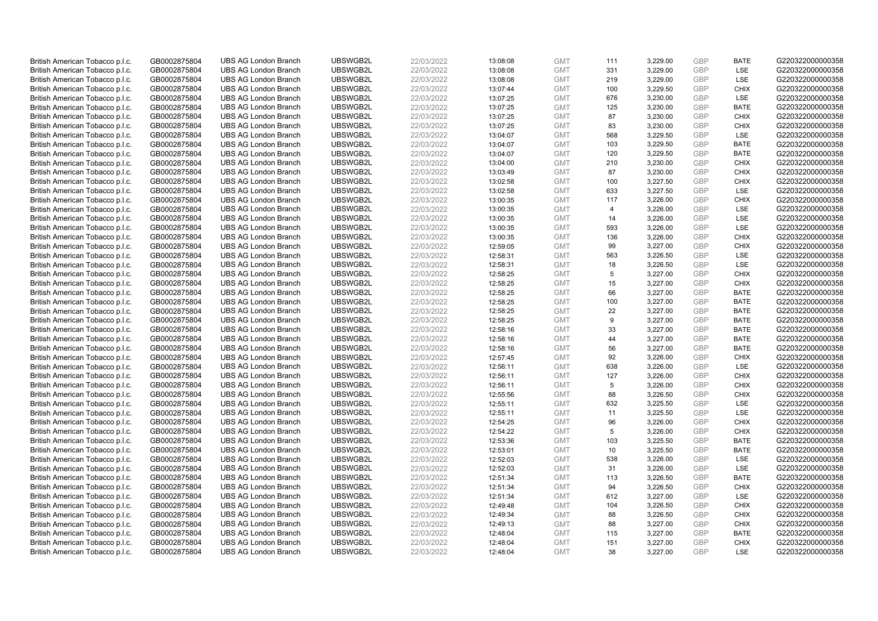| British American Tobacco p.l.c. | GB0002875804 | <b>UBS AG London Branch</b> | UBSWGB2L | 22/03/2022 | 13:08:08 | <b>GMT</b> | 111            | 3,229.00 | <b>GBP</b> | <b>BATE</b> | G220322000000358 |
|---------------------------------|--------------|-----------------------------|----------|------------|----------|------------|----------------|----------|------------|-------------|------------------|
| British American Tobacco p.l.c. | GB0002875804 | <b>UBS AG London Branch</b> | UBSWGB2L | 22/03/2022 | 13:08:08 | <b>GMT</b> | 331            | 3,229.00 | GBP        | LSE         | G220322000000358 |
| British American Tobacco p.l.c. | GB0002875804 | <b>UBS AG London Branch</b> | UBSWGB2L | 22/03/2022 | 13:08:08 | <b>GMT</b> | 219            | 3,229.00 | GBP        | LSE         | G220322000000358 |
| British American Tobacco p.l.c. | GB0002875804 | <b>UBS AG London Branch</b> | UBSWGB2L | 22/03/2022 | 13:07:44 | <b>GMT</b> | 100            | 3,229.50 | <b>GBP</b> | <b>CHIX</b> | G220322000000358 |
| British American Tobacco p.l.c. | GB0002875804 | <b>UBS AG London Branch</b> | UBSWGB2L | 22/03/2022 | 13:07:25 | <b>GMT</b> | 676            | 3,230.00 | GBP        | LSE         | G220322000000358 |
| British American Tobacco p.l.c. | GB0002875804 | <b>UBS AG London Branch</b> | UBSWGB2L | 22/03/2022 | 13:07:25 | <b>GMT</b> | 125            | 3,230.00 | <b>GBP</b> | <b>BATE</b> | G220322000000358 |
| British American Tobacco p.l.c. | GB0002875804 | <b>UBS AG London Branch</b> | UBSWGB2L | 22/03/2022 | 13:07:25 | <b>GMT</b> | 87             | 3,230.00 | GBP        | <b>CHIX</b> | G220322000000358 |
| British American Tobacco p.l.c. | GB0002875804 | <b>UBS AG London Branch</b> | UBSWGB2L | 22/03/2022 | 13:07:25 | <b>GMT</b> | 83             | 3,230.00 | <b>GBP</b> | <b>CHIX</b> | G220322000000358 |
| British American Tobacco p.l.c. | GB0002875804 | <b>UBS AG London Branch</b> | UBSWGB2L | 22/03/2022 | 13:04:07 | <b>GMT</b> | 568            | 3,229.50 | GBP        | LSE         | G220322000000358 |
| British American Tobacco p.l.c. | GB0002875804 | <b>UBS AG London Branch</b> | UBSWGB2L | 22/03/2022 | 13:04:07 | <b>GMT</b> | 103            | 3,229.50 | <b>GBP</b> | <b>BATE</b> | G220322000000358 |
| British American Tobacco p.l.c. | GB0002875804 | <b>UBS AG London Branch</b> | UBSWGB2L | 22/03/2022 | 13:04:07 | <b>GMT</b> | 120            | 3.229.50 | GBP        | <b>BATE</b> | G220322000000358 |
| British American Tobacco p.l.c. | GB0002875804 | <b>UBS AG London Branch</b> | UBSWGB2L | 22/03/2022 | 13:04:00 | <b>GMT</b> | 210            | 3,230.00 | <b>GBP</b> | <b>CHIX</b> | G220322000000358 |
| British American Tobacco p.l.c. | GB0002875804 | <b>UBS AG London Branch</b> | UBSWGB2L | 22/03/2022 | 13:03:49 | <b>GMT</b> | 87             | 3,230.00 | GBP        | <b>CHIX</b> | G220322000000358 |
| British American Tobacco p.l.c. | GB0002875804 | <b>UBS AG London Branch</b> | UBSWGB2L | 22/03/2022 | 13:02:58 | <b>GMT</b> | 100            | 3,227.50 | <b>GBP</b> | <b>CHIX</b> | G220322000000358 |
| British American Tobacco p.l.c. | GB0002875804 | <b>UBS AG London Branch</b> | UBSWGB2L | 22/03/2022 | 13:02:58 | <b>GMT</b> | 633            | 3,227.50 | GBP        | <b>LSE</b>  | G220322000000358 |
| British American Tobacco p.l.c. | GB0002875804 | <b>UBS AG London Branch</b> | UBSWGB2L | 22/03/2022 | 13:00:35 | <b>GMT</b> | 117            | 3,226.00 | GBP        | <b>CHIX</b> | G220322000000358 |
| British American Tobacco p.l.c. | GB0002875804 | <b>UBS AG London Branch</b> | UBSWGB2L | 22/03/2022 | 13:00:35 | <b>GMT</b> | $\overline{4}$ | 3,226.00 | GBP        | LSE         | G220322000000358 |
| British American Tobacco p.l.c. | GB0002875804 | <b>UBS AG London Branch</b> | UBSWGB2L | 22/03/2022 | 13:00:35 | <b>GMT</b> | 14             | 3,226.00 | <b>GBP</b> | <b>LSE</b>  | G220322000000358 |
| British American Tobacco p.l.c. | GB0002875804 | <b>UBS AG London Branch</b> | UBSWGB2L | 22/03/2022 | 13:00:35 | <b>GMT</b> | 593            | 3,226.00 | <b>GBP</b> | <b>LSE</b>  | G220322000000358 |
| British American Tobacco p.l.c. | GB0002875804 | <b>UBS AG London Branch</b> | UBSWGB2L | 22/03/2022 | 13:00:35 | <b>GMT</b> | 136            | 3,226.00 | <b>GBP</b> | <b>CHIX</b> | G220322000000358 |
| British American Tobacco p.l.c. | GB0002875804 | <b>UBS AG London Branch</b> | UBSWGB2L | 22/03/2022 | 12:59:05 | <b>GMT</b> | 99             | 3,227.00 | <b>GBP</b> | <b>CHIX</b> | G220322000000358 |
| British American Tobacco p.l.c. | GB0002875804 | <b>UBS AG London Branch</b> | UBSWGB2L | 22/03/2022 | 12:58:31 | <b>GMT</b> | 563            | 3,226.50 | GBP        | LSE         | G220322000000358 |
| British American Tobacco p.l.c. | GB0002875804 | <b>UBS AG London Branch</b> | UBSWGB2L | 22/03/2022 | 12:58:31 | <b>GMT</b> | 18             | 3,226.50 | <b>GBP</b> | LSE         | G220322000000358 |
| British American Tobacco p.l.c. | GB0002875804 | <b>UBS AG London Branch</b> | UBSWGB2L | 22/03/2022 | 12:58:25 | <b>GMT</b> | 5              | 3.227.00 | <b>GBP</b> | CHIX        | G220322000000358 |
| British American Tobacco p.l.c. | GB0002875804 | <b>UBS AG London Branch</b> | UBSWGB2L | 22/03/2022 | 12:58:25 | <b>GMT</b> | 15             | 3,227.00 | <b>GBP</b> | <b>CHIX</b> | G220322000000358 |
| British American Tobacco p.l.c. | GB0002875804 | <b>UBS AG London Branch</b> | UBSWGB2L | 22/03/2022 | 12:58:25 | <b>GMT</b> | 66             | 3,227.00 | <b>GBP</b> | <b>BATE</b> | G220322000000358 |
| British American Tobacco p.l.c. | GB0002875804 | <b>UBS AG London Branch</b> | UBSWGB2L | 22/03/2022 | 12:58:25 | <b>GMT</b> | 100            | 3,227.00 | <b>GBP</b> | <b>BATE</b> | G220322000000358 |
| British American Tobacco p.l.c. | GB0002875804 | <b>UBS AG London Branch</b> | UBSWGB2L | 22/03/2022 | 12:58:25 | <b>GMT</b> | 22             | 3,227.00 | <b>GBP</b> | <b>BATE</b> | G220322000000358 |
| British American Tobacco p.l.c. | GB0002875804 | <b>UBS AG London Branch</b> | UBSWGB2L | 22/03/2022 | 12:58:25 | <b>GMT</b> | 9              | 3,227.00 | <b>GBP</b> | <b>BATE</b> | G220322000000358 |
| British American Tobacco p.l.c. | GB0002875804 | <b>UBS AG London Branch</b> | UBSWGB2L | 22/03/2022 | 12:58:16 | <b>GMT</b> | 33             | 3,227.00 | <b>GBP</b> | <b>BATE</b> | G220322000000358 |
| British American Tobacco p.l.c. | GB0002875804 | <b>UBS AG London Branch</b> | UBSWGB2L | 22/03/2022 | 12:58:16 | <b>GMT</b> | 44             | 3,227.00 | <b>GBP</b> | <b>BATE</b> | G220322000000358 |
| British American Tobacco p.l.c. | GB0002875804 | <b>UBS AG London Branch</b> | UBSWGB2L | 22/03/2022 | 12:58:16 | <b>GMT</b> | 56             | 3,227.00 | <b>GBP</b> | <b>BATE</b> | G220322000000358 |
| British American Tobacco p.l.c. | GB0002875804 | <b>UBS AG London Branch</b> | UBSWGB2L | 22/03/2022 | 12:57:45 | <b>GMT</b> | 92             | 3,226.00 | <b>GBP</b> | <b>CHIX</b> | G220322000000358 |
| British American Tobacco p.l.c. | GB0002875804 | <b>UBS AG London Branch</b> | UBSWGB2L | 22/03/2022 | 12:56:11 | <b>GMT</b> | 638            | 3,226.00 | <b>GBP</b> | LSE         | G220322000000358 |
| British American Tobacco p.l.c. | GB0002875804 | <b>UBS AG London Branch</b> | UBSWGB2L | 22/03/2022 | 12:56:11 | <b>GMT</b> | 127            | 3,226.00 | <b>GBP</b> | <b>CHIX</b> | G220322000000358 |
| British American Tobacco p.l.c. | GB0002875804 | <b>UBS AG London Branch</b> | UBSWGB2L | 22/03/2022 | 12:56:11 | <b>GMT</b> | 5              | 3,226.00 | <b>GBP</b> | <b>CHIX</b> | G220322000000358 |
| British American Tobacco p.l.c. | GB0002875804 | <b>UBS AG London Branch</b> | UBSWGB2L | 22/03/2022 | 12:55:56 | <b>GMT</b> | 88             | 3,226.50 | <b>GBP</b> | <b>CHIX</b> | G220322000000358 |
| British American Tobacco p.l.c. | GB0002875804 | <b>UBS AG London Branch</b> | UBSWGB2L | 22/03/2022 | 12:55:11 | <b>GMT</b> | 632            | 3,225.50 | <b>GBP</b> | LSE         | G220322000000358 |
| British American Tobacco p.l.c. | GB0002875804 | <b>UBS AG London Branch</b> | UBSWGB2L | 22/03/2022 | 12:55:11 | <b>GMT</b> | 11             | 3,225.50 | <b>GBP</b> | LSE         | G220322000000358 |
| British American Tobacco p.l.c. | GB0002875804 | <b>UBS AG London Branch</b> | UBSWGB2L | 22/03/2022 | 12:54:25 | <b>GMT</b> | 96             | 3,226.00 | <b>GBP</b> | <b>CHIX</b> | G220322000000358 |
| British American Tobacco p.l.c. | GB0002875804 | <b>UBS AG London Branch</b> | UBSWGB2L | 22/03/2022 | 12:54:22 | <b>GMT</b> | 5              | 3,226.00 | GBP        | <b>CHIX</b> | G220322000000358 |
| British American Tobacco p.l.c. | GB0002875804 | <b>UBS AG London Branch</b> | UBSWGB2L | 22/03/2022 | 12:53:36 | <b>GMT</b> | 103            | 3,225.50 | <b>GBP</b> | <b>BATE</b> | G220322000000358 |
| British American Tobacco p.l.c. | GB0002875804 | <b>UBS AG London Branch</b> | UBSWGB2L | 22/03/2022 | 12:53:01 | <b>GMT</b> | 10             | 3,225.50 | <b>GBP</b> | <b>BATE</b> | G220322000000358 |
| British American Tobacco p.l.c. | GB0002875804 | <b>UBS AG London Branch</b> | UBSWGB2L | 22/03/2022 | 12:52:03 | <b>GMT</b> | 538            | 3,226.00 | <b>GBP</b> | LSE         | G220322000000358 |
| British American Tobacco p.l.c. | GB0002875804 | <b>UBS AG London Branch</b> | UBSWGB2L | 22/03/2022 | 12:52:03 | <b>GMT</b> | 31             | 3,226.00 | <b>GBP</b> | LSE         | G220322000000358 |
| British American Tobacco p.l.c. | GB0002875804 | <b>UBS AG London Branch</b> | UBSWGB2L | 22/03/2022 | 12:51:34 | <b>GMT</b> | 113            | 3,226.50 | <b>GBP</b> | <b>BATE</b> | G220322000000358 |
| British American Tobacco p.l.c. | GB0002875804 | <b>UBS AG London Branch</b> | UBSWGB2L | 22/03/2022 | 12:51:34 | <b>GMT</b> | 94             | 3,226.50 | <b>GBP</b> | <b>CHIX</b> | G220322000000358 |
| British American Tobacco p.l.c. | GB0002875804 | <b>UBS AG London Branch</b> | UBSWGB2L | 22/03/2022 | 12:51:34 | <b>GMT</b> | 612            | 3,227.00 | GBP        | LSE         | G220322000000358 |
| British American Tobacco p.l.c. | GB0002875804 | <b>UBS AG London Branch</b> | UBSWGB2L | 22/03/2022 | 12:49:48 | <b>GMT</b> | 104            | 3,226.50 | <b>GBP</b> | <b>CHIX</b> | G220322000000358 |
| British American Tobacco p.l.c. | GB0002875804 | <b>UBS AG London Branch</b> | UBSWGB2L | 22/03/2022 | 12:49:34 | <b>GMT</b> | 88             | 3,226.50 | GBP        | <b>CHIX</b> | G220322000000358 |
| British American Tobacco p.l.c. | GB0002875804 | <b>UBS AG London Branch</b> | UBSWGB2L | 22/03/2022 | 12:49:13 | <b>GMT</b> | 88             | 3,227.00 | <b>GBP</b> | <b>CHIX</b> | G220322000000358 |
| British American Tobacco p.l.c. | GB0002875804 | <b>UBS AG London Branch</b> | UBSWGB2L | 22/03/2022 | 12:48:04 | <b>GMT</b> | 115            | 3,227.00 | <b>GBP</b> | <b>BATE</b> | G220322000000358 |
| British American Tobacco p.l.c. | GB0002875804 | <b>UBS AG London Branch</b> | UBSWGB2L | 22/03/2022 | 12:48:04 | <b>GMT</b> | 151            | 3,227.00 | <b>GBP</b> | <b>CHIX</b> | G220322000000358 |
| British American Tobacco p.l.c. | GB0002875804 | <b>UBS AG London Branch</b> | UBSWGB2L | 22/03/2022 | 12:48:04 | <b>GMT</b> | 38             | 3.227.00 | GBP        | <b>LSE</b>  | G220322000000358 |
|                                 |              |                             |          |            |          |            |                |          |            |             |                  |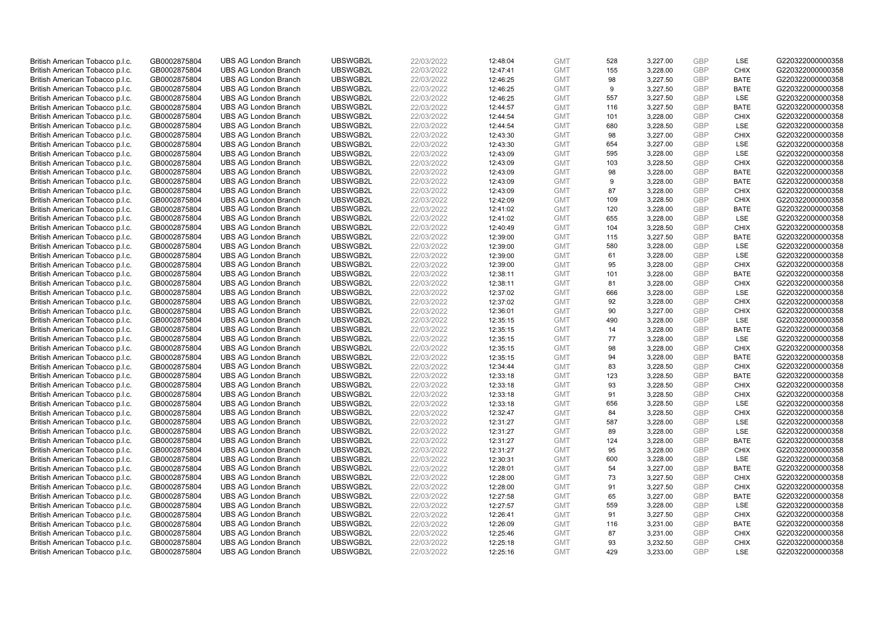| British American Tobacco p.l.c. | GB0002875804 | <b>UBS AG London Branch</b> | UBSWGB2L | 22/03/2022 | 12:48:04 | <b>GMT</b> | 528 | 3,227.00 | <b>GBP</b> | LSE         | G220322000000358 |
|---------------------------------|--------------|-----------------------------|----------|------------|----------|------------|-----|----------|------------|-------------|------------------|
| British American Tobacco p.l.c. | GB0002875804 | <b>UBS AG London Branch</b> | UBSWGB2L | 22/03/2022 | 12:47:41 | <b>GMT</b> | 155 | 3,228.00 | GBP        | <b>CHIX</b> | G220322000000358 |
| British American Tobacco p.l.c. | GB0002875804 | <b>UBS AG London Branch</b> | UBSWGB2L | 22/03/2022 | 12:46:25 | <b>GMT</b> | 98  | 3,227.50 | GBP        | <b>BATE</b> | G220322000000358 |
| British American Tobacco p.l.c. | GB0002875804 | <b>UBS AG London Branch</b> | UBSWGB2L | 22/03/2022 | 12:46:25 | <b>GMT</b> | 9   | 3,227.50 | <b>GBP</b> | <b>BATE</b> | G220322000000358 |
| British American Tobacco p.l.c. | GB0002875804 | <b>UBS AG London Branch</b> | UBSWGB2L | 22/03/2022 | 12:46:25 | <b>GMT</b> | 557 | 3,227.50 | GBP        | LSE         | G220322000000358 |
| British American Tobacco p.l.c. | GB0002875804 | <b>UBS AG London Branch</b> | UBSWGB2L | 22/03/2022 | 12:44:57 | <b>GMT</b> | 116 | 3,227.50 | <b>GBP</b> | <b>BATE</b> | G220322000000358 |
| British American Tobacco p.l.c. | GB0002875804 | <b>UBS AG London Branch</b> | UBSWGB2L | 22/03/2022 | 12:44:54 | <b>GMT</b> | 101 | 3,228.00 | GBP        | <b>CHIX</b> | G220322000000358 |
| British American Tobacco p.l.c. | GB0002875804 | <b>UBS AG London Branch</b> | UBSWGB2L | 22/03/2022 | 12:44:54 | <b>GMT</b> | 680 | 3,228.50 | <b>GBP</b> | LSE         | G220322000000358 |
| British American Tobacco p.l.c. | GB0002875804 | <b>UBS AG London Branch</b> | UBSWGB2L | 22/03/2022 | 12:43:30 | <b>GMT</b> | 98  | 3,227.00 | GBP        | <b>CHIX</b> | G220322000000358 |
| British American Tobacco p.l.c. | GB0002875804 | <b>UBS AG London Branch</b> | UBSWGB2L | 22/03/2022 | 12:43:30 | <b>GMT</b> | 654 | 3,227.00 | <b>GBP</b> | LSE         | G220322000000358 |
| British American Tobacco p.l.c. | GB0002875804 | <b>UBS AG London Branch</b> | UBSWGB2L | 22/03/2022 | 12:43:09 | <b>GMT</b> | 595 | 3.228.00 | GBP        | <b>LSE</b>  | G220322000000358 |
| British American Tobacco p.l.c. | GB0002875804 | <b>UBS AG London Branch</b> | UBSWGB2L | 22/03/2022 | 12:43:09 | <b>GMT</b> | 103 | 3,228.50 | <b>GBP</b> | <b>CHIX</b> | G220322000000358 |
| British American Tobacco p.l.c. | GB0002875804 | <b>UBS AG London Branch</b> | UBSWGB2L | 22/03/2022 | 12:43:09 | <b>GMT</b> | 98  | 3,228.00 | <b>GBP</b> | <b>BATE</b> | G220322000000358 |
| British American Tobacco p.l.c. | GB0002875804 | <b>UBS AG London Branch</b> | UBSWGB2L | 22/03/2022 | 12:43:09 | <b>GMT</b> | 9   | 3,228.00 | <b>GBP</b> | <b>BATE</b> | G220322000000358 |
| British American Tobacco p.l.c. | GB0002875804 | <b>UBS AG London Branch</b> | UBSWGB2L | 22/03/2022 | 12:43:09 | <b>GMT</b> | 87  | 3,228.00 | GBP        | <b>CHIX</b> | G220322000000358 |
| British American Tobacco p.l.c. | GB0002875804 | <b>UBS AG London Branch</b> | UBSWGB2L | 22/03/2022 | 12:42:09 | <b>GMT</b> | 109 | 3,228.50 | GBP        | <b>CHIX</b> | G220322000000358 |
| British American Tobacco p.l.c. | GB0002875804 | <b>UBS AG London Branch</b> | UBSWGB2L | 22/03/2022 | 12:41:02 | <b>GMT</b> | 120 | 3,228.00 | GBP        | <b>BATE</b> | G220322000000358 |
| British American Tobacco p.l.c. | GB0002875804 | <b>UBS AG London Branch</b> | UBSWGB2L | 22/03/2022 | 12:41:02 | <b>GMT</b> | 655 | 3,228.00 | GBP        | LSE         | G220322000000358 |
| British American Tobacco p.l.c. | GB0002875804 | <b>UBS AG London Branch</b> | UBSWGB2L | 22/03/2022 | 12:40:49 | <b>GMT</b> | 104 | 3,228.50 | <b>GBP</b> | <b>CHIX</b> | G220322000000358 |
| British American Tobacco p.l.c. | GB0002875804 | <b>UBS AG London Branch</b> | UBSWGB2L | 22/03/2022 | 12:39:00 | <b>GMT</b> | 115 | 3,227.50 | <b>GBP</b> | <b>BATE</b> | G220322000000358 |
| British American Tobacco p.l.c. | GB0002875804 | <b>UBS AG London Branch</b> | UBSWGB2L | 22/03/2022 | 12:39:00 | <b>GMT</b> | 580 | 3,228.00 | <b>GBP</b> | LSE         | G220322000000358 |
| British American Tobacco p.l.c. | GB0002875804 | <b>UBS AG London Branch</b> | UBSWGB2L | 22/03/2022 | 12:39:00 | <b>GMT</b> | 61  | 3,228.00 | GBP        | LSE         | G220322000000358 |
| British American Tobacco p.l.c. | GB0002875804 | <b>UBS AG London Branch</b> | UBSWGB2L | 22/03/2022 | 12:39:00 | <b>GMT</b> | 95  | 3,228.00 | <b>GBP</b> | <b>CHIX</b> | G220322000000358 |
| British American Tobacco p.l.c. | GB0002875804 | <b>UBS AG London Branch</b> | UBSWGB2L | 22/03/2022 | 12:38:11 | <b>GMT</b> | 101 | 3,228.00 | <b>GBP</b> | <b>BATE</b> | G220322000000358 |
| British American Tobacco p.l.c. | GB0002875804 | <b>UBS AG London Branch</b> | UBSWGB2L | 22/03/2022 | 12:38:11 | <b>GMT</b> | 81  | 3,228.00 | <b>GBP</b> | <b>CHIX</b> | G220322000000358 |
| British American Tobacco p.l.c. | GB0002875804 | <b>UBS AG London Branch</b> | UBSWGB2L | 22/03/2022 | 12:37:02 | <b>GMT</b> | 666 | 3,228.00 | GBP        | LSE         | G220322000000358 |
| British American Tobacco p.l.c. | GB0002875804 | <b>UBS AG London Branch</b> | UBSWGB2L | 22/03/2022 | 12:37:02 | <b>GMT</b> | 92  | 3,228.00 | <b>GBP</b> | <b>CHIX</b> | G220322000000358 |
| British American Tobacco p.l.c. | GB0002875804 | <b>UBS AG London Branch</b> | UBSWGB2L | 22/03/2022 | 12:36:01 | <b>GMT</b> | 90  | 3,227.00 | GBP        | CHIX        | G220322000000358 |
| British American Tobacco p.l.c. | GB0002875804 | <b>UBS AG London Branch</b> | UBSWGB2L | 22/03/2022 | 12:35:15 | <b>GMT</b> | 490 | 3,228.00 | <b>GBP</b> | <b>LSE</b>  | G220322000000358 |
| British American Tobacco p.l.c. | GB0002875804 | <b>UBS AG London Branch</b> | UBSWGB2L | 22/03/2022 | 12:35:15 | <b>GMT</b> | 14  | 3,228.00 | GBP        | <b>BATE</b> | G220322000000358 |
| British American Tobacco p.l.c. | GB0002875804 | <b>UBS AG London Branch</b> | UBSWGB2L | 22/03/2022 | 12:35:15 | <b>GMT</b> | 77  | 3,228.00 | <b>GBP</b> | LSE         | G220322000000358 |
| British American Tobacco p.l.c. | GB0002875804 | <b>UBS AG London Branch</b> | UBSWGB2L | 22/03/2022 | 12:35:15 | <b>GMT</b> | 98  | 3,228.00 | <b>GBP</b> | <b>CHIX</b> | G220322000000358 |
| British American Tobacco p.l.c. | GB0002875804 | <b>UBS AG London Branch</b> | UBSWGB2L | 22/03/2022 | 12:35:15 | <b>GMT</b> | 94  | 3,228.00 | <b>GBP</b> | <b>BATE</b> | G220322000000358 |
| British American Tobacco p.l.c. | GB0002875804 | <b>UBS AG London Branch</b> | UBSWGB2L | 22/03/2022 | 12:34:44 | <b>GMT</b> | 83  | 3,228.50 | <b>GBP</b> | <b>CHIX</b> | G220322000000358 |
| British American Tobacco p.l.c. | GB0002875804 | <b>UBS AG London Branch</b> | UBSWGB2L | 22/03/2022 | 12:33:18 | <b>GMT</b> | 123 | 3,228.50 | <b>GBP</b> | <b>BATE</b> | G220322000000358 |
| British American Tobacco p.l.c. | GB0002875804 | <b>UBS AG London Branch</b> | UBSWGB2L | 22/03/2022 | 12:33:18 | <b>GMT</b> | 93  | 3,228.50 | <b>GBP</b> | <b>CHIX</b> | G220322000000358 |
| British American Tobacco p.l.c. | GB0002875804 | <b>UBS AG London Branch</b> | UBSWGB2L | 22/03/2022 | 12:33:18 | <b>GMT</b> | 91  | 3,228.50 | <b>GBP</b> | <b>CHIX</b> | G220322000000358 |
| British American Tobacco p.l.c. | GB0002875804 | <b>UBS AG London Branch</b> | UBSWGB2L | 22/03/2022 | 12:33:18 | <b>GMT</b> | 656 | 3,228.50 | <b>GBP</b> | LSE         | G220322000000358 |
| British American Tobacco p.l.c. | GB0002875804 | <b>UBS AG London Branch</b> | UBSWGB2L | 22/03/2022 | 12:32:47 | <b>GMT</b> | 84  | 3,228.50 | <b>GBP</b> | <b>CHIX</b> | G220322000000358 |
| British American Tobacco p.l.c. | GB0002875804 | <b>UBS AG London Branch</b> | UBSWGB2L | 22/03/2022 | 12:31:27 | <b>GMT</b> | 587 | 3,228.00 | <b>GBP</b> | <b>LSE</b>  | G220322000000358 |
| British American Tobacco p.l.c. | GB0002875804 | <b>UBS AG London Branch</b> | UBSWGB2L | 22/03/2022 | 12:31:27 | <b>GMT</b> | 89  | 3,228.00 | <b>GBP</b> | LSE         | G220322000000358 |
| British American Tobacco p.l.c. | GB0002875804 | <b>UBS AG London Branch</b> | UBSWGB2L | 22/03/2022 | 12:31:27 | <b>GMT</b> | 124 | 3,228.00 | <b>GBP</b> | <b>BATE</b> | G220322000000358 |
| British American Tobacco p.l.c. | GB0002875804 | <b>UBS AG London Branch</b> | UBSWGB2L | 22/03/2022 | 12:31:27 | <b>GMT</b> | 95  | 3,228.00 | <b>GBP</b> | <b>CHIX</b> | G220322000000358 |
| British American Tobacco p.l.c. | GB0002875804 | <b>UBS AG London Branch</b> | UBSWGB2L | 22/03/2022 | 12:30:31 | <b>GMT</b> | 600 | 3,228.00 | <b>GBP</b> | LSE         | G220322000000358 |
| British American Tobacco p.l.c. | GB0002875804 | <b>UBS AG London Branch</b> | UBSWGB2L | 22/03/2022 | 12:28:01 | <b>GMT</b> | 54  | 3,227.00 | <b>GBP</b> | <b>BATE</b> | G220322000000358 |
| British American Tobacco p.l.c. | GB0002875804 | <b>UBS AG London Branch</b> | UBSWGB2L | 22/03/2022 | 12:28:00 | <b>GMT</b> | 73  | 3,227.50 | <b>GBP</b> | <b>CHIX</b> | G220322000000358 |
| British American Tobacco p.l.c. | GB0002875804 | <b>UBS AG London Branch</b> | UBSWGB2L | 22/03/2022 | 12:28:00 | <b>GMT</b> | 91  | 3,227.50 | <b>GBP</b> | <b>CHIX</b> | G220322000000358 |
| British American Tobacco p.l.c. | GB0002875804 | <b>UBS AG London Branch</b> | UBSWGB2L | 22/03/2022 | 12:27:58 | <b>GMT</b> | 65  | 3,227.00 | GBP        | <b>BATE</b> | G220322000000358 |
| British American Tobacco p.l.c. | GB0002875804 | <b>UBS AG London Branch</b> | UBSWGB2L | 22/03/2022 | 12:27:57 | <b>GMT</b> | 559 | 3,228.00 | <b>GBP</b> | LSE         | G220322000000358 |
| British American Tobacco p.l.c. | GB0002875804 | <b>UBS AG London Branch</b> | UBSWGB2L | 22/03/2022 | 12:26:41 | <b>GMT</b> | 91  | 3,227.50 | GBP        | <b>CHIX</b> | G220322000000358 |
| British American Tobacco p.l.c. | GB0002875804 | <b>UBS AG London Branch</b> | UBSWGB2L | 22/03/2022 | 12:26:09 | <b>GMT</b> | 116 | 3,231.00 | <b>GBP</b> | <b>BATE</b> | G220322000000358 |
| British American Tobacco p.l.c. | GB0002875804 | <b>UBS AG London Branch</b> | UBSWGB2L | 22/03/2022 | 12:25:46 | <b>GMT</b> | 87  | 3,231.00 | <b>GBP</b> | <b>CHIX</b> | G220322000000358 |
| British American Tobacco p.l.c. | GB0002875804 | <b>UBS AG London Branch</b> | UBSWGB2L | 22/03/2022 | 12:25:18 | <b>GMT</b> | 93  | 3,232.50 | <b>GBP</b> | <b>CHIX</b> | G220322000000358 |
| British American Tobacco p.l.c. | GB0002875804 | <b>UBS AG London Branch</b> | UBSWGB2L | 22/03/2022 | 12:25:16 | <b>GMT</b> | 429 | 3.233.00 | GBP        | <b>LSE</b>  | G220322000000358 |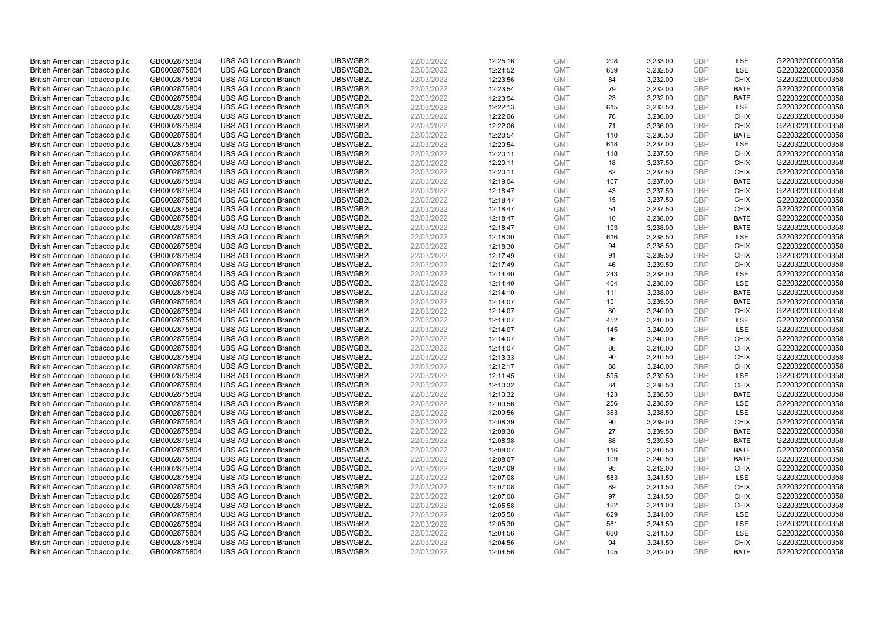| British American Tobacco p.l.c. | GB0002875804 | <b>UBS AG London Branch</b> | UBSWGB2L | 22/03/2022 | 12:25:16 | <b>GMT</b> | 208 | 3,233.00 | <b>GBP</b> | LSE         | G220322000000358 |
|---------------------------------|--------------|-----------------------------|----------|------------|----------|------------|-----|----------|------------|-------------|------------------|
| British American Tobacco p.l.c. | GB0002875804 | <b>UBS AG London Branch</b> | UBSWGB2L | 22/03/2022 | 12:24:52 | <b>GMT</b> | 659 | 3,232.50 | GBP        | LSE         | G220322000000358 |
| British American Tobacco p.l.c. | GB0002875804 | <b>UBS AG London Branch</b> | UBSWGB2L | 22/03/2022 | 12:23:56 | <b>GMT</b> | 84  | 3,232.00 | GBP        | <b>CHIX</b> | G220322000000358 |
| British American Tobacco p.l.c. | GB0002875804 | <b>UBS AG London Branch</b> | UBSWGB2L | 22/03/2022 | 12:23:54 | <b>GMT</b> | 79  | 3,232.00 | <b>GBP</b> | <b>BATE</b> | G220322000000358 |
| British American Tobacco p.l.c. | GB0002875804 | <b>UBS AG London Branch</b> | UBSWGB2L | 22/03/2022 | 12:23:54 | <b>GMT</b> | 23  | 3,232.00 | GBP        | <b>BATE</b> | G220322000000358 |
| British American Tobacco p.l.c. | GB0002875804 | <b>UBS AG London Branch</b> | UBSWGB2L | 22/03/2022 | 12:22:13 | <b>GMT</b> | 615 | 3,233.50 | <b>GBP</b> | <b>LSE</b>  | G220322000000358 |
| British American Tobacco p.l.c. | GB0002875804 | <b>UBS AG London Branch</b> | UBSWGB2L | 22/03/2022 | 12:22:06 | <b>GMT</b> | 76  | 3,236.00 | <b>GBP</b> | <b>CHIX</b> | G220322000000358 |
| British American Tobacco p.l.c. | GB0002875804 | <b>UBS AG London Branch</b> | UBSWGB2L | 22/03/2022 | 12:22:06 | <b>GMT</b> | 71  | 3,236.00 | <b>GBP</b> | <b>CHIX</b> | G220322000000358 |
| British American Tobacco p.l.c. | GB0002875804 | <b>UBS AG London Branch</b> | UBSWGB2L | 22/03/2022 | 12:20:54 | <b>GMT</b> | 110 | 3,236.50 | GBP        | <b>BATE</b> | G220322000000358 |
| British American Tobacco p.l.c. | GB0002875804 | <b>UBS AG London Branch</b> | UBSWGB2L | 22/03/2022 | 12:20:54 | <b>GMT</b> | 618 | 3,237.00 | <b>GBP</b> | LSE         | G220322000000358 |
| British American Tobacco p.l.c. | GB0002875804 | <b>UBS AG London Branch</b> | UBSWGB2L | 22/03/2022 | 12:20:11 | <b>GMT</b> | 118 | 3,237.50 | GBP        | <b>CHIX</b> | G220322000000358 |
| British American Tobacco p.l.c. | GB0002875804 | <b>UBS AG London Branch</b> | UBSWGB2L | 22/03/2022 | 12:20:11 | <b>GMT</b> | 18  | 3,237.50 | <b>GBP</b> | <b>CHIX</b> | G220322000000358 |
| British American Tobacco p.l.c. | GB0002875804 | <b>UBS AG London Branch</b> | UBSWGB2L | 22/03/2022 | 12:20:11 | <b>GMT</b> | 82  | 3,237.50 | <b>GBP</b> | <b>CHIX</b> | G220322000000358 |
| British American Tobacco p.l.c. | GB0002875804 | <b>UBS AG London Branch</b> | UBSWGB2L | 22/03/2022 | 12:19:04 | <b>GMT</b> | 107 | 3,237.00 | <b>GBP</b> | <b>BATE</b> | G220322000000358 |
| British American Tobacco p.l.c. | GB0002875804 | <b>UBS AG London Branch</b> | UBSWGB2L | 22/03/2022 | 12:18:47 | <b>GMT</b> | 43  | 3,237.50 | GBP        | <b>CHIX</b> | G220322000000358 |
| British American Tobacco p.l.c. | GB0002875804 | <b>UBS AG London Branch</b> | UBSWGB2L | 22/03/2022 | 12:18:47 | <b>GMT</b> | 15  | 3,237.50 | <b>GBP</b> | <b>CHIX</b> | G220322000000358 |
| British American Tobacco p.l.c. | GB0002875804 | <b>UBS AG London Branch</b> | UBSWGB2L | 22/03/2022 | 12:18:47 | <b>GMT</b> | 54  | 3,237.50 | <b>GBP</b> | <b>CHIX</b> | G220322000000358 |
| British American Tobacco p.l.c. | GB0002875804 | <b>UBS AG London Branch</b> | UBSWGB2L | 22/03/2022 | 12:18:47 | <b>GMT</b> | 10  | 3,238.00 | <b>GBP</b> | <b>BATE</b> | G220322000000358 |
| British American Tobacco p.l.c. | GB0002875804 | <b>UBS AG London Branch</b> | UBSWGB2L | 22/03/2022 | 12:18:47 | <b>GMT</b> | 103 | 3,238.00 | <b>GBP</b> | <b>BATE</b> | G220322000000358 |
| British American Tobacco p.l.c. | GB0002875804 | <b>UBS AG London Branch</b> | UBSWGB2L | 22/03/2022 | 12:18:30 | <b>GMT</b> | 616 | 3,238.50 | <b>GBP</b> | LSE         | G220322000000358 |
| British American Tobacco p.l.c. | GB0002875804 | <b>UBS AG London Branch</b> | UBSWGB2L | 22/03/2022 | 12:18:30 | <b>GMT</b> | 94  | 3,238.50 | <b>GBP</b> | <b>CHIX</b> | G220322000000358 |
| British American Tobacco p.l.c. | GB0002875804 | <b>UBS AG London Branch</b> | UBSWGB2L | 22/03/2022 | 12:17:49 | <b>GMT</b> | 91  | 3,239.50 | <b>GBP</b> | <b>CHIX</b> | G220322000000358 |
| British American Tobacco p.l.c. | GB0002875804 | <b>UBS AG London Branch</b> | UBSWGB2L | 22/03/2022 | 12:17:49 | <b>GMT</b> | 46  | 3,239.50 | <b>GBP</b> | <b>CHIX</b> | G220322000000358 |
| British American Tobacco p.l.c. | GB0002875804 | <b>UBS AG London Branch</b> | UBSWGB2L | 22/03/2022 | 12:14:40 | <b>GMT</b> | 243 | 3,238.00 | <b>GBP</b> | <b>LSE</b>  | G220322000000358 |
| British American Tobacco p.l.c. | GB0002875804 | <b>UBS AG London Branch</b> | UBSWGB2L | 22/03/2022 | 12:14:40 | <b>GMT</b> | 404 | 3,238.00 | <b>GBP</b> | LSE         | G220322000000358 |
| British American Tobacco p.l.c. | GB0002875804 | <b>UBS AG London Branch</b> | UBSWGB2L | 22/03/2022 | 12:14:10 | <b>GMT</b> | 111 | 3,238.00 | <b>GBP</b> | <b>BATE</b> | G220322000000358 |
| British American Tobacco p.l.c. | GB0002875804 | <b>UBS AG London Branch</b> | UBSWGB2L | 22/03/2022 | 12:14:07 | <b>GMT</b> | 151 | 3,239.50 | <b>GBP</b> | <b>BATE</b> | G220322000000358 |
| British American Tobacco p.l.c. | GB0002875804 | <b>UBS AG London Branch</b> | UBSWGB2L | 22/03/2022 | 12:14:07 | <b>GMT</b> | 80  | 3,240.00 | <b>GBP</b> | <b>CHIX</b> | G220322000000358 |
| British American Tobacco p.l.c. | GB0002875804 | <b>UBS AG London Branch</b> | UBSWGB2L | 22/03/2022 | 12:14:07 | <b>GMT</b> | 452 | 3,240.00 | <b>GBP</b> | LSE         | G220322000000358 |
| British American Tobacco p.l.c. | GB0002875804 | <b>UBS AG London Branch</b> | UBSWGB2L | 22/03/2022 | 12:14:07 | <b>GMT</b> | 145 | 3,240.00 | <b>GBP</b> | LSE         | G220322000000358 |
| British American Tobacco p.l.c. | GB0002875804 | <b>UBS AG London Branch</b> | UBSWGB2L | 22/03/2022 | 12:14:07 | <b>GMT</b> | 96  | 3,240.00 | <b>GBP</b> | <b>CHIX</b> | G220322000000358 |
| British American Tobacco p.l.c. | GB0002875804 | <b>UBS AG London Branch</b> | UBSWGB2L | 22/03/2022 | 12:14:07 | <b>GMT</b> | 86  | 3,240.00 | <b>GBP</b> | <b>CHIX</b> | G220322000000358 |
| British American Tobacco p.l.c. | GB0002875804 | <b>UBS AG London Branch</b> | UBSWGB2L | 22/03/2022 | 12:13:33 | <b>GMT</b> | 90  | 3,240.50 | <b>GBP</b> | CHIX        | G220322000000358 |
| British American Tobacco p.l.c. | GB0002875804 | <b>UBS AG London Branch</b> | UBSWGB2L | 22/03/2022 | 12:12:17 | <b>GMT</b> | 88  | 3,240.00 | <b>GBP</b> | <b>CHIX</b> | G220322000000358 |
| British American Tobacco p.l.c. | GB0002875804 | <b>UBS AG London Branch</b> | UBSWGB2L | 22/03/2022 | 12:11:45 | <b>GMT</b> | 595 | 3,239.50 | GBP        | LSE         | G220322000000358 |
| British American Tobacco p.l.c. | GB0002875804 | <b>UBS AG London Branch</b> | UBSWGB2L | 22/03/2022 | 12:10:32 | <b>GMT</b> | 84  | 3,238.50 | <b>GBP</b> | <b>CHIX</b> | G220322000000358 |
| British American Tobacco p.l.c. | GB0002875804 | <b>UBS AG London Branch</b> | UBSWGB2L | 22/03/2022 | 12:10:32 | <b>GMT</b> | 123 | 3,238.50 | <b>GBP</b> | <b>BATE</b> | G220322000000358 |
| British American Tobacco p.l.c. | GB0002875804 | <b>UBS AG London Branch</b> | UBSWGB2L | 22/03/2022 | 12:09:56 | <b>GMT</b> | 256 | 3,238.50 | <b>GBP</b> | LSE         | G220322000000358 |
| British American Tobacco p.l.c. | GB0002875804 | <b>UBS AG London Branch</b> | UBSWGB2L | 22/03/2022 | 12:09:56 | <b>GMT</b> | 363 | 3,238.50 | <b>GBP</b> | LSE         | G220322000000358 |
| British American Tobacco p.l.c. | GB0002875804 | <b>UBS AG London Branch</b> | UBSWGB2L | 22/03/2022 | 12:08:39 | <b>GMT</b> | 90  | 3,239.00 | <b>GBP</b> | <b>CHIX</b> | G220322000000358 |
| British American Tobacco p.l.c. | GB0002875804 | <b>UBS AG London Branch</b> | UBSWGB2L | 22/03/2022 | 12:08:38 | <b>GMT</b> | 27  | 3,239.50 | <b>GBP</b> | <b>BATE</b> | G220322000000358 |
| British American Tobacco p.l.c. | GB0002875804 | <b>UBS AG London Branch</b> | UBSWGB2L | 22/03/2022 | 12:08:38 | <b>GMT</b> | 88  | 3,239.50 | <b>GBP</b> | <b>BATE</b> | G220322000000358 |
| British American Tobacco p.l.c. | GB0002875804 | <b>UBS AG London Branch</b> | UBSWGB2L | 22/03/2022 | 12:08:07 | <b>GMT</b> | 116 | 3,240.50 | <b>GBP</b> | <b>BATE</b> | G220322000000358 |
| British American Tobacco p.l.c. | GB0002875804 | <b>UBS AG London Branch</b> | UBSWGB2L | 22/03/2022 | 12:08:07 | <b>GMT</b> | 109 | 3,240.50 | <b>GBP</b> | <b>BATE</b> | G220322000000358 |
| British American Tobacco p.l.c. | GB0002875804 | <b>UBS AG London Branch</b> | UBSWGB2L | 22/03/2022 | 12:07:09 | <b>GMT</b> | 95  | 3,242.00 | <b>GBP</b> | <b>CHIX</b> | G220322000000358 |
| British American Tobacco p.l.c. | GB0002875804 | <b>UBS AG London Branch</b> | UBSWGB2L | 22/03/2022 | 12:07:08 | <b>GMT</b> | 583 | 3,241.50 | <b>GBP</b> | LSE         | G220322000000358 |
| British American Tobacco p.l.c. | GB0002875804 | <b>UBS AG London Branch</b> | UBSWGB2L | 22/03/2022 | 12:07:08 | <b>GMT</b> | 89  | 3,241.50 | <b>GBP</b> | <b>CHIX</b> | G220322000000358 |
| British American Tobacco p.l.c. | GB0002875804 | <b>UBS AG London Branch</b> | UBSWGB2L | 22/03/2022 | 12:07:08 | <b>GMT</b> | 97  | 3,241.50 | GBP        | <b>CHIX</b> | G220322000000358 |
| British American Tobacco p.l.c. | GB0002875804 | <b>UBS AG London Branch</b> | UBSWGB2L | 22/03/2022 | 12:05:58 | <b>GMT</b> | 162 | 3,241.00 | <b>GBP</b> | <b>CHIX</b> | G220322000000358 |
| British American Tobacco p.l.c. | GB0002875804 | <b>UBS AG London Branch</b> | UBSWGB2L | 22/03/2022 | 12:05:58 | <b>GMT</b> | 629 | 3,241.00 | <b>GBP</b> | <b>LSE</b>  | G220322000000358 |
| British American Tobacco p.l.c. | GB0002875804 | <b>UBS AG London Branch</b> | UBSWGB2L | 22/03/2022 | 12:05:30 | <b>GMT</b> | 561 | 3,241.50 | <b>GBP</b> | LSE         | G220322000000358 |
| British American Tobacco p.l.c. | GB0002875804 | <b>UBS AG London Branch</b> | UBSWGB2L | 22/03/2022 | 12:04:56 | <b>GMT</b> | 660 | 3,241.50 | <b>GBP</b> | LSE         | G220322000000358 |
| British American Tobacco p.l.c. | GB0002875804 | <b>UBS AG London Branch</b> | UBSWGB2L | 22/03/2022 | 12:04:56 | <b>GMT</b> | 94  | 3,241.50 | <b>GBP</b> | <b>CHIX</b> | G220322000000358 |
| British American Tobacco p.l.c. | GB0002875804 | <b>UBS AG London Branch</b> | UBSWGB2L | 22/03/2022 | 12:04:56 | <b>GMT</b> | 105 | 3,242.00 | GBP        | <b>BATE</b> | G220322000000358 |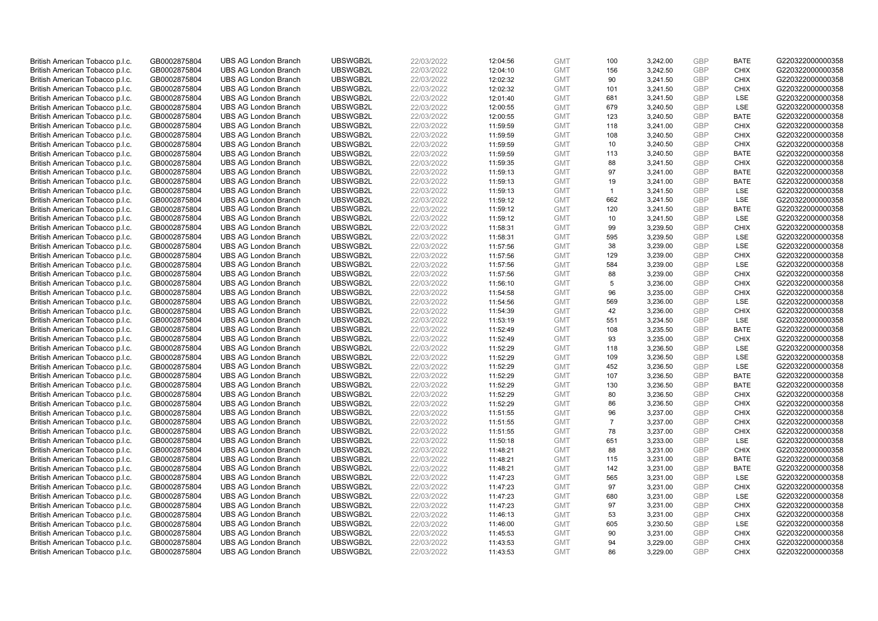| British American Tobacco p.l.c. | GB0002875804 | <b>UBS AG London Branch</b> | UBSWGB2L | 22/03/2022 | 12:04:56 | <b>GMT</b> | 100            | 3,242.00 | <b>GBP</b> | <b>BATE</b> | G220322000000358 |
|---------------------------------|--------------|-----------------------------|----------|------------|----------|------------|----------------|----------|------------|-------------|------------------|
| British American Tobacco p.l.c. | GB0002875804 | <b>UBS AG London Branch</b> | UBSWGB2L | 22/03/2022 | 12:04:10 | <b>GMT</b> | 156            | 3,242.50 | GBP        | <b>CHIX</b> | G220322000000358 |
| British American Tobacco p.l.c. | GB0002875804 | <b>UBS AG London Branch</b> | UBSWGB2L | 22/03/2022 | 12:02:32 | <b>GMT</b> | 90             | 3,241.50 | GBP        | <b>CHIX</b> | G220322000000358 |
| British American Tobacco p.l.c. | GB0002875804 | <b>UBS AG London Branch</b> | UBSWGB2L | 22/03/2022 | 12:02:32 | <b>GMT</b> | 101            | 3,241.50 | <b>GBP</b> | <b>CHIX</b> | G220322000000358 |
| British American Tobacco p.l.c. | GB0002875804 | <b>UBS AG London Branch</b> | UBSWGB2L | 22/03/2022 | 12:01:40 | <b>GMT</b> | 681            | 3,241.50 | GBP        | <b>LSE</b>  | G220322000000358 |
| British American Tobacco p.l.c. | GB0002875804 | <b>UBS AG London Branch</b> | UBSWGB2L | 22/03/2022 | 12:00:55 | <b>GMT</b> | 679            | 3,240.50 | <b>GBP</b> | <b>LSE</b>  | G220322000000358 |
| British American Tobacco p.l.c. | GB0002875804 | <b>UBS AG London Branch</b> | UBSWGB2L | 22/03/2022 | 12:00:55 | <b>GMT</b> | 123            | 3,240.50 | GBP        | <b>BATE</b> | G220322000000358 |
| British American Tobacco p.l.c. | GB0002875804 | <b>UBS AG London Branch</b> | UBSWGB2L | 22/03/2022 | 11:59:59 | <b>GMT</b> | 118            | 3,241.00 | <b>GBP</b> | <b>CHIX</b> | G220322000000358 |
| British American Tobacco p.l.c. | GB0002875804 | <b>UBS AG London Branch</b> | UBSWGB2L | 22/03/2022 | 11:59:59 | <b>GMT</b> | 108            | 3,240.50 | GBP        | <b>CHIX</b> | G220322000000358 |
| British American Tobacco p.l.c. | GB0002875804 | <b>UBS AG London Branch</b> | UBSWGB2L | 22/03/2022 | 11:59:59 | <b>GMT</b> | 10             | 3,240.50 | <b>GBP</b> | <b>CHIX</b> | G220322000000358 |
| British American Tobacco p.l.c. | GB0002875804 | <b>UBS AG London Branch</b> | UBSWGB2L | 22/03/2022 | 11:59:59 | <b>GMT</b> | 113            | 3,240.50 | GBP        | <b>BATE</b> | G220322000000358 |
| British American Tobacco p.l.c. | GB0002875804 | <b>UBS AG London Branch</b> | UBSWGB2L | 22/03/2022 | 11:59:35 | <b>GMT</b> | 88             | 3,241.50 | <b>GBP</b> | <b>CHIX</b> | G220322000000358 |
| British American Tobacco p.l.c. | GB0002875804 | <b>UBS AG London Branch</b> | UBSWGB2L | 22/03/2022 | 11:59:13 | <b>GMT</b> | 97             | 3,241.00 | <b>GBP</b> | <b>BATE</b> | G220322000000358 |
| British American Tobacco p.l.c. | GB0002875804 | <b>UBS AG London Branch</b> | UBSWGB2L | 22/03/2022 | 11:59:13 | <b>GMT</b> | 19             | 3,241.00 | <b>GBP</b> | <b>BATE</b> | G220322000000358 |
| British American Tobacco p.l.c. | GB0002875804 | <b>UBS AG London Branch</b> | UBSWGB2L | 22/03/2022 | 11:59:13 | <b>GMT</b> | $\mathbf{1}$   | 3,241.50 | GBP        | LSE         | G220322000000358 |
| British American Tobacco p.l.c. | GB0002875804 | <b>UBS AG London Branch</b> | UBSWGB2L | 22/03/2022 | 11:59:12 | <b>GMT</b> | 662            | 3,241.50 | <b>GBP</b> | LSE         | G220322000000358 |
| British American Tobacco p.l.c. | GB0002875804 | <b>UBS AG London Branch</b> | UBSWGB2L | 22/03/2022 | 11:59:12 | <b>GMT</b> | 120            | 3,241.50 | <b>GBP</b> | <b>BATE</b> | G220322000000358 |
| British American Tobacco p.l.c. | GB0002875804 | <b>UBS AG London Branch</b> | UBSWGB2L | 22/03/2022 | 11:59:12 | <b>GMT</b> | 10             | 3,241.50 | <b>GBP</b> | LSE         | G220322000000358 |
| British American Tobacco p.l.c. | GB0002875804 | <b>UBS AG London Branch</b> | UBSWGB2L | 22/03/2022 | 11:58:31 | <b>GMT</b> | 99             | 3,239.50 | <b>GBP</b> | <b>CHIX</b> | G220322000000358 |
| British American Tobacco p.l.c. | GB0002875804 | <b>UBS AG London Branch</b> | UBSWGB2L | 22/03/2022 | 11:58:31 | <b>GMT</b> | 595            | 3,239.50 | <b>GBP</b> | LSE         | G220322000000358 |
| British American Tobacco p.l.c. | GB0002875804 | <b>UBS AG London Branch</b> | UBSWGB2L | 22/03/2022 | 11:57:56 | <b>GMT</b> | 38             | 3,239.00 | <b>GBP</b> | LSE         | G220322000000358 |
| British American Tobacco p.l.c. | GB0002875804 | <b>UBS AG London Branch</b> | UBSWGB2L | 22/03/2022 | 11:57:56 | <b>GMT</b> | 129            | 3,239.00 | GBP        | <b>CHIX</b> | G220322000000358 |
| British American Tobacco p.l.c. | GB0002875804 | <b>UBS AG London Branch</b> | UBSWGB2L | 22/03/2022 | 11:57:56 | <b>GMT</b> | 584            | 3,239.00 | <b>GBP</b> | LSE         | G220322000000358 |
| British American Tobacco p.l.c. | GB0002875804 | <b>UBS AG London Branch</b> | UBSWGB2L | 22/03/2022 | 11:57:56 | <b>GMT</b> | 88             | 3.239.00 | <b>GBP</b> | <b>CHIX</b> | G220322000000358 |
| British American Tobacco p.l.c. | GB0002875804 | <b>UBS AG London Branch</b> | UBSWGB2L | 22/03/2022 | 11:56:10 | <b>GMT</b> | 5              | 3,236.00 | <b>GBP</b> | <b>CHIX</b> | G220322000000358 |
| British American Tobacco p.l.c. | GB0002875804 | <b>UBS AG London Branch</b> | UBSWGB2L | 22/03/2022 | 11:54:58 | <b>GMT</b> | 96             | 3,235.00 | <b>GBP</b> | <b>CHIX</b> | G220322000000358 |
| British American Tobacco p.l.c. | GB0002875804 | <b>UBS AG London Branch</b> | UBSWGB2L | 22/03/2022 | 11:54:56 | <b>GMT</b> | 569            | 3,236.00 | <b>GBP</b> | <b>LSE</b>  | G220322000000358 |
| British American Tobacco p.l.c. | GB0002875804 | <b>UBS AG London Branch</b> | UBSWGB2L | 22/03/2022 | 11:54:39 | <b>GMT</b> | 42             | 3,236.00 | GBP        | <b>CHIX</b> | G220322000000358 |
| British American Tobacco p.l.c. | GB0002875804 | <b>UBS AG London Branch</b> | UBSWGB2L | 22/03/2022 | 11:53:19 | <b>GMT</b> | 551            | 3,234.50 | <b>GBP</b> | <b>LSE</b>  | G220322000000358 |
| British American Tobacco p.l.c. | GB0002875804 | <b>UBS AG London Branch</b> | UBSWGB2L | 22/03/2022 | 11:52:49 | <b>GMT</b> | 108            | 3,235.50 | GBP        | <b>BATE</b> | G220322000000358 |
| British American Tobacco p.l.c. | GB0002875804 | <b>UBS AG London Branch</b> | UBSWGB2L | 22/03/2022 | 11:52:49 | <b>GMT</b> | 93             | 3,235.00 | <b>GBP</b> | <b>CHIX</b> | G220322000000358 |
| British American Tobacco p.l.c. | GB0002875804 | <b>UBS AG London Branch</b> | UBSWGB2L | 22/03/2022 | 11:52:29 | <b>GMT</b> | 118            | 3,236.50 | <b>GBP</b> | <b>LSE</b>  | G220322000000358 |
| British American Tobacco p.l.c. | GB0002875804 | <b>UBS AG London Branch</b> | UBSWGB2L | 22/03/2022 | 11:52:29 | <b>GMT</b> | 109            | 3,236.50 | <b>GBP</b> | LSE         | G220322000000358 |
| British American Tobacco p.l.c. | GB0002875804 | <b>UBS AG London Branch</b> | UBSWGB2L | 22/03/2022 | 11:52:29 | <b>GMT</b> | 452            | 3,236.50 | <b>GBP</b> | LSE         | G220322000000358 |
| British American Tobacco p.l.c. | GB0002875804 | <b>UBS AG London Branch</b> | UBSWGB2L | 22/03/2022 | 11:52:29 | <b>GMT</b> | 107            | 3,236.50 | <b>GBP</b> | <b>BATE</b> | G220322000000358 |
| British American Tobacco p.l.c. | GB0002875804 | <b>UBS AG London Branch</b> | UBSWGB2L | 22/03/2022 | 11:52:29 | <b>GMT</b> | 130            | 3,236.50 | <b>GBP</b> | <b>BATE</b> | G220322000000358 |
| British American Tobacco p.l.c. | GB0002875804 | <b>UBS AG London Branch</b> | UBSWGB2L | 22/03/2022 | 11:52:29 | <b>GMT</b> | 80             | 3,236.50 | <b>GBP</b> | <b>CHIX</b> | G220322000000358 |
| British American Tobacco p.l.c. | GB0002875804 | <b>UBS AG London Branch</b> | UBSWGB2L | 22/03/2022 | 11:52:29 | <b>GMT</b> | 86             | 3,236.50 | <b>GBP</b> | <b>CHIX</b> | G220322000000358 |
| British American Tobacco p.l.c. | GB0002875804 | <b>UBS AG London Branch</b> | UBSWGB2L | 22/03/2022 | 11:51:55 | <b>GMT</b> | 96             | 3,237.00 | GBP        | <b>CHIX</b> | G220322000000358 |
| British American Tobacco p.l.c. | GB0002875804 | <b>UBS AG London Branch</b> | UBSWGB2L | 22/03/2022 | 11:51:55 | <b>GMT</b> | $\overline{7}$ | 3,237.00 | <b>GBP</b> | <b>CHIX</b> | G220322000000358 |
| British American Tobacco p.l.c. | GB0002875804 | <b>UBS AG London Branch</b> | UBSWGB2L | 22/03/2022 | 11:51:55 | <b>GMT</b> | 78             | 3,237.00 | GBP        | <b>CHIX</b> | G220322000000358 |
| British American Tobacco p.l.c. | GB0002875804 | <b>UBS AG London Branch</b> | UBSWGB2L | 22/03/2022 | 11:50:18 | <b>GMT</b> | 651            | 3,233.00 | <b>GBP</b> | <b>LSE</b>  | G220322000000358 |
| British American Tobacco p.l.c. | GB0002875804 | <b>UBS AG London Branch</b> | UBSWGB2L | 22/03/2022 | 11:48:21 | <b>GMT</b> | 88             | 3,231.00 | <b>GBP</b> | <b>CHIX</b> | G220322000000358 |
| British American Tobacco p.l.c. | GB0002875804 | <b>UBS AG London Branch</b> | UBSWGB2L | 22/03/2022 | 11:48:21 | <b>GMT</b> | 115            | 3,231.00 | <b>GBP</b> | <b>BATE</b> | G220322000000358 |
| British American Tobacco p.l.c. | GB0002875804 | <b>UBS AG London Branch</b> | UBSWGB2L | 22/03/2022 | 11:48:21 | <b>GMT</b> | 142            | 3,231.00 | GBP        | <b>BATE</b> | G220322000000358 |
| British American Tobacco p.l.c. | GB0002875804 | <b>UBS AG London Branch</b> | UBSWGB2L | 22/03/2022 | 11:47:23 | <b>GMT</b> | 565            | 3,231.00 | <b>GBP</b> | LSE         | G220322000000358 |
| British American Tobacco p.l.c. | GB0002875804 | <b>UBS AG London Branch</b> | UBSWGB2L | 22/03/2022 | 11:47:23 | <b>GMT</b> | 97             | 3,231.00 | <b>GBP</b> | <b>CHIX</b> | G220322000000358 |
| British American Tobacco p.l.c. | GB0002875804 | <b>UBS AG London Branch</b> | UBSWGB2L | 22/03/2022 | 11:47:23 | <b>GMT</b> | 680            | 3,231.00 | GBP        | LSE         | G220322000000358 |
| British American Tobacco p.l.c. | GB0002875804 | <b>UBS AG London Branch</b> | UBSWGB2L | 22/03/2022 | 11:47:23 | <b>GMT</b> | 97             | 3,231.00 | <b>GBP</b> | <b>CHIX</b> | G220322000000358 |
| British American Tobacco p.l.c. | GB0002875804 | <b>UBS AG London Branch</b> | UBSWGB2L | 22/03/2022 | 11:46:13 | <b>GMT</b> | 53             | 3,231.00 | GBP        | <b>CHIX</b> | G220322000000358 |
| British American Tobacco p.l.c. | GB0002875804 | <b>UBS AG London Branch</b> | UBSWGB2L | 22/03/2022 | 11:46:00 | <b>GMT</b> | 605            | 3,230.50 | <b>GBP</b> | LSE         | G220322000000358 |
| British American Tobacco p.l.c. | GB0002875804 | <b>UBS AG London Branch</b> | UBSWGB2L | 22/03/2022 | 11:45:53 | <b>GMT</b> | 90             | 3,231.00 | <b>GBP</b> | <b>CHIX</b> | G220322000000358 |
| British American Tobacco p.l.c. | GB0002875804 | <b>UBS AG London Branch</b> | UBSWGB2L | 22/03/2022 | 11:43:53 | <b>GMT</b> | 94             | 3,229.00 | <b>GBP</b> | <b>CHIX</b> | G220322000000358 |
| British American Tobacco p.l.c. | GB0002875804 | <b>UBS AG London Branch</b> | UBSWGB2L | 22/03/2022 | 11:43:53 | <b>GMT</b> | 86             | 3.229.00 | GBP        | CHIX        | G220322000000358 |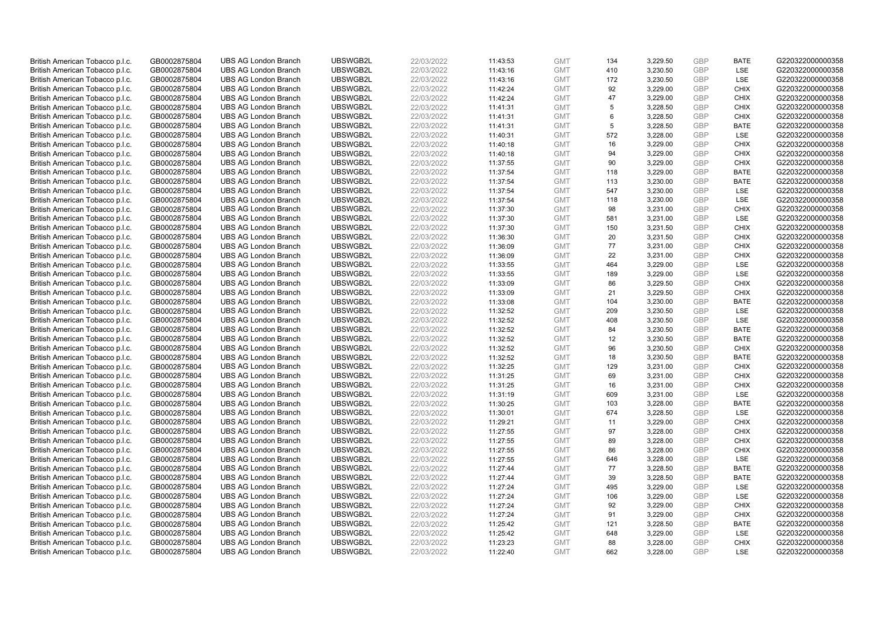| British American Tobacco p.l.c. | GB0002875804 | <b>UBS AG London Branch</b> | UBSWGB2L             | 22/03/2022 |          | <b>GMT</b> | 134 | 3,229.50 | <b>GBP</b> | <b>BATE</b>        | G220322000000358                     |
|---------------------------------|--------------|-----------------------------|----------------------|------------|----------|------------|-----|----------|------------|--------------------|--------------------------------------|
|                                 |              |                             |                      |            | 11:43:53 |            |     |          | GBP        | <b>LSE</b>         |                                      |
| British American Tobacco p.l.c. | GB0002875804 | <b>UBS AG London Branch</b> | UBSWGB2L             | 22/03/2022 | 11:43:16 | <b>GMT</b> | 410 | 3,230.50 |            |                    | G220322000000358                     |
| British American Tobacco p.l.c. | GB0002875804 | <b>UBS AG London Branch</b> | UBSWGB2L             | 22/03/2022 | 11:43:16 | <b>GMT</b> | 172 | 3,230.50 | <b>GBP</b> | LSE                | G220322000000358                     |
| British American Tobacco p.l.c. | GB0002875804 | <b>UBS AG London Branch</b> | UBSWGB2L             | 22/03/2022 | 11:42:24 | <b>GMT</b> | 92  | 3,229.00 | <b>GBP</b> | <b>CHIX</b>        | G220322000000358                     |
| British American Tobacco p.l.c. | GB0002875804 | <b>UBS AG London Branch</b> | UBSWGB2L             | 22/03/2022 | 11:42:24 | <b>GMT</b> | 47  | 3,229.00 | <b>GBP</b> | <b>CHIX</b>        | G220322000000358                     |
| British American Tobacco p.l.c. | GB0002875804 | <b>UBS AG London Branch</b> | UBSWGB2L             | 22/03/2022 | 11:41:31 | <b>GMT</b> | 5   | 3,228.50 | <b>GBP</b> | <b>CHIX</b>        | G220322000000358                     |
| British American Tobacco p.l.c. | GB0002875804 | <b>UBS AG London Branch</b> | UBSWGB2L             | 22/03/2022 | 11:41:31 | <b>GMT</b> | 6   | 3,228.50 | <b>GBP</b> | <b>CHIX</b>        | G220322000000358                     |
| British American Tobacco p.l.c. | GB0002875804 | <b>UBS AG London Branch</b> | UBSWGB2L             | 22/03/2022 | 11:41:31 | <b>GMT</b> | 5   | 3,228.50 | <b>GBP</b> | <b>BATE</b>        | G220322000000358                     |
| British American Tobacco p.l.c. | GB0002875804 | <b>UBS AG London Branch</b> | UBSWGB2L             | 22/03/2022 | 11:40:31 | <b>GMT</b> | 572 | 3,228.00 | <b>GBP</b> | LSE                | G220322000000358                     |
| British American Tobacco p.l.c. | GB0002875804 | <b>UBS AG London Branch</b> | UBSWGB2L             | 22/03/2022 | 11:40:18 | <b>GMT</b> | 16  | 3,229.00 | <b>GBP</b> | <b>CHIX</b>        | G220322000000358                     |
| British American Tobacco p.l.c. | GB0002875804 | <b>UBS AG London Branch</b> | UBSWGB2L             | 22/03/2022 | 11:40:18 | <b>GMT</b> | 94  | 3,229.00 | <b>GBP</b> | <b>CHIX</b>        | G220322000000358                     |
| British American Tobacco p.l.c. | GB0002875804 | <b>UBS AG London Branch</b> | UBSWGB2L             | 22/03/2022 | 11:37:55 | <b>GMT</b> | 90  | 3,229.00 | <b>GBP</b> | <b>CHIX</b>        | G220322000000358                     |
| British American Tobacco p.l.c. | GB0002875804 | <b>UBS AG London Branch</b> | UBSWGB2L             | 22/03/2022 | 11:37:54 | <b>GMT</b> | 118 | 3,229.00 | <b>GBP</b> | <b>BATE</b>        | G220322000000358                     |
| British American Tobacco p.l.c. | GB0002875804 | <b>UBS AG London Branch</b> | UBSWGB2L             | 22/03/2022 | 11:37:54 | <b>GMT</b> | 113 | 3,230.00 | <b>GBP</b> | <b>BATE</b>        | G220322000000358                     |
| British American Tobacco p.l.c. | GB0002875804 | <b>UBS AG London Branch</b> | UBSWGB2L             | 22/03/2022 | 11:37:54 | <b>GMT</b> | 547 | 3,230.00 | <b>GBP</b> | LSE                | G220322000000358                     |
| British American Tobacco p.l.c. | GB0002875804 | <b>UBS AG London Branch</b> | UBSWGB2L             | 22/03/2022 | 11:37:54 | <b>GMT</b> | 118 | 3,230.00 | <b>GBP</b> | LSE                | G220322000000358                     |
| British American Tobacco p.l.c. | GB0002875804 | <b>UBS AG London Branch</b> | UBSWGB2L             | 22/03/2022 | 11:37:30 | <b>GMT</b> | 98  | 3,231.00 | <b>GBP</b> | <b>CHIX</b>        | G220322000000358                     |
| British American Tobacco p.l.c. | GB0002875804 | <b>UBS AG London Branch</b> | UBSWGB2L             | 22/03/2022 | 11:37:30 | <b>GMT</b> | 581 | 3,231.00 | <b>GBP</b> | LSE                | G220322000000358                     |
| British American Tobacco p.l.c. | GB0002875804 | <b>UBS AG London Branch</b> | UBSWGB2L             | 22/03/2022 | 11:37:30 | <b>GMT</b> | 150 | 3,231.50 | <b>GBP</b> | <b>CHIX</b>        | G220322000000358                     |
| British American Tobacco p.l.c. | GB0002875804 | <b>UBS AG London Branch</b> | UBSWGB2L             | 22/03/2022 | 11:36:30 | <b>GMT</b> | 20  | 3,231.50 | <b>GBP</b> | <b>CHIX</b>        | G220322000000358                     |
| British American Tobacco p.l.c. | GB0002875804 | <b>UBS AG London Branch</b> | UBSWGB2L             | 22/03/2022 | 11:36:09 | <b>GMT</b> | 77  | 3,231.00 | <b>GBP</b> | <b>CHIX</b>        | G220322000000358                     |
| British American Tobacco p.l.c. | GB0002875804 | <b>UBS AG London Branch</b> | UBSWGB2L             | 22/03/2022 | 11:36:09 | <b>GMT</b> | 22  | 3,231.00 | <b>GBP</b> | <b>CHIX</b>        | G220322000000358                     |
| British American Tobacco p.l.c. | GB0002875804 | <b>UBS AG London Branch</b> | UBSWGB2L             | 22/03/2022 | 11:33:55 | <b>GMT</b> | 464 | 3,229.00 | <b>GBP</b> | LSE                | G220322000000358                     |
| British American Tobacco p.l.c. | GB0002875804 | <b>UBS AG London Branch</b> | UBSWGB2L             | 22/03/2022 | 11:33:55 | <b>GMT</b> | 189 | 3.229.00 | <b>GBP</b> | LSE                | G220322000000358                     |
| British American Tobacco p.l.c. | GB0002875804 | <b>UBS AG London Branch</b> | UBSWGB2L             | 22/03/2022 | 11:33:09 | <b>GMT</b> | 86  | 3,229.50 | <b>GBP</b> | <b>CHIX</b>        | G220322000000358                     |
| British American Tobacco p.l.c. | GB0002875804 | <b>UBS AG London Branch</b> | UBSWGB2L             | 22/03/2022 | 11:33:09 | <b>GMT</b> | 21  | 3,229.50 | <b>GBP</b> | <b>CHIX</b>        | G220322000000358                     |
| British American Tobacco p.l.c. | GB0002875804 | <b>UBS AG London Branch</b> | UBSWGB2L             | 22/03/2022 | 11:33:08 | <b>GMT</b> | 104 | 3,230.00 | <b>GBP</b> | <b>BATE</b>        | G220322000000358                     |
| British American Tobacco p.l.c. | GB0002875804 | <b>UBS AG London Branch</b> | UBSWGB2L             | 22/03/2022 | 11:32:52 | <b>GMT</b> | 209 | 3,230.50 | <b>GBP</b> | LSE                | G220322000000358                     |
| British American Tobacco p.l.c. | GB0002875804 | <b>UBS AG London Branch</b> | UBSWGB2L             | 22/03/2022 | 11:32:52 | <b>GMT</b> | 408 | 3,230.50 | <b>GBP</b> | LSE                | G220322000000358                     |
| British American Tobacco p.l.c. | GB0002875804 | <b>UBS AG London Branch</b> | UBSWGB2L             | 22/03/2022 | 11:32:52 | <b>GMT</b> | 84  | 3,230.50 | <b>GBP</b> | <b>BATE</b>        | G220322000000358                     |
| British American Tobacco p.l.c. | GB0002875804 | <b>UBS AG London Branch</b> | UBSWGB2L             | 22/03/2022 | 11:32:52 | <b>GMT</b> | 12  | 3,230.50 | <b>GBP</b> | <b>BATE</b>        | G220322000000358                     |
| British American Tobacco p.l.c. | GB0002875804 | <b>UBS AG London Branch</b> | UBSWGB2L             | 22/03/2022 | 11:32:52 | <b>GMT</b> | 96  | 3,230.50 | <b>GBP</b> | <b>CHIX</b>        | G220322000000358                     |
| British American Tobacco p.l.c. | GB0002875804 | <b>UBS AG London Branch</b> | UBSWGB2L             | 22/03/2022 | 11:32:52 | <b>GMT</b> | 18  | 3,230.50 | <b>GBP</b> | <b>BATE</b>        | G220322000000358                     |
| British American Tobacco p.l.c. | GB0002875804 | <b>UBS AG London Branch</b> | UBSWGB2L             | 22/03/2022 | 11:32:25 | <b>GMT</b> | 129 | 3,231.00 | <b>GBP</b> | <b>CHIX</b>        | G220322000000358                     |
| British American Tobacco p.l.c. | GB0002875804 | <b>UBS AG London Branch</b> | UBSWGB2L             | 22/03/2022 | 11:31:25 | <b>GMT</b> | 69  | 3,231.00 | <b>GBP</b> | <b>CHIX</b>        | G220322000000358                     |
| British American Tobacco p.l.c. | GB0002875804 | <b>UBS AG London Branch</b> | UBSWGB2L             | 22/03/2022 |          | <b>GMT</b> | 16  | 3,231.00 | <b>GBP</b> | <b>CHIX</b>        | G220322000000358                     |
| British American Tobacco p.l.c. |              | <b>UBS AG London Branch</b> | UBSWGB2L             | 22/03/2022 | 11:31:25 | <b>GMT</b> | 609 |          | <b>GBP</b> | LSE                | G220322000000358                     |
|                                 | GB0002875804 |                             |                      |            | 11:31:19 |            |     | 3,231.00 |            |                    |                                      |
| British American Tobacco p.l.c. | GB0002875804 | <b>UBS AG London Branch</b> | UBSWGB2L<br>UBSWGB2L | 22/03/2022 | 11:30:25 | <b>GMT</b> | 103 | 3,228.00 | <b>GBP</b> | <b>BATE</b><br>LSE | G220322000000358<br>G220322000000358 |
| British American Tobacco p.l.c. | GB0002875804 | <b>UBS AG London Branch</b> |                      | 22/03/2022 | 11:30:01 | <b>GMT</b> | 674 | 3,228.50 | <b>GBP</b> |                    |                                      |
| British American Tobacco p.l.c. | GB0002875804 | <b>UBS AG London Branch</b> | UBSWGB2L             | 22/03/2022 | 11:29:21 | <b>GMT</b> | 11  | 3,229.00 | <b>GBP</b> | <b>CHIX</b>        | G220322000000358                     |
| British American Tobacco p.l.c. | GB0002875804 | <b>UBS AG London Branch</b> | UBSWGB2L             | 22/03/2022 | 11:27:55 | <b>GMT</b> | 97  | 3,228.00 | <b>GBP</b> | <b>CHIX</b>        | G220322000000358                     |
| British American Tobacco p.l.c. | GB0002875804 | <b>UBS AG London Branch</b> | UBSWGB2L             | 22/03/2022 | 11:27:55 | <b>GMT</b> | 89  | 3,228.00 | <b>GBP</b> | <b>CHIX</b>        | G220322000000358                     |
| British American Tobacco p.l.c. | GB0002875804 | <b>UBS AG London Branch</b> | UBSWGB2L             | 22/03/2022 | 11:27:55 | <b>GMT</b> | 86  | 3,228.00 | <b>GBP</b> | <b>CHIX</b>        | G220322000000358                     |
| British American Tobacco p.l.c. | GB0002875804 | <b>UBS AG London Branch</b> | UBSWGB2L             | 22/03/2022 | 11:27:55 | <b>GMT</b> | 646 | 3,228.00 | <b>GBP</b> | LSE                | G220322000000358                     |
| British American Tobacco p.l.c. | GB0002875804 | <b>UBS AG London Branch</b> | UBSWGB2L             | 22/03/2022 | 11:27:44 | <b>GMT</b> | 77  | 3,228.50 | <b>GBP</b> | <b>BATE</b>        | G220322000000358                     |
| British American Tobacco p.l.c. | GB0002875804 | <b>UBS AG London Branch</b> | UBSWGB2L             | 22/03/2022 | 11:27:44 | <b>GMT</b> | 39  | 3,228.50 | <b>GBP</b> | <b>BATE</b>        | G220322000000358                     |
| British American Tobacco p.l.c. | GB0002875804 | <b>UBS AG London Branch</b> | UBSWGB2L             | 22/03/2022 | 11:27:24 | <b>GMT</b> | 495 | 3,229.00 | <b>GBP</b> | <b>LSE</b>         | G220322000000358                     |
| British American Tobacco p.l.c. | GB0002875804 | <b>UBS AG London Branch</b> | UBSWGB2L             | 22/03/2022 | 11:27:24 | <b>GMT</b> | 106 | 3,229.00 | <b>GBP</b> | LSE                | G220322000000358                     |
| British American Tobacco p.l.c. | GB0002875804 | <b>UBS AG London Branch</b> | UBSWGB2L             | 22/03/2022 | 11:27:24 | <b>GMT</b> | 92  | 3,229.00 | <b>GBP</b> | <b>CHIX</b>        | G220322000000358                     |
| British American Tobacco p.l.c. | GB0002875804 | <b>UBS AG London Branch</b> | UBSWGB2L             | 22/03/2022 | 11:27:24 | <b>GMT</b> | 91  | 3,229.00 | <b>GBP</b> | <b>CHIX</b>        | G220322000000358                     |
| British American Tobacco p.l.c. | GB0002875804 | <b>UBS AG London Branch</b> | UBSWGB2L             | 22/03/2022 | 11:25:42 | <b>GMT</b> | 121 | 3,228.50 | <b>GBP</b> | <b>BATE</b>        | G220322000000358                     |
| British American Tobacco p.l.c. | GB0002875804 | <b>UBS AG London Branch</b> | UBSWGB2L             | 22/03/2022 | 11:25:42 | <b>GMT</b> | 648 | 3,229.00 | <b>GBP</b> | LSE                | G220322000000358                     |
| British American Tobacco p.l.c. | GB0002875804 | <b>UBS AG London Branch</b> | UBSWGB2L             | 22/03/2022 | 11:23:23 | <b>GMT</b> | 88  | 3,228.00 | <b>GBP</b> | <b>CHIX</b>        | G220322000000358                     |
| British American Tobacco p.l.c. | GB0002875804 | <b>UBS AG London Branch</b> | UBSWGB2L             | 22/03/2022 | 11:22:40 | <b>GMT</b> | 662 | 3.228.00 | GBP        | LSE                | G220322000000358                     |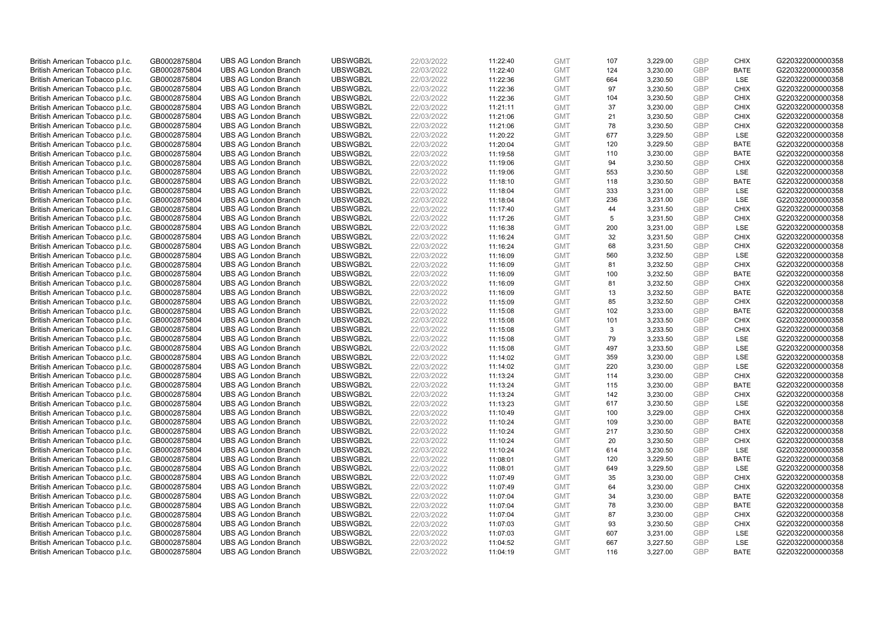| British American Tobacco p.l.c.                                    | GB0002875804                 | <b>UBS AG London Branch</b>                                | UBSWGB2L             | 22/03/2022               | 11:22:40             | <b>GMT</b>               | 107       | 3,229.00             | <b>GBP</b>        | <b>CHIX</b>                | G220322000000358                     |
|--------------------------------------------------------------------|------------------------------|------------------------------------------------------------|----------------------|--------------------------|----------------------|--------------------------|-----------|----------------------|-------------------|----------------------------|--------------------------------------|
| British American Tobacco p.l.c.                                    | GB0002875804                 | <b>UBS AG London Branch</b>                                | UBSWGB2L             | 22/03/2022               | 11:22:40             | <b>GMT</b>               | 124       | 3,230.00             | GBP               | <b>BATE</b>                | G220322000000358                     |
| British American Tobacco p.l.c.                                    | GB0002875804                 | <b>UBS AG London Branch</b>                                | UBSWGB2L             | 22/03/2022               | 11:22:36             | <b>GMT</b>               | 664       | 3,230.50             | GBP               | LSE                        | G220322000000358                     |
| British American Tobacco p.l.c.                                    | GB0002875804                 | <b>UBS AG London Branch</b>                                | UBSWGB2L             | 22/03/2022               | 11:22:36             | <b>GMT</b>               | 97        | 3,230.50             | <b>GBP</b>        | <b>CHIX</b>                | G220322000000358                     |
| British American Tobacco p.l.c.                                    | GB0002875804                 | <b>UBS AG London Branch</b>                                | UBSWGB2L             | 22/03/2022               | 11:22:36             | <b>GMT</b>               | 104       | 3,230.50             | GBP               | <b>CHIX</b>                | G220322000000358                     |
| British American Tobacco p.l.c.                                    | GB0002875804                 | <b>UBS AG London Branch</b>                                | UBSWGB2L             | 22/03/2022               | 11:21:11             | <b>GMT</b>               | 37        | 3,230.00             | <b>GBP</b>        | <b>CHIX</b>                | G220322000000358                     |
| British American Tobacco p.l.c.                                    | GB0002875804                 | <b>UBS AG London Branch</b>                                | UBSWGB2L             | 22/03/2022               | 11:21:06             | <b>GMT</b>               | 21        | 3,230.50             | GBP               | <b>CHIX</b>                | G220322000000358                     |
| British American Tobacco p.l.c.                                    | GB0002875804                 | <b>UBS AG London Branch</b>                                | UBSWGB2L             | 22/03/2022               | 11:21:06             | <b>GMT</b>               | 78        | 3,230.50             | <b>GBP</b>        | <b>CHIX</b>                | G220322000000358                     |
| British American Tobacco p.l.c.                                    | GB0002875804                 | <b>UBS AG London Branch</b>                                | UBSWGB2L             | 22/03/2022               | 11:20:22             | <b>GMT</b>               | 677       | 3,229.50             | GBP               | LSE                        | G220322000000358                     |
| British American Tobacco p.l.c.                                    | GB0002875804                 | <b>UBS AG London Branch</b>                                | UBSWGB2L             | 22/03/2022               | 11:20:04             | <b>GMT</b>               | 120       | 3,229.50             | <b>GBP</b>        | <b>BATE</b>                | G220322000000358                     |
| British American Tobacco p.l.c.                                    | GB0002875804                 | <b>UBS AG London Branch</b>                                | UBSWGB2L             | 22/03/2022               | 11:19:58             | <b>GMT</b>               | 110       | 3.230.00             | GBP               | <b>BATE</b>                | G220322000000358                     |
| British American Tobacco p.l.c.                                    | GB0002875804                 | <b>UBS AG London Branch</b>                                | UBSWGB2L             | 22/03/2022               | 11:19:06             | <b>GMT</b>               | 94        | 3,230.50             | <b>GBP</b>        | <b>CHIX</b>                | G220322000000358                     |
| British American Tobacco p.l.c.                                    | GB0002875804                 | <b>UBS AG London Branch</b>                                | UBSWGB2L             | 22/03/2022               | 11:19:06             | <b>GMT</b>               | 553       | 3,230.50             | GBP               | LSE                        | G220322000000358                     |
| British American Tobacco p.l.c.                                    | GB0002875804                 | <b>UBS AG London Branch</b>                                | UBSWGB2L             | 22/03/2022               | 11:18:10             | <b>GMT</b>               | 118       | 3,230.50             | <b>GBP</b><br>GBP | <b>BATE</b><br><b>LSE</b>  | G220322000000358                     |
| British American Tobacco p.l.c.                                    | GB0002875804                 | <b>UBS AG London Branch</b>                                | UBSWGB2L             | 22/03/2022               | 11:18:04             | <b>GMT</b>               | 333       | 3,231.00             |                   |                            | G220322000000358                     |
| British American Tobacco p.l.c.                                    | GB0002875804                 | <b>UBS AG London Branch</b>                                | UBSWGB2L             | 22/03/2022               | 11:18:04             | <b>GMT</b>               | 236       | 3,231.00             | GBP<br>GBP        | LSE                        | G220322000000358                     |
| British American Tobacco p.l.c.                                    | GB0002875804                 | <b>UBS AG London Branch</b>                                | UBSWGB2L             | 22/03/2022               | 11:17:40             | <b>GMT</b>               | 44        | 3,231.50             |                   | <b>CHIX</b>                | G220322000000358                     |
| British American Tobacco p.l.c.                                    | GB0002875804                 | <b>UBS AG London Branch</b>                                | UBSWGB2L             | 22/03/2022               | 11:17:26             | <b>GMT</b>               | 5         | 3,231.50             | <b>GBP</b>        | <b>CHIX</b>                | G220322000000358                     |
| British American Tobacco p.l.c.                                    | GB0002875804                 | <b>UBS AG London Branch</b>                                | UBSWGB2L             | 22/03/2022               | 11:16:38             | <b>GMT</b>               | 200       | 3,231.00             | <b>GBP</b>        | <b>LSE</b>                 | G220322000000358                     |
| British American Tobacco p.l.c.                                    | GB0002875804                 | <b>UBS AG London Branch</b>                                | UBSWGB2L             | 22/03/2022               | 11:16:24             | <b>GMT</b>               | 32        | 3,231.50             | <b>GBP</b>        | <b>CHIX</b>                | G220322000000358                     |
| British American Tobacco p.l.c.                                    | GB0002875804                 | <b>UBS AG London Branch</b>                                | UBSWGB2L<br>UBSWGB2L | 22/03/2022<br>22/03/2022 | 11:16:24<br>11:16:09 | <b>GMT</b>               | 68<br>560 | 3,231.50<br>3,232.50 | <b>GBP</b><br>GBP | <b>CHIX</b><br>LSE         | G220322000000358<br>G220322000000358 |
| British American Tobacco p.l.c.                                    | GB0002875804                 | <b>UBS AG London Branch</b>                                |                      |                          |                      | <b>GMT</b>               |           |                      | <b>GBP</b>        |                            |                                      |
| British American Tobacco p.l.c.<br>British American Tobacco p.l.c. | GB0002875804<br>GB0002875804 | <b>UBS AG London Branch</b><br><b>UBS AG London Branch</b> | UBSWGB2L<br>UBSWGB2L | 22/03/2022<br>22/03/2022 | 11:16:09             | <b>GMT</b><br><b>GMT</b> | 81<br>100 | 3,232.50<br>3.232.50 | GBP               | <b>CHIX</b><br><b>BATE</b> | G220322000000358<br>G220322000000358 |
|                                                                    |                              | <b>UBS AG London Branch</b>                                | UBSWGB2L             | 22/03/2022               | 11:16:09             |                          | 81        | 3,232.50             | <b>GBP</b>        | <b>CHIX</b>                |                                      |
| British American Tobacco p.l.c.<br>British American Tobacco p.l.c. | GB0002875804<br>GB0002875804 | <b>UBS AG London Branch</b>                                | UBSWGB2L             | 22/03/2022               | 11:16:09<br>11:16:09 | <b>GMT</b><br><b>GMT</b> | 13        | 3,232.50             | GBP               | <b>BATE</b>                | G220322000000358<br>G220322000000358 |
| British American Tobacco p.l.c.                                    | GB0002875804                 | <b>UBS AG London Branch</b>                                | UBSWGB2L             | 22/03/2022               | 11:15:09             | <b>GMT</b>               | 85        | 3,232.50             | <b>GBP</b>        | <b>CHIX</b>                | G220322000000358                     |
| British American Tobacco p.l.c.                                    | GB0002875804                 | <b>UBS AG London Branch</b>                                | UBSWGB2L             | 22/03/2022               | 11:15:08             | <b>GMT</b>               | 102       | 3,233.00             | GBP               | <b>BATE</b>                | G220322000000358                     |
| British American Tobacco p.l.c.                                    | GB0002875804                 | <b>UBS AG London Branch</b>                                | UBSWGB2L             | 22/03/2022               | 11:15:08             | <b>GMT</b>               | 101       | 3,233.50             | <b>GBP</b>        | <b>CHIX</b>                | G220322000000358                     |
| British American Tobacco p.l.c.                                    | GB0002875804                 | <b>UBS AG London Branch</b>                                | UBSWGB2L             | 22/03/2022               | 11:15:08             | <b>GMT</b>               | 3         | 3,233.50             | GBP               | <b>CHIX</b>                | G220322000000358                     |
| British American Tobacco p.l.c.                                    | GB0002875804                 | <b>UBS AG London Branch</b>                                | UBSWGB2L             | 22/03/2022               | 11:15:08             | <b>GMT</b>               | 79        | 3,233.50             | <b>GBP</b>        | <b>LSE</b>                 | G220322000000358                     |
| British American Tobacco p.l.c.                                    | GB0002875804                 | <b>UBS AG London Branch</b>                                | UBSWGB2L             | 22/03/2022               | 11:15:08             | <b>GMT</b>               | 497       | 3,233.50             | GBP               | <b>LSE</b>                 | G220322000000358                     |
| British American Tobacco p.l.c.                                    | GB0002875804                 | <b>UBS AG London Branch</b>                                | UBSWGB2L             | 22/03/2022               | 11:14:02             | <b>GMT</b>               | 359       | 3,230.00             | <b>GBP</b>        | LSE                        | G220322000000358                     |
| British American Tobacco p.l.c.                                    | GB0002875804                 | <b>UBS AG London Branch</b>                                | UBSWGB2L             | 22/03/2022               | 11:14:02             | <b>GMT</b>               | 220       | 3,230.00             | <b>GBP</b>        | LSE                        | G220322000000358                     |
| British American Tobacco p.l.c.                                    | GB0002875804                 | <b>UBS AG London Branch</b>                                | UBSWGB2L             | 22/03/2022               | 11:13:24             | <b>GMT</b>               | 114       | 3,230.00             | <b>GBP</b>        | <b>CHIX</b>                | G220322000000358                     |
| British American Tobacco p.l.c.                                    | GB0002875804                 | <b>UBS AG London Branch</b>                                | UBSWGB2L             | 22/03/2022               | 11:13:24             | <b>GMT</b>               | 115       | 3,230.00             | <b>GBP</b>        | <b>BATE</b>                | G220322000000358                     |
| British American Tobacco p.l.c.                                    | GB0002875804                 | <b>UBS AG London Branch</b>                                | UBSWGB2L             | 22/03/2022               | 11:13:24             | <b>GMT</b>               | 142       | 3,230.00             | <b>GBP</b>        | <b>CHIX</b>                | G220322000000358                     |
| British American Tobacco p.l.c.                                    | GB0002875804                 | <b>UBS AG London Branch</b>                                | UBSWGB2L             | 22/03/2022               | 11:13:23             | <b>GMT</b>               | 617       | 3,230.50             | <b>GBP</b>        | LSE                        | G220322000000358                     |
| British American Tobacco p.l.c.                                    | GB0002875804                 | <b>UBS AG London Branch</b>                                | UBSWGB2L             | 22/03/2022               | 11:10:49             | <b>GMT</b>               | 100       | 3,229.00             | <b>GBP</b>        | <b>CHIX</b>                | G220322000000358                     |
| British American Tobacco p.l.c.                                    | GB0002875804                 | <b>UBS AG London Branch</b>                                | UBSWGB2L             | 22/03/2022               | 11:10:24             | <b>GMT</b>               | 109       | 3,230.00             | <b>GBP</b>        | <b>BATE</b>                | G220322000000358                     |
| British American Tobacco p.l.c.                                    | GB0002875804                 | <b>UBS AG London Branch</b>                                | UBSWGB2L             | 22/03/2022               | 11:10:24             | <b>GMT</b>               | 217       | 3,230.50             | GBP               | <b>CHIX</b>                | G220322000000358                     |
| British American Tobacco p.l.c.                                    | GB0002875804                 | <b>UBS AG London Branch</b>                                | UBSWGB2L             | 22/03/2022               | 11:10:24             | <b>GMT</b>               | 20        | 3,230.50             | <b>GBP</b>        | <b>CHIX</b>                | G220322000000358                     |
| British American Tobacco p.l.c.                                    | GB0002875804                 | <b>UBS AG London Branch</b>                                | UBSWGB2L             | 22/03/2022               | 11:10:24             | <b>GMT</b>               | 614       | 3,230.50             | <b>GBP</b>        | LSE                        | G220322000000358                     |
| British American Tobacco p.l.c.                                    | GB0002875804                 | <b>UBS AG London Branch</b>                                | UBSWGB2L             | 22/03/2022               | 11:08:01             | <b>GMT</b>               | 120       | 3,229.50             | <b>GBP</b>        | <b>BATE</b>                | G220322000000358                     |
| British American Tobacco p.l.c.                                    | GB0002875804                 | <b>UBS AG London Branch</b>                                | UBSWGB2L             | 22/03/2022               | 11:08:01             | <b>GMT</b>               | 649       | 3,229.50             | <b>GBP</b>        | LSE                        | G220322000000358                     |
| British American Tobacco p.l.c.                                    | GB0002875804                 | <b>UBS AG London Branch</b>                                | UBSWGB2L             | 22/03/2022               | 11:07:49             | <b>GMT</b>               | 35        | 3,230.00             | <b>GBP</b>        | <b>CHIX</b>                | G220322000000358                     |
| British American Tobacco p.l.c.                                    | GB0002875804                 | <b>UBS AG London Branch</b>                                | UBSWGB2L             | 22/03/2022               | 11:07:49             | <b>GMT</b>               | 64        | 3,230.00             | <b>GBP</b>        | <b>CHIX</b>                | G220322000000358                     |
| British American Tobacco p.l.c.                                    | GB0002875804                 | <b>UBS AG London Branch</b>                                | UBSWGB2L             | 22/03/2022               | 11:07:04             | <b>GMT</b>               | 34        | 3,230.00             | <b>GBP</b>        | <b>BATE</b>                | G220322000000358                     |
| British American Tobacco p.l.c.                                    | GB0002875804                 | <b>UBS AG London Branch</b>                                | UBSWGB2L             | 22/03/2022               | 11:07:04             | <b>GMT</b>               | 78        | 3,230.00             | <b>GBP</b>        | <b>BATE</b>                | G220322000000358                     |
| British American Tobacco p.l.c.                                    | GB0002875804                 | <b>UBS AG London Branch</b>                                | UBSWGB2L             | 22/03/2022               | 11:07:04             | <b>GMT</b>               | 87        | 3,230.00             | <b>GBP</b>        | <b>CHIX</b>                | G220322000000358                     |
| British American Tobacco p.l.c.                                    | GB0002875804                 | <b>UBS AG London Branch</b>                                | UBSWGB2L             | 22/03/2022               | 11:07:03             | <b>GMT</b>               | 93        | 3,230.50             | GBP               | <b>CHIX</b>                | G220322000000358                     |
| British American Tobacco p.l.c.                                    | GB0002875804                 | <b>UBS AG London Branch</b>                                | UBSWGB2L             | 22/03/2022               | 11:07:03             | <b>GMT</b>               | 607       | 3,231.00             | <b>GBP</b>        | LSE                        | G220322000000358                     |
| British American Tobacco p.l.c.                                    | GB0002875804                 | <b>UBS AG London Branch</b>                                | UBSWGB2L             | 22/03/2022               | 11:04:52             | <b>GMT</b>               | 667       | 3,227.50             | <b>GBP</b>        | <b>LSE</b>                 | G220322000000358                     |
| British American Tobacco p.l.c.                                    | GB0002875804                 | <b>UBS AG London Branch</b>                                | UBSWGB2L             | 22/03/2022               | 11:04:19             | <b>GMT</b>               | 116       | 3.227.00             | GBP               | <b>BATE</b>                | G220322000000358                     |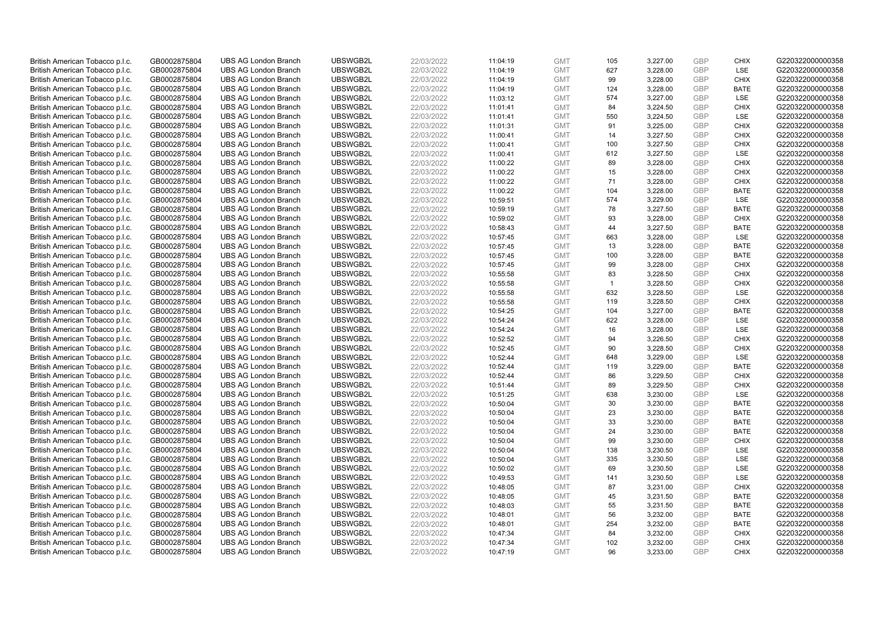| British American Tobacco p.l.c. | GB0002875804 | <b>UBS AG London Branch</b> | UBSWGB2L | 22/03/2022 | 11:04:19 | <b>GMT</b> | 105            | 3,227.00 | <b>GBP</b> | <b>CHIX</b> | G220322000000358 |
|---------------------------------|--------------|-----------------------------|----------|------------|----------|------------|----------------|----------|------------|-------------|------------------|
| British American Tobacco p.l.c. | GB0002875804 | <b>UBS AG London Branch</b> | UBSWGB2L | 22/03/2022 | 11:04:19 | <b>GMT</b> | 627            | 3,228.00 | GBP        | LSE         | G220322000000358 |
| British American Tobacco p.l.c. | GB0002875804 | <b>UBS AG London Branch</b> | UBSWGB2L | 22/03/2022 | 11:04:19 | <b>GMT</b> | 99             | 3,228.00 | GBP        | <b>CHIX</b> | G220322000000358 |
| British American Tobacco p.l.c. | GB0002875804 | <b>UBS AG London Branch</b> | UBSWGB2L | 22/03/2022 | 11:04:19 | <b>GMT</b> | 124            | 3,228.00 | <b>GBP</b> | <b>BATE</b> | G220322000000358 |
| British American Tobacco p.l.c. | GB0002875804 | <b>UBS AG London Branch</b> | UBSWGB2L | 22/03/2022 | 11:03:12 | <b>GMT</b> | 574            | 3,227.00 | GBP        | LSE         | G220322000000358 |
| British American Tobacco p.l.c. | GB0002875804 | <b>UBS AG London Branch</b> | UBSWGB2L | 22/03/2022 | 11:01:41 | <b>GMT</b> | 84             | 3,224.50 | <b>GBP</b> | <b>CHIX</b> | G220322000000358 |
| British American Tobacco p.l.c. | GB0002875804 | <b>UBS AG London Branch</b> | UBSWGB2L | 22/03/2022 | 11:01:41 | <b>GMT</b> | 550            | 3,224.50 | GBP        | LSE         | G220322000000358 |
| British American Tobacco p.l.c. | GB0002875804 | <b>UBS AG London Branch</b> | UBSWGB2L | 22/03/2022 | 11:01:31 | <b>GMT</b> | 91             | 3,225.00 | <b>GBP</b> | <b>CHIX</b> | G220322000000358 |
| British American Tobacco p.l.c. | GB0002875804 | <b>UBS AG London Branch</b> | UBSWGB2L | 22/03/2022 | 11:00:41 | <b>GMT</b> | 14             | 3,227.50 | GBP        | <b>CHIX</b> | G220322000000358 |
| British American Tobacco p.l.c. | GB0002875804 | <b>UBS AG London Branch</b> | UBSWGB2L | 22/03/2022 | 11:00:41 | <b>GMT</b> | 100            | 3,227.50 | <b>GBP</b> | <b>CHIX</b> | G220322000000358 |
| British American Tobacco p.l.c. | GB0002875804 | <b>UBS AG London Branch</b> | UBSWGB2L | 22/03/2022 | 11:00:41 | <b>GMT</b> | 612            | 3.227.50 | GBP        | <b>LSE</b>  | G220322000000358 |
| British American Tobacco p.l.c. | GB0002875804 | <b>UBS AG London Branch</b> | UBSWGB2L | 22/03/2022 | 11:00:22 | <b>GMT</b> | 89             | 3,228.00 | <b>GBP</b> | <b>CHIX</b> | G220322000000358 |
| British American Tobacco p.l.c. | GB0002875804 | <b>UBS AG London Branch</b> | UBSWGB2L | 22/03/2022 | 11:00:22 | <b>GMT</b> | 15             | 3,228.00 | <b>GBP</b> | <b>CHIX</b> | G220322000000358 |
| British American Tobacco p.l.c. | GB0002875804 | <b>UBS AG London Branch</b> | UBSWGB2L | 22/03/2022 | 11:00:22 | <b>GMT</b> | 71             | 3,228.00 | <b>GBP</b> | <b>CHIX</b> | G220322000000358 |
| British American Tobacco p.l.c. | GB0002875804 | <b>UBS AG London Branch</b> | UBSWGB2L | 22/03/2022 | 11:00:22 | <b>GMT</b> | 104            | 3,228.00 | GBP        | <b>BATE</b> | G220322000000358 |
| British American Tobacco p.l.c. | GB0002875804 | <b>UBS AG London Branch</b> | UBSWGB2L | 22/03/2022 | 10:59:51 | <b>GMT</b> | 574            | 3,229.00 | GBP        | LSE         | G220322000000358 |
| British American Tobacco p.l.c. | GB0002875804 | <b>UBS AG London Branch</b> | UBSWGB2L | 22/03/2022 | 10:59:19 | <b>GMT</b> | 78             | 3,227.50 | GBP        | <b>BATE</b> | G220322000000358 |
| British American Tobacco p.l.c. | GB0002875804 | <b>UBS AG London Branch</b> | UBSWGB2L | 22/03/2022 | 10:59:02 | <b>GMT</b> | 93             | 3,228.00 | GBP        | <b>CHIX</b> | G220322000000358 |
| British American Tobacco p.l.c. | GB0002875804 | <b>UBS AG London Branch</b> | UBSWGB2L | 22/03/2022 | 10:58:43 | <b>GMT</b> | 44             | 3,227.50 | <b>GBP</b> | <b>BATE</b> | G220322000000358 |
| British American Tobacco p.l.c. | GB0002875804 | <b>UBS AG London Branch</b> | UBSWGB2L | 22/03/2022 | 10:57:45 | <b>GMT</b> | 663            | 3,228.00 | <b>GBP</b> | LSE         | G220322000000358 |
| British American Tobacco p.l.c. | GB0002875804 | <b>UBS AG London Branch</b> | UBSWGB2L | 22/03/2022 | 10:57:45 | <b>GMT</b> | 13             | 3,228.00 | <b>GBP</b> | <b>BATE</b> | G220322000000358 |
| British American Tobacco p.l.c. | GB0002875804 | <b>UBS AG London Branch</b> | UBSWGB2L | 22/03/2022 | 10:57:45 | <b>GMT</b> | 100            | 3,228.00 | GBP        | <b>BATE</b> | G220322000000358 |
| British American Tobacco p.l.c. | GB0002875804 | <b>UBS AG London Branch</b> | UBSWGB2L | 22/03/2022 | 10:57:45 | <b>GMT</b> | 99             | 3,228.00 | <b>GBP</b> | <b>CHIX</b> | G220322000000358 |
| British American Tobacco p.l.c. | GB0002875804 | <b>UBS AG London Branch</b> | UBSWGB2L | 22/03/2022 | 10:55:58 | <b>GMT</b> | 83             | 3,228.50 | GBP        | <b>CHIX</b> | G220322000000358 |
| British American Tobacco p.l.c. | GB0002875804 | <b>UBS AG London Branch</b> | UBSWGB2L | 22/03/2022 | 10:55:58 | <b>GMT</b> | $\overline{1}$ | 3,228.50 | <b>GBP</b> | <b>CHIX</b> | G220322000000358 |
| British American Tobacco p.l.c. | GB0002875804 | <b>UBS AG London Branch</b> | UBSWGB2L | 22/03/2022 | 10:55:58 | <b>GMT</b> | 632            | 3,228.50 | GBP        | LSE         | G220322000000358 |
| British American Tobacco p.l.c. | GB0002875804 | <b>UBS AG London Branch</b> | UBSWGB2L | 22/03/2022 | 10:55:58 | <b>GMT</b> | 119            | 3,228.50 | <b>GBP</b> | <b>CHIX</b> | G220322000000358 |
| British American Tobacco p.l.c. | GB0002875804 | <b>UBS AG London Branch</b> | UBSWGB2L | 22/03/2022 | 10:54:25 | <b>GMT</b> | 104            | 3,227.00 | GBP        | <b>BATE</b> | G220322000000358 |
| British American Tobacco p.l.c. | GB0002875804 | <b>UBS AG London Branch</b> | UBSWGB2L | 22/03/2022 | 10:54:24 | <b>GMT</b> | 622            | 3,228.00 | <b>GBP</b> | LSE         | G220322000000358 |
| British American Tobacco p.l.c. | GB0002875804 | <b>UBS AG London Branch</b> | UBSWGB2L | 22/03/2022 | 10:54:24 | <b>GMT</b> | 16             | 3,228.00 | GBP        | LSE         | G220322000000358 |
| British American Tobacco p.l.c. | GB0002875804 | <b>UBS AG London Branch</b> | UBSWGB2L | 22/03/2022 | 10:52:52 | <b>GMT</b> | 94             | 3,226.50 | <b>GBP</b> | <b>CHIX</b> | G220322000000358 |
| British American Tobacco p.l.c. | GB0002875804 | <b>UBS AG London Branch</b> | UBSWGB2L | 22/03/2022 | 10:52:45 | <b>GMT</b> | 90             | 3,228.50 | GBP        | CHIX        | G220322000000358 |
| British American Tobacco p.l.c. | GB0002875804 | <b>UBS AG London Branch</b> | UBSWGB2L | 22/03/2022 | 10:52:44 | <b>GMT</b> | 648            | 3,229.00 | <b>GBP</b> | LSE         | G220322000000358 |
| British American Tobacco p.l.c. | GB0002875804 | <b>UBS AG London Branch</b> | UBSWGB2L | 22/03/2022 | 10:52:44 | <b>GMT</b> | 119            | 3,229.00 | <b>GBP</b> | <b>BATE</b> | G220322000000358 |
| British American Tobacco p.l.c. | GB0002875804 | <b>UBS AG London Branch</b> | UBSWGB2L | 22/03/2022 | 10:52:44 | <b>GMT</b> | 86             | 3,229.50 | <b>GBP</b> | <b>CHIX</b> | G220322000000358 |
| British American Tobacco p.l.c. | GB0002875804 | <b>UBS AG London Branch</b> | UBSWGB2L | 22/03/2022 | 10:51:44 | <b>GMT</b> | 89             | 3,229.50 | <b>GBP</b> | <b>CHIX</b> | G220322000000358 |
| British American Tobacco p.l.c. | GB0002875804 | <b>UBS AG London Branch</b> | UBSWGB2L | 22/03/2022 | 10:51:25 | <b>GMT</b> | 638            | 3,230.00 | <b>GBP</b> | <b>LSE</b>  | G220322000000358 |
| British American Tobacco p.l.c. | GB0002875804 | <b>UBS AG London Branch</b> | UBSWGB2L | 22/03/2022 | 10:50:04 | <b>GMT</b> | 30             | 3,230.00 | <b>GBP</b> | <b>BATE</b> | G220322000000358 |
| British American Tobacco p.l.c. | GB0002875804 | <b>UBS AG London Branch</b> | UBSWGB2L | 22/03/2022 | 10:50:04 | <b>GMT</b> | 23             | 3,230.00 | <b>GBP</b> | <b>BATE</b> | G220322000000358 |
| British American Tobacco p.l.c. | GB0002875804 | <b>UBS AG London Branch</b> | UBSWGB2L | 22/03/2022 | 10:50:04 | <b>GMT</b> | 33             | 3,230.00 | <b>GBP</b> | <b>BATE</b> | G220322000000358 |
| British American Tobacco p.l.c. | GB0002875804 | <b>UBS AG London Branch</b> | UBSWGB2L | 22/03/2022 | 10:50:04 | <b>GMT</b> | 24             | 3,230.00 | <b>GBP</b> | <b>BATE</b> | G220322000000358 |
| British American Tobacco p.l.c. | GB0002875804 | <b>UBS AG London Branch</b> | UBSWGB2L | 22/03/2022 | 10:50:04 | <b>GMT</b> | 99             | 3,230.00 | <b>GBP</b> | <b>CHIX</b> | G220322000000358 |
| British American Tobacco p.l.c. | GB0002875804 | <b>UBS AG London Branch</b> | UBSWGB2L | 22/03/2022 | 10:50:04 | <b>GMT</b> | 138            | 3,230.50 | <b>GBP</b> | LSE         | G220322000000358 |
| British American Tobacco p.l.c. | GB0002875804 | <b>UBS AG London Branch</b> | UBSWGB2L | 22/03/2022 | 10:50:04 | <b>GMT</b> | 335            | 3,230.50 | <b>GBP</b> | LSE         | G220322000000358 |
| British American Tobacco p.l.c. | GB0002875804 | <b>UBS AG London Branch</b> | UBSWGB2L | 22/03/2022 | 10:50:02 | <b>GMT</b> | 69             | 3,230.50 | <b>GBP</b> | LSE         | G220322000000358 |
| British American Tobacco p.l.c. | GB0002875804 | <b>UBS AG London Branch</b> | UBSWGB2L | 22/03/2022 | 10:49:53 | <b>GMT</b> | 141            | 3,230.50 | <b>GBP</b> | LSE         | G220322000000358 |
| British American Tobacco p.l.c. | GB0002875804 | <b>UBS AG London Branch</b> | UBSWGB2L | 22/03/2022 | 10:48:05 | <b>GMT</b> | 87             | 3,231.00 | <b>GBP</b> | <b>CHIX</b> | G220322000000358 |
| British American Tobacco p.l.c. | GB0002875804 | <b>UBS AG London Branch</b> | UBSWGB2L | 22/03/2022 | 10:48:05 | <b>GMT</b> | 45             | 3,231.50 | <b>GBP</b> | <b>BATE</b> | G220322000000358 |
| British American Tobacco p.l.c. | GB0002875804 | <b>UBS AG London Branch</b> | UBSWGB2L | 22/03/2022 | 10:48:03 | <b>GMT</b> | 55             | 3,231.50 | <b>GBP</b> | <b>BATE</b> | G220322000000358 |
| British American Tobacco p.l.c. | GB0002875804 | <b>UBS AG London Branch</b> | UBSWGB2L | 22/03/2022 | 10:48:01 | <b>GMT</b> | 56             | 3,232.00 | <b>GBP</b> | <b>BATE</b> | G220322000000358 |
| British American Tobacco p.l.c. | GB0002875804 | <b>UBS AG London Branch</b> | UBSWGB2L | 22/03/2022 | 10:48:01 | <b>GMT</b> | 254            | 3,232.00 | GBP        | <b>BATE</b> | G220322000000358 |
| British American Tobacco p.l.c. | GB0002875804 | <b>UBS AG London Branch</b> | UBSWGB2L | 22/03/2022 | 10:47:34 | <b>GMT</b> | 84             | 3,232.00 | <b>GBP</b> | <b>CHIX</b> | G220322000000358 |
| British American Tobacco p.l.c. | GB0002875804 | <b>UBS AG London Branch</b> | UBSWGB2L | 22/03/2022 | 10:47:34 | <b>GMT</b> | 102            | 3,232.00 | <b>GBP</b> | <b>CHIX</b> | G220322000000358 |
| British American Tobacco p.l.c. | GB0002875804 | <b>UBS AG London Branch</b> | UBSWGB2L | 22/03/2022 | 10:47:19 | <b>GMT</b> | 96             | 3.233.00 | GBP        | CHIX        | G220322000000358 |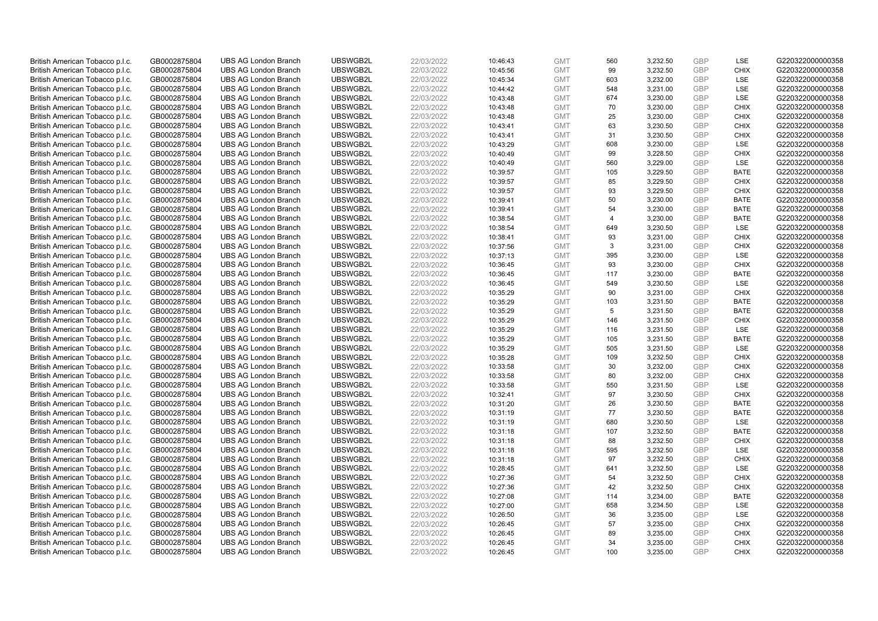| British American Tobacco p.l.c. | GB0002875804 | <b>UBS AG London Branch</b>                                | UBSWGB2L             | 22/03/2022 | 10:46:43 | <b>GMT</b>               | 560            | 3,232.50             | <b>GBP</b>               | LSE                        | G220322000000358                     |
|---------------------------------|--------------|------------------------------------------------------------|----------------------|------------|----------|--------------------------|----------------|----------------------|--------------------------|----------------------------|--------------------------------------|
|                                 |              |                                                            |                      |            |          |                          |                |                      | GBP                      | <b>CHIX</b>                |                                      |
| British American Tobacco p.l.c. | GB0002875804 | <b>UBS AG London Branch</b>                                | UBSWGB2L             | 22/03/2022 | 10:45:56 | <b>GMT</b>               | 99             | 3,232.50             |                          |                            | G220322000000358                     |
| British American Tobacco p.l.c. | GB0002875804 | <b>UBS AG London Branch</b>                                | UBSWGB2L             | 22/03/2022 | 10:45:34 | <b>GMT</b>               | 603            | 3,232.00             | <b>GBP</b>               | LSE                        | G220322000000358                     |
| British American Tobacco p.l.c. | GB0002875804 | <b>UBS AG London Branch</b>                                | UBSWGB2L             | 22/03/2022 | 10:44:42 | <b>GMT</b>               | 548            | 3,231.00             | <b>GBP</b>               | LSE                        | G220322000000358                     |
| British American Tobacco p.l.c. | GB0002875804 | <b>UBS AG London Branch</b>                                | UBSWGB2L             | 22/03/2022 | 10:43:48 | <b>GMT</b>               | 674            | 3,230.00             | <b>GBP</b>               | LSE                        | G220322000000358                     |
| British American Tobacco p.l.c. | GB0002875804 | <b>UBS AG London Branch</b>                                | UBSWGB2L             | 22/03/2022 | 10:43:48 | <b>GMT</b>               | 70             | 3,230.00             | <b>GBP</b>               | <b>CHIX</b>                | G220322000000358                     |
| British American Tobacco p.l.c. | GB0002875804 | <b>UBS AG London Branch</b>                                | UBSWGB2L             | 22/03/2022 | 10:43:48 | <b>GMT</b>               | 25             | 3,230.00             | <b>GBP</b>               | <b>CHIX</b>                | G220322000000358                     |
| British American Tobacco p.l.c. | GB0002875804 | <b>UBS AG London Branch</b>                                | UBSWGB2L             | 22/03/2022 | 10:43:41 | <b>GMT</b>               | 63             | 3,230.50             | <b>GBP</b>               | <b>CHIX</b>                | G220322000000358                     |
| British American Tobacco p.l.c. | GB0002875804 | <b>UBS AG London Branch</b>                                | UBSWGB2L             | 22/03/2022 | 10:43:41 | <b>GMT</b>               | 31             | 3,230.50             | <b>GBP</b>               | <b>CHIX</b>                | G220322000000358                     |
| British American Tobacco p.l.c. | GB0002875804 | <b>UBS AG London Branch</b>                                | UBSWGB2L             | 22/03/2022 | 10:43:29 | <b>GMT</b>               | 608            | 3,230.00             | <b>GBP</b>               | LSE                        | G220322000000358                     |
| British American Tobacco p.l.c. | GB0002875804 | <b>UBS AG London Branch</b>                                | UBSWGB2L             | 22/03/2022 | 10:40:49 | <b>GMT</b>               | 99             | 3,228.50             | <b>GBP</b>               | <b>CHIX</b>                | G220322000000358                     |
| British American Tobacco p.l.c. | GB0002875804 | <b>UBS AG London Branch</b>                                | UBSWGB2L             | 22/03/2022 | 10:40:49 | <b>GMT</b>               | 560            | 3,229.00             | <b>GBP</b>               | LSE                        | G220322000000358                     |
| British American Tobacco p.l.c. | GB0002875804 | <b>UBS AG London Branch</b>                                | UBSWGB2L             | 22/03/2022 | 10:39:57 | <b>GMT</b>               | 105            | 3,229.50             | <b>GBP</b>               | <b>BATE</b>                | G220322000000358                     |
| British American Tobacco p.l.c. | GB0002875804 | <b>UBS AG London Branch</b>                                | UBSWGB2L             | 22/03/2022 | 10:39:57 | <b>GMT</b>               | 85             | 3,229.50             | <b>GBP</b>               | <b>CHIX</b>                | G220322000000358                     |
| British American Tobacco p.l.c. | GB0002875804 | <b>UBS AG London Branch</b>                                | UBSWGB2L             | 22/03/2022 | 10:39:57 | <b>GMT</b>               | 93             | 3,229.50             | <b>GBP</b>               | <b>CHIX</b>                | G220322000000358                     |
| British American Tobacco p.l.c. | GB0002875804 | <b>UBS AG London Branch</b>                                | UBSWGB2L             | 22/03/2022 | 10:39:41 | <b>GMT</b>               | 50             | 3,230.00             | <b>GBP</b>               | <b>BATE</b>                | G220322000000358                     |
| British American Tobacco p.l.c. | GB0002875804 | <b>UBS AG London Branch</b>                                | UBSWGB2L             | 22/03/2022 | 10:39:41 | <b>GMT</b>               | 54             | 3,230.00             | <b>GBP</b>               | <b>BATE</b>                | G220322000000358                     |
| British American Tobacco p.l.c. | GB0002875804 | <b>UBS AG London Branch</b>                                | UBSWGB2L             | 22/03/2022 | 10:38:54 | <b>GMT</b>               | $\overline{4}$ | 3,230.00             | <b>GBP</b>               | <b>BATE</b>                | G220322000000358                     |
| British American Tobacco p.l.c. | GB0002875804 | <b>UBS AG London Branch</b>                                | UBSWGB2L             | 22/03/2022 | 10:38:54 | <b>GMT</b>               | 649            | 3,230.50             | <b>GBP</b>               | <b>LSE</b>                 | G220322000000358                     |
| British American Tobacco p.l.c. | GB0002875804 | <b>UBS AG London Branch</b>                                | UBSWGB2L             | 22/03/2022 | 10:38:41 | <b>GMT</b>               | 93             | 3,231.00             | <b>GBP</b>               | <b>CHIX</b>                | G220322000000358                     |
| British American Tobacco p.l.c. | GB0002875804 | <b>UBS AG London Branch</b>                                | UBSWGB2L             | 22/03/2022 | 10:37:56 | <b>GMT</b>               | 3              | 3,231.00             | <b>GBP</b>               | <b>CHIX</b>                | G220322000000358                     |
| British American Tobacco p.l.c. | GB0002875804 | <b>UBS AG London Branch</b>                                | UBSWGB2L             | 22/03/2022 | 10:37:13 | <b>GMT</b>               | 395            | 3,230.00             | <b>GBP</b>               | LSE                        | G220322000000358                     |
| British American Tobacco p.l.c. | GB0002875804 | <b>UBS AG London Branch</b>                                | UBSWGB2L             | 22/03/2022 | 10:36:45 | <b>GMT</b>               | 93             | 3,230.00             | <b>GBP</b>               | <b>CHIX</b>                | G220322000000358                     |
| British American Tobacco p.l.c. | GB0002875804 | <b>UBS AG London Branch</b>                                | UBSWGB2L             | 22/03/2022 | 10:36:45 | <b>GMT</b>               | 117            | 3,230.00             | <b>GBP</b>               | <b>BATE</b>                | G220322000000358                     |
| British American Tobacco p.l.c. | GB0002875804 | <b>UBS AG London Branch</b>                                | UBSWGB2L             | 22/03/2022 | 10:36:45 | <b>GMT</b>               | 549            | 3,230.50             | <b>GBP</b>               | LSE                        | G220322000000358                     |
| British American Tobacco p.l.c. | GB0002875804 | <b>UBS AG London Branch</b>                                | UBSWGB2L             | 22/03/2022 | 10:35:29 | <b>GMT</b>               | 90             | 3,231.00             | <b>GBP</b>               | <b>CHIX</b>                | G220322000000358                     |
| British American Tobacco p.l.c. | GB0002875804 | <b>UBS AG London Branch</b>                                | UBSWGB2L             | 22/03/2022 | 10:35:29 | <b>GMT</b>               | 103            | 3,231.50             | <b>GBP</b>               | <b>BATE</b>                | G220322000000358                     |
| British American Tobacco p.l.c. | GB0002875804 | <b>UBS AG London Branch</b>                                | UBSWGB2L             | 22/03/2022 | 10:35:29 | <b>GMT</b>               | 5              | 3,231.50             | <b>GBP</b>               | <b>BATE</b>                | G220322000000358                     |
| British American Tobacco p.l.c. | GB0002875804 | <b>UBS AG London Branch</b>                                | UBSWGB2L             | 22/03/2022 | 10:35:29 | <b>GMT</b>               | 146            | 3,231.50             | <b>GBP</b>               | <b>CHIX</b>                | G220322000000358                     |
| British American Tobacco p.l.c. | GB0002875804 | <b>UBS AG London Branch</b>                                | UBSWGB2L             | 22/03/2022 | 10:35:29 | <b>GMT</b>               | 116            | 3,231.50             | <b>GBP</b>               | LSE                        | G220322000000358                     |
| British American Tobacco p.l.c. | GB0002875804 | <b>UBS AG London Branch</b>                                | UBSWGB2L             | 22/03/2022 | 10:35:29 | <b>GMT</b>               | 105            | 3,231.50             | <b>GBP</b>               | <b>BATE</b>                | G220322000000358                     |
| British American Tobacco p.l.c. | GB0002875804 | <b>UBS AG London Branch</b>                                | UBSWGB2L             | 22/03/2022 | 10:35:29 | <b>GMT</b>               | 505            | 3,231.50             | <b>GBP</b>               | <b>LSE</b>                 | G220322000000358                     |
| British American Tobacco p.l.c. | GB0002875804 | <b>UBS AG London Branch</b>                                | UBSWGB2L             | 22/03/2022 | 10:35:28 | <b>GMT</b>               | 109            | 3,232.50             | <b>GBP</b>               | <b>CHIX</b>                | G220322000000358                     |
|                                 |              |                                                            |                      |            |          |                          | 30             |                      |                          |                            |                                      |
| British American Tobacco p.l.c. | GB0002875804 | <b>UBS AG London Branch</b><br><b>UBS AG London Branch</b> | UBSWGB2L<br>UBSWGB2L | 22/03/2022 | 10:33:58 | <b>GMT</b><br><b>GMT</b> | 80             | 3,232.00<br>3,232.00 | <b>GBP</b><br><b>GBP</b> | <b>CHIX</b><br><b>CHIX</b> | G220322000000358<br>G220322000000358 |
| British American Tobacco p.l.c. | GB0002875804 |                                                            |                      | 22/03/2022 | 10:33:58 |                          |                |                      |                          |                            |                                      |
| British American Tobacco p.l.c. | GB0002875804 | <b>UBS AG London Branch</b>                                | UBSWGB2L             | 22/03/2022 | 10:33:58 | <b>GMT</b>               | 550            | 3,231.50             | <b>GBP</b>               | LSE                        | G220322000000358                     |
| British American Tobacco p.l.c. | GB0002875804 | <b>UBS AG London Branch</b>                                | UBSWGB2L             | 22/03/2022 | 10:32:41 | <b>GMT</b>               | 97             | 3,230.50             | <b>GBP</b>               | <b>CHIX</b>                | G220322000000358                     |
| British American Tobacco p.l.c. | GB0002875804 | <b>UBS AG London Branch</b>                                | UBSWGB2L             | 22/03/2022 | 10:31:20 | <b>GMT</b>               | 26             | 3,230.50             | <b>GBP</b>               | <b>BATE</b>                | G220322000000358                     |
| British American Tobacco p.l.c. | GB0002875804 | <b>UBS AG London Branch</b>                                | UBSWGB2L             | 22/03/2022 | 10:31:19 | <b>GMT</b>               | 77             | 3,230.50             | <b>GBP</b>               | <b>BATE</b>                | G220322000000358                     |
| British American Tobacco p.l.c. | GB0002875804 | <b>UBS AG London Branch</b>                                | UBSWGB2L             | 22/03/2022 | 10:31:19 | <b>GMT</b>               | 680            | 3,230.50             | <b>GBP</b>               | LSE                        | G220322000000358                     |
| British American Tobacco p.l.c. | GB0002875804 | <b>UBS AG London Branch</b>                                | UBSWGB2L             | 22/03/2022 | 10:31:18 | <b>GMT</b>               | 107            | 3,232.50             | <b>GBP</b>               | <b>BATE</b>                | G220322000000358                     |
| British American Tobacco p.l.c. | GB0002875804 | <b>UBS AG London Branch</b>                                | UBSWGB2L             | 22/03/2022 | 10:31:18 | <b>GMT</b>               | 88             | 3,232.50             | <b>GBP</b>               | <b>CHIX</b>                | G220322000000358                     |
| British American Tobacco p.l.c. | GB0002875804 | <b>UBS AG London Branch</b>                                | UBSWGB2L             | 22/03/2022 | 10:31:18 | <b>GMT</b>               | 595            | 3,232.50             | <b>GBP</b>               | LSE                        | G220322000000358                     |
| British American Tobacco p.l.c. | GB0002875804 | <b>UBS AG London Branch</b>                                | UBSWGB2L             | 22/03/2022 | 10:31:18 | <b>GMT</b>               | 97             | 3,232.50             | <b>GBP</b>               | <b>CHIX</b>                | G220322000000358                     |
| British American Tobacco p.l.c. | GB0002875804 | <b>UBS AG London Branch</b>                                | UBSWGB2L             | 22/03/2022 | 10:28:45 | <b>GMT</b>               | 641            | 3,232.50             | <b>GBP</b>               | LSE                        | G220322000000358                     |
| British American Tobacco p.l.c. | GB0002875804 | <b>UBS AG London Branch</b>                                | UBSWGB2L             | 22/03/2022 | 10:27:36 | <b>GMT</b>               | 54             | 3,232.50             | <b>GBP</b>               | <b>CHIX</b>                | G220322000000358                     |
| British American Tobacco p.l.c. | GB0002875804 | <b>UBS AG London Branch</b>                                | UBSWGB2L             | 22/03/2022 | 10:27:36 | <b>GMT</b>               | 42             | 3,232.50             | <b>GBP</b>               | <b>CHIX</b>                | G220322000000358                     |
| British American Tobacco p.l.c. | GB0002875804 | <b>UBS AG London Branch</b>                                | UBSWGB2L             | 22/03/2022 | 10:27:08 | <b>GMT</b>               | 114            | 3,234.00             | <b>GBP</b>               | <b>BATE</b>                | G220322000000358                     |
| British American Tobacco p.l.c. | GB0002875804 | <b>UBS AG London Branch</b>                                | UBSWGB2L             | 22/03/2022 | 10:27:00 | <b>GMT</b>               | 658            | 3,234.50             | <b>GBP</b>               | LSE                        | G220322000000358                     |
| British American Tobacco p.l.c. | GB0002875804 | <b>UBS AG London Branch</b>                                | UBSWGB2L             | 22/03/2022 | 10:26:50 | <b>GMT</b>               | 36             | 3,235.00             | <b>GBP</b>               | <b>LSE</b>                 | G220322000000358                     |
| British American Tobacco p.l.c. | GB0002875804 | <b>UBS AG London Branch</b>                                | UBSWGB2L             | 22/03/2022 | 10:26:45 | <b>GMT</b>               | 57             | 3,235.00             | <b>GBP</b>               | <b>CHIX</b>                | G220322000000358                     |
| British American Tobacco p.l.c. | GB0002875804 | <b>UBS AG London Branch</b>                                | UBSWGB2L             | 22/03/2022 | 10:26:45 | <b>GMT</b>               | 89             | 3,235.00             | <b>GBP</b>               | <b>CHIX</b>                | G220322000000358                     |
| British American Tobacco p.l.c. | GB0002875804 | <b>UBS AG London Branch</b>                                | UBSWGB2L             | 22/03/2022 | 10:26:45 | <b>GMT</b>               | 34             | 3,235.00             | <b>GBP</b>               | <b>CHIX</b>                | G220322000000358                     |
| British American Tobacco p.l.c. | GB0002875804 | <b>UBS AG London Branch</b>                                | UBSWGB2L             | 22/03/2022 | 10:26:45 | <b>GMT</b>               | 100            | 3.235.00             | GBP                      | <b>CHIX</b>                | G220322000000358                     |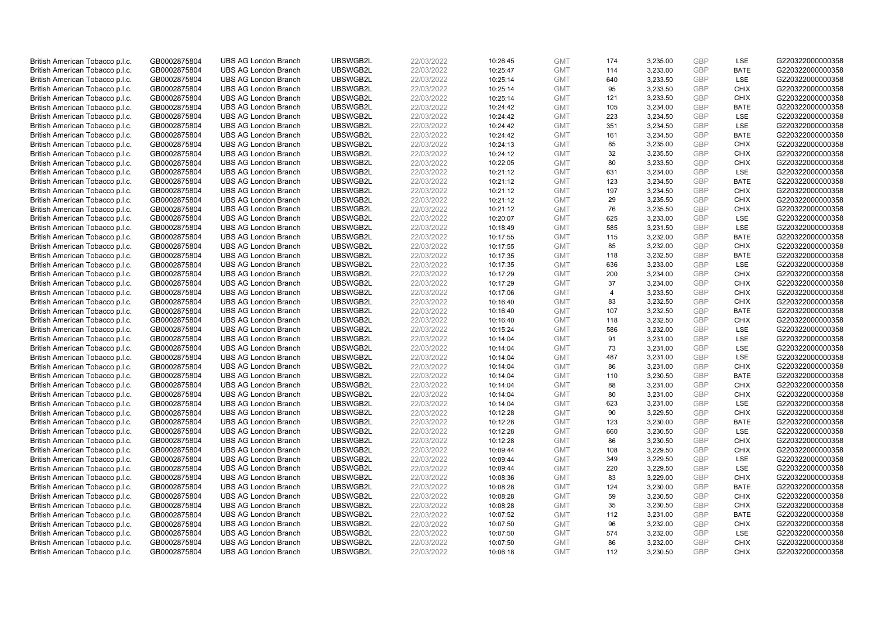| British American Tobacco p.l.c.                                    | GB0002875804                 | <b>UBS AG London Branch</b>                                | UBSWGB2L             | 22/03/2022               | 10:26:45             | <b>GMT</b>               | 174            | 3,235.00             | <b>GBP</b>               | LSE                        | G220322000000358                     |
|--------------------------------------------------------------------|------------------------------|------------------------------------------------------------|----------------------|--------------------------|----------------------|--------------------------|----------------|----------------------|--------------------------|----------------------------|--------------------------------------|
| British American Tobacco p.l.c.                                    | GB0002875804                 | <b>UBS AG London Branch</b>                                | UBSWGB2L             | 22/03/2022               | 10:25:47             | <b>GMT</b>               | 114            | 3,233.00             | GBP                      | <b>BATE</b>                | G220322000000358                     |
| British American Tobacco p.l.c.                                    | GB0002875804                 | <b>UBS AG London Branch</b>                                | UBSWGB2L             | 22/03/2022               | 10:25:14             | <b>GMT</b>               | 640            | 3,233.50             | GBP                      | LSE                        | G220322000000358                     |
| British American Tobacco p.l.c.                                    | GB0002875804                 | <b>UBS AG London Branch</b>                                | UBSWGB2L             | 22/03/2022               | 10:25:14             | <b>GMT</b>               | 95             | 3,233.50             | <b>GBP</b>               | <b>CHIX</b>                | G220322000000358                     |
| British American Tobacco p.l.c.                                    | GB0002875804                 | <b>UBS AG London Branch</b>                                | UBSWGB2L             | 22/03/2022               | 10:25:14             | <b>GMT</b>               | 121            | 3,233.50             | GBP                      | <b>CHIX</b>                | G220322000000358                     |
| British American Tobacco p.l.c.                                    | GB0002875804                 | <b>UBS AG London Branch</b>                                | UBSWGB2L             | 22/03/2022               | 10:24:42             | <b>GMT</b>               | 105            | 3,234.00             | <b>GBP</b>               | <b>BATE</b>                | G220322000000358                     |
| British American Tobacco p.l.c.                                    | GB0002875804                 | <b>UBS AG London Branch</b>                                | UBSWGB2L             | 22/03/2022               | 10:24:42             | <b>GMT</b>               | 223            | 3,234.50             | GBP                      | LSE                        | G220322000000358                     |
| British American Tobacco p.l.c.                                    | GB0002875804                 | <b>UBS AG London Branch</b>                                | UBSWGB2L             | 22/03/2022               | 10:24:42             | <b>GMT</b>               | 351            | 3,234.50             | <b>GBP</b>               | LSE                        | G220322000000358                     |
| British American Tobacco p.l.c.                                    | GB0002875804                 | <b>UBS AG London Branch</b>                                | UBSWGB2L             | 22/03/2022               | 10:24:42             | <b>GMT</b>               | 161            | 3,234.50             | <b>GBP</b>               | <b>BATE</b>                | G220322000000358                     |
| British American Tobacco p.l.c.                                    | GB0002875804                 | <b>UBS AG London Branch</b>                                | UBSWGB2L             | 22/03/2022               | 10:24:13             | <b>GMT</b>               | 85             | 3,235.00             | <b>GBP</b>               | <b>CHIX</b>                | G220322000000358                     |
| British American Tobacco p.l.c.                                    | GB0002875804                 | <b>UBS AG London Branch</b>                                | UBSWGB2L             | 22/03/2022               | 10:24:12             | <b>GMT</b>               | 32             | 3.235.50             | <b>GBP</b>               | <b>CHIX</b>                | G220322000000358                     |
| British American Tobacco p.l.c.                                    | GB0002875804                 | <b>UBS AG London Branch</b>                                | UBSWGB2L             | 22/03/2022               | 10:22:05             | <b>GMT</b>               | 80             | 3,233.50             | <b>GBP</b>               | <b>CHIX</b>                | G220322000000358                     |
| British American Tobacco p.l.c.                                    | GB0002875804                 | <b>UBS AG London Branch</b>                                | UBSWGB2L             | 22/03/2022               | 10:21:12             | <b>GMT</b>               | 631            | 3,234.00             | <b>GBP</b>               | LSE                        | G220322000000358                     |
| British American Tobacco p.l.c.                                    | GB0002875804                 | <b>UBS AG London Branch</b>                                | UBSWGB2L             | 22/03/2022               | 10:21:12             | <b>GMT</b>               | 123            | 3,234.50             | <b>GBP</b>               | <b>BATE</b><br><b>CHIX</b> | G220322000000358                     |
| British American Tobacco p.l.c.                                    | GB0002875804                 | <b>UBS AG London Branch</b>                                | UBSWGB2L             | 22/03/2022               | 10:21:12             | <b>GMT</b>               | 197            | 3,234.50             | <b>GBP</b>               |                            | G220322000000358                     |
| British American Tobacco p.l.c.                                    | GB0002875804                 | <b>UBS AG London Branch</b>                                | UBSWGB2L             | 22/03/2022               | 10:21:12             | <b>GMT</b>               | 29             | 3,235.50             | <b>GBP</b><br>GBP        | <b>CHIX</b>                | G220322000000358                     |
| British American Tobacco p.l.c.                                    | GB0002875804                 | <b>UBS AG London Branch</b>                                | UBSWGB2L             | 22/03/2022               | 10:21:12             | <b>GMT</b>               | 76             | 3,235.50             |                          | <b>CHIX</b>                | G220322000000358                     |
| British American Tobacco p.l.c.                                    | GB0002875804                 | <b>UBS AG London Branch</b>                                | UBSWGB2L             | 22/03/2022               | 10:20:07             | <b>GMT</b>               | 625            | 3,233.00             | <b>GBP</b>               | <b>LSE</b>                 | G220322000000358                     |
| British American Tobacco p.l.c.                                    | GB0002875804                 | <b>UBS AG London Branch</b>                                | UBSWGB2L             | 22/03/2022               | 10:18:49             | <b>GMT</b>               | 585            | 3,231.50             | <b>GBP</b>               | <b>LSE</b>                 | G220322000000358                     |
| British American Tobacco p.l.c.                                    | GB0002875804                 | <b>UBS AG London Branch</b>                                | UBSWGB2L             | 22/03/2022               | 10:17:55             | <b>GMT</b>               | 115            | 3,232.00             | <b>GBP</b>               | <b>BATE</b>                | G220322000000358                     |
| British American Tobacco p.l.c.                                    | GB0002875804                 | <b>UBS AG London Branch</b>                                | UBSWGB2L<br>UBSWGB2L | 22/03/2022<br>22/03/2022 | 10:17:55<br>10:17:35 | <b>GMT</b>               | 85             | 3,232.00<br>3,232.50 | <b>GBP</b><br>GBP        | <b>CHIX</b><br><b>BATE</b> | G220322000000358<br>G220322000000358 |
| British American Tobacco p.l.c.                                    | GB0002875804                 | <b>UBS AG London Branch</b>                                |                      |                          |                      | <b>GMT</b>               | 118            |                      |                          |                            |                                      |
| British American Tobacco p.l.c.                                    | GB0002875804                 | <b>UBS AG London Branch</b>                                | UBSWGB2L             | 22/03/2022<br>22/03/2022 | 10:17:35             | <b>GMT</b><br><b>GMT</b> | 636            | 3,233.00             | <b>GBP</b><br><b>GBP</b> | LSE                        | G220322000000358                     |
| British American Tobacco p.l.c.                                    | GB0002875804                 | <b>UBS AG London Branch</b>                                | UBSWGB2L             |                          | 10:17:29             |                          | 200<br>37      | 3,234.00             |                          | <b>CHIX</b>                | G220322000000358                     |
| British American Tobacco p.l.c.<br>British American Tobacco p.l.c. | GB0002875804<br>GB0002875804 | <b>UBS AG London Branch</b><br><b>UBS AG London Branch</b> | UBSWGB2L<br>UBSWGB2L | 22/03/2022<br>22/03/2022 | 10:17:29<br>10:17:06 | <b>GMT</b><br><b>GMT</b> | $\overline{4}$ | 3,234.00<br>3,233.50 | <b>GBP</b><br><b>GBP</b> | <b>CHIX</b><br><b>CHIX</b> | G220322000000358<br>G220322000000358 |
| British American Tobacco p.l.c.                                    | GB0002875804                 | <b>UBS AG London Branch</b>                                | UBSWGB2L             | 22/03/2022               | 10:16:40             | <b>GMT</b>               | 83             | 3,232.50             | <b>GBP</b>               | <b>CHIX</b>                | G220322000000358                     |
| British American Tobacco p.l.c.                                    | GB0002875804                 | <b>UBS AG London Branch</b>                                | UBSWGB2L             | 22/03/2022               | 10:16:40             | <b>GMT</b>               | 107            | 3,232.50             | GBP                      | <b>BATE</b>                | G220322000000358                     |
| British American Tobacco p.l.c.                                    | GB0002875804                 | <b>UBS AG London Branch</b>                                | UBSWGB2L             | 22/03/2022               | 10:16:40             | <b>GMT</b>               | 118            | 3,232.50             | <b>GBP</b>               | <b>CHIX</b>                | G220322000000358                     |
| British American Tobacco p.l.c.                                    | GB0002875804                 | <b>UBS AG London Branch</b>                                | UBSWGB2L             | 22/03/2022               | 10:15:24             | <b>GMT</b>               | 586            | 3,232.00             | GBP                      | LSE                        | G220322000000358                     |
| British American Tobacco p.l.c.                                    | GB0002875804                 | <b>UBS AG London Branch</b>                                | UBSWGB2L             | 22/03/2022               | 10:14:04             | <b>GMT</b>               | 91             | 3,231.00             | <b>GBP</b>               | <b>LSE</b>                 | G220322000000358                     |
| British American Tobacco p.l.c.                                    | GB0002875804                 | <b>UBS AG London Branch</b>                                | UBSWGB2L             | 22/03/2022               | 10:14:04             | <b>GMT</b>               | 73             | 3,231.00             | GBP                      | <b>LSE</b>                 | G220322000000358                     |
| British American Tobacco p.l.c.                                    | GB0002875804                 | <b>UBS AG London Branch</b>                                | UBSWGB2L             | 22/03/2022               | 10:14:04             | <b>GMT</b>               | 487            | 3,231.00             | <b>GBP</b>               | LSE                        | G220322000000358                     |
| British American Tobacco p.l.c.                                    | GB0002875804                 | <b>UBS AG London Branch</b>                                | UBSWGB2L             | 22/03/2022               | 10:14:04             | <b>GMT</b>               | 86             | 3,231.00             | <b>GBP</b>               | <b>CHIX</b>                | G220322000000358                     |
| British American Tobacco p.l.c.                                    | GB0002875804                 | <b>UBS AG London Branch</b>                                | UBSWGB2L             | 22/03/2022               | 10:14:04             | <b>GMT</b>               | 110            | 3,230.50             | GBP                      | <b>BATE</b>                | G220322000000358                     |
| British American Tobacco p.l.c.                                    | GB0002875804                 | <b>UBS AG London Branch</b>                                | UBSWGB2L             | 22/03/2022               | 10:14:04             | <b>GMT</b>               | 88             | 3,231.00             | <b>GBP</b>               | <b>CHIX</b>                | G220322000000358                     |
| British American Tobacco p.l.c.                                    | GB0002875804                 | <b>UBS AG London Branch</b>                                | UBSWGB2L             | 22/03/2022               | 10:14:04             | <b>GMT</b>               | 80             | 3,231.00             | GBP                      | <b>CHIX</b>                | G220322000000358                     |
| British American Tobacco p.l.c.                                    | GB0002875804                 | <b>UBS AG London Branch</b>                                | UBSWGB2L             | 22/03/2022               | 10:14:04             | <b>GMT</b>               | 623            | 3,231.00             | <b>GBP</b>               | LSE                        | G220322000000358                     |
| British American Tobacco p.l.c.                                    | GB0002875804                 | <b>UBS AG London Branch</b>                                | UBSWGB2L             | 22/03/2022               | 10:12:28             | <b>GMT</b>               | 90             | 3,229.50             | <b>GBP</b>               | <b>CHIX</b>                | G220322000000358                     |
| British American Tobacco p.l.c.                                    | GB0002875804                 | <b>UBS AG London Branch</b>                                | UBSWGB2L             | 22/03/2022               | 10:12:28             | <b>GMT</b>               | 123            | 3,230.00             | <b>GBP</b>               | <b>BATE</b>                | G220322000000358                     |
| British American Tobacco p.l.c.                                    | GB0002875804                 | <b>UBS AG London Branch</b>                                | UBSWGB2L             | 22/03/2022               | 10:12:28             | <b>GMT</b>               | 660            | 3,230.50             | GBP                      | LSE                        | G220322000000358                     |
| British American Tobacco p.l.c.                                    | GB0002875804                 | <b>UBS AG London Branch</b>                                | UBSWGB2L             | 22/03/2022               | 10:12:28             | <b>GMT</b>               | 86             | 3,230.50             | <b>GBP</b>               | <b>CHIX</b>                | G220322000000358                     |
| British American Tobacco p.l.c.                                    | GB0002875804                 | <b>UBS AG London Branch</b>                                | UBSWGB2L             | 22/03/2022               | 10:09:44             | <b>GMT</b>               | 108            | 3,229.50             | <b>GBP</b>               | <b>CHIX</b>                | G220322000000358                     |
| British American Tobacco p.l.c.                                    | GB0002875804                 | <b>UBS AG London Branch</b>                                | UBSWGB2L             | 22/03/2022               | 10:09:44             | <b>GMT</b>               | 349            | 3,229.50             | <b>GBP</b>               | LSE                        | G220322000000358                     |
| British American Tobacco p.l.c.                                    | GB0002875804                 | <b>UBS AG London Branch</b>                                | UBSWGB2L             | 22/03/2022               | 10:09:44             | <b>GMT</b>               | 220            | 3,229.50             | GBP                      | LSE                        | G220322000000358                     |
| British American Tobacco p.l.c.                                    | GB0002875804                 | <b>UBS AG London Branch</b>                                | UBSWGB2L             | 22/03/2022               | 10:08:36             | <b>GMT</b>               | 83             | 3,229.00             | <b>GBP</b>               | <b>CHIX</b>                | G220322000000358                     |
| British American Tobacco p.l.c.                                    | GB0002875804                 | <b>UBS AG London Branch</b>                                | UBSWGB2L             | 22/03/2022               | 10:08:28             | <b>GMT</b>               | 124            | 3,230.00             | <b>GBP</b>               | <b>BATE</b>                | G220322000000358                     |
| British American Tobacco p.l.c.                                    | GB0002875804                 | <b>UBS AG London Branch</b>                                | UBSWGB2L             | 22/03/2022               | 10:08:28             | <b>GMT</b>               | 59             | 3,230.50             | GBP                      | <b>CHIX</b>                | G220322000000358                     |
| British American Tobacco p.l.c.                                    | GB0002875804                 | <b>UBS AG London Branch</b>                                | UBSWGB2L             | 22/03/2022               | 10:08:28             | <b>GMT</b>               | 35             | 3,230.50             | <b>GBP</b>               | <b>CHIX</b>                | G220322000000358                     |
| British American Tobacco p.l.c.                                    | GB0002875804                 | <b>UBS AG London Branch</b>                                | UBSWGB2L             | 22/03/2022               | 10:07:52             | <b>GMT</b>               | 112            | 3,231.00             | GBP                      | <b>BATE</b>                | G220322000000358                     |
| British American Tobacco p.l.c.                                    | GB0002875804                 | <b>UBS AG London Branch</b>                                | UBSWGB2L             | 22/03/2022               | 10:07:50             | <b>GMT</b>               | 96             | 3,232.00             | <b>GBP</b>               | <b>CHIX</b>                | G220322000000358                     |
| British American Tobacco p.l.c.                                    | GB0002875804                 | <b>UBS AG London Branch</b>                                | UBSWGB2L             | 22/03/2022               | 10:07:50             | <b>GMT</b>               | 574            | 3,232.00             | <b>GBP</b>               | LSE                        | G220322000000358                     |
| British American Tobacco p.l.c.                                    | GB0002875804                 | <b>UBS AG London Branch</b>                                | UBSWGB2L             | 22/03/2022               | 10:07:50             | <b>GMT</b>               | 86             | 3,232.00             | <b>GBP</b>               | <b>CHIX</b>                | G220322000000358                     |
| British American Tobacco p.l.c.                                    | GB0002875804                 | <b>UBS AG London Branch</b>                                | UBSWGB2L             | 22/03/2022               | 10:06:18             | <b>GMT</b>               | 112            | 3.230.50             | GBP                      | CHIX                       | G220322000000358                     |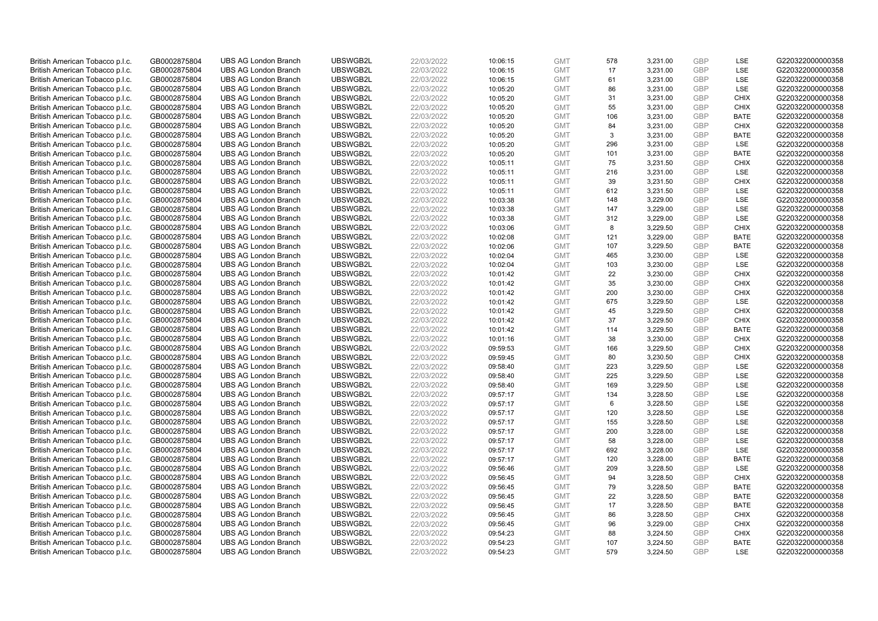| British American Tobacco p.l.c. | GB0002875804 | <b>UBS AG London Branch</b> | UBSWGB2L | 22/03/2022 | 10:06:15 | <b>GMT</b> | 578 | 3,231.00 | <b>GBP</b> | LSE         | G220322000000358 |
|---------------------------------|--------------|-----------------------------|----------|------------|----------|------------|-----|----------|------------|-------------|------------------|
|                                 |              |                             |          |            |          |            | 17  |          | GBP        | <b>LSE</b>  |                  |
| British American Tobacco p.l.c. | GB0002875804 | <b>UBS AG London Branch</b> | UBSWGB2L | 22/03/2022 | 10:06:15 | <b>GMT</b> |     | 3,231.00 |            |             | G220322000000358 |
| British American Tobacco p.l.c. | GB0002875804 | <b>UBS AG London Branch</b> | UBSWGB2L | 22/03/2022 | 10:06:15 | <b>GMT</b> | 61  | 3,231.00 | <b>GBP</b> | LSE         | G220322000000358 |
| British American Tobacco p.l.c. | GB0002875804 | <b>UBS AG London Branch</b> | UBSWGB2L | 22/03/2022 | 10:05:20 | <b>GMT</b> | 86  | 3,231.00 | <b>GBP</b> | LSE         | G220322000000358 |
| British American Tobacco p.l.c. | GB0002875804 | <b>UBS AG London Branch</b> | UBSWGB2L | 22/03/2022 | 10:05:20 | <b>GMT</b> | 31  | 3,231.00 | <b>GBP</b> | <b>CHIX</b> | G220322000000358 |
| British American Tobacco p.l.c. | GB0002875804 | <b>UBS AG London Branch</b> | UBSWGB2L | 22/03/2022 | 10:05:20 | <b>GMT</b> | 55  | 3,231.00 | <b>GBP</b> | <b>CHIX</b> | G220322000000358 |
| British American Tobacco p.l.c. | GB0002875804 | <b>UBS AG London Branch</b> | UBSWGB2L | 22/03/2022 | 10:05:20 | <b>GMT</b> | 106 | 3,231.00 | <b>GBP</b> | <b>BATE</b> | G220322000000358 |
| British American Tobacco p.l.c. | GB0002875804 | <b>UBS AG London Branch</b> | UBSWGB2L | 22/03/2022 | 10:05:20 | <b>GMT</b> | 84  | 3,231.00 | <b>GBP</b> | <b>CHIX</b> | G220322000000358 |
| British American Tobacco p.l.c. | GB0002875804 | <b>UBS AG London Branch</b> | UBSWGB2L | 22/03/2022 | 10:05:20 | <b>GMT</b> | 3   | 3,231.00 | <b>GBP</b> | <b>BATE</b> | G220322000000358 |
| British American Tobacco p.l.c. | GB0002875804 | <b>UBS AG London Branch</b> | UBSWGB2L | 22/03/2022 | 10:05:20 | <b>GMT</b> | 296 | 3,231.00 | <b>GBP</b> | LSE         | G220322000000358 |
| British American Tobacco p.l.c. | GB0002875804 | <b>UBS AG London Branch</b> | UBSWGB2L | 22/03/2022 | 10:05:20 | <b>GMT</b> | 101 | 3.231.00 | <b>GBP</b> | <b>BATE</b> | G220322000000358 |
| British American Tobacco p.l.c. | GB0002875804 | <b>UBS AG London Branch</b> | UBSWGB2L | 22/03/2022 | 10:05:11 | <b>GMT</b> | 75  | 3,231.50 | <b>GBP</b> | <b>CHIX</b> | G220322000000358 |
| British American Tobacco p.l.c. | GB0002875804 | <b>UBS AG London Branch</b> | UBSWGB2L | 22/03/2022 | 10:05:11 | <b>GMT</b> | 216 | 3,231.00 | <b>GBP</b> | LSE         | G220322000000358 |
| British American Tobacco p.l.c. | GB0002875804 | <b>UBS AG London Branch</b> | UBSWGB2L | 22/03/2022 | 10:05:11 | <b>GMT</b> | 39  | 3,231.50 | <b>GBP</b> | <b>CHIX</b> | G220322000000358 |
| British American Tobacco p.l.c. | GB0002875804 | <b>UBS AG London Branch</b> | UBSWGB2L | 22/03/2022 | 10:05:11 | <b>GMT</b> | 612 | 3,231.50 | GBP        | <b>LSE</b>  | G220322000000358 |
| British American Tobacco p.l.c. | GB0002875804 | <b>UBS AG London Branch</b> | UBSWGB2L | 22/03/2022 | 10:03:38 | <b>GMT</b> | 148 | 3,229.00 | <b>GBP</b> | LSE         | G220322000000358 |
| British American Tobacco p.l.c. | GB0002875804 | <b>UBS AG London Branch</b> | UBSWGB2L | 22/03/2022 | 10:03:38 | <b>GMT</b> | 147 | 3,229.00 | <b>GBP</b> | LSE         | G220322000000358 |
| British American Tobacco p.l.c. | GB0002875804 | <b>UBS AG London Branch</b> | UBSWGB2L | 22/03/2022 | 10:03:38 | <b>GMT</b> | 312 | 3,229.00 | <b>GBP</b> | LSE         | G220322000000358 |
| British American Tobacco p.l.c. | GB0002875804 | <b>UBS AG London Branch</b> | UBSWGB2L | 22/03/2022 | 10:03:06 | <b>GMT</b> | 8   | 3,229.50 | <b>GBP</b> | <b>CHIX</b> | G220322000000358 |
| British American Tobacco p.l.c. | GB0002875804 | <b>UBS AG London Branch</b> | UBSWGB2L | 22/03/2022 | 10:02:08 | <b>GMT</b> | 121 | 3,229.00 | <b>GBP</b> | <b>BATE</b> | G220322000000358 |
| British American Tobacco p.l.c. | GB0002875804 | <b>UBS AG London Branch</b> | UBSWGB2L | 22/03/2022 | 10:02:06 | <b>GMT</b> | 107 | 3,229.50 | <b>GBP</b> | <b>BATE</b> | G220322000000358 |
| British American Tobacco p.l.c. | GB0002875804 | <b>UBS AG London Branch</b> | UBSWGB2L | 22/03/2022 | 10:02:04 | <b>GMT</b> | 465 | 3,230.00 | <b>GBP</b> | LSE         | G220322000000358 |
| British American Tobacco p.l.c. | GB0002875804 | <b>UBS AG London Branch</b> | UBSWGB2L | 22/03/2022 | 10:02:04 | <b>GMT</b> | 103 | 3,230.00 | <b>GBP</b> | LSE         | G220322000000358 |
| British American Tobacco p.l.c. | GB0002875804 | <b>UBS AG London Branch</b> | UBSWGB2L | 22/03/2022 | 10:01:42 | <b>GMT</b> | 22  | 3,230.00 | <b>GBP</b> | <b>CHIX</b> | G220322000000358 |
| British American Tobacco p.l.c. | GB0002875804 | <b>UBS AG London Branch</b> | UBSWGB2L | 22/03/2022 | 10:01:42 | <b>GMT</b> | 35  | 3,230.00 | <b>GBP</b> | <b>CHIX</b> | G220322000000358 |
| British American Tobacco p.l.c. | GB0002875804 | <b>UBS AG London Branch</b> | UBSWGB2L | 22/03/2022 | 10:01:42 | <b>GMT</b> | 200 | 3,230.00 | <b>GBP</b> | <b>CHIX</b> | G220322000000358 |
| British American Tobacco p.l.c. | GB0002875804 | <b>UBS AG London Branch</b> | UBSWGB2L | 22/03/2022 | 10:01:42 | <b>GMT</b> | 675 | 3,229.50 | <b>GBP</b> | <b>LSE</b>  | G220322000000358 |
| British American Tobacco p.l.c. | GB0002875804 | <b>UBS AG London Branch</b> | UBSWGB2L | 22/03/2022 | 10:01:42 | <b>GMT</b> | 45  | 3,229.50 | <b>GBP</b> | <b>CHIX</b> | G220322000000358 |
| British American Tobacco p.l.c. | GB0002875804 | <b>UBS AG London Branch</b> | UBSWGB2L | 22/03/2022 | 10:01:42 | <b>GMT</b> | 37  | 3,229.50 | <b>GBP</b> | <b>CHIX</b> | G220322000000358 |
| British American Tobacco p.l.c. | GB0002875804 | <b>UBS AG London Branch</b> | UBSWGB2L | 22/03/2022 | 10:01:42 | <b>GMT</b> | 114 | 3,229.50 | <b>GBP</b> | <b>BATE</b> | G220322000000358 |
| British American Tobacco p.l.c. | GB0002875804 | <b>UBS AG London Branch</b> | UBSWGB2L | 22/03/2022 | 10:01:16 | <b>GMT</b> | 38  | 3,230.00 | <b>GBP</b> | <b>CHIX</b> | G220322000000358 |
| British American Tobacco p.l.c. | GB0002875804 | <b>UBS AG London Branch</b> | UBSWGB2L | 22/03/2022 | 09:59:53 | <b>GMT</b> | 166 | 3,229.50 | <b>GBP</b> | <b>CHIX</b> | G220322000000358 |
| British American Tobacco p.l.c. | GB0002875804 | <b>UBS AG London Branch</b> | UBSWGB2L | 22/03/2022 | 09:59:45 | <b>GMT</b> | 80  | 3,230.50 | <b>GBP</b> | <b>CHIX</b> | G220322000000358 |
| British American Tobacco p.l.c. | GB0002875804 | <b>UBS AG London Branch</b> | UBSWGB2L | 22/03/2022 | 09:58:40 | <b>GMT</b> | 223 | 3,229.50 | <b>GBP</b> | LSE         | G220322000000358 |
| British American Tobacco p.l.c. | GB0002875804 | <b>UBS AG London Branch</b> | UBSWGB2L | 22/03/2022 | 09:58:40 | <b>GMT</b> | 225 | 3,229.50 | <b>GBP</b> | LSE         | G220322000000358 |
| British American Tobacco p.l.c. | GB0002875804 | <b>UBS AG London Branch</b> | UBSWGB2L | 22/03/2022 | 09:58:40 | <b>GMT</b> | 169 | 3,229.50 | <b>GBP</b> | LSE         | G220322000000358 |
| British American Tobacco p.l.c. | GB0002875804 | <b>UBS AG London Branch</b> | UBSWGB2L | 22/03/2022 | 09:57:17 | <b>GMT</b> | 134 | 3,228.50 | <b>GBP</b> | <b>LSE</b>  | G220322000000358 |
| British American Tobacco p.l.c. | GB0002875804 | <b>UBS AG London Branch</b> | UBSWGB2L | 22/03/2022 | 09:57:17 | <b>GMT</b> | 6   | 3,228.50 | <b>GBP</b> | LSE         | G220322000000358 |
| British American Tobacco p.l.c. | GB0002875804 | <b>UBS AG London Branch</b> | UBSWGB2L | 22/03/2022 | 09:57:17 | <b>GMT</b> | 120 | 3,228.50 | <b>GBP</b> | LSE         | G220322000000358 |
| British American Tobacco p.l.c. | GB0002875804 | <b>UBS AG London Branch</b> | UBSWGB2L | 22/03/2022 | 09:57:17 | <b>GMT</b> | 155 | 3,228.50 | <b>GBP</b> | LSE         | G220322000000358 |
| British American Tobacco p.l.c. | GB0002875804 | <b>UBS AG London Branch</b> | UBSWGB2L | 22/03/2022 | 09:57:17 | <b>GMT</b> | 200 | 3,228.00 | <b>GBP</b> | <b>LSE</b>  | G220322000000358 |
| British American Tobacco p.l.c. | GB0002875804 | <b>UBS AG London Branch</b> | UBSWGB2L | 22/03/2022 | 09:57:17 | <b>GMT</b> | 58  | 3,228.00 | <b>GBP</b> | LSE         | G220322000000358 |
| British American Tobacco p.l.c. | GB0002875804 | <b>UBS AG London Branch</b> | UBSWGB2L | 22/03/2022 | 09:57:17 | <b>GMT</b> | 692 | 3,228.00 | <b>GBP</b> | LSE         | G220322000000358 |
| British American Tobacco p.l.c. | GB0002875804 | <b>UBS AG London Branch</b> | UBSWGB2L | 22/03/2022 | 09:57:17 | <b>GMT</b> | 120 | 3,228.00 | <b>GBP</b> | <b>BATE</b> | G220322000000358 |
| British American Tobacco p.l.c. | GB0002875804 | <b>UBS AG London Branch</b> | UBSWGB2L | 22/03/2022 | 09:56:46 | <b>GMT</b> | 209 | 3,228.50 | <b>GBP</b> | LSE         | G220322000000358 |
| British American Tobacco p.l.c. | GB0002875804 | <b>UBS AG London Branch</b> | UBSWGB2L | 22/03/2022 | 09:56:45 | <b>GMT</b> | 94  | 3,228.50 | <b>GBP</b> | <b>CHIX</b> | G220322000000358 |
| British American Tobacco p.l.c. | GB0002875804 | <b>UBS AG London Branch</b> | UBSWGB2L | 22/03/2022 | 09:56:45 | <b>GMT</b> | 79  | 3,228.50 | <b>GBP</b> | <b>BATE</b> | G220322000000358 |
| British American Tobacco p.l.c. | GB0002875804 | <b>UBS AG London Branch</b> | UBSWGB2L | 22/03/2022 | 09:56:45 | <b>GMT</b> | 22  | 3,228.50 | <b>GBP</b> | <b>BATE</b> | G220322000000358 |
| British American Tobacco p.l.c. | GB0002875804 | <b>UBS AG London Branch</b> | UBSWGB2L | 22/03/2022 | 09:56:45 | <b>GMT</b> | 17  | 3,228.50 | <b>GBP</b> | <b>BATE</b> | G220322000000358 |
| British American Tobacco p.l.c. | GB0002875804 | <b>UBS AG London Branch</b> | UBSWGB2L | 22/03/2022 | 09:56:45 | <b>GMT</b> | 86  | 3,228.50 | <b>GBP</b> | <b>CHIX</b> | G220322000000358 |
| British American Tobacco p.l.c. | GB0002875804 | <b>UBS AG London Branch</b> | UBSWGB2L | 22/03/2022 | 09:56:45 | <b>GMT</b> | 96  | 3,229.00 | <b>GBP</b> | <b>CHIX</b> | G220322000000358 |
| British American Tobacco p.l.c. | GB0002875804 | <b>UBS AG London Branch</b> | UBSWGB2L | 22/03/2022 | 09:54:23 | <b>GMT</b> | 88  | 3,224.50 | <b>GBP</b> | <b>CHIX</b> | G220322000000358 |
| British American Tobacco p.l.c. | GB0002875804 | <b>UBS AG London Branch</b> | UBSWGB2L | 22/03/2022 | 09:54:23 | <b>GMT</b> | 107 | 3,224.50 | <b>GBP</b> | <b>BATE</b> | G220322000000358 |
| British American Tobacco p.l.c. | GB0002875804 | <b>UBS AG London Branch</b> | UBSWGB2L | 22/03/2022 | 09:54:23 | <b>GMT</b> | 579 | 3.224.50 | GBP        | <b>LSE</b>  | G220322000000358 |
|                                 |              |                             |          |            |          |            |     |          |            |             |                  |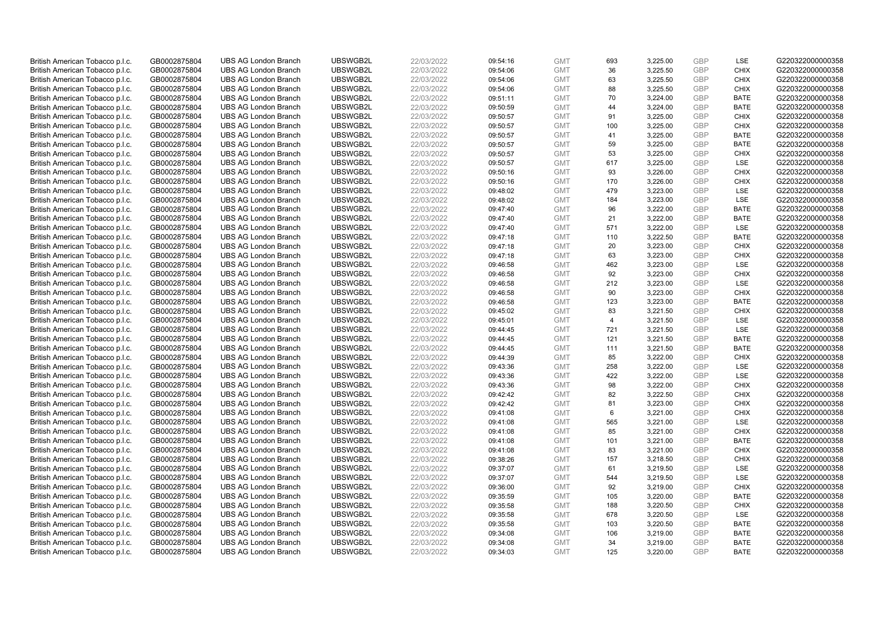| British American Tobacco p.l.c. | GB0002875804 | <b>UBS AG London Branch</b> | UBSWGB2L | 22/03/2022 | 09:54:16 | <b>GMT</b> | 693            | 3,225.00 | <b>GBP</b>               | LSE         | G220322000000358 |
|---------------------------------|--------------|-----------------------------|----------|------------|----------|------------|----------------|----------|--------------------------|-------------|------------------|
| British American Tobacco p.l.c. | GB0002875804 | <b>UBS AG London Branch</b> | UBSWGB2L | 22/03/2022 | 09:54:06 | <b>GMT</b> | 36             | 3,225.50 | <b>GBP</b>               | <b>CHIX</b> | G220322000000358 |
| British American Tobacco p.l.c. | GB0002875804 | <b>UBS AG London Branch</b> | UBSWGB2L | 22/03/2022 | 09:54:06 | <b>GMT</b> | 63             | 3,225.50 | <b>GBP</b>               | <b>CHIX</b> | G220322000000358 |
|                                 |              |                             | UBSWGB2L |            |          |            |                |          | <b>GBP</b>               |             |                  |
| British American Tobacco p.l.c. | GB0002875804 | <b>UBS AG London Branch</b> |          | 22/03/2022 | 09:54:06 | <b>GMT</b> | 88             | 3,225.50 |                          | <b>CHIX</b> | G220322000000358 |
| British American Tobacco p.l.c. | GB0002875804 | <b>UBS AG London Branch</b> | UBSWGB2L | 22/03/2022 | 09:51:11 | <b>GMT</b> | 70             | 3,224.00 | <b>GBP</b>               | <b>BATE</b> | G220322000000358 |
| British American Tobacco p.l.c. | GB0002875804 | <b>UBS AG London Branch</b> | UBSWGB2L | 22/03/2022 | 09:50:59 | <b>GMT</b> | 44             | 3,224.00 | <b>GBP</b>               | BATE        | G220322000000358 |
| British American Tobacco p.l.c. | GB0002875804 | <b>UBS AG London Branch</b> | UBSWGB2L | 22/03/2022 | 09:50:57 | <b>GMT</b> | 91             | 3,225.00 | <b>GBP</b>               | <b>CHIX</b> | G220322000000358 |
| British American Tobacco p.l.c. | GB0002875804 | <b>UBS AG London Branch</b> | UBSWGB2L | 22/03/2022 | 09:50:57 | <b>GMT</b> | 100            | 3,225.00 | <b>GBP</b>               | <b>CHIX</b> | G220322000000358 |
| British American Tobacco p.l.c. | GB0002875804 | <b>UBS AG London Branch</b> | UBSWGB2L | 22/03/2022 | 09:50:57 | <b>GMT</b> | 41             | 3,225.00 | <b>GBP</b>               | <b>BATE</b> | G220322000000358 |
| British American Tobacco p.l.c. | GB0002875804 | <b>UBS AG London Branch</b> | UBSWGB2L | 22/03/2022 | 09:50:57 | <b>GMT</b> | 59             | 3,225.00 | <b>GBP</b>               | <b>BATE</b> | G220322000000358 |
| British American Tobacco p.l.c. | GB0002875804 | <b>UBS AG London Branch</b> | UBSWGB2L | 22/03/2022 | 09:50:57 | <b>GMT</b> | 53             | 3,225.00 | <b>GBP</b>               | <b>CHIX</b> | G220322000000358 |
| British American Tobacco p.l.c. | GB0002875804 | <b>UBS AG London Branch</b> | UBSWGB2L | 22/03/2022 | 09:50:57 | <b>GMT</b> | 617            | 3,225.00 | <b>GBP</b>               | LSE         | G220322000000358 |
| British American Tobacco p.l.c. | GB0002875804 | <b>UBS AG London Branch</b> | UBSWGB2L | 22/03/2022 | 09:50:16 | <b>GMT</b> | 93             | 3,226.00 | <b>GBP</b>               | <b>CHIX</b> | G220322000000358 |
| British American Tobacco p.l.c. | GB0002875804 | <b>UBS AG London Branch</b> | UBSWGB2L | 22/03/2022 | 09:50:16 | <b>GMT</b> | 170            | 3,226.00 | <b>GBP</b>               | <b>CHIX</b> | G220322000000358 |
| British American Tobacco p.l.c. | GB0002875804 | <b>UBS AG London Branch</b> | UBSWGB2L | 22/03/2022 | 09:48:02 | <b>GMT</b> | 479            | 3,223.00 | GBP                      | <b>LSE</b>  | G220322000000358 |
| British American Tobacco p.l.c. | GB0002875804 | <b>UBS AG London Branch</b> | UBSWGB2L | 22/03/2022 | 09:48:02 | <b>GMT</b> | 184            | 3,223.00 | <b>GBP</b>               | LSE         | G220322000000358 |
| British American Tobacco p.l.c. | GB0002875804 | <b>UBS AG London Branch</b> | UBSWGB2L | 22/03/2022 | 09:47:40 | <b>GMT</b> | 96             | 3,222.00 | <b>GBP</b>               | <b>BATE</b> | G220322000000358 |
| British American Tobacco p.l.c. | GB0002875804 | <b>UBS AG London Branch</b> | UBSWGB2L | 22/03/2022 | 09:47:40 | <b>GMT</b> | 21             | 3,222.00 | <b>GBP</b>               | <b>BATE</b> | G220322000000358 |
| British American Tobacco p.l.c. | GB0002875804 | <b>UBS AG London Branch</b> | UBSWGB2L | 22/03/2022 | 09:47:40 | <b>GMT</b> | 571            | 3,222.00 | <b>GBP</b>               | <b>LSE</b>  | G220322000000358 |
| British American Tobacco p.l.c. | GB0002875804 | <b>UBS AG London Branch</b> | UBSWGB2L | 22/03/2022 | 09:47:18 | <b>GMT</b> | 110            | 3,222.50 | <b>GBP</b>               | <b>BATE</b> | G220322000000358 |
| British American Tobacco p.l.c. | GB0002875804 | <b>UBS AG London Branch</b> | UBSWGB2L | 22/03/2022 | 09:47:18 | <b>GMT</b> | 20             | 3,223.00 | <b>GBP</b>               | <b>CHIX</b> | G220322000000358 |
| British American Tobacco p.l.c. | GB0002875804 | <b>UBS AG London Branch</b> | UBSWGB2L | 22/03/2022 | 09:47:18 | <b>GMT</b> | 63             | 3,223.00 | <b>GBP</b>               | <b>CHIX</b> | G220322000000358 |
| British American Tobacco p.l.c. | GB0002875804 | <b>UBS AG London Branch</b> | UBSWGB2L | 22/03/2022 | 09:46:58 | <b>GMT</b> | 462            | 3,223.00 | <b>GBP</b>               | LSE         | G220322000000358 |
| British American Tobacco p.l.c. | GB0002875804 | <b>UBS AG London Branch</b> | UBSWGB2L | 22/03/2022 | 09:46:58 | <b>GMT</b> | 92             | 3,223.00 | <b>GBP</b>               | <b>CHIX</b> | G220322000000358 |
| British American Tobacco p.l.c. | GB0002875804 | <b>UBS AG London Branch</b> | UBSWGB2L | 22/03/2022 | 09:46:58 | <b>GMT</b> | 212            | 3,223.00 | <b>GBP</b>               | LSE         | G220322000000358 |
| British American Tobacco p.l.c. | GB0002875804 | <b>UBS AG London Branch</b> | UBSWGB2L | 22/03/2022 | 09:46:58 | <b>GMT</b> | 90             | 3,223.00 | <b>GBP</b>               | <b>CHIX</b> | G220322000000358 |
| British American Tobacco p.l.c. | GB0002875804 | <b>UBS AG London Branch</b> | UBSWGB2L | 22/03/2022 | 09:46:58 | <b>GMT</b> | 123            | 3,223.00 | <b>GBP</b>               | <b>BATE</b> | G220322000000358 |
| British American Tobacco p.l.c. | GB0002875804 | <b>UBS AG London Branch</b> | UBSWGB2L | 22/03/2022 | 09:45:02 | <b>GMT</b> | 83             | 3,221.50 | <b>GBP</b>               | <b>CHIX</b> | G220322000000358 |
| British American Tobacco p.l.c. | GB0002875804 | <b>UBS AG London Branch</b> | UBSWGB2L | 22/03/2022 | 09:45:01 | <b>GMT</b> | $\overline{4}$ | 3,221.50 | <b>GBP</b>               | LSE         | G220322000000358 |
| British American Tobacco p.l.c. | GB0002875804 | <b>UBS AG London Branch</b> | UBSWGB2L | 22/03/2022 | 09:44:45 | <b>GMT</b> | 721            | 3,221.50 | <b>GBP</b>               | LSE         | G220322000000358 |
| British American Tobacco p.l.c. | GB0002875804 | <b>UBS AG London Branch</b> | UBSWGB2L | 22/03/2022 | 09:44:45 | <b>GMT</b> | 121            | 3,221.50 | <b>GBP</b>               | <b>BATE</b> | G220322000000358 |
| British American Tobacco p.l.c. | GB0002875804 | <b>UBS AG London Branch</b> | UBSWGB2L | 22/03/2022 | 09:44:45 | <b>GMT</b> | 111            | 3,221.50 | <b>GBP</b>               | BATE        | G220322000000358 |
| British American Tobacco p.l.c. | GB0002875804 | <b>UBS AG London Branch</b> | UBSWGB2L | 22/03/2022 | 09:44:39 | <b>GMT</b> | 85             | 3,222.00 | <b>GBP</b>               | <b>CHIX</b> | G220322000000358 |
| British American Tobacco p.l.c. | GB0002875804 | <b>UBS AG London Branch</b> | UBSWGB2L | 22/03/2022 | 09:43:36 | <b>GMT</b> | 258            | 3,222.00 | <b>GBP</b>               | LSE         | G220322000000358 |
| British American Tobacco p.l.c. | GB0002875804 | <b>UBS AG London Branch</b> | UBSWGB2L | 22/03/2022 | 09:43:36 | <b>GMT</b> | 422            | 3,222.00 | <b>GBP</b>               | LSE         | G220322000000358 |
| British American Tobacco p.l.c. | GB0002875804 | <b>UBS AG London Branch</b> | UBSWGB2L | 22/03/2022 | 09:43:36 | <b>GMT</b> | 98             | 3,222.00 | <b>GBP</b>               | <b>CHIX</b> | G220322000000358 |
| British American Tobacco p.l.c. | GB0002875804 | <b>UBS AG London Branch</b> | UBSWGB2L | 22/03/2022 | 09:42:42 | <b>GMT</b> | 82             | 3,222.50 | <b>GBP</b>               | <b>CHIX</b> | G220322000000358 |
| British American Tobacco p.l.c. | GB0002875804 | <b>UBS AG London Branch</b> | UBSWGB2L | 22/03/2022 | 09:42:42 | <b>GMT</b> | 81             | 3,223.00 | <b>GBP</b>               | <b>CHIX</b> | G220322000000358 |
|                                 |              | <b>UBS AG London Branch</b> | UBSWGB2L | 22/03/2022 | 09:41:08 | <b>GMT</b> | 6              |          | <b>GBP</b>               | <b>CHIX</b> | G220322000000358 |
| British American Tobacco p.l.c. | GB0002875804 |                             |          |            |          |            |                | 3,221.00 |                          |             |                  |
| British American Tobacco p.l.c. | GB0002875804 | <b>UBS AG London Branch</b> | UBSWGB2L | 22/03/2022 | 09:41:08 | <b>GMT</b> | 565            | 3,221.00 | <b>GBP</b><br><b>GBP</b> | <b>LSE</b>  | G220322000000358 |
| British American Tobacco p.l.c. | GB0002875804 | <b>UBS AG London Branch</b> | UBSWGB2L | 22/03/2022 | 09:41:08 | <b>GMT</b> | 85             | 3,221.00 |                          | <b>CHIX</b> | G220322000000358 |
| British American Tobacco p.l.c. | GB0002875804 | <b>UBS AG London Branch</b> | UBSWGB2L | 22/03/2022 | 09:41:08 | <b>GMT</b> | 101            | 3,221.00 | <b>GBP</b>               | <b>BATE</b> | G220322000000358 |
| British American Tobacco p.l.c. | GB0002875804 | <b>UBS AG London Branch</b> | UBSWGB2L | 22/03/2022 | 09:41:08 | <b>GMT</b> | 83             | 3,221.00 | <b>GBP</b>               | <b>CHIX</b> | G220322000000358 |
| British American Tobacco p.l.c. | GB0002875804 | <b>UBS AG London Branch</b> | UBSWGB2L | 22/03/2022 | 09:38:26 | <b>GMT</b> | 157            | 3,218.50 | <b>GBP</b>               | <b>CHIX</b> | G220322000000358 |
| British American Tobacco p.l.c. | GB0002875804 | <b>UBS AG London Branch</b> | UBSWGB2L | 22/03/2022 | 09:37:07 | <b>GMT</b> | 61             | 3,219.50 | <b>GBP</b>               | <b>LSE</b>  | G220322000000358 |
| British American Tobacco p.l.c. | GB0002875804 | <b>UBS AG London Branch</b> | UBSWGB2L | 22/03/2022 | 09:37:07 | <b>GMT</b> | 544            | 3,219.50 | <b>GBP</b>               | LSE         | G220322000000358 |
| British American Tobacco p.l.c. | GB0002875804 | <b>UBS AG London Branch</b> | UBSWGB2L | 22/03/2022 | 09:36:00 | <b>GMT</b> | 92             | 3,219.00 | <b>GBP</b>               | <b>CHIX</b> | G220322000000358 |
| British American Tobacco p.l.c. | GB0002875804 | <b>UBS AG London Branch</b> | UBSWGB2L | 22/03/2022 | 09:35:59 | <b>GMT</b> | 105            | 3,220.00 | <b>GBP</b>               | <b>BATE</b> | G220322000000358 |
| British American Tobacco p.l.c. | GB0002875804 | <b>UBS AG London Branch</b> | UBSWGB2L | 22/03/2022 | 09:35:58 | <b>GMT</b> | 188            | 3,220.50 | <b>GBP</b>               | <b>CHIX</b> | G220322000000358 |
| British American Tobacco p.l.c. | GB0002875804 | <b>UBS AG London Branch</b> | UBSWGB2L | 22/03/2022 | 09:35:58 | <b>GMT</b> | 678            | 3,220.50 | <b>GBP</b>               | LSE         | G220322000000358 |
| British American Tobacco p.l.c. | GB0002875804 | <b>UBS AG London Branch</b> | UBSWGB2L | 22/03/2022 | 09:35:58 | <b>GMT</b> | 103            | 3,220.50 | <b>GBP</b>               | <b>BATE</b> | G220322000000358 |
| British American Tobacco p.l.c. | GB0002875804 | <b>UBS AG London Branch</b> | UBSWGB2L | 22/03/2022 | 09:34:08 | <b>GMT</b> | 106            | 3,219.00 | <b>GBP</b>               | <b>BATE</b> | G220322000000358 |
| British American Tobacco p.l.c. | GB0002875804 | <b>UBS AG London Branch</b> | UBSWGB2L | 22/03/2022 | 09:34:08 | <b>GMT</b> | 34             | 3,219.00 | <b>GBP</b>               | <b>BATE</b> | G220322000000358 |
| British American Tobacco p.l.c. | GB0002875804 | <b>UBS AG London Branch</b> | UBSWGB2L | 22/03/2022 | 09:34:03 | <b>GMT</b> | 125            | 3.220.00 | GBP                      | <b>BATE</b> | G220322000000358 |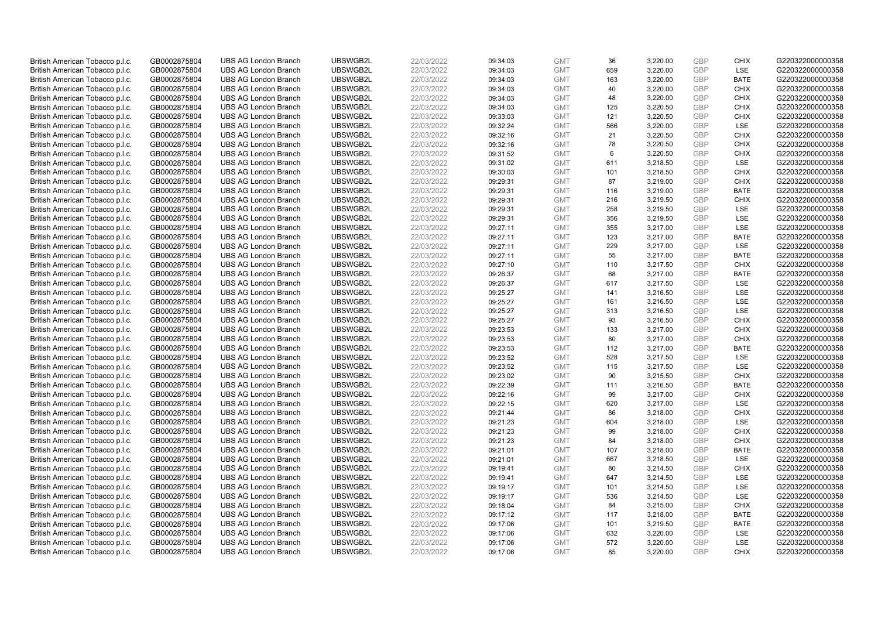| British American Tobacco p.l.c. | GB0002875804 | <b>UBS AG London Branch</b> | UBSWGB2L | 22/03/2022 | 09:34:03 | <b>GMT</b> | 36  | 3,220.00 | <b>GBP</b> | <b>CHIX</b> | G220322000000358 |
|---------------------------------|--------------|-----------------------------|----------|------------|----------|------------|-----|----------|------------|-------------|------------------|
| British American Tobacco p.l.c. | GB0002875804 | <b>UBS AG London Branch</b> | UBSWGB2L | 22/03/2022 | 09:34:03 | <b>GMT</b> | 659 | 3,220.00 | GBP        | LSE         | G220322000000358 |
| British American Tobacco p.l.c. | GB0002875804 | <b>UBS AG London Branch</b> | UBSWGB2L | 22/03/2022 | 09:34:03 | <b>GMT</b> | 163 | 3,220.00 | GBP        | <b>BATE</b> | G220322000000358 |
| British American Tobacco p.l.c. | GB0002875804 | <b>UBS AG London Branch</b> | UBSWGB2L | 22/03/2022 | 09:34:03 | <b>GMT</b> | 40  | 3,220.00 | <b>GBP</b> | <b>CHIX</b> | G220322000000358 |
| British American Tobacco p.l.c. | GB0002875804 | <b>UBS AG London Branch</b> | UBSWGB2L | 22/03/2022 | 09:34:03 | <b>GMT</b> | 48  | 3,220.00 | GBP        | <b>CHIX</b> | G220322000000358 |
| British American Tobacco p.l.c. | GB0002875804 | <b>UBS AG London Branch</b> | UBSWGB2L | 22/03/2022 | 09:34:03 | <b>GMT</b> | 125 | 3,220.50 | <b>GBP</b> | <b>CHIX</b> | G220322000000358 |
| British American Tobacco p.l.c. | GB0002875804 | <b>UBS AG London Branch</b> | UBSWGB2L | 22/03/2022 | 09:33:03 | <b>GMT</b> | 121 | 3,220.50 | GBP        | <b>CHIX</b> | G220322000000358 |
| British American Tobacco p.l.c. | GB0002875804 | <b>UBS AG London Branch</b> | UBSWGB2L | 22/03/2022 | 09:32:24 | <b>GMT</b> | 566 | 3,220.00 | <b>GBP</b> | LSE         | G220322000000358 |
| British American Tobacco p.l.c. | GB0002875804 | <b>UBS AG London Branch</b> | UBSWGB2L | 22/03/2022 | 09:32:16 | <b>GMT</b> | 21  | 3,220.50 | GBP        | <b>CHIX</b> | G220322000000358 |
| British American Tobacco p.l.c. | GB0002875804 | <b>UBS AG London Branch</b> | UBSWGB2L | 22/03/2022 | 09:32:16 | <b>GMT</b> | 78  | 3,220.50 | <b>GBP</b> | <b>CHIX</b> | G220322000000358 |
| British American Tobacco p.l.c. | GB0002875804 | <b>UBS AG London Branch</b> | UBSWGB2L | 22/03/2022 | 09:31:52 | <b>GMT</b> | 6   | 3.220.50 | GBP        | <b>CHIX</b> | G220322000000358 |
| British American Tobacco p.l.c. | GB0002875804 | <b>UBS AG London Branch</b> | UBSWGB2L | 22/03/2022 | 09:31:02 | <b>GMT</b> | 611 | 3,218.50 | <b>GBP</b> | LSE         | G220322000000358 |
| British American Tobacco p.l.c. | GB0002875804 | <b>UBS AG London Branch</b> | UBSWGB2L | 22/03/2022 | 09:30:03 | <b>GMT</b> | 101 | 3,218.50 | <b>GBP</b> | <b>CHIX</b> | G220322000000358 |
| British American Tobacco p.l.c. | GB0002875804 | <b>UBS AG London Branch</b> | UBSWGB2L | 22/03/2022 | 09:29:31 | <b>GMT</b> | 87  | 3,219.00 | <b>GBP</b> | <b>CHIX</b> | G220322000000358 |
| British American Tobacco p.l.c. | GB0002875804 | <b>UBS AG London Branch</b> | UBSWGB2L | 22/03/2022 | 09:29:31 | <b>GMT</b> | 116 | 3,219.00 | GBP        | <b>BATE</b> | G220322000000358 |
| British American Tobacco p.l.c. | GB0002875804 | <b>UBS AG London Branch</b> | UBSWGB2L | 22/03/2022 | 09:29:31 | <b>GMT</b> | 216 | 3,219.50 | GBP        | <b>CHIX</b> | G220322000000358 |
| British American Tobacco p.l.c. | GB0002875804 | <b>UBS AG London Branch</b> | UBSWGB2L | 22/03/2022 | 09:29:31 | <b>GMT</b> | 258 | 3,219.50 | GBP        | LSE         | G220322000000358 |
| British American Tobacco p.l.c. | GB0002875804 | <b>UBS AG London Branch</b> | UBSWGB2L | 22/03/2022 | 09:29:31 | <b>GMT</b> | 356 | 3,219.50 | <b>GBP</b> | <b>LSE</b>  | G220322000000358 |
| British American Tobacco p.l.c. | GB0002875804 | <b>UBS AG London Branch</b> | UBSWGB2L | 22/03/2022 | 09:27:11 | <b>GMT</b> | 355 | 3,217.00 | <b>GBP</b> | <b>LSE</b>  | G220322000000358 |
| British American Tobacco p.l.c. | GB0002875804 | <b>UBS AG London Branch</b> | UBSWGB2L | 22/03/2022 | 09:27:11 | <b>GMT</b> | 123 | 3,217.00 | <b>GBP</b> | <b>BATE</b> | G220322000000358 |
| British American Tobacco p.l.c. | GB0002875804 | <b>UBS AG London Branch</b> | UBSWGB2L | 22/03/2022 | 09:27:11 | <b>GMT</b> | 229 | 3,217.00 | <b>GBP</b> | LSE         | G220322000000358 |
| British American Tobacco p.l.c. | GB0002875804 | <b>UBS AG London Branch</b> | UBSWGB2L | 22/03/2022 | 09:27:11 | <b>GMT</b> | 55  | 3,217.00 | GBP        | <b>BATE</b> | G220322000000358 |
| British American Tobacco p.l.c. | GB0002875804 | <b>UBS AG London Branch</b> | UBSWGB2L | 22/03/2022 | 09:27:10 | <b>GMT</b> | 110 | 3,217.50 | <b>GBP</b> | <b>CHIX</b> | G220322000000358 |
| British American Tobacco p.l.c. | GB0002875804 | <b>UBS AG London Branch</b> | UBSWGB2L | 22/03/2022 | 09:26:37 | <b>GMT</b> | 68  | 3.217.00 | GBP        | <b>BATE</b> | G220322000000358 |
| British American Tobacco p.l.c. | GB0002875804 | <b>UBS AG London Branch</b> | UBSWGB2L | 22/03/2022 | 09:26:37 | <b>GMT</b> | 617 | 3,217.50 | <b>GBP</b> | LSE         | G220322000000358 |
| British American Tobacco p.l.c. | GB0002875804 | <b>UBS AG London Branch</b> | UBSWGB2L | 22/03/2022 | 09:25:27 | <b>GMT</b> | 141 | 3,216.50 | GBP        | LSE         | G220322000000358 |
| British American Tobacco p.l.c. | GB0002875804 | <b>UBS AG London Branch</b> | UBSWGB2L | 22/03/2022 | 09:25:27 | <b>GMT</b> | 161 | 3,216.50 | <b>GBP</b> | LSE         | G220322000000358 |
| British American Tobacco p.l.c. | GB0002875804 | <b>UBS AG London Branch</b> | UBSWGB2L | 22/03/2022 | 09:25:27 | <b>GMT</b> | 313 | 3,216.50 | GBP        | LSE         | G220322000000358 |
| British American Tobacco p.l.c. | GB0002875804 | <b>UBS AG London Branch</b> | UBSWGB2L | 22/03/2022 | 09:25:27 | <b>GMT</b> | 93  | 3,216.50 | <b>GBP</b> | <b>CHIX</b> | G220322000000358 |
| British American Tobacco p.l.c. | GB0002875804 | <b>UBS AG London Branch</b> | UBSWGB2L | 22/03/2022 | 09:23:53 | <b>GMT</b> | 133 | 3,217.00 | GBP        | <b>CHIX</b> | G220322000000358 |
| British American Tobacco p.l.c. | GB0002875804 | <b>UBS AG London Branch</b> | UBSWGB2L | 22/03/2022 | 09:23:53 | <b>GMT</b> | 80  | 3,217.00 | <b>GBP</b> | <b>CHIX</b> | G220322000000358 |
| British American Tobacco p.l.c. | GB0002875804 | <b>UBS AG London Branch</b> | UBSWGB2L | 22/03/2022 | 09:23:53 | <b>GMT</b> | 112 | 3,217.00 | GBP        | <b>BATE</b> | G220322000000358 |
| British American Tobacco p.l.c. | GB0002875804 | <b>UBS AG London Branch</b> | UBSWGB2L | 22/03/2022 | 09:23:52 | <b>GMT</b> | 528 | 3,217.50 | <b>GBP</b> | LSE         | G220322000000358 |
| British American Tobacco p.l.c. | GB0002875804 | <b>UBS AG London Branch</b> | UBSWGB2L | 22/03/2022 | 09:23:52 | <b>GMT</b> | 115 | 3,217.50 | <b>GBP</b> | LSE         | G220322000000358 |
| British American Tobacco p.l.c. | GB0002875804 | <b>UBS AG London Branch</b> | UBSWGB2L | 22/03/2022 | 09:23:02 | <b>GMT</b> | 90  | 3,215.50 | GBP        | <b>CHIX</b> | G220322000000358 |
| British American Tobacco p.l.c. | GB0002875804 | <b>UBS AG London Branch</b> | UBSWGB2L | 22/03/2022 | 09:22:39 | <b>GMT</b> | 111 | 3,216.50 | <b>GBP</b> | <b>BATE</b> | G220322000000358 |
| British American Tobacco p.l.c. | GB0002875804 | <b>UBS AG London Branch</b> | UBSWGB2L | 22/03/2022 | 09:22:16 | <b>GMT</b> | 99  | 3,217.00 | GBP        | <b>CHIX</b> | G220322000000358 |
| British American Tobacco p.l.c. | GB0002875804 | <b>UBS AG London Branch</b> | UBSWGB2L | 22/03/2022 | 09:22:15 | <b>GMT</b> | 620 | 3,217.00 | <b>GBP</b> | LSE         | G220322000000358 |
| British American Tobacco p.l.c. | GB0002875804 | <b>UBS AG London Branch</b> | UBSWGB2L | 22/03/2022 | 09:21:44 | <b>GMT</b> | 86  | 3,218.00 | <b>GBP</b> | <b>CHIX</b> | G220322000000358 |
| British American Tobacco p.l.c. | GB0002875804 | <b>UBS AG London Branch</b> | UBSWGB2L | 22/03/2022 | 09:21:23 | <b>GMT</b> | 604 | 3,218.00 | <b>GBP</b> | <b>LSE</b>  | G220322000000358 |
| British American Tobacco p.l.c. | GB0002875804 | <b>UBS AG London Branch</b> | UBSWGB2L | 22/03/2022 | 09:21:23 | <b>GMT</b> | 99  | 3,218.00 | GBP        | <b>CHIX</b> | G220322000000358 |
| British American Tobacco p.l.c. | GB0002875804 | <b>UBS AG London Branch</b> | UBSWGB2L | 22/03/2022 | 09:21:23 | <b>GMT</b> | 84  | 3,218.00 | <b>GBP</b> | <b>CHIX</b> | G220322000000358 |
| British American Tobacco p.l.c. | GB0002875804 | <b>UBS AG London Branch</b> | UBSWGB2L | 22/03/2022 | 09:21:01 | <b>GMT</b> | 107 | 3,218.00 | <b>GBP</b> | <b>BATE</b> | G220322000000358 |
| British American Tobacco p.l.c. | GB0002875804 | <b>UBS AG London Branch</b> | UBSWGB2L | 22/03/2022 | 09:21:01 | <b>GMT</b> | 667 | 3,218.50 | <b>GBP</b> | LSE         | G220322000000358 |
| British American Tobacco p.l.c. | GB0002875804 | <b>UBS AG London Branch</b> | UBSWGB2L | 22/03/2022 | 09:19:41 | <b>GMT</b> | 80  | 3,214.50 | <b>GBP</b> | <b>CHIX</b> | G220322000000358 |
| British American Tobacco p.l.c. | GB0002875804 | <b>UBS AG London Branch</b> | UBSWGB2L | 22/03/2022 | 09:19:41 | <b>GMT</b> | 647 | 3,214.50 | <b>GBP</b> | LSE         | G220322000000358 |
| British American Tobacco p.l.c. | GB0002875804 | <b>UBS AG London Branch</b> | UBSWGB2L | 22/03/2022 | 09:19:17 | <b>GMT</b> | 101 | 3,214.50 | <b>GBP</b> | LSE         | G220322000000358 |
| British American Tobacco p.l.c. | GB0002875804 | <b>UBS AG London Branch</b> | UBSWGB2L | 22/03/2022 | 09:19:17 | <b>GMT</b> | 536 | 3,214.50 | GBP        | LSE         | G220322000000358 |
| British American Tobacco p.l.c. | GB0002875804 | <b>UBS AG London Branch</b> | UBSWGB2L | 22/03/2022 | 09:18:04 | <b>GMT</b> | 84  | 3,215.00 | <b>GBP</b> | <b>CHIX</b> | G220322000000358 |
| British American Tobacco p.l.c. | GB0002875804 | <b>UBS AG London Branch</b> | UBSWGB2L | 22/03/2022 | 09:17:12 | <b>GMT</b> | 117 | 3,218.00 | GBP        | <b>BATE</b> | G220322000000358 |
| British American Tobacco p.l.c. | GB0002875804 | <b>UBS AG London Branch</b> | UBSWGB2L | 22/03/2022 | 09:17:06 | <b>GMT</b> | 101 | 3,219.50 | <b>GBP</b> | <b>BATE</b> | G220322000000358 |
| British American Tobacco p.l.c. | GB0002875804 | <b>UBS AG London Branch</b> | UBSWGB2L | 22/03/2022 | 09:17:06 | <b>GMT</b> | 632 | 3,220.00 | <b>GBP</b> | LSE         | G220322000000358 |
| British American Tobacco p.l.c. | GB0002875804 | <b>UBS AG London Branch</b> | UBSWGB2L | 22/03/2022 | 09:17:06 | <b>GMT</b> | 572 | 3,220.00 | <b>GBP</b> | <b>LSE</b>  | G220322000000358 |
| British American Tobacco p.l.c. | GB0002875804 | <b>UBS AG London Branch</b> | UBSWGB2L | 22/03/2022 | 09:17:06 | <b>GMT</b> | 85  | 3.220.00 | GBP        | CHIX        | G220322000000358 |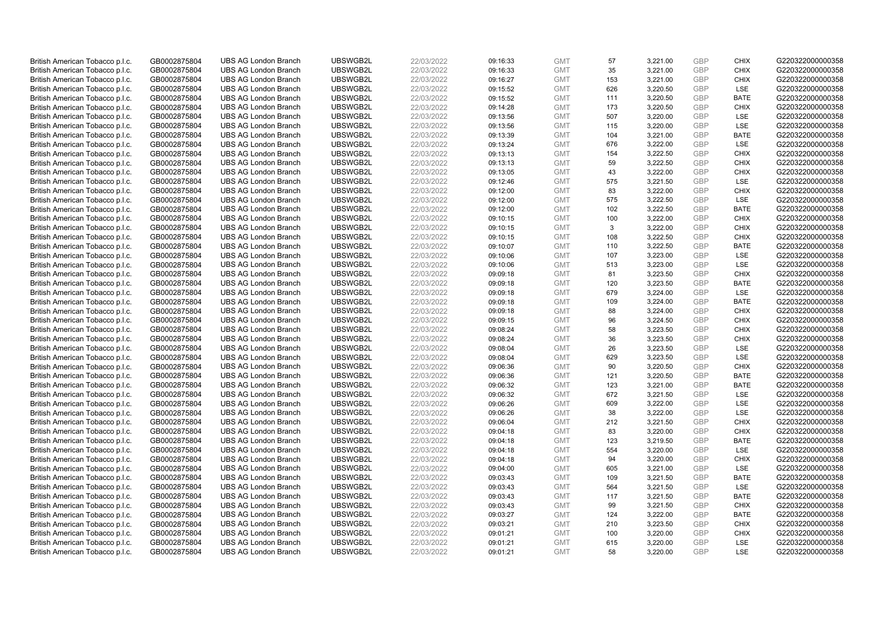| British American Tobacco p.l.c. | GB0002875804 | <b>UBS AG London Branch</b> | UBSWGB2L | 22/03/2022 | 09:16:33 | <b>GMT</b> | 57  | 3,221.00 | <b>GBP</b> | <b>CHIX</b> | G220322000000358 |
|---------------------------------|--------------|-----------------------------|----------|------------|----------|------------|-----|----------|------------|-------------|------------------|
| British American Tobacco p.l.c. | GB0002875804 | <b>UBS AG London Branch</b> | UBSWGB2L | 22/03/2022 | 09:16:33 | <b>GMT</b> | 35  | 3,221.00 | GBP        | CHIX        | G220322000000358 |
| British American Tobacco p.l.c. | GB0002875804 | <b>UBS AG London Branch</b> | UBSWGB2L | 22/03/2022 | 09:16:27 | <b>GMT</b> | 153 | 3,221.00 | GBP        | <b>CHIX</b> | G220322000000358 |
| British American Tobacco p.l.c. | GB0002875804 | <b>UBS AG London Branch</b> | UBSWGB2L | 22/03/2022 | 09:15:52 | <b>GMT</b> | 626 | 3,220.50 | <b>GBP</b> | LSE         | G220322000000358 |
| British American Tobacco p.l.c. | GB0002875804 | <b>UBS AG London Branch</b> | UBSWGB2L | 22/03/2022 | 09:15:52 | <b>GMT</b> | 111 | 3,220.50 | <b>GBP</b> | <b>BATE</b> | G220322000000358 |
| British American Tobacco p.l.c. | GB0002875804 | <b>UBS AG London Branch</b> | UBSWGB2L | 22/03/2022 | 09:14:28 | <b>GMT</b> | 173 | 3,220.50 | <b>GBP</b> | <b>CHIX</b> | G220322000000358 |
| British American Tobacco p.l.c. | GB0002875804 | <b>UBS AG London Branch</b> | UBSWGB2L | 22/03/2022 | 09:13:56 | <b>GMT</b> | 507 | 3,220.00 | <b>GBP</b> | LSE         | G220322000000358 |
| British American Tobacco p.l.c. | GB0002875804 | <b>UBS AG London Branch</b> | UBSWGB2L | 22/03/2022 | 09:13:56 | <b>GMT</b> | 115 | 3,220.00 | <b>GBP</b> | LSE         | G220322000000358 |
| British American Tobacco p.l.c. | GB0002875804 | <b>UBS AG London Branch</b> | UBSWGB2L | 22/03/2022 | 09:13:39 | <b>GMT</b> | 104 | 3,221.00 | <b>GBP</b> | <b>BATE</b> | G220322000000358 |
| British American Tobacco p.l.c. | GB0002875804 | <b>UBS AG London Branch</b> | UBSWGB2L | 22/03/2022 | 09:13:24 | <b>GMT</b> | 676 | 3,222.00 | <b>GBP</b> | LSE         | G220322000000358 |
| British American Tobacco p.l.c. | GB0002875804 | <b>UBS AG London Branch</b> | UBSWGB2L | 22/03/2022 | 09:13:13 | <b>GMT</b> | 154 | 3.222.50 | <b>GBP</b> | CHIX        | G220322000000358 |
| British American Tobacco p.l.c. | GB0002875804 | <b>UBS AG London Branch</b> | UBSWGB2L | 22/03/2022 | 09:13:13 | <b>GMT</b> | 59  | 3,222.50 | <b>GBP</b> | <b>CHIX</b> | G220322000000358 |
| British American Tobacco p.l.c. | GB0002875804 | <b>UBS AG London Branch</b> | UBSWGB2L | 22/03/2022 | 09:13:05 | <b>GMT</b> | 43  | 3,222.00 | GBP        | <b>CHIX</b> | G220322000000358 |
| British American Tobacco p.l.c. | GB0002875804 | <b>UBS AG London Branch</b> | UBSWGB2L | 22/03/2022 | 09:12:46 | <b>GMT</b> | 575 | 3,221.50 | <b>GBP</b> | <b>LSE</b>  | G220322000000358 |
| British American Tobacco p.l.c. | GB0002875804 | <b>UBS AG London Branch</b> | UBSWGB2L | 22/03/2022 | 09:12:00 | <b>GMT</b> | 83  | 3,222.00 | GBP        | CHIX        | G220322000000358 |
| British American Tobacco p.l.c. | GB0002875804 | <b>UBS AG London Branch</b> | UBSWGB2L | 22/03/2022 | 09:12:00 | <b>GMT</b> | 575 | 3,222.50 | GBP        | <b>LSE</b>  | G220322000000358 |
| British American Tobacco p.l.c. | GB0002875804 | <b>UBS AG London Branch</b> | UBSWGB2L | 22/03/2022 | 09:12:00 | <b>GMT</b> | 102 | 3,222.50 | GBP        | <b>BATE</b> | G220322000000358 |
| British American Tobacco p.l.c. | GB0002875804 | <b>UBS AG London Branch</b> | UBSWGB2L | 22/03/2022 | 09:10:15 | <b>GMT</b> | 100 | 3,222.00 | GBP        | <b>CHIX</b> | G220322000000358 |
| British American Tobacco p.l.c. | GB0002875804 | <b>UBS AG London Branch</b> | UBSWGB2L | 22/03/2022 | 09:10:15 | <b>GMT</b> | 3   | 3,222.00 | <b>GBP</b> | <b>CHIX</b> | G220322000000358 |
| British American Tobacco p.l.c. | GB0002875804 | <b>UBS AG London Branch</b> | UBSWGB2L | 22/03/2022 | 09:10:15 | <b>GMT</b> | 108 | 3,222.50 | <b>GBP</b> | <b>CHIX</b> | G220322000000358 |
| British American Tobacco p.l.c. | GB0002875804 | <b>UBS AG London Branch</b> | UBSWGB2L | 22/03/2022 | 09:10:07 | <b>GMT</b> | 110 | 3,222.50 | <b>GBP</b> | <b>BATE</b> | G220322000000358 |
| British American Tobacco p.l.c. | GB0002875804 | <b>UBS AG London Branch</b> | UBSWGB2L | 22/03/2022 | 09:10:06 | <b>GMT</b> | 107 | 3,223.00 | GBP        | LSE         | G220322000000358 |
| British American Tobacco p.l.c. | GB0002875804 | <b>UBS AG London Branch</b> | UBSWGB2L | 22/03/2022 | 09:10:06 | <b>GMT</b> | 513 | 3,223.00 | <b>GBP</b> | LSE         | G220322000000358 |
| British American Tobacco p.l.c. | GB0002875804 | <b>UBS AG London Branch</b> | UBSWGB2L | 22/03/2022 | 09:09:18 | <b>GMT</b> | 81  | 3,223.50 | GBP        | <b>CHIX</b> | G220322000000358 |
| British American Tobacco p.l.c. | GB0002875804 | <b>UBS AG London Branch</b> | UBSWGB2L | 22/03/2022 | 09:09:18 | <b>GMT</b> | 120 | 3,223.50 | <b>GBP</b> | <b>BATE</b> | G220322000000358 |
| British American Tobacco p.l.c. | GB0002875804 | <b>UBS AG London Branch</b> | UBSWGB2L | 22/03/2022 | 09:09:18 | <b>GMT</b> | 679 | 3,224.00 | GBP        | LSE         | G220322000000358 |
| British American Tobacco p.l.c. | GB0002875804 | <b>UBS AG London Branch</b> | UBSWGB2L | 22/03/2022 | 09:09:18 | <b>GMT</b> | 109 | 3,224.00 | <b>GBP</b> | <b>BATE</b> | G220322000000358 |
| British American Tobacco p.l.c. | GB0002875804 | <b>UBS AG London Branch</b> | UBSWGB2L | 22/03/2022 | 09:09:18 | <b>GMT</b> | 88  | 3,224.00 | GBP        | <b>CHIX</b> | G220322000000358 |
| British American Tobacco p.l.c. | GB0002875804 | <b>UBS AG London Branch</b> | UBSWGB2L | 22/03/2022 | 09:09:15 | <b>GMT</b> | 96  | 3,224.50 | <b>GBP</b> | <b>CHIX</b> | G220322000000358 |
| British American Tobacco p.l.c. | GB0002875804 | <b>UBS AG London Branch</b> | UBSWGB2L | 22/03/2022 | 09:08:24 | <b>GMT</b> | 58  | 3,223.50 | GBP        | <b>CHIX</b> | G220322000000358 |
| British American Tobacco p.l.c. | GB0002875804 | <b>UBS AG London Branch</b> | UBSWGB2L | 22/03/2022 | 09:08:24 | <b>GMT</b> | 36  | 3,223.50 | <b>GBP</b> | <b>CHIX</b> | G220322000000358 |
| British American Tobacco p.l.c. | GB0002875804 | <b>UBS AG London Branch</b> | UBSWGB2L | 22/03/2022 | 09:08:04 | <b>GMT</b> | 26  | 3,223.50 | GBP        | <b>LSE</b>  | G220322000000358 |
| British American Tobacco p.l.c. | GB0002875804 | <b>UBS AG London Branch</b> | UBSWGB2L | 22/03/2022 | 09:08:04 | <b>GMT</b> | 629 | 3,223.50 | <b>GBP</b> | LSE         | G220322000000358 |
| British American Tobacco p.l.c. | GB0002875804 | <b>UBS AG London Branch</b> | UBSWGB2L | 22/03/2022 | 09:06:36 | <b>GMT</b> | 90  | 3,220.50 | <b>GBP</b> | <b>CHIX</b> | G220322000000358 |
| British American Tobacco p.l.c. | GB0002875804 | <b>UBS AG London Branch</b> | UBSWGB2L | 22/03/2022 | 09:06:36 | <b>GMT</b> | 121 | 3,220.50 | GBP        | <b>BATE</b> | G220322000000358 |
| British American Tobacco p.l.c. | GB0002875804 | <b>UBS AG London Branch</b> | UBSWGB2L | 22/03/2022 | 09:06:32 | <b>GMT</b> | 123 | 3,221.00 | <b>GBP</b> | <b>BATE</b> | G220322000000358 |
| British American Tobacco p.l.c. | GB0002875804 | <b>UBS AG London Branch</b> | UBSWGB2L | 22/03/2022 | 09:06:32 | <b>GMT</b> | 672 | 3,221.50 | GBP        | <b>LSE</b>  | G220322000000358 |
| British American Tobacco p.l.c. | GB0002875804 | <b>UBS AG London Branch</b> | UBSWGB2L | 22/03/2022 | 09:06:26 | <b>GMT</b> | 609 | 3,222.00 | <b>GBP</b> | LSE         | G220322000000358 |
| British American Tobacco p.l.c. | GB0002875804 | <b>UBS AG London Branch</b> | UBSWGB2L | 22/03/2022 | 09:06:26 | <b>GMT</b> | 38  | 3,222.00 | <b>GBP</b> | LSE         | G220322000000358 |
| British American Tobacco p.l.c. | GB0002875804 | <b>UBS AG London Branch</b> | UBSWGB2L | 22/03/2022 | 09:06:04 | <b>GMT</b> | 212 | 3,221.50 | <b>GBP</b> | <b>CHIX</b> | G220322000000358 |
| British American Tobacco p.l.c. | GB0002875804 | <b>UBS AG London Branch</b> | UBSWGB2L | 22/03/2022 | 09:04:18 | <b>GMT</b> | 83  | 3,220.00 | GBP        | CHIX        | G220322000000358 |
| British American Tobacco p.l.c. | GB0002875804 | <b>UBS AG London Branch</b> | UBSWGB2L | 22/03/2022 | 09:04:18 | <b>GMT</b> | 123 | 3,219.50 | <b>GBP</b> | <b>BATE</b> | G220322000000358 |
| British American Tobacco p.l.c. | GB0002875804 | <b>UBS AG London Branch</b> | UBSWGB2L | 22/03/2022 | 09:04:18 | <b>GMT</b> | 554 | 3,220.00 | <b>GBP</b> | LSE         | G220322000000358 |
| British American Tobacco p.l.c. | GB0002875804 | <b>UBS AG London Branch</b> | UBSWGB2L | 22/03/2022 | 09:04:18 | <b>GMT</b> | 94  | 3,220.00 | <b>GBP</b> | <b>CHIX</b> | G220322000000358 |
| British American Tobacco p.l.c. | GB0002875804 | <b>UBS AG London Branch</b> | UBSWGB2L | 22/03/2022 | 09:04:00 | <b>GMT</b> | 605 | 3,221.00 | <b>GBP</b> | LSE         | G220322000000358 |
| British American Tobacco p.l.c. | GB0002875804 | <b>UBS AG London Branch</b> | UBSWGB2L | 22/03/2022 | 09:03:43 | <b>GMT</b> | 109 | 3,221.50 | <b>GBP</b> | <b>BATE</b> | G220322000000358 |
| British American Tobacco p.l.c. | GB0002875804 | <b>UBS AG London Branch</b> | UBSWGB2L | 22/03/2022 | 09:03:43 | <b>GMT</b> | 564 | 3,221.50 | <b>GBP</b> | LSE         | G220322000000358 |
| British American Tobacco p.l.c. | GB0002875804 | <b>UBS AG London Branch</b> | UBSWGB2L | 22/03/2022 | 09:03:43 | <b>GMT</b> | 117 | 3,221.50 | GBP        | <b>BATE</b> | G220322000000358 |
| British American Tobacco p.l.c. | GB0002875804 | <b>UBS AG London Branch</b> | UBSWGB2L | 22/03/2022 | 09:03:43 | <b>GMT</b> | 99  | 3,221.50 | <b>GBP</b> | <b>CHIX</b> | G220322000000358 |
| British American Tobacco p.l.c. | GB0002875804 | <b>UBS AG London Branch</b> | UBSWGB2L | 22/03/2022 | 09:03:27 | <b>GMT</b> | 124 | 3,222.00 | GBP        | <b>BATE</b> | G220322000000358 |
| British American Tobacco p.l.c. | GB0002875804 | <b>UBS AG London Branch</b> | UBSWGB2L | 22/03/2022 | 09:03:21 | <b>GMT</b> | 210 | 3,223.50 | <b>GBP</b> | <b>CHIX</b> | G220322000000358 |
| British American Tobacco p.l.c. | GB0002875804 | <b>UBS AG London Branch</b> | UBSWGB2L | 22/03/2022 | 09:01:21 | <b>GMT</b> | 100 | 3,220.00 | <b>GBP</b> | <b>CHIX</b> | G220322000000358 |
| British American Tobacco p.l.c. | GB0002875804 | <b>UBS AG London Branch</b> | UBSWGB2L | 22/03/2022 | 09:01:21 | <b>GMT</b> | 615 | 3,220.00 | <b>GBP</b> | <b>LSE</b>  | G220322000000358 |
| British American Tobacco p.l.c. | GB0002875804 | <b>UBS AG London Branch</b> | UBSWGB2L | 22/03/2022 | 09:01:21 | <b>GMT</b> | 58  | 3.220.00 | GBP        | <b>LSE</b>  | G220322000000358 |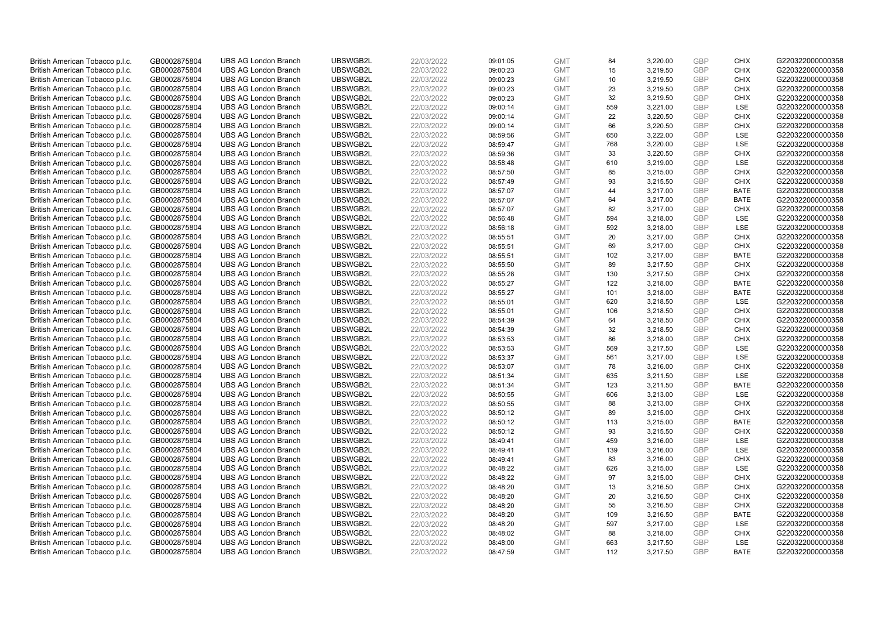| British American Tobacco p.l.c. | GB0002875804 | <b>UBS AG London Branch</b> | UBSWGB2L | 22/03/2022 | 09:01:05 | <b>GMT</b> | 84  | 3,220.00 | <b>GBP</b> | <b>CHIX</b> | G220322000000358 |
|---------------------------------|--------------|-----------------------------|----------|------------|----------|------------|-----|----------|------------|-------------|------------------|
| British American Tobacco p.l.c. | GB0002875804 | <b>UBS AG London Branch</b> | UBSWGB2L | 22/03/2022 | 09:00:23 | <b>GMT</b> | 15  | 3,219.50 | <b>GBP</b> | CHIX        | G220322000000358 |
| British American Tobacco p.l.c. | GB0002875804 | <b>UBS AG London Branch</b> | UBSWGB2L | 22/03/2022 | 09:00:23 | <b>GMT</b> | 10  | 3,219.50 | GBP        | <b>CHIX</b> | G220322000000358 |
| British American Tobacco p.l.c. | GB0002875804 | <b>UBS AG London Branch</b> | UBSWGB2L | 22/03/2022 | 09:00:23 | <b>GMT</b> | 23  | 3,219.50 | <b>GBP</b> | <b>CHIX</b> | G220322000000358 |
| British American Tobacco p.l.c. | GB0002875804 | <b>UBS AG London Branch</b> | UBSWGB2L | 22/03/2022 | 09:00:23 | <b>GMT</b> | 32  | 3,219.50 | GBP        | <b>CHIX</b> | G220322000000358 |
| British American Tobacco p.l.c. | GB0002875804 | <b>UBS AG London Branch</b> | UBSWGB2L | 22/03/2022 | 09:00:14 | <b>GMT</b> | 559 | 3,221.00 | <b>GBP</b> | <b>LSE</b>  | G220322000000358 |
| British American Tobacco p.l.c. | GB0002875804 | <b>UBS AG London Branch</b> | UBSWGB2L | 22/03/2022 | 09:00:14 | <b>GMT</b> | 22  | 3,220.50 | GBP        | <b>CHIX</b> | G220322000000358 |
| British American Tobacco p.l.c. | GB0002875804 | <b>UBS AG London Branch</b> | UBSWGB2L | 22/03/2022 | 09:00:14 | <b>GMT</b> | 66  | 3,220.50 | <b>GBP</b> | <b>CHIX</b> | G220322000000358 |
| British American Tobacco p.l.c. | GB0002875804 | <b>UBS AG London Branch</b> | UBSWGB2L | 22/03/2022 | 08:59:56 | <b>GMT</b> | 650 | 3,222.00 | GBP        | LSE         | G220322000000358 |
| British American Tobacco p.l.c. | GB0002875804 | <b>UBS AG London Branch</b> | UBSWGB2L | 22/03/2022 | 08:59:47 | <b>GMT</b> | 768 | 3,220.00 | <b>GBP</b> | LSE         | G220322000000358 |
| British American Tobacco p.l.c. | GB0002875804 | <b>UBS AG London Branch</b> | UBSWGB2L | 22/03/2022 | 08:59:36 | <b>GMT</b> | 33  | 3.220.50 | GBP        | CHIX        | G220322000000358 |
| British American Tobacco p.l.c. | GB0002875804 | <b>UBS AG London Branch</b> | UBSWGB2L | 22/03/2022 | 08:58:48 | <b>GMT</b> | 610 | 3,219.00 | <b>GBP</b> | LSE         | G220322000000358 |
| British American Tobacco p.l.c. | GB0002875804 | <b>UBS AG London Branch</b> | UBSWGB2L | 22/03/2022 | 08:57:50 | <b>GMT</b> | 85  | 3,215.00 | <b>GBP</b> | <b>CHIX</b> | G220322000000358 |
| British American Tobacco p.l.c. | GB0002875804 | <b>UBS AG London Branch</b> | UBSWGB2L | 22/03/2022 | 08:57:49 | <b>GMT</b> | 93  | 3,215.50 | <b>GBP</b> | <b>CHIX</b> | G220322000000358 |
| British American Tobacco p.l.c. | GB0002875804 | <b>UBS AG London Branch</b> | UBSWGB2L | 22/03/2022 | 08:57:07 | <b>GMT</b> | 44  | 3,217.00 | GBP        | <b>BATE</b> | G220322000000358 |
| British American Tobacco p.l.c. | GB0002875804 | <b>UBS AG London Branch</b> | UBSWGB2L | 22/03/2022 | 08:57:07 | <b>GMT</b> | 64  | 3,217.00 | GBP        | <b>BATE</b> | G220322000000358 |
| British American Tobacco p.l.c. | GB0002875804 | <b>UBS AG London Branch</b> | UBSWGB2L | 22/03/2022 | 08:57:07 | <b>GMT</b> | 82  | 3,217.00 | <b>GBP</b> | <b>CHIX</b> | G220322000000358 |
| British American Tobacco p.l.c. | GB0002875804 | <b>UBS AG London Branch</b> | UBSWGB2L | 22/03/2022 | 08:56:48 | <b>GMT</b> | 594 | 3,218.00 | <b>GBP</b> | <b>LSE</b>  | G220322000000358 |
| British American Tobacco p.l.c. | GB0002875804 | <b>UBS AG London Branch</b> | UBSWGB2L | 22/03/2022 | 08:56:18 | <b>GMT</b> | 592 | 3,218.00 | <b>GBP</b> | <b>LSE</b>  | G220322000000358 |
| British American Tobacco p.l.c. | GB0002875804 | <b>UBS AG London Branch</b> | UBSWGB2L | 22/03/2022 | 08:55:51 | <b>GMT</b> | 20  | 3,217.00 | <b>GBP</b> | <b>CHIX</b> | G220322000000358 |
| British American Tobacco p.l.c. | GB0002875804 | <b>UBS AG London Branch</b> | UBSWGB2L | 22/03/2022 | 08:55:51 | <b>GMT</b> | 69  | 3,217.00 | <b>GBP</b> | <b>CHIX</b> | G220322000000358 |
| British American Tobacco p.l.c. | GB0002875804 | <b>UBS AG London Branch</b> | UBSWGB2L | 22/03/2022 | 08:55:51 | <b>GMT</b> | 102 | 3,217.00 | GBP        | <b>BATE</b> | G220322000000358 |
| British American Tobacco p.l.c. | GB0002875804 | <b>UBS AG London Branch</b> | UBSWGB2L | 22/03/2022 | 08:55:50 | <b>GMT</b> | 89  | 3,217.50 | <b>GBP</b> | <b>CHIX</b> | G220322000000358 |
| British American Tobacco p.l.c. | GB0002875804 | <b>UBS AG London Branch</b> | UBSWGB2L | 22/03/2022 | 08:55:28 | <b>GMT</b> | 130 | 3.217.50 | GBP        | <b>CHIX</b> | G220322000000358 |
| British American Tobacco p.l.c. | GB0002875804 | <b>UBS AG London Branch</b> | UBSWGB2L | 22/03/2022 | 08:55:27 | <b>GMT</b> | 122 | 3,218.00 | <b>GBP</b> | <b>BATE</b> | G220322000000358 |
| British American Tobacco p.l.c. | GB0002875804 | <b>UBS AG London Branch</b> | UBSWGB2L | 22/03/2022 | 08:55:27 | <b>GMT</b> | 101 | 3,218.00 | GBP        | <b>BATE</b> | G220322000000358 |
| British American Tobacco p.l.c. | GB0002875804 | <b>UBS AG London Branch</b> | UBSWGB2L | 22/03/2022 | 08:55:01 | <b>GMT</b> | 620 | 3,218.50 | <b>GBP</b> | LSE         | G220322000000358 |
| British American Tobacco p.l.c. | GB0002875804 | <b>UBS AG London Branch</b> | UBSWGB2L | 22/03/2022 | 08:55:01 | <b>GMT</b> | 106 | 3,218.50 | GBP        | <b>CHIX</b> | G220322000000358 |
| British American Tobacco p.l.c. | GB0002875804 | <b>UBS AG London Branch</b> | UBSWGB2L | 22/03/2022 | 08:54:39 | <b>GMT</b> | 64  | 3,218.50 | <b>GBP</b> | <b>CHIX</b> | G220322000000358 |
| British American Tobacco p.l.c. | GB0002875804 | <b>UBS AG London Branch</b> | UBSWGB2L | 22/03/2022 | 08:54:39 | <b>GMT</b> | 32  | 3,218.50 | GBP        | <b>CHIX</b> | G220322000000358 |
| British American Tobacco p.l.c. | GB0002875804 | <b>UBS AG London Branch</b> | UBSWGB2L | 22/03/2022 | 08:53:53 | <b>GMT</b> | 86  | 3,218.00 | <b>GBP</b> | <b>CHIX</b> | G220322000000358 |
| British American Tobacco p.l.c. | GB0002875804 | <b>UBS AG London Branch</b> | UBSWGB2L | 22/03/2022 | 08:53:53 | <b>GMT</b> | 569 | 3,217.50 | GBP        | <b>LSE</b>  | G220322000000358 |
| British American Tobacco p.l.c. | GB0002875804 | <b>UBS AG London Branch</b> | UBSWGB2L | 22/03/2022 | 08:53:37 | <b>GMT</b> | 561 | 3,217.00 | <b>GBP</b> | LSE         | G220322000000358 |
| British American Tobacco p.l.c. | GB0002875804 | <b>UBS AG London Branch</b> | UBSWGB2L | 22/03/2022 | 08:53:07 | <b>GMT</b> | 78  | 3,216.00 | <b>GBP</b> | <b>CHIX</b> | G220322000000358 |
| British American Tobacco p.l.c. | GB0002875804 | <b>UBS AG London Branch</b> | UBSWGB2L | 22/03/2022 | 08:51:34 | <b>GMT</b> | 635 | 3,211.50 | GBP        | LSE         | G220322000000358 |
| British American Tobacco p.l.c. | GB0002875804 | <b>UBS AG London Branch</b> | UBSWGB2L | 22/03/2022 | 08:51:34 | <b>GMT</b> | 123 | 3,211.50 | <b>GBP</b> | <b>BATE</b> | G220322000000358 |
| British American Tobacco p.l.c. | GB0002875804 | <b>UBS AG London Branch</b> | UBSWGB2L | 22/03/2022 | 08:50:55 | <b>GMT</b> | 606 | 3,213.00 | GBP        | <b>LSE</b>  | G220322000000358 |
| British American Tobacco p.l.c. | GB0002875804 | <b>UBS AG London Branch</b> | UBSWGB2L | 22/03/2022 | 08:50:55 | <b>GMT</b> | 88  | 3,213.00 | <b>GBP</b> | <b>CHIX</b> | G220322000000358 |
| British American Tobacco p.l.c. | GB0002875804 | <b>UBS AG London Branch</b> | UBSWGB2L | 22/03/2022 | 08:50:12 | <b>GMT</b> | 89  | 3,215.00 | GBP        | <b>CHIX</b> | G220322000000358 |
| British American Tobacco p.l.c. | GB0002875804 | <b>UBS AG London Branch</b> | UBSWGB2L | 22/03/2022 | 08:50:12 | <b>GMT</b> | 113 | 3,215.00 | <b>GBP</b> | <b>BATE</b> | G220322000000358 |
| British American Tobacco p.l.c. | GB0002875804 | <b>UBS AG London Branch</b> | UBSWGB2L | 22/03/2022 | 08:50:12 | <b>GMT</b> | 93  | 3,215.50 | GBP        | <b>CHIX</b> | G220322000000358 |
| British American Tobacco p.l.c. | GB0002875804 | <b>UBS AG London Branch</b> | UBSWGB2L | 22/03/2022 | 08:49:41 | <b>GMT</b> | 459 | 3,216.00 | <b>GBP</b> | <b>LSE</b>  | G220322000000358 |
| British American Tobacco p.l.c. | GB0002875804 | <b>UBS AG London Branch</b> | UBSWGB2L | 22/03/2022 | 08:49:41 | <b>GMT</b> | 139 | 3,216.00 | <b>GBP</b> | LSE         | G220322000000358 |
| British American Tobacco p.l.c. | GB0002875804 | <b>UBS AG London Branch</b> | UBSWGB2L | 22/03/2022 | 08:49:41 | <b>GMT</b> | 83  | 3,216.00 | <b>GBP</b> | <b>CHIX</b> | G220322000000358 |
| British American Tobacco p.l.c. | GB0002875804 | <b>UBS AG London Branch</b> | UBSWGB2L | 22/03/2022 | 08:48:22 | <b>GMT</b> | 626 | 3,215.00 | <b>GBP</b> | LSE         | G220322000000358 |
| British American Tobacco p.l.c. | GB0002875804 | <b>UBS AG London Branch</b> | UBSWGB2L | 22/03/2022 | 08:48:22 | <b>GMT</b> | 97  | 3,215.00 | <b>GBP</b> | <b>CHIX</b> | G220322000000358 |
| British American Tobacco p.l.c. | GB0002875804 | <b>UBS AG London Branch</b> | UBSWGB2L | 22/03/2022 | 08:48:20 | <b>GMT</b> | 13  | 3,216.50 | <b>GBP</b> | <b>CHIX</b> | G220322000000358 |
| British American Tobacco p.l.c. | GB0002875804 | <b>UBS AG London Branch</b> | UBSWGB2L | 22/03/2022 | 08:48:20 | <b>GMT</b> | 20  | 3,216.50 | GBP        | <b>CHIX</b> | G220322000000358 |
| British American Tobacco p.l.c. | GB0002875804 | <b>UBS AG London Branch</b> | UBSWGB2L | 22/03/2022 | 08:48:20 | <b>GMT</b> | 55  | 3,216.50 | <b>GBP</b> | <b>CHIX</b> | G220322000000358 |
| British American Tobacco p.l.c. | GB0002875804 | <b>UBS AG London Branch</b> | UBSWGB2L | 22/03/2022 | 08:48:20 | <b>GMT</b> | 109 | 3,216.50 | GBP        | <b>BATE</b> | G220322000000358 |
| British American Tobacco p.l.c. | GB0002875804 | <b>UBS AG London Branch</b> | UBSWGB2L | 22/03/2022 | 08:48:20 | <b>GMT</b> | 597 | 3,217.00 | <b>GBP</b> | LSE         | G220322000000358 |
| British American Tobacco p.l.c. | GB0002875804 | <b>UBS AG London Branch</b> | UBSWGB2L | 22/03/2022 | 08:48:02 | <b>GMT</b> | 88  | 3,218.00 | <b>GBP</b> | <b>CHIX</b> | G220322000000358 |
| British American Tobacco p.l.c. | GB0002875804 | <b>UBS AG London Branch</b> | UBSWGB2L | 22/03/2022 | 08:48:00 | <b>GMT</b> | 663 | 3,217.50 | <b>GBP</b> | <b>LSE</b>  | G220322000000358 |
| British American Tobacco p.l.c. | GB0002875804 | <b>UBS AG London Branch</b> | UBSWGB2L | 22/03/2022 | 08:47:59 | <b>GMT</b> | 112 | 3,217.50 | GBP        | <b>BATE</b> | G220322000000358 |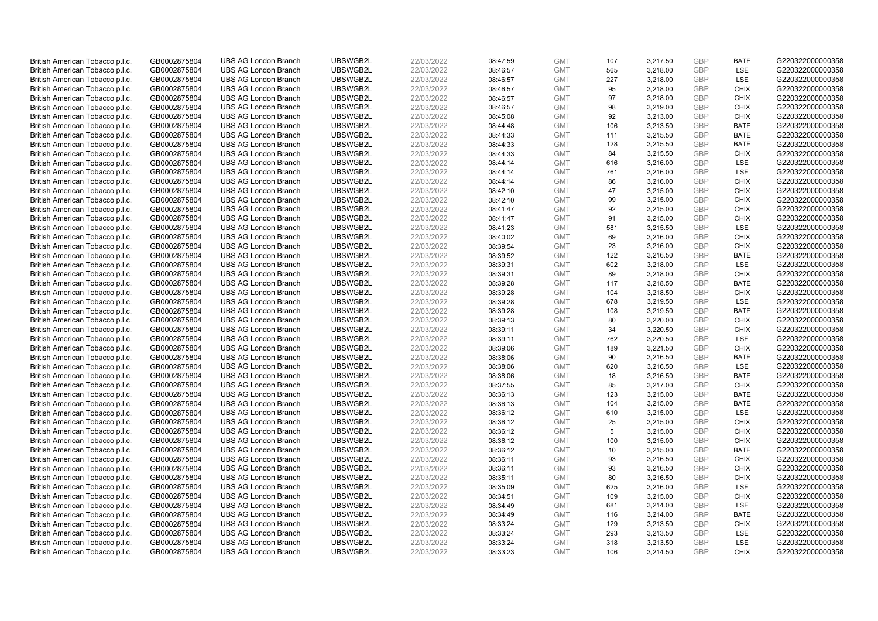| British American Tobacco p.l.c. | GB0002875804 | <b>UBS AG London Branch</b> | UBSWGB2L | 22/03/2022 | 08:47:59 | <b>GMT</b> | 107 | 3,217.50 | <b>GBP</b> | <b>BATE</b> | G220322000000358 |
|---------------------------------|--------------|-----------------------------|----------|------------|----------|------------|-----|----------|------------|-------------|------------------|
| British American Tobacco p.l.c. | GB0002875804 | <b>UBS AG London Branch</b> | UBSWGB2L | 22/03/2022 | 08:46:57 | <b>GMT</b> | 565 | 3,218.00 | GBP        | LSE         | G220322000000358 |
| British American Tobacco p.l.c. | GB0002875804 | <b>UBS AG London Branch</b> | UBSWGB2L | 22/03/2022 | 08:46:57 | <b>GMT</b> | 227 | 3,218.00 | GBP        | LSE         | G220322000000358 |
| British American Tobacco p.l.c. | GB0002875804 | <b>UBS AG London Branch</b> | UBSWGB2L | 22/03/2022 | 08:46:57 | <b>GMT</b> | 95  | 3,218.00 | <b>GBP</b> | <b>CHIX</b> | G220322000000358 |
| British American Tobacco p.l.c. | GB0002875804 | <b>UBS AG London Branch</b> | UBSWGB2L | 22/03/2022 | 08:46:57 | <b>GMT</b> | 97  | 3,218.00 | GBP        | <b>CHIX</b> | G220322000000358 |
| British American Tobacco p.l.c. | GB0002875804 | <b>UBS AG London Branch</b> | UBSWGB2L | 22/03/2022 | 08:46:57 | <b>GMT</b> | 98  | 3,219.00 | <b>GBP</b> | <b>CHIX</b> | G220322000000358 |
| British American Tobacco p.l.c. | GB0002875804 | <b>UBS AG London Branch</b> | UBSWGB2L | 22/03/2022 | 08:45:08 | <b>GMT</b> | 92  | 3,213.00 | <b>GBP</b> | <b>CHIX</b> | G220322000000358 |
| British American Tobacco p.l.c. | GB0002875804 | <b>UBS AG London Branch</b> | UBSWGB2L | 22/03/2022 | 08:44:48 | <b>GMT</b> | 106 | 3,213.50 | <b>GBP</b> | <b>BATE</b> | G220322000000358 |
| British American Tobacco p.l.c. | GB0002875804 | <b>UBS AG London Branch</b> | UBSWGB2L | 22/03/2022 | 08:44:33 | <b>GMT</b> | 111 | 3,215.50 | GBP        | <b>BATE</b> | G220322000000358 |
| British American Tobacco p.l.c. | GB0002875804 | <b>UBS AG London Branch</b> | UBSWGB2L | 22/03/2022 | 08:44:33 | <b>GMT</b> | 128 | 3,215.50 | <b>GBP</b> | <b>BATE</b> | G220322000000358 |
| British American Tobacco p.l.c. | GB0002875804 | <b>UBS AG London Branch</b> | UBSWGB2L | 22/03/2022 | 08:44:33 | <b>GMT</b> | 84  | 3,215.50 | GBP        | <b>CHIX</b> | G220322000000358 |
| British American Tobacco p.l.c. | GB0002875804 | <b>UBS AG London Branch</b> | UBSWGB2L | 22/03/2022 | 08:44:14 | <b>GMT</b> | 616 | 3,216.00 | <b>GBP</b> | LSE         | G220322000000358 |
| British American Tobacco p.l.c. | GB0002875804 | <b>UBS AG London Branch</b> | UBSWGB2L | 22/03/2022 | 08:44:14 | <b>GMT</b> | 761 | 3,216.00 | <b>GBP</b> | LSE         | G220322000000358 |
| British American Tobacco p.l.c. | GB0002875804 | <b>UBS AG London Branch</b> | UBSWGB2L | 22/03/2022 | 08:44:14 | <b>GMT</b> | 86  | 3,216.00 | <b>GBP</b> | <b>CHIX</b> | G220322000000358 |
| British American Tobacco p.l.c. | GB0002875804 | <b>UBS AG London Branch</b> | UBSWGB2L | 22/03/2022 | 08:42:10 | <b>GMT</b> | 47  | 3,215.00 | GBP        | <b>CHIX</b> | G220322000000358 |
| British American Tobacco p.l.c. | GB0002875804 | <b>UBS AG London Branch</b> | UBSWGB2L | 22/03/2022 | 08:42:10 | <b>GMT</b> | 99  | 3,215.00 | <b>GBP</b> | <b>CHIX</b> | G220322000000358 |
| British American Tobacco p.l.c. | GB0002875804 | <b>UBS AG London Branch</b> | UBSWGB2L | 22/03/2022 | 08:41:47 | <b>GMT</b> | 92  | 3,215.00 | <b>GBP</b> | <b>CHIX</b> | G220322000000358 |
| British American Tobacco p.l.c. | GB0002875804 | <b>UBS AG London Branch</b> | UBSWGB2L | 22/03/2022 | 08:41:47 | <b>GMT</b> | 91  | 3,215.00 | <b>GBP</b> | <b>CHIX</b> | G220322000000358 |
| British American Tobacco p.l.c. | GB0002875804 | <b>UBS AG London Branch</b> | UBSWGB2L | 22/03/2022 | 08:41:23 | <b>GMT</b> | 581 | 3,215.50 | <b>GBP</b> | <b>LSE</b>  | G220322000000358 |
| British American Tobacco p.l.c. | GB0002875804 | <b>UBS AG London Branch</b> | UBSWGB2L | 22/03/2022 | 08:40:02 | <b>GMT</b> | 69  | 3,216.00 | <b>GBP</b> | <b>CHIX</b> | G220322000000358 |
| British American Tobacco p.l.c. | GB0002875804 | <b>UBS AG London Branch</b> | UBSWGB2L | 22/03/2022 | 08:39:54 | <b>GMT</b> | 23  | 3,216.00 | <b>GBP</b> | <b>CHIX</b> | G220322000000358 |
| British American Tobacco p.l.c. | GB0002875804 | <b>UBS AG London Branch</b> | UBSWGB2L | 22/03/2022 | 08:39:52 | <b>GMT</b> | 122 | 3,216.50 | <b>GBP</b> | <b>BATE</b> | G220322000000358 |
| British American Tobacco p.l.c. | GB0002875804 | <b>UBS AG London Branch</b> | UBSWGB2L | 22/03/2022 | 08:39:31 | <b>GMT</b> | 602 | 3,218.00 | <b>GBP</b> | LSE         | G220322000000358 |
| British American Tobacco p.l.c. | GB0002875804 | <b>UBS AG London Branch</b> | UBSWGB2L | 22/03/2022 | 08:39:31 | <b>GMT</b> | 89  | 3,218.00 | GBP        | <b>CHIX</b> | G220322000000358 |
| British American Tobacco p.l.c. | GB0002875804 | <b>UBS AG London Branch</b> | UBSWGB2L | 22/03/2022 | 08:39:28 | <b>GMT</b> | 117 | 3,218.50 | GBP        | <b>BATE</b> | G220322000000358 |
| British American Tobacco p.l.c. | GB0002875804 | <b>UBS AG London Branch</b> | UBSWGB2L | 22/03/2022 | 08:39:28 | <b>GMT</b> | 104 | 3,218.50 | <b>GBP</b> | <b>CHIX</b> | G220322000000358 |
| British American Tobacco p.l.c. | GB0002875804 | <b>UBS AG London Branch</b> | UBSWGB2L | 22/03/2022 | 08:39:28 | <b>GMT</b> | 678 | 3,219.50 | <b>GBP</b> | LSE         | G220322000000358 |
| British American Tobacco p.l.c. | GB0002875804 | <b>UBS AG London Branch</b> | UBSWGB2L | 22/03/2022 | 08:39:28 | <b>GMT</b> | 108 | 3,219.50 | <b>GBP</b> | <b>BATE</b> | G220322000000358 |
| British American Tobacco p.l.c. | GB0002875804 | <b>UBS AG London Branch</b> | UBSWGB2L | 22/03/2022 | 08:39:13 | <b>GMT</b> | 80  | 3,220.00 | GBP        | <b>CHIX</b> | G220322000000358 |
| British American Tobacco p.l.c. | GB0002875804 | <b>UBS AG London Branch</b> | UBSWGB2L | 22/03/2022 | 08:39:11 | <b>GMT</b> | 34  | 3,220.50 | <b>GBP</b> | <b>CHIX</b> | G220322000000358 |
| British American Tobacco p.l.c. | GB0002875804 | <b>UBS AG London Branch</b> | UBSWGB2L | 22/03/2022 | 08:39:11 | <b>GMT</b> | 762 | 3,220.50 | GBP        | LSE         | G220322000000358 |
| British American Tobacco p.l.c. | GB0002875804 | <b>UBS AG London Branch</b> | UBSWGB2L | 22/03/2022 | 08:39:06 | <b>GMT</b> | 189 | 3,221.50 | <b>GBP</b> | <b>CHIX</b> | G220322000000358 |
| British American Tobacco p.l.c. | GB0002875804 | <b>UBS AG London Branch</b> | UBSWGB2L | 22/03/2022 | 08:38:06 | <b>GMT</b> | 90  | 3,216.50 | GBP        | <b>BATE</b> | G220322000000358 |
| British American Tobacco p.l.c. | GB0002875804 | <b>UBS AG London Branch</b> | UBSWGB2L | 22/03/2022 | 08:38:06 | <b>GMT</b> | 620 | 3,216.50 | <b>GBP</b> | LSE         | G220322000000358 |
| British American Tobacco p.l.c. | GB0002875804 | <b>UBS AG London Branch</b> | UBSWGB2L | 22/03/2022 | 08:38:06 | <b>GMT</b> | 18  | 3,216.50 | GBP        | <b>BATE</b> | G220322000000358 |
| British American Tobacco p.l.c. | GB0002875804 | <b>UBS AG London Branch</b> | UBSWGB2L | 22/03/2022 | 08:37:55 | <b>GMT</b> | 85  | 3,217.00 | <b>GBP</b> | <b>CHIX</b> | G220322000000358 |
| British American Tobacco p.l.c. | GB0002875804 | <b>UBS AG London Branch</b> | UBSWGB2L | 22/03/2022 | 08:36:13 | <b>GMT</b> | 123 | 3,215.00 | <b>GBP</b> | <b>BATE</b> | G220322000000358 |
| British American Tobacco p.l.c. | GB0002875804 | <b>UBS AG London Branch</b> | UBSWGB2L | 22/03/2022 | 08:36:13 | <b>GMT</b> | 104 | 3,215.00 | <b>GBP</b> | <b>BATE</b> | G220322000000358 |
| British American Tobacco p.l.c. | GB0002875804 | <b>UBS AG London Branch</b> | UBSWGB2L | 22/03/2022 | 08:36:12 | <b>GMT</b> | 610 | 3,215.00 | <b>GBP</b> | LSE         | G220322000000358 |
| British American Tobacco p.l.c. | GB0002875804 | <b>UBS AG London Branch</b> | UBSWGB2L | 22/03/2022 | 08:36:12 | <b>GMT</b> | 25  | 3,215.00 | <b>GBP</b> | <b>CHIX</b> | G220322000000358 |
| British American Tobacco p.l.c. | GB0002875804 | <b>UBS AG London Branch</b> | UBSWGB2L | 22/03/2022 | 08:36:12 | <b>GMT</b> | 5   | 3,215.00 | <b>GBP</b> | <b>CHIX</b> | G220322000000358 |
| British American Tobacco p.l.c. | GB0002875804 | <b>UBS AG London Branch</b> | UBSWGB2L | 22/03/2022 | 08:36:12 | <b>GMT</b> | 100 | 3,215.00 | <b>GBP</b> | <b>CHIX</b> | G220322000000358 |
| British American Tobacco p.l.c. | GB0002875804 | <b>UBS AG London Branch</b> | UBSWGB2L | 22/03/2022 | 08:36:12 | <b>GMT</b> | 10  | 3,215.00 | <b>GBP</b> | <b>BATE</b> | G220322000000358 |
| British American Tobacco p.l.c. | GB0002875804 | <b>UBS AG London Branch</b> | UBSWGB2L | 22/03/2022 | 08:36:11 | <b>GMT</b> | 93  | 3,216.50 | GBP        | <b>CHIX</b> | G220322000000358 |
| British American Tobacco p.l.c. | GB0002875804 | <b>UBS AG London Branch</b> | UBSWGB2L | 22/03/2022 | 08:36:11 | <b>GMT</b> | 93  | 3,216.50 | <b>GBP</b> | <b>CHIX</b> | G220322000000358 |
| British American Tobacco p.l.c. | GB0002875804 | <b>UBS AG London Branch</b> | UBSWGB2L | 22/03/2022 | 08:35:11 | <b>GMT</b> | 80  | 3,216.50 | GBP        | <b>CHIX</b> | G220322000000358 |
| British American Tobacco p.l.c. | GB0002875804 | <b>UBS AG London Branch</b> | UBSWGB2L | 22/03/2022 | 08:35:09 | <b>GMT</b> | 625 | 3,216.00 | <b>GBP</b> | LSE         | G220322000000358 |
| British American Tobacco p.l.c. | GB0002875804 | <b>UBS AG London Branch</b> | UBSWGB2L | 22/03/2022 | 08:34:51 | <b>GMT</b> | 109 | 3,215.00 | GBP        | <b>CHIX</b> | G220322000000358 |
| British American Tobacco p.l.c. | GB0002875804 | <b>UBS AG London Branch</b> | UBSWGB2L | 22/03/2022 | 08:34:49 | <b>GMT</b> | 681 | 3,214.00 | <b>GBP</b> | <b>LSE</b>  | G220322000000358 |
| British American Tobacco p.l.c. | GB0002875804 | <b>UBS AG London Branch</b> | UBSWGB2L | 22/03/2022 | 08:34:49 | <b>GMT</b> | 116 | 3,214.00 | <b>GBP</b> | <b>BATE</b> | G220322000000358 |
| British American Tobacco p.l.c. | GB0002875804 | <b>UBS AG London Branch</b> | UBSWGB2L | 22/03/2022 | 08:33:24 | <b>GMT</b> | 129 | 3,213.50 | <b>GBP</b> | <b>CHIX</b> | G220322000000358 |
| British American Tobacco p.l.c. | GB0002875804 | <b>UBS AG London Branch</b> | UBSWGB2L | 22/03/2022 | 08:33:24 | <b>GMT</b> | 293 | 3,213.50 | <b>GBP</b> | LSE         | G220322000000358 |
| British American Tobacco p.l.c. | GB0002875804 | <b>UBS AG London Branch</b> | UBSWGB2L | 22/03/2022 | 08:33:24 | <b>GMT</b> | 318 | 3,213.50 | <b>GBP</b> | LSE         | G220322000000358 |
| British American Tobacco p.l.c. | GB0002875804 | <b>UBS AG London Branch</b> | UBSWGB2L | 22/03/2022 | 08:33:23 | <b>GMT</b> | 106 | 3,214.50 | GBP        | <b>CHIX</b> | G220322000000358 |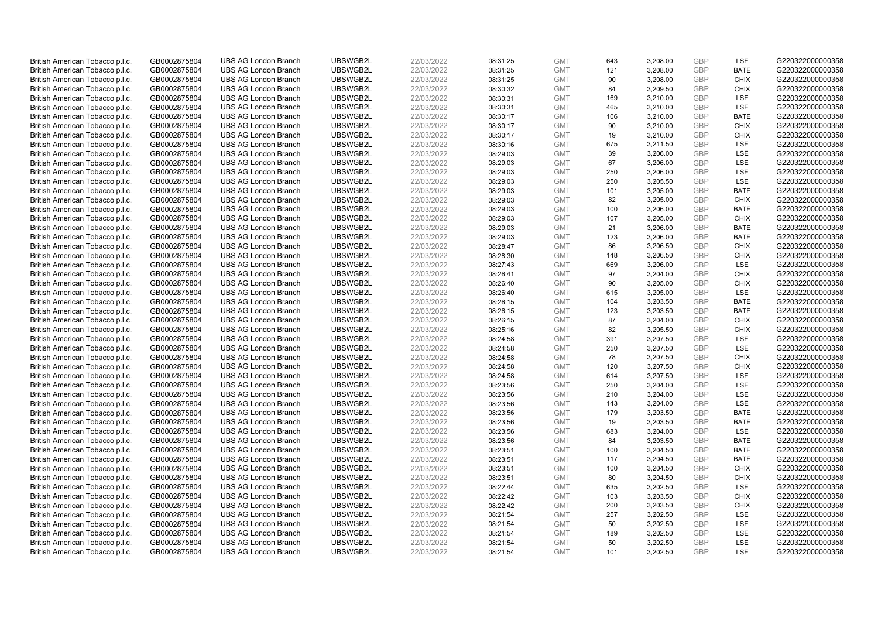| British American Tobacco p.l.c. | GB0002875804 | <b>UBS AG London Branch</b> | UBSWGB2L | 22/03/2022 | 08:31:25 | <b>GMT</b> | 643 | 3,208.00 | <b>GBP</b> | LSE         | G220322000000358 |
|---------------------------------|--------------|-----------------------------|----------|------------|----------|------------|-----|----------|------------|-------------|------------------|
| British American Tobacco p.l.c. | GB0002875804 | <b>UBS AG London Branch</b> | UBSWGB2L | 22/03/2022 | 08:31:25 | <b>GMT</b> | 121 | 3,208.00 | <b>GBP</b> | <b>BATE</b> | G220322000000358 |
| British American Tobacco p.l.c. | GB0002875804 | <b>UBS AG London Branch</b> | UBSWGB2L | 22/03/2022 | 08:31:25 | <b>GMT</b> | 90  | 3,208.00 | GBP        | <b>CHIX</b> | G220322000000358 |
| British American Tobacco p.l.c. | GB0002875804 | <b>UBS AG London Branch</b> | UBSWGB2L | 22/03/2022 | 08:30:32 | <b>GMT</b> | 84  | 3,209.50 | <b>GBP</b> | <b>CHIX</b> | G220322000000358 |
| British American Tobacco p.l.c. | GB0002875804 | <b>UBS AG London Branch</b> | UBSWGB2L | 22/03/2022 | 08:30:31 | <b>GMT</b> | 169 | 3,210.00 | GBP        | <b>LSE</b>  | G220322000000358 |
| British American Tobacco p.l.c. | GB0002875804 | <b>UBS AG London Branch</b> | UBSWGB2L | 22/03/2022 | 08:30:31 | <b>GMT</b> | 465 | 3,210.00 | <b>GBP</b> | <b>LSE</b>  | G220322000000358 |
| British American Tobacco p.l.c. | GB0002875804 | <b>UBS AG London Branch</b> | UBSWGB2L | 22/03/2022 | 08:30:17 | <b>GMT</b> | 106 | 3,210.00 | <b>GBP</b> | <b>BATE</b> | G220322000000358 |
| British American Tobacco p.l.c. | GB0002875804 | <b>UBS AG London Branch</b> | UBSWGB2L | 22/03/2022 | 08:30:17 | <b>GMT</b> | 90  | 3,210.00 | <b>GBP</b> | <b>CHIX</b> | G220322000000358 |
| British American Tobacco p.l.c. | GB0002875804 | <b>UBS AG London Branch</b> | UBSWGB2L | 22/03/2022 | 08:30:17 | <b>GMT</b> | 19  | 3,210.00 | GBP        | <b>CHIX</b> | G220322000000358 |
| British American Tobacco p.l.c. | GB0002875804 | <b>UBS AG London Branch</b> | UBSWGB2L | 22/03/2022 | 08:30:16 | <b>GMT</b> | 675 | 3,211.50 | <b>GBP</b> | LSE         | G220322000000358 |
| British American Tobacco p.l.c. | GB0002875804 | <b>UBS AG London Branch</b> | UBSWGB2L | 22/03/2022 | 08:29:03 | <b>GMT</b> | 39  | 3,206.00 | GBP        | <b>LSE</b>  | G220322000000358 |
| British American Tobacco p.l.c. | GB0002875804 | <b>UBS AG London Branch</b> | UBSWGB2L | 22/03/2022 | 08:29:03 | <b>GMT</b> | 67  | 3,206.00 | <b>GBP</b> | LSE         | G220322000000358 |
| British American Tobacco p.l.c. | GB0002875804 | <b>UBS AG London Branch</b> | UBSWGB2L | 22/03/2022 | 08:29:03 | <b>GMT</b> | 250 | 3,206.00 | <b>GBP</b> | LSE         | G220322000000358 |
| British American Tobacco p.l.c. | GB0002875804 | <b>UBS AG London Branch</b> | UBSWGB2L | 22/03/2022 | 08:29:03 | <b>GMT</b> | 250 | 3,205.50 | <b>GBP</b> | <b>LSE</b>  | G220322000000358 |
| British American Tobacco p.l.c. | GB0002875804 | <b>UBS AG London Branch</b> | UBSWGB2L | 22/03/2022 | 08:29:03 | <b>GMT</b> | 101 | 3,205.00 | GBP        | <b>BATE</b> | G220322000000358 |
| British American Tobacco p.l.c. | GB0002875804 | <b>UBS AG London Branch</b> | UBSWGB2L | 22/03/2022 | 08:29:03 | <b>GMT</b> | 82  | 3,205.00 | <b>GBP</b> | <b>CHIX</b> | G220322000000358 |
| British American Tobacco p.l.c. | GB0002875804 | <b>UBS AG London Branch</b> | UBSWGB2L | 22/03/2022 | 08:29:03 | <b>GMT</b> | 100 | 3,206.00 | <b>GBP</b> | <b>BATE</b> | G220322000000358 |
| British American Tobacco p.l.c. | GB0002875804 | <b>UBS AG London Branch</b> | UBSWGB2L | 22/03/2022 | 08:29:03 | <b>GMT</b> | 107 | 3,205.00 | <b>GBP</b> | <b>CHIX</b> | G220322000000358 |
| British American Tobacco p.l.c. | GB0002875804 | <b>UBS AG London Branch</b> | UBSWGB2L | 22/03/2022 | 08:29:03 | <b>GMT</b> | 21  | 3,206.00 | <b>GBP</b> | <b>BATE</b> | G220322000000358 |
| British American Tobacco p.l.c. | GB0002875804 | <b>UBS AG London Branch</b> | UBSWGB2L | 22/03/2022 | 08:29:03 | <b>GMT</b> | 123 | 3,206.00 | <b>GBP</b> | <b>BATE</b> | G220322000000358 |
| British American Tobacco p.l.c. | GB0002875804 | <b>UBS AG London Branch</b> | UBSWGB2L | 22/03/2022 | 08:28:47 | <b>GMT</b> | 86  | 3,206.50 | <b>GBP</b> | <b>CHIX</b> | G220322000000358 |
| British American Tobacco p.l.c. | GB0002875804 | <b>UBS AG London Branch</b> | UBSWGB2L | 22/03/2022 | 08:28:30 | <b>GMT</b> | 148 | 3,206.50 | <b>GBP</b> | <b>CHIX</b> | G220322000000358 |
| British American Tobacco p.l.c. | GB0002875804 | <b>UBS AG London Branch</b> | UBSWGB2L | 22/03/2022 | 08:27:43 | <b>GMT</b> | 669 | 3,206.00 | <b>GBP</b> | LSE         | G220322000000358 |
| British American Tobacco p.l.c. | GB0002875804 | <b>UBS AG London Branch</b> | UBSWGB2L | 22/03/2022 | 08:26:41 | <b>GMT</b> | 97  | 3,204.00 | GBP        | <b>CHIX</b> | G220322000000358 |
| British American Tobacco p.l.c. | GB0002875804 | <b>UBS AG London Branch</b> | UBSWGB2L | 22/03/2022 | 08:26:40 | <b>GMT</b> | 90  | 3,205.00 | GBP        | <b>CHIX</b> | G220322000000358 |
| British American Tobacco p.l.c. | GB0002875804 | <b>UBS AG London Branch</b> | UBSWGB2L | 22/03/2022 | 08:26:40 | <b>GMT</b> | 615 | 3,205.00 | <b>GBP</b> | <b>LSE</b>  | G220322000000358 |
| British American Tobacco p.l.c. | GB0002875804 | <b>UBS AG London Branch</b> | UBSWGB2L | 22/03/2022 | 08:26:15 | <b>GMT</b> | 104 | 3,203.50 | <b>GBP</b> | <b>BATE</b> | G220322000000358 |
| British American Tobacco p.l.c. | GB0002875804 | <b>UBS AG London Branch</b> | UBSWGB2L | 22/03/2022 | 08:26:15 | <b>GMT</b> | 123 | 3,203.50 | <b>GBP</b> | <b>BATE</b> | G220322000000358 |
| British American Tobacco p.l.c. | GB0002875804 | <b>UBS AG London Branch</b> | UBSWGB2L | 22/03/2022 | 08:26:15 | <b>GMT</b> | 87  | 3,204.00 | GBP        | <b>CHIX</b> | G220322000000358 |
| British American Tobacco p.l.c. | GB0002875804 | <b>UBS AG London Branch</b> | UBSWGB2L | 22/03/2022 | 08:25:16 | <b>GMT</b> | 82  | 3,205.50 | <b>GBP</b> | <b>CHIX</b> | G220322000000358 |
| British American Tobacco p.l.c. | GB0002875804 | <b>UBS AG London Branch</b> | UBSWGB2L | 22/03/2022 | 08:24:58 | <b>GMT</b> | 391 | 3,207.50 | GBP        | LSE         | G220322000000358 |
| British American Tobacco p.l.c. | GB0002875804 | <b>UBS AG London Branch</b> | UBSWGB2L | 22/03/2022 | 08:24:58 | <b>GMT</b> | 250 | 3,207.50 | <b>GBP</b> | <b>LSE</b>  | G220322000000358 |
| British American Tobacco p.l.c. | GB0002875804 | <b>UBS AG London Branch</b> | UBSWGB2L | 22/03/2022 | 08:24:58 | <b>GMT</b> | 78  | 3,207.50 | GBP        | CHIX        | G220322000000358 |
| British American Tobacco p.l.c. | GB0002875804 | <b>UBS AG London Branch</b> | UBSWGB2L | 22/03/2022 | 08:24:58 | <b>GMT</b> | 120 | 3,207.50 | <b>GBP</b> | <b>CHIX</b> | G220322000000358 |
| British American Tobacco p.l.c. | GB0002875804 | <b>UBS AG London Branch</b> | UBSWGB2L | 22/03/2022 | 08:24:58 | <b>GMT</b> | 614 | 3,207.50 | GBP        | LSE         | G220322000000358 |
| British American Tobacco p.l.c. | GB0002875804 | <b>UBS AG London Branch</b> | UBSWGB2L | 22/03/2022 | 08:23:56 | <b>GMT</b> | 250 | 3,204.00 | <b>GBP</b> | <b>LSE</b>  | G220322000000358 |
| British American Tobacco p.l.c. | GB0002875804 | <b>UBS AG London Branch</b> | UBSWGB2L | 22/03/2022 | 08:23:56 | <b>GMT</b> | 210 | 3.204.00 | GBP        | <b>LSE</b>  | G220322000000358 |
| British American Tobacco p.l.c. | GB0002875804 | <b>UBS AG London Branch</b> | UBSWGB2L | 22/03/2022 | 08:23:56 | <b>GMT</b> | 143 | 3,204.00 | <b>GBP</b> | LSE         | G220322000000358 |
| British American Tobacco p.l.c. | GB0002875804 | <b>UBS AG London Branch</b> | UBSWGB2L | 22/03/2022 | 08:23:56 | <b>GMT</b> | 179 | 3,203.50 | <b>GBP</b> | <b>BATE</b> | G220322000000358 |
| British American Tobacco p.l.c. | GB0002875804 | <b>UBS AG London Branch</b> | UBSWGB2L | 22/03/2022 | 08:23:56 | <b>GMT</b> | 19  | 3,203.50 | <b>GBP</b> | <b>BATE</b> | G220322000000358 |
| British American Tobacco p.l.c. | GB0002875804 | <b>UBS AG London Branch</b> | UBSWGB2L | 22/03/2022 | 08:23:56 | <b>GMT</b> | 683 | 3,204.00 | GBP        | LSE         | G220322000000358 |
| British American Tobacco p.l.c. | GB0002875804 | <b>UBS AG London Branch</b> | UBSWGB2L | 22/03/2022 | 08:23:56 | <b>GMT</b> | 84  | 3,203.50 | GBP        | <b>BATE</b> | G220322000000358 |
| British American Tobacco p.l.c. | GB0002875804 | <b>UBS AG London Branch</b> | UBSWGB2L | 22/03/2022 | 08:23:51 | <b>GMT</b> | 100 | 3,204.50 | <b>GBP</b> | <b>BATE</b> | G220322000000358 |
| British American Tobacco p.l.c. | GB0002875804 | <b>UBS AG London Branch</b> | UBSWGB2L | 22/03/2022 | 08:23:51 | <b>GMT</b> | 117 | 3,204.50 | GBP        | <b>BATE</b> | G220322000000358 |
| British American Tobacco p.l.c. | GB0002875804 | <b>UBS AG London Branch</b> | UBSWGB2L | 22/03/2022 | 08:23:51 | <b>GMT</b> | 100 | 3,204.50 | <b>GBP</b> | <b>CHIX</b> | G220322000000358 |
| British American Tobacco p.l.c. | GB0002875804 | <b>UBS AG London Branch</b> | UBSWGB2L | 22/03/2022 | 08:23:51 | <b>GMT</b> | 80  | 3,204.50 | GBP        | <b>CHIX</b> | G220322000000358 |
| British American Tobacco p.l.c. | GB0002875804 | <b>UBS AG London Branch</b> | UBSWGB2L | 22/03/2022 | 08:22:44 | <b>GMT</b> | 635 | 3,202.50 | <b>GBP</b> | LSE         | G220322000000358 |
| British American Tobacco p.l.c. | GB0002875804 | <b>UBS AG London Branch</b> | UBSWGB2L | 22/03/2022 | 08:22:42 | <b>GMT</b> | 103 | 3,203.50 | GBP        | <b>CHIX</b> | G220322000000358 |
| British American Tobacco p.l.c. | GB0002875804 | <b>UBS AG London Branch</b> | UBSWGB2L | 22/03/2022 | 08:22:42 | <b>GMT</b> | 200 | 3,203.50 | <b>GBP</b> | <b>CHIX</b> | G220322000000358 |
| British American Tobacco p.l.c. | GB0002875804 | <b>UBS AG London Branch</b> | UBSWGB2L | 22/03/2022 | 08:21:54 | <b>GMT</b> | 257 | 3,202.50 | <b>GBP</b> | <b>LSE</b>  | G220322000000358 |
| British American Tobacco p.l.c. | GB0002875804 | <b>UBS AG London Branch</b> | UBSWGB2L | 22/03/2022 | 08:21:54 | <b>GMT</b> | 50  | 3,202.50 | <b>GBP</b> | <b>LSE</b>  | G220322000000358 |
| British American Tobacco p.l.c. | GB0002875804 | <b>UBS AG London Branch</b> | UBSWGB2L | 22/03/2022 | 08:21:54 | <b>GMT</b> | 189 | 3,202.50 | <b>GBP</b> | LSE         | G220322000000358 |
| British American Tobacco p.l.c. | GB0002875804 | <b>UBS AG London Branch</b> | UBSWGB2L | 22/03/2022 | 08:21:54 | <b>GMT</b> | 50  | 3,202.50 | <b>GBP</b> | LSE         | G220322000000358 |
| British American Tobacco p.l.c. | GB0002875804 | <b>UBS AG London Branch</b> | UBSWGB2L | 22/03/2022 | 08:21:54 | <b>GMT</b> | 101 | 3,202.50 | GBP        | <b>LSE</b>  | G220322000000358 |
|                                 |              |                             |          |            |          |            |     |          |            |             |                  |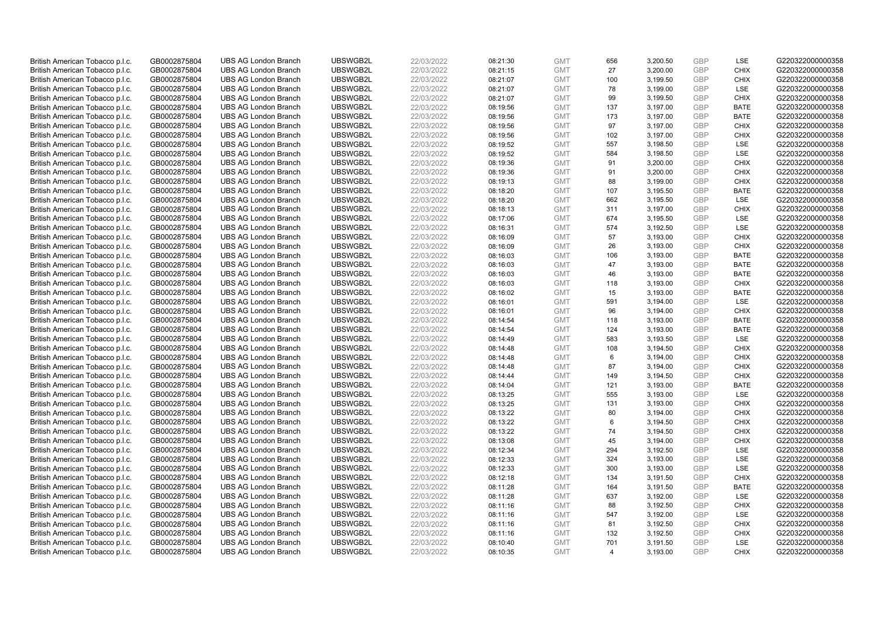| British American Tobacco p.l.c. | GB0002875804 | <b>UBS AG London Branch</b> | UBSWGB2L | 22/03/2022 |          | <b>GMT</b> | 656            | 3,200.50 | <b>GBP</b> | LSE         | G220322000000358 |
|---------------------------------|--------------|-----------------------------|----------|------------|----------|------------|----------------|----------|------------|-------------|------------------|
|                                 |              |                             |          |            | 08:21:30 |            |                |          |            |             |                  |
| British American Tobacco p.l.c. | GB0002875804 | <b>UBS AG London Branch</b> | UBSWGB2L | 22/03/2022 | 08:21:15 | <b>GMT</b> | 27             | 3,200.00 | <b>GBP</b> | <b>CHIX</b> | G220322000000358 |
| British American Tobacco p.l.c. | GB0002875804 | <b>UBS AG London Branch</b> | UBSWGB2L | 22/03/2022 | 08:21:07 | <b>GMT</b> | 100            | 3,199.50 | <b>GBP</b> | <b>CHIX</b> | G220322000000358 |
| British American Tobacco p.l.c. | GB0002875804 | <b>UBS AG London Branch</b> | UBSWGB2L | 22/03/2022 | 08:21:07 | <b>GMT</b> | 78             | 3,199.00 | <b>GBP</b> | LSE         | G220322000000358 |
| British American Tobacco p.l.c. | GB0002875804 | <b>UBS AG London Branch</b> | UBSWGB2L | 22/03/2022 | 08:21:07 | <b>GMT</b> | 99             | 3,199.50 | <b>GBP</b> | <b>CHIX</b> | G220322000000358 |
| British American Tobacco p.l.c. | GB0002875804 | <b>UBS AG London Branch</b> | UBSWGB2L | 22/03/2022 | 08:19:56 | <b>GMT</b> | 137            | 3,197.00 | <b>GBP</b> | <b>BATE</b> | G220322000000358 |
| British American Tobacco p.l.c. | GB0002875804 | <b>UBS AG London Branch</b> | UBSWGB2L | 22/03/2022 | 08:19:56 | <b>GMT</b> | 173            | 3,197.00 | <b>GBP</b> | <b>BATE</b> | G220322000000358 |
| British American Tobacco p.l.c. | GB0002875804 | <b>UBS AG London Branch</b> | UBSWGB2L | 22/03/2022 | 08:19:56 | <b>GMT</b> | 97             | 3,197.00 | <b>GBP</b> | <b>CHIX</b> | G220322000000358 |
| British American Tobacco p.l.c. | GB0002875804 | <b>UBS AG London Branch</b> | UBSWGB2L | 22/03/2022 | 08:19:56 | <b>GMT</b> | 102            | 3,197.00 | <b>GBP</b> | <b>CHIX</b> | G220322000000358 |
| British American Tobacco p.l.c. | GB0002875804 | <b>UBS AG London Branch</b> | UBSWGB2L | 22/03/2022 | 08:19:52 | <b>GMT</b> | 557            | 3,198.50 | <b>GBP</b> | LSE         | G220322000000358 |
| British American Tobacco p.l.c. | GB0002875804 | <b>UBS AG London Branch</b> | UBSWGB2L | 22/03/2022 | 08:19:52 | <b>GMT</b> | 584            | 3,198.50 | <b>GBP</b> | LSE         | G220322000000358 |
| British American Tobacco p.l.c. | GB0002875804 | <b>UBS AG London Branch</b> | UBSWGB2L | 22/03/2022 | 08:19:36 | <b>GMT</b> | 91             | 3,200.00 | <b>GBP</b> | <b>CHIX</b> | G220322000000358 |
| British American Tobacco p.l.c. | GB0002875804 | <b>UBS AG London Branch</b> | UBSWGB2L | 22/03/2022 | 08:19:36 | <b>GMT</b> | 91             | 3,200.00 | <b>GBP</b> | <b>CHIX</b> | G220322000000358 |
| British American Tobacco p.l.c. | GB0002875804 | <b>UBS AG London Branch</b> | UBSWGB2L | 22/03/2022 | 08:19:13 | <b>GMT</b> | 88             | 3,199.00 | <b>GBP</b> | <b>CHIX</b> | G220322000000358 |
| British American Tobacco p.l.c. | GB0002875804 | <b>UBS AG London Branch</b> | UBSWGB2L | 22/03/2022 | 08:18:20 | <b>GMT</b> | 107            | 3,195.50 | <b>GBP</b> | <b>BATE</b> | G220322000000358 |
| British American Tobacco p.l.c. | GB0002875804 | <b>UBS AG London Branch</b> | UBSWGB2L | 22/03/2022 | 08:18:20 | <b>GMT</b> | 662            | 3,195.50 | <b>GBP</b> | LSE         | G220322000000358 |
|                                 |              | <b>UBS AG London Branch</b> |          |            |          | <b>GMT</b> |                |          | <b>GBP</b> |             |                  |
| British American Tobacco p.l.c. | GB0002875804 |                             | UBSWGB2L | 22/03/2022 | 08:18:13 |            | 311            | 3,197.00 |            | <b>CHIX</b> | G220322000000358 |
| British American Tobacco p.l.c. | GB0002875804 | <b>UBS AG London Branch</b> | UBSWGB2L | 22/03/2022 | 08:17:06 | <b>GMT</b> | 674            | 3,195.50 | <b>GBP</b> | LSE         | G220322000000358 |
| British American Tobacco p.l.c. | GB0002875804 | <b>UBS AG London Branch</b> | UBSWGB2L | 22/03/2022 | 08:16:31 | <b>GMT</b> | 574            | 3,192.50 | <b>GBP</b> | <b>LSE</b>  | G220322000000358 |
| British American Tobacco p.l.c. | GB0002875804 | <b>UBS AG London Branch</b> | UBSWGB2L | 22/03/2022 | 08:16:09 | <b>GMT</b> | 57             | 3,193.00 | <b>GBP</b> | <b>CHIX</b> | G220322000000358 |
| British American Tobacco p.l.c. | GB0002875804 | <b>UBS AG London Branch</b> | UBSWGB2L | 22/03/2022 | 08:16:09 | <b>GMT</b> | 26             | 3,193.00 | <b>GBP</b> | <b>CHIX</b> | G220322000000358 |
| British American Tobacco p.l.c. | GB0002875804 | <b>UBS AG London Branch</b> | UBSWGB2L | 22/03/2022 | 08:16:03 | <b>GMT</b> | 106            | 3,193.00 | <b>GBP</b> | <b>BATE</b> | G220322000000358 |
| British American Tobacco p.l.c. | GB0002875804 | <b>UBS AG London Branch</b> | UBSWGB2L | 22/03/2022 | 08:16:03 | <b>GMT</b> | 47             | 3,193.00 | <b>GBP</b> | <b>BATE</b> | G220322000000358 |
| British American Tobacco p.l.c. | GB0002875804 | <b>UBS AG London Branch</b> | UBSWGB2L | 22/03/2022 | 08:16:03 | <b>GMT</b> | 46             | 3,193.00 | <b>GBP</b> | <b>BATE</b> | G220322000000358 |
| British American Tobacco p.l.c. | GB0002875804 | <b>UBS AG London Branch</b> | UBSWGB2L | 22/03/2022 | 08:16:03 | <b>GMT</b> | 118            | 3,193.00 | <b>GBP</b> | <b>CHIX</b> | G220322000000358 |
| British American Tobacco p.l.c. | GB0002875804 | <b>UBS AG London Branch</b> | UBSWGB2L | 22/03/2022 | 08:16:02 | <b>GMT</b> | 15             | 3,193.00 | <b>GBP</b> | <b>BATE</b> | G220322000000358 |
| British American Tobacco p.l.c. | GB0002875804 | <b>UBS AG London Branch</b> | UBSWGB2L | 22/03/2022 | 08:16:01 | <b>GMT</b> | 591            | 3,194.00 | <b>GBP</b> | LSE         | G220322000000358 |
| British American Tobacco p.l.c. | GB0002875804 | <b>UBS AG London Branch</b> | UBSWGB2L | 22/03/2022 | 08:16:01 | <b>GMT</b> | 96             | 3,194.00 | <b>GBP</b> | <b>CHIX</b> | G220322000000358 |
| British American Tobacco p.l.c. | GB0002875804 | <b>UBS AG London Branch</b> | UBSWGB2L | 22/03/2022 | 08:14:54 | <b>GMT</b> | 118            | 3,193.00 | <b>GBP</b> | <b>BATE</b> | G220322000000358 |
| British American Tobacco p.l.c. | GB0002875804 | <b>UBS AG London Branch</b> | UBSWGB2L | 22/03/2022 | 08:14:54 | <b>GMT</b> | 124            | 3,193.00 | <b>GBP</b> | <b>BATE</b> | G220322000000358 |
| British American Tobacco p.l.c. | GB0002875804 | <b>UBS AG London Branch</b> | UBSWGB2L | 22/03/2022 | 08:14:49 | <b>GMT</b> | 583            | 3,193.50 | <b>GBP</b> | LSE         | G220322000000358 |
| British American Tobacco p.l.c. | GB0002875804 | <b>UBS AG London Branch</b> | UBSWGB2L | 22/03/2022 | 08:14:48 | <b>GMT</b> | 108            | 3,194.50 | <b>GBP</b> | <b>CHIX</b> | G220322000000358 |
| British American Tobacco p.l.c. | GB0002875804 | <b>UBS AG London Branch</b> | UBSWGB2L | 22/03/2022 | 08:14:48 | <b>GMT</b> | 6              | 3,194.00 | <b>GBP</b> | <b>CHIX</b> | G220322000000358 |
| British American Tobacco p.l.c. | GB0002875804 | <b>UBS AG London Branch</b> | UBSWGB2L | 22/03/2022 | 08:14:48 | <b>GMT</b> | 87             | 3,194.00 | <b>GBP</b> | <b>CHIX</b> | G220322000000358 |
| British American Tobacco p.l.c. | GB0002875804 | <b>UBS AG London Branch</b> | UBSWGB2L | 22/03/2022 | 08:14:44 | <b>GMT</b> | 149            | 3,194.50 | <b>GBP</b> | <b>CHIX</b> | G220322000000358 |
| British American Tobacco p.l.c. | GB0002875804 | <b>UBS AG London Branch</b> | UBSWGB2L | 22/03/2022 | 08:14:04 | <b>GMT</b> | 121            | 3,193.00 | <b>GBP</b> | <b>BATE</b> | G220322000000358 |
| British American Tobacco p.l.c. | GB0002875804 | <b>UBS AG London Branch</b> | UBSWGB2L | 22/03/2022 | 08:13:25 | <b>GMT</b> | 555            | 3,193.00 | <b>GBP</b> | <b>LSE</b>  | G220322000000358 |
| British American Tobacco p.l.c. | GB0002875804 | <b>UBS AG London Branch</b> | UBSWGB2L | 22/03/2022 | 08:13:25 | <b>GMT</b> | 131            | 3,193.00 | <b>GBP</b> | <b>CHIX</b> | G220322000000358 |
| British American Tobacco p.l.c. | GB0002875804 | <b>UBS AG London Branch</b> | UBSWGB2L | 22/03/2022 | 08:13:22 | <b>GMT</b> | 80             | 3,194.00 | <b>GBP</b> | <b>CHIX</b> | G220322000000358 |
| British American Tobacco p.l.c. | GB0002875804 | <b>UBS AG London Branch</b> | UBSWGB2L | 22/03/2022 | 08:13:22 | <b>GMT</b> | 6              | 3,194.50 | <b>GBP</b> | <b>CHIX</b> | G220322000000358 |
| British American Tobacco p.l.c. | GB0002875804 | <b>UBS AG London Branch</b> | UBSWGB2L | 22/03/2022 | 08:13:22 | <b>GMT</b> | 74             | 3,194.50 | <b>GBP</b> | <b>CHIX</b> | G220322000000358 |
| British American Tobacco p.l.c. |              | <b>UBS AG London Branch</b> | UBSWGB2L | 22/03/2022 | 08:13:08 | <b>GMT</b> | 45             | 3,194.00 | <b>GBP</b> | <b>CHIX</b> | G220322000000358 |
|                                 | GB0002875804 |                             | UBSWGB2L | 22/03/2022 | 08:12:34 | <b>GMT</b> |                |          | <b>GBP</b> | LSE         | G220322000000358 |
| British American Tobacco p.l.c. | GB0002875804 | <b>UBS AG London Branch</b> |          |            |          |            | 294            | 3,192.50 |            |             |                  |
| British American Tobacco p.l.c. | GB0002875804 | <b>UBS AG London Branch</b> | UBSWGB2L | 22/03/2022 | 08:12:33 | <b>GMT</b> | 324            | 3,193.00 | <b>GBP</b> | LSE         | G220322000000358 |
| British American Tobacco p.l.c. | GB0002875804 | <b>UBS AG London Branch</b> | UBSWGB2L | 22/03/2022 | 08:12:33 | <b>GMT</b> | 300            | 3,193.00 | <b>GBP</b> | LSE         | G220322000000358 |
| British American Tobacco p.l.c. | GB0002875804 | <b>UBS AG London Branch</b> | UBSWGB2L | 22/03/2022 | 08:12:18 | <b>GMT</b> | 134            | 3,191.50 | <b>GBP</b> | <b>CHIX</b> | G220322000000358 |
| British American Tobacco p.l.c. | GB0002875804 | <b>UBS AG London Branch</b> | UBSWGB2L | 22/03/2022 | 08:11:28 | <b>GMT</b> | 164            | 3,191.50 | <b>GBP</b> | <b>BATE</b> | G220322000000358 |
| British American Tobacco p.l.c. | GB0002875804 | <b>UBS AG London Branch</b> | UBSWGB2L | 22/03/2022 | 08:11:28 | <b>GMT</b> | 637            | 3,192.00 | <b>GBP</b> | LSE         | G220322000000358 |
| British American Tobacco p.l.c. | GB0002875804 | <b>UBS AG London Branch</b> | UBSWGB2L | 22/03/2022 | 08:11:16 | <b>GMT</b> | 88             | 3,192.50 | <b>GBP</b> | <b>CHIX</b> | G220322000000358 |
| British American Tobacco p.l.c. | GB0002875804 | <b>UBS AG London Branch</b> | UBSWGB2L | 22/03/2022 | 08:11:16 | <b>GMT</b> | 547            | 3,192.00 | <b>GBP</b> | <b>LSE</b>  | G220322000000358 |
| British American Tobacco p.l.c. | GB0002875804 | <b>UBS AG London Branch</b> | UBSWGB2L | 22/03/2022 | 08:11:16 | <b>GMT</b> | 81             | 3,192.50 | <b>GBP</b> | <b>CHIX</b> | G220322000000358 |
| British American Tobacco p.l.c. | GB0002875804 | <b>UBS AG London Branch</b> | UBSWGB2L | 22/03/2022 | 08:11:16 | <b>GMT</b> | 132            | 3,192.50 | <b>GBP</b> | <b>CHIX</b> | G220322000000358 |
| British American Tobacco p.l.c. | GB0002875804 | <b>UBS AG London Branch</b> | UBSWGB2L | 22/03/2022 | 08:10:40 | <b>GMT</b> | 701            | 3,191.50 | <b>GBP</b> | <b>LSE</b>  | G220322000000358 |
| British American Tobacco p.l.c. | GB0002875804 | <b>UBS AG London Branch</b> | UBSWGB2L | 22/03/2022 | 08:10:35 | <b>GMT</b> | $\overline{4}$ | 3.193.00 | GBP        | <b>CHIX</b> | G220322000000358 |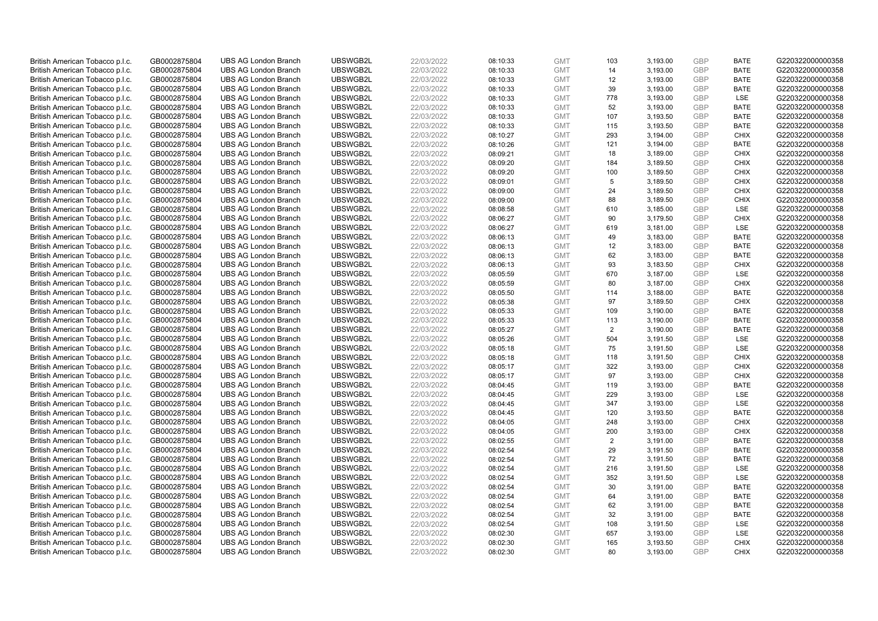| British American Tobacco p.l.c. | GB0002875804 | <b>UBS AG London Branch</b> | UBSWGB2L             | 22/03/2022 | 08:10:33 | <b>GMT</b> | 103            | 3,193.00 | <b>GBP</b> | <b>BATE</b>        | G220322000000358                     |
|---------------------------------|--------------|-----------------------------|----------------------|------------|----------|------------|----------------|----------|------------|--------------------|--------------------------------------|
| British American Tobacco p.l.c. | GB0002875804 | <b>UBS AG London Branch</b> | UBSWGB2L             | 22/03/2022 | 08:10:33 | <b>GMT</b> | 14             | 3,193.00 | <b>GBP</b> | <b>BATE</b>        | G220322000000358                     |
| British American Tobacco p.l.c. | GB0002875804 | <b>UBS AG London Branch</b> | UBSWGB2L             | 22/03/2022 | 08:10:33 | <b>GMT</b> | 12             | 3,193.00 | <b>GBP</b> | <b>BATE</b>        | G220322000000358                     |
| British American Tobacco p.l.c. | GB0002875804 | <b>UBS AG London Branch</b> | UBSWGB2L             | 22/03/2022 | 08:10:33 | <b>GMT</b> | 39             | 3,193.00 | <b>GBP</b> | <b>BATE</b>        | G220322000000358                     |
| British American Tobacco p.l.c. | GB0002875804 | <b>UBS AG London Branch</b> | UBSWGB2L             | 22/03/2022 | 08:10:33 | <b>GMT</b> | 778            | 3,193.00 | <b>GBP</b> | LSE                | G220322000000358                     |
| British American Tobacco p.l.c. | GB0002875804 | <b>UBS AG London Branch</b> | UBSWGB2L             | 22/03/2022 | 08:10:33 | <b>GMT</b> | 52             | 3,193.00 | <b>GBP</b> | <b>BATE</b>        | G220322000000358                     |
| British American Tobacco p.l.c. | GB0002875804 | <b>UBS AG London Branch</b> | UBSWGB2L             | 22/03/2022 | 08:10:33 | <b>GMT</b> | 107            | 3,193.50 | <b>GBP</b> | <b>BATE</b>        | G220322000000358                     |
| British American Tobacco p.l.c. | GB0002875804 | <b>UBS AG London Branch</b> | UBSWGB2L             | 22/03/2022 | 08:10:33 | <b>GMT</b> | 115            | 3,193.50 | <b>GBP</b> | <b>BATE</b>        | G220322000000358                     |
| British American Tobacco p.l.c. | GB0002875804 | <b>UBS AG London Branch</b> | UBSWGB2L             | 22/03/2022 | 08:10:27 | <b>GMT</b> | 293            | 3,194.00 | <b>GBP</b> | <b>CHIX</b>        | G220322000000358                     |
| British American Tobacco p.l.c. | GB0002875804 | <b>UBS AG London Branch</b> | UBSWGB2L             | 22/03/2022 | 08:10:26 | <b>GMT</b> | 121            | 3,194.00 | <b>GBP</b> | <b>BATE</b>        | G220322000000358                     |
| British American Tobacco p.l.c. | GB0002875804 | <b>UBS AG London Branch</b> | UBSWGB2L             | 22/03/2022 | 08:09:21 | <b>GMT</b> | 18             | 3,189.00 | <b>GBP</b> | <b>CHIX</b>        | G220322000000358                     |
| British American Tobacco p.l.c. | GB0002875804 | <b>UBS AG London Branch</b> | UBSWGB2L             | 22/03/2022 | 08:09:20 | <b>GMT</b> | 184            | 3,189.50 | <b>GBP</b> | <b>CHIX</b>        | G220322000000358                     |
| British American Tobacco p.l.c. | GB0002875804 | <b>UBS AG London Branch</b> | UBSWGB2L             | 22/03/2022 | 08:09:20 | <b>GMT</b> | 100            | 3,189.50 | <b>GBP</b> | <b>CHIX</b>        | G220322000000358                     |
| British American Tobacco p.l.c. | GB0002875804 | <b>UBS AG London Branch</b> | UBSWGB2L             | 22/03/2022 | 08:09:01 | <b>GMT</b> | 5              | 3,189.50 | <b>GBP</b> | <b>CHIX</b>        | G220322000000358                     |
| British American Tobacco p.l.c. | GB0002875804 | <b>UBS AG London Branch</b> | UBSWGB2L             | 22/03/2022 | 08:09:00 | <b>GMT</b> | 24             | 3,189.50 | <b>GBP</b> | <b>CHIX</b>        | G220322000000358                     |
| British American Tobacco p.l.c. | GB0002875804 | <b>UBS AG London Branch</b> | UBSWGB2L             | 22/03/2022 | 08:09:00 | <b>GMT</b> | 88             | 3,189.50 | <b>GBP</b> | <b>CHIX</b>        | G220322000000358                     |
| British American Tobacco p.l.c. | GB0002875804 | <b>UBS AG London Branch</b> | UBSWGB2L             | 22/03/2022 | 08:08:58 | <b>GMT</b> | 610            | 3,185.00 | <b>GBP</b> | LSE                | G220322000000358                     |
| British American Tobacco p.l.c. | GB0002875804 | <b>UBS AG London Branch</b> | UBSWGB2L             | 22/03/2022 | 08:06:27 | <b>GMT</b> | 90             | 3,179.50 | <b>GBP</b> | <b>CHIX</b>        | G220322000000358                     |
| British American Tobacco p.l.c. | GB0002875804 | <b>UBS AG London Branch</b> | UBSWGB2L             | 22/03/2022 | 08:06:27 | <b>GMT</b> | 619            | 3,181.00 | <b>GBP</b> | <b>LSE</b>         | G220322000000358                     |
| British American Tobacco p.l.c. | GB0002875804 | <b>UBS AG London Branch</b> | UBSWGB2L             | 22/03/2022 | 08:06:13 | <b>GMT</b> | 49             | 3,183.00 | <b>GBP</b> | <b>BATE</b>        | G220322000000358                     |
| British American Tobacco p.l.c. | GB0002875804 | <b>UBS AG London Branch</b> | UBSWGB2L             | 22/03/2022 | 08:06:13 | <b>GMT</b> | 12             | 3,183.00 | <b>GBP</b> | <b>BATE</b>        | G220322000000358                     |
| British American Tobacco p.l.c. | GB0002875804 | <b>UBS AG London Branch</b> | UBSWGB2L             | 22/03/2022 | 08:06:13 | <b>GMT</b> | 62             | 3,183.00 | <b>GBP</b> | <b>BATE</b>        | G220322000000358                     |
| British American Tobacco p.l.c. | GB0002875804 | <b>UBS AG London Branch</b> | UBSWGB2L             | 22/03/2022 | 08:06:13 | <b>GMT</b> | 93             | 3,183.50 | <b>GBP</b> | <b>CHIX</b>        | G220322000000358                     |
| British American Tobacco p.l.c. | GB0002875804 | <b>UBS AG London Branch</b> | UBSWGB2L             | 22/03/2022 | 08:05:59 | <b>GMT</b> | 670            | 3,187.00 | <b>GBP</b> | <b>LSE</b>         | G220322000000358                     |
| British American Tobacco p.l.c. | GB0002875804 | <b>UBS AG London Branch</b> | UBSWGB2L             | 22/03/2022 | 08:05:59 | <b>GMT</b> | 80             | 3,187.00 | <b>GBP</b> | <b>CHIX</b>        | G220322000000358                     |
| British American Tobacco p.l.c. | GB0002875804 | <b>UBS AG London Branch</b> | UBSWGB2L             | 22/03/2022 | 08:05:50 | <b>GMT</b> | 114            | 3,188.00 | <b>GBP</b> | <b>BATE</b>        | G220322000000358                     |
| British American Tobacco p.l.c. | GB0002875804 | <b>UBS AG London Branch</b> | UBSWGB2L             | 22/03/2022 | 08:05:38 | <b>GMT</b> | 97             | 3,189.50 | <b>GBP</b> | <b>CHIX</b>        | G220322000000358                     |
| British American Tobacco p.l.c. | GB0002875804 | <b>UBS AG London Branch</b> | UBSWGB2L             | 22/03/2022 | 08:05:33 | <b>GMT</b> | 109            | 3,190.00 | <b>GBP</b> | <b>BATE</b>        | G220322000000358                     |
| British American Tobacco p.l.c. | GB0002875804 | <b>UBS AG London Branch</b> | UBSWGB2L             | 22/03/2022 | 08:05:33 | <b>GMT</b> | 113            | 3,190.00 | <b>GBP</b> | <b>BATE</b>        | G220322000000358                     |
| British American Tobacco p.l.c. | GB0002875804 | <b>UBS AG London Branch</b> | UBSWGB2L             | 22/03/2022 | 08:05:27 | <b>GMT</b> | $\overline{2}$ | 3,190.00 | <b>GBP</b> | <b>BATE</b>        | G220322000000358                     |
| British American Tobacco p.l.c. | GB0002875804 | <b>UBS AG London Branch</b> | UBSWGB2L             | 22/03/2022 | 08:05:26 | <b>GMT</b> | 504            | 3,191.50 | <b>GBP</b> | LSE                | G220322000000358                     |
| British American Tobacco p.l.c. | GB0002875804 | <b>UBS AG London Branch</b> | UBSWGB2L             | 22/03/2022 | 08:05:18 | <b>GMT</b> | 75             | 3,191.50 | <b>GBP</b> | LSE                | G220322000000358                     |
| British American Tobacco p.l.c. | GB0002875804 | <b>UBS AG London Branch</b> | UBSWGB2L             | 22/03/2022 | 08:05:18 | <b>GMT</b> | 118            | 3,191.50 | <b>GBP</b> | <b>CHIX</b>        | G220322000000358                     |
| British American Tobacco p.l.c. | GB0002875804 | <b>UBS AG London Branch</b> | UBSWGB2L             | 22/03/2022 | 08:05:17 | <b>GMT</b> | 322            | 3,193.00 | <b>GBP</b> | <b>CHIX</b>        | G220322000000358                     |
| British American Tobacco p.l.c. | GB0002875804 | <b>UBS AG London Branch</b> | UBSWGB2L             | 22/03/2022 | 08:05:17 | <b>GMT</b> | 97             | 3,193.00 | <b>GBP</b> | <b>CHIX</b>        | G220322000000358                     |
| British American Tobacco p.l.c. | GB0002875804 | <b>UBS AG London Branch</b> | UBSWGB2L             | 22/03/2022 |          | <b>GMT</b> | 119            |          | <b>GBP</b> | <b>BATE</b>        | G220322000000358                     |
| British American Tobacco p.l.c. |              | <b>UBS AG London Branch</b> | UBSWGB2L             | 22/03/2022 | 08:04:45 | <b>GMT</b> | 229            | 3,193.00 | <b>GBP</b> | <b>LSE</b>         | G220322000000358                     |
|                                 | GB0002875804 |                             |                      |            | 08:04:45 |            |                | 3,193.00 |            |                    |                                      |
| British American Tobacco p.l.c. | GB0002875804 | <b>UBS AG London Branch</b> | UBSWGB2L<br>UBSWGB2L | 22/03/2022 | 08:04:45 | <b>GMT</b> | 347            | 3,193.00 | <b>GBP</b> | LSE<br><b>BATE</b> | G220322000000358<br>G220322000000358 |
| British American Tobacco p.l.c. | GB0002875804 | <b>UBS AG London Branch</b> |                      | 22/03/2022 | 08:04:45 | <b>GMT</b> | 120            | 3,193.50 | <b>GBP</b> |                    |                                      |
| British American Tobacco p.l.c. | GB0002875804 | <b>UBS AG London Branch</b> | UBSWGB2L             | 22/03/2022 | 08:04:05 | <b>GMT</b> | 248            | 3,193.00 | <b>GBP</b> | <b>CHIX</b>        | G220322000000358                     |
| British American Tobacco p.l.c. | GB0002875804 | <b>UBS AG London Branch</b> | UBSWGB2L             | 22/03/2022 | 08:04:05 | <b>GMT</b> | 200            | 3,193.00 | <b>GBP</b> | <b>CHIX</b>        | G220322000000358                     |
| British American Tobacco p.l.c. | GB0002875804 | <b>UBS AG London Branch</b> | UBSWGB2L             | 22/03/2022 | 08:02:55 | <b>GMT</b> | 2              | 3,191.00 | <b>GBP</b> | <b>BATE</b>        | G220322000000358                     |
| British American Tobacco p.l.c. | GB0002875804 | <b>UBS AG London Branch</b> | UBSWGB2L             | 22/03/2022 | 08:02:54 | <b>GMT</b> | 29             | 3,191.50 | <b>GBP</b> | <b>BATE</b>        | G220322000000358                     |
| British American Tobacco p.l.c. | GB0002875804 | <b>UBS AG London Branch</b> | UBSWGB2L             | 22/03/2022 | 08:02:54 | <b>GMT</b> | 72             | 3,191.50 | <b>GBP</b> | <b>BATE</b>        | G220322000000358                     |
| British American Tobacco p.l.c. | GB0002875804 | <b>UBS AG London Branch</b> | UBSWGB2L             | 22/03/2022 | 08:02:54 | <b>GMT</b> | 216            | 3,191.50 | <b>GBP</b> | <b>LSE</b>         | G220322000000358                     |
| British American Tobacco p.l.c. | GB0002875804 | <b>UBS AG London Branch</b> | UBSWGB2L             | 22/03/2022 | 08:02:54 | <b>GMT</b> | 352            | 3,191.50 | <b>GBP</b> | LSE                | G220322000000358                     |
| British American Tobacco p.l.c. | GB0002875804 | <b>UBS AG London Branch</b> | UBSWGB2L             | 22/03/2022 | 08:02:54 | <b>GMT</b> | 30             | 3,191.00 | <b>GBP</b> | <b>BATE</b>        | G220322000000358                     |
| British American Tobacco p.l.c. | GB0002875804 | <b>UBS AG London Branch</b> | UBSWGB2L             | 22/03/2022 | 08:02:54 | <b>GMT</b> | 64             | 3,191.00 | <b>GBP</b> | <b>BATE</b>        | G220322000000358                     |
| British American Tobacco p.l.c. | GB0002875804 | <b>UBS AG London Branch</b> | UBSWGB2L             | 22/03/2022 | 08:02:54 | <b>GMT</b> | 62             | 3,191.00 | <b>GBP</b> | <b>BATE</b>        | G220322000000358                     |
| British American Tobacco p.l.c. | GB0002875804 | <b>UBS AG London Branch</b> | UBSWGB2L             | 22/03/2022 | 08:02:54 | <b>GMT</b> | 32             | 3,191.00 | <b>GBP</b> | <b>BATE</b>        | G220322000000358                     |
| British American Tobacco p.l.c. | GB0002875804 | <b>UBS AG London Branch</b> | UBSWGB2L             | 22/03/2022 | 08:02:54 | <b>GMT</b> | 108            | 3,191.50 | <b>GBP</b> | LSE                | G220322000000358                     |
| British American Tobacco p.l.c. | GB0002875804 | <b>UBS AG London Branch</b> | UBSWGB2L             | 22/03/2022 | 08:02:30 | <b>GMT</b> | 657            | 3,193.00 | <b>GBP</b> | LSE                | G220322000000358                     |
| British American Tobacco p.l.c. | GB0002875804 | <b>UBS AG London Branch</b> | UBSWGB2L             | 22/03/2022 | 08:02:30 | <b>GMT</b> | 165            | 3,193.50 | <b>GBP</b> | <b>CHIX</b>        | G220322000000358                     |
| British American Tobacco p.l.c. | GB0002875804 | <b>UBS AG London Branch</b> | UBSWGB2L             | 22/03/2022 | 08:02:30 | <b>GMT</b> | 80             | 3.193.00 | GBP        | <b>CHIX</b>        | G220322000000358                     |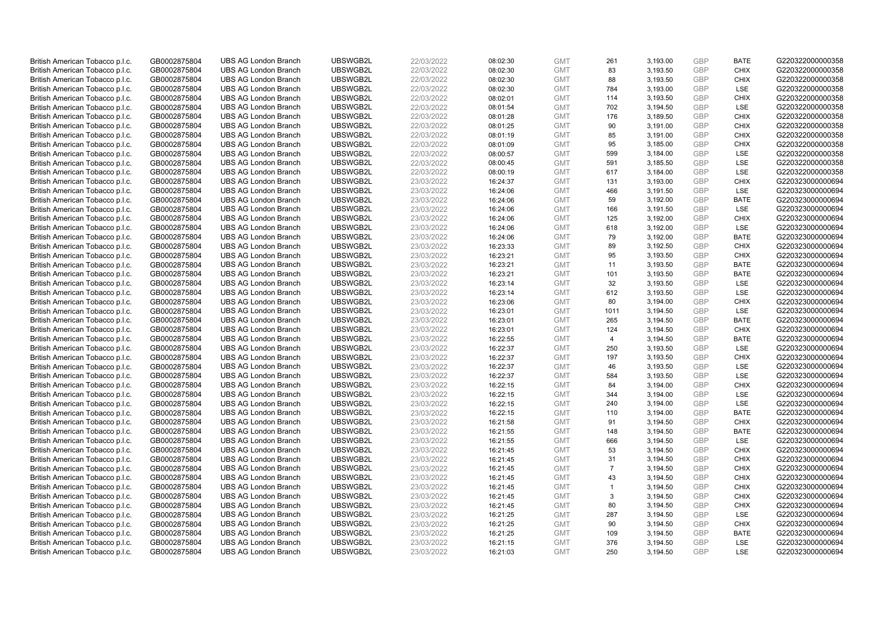| British American Tobacco p.l.c. | GB0002875804 | <b>UBS AG London Branch</b> | UBSWGB2L | 22/03/2022 | 08:02:30 | <b>GMT</b> | 261            | 3,193.00 | <b>GBP</b> | <b>BATE</b> | G220322000000358 |
|---------------------------------|--------------|-----------------------------|----------|------------|----------|------------|----------------|----------|------------|-------------|------------------|
| British American Tobacco p.l.c. | GB0002875804 | <b>UBS AG London Branch</b> | UBSWGB2L | 22/03/2022 | 08:02:30 | <b>GMT</b> | 83             | 3,193.50 | GBP        | <b>CHIX</b> | G220322000000358 |
| British American Tobacco p.l.c. | GB0002875804 | <b>UBS AG London Branch</b> | UBSWGB2L | 22/03/2022 | 08:02:30 | <b>GMT</b> | 88             | 3,193.50 | <b>GBP</b> | <b>CHIX</b> | G220322000000358 |
| British American Tobacco p.l.c. | GB0002875804 | <b>UBS AG London Branch</b> | UBSWGB2L | 22/03/2022 | 08:02:30 | <b>GMT</b> | 784            | 3,193.00 | GBP        | LSE         | G220322000000358 |
| British American Tobacco p.l.c. | GB0002875804 | <b>UBS AG London Branch</b> | UBSWGB2L | 22/03/2022 | 08:02:01 | <b>GMT</b> | 114            | 3,193.50 | <b>GBP</b> | <b>CHIX</b> | G220322000000358 |
| British American Tobacco p.l.c. | GB0002875804 | <b>UBS AG London Branch</b> | UBSWGB2L | 22/03/2022 | 08:01:54 | <b>GMT</b> | 702            | 3,194.50 | GBP        | <b>LSE</b>  | G220322000000358 |
| British American Tobacco p.l.c. | GB0002875804 | <b>UBS AG London Branch</b> | UBSWGB2L | 22/03/2022 | 08:01:28 | <b>GMT</b> | 176            | 3,189.50 | <b>GBP</b> | <b>CHIX</b> | G220322000000358 |
| British American Tobacco p.l.c. | GB0002875804 | <b>UBS AG London Branch</b> | UBSWGB2L | 22/03/2022 | 08:01:25 | <b>GMT</b> | 90             | 3,191.00 | GBP        | <b>CHIX</b> | G220322000000358 |
| British American Tobacco p.l.c. | GB0002875804 | <b>UBS AG London Branch</b> | UBSWGB2L | 22/03/2022 | 08:01:19 | <b>GMT</b> | 85             | 3,191.00 | <b>GBP</b> | <b>CHIX</b> | G220322000000358 |
| British American Tobacco p.l.c. | GB0002875804 | <b>UBS AG London Branch</b> | UBSWGB2L | 22/03/2022 | 08:01:09 | <b>GMT</b> | 95             | 3,185.00 | GBP        | <b>CHIX</b> | G220322000000358 |
| British American Tobacco p.l.c. | GB0002875804 | <b>UBS AG London Branch</b> | UBSWGB2L | 22/03/2022 | 08:00:57 | <b>GMT</b> | 599            | 3,184.00 | <b>GBP</b> | LSE         | G220322000000358 |
| British American Tobacco p.l.c. | GB0002875804 | <b>UBS AG London Branch</b> | UBSWGB2L | 22/03/2022 | 08:00:45 | <b>GMT</b> | 591            | 3,185.50 | GBP        | LSE         | G220322000000358 |
| British American Tobacco p.l.c. | GB0002875804 | <b>UBS AG London Branch</b> | UBSWGB2L | 22/03/2022 | 08:00:19 | <b>GMT</b> | 617            | 3,184.00 | GBP        | LSE         | G220322000000358 |
| British American Tobacco p.l.c. | GB0002875804 | <b>UBS AG London Branch</b> | UBSWGB2L | 23/03/2022 | 16:24:37 | <b>GMT</b> | 131            | 3,193.00 | GBP        | <b>CHIX</b> | G220323000000694 |
| British American Tobacco p.l.c. | GB0002875804 | <b>UBS AG London Branch</b> | UBSWGB2L | 23/03/2022 | 16:24:06 | <b>GMT</b> | 466            | 3,191.50 | GBP        | LSE         | G220323000000694 |
| British American Tobacco p.l.c. | GB0002875804 | <b>UBS AG London Branch</b> | UBSWGB2L | 23/03/2022 | 16:24:06 | <b>GMT</b> | 59             | 3,192.00 | <b>GBP</b> | <b>BATE</b> | G220323000000694 |
| British American Tobacco p.l.c. | GB0002875804 | <b>UBS AG London Branch</b> | UBSWGB2L | 23/03/2022 | 16:24:06 | <b>GMT</b> | 166            | 3,191.50 | <b>GBP</b> | <b>LSE</b>  | G220323000000694 |
| British American Tobacco p.l.c. | GB0002875804 | <b>UBS AG London Branch</b> | UBSWGB2L | 23/03/2022 | 16:24:06 | <b>GMT</b> | 125            | 3,192.00 | GBP        | <b>CHIX</b> | G220323000000694 |
| British American Tobacco p.l.c. | GB0002875804 | <b>UBS AG London Branch</b> | UBSWGB2L | 23/03/2022 | 16:24:06 | <b>GMT</b> | 618            | 3,192.00 | <b>GBP</b> | <b>LSE</b>  | G220323000000694 |
| British American Tobacco p.l.c. | GB0002875804 | <b>UBS AG London Branch</b> | UBSWGB2L | 23/03/2022 | 16:24:06 | <b>GMT</b> | 79             | 3,192.00 | <b>GBP</b> | <b>BATE</b> | G220323000000694 |
| British American Tobacco p.l.c. | GB0002875804 | <b>UBS AG London Branch</b> | UBSWGB2L | 23/03/2022 | 16:23:33 | <b>GMT</b> | 89             | 3,192.50 | <b>GBP</b> | <b>CHIX</b> | G220323000000694 |
| British American Tobacco p.l.c. | GB0002875804 | <b>UBS AG London Branch</b> | UBSWGB2L | 23/03/2022 | 16:23:21 | <b>GMT</b> | 95             | 3,193.50 | GBP        | <b>CHIX</b> | G220323000000694 |
| British American Tobacco p.l.c. | GB0002875804 | <b>UBS AG London Branch</b> | UBSWGB2L | 23/03/2022 | 16:23:21 | <b>GMT</b> | 11             | 3,193.50 | <b>GBP</b> | <b>BATE</b> | G220323000000694 |
| British American Tobacco p.l.c. | GB0002875804 | <b>UBS AG London Branch</b> | UBSWGB2L | 23/03/2022 | 16:23:21 | <b>GMT</b> | 101            | 3,193.50 | <b>GBP</b> | <b>BATE</b> | G220323000000694 |
| British American Tobacco p.l.c. | GB0002875804 | <b>UBS AG London Branch</b> | UBSWGB2L | 23/03/2022 | 16:23:14 | <b>GMT</b> | 32             | 3,193.50 | <b>GBP</b> | <b>LSE</b>  | G220323000000694 |
| British American Tobacco p.l.c. | GB0002875804 | <b>UBS AG London Branch</b> | UBSWGB2L | 23/03/2022 | 16:23:14 | <b>GMT</b> | 612            | 3,193.50 | <b>GBP</b> | LSE         | G220323000000694 |
| British American Tobacco p.l.c. | GB0002875804 | <b>UBS AG London Branch</b> | UBSWGB2L | 23/03/2022 | 16:23:06 | <b>GMT</b> | 80             | 3,194.00 | <b>GBP</b> | <b>CHIX</b> | G220323000000694 |
| British American Tobacco p.l.c. | GB0002875804 | <b>UBS AG London Branch</b> | UBSWGB2L | 23/03/2022 | 16:23:01 | <b>GMT</b> | 1011           | 3,194.50 | <b>GBP</b> | LSE         | G220323000000694 |
| British American Tobacco p.l.c. | GB0002875804 | <b>UBS AG London Branch</b> | UBSWGB2L | 23/03/2022 | 16:23:01 | <b>GMT</b> | 265            | 3,194.50 | <b>GBP</b> | <b>BATE</b> | G220323000000694 |
| British American Tobacco p.l.c. | GB0002875804 | <b>UBS AG London Branch</b> | UBSWGB2L | 23/03/2022 | 16:23:01 | <b>GMT</b> | 124            | 3,194.50 | <b>GBP</b> | <b>CHIX</b> | G220323000000694 |
| British American Tobacco p.l.c. | GB0002875804 | <b>UBS AG London Branch</b> | UBSWGB2L | 23/03/2022 | 16:22:55 | <b>GMT</b> | $\overline{4}$ | 3,194.50 | <b>GBP</b> | <b>BATE</b> | G220323000000694 |
| British American Tobacco p.l.c. | GB0002875804 | <b>UBS AG London Branch</b> | UBSWGB2L | 23/03/2022 | 16:22:37 | <b>GMT</b> | 250            | 3,193.50 | <b>GBP</b> | <b>LSE</b>  | G220323000000694 |
| British American Tobacco p.l.c. | GB0002875804 | <b>UBS AG London Branch</b> | UBSWGB2L | 23/03/2022 | 16:22:37 | <b>GMT</b> | 197            | 3,193.50 | <b>GBP</b> | <b>CHIX</b> | G220323000000694 |
| British American Tobacco p.l.c. | GB0002875804 | <b>UBS AG London Branch</b> | UBSWGB2L | 23/03/2022 | 16:22:37 | <b>GMT</b> | 46             | 3,193.50 | <b>GBP</b> | <b>LSE</b>  | G220323000000694 |
| British American Tobacco p.l.c. | GB0002875804 | <b>UBS AG London Branch</b> | UBSWGB2L | 23/03/2022 | 16:22:37 | <b>GMT</b> | 584            | 3,193.50 | <b>GBP</b> | <b>LSE</b>  | G220323000000694 |
| British American Tobacco p.l.c. | GB0002875804 | <b>UBS AG London Branch</b> | UBSWGB2L | 23/03/2022 | 16:22:15 | <b>GMT</b> | 84             | 3,194.00 | <b>GBP</b> | <b>CHIX</b> | G220323000000694 |
| British American Tobacco p.l.c. | GB0002875804 | <b>UBS AG London Branch</b> | UBSWGB2L | 23/03/2022 | 16:22:15 | <b>GMT</b> | 344            | 3.194.00 | <b>GBP</b> | <b>LSE</b>  | G220323000000694 |
| British American Tobacco p.l.c. | GB0002875804 | <b>UBS AG London Branch</b> | UBSWGB2L | 23/03/2022 | 16:22:15 | <b>GMT</b> | 240            | 3,194.00 | <b>GBP</b> | LSE         | G220323000000694 |
| British American Tobacco p.l.c. | GB0002875804 | <b>UBS AG London Branch</b> | UBSWGB2L | 23/03/2022 | 16:22:15 | <b>GMT</b> | 110            | 3,194.00 | <b>GBP</b> | <b>BATE</b> | G220323000000694 |
| British American Tobacco p.l.c. | GB0002875804 | <b>UBS AG London Branch</b> | UBSWGB2L | 23/03/2022 | 16:21:58 | <b>GMT</b> | 91             | 3,194.50 | <b>GBP</b> | <b>CHIX</b> | G220323000000694 |
| British American Tobacco p.l.c. | GB0002875804 | <b>UBS AG London Branch</b> | UBSWGB2L | 23/03/2022 | 16:21:55 | <b>GMT</b> | 148            | 3,194.50 | GBP        | <b>BATE</b> | G220323000000694 |
| British American Tobacco p.l.c. | GB0002875804 | <b>UBS AG London Branch</b> | UBSWGB2L | 23/03/2022 | 16:21:55 | <b>GMT</b> | 666            | 3,194.50 | <b>GBP</b> | LSE         | G220323000000694 |
| British American Tobacco p.l.c. | GB0002875804 | <b>UBS AG London Branch</b> | UBSWGB2L | 23/03/2022 | 16:21:45 | <b>GMT</b> | 53             | 3,194.50 | <b>GBP</b> | <b>CHIX</b> | G220323000000694 |
| British American Tobacco p.l.c. | GB0002875804 | <b>UBS AG London Branch</b> | UBSWGB2L | 23/03/2022 | 16:21:45 | <b>GMT</b> | 31             | 3,194.50 | <b>GBP</b> | <b>CHIX</b> | G220323000000694 |
| British American Tobacco p.l.c. | GB0002875804 | <b>UBS AG London Branch</b> | UBSWGB2L | 23/03/2022 | 16:21:45 | <b>GMT</b> | $\overline{7}$ | 3,194.50 | GBP        | <b>CHIX</b> | G220323000000694 |
| British American Tobacco p.l.c. | GB0002875804 | <b>UBS AG London Branch</b> | UBSWGB2L | 23/03/2022 | 16:21:45 | <b>GMT</b> | 43             | 3,194.50 | <b>GBP</b> | <b>CHIX</b> | G220323000000694 |
| British American Tobacco p.l.c. | GB0002875804 | <b>UBS AG London Branch</b> | UBSWGB2L | 23/03/2022 | 16:21:45 | <b>GMT</b> | $\mathbf{1}$   | 3,194.50 | GBP        | <b>CHIX</b> | G220323000000694 |
| British American Tobacco p.l.c. | GB0002875804 | <b>UBS AG London Branch</b> | UBSWGB2L | 23/03/2022 | 16:21:45 | <b>GMT</b> | 3              | 3,194.50 | GBP        | <b>CHIX</b> | G220323000000694 |
| British American Tobacco p.l.c. | GB0002875804 | <b>UBS AG London Branch</b> | UBSWGB2L | 23/03/2022 | 16:21:45 | <b>GMT</b> | 80             | 3,194.50 | GBP        | <b>CHIX</b> | G220323000000694 |
| British American Tobacco p.l.c. | GB0002875804 | <b>UBS AG London Branch</b> | UBSWGB2L | 23/03/2022 | 16:21:25 | <b>GMT</b> | 287            | 3,194.50 | GBP        | <b>LSE</b>  | G220323000000694 |
| British American Tobacco p.l.c. | GB0002875804 | <b>UBS AG London Branch</b> | UBSWGB2L | 23/03/2022 | 16:21:25 | <b>GMT</b> | 90             | 3,194.50 | <b>GBP</b> | <b>CHIX</b> | G220323000000694 |
| British American Tobacco p.l.c. | GB0002875804 | <b>UBS AG London Branch</b> | UBSWGB2L | 23/03/2022 | 16:21:25 | <b>GMT</b> | 109            | 3,194.50 | <b>GBP</b> | <b>BATE</b> | G220323000000694 |
| British American Tobacco p.l.c. | GB0002875804 | <b>UBS AG London Branch</b> | UBSWGB2L | 23/03/2022 | 16:21:15 | <b>GMT</b> | 376            | 3,194.50 | GBP        | LSE         | G220323000000694 |
| British American Tobacco p.l.c. | GB0002875804 | <b>UBS AG London Branch</b> | UBSWGB2L | 23/03/2022 | 16:21:03 | <b>GMT</b> | 250            | 3,194.50 | GBP        | <b>LSE</b>  | G220323000000694 |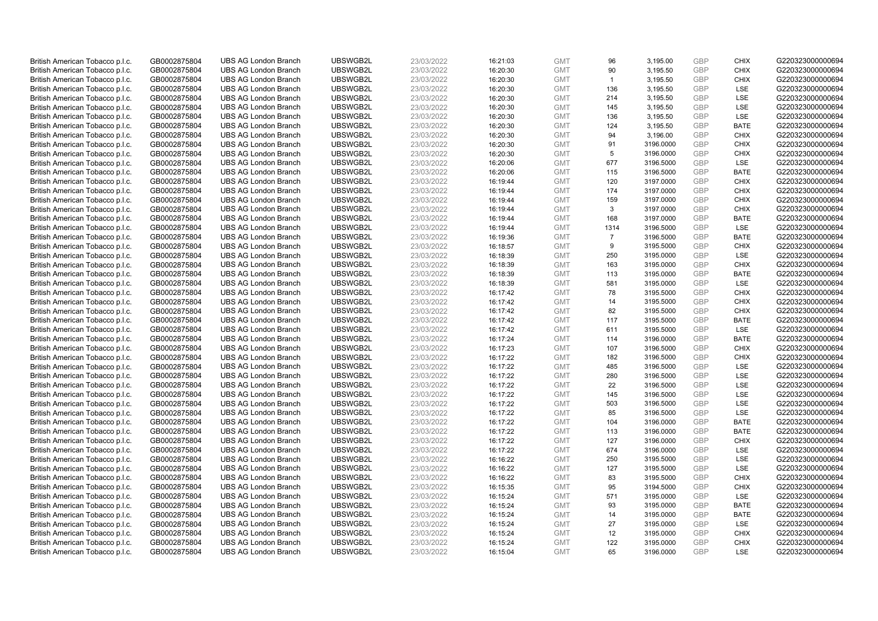| British American Tobacco p.l.c. | GB0002875804 | <b>UBS AG London Branch</b> | UBSWGB2L | 23/03/2022 | 16:21:03 | <b>GMT</b> | 96             | 3,195.00  | <b>GBP</b> | <b>CHIX</b> | G220323000000694 |
|---------------------------------|--------------|-----------------------------|----------|------------|----------|------------|----------------|-----------|------------|-------------|------------------|
| British American Tobacco p.l.c. | GB0002875804 | <b>UBS AG London Branch</b> | UBSWGB2L | 23/03/2022 | 16:20:30 | <b>GMT</b> | 90             | 3,195.50  | GBP        | <b>CHIX</b> | G220323000000694 |
| British American Tobacco p.l.c. | GB0002875804 | <b>UBS AG London Branch</b> | UBSWGB2L | 23/03/2022 | 16:20:30 | <b>GMT</b> | $\overline{1}$ | 3,195.50  | GBP        | <b>CHIX</b> | G220323000000694 |
| British American Tobacco p.l.c. | GB0002875804 | <b>UBS AG London Branch</b> | UBSWGB2L | 23/03/2022 | 16:20:30 | <b>GMT</b> | 136            | 3,195.50  | GBP        | <b>LSE</b>  | G220323000000694 |
| British American Tobacco p.l.c. | GB0002875804 | <b>UBS AG London Branch</b> | UBSWGB2L | 23/03/2022 | 16:20:30 | <b>GMT</b> | 214            | 3,195.50  | <b>GBP</b> | LSE         | G220323000000694 |
| British American Tobacco p.l.c. | GB0002875804 | <b>UBS AG London Branch</b> | UBSWGB2L | 23/03/2022 | 16:20:30 | <b>GMT</b> | 145            | 3,195.50  | <b>GBP</b> | LSE         | G220323000000694 |
| British American Tobacco p.l.c. | GB0002875804 | <b>UBS AG London Branch</b> | UBSWGB2L | 23/03/2022 | 16:20:30 | <b>GMT</b> | 136            | 3,195.50  | GBP        | LSE         | G220323000000694 |
| British American Tobacco p.l.c. | GB0002875804 | <b>UBS AG London Branch</b> | UBSWGB2L | 23/03/2022 | 16:20:30 | <b>GMT</b> | 124            | 3,195.50  | GBP        | <b>BATE</b> | G220323000000694 |
| British American Tobacco p.l.c. | GB0002875804 | <b>UBS AG London Branch</b> | UBSWGB2L | 23/03/2022 | 16:20:30 | <b>GMT</b> | 94             | 3,196.00  | GBP        | <b>CHIX</b> | G220323000000694 |
| British American Tobacco p.l.c. | GB0002875804 | <b>UBS AG London Branch</b> | UBSWGB2L | 23/03/2022 | 16:20:30 | <b>GMT</b> | 91             | 3196.0000 | <b>GBP</b> | <b>CHIX</b> | G220323000000694 |
| British American Tobacco p.l.c. | GB0002875804 | <b>UBS AG London Branch</b> | UBSWGB2L | 23/03/2022 | 16:20:30 | <b>GMT</b> | 5              | 3196.0000 | GBP        | <b>CHIX</b> | G220323000000694 |
| British American Tobacco p.l.c. | GB0002875804 | <b>UBS AG London Branch</b> | UBSWGB2L | 23/03/2022 | 16:20:06 | <b>GMT</b> | 677            | 3196.5000 | <b>GBP</b> | LSE         | G220323000000694 |
| British American Tobacco p.l.c. | GB0002875804 | <b>UBS AG London Branch</b> | UBSWGB2L | 23/03/2022 | 16:20:06 | <b>GMT</b> | 115            | 3196.5000 | <b>GBP</b> | <b>BATE</b> | G220323000000694 |
| British American Tobacco p.l.c. | GB0002875804 | <b>UBS AG London Branch</b> | UBSWGB2L | 23/03/2022 | 16:19:44 | <b>GMT</b> | 120            | 3197.0000 | <b>GBP</b> | <b>CHIX</b> | G220323000000694 |
| British American Tobacco p.l.c. | GB0002875804 | <b>UBS AG London Branch</b> | UBSWGB2L | 23/03/2022 | 16:19:44 | <b>GMT</b> | 174            | 3197.0000 | <b>GBP</b> | <b>CHIX</b> | G220323000000694 |
| British American Tobacco p.l.c. | GB0002875804 | <b>UBS AG London Branch</b> | UBSWGB2L | 23/03/2022 | 16:19:44 | <b>GMT</b> | 159            | 3197.0000 | GBP        | <b>CHIX</b> | G220323000000694 |
| British American Tobacco p.l.c. | GB0002875804 | <b>UBS AG London Branch</b> | UBSWGB2L | 23/03/2022 | 16:19:44 | <b>GMT</b> | 3              | 3197.0000 | GBP        | <b>CHIX</b> | G220323000000694 |
| British American Tobacco p.l.c. | GB0002875804 | <b>UBS AG London Branch</b> | UBSWGB2L | 23/03/2022 | 16:19:44 | <b>GMT</b> | 168            | 3197.0000 | GBP        | <b>BATE</b> | G220323000000694 |
| British American Tobacco p.l.c. | GB0002875804 | <b>UBS AG London Branch</b> | UBSWGB2L | 23/03/2022 | 16:19:44 | <b>GMT</b> | 1314           | 3196.5000 | <b>GBP</b> | <b>LSE</b>  | G220323000000694 |
| British American Tobacco p.l.c. | GB0002875804 | <b>UBS AG London Branch</b> | UBSWGB2L | 23/03/2022 | 16:19:36 | <b>GMT</b> | $\overline{7}$ | 3196.5000 | GBP        | <b>BATE</b> | G220323000000694 |
| British American Tobacco p.l.c. | GB0002875804 | <b>UBS AG London Branch</b> | UBSWGB2L | 23/03/2022 | 16:18:57 | <b>GMT</b> | 9              | 3195.5000 | <b>GBP</b> | <b>CHIX</b> | G220323000000694 |
| British American Tobacco p.l.c. | GB0002875804 | <b>UBS AG London Branch</b> | UBSWGB2L | 23/03/2022 | 16:18:39 | <b>GMT</b> | 250            | 3195.0000 | GBP        | LSE         | G220323000000694 |
| British American Tobacco p.l.c. | GB0002875804 | <b>UBS AG London Branch</b> | UBSWGB2L | 23/03/2022 | 16:18:39 | <b>GMT</b> | 163            | 3195.0000 | <b>GBP</b> | <b>CHIX</b> | G220323000000694 |
| British American Tobacco p.l.c. | GB0002875804 | <b>UBS AG London Branch</b> | UBSWGB2L | 23/03/2022 | 16:18:39 | <b>GMT</b> | 113            | 3195.0000 | GBP        | <b>BATE</b> | G220323000000694 |
| British American Tobacco p.l.c. | GB0002875804 | <b>UBS AG London Branch</b> | UBSWGB2L | 23/03/2022 | 16:18:39 | <b>GMT</b> | 581            | 3195.0000 | <b>GBP</b> | LSE         | G220323000000694 |
| British American Tobacco p.l.c. | GB0002875804 | <b>UBS AG London Branch</b> | UBSWGB2L | 23/03/2022 | 16:17:42 | <b>GMT</b> | 78             | 3195.5000 | GBP        | <b>CHIX</b> | G220323000000694 |
| British American Tobacco p.l.c. | GB0002875804 | <b>UBS AG London Branch</b> | UBSWGB2L | 23/03/2022 | 16:17:42 | <b>GMT</b> | 14             | 3195.5000 | <b>GBP</b> | <b>CHIX</b> | G220323000000694 |
| British American Tobacco p.l.c. | GB0002875804 | <b>UBS AG London Branch</b> | UBSWGB2L | 23/03/2022 | 16:17:42 | <b>GMT</b> | 82             | 3195.5000 | GBP        | <b>CHIX</b> | G220323000000694 |
| British American Tobacco p.l.c. | GB0002875804 | <b>UBS AG London Branch</b> | UBSWGB2L | 23/03/2022 | 16:17:42 | <b>GMT</b> | 117            | 3195.5000 | GBP        | <b>BATE</b> | G220323000000694 |
| British American Tobacco p.l.c. | GB0002875804 | <b>UBS AG London Branch</b> | UBSWGB2L | 23/03/2022 | 16:17:42 | <b>GMT</b> | 611            | 3195.5000 | GBP        | LSE         | G220323000000694 |
| British American Tobacco p.l.c. | GB0002875804 | <b>UBS AG London Branch</b> | UBSWGB2L | 23/03/2022 | 16:17:24 | <b>GMT</b> | 114            | 3196.0000 | GBP        | <b>BATE</b> | G220323000000694 |
| British American Tobacco p.l.c. | GB0002875804 | <b>UBS AG London Branch</b> | UBSWGB2L | 23/03/2022 | 16:17:23 | <b>GMT</b> | 107            | 3196.5000 | GBP        | <b>CHIX</b> | G220323000000694 |
| British American Tobacco p.l.c. | GB0002875804 | <b>UBS AG London Branch</b> | UBSWGB2L | 23/03/2022 | 16:17:22 | <b>GMT</b> | 182            | 3196.5000 | <b>GBP</b> | <b>CHIX</b> | G220323000000694 |
| British American Tobacco p.l.c. | GB0002875804 | <b>UBS AG London Branch</b> | UBSWGB2L | 23/03/2022 | 16:17:22 | <b>GMT</b> | 485            | 3196.5000 | GBP        | LSE         | G220323000000694 |
| British American Tobacco p.l.c. | GB0002875804 | <b>UBS AG London Branch</b> | UBSWGB2L | 23/03/2022 | 16:17:22 | <b>GMT</b> | 280            | 3196.5000 | GBP        | LSE         | G220323000000694 |
| British American Tobacco p.l.c. | GB0002875804 | <b>UBS AG London Branch</b> | UBSWGB2L | 23/03/2022 | 16:17:22 | <b>GMT</b> | 22             | 3196.5000 | <b>GBP</b> | LSE         | G220323000000694 |
| British American Tobacco p.l.c. | GB0002875804 | <b>UBS AG London Branch</b> | UBSWGB2L | 23/03/2022 | 16:17:22 | <b>GMT</b> | 145            | 3196.5000 | GBP        | LSE         | G220323000000694 |
| British American Tobacco p.l.c. | GB0002875804 | <b>UBS AG London Branch</b> | UBSWGB2L | 23/03/2022 | 16:17:22 | <b>GMT</b> | 503            | 3196.5000 | <b>GBP</b> | LSE         | G220323000000694 |
| British American Tobacco p.l.c. | GB0002875804 | <b>UBS AG London Branch</b> | UBSWGB2L | 23/03/2022 | 16:17:22 | <b>GMT</b> | 85             | 3196.5000 | GBP        | LSE         | G220323000000694 |
| British American Tobacco p.l.c. | GB0002875804 | <b>UBS AG London Branch</b> | UBSWGB2L | 23/03/2022 | 16:17:22 | <b>GMT</b> | 104            | 3196.0000 | <b>GBP</b> | <b>BATE</b> | G220323000000694 |
| British American Tobacco p.l.c. | GB0002875804 | <b>UBS AG London Branch</b> | UBSWGB2L | 23/03/2022 | 16:17:22 | <b>GMT</b> | 113            | 3196.0000 | <b>GBP</b> | <b>BATE</b> | G220323000000694 |
| British American Tobacco p.l.c. | GB0002875804 | <b>UBS AG London Branch</b> | UBSWGB2L | 23/03/2022 | 16:17:22 | <b>GMT</b> | 127            | 3196.0000 | GBP        | <b>CHIX</b> | G220323000000694 |
| British American Tobacco p.l.c. | GB0002875804 | <b>UBS AG London Branch</b> | UBSWGB2L | 23/03/2022 | 16:17:22 | <b>GMT</b> | 674            | 3196.0000 | GBP        | LSE         | G220323000000694 |
| British American Tobacco p.l.c. | GB0002875804 | <b>UBS AG London Branch</b> | UBSWGB2L | 23/03/2022 | 16:16:22 | <b>GMT</b> | 250            | 3195.5000 | GBP        | <b>LSE</b>  | G220323000000694 |
| British American Tobacco p.l.c. | GB0002875804 | <b>UBS AG London Branch</b> | UBSWGB2L | 23/03/2022 | 16:16:22 | <b>GMT</b> | 127            | 3195.5000 | GBP        | <b>LSE</b>  | G220323000000694 |
| British American Tobacco p.l.c. | GB0002875804 | <b>UBS AG London Branch</b> | UBSWGB2L | 23/03/2022 | 16:16:22 | <b>GMT</b> | 83             | 3195.5000 | <b>GBP</b> | <b>CHIX</b> | G220323000000694 |
| British American Tobacco p.l.c. | GB0002875804 | <b>UBS AG London Branch</b> | UBSWGB2L | 23/03/2022 | 16:15:35 | <b>GMT</b> | 95             | 3194.5000 | <b>GBP</b> | <b>CHIX</b> | G220323000000694 |
| British American Tobacco p.l.c. | GB0002875804 | <b>UBS AG London Branch</b> | UBSWGB2L | 23/03/2022 | 16:15:24 | <b>GMT</b> | 571            | 3195.0000 | GBP        | LSE         | G220323000000694 |
| British American Tobacco p.l.c. | GB0002875804 | <b>UBS AG London Branch</b> | UBSWGB2L | 23/03/2022 | 16:15:24 | <b>GMT</b> | 93             | 3195.0000 | GBP        | <b>BATE</b> | G220323000000694 |
| British American Tobacco p.l.c. | GB0002875804 | <b>UBS AG London Branch</b> | UBSWGB2L | 23/03/2022 | 16:15:24 | <b>GMT</b> | 14             | 3195.0000 | GBP        | <b>BATE</b> | G220323000000694 |
| British American Tobacco p.l.c. | GB0002875804 | <b>UBS AG London Branch</b> | UBSWGB2L | 23/03/2022 | 16:15:24 | <b>GMT</b> | 27             | 3195.0000 | <b>GBP</b> | LSE         | G220323000000694 |
| British American Tobacco p.l.c. | GB0002875804 | <b>UBS AG London Branch</b> | UBSWGB2L | 23/03/2022 | 16:15:24 | <b>GMT</b> | 12             | 3195.0000 | <b>GBP</b> | <b>CHIX</b> | G220323000000694 |
| British American Tobacco p.l.c. | GB0002875804 | <b>UBS AG London Branch</b> | UBSWGB2L | 23/03/2022 | 16:15:24 | <b>GMT</b> | 122            | 3195.0000 | GBP        | <b>CHIX</b> | G220323000000694 |
| British American Tobacco p.l.c. | GB0002875804 | <b>UBS AG London Branch</b> | UBSWGB2L | 23/03/2022 | 16:15:04 | <b>GMT</b> | 65             | 3196.0000 | GBP        | <b>LSE</b>  | G220323000000694 |
|                                 |              |                             |          |            |          |            |                |           |            |             |                  |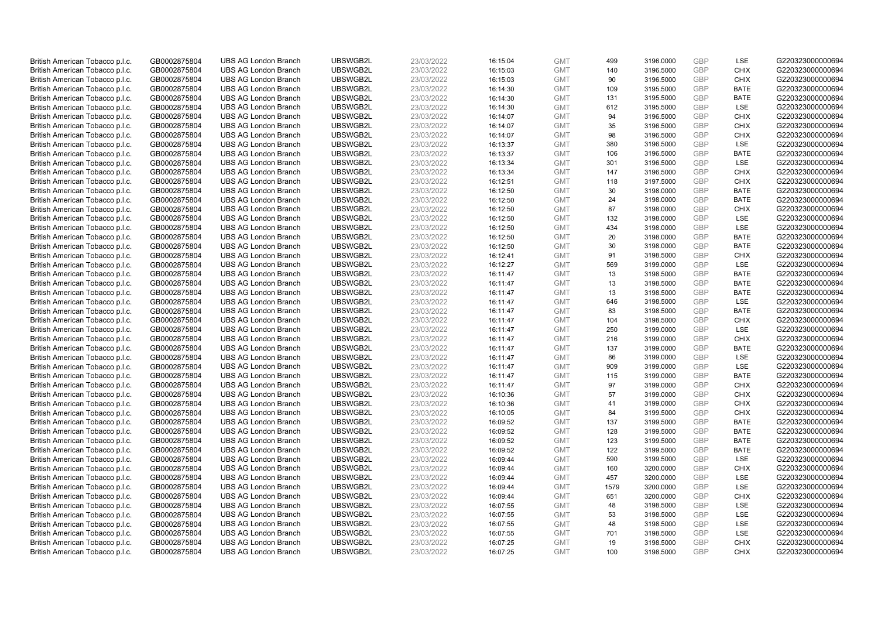| British American Tobacco p.l.c. | GB0002875804 | <b>UBS AG London Branch</b> | UBSWGB2L | 23/03/2022 | 16:15:04 | <b>GMT</b> | 499  | 3196.0000 | <b>GBP</b> | LSE         | G220323000000694 |
|---------------------------------|--------------|-----------------------------|----------|------------|----------|------------|------|-----------|------------|-------------|------------------|
| British American Tobacco p.l.c. | GB0002875804 | <b>UBS AG London Branch</b> | UBSWGB2L | 23/03/2022 | 16:15:03 | <b>GMT</b> | 140  | 3196.5000 | <b>GBP</b> | <b>CHIX</b> | G220323000000694 |
| British American Tobacco p.l.c. | GB0002875804 | <b>UBS AG London Branch</b> | UBSWGB2L | 23/03/2022 | 16:15:03 | <b>GMT</b> | 90   | 3196.5000 | <b>GBP</b> | <b>CHIX</b> | G220323000000694 |
| British American Tobacco p.l.c. | GB0002875804 | <b>UBS AG London Branch</b> | UBSWGB2L | 23/03/2022 | 16:14:30 | <b>GMT</b> | 109  | 3195.5000 | <b>GBP</b> | <b>BATE</b> | G220323000000694 |
| British American Tobacco p.l.c. | GB0002875804 | <b>UBS AG London Branch</b> | UBSWGB2L | 23/03/2022 | 16:14:30 | <b>GMT</b> | 131  | 3195.5000 | <b>GBP</b> | <b>BATE</b> | G220323000000694 |
| British American Tobacco p.l.c. | GB0002875804 | <b>UBS AG London Branch</b> | UBSWGB2L | 23/03/2022 | 16:14:30 | <b>GMT</b> | 612  | 3195.5000 | <b>GBP</b> | <b>LSE</b>  | G220323000000694 |
| British American Tobacco p.l.c. | GB0002875804 | <b>UBS AG London Branch</b> | UBSWGB2L | 23/03/2022 | 16:14:07 | <b>GMT</b> | 94   | 3196.5000 | <b>GBP</b> | <b>CHIX</b> | G220323000000694 |
| British American Tobacco p.l.c. | GB0002875804 | <b>UBS AG London Branch</b> | UBSWGB2L | 23/03/2022 | 16:14:07 | <b>GMT</b> | 35   | 3196.5000 | <b>GBP</b> | <b>CHIX</b> | G220323000000694 |
| British American Tobacco p.l.c. | GB0002875804 | <b>UBS AG London Branch</b> | UBSWGB2L | 23/03/2022 | 16:14:07 | <b>GMT</b> | 98   | 3196.5000 | <b>GBP</b> | <b>CHIX</b> | G220323000000694 |
| British American Tobacco p.l.c. | GB0002875804 | <b>UBS AG London Branch</b> | UBSWGB2L | 23/03/2022 | 16:13:37 | <b>GMT</b> | 380  | 3196.5000 | <b>GBP</b> | LSE         | G220323000000694 |
| British American Tobacco p.l.c. | GB0002875804 | <b>UBS AG London Branch</b> | UBSWGB2L | 23/03/2022 | 16:13:37 | <b>GMT</b> | 106  | 3196.5000 | <b>GBP</b> | <b>BATE</b> | G220323000000694 |
| British American Tobacco p.l.c. | GB0002875804 | <b>UBS AG London Branch</b> | UBSWGB2L | 23/03/2022 | 16:13:34 | <b>GMT</b> | 301  | 3196.5000 | <b>GBP</b> | LSE         | G220323000000694 |
| British American Tobacco p.l.c. | GB0002875804 | <b>UBS AG London Branch</b> | UBSWGB2L | 23/03/2022 | 16:13:34 | <b>GMT</b> | 147  | 3196.5000 | <b>GBP</b> | <b>CHIX</b> | G220323000000694 |
| British American Tobacco p.l.c. | GB0002875804 | <b>UBS AG London Branch</b> | UBSWGB2L | 23/03/2022 | 16:12:51 | <b>GMT</b> | 118  | 3197.5000 | <b>GBP</b> | <b>CHIX</b> | G220323000000694 |
| British American Tobacco p.l.c. | GB0002875804 | <b>UBS AG London Branch</b> | UBSWGB2L | 23/03/2022 | 16:12:50 | <b>GMT</b> | 30   | 3198.0000 | GBP        | <b>BATE</b> | G220323000000694 |
| British American Tobacco p.l.c. | GB0002875804 | <b>UBS AG London Branch</b> | UBSWGB2L | 23/03/2022 | 16:12:50 | <b>GMT</b> | 24   | 3198.0000 | <b>GBP</b> | <b>BATE</b> | G220323000000694 |
| British American Tobacco p.l.c. | GB0002875804 | <b>UBS AG London Branch</b> | UBSWGB2L | 23/03/2022 | 16:12:50 | <b>GMT</b> | 87   | 3198.0000 | GBP        | <b>CHIX</b> | G220323000000694 |
| British American Tobacco p.l.c. | GB0002875804 | <b>UBS AG London Branch</b> | UBSWGB2L | 23/03/2022 | 16:12:50 | <b>GMT</b> | 132  | 3198.0000 | GBP        | LSE         | G220323000000694 |
| British American Tobacco p.l.c. | GB0002875804 | <b>UBS AG London Branch</b> | UBSWGB2L | 23/03/2022 | 16:12:50 | <b>GMT</b> | 434  | 3198.0000 | <b>GBP</b> | <b>LSE</b>  | G220323000000694 |
| British American Tobacco p.l.c. | GB0002875804 | <b>UBS AG London Branch</b> | UBSWGB2L | 23/03/2022 | 16:12:50 | <b>GMT</b> | 20   | 3198.0000 | <b>GBP</b> | <b>BATE</b> | G220323000000694 |
| British American Tobacco p.l.c. | GB0002875804 | <b>UBS AG London Branch</b> | UBSWGB2L | 23/03/2022 | 16:12:50 | <b>GMT</b> | 30   | 3198.0000 | <b>GBP</b> | <b>BATE</b> | G220323000000694 |
| British American Tobacco p.l.c. | GB0002875804 | <b>UBS AG London Branch</b> | UBSWGB2L | 23/03/2022 | 16:12:41 | <b>GMT</b> | 91   | 3198.5000 | GBP        | <b>CHIX</b> | G220323000000694 |
| British American Tobacco p.l.c. | GB0002875804 | <b>UBS AG London Branch</b> | UBSWGB2L | 23/03/2022 | 16:12:27 | <b>GMT</b> | 569  | 3199.0000 | <b>GBP</b> | LSE         | G220323000000694 |
| British American Tobacco p.l.c. | GB0002875804 | <b>UBS AG London Branch</b> | UBSWGB2L | 23/03/2022 | 16:11:47 | <b>GMT</b> | 13   | 3198.5000 | GBP        | <b>BATE</b> | G220323000000694 |
| British American Tobacco p.l.c. | GB0002875804 | <b>UBS AG London Branch</b> | UBSWGB2L | 23/03/2022 | 16:11:47 | <b>GMT</b> | 13   | 3198.5000 | <b>GBP</b> | <b>BATE</b> | G220323000000694 |
| British American Tobacco p.l.c. | GB0002875804 | <b>UBS AG London Branch</b> | UBSWGB2L | 23/03/2022 | 16:11:47 | <b>GMT</b> | 13   | 3198.5000 | GBP        | <b>BATE</b> | G220323000000694 |
| British American Tobacco p.l.c. | GB0002875804 | <b>UBS AG London Branch</b> | UBSWGB2L | 23/03/2022 | 16:11:47 | <b>GMT</b> | 646  | 3198.5000 | <b>GBP</b> | LSE         | G220323000000694 |
| British American Tobacco p.l.c. | GB0002875804 | <b>UBS AG London Branch</b> | UBSWGB2L | 23/03/2022 | 16:11:47 | <b>GMT</b> | 83   | 3198.5000 | GBP        | <b>BATE</b> | G220323000000694 |
| British American Tobacco p.l.c. | GB0002875804 | <b>UBS AG London Branch</b> | UBSWGB2L | 23/03/2022 | 16:11:47 | <b>GMT</b> | 104  | 3198.5000 | <b>GBP</b> | <b>CHIX</b> | G220323000000694 |
| British American Tobacco p.l.c. | GB0002875804 | <b>UBS AG London Branch</b> | UBSWGB2L | 23/03/2022 | 16:11:47 | <b>GMT</b> | 250  | 3199.0000 | GBP        | LSE         | G220323000000694 |
| British American Tobacco p.l.c. | GB0002875804 | <b>UBS AG London Branch</b> | UBSWGB2L | 23/03/2022 | 16:11:47 | <b>GMT</b> | 216  | 3199.0000 | <b>GBP</b> | <b>CHIX</b> | G220323000000694 |
| British American Tobacco p.l.c. | GB0002875804 | <b>UBS AG London Branch</b> | UBSWGB2L | 23/03/2022 | 16:11:47 | <b>GMT</b> | 137  | 3199.0000 | GBP        | <b>BATE</b> | G220323000000694 |
| British American Tobacco p.l.c. | GB0002875804 | <b>UBS AG London Branch</b> | UBSWGB2L | 23/03/2022 | 16:11:47 | <b>GMT</b> | 86   | 3199.0000 | <b>GBP</b> | LSE         | G220323000000694 |
| British American Tobacco p.l.c. | GB0002875804 | <b>UBS AG London Branch</b> | UBSWGB2L | 23/03/2022 | 16:11:47 | <b>GMT</b> | 909  | 3199.0000 | <b>GBP</b> | LSE         | G220323000000694 |
| British American Tobacco p.l.c. | GB0002875804 | <b>UBS AG London Branch</b> | UBSWGB2L | 23/03/2022 | 16:11:47 | <b>GMT</b> | 115  | 3199.0000 | GBP        | <b>BATE</b> | G220323000000694 |
| British American Tobacco p.l.c. | GB0002875804 | <b>UBS AG London Branch</b> | UBSWGB2L | 23/03/2022 | 16:11:47 | <b>GMT</b> | 97   | 3199.0000 | <b>GBP</b> | <b>CHIX</b> | G220323000000694 |
| British American Tobacco p.l.c. | GB0002875804 | <b>UBS AG London Branch</b> | UBSWGB2L | 23/03/2022 | 16:10:36 | <b>GMT</b> | 57   | 3199.0000 | GBP        | <b>CHIX</b> | G220323000000694 |
| British American Tobacco p.l.c. | GB0002875804 | <b>UBS AG London Branch</b> | UBSWGB2L | 23/03/2022 | 16:10:36 | <b>GMT</b> | 41   | 3199.0000 | <b>GBP</b> | <b>CHIX</b> | G220323000000694 |
| British American Tobacco p.l.c. | GB0002875804 | <b>UBS AG London Branch</b> | UBSWGB2L | 23/03/2022 | 16:10:05 | <b>GMT</b> | 84   | 3199.5000 | GBP        | <b>CHIX</b> | G220323000000694 |
| British American Tobacco p.l.c. | GB0002875804 | <b>UBS AG London Branch</b> | UBSWGB2L | 23/03/2022 | 16:09:52 | <b>GMT</b> | 137  | 3199.5000 | <b>GBP</b> | <b>BATE</b> | G220323000000694 |
| British American Tobacco p.l.c. | GB0002875804 | <b>UBS AG London Branch</b> | UBSWGB2L | 23/03/2022 | 16:09:52 | <b>GMT</b> | 128  | 3199.5000 | GBP        | <b>BATE</b> | G220323000000694 |
| British American Tobacco p.l.c. | GB0002875804 | <b>UBS AG London Branch</b> | UBSWGB2L | 23/03/2022 | 16:09:52 | <b>GMT</b> | 123  | 3199.5000 | <b>GBP</b> | <b>BATE</b> | G220323000000694 |
| British American Tobacco p.l.c. | GB0002875804 | <b>UBS AG London Branch</b> | UBSWGB2L | 23/03/2022 | 16:09:52 | <b>GMT</b> | 122  | 3199.5000 | GBP        | <b>BATE</b> | G220323000000694 |
| British American Tobacco p.l.c. | GB0002875804 | <b>UBS AG London Branch</b> | UBSWGB2L | 23/03/2022 | 16:09:44 | <b>GMT</b> | 590  | 3199.5000 | <b>GBP</b> | LSE         | G220323000000694 |
| British American Tobacco p.l.c. | GB0002875804 | <b>UBS AG London Branch</b> | UBSWGB2L | 23/03/2022 | 16:09:44 | <b>GMT</b> | 160  | 3200.0000 | <b>GBP</b> | <b>CHIX</b> | G220323000000694 |
| British American Tobacco p.l.c. | GB0002875804 | <b>UBS AG London Branch</b> | UBSWGB2L | 23/03/2022 | 16:09:44 | <b>GMT</b> | 457  | 3200.0000 | <b>GBP</b> | LSE         | G220323000000694 |
| British American Tobacco p.l.c. | GB0002875804 | <b>UBS AG London Branch</b> | UBSWGB2L | 23/03/2022 | 16:09:44 | <b>GMT</b> | 1579 | 3200.0000 | <b>GBP</b> | LSE         | G220323000000694 |
| British American Tobacco p.l.c. | GB0002875804 | <b>UBS AG London Branch</b> | UBSWGB2L | 23/03/2022 | 16:09:44 | <b>GMT</b> | 651  | 3200.0000 | <b>GBP</b> | <b>CHIX</b> | G220323000000694 |
| British American Tobacco p.l.c. | GB0002875804 | <b>UBS AG London Branch</b> | UBSWGB2L | 23/03/2022 | 16:07:55 | <b>GMT</b> | 48   | 3198.5000 | <b>GBP</b> | LSE         | G220323000000694 |
| British American Tobacco p.l.c. | GB0002875804 | <b>UBS AG London Branch</b> | UBSWGB2L | 23/03/2022 | 16:07:55 | <b>GMT</b> | 53   | 3198.5000 | <b>GBP</b> | LSE         | G220323000000694 |
| British American Tobacco p.l.c. | GB0002875804 | <b>UBS AG London Branch</b> | UBSWGB2L | 23/03/2022 | 16:07:55 | <b>GMT</b> | 48   | 3198.5000 | <b>GBP</b> | LSE         | G220323000000694 |
| British American Tobacco p.l.c. | GB0002875804 | <b>UBS AG London Branch</b> | UBSWGB2L | 23/03/2022 | 16:07:55 | <b>GMT</b> | 701  | 3198.5000 | <b>GBP</b> | LSE         | G220323000000694 |
| British American Tobacco p.l.c. | GB0002875804 | <b>UBS AG London Branch</b> | UBSWGB2L | 23/03/2022 | 16:07:25 | <b>GMT</b> | 19   | 3198.5000 | <b>GBP</b> | <b>CHIX</b> | G220323000000694 |
| British American Tobacco p.l.c. | GB0002875804 | <b>UBS AG London Branch</b> | UBSWGB2L | 23/03/2022 | 16:07:25 | <b>GMT</b> | 100  | 3198.5000 | GBP        | CHIX        | G220323000000694 |
|                                 |              |                             |          |            |          |            |      |           |            |             |                  |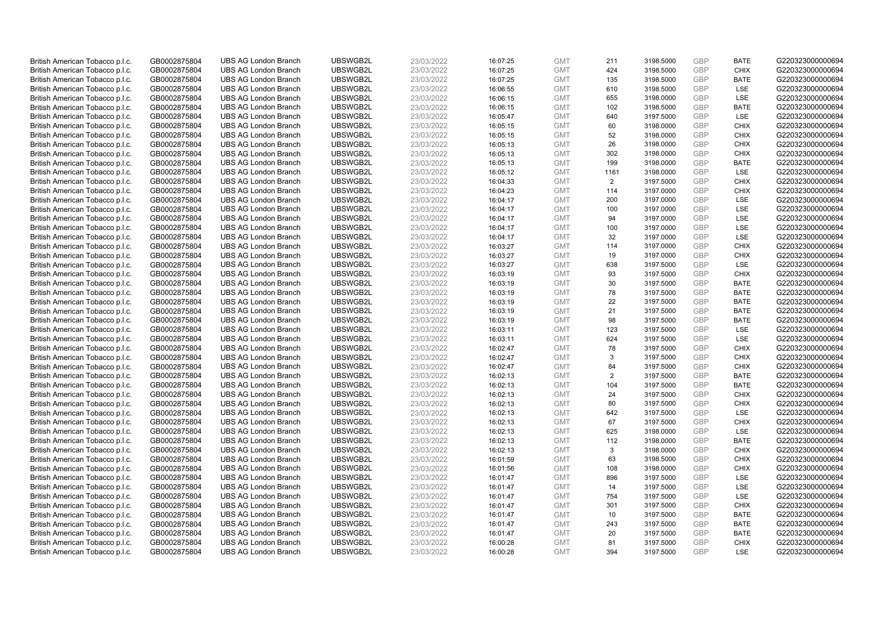| British American Tobacco p.l.c. | GB0002875804                 | <b>UBS AG London Branch</b> | UBSWGB2L | 23/03/2022               | 16:07:25 | <b>GMT</b>               | 211            | 3198.5000              | <b>GBP</b>        | <b>BATE</b>        | G220323000000694 |
|---------------------------------|------------------------------|-----------------------------|----------|--------------------------|----------|--------------------------|----------------|------------------------|-------------------|--------------------|------------------|
| British American Tobacco p.l.c. | GB0002875804                 | <b>UBS AG London Branch</b> | UBSWGB2L | 23/03/2022               | 16:07:25 | <b>GMT</b>               | 424            | 3198.5000              | <b>GBP</b>        | <b>CHIX</b>        | G220323000000694 |
| British American Tobacco p.l.c. | GB0002875804                 | <b>UBS AG London Branch</b> | UBSWGB2L | 23/03/2022               | 16:07:25 | <b>GMT</b>               | 135            | 3198.5000              | <b>GBP</b>        | <b>BATE</b>        | G220323000000694 |
| British American Tobacco p.l.c. | GB0002875804                 | <b>UBS AG London Branch</b> | UBSWGB2L | 23/03/2022               | 16:06:55 | <b>GMT</b>               | 610            | 3198.5000              | <b>GBP</b>        | <b>LSE</b>         | G220323000000694 |
| British American Tobacco p.l.c. | GB0002875804                 | <b>UBS AG London Branch</b> | UBSWGB2L | 23/03/2022               | 16:06:15 | <b>GMT</b>               | 655            | 3198.0000              | <b>GBP</b>        | LSE                | G220323000000694 |
| British American Tobacco p.l.c. | GB0002875804                 | <b>UBS AG London Branch</b> | UBSWGB2L | 23/03/2022               | 16:06:15 | <b>GMT</b>               | 102            | 3198.5000              | <b>GBP</b>        | <b>BATE</b>        | G220323000000694 |
| British American Tobacco p.l.c. | GB0002875804                 | <b>UBS AG London Branch</b> | UBSWGB2L | 23/03/2022               | 16:05:47 | <b>GMT</b>               | 640            | 3197.5000              | <b>GBP</b>        | LSE                | G220323000000694 |
| British American Tobacco p.l.c. | GB0002875804                 | <b>UBS AG London Branch</b> | UBSWGB2L | 23/03/2022               | 16:05:15 | <b>GMT</b>               | 60             | 3198.0000              | <b>GBP</b>        | <b>CHIX</b>        | G220323000000694 |
| British American Tobacco p.l.c. | GB0002875804                 | <b>UBS AG London Branch</b> | UBSWGB2L | 23/03/2022               | 16:05:15 | <b>GMT</b>               | 52             | 3198.0000              | <b>GBP</b>        | <b>CHIX</b>        | G220323000000694 |
| British American Tobacco p.l.c. | GB0002875804                 | <b>UBS AG London Branch</b> | UBSWGB2L | 23/03/2022               | 16:05:13 | <b>GMT</b>               | 26             | 3198.0000              | <b>GBP</b>        | <b>CHIX</b>        | G220323000000694 |
| British American Tobacco p.l.c. | GB0002875804                 | <b>UBS AG London Branch</b> | UBSWGB2L | 23/03/2022               | 16:05:13 | <b>GMT</b>               | 302            | 3198.0000              | <b>GBP</b>        | <b>CHIX</b>        | G220323000000694 |
| British American Tobacco p.l.c. | GB0002875804                 | <b>UBS AG London Branch</b> | UBSWGB2L | 23/03/2022               | 16:05:13 | <b>GMT</b>               | 199            | 3198.0000              | <b>GBP</b>        | <b>BATE</b>        | G220323000000694 |
| British American Tobacco p.l.c. | GB0002875804                 | <b>UBS AG London Branch</b> | UBSWGB2L | 23/03/2022               | 16:05:12 | <b>GMT</b>               | 1161           | 3198.0000              | <b>GBP</b>        | LSE                | G220323000000694 |
| British American Tobacco p.l.c. | GB0002875804                 | <b>UBS AG London Branch</b> | UBSWGB2L | 23/03/2022               | 16:04:33 | <b>GMT</b>               | $\overline{2}$ | 3197.5000              | <b>GBP</b>        | <b>CHIX</b>        | G220323000000694 |
| British American Tobacco p.l.c. | GB0002875804                 | <b>UBS AG London Branch</b> | UBSWGB2L | 23/03/2022               | 16:04:23 | <b>GMT</b>               | 114            | 3197.0000              | <b>GBP</b>        | <b>CHIX</b>        | G220323000000694 |
| British American Tobacco p.l.c. | GB0002875804                 | <b>UBS AG London Branch</b> | UBSWGB2L | 23/03/2022               | 16:04:17 | <b>GMT</b>               | 200            | 3197.0000              | <b>GBP</b>        | LSE                | G220323000000694 |
| British American Tobacco p.l.c. | GB0002875804                 | <b>UBS AG London Branch</b> | UBSWGB2L | 23/03/2022               | 16:04:17 | <b>GMT</b>               | 100            | 3197.0000              | <b>GBP</b>        | LSE                | G220323000000694 |
| British American Tobacco p.l.c. | GB0002875804                 | <b>UBS AG London Branch</b> | UBSWGB2L | 23/03/2022               | 16:04:17 | <b>GMT</b>               | 94             | 3197.0000              | <b>GBP</b>        | LSE                | G220323000000694 |
| British American Tobacco p.l.c. | GB0002875804                 | <b>UBS AG London Branch</b> | UBSWGB2L | 23/03/2022               | 16:04:17 | <b>GMT</b>               | 100            | 3197.0000              | <b>GBP</b>        | LSE                | G220323000000694 |
| British American Tobacco p.l.c. | GB0002875804                 | <b>UBS AG London Branch</b> | UBSWGB2L | 23/03/2022               | 16:04:17 | <b>GMT</b>               | 32             | 3197.0000              | <b>GBP</b>        | LSE                | G220323000000694 |
| British American Tobacco p.l.c. | GB0002875804                 | <b>UBS AG London Branch</b> | UBSWGB2L | 23/03/2022               | 16:03:27 | <b>GMT</b>               | 114            | 3197.0000              | <b>GBP</b>        | <b>CHIX</b>        | G220323000000694 |
| British American Tobacco p.l.c. | GB0002875804                 | <b>UBS AG London Branch</b> | UBSWGB2L | 23/03/2022               | 16:03:27 | <b>GMT</b>               | 19             | 3197.0000              | <b>GBP</b>        | <b>CHIX</b>        | G220323000000694 |
| British American Tobacco p.l.c. | GB0002875804                 | <b>UBS AG London Branch</b> | UBSWGB2L | 23/03/2022               | 16:03:27 | <b>GMT</b>               | 638            | 3197.5000              | <b>GBP</b>        | LSE                | G220323000000694 |
| British American Tobacco p.l.c. | GB0002875804                 | <b>UBS AG London Branch</b> | UBSWGB2L | 23/03/2022               | 16:03:19 | <b>GMT</b>               | 93             | 3197.5000              | <b>GBP</b>        | <b>CHIX</b>        | G220323000000694 |
| British American Tobacco p.l.c. | GB0002875804                 | <b>UBS AG London Branch</b> | UBSWGB2L | 23/03/2022               | 16:03:19 | <b>GMT</b>               | 30             | 3197.5000              | <b>GBP</b>        | <b>BATE</b>        | G220323000000694 |
| British American Tobacco p.l.c. | GB0002875804                 | <b>UBS AG London Branch</b> | UBSWGB2L | 23/03/2022               | 16:03:19 | <b>GMT</b>               | 78             | 3197.5000              | <b>GBP</b>        | <b>BATE</b>        | G220323000000694 |
| British American Tobacco p.l.c. | GB0002875804                 | <b>UBS AG London Branch</b> | UBSWGB2L | 23/03/2022               | 16:03:19 | <b>GMT</b>               | 22             | 3197.5000              | <b>GBP</b>        | <b>BATE</b>        | G220323000000694 |
| British American Tobacco p.l.c. | GB0002875804                 | <b>UBS AG London Branch</b> | UBSWGB2L | 23/03/2022               | 16:03:19 | <b>GMT</b>               | 21             | 3197.5000              | <b>GBP</b>        | <b>BATE</b>        | G220323000000694 |
| British American Tobacco p.l.c. | GB0002875804                 | <b>UBS AG London Branch</b> | UBSWGB2L | 23/03/2022               | 16:03:19 | <b>GMT</b>               | 98             | 3197.5000              | <b>GBP</b>        | <b>BATE</b>        | G220323000000694 |
| British American Tobacco p.l.c. | GB0002875804                 | <b>UBS AG London Branch</b> | UBSWGB2L | 23/03/2022               | 16:03:11 | <b>GMT</b>               | 123            | 3197.5000              | <b>GBP</b>        | LSE                | G220323000000694 |
| British American Tobacco p.l.c. | GB0002875804                 | <b>UBS AG London Branch</b> | UBSWGB2L | 23/03/2022               | 16:03:11 | <b>GMT</b>               | 624            | 3197.5000              | <b>GBP</b>        | LSE                | G220323000000694 |
| British American Tobacco p.l.c. | GB0002875804                 | <b>UBS AG London Branch</b> | UBSWGB2L | 23/03/2022               | 16:02:47 | <b>GMT</b>               | 78             | 3197.5000              | <b>GBP</b>        | <b>CHIX</b>        | G220323000000694 |
| British American Tobacco p.l.c. | GB0002875804                 | <b>UBS AG London Branch</b> | UBSWGB2L | 23/03/2022               | 16:02:47 | <b>GMT</b>               | 3              | 3197.5000              | <b>GBP</b>        | <b>CHIX</b>        | G220323000000694 |
| British American Tobacco p.l.c. | GB0002875804                 | <b>UBS AG London Branch</b> | UBSWGB2L | 23/03/2022               | 16:02:47 | <b>GMT</b>               | 84             | 3197.5000              | <b>GBP</b>        | <b>CHIX</b>        | G220323000000694 |
| British American Tobacco p.l.c. | GB0002875804                 | <b>UBS AG London Branch</b> | UBSWGB2L | 23/03/2022               | 16:02:13 | <b>GMT</b>               | $\overline{2}$ | 3197.5000              | <b>GBP</b>        | <b>BATE</b>        | G220323000000694 |
| British American Tobacco p.l.c. | GB0002875804                 | <b>UBS AG London Branch</b> | UBSWGB2L | 23/03/2022               | 16:02:13 | <b>GMT</b>               | 104            | 3197.5000              | <b>GBP</b>        | <b>BATE</b>        | G220323000000694 |
| British American Tobacco p.l.c. | GB0002875804                 | <b>UBS AG London Branch</b> | UBSWGB2L | 23/03/2022               | 16:02:13 | <b>GMT</b>               | 24             | 3197.5000              | <b>GBP</b>        | <b>CHIX</b>        | G220323000000694 |
| British American Tobacco p.l.c. | GB0002875804                 | <b>UBS AG London Branch</b> | UBSWGB2L | 23/03/2022               | 16:02:13 | <b>GMT</b>               | 80             | 3197.5000              | <b>GBP</b>        | <b>CHIX</b>        | G220323000000694 |
| British American Tobacco p.l.c. | GB0002875804                 | <b>UBS AG London Branch</b> | UBSWGB2L | 23/03/2022               | 16:02:13 | <b>GMT</b>               | 642            | 3197.5000              | <b>GBP</b>        | LSE                | G220323000000694 |
| British American Tobacco p.l.c. | GB0002875804                 | <b>UBS AG London Branch</b> | UBSWGB2L | 23/03/2022               | 16:02:13 | <b>GMT</b>               | 67             | 3197.5000              | <b>GBP</b>        | <b>CHIX</b>        | G220323000000694 |
| British American Tobacco p.l.c. | GB0002875804                 | <b>UBS AG London Branch</b> | UBSWGB2L | 23/03/2022               | 16:02:13 | <b>GMT</b>               | 625            | 3198.0000              | <b>GBP</b>        | LSE                | G220323000000694 |
| British American Tobacco p.l.c. | GB0002875804                 | <b>UBS AG London Branch</b> | UBSWGB2L | 23/03/2022               | 16:02:13 | <b>GMT</b>               | 112            | 3198.0000              | <b>GBP</b>        | <b>BATE</b>        | G220323000000694 |
| British American Tobacco p.l.c. | GB0002875804                 | <b>UBS AG London Branch</b> | UBSWGB2L | 23/03/2022               | 16:02:13 | <b>GMT</b>               | 3              | 3198.0000              | <b>GBP</b>        | <b>CHIX</b>        | G220323000000694 |
| British American Tobacco p.l.c. | GB0002875804                 | <b>UBS AG London Branch</b> | UBSWGB2L | 23/03/2022               | 16:01:59 | <b>GMT</b>               | 63             | 3198.5000              | <b>GBP</b>        | <b>CHIX</b>        | G220323000000694 |
| British American Tobacco p.l.c. | GB0002875804                 | <b>UBS AG London Branch</b> | UBSWGB2L | 23/03/2022               | 16:01:56 | <b>GMT</b>               | 108            | 3198.0000              | <b>GBP</b>        | <b>CHIX</b>        | G220323000000694 |
| British American Tobacco p.l.c. | GB0002875804                 | <b>UBS AG London Branch</b> | UBSWGB2L | 23/03/2022               | 16:01:47 | <b>GMT</b>               | 896            | 3197.5000              | <b>GBP</b>        | LSE                | G220323000000694 |
| British American Tobacco p.l.c. | GB0002875804                 | <b>UBS AG London Branch</b> | UBSWGB2L | 23/03/2022               | 16:01:47 | <b>GMT</b>               | 14             | 3197.5000              | <b>GBP</b>        | LSE                | G220323000000694 |
| British American Tobacco p.l.c. | GB0002875804                 | <b>UBS AG London Branch</b> | UBSWGB2L | 23/03/2022               | 16:01:47 | <b>GMT</b>               | 754            | 3197.5000              | <b>GBP</b>        | LSE                | G220323000000694 |
| British American Tobacco p.l.c. | GB0002875804                 | <b>UBS AG London Branch</b> | UBSWGB2L | 23/03/2022               | 16:01:47 | <b>GMT</b>               | 301            | 3197.5000              | <b>GBP</b>        | <b>CHIX</b>        | G220323000000694 |
| British American Tobacco p.l.c. | GB0002875804                 | <b>UBS AG London Branch</b> | UBSWGB2L | 23/03/2022               | 16:01:47 | <b>GMT</b>               | 10             | 3197.5000              | <b>GBP</b>        | <b>BATE</b>        | G220323000000694 |
| British American Tobacco p.l.c. | GB0002875804                 | <b>UBS AG London Branch</b> | UBSWGB2L | 23/03/2022               | 16:01:47 | <b>GMT</b>               | 243            | 3197.5000              | <b>GBP</b>        | <b>BATE</b>        | G220323000000694 |
| British American Tobacco p.l.c. | GB0002875804                 | <b>UBS AG London Branch</b> | UBSWGB2L | 23/03/2022               | 16:01:47 | <b>GMT</b>               | 20             | 3197.5000              | <b>GBP</b>        | <b>BATE</b>        | G220323000000694 |
| British American Tobacco p.l.c. | GB0002875804<br>GB0002875804 | <b>UBS AG London Branch</b> | UBSWGB2L | 23/03/2022<br>23/03/2022 | 16:00:28 | <b>GMT</b><br><b>GMT</b> | 81<br>394      | 3197.5000<br>3197.5000 | <b>GBP</b><br>GBP | <b>CHIX</b><br>LSE | G220323000000694 |
| British American Tobacco p.l.c. |                              | <b>UBS AG London Branch</b> | UBSWGB2L |                          | 16:00:28 |                          |                |                        |                   |                    | G220323000000694 |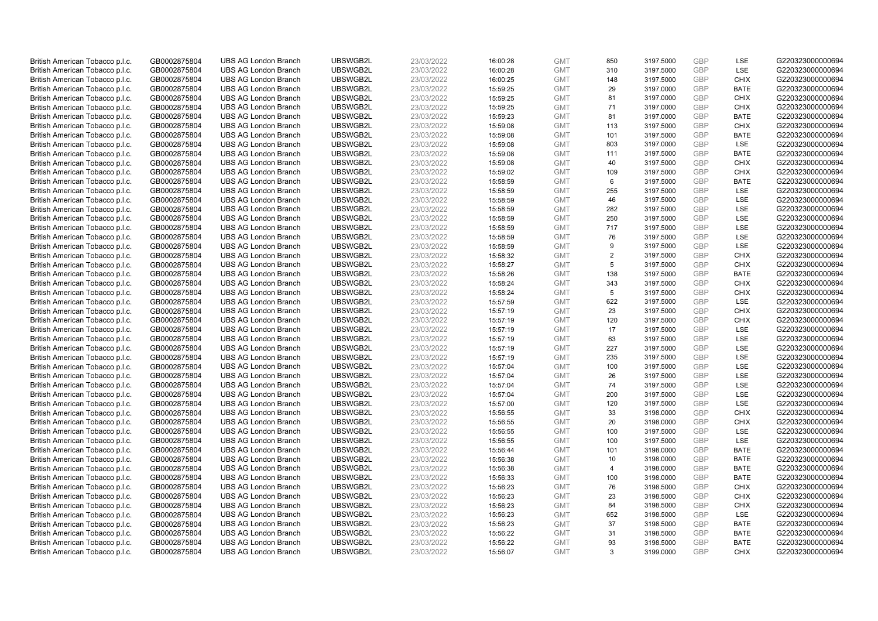| British American Tobacco p.l.c. | GB0002875804 | <b>UBS AG London Branch</b> | UBSWGB2L | 23/03/2022 | 16:00:28 | <b>GMT</b> | 850                     | 3197.5000 | <b>GBP</b> | LSE         | G220323000000694 |
|---------------------------------|--------------|-----------------------------|----------|------------|----------|------------|-------------------------|-----------|------------|-------------|------------------|
| British American Tobacco p.l.c. | GB0002875804 | <b>UBS AG London Branch</b> | UBSWGB2L | 23/03/2022 | 16:00:28 | <b>GMT</b> | 310                     | 3197.5000 | GBP        | LSE         | G220323000000694 |
| British American Tobacco p.l.c. | GB0002875804 | <b>UBS AG London Branch</b> | UBSWGB2L | 23/03/2022 | 16:00:25 | <b>GMT</b> | 148                     | 3197.5000 | <b>GBP</b> | <b>CHIX</b> | G220323000000694 |
| British American Tobacco p.l.c. | GB0002875804 | <b>UBS AG London Branch</b> | UBSWGB2L | 23/03/2022 | 15:59:25 | <b>GMT</b> | 29                      | 3197.0000 | GBP        | <b>BATE</b> | G220323000000694 |
| British American Tobacco p.l.c. | GB0002875804 | <b>UBS AG London Branch</b> | UBSWGB2L | 23/03/2022 | 15:59:25 | <b>GMT</b> | 81                      | 3197.0000 | <b>GBP</b> | <b>CHIX</b> | G220323000000694 |
| British American Tobacco p.l.c. | GB0002875804 | <b>UBS AG London Branch</b> | UBSWGB2L | 23/03/2022 | 15:59:25 | <b>GMT</b> | 71                      | 3197.0000 | GBP        | <b>CHIX</b> | G220323000000694 |
| British American Tobacco p.l.c. | GB0002875804 | <b>UBS AG London Branch</b> | UBSWGB2L | 23/03/2022 | 15:59:23 | <b>GMT</b> | 81                      | 3197.0000 | <b>GBP</b> | <b>BATE</b> | G220323000000694 |
| British American Tobacco p.l.c. | GB0002875804 | <b>UBS AG London Branch</b> | UBSWGB2L | 23/03/2022 | 15:59:08 | <b>GMT</b> | 113                     | 3197.5000 | GBP        | <b>CHIX</b> | G220323000000694 |
| British American Tobacco p.l.c. | GB0002875804 | <b>UBS AG London Branch</b> | UBSWGB2L | 23/03/2022 | 15:59:08 | <b>GMT</b> | 101                     | 3197.5000 | <b>GBP</b> | <b>BATE</b> | G220323000000694 |
| British American Tobacco p.l.c. | GB0002875804 | <b>UBS AG London Branch</b> | UBSWGB2L | 23/03/2022 | 15:59:08 | <b>GMT</b> | 803                     | 3197.0000 | GBP        | <b>LSE</b>  | G220323000000694 |
| British American Tobacco p.l.c. | GB0002875804 | <b>UBS AG London Branch</b> | UBSWGB2L | 23/03/2022 | 15:59:08 | <b>GMT</b> | 111                     | 3197.5000 | <b>GBP</b> | <b>BATE</b> | G220323000000694 |
| British American Tobacco p.l.c. | GB0002875804 | <b>UBS AG London Branch</b> | UBSWGB2L | 23/03/2022 | 15:59:08 | <b>GMT</b> | 40                      | 3197.5000 | <b>GBP</b> | <b>CHIX</b> | G220323000000694 |
| British American Tobacco p.l.c. | GB0002875804 | <b>UBS AG London Branch</b> | UBSWGB2L | 23/03/2022 | 15:59:02 | <b>GMT</b> | 109                     | 3197.5000 | GBP        | <b>CHIX</b> | G220323000000694 |
| British American Tobacco p.l.c. | GB0002875804 | <b>UBS AG London Branch</b> | UBSWGB2L | 23/03/2022 | 15:58:59 | <b>GMT</b> | 6                       | 3197.5000 | <b>GBP</b> | <b>BATE</b> | G220323000000694 |
| British American Tobacco p.l.c. | GB0002875804 | <b>UBS AG London Branch</b> | UBSWGB2L | 23/03/2022 | 15:58:59 | <b>GMT</b> | 255                     | 3197.5000 | GBP        | LSE         | G220323000000694 |
| British American Tobacco p.l.c. | GB0002875804 | <b>UBS AG London Branch</b> | UBSWGB2L | 23/03/2022 | 15:58:59 | <b>GMT</b> | 46                      | 3197.5000 | <b>GBP</b> | LSE         | G220323000000694 |
| British American Tobacco p.l.c. | GB0002875804 | <b>UBS AG London Branch</b> | UBSWGB2L | 23/03/2022 | 15:58:59 | <b>GMT</b> | 282                     | 3197.5000 | <b>GBP</b> | <b>LSE</b>  | G220323000000694 |
| British American Tobacco p.l.c. | GB0002875804 | <b>UBS AG London Branch</b> | UBSWGB2L | 23/03/2022 | 15:58:59 | <b>GMT</b> | 250                     | 3197.5000 | GBP        | LSE         | G220323000000694 |
| British American Tobacco p.l.c. | GB0002875804 | <b>UBS AG London Branch</b> | UBSWGB2L | 23/03/2022 | 15:58:59 | <b>GMT</b> | 717                     | 3197.5000 | <b>GBP</b> | <b>LSE</b>  | G220323000000694 |
| British American Tobacco p.l.c. | GB0002875804 | <b>UBS AG London Branch</b> | UBSWGB2L | 23/03/2022 | 15:58:59 | <b>GMT</b> | 76                      | 3197.5000 | <b>GBP</b> | LSE         | G220323000000694 |
| British American Tobacco p.l.c. | GB0002875804 | <b>UBS AG London Branch</b> | UBSWGB2L | 23/03/2022 | 15:58:59 | <b>GMT</b> | 9                       | 3197.5000 | GBP        | LSE         | G220323000000694 |
| British American Tobacco p.l.c. | GB0002875804 | <b>UBS AG London Branch</b> | UBSWGB2L | 23/03/2022 | 15:58:32 | <b>GMT</b> | 2                       | 3197.5000 | GBP        | <b>CHIX</b> | G220323000000694 |
| British American Tobacco p.l.c. | GB0002875804 | <b>UBS AG London Branch</b> | UBSWGB2L | 23/03/2022 | 15:58:27 | <b>GMT</b> | 5                       | 3197.5000 | GBP        | <b>CHIX</b> | G220323000000694 |
| British American Tobacco p.l.c. | GB0002875804 | <b>UBS AG London Branch</b> | UBSWGB2L | 23/03/2022 | 15:58:26 | <b>GMT</b> | 138                     | 3197.5000 | <b>GBP</b> | <b>BATE</b> | G220323000000694 |
| British American Tobacco p.l.c. | GB0002875804 | <b>UBS AG London Branch</b> | UBSWGB2L | 23/03/2022 | 15:58:24 | <b>GMT</b> | 343                     | 3197.5000 | <b>GBP</b> | <b>CHIX</b> | G220323000000694 |
| British American Tobacco p.l.c. | GB0002875804 | <b>UBS AG London Branch</b> | UBSWGB2L | 23/03/2022 | 15:58:24 | <b>GMT</b> | 5                       | 3197.5000 | GBP        | <b>CHIX</b> | G220323000000694 |
| British American Tobacco p.l.c. | GB0002875804 | <b>UBS AG London Branch</b> | UBSWGB2L | 23/03/2022 | 15:57:59 | <b>GMT</b> | 622                     | 3197.5000 | <b>GBP</b> | LSE         | G220323000000694 |
| British American Tobacco p.l.c. | GB0002875804 | <b>UBS AG London Branch</b> | UBSWGB2L | 23/03/2022 | 15:57:19 | <b>GMT</b> | 23                      | 3197.5000 | GBP        | <b>CHIX</b> | G220323000000694 |
| British American Tobacco p.l.c. | GB0002875804 | <b>UBS AG London Branch</b> | UBSWGB2L | 23/03/2022 | 15:57:19 | <b>GMT</b> | 120                     | 3197.5000 | GBP        | <b>CHIX</b> | G220323000000694 |
| British American Tobacco p.l.c. | GB0002875804 | <b>UBS AG London Branch</b> | UBSWGB2L | 23/03/2022 | 15:57:19 | <b>GMT</b> | 17                      | 3197.5000 | <b>GBP</b> | LSE         | G220323000000694 |
| British American Tobacco p.l.c. | GB0002875804 | <b>UBS AG London Branch</b> | UBSWGB2L | 23/03/2022 | 15:57:19 | <b>GMT</b> | 63                      | 3197.5000 | <b>GBP</b> | LSE         | G220323000000694 |
| British American Tobacco p.l.c. | GB0002875804 | <b>UBS AG London Branch</b> | UBSWGB2L | 23/03/2022 | 15:57:19 | <b>GMT</b> | 227                     | 3197.5000 | <b>GBP</b> | <b>LSE</b>  | G220323000000694 |
| British American Tobacco p.l.c. | GB0002875804 | <b>UBS AG London Branch</b> | UBSWGB2L | 23/03/2022 | 15:57:19 | <b>GMT</b> | 235                     | 3197.5000 | GBP        | LSE         | G220323000000694 |
| British American Tobacco p.l.c. | GB0002875804 | <b>UBS AG London Branch</b> | UBSWGB2L | 23/03/2022 | 15:57:04 | <b>GMT</b> | 100                     | 3197.5000 | <b>GBP</b> | LSE         | G220323000000694 |
| British American Tobacco p.l.c. | GB0002875804 | <b>UBS AG London Branch</b> | UBSWGB2L | 23/03/2022 | 15:57:04 | <b>GMT</b> | 26                      | 3197.5000 | <b>GBP</b> | <b>LSE</b>  | G220323000000694 |
| British American Tobacco p.l.c. | GB0002875804 | <b>UBS AG London Branch</b> | UBSWGB2L | 23/03/2022 | 15:57:04 | <b>GMT</b> | 74                      | 3197.5000 | <b>GBP</b> | <b>LSE</b>  | G220323000000694 |
| British American Tobacco p.l.c. | GB0002875804 | <b>UBS AG London Branch</b> | UBSWGB2L | 23/03/2022 | 15:57:04 | <b>GMT</b> | 200                     | 3197.5000 | GBP        | LSE         | G220323000000694 |
| British American Tobacco p.l.c. | GB0002875804 | <b>UBS AG London Branch</b> | UBSWGB2L | 23/03/2022 | 15:57:00 | <b>GMT</b> | 120                     | 3197.5000 | <b>GBP</b> | <b>LSE</b>  | G220323000000694 |
| British American Tobacco p.l.c. | GB0002875804 | <b>UBS AG London Branch</b> | UBSWGB2L | 23/03/2022 | 15:56:55 | <b>GMT</b> | 33                      | 3198.0000 | GBP        | <b>CHIX</b> | G220323000000694 |
| British American Tobacco p.l.c. | GB0002875804 | <b>UBS AG London Branch</b> | UBSWGB2L | 23/03/2022 | 15:56:55 | <b>GMT</b> | 20                      | 3198.0000 | <b>GBP</b> | <b>CHIX</b> | G220323000000694 |
| British American Tobacco p.l.c. | GB0002875804 | <b>UBS AG London Branch</b> | UBSWGB2L | 23/03/2022 | 15:56:55 | <b>GMT</b> | 100                     | 3197.5000 | GBP        | <b>LSE</b>  | G220323000000694 |
| British American Tobacco p.l.c. | GB0002875804 | <b>UBS AG London Branch</b> | UBSWGB2L | 23/03/2022 | 15:56:55 | <b>GMT</b> | 100                     | 3197.5000 | GBP        | LSE         | G220323000000694 |
| British American Tobacco p.l.c. | GB0002875804 | <b>UBS AG London Branch</b> | UBSWGB2L | 23/03/2022 | 15:56:44 | <b>GMT</b> | 101                     | 3198.0000 | <b>GBP</b> | <b>BATE</b> | G220323000000694 |
| British American Tobacco p.l.c. | GB0002875804 | <b>UBS AG London Branch</b> | UBSWGB2L | 23/03/2022 | 15:56:38 | <b>GMT</b> | 10                      | 3198.0000 | GBP        | <b>BATE</b> | G220323000000694 |
| British American Tobacco p.l.c. | GB0002875804 | <b>UBS AG London Branch</b> | UBSWGB2L | 23/03/2022 | 15:56:38 | <b>GMT</b> | $\overline{\mathbf{A}}$ | 3198.0000 | <b>GBP</b> | <b>BATE</b> | G220323000000694 |
| British American Tobacco p.l.c. | GB0002875804 | <b>UBS AG London Branch</b> | UBSWGB2L | 23/03/2022 | 15:56:33 | <b>GMT</b> | 100                     | 3198.0000 | <b>GBP</b> | <b>BATE</b> | G220323000000694 |
| British American Tobacco p.l.c. | GB0002875804 | <b>UBS AG London Branch</b> | UBSWGB2L | 23/03/2022 | 15:56:23 | <b>GMT</b> | 76                      | 3198.5000 | <b>GBP</b> | <b>CHIX</b> | G220323000000694 |
| British American Tobacco p.l.c. | GB0002875804 | <b>UBS AG London Branch</b> | UBSWGB2L | 23/03/2022 | 15:56:23 | <b>GMT</b> | 23                      | 3198.5000 | GBP        | <b>CHIX</b> | G220323000000694 |
| British American Tobacco p.l.c. | GB0002875804 | <b>UBS AG London Branch</b> | UBSWGB2L | 23/03/2022 | 15:56:23 | <b>GMT</b> | 84                      | 3198.5000 | <b>GBP</b> | <b>CHIX</b> | G220323000000694 |
| British American Tobacco p.l.c. | GB0002875804 | <b>UBS AG London Branch</b> | UBSWGB2L | 23/03/2022 | 15:56:23 | <b>GMT</b> | 652                     | 3198.5000 | <b>GBP</b> | <b>LSE</b>  | G220323000000694 |
| British American Tobacco p.l.c. | GB0002875804 | <b>UBS AG London Branch</b> | UBSWGB2L | 23/03/2022 | 15:56:23 | <b>GMT</b> | 37                      | 3198.5000 | <b>GBP</b> | <b>BATE</b> | G220323000000694 |
| British American Tobacco p.l.c. | GB0002875804 | <b>UBS AG London Branch</b> | UBSWGB2L | 23/03/2022 | 15:56:22 | <b>GMT</b> | 31                      | 3198.5000 | <b>GBP</b> | <b>BATE</b> | G220323000000694 |
| British American Tobacco p.l.c. | GB0002875804 | <b>UBS AG London Branch</b> | UBSWGB2L | 23/03/2022 | 15:56:22 | <b>GMT</b> | 93                      | 3198.5000 | GBP        | <b>BATE</b> | G220323000000694 |
| British American Tobacco p.l.c. | GB0002875804 | <b>UBS AG London Branch</b> | UBSWGB2L | 23/03/2022 | 15:56:07 | <b>GMT</b> | 3                       | 3199.0000 | GBP        | <b>CHIX</b> | G220323000000694 |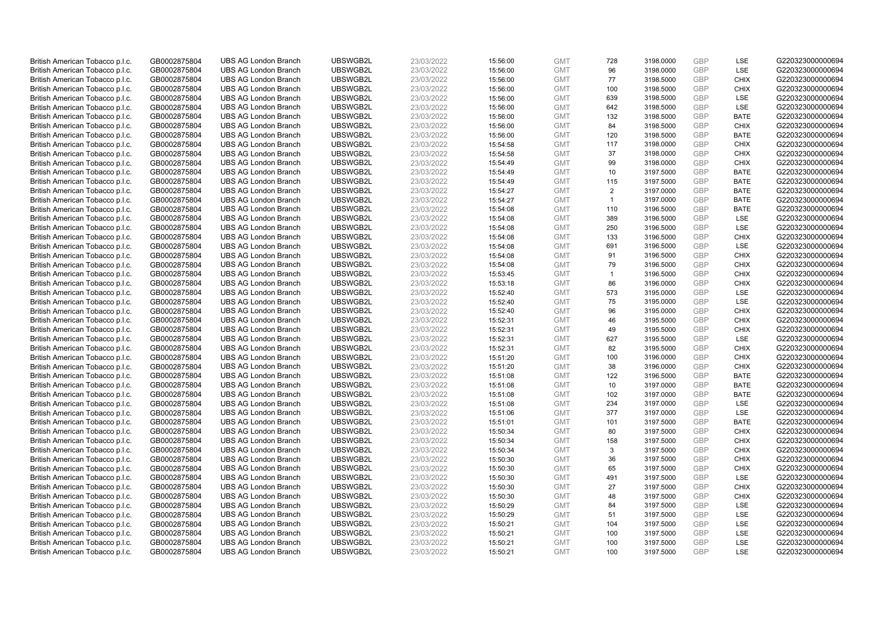| British American Tobacco p.l.c. | GB0002875804 | <b>UBS AG London Branch</b> | UBSWGB2L | 23/03/2022 |          | <b>GMT</b> | 728          | 3198.0000 | <b>GBP</b> | LSE         | G220323000000694 |
|---------------------------------|--------------|-----------------------------|----------|------------|----------|------------|--------------|-----------|------------|-------------|------------------|
|                                 |              |                             |          |            | 15:56:00 |            | 96           |           | GBP        | LSE         |                  |
| British American Tobacco p.l.c. | GB0002875804 | <b>UBS AG London Branch</b> | UBSWGB2L | 23/03/2022 | 15:56:00 | <b>GMT</b> |              | 3198.0000 |            |             | G220323000000694 |
| British American Tobacco p.l.c. | GB0002875804 | <b>UBS AG London Branch</b> | UBSWGB2L | 23/03/2022 | 15:56:00 | <b>GMT</b> | 77           | 3198.5000 | <b>GBP</b> | <b>CHIX</b> | G220323000000694 |
| British American Tobacco p.l.c. | GB0002875804 | <b>UBS AG London Branch</b> | UBSWGB2L | 23/03/2022 | 15:56:00 | <b>GMT</b> | 100          | 3198.5000 | <b>GBP</b> | <b>CHIX</b> | G220323000000694 |
| British American Tobacco p.l.c. | GB0002875804 | <b>UBS AG London Branch</b> | UBSWGB2L | 23/03/2022 | 15:56:00 | <b>GMT</b> | 639          | 3198.5000 | <b>GBP</b> | LSE         | G220323000000694 |
| British American Tobacco p.l.c. | GB0002875804 | <b>UBS AG London Branch</b> | UBSWGB2L | 23/03/2022 | 15:56:00 | <b>GMT</b> | 642          | 3198.5000 | <b>GBP</b> | <b>LSE</b>  | G220323000000694 |
| British American Tobacco p.l.c. | GB0002875804 | <b>UBS AG London Branch</b> | UBSWGB2L | 23/03/2022 | 15:56:00 | <b>GMT</b> | 132          | 3198.5000 | <b>GBP</b> | <b>BATE</b> | G220323000000694 |
| British American Tobacco p.l.c. | GB0002875804 | <b>UBS AG London Branch</b> | UBSWGB2L | 23/03/2022 | 15:56:00 | <b>GMT</b> | 84           | 3198.5000 | <b>GBP</b> | <b>CHIX</b> | G220323000000694 |
| British American Tobacco p.l.c. | GB0002875804 | <b>UBS AG London Branch</b> | UBSWGB2L | 23/03/2022 | 15:56:00 | <b>GMT</b> | 120          | 3198.5000 | <b>GBP</b> | <b>BATE</b> | G220323000000694 |
| British American Tobacco p.l.c. | GB0002875804 | <b>UBS AG London Branch</b> | UBSWGB2L | 23/03/2022 | 15:54:58 | <b>GMT</b> | 117          | 3198.0000 | <b>GBP</b> | <b>CHIX</b> | G220323000000694 |
| British American Tobacco p.l.c. | GB0002875804 | <b>UBS AG London Branch</b> | UBSWGB2L | 23/03/2022 | 15:54:58 | <b>GMT</b> | 37           | 3198.0000 | <b>GBP</b> | <b>CHIX</b> | G220323000000694 |
| British American Tobacco p.l.c. | GB0002875804 | <b>UBS AG London Branch</b> | UBSWGB2L | 23/03/2022 | 15:54:49 | <b>GMT</b> | 99           | 3198.0000 | <b>GBP</b> | <b>CHIX</b> | G220323000000694 |
| British American Tobacco p.l.c. | GB0002875804 | <b>UBS AG London Branch</b> | UBSWGB2L | 23/03/2022 | 15:54:49 | <b>GMT</b> | 10           | 3197.5000 | <b>GBP</b> | <b>BATE</b> | G220323000000694 |
| British American Tobacco p.l.c. | GB0002875804 | <b>UBS AG London Branch</b> | UBSWGB2L | 23/03/2022 | 15:54:49 | <b>GMT</b> | 115          | 3197.5000 | <b>GBP</b> | <b>BATE</b> | G220323000000694 |
| British American Tobacco p.l.c. | GB0002875804 | <b>UBS AG London Branch</b> | UBSWGB2L | 23/03/2022 | 15:54:27 | <b>GMT</b> | 2            | 3197.0000 | GBP        | <b>BATE</b> | G220323000000694 |
| British American Tobacco p.l.c. | GB0002875804 | <b>UBS AG London Branch</b> | UBSWGB2L | 23/03/2022 | 15:54:27 | <b>GMT</b> | $\mathbf{1}$ | 3197.0000 | <b>GBP</b> | <b>BATE</b> | G220323000000694 |
| British American Tobacco p.l.c. | GB0002875804 | <b>UBS AG London Branch</b> | UBSWGB2L | 23/03/2022 | 15:54:08 | <b>GMT</b> | 110          | 3196.5000 | GBP        | <b>BATE</b> | G220323000000694 |
| British American Tobacco p.l.c. | GB0002875804 | <b>UBS AG London Branch</b> | UBSWGB2L | 23/03/2022 | 15:54:08 | <b>GMT</b> | 389          | 3196.5000 | <b>GBP</b> | LSE         | G220323000000694 |
| British American Tobacco p.l.c. | GB0002875804 | <b>UBS AG London Branch</b> | UBSWGB2L | 23/03/2022 | 15:54:08 | <b>GMT</b> | 250          | 3196.5000 | <b>GBP</b> | <b>LSE</b>  | G220323000000694 |
| British American Tobacco p.l.c. | GB0002875804 | <b>UBS AG London Branch</b> | UBSWGB2L | 23/03/2022 | 15:54:08 | <b>GMT</b> | 133          | 3196.5000 | <b>GBP</b> | <b>CHIX</b> | G220323000000694 |
| British American Tobacco p.l.c. | GB0002875804 | <b>UBS AG London Branch</b> | UBSWGB2L | 23/03/2022 | 15:54:08 | <b>GMT</b> | 691          | 3196.5000 | <b>GBP</b> | LSE         | G220323000000694 |
| British American Tobacco p.l.c. | GB0002875804 | <b>UBS AG London Branch</b> | UBSWGB2L | 23/03/2022 | 15:54:08 | <b>GMT</b> | 91           | 3196.5000 | GBP        | <b>CHIX</b> | G220323000000694 |
| British American Tobacco p.l.c. | GB0002875804 | <b>UBS AG London Branch</b> | UBSWGB2L | 23/03/2022 | 15:54:08 | <b>GMT</b> | 79           | 3196.5000 | <b>GBP</b> | <b>CHIX</b> | G220323000000694 |
| British American Tobacco p.l.c. | GB0002875804 | <b>UBS AG London Branch</b> | UBSWGB2L | 23/03/2022 | 15:53:45 | <b>GMT</b> | $\mathbf{1}$ | 3196.5000 | <b>GBP</b> | <b>CHIX</b> | G220323000000694 |
| British American Tobacco p.l.c. | GB0002875804 | <b>UBS AG London Branch</b> | UBSWGB2L | 23/03/2022 | 15:53:18 | <b>GMT</b> | 86           | 3196.0000 | <b>GBP</b> | <b>CHIX</b> | G220323000000694 |
| British American Tobacco p.l.c. | GB0002875804 | <b>UBS AG London Branch</b> | UBSWGB2L | 23/03/2022 | 15:52:40 | <b>GMT</b> | 573          | 3195.0000 | GBP        | LSE         | G220323000000694 |
| British American Tobacco p.l.c. | GB0002875804 | <b>UBS AG London Branch</b> | UBSWGB2L | 23/03/2022 | 15:52:40 | <b>GMT</b> | 75           | 3195.0000 | <b>GBP</b> | LSE         | G220323000000694 |
| British American Tobacco p.l.c. | GB0002875804 | <b>UBS AG London Branch</b> | UBSWGB2L | 23/03/2022 | 15:52:40 | <b>GMT</b> | 96           | 3195.0000 | GBP        | <b>CHIX</b> | G220323000000694 |
| British American Tobacco p.l.c. | GB0002875804 | <b>UBS AG London Branch</b> | UBSWGB2L | 23/03/2022 | 15:52:31 | <b>GMT</b> | 46           | 3195.5000 | <b>GBP</b> | <b>CHIX</b> | G220323000000694 |
| British American Tobacco p.l.c. | GB0002875804 | <b>UBS AG London Branch</b> | UBSWGB2L | 23/03/2022 | 15:52:31 | <b>GMT</b> | 49           | 3195.5000 | GBP        | <b>CHIX</b> | G220323000000694 |
| British American Tobacco p.l.c. | GB0002875804 | <b>UBS AG London Branch</b> | UBSWGB2L | 23/03/2022 | 15:52:31 | <b>GMT</b> | 627          | 3195.5000 | <b>GBP</b> | <b>LSE</b>  | G220323000000694 |
| British American Tobacco p.l.c. | GB0002875804 | <b>UBS AG London Branch</b> | UBSWGB2L | 23/03/2022 | 15:52:31 | <b>GMT</b> | 82           | 3195.5000 | GBP        | <b>CHIX</b> | G220323000000694 |
| British American Tobacco p.l.c. | GB0002875804 | <b>UBS AG London Branch</b> | UBSWGB2L | 23/03/2022 | 15:51:20 | <b>GMT</b> | 100          | 3196.0000 | <b>GBP</b> | <b>CHIX</b> | G220323000000694 |
| British American Tobacco p.l.c. | GB0002875804 | <b>UBS AG London Branch</b> | UBSWGB2L | 23/03/2022 | 15:51:20 | <b>GMT</b> | 38           | 3196.0000 | <b>GBP</b> | <b>CHIX</b> | G220323000000694 |
| British American Tobacco p.l.c. | GB0002875804 | <b>UBS AG London Branch</b> | UBSWGB2L | 23/03/2022 | 15:51:08 | <b>GMT</b> | 122          | 3196.5000 | GBP        | <b>BATE</b> | G220323000000694 |
| British American Tobacco p.l.c. | GB0002875804 | <b>UBS AG London Branch</b> | UBSWGB2L | 23/03/2022 | 15:51:08 | <b>GMT</b> | 10           | 3197.0000 | <b>GBP</b> | <b>BATE</b> | G220323000000694 |
| British American Tobacco p.l.c. | GB0002875804 | <b>UBS AG London Branch</b> | UBSWGB2L | 23/03/2022 | 15:51:08 | <b>GMT</b> | 102          | 3197.0000 | GBP        | <b>BATE</b> | G220323000000694 |
| British American Tobacco p.l.c. | GB0002875804 | <b>UBS AG London Branch</b> | UBSWGB2L | 23/03/2022 | 15:51:08 | <b>GMT</b> | 234          | 3197.0000 | <b>GBP</b> | LSE         | G220323000000694 |
| British American Tobacco p.l.c. | GB0002875804 | <b>UBS AG London Branch</b> | UBSWGB2L | 23/03/2022 | 15:51:06 | <b>GMT</b> | 377          | 3197.0000 | GBP        | LSE         | G220323000000694 |
| British American Tobacco p.l.c. | GB0002875804 | <b>UBS AG London Branch</b> | UBSWGB2L | 23/03/2022 | 15:51:01 | <b>GMT</b> | 101          | 3197.5000 | <b>GBP</b> | <b>BATE</b> | G220323000000694 |
| British American Tobacco p.l.c. | GB0002875804 | <b>UBS AG London Branch</b> | UBSWGB2L | 23/03/2022 | 15:50:34 | <b>GMT</b> | 80           | 3197.5000 | GBP        | <b>CHIX</b> | G220323000000694 |
| British American Tobacco p.l.c. | GB0002875804 | <b>UBS AG London Branch</b> | UBSWGB2L | 23/03/2022 | 15:50:34 | <b>GMT</b> | 158          | 3197.5000 | <b>GBP</b> | <b>CHIX</b> | G220323000000694 |
| British American Tobacco p.l.c. | GB0002875804 | <b>UBS AG London Branch</b> | UBSWGB2L | 23/03/2022 | 15:50:34 | <b>GMT</b> | 3            | 3197.5000 | GBP        | <b>CHIX</b> | G220323000000694 |
| British American Tobacco p.l.c. | GB0002875804 | <b>UBS AG London Branch</b> | UBSWGB2L | 23/03/2022 | 15:50:30 | <b>GMT</b> | 36           | 3197.5000 | GBP        | <b>CHIX</b> | G220323000000694 |
| British American Tobacco p.l.c. | GB0002875804 | <b>UBS AG London Branch</b> | UBSWGB2L | 23/03/2022 | 15:50:30 | <b>GMT</b> | 65           | 3197.5000 | GBP        | <b>CHIX</b> | G220323000000694 |
| British American Tobacco p.l.c. | GB0002875804 | <b>UBS AG London Branch</b> | UBSWGB2L | 23/03/2022 | 15:50:30 | <b>GMT</b> | 491          | 3197.5000 | <b>GBP</b> | LSE         | G220323000000694 |
| British American Tobacco p.l.c. | GB0002875804 | <b>UBS AG London Branch</b> | UBSWGB2L | 23/03/2022 | 15:50:30 | <b>GMT</b> | 27           | 3197.5000 | <b>GBP</b> | <b>CHIX</b> | G220323000000694 |
| British American Tobacco p.l.c. | GB0002875804 | <b>UBS AG London Branch</b> | UBSWGB2L | 23/03/2022 | 15:50:30 | <b>GMT</b> | 48           | 3197.5000 | GBP        | <b>CHIX</b> | G220323000000694 |
| British American Tobacco p.l.c. | GB0002875804 | <b>UBS AG London Branch</b> | UBSWGB2L | 23/03/2022 | 15:50:29 | <b>GMT</b> | 84           | 3197.5000 | <b>GBP</b> | LSE         | G220323000000694 |
| British American Tobacco p.l.c. | GB0002875804 | <b>UBS AG London Branch</b> | UBSWGB2L | 23/03/2022 | 15:50:29 | <b>GMT</b> | 51           | 3197.5000 | GBP        | <b>LSE</b>  | G220323000000694 |
| British American Tobacco p.l.c. | GB0002875804 | <b>UBS AG London Branch</b> | UBSWGB2L | 23/03/2022 | 15:50:21 | <b>GMT</b> | 104          | 3197.5000 | <b>GBP</b> | LSE         | G220323000000694 |
| British American Tobacco p.l.c. | GB0002875804 | <b>UBS AG London Branch</b> | UBSWGB2L | 23/03/2022 | 15:50:21 | <b>GMT</b> | 100          | 3197.5000 | <b>GBP</b> | LSE         | G220323000000694 |
| British American Tobacco p.l.c. | GB0002875804 | <b>UBS AG London Branch</b> | UBSWGB2L | 23/03/2022 | 15:50:21 | <b>GMT</b> | 100          | 3197.5000 | <b>GBP</b> | LSE         | G220323000000694 |
| British American Tobacco p.l.c. | GB0002875804 | <b>UBS AG London Branch</b> | UBSWGB2L | 23/03/2022 | 15:50:21 | <b>GMT</b> | 100          | 3197.5000 | GBP        | <b>LSE</b>  | G220323000000694 |
|                                 |              |                             |          |            |          |            |              |           |            |             |                  |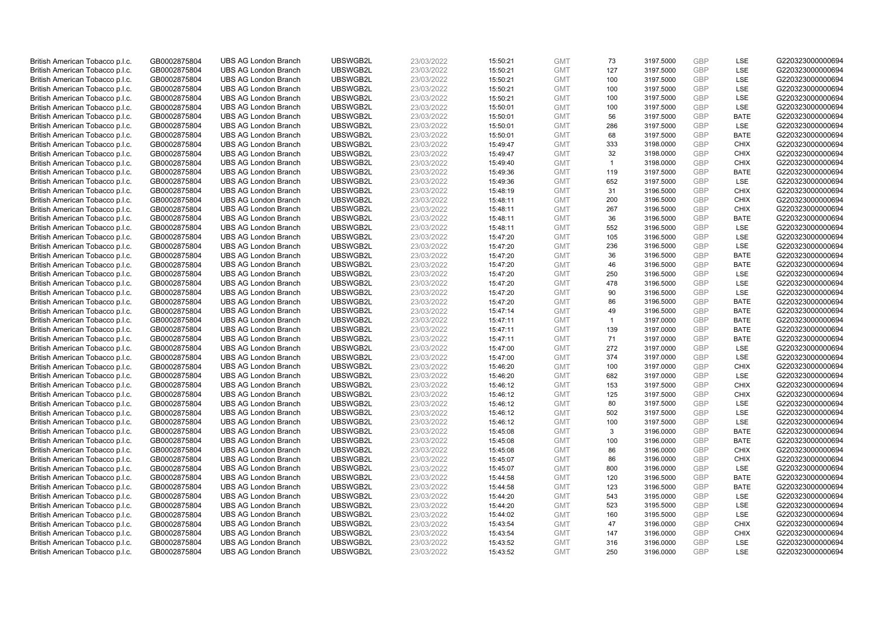| British American Tobacco p.l.c. | GB0002875804 | <b>UBS AG London Branch</b> | UBSWGB2L | 23/03/2022 | 15:50:21 | <b>GMT</b>               | 73             | 3197.5000 | GBP        | LSE         | G220323000000694 |
|---------------------------------|--------------|-----------------------------|----------|------------|----------|--------------------------|----------------|-----------|------------|-------------|------------------|
| British American Tobacco p.l.c. | GB0002875804 | <b>UBS AG London Branch</b> | UBSWGB2L | 23/03/2022 | 15:50:21 | <b>GMT</b>               | 127            | 3197.5000 | <b>GBP</b> | LSE         | G220323000000694 |
| British American Tobacco p.l.c. | GB0002875804 | <b>UBS AG London Branch</b> | UBSWGB2L | 23/03/2022 | 15:50:21 | <b>GMT</b>               | 100            | 3197.5000 | <b>GBP</b> | <b>LSE</b>  | G220323000000694 |
| British American Tobacco p.l.c. | GB0002875804 | <b>UBS AG London Branch</b> | UBSWGB2L | 23/03/2022 | 15:50:21 | <b>GMT</b>               | 100            | 3197.5000 | <b>GBP</b> | LSE         | G220323000000694 |
| British American Tobacco p.l.c. | GB0002875804 | <b>UBS AG London Branch</b> | UBSWGB2L | 23/03/2022 | 15:50:21 | <b>GMT</b>               | 100            | 3197.5000 | <b>GBP</b> | <b>LSE</b>  | G220323000000694 |
| British American Tobacco p.l.c. | GB0002875804 | <b>UBS AG London Branch</b> | UBSWGB2L | 23/03/2022 | 15:50:01 | <b>GMT</b>               | 100            | 3197.5000 | <b>GBP</b> | LSE         | G220323000000694 |
| British American Tobacco p.l.c. | GB0002875804 | <b>UBS AG London Branch</b> | UBSWGB2L | 23/03/2022 | 15:50:01 | <b>GMT</b>               | 56             | 3197.5000 | <b>GBP</b> | <b>BATE</b> | G220323000000694 |
| British American Tobacco p.l.c. | GB0002875804 | <b>UBS AG London Branch</b> | UBSWGB2L | 23/03/2022 | 15:50:01 | <b>GMT</b>               | 286            | 3197.5000 | <b>GBP</b> | LSE         | G220323000000694 |
| British American Tobacco p.l.c. | GB0002875804 | <b>UBS AG London Branch</b> | UBSWGB2L | 23/03/2022 | 15:50:01 | <b>GMT</b>               | 68             | 3197.5000 | <b>GBP</b> | <b>BATE</b> | G220323000000694 |
| British American Tobacco p.l.c. | GB0002875804 | <b>UBS AG London Branch</b> | UBSWGB2L | 23/03/2022 | 15:49:47 | <b>GMT</b>               | 333            | 3198.0000 | <b>GBP</b> | <b>CHIX</b> | G220323000000694 |
| British American Tobacco p.l.c. | GB0002875804 | <b>UBS AG London Branch</b> | UBSWGB2L | 23/03/2022 | 15:49:47 | <b>GMT</b>               | 32             | 3198.0000 | <b>GBP</b> | <b>CHIX</b> | G220323000000694 |
| British American Tobacco p.l.c. | GB0002875804 | <b>UBS AG London Branch</b> | UBSWGB2L | 23/03/2022 | 15:49:40 | <b>GMT</b>               | $\mathbf{1}$   | 3198.0000 | <b>GBP</b> | <b>CHIX</b> | G220323000000694 |
| British American Tobacco p.l.c. | GB0002875804 | <b>UBS AG London Branch</b> | UBSWGB2L | 23/03/2022 | 15:49:36 | <b>GMT</b>               | 119            | 3197.5000 | <b>GBP</b> | <b>BATE</b> | G220323000000694 |
| British American Tobacco p.l.c. | GB0002875804 | <b>UBS AG London Branch</b> | UBSWGB2L | 23/03/2022 | 15:49:36 | <b>GMT</b>               | 652            | 3197.5000 | <b>GBP</b> | <b>LSE</b>  | G220323000000694 |
| British American Tobacco p.l.c. | GB0002875804 | <b>UBS AG London Branch</b> | UBSWGB2L | 23/03/2022 | 15:48:19 | <b>GMT</b>               | 31             | 3196.5000 | GBP        | <b>CHIX</b> | G220323000000694 |
| British American Tobacco p.l.c. | GB0002875804 | <b>UBS AG London Branch</b> | UBSWGB2L | 23/03/2022 | 15:48:11 | <b>GMT</b>               | 200            | 3196.5000 | <b>GBP</b> | <b>CHIX</b> | G220323000000694 |
| British American Tobacco p.l.c. | GB0002875804 | <b>UBS AG London Branch</b> | UBSWGB2L | 23/03/2022 | 15:48:11 | <b>GMT</b>               | 267            | 3196.5000 | GBP        | <b>CHIX</b> | G220323000000694 |
| British American Tobacco p.l.c. | GB0002875804 | <b>UBS AG London Branch</b> | UBSWGB2L | 23/03/2022 | 15:48:11 | <b>GMT</b>               | 36             | 3196.5000 | GBP        | <b>BATE</b> | G220323000000694 |
| British American Tobacco p.l.c. | GB0002875804 | <b>UBS AG London Branch</b> | UBSWGB2L | 23/03/2022 | 15:48:11 | <b>GMT</b>               | 552            | 3196.5000 | <b>GBP</b> | <b>LSE</b>  | G220323000000694 |
| British American Tobacco p.l.c. | GB0002875804 | <b>UBS AG London Branch</b> | UBSWGB2L | 23/03/2022 | 15:47:20 | <b>GMT</b>               | 105            | 3196.5000 | <b>GBP</b> | <b>LSE</b>  | G220323000000694 |
|                                 |              | <b>UBS AG London Branch</b> | UBSWGB2L | 23/03/2022 |          | <b>GMT</b>               | 236            | 3196.5000 | <b>GBP</b> | LSE         | G220323000000694 |
| British American Tobacco p.l.c. | GB0002875804 |                             |          |            | 15:47:20 |                          |                |           |            |             |                  |
| British American Tobacco p.l.c. | GB0002875804 | <b>UBS AG London Branch</b> | UBSWGB2L | 23/03/2022 | 15:47:20 | <b>GMT</b><br><b>GMT</b> | 36             | 3196.5000 | GBP<br>GBP | <b>BATE</b> | G220323000000694 |
| British American Tobacco p.l.c. | GB0002875804 | <b>UBS AG London Branch</b> | UBSWGB2L | 23/03/2022 | 15:47:20 |                          | 46             | 3196.5000 |            | <b>BATE</b> | G220323000000694 |
| British American Tobacco p.l.c. | GB0002875804 | <b>UBS AG London Branch</b> | UBSWGB2L | 23/03/2022 | 15:47:20 | <b>GMT</b>               | 250            | 3196.5000 | <b>GBP</b> | LSE         | G220323000000694 |
| British American Tobacco p.l.c. | GB0002875804 | <b>UBS AG London Branch</b> | UBSWGB2L | 23/03/2022 | 15:47:20 | <b>GMT</b>               | 478            | 3196.5000 | <b>GBP</b> | <b>LSE</b>  | G220323000000694 |
| British American Tobacco p.l.c. | GB0002875804 | <b>UBS AG London Branch</b> | UBSWGB2L | 23/03/2022 | 15:47:20 | <b>GMT</b>               | 90             | 3196.5000 | GBP        | LSE         | G220323000000694 |
| British American Tobacco p.l.c. | GB0002875804 | <b>UBS AG London Branch</b> | UBSWGB2L | 23/03/2022 | 15:47:20 | <b>GMT</b>               | 86             | 3196.5000 | <b>GBP</b> | <b>BATE</b> | G220323000000694 |
| British American Tobacco p.l.c. | GB0002875804 | <b>UBS AG London Branch</b> | UBSWGB2L | 23/03/2022 | 15:47:14 | <b>GMT</b>               | 49             | 3196.5000 | GBP        | <b>BATE</b> | G220323000000694 |
| British American Tobacco p.l.c. | GB0002875804 | <b>UBS AG London Branch</b> | UBSWGB2L | 23/03/2022 | 15:47:11 | <b>GMT</b>               | $\overline{1}$ | 3197.0000 | GBP        | <b>BATE</b> | G220323000000694 |
| British American Tobacco p.l.c. | GB0002875804 | <b>UBS AG London Branch</b> | UBSWGB2L | 23/03/2022 | 15:47:11 | <b>GMT</b>               | 139            | 3197.0000 | GBP        | <b>BATE</b> | G220323000000694 |
| British American Tobacco p.l.c. | GB0002875804 | <b>UBS AG London Branch</b> | UBSWGB2L | 23/03/2022 | 15:47:11 | <b>GMT</b>               | 71             | 3197.0000 | <b>GBP</b> | <b>BATE</b> | G220323000000694 |
| British American Tobacco p.l.c. | GB0002875804 | <b>UBS AG London Branch</b> | UBSWGB2L | 23/03/2022 | 15:47:00 | <b>GMT</b>               | 272            | 3197.0000 | <b>GBP</b> | <b>LSE</b>  | G220323000000694 |
| British American Tobacco p.l.c. | GB0002875804 | <b>UBS AG London Branch</b> | UBSWGB2L | 23/03/2022 | 15:47:00 | <b>GMT</b>               | 374            | 3197.0000 | GBP        | <b>LSE</b>  | G220323000000694 |
| British American Tobacco p.l.c. | GB0002875804 | <b>UBS AG London Branch</b> | UBSWGB2L | 23/03/2022 | 15:46:20 | <b>GMT</b>               | 100            | 3197.0000 | <b>GBP</b> | <b>CHIX</b> | G220323000000694 |
| British American Tobacco p.l.c. | GB0002875804 | <b>UBS AG London Branch</b> | UBSWGB2L | 23/03/2022 | 15:46:20 | <b>GMT</b>               | 682            | 3197.0000 | <b>GBP</b> | LSE         | G220323000000694 |
| British American Tobacco p.l.c. | GB0002875804 | <b>UBS AG London Branch</b> | UBSWGB2L | 23/03/2022 | 15:46:12 | <b>GMT</b>               | 153            | 3197.5000 | <b>GBP</b> | <b>CHIX</b> | G220323000000694 |
| British American Tobacco p.l.c. | GB0002875804 | <b>UBS AG London Branch</b> | UBSWGB2L | 23/03/2022 | 15:46:12 | <b>GMT</b>               | 125            | 3197.5000 | GBP        | <b>CHIX</b> | G220323000000694 |
| British American Tobacco p.l.c. | GB0002875804 | <b>UBS AG London Branch</b> | UBSWGB2L | 23/03/2022 | 15:46:12 | <b>GMT</b>               | 80             | 3197.5000 | <b>GBP</b> | LSE         | G220323000000694 |
| British American Tobacco p.l.c. | GB0002875804 | <b>UBS AG London Branch</b> | UBSWGB2L | 23/03/2022 | 15:46:12 | <b>GMT</b>               | 502            | 3197.5000 | <b>GBP</b> | LSE         | G220323000000694 |
| British American Tobacco p.l.c. | GB0002875804 | <b>UBS AG London Branch</b> | UBSWGB2L | 23/03/2022 | 15:46:12 | <b>GMT</b>               | 100            | 3197.5000 | <b>GBP</b> | LSE         | G220323000000694 |
| British American Tobacco p.l.c. | GB0002875804 | <b>UBS AG London Branch</b> | UBSWGB2L | 23/03/2022 | 15:45:08 | <b>GMT</b>               | 3              | 3196.0000 | <b>GBP</b> | <b>BATE</b> | G220323000000694 |
| British American Tobacco p.l.c. | GB0002875804 | <b>UBS AG London Branch</b> | UBSWGB2L | 23/03/2022 | 15:45:08 | <b>GMT</b>               | 100            | 3196.0000 | GBP        | <b>BATE</b> | G220323000000694 |
| British American Tobacco p.l.c. | GB0002875804 | <b>UBS AG London Branch</b> | UBSWGB2L | 23/03/2022 | 15:45:08 | <b>GMT</b>               | 86             | 3196.0000 | <b>GBP</b> | <b>CHIX</b> | G220323000000694 |
| British American Tobacco p.l.c. | GB0002875804 | <b>UBS AG London Branch</b> | UBSWGB2L | 23/03/2022 | 15:45:07 | <b>GMT</b>               | 86             | 3196.0000 | <b>GBP</b> | <b>CHIX</b> | G220323000000694 |
| British American Tobacco p.l.c. | GB0002875804 | <b>UBS AG London Branch</b> | UBSWGB2L | 23/03/2022 | 15:45:07 | <b>GMT</b>               | 800            | 3196.0000 | <b>GBP</b> | <b>LSE</b>  | G220323000000694 |
| British American Tobacco p.l.c. | GB0002875804 | <b>UBS AG London Branch</b> | UBSWGB2L | 23/03/2022 | 15:44:58 | <b>GMT</b>               | 120            | 3196.5000 | GBP        | <b>BATE</b> | G220323000000694 |
| British American Tobacco p.l.c. | GB0002875804 | <b>UBS AG London Branch</b> | UBSWGB2L | 23/03/2022 | 15:44:58 | <b>GMT</b>               | 123            | 3196.5000 | <b>GBP</b> | <b>BATE</b> | G220323000000694 |
| British American Tobacco p.l.c. | GB0002875804 | <b>UBS AG London Branch</b> | UBSWGB2L | 23/03/2022 | 15:44:20 | <b>GMT</b>               | 543            | 3195.0000 | <b>GBP</b> | LSE         | G220323000000694 |
| British American Tobacco p.l.c. | GB0002875804 | <b>UBS AG London Branch</b> | UBSWGB2L | 23/03/2022 | 15:44:20 | <b>GMT</b>               | 523            | 3195.5000 | <b>GBP</b> | LSE         | G220323000000694 |
| British American Tobacco p.l.c. | GB0002875804 | <b>UBS AG London Branch</b> | UBSWGB2L | 23/03/2022 | 15:44:02 | <b>GMT</b>               | 160            | 3195.5000 | GBP        | <b>LSE</b>  | G220323000000694 |
| British American Tobacco p.l.c. | GB0002875804 | <b>UBS AG London Branch</b> | UBSWGB2L | 23/03/2022 | 15:43:54 | <b>GMT</b>               | 47             | 3196.0000 | <b>GBP</b> | <b>CHIX</b> | G220323000000694 |
| British American Tobacco p.l.c. | GB0002875804 | <b>UBS AG London Branch</b> | UBSWGB2L | 23/03/2022 | 15:43:54 | <b>GMT</b>               | 147            | 3196.0000 | <b>GBP</b> | <b>CHIX</b> | G220323000000694 |
| British American Tobacco p.l.c. | GB0002875804 | <b>UBS AG London Branch</b> | UBSWGB2L | 23/03/2022 | 15:43:52 | <b>GMT</b>               | 316            | 3196.0000 | GBP        | <b>LSE</b>  | G220323000000694 |
| British American Tobacco p.l.c. | GB0002875804 | <b>UBS AG London Branch</b> | UBSWGB2L | 23/03/2022 | 15:43:52 | <b>GMT</b>               | 250            | 3196.0000 | GBP        | <b>LSE</b>  | G220323000000694 |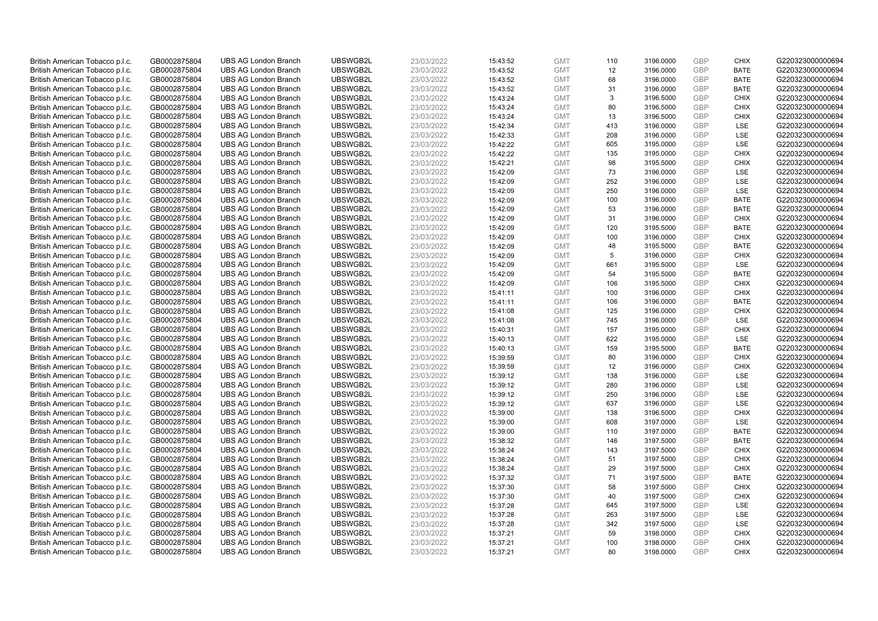| British American Tobacco p.l.c.                                    | GB0002875804                 | <b>UBS AG London Branch</b>                                | UBSWGB2L             | 23/03/2022               | 15:43:52             | <b>GMT</b>               | 110        | 3196.0000              | <b>GBP</b>               | <b>CHIX</b>                | G220323000000694                     |
|--------------------------------------------------------------------|------------------------------|------------------------------------------------------------|----------------------|--------------------------|----------------------|--------------------------|------------|------------------------|--------------------------|----------------------------|--------------------------------------|
| British American Tobacco p.l.c.                                    | GB0002875804                 | <b>UBS AG London Branch</b>                                | UBSWGB2L             | 23/03/2022               | 15:43:52             | <b>GMT</b>               | 12         | 3196.0000              | <b>GBP</b>               | <b>BATE</b>                | G220323000000694                     |
| British American Tobacco p.l.c.                                    | GB0002875804                 | <b>UBS AG London Branch</b>                                | UBSWGB2L             | 23/03/2022               | 15:43:52             | <b>GMT</b>               | 68         | 3196.0000              | <b>GBP</b>               | <b>BATE</b>                | G220323000000694                     |
| British American Tobacco p.l.c.                                    | GB0002875804                 | <b>UBS AG London Branch</b>                                | UBSWGB2L             | 23/03/2022               | 15:43:52             | <b>GMT</b>               | 31         | 3196.0000              | <b>GBP</b>               | <b>BATE</b>                | G220323000000694                     |
| British American Tobacco p.l.c.                                    | GB0002875804                 | <b>UBS AG London Branch</b>                                | UBSWGB2L             | 23/03/2022               | 15:43:24             | <b>GMT</b>               | 3          | 3196.5000              | <b>GBP</b>               | <b>CHIX</b>                | G220323000000694                     |
| British American Tobacco p.l.c.                                    | GB0002875804                 | <b>UBS AG London Branch</b>                                | UBSWGB2L             | 23/03/2022               | 15:43:24             | <b>GMT</b>               | 80         | 3196.5000              | <b>GBP</b>               | <b>CHIX</b>                | G220323000000694                     |
| British American Tobacco p.l.c.                                    | GB0002875804                 | <b>UBS AG London Branch</b>                                | UBSWGB2L             | 23/03/2022               | 15:43:24             | <b>GMT</b>               | 13         | 3196.5000              | <b>GBP</b>               | <b>CHIX</b>                | G220323000000694                     |
| British American Tobacco p.l.c.                                    | GB0002875804                 | <b>UBS AG London Branch</b>                                | UBSWGB2L             | 23/03/2022               | 15:42:34             | <b>GMT</b>               | 413        | 3196.0000              | <b>GBP</b>               | LSE                        | G220323000000694                     |
| British American Tobacco p.l.c.                                    | GB0002875804                 | <b>UBS AG London Branch</b>                                | UBSWGB2L             | 23/03/2022               | 15:42:33             | <b>GMT</b>               | 208        | 3196.0000              | <b>GBP</b>               | LSE                        | G220323000000694                     |
| British American Tobacco p.l.c.                                    | GB0002875804                 | <b>UBS AG London Branch</b>                                | UBSWGB2L             | 23/03/2022               | 15:42:22             | <b>GMT</b>               | 605        | 3195.0000              | <b>GBP</b>               | LSE                        | G220323000000694                     |
| British American Tobacco p.l.c.                                    | GB0002875804                 | <b>UBS AG London Branch</b>                                | UBSWGB2L             | 23/03/2022               | 15:42:22             | <b>GMT</b>               | 135        | 3195.0000              | <b>GBP</b>               | <b>CHIX</b>                | G220323000000694                     |
| British American Tobacco p.l.c.                                    | GB0002875804                 | <b>UBS AG London Branch</b>                                | UBSWGB2L             | 23/03/2022               | 15:42:21             | <b>GMT</b>               | 98         | 3195.5000              | <b>GBP</b>               | <b>CHIX</b>                | G220323000000694                     |
| British American Tobacco p.l.c.                                    | GB0002875804                 | <b>UBS AG London Branch</b>                                | UBSWGB2L             | 23/03/2022               | 15:42:09             | <b>GMT</b>               | 73         | 3196.0000              | <b>GBP</b>               | LSE                        | G220323000000694                     |
| British American Tobacco p.l.c.                                    | GB0002875804                 | <b>UBS AG London Branch</b>                                | UBSWGB2L             | 23/03/2022               | 15:42:09             | <b>GMT</b>               | 252        | 3196.0000              | <b>GBP</b>               | LSE                        | G220323000000694                     |
| British American Tobacco p.l.c.                                    | GB0002875804                 | <b>UBS AG London Branch</b>                                | UBSWGB2L             | 23/03/2022               | 15:42:09             | <b>GMT</b>               | 250        | 3196.0000              | <b>GBP</b>               | LSE                        | G220323000000694                     |
| British American Tobacco p.l.c.                                    | GB0002875804                 | <b>UBS AG London Branch</b>                                | UBSWGB2L             | 23/03/2022               | 15:42:09             | <b>GMT</b>               | 100        | 3196.0000              | <b>GBP</b>               | <b>BATE</b>                | G220323000000694                     |
| British American Tobacco p.l.c.                                    | GB0002875804                 | <b>UBS AG London Branch</b>                                | UBSWGB2L             | 23/03/2022               | 15:42:09             | <b>GMT</b>               | 53         | 3196.0000              | <b>GBP</b>               | <b>BATE</b>                | G220323000000694                     |
| British American Tobacco p.l.c.                                    | GB0002875804                 | <b>UBS AG London Branch</b>                                | UBSWGB2L             | 23/03/2022               | 15:42:09             | <b>GMT</b>               | 31         | 3196.0000              | <b>GBP</b>               | <b>CHIX</b>                | G220323000000694                     |
| British American Tobacco p.l.c.                                    | GB0002875804                 | <b>UBS AG London Branch</b>                                | UBSWGB2L             | 23/03/2022               | 15:42:09             | <b>GMT</b>               | 120        | 3195.5000              | <b>GBP</b>               | <b>BATE</b>                | G220323000000694                     |
| British American Tobacco p.l.c.                                    | GB0002875804                 | <b>UBS AG London Branch</b>                                | UBSWGB2L             | 23/03/2022               | 15:42:09             | <b>GMT</b>               | 100        | 3196.0000              | <b>GBP</b>               | <b>CHIX</b>                | G220323000000694                     |
| British American Tobacco p.l.c.                                    | GB0002875804                 | <b>UBS AG London Branch</b>                                | UBSWGB2L             | 23/03/2022               | 15:42:09             | <b>GMT</b>               | 48         | 3195.5000              | <b>GBP</b>               | <b>BATE</b>                | G220323000000694                     |
| British American Tobacco p.l.c.                                    | GB0002875804                 | <b>UBS AG London Branch</b>                                | UBSWGB2L             | 23/03/2022               | 15:42:09             | <b>GMT</b>               | 5          | 3196.0000              | <b>GBP</b>               | <b>CHIX</b>                | G220323000000694                     |
| British American Tobacco p.l.c.                                    | GB0002875804                 | <b>UBS AG London Branch</b>                                | UBSWGB2L             | 23/03/2022               | 15:42:09             | <b>GMT</b>               | 661        | 3195.5000              | <b>GBP</b>               | LSE                        | G220323000000694                     |
| British American Tobacco p.l.c.                                    | GB0002875804                 | <b>UBS AG London Branch</b>                                | UBSWGB2L             | 23/03/2022               | 15:42:09             | <b>GMT</b>               | 54         | 3195.5000              | <b>GBP</b>               | <b>BATE</b>                | G220323000000694                     |
| British American Tobacco p.l.c.                                    | GB0002875804                 | <b>UBS AG London Branch</b>                                | UBSWGB2L             | 23/03/2022               | 15:42:09             | <b>GMT</b>               | 106        | 3195.5000              | <b>GBP</b>               | <b>CHIX</b>                | G220323000000694                     |
| British American Tobacco p.l.c.                                    | GB0002875804                 | <b>UBS AG London Branch</b>                                | UBSWGB2L             | 23/03/2022               | 15:41:11             | <b>GMT</b>               | 100        | 3196.0000              | <b>GBP</b><br><b>GBP</b> | <b>CHIX</b>                | G220323000000694                     |
| British American Tobacco p.l.c.<br>British American Tobacco p.l.c. | GB0002875804<br>GB0002875804 | <b>UBS AG London Branch</b><br><b>UBS AG London Branch</b> | UBSWGB2L<br>UBSWGB2L | 23/03/2022<br>23/03/2022 | 15:41:11<br>15:41:08 | <b>GMT</b><br><b>GMT</b> | 106<br>125 | 3196.0000<br>3196.0000 | <b>GBP</b>               | <b>BATE</b><br><b>CHIX</b> | G220323000000694<br>G220323000000694 |
| British American Tobacco p.l.c.                                    | GB0002875804                 | <b>UBS AG London Branch</b>                                | UBSWGB2L             | 23/03/2022               | 15:41:08             | <b>GMT</b>               | 745        | 3196.0000              | <b>GBP</b>               | LSE                        | G220323000000694                     |
| British American Tobacco p.l.c.                                    | GB0002875804                 | <b>UBS AG London Branch</b>                                | UBSWGB2L             | 23/03/2022               | 15:40:31             | <b>GMT</b>               | 157        | 3195.0000              | <b>GBP</b>               | <b>CHIX</b>                | G220323000000694                     |
| British American Tobacco p.l.c.                                    | GB0002875804                 | <b>UBS AG London Branch</b>                                | UBSWGB2L             | 23/03/2022               | 15:40:13             | <b>GMT</b>               | 622        | 3195.0000              | <b>GBP</b>               | LSE                        | G220323000000694                     |
| British American Tobacco p.l.c.                                    | GB0002875804                 | <b>UBS AG London Branch</b>                                | UBSWGB2L             | 23/03/2022               | 15:40:13             | <b>GMT</b>               | 159        | 3195.5000              | <b>GBP</b>               | BATE                       | G220323000000694                     |
| British American Tobacco p.l.c.                                    | GB0002875804                 | <b>UBS AG London Branch</b>                                | UBSWGB2L             | 23/03/2022               | 15:39:59             | <b>GMT</b>               | 80         | 3196.0000              | <b>GBP</b>               | <b>CHIX</b>                | G220323000000694                     |
| British American Tobacco p.l.c.                                    | GB0002875804                 | <b>UBS AG London Branch</b>                                | UBSWGB2L             | 23/03/2022               | 15:39:59             | <b>GMT</b>               | 12         | 3196.0000              | <b>GBP</b>               | <b>CHIX</b>                | G220323000000694                     |
| British American Tobacco p.l.c.                                    | GB0002875804                 | <b>UBS AG London Branch</b>                                | UBSWGB2L             | 23/03/2022               | 15:39:12             | <b>GMT</b>               | 138        | 3196.0000              | <b>GBP</b>               | LSE                        | G220323000000694                     |
| British American Tobacco p.l.c.                                    | GB0002875804                 | <b>UBS AG London Branch</b>                                | UBSWGB2L             | 23/03/2022               | 15:39:12             | <b>GMT</b>               | 280        | 3196.0000              | <b>GBP</b>               | LSE                        | G220323000000694                     |
| British American Tobacco p.l.c.                                    | GB0002875804                 | <b>UBS AG London Branch</b>                                | UBSWGB2L             | 23/03/2022               | 15:39:12             | <b>GMT</b>               | 250        | 3196.0000              | <b>GBP</b>               | LSE                        | G220323000000694                     |
| British American Tobacco p.l.c.                                    | GB0002875804                 | <b>UBS AG London Branch</b>                                | UBSWGB2L             | 23/03/2022               | 15:39:12             | <b>GMT</b>               | 637        | 3196.0000              | <b>GBP</b>               | LSE                        | G220323000000694                     |
| British American Tobacco p.l.c.                                    | GB0002875804                 | <b>UBS AG London Branch</b>                                | UBSWGB2L             | 23/03/2022               | 15:39:00             | <b>GMT</b>               | 138        | 3196.5000              | <b>GBP</b>               | <b>CHIX</b>                | G220323000000694                     |
| British American Tobacco p.l.c.                                    | GB0002875804                 | <b>UBS AG London Branch</b>                                | UBSWGB2L             | 23/03/2022               | 15:39:00             | <b>GMT</b>               | 608        | 3197.0000              | <b>GBP</b>               | LSE                        | G220323000000694                     |
| British American Tobacco p.l.c.                                    | GB0002875804                 | <b>UBS AG London Branch</b>                                | UBSWGB2L             | 23/03/2022               | 15:39:00             | <b>GMT</b>               | 110        | 3197.0000              | <b>GBP</b>               | <b>BATE</b>                | G220323000000694                     |
| British American Tobacco p.l.c.                                    | GB0002875804                 | <b>UBS AG London Branch</b>                                | UBSWGB2L             | 23/03/2022               | 15:38:32             | <b>GMT</b>               | 146        | 3197.5000              | <b>GBP</b>               | <b>BATE</b>                | G220323000000694                     |
| British American Tobacco p.l.c.                                    | GB0002875804                 | <b>UBS AG London Branch</b>                                | UBSWGB2L             | 23/03/2022               | 15:38:24             | <b>GMT</b>               | 143        | 3197.5000              | <b>GBP</b>               | <b>CHIX</b>                | G220323000000694                     |
| British American Tobacco p.l.c.                                    | GB0002875804                 | <b>UBS AG London Branch</b>                                | UBSWGB2L             | 23/03/2022               | 15:38:24             | <b>GMT</b>               | 51         | 3197.5000              | GBP                      | <b>CHIX</b>                | G220323000000694                     |
| British American Tobacco p.l.c.                                    | GB0002875804                 | <b>UBS AG London Branch</b>                                | UBSWGB2L             | 23/03/2022               | 15:38:24             | <b>GMT</b>               | 29         | 3197.5000              | <b>GBP</b>               | <b>CHIX</b>                | G220323000000694                     |
| British American Tobacco p.l.c.                                    | GB0002875804                 | <b>UBS AG London Branch</b>                                | UBSWGB2L             | 23/03/2022               | 15:37:32             | <b>GMT</b>               | 71         | 3197.5000              | <b>GBP</b>               | <b>BATE</b>                | G220323000000694                     |
| British American Tobacco p.l.c.                                    | GB0002875804                 | <b>UBS AG London Branch</b>                                | UBSWGB2L             | 23/03/2022               | 15:37:30             | <b>GMT</b>               | 58         | 3197.5000              | <b>GBP</b>               | <b>CHIX</b>                | G220323000000694                     |
| British American Tobacco p.l.c.                                    | GB0002875804                 | <b>UBS AG London Branch</b>                                | UBSWGB2L             | 23/03/2022               | 15:37:30             | <b>GMT</b>               | 40         | 3197.5000              | <b>GBP</b>               | <b>CHIX</b>                | G220323000000694                     |
| British American Tobacco p.l.c.                                    | GB0002875804                 | <b>UBS AG London Branch</b>                                | UBSWGB2L             | 23/03/2022               | 15:37:28             | <b>GMT</b>               | 645        | 3197.5000              | <b>GBP</b>               | LSE                        | G220323000000694                     |
| British American Tobacco p.l.c.                                    | GB0002875804                 | <b>UBS AG London Branch</b>                                | UBSWGB2L             | 23/03/2022               | 15:37:28             | <b>GMT</b>               | 263        | 3197.5000              | <b>GBP</b>               | LSE                        | G220323000000694                     |
| British American Tobacco p.l.c.                                    | GB0002875804                 | <b>UBS AG London Branch</b>                                | UBSWGB2L             | 23/03/2022               | 15:37:28             | <b>GMT</b>               | 342        | 3197.5000              | <b>GBP</b>               | LSE                        | G220323000000694                     |
| British American Tobacco p.l.c.                                    | GB0002875804                 | <b>UBS AG London Branch</b>                                | UBSWGB2L             | 23/03/2022               | 15:37:21             | <b>GMT</b>               | 59         | 3198.0000              | <b>GBP</b>               | <b>CHIX</b>                | G220323000000694                     |
| British American Tobacco p.l.c.                                    | GB0002875804                 | <b>UBS AG London Branch</b>                                | UBSWGB2L             | 23/03/2022               | 15:37:21             | <b>GMT</b>               | 100        | 3198.0000              | <b>GBP</b>               | <b>CHIX</b>                | G220323000000694                     |
| British American Tobacco p.l.c.                                    | GB0002875804                 | <b>UBS AG London Branch</b>                                | UBSWGB2L             | 23/03/2022               | 15:37:21             | <b>GMT</b>               | 80         | 3198.0000              | GBP                      | <b>CHIX</b>                | G220323000000694                     |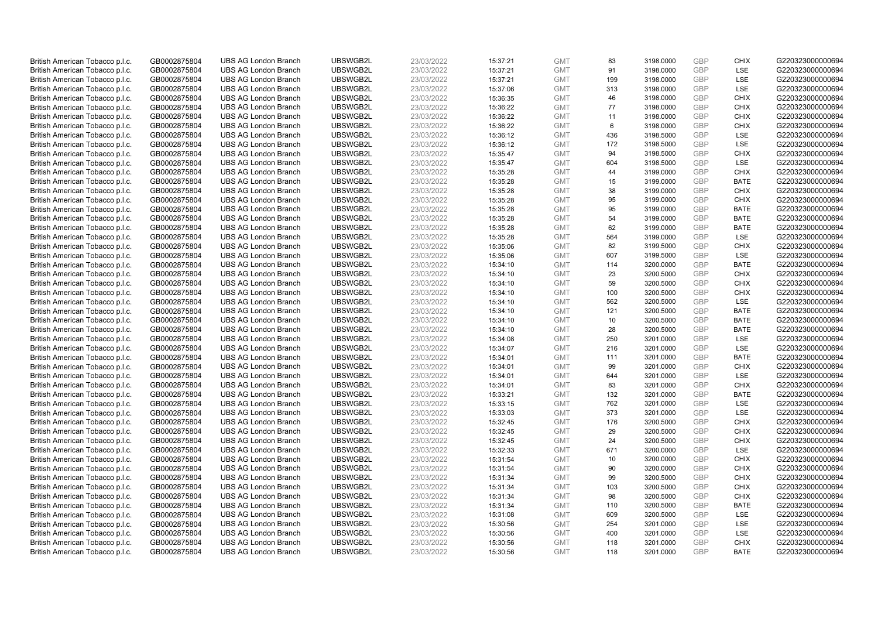| British American Tobacco p.l.c.                                    | GB0002875804                 | <b>UBS AG London Branch</b>                                | UBSWGB2L             | 23/03/2022               | 15:37:21             | <b>GMT</b>               | 83        | 3198.0000              | <b>GBP</b>               | <b>CHIX</b>                | G220323000000694                     |
|--------------------------------------------------------------------|------------------------------|------------------------------------------------------------|----------------------|--------------------------|----------------------|--------------------------|-----------|------------------------|--------------------------|----------------------------|--------------------------------------|
| British American Tobacco p.l.c.                                    | GB0002875804                 | <b>UBS AG London Branch</b>                                | UBSWGB2L             | 23/03/2022               | 15:37:21             | <b>GMT</b>               | 91        | 3198.0000              | GBP                      | LSE                        | G220323000000694                     |
| British American Tobacco p.l.c.                                    | GB0002875804                 | <b>UBS AG London Branch</b>                                | UBSWGB2L             | 23/03/2022               | 15:37:21             | <b>GMT</b>               | 199       | 3198.0000              | <b>GBP</b>               | LSE                        | G220323000000694                     |
| British American Tobacco p.l.c.                                    | GB0002875804                 | <b>UBS AG London Branch</b>                                | UBSWGB2L             | 23/03/2022               | 15:37:06             | <b>GMT</b>               | 313       | 3198.0000              | <b>GBP</b>               | LSE                        | G220323000000694                     |
| British American Tobacco p.l.c.                                    | GB0002875804                 | <b>UBS AG London Branch</b>                                | UBSWGB2L             | 23/03/2022               | 15:36:35             | <b>GMT</b>               | 46        | 3198.0000              | <b>GBP</b>               | <b>CHIX</b>                | G220323000000694                     |
| British American Tobacco p.l.c.                                    | GB0002875804                 | <b>UBS AG London Branch</b>                                | UBSWGB2L             | 23/03/2022               | 15:36:22             | <b>GMT</b>               | 77        | 3198.0000              | <b>GBP</b>               | <b>CHIX</b>                | G220323000000694                     |
| British American Tobacco p.l.c.                                    | GB0002875804                 | <b>UBS AG London Branch</b>                                | UBSWGB2L             | 23/03/2022               | 15:36:22             | <b>GMT</b>               | 11        | 3198.0000              | <b>GBP</b>               | <b>CHIX</b>                | G220323000000694                     |
| British American Tobacco p.l.c.                                    | GB0002875804                 | <b>UBS AG London Branch</b>                                | UBSWGB2L             | 23/03/2022               | 15:36:22             | <b>GMT</b>               | 6         | 3198.0000              | <b>GBP</b>               | <b>CHIX</b>                | G220323000000694                     |
| British American Tobacco p.l.c.                                    | GB0002875804                 | <b>UBS AG London Branch</b>                                | UBSWGB2L             | 23/03/2022               | 15:36:12             | <b>GMT</b>               | 436       | 3198.5000              | <b>GBP</b>               | LSE                        | G220323000000694                     |
| British American Tobacco p.l.c.                                    | GB0002875804                 | <b>UBS AG London Branch</b>                                | UBSWGB2L             | 23/03/2022               | 15:36:12             | <b>GMT</b>               | 172       | 3198.5000              | <b>GBP</b>               | LSE                        | G220323000000694                     |
| British American Tobacco p.l.c.                                    | GB0002875804                 | <b>UBS AG London Branch</b>                                | UBSWGB2L             | 23/03/2022               | 15:35:47             | <b>GMT</b>               | 94        | 3198.5000              | <b>GBP</b>               | <b>CHIX</b>                | G220323000000694                     |
| British American Tobacco p.l.c.                                    | GB0002875804                 | <b>UBS AG London Branch</b>                                | UBSWGB2L             | 23/03/2022               | 15:35:47             | <b>GMT</b>               | 604       | 3198.5000              | <b>GBP</b>               | LSE                        | G220323000000694                     |
| British American Tobacco p.l.c.                                    | GB0002875804                 | <b>UBS AG London Branch</b>                                | UBSWGB2L             | 23/03/2022               | 15:35:28             | <b>GMT</b>               | 44        | 3199.0000              | <b>GBP</b>               | <b>CHIX</b>                | G220323000000694                     |
| British American Tobacco p.l.c.                                    | GB0002875804                 | <b>UBS AG London Branch</b>                                | UBSWGB2L             | 23/03/2022               | 15:35:28             | <b>GMT</b>               | 15        | 3199.0000              | <b>GBP</b>               | <b>BATE</b>                | G220323000000694                     |
| British American Tobacco p.l.c.                                    | GB0002875804                 | <b>UBS AG London Branch</b>                                | UBSWGB2L             | 23/03/2022               | 15:35:28             | <b>GMT</b>               | 38        | 3199.0000              | <b>GBP</b>               | <b>CHIX</b>                | G220323000000694                     |
| British American Tobacco p.l.c.                                    | GB0002875804                 | <b>UBS AG London Branch</b>                                | UBSWGB2L             | 23/03/2022               | 15:35:28             | <b>GMT</b>               | 95        | 3199.0000              | <b>GBP</b><br><b>GBP</b> | <b>CHIX</b>                | G220323000000694                     |
| British American Tobacco p.l.c.                                    | GB0002875804                 | <b>UBS AG London Branch</b>                                | UBSWGB2L             | 23/03/2022               | 15:35:28             | <b>GMT</b>               | 95        | 3199.0000              |                          | <b>BATE</b>                | G220323000000694                     |
| British American Tobacco p.l.c.                                    | GB0002875804                 | <b>UBS AG London Branch</b>                                | UBSWGB2L             | 23/03/2022               | 15:35:28             | <b>GMT</b>               | 54        | 3199.0000              | <b>GBP</b>               | <b>BATE</b>                | G220323000000694                     |
| British American Tobacco p.l.c.                                    | GB0002875804                 | <b>UBS AG London Branch</b>                                | UBSWGB2L             | 23/03/2022               | 15:35:28             | <b>GMT</b>               | 62        | 3199.0000              | <b>GBP</b><br><b>GBP</b> | <b>BATE</b>                | G220323000000694                     |
| British American Tobacco p.l.c.                                    | GB0002875804                 | <b>UBS AG London Branch</b>                                | UBSWGB2L             | 23/03/2022               | 15:35:28             | <b>GMT</b>               | 564       | 3199.0000              |                          | LSE                        | G220323000000694                     |
| British American Tobacco p.l.c.                                    | GB0002875804                 | <b>UBS AG London Branch</b>                                | UBSWGB2L<br>UBSWGB2L | 23/03/2022               | 15:35:06             | <b>GMT</b>               | 82<br>607 | 3199.5000              | <b>GBP</b><br><b>GBP</b> | <b>CHIX</b><br>LSE         | G220323000000694<br>G220323000000694 |
| British American Tobacco p.l.c.                                    | GB0002875804                 | <b>UBS AG London Branch</b>                                |                      | 23/03/2022               | 15:35:06             | <b>GMT</b>               |           | 3199.5000              |                          |                            |                                      |
| British American Tobacco p.l.c.                                    | GB0002875804                 | <b>UBS AG London Branch</b>                                | UBSWGB2L             | 23/03/2022               | 15:34:10             | <b>GMT</b><br><b>GMT</b> | 114       | 3200.0000              | <b>GBP</b><br><b>GBP</b> | <b>BATE</b>                | G220323000000694                     |
| British American Tobacco p.l.c.                                    | GB0002875804<br>GB0002875804 | <b>UBS AG London Branch</b><br><b>UBS AG London Branch</b> | UBSWGB2L<br>UBSWGB2L | 23/03/2022<br>23/03/2022 | 15:34:10             | <b>GMT</b>               | 23<br>59  | 3200.5000<br>3200.5000 | <b>GBP</b>               | <b>CHIX</b><br><b>CHIX</b> | G220323000000694<br>G220323000000694 |
| British American Tobacco p.l.c.<br>British American Tobacco p.l.c. | GB0002875804                 | <b>UBS AG London Branch</b>                                | UBSWGB2L             | 23/03/2022               | 15:34:10<br>15:34:10 | <b>GMT</b>               | 100       | 3200.5000              | <b>GBP</b>               | <b>CHIX</b>                | G220323000000694                     |
| British American Tobacco p.l.c.                                    | GB0002875804                 | <b>UBS AG London Branch</b>                                | UBSWGB2L             | 23/03/2022               | 15:34:10             | <b>GMT</b>               | 562       | 3200.5000              | <b>GBP</b>               | LSE                        | G220323000000694                     |
| British American Tobacco p.l.c.                                    | GB0002875804                 | <b>UBS AG London Branch</b>                                | UBSWGB2L             | 23/03/2022               | 15:34:10             | <b>GMT</b>               | 121       | 3200.5000              | <b>GBP</b>               | <b>BATE</b>                | G220323000000694                     |
| British American Tobacco p.l.c.                                    | GB0002875804                 | <b>UBS AG London Branch</b>                                | UBSWGB2L             | 23/03/2022               | 15:34:10             | <b>GMT</b>               | 10        | 3200.5000              | <b>GBP</b>               | <b>BATE</b>                | G220323000000694                     |
| British American Tobacco p.l.c.                                    | GB0002875804                 | <b>UBS AG London Branch</b>                                | UBSWGB2L             | 23/03/2022               | 15:34:10             | <b>GMT</b>               | 28        | 3200.5000              | <b>GBP</b>               | <b>BATE</b>                | G220323000000694                     |
| British American Tobacco p.l.c.                                    | GB0002875804                 | <b>UBS AG London Branch</b>                                | UBSWGB2L             | 23/03/2022               | 15:34:08             | <b>GMT</b>               | 250       | 3201.0000              | <b>GBP</b>               | LSE                        | G220323000000694                     |
| British American Tobacco p.l.c.                                    | GB0002875804                 | <b>UBS AG London Branch</b>                                | UBSWGB2L             | 23/03/2022               | 15:34:07             | <b>GMT</b>               | 216       | 3201.0000              | <b>GBP</b>               | <b>LSE</b>                 | G220323000000694                     |
| British American Tobacco p.l.c.                                    | GB0002875804                 | <b>UBS AG London Branch</b>                                | UBSWGB2L             | 23/03/2022               | 15:34:01             | <b>GMT</b>               | 111       | 3201.0000              | <b>GBP</b>               | <b>BATE</b>                | G220323000000694                     |
| British American Tobacco p.l.c.                                    | GB0002875804                 | <b>UBS AG London Branch</b>                                | UBSWGB2L             | 23/03/2022               | 15:34:01             | <b>GMT</b>               | 99        | 3201.0000              | <b>GBP</b>               | <b>CHIX</b>                | G220323000000694                     |
| British American Tobacco p.l.c.                                    | GB0002875804                 | <b>UBS AG London Branch</b>                                | UBSWGB2L             | 23/03/2022               | 15:34:01             | <b>GMT</b>               | 644       | 3201.0000              | <b>GBP</b>               | LSE                        | G220323000000694                     |
| British American Tobacco p.l.c.                                    | GB0002875804                 | <b>UBS AG London Branch</b>                                | UBSWGB2L             | 23/03/2022               | 15:34:01             | <b>GMT</b>               | 83        | 3201.0000              | <b>GBP</b>               | <b>CHIX</b>                | G220323000000694                     |
| British American Tobacco p.l.c.                                    | GB0002875804                 | <b>UBS AG London Branch</b>                                | UBSWGB2L             | 23/03/2022               | 15:33:21             | <b>GMT</b>               | 132       | 3201.0000              | <b>GBP</b>               | <b>BATE</b>                | G220323000000694                     |
| British American Tobacco p.l.c.                                    | GB0002875804                 | <b>UBS AG London Branch</b>                                | UBSWGB2L             | 23/03/2022               | 15:33:15             | <b>GMT</b>               | 762       | 3201.0000              | <b>GBP</b>               | LSE                        | G220323000000694                     |
| British American Tobacco p.l.c.                                    | GB0002875804                 | <b>UBS AG London Branch</b>                                | UBSWGB2L             | 23/03/2022               | 15:33:03             | <b>GMT</b>               | 373       | 3201.0000              | <b>GBP</b>               | LSE                        | G220323000000694                     |
| British American Tobacco p.l.c.                                    | GB0002875804                 | <b>UBS AG London Branch</b>                                | UBSWGB2L             | 23/03/2022               | 15:32:45             | <b>GMT</b>               | 176       | 3200.5000              | <b>GBP</b>               | <b>CHIX</b>                | G220323000000694                     |
| British American Tobacco p.l.c.                                    | GB0002875804                 | <b>UBS AG London Branch</b>                                | UBSWGB2L             | 23/03/2022               | 15:32:45             | <b>GMT</b>               | 29        | 3200.5000              | <b>GBP</b>               | <b>CHIX</b>                | G220323000000694                     |
| British American Tobacco p.l.c.                                    | GB0002875804                 | <b>UBS AG London Branch</b>                                | UBSWGB2L             | 23/03/2022               | 15:32:45             | <b>GMT</b>               | 24        | 3200.5000              | <b>GBP</b>               | <b>CHIX</b>                | G220323000000694                     |
| British American Tobacco p.l.c.                                    | GB0002875804                 | <b>UBS AG London Branch</b>                                | UBSWGB2L             | 23/03/2022               | 15:32:33             | <b>GMT</b>               | 671       | 3200.0000              | <b>GBP</b>               | LSE                        | G220323000000694                     |
| British American Tobacco p.l.c.                                    | GB0002875804                 | <b>UBS AG London Branch</b>                                | UBSWGB2L             | 23/03/2022               | 15:31:54             | <b>GMT</b>               | 10        | 3200.0000              | <b>GBP</b>               | <b>CHIX</b>                | G220323000000694                     |
| British American Tobacco p.l.c.                                    | GB0002875804                 | <b>UBS AG London Branch</b>                                | UBSWGB2L             | 23/03/2022               | 15:31:54             | <b>GMT</b>               | 90        | 3200.0000              | <b>GBP</b>               | <b>CHIX</b>                | G220323000000694                     |
| British American Tobacco p.l.c.                                    | GB0002875804                 | <b>UBS AG London Branch</b>                                | UBSWGB2L             | 23/03/2022               | 15:31:34             | <b>GMT</b>               | 99        | 3200.5000              | <b>GBP</b>               | <b>CHIX</b>                | G220323000000694                     |
| British American Tobacco p.l.c.                                    | GB0002875804                 | <b>UBS AG London Branch</b>                                | UBSWGB2L             | 23/03/2022               | 15:31:34             | <b>GMT</b>               | 103       | 3200.5000              | <b>GBP</b>               | <b>CHIX</b>                | G220323000000694                     |
| British American Tobacco p.l.c.                                    | GB0002875804                 | <b>UBS AG London Branch</b>                                | UBSWGB2L             | 23/03/2022               | 15:31:34             | <b>GMT</b>               | 98        | 3200.5000              | <b>GBP</b>               | <b>CHIX</b>                | G220323000000694                     |
| British American Tobacco p.l.c.                                    | GB0002875804                 | <b>UBS AG London Branch</b>                                | UBSWGB2L             | 23/03/2022               | 15:31:34             | <b>GMT</b>               | 110       | 3200.5000              | <b>GBP</b>               | <b>BATE</b>                | G220323000000694                     |
| British American Tobacco p.l.c.                                    | GB0002875804                 | <b>UBS AG London Branch</b>                                | UBSWGB2L             | 23/03/2022               | 15:31:08             | <b>GMT</b>               | 609       | 3200.5000              | <b>GBP</b>               | <b>LSE</b>                 | G220323000000694                     |
| British American Tobacco p.l.c.                                    | GB0002875804                 | <b>UBS AG London Branch</b>                                | UBSWGB2L             | 23/03/2022               | 15:30:56             | <b>GMT</b>               | 254       | 3201.0000              | <b>GBP</b>               | LSE                        | G220323000000694                     |
| British American Tobacco p.l.c.                                    | GB0002875804                 | <b>UBS AG London Branch</b>                                | UBSWGB2L             | 23/03/2022               | 15:30:56             | <b>GMT</b>               | 400       | 3201.0000              | <b>GBP</b>               | LSE                        | G220323000000694                     |
| British American Tobacco p.l.c.                                    | GB0002875804                 | <b>UBS AG London Branch</b>                                | UBSWGB2L             | 23/03/2022               | 15:30:56             | <b>GMT</b>               | 118       | 3201.0000              | <b>GBP</b>               | <b>CHIX</b>                | G220323000000694                     |
| British American Tobacco p.l.c.                                    | GB0002875804                 | <b>UBS AG London Branch</b>                                | UBSWGB2L             | 23/03/2022               | 15:30:56             | <b>GMT</b>               | 118       | 3201.0000              | GBP                      | <b>BATE</b>                | G220323000000694                     |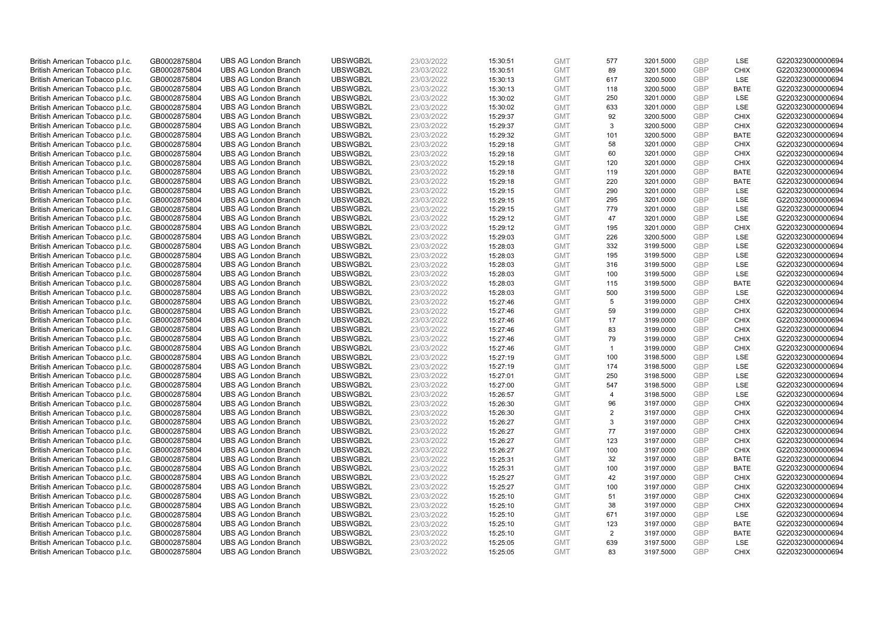| British American Tobacco p.l.c. | GB0002875804 | <b>UBS AG London Branch</b> | UBSWGB2L | 23/03/2022 | 15:30:51 | <b>GMT</b> | 577            | 3201.5000 | <b>GBP</b> | LSE         | G220323000000694 |
|---------------------------------|--------------|-----------------------------|----------|------------|----------|------------|----------------|-----------|------------|-------------|------------------|
| British American Tobacco p.l.c. | GB0002875804 | <b>UBS AG London Branch</b> | UBSWGB2L | 23/03/2022 | 15:30:51 | <b>GMT</b> | 89             | 3201.5000 | <b>GBP</b> | <b>CHIX</b> | G220323000000694 |
| British American Tobacco p.l.c. | GB0002875804 | <b>UBS AG London Branch</b> | UBSWGB2L | 23/03/2022 | 15:30:13 | <b>GMT</b> | 617            | 3200.5000 | GBP        | LSE         | G220323000000694 |
| British American Tobacco p.l.c. | GB0002875804 | <b>UBS AG London Branch</b> | UBSWGB2L | 23/03/2022 | 15:30:13 | <b>GMT</b> | 118            | 3200.5000 | GBP        | <b>BATE</b> | G220323000000694 |
| British American Tobacco p.l.c. | GB0002875804 | <b>UBS AG London Branch</b> | UBSWGB2L | 23/03/2022 | 15:30:02 | <b>GMT</b> | 250            | 3201.0000 | <b>GBP</b> | LSE         | G220323000000694 |
| British American Tobacco p.l.c. | GB0002875804 | <b>UBS AG London Branch</b> | UBSWGB2L | 23/03/2022 | 15:30:02 | <b>GMT</b> | 633            | 3201.0000 | <b>GBP</b> | <b>LSE</b>  | G220323000000694 |
| British American Tobacco p.l.c. | GB0002875804 | <b>UBS AG London Branch</b> | UBSWGB2L | 23/03/2022 | 15:29:37 | <b>GMT</b> | 92             | 3200.5000 | GBP        | <b>CHIX</b> | G220323000000694 |
| British American Tobacco p.l.c. | GB0002875804 | <b>UBS AG London Branch</b> | UBSWGB2L | 23/03/2022 | 15:29:37 | <b>GMT</b> | 3              | 3200.5000 | <b>GBP</b> | <b>CHIX</b> | G220323000000694 |
| British American Tobacco p.l.c. | GB0002875804 | <b>UBS AG London Branch</b> | UBSWGB2L | 23/03/2022 | 15:29:32 | <b>GMT</b> | 101            | 3200.5000 | GBP        | <b>BATE</b> | G220323000000694 |
| British American Tobacco p.l.c. | GB0002875804 | <b>UBS AG London Branch</b> | UBSWGB2L | 23/03/2022 | 15:29:18 | <b>GMT</b> | 58             | 3201.0000 | <b>GBP</b> | <b>CHIX</b> | G220323000000694 |
| British American Tobacco p.l.c. | GB0002875804 | <b>UBS AG London Branch</b> | UBSWGB2L | 23/03/2022 | 15:29:18 | <b>GMT</b> | 60             | 3201.0000 | GBP        | <b>CHIX</b> | G220323000000694 |
| British American Tobacco p.l.c. | GB0002875804 | <b>UBS AG London Branch</b> | UBSWGB2L | 23/03/2022 | 15:29:18 | <b>GMT</b> | 120            | 3201.0000 | <b>GBP</b> | <b>CHIX</b> | G220323000000694 |
| British American Tobacco p.l.c. | GB0002875804 | <b>UBS AG London Branch</b> | UBSWGB2L | 23/03/2022 | 15:29:18 | <b>GMT</b> | 119            | 3201.0000 | <b>GBP</b> | <b>BATE</b> | G220323000000694 |
| British American Tobacco p.l.c. | GB0002875804 | <b>UBS AG London Branch</b> | UBSWGB2L | 23/03/2022 | 15:29:18 | <b>GMT</b> | 220            | 3201.0000 | <b>GBP</b> | <b>BATE</b> | G220323000000694 |
| British American Tobacco p.l.c. | GB0002875804 | <b>UBS AG London Branch</b> | UBSWGB2L | 23/03/2022 | 15:29:15 | <b>GMT</b> | 290            | 3201.0000 | <b>GBP</b> | <b>LSE</b>  | G220323000000694 |
| British American Tobacco p.l.c. | GB0002875804 | <b>UBS AG London Branch</b> | UBSWGB2L | 23/03/2022 | 15:29:15 | <b>GMT</b> | 295            | 3201.0000 | GBP        | LSE         | G220323000000694 |
| British American Tobacco p.l.c. | GB0002875804 | <b>UBS AG London Branch</b> | UBSWGB2L | 23/03/2022 | 15:29:15 | <b>GMT</b> | 779            | 3201.0000 | <b>GBP</b> | LSE         | G220323000000694 |
| British American Tobacco p.l.c. | GB0002875804 | <b>UBS AG London Branch</b> | UBSWGB2L | 23/03/2022 | 15:29:12 | <b>GMT</b> | 47             | 3201.0000 | <b>GBP</b> | LSE         | G220323000000694 |
| British American Tobacco p.l.c. | GB0002875804 | <b>UBS AG London Branch</b> | UBSWGB2L | 23/03/2022 | 15:29:12 | <b>GMT</b> | 195            | 3201.0000 | <b>GBP</b> | <b>CHIX</b> | G220323000000694 |
| British American Tobacco p.l.c. | GB0002875804 | <b>UBS AG London Branch</b> | UBSWGB2L | 23/03/2022 | 15:29:03 | <b>GMT</b> | 226            | 3200.5000 | GBP        | LSE         | G220323000000694 |
| British American Tobacco p.l.c. | GB0002875804 | <b>UBS AG London Branch</b> | UBSWGB2L | 23/03/2022 | 15:28:03 | <b>GMT</b> | 332            | 3199.5000 | GBP        | LSE         | G220323000000694 |
| British American Tobacco p.l.c. | GB0002875804 | <b>UBS AG London Branch</b> | UBSWGB2L | 23/03/2022 | 15:28:03 | <b>GMT</b> | 195            | 3199.5000 | GBP        | LSE         | G220323000000694 |
| British American Tobacco p.l.c. | GB0002875804 | <b>UBS AG London Branch</b> | UBSWGB2L | 23/03/2022 | 15:28:03 | <b>GMT</b> | 316            | 3199.5000 | <b>GBP</b> | LSE         | G220323000000694 |
| British American Tobacco p.l.c. | GB0002875804 | <b>UBS AG London Branch</b> | UBSWGB2L | 23/03/2022 | 15:28:03 | <b>GMT</b> | 100            | 3199.5000 | GBP        | LSE         | G220323000000694 |
| British American Tobacco p.l.c. | GB0002875804 | <b>UBS AG London Branch</b> | UBSWGB2L | 23/03/2022 | 15:28:03 | <b>GMT</b> | 115            | 3199.5000 | <b>GBP</b> | <b>BATE</b> | G220323000000694 |
| British American Tobacco p.l.c. | GB0002875804 | <b>UBS AG London Branch</b> | UBSWGB2L | 23/03/2022 | 15:28:03 | <b>GMT</b> | 500            | 3199.5000 | GBP        | LSE         | G220323000000694 |
| British American Tobacco p.l.c. | GB0002875804 | <b>UBS AG London Branch</b> | UBSWGB2L | 23/03/2022 | 15:27:46 | <b>GMT</b> | 5              | 3199.0000 | <b>GBP</b> | <b>CHIX</b> | G220323000000694 |
| British American Tobacco p.l.c. | GB0002875804 | <b>UBS AG London Branch</b> | UBSWGB2L | 23/03/2022 | 15:27:46 | <b>GMT</b> | 59             | 3199.0000 | GBP        | <b>CHIX</b> | G220323000000694 |
| British American Tobacco p.l.c. | GB0002875804 | <b>UBS AG London Branch</b> | UBSWGB2L | 23/03/2022 | 15:27:46 | <b>GMT</b> | 17             | 3199.0000 | GBP        | <b>CHIX</b> | G220323000000694 |
| British American Tobacco p.l.c. | GB0002875804 | <b>UBS AG London Branch</b> | UBSWGB2L | 23/03/2022 | 15:27:46 | <b>GMT</b> | 83             | 3199.0000 | GBP        | <b>CHIX</b> | G220323000000694 |
| British American Tobacco p.l.c. | GB0002875804 | <b>UBS AG London Branch</b> | UBSWGB2L | 23/03/2022 | 15:27:46 | <b>GMT</b> | 79             | 3199.0000 | GBP        | <b>CHIX</b> | G220323000000694 |
| British American Tobacco p.l.c. | GB0002875804 | <b>UBS AG London Branch</b> | UBSWGB2L | 23/03/2022 | 15:27:46 | <b>GMT</b> | $\overline{1}$ | 3199.0000 | GBP        | <b>CHIX</b> | G220323000000694 |
| British American Tobacco p.l.c. | GB0002875804 | <b>UBS AG London Branch</b> | UBSWGB2L | 23/03/2022 | 15:27:19 | <b>GMT</b> | 100            | 3198.5000 | <b>GBP</b> | LSE         | G220323000000694 |
| British American Tobacco p.l.c. | GB0002875804 | <b>UBS AG London Branch</b> | UBSWGB2L | 23/03/2022 | 15:27:19 | <b>GMT</b> | 174            | 3198.5000 | GBP        | LSE         | G220323000000694 |
| British American Tobacco p.l.c. | GB0002875804 | <b>UBS AG London Branch</b> | UBSWGB2L | 23/03/2022 | 15:27:01 | <b>GMT</b> | 250            | 3198.5000 | GBP        | LSE         | G220323000000694 |
| British American Tobacco p.l.c. | GB0002875804 | <b>UBS AG London Branch</b> | UBSWGB2L | 23/03/2022 | 15:27:00 | <b>GMT</b> | 547            | 3198.5000 | <b>GBP</b> | LSE         | G220323000000694 |
| British American Tobacco p.l.c. | GB0002875804 | <b>UBS AG London Branch</b> | UBSWGB2L | 23/03/2022 | 15:26:57 | <b>GMT</b> | $\overline{4}$ | 3198.5000 | GBP        | <b>LSE</b>  | G220323000000694 |
| British American Tobacco p.l.c. | GB0002875804 | <b>UBS AG London Branch</b> | UBSWGB2L | 23/03/2022 | 15:26:30 | <b>GMT</b> | 96             | 3197.0000 | <b>GBP</b> | <b>CHIX</b> | G220323000000694 |
| British American Tobacco p.l.c. | GB0002875804 | <b>UBS AG London Branch</b> | UBSWGB2L | 23/03/2022 | 15:26:30 | <b>GMT</b> | 2              | 3197.0000 | GBP        | <b>CHIX</b> | G220323000000694 |
| British American Tobacco p.l.c. | GB0002875804 | <b>UBS AG London Branch</b> | UBSWGB2L | 23/03/2022 | 15:26:27 | <b>GMT</b> | 3              | 3197.0000 | <b>GBP</b> | <b>CHIX</b> | G220323000000694 |
| British American Tobacco p.l.c. | GB0002875804 | <b>UBS AG London Branch</b> | UBSWGB2L | 23/03/2022 | 15:26:27 | <b>GMT</b> | 77             | 3197.0000 | <b>GBP</b> | <b>CHIX</b> | G220323000000694 |
| British American Tobacco p.l.c. | GB0002875804 | <b>UBS AG London Branch</b> | UBSWGB2L | 23/03/2022 | 15:26:27 | <b>GMT</b> | 123            | 3197.0000 | GBP        | <b>CHIX</b> | G220323000000694 |
| British American Tobacco p.l.c. | GB0002875804 | <b>UBS AG London Branch</b> | UBSWGB2L | 23/03/2022 | 15:26:27 | <b>GMT</b> | 100            | 3197.0000 | GBP        | <b>CHIX</b> | G220323000000694 |
| British American Tobacco p.l.c. | GB0002875804 | <b>UBS AG London Branch</b> | UBSWGB2L | 23/03/2022 | 15:25:31 | <b>GMT</b> | 32             | 3197.0000 | GBP        | <b>BATE</b> | G220323000000694 |
| British American Tobacco p.l.c. | GB0002875804 | <b>UBS AG London Branch</b> | UBSWGB2L | 23/03/2022 | 15:25:31 | <b>GMT</b> | 100            | 3197.0000 | GBP        | <b>BATE</b> | G220323000000694 |
| British American Tobacco p.l.c. | GB0002875804 | <b>UBS AG London Branch</b> | UBSWGB2L | 23/03/2022 | 15:25:27 | <b>GMT</b> | 42             | 3197.0000 | <b>GBP</b> | <b>CHIX</b> | G220323000000694 |
| British American Tobacco p.l.c. | GB0002875804 | <b>UBS AG London Branch</b> | UBSWGB2L | 23/03/2022 | 15:25:27 | <b>GMT</b> | 100            | 3197.0000 | <b>GBP</b> | <b>CHIX</b> | G220323000000694 |
| British American Tobacco p.l.c. | GB0002875804 | <b>UBS AG London Branch</b> | UBSWGB2L | 23/03/2022 | 15:25:10 | <b>GMT</b> | 51             | 3197.0000 | GBP        | <b>CHIX</b> | G220323000000694 |
| British American Tobacco p.l.c. | GB0002875804 | <b>UBS AG London Branch</b> | UBSWGB2L | 23/03/2022 | 15:25:10 | <b>GMT</b> | 38             | 3197.0000 | <b>GBP</b> | <b>CHIX</b> | G220323000000694 |
| British American Tobacco p.l.c. | GB0002875804 | <b>UBS AG London Branch</b> | UBSWGB2L | 23/03/2022 | 15:25:10 | <b>GMT</b> | 671            | 3197.0000 | GBP        | <b>LSE</b>  | G220323000000694 |
| British American Tobacco p.l.c. | GB0002875804 | <b>UBS AG London Branch</b> | UBSWGB2L | 23/03/2022 | 15:25:10 | <b>GMT</b> | 123            | 3197.0000 | <b>GBP</b> | <b>BATE</b> | G220323000000694 |
| British American Tobacco p.l.c. | GB0002875804 | <b>UBS AG London Branch</b> | UBSWGB2L | 23/03/2022 | 15:25:10 | <b>GMT</b> | 2              | 3197.0000 | <b>GBP</b> | <b>BATE</b> | G220323000000694 |
| British American Tobacco p.l.c. | GB0002875804 | <b>UBS AG London Branch</b> | UBSWGB2L | 23/03/2022 | 15:25:05 | <b>GMT</b> | 639            | 3197.5000 | GBP        | LSE         | G220323000000694 |
| British American Tobacco p.l.c. | GB0002875804 | <b>UBS AG London Branch</b> | UBSWGB2L | 23/03/2022 | 15:25:05 | <b>GMT</b> | 83             | 3197.5000 | GBP        | <b>CHIX</b> | G220323000000694 |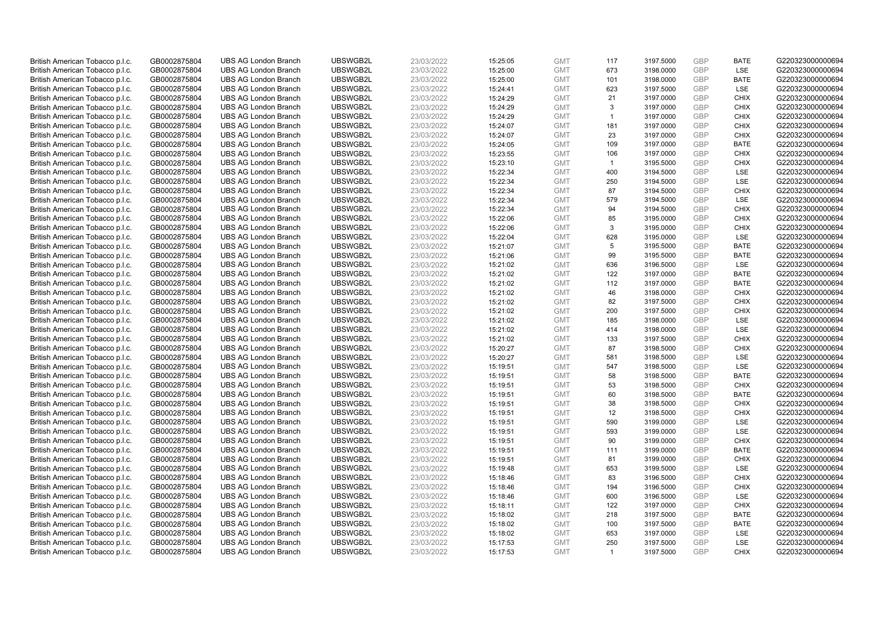| British American Tobacco p.l.c. | GB0002875804 | <b>UBS AG London Branch</b> | UBSWGB2L             | 23/03/2022               | 15:25:05             | <b>GMT</b> | 117            | 3197.5000 | <b>GBP</b>        | <b>BATE</b> | G220323000000694                     |
|---------------------------------|--------------|-----------------------------|----------------------|--------------------------|----------------------|------------|----------------|-----------|-------------------|-------------|--------------------------------------|
| British American Tobacco p.l.c. | GB0002875804 | <b>UBS AG London Branch</b> | UBSWGB2L             | 23/03/2022               | 15:25:00             | <b>GMT</b> | 673            | 3198.0000 | <b>GBP</b>        | LSE         | G220323000000694                     |
| British American Tobacco p.l.c. | GB0002875804 | <b>UBS AG London Branch</b> | UBSWGB2L             | 23/03/2022               | 15:25:00             | <b>GMT</b> | 101            | 3198.0000 | <b>GBP</b>        | <b>BATE</b> | G220323000000694                     |
| British American Tobacco p.l.c. | GB0002875804 | <b>UBS AG London Branch</b> | UBSWGB2L             | 23/03/2022               | 15:24:41             | <b>GMT</b> | 623            | 3197.5000 | <b>GBP</b>        | LSE         | G220323000000694                     |
| British American Tobacco p.l.c. | GB0002875804 | <b>UBS AG London Branch</b> | UBSWGB2L             | 23/03/2022               | 15:24:29             | <b>GMT</b> | 21             | 3197.0000 | <b>GBP</b>        | <b>CHIX</b> | G220323000000694                     |
| British American Tobacco p.l.c. | GB0002875804 | <b>UBS AG London Branch</b> | UBSWGB2L             | 23/03/2022               | 15:24:29             | <b>GMT</b> | 3              | 3197.0000 | <b>GBP</b>        | <b>CHIX</b> | G220323000000694                     |
| British American Tobacco p.l.c. | GB0002875804 | <b>UBS AG London Branch</b> | UBSWGB2L             | 23/03/2022               | 15:24:29             | <b>GMT</b> | $\mathbf{1}$   | 3197.0000 | <b>GBP</b>        | <b>CHIX</b> | G220323000000694                     |
| British American Tobacco p.l.c. | GB0002875804 | <b>UBS AG London Branch</b> | UBSWGB2L             | 23/03/2022               | 15:24:07             | <b>GMT</b> | 181            | 3197.0000 | <b>GBP</b>        | <b>CHIX</b> | G220323000000694                     |
| British American Tobacco p.l.c. | GB0002875804 | <b>UBS AG London Branch</b> | UBSWGB2L             | 23/03/2022               | 15:24:07             | <b>GMT</b> | 23             | 3197.0000 | <b>GBP</b>        | <b>CHIX</b> | G220323000000694                     |
| British American Tobacco p.l.c. | GB0002875804 | <b>UBS AG London Branch</b> | UBSWGB2L             | 23/03/2022               | 15:24:05             | <b>GMT</b> | 109            | 3197.0000 | <b>GBP</b>        | <b>BATE</b> | G220323000000694                     |
| British American Tobacco p.l.c. | GB0002875804 | <b>UBS AG London Branch</b> | UBSWGB2L             | 23/03/2022               | 15:23:55             | <b>GMT</b> | 106            | 3197.0000 | <b>GBP</b>        | <b>CHIX</b> | G220323000000694                     |
| British American Tobacco p.l.c. | GB0002875804 | <b>UBS AG London Branch</b> | UBSWGB2L             | 23/03/2022               | 15:23:10             | <b>GMT</b> | $\overline{1}$ | 3195.5000 | <b>GBP</b>        | <b>CHIX</b> | G220323000000694                     |
| British American Tobacco p.l.c. | GB0002875804 | <b>UBS AG London Branch</b> | UBSWGB2L             | 23/03/2022               | 15:22:34             | <b>GMT</b> | 400            | 3194.5000 | <b>GBP</b>        | LSE         | G220323000000694                     |
| British American Tobacco p.l.c. | GB0002875804 | <b>UBS AG London Branch</b> | UBSWGB2L             | 23/03/2022               | 15:22:34             | <b>GMT</b> | 250            | 3194.5000 | <b>GBP</b>        | LSE         | G220323000000694                     |
| British American Tobacco p.l.c. | GB0002875804 | <b>UBS AG London Branch</b> | UBSWGB2L             | 23/03/2022               | 15:22:34             | <b>GMT</b> | 87             | 3194.5000 | GBP               | CHIX        | G220323000000694                     |
| British American Tobacco p.l.c. | GB0002875804 | <b>UBS AG London Branch</b> | UBSWGB2L             | 23/03/2022               | 15:22:34             | <b>GMT</b> | 579            | 3194.5000 | GBP               | LSE         | G220323000000694                     |
| British American Tobacco p.l.c. | GB0002875804 | <b>UBS AG London Branch</b> | UBSWGB2L             | 23/03/2022               | 15:22:34             | <b>GMT</b> | 94             | 3194.5000 | GBP               | <b>CHIX</b> | G220323000000694                     |
| British American Tobacco p.l.c. | GB0002875804 | <b>UBS AG London Branch</b> | UBSWGB2L             | 23/03/2022               | 15:22:06             | <b>GMT</b> | 85             | 3195.0000 | GBP               | <b>CHIX</b> | G220323000000694                     |
| British American Tobacco p.l.c. | GB0002875804 | <b>UBS AG London Branch</b> | UBSWGB2L             | 23/03/2022               | 15:22:06             | <b>GMT</b> | 3              | 3195.0000 | <b>GBP</b>        | <b>CHIX</b> | G220323000000694                     |
| British American Tobacco p.l.c. | GB0002875804 | <b>UBS AG London Branch</b> | UBSWGB2L             | 23/03/2022               | 15:22:04             | <b>GMT</b> | 628            | 3195.0000 | <b>GBP</b>        | LSE         | G220323000000694                     |
|                                 |              | <b>UBS AG London Branch</b> |                      |                          |                      | <b>GMT</b> | 5              | 3195.5000 | <b>GBP</b>        | <b>BATE</b> |                                      |
| British American Tobacco p.l.c. | GB0002875804 | <b>UBS AG London Branch</b> | UBSWGB2L<br>UBSWGB2L | 23/03/2022<br>23/03/2022 | 15:21:07<br>15:21:06 | <b>GMT</b> | 99             | 3195.5000 | GBP               | <b>BATE</b> | G220323000000694<br>G220323000000694 |
| British American Tobacco p.l.c. | GB0002875804 |                             |                      |                          |                      |            |                |           |                   |             |                                      |
| British American Tobacco p.l.c. | GB0002875804 | <b>UBS AG London Branch</b> | UBSWGB2L             | 23/03/2022               | 15:21:02             | <b>GMT</b> | 636            | 3196.5000 | <b>GBP</b><br>GBP | LSE         | G220323000000694                     |
| British American Tobacco p.l.c. | GB0002875804 | <b>UBS AG London Branch</b> | UBSWGB2L             | 23/03/2022               | 15:21:02             | <b>GMT</b> | 122            | 3197.0000 |                   | <b>BATE</b> | G220323000000694                     |
| British American Tobacco p.l.c. | GB0002875804 | <b>UBS AG London Branch</b> | UBSWGB2L             | 23/03/2022               | 15:21:02             | <b>GMT</b> | 112            | 3197.0000 | <b>GBP</b>        | <b>BATE</b> | G220323000000694                     |
| British American Tobacco p.l.c. | GB0002875804 | <b>UBS AG London Branch</b> | UBSWGB2L             | 23/03/2022               | 15:21:02             | <b>GMT</b> | 46             | 3198.0000 | GBP               | <b>CHIX</b> | G220323000000694                     |
| British American Tobacco p.l.c. | GB0002875804 | <b>UBS AG London Branch</b> | UBSWGB2L             | 23/03/2022               | 15:21:02             | <b>GMT</b> | 82             | 3197.5000 | <b>GBP</b>        | <b>CHIX</b> | G220323000000694                     |
| British American Tobacco p.l.c. | GB0002875804 | <b>UBS AG London Branch</b> | UBSWGB2L             | 23/03/2022               | 15:21:02             | <b>GMT</b> | 200            | 3197.5000 | GBP               | <b>CHIX</b> | G220323000000694                     |
| British American Tobacco p.l.c. | GB0002875804 | <b>UBS AG London Branch</b> | UBSWGB2L             | 23/03/2022               | 15:21:02             | <b>GMT</b> | 185            | 3198.0000 | GBP               | <b>LSE</b>  | G220323000000694                     |
| British American Tobacco p.l.c. | GB0002875804 | <b>UBS AG London Branch</b> | UBSWGB2L             | 23/03/2022               | 15:21:02             | <b>GMT</b> | 414            | 3198.0000 | GBP               | LSE         | G220323000000694                     |
| British American Tobacco p.l.c. | GB0002875804 | <b>UBS AG London Branch</b> | UBSWGB2L             | 23/03/2022               | 15:21:02             | <b>GMT</b> | 133            | 3197.5000 | <b>GBP</b>        | <b>CHIX</b> | G220323000000694                     |
| British American Tobacco p.l.c. | GB0002875804 | <b>UBS AG London Branch</b> | UBSWGB2L             | 23/03/2022               | 15:20:27             | <b>GMT</b> | 87             | 3198.5000 | GBP               | CHIX        | G220323000000694                     |
| British American Tobacco p.l.c. | GB0002875804 | <b>UBS AG London Branch</b> | UBSWGB2L             | 23/03/2022               | 15:20:27             | <b>GMT</b> | 581            | 3198.5000 | <b>GBP</b>        | LSE         | G220323000000694                     |
| British American Tobacco p.l.c. | GB0002875804 | <b>UBS AG London Branch</b> | UBSWGB2L             | 23/03/2022               | 15:19:51             | <b>GMT</b> | 547            | 3198.5000 | <b>GBP</b>        | LSE         | G220323000000694                     |
| British American Tobacco p.l.c. | GB0002875804 | <b>UBS AG London Branch</b> | UBSWGB2L             | 23/03/2022               | 15:19:51             | <b>GMT</b> | 58             | 3198.5000 | <b>GBP</b>        | <b>BATE</b> | G220323000000694                     |
| British American Tobacco p.l.c. | GB0002875804 | <b>UBS AG London Branch</b> | UBSWGB2L             | 23/03/2022               | 15:19:51             | <b>GMT</b> | 53             | 3198.5000 | <b>GBP</b>        | <b>CHIX</b> | G220323000000694                     |
| British American Tobacco p.l.c. | GB0002875804 | <b>UBS AG London Branch</b> | UBSWGB2L             | 23/03/2022               | 15:19:51             | <b>GMT</b> | 60             | 3198.5000 | <b>GBP</b>        | <b>BATE</b> | G220323000000694                     |
| British American Tobacco p.l.c. | GB0002875804 | <b>UBS AG London Branch</b> | UBSWGB2L             | 23/03/2022               | 15:19:51             | <b>GMT</b> | 38             | 3198.5000 | <b>GBP</b>        | <b>CHIX</b> | G220323000000694                     |
| British American Tobacco p.l.c. | GB0002875804 | <b>UBS AG London Branch</b> | UBSWGB2L             | 23/03/2022               | 15:19:51             | <b>GMT</b> | 12             | 3198.5000 | GBP               | <b>CHIX</b> | G220323000000694                     |
| British American Tobacco p.l.c. | GB0002875804 | <b>UBS AG London Branch</b> | UBSWGB2L             | 23/03/2022               | 15:19:51             | <b>GMT</b> | 590            | 3199.0000 | <b>GBP</b>        | <b>LSE</b>  | G220323000000694                     |
| British American Tobacco p.l.c. | GB0002875804 | <b>UBS AG London Branch</b> | UBSWGB2L             | 23/03/2022               | 15:19:51             | <b>GMT</b> | 593            | 3199.0000 | GBP               | LSE         | G220323000000694                     |
| British American Tobacco p.l.c. | GB0002875804 | <b>UBS AG London Branch</b> | UBSWGB2L             | 23/03/2022               | 15:19:51             | <b>GMT</b> | 90             | 3199.0000 | <b>GBP</b>        | <b>CHIX</b> | G220323000000694                     |
| British American Tobacco p.l.c. | GB0002875804 | <b>UBS AG London Branch</b> | UBSWGB2L             | 23/03/2022               | 15:19:51             | <b>GMT</b> | 111            | 3199.0000 | <b>GBP</b>        | <b>BATE</b> | G220323000000694                     |
| British American Tobacco p.l.c. | GB0002875804 | <b>UBS AG London Branch</b> | UBSWGB2L             | 23/03/2022               | 15:19:51             | <b>GMT</b> | 81             | 3199.0000 | GBP               | <b>CHIX</b> | G220323000000694                     |
| British American Tobacco p.l.c. | GB0002875804 | <b>UBS AG London Branch</b> | UBSWGB2L             | 23/03/2022               | 15:19:48             | <b>GMT</b> | 653            | 3199.5000 | <b>GBP</b>        | LSE         | G220323000000694                     |
| British American Tobacco p.l.c. | GB0002875804 | <b>UBS AG London Branch</b> | UBSWGB2L             | 23/03/2022               | 15:18:46             | <b>GMT</b> | 83             | 3196.5000 | <b>GBP</b>        | <b>CHIX</b> | G220323000000694                     |
| British American Tobacco p.l.c. | GB0002875804 | <b>UBS AG London Branch</b> | UBSWGB2L             | 23/03/2022               | 15:18:46             | <b>GMT</b> | 194            | 3196.5000 | <b>GBP</b>        | <b>CHIX</b> | G220323000000694                     |
| British American Tobacco p.l.c. | GB0002875804 | <b>UBS AG London Branch</b> | UBSWGB2L             | 23/03/2022               | 15:18:46             | <b>GMT</b> | 600            | 3196.5000 | <b>GBP</b>        | LSE         | G220323000000694                     |
| British American Tobacco p.l.c. | GB0002875804 | <b>UBS AG London Branch</b> | UBSWGB2L             | 23/03/2022               | 15:18:11             | <b>GMT</b> | 122            | 3197.0000 | <b>GBP</b>        | <b>CHIX</b> | G220323000000694                     |
| British American Tobacco p.l.c. | GB0002875804 | <b>UBS AG London Branch</b> | UBSWGB2L             | 23/03/2022               | 15:18:02             | <b>GMT</b> | 218            | 3197.5000 | <b>GBP</b>        | <b>BATE</b> | G220323000000694                     |
| British American Tobacco p.l.c. | GB0002875804 | <b>UBS AG London Branch</b> | UBSWGB2L             | 23/03/2022               | 15:18:02             | <b>GMT</b> | 100            | 3197.5000 | <b>GBP</b>        | <b>BATE</b> | G220323000000694                     |
| British American Tobacco p.l.c. | GB0002875804 | <b>UBS AG London Branch</b> | UBSWGB2L             | 23/03/2022               | 15:18:02             | <b>GMT</b> | 653            | 3197.0000 | <b>GBP</b>        | LSE         | G220323000000694                     |
| British American Tobacco p.l.c. | GB0002875804 | <b>UBS AG London Branch</b> | UBSWGB2L             | 23/03/2022               | 15:17:53             | <b>GMT</b> | 250            | 3197.5000 | <b>GBP</b>        | LSE         | G220323000000694                     |
| British American Tobacco p.l.c. | GB0002875804 | <b>UBS AG London Branch</b> | UBSWGB2L             | 23/03/2022               | 15:17:53             | <b>GMT</b> | $\overline{1}$ | 3197.5000 | GBP               | CHIX        | G220323000000694                     |
|                                 |              |                             |                      |                          |                      |            |                |           |                   |             |                                      |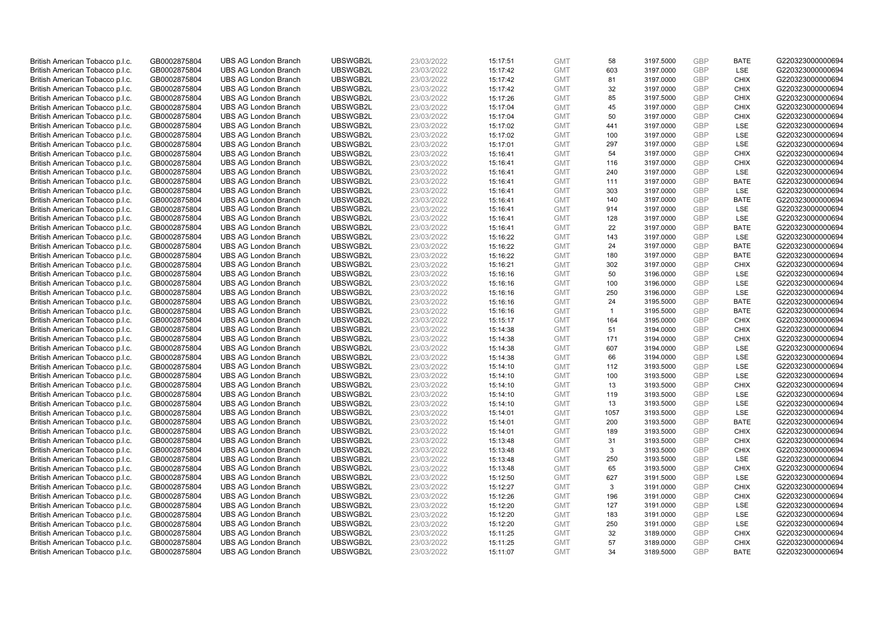| British American Tobacco p.l.c. | GB0002875804 | <b>UBS AG London Branch</b> | UBSWGB2L | 23/03/2022 | 15:17:51 | <b>GMT</b> | 58           | 3197.5000 | <b>GBP</b> | <b>BATE</b> | G220323000000694 |
|---------------------------------|--------------|-----------------------------|----------|------------|----------|------------|--------------|-----------|------------|-------------|------------------|
| British American Tobacco p.l.c. | GB0002875804 | <b>UBS AG London Branch</b> | UBSWGB2L | 23/03/2022 | 15:17:42 | <b>GMT</b> | 603          | 3197.0000 | <b>GBP</b> | LSE         | G220323000000694 |
| British American Tobacco p.l.c. | GB0002875804 | <b>UBS AG London Branch</b> | UBSWGB2L | 23/03/2022 | 15:17:42 | <b>GMT</b> | 81           | 3197.0000 | <b>GBP</b> | <b>CHIX</b> | G220323000000694 |
| British American Tobacco p.l.c. | GB0002875804 | <b>UBS AG London Branch</b> | UBSWGB2L | 23/03/2022 | 15:17:42 | <b>GMT</b> | 32           | 3197.0000 | <b>GBP</b> | <b>CHIX</b> | G220323000000694 |
| British American Tobacco p.l.c. | GB0002875804 | <b>UBS AG London Branch</b> | UBSWGB2L | 23/03/2022 | 15:17:26 | <b>GMT</b> | 85           | 3197.5000 | <b>GBP</b> | <b>CHIX</b> | G220323000000694 |
| British American Tobacco p.l.c. | GB0002875804 | <b>UBS AG London Branch</b> | UBSWGB2L | 23/03/2022 | 15:17:04 | <b>GMT</b> | 45           | 3197.0000 | <b>GBP</b> | <b>CHIX</b> | G220323000000694 |
| British American Tobacco p.l.c. | GB0002875804 | <b>UBS AG London Branch</b> | UBSWGB2L | 23/03/2022 | 15:17:04 | <b>GMT</b> | 50           | 3197.0000 | <b>GBP</b> | <b>CHIX</b> | G220323000000694 |
| British American Tobacco p.l.c. | GB0002875804 | <b>UBS AG London Branch</b> | UBSWGB2L | 23/03/2022 | 15:17:02 | <b>GMT</b> | 441          | 3197.0000 | <b>GBP</b> | LSE         | G220323000000694 |
| British American Tobacco p.l.c. | GB0002875804 | <b>UBS AG London Branch</b> | UBSWGB2L | 23/03/2022 | 15:17:02 | <b>GMT</b> | 100          | 3197.0000 | GBP        | LSE         | G220323000000694 |
| British American Tobacco p.l.c. | GB0002875804 | <b>UBS AG London Branch</b> | UBSWGB2L | 23/03/2022 | 15:17:01 | <b>GMT</b> | 297          | 3197.0000 | <b>GBP</b> | LSE         | G220323000000694 |
| British American Tobacco p.l.c. | GB0002875804 | <b>UBS AG London Branch</b> | UBSWGB2L | 23/03/2022 | 15:16:41 | <b>GMT</b> | 54           | 3197.0000 | <b>GBP</b> | CHIX        | G220323000000694 |
| British American Tobacco p.l.c. | GB0002875804 | <b>UBS AG London Branch</b> | UBSWGB2L | 23/03/2022 | 15:16:41 | <b>GMT</b> | 116          | 3197.0000 | <b>GBP</b> | <b>CHIX</b> | G220323000000694 |
| British American Tobacco p.l.c. | GB0002875804 | <b>UBS AG London Branch</b> | UBSWGB2L | 23/03/2022 | 15:16:41 | <b>GMT</b> | 240          | 3197.0000 | GBP        | LSE         | G220323000000694 |
| British American Tobacco p.l.c. | GB0002875804 | <b>UBS AG London Branch</b> | UBSWGB2L | 23/03/2022 | 15:16:41 | <b>GMT</b> | 111          | 3197.0000 | <b>GBP</b> | <b>BATE</b> | G220323000000694 |
| British American Tobacco p.l.c. | GB0002875804 | <b>UBS AG London Branch</b> | UBSWGB2L | 23/03/2022 | 15:16:41 | <b>GMT</b> | 303          | 3197.0000 | GBP        | <b>LSE</b>  | G220323000000694 |
|                                 |              |                             | UBSWGB2L |            |          |            |              |           | GBP        | <b>BATE</b> |                  |
| British American Tobacco p.l.c. | GB0002875804 | <b>UBS AG London Branch</b> |          | 23/03/2022 | 15:16:41 | <b>GMT</b> | 140          | 3197.0000 |            |             | G220323000000694 |
| British American Tobacco p.l.c. | GB0002875804 | <b>UBS AG London Branch</b> | UBSWGB2L | 23/03/2022 | 15:16:41 | <b>GMT</b> | 914          | 3197.0000 | GBP        | LSE         | G220323000000694 |
| British American Tobacco p.l.c. | GB0002875804 | <b>UBS AG London Branch</b> | UBSWGB2L | 23/03/2022 | 15:16:41 | <b>GMT</b> | 128          | 3197.0000 | <b>GBP</b> | LSE         | G220323000000694 |
| British American Tobacco p.l.c. | GB0002875804 | <b>UBS AG London Branch</b> | UBSWGB2L | 23/03/2022 | 15:16:41 | <b>GMT</b> | 22           | 3197.0000 | <b>GBP</b> | <b>BATE</b> | G220323000000694 |
| British American Tobacco p.l.c. | GB0002875804 | <b>UBS AG London Branch</b> | UBSWGB2L | 23/03/2022 | 15:16:22 | <b>GMT</b> | 143          | 3197.0000 | <b>GBP</b> | LSE         | G220323000000694 |
| British American Tobacco p.l.c. | GB0002875804 | <b>UBS AG London Branch</b> | UBSWGB2L | 23/03/2022 | 15:16:22 | <b>GMT</b> | 24           | 3197.0000 | <b>GBP</b> | <b>BATE</b> | G220323000000694 |
| British American Tobacco p.l.c. | GB0002875804 | <b>UBS AG London Branch</b> | UBSWGB2L | 23/03/2022 | 15:16:22 | <b>GMT</b> | 180          | 3197.0000 | GBP        | <b>BATE</b> | G220323000000694 |
| British American Tobacco p.l.c. | GB0002875804 | <b>UBS AG London Branch</b> | UBSWGB2L | 23/03/2022 | 15:16:21 | <b>GMT</b> | 302          | 3197.0000 | <b>GBP</b> | <b>CHIX</b> | G220323000000694 |
| British American Tobacco p.l.c. | GB0002875804 | <b>UBS AG London Branch</b> | UBSWGB2L | 23/03/2022 | 15:16:16 | <b>GMT</b> | 50           | 3196.0000 | GBP        | <b>LSE</b>  | G220323000000694 |
| British American Tobacco p.l.c. | GB0002875804 | <b>UBS AG London Branch</b> | UBSWGB2L | 23/03/2022 | 15:16:16 | <b>GMT</b> | 100          | 3196.0000 | <b>GBP</b> | LSE         | G220323000000694 |
| British American Tobacco p.l.c. | GB0002875804 | <b>UBS AG London Branch</b> | UBSWGB2L | 23/03/2022 | 15:16:16 | <b>GMT</b> | 250          | 3196.0000 | GBP        | LSE         | G220323000000694 |
| British American Tobacco p.l.c. | GB0002875804 | <b>UBS AG London Branch</b> | UBSWGB2L | 23/03/2022 | 15:16:16 | <b>GMT</b> | 24           | 3195.5000 | <b>GBP</b> | <b>BATE</b> | G220323000000694 |
| British American Tobacco p.l.c. | GB0002875804 | <b>UBS AG London Branch</b> | UBSWGB2L | 23/03/2022 | 15:16:16 | <b>GMT</b> | $\mathbf{1}$ | 3195.5000 | GBP        | <b>BATE</b> | G220323000000694 |
| British American Tobacco p.l.c. | GB0002875804 | <b>UBS AG London Branch</b> | UBSWGB2L | 23/03/2022 | 15:15:17 | <b>GMT</b> | 164          | 3195.0000 | <b>GBP</b> | <b>CHIX</b> | G220323000000694 |
| British American Tobacco p.l.c. | GB0002875804 | <b>UBS AG London Branch</b> | UBSWGB2L | 23/03/2022 | 15:14:38 | <b>GMT</b> | 51           | 3194.0000 | GBP        | <b>CHIX</b> | G220323000000694 |
| British American Tobacco p.l.c. | GB0002875804 | <b>UBS AG London Branch</b> | UBSWGB2L | 23/03/2022 | 15:14:38 | <b>GMT</b> | 171          | 3194.0000 | GBP        | <b>CHIX</b> | G220323000000694 |
| British American Tobacco p.l.c. | GB0002875804 | <b>UBS AG London Branch</b> | UBSWGB2L | 23/03/2022 | 15:14:38 | <b>GMT</b> | 607          | 3194.0000 | GBP        | <b>LSE</b>  | G220323000000694 |
| British American Tobacco p.l.c. | GB0002875804 | <b>UBS AG London Branch</b> | UBSWGB2L | 23/03/2022 | 15:14:38 | <b>GMT</b> | 66           | 3194.0000 | <b>GBP</b> | LSE         | G220323000000694 |
| British American Tobacco p.l.c. | GB0002875804 | <b>UBS AG London Branch</b> | UBSWGB2L | 23/03/2022 | 15:14:10 | <b>GMT</b> | 112          | 3193.5000 | <b>GBP</b> | LSE         | G220323000000694 |
| British American Tobacco p.l.c. | GB0002875804 | <b>UBS AG London Branch</b> | UBSWGB2L | 23/03/2022 | 15:14:10 | <b>GMT</b> | 100          | 3193.5000 | GBP        | LSE         | G220323000000694 |
| British American Tobacco p.l.c. | GB0002875804 | <b>UBS AG London Branch</b> | UBSWGB2L | 23/03/2022 | 15:14:10 | <b>GMT</b> | 13           | 3193.5000 | <b>GBP</b> | <b>CHIX</b> | G220323000000694 |
| British American Tobacco p.l.c. | GB0002875804 | <b>UBS AG London Branch</b> | UBSWGB2L | 23/03/2022 | 15:14:10 | <b>GMT</b> | 119          | 3193.5000 | GBP        | LSE         | G220323000000694 |
| British American Tobacco p.l.c. | GB0002875804 | <b>UBS AG London Branch</b> | UBSWGB2L | 23/03/2022 | 15:14:10 | <b>GMT</b> | 13           | 3193.5000 | <b>GBP</b> | LSE         | G220323000000694 |
| British American Tobacco p.l.c. | GB0002875804 | <b>UBS AG London Branch</b> | UBSWGB2L | 23/03/2022 | 15:14:01 | <b>GMT</b> | 1057         | 3193.5000 | <b>GBP</b> | LSE         | G220323000000694 |
| British American Tobacco p.l.c. | GB0002875804 | <b>UBS AG London Branch</b> | UBSWGB2L | 23/03/2022 | 15:14:01 | <b>GMT</b> | 200          | 3193.5000 | <b>GBP</b> | <b>BATE</b> | G220323000000694 |
| British American Tobacco p.l.c. | GB0002875804 | <b>UBS AG London Branch</b> | UBSWGB2L | 23/03/2022 | 15:14:01 | <b>GMT</b> | 189          | 3193.5000 | GBP        | <b>CHIX</b> | G220323000000694 |
| British American Tobacco p.l.c. | GB0002875804 | <b>UBS AG London Branch</b> | UBSWGB2L | 23/03/2022 | 15:13:48 | <b>GMT</b> | 31           | 3193.5000 | <b>GBP</b> | <b>CHIX</b> | G220323000000694 |
| British American Tobacco p.l.c. | GB0002875804 | <b>UBS AG London Branch</b> | UBSWGB2L | 23/03/2022 | 15:13:48 | <b>GMT</b> | 3            | 3193.5000 | <b>GBP</b> | <b>CHIX</b> | G220323000000694 |
| British American Tobacco p.l.c. | GB0002875804 | <b>UBS AG London Branch</b> | UBSWGB2L | 23/03/2022 | 15:13:48 | <b>GMT</b> | 250          | 3193.5000 | <b>GBP</b> | LSE         | G220323000000694 |
| British American Tobacco p.l.c. | GB0002875804 | <b>UBS AG London Branch</b> | UBSWGB2L | 23/03/2022 | 15:13:48 | <b>GMT</b> | 65           | 3193.5000 | <b>GBP</b> | <b>CHIX</b> | G220323000000694 |
|                                 |              |                             |          |            |          |            |              |           |            |             |                  |
| British American Tobacco p.l.c. | GB0002875804 | <b>UBS AG London Branch</b> | UBSWGB2L | 23/03/2022 | 15:12:50 | <b>GMT</b> | 627          | 3191.5000 | <b>GBP</b> | LSE         | G220323000000694 |
| British American Tobacco p.l.c. | GB0002875804 | <b>UBS AG London Branch</b> | UBSWGB2L | 23/03/2022 | 15:12:27 | <b>GMT</b> | 3            | 3191.0000 | <b>GBP</b> | <b>CHIX</b> | G220323000000694 |
| British American Tobacco p.l.c. | GB0002875804 | <b>UBS AG London Branch</b> | UBSWGB2L | 23/03/2022 | 15:12:26 | <b>GMT</b> | 196          | 3191.0000 | GBP        | <b>CHIX</b> | G220323000000694 |
| British American Tobacco p.l.c. | GB0002875804 | <b>UBS AG London Branch</b> | UBSWGB2L | 23/03/2022 | 15:12:20 | <b>GMT</b> | 127          | 3191.0000 | <b>GBP</b> | LSE         | G220323000000694 |
| British American Tobacco p.l.c. | GB0002875804 | <b>UBS AG London Branch</b> | UBSWGB2L | 23/03/2022 | 15:12:20 | <b>GMT</b> | 183          | 3191.0000 | <b>GBP</b> | LSE         | G220323000000694 |
| British American Tobacco p.l.c. | GB0002875804 | <b>UBS AG London Branch</b> | UBSWGB2L | 23/03/2022 | 15:12:20 | <b>GMT</b> | 250          | 3191.0000 | <b>GBP</b> | LSE         | G220323000000694 |
| British American Tobacco p.l.c. | GB0002875804 | <b>UBS AG London Branch</b> | UBSWGB2L | 23/03/2022 | 15:11:25 | <b>GMT</b> | 32           | 3189.0000 | <b>GBP</b> | <b>CHIX</b> | G220323000000694 |
| British American Tobacco p.l.c. | GB0002875804 | <b>UBS AG London Branch</b> | UBSWGB2L | 23/03/2022 | 15:11:25 | <b>GMT</b> | 57           | 3189.0000 | <b>GBP</b> | <b>CHIX</b> | G220323000000694 |
| British American Tobacco p.l.c. | GB0002875804 | <b>UBS AG London Branch</b> | UBSWGB2L | 23/03/2022 | 15:11:07 | <b>GMT</b> | 34           | 3189.5000 | GBP        | <b>BATE</b> | G220323000000694 |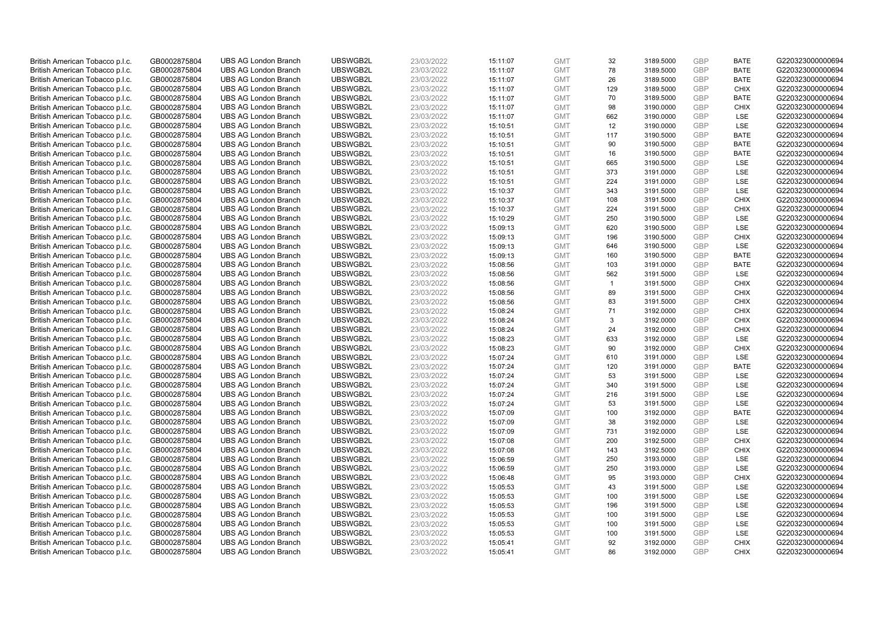| British American Tobacco p.l.c.                                    | GB0002875804                 | <b>UBS AG London Branch</b> | UBSWGB2L | 23/03/2022               | 15:11:07             | <b>GMT</b>               | 32           | 3189.5000              | <b>GBP</b>               | <b>BATE</b> | G220323000000694                     |
|--------------------------------------------------------------------|------------------------------|-----------------------------|----------|--------------------------|----------------------|--------------------------|--------------|------------------------|--------------------------|-------------|--------------------------------------|
| British American Tobacco p.l.c.                                    | GB0002875804                 | <b>UBS AG London Branch</b> | UBSWGB2L | 23/03/2022               | 15:11:07             | <b>GMT</b>               | 78           | 3189.5000              | <b>GBP</b>               | <b>BATE</b> | G220323000000694                     |
| British American Tobacco p.l.c.                                    | GB0002875804                 | <b>UBS AG London Branch</b> | UBSWGB2L | 23/03/2022               | 15:11:07             | <b>GMT</b>               | 26           | 3189.5000              | <b>GBP</b>               | <b>BATE</b> | G220323000000694                     |
| British American Tobacco p.l.c.                                    | GB0002875804                 | <b>UBS AG London Branch</b> | UBSWGB2L | 23/03/2022               | 15:11:07             | <b>GMT</b>               | 129          | 3189.5000              | <b>GBP</b>               | <b>CHIX</b> | G220323000000694                     |
| British American Tobacco p.l.c.                                    | GB0002875804                 | <b>UBS AG London Branch</b> | UBSWGB2L | 23/03/2022               | 15:11:07             | <b>GMT</b>               | 70           | 3189.5000              | <b>GBP</b>               | <b>BATE</b> | G220323000000694                     |
| British American Tobacco p.l.c.                                    | GB0002875804                 | <b>UBS AG London Branch</b> | UBSWGB2L | 23/03/2022               | 15:11:07             | <b>GMT</b>               | 98           | 3190.0000              | <b>GBP</b>               | <b>CHIX</b> | G220323000000694                     |
| British American Tobacco p.l.c.                                    | GB0002875804                 | <b>UBS AG London Branch</b> | UBSWGB2L | 23/03/2022               | 15:11:07             | <b>GMT</b>               | 662          | 3190.0000              | <b>GBP</b>               | LSE         | G220323000000694                     |
| British American Tobacco p.l.c.                                    | GB0002875804                 | <b>UBS AG London Branch</b> | UBSWGB2L | 23/03/2022               | 15:10:51             | <b>GMT</b>               | 12           | 3190.0000              | <b>GBP</b>               | LSE         | G220323000000694                     |
| British American Tobacco p.l.c.                                    | GB0002875804                 | <b>UBS AG London Branch</b> | UBSWGB2L | 23/03/2022               | 15:10:51             | <b>GMT</b>               | 117          | 3190.5000              | <b>GBP</b>               | <b>BATE</b> | G220323000000694                     |
| British American Tobacco p.l.c.                                    | GB0002875804                 | <b>UBS AG London Branch</b> | UBSWGB2L | 23/03/2022               | 15:10:51             | <b>GMT</b>               | 90           | 3190.5000              | <b>GBP</b>               | <b>BATE</b> | G220323000000694                     |
| British American Tobacco p.l.c.                                    | GB0002875804                 | <b>UBS AG London Branch</b> | UBSWGB2L | 23/03/2022               | 15:10:51             | <b>GMT</b>               | 16           | 3190.5000              | <b>GBP</b>               | <b>BATE</b> | G220323000000694                     |
| British American Tobacco p.l.c.                                    | GB0002875804                 | <b>UBS AG London Branch</b> | UBSWGB2L | 23/03/2022               | 15:10:51             | <b>GMT</b>               | 665          | 3190.5000              | <b>GBP</b>               | LSE         | G220323000000694                     |
| British American Tobacco p.l.c.                                    | GB0002875804                 | <b>UBS AG London Branch</b> | UBSWGB2L | 23/03/2022               | 15:10:51             | <b>GMT</b>               | 373          | 3191.0000              | <b>GBP</b>               | LSE         | G220323000000694                     |
| British American Tobacco p.l.c.                                    | GB0002875804                 | <b>UBS AG London Branch</b> | UBSWGB2L | 23/03/2022               | 15:10:51             | <b>GMT</b>               | 224          | 3191.0000              | <b>GBP</b>               | LSE         | G220323000000694                     |
| British American Tobacco p.l.c.                                    | GB0002875804                 | <b>UBS AG London Branch</b> | UBSWGB2L | 23/03/2022               | 15:10:37             | <b>GMT</b>               | 343          | 3191.5000              | <b>GBP</b>               | LSE         | G220323000000694                     |
| British American Tobacco p.l.c.                                    | GB0002875804                 | <b>UBS AG London Branch</b> | UBSWGB2L | 23/03/2022               | 15:10:37             | <b>GMT</b>               | 108          | 3191.5000              | <b>GBP</b>               | <b>CHIX</b> | G220323000000694                     |
| British American Tobacco p.l.c.                                    | GB0002875804                 | <b>UBS AG London Branch</b> | UBSWGB2L | 23/03/2022               | 15:10:37             | <b>GMT</b>               | 224          | 3191.5000              | <b>GBP</b>               | <b>CHIX</b> | G220323000000694                     |
| British American Tobacco p.l.c.                                    | GB0002875804                 | <b>UBS AG London Branch</b> | UBSWGB2L | 23/03/2022               | 15:10:29             | <b>GMT</b>               | 250          | 3190.5000              | <b>GBP</b>               | LSE         | G220323000000694                     |
| British American Tobacco p.l.c.                                    | GB0002875804                 | <b>UBS AG London Branch</b> | UBSWGB2L | 23/03/2022               | 15:09:13             | <b>GMT</b>               | 620          | 3190.5000              | <b>GBP</b>               | LSE         | G220323000000694                     |
| British American Tobacco p.l.c.                                    | GB0002875804                 | <b>UBS AG London Branch</b> | UBSWGB2L | 23/03/2022               | 15:09:13             | <b>GMT</b>               | 196          | 3190.5000              | <b>GBP</b>               | <b>CHIX</b> | G220323000000694                     |
| British American Tobacco p.l.c.                                    | GB0002875804                 | <b>UBS AG London Branch</b> | UBSWGB2L | 23/03/2022               | 15:09:13             | <b>GMT</b>               | 646          | 3190.5000              | <b>GBP</b>               | LSE         | G220323000000694                     |
| British American Tobacco p.l.c.                                    | GB0002875804                 | <b>UBS AG London Branch</b> | UBSWGB2L | 23/03/2022               | 15:09:13             | <b>GMT</b>               | 160          | 3190.5000              | <b>GBP</b>               | <b>BATE</b> | G220323000000694                     |
| British American Tobacco p.l.c.                                    | GB0002875804                 | <b>UBS AG London Branch</b> | UBSWGB2L | 23/03/2022               | 15:08:56             | <b>GMT</b>               | 103          | 3191.0000              | <b>GBP</b>               | <b>BATE</b> | G220323000000694                     |
| British American Tobacco p.l.c.                                    | GB0002875804                 | <b>UBS AG London Branch</b> | UBSWGB2L | 23/03/2022               | 15:08:56             | <b>GMT</b>               | 562          | 3191.5000              | <b>GBP</b>               | LSE         | G220323000000694                     |
| British American Tobacco p.l.c.                                    | GB0002875804                 | <b>UBS AG London Branch</b> | UBSWGB2L | 23/03/2022               | 15:08:56             | <b>GMT</b>               | $\mathbf{1}$ | 3191.5000              | <b>GBP</b>               | <b>CHIX</b> | G220323000000694                     |
| British American Tobacco p.l.c.                                    | GB0002875804                 | <b>UBS AG London Branch</b> | UBSWGB2L | 23/03/2022               | 15:08:56             | <b>GMT</b>               | 89           | 3191.5000              | <b>GBP</b>               | <b>CHIX</b> | G220323000000694                     |
| British American Tobacco p.l.c.                                    | GB0002875804                 | <b>UBS AG London Branch</b> | UBSWGB2L | 23/03/2022               | 15:08:56             | <b>GMT</b>               | 83           | 3191.5000              | <b>GBP</b>               | <b>CHIX</b> | G220323000000694                     |
| British American Tobacco p.l.c.                                    | GB0002875804                 | <b>UBS AG London Branch</b> | UBSWGB2L | 23/03/2022               | 15:08:24             | <b>GMT</b>               | 71           | 3192.0000              | <b>GBP</b>               | <b>CHIX</b> | G220323000000694                     |
| British American Tobacco p.l.c.                                    | GB0002875804                 | <b>UBS AG London Branch</b> | UBSWGB2L | 23/03/2022               | 15:08:24             | <b>GMT</b>               | 3            | 3192.0000              | <b>GBP</b>               | <b>CHIX</b> | G220323000000694                     |
| British American Tobacco p.l.c.                                    | GB0002875804                 | <b>UBS AG London Branch</b> | UBSWGB2L | 23/03/2022               | 15:08:24             | <b>GMT</b>               | 24           | 3192.0000              | <b>GBP</b>               | <b>CHIX</b> | G220323000000694                     |
| British American Tobacco p.l.c.                                    |                              | <b>UBS AG London Branch</b> | UBSWGB2L | 23/03/2022               |                      | <b>GMT</b>               | 633          | 3192.0000              | <b>GBP</b>               | LSE         |                                      |
|                                                                    | GB0002875804                 | <b>UBS AG London Branch</b> | UBSWGB2L |                          | 15:08:23<br>15:08:23 | <b>GMT</b>               | 90           | 3192.0000              | <b>GBP</b>               | <b>CHIX</b> | G220323000000694<br>G220323000000694 |
| British American Tobacco p.l.c.                                    | GB0002875804<br>GB0002875804 | <b>UBS AG London Branch</b> | UBSWGB2L | 23/03/2022<br>23/03/2022 | 15:07:24             | <b>GMT</b>               | 610          | 3191.0000              | <b>GBP</b>               | LSE         | G220323000000694                     |
| British American Tobacco p.l.c.<br>British American Tobacco p.l.c. | GB0002875804                 | <b>UBS AG London Branch</b> | UBSWGB2L | 23/03/2022               | 15:07:24             | <b>GMT</b>               | 120          | 3191.0000              | <b>GBP</b>               | <b>BATE</b> | G220323000000694                     |
|                                                                    | GB0002875804                 | <b>UBS AG London Branch</b> | UBSWGB2L | 23/03/2022               | 15:07:24             | <b>GMT</b>               | 53           | 3191.5000              | <b>GBP</b>               | LSE         | G220323000000694                     |
| British American Tobacco p.l.c.<br>British American Tobacco p.l.c. | GB0002875804                 | <b>UBS AG London Branch</b> | UBSWGB2L | 23/03/2022               | 15:07:24             | <b>GMT</b>               | 340          | 3191.5000              | <b>GBP</b>               | LSE         | G220323000000694                     |
|                                                                    |                              |                             | UBSWGB2L |                          |                      |                          |              |                        | <b>GBP</b>               | LSE         | G220323000000694                     |
| British American Tobacco p.l.c.                                    | GB0002875804                 | <b>UBS AG London Branch</b> | UBSWGB2L | 23/03/2022               | 15:07:24             | <b>GMT</b><br><b>GMT</b> | 216<br>53    | 3191.5000<br>3191.5000 | <b>GBP</b>               | LSE         |                                      |
| British American Tobacco p.l.c.                                    | GB0002875804                 | <b>UBS AG London Branch</b> |          | 23/03/2022               | 15:07:24             |                          |              |                        |                          | <b>BATE</b> | G220323000000694                     |
| British American Tobacco p.l.c.                                    | GB0002875804                 | <b>UBS AG London Branch</b> | UBSWGB2L | 23/03/2022               | 15:07:09             | <b>GMT</b><br><b>GMT</b> | 100          | 3192.0000              | <b>GBP</b><br><b>GBP</b> |             | G220323000000694                     |
| British American Tobacco p.l.c.                                    | GB0002875804                 | <b>UBS AG London Branch</b> | UBSWGB2L | 23/03/2022               | 15:07:09             |                          | 38           | 3192.0000              |                          | LSE         | G220323000000694                     |
| British American Tobacco p.l.c.                                    | GB0002875804                 | <b>UBS AG London Branch</b> | UBSWGB2L | 23/03/2022               | 15:07:09             | <b>GMT</b>               | 731          | 3192.0000              | <b>GBP</b>               | LSE         | G220323000000694                     |
| British American Tobacco p.l.c.                                    | GB0002875804                 | <b>UBS AG London Branch</b> | UBSWGB2L | 23/03/2022               | 15:07:08             | <b>GMT</b>               | 200          | 3192.5000              | <b>GBP</b>               | <b>CHIX</b> | G220323000000694                     |
| British American Tobacco p.l.c.                                    | GB0002875804                 | <b>UBS AG London Branch</b> | UBSWGB2L | 23/03/2022               | 15:07:08             | <b>GMT</b>               | 143          | 3192.5000              | <b>GBP</b>               | <b>CHIX</b> | G220323000000694                     |
| British American Tobacco p.l.c.                                    | GB0002875804                 | <b>UBS AG London Branch</b> | UBSWGB2L | 23/03/2022               | 15:06:59             | <b>GMT</b>               | 250          | 3193.0000              | <b>GBP</b>               | LSE         | G220323000000694                     |
| British American Tobacco p.l.c.                                    | GB0002875804                 | <b>UBS AG London Branch</b> | UBSWGB2L | 23/03/2022               | 15:06:59             | <b>GMT</b>               | 250          | 3193.0000              | <b>GBP</b>               | LSE         | G220323000000694                     |
| British American Tobacco p.l.c.                                    | GB0002875804                 | <b>UBS AG London Branch</b> | UBSWGB2L | 23/03/2022               | 15:06:48             | <b>GMT</b>               | 95           | 3193.0000              | <b>GBP</b>               | <b>CHIX</b> | G220323000000694                     |
| British American Tobacco p.l.c.                                    | GB0002875804                 | <b>UBS AG London Branch</b> | UBSWGB2L | 23/03/2022               | 15:05:53             | <b>GMT</b>               | 43           | 3191.5000              | <b>GBP</b>               | LSE         | G220323000000694                     |
| British American Tobacco p.l.c.                                    | GB0002875804                 | <b>UBS AG London Branch</b> | UBSWGB2L | 23/03/2022               | 15:05:53             | <b>GMT</b>               | 100          | 3191.5000              | <b>GBP</b>               | LSE         | G220323000000694                     |
| British American Tobacco p.l.c.                                    | GB0002875804                 | <b>UBS AG London Branch</b> | UBSWGB2L | 23/03/2022               | 15:05:53             | <b>GMT</b>               | 196          | 3191.5000              | <b>GBP</b>               | LSE         | G220323000000694                     |
| British American Tobacco p.l.c.                                    | GB0002875804                 | <b>UBS AG London Branch</b> | UBSWGB2L | 23/03/2022               | 15:05:53             | <b>GMT</b>               | 100          | 3191.5000              | <b>GBP</b>               | LSE         | G220323000000694                     |
| British American Tobacco p.l.c.                                    | GB0002875804                 | <b>UBS AG London Branch</b> | UBSWGB2L | 23/03/2022               | 15:05:53             | <b>GMT</b>               | 100          | 3191.5000              | <b>GBP</b>               | LSE         | G220323000000694                     |
| British American Tobacco p.l.c.                                    | GB0002875804                 | <b>UBS AG London Branch</b> | UBSWGB2L | 23/03/2022               | 15:05:53             | <b>GMT</b>               | 100          | 3191.5000              | <b>GBP</b>               | LSE         | G220323000000694                     |
| British American Tobacco p.l.c.                                    | GB0002875804                 | <b>UBS AG London Branch</b> | UBSWGB2L | 23/03/2022               | 15:05:41             | <b>GMT</b>               | 92           | 3192.0000              | <b>GBP</b>               | <b>CHIX</b> | G220323000000694                     |
| British American Tobacco p.l.c.                                    | GB0002875804                 | <b>UBS AG London Branch</b> | UBSWGB2L | 23/03/2022               | 15:05:41             | <b>GMT</b>               | 86           | 3192.0000              | GBP                      | <b>CHIX</b> | G220323000000694                     |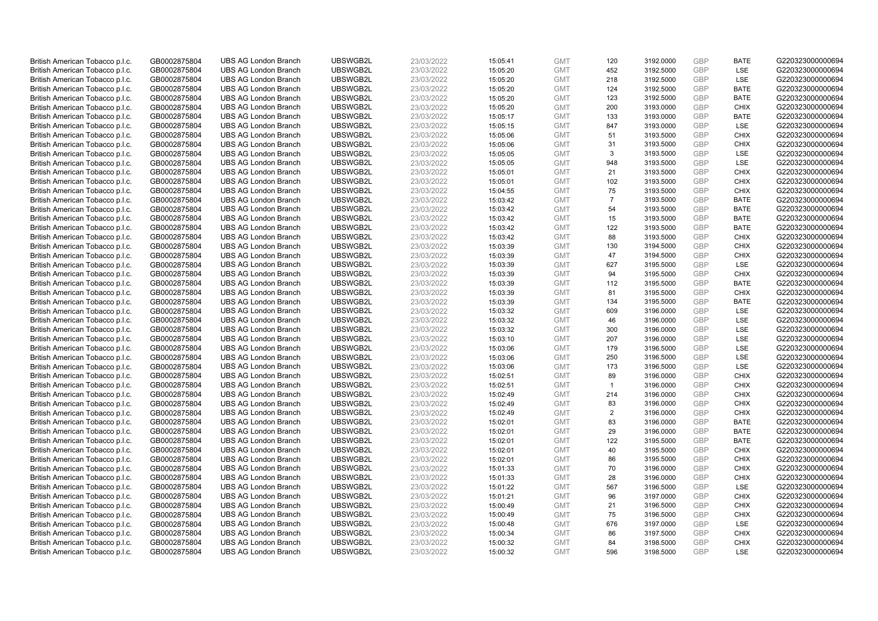| British American Tobacco p.l.c.                                    | GB0002875804                 | <b>UBS AG London Branch</b>                                | UBSWGB2L             | 23/03/2022               | 15:05:41             | <b>GMT</b>               | 120            | 3192.0000              | <b>GBP</b>               | <b>BATE</b>        | G220323000000694                     |
|--------------------------------------------------------------------|------------------------------|------------------------------------------------------------|----------------------|--------------------------|----------------------|--------------------------|----------------|------------------------|--------------------------|--------------------|--------------------------------------|
| British American Tobacco p.l.c.                                    | GB0002875804                 | <b>UBS AG London Branch</b>                                | UBSWGB2L             | 23/03/2022               | 15:05:20             | <b>GMT</b>               | 452            | 3192.5000              | <b>GBP</b>               | LSE                | G220323000000694                     |
| British American Tobacco p.l.c.                                    | GB0002875804                 | <b>UBS AG London Branch</b>                                | UBSWGB2L             | 23/03/2022               | 15:05:20             | <b>GMT</b>               | 218            | 3192.5000              | <b>GBP</b>               | LSE                | G220323000000694                     |
| British American Tobacco p.l.c.                                    | GB0002875804                 | <b>UBS AG London Branch</b>                                | UBSWGB2L             | 23/03/2022               | 15:05:20             | <b>GMT</b>               | 124            | 3192.5000              | <b>GBP</b>               | <b>BATE</b>        | G220323000000694                     |
| British American Tobacco p.l.c.                                    | GB0002875804                 | <b>UBS AG London Branch</b>                                | UBSWGB2L             | 23/03/2022               | 15:05:20             | <b>GMT</b>               | 123            | 3192.5000              | <b>GBP</b>               | <b>BATE</b>        | G220323000000694                     |
| British American Tobacco p.l.c.                                    | GB0002875804                 | <b>UBS AG London Branch</b>                                | UBSWGB2L             | 23/03/2022               | 15:05:20             | <b>GMT</b>               | 200            | 3193.0000              | <b>GBP</b>               | <b>CHIX</b>        | G220323000000694                     |
| British American Tobacco p.l.c.                                    | GB0002875804                 | <b>UBS AG London Branch</b>                                | UBSWGB2L             | 23/03/2022               | 15:05:17             | <b>GMT</b>               | 133            | 3193.0000              | <b>GBP</b>               | <b>BATE</b>        | G220323000000694                     |
| British American Tobacco p.l.c.                                    | GB0002875804                 | <b>UBS AG London Branch</b>                                | UBSWGB2L             | 23/03/2022               | 15:05:15             | <b>GMT</b>               | 847            | 3193.0000              | <b>GBP</b>               | LSE                | G220323000000694                     |
| British American Tobacco p.l.c.                                    | GB0002875804                 | <b>UBS AG London Branch</b>                                | UBSWGB2L             | 23/03/2022               | 15:05:06             | <b>GMT</b>               | 51             | 3193.5000              | <b>GBP</b>               | <b>CHIX</b>        | G220323000000694                     |
| British American Tobacco p.l.c.                                    | GB0002875804                 | <b>UBS AG London Branch</b>                                | UBSWGB2L             | 23/03/2022               | 15:05:06             | <b>GMT</b>               | 31             | 3193.5000              | <b>GBP</b>               | <b>CHIX</b>        | G220323000000694                     |
| British American Tobacco p.l.c.                                    | GB0002875804                 | <b>UBS AG London Branch</b>                                | UBSWGB2L             | 23/03/2022               | 15:05:05             | <b>GMT</b>               | 3              | 3193.5000              | <b>GBP</b>               | LSE                | G220323000000694                     |
| British American Tobacco p.l.c.                                    | GB0002875804                 | <b>UBS AG London Branch</b>                                | UBSWGB2L             | 23/03/2022               | 15:05:05             | <b>GMT</b>               | 948            | 3193.5000              | <b>GBP</b>               | LSE                | G220323000000694                     |
| British American Tobacco p.l.c.                                    | GB0002875804                 | <b>UBS AG London Branch</b>                                | UBSWGB2L             | 23/03/2022               | 15:05:01             | <b>GMT</b>               | 21             | 3193.5000              | <b>GBP</b>               | <b>CHIX</b>        | G220323000000694                     |
| British American Tobacco p.l.c.                                    | GB0002875804                 | <b>UBS AG London Branch</b>                                | UBSWGB2L             | 23/03/2022               | 15:05:01             | <b>GMT</b>               | 102            | 3193.5000              | <b>GBP</b>               | <b>CHIX</b>        | G220323000000694                     |
| British American Tobacco p.l.c.                                    | GB0002875804                 | <b>UBS AG London Branch</b>                                | UBSWGB2L             | 23/03/2022               | 15:04:55             | <b>GMT</b>               | 75             | 3193.5000              | <b>GBP</b>               | <b>CHIX</b>        | G220323000000694                     |
| British American Tobacco p.l.c.                                    | GB0002875804                 | <b>UBS AG London Branch</b>                                | UBSWGB2L             | 23/03/2022               | 15:03:42             | <b>GMT</b>               | $\overline{7}$ | 3193.5000              | <b>GBP</b>               | <b>BATE</b>        | G220323000000694                     |
| British American Tobacco p.l.c.                                    | GB0002875804                 | <b>UBS AG London Branch</b>                                | UBSWGB2L             | 23/03/2022               | 15:03:42             | <b>GMT</b>               | 54             | 3193.5000              | <b>GBP</b>               | <b>BATE</b>        | G220323000000694                     |
| British American Tobacco p.l.c.                                    | GB0002875804                 | <b>UBS AG London Branch</b>                                | UBSWGB2L             | 23/03/2022               | 15:03:42             | <b>GMT</b>               | 15             | 3193.5000              | <b>GBP</b>               | <b>BATE</b>        | G220323000000694                     |
| British American Tobacco p.l.c.                                    | GB0002875804                 | <b>UBS AG London Branch</b>                                | UBSWGB2L             | 23/03/2022               | 15:03:42             | <b>GMT</b>               | 122            | 3193.5000              | <b>GBP</b>               | <b>BATE</b>        | G220323000000694                     |
| British American Tobacco p.l.c.                                    | GB0002875804                 | <b>UBS AG London Branch</b>                                | UBSWGB2L             | 23/03/2022               | 15:03:42             | <b>GMT</b>               | 88             | 3193.5000              | <b>GBP</b>               | <b>CHIX</b>        | G220323000000694                     |
| British American Tobacco p.l.c.                                    | GB0002875804                 | <b>UBS AG London Branch</b>                                | UBSWGB2L             | 23/03/2022               | 15:03:39             | <b>GMT</b>               | 130            | 3194.5000              | <b>GBP</b>               | <b>CHIX</b>        | G220323000000694                     |
| British American Tobacco p.l.c.                                    | GB0002875804                 | <b>UBS AG London Branch</b>                                | UBSWGB2L             | 23/03/2022               | 15:03:39             | <b>GMT</b>               | 47             | 3194.5000              | <b>GBP</b>               | <b>CHIX</b>        | G220323000000694                     |
| British American Tobacco p.l.c.                                    | GB0002875804                 | <b>UBS AG London Branch</b>                                | UBSWGB2L             | 23/03/2022               | 15:03:39             | <b>GMT</b>               | 627            | 3195.5000              | <b>GBP</b>               | LSE                | G220323000000694                     |
| British American Tobacco p.l.c.                                    | GB0002875804                 | <b>UBS AG London Branch</b>                                | UBSWGB2L             | 23/03/2022               | 15:03:39             | <b>GMT</b>               | 94             | 3195.5000              | <b>GBP</b>               | <b>CHIX</b>        | G220323000000694                     |
| British American Tobacco p.l.c.                                    | GB0002875804                 | <b>UBS AG London Branch</b>                                | UBSWGB2L             | 23/03/2022               | 15:03:39             | <b>GMT</b>               | 112            | 3195.5000              | <b>GBP</b>               | <b>BATE</b>        | G220323000000694                     |
| British American Tobacco p.l.c.                                    | GB0002875804                 | <b>UBS AG London Branch</b>                                | UBSWGB2L             | 23/03/2022               | 15:03:39             | <b>GMT</b>               | 81             | 3195.5000              | <b>GBP</b>               | <b>CHIX</b>        | G220323000000694                     |
| British American Tobacco p.l.c.                                    | GB0002875804                 | <b>UBS AG London Branch</b>                                | UBSWGB2L             | 23/03/2022               | 15:03:39             | <b>GMT</b>               | 134            | 3195.5000              | <b>GBP</b>               | <b>BATE</b>        | G220323000000694                     |
| British American Tobacco p.l.c.                                    | GB0002875804                 | <b>UBS AG London Branch</b>                                | UBSWGB2L             | 23/03/2022               | 15:03:32             | <b>GMT</b>               | 609            | 3196.0000              | <b>GBP</b>               | LSE                | G220323000000694                     |
| British American Tobacco p.l.c.                                    | GB0002875804                 | <b>UBS AG London Branch</b>                                | UBSWGB2L             | 23/03/2022               | 15:03:32             | <b>GMT</b>               | 46             | 3196.0000              | <b>GBP</b>               | LSE                | G220323000000694                     |
| British American Tobacco p.l.c.                                    | GB0002875804                 | <b>UBS AG London Branch</b>                                | UBSWGB2L             | 23/03/2022               | 15:03:32             | <b>GMT</b>               | 300            | 3196.0000              | <b>GBP</b>               | LSE                | G220323000000694                     |
| British American Tobacco p.l.c.                                    | GB0002875804                 | <b>UBS AG London Branch</b>                                | UBSWGB2L             | 23/03/2022               | 15:03:10             | <b>GMT</b>               | 207            | 3196.0000              | <b>GBP</b>               | LSE                | G220323000000694                     |
| British American Tobacco p.l.c.                                    | GB0002875804                 | <b>UBS AG London Branch</b>                                | UBSWGB2L             | 23/03/2022               | 15:03:06             | <b>GMT</b>               | 179            | 3196.5000              | <b>GBP</b>               | LSE                | G220323000000694                     |
| British American Tobacco p.l.c.                                    | GB0002875804                 | <b>UBS AG London Branch</b>                                | UBSWGB2L             | 23/03/2022               | 15:03:06             | <b>GMT</b>               | 250            | 3196.5000              | <b>GBP</b>               | LSE                | G220323000000694                     |
| British American Tobacco p.l.c.                                    | GB0002875804                 | <b>UBS AG London Branch</b>                                | UBSWGB2L             | 23/03/2022               | 15:03:06             | <b>GMT</b>               | 173            | 3196.5000              | <b>GBP</b>               | LSE                | G220323000000694                     |
| British American Tobacco p.l.c.                                    | GB0002875804                 | <b>UBS AG London Branch</b>                                | UBSWGB2L             | 23/03/2022               | 15:02:51             | <b>GMT</b>               | 89             | 3196.0000              | <b>GBP</b>               | <b>CHIX</b>        | G220323000000694                     |
| British American Tobacco p.l.c.                                    | GB0002875804                 | <b>UBS AG London Branch</b>                                | UBSWGB2L             | 23/03/2022               | 15:02:51             | <b>GMT</b>               | $\mathbf{1}$   | 3196.0000              | <b>GBP</b>               | <b>CHIX</b>        | G220323000000694                     |
| British American Tobacco p.l.c.                                    | GB0002875804                 | <b>UBS AG London Branch</b>                                | UBSWGB2L             | 23/03/2022               | 15:02:49             | <b>GMT</b>               | 214            | 3196.0000              | <b>GBP</b>               | <b>CHIX</b>        | G220323000000694                     |
| British American Tobacco p.l.c.                                    | GB0002875804                 | <b>UBS AG London Branch</b>                                | UBSWGB2L             | 23/03/2022               | 15:02:49             | <b>GMT</b>               | 83             | 3196.0000              | <b>GBP</b>               | <b>CHIX</b>        | G220323000000694                     |
| British American Tobacco p.l.c.                                    | GB0002875804                 | <b>UBS AG London Branch</b>                                | UBSWGB2L             | 23/03/2022               | 15:02:49             | <b>GMT</b>               | $\overline{2}$ | 3196.0000              | <b>GBP</b>               | <b>CHIX</b>        | G220323000000694                     |
| British American Tobacco p.l.c.                                    | GB0002875804                 | <b>UBS AG London Branch</b>                                | UBSWGB2L             | 23/03/2022               | 15:02:01             | <b>GMT</b>               | 83             | 3196.0000              | <b>GBP</b>               | <b>BATE</b>        | G220323000000694                     |
| British American Tobacco p.l.c.                                    | GB0002875804                 | <b>UBS AG London Branch</b>                                | UBSWGB2L             | 23/03/2022               | 15:02:01             | <b>GMT</b>               | 29             | 3196.0000              | <b>GBP</b>               | <b>BATE</b>        | G220323000000694                     |
| British American Tobacco p.l.c.                                    | GB0002875804                 | <b>UBS AG London Branch</b>                                | UBSWGB2L             | 23/03/2022               | 15:02:01             | <b>GMT</b>               | 122            | 3195.5000              | <b>GBP</b>               | <b>BATE</b>        | G220323000000694                     |
| British American Tobacco p.l.c.                                    | GB0002875804                 | <b>UBS AG London Branch</b>                                | UBSWGB2L             | 23/03/2022               | 15:02:01             | <b>GMT</b>               | 40             | 3195.5000              | <b>GBP</b>               | <b>CHIX</b>        | G220323000000694                     |
| British American Tobacco p.l.c.                                    | GB0002875804                 | <b>UBS AG London Branch</b>                                | UBSWGB2L             | 23/03/2022               | 15:02:01             | <b>GMT</b>               | 86             | 3195.5000              | <b>GBP</b>               | <b>CHIX</b>        | G220323000000694                     |
| British American Tobacco p.l.c.                                    | GB0002875804                 | <b>UBS AG London Branch</b>                                | UBSWGB2L             | 23/03/2022               | 15:01:33             | <b>GMT</b>               | 70             | 3196.0000              | <b>GBP</b>               | <b>CHIX</b>        | G220323000000694                     |
| British American Tobacco p.l.c.                                    | GB0002875804                 | <b>UBS AG London Branch</b>                                | UBSWGB2L             | 23/03/2022               | 15:01:33             | <b>GMT</b>               | 28             | 3196.0000              | <b>GBP</b>               | <b>CHIX</b>        | G220323000000694                     |
| British American Tobacco p.l.c.                                    | GB0002875804                 | <b>UBS AG London Branch</b>                                | UBSWGB2L             | 23/03/2022               | 15:01:22             | <b>GMT</b>               | 567            | 3196.5000              | <b>GBP</b>               | LSE                | G220323000000694                     |
| British American Tobacco p.l.c.                                    | GB0002875804                 | <b>UBS AG London Branch</b>                                | UBSWGB2L             | 23/03/2022               | 15:01:21             | <b>GMT</b>               | 96             | 3197.0000              | <b>GBP</b>               | <b>CHIX</b>        | G220323000000694                     |
| British American Tobacco p.l.c.                                    | GB0002875804                 | <b>UBS AG London Branch</b>                                | UBSWGB2L             | 23/03/2022               | 15:00:49             | <b>GMT</b>               | 21             | 3196.5000              | <b>GBP</b>               | <b>CHIX</b>        | G220323000000694                     |
| British American Tobacco p.l.c.                                    | GB0002875804                 | <b>UBS AG London Branch</b>                                | UBSWGB2L             | 23/03/2022               | 15:00:49             | <b>GMT</b>               | 75             | 3196.5000              | <b>GBP</b>               | <b>CHIX</b>        | G220323000000694                     |
| British American Tobacco p.l.c.                                    | GB0002875804                 | <b>UBS AG London Branch</b>                                | UBSWGB2L<br>UBSWGB2L | 23/03/2022               | 15:00:48             | <b>GMT</b>               | 676<br>86      | 3197.0000              | <b>GBP</b>               | LSE<br><b>CHIX</b> | G220323000000694<br>G220323000000694 |
| British American Tobacco p.l.c.                                    | GB0002875804<br>GB0002875804 | <b>UBS AG London Branch</b><br><b>UBS AG London Branch</b> | UBSWGB2L             | 23/03/2022<br>23/03/2022 | 15:00:34             | <b>GMT</b><br><b>GMT</b> | 84             | 3197.5000              | <b>GBP</b><br><b>GBP</b> | <b>CHIX</b>        | G220323000000694                     |
| British American Tobacco p.l.c.<br>British American Tobacco p.l.c. | GB0002875804                 | <b>UBS AG London Branch</b>                                | UBSWGB2L             | 23/03/2022               | 15:00:32<br>15:00:32 | <b>GMT</b>               | 596            | 3198.5000<br>3198.5000 | GBP                      | <b>LSE</b>         | G220323000000694                     |
|                                                                    |                              |                                                            |                      |                          |                      |                          |                |                        |                          |                    |                                      |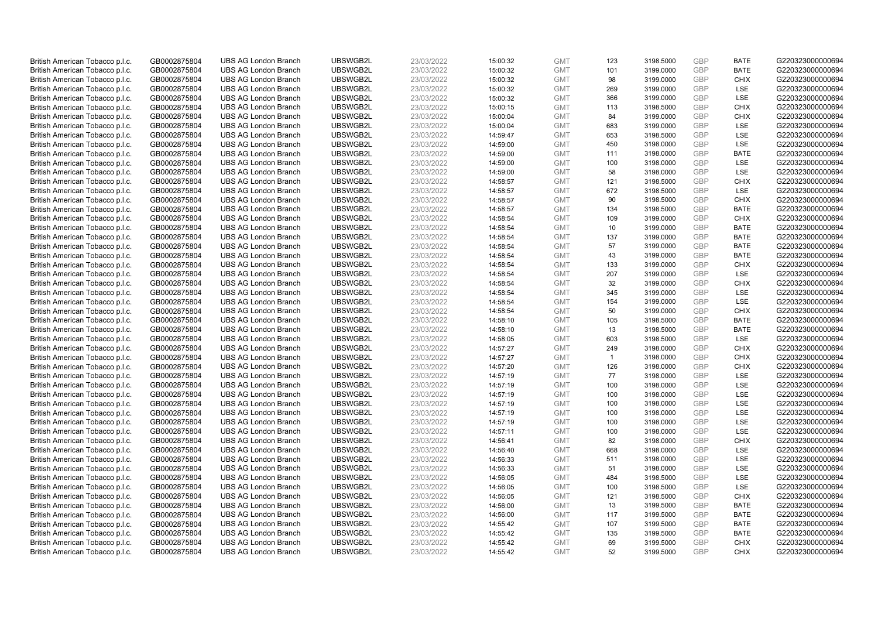| British American Tobacco p.l.c. | GB0002875804 | <b>UBS AG London Branch</b> | UBSWGB2L | 23/03/2022 | 15:00:32 | <b>GMT</b> | 123          | 3198.5000 | <b>GBP</b> | <b>BATE</b> | G220323000000694 |
|---------------------------------|--------------|-----------------------------|----------|------------|----------|------------|--------------|-----------|------------|-------------|------------------|
| British American Tobacco p.l.c. | GB0002875804 | <b>UBS AG London Branch</b> | UBSWGB2L | 23/03/2022 | 15:00:32 | <b>GMT</b> | 101          | 3199.0000 | <b>GBP</b> | <b>BATE</b> | G220323000000694 |
| British American Tobacco p.l.c. | GB0002875804 | <b>UBS AG London Branch</b> | UBSWGB2L | 23/03/2022 | 15:00:32 | <b>GMT</b> | 98           | 3199.0000 | <b>GBP</b> | <b>CHIX</b> | G220323000000694 |
| British American Tobacco p.l.c. | GB0002875804 | <b>UBS AG London Branch</b> | UBSWGB2L | 23/03/2022 | 15:00:32 | <b>GMT</b> | 269          | 3199.0000 | <b>GBP</b> | LSE         | G220323000000694 |
| British American Tobacco p.l.c. | GB0002875804 | <b>UBS AG London Branch</b> | UBSWGB2L | 23/03/2022 | 15:00:32 | <b>GMT</b> | 366          | 3199.0000 | <b>GBP</b> | LSE         | G220323000000694 |
| British American Tobacco p.l.c. | GB0002875804 | <b>UBS AG London Branch</b> | UBSWGB2L | 23/03/2022 | 15:00:15 | <b>GMT</b> | 113          | 3198.5000 | <b>GBP</b> | <b>CHIX</b> | G220323000000694 |
| British American Tobacco p.l.c. | GB0002875804 | <b>UBS AG London Branch</b> | UBSWGB2L | 23/03/2022 | 15:00:04 | <b>GMT</b> | 84           | 3199.0000 | <b>GBP</b> | <b>CHIX</b> | G220323000000694 |
| British American Tobacco p.l.c. | GB0002875804 | <b>UBS AG London Branch</b> | UBSWGB2L | 23/03/2022 | 15:00:04 | <b>GMT</b> | 683          | 3199.0000 | <b>GBP</b> | LSE         | G220323000000694 |
| British American Tobacco p.l.c. | GB0002875804 | <b>UBS AG London Branch</b> | UBSWGB2L | 23/03/2022 | 14:59:47 | <b>GMT</b> | 653          | 3198.5000 | GBP        | LSE         | G220323000000694 |
| British American Tobacco p.l.c. | GB0002875804 | <b>UBS AG London Branch</b> | UBSWGB2L | 23/03/2022 | 14:59:00 | <b>GMT</b> | 450          | 3198.0000 | <b>GBP</b> | LSE         | G220323000000694 |
| British American Tobacco p.l.c. | GB0002875804 | <b>UBS AG London Branch</b> | UBSWGB2L | 23/03/2022 | 14:59:00 | <b>GMT</b> | 111          | 3198.0000 | <b>GBP</b> | <b>BATE</b> | G220323000000694 |
| British American Tobacco p.l.c. | GB0002875804 | <b>UBS AG London Branch</b> | UBSWGB2L | 23/03/2022 | 14:59:00 | <b>GMT</b> | 100          | 3198.0000 | <b>GBP</b> | LSE         | G220323000000694 |
| British American Tobacco p.l.c. | GB0002875804 | <b>UBS AG London Branch</b> | UBSWGB2L | 23/03/2022 | 14:59:00 | <b>GMT</b> | 58           | 3198.0000 | <b>GBP</b> | LSE         | G220323000000694 |
| British American Tobacco p.l.c. | GB0002875804 | <b>UBS AG London Branch</b> | UBSWGB2L | 23/03/2022 | 14:58:57 | <b>GMT</b> | 121          | 3198.5000 | <b>GBP</b> | <b>CHIX</b> | G220323000000694 |
| British American Tobacco p.l.c. | GB0002875804 | <b>UBS AG London Branch</b> | UBSWGB2L | 23/03/2022 | 14:58:57 | <b>GMT</b> | 672          | 3198.5000 | GBP        | <b>LSE</b>  | G220323000000694 |
| British American Tobacco p.l.c. | GB0002875804 | <b>UBS AG London Branch</b> | UBSWGB2L | 23/03/2022 | 14:58:57 | <b>GMT</b> | 90           | 3198.5000 | <b>GBP</b> | <b>CHIX</b> | G220323000000694 |
| British American Tobacco p.l.c. | GB0002875804 | <b>UBS AG London Branch</b> | UBSWGB2L | 23/03/2022 | 14:58:57 | <b>GMT</b> | 134          | 3198.5000 | GBP        | <b>BATE</b> | G220323000000694 |
| British American Tobacco p.l.c. | GB0002875804 | <b>UBS AG London Branch</b> | UBSWGB2L | 23/03/2022 | 14:58:54 | <b>GMT</b> | 109          | 3199.0000 | <b>GBP</b> | <b>CHIX</b> | G220323000000694 |
| British American Tobacco p.l.c. | GB0002875804 | <b>UBS AG London Branch</b> | UBSWGB2L | 23/03/2022 | 14:58:54 | <b>GMT</b> | 10           | 3199.0000 | <b>GBP</b> | <b>BATE</b> | G220323000000694 |
| British American Tobacco p.l.c. | GB0002875804 | <b>UBS AG London Branch</b> | UBSWGB2L | 23/03/2022 | 14:58:54 | <b>GMT</b> | 137          | 3199.0000 | <b>GBP</b> | <b>BATE</b> | G220323000000694 |
| British American Tobacco p.l.c. | GB0002875804 | <b>UBS AG London Branch</b> | UBSWGB2L | 23/03/2022 | 14:58:54 | <b>GMT</b> | 57           | 3199.0000 | <b>GBP</b> | <b>BATE</b> | G220323000000694 |
| British American Tobacco p.l.c. | GB0002875804 | <b>UBS AG London Branch</b> | UBSWGB2L | 23/03/2022 | 14:58:54 | <b>GMT</b> | 43           | 3199.0000 | <b>GBP</b> | <b>BATE</b> | G220323000000694 |
| British American Tobacco p.l.c. | GB0002875804 | <b>UBS AG London Branch</b> | UBSWGB2L | 23/03/2022 | 14:58:54 | <b>GMT</b> | 133          | 3199.0000 | <b>GBP</b> | <b>CHIX</b> | G220323000000694 |
| British American Tobacco p.l.c. | GB0002875804 | <b>UBS AG London Branch</b> | UBSWGB2L | 23/03/2022 | 14:58:54 | <b>GMT</b> | 207          | 3199.0000 | <b>GBP</b> | <b>LSE</b>  | G220323000000694 |
| British American Tobacco p.l.c. | GB0002875804 | <b>UBS AG London Branch</b> | UBSWGB2L | 23/03/2022 | 14:58:54 | <b>GMT</b> | 32           | 3199.0000 | <b>GBP</b> | <b>CHIX</b> | G220323000000694 |
| British American Tobacco p.l.c. | GB0002875804 | <b>UBS AG London Branch</b> | UBSWGB2L | 23/03/2022 | 14:58:54 | <b>GMT</b> | 345          | 3199.0000 | <b>GBP</b> | LSE         | G220323000000694 |
| British American Tobacco p.l.c. | GB0002875804 | <b>UBS AG London Branch</b> | UBSWGB2L | 23/03/2022 | 14:58:54 | <b>GMT</b> | 154          | 3199.0000 | <b>GBP</b> | LSE         | G220323000000694 |
| British American Tobacco p.l.c. | GB0002875804 | <b>UBS AG London Branch</b> | UBSWGB2L | 23/03/2022 | 14:58:54 | <b>GMT</b> | 50           | 3199.0000 | GBP        | <b>CHIX</b> | G220323000000694 |
| British American Tobacco p.l.c. | GB0002875804 | <b>UBS AG London Branch</b> | UBSWGB2L | 23/03/2022 | 14:58:10 | <b>GMT</b> | 105          | 3198.5000 | <b>GBP</b> | <b>BATE</b> | G220323000000694 |
| British American Tobacco p.l.c. | GB0002875804 | <b>UBS AG London Branch</b> | UBSWGB2L | 23/03/2022 | 14:58:10 | <b>GMT</b> | 13           | 3198.5000 | GBP        | <b>BATE</b> | G220323000000694 |
| British American Tobacco p.l.c. | GB0002875804 | <b>UBS AG London Branch</b> | UBSWGB2L | 23/03/2022 | 14:58:05 | <b>GMT</b> | 603          | 3198.5000 | <b>GBP</b> | LSE         | G220323000000694 |
| British American Tobacco p.l.c. | GB0002875804 | <b>UBS AG London Branch</b> | UBSWGB2L | 23/03/2022 | 14:57:27 | <b>GMT</b> | 249          | 3198.0000 | GBP        | <b>CHIX</b> | G220323000000694 |
| British American Tobacco p.l.c. | GB0002875804 | <b>UBS AG London Branch</b> | UBSWGB2L | 23/03/2022 | 14:57:27 | <b>GMT</b> | $\mathbf{1}$ | 3198.0000 | <b>GBP</b> | <b>CHIX</b> | G220323000000694 |
| British American Tobacco p.l.c. | GB0002875804 | <b>UBS AG London Branch</b> | UBSWGB2L | 23/03/2022 | 14:57:20 | <b>GMT</b> | 126          | 3198.0000 | <b>GBP</b> | <b>CHIX</b> | G220323000000694 |
| British American Tobacco p.l.c. | GB0002875804 | <b>UBS AG London Branch</b> | UBSWGB2L | 23/03/2022 | 14:57:19 | <b>GMT</b> | 77           | 3198.0000 | GBP        | LSE         | G220323000000694 |
| British American Tobacco p.l.c. | GB0002875804 | <b>UBS AG London Branch</b> | UBSWGB2L | 23/03/2022 | 14:57:19 | <b>GMT</b> | 100          | 3198.0000 | <b>GBP</b> | LSE         | G220323000000694 |
| British American Tobacco p.l.c. | GB0002875804 | <b>UBS AG London Branch</b> | UBSWGB2L | 23/03/2022 | 14:57:19 | <b>GMT</b> | 100          | 3198.0000 | GBP        | <b>LSE</b>  | G220323000000694 |
| British American Tobacco p.l.c. | GB0002875804 | <b>UBS AG London Branch</b> | UBSWGB2L | 23/03/2022 | 14:57:19 | <b>GMT</b> | 100          | 3198.0000 | <b>GBP</b> | LSE         | G220323000000694 |
| British American Tobacco p.l.c. | GB0002875804 | <b>UBS AG London Branch</b> | UBSWGB2L | 23/03/2022 | 14:57:19 | <b>GMT</b> | 100          | 3198.0000 | GBP        | LSE         | G220323000000694 |
| British American Tobacco p.l.c. | GB0002875804 | <b>UBS AG London Branch</b> | UBSWGB2L | 23/03/2022 | 14:57:19 | <b>GMT</b> | 100          | 3198.0000 | <b>GBP</b> | LSE         | G220323000000694 |
| British American Tobacco p.l.c. | GB0002875804 | <b>UBS AG London Branch</b> | UBSWGB2L | 23/03/2022 | 14:57:11 | <b>GMT</b> | 100          | 3198.0000 | GBP        | LSE         | G220323000000694 |
| British American Tobacco p.l.c. | GB0002875804 | <b>UBS AG London Branch</b> | UBSWGB2L | 23/03/2022 | 14:56:41 | <b>GMT</b> | 82           | 3198.0000 | <b>GBP</b> | <b>CHIX</b> | G220323000000694 |
| British American Tobacco p.l.c. | GB0002875804 | <b>UBS AG London Branch</b> | UBSWGB2L | 23/03/2022 | 14:56:40 | <b>GMT</b> | 668          | 3198.0000 | GBP        | LSE         | G220323000000694 |
| British American Tobacco p.l.c. | GB0002875804 | <b>UBS AG London Branch</b> | UBSWGB2L | 23/03/2022 | 14:56:33 | <b>GMT</b> | 511          | 3198.0000 | <b>GBP</b> | LSE         | G220323000000694 |
| British American Tobacco p.l.c. | GB0002875804 | <b>UBS AG London Branch</b> | UBSWGB2L | 23/03/2022 | 14:56:33 | <b>GMT</b> | 51           | 3198.0000 | <b>GBP</b> | LSE         | G220323000000694 |
| British American Tobacco p.l.c. | GB0002875804 | <b>UBS AG London Branch</b> | UBSWGB2L | 23/03/2022 | 14:56:05 | <b>GMT</b> | 484          | 3198.5000 | <b>GBP</b> | LSE         | G220323000000694 |
| British American Tobacco p.l.c. | GB0002875804 | <b>UBS AG London Branch</b> | UBSWGB2L | 23/03/2022 | 14:56:05 | <b>GMT</b> | 100          | 3198.5000 | <b>GBP</b> | LSE         | G220323000000694 |
| British American Tobacco p.l.c. | GB0002875804 | <b>UBS AG London Branch</b> | UBSWGB2L | 23/03/2022 | 14:56:05 | <b>GMT</b> | 121          | 3198.5000 | <b>GBP</b> | <b>CHIX</b> | G220323000000694 |
| British American Tobacco p.l.c. | GB0002875804 | <b>UBS AG London Branch</b> | UBSWGB2L | 23/03/2022 | 14:56:00 | <b>GMT</b> | 13           | 3199.5000 | <b>GBP</b> | <b>BATE</b> | G220323000000694 |
| British American Tobacco p.l.c. | GB0002875804 | <b>UBS AG London Branch</b> | UBSWGB2L | 23/03/2022 | 14:56:00 | <b>GMT</b> | 117          | 3199.5000 | <b>GBP</b> | <b>BATE</b> | G220323000000694 |
| British American Tobacco p.l.c. | GB0002875804 | <b>UBS AG London Branch</b> | UBSWGB2L | 23/03/2022 | 14:55:42 | <b>GMT</b> | 107          | 3199.5000 | <b>GBP</b> | <b>BATE</b> | G220323000000694 |
| British American Tobacco p.l.c. | GB0002875804 | <b>UBS AG London Branch</b> | UBSWGB2L | 23/03/2022 | 14:55:42 | <b>GMT</b> | 135          | 3199.5000 | <b>GBP</b> | <b>BATE</b> | G220323000000694 |
| British American Tobacco p.l.c. | GB0002875804 | <b>UBS AG London Branch</b> | UBSWGB2L | 23/03/2022 | 14:55:42 | <b>GMT</b> | 69           | 3199.5000 | <b>GBP</b> | <b>CHIX</b> | G220323000000694 |
| British American Tobacco p.l.c. | GB0002875804 | <b>UBS AG London Branch</b> | UBSWGB2L | 23/03/2022 | 14:55:42 | <b>GMT</b> | 52           | 3199.5000 | GBP        | CHIX        | G220323000000694 |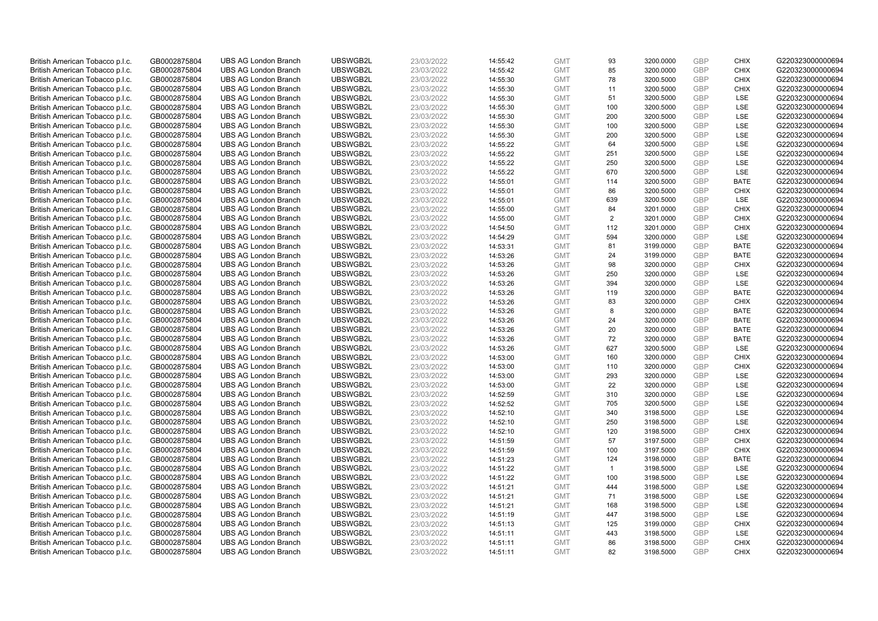| British American Tobacco p.l.c.                                    | GB0002875804                 | <b>UBS AG London Branch</b>                                | UBSWGB2L             | 23/03/2022               | 14:55:42             | <b>GMT</b>               | 93             | 3200.0000              | <b>GBP</b>               | <b>CHIX</b>                | G220323000000694                     |
|--------------------------------------------------------------------|------------------------------|------------------------------------------------------------|----------------------|--------------------------|----------------------|--------------------------|----------------|------------------------|--------------------------|----------------------------|--------------------------------------|
| British American Tobacco p.l.c.                                    | GB0002875804                 | <b>UBS AG London Branch</b>                                | UBSWGB2L             | 23/03/2022               | 14:55:42             | <b>GMT</b>               | 85             | 3200.0000              | <b>GBP</b>               | <b>CHIX</b>                | G220323000000694                     |
| British American Tobacco p.l.c.                                    | GB0002875804                 | <b>UBS AG London Branch</b>                                | UBSWGB2L             | 23/03/2022               | 14:55:30             | <b>GMT</b>               | 78             | 3200.5000              | <b>GBP</b>               | <b>CHIX</b>                | G220323000000694                     |
| British American Tobacco p.l.c.                                    | GB0002875804                 | <b>UBS AG London Branch</b>                                | UBSWGB2L             | 23/03/2022               | 14:55:30             | <b>GMT</b>               | 11             | 3200.5000              | <b>GBP</b>               | <b>CHIX</b>                | G220323000000694                     |
| British American Tobacco p.l.c.                                    | GB0002875804                 | <b>UBS AG London Branch</b>                                | UBSWGB2L             | 23/03/2022               | 14:55:30             | <b>GMT</b>               | 51             | 3200.5000              | <b>GBP</b>               | LSE                        | G220323000000694                     |
| British American Tobacco p.l.c.                                    | GB0002875804                 | <b>UBS AG London Branch</b>                                | UBSWGB2L             | 23/03/2022               | 14:55:30             | <b>GMT</b>               | 100            | 3200.5000              | <b>GBP</b>               | LSE                        | G220323000000694                     |
| British American Tobacco p.l.c.                                    | GB0002875804                 | <b>UBS AG London Branch</b>                                | UBSWGB2L             | 23/03/2022               | 14:55:30             | <b>GMT</b>               | 200            | 3200.5000              | <b>GBP</b>               | LSE                        | G220323000000694                     |
| British American Tobacco p.l.c.                                    | GB0002875804                 | <b>UBS AG London Branch</b>                                | UBSWGB2L             | 23/03/2022               | 14:55:30             | <b>GMT</b>               | 100            | 3200.5000              | <b>GBP</b>               | LSE                        | G220323000000694                     |
| British American Tobacco p.l.c.                                    | GB0002875804                 | <b>UBS AG London Branch</b>                                | UBSWGB2L             | 23/03/2022               | 14:55:30             | <b>GMT</b>               | 200            | 3200.5000              | <b>GBP</b>               | LSE                        | G220323000000694                     |
| British American Tobacco p.l.c.                                    | GB0002875804                 | <b>UBS AG London Branch</b>                                | UBSWGB2L             | 23/03/2022               | 14:55:22             | <b>GMT</b>               | 64             | 3200.5000              | <b>GBP</b>               | LSE                        | G220323000000694                     |
| British American Tobacco p.l.c.                                    | GB0002875804                 | <b>UBS AG London Branch</b>                                | UBSWGB2L             | 23/03/2022               | 14:55:22             | <b>GMT</b>               | 251            | 3200.5000              | <b>GBP</b>               | LSE                        | G220323000000694                     |
| British American Tobacco p.l.c.                                    | GB0002875804                 | <b>UBS AG London Branch</b>                                | UBSWGB2L             | 23/03/2022               | 14:55:22             | <b>GMT</b>               | 250            | 3200.5000              | <b>GBP</b>               | LSE                        | G220323000000694                     |
| British American Tobacco p.l.c.                                    | GB0002875804                 | <b>UBS AG London Branch</b>                                | UBSWGB2L             | 23/03/2022               | 14:55:22             | <b>GMT</b>               | 670            | 3200.5000              | <b>GBP</b>               | LSE                        | G220323000000694                     |
| British American Tobacco p.l.c.                                    | GB0002875804                 | <b>UBS AG London Branch</b>                                | UBSWGB2L             | 23/03/2022               | 14:55:01             | <b>GMT</b>               | 114            | 3200.5000              | <b>GBP</b>               | <b>BATE</b>                | G220323000000694                     |
| British American Tobacco p.l.c.                                    | GB0002875804                 | <b>UBS AG London Branch</b>                                | UBSWGB2L             | 23/03/2022               | 14:55:01             | <b>GMT</b>               | 86             | 3200.5000              | <b>GBP</b>               | <b>CHIX</b>                | G220323000000694                     |
| British American Tobacco p.l.c.                                    | GB0002875804                 | <b>UBS AG London Branch</b>                                | UBSWGB2L             | 23/03/2022               | 14:55:01             | <b>GMT</b>               | 639            | 3200.5000              | <b>GBP</b><br><b>GBP</b> | LSE                        | G220323000000694                     |
| British American Tobacco p.l.c.                                    | GB0002875804                 | <b>UBS AG London Branch</b>                                | UBSWGB2L             | 23/03/2022               | 14:55:00             | <b>GMT</b>               | 84             | 3201.0000              |                          | <b>CHIX</b>                | G220323000000694                     |
| British American Tobacco p.l.c.                                    | GB0002875804                 | <b>UBS AG London Branch</b>                                | UBSWGB2L             | 23/03/2022               | 14:55:00             | <b>GMT</b>               | $\overline{2}$ | 3201.0000              | <b>GBP</b>               | <b>CHIX</b>                | G220323000000694                     |
| British American Tobacco p.l.c.                                    | GB0002875804                 | <b>UBS AG London Branch</b>                                | UBSWGB2L             | 23/03/2022               | 14:54:50             | <b>GMT</b>               | 112            | 3201.0000              | <b>GBP</b><br><b>GBP</b> | <b>CHIX</b>                | G220323000000694                     |
| British American Tobacco p.l.c.                                    | GB0002875804                 | <b>UBS AG London Branch</b>                                | UBSWGB2L             | 23/03/2022               | 14:54:29             | <b>GMT</b>               | 594            | 3200.0000              |                          | LSE                        | G220323000000694                     |
| British American Tobacco p.l.c.                                    | GB0002875804                 | <b>UBS AG London Branch</b>                                | UBSWGB2L<br>UBSWGB2L | 23/03/2022               | 14:53:31<br>14:53:26 | <b>GMT</b>               | 81<br>24       | 3199.0000              | <b>GBP</b><br><b>GBP</b> | <b>BATE</b><br><b>BATE</b> | G220323000000694                     |
| British American Tobacco p.l.c.                                    | GB0002875804                 | <b>UBS AG London Branch</b>                                |                      | 23/03/2022               |                      | <b>GMT</b>               |                | 3199.0000              |                          |                            | G220323000000694                     |
| British American Tobacco p.l.c.<br>British American Tobacco p.l.c. | GB0002875804<br>GB0002875804 | <b>UBS AG London Branch</b><br><b>UBS AG London Branch</b> | UBSWGB2L<br>UBSWGB2L | 23/03/2022<br>23/03/2022 | 14:53:26             | <b>GMT</b><br><b>GMT</b> | 98<br>250      | 3200.0000              | <b>GBP</b><br><b>GBP</b> | <b>CHIX</b><br><b>LSE</b>  | G220323000000694<br>G220323000000694 |
|                                                                    | GB0002875804                 | <b>UBS AG London Branch</b>                                | UBSWGB2L             | 23/03/2022               | 14:53:26             | <b>GMT</b>               | 394            | 3200.0000<br>3200.0000 | <b>GBP</b>               | LSE                        | G220323000000694                     |
| British American Tobacco p.l.c.<br>British American Tobacco p.l.c. | GB0002875804                 | <b>UBS AG London Branch</b>                                | UBSWGB2L             | 23/03/2022               | 14:53:26<br>14:53:26 | <b>GMT</b>               | 119            | 3200.0000              | <b>GBP</b>               | <b>BATE</b>                | G220323000000694                     |
| British American Tobacco p.l.c.                                    | GB0002875804                 | <b>UBS AG London Branch</b>                                | UBSWGB2L             | 23/03/2022               | 14:53:26             | <b>GMT</b>               | 83             | 3200.0000              | <b>GBP</b>               | <b>CHIX</b>                | G220323000000694                     |
| British American Tobacco p.l.c.                                    | GB0002875804                 | <b>UBS AG London Branch</b>                                | UBSWGB2L             | 23/03/2022               | 14:53:26             | <b>GMT</b>               | 8              | 3200.0000              | <b>GBP</b>               | <b>BATE</b>                | G220323000000694                     |
| British American Tobacco p.l.c.                                    | GB0002875804                 | <b>UBS AG London Branch</b>                                | UBSWGB2L             | 23/03/2022               | 14:53:26             | <b>GMT</b>               | 24             | 3200.0000              | <b>GBP</b>               | <b>BATE</b>                | G220323000000694                     |
| British American Tobacco p.l.c.                                    | GB0002875804                 | <b>UBS AG London Branch</b>                                | UBSWGB2L             | 23/03/2022               | 14:53:26             | <b>GMT</b>               | 20             | 3200.0000              | <b>GBP</b>               | <b>BATE</b>                | G220323000000694                     |
| British American Tobacco p.l.c.                                    | GB0002875804                 | <b>UBS AG London Branch</b>                                | UBSWGB2L             | 23/03/2022               | 14:53:26             | <b>GMT</b>               | 72             | 3200.0000              | <b>GBP</b>               | <b>BATE</b>                | G220323000000694                     |
| British American Tobacco p.l.c.                                    | GB0002875804                 | <b>UBS AG London Branch</b>                                | UBSWGB2L             | 23/03/2022               | 14:53:26             | <b>GMT</b>               | 627            | 3200.5000              | <b>GBP</b>               | LSE                        | G220323000000694                     |
| British American Tobacco p.l.c.                                    | GB0002875804                 | <b>UBS AG London Branch</b>                                | UBSWGB2L             | 23/03/2022               | 14:53:00             | <b>GMT</b>               | 160            | 3200.0000              | <b>GBP</b>               | <b>CHIX</b>                | G220323000000694                     |
| British American Tobacco p.l.c.                                    | GB0002875804                 | <b>UBS AG London Branch</b>                                | UBSWGB2L             | 23/03/2022               | 14:53:00             | <b>GMT</b>               | 110            | 3200.0000              | <b>GBP</b>               | <b>CHIX</b>                | G220323000000694                     |
| British American Tobacco p.l.c.                                    | GB0002875804                 | <b>UBS AG London Branch</b>                                | UBSWGB2L             | 23/03/2022               | 14:53:00             | <b>GMT</b>               | 293            | 3200.0000              | <b>GBP</b>               | LSE                        | G220323000000694                     |
| British American Tobacco p.l.c.                                    | GB0002875804                 | <b>UBS AG London Branch</b>                                | UBSWGB2L             | 23/03/2022               | 14:53:00             | <b>GMT</b>               | 22             | 3200.0000              | <b>GBP</b>               | LSE                        | G220323000000694                     |
| British American Tobacco p.l.c.                                    | GB0002875804                 | <b>UBS AG London Branch</b>                                | UBSWGB2L             | 23/03/2022               | 14:52:59             | <b>GMT</b>               | 310            | 3200.0000              | <b>GBP</b>               | <b>LSE</b>                 | G220323000000694                     |
| British American Tobacco p.l.c.                                    | GB0002875804                 | <b>UBS AG London Branch</b>                                | UBSWGB2L             | 23/03/2022               | 14:52:52             | <b>GMT</b>               | 705            | 3200.5000              | <b>GBP</b>               | LSE                        | G220323000000694                     |
| British American Tobacco p.l.c.                                    | GB0002875804                 | <b>UBS AG London Branch</b>                                | UBSWGB2L             | 23/03/2022               | 14:52:10             | <b>GMT</b>               | 340            | 3198.5000              | <b>GBP</b>               | LSE                        | G220323000000694                     |
| British American Tobacco p.l.c.                                    | GB0002875804                 | <b>UBS AG London Branch</b>                                | UBSWGB2L             | 23/03/2022               | 14:52:10             | <b>GMT</b>               | 250            | 3198.5000              | <b>GBP</b>               | LSE                        | G220323000000694                     |
| British American Tobacco p.l.c.                                    | GB0002875804                 | <b>UBS AG London Branch</b>                                | UBSWGB2L             | 23/03/2022               | 14:52:10             | <b>GMT</b>               | 120            | 3198.5000              | <b>GBP</b>               | <b>CHIX</b>                | G220323000000694                     |
| British American Tobacco p.l.c.                                    | GB0002875804                 | <b>UBS AG London Branch</b>                                | UBSWGB2L             | 23/03/2022               | 14:51:59             | <b>GMT</b>               | 57             | 3197.5000              | <b>GBP</b>               | <b>CHIX</b>                | G220323000000694                     |
| British American Tobacco p.l.c.                                    | GB0002875804                 | <b>UBS AG London Branch</b>                                | UBSWGB2L             | 23/03/2022               | 14:51:59             | <b>GMT</b>               | 100            | 3197.5000              | <b>GBP</b>               | <b>CHIX</b>                | G220323000000694                     |
| British American Tobacco p.l.c.                                    | GB0002875804                 | <b>UBS AG London Branch</b>                                | UBSWGB2L             | 23/03/2022               | 14:51:23             | <b>GMT</b>               | 124            | 3198.0000              | GBP                      | <b>BATE</b>                | G220323000000694                     |
| British American Tobacco p.l.c.                                    | GB0002875804                 | <b>UBS AG London Branch</b>                                | UBSWGB2L             | 23/03/2022               | 14:51:22             | <b>GMT</b>               | $\mathbf{1}$   | 3198.5000              | <b>GBP</b>               | <b>LSE</b>                 | G220323000000694                     |
| British American Tobacco p.l.c.                                    | GB0002875804                 | <b>UBS AG London Branch</b>                                | UBSWGB2L             | 23/03/2022               | 14:51:22             | <b>GMT</b>               | 100            | 3198.5000              | <b>GBP</b>               | LSE                        | G220323000000694                     |
| British American Tobacco p.l.c.                                    | GB0002875804                 | <b>UBS AG London Branch</b>                                | UBSWGB2L             | 23/03/2022               | 14:51:21             | <b>GMT</b>               | 444            | 3198.5000              | <b>GBP</b>               | LSE                        | G220323000000694                     |
| British American Tobacco p.l.c.                                    | GB0002875804                 | <b>UBS AG London Branch</b>                                | UBSWGB2L             | 23/03/2022               | 14:51:21             | <b>GMT</b>               | 71             | 3198.5000              | <b>GBP</b>               | LSE                        | G220323000000694                     |
| British American Tobacco p.l.c.                                    | GB0002875804                 | <b>UBS AG London Branch</b>                                | UBSWGB2L             | 23/03/2022               | 14:51:21             | <b>GMT</b>               | 168            | 3198.5000              | <b>GBP</b>               | LSE                        | G220323000000694                     |
| British American Tobacco p.l.c.                                    | GB0002875804                 | <b>UBS AG London Branch</b>                                | UBSWGB2L             | 23/03/2022               | 14:51:19             | <b>GMT</b>               | 447            | 3198.5000              | <b>GBP</b>               | <b>LSE</b>                 | G220323000000694                     |
| British American Tobacco p.l.c.                                    | GB0002875804                 | <b>UBS AG London Branch</b>                                | UBSWGB2L             | 23/03/2022               | 14:51:13             | <b>GMT</b>               | 125            | 3199.0000              | <b>GBP</b>               | <b>CHIX</b>                | G220323000000694                     |
| British American Tobacco p.l.c.                                    | GB0002875804                 | <b>UBS AG London Branch</b>                                | UBSWGB2L             | 23/03/2022               | 14:51:11             | <b>GMT</b>               | 443            | 3198.5000              | <b>GBP</b>               | LSE                        | G220323000000694                     |
| British American Tobacco p.l.c.                                    | GB0002875804                 | <b>UBS AG London Branch</b>                                | UBSWGB2L             | 23/03/2022               | 14:51:11             | <b>GMT</b>               | 86             | 3198.5000              | <b>GBP</b>               | <b>CHIX</b>                | G220323000000694                     |
| British American Tobacco p.l.c.                                    | GB0002875804                 | <b>UBS AG London Branch</b>                                | UBSWGB2L             | 23/03/2022               | 14:51:11             | <b>GMT</b>               | 82             | 3198.5000              | GBP                      | <b>CHIX</b>                | G220323000000694                     |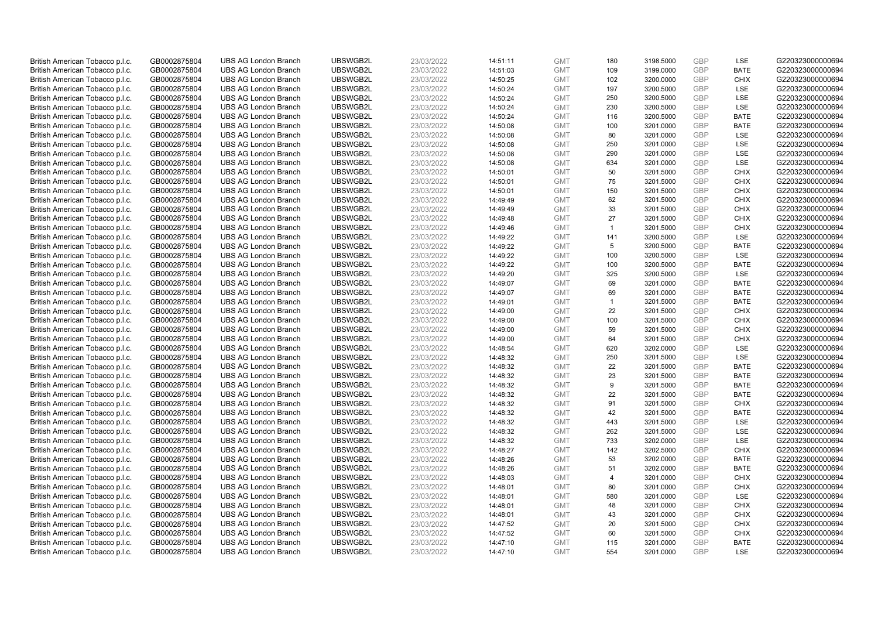| British American Tobacco p.l.c. | GB0002875804 | <b>UBS AG London Branch</b> | UBSWGB2L | 23/03/2022 | 14:51:11 | <b>GMT</b> | 180            | 3198.5000 | <b>GBP</b> | LSE         | G220323000000694 |
|---------------------------------|--------------|-----------------------------|----------|------------|----------|------------|----------------|-----------|------------|-------------|------------------|
|                                 |              |                             |          |            |          |            |                |           | <b>GBP</b> |             |                  |
| British American Tobacco p.l.c. | GB0002875804 | <b>UBS AG London Branch</b> | UBSWGB2L | 23/03/2022 | 14:51:03 | <b>GMT</b> | 109            | 3199.0000 |            | <b>BATE</b> | G220323000000694 |
| British American Tobacco p.l.c. | GB0002875804 | <b>UBS AG London Branch</b> | UBSWGB2L | 23/03/2022 | 14:50:25 | <b>GMT</b> | 102            | 3200.0000 | <b>GBP</b> | <b>CHIX</b> | G220323000000694 |
| British American Tobacco p.l.c. | GB0002875804 | <b>UBS AG London Branch</b> | UBSWGB2L | 23/03/2022 | 14:50:24 | <b>GMT</b> | 197            | 3200.5000 | <b>GBP</b> | LSE         | G220323000000694 |
| British American Tobacco p.l.c. | GB0002875804 | <b>UBS AG London Branch</b> | UBSWGB2L | 23/03/2022 | 14:50:24 | <b>GMT</b> | 250            | 3200.5000 | <b>GBP</b> | LSE         | G220323000000694 |
| British American Tobacco p.l.c. | GB0002875804 | <b>UBS AG London Branch</b> | UBSWGB2L | 23/03/2022 | 14:50:24 | <b>GMT</b> | 230            | 3200.5000 | <b>GBP</b> | LSE         | G220323000000694 |
| British American Tobacco p.l.c. | GB0002875804 | <b>UBS AG London Branch</b> | UBSWGB2L | 23/03/2022 | 14:50:24 | <b>GMT</b> | 116            | 3200.5000 | <b>GBP</b> | <b>BATE</b> | G220323000000694 |
| British American Tobacco p.l.c. | GB0002875804 | <b>UBS AG London Branch</b> | UBSWGB2L | 23/03/2022 | 14:50:08 | <b>GMT</b> | 100            | 3201.0000 | <b>GBP</b> | <b>BATE</b> | G220323000000694 |
| British American Tobacco p.l.c. | GB0002875804 | <b>UBS AG London Branch</b> | UBSWGB2L | 23/03/2022 | 14:50:08 | <b>GMT</b> | 80             | 3201.0000 | <b>GBP</b> | LSE         | G220323000000694 |
| British American Tobacco p.l.c. | GB0002875804 | <b>UBS AG London Branch</b> | UBSWGB2L | 23/03/2022 | 14:50:08 | <b>GMT</b> | 250            | 3201.0000 | <b>GBP</b> | LSE         | G220323000000694 |
| British American Tobacco p.l.c. | GB0002875804 | <b>UBS AG London Branch</b> | UBSWGB2L | 23/03/2022 | 14:50:08 | <b>GMT</b> | 290            | 3201.0000 | <b>GBP</b> | LSE         | G220323000000694 |
| British American Tobacco p.l.c. | GB0002875804 | <b>UBS AG London Branch</b> | UBSWGB2L | 23/03/2022 | 14:50:08 | <b>GMT</b> | 634            | 3201.0000 | <b>GBP</b> | LSE         | G220323000000694 |
| British American Tobacco p.l.c. | GB0002875804 | <b>UBS AG London Branch</b> | UBSWGB2L | 23/03/2022 | 14:50:01 | <b>GMT</b> | 50             | 3201.5000 | <b>GBP</b> | <b>CHIX</b> | G220323000000694 |
| British American Tobacco p.l.c. | GB0002875804 | <b>UBS AG London Branch</b> | UBSWGB2L | 23/03/2022 | 14:50:01 | <b>GMT</b> | 75             | 3201.5000 | <b>GBP</b> | <b>CHIX</b> | G220323000000694 |
| British American Tobacco p.l.c. | GB0002875804 | <b>UBS AG London Branch</b> | UBSWGB2L | 23/03/2022 | 14:50:01 | <b>GMT</b> | 150            | 3201.5000 | <b>GBP</b> | <b>CHIX</b> | G220323000000694 |
| British American Tobacco p.l.c. | GB0002875804 | <b>UBS AG London Branch</b> | UBSWGB2L | 23/03/2022 | 14:49:49 | <b>GMT</b> | 62             | 3201.5000 | <b>GBP</b> | <b>CHIX</b> | G220323000000694 |
| British American Tobacco p.l.c. | GB0002875804 | <b>UBS AG London Branch</b> | UBSWGB2L | 23/03/2022 | 14:49:49 | <b>GMT</b> | 33             | 3201.5000 | <b>GBP</b> | <b>CHIX</b> | G220323000000694 |
| British American Tobacco p.l.c. | GB0002875804 | <b>UBS AG London Branch</b> | UBSWGB2L | 23/03/2022 | 14:49:48 | <b>GMT</b> | 27             | 3201.5000 | <b>GBP</b> | <b>CHIX</b> | G220323000000694 |
| British American Tobacco p.l.c. | GB0002875804 | <b>UBS AG London Branch</b> | UBSWGB2L | 23/03/2022 | 14:49:46 | <b>GMT</b> | $\mathbf{1}$   | 3201.5000 | <b>GBP</b> | <b>CHIX</b> | G220323000000694 |
| British American Tobacco p.l.c. | GB0002875804 | <b>UBS AG London Branch</b> | UBSWGB2L | 23/03/2022 | 14:49:22 | <b>GMT</b> | 141            | 3200.5000 | <b>GBP</b> | LSE         | G220323000000694 |
| British American Tobacco p.l.c. | GB0002875804 | <b>UBS AG London Branch</b> | UBSWGB2L | 23/03/2022 | 14:49:22 | <b>GMT</b> | 5              | 3200.5000 | <b>GBP</b> | <b>BATE</b> | G220323000000694 |
| British American Tobacco p.l.c. | GB0002875804 | <b>UBS AG London Branch</b> | UBSWGB2L | 23/03/2022 | 14:49:22 | <b>GMT</b> | 100            | 3200.5000 | <b>GBP</b> | LSE         | G220323000000694 |
| British American Tobacco p.l.c. | GB0002875804 | <b>UBS AG London Branch</b> | UBSWGB2L | 23/03/2022 | 14:49:22 | <b>GMT</b> | 100            | 3200.5000 | <b>GBP</b> | <b>BATE</b> | G220323000000694 |
| British American Tobacco p.l.c. | GB0002875804 | <b>UBS AG London Branch</b> | UBSWGB2L | 23/03/2022 | 14:49:20 | <b>GMT</b> | 325            | 3200.5000 | <b>GBP</b> | LSE         | G220323000000694 |
| British American Tobacco p.l.c. | GB0002875804 | <b>UBS AG London Branch</b> | UBSWGB2L | 23/03/2022 | 14:49:07 | <b>GMT</b> | 69             | 3201.0000 | <b>GBP</b> | <b>BATE</b> | G220323000000694 |
| British American Tobacco p.l.c. | GB0002875804 | <b>UBS AG London Branch</b> | UBSWGB2L | 23/03/2022 | 14:49:07 | <b>GMT</b> | 69             | 3201.0000 | <b>GBP</b> | <b>BATE</b> | G220323000000694 |
| British American Tobacco p.l.c. | GB0002875804 | <b>UBS AG London Branch</b> | UBSWGB2L | 23/03/2022 | 14:49:01 | <b>GMT</b> | $\mathbf{1}$   | 3201.5000 | <b>GBP</b> | <b>BATE</b> | G220323000000694 |
| British American Tobacco p.l.c. | GB0002875804 | <b>UBS AG London Branch</b> | UBSWGB2L | 23/03/2022 | 14:49:00 | <b>GMT</b> | 22             | 3201.5000 | <b>GBP</b> | <b>CHIX</b> | G220323000000694 |
| British American Tobacco p.l.c. | GB0002875804 | <b>UBS AG London Branch</b> | UBSWGB2L | 23/03/2022 | 14:49:00 | <b>GMT</b> | 100            | 3201.5000 | <b>GBP</b> | <b>CHIX</b> | G220323000000694 |
| British American Tobacco p.l.c. | GB0002875804 | <b>UBS AG London Branch</b> | UBSWGB2L | 23/03/2022 | 14:49:00 | <b>GMT</b> | 59             | 3201.5000 | <b>GBP</b> | <b>CHIX</b> | G220323000000694 |
| British American Tobacco p.l.c. | GB0002875804 | <b>UBS AG London Branch</b> | UBSWGB2L | 23/03/2022 | 14:49:00 | <b>GMT</b> | 64             | 3201.5000 | <b>GBP</b> | <b>CHIX</b> | G220323000000694 |
| British American Tobacco p.l.c. | GB0002875804 | <b>UBS AG London Branch</b> | UBSWGB2L | 23/03/2022 | 14:48:54 | <b>GMT</b> | 620            | 3202.0000 | <b>GBP</b> | <b>LSE</b>  | G220323000000694 |
| British American Tobacco p.l.c. | GB0002875804 | <b>UBS AG London Branch</b> | UBSWGB2L | 23/03/2022 | 14:48:32 | <b>GMT</b> | 250            | 3201.5000 | <b>GBP</b> | LSE         | G220323000000694 |
| British American Tobacco p.l.c. | GB0002875804 | <b>UBS AG London Branch</b> | UBSWGB2L | 23/03/2022 | 14:48:32 | <b>GMT</b> | 22             | 3201.5000 | <b>GBP</b> | <b>BATE</b> | G220323000000694 |
| British American Tobacco p.l.c. | GB0002875804 | <b>UBS AG London Branch</b> | UBSWGB2L | 23/03/2022 | 14:48:32 | <b>GMT</b> | 23             | 3201.5000 | <b>GBP</b> | <b>BATE</b> | G220323000000694 |
| British American Tobacco p.l.c. | GB0002875804 | <b>UBS AG London Branch</b> | UBSWGB2L | 23/03/2022 | 14:48:32 | <b>GMT</b> | 9              | 3201.5000 | <b>GBP</b> | <b>BATE</b> | G220323000000694 |
| British American Tobacco p.l.c. | GB0002875804 | <b>UBS AG London Branch</b> | UBSWGB2L | 23/03/2022 | 14:48:32 | <b>GMT</b> | 22             | 3201.5000 | <b>GBP</b> | <b>BATE</b> | G220323000000694 |
| British American Tobacco p.l.c. | GB0002875804 | <b>UBS AG London Branch</b> | UBSWGB2L | 23/03/2022 | 14:48:32 | <b>GMT</b> | 91             | 3201.5000 | <b>GBP</b> | <b>CHIX</b> | G220323000000694 |
| British American Tobacco p.l.c. | GB0002875804 | <b>UBS AG London Branch</b> | UBSWGB2L | 23/03/2022 | 14:48:32 | <b>GMT</b> | 42             | 3201.5000 | <b>GBP</b> | <b>BATE</b> | G220323000000694 |
| British American Tobacco p.l.c. | GB0002875804 | <b>UBS AG London Branch</b> | UBSWGB2L | 23/03/2022 | 14:48:32 | <b>GMT</b> | 443            | 3201.5000 | <b>GBP</b> | LSE         | G220323000000694 |
| British American Tobacco p.l.c. | GB0002875804 | <b>UBS AG London Branch</b> | UBSWGB2L | 23/03/2022 | 14:48:32 | <b>GMT</b> | 262            | 3201.5000 | <b>GBP</b> | LSE         | G220323000000694 |
| British American Tobacco p.l.c. | GB0002875804 | <b>UBS AG London Branch</b> | UBSWGB2L | 23/03/2022 | 14:48:32 | <b>GMT</b> | 733            | 3202.0000 | <b>GBP</b> | LSE         | G220323000000694 |
| British American Tobacco p.l.c. | GB0002875804 | <b>UBS AG London Branch</b> | UBSWGB2L | 23/03/2022 | 14:48:27 | <b>GMT</b> | 142            | 3202.5000 | <b>GBP</b> | <b>CHIX</b> | G220323000000694 |
| British American Tobacco p.l.c. | GB0002875804 | <b>UBS AG London Branch</b> | UBSWGB2L | 23/03/2022 | 14:48:26 | <b>GMT</b> | 53             | 3202.0000 | <b>GBP</b> | <b>BATE</b> | G220323000000694 |
| British American Tobacco p.l.c. | GB0002875804 | <b>UBS AG London Branch</b> | UBSWGB2L | 23/03/2022 | 14:48:26 | <b>GMT</b> | 51             | 3202.0000 | <b>GBP</b> | <b>BATE</b> | G220323000000694 |
| British American Tobacco p.l.c. | GB0002875804 | <b>UBS AG London Branch</b> | UBSWGB2L | 23/03/2022 | 14:48:03 | <b>GMT</b> | $\overline{4}$ | 3201.0000 | <b>GBP</b> | <b>CHIX</b> | G220323000000694 |
| British American Tobacco p.l.c. | GB0002875804 | <b>UBS AG London Branch</b> | UBSWGB2L | 23/03/2022 | 14:48:01 | <b>GMT</b> | 80             | 3201.0000 | <b>GBP</b> | <b>CHIX</b> | G220323000000694 |
| British American Tobacco p.l.c. | GB0002875804 | <b>UBS AG London Branch</b> | UBSWGB2L | 23/03/2022 | 14:48:01 | <b>GMT</b> | 580            | 3201.0000 | GBP        | LSE         | G220323000000694 |
| British American Tobacco p.l.c. | GB0002875804 | <b>UBS AG London Branch</b> | UBSWGB2L | 23/03/2022 | 14:48:01 | <b>GMT</b> | 48             | 3201.0000 | <b>GBP</b> | <b>CHIX</b> | G220323000000694 |
| British American Tobacco p.l.c. |              | <b>UBS AG London Branch</b> | UBSWGB2L | 23/03/2022 |          | <b>GMT</b> | 43             | 3201.0000 | <b>GBP</b> | <b>CHIX</b> | G220323000000694 |
|                                 | GB0002875804 |                             |          |            | 14:48:01 | <b>GMT</b> | 20             | 3201.5000 | <b>GBP</b> | <b>CHIX</b> |                  |
| British American Tobacco p.l.c. | GB0002875804 | <b>UBS AG London Branch</b> | UBSWGB2L | 23/03/2022 | 14:47:52 |            | 60             |           | <b>GBP</b> | <b>CHIX</b> | G220323000000694 |
| British American Tobacco p.l.c. | GB0002875804 | <b>UBS AG London Branch</b> | UBSWGB2L | 23/03/2022 | 14:47:52 | <b>GMT</b> |                | 3201.5000 | <b>GBP</b> |             | G220323000000694 |
| British American Tobacco p.l.c. | GB0002875804 | <b>UBS AG London Branch</b> | UBSWGB2L | 23/03/2022 | 14:47:10 | <b>GMT</b> | 115<br>554     | 3201.0000 |            | <b>BATE</b> | G220323000000694 |
| British American Tobacco p.l.c. | GB0002875804 | <b>UBS AG London Branch</b> | UBSWGB2L | 23/03/2022 | 14:47:10 | <b>GMT</b> |                | 3201.0000 | <b>GBP</b> | LSE         | G220323000000694 |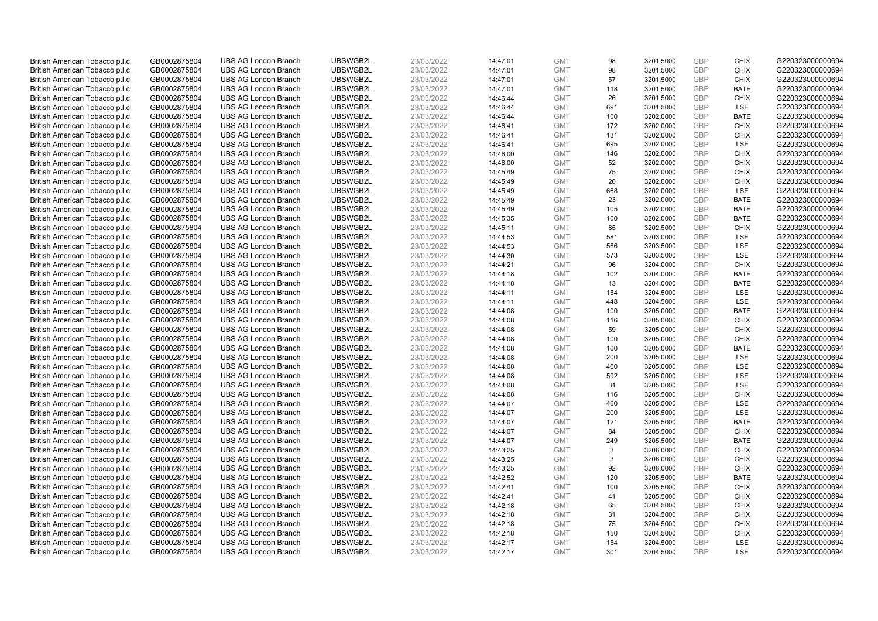| British American Tobacco p.l.c. | GB0002875804 | <b>UBS AG London Branch</b> | UBSWGB2L | 23/03/2022 | 14:47:01 | <b>GMT</b> | 98  | 3201.5000 | <b>GBP</b> | <b>CHIX</b> | G220323000000694 |
|---------------------------------|--------------|-----------------------------|----------|------------|----------|------------|-----|-----------|------------|-------------|------------------|
| British American Tobacco p.l.c. | GB0002875804 | <b>UBS AG London Branch</b> | UBSWGB2L | 23/03/2022 | 14:47:01 | <b>GMT</b> | 98  | 3201.5000 | <b>GBP</b> | <b>CHIX</b> | G220323000000694 |
| British American Tobacco p.l.c. | GB0002875804 | <b>UBS AG London Branch</b> | UBSWGB2L | 23/03/2022 | 14:47:01 | <b>GMT</b> | 57  | 3201.5000 | GBP        | <b>CHIX</b> | G220323000000694 |
| British American Tobacco p.l.c. | GB0002875804 | <b>UBS AG London Branch</b> | UBSWGB2L | 23/03/2022 | 14:47:01 | <b>GMT</b> | 118 | 3201.5000 | <b>GBP</b> | <b>BATE</b> | G220323000000694 |
| British American Tobacco p.l.c. | GB0002875804 | <b>UBS AG London Branch</b> | UBSWGB2L | 23/03/2022 | 14:46:44 | <b>GMT</b> | 26  | 3201.5000 | <b>GBP</b> | <b>CHIX</b> | G220323000000694 |
| British American Tobacco p.l.c. | GB0002875804 | <b>UBS AG London Branch</b> | UBSWGB2L | 23/03/2022 | 14:46:44 | <b>GMT</b> | 691 | 3201.5000 | <b>GBP</b> | <b>LSE</b>  | G220323000000694 |
| British American Tobacco p.l.c. | GB0002875804 | <b>UBS AG London Branch</b> | UBSWGB2L | 23/03/2022 | 14:46:44 | <b>GMT</b> | 100 | 3202.0000 | GBP        | <b>BATE</b> | G220323000000694 |
| British American Tobacco p.l.c. | GB0002875804 | <b>UBS AG London Branch</b> | UBSWGB2L | 23/03/2022 | 14:46:41 | <b>GMT</b> | 172 | 3202.0000 | <b>GBP</b> | <b>CHIX</b> | G220323000000694 |
| British American Tobacco p.l.c. | GB0002875804 | <b>UBS AG London Branch</b> | UBSWGB2L | 23/03/2022 | 14:46:41 | <b>GMT</b> | 131 | 3202.0000 | GBP        | <b>CHIX</b> | G220323000000694 |
| British American Tobacco p.l.c. | GB0002875804 | <b>UBS AG London Branch</b> | UBSWGB2L | 23/03/2022 | 14:46:41 | <b>GMT</b> | 695 | 3202.0000 | <b>GBP</b> | LSE         | G220323000000694 |
| British American Tobacco p.l.c. | GB0002875804 | <b>UBS AG London Branch</b> | UBSWGB2L | 23/03/2022 | 14:46:00 | <b>GMT</b> | 146 | 3202.0000 | GBP        | <b>CHIX</b> | G220323000000694 |
| British American Tobacco p.l.c. | GB0002875804 | <b>UBS AG London Branch</b> | UBSWGB2L | 23/03/2022 | 14:46:00 | <b>GMT</b> | 52  | 3202.0000 | <b>GBP</b> | <b>CHIX</b> | G220323000000694 |
| British American Tobacco p.l.c. | GB0002875804 | <b>UBS AG London Branch</b> | UBSWGB2L | 23/03/2022 | 14:45:49 | <b>GMT</b> | 75  | 3202.0000 | <b>GBP</b> | <b>CHIX</b> | G220323000000694 |
| British American Tobacco p.l.c. | GB0002875804 | <b>UBS AG London Branch</b> | UBSWGB2L | 23/03/2022 | 14:45:49 | <b>GMT</b> | 20  | 3202.0000 | <b>GBP</b> | <b>CHIX</b> | G220323000000694 |
| British American Tobacco p.l.c. | GB0002875804 | <b>UBS AG London Branch</b> | UBSWGB2L | 23/03/2022 | 14:45:49 | <b>GMT</b> | 668 | 3202.0000 | GBP        | LSE         | G220323000000694 |
| British American Tobacco p.l.c. | GB0002875804 | <b>UBS AG London Branch</b> | UBSWGB2L | 23/03/2022 | 14:45:49 | <b>GMT</b> | 23  | 3202.0000 | GBP        | <b>BATE</b> | G220323000000694 |
| British American Tobacco p.l.c. | GB0002875804 | <b>UBS AG London Branch</b> | UBSWGB2L | 23/03/2022 | 14:45:49 | <b>GMT</b> | 105 | 3202.0000 | <b>GBP</b> | <b>BATE</b> | G220323000000694 |
| British American Tobacco p.l.c. | GB0002875804 | <b>UBS AG London Branch</b> | UBSWGB2L | 23/03/2022 | 14:45:35 | <b>GMT</b> | 100 | 3202.0000 | <b>GBP</b> | <b>BATE</b> | G220323000000694 |
| British American Tobacco p.l.c. | GB0002875804 | <b>UBS AG London Branch</b> | UBSWGB2L | 23/03/2022 | 14:45:11 | <b>GMT</b> | 85  | 3202.5000 | GBP        | <b>CHIX</b> | G220323000000694 |
| British American Tobacco p.l.c. | GB0002875804 | <b>UBS AG London Branch</b> | UBSWGB2L | 23/03/2022 | 14:44:53 | <b>GMT</b> | 581 | 3203.0000 | GBP        | LSE         | G220323000000694 |
| British American Tobacco p.l.c. | GB0002875804 | <b>UBS AG London Branch</b> | UBSWGB2L | 23/03/2022 | 14:44:53 | <b>GMT</b> | 566 | 3203.5000 | <b>GBP</b> | LSE         | G220323000000694 |
| British American Tobacco p.l.c. | GB0002875804 | <b>UBS AG London Branch</b> | UBSWGB2L | 23/03/2022 | 14:44:30 | <b>GMT</b> | 573 | 3203.5000 | GBP        | <b>LSE</b>  | G220323000000694 |
| British American Tobacco p.l.c. | GB0002875804 | <b>UBS AG London Branch</b> | UBSWGB2L | 23/03/2022 | 14:44:21 | <b>GMT</b> | 96  | 3204.0000 | <b>GBP</b> | <b>CHIX</b> | G220323000000694 |
| British American Tobacco p.l.c. | GB0002875804 | <b>UBS AG London Branch</b> | UBSWGB2L | 23/03/2022 | 14:44:18 | <b>GMT</b> | 102 | 3204.0000 | <b>GBP</b> | <b>BATE</b> | G220323000000694 |
| British American Tobacco p.l.c. | GB0002875804 | <b>UBS AG London Branch</b> | UBSWGB2L | 23/03/2022 | 14:44:18 | <b>GMT</b> | 13  | 3204.0000 | GBP        | <b>BATE</b> | G220323000000694 |
| British American Tobacco p.l.c. | GB0002875804 | <b>UBS AG London Branch</b> | UBSWGB2L | 23/03/2022 | 14:44:11 | <b>GMT</b> | 154 | 3204.5000 | GBP        | LSE         | G220323000000694 |
| British American Tobacco p.l.c. | GB0002875804 | <b>UBS AG London Branch</b> | UBSWGB2L | 23/03/2022 | 14:44:11 | <b>GMT</b> | 448 | 3204.5000 | <b>GBP</b> | LSE         | G220323000000694 |
| British American Tobacco p.l.c. | GB0002875804 | <b>UBS AG London Branch</b> | UBSWGB2L | 23/03/2022 | 14:44:08 | <b>GMT</b> | 100 | 3205.0000 | GBP        | <b>BATE</b> | G220323000000694 |
| British American Tobacco p.l.c. | GB0002875804 | <b>UBS AG London Branch</b> | UBSWGB2L | 23/03/2022 | 14:44:08 | <b>GMT</b> | 116 | 3205.0000 | GBP        | <b>CHIX</b> | G220323000000694 |
| British American Tobacco p.l.c. | GB0002875804 | <b>UBS AG London Branch</b> | UBSWGB2L | 23/03/2022 | 14:44:08 | <b>GMT</b> | 59  | 3205.0000 | GBP        | <b>CHIX</b> | G220323000000694 |
| British American Tobacco p.l.c. | GB0002875804 | <b>UBS AG London Branch</b> | UBSWGB2L | 23/03/2022 | 14:44:08 | <b>GMT</b> | 100 | 3205.0000 | <b>GBP</b> | <b>CHIX</b> | G220323000000694 |
| British American Tobacco p.l.c. | GB0002875804 | <b>UBS AG London Branch</b> | UBSWGB2L | 23/03/2022 | 14:44:08 | <b>GMT</b> | 100 | 3205.0000 | GBP        | <b>BATE</b> | G220323000000694 |
| British American Tobacco p.l.c. | GB0002875804 | <b>UBS AG London Branch</b> | UBSWGB2L | 23/03/2022 | 14:44:08 | <b>GMT</b> | 200 | 3205.0000 | GBP        | <b>LSE</b>  | G220323000000694 |
| British American Tobacco p.l.c. | GB0002875804 | <b>UBS AG London Branch</b> | UBSWGB2L | 23/03/2022 | 14:44:08 | <b>GMT</b> | 400 | 3205.0000 | <b>GBP</b> | LSE         | G220323000000694 |
| British American Tobacco p.l.c. | GB0002875804 | <b>UBS AG London Branch</b> | UBSWGB2L | 23/03/2022 | 14:44:08 | <b>GMT</b> | 592 | 3205.0000 | GBP        | <b>LSE</b>  | G220323000000694 |
| British American Tobacco p.l.c. | GB0002875804 | <b>UBS AG London Branch</b> | UBSWGB2L | 23/03/2022 | 14:44:08 | <b>GMT</b> | 31  | 3205.0000 | GBP        | <b>LSE</b>  | G220323000000694 |
| British American Tobacco p.l.c. | GB0002875804 | <b>UBS AG London Branch</b> | UBSWGB2L | 23/03/2022 | 14:44:08 | <b>GMT</b> | 116 | 3205.5000 | <b>GBP</b> | <b>CHIX</b> | G220323000000694 |
| British American Tobacco p.l.c. | GB0002875804 | <b>UBS AG London Branch</b> | UBSWGB2L | 23/03/2022 | 14:44:07 | <b>GMT</b> | 460 | 3205.5000 | GBP        | LSE         | G220323000000694 |
| British American Tobacco p.l.c. | GB0002875804 | <b>UBS AG London Branch</b> | UBSWGB2L | 23/03/2022 | 14:44:07 | <b>GMT</b> | 200 | 3205.5000 | GBP        | LSE         | G220323000000694 |
| British American Tobacco p.l.c. | GB0002875804 | <b>UBS AG London Branch</b> | UBSWGB2L | 23/03/2022 | 14:44:07 | <b>GMT</b> | 121 | 3205.5000 | GBP        | <b>BATE</b> | G220323000000694 |
| British American Tobacco p.l.c. | GB0002875804 | <b>UBS AG London Branch</b> | UBSWGB2L | 23/03/2022 | 14:44:07 | <b>GMT</b> | 84  | 3205.5000 | GBP        | <b>CHIX</b> | G220323000000694 |
| British American Tobacco p.l.c. | GB0002875804 | <b>UBS AG London Branch</b> | UBSWGB2L | 23/03/2022 | 14:44:07 | <b>GMT</b> | 249 | 3205.5000 | GBP        | <b>BATE</b> | G220323000000694 |
| British American Tobacco p.l.c. | GB0002875804 | <b>UBS AG London Branch</b> | UBSWGB2L | 23/03/2022 | 14:43:25 | <b>GMT</b> | 3   | 3206.0000 | GBP        | <b>CHIX</b> | G220323000000694 |
| British American Tobacco p.l.c. | GB0002875804 | <b>UBS AG London Branch</b> | UBSWGB2L | 23/03/2022 | 14:43:25 | <b>GMT</b> | 3   | 3206.0000 | GBP        | <b>CHIX</b> | G220323000000694 |
| British American Tobacco p.l.c. | GB0002875804 | <b>UBS AG London Branch</b> | UBSWGB2L | 23/03/2022 | 14:43:25 | <b>GMT</b> | 92  | 3206.0000 | GBP        | <b>CHIX</b> | G220323000000694 |
| British American Tobacco p.l.c. | GB0002875804 | <b>UBS AG London Branch</b> | UBSWGB2L | 23/03/2022 | 14:42:52 | <b>GMT</b> | 120 | 3205.5000 | <b>GBP</b> | <b>BATE</b> | G220323000000694 |
| British American Tobacco p.l.c. | GB0002875804 | <b>UBS AG London Branch</b> | UBSWGB2L | 23/03/2022 | 14:42:41 | <b>GMT</b> | 100 | 3205.5000 | <b>GBP</b> | <b>CHIX</b> | G220323000000694 |
| British American Tobacco p.l.c. | GB0002875804 | <b>UBS AG London Branch</b> | UBSWGB2L | 23/03/2022 | 14:42:41 | <b>GMT</b> | 41  | 3205.5000 | GBP        | <b>CHIX</b> | G220323000000694 |
| British American Tobacco p.l.c. | GB0002875804 | <b>UBS AG London Branch</b> | UBSWGB2L | 23/03/2022 | 14:42:18 | <b>GMT</b> | 65  | 3204.5000 | GBP        | <b>CHIX</b> | G220323000000694 |
| British American Tobacco p.l.c. | GB0002875804 | <b>UBS AG London Branch</b> | UBSWGB2L | 23/03/2022 | 14:42:18 | <b>GMT</b> | 31  | 3204.5000 | <b>GBP</b> | <b>CHIX</b> | G220323000000694 |
| British American Tobacco p.l.c. | GB0002875804 | <b>UBS AG London Branch</b> | UBSWGB2L | 23/03/2022 | 14:42:18 | <b>GMT</b> | 75  | 3204.5000 | GBP        | <b>CHIX</b> | G220323000000694 |
| British American Tobacco p.l.c. | GB0002875804 | <b>UBS AG London Branch</b> | UBSWGB2L | 23/03/2022 | 14:42:18 | <b>GMT</b> | 150 | 3204.5000 | <b>GBP</b> | <b>CHIX</b> | G220323000000694 |
| British American Tobacco p.l.c. | GB0002875804 | <b>UBS AG London Branch</b> | UBSWGB2L | 23/03/2022 | 14:42:17 | <b>GMT</b> | 154 | 3204.5000 | GBP        | <b>LSE</b>  | G220323000000694 |
| British American Tobacco p.l.c. | GB0002875804 | <b>UBS AG London Branch</b> | UBSWGB2L | 23/03/2022 | 14:42:17 | <b>GMT</b> | 301 | 3204.5000 | GBP        | <b>LSE</b>  | G220323000000694 |
|                                 |              |                             |          |            |          |            |     |           |            |             |                  |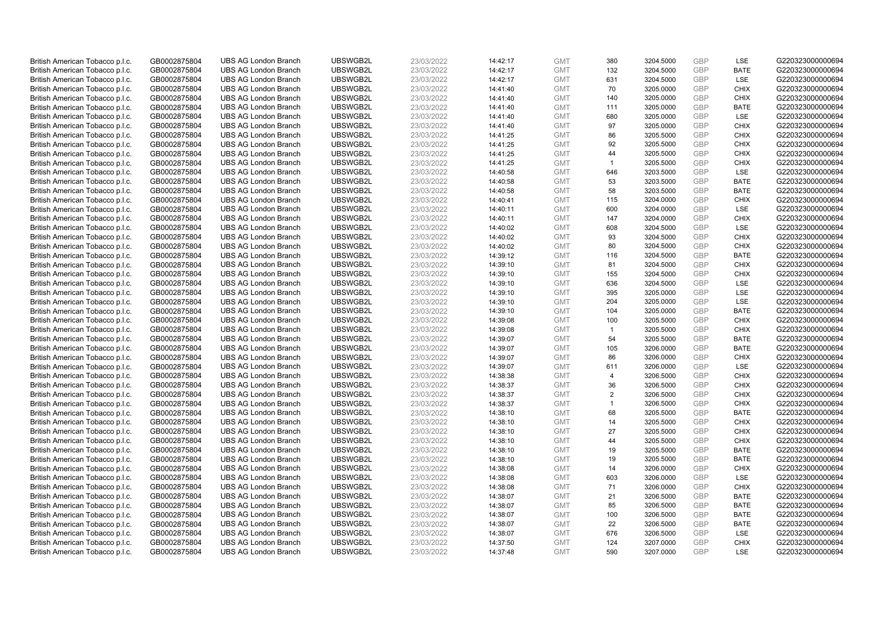| British American Tobacco p.l.c. | GB0002875804 | <b>UBS AG London Branch</b> | UBSWGB2L | 23/03/2022 | 14:42:17 | <b>GMT</b> | 380            | 3204.5000 | <b>GBP</b> | LSE         | G220323000000694 |
|---------------------------------|--------------|-----------------------------|----------|------------|----------|------------|----------------|-----------|------------|-------------|------------------|
| British American Tobacco p.l.c. | GB0002875804 | <b>UBS AG London Branch</b> | UBSWGB2L | 23/03/2022 | 14:42:17 | <b>GMT</b> | 132            | 3204.5000 | <b>GBP</b> | <b>BATE</b> | G220323000000694 |
| British American Tobacco p.l.c. | GB0002875804 | <b>UBS AG London Branch</b> | UBSWGB2L | 23/03/2022 | 14:42:17 | <b>GMT</b> | 631            | 3204.5000 | <b>GBP</b> | LSE         | G220323000000694 |
| British American Tobacco p.l.c. | GB0002875804 | <b>UBS AG London Branch</b> | UBSWGB2L | 23/03/2022 | 14:41:40 | <b>GMT</b> | 70             | 3205.0000 | <b>GBP</b> | <b>CHIX</b> | G220323000000694 |
| British American Tobacco p.l.c. | GB0002875804 | <b>UBS AG London Branch</b> | UBSWGB2L | 23/03/2022 | 14:41:40 | <b>GMT</b> | 140            | 3205.0000 | <b>GBP</b> | <b>CHIX</b> | G220323000000694 |
| British American Tobacco p.l.c. | GB0002875804 | <b>UBS AG London Branch</b> | UBSWGB2L | 23/03/2022 | 14:41:40 | <b>GMT</b> | 111            | 3205.0000 | <b>GBP</b> | <b>BATE</b> | G220323000000694 |
| British American Tobacco p.l.c. | GB0002875804 | <b>UBS AG London Branch</b> | UBSWGB2L | 23/03/2022 | 14:41:40 | <b>GMT</b> | 680            | 3205.0000 | <b>GBP</b> | LSE         | G220323000000694 |
| British American Tobacco p.l.c. | GB0002875804 | <b>UBS AG London Branch</b> | UBSWGB2L | 23/03/2022 | 14:41:40 | <b>GMT</b> | 97             | 3205.0000 | <b>GBP</b> | <b>CHIX</b> | G220323000000694 |
| British American Tobacco p.l.c. | GB0002875804 | <b>UBS AG London Branch</b> | UBSWGB2L | 23/03/2022 | 14:41:25 | <b>GMT</b> | 86             | 3205.5000 | <b>GBP</b> | <b>CHIX</b> | G220323000000694 |
| British American Tobacco p.l.c. | GB0002875804 | <b>UBS AG London Branch</b> | UBSWGB2L | 23/03/2022 | 14:41:25 | <b>GMT</b> | 92             | 3205.5000 | <b>GBP</b> | <b>CHIX</b> | G220323000000694 |
| British American Tobacco p.l.c. | GB0002875804 | <b>UBS AG London Branch</b> | UBSWGB2L | 23/03/2022 | 14:41:25 | <b>GMT</b> | 44             | 3205.5000 | <b>GBP</b> | <b>CHIX</b> | G220323000000694 |
| British American Tobacco p.l.c. | GB0002875804 | <b>UBS AG London Branch</b> | UBSWGB2L | 23/03/2022 | 14:41:25 | <b>GMT</b> | $\mathbf{1}$   | 3205.5000 | <b>GBP</b> | <b>CHIX</b> | G220323000000694 |
| British American Tobacco p.l.c. | GB0002875804 | <b>UBS AG London Branch</b> | UBSWGB2L | 23/03/2022 | 14:40:58 | <b>GMT</b> | 646            | 3203.5000 | <b>GBP</b> | LSE         | G220323000000694 |
| British American Tobacco p.l.c. | GB0002875804 | <b>UBS AG London Branch</b> | UBSWGB2L | 23/03/2022 | 14:40:58 | <b>GMT</b> | 53             | 3203.5000 | <b>GBP</b> | <b>BATE</b> | G220323000000694 |
| British American Tobacco p.l.c. | GB0002875804 | <b>UBS AG London Branch</b> | UBSWGB2L | 23/03/2022 | 14:40:58 | <b>GMT</b> | 58             | 3203.5000 | <b>GBP</b> | <b>BATE</b> | G220323000000694 |
| British American Tobacco p.l.c. | GB0002875804 | <b>UBS AG London Branch</b> | UBSWGB2L | 23/03/2022 | 14:40:41 | <b>GMT</b> | 115            | 3204.0000 | <b>GBP</b> | <b>CHIX</b> | G220323000000694 |
| British American Tobacco p.l.c. | GB0002875804 | <b>UBS AG London Branch</b> | UBSWGB2L | 23/03/2022 | 14:40:11 | <b>GMT</b> | 600            | 3204.0000 | <b>GBP</b> | LSE         | G220323000000694 |
| British American Tobacco p.l.c. | GB0002875804 | <b>UBS AG London Branch</b> | UBSWGB2L | 23/03/2022 | 14:40:11 | <b>GMT</b> | 147            | 3204.0000 | <b>GBP</b> | <b>CHIX</b> | G220323000000694 |
| British American Tobacco p.l.c. | GB0002875804 | <b>UBS AG London Branch</b> | UBSWGB2L | 23/03/2022 | 14:40:02 | <b>GMT</b> | 608            | 3204.5000 | <b>GBP</b> | <b>LSE</b>  | G220323000000694 |
| British American Tobacco p.l.c. | GB0002875804 | <b>UBS AG London Branch</b> | UBSWGB2L | 23/03/2022 | 14:40:02 | <b>GMT</b> | 93             | 3204.5000 | <b>GBP</b> | <b>CHIX</b> | G220323000000694 |
| British American Tobacco p.l.c. | GB0002875804 | <b>UBS AG London Branch</b> | UBSWGB2L | 23/03/2022 | 14:40:02 | <b>GMT</b> | 80             | 3204.5000 | <b>GBP</b> | <b>CHIX</b> | G220323000000694 |
| British American Tobacco p.l.c. | GB0002875804 | <b>UBS AG London Branch</b> | UBSWGB2L | 23/03/2022 | 14:39:12 | <b>GMT</b> | 116            | 3204.5000 | <b>GBP</b> | <b>BATE</b> | G220323000000694 |
| British American Tobacco p.l.c. | GB0002875804 | <b>UBS AG London Branch</b> | UBSWGB2L | 23/03/2022 | 14:39:10 | <b>GMT</b> | 81             | 3204.5000 | <b>GBP</b> | <b>CHIX</b> | G220323000000694 |
| British American Tobacco p.l.c. | GB0002875804 | <b>UBS AG London Branch</b> | UBSWGB2L | 23/03/2022 | 14:39:10 | <b>GMT</b> | 155            | 3204.5000 | <b>GBP</b> | <b>CHIX</b> | G220323000000694 |
| British American Tobacco p.l.c. | GB0002875804 | <b>UBS AG London Branch</b> | UBSWGB2L | 23/03/2022 | 14:39:10 | <b>GMT</b> | 636            | 3204.5000 | <b>GBP</b> | LSE         | G220323000000694 |
| British American Tobacco p.l.c. | GB0002875804 | <b>UBS AG London Branch</b> | UBSWGB2L | 23/03/2022 | 14:39:10 | <b>GMT</b> | 395            | 3205.0000 | <b>GBP</b> | LSE         | G220323000000694 |
| British American Tobacco p.l.c. | GB0002875804 | <b>UBS AG London Branch</b> | UBSWGB2L | 23/03/2022 | 14:39:10 | <b>GMT</b> | 204            | 3205.0000 | <b>GBP</b> | LSE         | G220323000000694 |
| British American Tobacco p.l.c. | GB0002875804 | <b>UBS AG London Branch</b> | UBSWGB2L | 23/03/2022 | 14:39:10 | <b>GMT</b> | 104            | 3205.0000 | <b>GBP</b> | <b>BATE</b> | G220323000000694 |
| British American Tobacco p.l.c. | GB0002875804 | <b>UBS AG London Branch</b> | UBSWGB2L | 23/03/2022 | 14:39:08 | <b>GMT</b> | 100            | 3205.5000 | <b>GBP</b> | <b>CHIX</b> | G220323000000694 |
| British American Tobacco p.l.c. | GB0002875804 | <b>UBS AG London Branch</b> | UBSWGB2L | 23/03/2022 | 14:39:08 | <b>GMT</b> | $\mathbf{1}$   | 3205.5000 | <b>GBP</b> | <b>CHIX</b> | G220323000000694 |
| British American Tobacco p.l.c. | GB0002875804 | <b>UBS AG London Branch</b> | UBSWGB2L | 23/03/2022 | 14:39:07 | <b>GMT</b> | 54             | 3205.5000 | <b>GBP</b> | <b>BATE</b> | G220323000000694 |
| British American Tobacco p.l.c. | GB0002875804 | <b>UBS AG London Branch</b> | UBSWGB2L | 23/03/2022 | 14:39:07 | <b>GMT</b> | 105            | 3206.0000 | <b>GBP</b> | BATE        | G220323000000694 |
| British American Tobacco p.l.c. | GB0002875804 | <b>UBS AG London Branch</b> | UBSWGB2L | 23/03/2022 | 14:39:07 | <b>GMT</b> | 86             | 3206.0000 | <b>GBP</b> | <b>CHIX</b> | G220323000000694 |
| British American Tobacco p.l.c. | GB0002875804 | <b>UBS AG London Branch</b> | UBSWGB2L | 23/03/2022 | 14:39:07 | <b>GMT</b> | 611            | 3206.0000 | GBP        | LSE         | G220323000000694 |
| British American Tobacco p.l.c. | GB0002875804 | <b>UBS AG London Branch</b> | UBSWGB2L | 23/03/2022 | 14:38:38 | <b>GMT</b> | $\overline{4}$ | 3206.5000 | <b>GBP</b> | <b>CHIX</b> | G220323000000694 |
| British American Tobacco p.l.c. | GB0002875804 | <b>UBS AG London Branch</b> | UBSWGB2L | 23/03/2022 | 14:38:37 | <b>GMT</b> | 36             | 3206.5000 | <b>GBP</b> | <b>CHIX</b> | G220323000000694 |
| British American Tobacco p.l.c. | GB0002875804 | <b>UBS AG London Branch</b> | UBSWGB2L | 23/03/2022 | 14:38:37 | <b>GMT</b> | $\overline{2}$ | 3206.5000 | <b>GBP</b> | <b>CHIX</b> | G220323000000694 |
| British American Tobacco p.l.c. | GB0002875804 | <b>UBS AG London Branch</b> | UBSWGB2L | 23/03/2022 | 14:38:37 | <b>GMT</b> | $\mathbf 1$    | 3206.5000 | <b>GBP</b> | <b>CHIX</b> | G220323000000694 |
| British American Tobacco p.l.c. | GB0002875804 | <b>UBS AG London Branch</b> | UBSWGB2L | 23/03/2022 | 14:38:10 | <b>GMT</b> | 68             | 3205.5000 | <b>GBP</b> | <b>BATE</b> | G220323000000694 |
| British American Tobacco p.l.c. | GB0002875804 | <b>UBS AG London Branch</b> | UBSWGB2L | 23/03/2022 | 14:38:10 | <b>GMT</b> | 14             | 3205.5000 | <b>GBP</b> | <b>CHIX</b> | G220323000000694 |
| British American Tobacco p.l.c. | GB0002875804 | <b>UBS AG London Branch</b> | UBSWGB2L | 23/03/2022 | 14:38:10 | <b>GMT</b> | 27             | 3205.5000 | <b>GBP</b> | <b>CHIX</b> | G220323000000694 |
| British American Tobacco p.l.c. | GB0002875804 | <b>UBS AG London Branch</b> | UBSWGB2L | 23/03/2022 | 14:38:10 | <b>GMT</b> | 44             | 3205.5000 | <b>GBP</b> | <b>CHIX</b> | G220323000000694 |
| British American Tobacco p.l.c. | GB0002875804 | <b>UBS AG London Branch</b> | UBSWGB2L | 23/03/2022 | 14:38:10 | <b>GMT</b> | 19             | 3205.5000 | <b>GBP</b> | <b>BATE</b> | G220323000000694 |
| British American Tobacco p.l.c. | GB0002875804 | <b>UBS AG London Branch</b> | UBSWGB2L | 23/03/2022 | 14:38:10 | <b>GMT</b> | 19             | 3205.5000 | <b>GBP</b> | <b>BATE</b> | G220323000000694 |
| British American Tobacco p.l.c. | GB0002875804 | <b>UBS AG London Branch</b> | UBSWGB2L | 23/03/2022 | 14:38:08 | <b>GMT</b> | 14             | 3206.0000 | <b>GBP</b> | <b>CHIX</b> | G220323000000694 |
| British American Tobacco p.l.c. | GB0002875804 | <b>UBS AG London Branch</b> | UBSWGB2L | 23/03/2022 | 14:38:08 | <b>GMT</b> | 603            | 3206.0000 | <b>GBP</b> | LSE         | G220323000000694 |
| British American Tobacco p.l.c. | GB0002875804 | <b>UBS AG London Branch</b> | UBSWGB2L | 23/03/2022 | 14:38:08 | <b>GMT</b> | 71             | 3206.0000 | <b>GBP</b> | <b>CHIX</b> | G220323000000694 |
| British American Tobacco p.l.c. | GB0002875804 | <b>UBS AG London Branch</b> | UBSWGB2L | 23/03/2022 | 14:38:07 | <b>GMT</b> | 21             | 3206.5000 | <b>GBP</b> | <b>BATE</b> | G220323000000694 |
| British American Tobacco p.l.c. | GB0002875804 | <b>UBS AG London Branch</b> | UBSWGB2L | 23/03/2022 | 14:38:07 | <b>GMT</b> | 85             | 3206.5000 | <b>GBP</b> | <b>BATE</b> | G220323000000694 |
| British American Tobacco p.l.c. | GB0002875804 | <b>UBS AG London Branch</b> | UBSWGB2L | 23/03/2022 | 14:38:07 | <b>GMT</b> | 100            | 3206.5000 | <b>GBP</b> | <b>BATE</b> | G220323000000694 |
| British American Tobacco p.l.c. | GB0002875804 | <b>UBS AG London Branch</b> | UBSWGB2L | 23/03/2022 | 14:38:07 | <b>GMT</b> | 22             | 3206.5000 | <b>GBP</b> | <b>BATE</b> | G220323000000694 |
| British American Tobacco p.l.c. | GB0002875804 | <b>UBS AG London Branch</b> | UBSWGB2L | 23/03/2022 | 14:38:07 | <b>GMT</b> | 676            | 3206.5000 | <b>GBP</b> | LSE         | G220323000000694 |
| British American Tobacco p.l.c. | GB0002875804 | <b>UBS AG London Branch</b> | UBSWGB2L | 23/03/2022 | 14:37:50 | <b>GMT</b> | 124            | 3207.0000 | <b>GBP</b> | <b>CHIX</b> | G220323000000694 |
| British American Tobacco p.l.c. | GB0002875804 | <b>UBS AG London Branch</b> | UBSWGB2L | 23/03/2022 | 14:37:48 | <b>GMT</b> | 590            | 3207.0000 | GBP        | <b>LSE</b>  | G220323000000694 |
|                                 |              |                             |          |            |          |            |                |           |            |             |                  |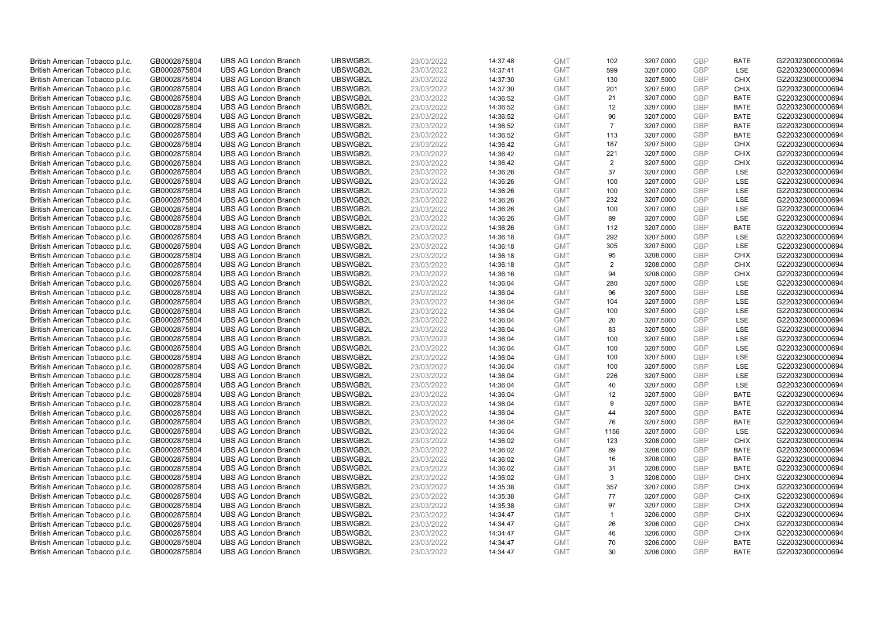| British American Tobacco p.l.c. | GB0002875804 | <b>UBS AG London Branch</b> | UBSWGB2L | 23/03/2022 | 14:37:48 | <b>GMT</b> | 102            | 3207.0000 | <b>GBP</b> | <b>BATE</b> | G220323000000694 |
|---------------------------------|--------------|-----------------------------|----------|------------|----------|------------|----------------|-----------|------------|-------------|------------------|
| British American Tobacco p.l.c. | GB0002875804 | <b>UBS AG London Branch</b> | UBSWGB2L | 23/03/2022 | 14:37:41 | <b>GMT</b> | 599            | 3207.0000 | <b>GBP</b> | <b>LSE</b>  | G220323000000694 |
| British American Tobacco p.l.c. | GB0002875804 | <b>UBS AG London Branch</b> | UBSWGB2L | 23/03/2022 | 14:37:30 | <b>GMT</b> | 130            | 3207.5000 | GBP        | <b>CHIX</b> | G220323000000694 |
| British American Tobacco p.l.c. | GB0002875804 | <b>UBS AG London Branch</b> | UBSWGB2L | 23/03/2022 | 14:37:30 | <b>GMT</b> | 201            | 3207.5000 | GBP        | <b>CHIX</b> | G220323000000694 |
| British American Tobacco p.l.c. | GB0002875804 | <b>UBS AG London Branch</b> | UBSWGB2L | 23/03/2022 | 14:36:52 | <b>GMT</b> | 21             | 3207.0000 | GBP        | <b>BATE</b> | G220323000000694 |
| British American Tobacco p.l.c. | GB0002875804 | <b>UBS AG London Branch</b> | UBSWGB2L | 23/03/2022 | 14:36:52 | <b>GMT</b> | 12             | 3207.0000 | <b>GBP</b> | <b>BATE</b> | G220323000000694 |
| British American Tobacco p.l.c. | GB0002875804 | <b>UBS AG London Branch</b> | UBSWGB2L | 23/03/2022 | 14:36:52 | <b>GMT</b> | 90             | 3207.0000 | GBP        | <b>BATE</b> | G220323000000694 |
| British American Tobacco p.l.c. | GB0002875804 | <b>UBS AG London Branch</b> | UBSWGB2L | 23/03/2022 | 14:36:52 | <b>GMT</b> | $\overline{7}$ | 3207.0000 | <b>GBP</b> | <b>BATE</b> | G220323000000694 |
| British American Tobacco p.l.c. | GB0002875804 | <b>UBS AG London Branch</b> | UBSWGB2L | 23/03/2022 | 14:36:52 | <b>GMT</b> | 113            | 3207.0000 | GBP        | <b>BATE</b> | G220323000000694 |
| British American Tobacco p.l.c. | GB0002875804 | <b>UBS AG London Branch</b> | UBSWGB2L | 23/03/2022 | 14:36:42 | <b>GMT</b> | 187            | 3207.5000 | <b>GBP</b> | <b>CHIX</b> | G220323000000694 |
| British American Tobacco p.l.c. | GB0002875804 | <b>UBS AG London Branch</b> | UBSWGB2L | 23/03/2022 | 14:36:42 | <b>GMT</b> | 221            | 3207.5000 | GBP        | <b>CHIX</b> | G220323000000694 |
| British American Tobacco p.l.c. | GB0002875804 | <b>UBS AG London Branch</b> | UBSWGB2L | 23/03/2022 | 14:36:42 | <b>GMT</b> | $\overline{2}$ | 3207.5000 | <b>GBP</b> | <b>CHIX</b> | G220323000000694 |
| British American Tobacco p.l.c. | GB0002875804 | <b>UBS AG London Branch</b> | UBSWGB2L | 23/03/2022 | 14:36:26 | <b>GMT</b> | 37             | 3207.0000 | <b>GBP</b> | LSE         | G220323000000694 |
| British American Tobacco p.l.c. | GB0002875804 | <b>UBS AG London Branch</b> | UBSWGB2L | 23/03/2022 | 14:36:26 | <b>GMT</b> | 100            | 3207.0000 | <b>GBP</b> | <b>LSE</b>  | G220323000000694 |
| British American Tobacco p.l.c. | GB0002875804 | <b>UBS AG London Branch</b> | UBSWGB2L | 23/03/2022 | 14:36:26 | <b>GMT</b> | 100            | 3207.0000 | <b>GBP</b> | <b>LSE</b>  | G220323000000694 |
| British American Tobacco p.l.c. | GB0002875804 | <b>UBS AG London Branch</b> | UBSWGB2L | 23/03/2022 | 14:36:26 | <b>GMT</b> | 232            | 3207.0000 | GBP        | LSE         | G220323000000694 |
| British American Tobacco p.l.c. | GB0002875804 | <b>UBS AG London Branch</b> | UBSWGB2L | 23/03/2022 | 14:36:26 | <b>GMT</b> | 100            | 3207.0000 | <b>GBP</b> | LSE         | G220323000000694 |
| British American Tobacco p.l.c. | GB0002875804 | <b>UBS AG London Branch</b> | UBSWGB2L | 23/03/2022 | 14:36:26 | <b>GMT</b> | 89             | 3207.0000 | GBP        | LSE         | G220323000000694 |
| British American Tobacco p.l.c. | GB0002875804 | <b>UBS AG London Branch</b> | UBSWGB2L | 23/03/2022 | 14:36:26 | <b>GMT</b> | 112            | 3207.0000 | <b>GBP</b> | <b>BATE</b> | G220323000000694 |
| British American Tobacco p.l.c. | GB0002875804 | <b>UBS AG London Branch</b> | UBSWGB2L | 23/03/2022 | 14:36:18 | <b>GMT</b> | 292            | 3207.5000 | GBP        | LSE         | G220323000000694 |
| British American Tobacco p.l.c. | GB0002875804 | <b>UBS AG London Branch</b> | UBSWGB2L | 23/03/2022 | 14:36:18 | <b>GMT</b> | 305            | 3207.5000 | <b>GBP</b> | LSE         | G220323000000694 |
| British American Tobacco p.l.c. | GB0002875804 | <b>UBS AG London Branch</b> | UBSWGB2L | 23/03/2022 | 14:36:18 | <b>GMT</b> | 95             | 3208.0000 | GBP        | <b>CHIX</b> | G220323000000694 |
| British American Tobacco p.l.c. | GB0002875804 | <b>UBS AG London Branch</b> | UBSWGB2L | 23/03/2022 | 14:36:18 | <b>GMT</b> | $\overline{2}$ | 3208.0000 | <b>GBP</b> | <b>CHIX</b> | G220323000000694 |
| British American Tobacco p.l.c. | GB0002875804 | <b>UBS AG London Branch</b> | UBSWGB2L | 23/03/2022 | 14:36:16 | <b>GMT</b> | 94             | 3208.0000 | GBP        | <b>CHIX</b> | G220323000000694 |
| British American Tobacco p.l.c. | GB0002875804 | <b>UBS AG London Branch</b> | UBSWGB2L | 23/03/2022 | 14:36:04 | <b>GMT</b> | 280            | 3207.5000 | <b>GBP</b> | LSE         | G220323000000694 |
| British American Tobacco p.l.c. | GB0002875804 | <b>UBS AG London Branch</b> | UBSWGB2L | 23/03/2022 | 14:36:04 | <b>GMT</b> | 96             | 3207.5000 | <b>GBP</b> | <b>LSE</b>  | G220323000000694 |
| British American Tobacco p.l.c. | GB0002875804 | <b>UBS AG London Branch</b> | UBSWGB2L | 23/03/2022 | 14:36:04 | <b>GMT</b> | 104            | 3207.5000 | <b>GBP</b> | <b>LSE</b>  | G220323000000694 |
| British American Tobacco p.l.c. | GB0002875804 | <b>UBS AG London Branch</b> | UBSWGB2L | 23/03/2022 | 14:36:04 | <b>GMT</b> | 100            | 3207.5000 | <b>GBP</b> | <b>LSE</b>  | G220323000000694 |
| British American Tobacco p.l.c. | GB0002875804 | <b>UBS AG London Branch</b> | UBSWGB2L | 23/03/2022 | 14:36:04 | <b>GMT</b> | 20             | 3207.5000 | GBP        | LSE         | G220323000000694 |
| British American Tobacco p.l.c. | GB0002875804 | <b>UBS AG London Branch</b> | UBSWGB2L | 23/03/2022 | 14:36:04 | <b>GMT</b> | 83             | 3207.5000 | <b>GBP</b> | LSE         | G220323000000694 |
| British American Tobacco p.l.c. | GB0002875804 | <b>UBS AG London Branch</b> | UBSWGB2L | 23/03/2022 | 14:36:04 | <b>GMT</b> | 100            | 3207.5000 | GBP        | LSE         | G220323000000694 |
| British American Tobacco p.l.c. | GB0002875804 | <b>UBS AG London Branch</b> | UBSWGB2L | 23/03/2022 | 14:36:04 | <b>GMT</b> | 100            | 3207.5000 | <b>GBP</b> | <b>LSE</b>  | G220323000000694 |
| British American Tobacco p.l.c. | GB0002875804 | <b>UBS AG London Branch</b> | UBSWGB2L | 23/03/2022 | 14:36:04 | <b>GMT</b> | 100            | 3207.5000 | GBP        | LSE         | G220323000000694 |
| British American Tobacco p.l.c. | GB0002875804 | <b>UBS AG London Branch</b> | UBSWGB2L | 23/03/2022 | 14:36:04 | <b>GMT</b> | 100            | 3207.5000 | GBP        | LSE         | G220323000000694 |
| British American Tobacco p.l.c. | GB0002875804 | <b>UBS AG London Branch</b> | UBSWGB2L | 23/03/2022 | 14:36:04 | <b>GMT</b> | 226            | 3207.5000 | <b>GBP</b> | LSE         | G220323000000694 |
| British American Tobacco p.l.c. | GB0002875804 | <b>UBS AG London Branch</b> | UBSWGB2L | 23/03/2022 | 14:36:04 | <b>GMT</b> | 40             | 3207.5000 | <b>GBP</b> | LSE         | G220323000000694 |
| British American Tobacco p.l.c. | GB0002875804 | <b>UBS AG London Branch</b> | UBSWGB2L | 23/03/2022 | 14:36:04 | <b>GMT</b> | 12             | 3207.5000 | GBP        | <b>BATE</b> | G220323000000694 |
| British American Tobacco p.l.c. | GB0002875804 | <b>UBS AG London Branch</b> | UBSWGB2L | 23/03/2022 | 14:36:04 | <b>GMT</b> | 9              | 3207.5000 | <b>GBP</b> | <b>BATE</b> | G220323000000694 |
| British American Tobacco p.l.c. | GB0002875804 | <b>UBS AG London Branch</b> | UBSWGB2L | 23/03/2022 | 14:36:04 | <b>GMT</b> | 44             | 3207.5000 | GBP        | <b>BATE</b> | G220323000000694 |
| British American Tobacco p.l.c. | GB0002875804 | <b>UBS AG London Branch</b> | UBSWGB2L | 23/03/2022 | 14:36:04 | <b>GMT</b> | 76             | 3207.5000 | GBP        | <b>BATE</b> | G220323000000694 |
| British American Tobacco p.l.c. | GB0002875804 | <b>UBS AG London Branch</b> | UBSWGB2L | 23/03/2022 | 14:36:04 | <b>GMT</b> | 1156           | 3207.5000 | <b>GBP</b> | LSE         | G220323000000694 |
| British American Tobacco p.l.c. | GB0002875804 | <b>UBS AG London Branch</b> | UBSWGB2L | 23/03/2022 | 14:36:02 | <b>GMT</b> | 123            | 3208.0000 | GBP        | <b>CHIX</b> | G220323000000694 |
| British American Tobacco p.l.c. | GB0002875804 | <b>UBS AG London Branch</b> | UBSWGB2L | 23/03/2022 | 14:36:02 | <b>GMT</b> | 89             | 3208.0000 | GBP        | <b>BATE</b> | G220323000000694 |
| British American Tobacco p.l.c. | GB0002875804 | <b>UBS AG London Branch</b> | UBSWGB2L | 23/03/2022 | 14:36:02 | <b>GMT</b> | 16             | 3208.0000 | GBP        | <b>BATE</b> | G220323000000694 |
| British American Tobacco p.l.c. | GB0002875804 | <b>UBS AG London Branch</b> | UBSWGB2L | 23/03/2022 | 14:36:02 | <b>GMT</b> | 31             | 3208.0000 | GBP        | <b>BATE</b> | G220323000000694 |
| British American Tobacco p.l.c. | GB0002875804 | <b>UBS AG London Branch</b> | UBSWGB2L | 23/03/2022 | 14:36:02 | <b>GMT</b> | 3              | 3208.0000 | <b>GBP</b> | <b>CHIX</b> | G220323000000694 |
| British American Tobacco p.l.c. | GB0002875804 | <b>UBS AG London Branch</b> | UBSWGB2L | 23/03/2022 | 14:35:38 | <b>GMT</b> | 357            | 3207.0000 | GBP        | <b>CHIX</b> | G220323000000694 |
| British American Tobacco p.l.c. | GB0002875804 | <b>UBS AG London Branch</b> | UBSWGB2L | 23/03/2022 | 14:35:38 | <b>GMT</b> | 77             | 3207.0000 | GBP        | <b>CHIX</b> | G220323000000694 |
| British American Tobacco p.l.c. | GB0002875804 | <b>UBS AG London Branch</b> | UBSWGB2L | 23/03/2022 | 14:35:38 | <b>GMT</b> | 97             | 3207.0000 | GBP        | <b>CHIX</b> | G220323000000694 |
| British American Tobacco p.l.c. | GB0002875804 | <b>UBS AG London Branch</b> | UBSWGB2L | 23/03/2022 | 14:34:47 | <b>GMT</b> | $\overline{1}$ | 3206.0000 | GBP        | <b>CHIX</b> | G220323000000694 |
| British American Tobacco p.l.c. | GB0002875804 | <b>UBS AG London Branch</b> | UBSWGB2L | 23/03/2022 | 14:34:47 | <b>GMT</b> | 26             | 3206.0000 | <b>GBP</b> | <b>CHIX</b> | G220323000000694 |
| British American Tobacco p.l.c. | GB0002875804 | <b>UBS AG London Branch</b> | UBSWGB2L | 23/03/2022 | 14:34:47 | <b>GMT</b> | 46             | 3206.0000 | <b>GBP</b> | <b>CHIX</b> | G220323000000694 |
| British American Tobacco p.l.c. | GB0002875804 | <b>UBS AG London Branch</b> | UBSWGB2L | 23/03/2022 | 14:34:47 | <b>GMT</b> | 70             | 3206.0000 | <b>GBP</b> | <b>BATE</b> | G220323000000694 |
| British American Tobacco p.l.c. | GB0002875804 | <b>UBS AG London Branch</b> | UBSWGB2L | 23/03/2022 | 14:34:47 | <b>GMT</b> | 30             | 3206.0000 | GBP        | <b>BATE</b> | G220323000000694 |
|                                 |              |                             |          |            |          |            |                |           |            |             |                  |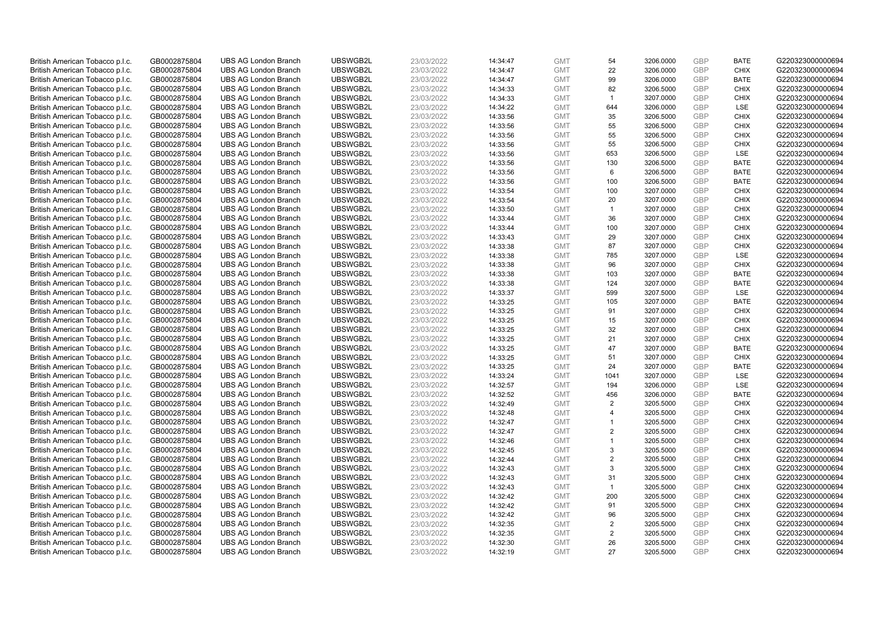| British American Tobacco p.l.c. | GB0002875804 | <b>UBS AG London Branch</b> | UBSWGB2L | 23/03/2022 | 14:34:47 | <b>GMT</b> | 54             | 3206.0000 | <b>GBP</b> | <b>BATE</b> | G220323000000694 |
|---------------------------------|--------------|-----------------------------|----------|------------|----------|------------|----------------|-----------|------------|-------------|------------------|
| British American Tobacco p.l.c. | GB0002875804 | <b>UBS AG London Branch</b> | UBSWGB2L | 23/03/2022 | 14:34:47 | <b>GMT</b> | 22             | 3206.0000 | <b>GBP</b> | <b>CHIX</b> | G220323000000694 |
| British American Tobacco p.l.c. | GB0002875804 | <b>UBS AG London Branch</b> | UBSWGB2L | 23/03/2022 | 14:34:47 | <b>GMT</b> | 99             | 3206.0000 | <b>GBP</b> | <b>BATE</b> | G220323000000694 |
| British American Tobacco p.l.c. | GB0002875804 | <b>UBS AG London Branch</b> | UBSWGB2L | 23/03/2022 | 14:34:33 | <b>GMT</b> | 82             | 3206.5000 | <b>GBP</b> | <b>CHIX</b> | G220323000000694 |
| British American Tobacco p.l.c. | GB0002875804 | <b>UBS AG London Branch</b> | UBSWGB2L | 23/03/2022 | 14:34:33 | <b>GMT</b> | $\mathbf{1}$   | 3207.0000 | <b>GBP</b> | <b>CHIX</b> | G220323000000694 |
| British American Tobacco p.l.c. | GB0002875804 | <b>UBS AG London Branch</b> | UBSWGB2L | 23/03/2022 | 14:34:22 | <b>GMT</b> | 644            | 3206.0000 | <b>GBP</b> | LSE         | G220323000000694 |
| British American Tobacco p.l.c. | GB0002875804 | <b>UBS AG London Branch</b> | UBSWGB2L | 23/03/2022 | 14:33:56 | <b>GMT</b> | 35             | 3206.5000 | <b>GBP</b> | <b>CHIX</b> | G220323000000694 |
| British American Tobacco p.l.c. | GB0002875804 | <b>UBS AG London Branch</b> | UBSWGB2L | 23/03/2022 | 14:33:56 | <b>GMT</b> | 55             | 3206.5000 | <b>GBP</b> | <b>CHIX</b> | G220323000000694 |
| British American Tobacco p.l.c. | GB0002875804 | <b>UBS AG London Branch</b> | UBSWGB2L | 23/03/2022 | 14:33:56 | <b>GMT</b> | 55             | 3206.5000 | <b>GBP</b> | <b>CHIX</b> | G220323000000694 |
| British American Tobacco p.l.c. | GB0002875804 | <b>UBS AG London Branch</b> | UBSWGB2L | 23/03/2022 | 14:33:56 | <b>GMT</b> | 55             | 3206.5000 | <b>GBP</b> | <b>CHIX</b> | G220323000000694 |
| British American Tobacco p.l.c. | GB0002875804 | <b>UBS AG London Branch</b> | UBSWGB2L | 23/03/2022 | 14:33:56 | <b>GMT</b> | 653            | 3206.5000 | <b>GBP</b> | LSE         | G220323000000694 |
| British American Tobacco p.l.c. | GB0002875804 | <b>UBS AG London Branch</b> | UBSWGB2L | 23/03/2022 | 14:33:56 | <b>GMT</b> | 130            | 3206.5000 | <b>GBP</b> | <b>BATE</b> | G220323000000694 |
| British American Tobacco p.l.c. | GB0002875804 | <b>UBS AG London Branch</b> | UBSWGB2L | 23/03/2022 | 14:33:56 | <b>GMT</b> | 6              | 3206.5000 | <b>GBP</b> | <b>BATE</b> | G220323000000694 |
| British American Tobacco p.l.c. | GB0002875804 | <b>UBS AG London Branch</b> | UBSWGB2L | 23/03/2022 | 14:33:56 | <b>GMT</b> | 100            | 3206.5000 | <b>GBP</b> | <b>BATE</b> | G220323000000694 |
| British American Tobacco p.l.c. | GB0002875804 | <b>UBS AG London Branch</b> | UBSWGB2L | 23/03/2022 | 14:33:54 | <b>GMT</b> | 100            | 3207.0000 | <b>GBP</b> | <b>CHIX</b> | G220323000000694 |
| British American Tobacco p.l.c. | GB0002875804 | <b>UBS AG London Branch</b> | UBSWGB2L | 23/03/2022 | 14:33:54 | <b>GMT</b> | 20             | 3207.0000 | <b>GBP</b> | <b>CHIX</b> | G220323000000694 |
| British American Tobacco p.l.c. | GB0002875804 | <b>UBS AG London Branch</b> | UBSWGB2L | 23/03/2022 | 14:33:50 | <b>GMT</b> | $\mathbf{1}$   | 3207.0000 | <b>GBP</b> | <b>CHIX</b> | G220323000000694 |
| British American Tobacco p.l.c. | GB0002875804 | <b>UBS AG London Branch</b> | UBSWGB2L | 23/03/2022 | 14:33:44 | <b>GMT</b> | 36             | 3207.0000 | <b>GBP</b> | <b>CHIX</b> | G220323000000694 |
| British American Tobacco p.l.c. | GB0002875804 | <b>UBS AG London Branch</b> | UBSWGB2L | 23/03/2022 | 14:33:44 | <b>GMT</b> | 100            | 3207.0000 | <b>GBP</b> | <b>CHIX</b> | G220323000000694 |
| British American Tobacco p.l.c. | GB0002875804 | <b>UBS AG London Branch</b> | UBSWGB2L | 23/03/2022 | 14:33:43 | <b>GMT</b> | 29             | 3207.0000 | <b>GBP</b> | <b>CHIX</b> | G220323000000694 |
| British American Tobacco p.l.c. | GB0002875804 | <b>UBS AG London Branch</b> | UBSWGB2L | 23/03/2022 | 14:33:38 | <b>GMT</b> | 87             | 3207.0000 | <b>GBP</b> | <b>CHIX</b> | G220323000000694 |
| British American Tobacco p.l.c. | GB0002875804 | <b>UBS AG London Branch</b> | UBSWGB2L | 23/03/2022 | 14:33:38 | <b>GMT</b> | 785            | 3207.0000 | <b>GBP</b> | LSE         | G220323000000694 |
| British American Tobacco p.l.c. | GB0002875804 | <b>UBS AG London Branch</b> | UBSWGB2L | 23/03/2022 | 14:33:38 | <b>GMT</b> | 96             | 3207.0000 | <b>GBP</b> | <b>CHIX</b> | G220323000000694 |
| British American Tobacco p.l.c. | GB0002875804 | <b>UBS AG London Branch</b> | UBSWGB2L | 23/03/2022 | 14:33:38 | <b>GMT</b> | 103            | 3207.0000 | <b>GBP</b> | <b>BATE</b> | G220323000000694 |
| British American Tobacco p.l.c. | GB0002875804 | <b>UBS AG London Branch</b> | UBSWGB2L | 23/03/2022 | 14:33:38 | <b>GMT</b> | 124            | 3207.0000 | <b>GBP</b> | <b>BATE</b> | G220323000000694 |
| British American Tobacco p.l.c. | GB0002875804 | <b>UBS AG London Branch</b> | UBSWGB2L | 23/03/2022 | 14:33:37 | <b>GMT</b> | 599            | 3207.5000 | <b>GBP</b> | LSE         | G220323000000694 |
| British American Tobacco p.l.c. | GB0002875804 | <b>UBS AG London Branch</b> | UBSWGB2L | 23/03/2022 | 14:33:25 | <b>GMT</b> | 105            | 3207.0000 | <b>GBP</b> | <b>BATE</b> | G220323000000694 |
| British American Tobacco p.l.c. | GB0002875804 | <b>UBS AG London Branch</b> | UBSWGB2L | 23/03/2022 | 14:33:25 | <b>GMT</b> | 91             | 3207.0000 | <b>GBP</b> | <b>CHIX</b> | G220323000000694 |
| British American Tobacco p.l.c. | GB0002875804 | <b>UBS AG London Branch</b> | UBSWGB2L | 23/03/2022 | 14:33:25 | <b>GMT</b> | 15             | 3207.0000 | <b>GBP</b> | <b>CHIX</b> | G220323000000694 |
| British American Tobacco p.l.c. | GB0002875804 | <b>UBS AG London Branch</b> | UBSWGB2L | 23/03/2022 | 14:33:25 | <b>GMT</b> | 32             | 3207.0000 | <b>GBP</b> | <b>CHIX</b> | G220323000000694 |
| British American Tobacco p.l.c. | GB0002875804 | <b>UBS AG London Branch</b> | UBSWGB2L | 23/03/2022 | 14:33:25 | <b>GMT</b> | 21             | 3207.0000 | <b>GBP</b> | <b>CHIX</b> | G220323000000694 |
| British American Tobacco p.l.c. | GB0002875804 | <b>UBS AG London Branch</b> | UBSWGB2L | 23/03/2022 | 14:33:25 | <b>GMT</b> | 47             | 3207.0000 | <b>GBP</b> | <b>BATE</b> | G220323000000694 |
| British American Tobacco p.l.c. | GB0002875804 | <b>UBS AG London Branch</b> | UBSWGB2L | 23/03/2022 | 14:33:25 | <b>GMT</b> | 51             | 3207.0000 | <b>GBP</b> | <b>CHIX</b> | G220323000000694 |
| British American Tobacco p.l.c. | GB0002875804 | <b>UBS AG London Branch</b> | UBSWGB2L | 23/03/2022 | 14:33:25 | <b>GMT</b> | 24             | 3207.0000 | <b>GBP</b> | <b>BATE</b> | G220323000000694 |
| British American Tobacco p.l.c. | GB0002875804 | <b>UBS AG London Branch</b> | UBSWGB2L | 23/03/2022 | 14:33:24 | <b>GMT</b> | 1041           | 3207.0000 | <b>GBP</b> | LSE         | G220323000000694 |
| British American Tobacco p.l.c. | GB0002875804 | <b>UBS AG London Branch</b> | UBSWGB2L | 23/03/2022 | 14:32:57 | <b>GMT</b> | 194            | 3206.0000 | <b>GBP</b> | LSE         | G220323000000694 |
| British American Tobacco p.l.c. | GB0002875804 | <b>UBS AG London Branch</b> | UBSWGB2L | 23/03/2022 | 14:32:52 | <b>GMT</b> | 456            | 3206.0000 | <b>GBP</b> | <b>BATE</b> | G220323000000694 |
| British American Tobacco p.l.c. | GB0002875804 | <b>UBS AG London Branch</b> | UBSWGB2L | 23/03/2022 | 14:32:49 | <b>GMT</b> | 2              | 3205.5000 | <b>GBP</b> | <b>CHIX</b> | G220323000000694 |
| British American Tobacco p.l.c. | GB0002875804 | <b>UBS AG London Branch</b> | UBSWGB2L | 23/03/2022 | 14:32:48 | <b>GMT</b> | $\overline{4}$ | 3205.5000 | <b>GBP</b> | <b>CHIX</b> | G220323000000694 |
| British American Tobacco p.l.c. | GB0002875804 | <b>UBS AG London Branch</b> | UBSWGB2L | 23/03/2022 | 14:32:47 | <b>GMT</b> | $\overline{1}$ | 3205.5000 | <b>GBP</b> | <b>CHIX</b> | G220323000000694 |
| British American Tobacco p.l.c. | GB0002875804 | <b>UBS AG London Branch</b> | UBSWGB2L | 23/03/2022 | 14:32:47 | <b>GMT</b> | $\overline{2}$ | 3205.5000 | <b>GBP</b> | <b>CHIX</b> | G220323000000694 |
| British American Tobacco p.l.c. | GB0002875804 | <b>UBS AG London Branch</b> | UBSWGB2L | 23/03/2022 | 14:32:46 | <b>GMT</b> | $\overline{1}$ | 3205.5000 | <b>GBP</b> | <b>CHIX</b> | G220323000000694 |
| British American Tobacco p.l.c. | GB0002875804 | <b>UBS AG London Branch</b> | UBSWGB2L | 23/03/2022 | 14:32:45 | <b>GMT</b> | 3              | 3205.5000 | <b>GBP</b> | <b>CHIX</b> | G220323000000694 |
| British American Tobacco p.l.c. | GB0002875804 | <b>UBS AG London Branch</b> | UBSWGB2L | 23/03/2022 | 14:32:44 | <b>GMT</b> | $\overline{2}$ | 3205.5000 | <b>GBP</b> | <b>CHIX</b> | G220323000000694 |
| British American Tobacco p.l.c. | GB0002875804 | <b>UBS AG London Branch</b> | UBSWGB2L | 23/03/2022 | 14:32:43 | <b>GMT</b> | 3              | 3205.5000 | <b>GBP</b> | <b>CHIX</b> | G220323000000694 |
| British American Tobacco p.l.c. | GB0002875804 | <b>UBS AG London Branch</b> | UBSWGB2L | 23/03/2022 | 14:32:43 | <b>GMT</b> | 31             | 3205.5000 | <b>GBP</b> | <b>CHIX</b> | G220323000000694 |
| British American Tobacco p.l.c. | GB0002875804 | <b>UBS AG London Branch</b> | UBSWGB2L | 23/03/2022 | 14:32:43 | <b>GMT</b> | $\mathbf{1}$   | 3205.5000 | <b>GBP</b> | <b>CHIX</b> | G220323000000694 |
| British American Tobacco p.l.c. | GB0002875804 | <b>UBS AG London Branch</b> | UBSWGB2L | 23/03/2022 | 14:32:42 | <b>GMT</b> | 200            | 3205.5000 | <b>GBP</b> | <b>CHIX</b> | G220323000000694 |
| British American Tobacco p.l.c. | GB0002875804 | <b>UBS AG London Branch</b> | UBSWGB2L | 23/03/2022 | 14:32:42 | <b>GMT</b> | 91             | 3205.5000 | <b>GBP</b> | <b>CHIX</b> | G220323000000694 |
| British American Tobacco p.l.c. | GB0002875804 | <b>UBS AG London Branch</b> | UBSWGB2L | 23/03/2022 | 14:32:42 | <b>GMT</b> | 96             | 3205.5000 | <b>GBP</b> | <b>CHIX</b> | G220323000000694 |
| British American Tobacco p.l.c. | GB0002875804 | <b>UBS AG London Branch</b> | UBSWGB2L | 23/03/2022 | 14:32:35 | <b>GMT</b> | 2              | 3205.5000 | <b>GBP</b> | <b>CHIX</b> | G220323000000694 |
| British American Tobacco p.l.c. | GB0002875804 | <b>UBS AG London Branch</b> | UBSWGB2L | 23/03/2022 | 14:32:35 | <b>GMT</b> | $\overline{2}$ | 3205.5000 | <b>GBP</b> | <b>CHIX</b> | G220323000000694 |
| British American Tobacco p.l.c. | GB0002875804 | <b>UBS AG London Branch</b> | UBSWGB2L | 23/03/2022 | 14:32:30 | <b>GMT</b> | 26             | 3205.5000 | <b>GBP</b> | <b>CHIX</b> | G220323000000694 |
| British American Tobacco p.l.c. | GB0002875804 | <b>UBS AG London Branch</b> | UBSWGB2L | 23/03/2022 | 14:32:19 | <b>GMT</b> | 27             | 3205.5000 | GBP        | <b>CHIX</b> | G220323000000694 |
|                                 |              |                             |          |            |          |            |                |           |            |             |                  |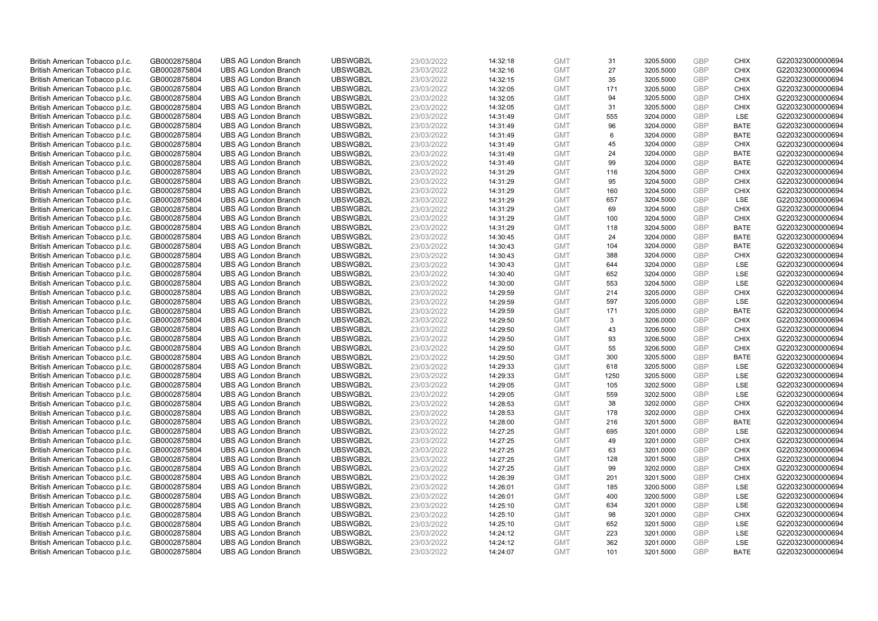| British American Tobacco p.l.c.                                    | GB0002875804                 | <b>UBS AG London Branch</b>                                | UBSWGB2L             | 23/03/2022               | 14:32:18             | <b>GMT</b>               | 31        | 3205.5000              | <b>GBP</b>               | <b>CHIX</b>                | G220323000000694                     |
|--------------------------------------------------------------------|------------------------------|------------------------------------------------------------|----------------------|--------------------------|----------------------|--------------------------|-----------|------------------------|--------------------------|----------------------------|--------------------------------------|
| British American Tobacco p.l.c.                                    | GB0002875804                 | <b>UBS AG London Branch</b>                                | UBSWGB2L             | 23/03/2022               | 14:32:16             | <b>GMT</b>               | 27        | 3205.5000              | <b>GBP</b>               | <b>CHIX</b>                | G220323000000694                     |
| British American Tobacco p.l.c.                                    | GB0002875804                 | <b>UBS AG London Branch</b>                                | UBSWGB2L             | 23/03/2022               | 14:32:15             | <b>GMT</b>               | 35        | 3205.5000              | <b>GBP</b>               | <b>CHIX</b>                | G220323000000694                     |
| British American Tobacco p.l.c.                                    | GB0002875804                 | <b>UBS AG London Branch</b>                                | UBSWGB2L             | 23/03/2022               | 14:32:05             | <b>GMT</b>               | 171       | 3205.5000              | <b>GBP</b>               | <b>CHIX</b>                | G220323000000694                     |
| British American Tobacco p.l.c.                                    | GB0002875804                 | <b>UBS AG London Branch</b>                                | UBSWGB2L             | 23/03/2022               | 14:32:05             | <b>GMT</b>               | 94        | 3205.5000              | <b>GBP</b>               | <b>CHIX</b>                | G220323000000694                     |
| British American Tobacco p.l.c.                                    | GB0002875804                 | <b>UBS AG London Branch</b>                                | UBSWGB2L             | 23/03/2022               | 14:32:05             | <b>GMT</b>               | 31        | 3205.5000              | <b>GBP</b>               | <b>CHIX</b>                | G220323000000694                     |
| British American Tobacco p.l.c.                                    | GB0002875804                 | <b>UBS AG London Branch</b>                                | UBSWGB2L             | 23/03/2022               | 14:31:49             | <b>GMT</b>               | 555       | 3204.0000              | <b>GBP</b>               | LSE                        | G220323000000694                     |
| British American Tobacco p.l.c.                                    | GB0002875804                 | <b>UBS AG London Branch</b>                                | UBSWGB2L             | 23/03/2022               | 14:31:49             | <b>GMT</b>               | 96        | 3204.0000              | <b>GBP</b>               | <b>BATE</b>                | G220323000000694                     |
| British American Tobacco p.l.c.                                    | GB0002875804                 | <b>UBS AG London Branch</b>                                | UBSWGB2L             | 23/03/2022               | 14:31:49             | <b>GMT</b>               | 6         | 3204.0000              | <b>GBP</b>               | <b>BATE</b>                | G220323000000694                     |
| British American Tobacco p.l.c.                                    | GB0002875804                 | <b>UBS AG London Branch</b>                                | UBSWGB2L             | 23/03/2022               | 14:31:49             | <b>GMT</b>               | 45        | 3204.0000              | <b>GBP</b>               | <b>CHIX</b>                | G220323000000694                     |
| British American Tobacco p.l.c.                                    | GB0002875804                 | <b>UBS AG London Branch</b>                                | UBSWGB2L             | 23/03/2022               | 14:31:49             | <b>GMT</b>               | 24        | 3204.0000              | <b>GBP</b>               | <b>BATE</b>                | G220323000000694                     |
| British American Tobacco p.l.c.                                    | GB0002875804                 | <b>UBS AG London Branch</b>                                | UBSWGB2L             | 23/03/2022               | 14:31:49             | <b>GMT</b>               | 99        | 3204.0000              | <b>GBP</b>               | <b>BATE</b>                | G220323000000694                     |
| British American Tobacco p.l.c.                                    | GB0002875804                 | <b>UBS AG London Branch</b>                                | UBSWGB2L             | 23/03/2022               | 14:31:29             | <b>GMT</b>               | 116       | 3204.5000              | <b>GBP</b>               | <b>CHIX</b>                | G220323000000694                     |
| British American Tobacco p.l.c.                                    | GB0002875804                 | <b>UBS AG London Branch</b>                                | UBSWGB2L             | 23/03/2022               | 14:31:29             | <b>GMT</b>               | 95        | 3204.5000              | <b>GBP</b>               | <b>CHIX</b>                | G220323000000694                     |
| British American Tobacco p.l.c.                                    | GB0002875804                 | <b>UBS AG London Branch</b>                                | UBSWGB2L             | 23/03/2022               | 14:31:29             | <b>GMT</b>               | 160       | 3204.5000              | <b>GBP</b>               | <b>CHIX</b>                | G220323000000694                     |
| British American Tobacco p.l.c.                                    | GB0002875804                 | <b>UBS AG London Branch</b>                                | UBSWGB2L             | 23/03/2022               | 14:31:29             | <b>GMT</b>               | 657       | 3204.5000              | <b>GBP</b>               | LSE                        | G220323000000694                     |
| British American Tobacco p.l.c.                                    | GB0002875804                 | <b>UBS AG London Branch</b>                                | UBSWGB2L             | 23/03/2022               | 14:31:29             | <b>GMT</b>               | 69        | 3204.5000              | <b>GBP</b>               | <b>CHIX</b>                | G220323000000694                     |
| British American Tobacco p.l.c.                                    | GB0002875804                 | <b>UBS AG London Branch</b>                                | UBSWGB2L             | 23/03/2022               | 14:31:29             | <b>GMT</b>               | 100       | 3204.5000              | <b>GBP</b>               | <b>CHIX</b>                | G220323000000694                     |
| British American Tobacco p.l.c.                                    | GB0002875804                 | <b>UBS AG London Branch</b>                                | UBSWGB2L             | 23/03/2022               | 14:31:29             | <b>GMT</b>               | 118       | 3204.5000              | <b>GBP</b>               | <b>BATE</b>                | G220323000000694                     |
| British American Tobacco p.l.c.                                    | GB0002875804                 | <b>UBS AG London Branch</b>                                | UBSWGB2L             | 23/03/2022               | 14:30:45             | <b>GMT</b>               | 24        | 3204.0000              | <b>GBP</b>               | <b>BATE</b>                | G220323000000694                     |
| British American Tobacco p.l.c.                                    | GB0002875804                 | <b>UBS AG London Branch</b>                                | UBSWGB2L             | 23/03/2022               | 14:30:43             | <b>GMT</b>               | 104       | 3204.0000              | <b>GBP</b>               | <b>BATE</b>                | G220323000000694                     |
| British American Tobacco p.l.c.                                    | GB0002875804                 | <b>UBS AG London Branch</b>                                | UBSWGB2L             | 23/03/2022               | 14:30:43             | <b>GMT</b>               | 388       | 3204.0000              | <b>GBP</b>               | <b>CHIX</b>                | G220323000000694                     |
| British American Tobacco p.l.c.                                    | GB0002875804                 | <b>UBS AG London Branch</b>                                | UBSWGB2L             | 23/03/2022               | 14:30:43             | <b>GMT</b>               | 644       | 3204.0000              | <b>GBP</b>               | LSE                        | G220323000000694                     |
| British American Tobacco p.l.c.                                    | GB0002875804                 | <b>UBS AG London Branch</b>                                | UBSWGB2L             | 23/03/2022               | 14:30:40             | <b>GMT</b>               | 652       | 3204.0000              | <b>GBP</b>               | LSE                        | G220323000000694                     |
| British American Tobacco p.l.c.                                    | GB0002875804                 | <b>UBS AG London Branch</b>                                | UBSWGB2L             | 23/03/2022               | 14:30:00             | <b>GMT</b>               | 553       | 3204.5000              | <b>GBP</b>               | LSE                        | G220323000000694                     |
| British American Tobacco p.l.c.                                    | GB0002875804                 | <b>UBS AG London Branch</b>                                | UBSWGB2L             | 23/03/2022               | 14:29:59             | <b>GMT</b>               | 214       | 3205.0000              | <b>GBP</b>               | <b>CHIX</b>                | G220323000000694                     |
| British American Tobacco p.l.c.                                    | GB0002875804                 | <b>UBS AG London Branch</b>                                | UBSWGB2L             | 23/03/2022               | 14:29:59             | <b>GMT</b>               | 597       | 3205.0000              | <b>GBP</b>               | LSE                        | G220323000000694                     |
| British American Tobacco p.l.c.                                    | GB0002875804                 | <b>UBS AG London Branch</b>                                | UBSWGB2L             | 23/03/2022               | 14:29:59             | <b>GMT</b>               | 171       | 3205.0000              | <b>GBP</b>               | <b>BATE</b>                | G220323000000694                     |
| British American Tobacco p.l.c.                                    | GB0002875804                 | <b>UBS AG London Branch</b>                                | UBSWGB2L             | 23/03/2022               | 14:29:50             | <b>GMT</b>               | 3         | 3206.0000              | <b>GBP</b>               | <b>CHIX</b>                | G220323000000694                     |
| British American Tobacco p.l.c.                                    | GB0002875804                 | <b>UBS AG London Branch</b>                                | UBSWGB2L             | 23/03/2022               | 14:29:50             | <b>GMT</b>               | 43        | 3206.5000              | <b>GBP</b>               | <b>CHIX</b>                | G220323000000694                     |
| British American Tobacco p.l.c.                                    | GB0002875804                 | <b>UBS AG London Branch</b>                                | UBSWGB2L             | 23/03/2022               | 14:29:50             | <b>GMT</b>               | 93        | 3206.5000              | <b>GBP</b>               | <b>CHIX</b>                | G220323000000694                     |
| British American Tobacco p.l.c.                                    | GB0002875804                 | <b>UBS AG London Branch</b>                                | UBSWGB2L             | 23/03/2022               | 14:29:50             | <b>GMT</b>               | 55        | 3206.5000              | <b>GBP</b>               | <b>CHIX</b>                | G220323000000694                     |
| British American Tobacco p.l.c.                                    | GB0002875804                 | <b>UBS AG London Branch</b>                                | UBSWGB2L             | 23/03/2022               | 14:29:50             | <b>GMT</b>               | 300       | 3205.5000              | <b>GBP</b>               | <b>BATE</b>                | G220323000000694                     |
| British American Tobacco p.l.c.                                    | GB0002875804                 | <b>UBS AG London Branch</b>                                | UBSWGB2L             | 23/03/2022               | 14:29:33             | <b>GMT</b>               | 618       | 3205.5000              | <b>GBP</b>               | LSE                        | G220323000000694                     |
| British American Tobacco p.l.c.                                    | GB0002875804                 | <b>UBS AG London Branch</b>                                | UBSWGB2L             | 23/03/2022               | 14:29:33             | <b>GMT</b>               | 1250      | 3205.5000              | <b>GBP</b>               | LSE                        | G220323000000694                     |
| British American Tobacco p.l.c.                                    | GB0002875804                 | <b>UBS AG London Branch</b>                                | UBSWGB2L             | 23/03/2022               | 14:29:05             | <b>GMT</b>               | 105       | 3202.5000              | <b>GBP</b>               | LSE                        | G220323000000694                     |
| British American Tobacco p.l.c.                                    | GB0002875804                 | <b>UBS AG London Branch</b>                                | UBSWGB2L             | 23/03/2022               | 14:29:05             | <b>GMT</b>               | 559       | 3202.5000              | <b>GBP</b>               | LSE                        | G220323000000694                     |
| British American Tobacco p.l.c.                                    | GB0002875804                 | <b>UBS AG London Branch</b>                                | UBSWGB2L             | 23/03/2022               | 14:28:53             | <b>GMT</b>               | 38        | 3202.0000              | <b>GBP</b>               | <b>CHIX</b>                | G220323000000694                     |
| British American Tobacco p.l.c.                                    | GB0002875804                 | <b>UBS AG London Branch</b>                                | UBSWGB2L             | 23/03/2022               | 14:28:53             | <b>GMT</b>               | 178       | 3202.0000              | <b>GBP</b>               | <b>CHIX</b>                | G220323000000694                     |
| British American Tobacco p.l.c.                                    | GB0002875804                 | <b>UBS AG London Branch</b>                                | UBSWGB2L             | 23/03/2022               | 14:28:00             | <b>GMT</b>               | 216       | 3201.5000              | <b>GBP</b>               | <b>BATE</b>                | G220323000000694                     |
| British American Tobacco p.l.c.                                    | GB0002875804                 | <b>UBS AG London Branch</b>                                | UBSWGB2L             | 23/03/2022               | 14:27:25             | <b>GMT</b>               | 695       | 3201.0000              | <b>GBP</b>               | LSE                        | G220323000000694                     |
| British American Tobacco p.l.c.                                    | GB0002875804                 | <b>UBS AG London Branch</b>                                | UBSWGB2L<br>UBSWGB2L | 23/03/2022               | 14:27:25             | <b>GMT</b>               | 49        | 3201.0000              | <b>GBP</b><br><b>GBP</b> | <b>CHIX</b>                | G220323000000694                     |
| British American Tobacco p.l.c.                                    | GB0002875804                 | <b>UBS AG London Branch</b>                                |                      | 23/03/2022               | 14:27:25             | <b>GMT</b>               | 63        | 3201.0000              | <b>GBP</b>               | <b>CHIX</b><br><b>CHIX</b> | G220323000000694                     |
| British American Tobacco p.l.c.                                    | GB0002875804                 | <b>UBS AG London Branch</b><br><b>UBS AG London Branch</b> | UBSWGB2L<br>UBSWGB2L | 23/03/2022               | 14:27:25<br>14:27:25 | <b>GMT</b>               | 128<br>99 | 3201.5000              | <b>GBP</b>               | <b>CHIX</b>                | G220323000000694                     |
| British American Tobacco p.l.c.                                    | GB0002875804<br>GB0002875804 | <b>UBS AG London Branch</b>                                | UBSWGB2L             | 23/03/2022<br>23/03/2022 | 14:26:39             | <b>GMT</b><br><b>GMT</b> | 201       | 3202.0000<br>3201.5000 | <b>GBP</b>               | <b>CHIX</b>                | G220323000000694<br>G220323000000694 |
| British American Tobacco p.l.c.<br>British American Tobacco p.l.c. | GB0002875804                 | <b>UBS AG London Branch</b>                                | UBSWGB2L             | 23/03/2022               | 14:26:01             | <b>GMT</b>               | 185       | 3200.5000              | <b>GBP</b>               | LSE                        | G220323000000694                     |
| British American Tobacco p.l.c.                                    | GB0002875804                 | <b>UBS AG London Branch</b>                                | UBSWGB2L             | 23/03/2022               | 14:26:01             | <b>GMT</b>               | 400       | 3200.5000              | <b>GBP</b>               | LSE                        | G220323000000694                     |
| British American Tobacco p.l.c.                                    | GB0002875804                 | <b>UBS AG London Branch</b>                                | UBSWGB2L             | 23/03/2022               | 14:25:10             | <b>GMT</b>               | 634       | 3201.0000              | <b>GBP</b>               | LSE                        | G220323000000694                     |
| British American Tobacco p.l.c.                                    | GB0002875804                 | <b>UBS AG London Branch</b>                                | UBSWGB2L             | 23/03/2022               | 14:25:10             | <b>GMT</b>               | 98        | 3201.0000              | <b>GBP</b>               | <b>CHIX</b>                | G220323000000694                     |
| British American Tobacco p.l.c.                                    | GB0002875804                 | <b>UBS AG London Branch</b>                                | UBSWGB2L             | 23/03/2022               | 14:25:10             | <b>GMT</b>               | 652       | 3201.5000              | <b>GBP</b>               | LSE                        | G220323000000694                     |
| British American Tobacco p.l.c.                                    | GB0002875804                 | <b>UBS AG London Branch</b>                                | UBSWGB2L             | 23/03/2022               | 14:24:12             | <b>GMT</b>               | 223       | 3201.0000              | <b>GBP</b>               | LSE                        | G220323000000694                     |
| British American Tobacco p.l.c.                                    | GB0002875804                 | <b>UBS AG London Branch</b>                                | UBSWGB2L             | 23/03/2022               | 14:24:12             | <b>GMT</b>               | 362       | 3201.0000              | <b>GBP</b>               | LSE                        | G220323000000694                     |
| British American Tobacco p.l.c.                                    | GB0002875804                 | <b>UBS AG London Branch</b>                                | UBSWGB2L             | 23/03/2022               | 14:24:07             | <b>GMT</b>               | 101       | 3201.5000              | GBP                      | <b>BATE</b>                | G220323000000694                     |
|                                                                    |                              |                                                            |                      |                          |                      |                          |           |                        |                          |                            |                                      |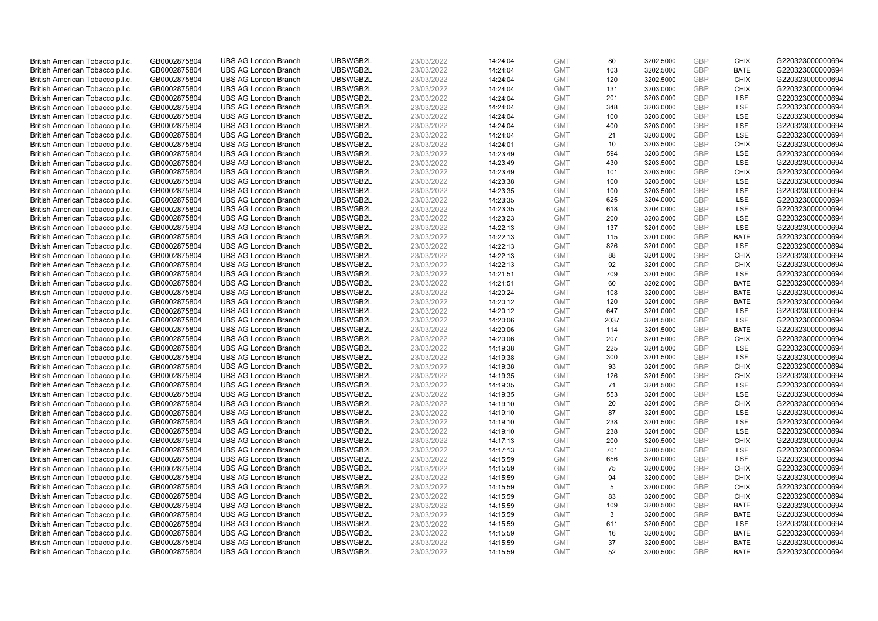| British American Tobacco p.l.c.                                    | GB0002875804                 | <b>UBS AG London Branch</b>                                | UBSWGB2L             | 23/03/2022               | 14:24:04             | <b>GMT</b>               | 80       | 3202.5000              | <b>GBP</b>        | <b>CHIX</b>                | G220323000000694                     |
|--------------------------------------------------------------------|------------------------------|------------------------------------------------------------|----------------------|--------------------------|----------------------|--------------------------|----------|------------------------|-------------------|----------------------------|--------------------------------------|
| British American Tobacco p.l.c.                                    | GB0002875804                 | <b>UBS AG London Branch</b>                                | UBSWGB2L             | 23/03/2022               | 14:24:04             | <b>GMT</b>               | 103      | 3202.5000              | GBP               | <b>BATE</b>                | G220323000000694                     |
| British American Tobacco p.l.c.                                    | GB0002875804                 | <b>UBS AG London Branch</b>                                | UBSWGB2L             | 23/03/2022               | 14:24:04             | <b>GMT</b>               | 120      | 3202.5000              | <b>GBP</b>        | <b>CHIX</b>                | G220323000000694                     |
| British American Tobacco p.l.c.                                    | GB0002875804                 | <b>UBS AG London Branch</b>                                | UBSWGB2L             | 23/03/2022               | 14:24:04             | <b>GMT</b>               | 131      | 3203.0000              | GBP               | <b>CHIX</b>                | G220323000000694                     |
| British American Tobacco p.l.c.                                    | GB0002875804                 | <b>UBS AG London Branch</b>                                | UBSWGB2L             | 23/03/2022               | 14:24:04             | <b>GMT</b>               | 201      | 3203.0000              | <b>GBP</b>        | <b>LSE</b>                 | G220323000000694                     |
| British American Tobacco p.l.c.                                    | GB0002875804                 | <b>UBS AG London Branch</b>                                | UBSWGB2L             | 23/03/2022               | 14:24:04             | <b>GMT</b>               | 348      | 3203.0000              | GBP               | LSE                        | G220323000000694                     |
| British American Tobacco p.l.c.                                    | GB0002875804                 | <b>UBS AG London Branch</b>                                | UBSWGB2L             | 23/03/2022               | 14:24:04             | <b>GMT</b>               | 100      | 3203.0000              | <b>GBP</b>        | LSE                        | G220323000000694                     |
| British American Tobacco p.l.c.                                    | GB0002875804                 | <b>UBS AG London Branch</b>                                | UBSWGB2L             | 23/03/2022               | 14:24:04             | <b>GMT</b>               | 400      | 3203.0000              | <b>GBP</b>        | LSE                        | G220323000000694                     |
| British American Tobacco p.l.c.                                    | GB0002875804                 | <b>UBS AG London Branch</b>                                | UBSWGB2L             | 23/03/2022               | 14:24:04             | <b>GMT</b>               | 21       | 3203.0000              | <b>GBP</b>        | LSE                        | G220323000000694                     |
| British American Tobacco p.l.c.                                    | GB0002875804                 | <b>UBS AG London Branch</b>                                | UBSWGB2L             | 23/03/2022               | 14:24:01             | <b>GMT</b>               | 10       | 3203.5000              | GBP               | <b>CHIX</b>                | G220323000000694                     |
| British American Tobacco p.l.c.                                    | GB0002875804                 | <b>UBS AG London Branch</b>                                | UBSWGB2L             | 23/03/2022               | 14:23:49             | <b>GMT</b>               | 594      | 3203.5000              | <b>GBP</b>        | LSE                        | G220323000000694                     |
| British American Tobacco p.l.c.                                    | GB0002875804                 | <b>UBS AG London Branch</b>                                | UBSWGB2L             | 23/03/2022               | 14:23:49             | <b>GMT</b>               | 430      | 3203.5000              | <b>GBP</b>        | <b>LSE</b>                 | G220323000000694                     |
| British American Tobacco p.l.c.                                    | GB0002875804                 | <b>UBS AG London Branch</b>                                | UBSWGB2L             | 23/03/2022               | 14:23:49             | <b>GMT</b>               | 101      | 3203.5000              | <b>GBP</b>        | <b>CHIX</b>                | G220323000000694                     |
| British American Tobacco p.l.c.                                    | GB0002875804                 | <b>UBS AG London Branch</b>                                | UBSWGB2L             | 23/03/2022               | 14:23:38             | <b>GMT</b>               | 100      | 3203.5000              | <b>GBP</b>        | <b>LSE</b>                 | G220323000000694                     |
| British American Tobacco p.l.c.                                    | GB0002875804                 | <b>UBS AG London Branch</b>                                | UBSWGB2L             | 23/03/2022               | 14:23:35             | <b>GMT</b>               | 100      | 3203.5000              | GBP               | LSE                        | G220323000000694                     |
| British American Tobacco p.l.c.                                    | GB0002875804                 | <b>UBS AG London Branch</b>                                | UBSWGB2L             | 23/03/2022               | 14:23:35             | <b>GMT</b>               | 625      | 3204.0000              | <b>GBP</b>        | LSE                        | G220323000000694                     |
| British American Tobacco p.l.c.                                    | GB0002875804                 | <b>UBS AG London Branch</b>                                | UBSWGB2L             | 23/03/2022               | 14:23:35             | <b>GMT</b>               | 618      | 3204.0000              | <b>GBP</b>        | <b>LSE</b>                 | G220323000000694                     |
| British American Tobacco p.l.c.                                    | GB0002875804                 | <b>UBS AG London Branch</b>                                | UBSWGB2L             | 23/03/2022               | 14:23:23             | <b>GMT</b>               | 200      | 3203.5000              | GBP               | LSE                        | G220323000000694                     |
| British American Tobacco p.l.c.                                    | GB0002875804                 | <b>UBS AG London Branch</b>                                | UBSWGB2L             | 23/03/2022               | 14:22:13             | <b>GMT</b>               | 137      | 3201.0000              | GBP               | <b>LSE</b>                 | G220323000000694                     |
| British American Tobacco p.l.c.                                    | GB0002875804                 | <b>UBS AG London Branch</b>                                | UBSWGB2L             | 23/03/2022               | 14:22:13             | <b>GMT</b>               | 115      | 3201.0000              | <b>GBP</b>        | <b>BATE</b>                | G220323000000694                     |
| British American Tobacco p.l.c.                                    | GB0002875804                 | <b>UBS AG London Branch</b>                                | UBSWGB2L             | 23/03/2022               | 14:22:13             | <b>GMT</b>               | 826      | 3201.0000              | GBP               | LSE                        | G220323000000694                     |
| British American Tobacco p.l.c.                                    | GB0002875804                 | <b>UBS AG London Branch</b>                                | UBSWGB2L             | 23/03/2022               | 14:22:13             | <b>GMT</b>               | 88       | 3201.0000              | GBP               | <b>CHIX</b>                | G220323000000694                     |
| British American Tobacco p.l.c.                                    | GB0002875804                 | <b>UBS AG London Branch</b>                                | UBSWGB2L             | 23/03/2022               | 14:22:13             | <b>GMT</b>               | 92       | 3201.0000              | GBP               | <b>CHIX</b>                | G220323000000694                     |
| British American Tobacco p.l.c.                                    | GB0002875804                 | <b>UBS AG London Branch</b>                                | UBSWGB2L             | 23/03/2022               | 14:21:51             | <b>GMT</b>               | 709      | 3201.5000              | <b>GBP</b>        | LSE                        | G220323000000694                     |
| British American Tobacco p.l.c.                                    | GB0002875804                 | <b>UBS AG London Branch</b>                                | UBSWGB2L             | 23/03/2022               | 14:21:51             | <b>GMT</b>               | 60       | 3202.0000              | <b>GBP</b>        | <b>BATE</b>                | G220323000000694                     |
| British American Tobacco p.l.c.                                    | GB0002875804                 | <b>UBS AG London Branch</b>                                | UBSWGB2L             | 23/03/2022               | 14:20:24             | <b>GMT</b>               | 108      | 3200.0000              | GBP               | <b>BATE</b>                | G220323000000694                     |
| British American Tobacco p.l.c.                                    | GB0002875804                 | <b>UBS AG London Branch</b>                                | UBSWGB2L             | 23/03/2022               | 14:20:12             | <b>GMT</b>               | 120      | 3201.0000              | <b>GBP</b>        | <b>BATE</b>                | G220323000000694                     |
| British American Tobacco p.l.c.                                    | GB0002875804                 | <b>UBS AG London Branch</b>                                | UBSWGB2L             | 23/03/2022               | 14:20:12             | <b>GMT</b>               | 647      | 3201.0000              | <b>GBP</b>        | LSE                        | G220323000000694                     |
| British American Tobacco p.l.c.                                    | GB0002875804                 | <b>UBS AG London Branch</b>                                | UBSWGB2L             | 23/03/2022               | 14:20:06             | <b>GMT</b>               | 2037     | 3201.5000              | GBP               | LSE                        | G220323000000694                     |
| British American Tobacco p.l.c.                                    | GB0002875804                 | <b>UBS AG London Branch</b>                                | UBSWGB2L             | 23/03/2022               | 14:20:06             | <b>GMT</b>               | 114      | 3201.5000              | GBP               | <b>BATE</b>                | G220323000000694                     |
| British American Tobacco p.l.c.                                    | GB0002875804                 | <b>UBS AG London Branch</b>                                | UBSWGB2L             | 23/03/2022               | 14:20:06             | <b>GMT</b>               | 207      | 3201.5000              | <b>GBP</b>        | <b>CHIX</b>                | G220323000000694                     |
| British American Tobacco p.l.c.                                    | GB0002875804                 | <b>UBS AG London Branch</b>                                | UBSWGB2L             | 23/03/2022               | 14:19:38             | <b>GMT</b>               | 225      | 3201.5000              | <b>GBP</b>        | <b>LSE</b>                 | G220323000000694                     |
| British American Tobacco p.l.c.                                    | GB0002875804                 | <b>UBS AG London Branch</b>                                | UBSWGB2L             | 23/03/2022               | 14:19:38             | <b>GMT</b>               | 300      | 3201.5000              | GBP               | LSE                        | G220323000000694                     |
| British American Tobacco p.l.c.                                    | GB0002875804                 | <b>UBS AG London Branch</b>                                | UBSWGB2L             | 23/03/2022               | 14:19:38             | <b>GMT</b>               | 93       | 3201.5000              | <b>GBP</b>        | <b>CHIX</b>                | G220323000000694                     |
| British American Tobacco p.l.c.                                    | GB0002875804                 | <b>UBS AG London Branch</b>                                | UBSWGB2L             | 23/03/2022               | 14:19:35             | <b>GMT</b>               | 126      | 3201.5000              | <b>GBP</b>        | <b>CHIX</b>                | G220323000000694                     |
| British American Tobacco p.l.c.                                    | GB0002875804                 | <b>UBS AG London Branch</b>                                | UBSWGB2L             | 23/03/2022               | 14:19:35             | <b>GMT</b>               | 71       | 3201.5000              | <b>GBP</b>        | <b>LSE</b>                 | G220323000000694                     |
| British American Tobacco p.l.c.                                    | GB0002875804                 | <b>UBS AG London Branch</b>                                | UBSWGB2L             | 23/03/2022               | 14:19:35             | <b>GMT</b>               | 553      | 3201.5000              | GBP               | LSE                        | G220323000000694                     |
| British American Tobacco p.l.c.                                    | GB0002875804                 | <b>UBS AG London Branch</b>                                | UBSWGB2L             | 23/03/2022               | 14:19:10             | <b>GMT</b>               | 20       | 3201.5000              | <b>GBP</b>        | <b>CHIX</b>                | G220323000000694                     |
| British American Tobacco p.l.c.                                    | GB0002875804                 | <b>UBS AG London Branch</b>                                | UBSWGB2L             | 23/03/2022               | 14:19:10             | <b>GMT</b>               | 87       | 3201.5000              | <b>GBP</b>        | <b>LSE</b>                 | G220323000000694                     |
| British American Tobacco p.l.c.                                    | GB0002875804                 | <b>UBS AG London Branch</b>                                | UBSWGB2L             | 23/03/2022               | 14:19:10             | <b>GMT</b>               | 238      | 3201.5000              | <b>GBP</b>        | LSE                        | G220323000000694                     |
| British American Tobacco p.l.c.                                    | GB0002875804                 | <b>UBS AG London Branch</b>                                | UBSWGB2L             | 23/03/2022               | 14:19:10             | <b>GMT</b>               | 238      | 3201.5000              | <b>GBP</b>        | <b>LSE</b>                 | G220323000000694                     |
| British American Tobacco p.l.c.                                    | GB0002875804                 | <b>UBS AG London Branch</b>                                | UBSWGB2L             | 23/03/2022               | 14:17:13             | <b>GMT</b>               | 200      | 3200.5000              | GBP<br><b>GBP</b> | <b>CHIX</b>                | G220323000000694                     |
| British American Tobacco p.l.c.                                    | GB0002875804                 | <b>UBS AG London Branch</b>                                | UBSWGB2L             | 23/03/2022               | 14:17:13             | <b>GMT</b>               | 701      | 3200.5000              | <b>GBP</b>        | LSE<br>LSE                 | G220323000000694                     |
| British American Tobacco p.l.c.                                    | GB0002875804                 | <b>UBS AG London Branch</b><br><b>UBS AG London Branch</b> | UBSWGB2L<br>UBSWGB2L | 23/03/2022               | 14:15:59             | <b>GMT</b>               | 656      | 3200.0000              |                   | <b>CHIX</b>                | G220323000000694                     |
| British American Tobacco p.l.c.                                    | GB0002875804<br>GB0002875804 | <b>UBS AG London Branch</b>                                | UBSWGB2L             | 23/03/2022<br>23/03/2022 | 14:15:59<br>14:15:59 | <b>GMT</b><br><b>GMT</b> | 75<br>94 | 3200.0000<br>3200.0000 | <b>GBP</b><br>GBP | <b>CHIX</b>                | G220323000000694<br>G220323000000694 |
| British American Tobacco p.l.c.                                    |                              |                                                            |                      |                          |                      |                          | 5        |                        |                   |                            |                                      |
| British American Tobacco p.l.c.<br>British American Tobacco p.l.c. | GB0002875804<br>GB0002875804 | <b>UBS AG London Branch</b><br><b>UBS AG London Branch</b> | UBSWGB2L<br>UBSWGB2L | 23/03/2022<br>23/03/2022 | 14:15:59<br>14:15:59 | <b>GMT</b><br><b>GMT</b> | 83       | 3200.0000<br>3200.5000 | <b>GBP</b><br>GBP | <b>CHIX</b><br><b>CHIX</b> | G220323000000694<br>G220323000000694 |
| British American Tobacco p.l.c.                                    | GB0002875804                 | <b>UBS AG London Branch</b>                                | UBSWGB2L             | 23/03/2022               | 14:15:59             | <b>GMT</b>               | 109      | 3200.5000              | <b>GBP</b>        | <b>BATE</b>                | G220323000000694                     |
| British American Tobacco p.l.c.                                    | GB0002875804                 | <b>UBS AG London Branch</b>                                | UBSWGB2L             | 23/03/2022               | 14:15:59             | <b>GMT</b>               | 3        | 3200.5000              | GBP               | <b>BATE</b>                | G220323000000694                     |
| British American Tobacco p.l.c.                                    | GB0002875804                 | <b>UBS AG London Branch</b>                                | UBSWGB2L             | 23/03/2022               | 14:15:59             | <b>GMT</b>               | 611      | 3200.5000              | <b>GBP</b>        | LSE                        | G220323000000694                     |
| British American Tobacco p.l.c.                                    | GB0002875804                 | <b>UBS AG London Branch</b>                                | UBSWGB2L             | 23/03/2022               | 14:15:59             | <b>GMT</b>               | 16       | 3200.5000              | GBP               | <b>BATE</b>                | G220323000000694                     |
| British American Tobacco p.l.c.                                    | GB0002875804                 | <b>UBS AG London Branch</b>                                | UBSWGB2L             | 23/03/2022               | 14:15:59             | <b>GMT</b>               | 37       | 3200.5000              | GBP               | <b>BATE</b>                | G220323000000694                     |
| British American Tobacco p.l.c.                                    | GB0002875804                 | <b>UBS AG London Branch</b>                                | UBSWGB2L             | 23/03/2022               | 14:15:59             | <b>GMT</b>               | 52       | 3200.5000              | GBP               | <b>BATE</b>                | G220323000000694                     |
|                                                                    |                              |                                                            |                      |                          |                      |                          |          |                        |                   |                            |                                      |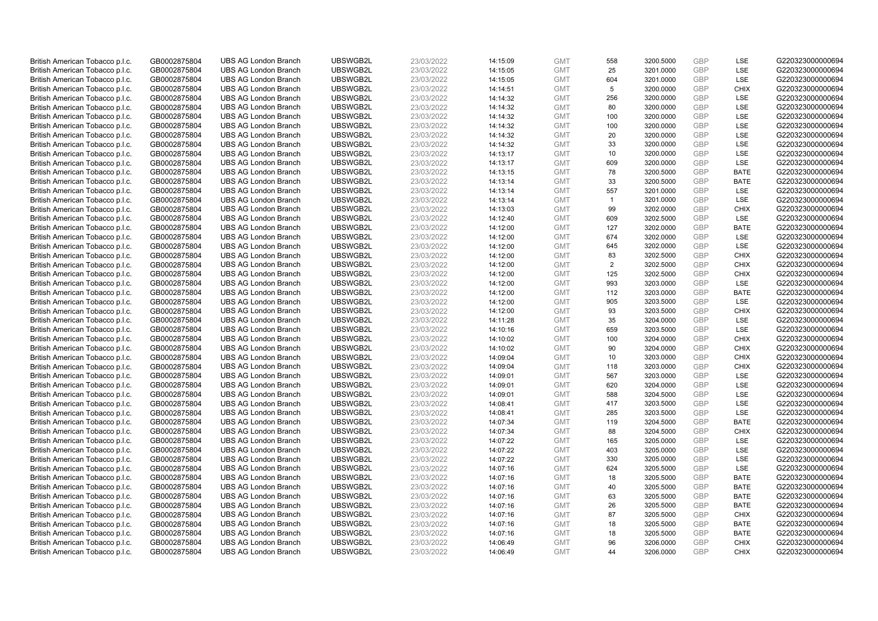| British American Tobacco p.l.c. | GB0002875804                 | <b>UBS AG London Branch</b> | UBSWGB2L | 23/03/2022 | 14:15:09 | <b>GMT</b> | 558            | 3200.5000 | <b>GBP</b> | LSE         | G220323000000694 |
|---------------------------------|------------------------------|-----------------------------|----------|------------|----------|------------|----------------|-----------|------------|-------------|------------------|
| British American Tobacco p.l.c. | GB0002875804                 | <b>UBS AG London Branch</b> | UBSWGB2L | 23/03/2022 | 14:15:05 | <b>GMT</b> | 25             | 3201.0000 | GBP        | LSE         | G220323000000694 |
| British American Tobacco p.l.c. | GB0002875804                 | <b>UBS AG London Branch</b> | UBSWGB2L | 23/03/2022 | 14:15:05 | <b>GMT</b> | 604            | 3201.0000 | GBP        | LSE         | G220323000000694 |
| British American Tobacco p.l.c. | GB0002875804                 | <b>UBS AG London Branch</b> | UBSWGB2L | 23/03/2022 | 14:14:51 | <b>GMT</b> | 5              | 3200.0000 | GBP        | <b>CHIX</b> | G220323000000694 |
| British American Tobacco p.l.c. | GB0002875804                 | <b>UBS AG London Branch</b> | UBSWGB2L | 23/03/2022 | 14:14:32 | <b>GMT</b> | 256            | 3200.0000 | <b>GBP</b> | LSE         | G220323000000694 |
| British American Tobacco p.l.c. | GB0002875804                 | <b>UBS AG London Branch</b> | UBSWGB2L | 23/03/2022 | 14:14:32 | <b>GMT</b> | 80             | 3200.0000 | <b>GBP</b> | LSE         | G220323000000694 |
| British American Tobacco p.l.c. | GB0002875804                 | <b>UBS AG London Branch</b> | UBSWGB2L | 23/03/2022 | 14:14:32 | <b>GMT</b> | 100            | 3200.0000 | GBP        | LSE         | G220323000000694 |
| British American Tobacco p.l.c. | GB0002875804                 | <b>UBS AG London Branch</b> | UBSWGB2L | 23/03/2022 | 14:14:32 | <b>GMT</b> | 100            | 3200.0000 | <b>GBP</b> | <b>LSE</b>  | G220323000000694 |
| British American Tobacco p.l.c. | GB0002875804                 | <b>UBS AG London Branch</b> | UBSWGB2L | 23/03/2022 | 14:14:32 | <b>GMT</b> | 20             | 3200.0000 | GBP        | LSE         | G220323000000694 |
| British American Tobacco p.l.c. | GB0002875804                 | <b>UBS AG London Branch</b> | UBSWGB2L | 23/03/2022 | 14:14:32 | <b>GMT</b> | 33             | 3200.0000 | <b>GBP</b> | <b>LSE</b>  | G220323000000694 |
| British American Tobacco p.l.c. | GB0002875804                 | <b>UBS AG London Branch</b> | UBSWGB2L | 23/03/2022 | 14:13:17 | <b>GMT</b> | 10             | 3200.0000 | GBP        | LSE         | G220323000000694 |
| British American Tobacco p.l.c. | GB0002875804                 | <b>UBS AG London Branch</b> | UBSWGB2L | 23/03/2022 | 14:13:17 | <b>GMT</b> | 609            | 3200.0000 | <b>GBP</b> | LSE         | G220323000000694 |
| British American Tobacco p.l.c. | GB0002875804                 | <b>UBS AG London Branch</b> | UBSWGB2L | 23/03/2022 | 14:13:15 | <b>GMT</b> | 78             | 3200.5000 | GBP        | <b>BATE</b> | G220323000000694 |
| British American Tobacco p.l.c. | GB0002875804                 | <b>UBS AG London Branch</b> | UBSWGB2L | 23/03/2022 | 14:13:14 | <b>GMT</b> | 33             | 3200.5000 | <b>GBP</b> | <b>BATE</b> | G220323000000694 |
| British American Tobacco p.l.c. | GB0002875804                 | <b>UBS AG London Branch</b> | UBSWGB2L | 23/03/2022 | 14:13:14 | <b>GMT</b> | 557            | 3201.0000 | <b>GBP</b> | <b>LSE</b>  | G220323000000694 |
| British American Tobacco p.l.c. | GB0002875804                 | <b>UBS AG London Branch</b> | UBSWGB2L | 23/03/2022 | 14:13:14 | <b>GMT</b> | $\overline{1}$ | 3201.0000 | GBP        | LSE         | G220323000000694 |
| British American Tobacco p.l.c. | GB0002875804                 | <b>UBS AG London Branch</b> | UBSWGB2L | 23/03/2022 | 14:13:03 | <b>GMT</b> | 99             | 3202.0000 | GBP        | <b>CHIX</b> | G220323000000694 |
| British American Tobacco p.l.c. | GB0002875804                 | <b>UBS AG London Branch</b> | UBSWGB2L | 23/03/2022 | 14:12:40 | <b>GMT</b> | 609            | 3202.5000 | GBP        | LSE         | G220323000000694 |
| British American Tobacco p.l.c. | GB0002875804                 | <b>UBS AG London Branch</b> | UBSWGB2L | 23/03/2022 | 14:12:00 | <b>GMT</b> | 127            | 3202.0000 | <b>GBP</b> | <b>BATE</b> | G220323000000694 |
| British American Tobacco p.l.c. | GB0002875804                 | <b>UBS AG London Branch</b> | UBSWGB2L | 23/03/2022 | 14:12:00 | <b>GMT</b> | 674            | 3202.0000 | GBP        | LSE         | G220323000000694 |
| British American Tobacco p.l.c. | GB0002875804                 | <b>UBS AG London Branch</b> | UBSWGB2L | 23/03/2022 | 14:12:00 | <b>GMT</b> | 645            | 3202.0000 | <b>GBP</b> | LSE         | G220323000000694 |
| British American Tobacco p.l.c. | GB0002875804                 | <b>UBS AG London Branch</b> | UBSWGB2L | 23/03/2022 | 14:12:00 | <b>GMT</b> | 83             | 3202.5000 | GBP        | <b>CHIX</b> | G220323000000694 |
| British American Tobacco p.l.c. | GB0002875804                 | <b>UBS AG London Branch</b> | UBSWGB2L | 23/03/2022 | 14:12:00 | <b>GMT</b> | $\overline{2}$ | 3202.5000 | <b>GBP</b> | <b>CHIX</b> | G220323000000694 |
| British American Tobacco p.l.c. | GB0002875804                 | <b>UBS AG London Branch</b> | UBSWGB2L | 23/03/2022 | 14:12:00 | <b>GMT</b> | 125            | 3202.5000 | GBP        | <b>CHIX</b> | G220323000000694 |
| British American Tobacco p.l.c. | GB0002875804                 | <b>UBS AG London Branch</b> | UBSWGB2L | 23/03/2022 | 14:12:00 | <b>GMT</b> | 993            | 3203.0000 | <b>GBP</b> | LSE         | G220323000000694 |
| British American Tobacco p.l.c. | GB0002875804                 | <b>UBS AG London Branch</b> | UBSWGB2L | 23/03/2022 | 14:12:00 | <b>GMT</b> | 112            | 3203.0000 | GBP        | <b>BATE</b> | G220323000000694 |
| British American Tobacco p.l.c. | GB0002875804                 | <b>UBS AG London Branch</b> | UBSWGB2L | 23/03/2022 | 14:12:00 | <b>GMT</b> | 905            | 3203.5000 | <b>GBP</b> | LSE         | G220323000000694 |
| British American Tobacco p.l.c. | GB0002875804                 | <b>UBS AG London Branch</b> | UBSWGB2L | 23/03/2022 | 14:12:00 | <b>GMT</b> | 93             | 3203.5000 | GBP        | <b>CHIX</b> | G220323000000694 |
| British American Tobacco p.l.c. | GB0002875804                 | <b>UBS AG London Branch</b> | UBSWGB2L | 23/03/2022 | 14:11:28 | <b>GMT</b> | 35             | 3204.0000 | GBP        | <b>LSE</b>  | G220323000000694 |
| British American Tobacco p.l.c. | GB0002875804                 | <b>UBS AG London Branch</b> | UBSWGB2L | 23/03/2022 | 14:10:16 | <b>GMT</b> | 659            | 3203.5000 | GBP        | LSE         | G220323000000694 |
| British American Tobacco p.l.c. | GB0002875804                 | <b>UBS AG London Branch</b> | UBSWGB2L | 23/03/2022 | 14:10:02 | <b>GMT</b> | 100            | 3204.0000 | GBP        | <b>CHIX</b> | G220323000000694 |
| British American Tobacco p.l.c. | GB0002875804                 | <b>UBS AG London Branch</b> | UBSWGB2L | 23/03/2022 | 14:10:02 | <b>GMT</b> | 90             | 3204.0000 | GBP        | <b>CHIX</b> | G220323000000694 |
| British American Tobacco p.l.c. | GB0002875804                 | <b>UBS AG London Branch</b> | UBSWGB2L | 23/03/2022 | 14:09:04 | <b>GMT</b> | 10             | 3203.0000 | GBP        | <b>CHIX</b> | G220323000000694 |
| British American Tobacco p.l.c. | GB0002875804                 | <b>UBS AG London Branch</b> | UBSWGB2L | 23/03/2022 | 14:09:04 | <b>GMT</b> | 118            | 3203.0000 | GBP        | <b>CHIX</b> | G220323000000694 |
| British American Tobacco p.l.c. | GB0002875804                 | <b>UBS AG London Branch</b> | UBSWGB2L | 23/03/2022 | 14:09:01 | <b>GMT</b> | 567            | 3203.0000 | GBP        | LSE         | G220323000000694 |
| British American Tobacco p.l.c. | GB0002875804                 | <b>UBS AG London Branch</b> | UBSWGB2L | 23/03/2022 | 14:09:01 | <b>GMT</b> | 620            | 3204.0000 | <b>GBP</b> | LSE         | G220323000000694 |
| British American Tobacco p.l.c. | GB0002875804                 | <b>UBS AG London Branch</b> | UBSWGB2L | 23/03/2022 | 14:09:01 | <b>GMT</b> | 588            | 3204.5000 | GBP        | LSE         | G220323000000694 |
| British American Tobacco p.l.c. | GB0002875804                 | <b>UBS AG London Branch</b> | UBSWGB2L | 23/03/2022 | 14:08:41 | <b>GMT</b> | 417            | 3203.5000 | <b>GBP</b> | LSE         | G220323000000694 |
| British American Tobacco p.l.c. | GB0002875804                 | <b>UBS AG London Branch</b> | UBSWGB2L | 23/03/2022 | 14:08:41 | <b>GMT</b> | 285            | 3203.5000 | GBP        | LSE         | G220323000000694 |
| British American Tobacco p.l.c. | GB0002875804                 | <b>UBS AG London Branch</b> | UBSWGB2L | 23/03/2022 | 14:07:34 | <b>GMT</b> | 119            | 3204.5000 | <b>GBP</b> | <b>BATE</b> | G220323000000694 |
| British American Tobacco p.l.c. | GB0002875804                 | <b>UBS AG London Branch</b> | UBSWGB2L | 23/03/2022 | 14:07:34 | <b>GMT</b> | 88             | 3204.5000 | <b>GBP</b> | <b>CHIX</b> | G220323000000694 |
| British American Tobacco p.l.c. | GB0002875804                 | <b>UBS AG London Branch</b> | UBSWGB2L | 23/03/2022 | 14:07:22 | <b>GMT</b> | 165            | 3205.0000 | GBP        | <b>LSE</b>  | G220323000000694 |
| British American Tobacco p.l.c. | GB0002875804                 | <b>UBS AG London Branch</b> | UBSWGB2L | 23/03/2022 | 14:07:22 | <b>GMT</b> | 403            | 3205.0000 | <b>GBP</b> | LSE         | G220323000000694 |
| British American Tobacco p.l.c. |                              | <b>UBS AG London Branch</b> | UBSWGB2L | 23/03/2022 | 14:07:22 | <b>GMT</b> | 330            | 3205.0000 | GBP        | LSE         | G220323000000694 |
| British American Tobacco p.l.c. | GB0002875804<br>GB0002875804 | <b>UBS AG London Branch</b> | UBSWGB2L | 23/03/2022 | 14:07:16 | <b>GMT</b> | 624            | 3205.5000 | GBP        | <b>LSE</b>  | G220323000000694 |
|                                 |                              | <b>UBS AG London Branch</b> | UBSWGB2L | 23/03/2022 |          | <b>GMT</b> |                |           | GBP        | <b>BATE</b> | G220323000000694 |
| British American Tobacco p.l.c. | GB0002875804                 |                             |          |            | 14:07:16 |            | 18             | 3205.5000 |            |             |                  |
| British American Tobacco p.l.c. | GB0002875804                 | <b>UBS AG London Branch</b> | UBSWGB2L | 23/03/2022 | 14:07:16 | <b>GMT</b> | 40             | 3205.5000 | GBP        | <b>BATE</b> | G220323000000694 |
| British American Tobacco p.l.c. | GB0002875804                 | <b>UBS AG London Branch</b> | UBSWGB2L | 23/03/2022 | 14:07:16 | <b>GMT</b> | 63             | 3205.5000 | GBP        | <b>BATE</b> | G220323000000694 |
| British American Tobacco p.l.c. | GB0002875804                 | <b>UBS AG London Branch</b> | UBSWGB2L | 23/03/2022 | 14:07:16 | <b>GMT</b> | 26             | 3205.5000 | GBP        | <b>BATE</b> | G220323000000694 |
| British American Tobacco p.l.c. | GB0002875804                 | <b>UBS AG London Branch</b> | UBSWGB2L | 23/03/2022 | 14:07:16 | <b>GMT</b> | 87             | 3205.5000 | GBP        | <b>CHIX</b> | G220323000000694 |
| British American Tobacco p.l.c. | GB0002875804                 | <b>UBS AG London Branch</b> | UBSWGB2L | 23/03/2022 | 14:07:16 | <b>GMT</b> | 18             | 3205.5000 | <b>GBP</b> | <b>BATE</b> | G220323000000694 |
| British American Tobacco p.l.c. | GB0002875804                 | <b>UBS AG London Branch</b> | UBSWGB2L | 23/03/2022 | 14:07:16 | <b>GMT</b> | 18             | 3205.5000 | <b>GBP</b> | <b>BATE</b> | G220323000000694 |
| British American Tobacco p.l.c. | GB0002875804                 | <b>UBS AG London Branch</b> | UBSWGB2L | 23/03/2022 | 14:06:49 | <b>GMT</b> | 96             | 3206.0000 | GBP        | <b>CHIX</b> | G220323000000694 |
| British American Tobacco p.l.c. | GB0002875804                 | <b>UBS AG London Branch</b> | UBSWGB2L | 23/03/2022 | 14:06:49 | <b>GMT</b> | 44             | 3206.0000 | GBP        | <b>CHIX</b> | G220323000000694 |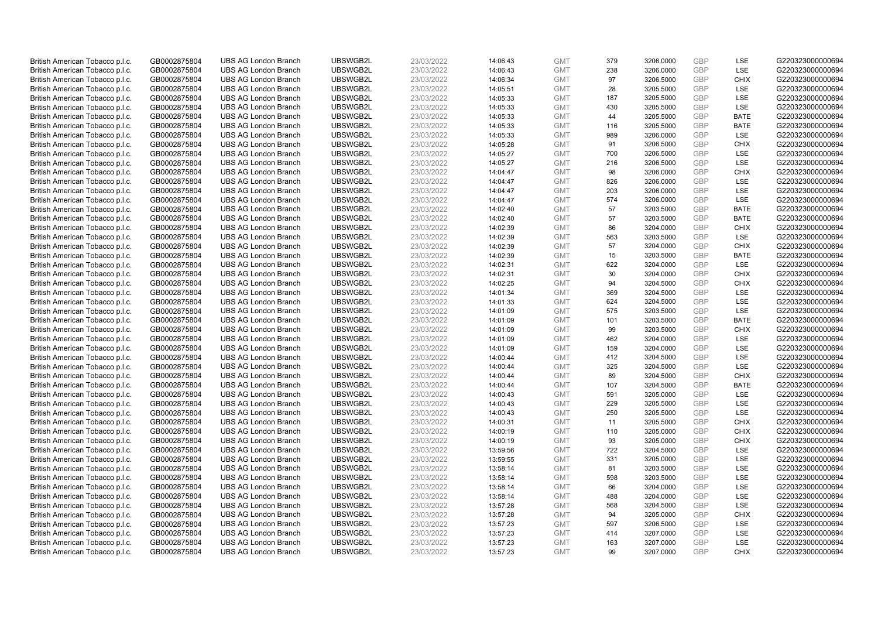| British American Tobacco p.l.c. | GB0002875804 | <b>UBS AG London Branch</b> | UBSWGB2L | 23/03/2022 | 14:06:43 | <b>GMT</b> | 379 | 3206.0000 | <b>GBP</b> | LSE         | G220323000000694 |
|---------------------------------|--------------|-----------------------------|----------|------------|----------|------------|-----|-----------|------------|-------------|------------------|
| British American Tobacco p.l.c. | GB0002875804 | <b>UBS AG London Branch</b> | UBSWGB2L | 23/03/2022 | 14:06:43 | <b>GMT</b> | 238 | 3206.0000 | <b>GBP</b> | LSE         | G220323000000694 |
| British American Tobacco p.l.c. | GB0002875804 | <b>UBS AG London Branch</b> | UBSWGB2L | 23/03/2022 | 14:06:34 | <b>GMT</b> | 97  | 3206.5000 | GBP        | <b>CHIX</b> | G220323000000694 |
| British American Tobacco p.l.c. | GB0002875804 | <b>UBS AG London Branch</b> | UBSWGB2L | 23/03/2022 | 14:05:51 | <b>GMT</b> | 28  | 3205.5000 | GBP        | LSE         | G220323000000694 |
| British American Tobacco p.l.c. | GB0002875804 | <b>UBS AG London Branch</b> | UBSWGB2L | 23/03/2022 | 14:05:33 | <b>GMT</b> | 187 | 3205.5000 | <b>GBP</b> | LSE         | G220323000000694 |
| British American Tobacco p.l.c. | GB0002875804 | <b>UBS AG London Branch</b> | UBSWGB2L | 23/03/2022 | 14:05:33 | <b>GMT</b> | 430 | 3205.5000 | <b>GBP</b> | <b>LSE</b>  | G220323000000694 |
| British American Tobacco p.l.c. | GB0002875804 | <b>UBS AG London Branch</b> | UBSWGB2L | 23/03/2022 | 14:05:33 | <b>GMT</b> | 44  | 3205.5000 | GBP        | <b>BATE</b> | G220323000000694 |
| British American Tobacco p.l.c. | GB0002875804 | <b>UBS AG London Branch</b> | UBSWGB2L | 23/03/2022 | 14:05:33 | <b>GMT</b> | 116 | 3205.5000 | <b>GBP</b> | <b>BATE</b> | G220323000000694 |
| British American Tobacco p.l.c. | GB0002875804 | <b>UBS AG London Branch</b> | UBSWGB2L | 23/03/2022 | 14:05:33 | <b>GMT</b> | 989 | 3206.0000 | GBP        | LSE         | G220323000000694 |
| British American Tobacco p.l.c. | GB0002875804 | <b>UBS AG London Branch</b> | UBSWGB2L | 23/03/2022 | 14:05:28 | <b>GMT</b> | 91  | 3206.5000 | <b>GBP</b> | <b>CHIX</b> | G220323000000694 |
| British American Tobacco p.l.c. | GB0002875804 | <b>UBS AG London Branch</b> | UBSWGB2L | 23/03/2022 | 14:05:27 | <b>GMT</b> | 700 | 3206.5000 | GBP        | <b>LSE</b>  | G220323000000694 |
| British American Tobacco p.l.c. | GB0002875804 | <b>UBS AG London Branch</b> | UBSWGB2L | 23/03/2022 | 14:05:27 | <b>GMT</b> | 216 | 3206.5000 | <b>GBP</b> | LSE         | G220323000000694 |
| British American Tobacco p.l.c. | GB0002875804 | <b>UBS AG London Branch</b> | UBSWGB2L | 23/03/2022 | 14:04:47 | <b>GMT</b> | 98  | 3206.0000 | <b>GBP</b> | <b>CHIX</b> | G220323000000694 |
| British American Tobacco p.l.c. | GB0002875804 | <b>UBS AG London Branch</b> | UBSWGB2L | 23/03/2022 | 14:04:47 | <b>GMT</b> | 826 | 3206.0000 | <b>GBP</b> | <b>LSE</b>  | G220323000000694 |
| British American Tobacco p.l.c. | GB0002875804 | <b>UBS AG London Branch</b> | UBSWGB2L | 23/03/2022 | 14:04:47 | <b>GMT</b> | 203 | 3206.0000 | <b>GBP</b> | <b>LSE</b>  | G220323000000694 |
| British American Tobacco p.l.c. | GB0002875804 | <b>UBS AG London Branch</b> | UBSWGB2L | 23/03/2022 | 14:04:47 | <b>GMT</b> | 574 | 3206.0000 | GBP        | LSE         | G220323000000694 |
| British American Tobacco p.l.c. | GB0002875804 | <b>UBS AG London Branch</b> | UBSWGB2L | 23/03/2022 | 14:02:40 | <b>GMT</b> | 57  | 3203.5000 | GBP        | <b>BATE</b> | G220323000000694 |
| British American Tobacco p.l.c. | GB0002875804 | <b>UBS AG London Branch</b> | UBSWGB2L | 23/03/2022 | 14:02:40 | <b>GMT</b> | 57  | 3203.5000 | GBP        | <b>BATE</b> | G220323000000694 |
| British American Tobacco p.l.c. | GB0002875804 | <b>UBS AG London Branch</b> | UBSWGB2L | 23/03/2022 | 14:02:39 | <b>GMT</b> | 86  | 3204.0000 | <b>GBP</b> | <b>CHIX</b> | G220323000000694 |
| British American Tobacco p.l.c. | GB0002875804 | <b>UBS AG London Branch</b> | UBSWGB2L | 23/03/2022 | 14:02:39 | <b>GMT</b> | 563 | 3203.5000 | GBP        | LSE         | G220323000000694 |
| British American Tobacco p.l.c. | GB0002875804 | <b>UBS AG London Branch</b> | UBSWGB2L | 23/03/2022 | 14:02:39 | <b>GMT</b> | 57  | 3204.0000 | <b>GBP</b> | <b>CHIX</b> | G220323000000694 |
| British American Tobacco p.l.c. | GB0002875804 | <b>UBS AG London Branch</b> | UBSWGB2L | 23/03/2022 | 14:02:39 | <b>GMT</b> | 15  | 3203.5000 | GBP        | <b>BATE</b> | G220323000000694 |
| British American Tobacco p.l.c. | GB0002875804 | <b>UBS AG London Branch</b> | UBSWGB2L | 23/03/2022 | 14:02:31 | <b>GMT</b> | 622 | 3204.0000 | <b>GBP</b> | LSE         | G220323000000694 |
| British American Tobacco p.l.c. | GB0002875804 | <b>UBS AG London Branch</b> | UBSWGB2L | 23/03/2022 | 14:02:31 | <b>GMT</b> | 30  | 3204.0000 | GBP        | <b>CHIX</b> | G220323000000694 |
| British American Tobacco p.l.c. | GB0002875804 | <b>UBS AG London Branch</b> | UBSWGB2L | 23/03/2022 | 14:02:25 | <b>GMT</b> | 94  | 3204.5000 | <b>GBP</b> | <b>CHIX</b> | G220323000000694 |
| British American Tobacco p.l.c. | GB0002875804 | <b>UBS AG London Branch</b> | UBSWGB2L | 23/03/2022 | 14:01:34 | <b>GMT</b> | 369 | 3204.5000 | <b>GBP</b> | <b>LSE</b>  | G220323000000694 |
| British American Tobacco p.l.c. | GB0002875804 | <b>UBS AG London Branch</b> | UBSWGB2L | 23/03/2022 | 14:01:33 | <b>GMT</b> | 624 | 3204.5000 | GBP        | <b>LSE</b>  | G220323000000694 |
| British American Tobacco p.l.c. | GB0002875804 | <b>UBS AG London Branch</b> | UBSWGB2L | 23/03/2022 | 14:01:09 | <b>GMT</b> | 575 | 3203.5000 | <b>GBP</b> | <b>LSE</b>  | G220323000000694 |
| British American Tobacco p.l.c. | GB0002875804 | <b>UBS AG London Branch</b> | UBSWGB2L | 23/03/2022 | 14:01:09 | <b>GMT</b> | 101 | 3203.5000 | GBP        | <b>BATE</b> | G220323000000694 |
| British American Tobacco p.l.c. | GB0002875804 | <b>UBS AG London Branch</b> | UBSWGB2L | 23/03/2022 | 14:01:09 | <b>GMT</b> | 99  | 3203.5000 | GBP        | <b>CHIX</b> | G220323000000694 |
| British American Tobacco p.l.c. | GB0002875804 | <b>UBS AG London Branch</b> | UBSWGB2L | 23/03/2022 | 14:01:09 | <b>GMT</b> | 462 | 3204.0000 | GBP        | LSE         | G220323000000694 |
| British American Tobacco p.l.c. | GB0002875804 | <b>UBS AG London Branch</b> | UBSWGB2L | 23/03/2022 | 14:01:09 | <b>GMT</b> | 159 | 3204.0000 | GBP        | <b>LSE</b>  | G220323000000694 |
| British American Tobacco p.l.c. | GB0002875804 | <b>UBS AG London Branch</b> | UBSWGB2L | 23/03/2022 | 14:00:44 | <b>GMT</b> | 412 | 3204.5000 | GBP        | LSE         | G220323000000694 |
| British American Tobacco p.l.c. | GB0002875804 | <b>UBS AG London Branch</b> | UBSWGB2L | 23/03/2022 | 14:00:44 | <b>GMT</b> | 325 | 3204.5000 | GBP        | LSE         | G220323000000694 |
| British American Tobacco p.l.c. | GB0002875804 | <b>UBS AG London Branch</b> | UBSWGB2L | 23/03/2022 | 14:00:44 | <b>GMT</b> | 89  | 3204.5000 | GBP        | <b>CHIX</b> | G220323000000694 |
| British American Tobacco p.l.c. | GB0002875804 | <b>UBS AG London Branch</b> | UBSWGB2L | 23/03/2022 | 14:00:44 | <b>GMT</b> | 107 | 3204.5000 | <b>GBP</b> | <b>BATE</b> | G220323000000694 |
| British American Tobacco p.l.c. | GB0002875804 | <b>UBS AG London Branch</b> | UBSWGB2L | 23/03/2022 | 14:00:43 | <b>GMT</b> | 591 | 3205.0000 | GBP        | <b>LSE</b>  | G220323000000694 |
| British American Tobacco p.l.c. | GB0002875804 | <b>UBS AG London Branch</b> | UBSWGB2L | 23/03/2022 | 14:00:43 | <b>GMT</b> | 229 | 3205.5000 | <b>GBP</b> | LSE         | G220323000000694 |
| British American Tobacco p.l.c. | GB0002875804 | <b>UBS AG London Branch</b> | UBSWGB2L | 23/03/2022 | 14:00:43 | <b>GMT</b> | 250 | 3205.5000 | GBP        | LSE         | G220323000000694 |
| British American Tobacco p.l.c. | GB0002875804 | <b>UBS AG London Branch</b> | UBSWGB2L | 23/03/2022 | 14:00:31 | <b>GMT</b> | 11  | 3205.5000 | <b>GBP</b> | <b>CHIX</b> | G220323000000694 |
| British American Tobacco p.l.c. | GB0002875804 | <b>UBS AG London Branch</b> | UBSWGB2L | 23/03/2022 | 14:00:19 | <b>GMT</b> | 110 | 3205.0000 | <b>GBP</b> | <b>CHIX</b> | G220323000000694 |
| British American Tobacco p.l.c. | GB0002875804 | <b>UBS AG London Branch</b> | UBSWGB2L | 23/03/2022 | 14:00:19 | <b>GMT</b> | 93  | 3205.0000 | GBP        | <b>CHIX</b> | G220323000000694 |
| British American Tobacco p.l.c. | GB0002875804 | <b>UBS AG London Branch</b> | UBSWGB2L | 23/03/2022 | 13:59:56 | <b>GMT</b> | 722 | 3204.5000 | GBP        | LSE         | G220323000000694 |
| British American Tobacco p.l.c. | GB0002875804 | <b>UBS AG London Branch</b> | UBSWGB2L | 23/03/2022 | 13:59:55 | <b>GMT</b> | 331 | 3205.0000 | GBP        | <b>LSE</b>  | G220323000000694 |
| British American Tobacco p.l.c. | GB0002875804 | <b>UBS AG London Branch</b> | UBSWGB2L | 23/03/2022 | 13:58:14 | <b>GMT</b> | 81  | 3203.5000 | GBP        | <b>LSE</b>  | G220323000000694 |
| British American Tobacco p.l.c. | GB0002875804 | <b>UBS AG London Branch</b> | UBSWGB2L | 23/03/2022 | 13:58:14 | <b>GMT</b> | 598 | 3203.5000 | <b>GBP</b> | LSE         | G220323000000694 |
| British American Tobacco p.l.c. | GB0002875804 | <b>UBS AG London Branch</b> | UBSWGB2L | 23/03/2022 | 13:58:14 | <b>GMT</b> | 66  | 3204.0000 | <b>GBP</b> | LSE         | G220323000000694 |
| British American Tobacco p.l.c. | GB0002875804 | <b>UBS AG London Branch</b> | UBSWGB2L | 23/03/2022 | 13:58:14 | <b>GMT</b> | 488 | 3204.0000 | <b>GBP</b> | LSE         | G220323000000694 |
| British American Tobacco p.l.c. | GB0002875804 | <b>UBS AG London Branch</b> | UBSWGB2L | 23/03/2022 | 13:57:28 | <b>GMT</b> | 568 | 3204.5000 | GBP        | LSE         | G220323000000694 |
| British American Tobacco p.l.c. | GB0002875804 | <b>UBS AG London Branch</b> | UBSWGB2L | 23/03/2022 | 13:57:28 | <b>GMT</b> | 94  | 3205.0000 | GBP        | <b>CHIX</b> | G220323000000694 |
| British American Tobacco p.l.c. | GB0002875804 | <b>UBS AG London Branch</b> | UBSWGB2L | 23/03/2022 | 13:57:23 | <b>GMT</b> | 597 | 3206.5000 | <b>GBP</b> | LSE         | G220323000000694 |
| British American Tobacco p.l.c. | GB0002875804 | <b>UBS AG London Branch</b> | UBSWGB2L | 23/03/2022 | 13:57:23 | <b>GMT</b> | 414 | 3207.0000 | <b>GBP</b> | LSE         | G220323000000694 |
| British American Tobacco p.l.c. | GB0002875804 | <b>UBS AG London Branch</b> | UBSWGB2L | 23/03/2022 | 13:57:23 | <b>GMT</b> | 163 | 3207.0000 | GBP        | LSE         | G220323000000694 |
| British American Tobacco p.l.c. | GB0002875804 | <b>UBS AG London Branch</b> | UBSWGB2L | 23/03/2022 | 13:57:23 | <b>GMT</b> | 99  | 3207.0000 | GBP        | <b>CHIX</b> | G220323000000694 |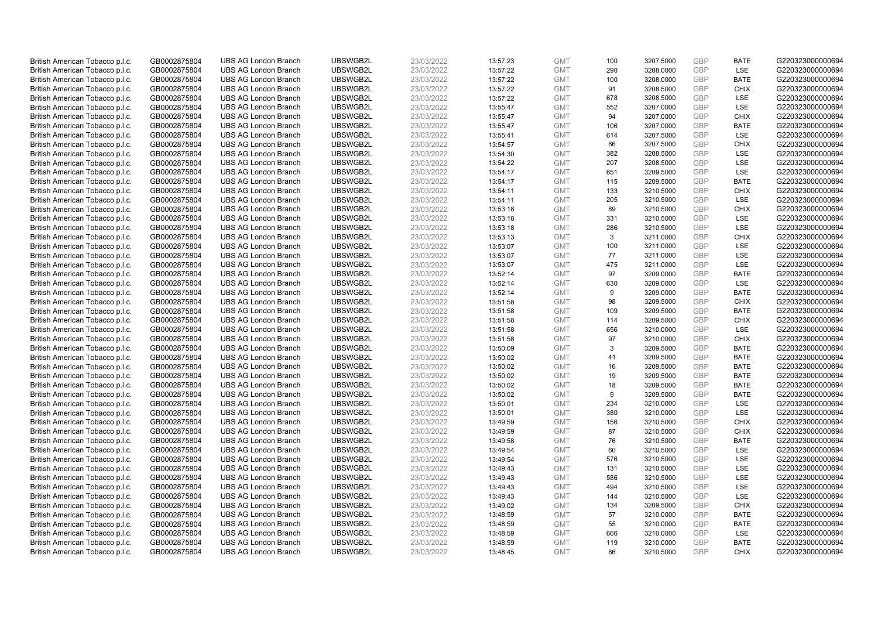| British American Tobacco p.l.c. | GB0002875804                 | <b>UBS AG London Branch</b> | UBSWGB2L             | 23/03/2022               | 13:57:23             | <b>GMT</b>               | 100       | 3207.5000              | <b>GBP</b> | <b>BATE</b>                | G220323000000694 |
|---------------------------------|------------------------------|-----------------------------|----------------------|--------------------------|----------------------|--------------------------|-----------|------------------------|------------|----------------------------|------------------|
| British American Tobacco p.l.c. | GB0002875804                 | <b>UBS AG London Branch</b> | UBSWGB2L             | 23/03/2022               | 13:57:22             | <b>GMT</b>               | 290       | 3208.0000              | <b>GBP</b> | LSE                        | G220323000000694 |
| British American Tobacco p.l.c. | GB0002875804                 | <b>UBS AG London Branch</b> | UBSWGB2L             | 23/03/2022               | 13:57:22             | <b>GMT</b>               | 100       | 3208.0000              | GBP        | <b>BATE</b>                | G220323000000694 |
| British American Tobacco p.l.c. | GB0002875804                 | <b>UBS AG London Branch</b> | UBSWGB2L             | 23/03/2022               | 13:57:22             | <b>GMT</b>               | 91        | 3208.5000              | GBP        | <b>CHIX</b>                | G220323000000694 |
| British American Tobacco p.l.c. | GB0002875804                 | <b>UBS AG London Branch</b> | UBSWGB2L             | 23/03/2022               | 13:57:22             | <b>GMT</b>               | 678       | 3208.5000              | <b>GBP</b> | LSE                        | G220323000000694 |
| British American Tobacco p.l.c. | GB0002875804                 | <b>UBS AG London Branch</b> | UBSWGB2L             | 23/03/2022               | 13:55:47             | <b>GMT</b>               | 552       | 3207.0000              | <b>GBP</b> | <b>LSE</b>                 | G220323000000694 |
| British American Tobacco p.l.c. | GB0002875804                 | <b>UBS AG London Branch</b> | UBSWGB2L             | 23/03/2022               | 13:55:47             | <b>GMT</b>               | 94        | 3207.0000              | GBP        | <b>CHIX</b>                | G220323000000694 |
| British American Tobacco p.l.c. | GB0002875804                 | <b>UBS AG London Branch</b> | UBSWGB2L             | 23/03/2022               | 13:55:47             | <b>GMT</b>               | 106       | 3207.0000              | <b>GBP</b> | <b>BATE</b>                | G220323000000694 |
| British American Tobacco p.l.c. | GB0002875804                 | <b>UBS AG London Branch</b> | UBSWGB2L             | 23/03/2022               | 13:55:41             | <b>GMT</b>               | 614       | 3207.5000              | GBP        | LSE                        | G220323000000694 |
| British American Tobacco p.l.c. | GB0002875804                 | <b>UBS AG London Branch</b> | UBSWGB2L             | 23/03/2022               | 13:54:57             | <b>GMT</b>               | 86        | 3207.5000              | <b>GBP</b> | <b>CHIX</b>                | G220323000000694 |
| British American Tobacco p.l.c. | GB0002875804                 | <b>UBS AG London Branch</b> | UBSWGB2L             | 23/03/2022               | 13:54:30             | <b>GMT</b>               | 382       | 3208.5000              | GBP        | <b>LSE</b>                 | G220323000000694 |
| British American Tobacco p.l.c. | GB0002875804                 | <b>UBS AG London Branch</b> | UBSWGB2L             | 23/03/2022               | 13:54:22             | <b>GMT</b>               | 207       | 3208.5000              | <b>GBP</b> | LSE                        | G220323000000694 |
| British American Tobacco p.l.c. | GB0002875804                 | <b>UBS AG London Branch</b> | UBSWGB2L             | 23/03/2022               | 13:54:17             | <b>GMT</b>               | 651       | 3209.5000              | <b>GBP</b> | LSE                        | G220323000000694 |
| British American Tobacco p.l.c. | GB0002875804                 | <b>UBS AG London Branch</b> | UBSWGB2L             | 23/03/2022               | 13:54:17             | <b>GMT</b>               | 115       | 3209.5000              | <b>GBP</b> | <b>BATE</b>                | G220323000000694 |
| British American Tobacco p.l.c. | GB0002875804                 | <b>UBS AG London Branch</b> | UBSWGB2L             | 23/03/2022               | 13:54:11             | <b>GMT</b>               | 133       | 3210.5000              | <b>GBP</b> | <b>CHIX</b>                | G220323000000694 |
| British American Tobacco p.l.c. | GB0002875804                 | <b>UBS AG London Branch</b> | UBSWGB2L             | 23/03/2022               | 13:54:11             | <b>GMT</b>               | 205       | 3210.5000              | GBP        | <b>LSE</b>                 | G220323000000694 |
| British American Tobacco p.l.c. | GB0002875804                 | <b>UBS AG London Branch</b> | UBSWGB2L             | 23/03/2022               | 13:53:18             | <b>GMT</b>               | 89        | 3210.5000              | GBP        | <b>CHIX</b>                | G220323000000694 |
| British American Tobacco p.l.c. | GB0002875804                 | <b>UBS AG London Branch</b> | UBSWGB2L             | 23/03/2022               | 13:53:18             | <b>GMT</b>               | 331       | 3210.5000              | <b>GBP</b> | LSE                        | G220323000000694 |
| British American Tobacco p.l.c. | GB0002875804                 | <b>UBS AG London Branch</b> | UBSWGB2L             | 23/03/2022               | 13:53:18             | <b>GMT</b>               | 286       | 3210.5000              | <b>GBP</b> | <b>LSE</b>                 | G220323000000694 |
| British American Tobacco p.l.c. | GB0002875804                 | <b>UBS AG London Branch</b> | UBSWGB2L             | 23/03/2022               | 13:53:13             | <b>GMT</b>               | 3         | 3211.0000              | GBP        | <b>CHIX</b>                | G220323000000694 |
| British American Tobacco p.l.c. | GB0002875804                 | <b>UBS AG London Branch</b> | UBSWGB2L             | 23/03/2022               | 13:53:07             | <b>GMT</b>               | 100       | 3211.0000              | <b>GBP</b> | <b>LSE</b>                 | G220323000000694 |
| British American Tobacco p.l.c. | GB0002875804                 | <b>UBS AG London Branch</b> | UBSWGB2L             | 23/03/2022               | 13:53:07             | <b>GMT</b>               | 77        | 3211.0000              | <b>GBP</b> | LSE                        | G220323000000694 |
| British American Tobacco p.l.c. | GB0002875804                 | <b>UBS AG London Branch</b> | UBSWGB2L             | 23/03/2022               | 13:53:07             | <b>GMT</b>               | 475       | 3211.0000              | <b>GBP</b> | <b>LSE</b>                 | G220323000000694 |
| British American Tobacco p.l.c. | GB0002875804                 | <b>UBS AG London Branch</b> | UBSWGB2L             | 23/03/2022               | 13:52:14             | <b>GMT</b>               | 97        | 3209.0000              | GBP        | <b>BATE</b>                | G220323000000694 |
| British American Tobacco p.l.c. | GB0002875804                 | <b>UBS AG London Branch</b> | UBSWGB2L             | 23/03/2022               | 13:52:14             | <b>GMT</b>               | 630       | 3209.0000              | <b>GBP</b> | LSE                        | G220323000000694 |
| British American Tobacco p.l.c. | GB0002875804                 | <b>UBS AG London Branch</b> | UBSWGB2L             | 23/03/2022               | 13:52:14             | <b>GMT</b>               | 9         | 3209.0000              | GBP        | <b>BATE</b>                | G220323000000694 |
| British American Tobacco p.l.c. | GB0002875804                 | <b>UBS AG London Branch</b> | UBSWGB2L             | 23/03/2022               | 13:51:58             | <b>GMT</b>               | 98        | 3209.5000              | <b>GBP</b> | <b>CHIX</b>                | G220323000000694 |
| British American Tobacco p.l.c. | GB0002875804                 | <b>UBS AG London Branch</b> | UBSWGB2L             | 23/03/2022               | 13:51:58             | <b>GMT</b>               | 109       | 3209.5000              | <b>GBP</b> | <b>BATE</b>                | G220323000000694 |
| British American Tobacco p.l.c. | GB0002875804                 | <b>UBS AG London Branch</b> | UBSWGB2L             | 23/03/2022               | 13:51:58             | <b>GMT</b>               | 114       | 3209.5000              | GBP        | <b>CHIX</b>                | G220323000000694 |
| British American Tobacco p.l.c. | GB0002875804                 | <b>UBS AG London Branch</b> | UBSWGB2L             | 23/03/2022               | 13:51:58             | <b>GMT</b>               | 656       | 3210.0000              | GBP        | LSE                        | G220323000000694 |
| British American Tobacco p.l.c. | GB0002875804                 | <b>UBS AG London Branch</b> | UBSWGB2L             | 23/03/2022               | 13:51:58             | <b>GMT</b>               | 97        | 3210.0000              | GBP        | <b>CHIX</b>                | G220323000000694 |
| British American Tobacco p.l.c. | GB0002875804                 | <b>UBS AG London Branch</b> | UBSWGB2L             | 23/03/2022               | 13:50:09             | <b>GMT</b>               | 3         | 3209.5000              | GBP        | <b>BATE</b>                | G220323000000694 |
| British American Tobacco p.l.c. | GB0002875804                 | <b>UBS AG London Branch</b> | UBSWGB2L             | 23/03/2022               | 13:50:02             | <b>GMT</b>               | 41        | 3209.5000              | GBP        | <b>BATE</b>                | G220323000000694 |
| British American Tobacco p.l.c. | GB0002875804                 | <b>UBS AG London Branch</b> | UBSWGB2L             | 23/03/2022               | 13:50:02             | <b>GMT</b>               | 16        | 3209.5000              | GBP        | <b>BATE</b>                | G220323000000694 |
| British American Tobacco p.l.c. | GB0002875804                 | <b>UBS AG London Branch</b> | UBSWGB2L             | 23/03/2022               | 13:50:02             | <b>GMT</b>               | 19        | 3209.5000              | GBP        | <b>BATE</b>                | G220323000000694 |
| British American Tobacco p.l.c. | GB0002875804                 | <b>UBS AG London Branch</b> | UBSWGB2L             | 23/03/2022               | 13:50:02             | <b>GMT</b>               | 18        | 3209.5000              | <b>GBP</b> | <b>BATE</b>                | G220323000000694 |
| British American Tobacco p.l.c. | GB0002875804                 | <b>UBS AG London Branch</b> | UBSWGB2L             | 23/03/2022               | 13:50:02             | <b>GMT</b>               | 9         | 3209.5000              | GBP        | <b>BATE</b>                | G220323000000694 |
| British American Tobacco p.l.c. | GB0002875804                 | <b>UBS AG London Branch</b> | UBSWGB2L             | 23/03/2022               | 13:50:01             | <b>GMT</b>               | 234       | 3210.0000              | <b>GBP</b> | LSE                        | G220323000000694 |
| British American Tobacco p.l.c. | GB0002875804                 | <b>UBS AG London Branch</b> | UBSWGB2L             | 23/03/2022               | 13:50:01             | <b>GMT</b>               | 380       | 3210.0000              | GBP        | LSE                        | G220323000000694 |
| British American Tobacco p.l.c. | GB0002875804                 | <b>UBS AG London Branch</b> | UBSWGB2L             | 23/03/2022               | 13:49:59             | <b>GMT</b>               | 156       | 3210.5000              | <b>GBP</b> | <b>CHIX</b>                | G220323000000694 |
| British American Tobacco p.l.c. | GB0002875804                 | <b>UBS AG London Branch</b> | UBSWGB2L             | 23/03/2022               | 13:49:59             | <b>GMT</b>               | 87        | 3210.5000              | <b>GBP</b> | <b>CHIX</b>                | G220323000000694 |
| British American Tobacco p.l.c. | GB0002875804                 | <b>UBS AG London Branch</b> | UBSWGB2L             | 23/03/2022               | 13:49:58             | <b>GMT</b>               | 76        | 3210.5000              | GBP        | <b>BATE</b>                | G220323000000694 |
| British American Tobacco p.l.c. | GB0002875804                 | <b>UBS AG London Branch</b> | UBSWGB2L             | 23/03/2022               | 13:49:54             | <b>GMT</b>               | 60        | 3210.5000              | <b>GBP</b> | LSE                        | G220323000000694 |
| British American Tobacco p.l.c. | GB0002875804                 | <b>UBS AG London Branch</b> | UBSWGB2L             | 23/03/2022               | 13:49:54             | <b>GMT</b>               | 576       | 3210.5000              | GBP        | <b>LSE</b>                 | G220323000000694 |
| British American Tobacco p.l.c. | GB0002875804                 | <b>UBS AG London Branch</b> | UBSWGB2L             | 23/03/2022               | 13:49:43             | <b>GMT</b>               | 131       | 3210.5000              | GBP        | <b>LSE</b>                 | G220323000000694 |
| British American Tobacco p.l.c. | GB0002875804                 | <b>UBS AG London Branch</b> | UBSWGB2L             | 23/03/2022               | 13:49:43             | <b>GMT</b>               | 586       | 3210.5000              | <b>GBP</b> | LSE                        | G220323000000694 |
| British American Tobacco p.l.c. | GB0002875804                 | <b>UBS AG London Branch</b> | UBSWGB2L             | 23/03/2022               | 13:49:43             | <b>GMT</b>               | 494       | 3210.5000              | <b>GBP</b> | LSE                        | G220323000000694 |
| British American Tobacco p.l.c. | GB0002875804                 | <b>UBS AG London Branch</b> | UBSWGB2L             | 23/03/2022               | 13:49:43             | <b>GMT</b>               | 144       | 3210.5000              | <b>GBP</b> | LSE                        | G220323000000694 |
| British American Tobacco p.l.c. | GB0002875804                 | <b>UBS AG London Branch</b> | UBSWGB2L             | 23/03/2022               | 13:49:02             | <b>GMT</b>               | 134       | 3209.5000              | GBP        | <b>CHIX</b>                | G220323000000694 |
| British American Tobacco p.l.c. | GB0002875804                 | <b>UBS AG London Branch</b> | UBSWGB2L             | 23/03/2022               | 13:48:59             | <b>GMT</b>               | 57        | 3210.0000              | GBP        | <b>BATE</b>                | G220323000000694 |
| British American Tobacco p.l.c. |                              | <b>UBS AG London Branch</b> | UBSWGB2L             |                          |                      | <b>GMT</b>               | 55        | 3210.0000              | GBP        | <b>BATE</b>                | G220323000000694 |
| British American Tobacco p.l.c. | GB0002875804                 | <b>UBS AG London Branch</b> | UBSWGB2L             | 23/03/2022<br>23/03/2022 | 13:48:59<br>13:48:59 | <b>GMT</b>               | 666       | 3210.0000              | <b>GBP</b> | LSE                        | G220323000000694 |
|                                 | GB0002875804                 |                             |                      |                          |                      |                          |           |                        | GBP        |                            | G220323000000694 |
| British American Tobacco p.l.c. | GB0002875804<br>GB0002875804 | <b>UBS AG London Branch</b> | UBSWGB2L<br>UBSWGB2L | 23/03/2022<br>23/03/2022 | 13:48:59             | <b>GMT</b><br><b>GMT</b> | 119<br>86 | 3210.0000<br>3210.5000 | GBP        | <b>BATE</b><br><b>CHIX</b> |                  |
| British American Tobacco p.l.c. |                              | <b>UBS AG London Branch</b> |                      |                          | 13:48:45             |                          |           |                        |            |                            | G220323000000694 |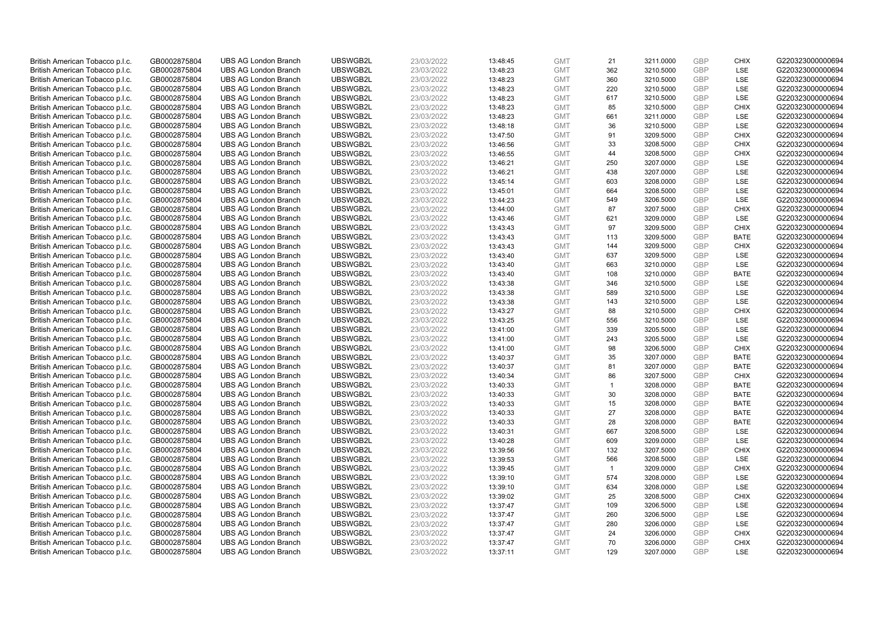| British American Tobacco p.l.c. | GB0002875804 | <b>UBS AG London Branch</b> | UBSWGB2L | 23/03/2022 | 13:48:45 | <b>GMT</b> | 21             | 3211.0000 | <b>GBP</b> | <b>CHIX</b> | G220323000000694 |
|---------------------------------|--------------|-----------------------------|----------|------------|----------|------------|----------------|-----------|------------|-------------|------------------|
| British American Tobacco p.l.c. | GB0002875804 | <b>UBS AG London Branch</b> | UBSWGB2L | 23/03/2022 | 13:48:23 | <b>GMT</b> | 362            | 3210.5000 | GBP        | LSE         | G220323000000694 |
| British American Tobacco p.l.c. | GB0002875804 | <b>UBS AG London Branch</b> | UBSWGB2L | 23/03/2022 | 13:48:23 | <b>GMT</b> | 360            | 3210.5000 | <b>GBP</b> | <b>LSE</b>  | G220323000000694 |
| British American Tobacco p.l.c. | GB0002875804 | <b>UBS AG London Branch</b> | UBSWGB2L | 23/03/2022 | 13:48:23 | <b>GMT</b> | 220            | 3210.5000 | GBP        | LSE         | G220323000000694 |
| British American Tobacco p.l.c. | GB0002875804 | <b>UBS AG London Branch</b> | UBSWGB2L | 23/03/2022 | 13:48:23 | <b>GMT</b> | 617            | 3210.5000 | <b>GBP</b> | <b>LSE</b>  | G220323000000694 |
| British American Tobacco p.l.c. | GB0002875804 | <b>UBS AG London Branch</b> | UBSWGB2L | 23/03/2022 | 13:48:23 | <b>GMT</b> | 85             | 3210.5000 | GBP        | <b>CHIX</b> | G220323000000694 |
| British American Tobacco p.l.c. | GB0002875804 | <b>UBS AG London Branch</b> | UBSWGB2L | 23/03/2022 | 13:48:23 | <b>GMT</b> | 661            | 3211.0000 | <b>GBP</b> | LSE         | G220323000000694 |
| British American Tobacco p.l.c. | GB0002875804 | <b>UBS AG London Branch</b> | UBSWGB2L | 23/03/2022 | 13:48:18 | <b>GMT</b> | 36             | 3210.5000 | <b>GBP</b> | LSE         | G220323000000694 |
| British American Tobacco p.l.c. | GB0002875804 | <b>UBS AG London Branch</b> | UBSWGB2L | 23/03/2022 | 13:47:50 | <b>GMT</b> | 91             | 3209.5000 | <b>GBP</b> | <b>CHIX</b> | G220323000000694 |
| British American Tobacco p.l.c. | GB0002875804 | <b>UBS AG London Branch</b> | UBSWGB2L | 23/03/2022 | 13:46:56 | <b>GMT</b> | 33             | 3208.5000 | GBP        | <b>CHIX</b> | G220323000000694 |
| British American Tobacco p.l.c. | GB0002875804 | <b>UBS AG London Branch</b> | UBSWGB2L | 23/03/2022 | 13:46:55 | <b>GMT</b> | 44             | 3208.5000 | <b>GBP</b> | <b>CHIX</b> | G220323000000694 |
| British American Tobacco p.l.c. | GB0002875804 | <b>UBS AG London Branch</b> | UBSWGB2L | 23/03/2022 | 13:46:21 | <b>GMT</b> | 250            | 3207.0000 | <b>GBP</b> | LSE         | G220323000000694 |
| British American Tobacco p.l.c. | GB0002875804 | <b>UBS AG London Branch</b> | UBSWGB2L | 23/03/2022 | 13:46:21 | <b>GMT</b> | 438            | 3207.0000 | <b>GBP</b> | LSE         | G220323000000694 |
| British American Tobacco p.l.c. | GB0002875804 | <b>UBS AG London Branch</b> | UBSWGB2L | 23/03/2022 | 13:45:14 | <b>GMT</b> | 603            | 3208.0000 | <b>GBP</b> | LSE         | G220323000000694 |
| British American Tobacco p.l.c. | GB0002875804 | <b>UBS AG London Branch</b> | UBSWGB2L | 23/03/2022 | 13:45:01 | <b>GMT</b> | 664            | 3208.5000 | GBP        | LSE         | G220323000000694 |
| British American Tobacco p.l.c. | GB0002875804 | <b>UBS AG London Branch</b> | UBSWGB2L | 23/03/2022 | 13:44:23 | <b>GMT</b> | 549            | 3206.5000 | <b>GBP</b> | LSE         | G220323000000694 |
| British American Tobacco p.l.c. | GB0002875804 | <b>UBS AG London Branch</b> | UBSWGB2L | 23/03/2022 | 13:44:00 | <b>GMT</b> | 87             | 3207.5000 | GBP        | <b>CHIX</b> | G220323000000694 |
| British American Tobacco p.l.c. | GB0002875804 | <b>UBS AG London Branch</b> | UBSWGB2L | 23/03/2022 | 13:43:46 | <b>GMT</b> | 621            | 3209.0000 | GBP        | LSE         | G220323000000694 |
| British American Tobacco p.l.c. | GB0002875804 | <b>UBS AG London Branch</b> | UBSWGB2L | 23/03/2022 | 13:43:43 | <b>GMT</b> | 97             | 3209.5000 | GBP        | <b>CHIX</b> | G220323000000694 |
| British American Tobacco p.l.c. | GB0002875804 | <b>UBS AG London Branch</b> | UBSWGB2L | 23/03/2022 | 13:43:43 | <b>GMT</b> | 113            | 3209.5000 | <b>GBP</b> | <b>BATE</b> | G220323000000694 |
| British American Tobacco p.l.c. | GB0002875804 | <b>UBS AG London Branch</b> | UBSWGB2L | 23/03/2022 | 13:43:43 | <b>GMT</b> | 144            | 3209.5000 | GBP        | <b>CHIX</b> | G220323000000694 |
| British American Tobacco p.l.c. | GB0002875804 | <b>UBS AG London Branch</b> | UBSWGB2L | 23/03/2022 | 13:43:40 | <b>GMT</b> | 637            | 3209.5000 | GBP        | <b>LSE</b>  | G220323000000694 |
| British American Tobacco p.l.c. | GB0002875804 | <b>UBS AG London Branch</b> | UBSWGB2L | 23/03/2022 | 13:43:40 | <b>GMT</b> | 663            | 3210.0000 | GBP        | LSE         | G220323000000694 |
| British American Tobacco p.l.c. | GB0002875804 | <b>UBS AG London Branch</b> | UBSWGB2L | 23/03/2022 | 13:43:40 | <b>GMT</b> | 108            | 3210.0000 | <b>GBP</b> | <b>BATE</b> | G220323000000694 |
| British American Tobacco p.l.c. | GB0002875804 | <b>UBS AG London Branch</b> | UBSWGB2L | 23/03/2022 | 13:43:38 | <b>GMT</b> | 346            | 3210.5000 | <b>GBP</b> | <b>LSE</b>  | G220323000000694 |
| British American Tobacco p.l.c. | GB0002875804 | <b>UBS AG London Branch</b> | UBSWGB2L | 23/03/2022 | 13:43:38 | <b>GMT</b> | 589            | 3210.5000 | <b>GBP</b> | LSE         | G220323000000694 |
| British American Tobacco p.l.c. | GB0002875804 | <b>UBS AG London Branch</b> | UBSWGB2L | 23/03/2022 | 13:43:38 | <b>GMT</b> | 143            | 3210.5000 | <b>GBP</b> | LSE         | G220323000000694 |
| British American Tobacco p.l.c. | GB0002875804 | <b>UBS AG London Branch</b> | UBSWGB2L | 23/03/2022 | 13:43:27 | <b>GMT</b> | 88             | 3210.5000 | <b>GBP</b> | <b>CHIX</b> | G220323000000694 |
| British American Tobacco p.l.c. | GB0002875804 | <b>UBS AG London Branch</b> | UBSWGB2L | 23/03/2022 | 13:43:25 | <b>GMT</b> | 556            | 3210.5000 | GBP        | LSE         | G220323000000694 |
| British American Tobacco p.l.c. | GB0002875804 | <b>UBS AG London Branch</b> | UBSWGB2L | 23/03/2022 | 13:41:00 | <b>GMT</b> | 339            | 3205.5000 | <b>GBP</b> | LSE         | G220323000000694 |
| British American Tobacco p.l.c. | GB0002875804 | <b>UBS AG London Branch</b> | UBSWGB2L | 23/03/2022 | 13:41:00 | <b>GMT</b> | 243            | 3205.5000 | <b>GBP</b> | LSE         | G220323000000694 |
| British American Tobacco p.l.c. | GB0002875804 | <b>UBS AG London Branch</b> | UBSWGB2L | 23/03/2022 | 13:41:00 | <b>GMT</b> | 98             | 3206.5000 | GBP        | <b>CHIX</b> | G220323000000694 |
| British American Tobacco p.l.c. | GB0002875804 | <b>UBS AG London Branch</b> | UBSWGB2L | 23/03/2022 | 13:40:37 | <b>GMT</b> | 35             | 3207.0000 | GBP        | <b>BATE</b> | G220323000000694 |
| British American Tobacco p.l.c. | GB0002875804 | <b>UBS AG London Branch</b> | UBSWGB2L | 23/03/2022 | 13:40:37 | <b>GMT</b> | 81             | 3207.0000 | <b>GBP</b> | <b>BATE</b> | G220323000000694 |
| British American Tobacco p.l.c. | GB0002875804 | <b>UBS AG London Branch</b> | UBSWGB2L | 23/03/2022 | 13:40:34 | <b>GMT</b> | 86             | 3207.5000 | <b>GBP</b> | <b>CHIX</b> | G220323000000694 |
| British American Tobacco p.l.c. | GB0002875804 | <b>UBS AG London Branch</b> | UBSWGB2L | 23/03/2022 | 13:40:33 | <b>GMT</b> | $\mathbf{1}$   | 3208.0000 | <b>GBP</b> | <b>BATE</b> | G220323000000694 |
| British American Tobacco p.l.c. | GB0002875804 | <b>UBS AG London Branch</b> | UBSWGB2L | 23/03/2022 | 13:40:33 | <b>GMT</b> | 30             | 3208.0000 | GBP        | <b>BATE</b> | G220323000000694 |
| British American Tobacco p.l.c. | GB0002875804 | <b>UBS AG London Branch</b> | UBSWGB2L | 23/03/2022 | 13:40:33 | <b>GMT</b> | 15             | 3208.0000 | <b>GBP</b> | <b>BATE</b> | G220323000000694 |
| British American Tobacco p.l.c. | GB0002875804 | <b>UBS AG London Branch</b> | UBSWGB2L | 23/03/2022 | 13:40:33 | <b>GMT</b> | 27             | 3208.0000 | GBP        | <b>BATE</b> | G220323000000694 |
| British American Tobacco p.l.c. | GB0002875804 | <b>UBS AG London Branch</b> | UBSWGB2L | 23/03/2022 | 13:40:33 | <b>GMT</b> | 28             | 3208.0000 | <b>GBP</b> | <b>BATE</b> | G220323000000694 |
| British American Tobacco p.l.c. | GB0002875804 | <b>UBS AG London Branch</b> | UBSWGB2L | 23/03/2022 | 13:40:31 | <b>GMT</b> | 667            | 3208.5000 | GBP        | <b>LSE</b>  | G220323000000694 |
| British American Tobacco p.l.c. | GB0002875804 | <b>UBS AG London Branch</b> | UBSWGB2L | 23/03/2022 | 13:40:28 | <b>GMT</b> | 609            | 3209.0000 | GBP        | LSE         | G220323000000694 |
| British American Tobacco p.l.c. | GB0002875804 | <b>UBS AG London Branch</b> | UBSWGB2L | 23/03/2022 | 13:39:56 | <b>GMT</b> | 132            | 3207.5000 | <b>GBP</b> | <b>CHIX</b> | G220323000000694 |
| British American Tobacco p.l.c. | GB0002875804 | <b>UBS AG London Branch</b> | UBSWGB2L | 23/03/2022 | 13:39:53 | <b>GMT</b> | 566            | 3208.5000 | <b>GBP</b> | LSE         | G220323000000694 |
| British American Tobacco p.l.c. | GB0002875804 | <b>UBS AG London Branch</b> | UBSWGB2L | 23/03/2022 | 13:39:45 | <b>GMT</b> | $\overline{1}$ | 3209.0000 | <b>GBP</b> | <b>CHIX</b> | G220323000000694 |
| British American Tobacco p.l.c. | GB0002875804 | <b>UBS AG London Branch</b> | UBSWGB2L | 23/03/2022 | 13:39:10 | <b>GMT</b> | 574            | 3208.0000 | GBP        | LSE         | G220323000000694 |
| British American Tobacco p.l.c. | GB0002875804 | <b>UBS AG London Branch</b> | UBSWGB2L | 23/03/2022 | 13:39:10 | <b>GMT</b> | 634            | 3208.0000 | <b>GBP</b> | LSE         | G220323000000694 |
| British American Tobacco p.l.c. | GB0002875804 | <b>UBS AG London Branch</b> | UBSWGB2L | 23/03/2022 | 13:39:02 | <b>GMT</b> | 25             | 3208.5000 | <b>GBP</b> | <b>CHIX</b> | G220323000000694 |
| British American Tobacco p.l.c. | GB0002875804 | <b>UBS AG London Branch</b> | UBSWGB2L | 23/03/2022 | 13:37:47 | <b>GMT</b> | 109            | 3206.5000 | <b>GBP</b> | LSE         | G220323000000694 |
| British American Tobacco p.l.c. | GB0002875804 | <b>UBS AG London Branch</b> | UBSWGB2L | 23/03/2022 | 13:37:47 | <b>GMT</b> | 260            | 3206.5000 | GBP        | LSE         | G220323000000694 |
| British American Tobacco p.l.c. | GB0002875804 | <b>UBS AG London Branch</b> | UBSWGB2L | 23/03/2022 | 13:37:47 | <b>GMT</b> | 280            | 3206.0000 | <b>GBP</b> | LSE         | G220323000000694 |
| British American Tobacco p.l.c. | GB0002875804 | <b>UBS AG London Branch</b> | UBSWGB2L | 23/03/2022 | 13:37:47 | <b>GMT</b> | 24             | 3206.0000 | <b>GBP</b> | <b>CHIX</b> | G220323000000694 |
| British American Tobacco p.l.c. | GB0002875804 | <b>UBS AG London Branch</b> | UBSWGB2L | 23/03/2022 | 13:37:47 | <b>GMT</b> | 70             | 3206.0000 | GBP        | <b>CHIX</b> | G220323000000694 |
| British American Tobacco p.l.c. | GB0002875804 | <b>UBS AG London Branch</b> | UBSWGB2L | 23/03/2022 | 13:37:11 | <b>GMT</b> | 129            | 3207.0000 | GBP        | <b>LSE</b>  | G220323000000694 |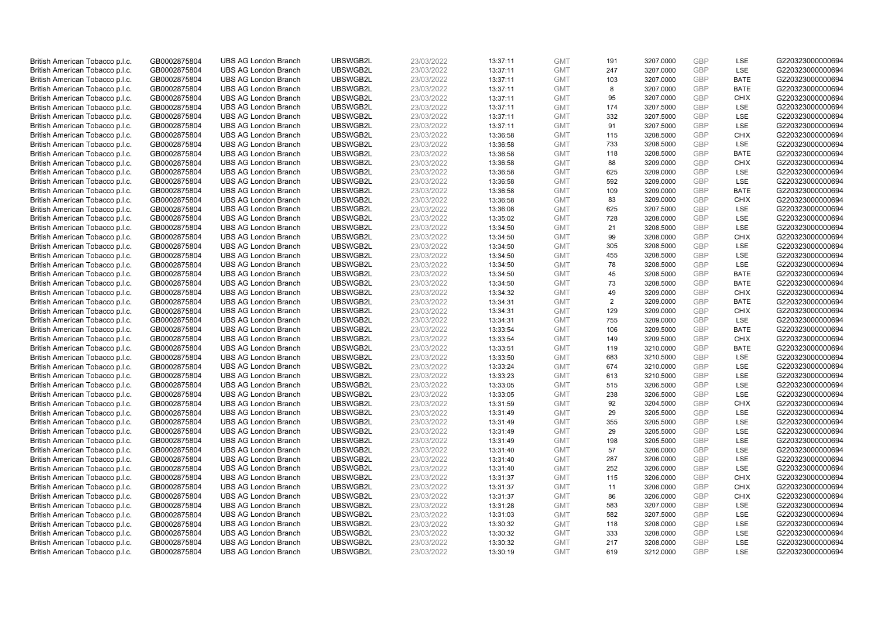| British American Tobacco p.l.c.                                    | GB0002875804 | <b>UBS AG London Branch</b> | UBSWGB2L | 23/03/2022 | 13:37:11 | <b>GMT</b> | 191 | 3207.0000 | <b>GBP</b>        | LSE         | G220323000000694 |
|--------------------------------------------------------------------|--------------|-----------------------------|----------|------------|----------|------------|-----|-----------|-------------------|-------------|------------------|
| British American Tobacco p.l.c.                                    | GB0002875804 | <b>UBS AG London Branch</b> | UBSWGB2L | 23/03/2022 | 13:37:11 | <b>GMT</b> | 247 | 3207.0000 | GBP               | LSE         | G220323000000694 |
| British American Tobacco p.l.c.                                    | GB0002875804 | <b>UBS AG London Branch</b> | UBSWGB2L | 23/03/2022 | 13:37:11 | <b>GMT</b> | 103 | 3207.0000 | GBP               | <b>BATE</b> | G220323000000694 |
| British American Tobacco p.l.c.                                    | GB0002875804 | <b>UBS AG London Branch</b> | UBSWGB2L | 23/03/2022 | 13:37:11 | <b>GMT</b> | 8   | 3207.0000 | <b>GBP</b>        | <b>BATE</b> | G220323000000694 |
| British American Tobacco p.l.c.                                    | GB0002875804 | <b>UBS AG London Branch</b> | UBSWGB2L | 23/03/2022 | 13:37:11 | <b>GMT</b> | 95  | 3207.0000 | <b>GBP</b>        | <b>CHIX</b> | G220323000000694 |
| British American Tobacco p.l.c.                                    | GB0002875804 | <b>UBS AG London Branch</b> | UBSWGB2L | 23/03/2022 | 13:37:11 | <b>GMT</b> | 174 | 3207.5000 | <b>GBP</b>        | <b>LSE</b>  | G220323000000694 |
| British American Tobacco p.l.c.                                    | GB0002875804 | <b>UBS AG London Branch</b> | UBSWGB2L | 23/03/2022 | 13:37:11 | <b>GMT</b> | 332 | 3207.5000 | GBP               | LSE         | G220323000000694 |
| British American Tobacco p.l.c.                                    | GB0002875804 | <b>UBS AG London Branch</b> | UBSWGB2L | 23/03/2022 | 13:37:11 | <b>GMT</b> | 91  | 3207.5000 | <b>GBP</b>        | LSE         | G220323000000694 |
| British American Tobacco p.l.c.                                    | GB0002875804 | <b>UBS AG London Branch</b> | UBSWGB2L | 23/03/2022 | 13:36:58 | <b>GMT</b> | 115 | 3208.5000 | GBP               | <b>CHIX</b> | G220323000000694 |
| British American Tobacco p.l.c.                                    | GB0002875804 | <b>UBS AG London Branch</b> | UBSWGB2L | 23/03/2022 | 13:36:58 | <b>GMT</b> | 733 | 3208.5000 | <b>GBP</b>        | LSE         | G220323000000694 |
| British American Tobacco p.l.c.                                    | GB0002875804 | <b>UBS AG London Branch</b> | UBSWGB2L | 23/03/2022 | 13:36:58 | <b>GMT</b> | 118 | 3208.5000 | GBP               | <b>BATE</b> | G220323000000694 |
| British American Tobacco p.l.c.                                    | GB0002875804 | <b>UBS AG London Branch</b> | UBSWGB2L | 23/03/2022 | 13:36:58 | <b>GMT</b> | 88  | 3209.0000 | <b>GBP</b>        | <b>CHIX</b> | G220323000000694 |
| British American Tobacco p.l.c.                                    | GB0002875804 | <b>UBS AG London Branch</b> | UBSWGB2L | 23/03/2022 | 13:36:58 | <b>GMT</b> | 625 | 3209.0000 | <b>GBP</b>        | LSE         | G220323000000694 |
| British American Tobacco p.l.c.                                    | GB0002875804 | <b>UBS AG London Branch</b> | UBSWGB2L | 23/03/2022 | 13:36:58 | <b>GMT</b> | 592 | 3209.0000 | <b>GBP</b>        | LSE         | G220323000000694 |
| British American Tobacco p.l.c.                                    | GB0002875804 | <b>UBS AG London Branch</b> | UBSWGB2L | 23/03/2022 | 13:36:58 | <b>GMT</b> | 109 | 3209.0000 | GBP               | <b>BATE</b> | G220323000000694 |
| British American Tobacco p.l.c.                                    | GB0002875804 | <b>UBS AG London Branch</b> | UBSWGB2L | 23/03/2022 | 13:36:58 | <b>GMT</b> | 83  | 3209.0000 | GBP               | <b>CHIX</b> | G220323000000694 |
| British American Tobacco p.l.c.                                    | GB0002875804 | <b>UBS AG London Branch</b> | UBSWGB2L | 23/03/2022 | 13:36:08 | <b>GMT</b> | 625 | 3207.5000 | <b>GBP</b>        | LSE         | G220323000000694 |
| British American Tobacco p.l.c.                                    | GB0002875804 | <b>UBS AG London Branch</b> | UBSWGB2L | 23/03/2022 | 13:35:02 | <b>GMT</b> | 728 | 3208.0000 | <b>GBP</b>        | LSE         | G220323000000694 |
| British American Tobacco p.l.c.                                    | GB0002875804 | <b>UBS AG London Branch</b> | UBSWGB2L | 23/03/2022 | 13:34:50 | <b>GMT</b> | 21  | 3208.5000 | GBP               | LSE         | G220323000000694 |
| British American Tobacco p.l.c.                                    | GB0002875804 | <b>UBS AG London Branch</b> | UBSWGB2L | 23/03/2022 | 13:34:50 | <b>GMT</b> | 99  | 3208.0000 | GBP               | <b>CHIX</b> | G220323000000694 |
| British American Tobacco p.l.c.                                    | GB0002875804 | <b>UBS AG London Branch</b> | UBSWGB2L | 23/03/2022 | 13:34:50 | <b>GMT</b> | 305 | 3208.5000 | <b>GBP</b>        | LSE         | G220323000000694 |
| British American Tobacco p.l.c.                                    | GB0002875804 | <b>UBS AG London Branch</b> | UBSWGB2L | 23/03/2022 | 13:34:50 | <b>GMT</b> | 455 | 3208.5000 | GBP               | <b>LSE</b>  | G220323000000694 |
| British American Tobacco p.l.c.                                    | GB0002875804 | <b>UBS AG London Branch</b> | UBSWGB2L | 23/03/2022 | 13:34:50 | <b>GMT</b> | 78  | 3208.5000 | <b>GBP</b>        | LSE         | G220323000000694 |
| British American Tobacco p.l.c.                                    | GB0002875804 | <b>UBS AG London Branch</b> | UBSWGB2L | 23/03/2022 | 13:34:50 | <b>GMT</b> | 45  | 3208.5000 | <b>GBP</b>        | <b>BATE</b> | G220323000000694 |
| British American Tobacco p.l.c.                                    | GB0002875804 | <b>UBS AG London Branch</b> | UBSWGB2L | 23/03/2022 | 13:34:50 | <b>GMT</b> | 73  | 3208.5000 | GBP               | <b>BATE</b> | G220323000000694 |
| British American Tobacco p.l.c.                                    | GB0002875804 | <b>UBS AG London Branch</b> | UBSWGB2L | 23/03/2022 | 13:34:32 | <b>GMT</b> | 49  | 3209.0000 | GBP               | <b>CHIX</b> | G220323000000694 |
| British American Tobacco p.l.c.                                    | GB0002875804 | <b>UBS AG London Branch</b> | UBSWGB2L | 23/03/2022 | 13:34:31 | <b>GMT</b> | 2   | 3209.0000 | <b>GBP</b>        | <b>BATE</b> | G220323000000694 |
| British American Tobacco p.l.c.                                    | GB0002875804 | <b>UBS AG London Branch</b> | UBSWGB2L | 23/03/2022 | 13:34:31 | <b>GMT</b> | 129 | 3209.0000 | GBP               | <b>CHIX</b> | G220323000000694 |
| British American Tobacco p.l.c.                                    | GB0002875804 | <b>UBS AG London Branch</b> | UBSWGB2L | 23/03/2022 | 13:34:31 | <b>GMT</b> | 755 | 3209.0000 | GBP               | LSE         | G220323000000694 |
| British American Tobacco p.l.c.                                    | GB0002875804 | <b>UBS AG London Branch</b> | UBSWGB2L | 23/03/2022 | 13:33:54 | <b>GMT</b> | 106 | 3209.5000 | GBP               | <b>BATE</b> | G220323000000694 |
| British American Tobacco p.l.c.                                    | GB0002875804 | <b>UBS AG London Branch</b> | UBSWGB2L | 23/03/2022 | 13:33:54 | <b>GMT</b> | 149 | 3209.5000 | <b>GBP</b>        | <b>CHIX</b> | G220323000000694 |
| British American Tobacco p.l.c.                                    | GB0002875804 | <b>UBS AG London Branch</b> | UBSWGB2L | 23/03/2022 | 13:33:51 | <b>GMT</b> | 119 | 3210.0000 | GBP               | <b>BATE</b> | G220323000000694 |
| British American Tobacco p.l.c.                                    | GB0002875804 | <b>UBS AG London Branch</b> | UBSWGB2L | 23/03/2022 | 13:33:50 | <b>GMT</b> | 683 | 3210.5000 | GBP               | <b>LSE</b>  | G220323000000694 |
| British American Tobacco p.l.c.                                    | GB0002875804 | <b>UBS AG London Branch</b> | UBSWGB2L | 23/03/2022 | 13:33:24 | <b>GMT</b> | 674 | 3210.0000 | <b>GBP</b>        | LSE         | G220323000000694 |
| British American Tobacco p.l.c.                                    | GB0002875804 | <b>UBS AG London Branch</b> | UBSWGB2L | 23/03/2022 | 13:33:23 | <b>GMT</b> | 613 | 3210.5000 | GBP               | <b>LSE</b>  | G220323000000694 |
| British American Tobacco p.l.c.                                    | GB0002875804 | <b>UBS AG London Branch</b> | UBSWGB2L | 23/03/2022 | 13:33:05 | <b>GMT</b> | 515 | 3206.5000 | <b>GBP</b>        | <b>LSE</b>  | G220323000000694 |
| British American Tobacco p.l.c.                                    | GB0002875804 | <b>UBS AG London Branch</b> | UBSWGB2L | 23/03/2022 | 13:33:05 | <b>GMT</b> | 238 | 3206.5000 | <b>GBP</b>        | LSE         | G220323000000694 |
| British American Tobacco p.l.c.                                    | GB0002875804 | <b>UBS AG London Branch</b> | UBSWGB2L | 23/03/2022 | 13:31:59 | <b>GMT</b> | 92  | 3204.5000 | GBP               | <b>CHIX</b> | G220323000000694 |
| British American Tobacco p.l.c.                                    | GB0002875804 | <b>UBS AG London Branch</b> | UBSWGB2L | 23/03/2022 | 13:31:49 | <b>GMT</b> | 29  | 3205.5000 | GBP               | LSE         | G220323000000694 |
| British American Tobacco p.l.c.                                    | GB0002875804 | <b>UBS AG London Branch</b> | UBSWGB2L | 23/03/2022 | 13:31:49 | <b>GMT</b> | 355 | 3205.5000 | GBP               | <b>LSE</b>  | G220323000000694 |
| British American Tobacco p.l.c.                                    | GB0002875804 | <b>UBS AG London Branch</b> | UBSWGB2L | 23/03/2022 | 13:31:49 | <b>GMT</b> | 29  | 3205.5000 | GBP               | LSE         | G220323000000694 |
| British American Tobacco p.l.c.                                    | GB0002875804 | <b>UBS AG London Branch</b> | UBSWGB2L | 23/03/2022 | 13:31:49 | <b>GMT</b> | 198 | 3205.5000 | GBP               | <b>LSE</b>  | G220323000000694 |
| British American Tobacco p.l.c.                                    | GB0002875804 | <b>UBS AG London Branch</b> | UBSWGB2L | 23/03/2022 | 13:31:40 | <b>GMT</b> | 57  | 3206.0000 | <b>GBP</b>        | LSE         | G220323000000694 |
| British American Tobacco p.l.c.                                    | GB0002875804 | <b>UBS AG London Branch</b> | UBSWGB2L | 23/03/2022 | 13:31:40 | <b>GMT</b> | 287 | 3206.0000 | GBP               | LSE         | G220323000000694 |
| British American Tobacco p.l.c.                                    | GB0002875804 | <b>UBS AG London Branch</b> | UBSWGB2L | 23/03/2022 | 13:31:40 | <b>GMT</b> | 252 | 3206.0000 | GBP               | LSE         | G220323000000694 |
| British American Tobacco p.l.c.                                    | GB0002875804 | <b>UBS AG London Branch</b> | UBSWGB2L | 23/03/2022 | 13:31:37 | <b>GMT</b> | 115 | 3206.0000 | <b>GBP</b>        | <b>CHIX</b> | G220323000000694 |
| British American Tobacco p.l.c.                                    | GB0002875804 | <b>UBS AG London Branch</b> | UBSWGB2L | 23/03/2022 | 13:31:37 | <b>GMT</b> | 11  | 3206.0000 | <b>GBP</b>        | <b>CHIX</b> | G220323000000694 |
|                                                                    | GB0002875804 | <b>UBS AG London Branch</b> | UBSWGB2L | 23/03/2022 | 13:31:37 | <b>GMT</b> | 86  | 3206.0000 | GBP               | <b>CHIX</b> | G220323000000694 |
| British American Tobacco p.l.c.<br>British American Tobacco p.l.c. |              | <b>UBS AG London Branch</b> | UBSWGB2L |            |          | <b>GMT</b> | 583 |           | <b>GBP</b>        | <b>LSE</b>  | G220323000000694 |
|                                                                    | GB0002875804 |                             |          | 23/03/2022 | 13:31:28 |            |     | 3207.0000 |                   |             |                  |
| British American Tobacco p.l.c.                                    | GB0002875804 | <b>UBS AG London Branch</b> | UBSWGB2L | 23/03/2022 | 13:31:03 | <b>GMT</b> | 582 | 3207.5000 | <b>GBP</b><br>GBP | LSE<br>LSE  | G220323000000694 |
| British American Tobacco p.l.c.                                    | GB0002875804 | <b>UBS AG London Branch</b> | UBSWGB2L | 23/03/2022 | 13:30:32 | <b>GMT</b> | 118 | 3208.0000 |                   |             | G220323000000694 |
| British American Tobacco p.l.c.                                    | GB0002875804 | <b>UBS AG London Branch</b> | UBSWGB2L | 23/03/2022 | 13:30:32 | <b>GMT</b> | 333 | 3208.0000 | <b>GBP</b>        | LSE         | G220323000000694 |
| British American Tobacco p.l.c.                                    | GB0002875804 | <b>UBS AG London Branch</b> | UBSWGB2L | 23/03/2022 | 13:30:32 | <b>GMT</b> | 217 | 3208.0000 | GBP               | LSE         | G220323000000694 |
| British American Tobacco p.l.c.                                    | GB0002875804 | <b>UBS AG London Branch</b> | UBSWGB2L | 23/03/2022 | 13:30:19 | <b>GMT</b> | 619 | 3212.0000 | GBP               | <b>LSE</b>  | G220323000000694 |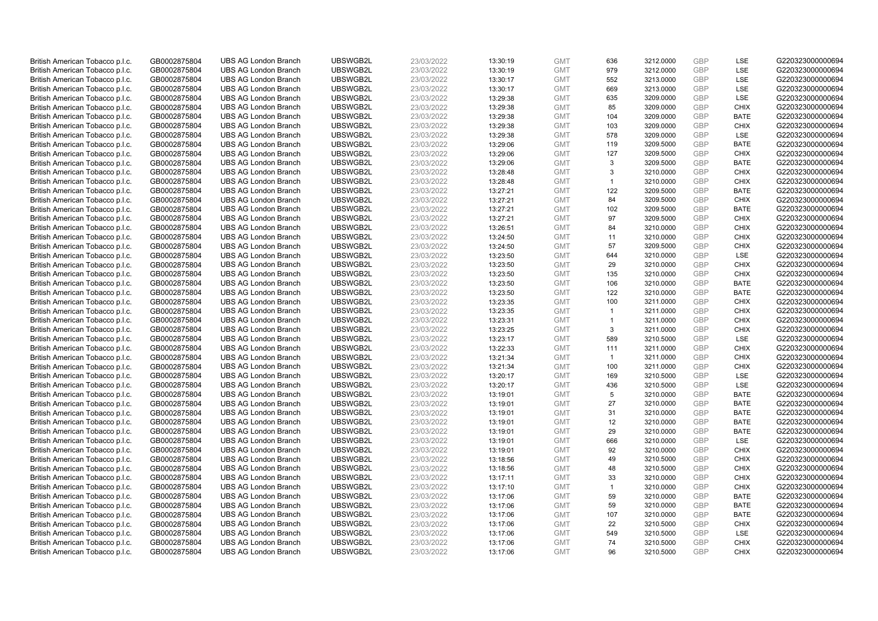| British American Tobacco p.l.c. | GB0002875804                 | <b>UBS AG London Branch</b> | UBSWGB2L             | 23/03/2022               | 13:30:19 | <b>GMT</b>               | 636                  | 3212.0000              | <b>GBP</b> | LSE                        | G220323000000694 |
|---------------------------------|------------------------------|-----------------------------|----------------------|--------------------------|----------|--------------------------|----------------------|------------------------|------------|----------------------------|------------------|
| British American Tobacco p.l.c. | GB0002875804                 | <b>UBS AG London Branch</b> | UBSWGB2L             | 23/03/2022               | 13:30:19 | <b>GMT</b>               | 979                  | 3212.0000              | GBP        | LSE                        | G220323000000694 |
| British American Tobacco p.l.c. | GB0002875804                 | <b>UBS AG London Branch</b> | UBSWGB2L             | 23/03/2022               | 13:30:17 | <b>GMT</b>               | 552                  | 3213.0000              | <b>GBP</b> | <b>LSE</b>                 | G220323000000694 |
| British American Tobacco p.l.c. | GB0002875804                 | <b>UBS AG London Branch</b> | UBSWGB2L             | 23/03/2022               | 13:30:17 | <b>GMT</b>               | 669                  | 3213.0000              | <b>GBP</b> | LSE                        | G220323000000694 |
| British American Tobacco p.l.c. | GB0002875804                 | <b>UBS AG London Branch</b> | UBSWGB2L             | 23/03/2022               | 13:29:38 | <b>GMT</b>               | 635                  | 3209.0000              | <b>GBP</b> | <b>LSE</b>                 | G220323000000694 |
| British American Tobacco p.l.c. | GB0002875804                 | <b>UBS AG London Branch</b> | UBSWGB2L             | 23/03/2022               | 13:29:38 | <b>GMT</b>               | 85                   | 3209.0000              | <b>GBP</b> | <b>CHIX</b>                | G220323000000694 |
| British American Tobacco p.l.c. | GB0002875804                 | <b>UBS AG London Branch</b> | UBSWGB2L             | 23/03/2022               | 13:29:38 | <b>GMT</b>               | 104                  | 3209.0000              | <b>GBP</b> | <b>BATE</b>                | G220323000000694 |
| British American Tobacco p.l.c. | GB0002875804                 | <b>UBS AG London Branch</b> | UBSWGB2L             | 23/03/2022               | 13:29:38 | <b>GMT</b>               | 103                  | 3209.0000              | <b>GBP</b> | <b>CHIX</b>                | G220323000000694 |
| British American Tobacco p.l.c. | GB0002875804                 | <b>UBS AG London Branch</b> | UBSWGB2L             | 23/03/2022               | 13:29:38 | <b>GMT</b>               | 578                  | 3209.0000              | <b>GBP</b> | <b>LSE</b>                 | G220323000000694 |
| British American Tobacco p.l.c. | GB0002875804                 | <b>UBS AG London Branch</b> | UBSWGB2L             | 23/03/2022               | 13:29:06 | <b>GMT</b>               | 119                  | 3209.5000              | <b>GBP</b> | <b>BATE</b>                | G220323000000694 |
| British American Tobacco p.l.c. | GB0002875804                 | <b>UBS AG London Branch</b> | UBSWGB2L             | 23/03/2022               | 13:29:06 | <b>GMT</b>               | 127                  | 3209.5000              | GBP        | <b>CHIX</b>                | G220323000000694 |
| British American Tobacco p.l.c. | GB0002875804                 | <b>UBS AG London Branch</b> | UBSWGB2L             | 23/03/2022               | 13:29:06 | <b>GMT</b>               | 3                    | 3209.5000              | <b>GBP</b> | <b>BATE</b>                | G220323000000694 |
| British American Tobacco p.l.c. | GB0002875804                 | <b>UBS AG London Branch</b> | UBSWGB2L             | 23/03/2022               | 13:28:48 | <b>GMT</b>               | 3                    | 3210.0000              | <b>GBP</b> | <b>CHIX</b>                | G220323000000694 |
| British American Tobacco p.l.c. | GB0002875804                 | <b>UBS AG London Branch</b> | UBSWGB2L             | 23/03/2022               | 13:28:48 | <b>GMT</b>               | $\blacktriangleleft$ | 3210.0000              | <b>GBP</b> | <b>CHIX</b>                | G220323000000694 |
| British American Tobacco p.l.c. | GB0002875804                 | <b>UBS AG London Branch</b> | UBSWGB2L             | 23/03/2022               | 13:27:21 | <b>GMT</b>               | 122                  | 3209.5000              | <b>GBP</b> | <b>BATE</b>                | G220323000000694 |
| British American Tobacco p.l.c. | GB0002875804                 | <b>UBS AG London Branch</b> | UBSWGB2L             | 23/03/2022               | 13:27:21 | <b>GMT</b>               | 84                   | 3209.5000              | <b>GBP</b> | <b>CHIX</b>                | G220323000000694 |
| British American Tobacco p.l.c. | GB0002875804                 | <b>UBS AG London Branch</b> | UBSWGB2L             | 23/03/2022               | 13:27:21 | <b>GMT</b>               | 102                  | 3209.5000              | <b>GBP</b> | <b>BATE</b>                | G220323000000694 |
| British American Tobacco p.l.c. | GB0002875804                 | <b>UBS AG London Branch</b> | UBSWGB2L             | 23/03/2022               | 13:27:21 | <b>GMT</b>               | 97                   | 3209.5000              | GBP        | <b>CHIX</b>                | G220323000000694 |
| British American Tobacco p.l.c. | GB0002875804                 | <b>UBS AG London Branch</b> | UBSWGB2L             | 23/03/2022               | 13:26:51 | <b>GMT</b>               | 84                   | 3210.0000              | <b>GBP</b> | <b>CHIX</b>                | G220323000000694 |
| British American Tobacco p.l.c. | GB0002875804                 | <b>UBS AG London Branch</b> | UBSWGB2L             | 23/03/2022               | 13:24:50 | <b>GMT</b>               | 11                   | 3210.0000              | <b>GBP</b> | <b>CHIX</b>                | G220323000000694 |
| British American Tobacco p.l.c. | GB0002875804                 | <b>UBS AG London Branch</b> | UBSWGB2L             | 23/03/2022               | 13:24:50 | <b>GMT</b>               | 57                   | 3209.5000              | <b>GBP</b> | <b>CHIX</b>                | G220323000000694 |
| British American Tobacco p.l.c. | GB0002875804                 | <b>UBS AG London Branch</b> | UBSWGB2L             | 23/03/2022               | 13:23:50 | <b>GMT</b>               | 644                  | 3210.0000              | GBP        | <b>LSE</b>                 | G220323000000694 |
| British American Tobacco p.l.c. | GB0002875804                 | <b>UBS AG London Branch</b> | UBSWGB2L             | 23/03/2022               | 13:23:50 | <b>GMT</b>               | 29                   | 3210.0000              | <b>GBP</b> | <b>CHIX</b>                | G220323000000694 |
| British American Tobacco p.l.c. | GB0002875804                 | <b>UBS AG London Branch</b> | UBSWGB2L             | 23/03/2022               | 13:23:50 | <b>GMT</b>               | 135                  | 3210.0000              | <b>GBP</b> | <b>CHIX</b>                | G220323000000694 |
| British American Tobacco p.l.c. | GB0002875804                 | <b>UBS AG London Branch</b> | UBSWGB2L             | 23/03/2022               | 13:23:50 | <b>GMT</b>               | 106                  | 3210.0000              | <b>GBP</b> | <b>BATE</b>                | G220323000000694 |
| British American Tobacco p.l.c. | GB0002875804                 | <b>UBS AG London Branch</b> | UBSWGB2L             | 23/03/2022               | 13:23:50 | <b>GMT</b>               | 122                  | 3210.0000              | GBP        | <b>BATE</b>                | G220323000000694 |
| British American Tobacco p.l.c. | GB0002875804                 | <b>UBS AG London Branch</b> | UBSWGB2L             | 23/03/2022               | 13:23:35 | <b>GMT</b>               | 100                  | 3211.0000              | <b>GBP</b> | <b>CHIX</b>                | G220323000000694 |
| British American Tobacco p.l.c. | GB0002875804                 | <b>UBS AG London Branch</b> | UBSWGB2L             | 23/03/2022               | 13:23:35 | <b>GMT</b>               | $\overline{1}$       | 3211.0000              | <b>GBP</b> | <b>CHIX</b>                | G220323000000694 |
| British American Tobacco p.l.c. | GB0002875804                 | <b>UBS AG London Branch</b> | UBSWGB2L             | 23/03/2022               | 13:23:31 | <b>GMT</b>               | $\mathbf{1}$         | 3211.0000              | <b>GBP</b> | <b>CHIX</b>                | G220323000000694 |
| British American Tobacco p.l.c. | GB0002875804                 | <b>UBS AG London Branch</b> | UBSWGB2L             | 23/03/2022               | 13:23:25 | <b>GMT</b>               | 3                    | 3211.0000              | <b>GBP</b> | <b>CHIX</b>                | G220323000000694 |
| British American Tobacco p.l.c. | GB0002875804                 | <b>UBS AG London Branch</b> | UBSWGB2L             | 23/03/2022               | 13:23:17 | <b>GMT</b>               | 589                  | 3210.5000              | <b>GBP</b> | LSE                        | G220323000000694 |
| British American Tobacco p.l.c. | GB0002875804                 | <b>UBS AG London Branch</b> | UBSWGB2L             | 23/03/2022               | 13:22:33 | <b>GMT</b>               | 111                  | 3211.0000              | <b>GBP</b> | <b>CHIX</b>                | G220323000000694 |
| British American Tobacco p.l.c. | GB0002875804                 | <b>UBS AG London Branch</b> | UBSWGB2L             | 23/03/2022               | 13:21:34 | <b>GMT</b>               | $\overline{1}$       | 3211.0000              | <b>GBP</b> | <b>CHIX</b>                | G220323000000694 |
| British American Tobacco p.l.c. | GB0002875804                 | <b>UBS AG London Branch</b> | UBSWGB2L             | 23/03/2022               | 13:21:34 | <b>GMT</b>               | 100                  | 3211.0000              | <b>GBP</b> | <b>CHIX</b>                | G220323000000694 |
| British American Tobacco p.l.c. | GB0002875804                 | <b>UBS AG London Branch</b> | UBSWGB2L             | 23/03/2022               | 13:20:17 | <b>GMT</b>               | 169                  | 3210.5000              | <b>GBP</b> | LSE                        | G220323000000694 |
| British American Tobacco p.l.c. | GB0002875804                 | <b>UBS AG London Branch</b> | UBSWGB2L             | 23/03/2022               | 13:20:17 | <b>GMT</b>               | 436                  | 3210.5000              | <b>GBP</b> | <b>LSE</b>                 | G220323000000694 |
| British American Tobacco p.l.c. | GB0002875804                 | <b>UBS AG London Branch</b> | UBSWGB2L             | 23/03/2022               | 13:19:01 | <b>GMT</b>               | 5                    | 3210.0000              | GBP        | <b>BATE</b>                | G220323000000694 |
| British American Tobacco p.l.c. | GB0002875804                 | <b>UBS AG London Branch</b> | UBSWGB2L             | 23/03/2022               | 13:19:01 | <b>GMT</b>               | 27                   | 3210.0000              | <b>GBP</b> | <b>BATE</b>                | G220323000000694 |
| British American Tobacco p.l.c. | GB0002875804                 | <b>UBS AG London Branch</b> | UBSWGB2L             | 23/03/2022               | 13:19:01 | <b>GMT</b>               | 31                   | 3210.0000              | GBP        | <b>BATE</b>                | G220323000000694 |
| British American Tobacco p.l.c. | GB0002875804                 | <b>UBS AG London Branch</b> | UBSWGB2L             | 23/03/2022               | 13:19:01 | <b>GMT</b>               | 12                   | 3210.0000              | <b>GBP</b> | <b>BATE</b>                | G220323000000694 |
| British American Tobacco p.l.c. | GB0002875804                 | <b>UBS AG London Branch</b> | UBSWGB2L             | 23/03/2022               | 13:19:01 | <b>GMT</b>               | 29                   | 3210.0000              | <b>GBP</b> | <b>BATE</b>                | G220323000000694 |
| British American Tobacco p.l.c. | GB0002875804                 | <b>UBS AG London Branch</b> | UBSWGB2L             | 23/03/2022               | 13:19:01 | <b>GMT</b>               | 666                  | 3210.0000              | GBP        | LSE                        | G220323000000694 |
| British American Tobacco p.l.c. | GB0002875804                 | <b>UBS AG London Branch</b> | UBSWGB2L             | 23/03/2022               | 13:19:01 | <b>GMT</b>               | 92                   | 3210.0000              | <b>GBP</b> | <b>CHIX</b>                | G220323000000694 |
| British American Tobacco p.l.c. | GB0002875804                 | <b>UBS AG London Branch</b> | UBSWGB2L             | 23/03/2022               | 13:18:56 | <b>GMT</b>               | 49                   | 3210.5000              | GBP        | <b>CHIX</b>                | G220323000000694 |
| British American Tobacco p.l.c. | GB0002875804                 | <b>UBS AG London Branch</b> | UBSWGB2L             | 23/03/2022               | 13:18:56 | <b>GMT</b>               | 48                   | 3210.5000              | <b>GBP</b> | <b>CHIX</b>                | G220323000000694 |
| British American Tobacco p.l.c. | GB0002875804                 | <b>UBS AG London Branch</b> | UBSWGB2L             | 23/03/2022               | 13:17:11 | <b>GMT</b>               | 33                   | 3210.0000              | GBP        | <b>CHIX</b>                | G220323000000694 |
| British American Tobacco p.l.c. | GB0002875804                 | <b>UBS AG London Branch</b> | UBSWGB2L             | 23/03/2022               | 13:17:10 | <b>GMT</b>               | $\mathbf{1}$         | 3210.0000              | <b>GBP</b> | <b>CHIX</b>                | G220323000000694 |
| British American Tobacco p.l.c. | GB0002875804                 | <b>UBS AG London Branch</b> | UBSWGB2L             | 23/03/2022               | 13:17:06 | <b>GMT</b>               | 59                   | 3210.0000              | GBP        | <b>BATE</b>                | G220323000000694 |
| British American Tobacco p.l.c. | GB0002875804                 | <b>UBS AG London Branch</b> | UBSWGB2L             | 23/03/2022               | 13:17:06 | <b>GMT</b>               | 59                   | 3210.0000              | <b>GBP</b> | <b>BATE</b>                | G220323000000694 |
| British American Tobacco p.l.c. | GB0002875804                 | <b>UBS AG London Branch</b> | UBSWGB2L             | 23/03/2022               | 13:17:06 | <b>GMT</b>               | 107                  | 3210.0000              | GBP        | <b>BATE</b>                | G220323000000694 |
| British American Tobacco p.l.c. | GB0002875804                 | <b>UBS AG London Branch</b> | UBSWGB2L             | 23/03/2022               | 13:17:06 | <b>GMT</b>               | 22                   | 3210.5000              | GBP        | <b>CHIX</b>                | G220323000000694 |
| British American Tobacco p.l.c. | GB0002875804                 | <b>UBS AG London Branch</b> | UBSWGB2L             | 23/03/2022               | 13:17:06 | <b>GMT</b>               | 549                  | 3210.5000              | <b>GBP</b> | LSE                        | G220323000000694 |
| British American Tobacco p.l.c. | GB0002875804<br>GB0002875804 | <b>UBS AG London Branch</b> | UBSWGB2L<br>UBSWGB2L | 23/03/2022<br>23/03/2022 | 13:17:06 | <b>GMT</b><br><b>GMT</b> | 74<br>96             | 3210.5000<br>3210.5000 | GBP<br>GBP | <b>CHIX</b><br><b>CHIX</b> | G220323000000694 |
| British American Tobacco p.l.c. |                              | <b>UBS AG London Branch</b> |                      |                          | 13:17:06 |                          |                      |                        |            |                            | G220323000000694 |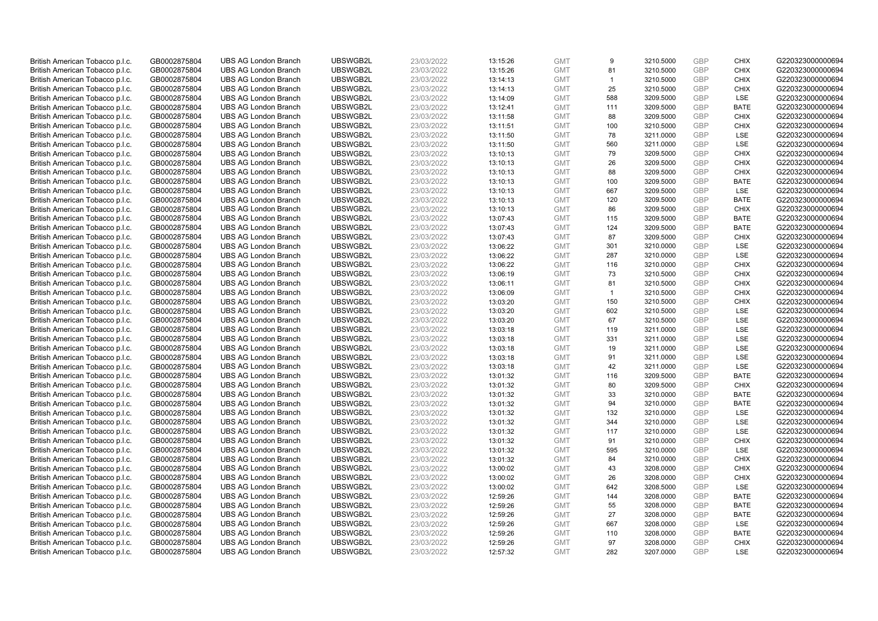| British American Tobacco p.l.c.                                    | GB0002875804                 | <b>UBS AG London Branch</b> | UBSWGB2L             | 23/03/2022               | 13:15:26 | <b>GMT</b> | 9            | 3210.5000 | <b>GBP</b> | <b>CHIX</b> | G220323000000694                     |
|--------------------------------------------------------------------|------------------------------|-----------------------------|----------------------|--------------------------|----------|------------|--------------|-----------|------------|-------------|--------------------------------------|
|                                                                    |                              |                             |                      |                          |          |            |              |           | <b>GBP</b> | <b>CHIX</b> |                                      |
| British American Tobacco p.l.c.                                    | GB0002875804                 | <b>UBS AG London Branch</b> | UBSWGB2L             | 23/03/2022               | 13:15:26 | <b>GMT</b> | 81           | 3210.5000 |            |             | G220323000000694                     |
| British American Tobacco p.l.c.                                    | GB0002875804                 | <b>UBS AG London Branch</b> | UBSWGB2L             | 23/03/2022               | 13:14:13 | <b>GMT</b> | $\mathbf{1}$ | 3210.5000 | <b>GBP</b> | <b>CHIX</b> | G220323000000694                     |
| British American Tobacco p.l.c.                                    | GB0002875804                 | <b>UBS AG London Branch</b> | UBSWGB2L             | 23/03/2022               | 13:14:13 | <b>GMT</b> | 25           | 3210.5000 | <b>GBP</b> | <b>CHIX</b> | G220323000000694                     |
| British American Tobacco p.l.c.                                    | GB0002875804                 | <b>UBS AG London Branch</b> | UBSWGB2L             | 23/03/2022               | 13:14:09 | <b>GMT</b> | 588          | 3209.5000 | <b>GBP</b> | LSE         | G220323000000694                     |
| British American Tobacco p.l.c.                                    | GB0002875804                 | <b>UBS AG London Branch</b> | UBSWGB2L             | 23/03/2022               | 13:12:41 | <b>GMT</b> | 111          | 3209.5000 | <b>GBP</b> | <b>BATE</b> | G220323000000694                     |
| British American Tobacco p.l.c.                                    | GB0002875804                 | <b>UBS AG London Branch</b> | UBSWGB2L             | 23/03/2022               | 13:11:58 | <b>GMT</b> | 88           | 3209.5000 | <b>GBP</b> | <b>CHIX</b> | G220323000000694                     |
| British American Tobacco p.l.c.                                    | GB0002875804                 | <b>UBS AG London Branch</b> | UBSWGB2L             | 23/03/2022               | 13:11:51 | <b>GMT</b> | 100          | 3210.5000 | <b>GBP</b> | <b>CHIX</b> | G220323000000694                     |
| British American Tobacco p.l.c.                                    | GB0002875804                 | <b>UBS AG London Branch</b> | UBSWGB2L             | 23/03/2022               | 13:11:50 | <b>GMT</b> | 78           | 3211.0000 | <b>GBP</b> | LSE         | G220323000000694                     |
| British American Tobacco p.l.c.                                    | GB0002875804                 | <b>UBS AG London Branch</b> | UBSWGB2L             | 23/03/2022               | 13:11:50 | <b>GMT</b> | 560          | 3211.0000 | <b>GBP</b> | LSE         | G220323000000694                     |
| British American Tobacco p.l.c.                                    | GB0002875804                 | <b>UBS AG London Branch</b> | UBSWGB2L             | 23/03/2022               | 13:10:13 | <b>GMT</b> | 79           | 3209.5000 | <b>GBP</b> | <b>CHIX</b> | G220323000000694                     |
| British American Tobacco p.l.c.                                    | GB0002875804                 | <b>UBS AG London Branch</b> | UBSWGB2L             | 23/03/2022               | 13:10:13 | <b>GMT</b> | 26           | 3209.5000 | <b>GBP</b> | <b>CHIX</b> | G220323000000694                     |
| British American Tobacco p.l.c.                                    | GB0002875804                 | <b>UBS AG London Branch</b> | UBSWGB2L             | 23/03/2022               | 13:10:13 | <b>GMT</b> | 88           | 3209.5000 | <b>GBP</b> | <b>CHIX</b> | G220323000000694                     |
| British American Tobacco p.l.c.                                    | GB0002875804                 | <b>UBS AG London Branch</b> | UBSWGB2L             | 23/03/2022               | 13:10:13 | <b>GMT</b> | 100          | 3209.5000 | <b>GBP</b> | <b>BATE</b> | G220323000000694                     |
| British American Tobacco p.l.c.                                    | GB0002875804                 | <b>UBS AG London Branch</b> | UBSWGB2L             | 23/03/2022               | 13:10:13 | <b>GMT</b> | 667          | 3209.5000 | <b>GBP</b> | LSE         | G220323000000694                     |
| British American Tobacco p.l.c.                                    | GB0002875804                 | <b>UBS AG London Branch</b> | UBSWGB2L             | 23/03/2022               | 13:10:13 | <b>GMT</b> | 120          | 3209.5000 | <b>GBP</b> | <b>BATE</b> | G220323000000694                     |
|                                                                    |                              |                             | UBSWGB2L             | 23/03/2022               |          | <b>GMT</b> |              |           | <b>GBP</b> |             |                                      |
| British American Tobacco p.l.c.                                    | GB0002875804                 | <b>UBS AG London Branch</b> |                      |                          | 13:10:13 |            | 86           | 3209.5000 |            | <b>CHIX</b> | G220323000000694                     |
| British American Tobacco p.l.c.                                    | GB0002875804                 | <b>UBS AG London Branch</b> | UBSWGB2L             | 23/03/2022               | 13:07:43 | <b>GMT</b> | 115          | 3209.5000 | <b>GBP</b> | <b>BATE</b> | G220323000000694                     |
| British American Tobacco p.l.c.                                    | GB0002875804                 | <b>UBS AG London Branch</b> | UBSWGB2L             | 23/03/2022               | 13:07:43 | <b>GMT</b> | 124          | 3209.5000 | <b>GBP</b> | <b>BATE</b> | G220323000000694                     |
| British American Tobacco p.l.c.                                    | GB0002875804                 | <b>UBS AG London Branch</b> | UBSWGB2L             | 23/03/2022               | 13:07:43 | <b>GMT</b> | 87           | 3209.5000 | <b>GBP</b> | <b>CHIX</b> | G220323000000694                     |
| British American Tobacco p.l.c.                                    | GB0002875804                 | <b>UBS AG London Branch</b> | UBSWGB2L             | 23/03/2022               | 13:06:22 | <b>GMT</b> | 301          | 3210.0000 | <b>GBP</b> | LSE         | G220323000000694                     |
| British American Tobacco p.l.c.                                    | GB0002875804                 | <b>UBS AG London Branch</b> | UBSWGB2L             | 23/03/2022               | 13:06:22 | <b>GMT</b> | 287          | 3210.0000 | GBP        | LSE         | G220323000000694                     |
| British American Tobacco p.l.c.                                    | GB0002875804                 | <b>UBS AG London Branch</b> | UBSWGB2L             | 23/03/2022               | 13:06:22 | <b>GMT</b> | 116          | 3210.0000 | <b>GBP</b> | <b>CHIX</b> | G220323000000694                     |
| British American Tobacco p.l.c.                                    | GB0002875804                 | <b>UBS AG London Branch</b> | UBSWGB2L             | 23/03/2022               | 13:06:19 | <b>GMT</b> | 73           | 3210.5000 | <b>GBP</b> | <b>CHIX</b> | G220323000000694                     |
| British American Tobacco p.l.c.                                    | GB0002875804                 | <b>UBS AG London Branch</b> | UBSWGB2L             | 23/03/2022               | 13:06:11 | <b>GMT</b> | 81           | 3210.5000 | <b>GBP</b> | <b>CHIX</b> | G220323000000694                     |
| British American Tobacco p.l.c.                                    | GB0002875804                 | <b>UBS AG London Branch</b> | UBSWGB2L             | 23/03/2022               | 13:06:09 | <b>GMT</b> | $\mathbf{1}$ | 3210.5000 | <b>GBP</b> | <b>CHIX</b> | G220323000000694                     |
| British American Tobacco p.l.c.                                    | GB0002875804                 | <b>UBS AG London Branch</b> | UBSWGB2L             | 23/03/2022               | 13:03:20 | <b>GMT</b> | 150          | 3210.5000 | <b>GBP</b> | <b>CHIX</b> | G220323000000694                     |
| British American Tobacco p.l.c.                                    | GB0002875804                 | <b>UBS AG London Branch</b> | UBSWGB2L             | 23/03/2022               | 13:03:20 | <b>GMT</b> | 602          | 3210.5000 | <b>GBP</b> | LSE         | G220323000000694                     |
| British American Tobacco p.l.c.                                    | GB0002875804                 | <b>UBS AG London Branch</b> | UBSWGB2L             | 23/03/2022               | 13:03:20 | <b>GMT</b> | 67           | 3210.5000 | <b>GBP</b> | LSE         | G220323000000694                     |
| British American Tobacco p.l.c.                                    | GB0002875804                 | <b>UBS AG London Branch</b> | UBSWGB2L             | 23/03/2022               | 13:03:18 | <b>GMT</b> | 119          | 3211.0000 | <b>GBP</b> | LSE         | G220323000000694                     |
| British American Tobacco p.l.c.                                    | GB0002875804                 | <b>UBS AG London Branch</b> | UBSWGB2L             | 23/03/2022               | 13:03:18 | <b>GMT</b> | 331          | 3211.0000 | <b>GBP</b> | LSE         | G220323000000694                     |
| British American Tobacco p.l.c.                                    | GB0002875804                 | <b>UBS AG London Branch</b> | UBSWGB2L             | 23/03/2022               | 13:03:18 | <b>GMT</b> | 19           | 3211.0000 | <b>GBP</b> | LSE         | G220323000000694                     |
| British American Tobacco p.l.c.                                    | GB0002875804                 | <b>UBS AG London Branch</b> | UBSWGB2L             | 23/03/2022               | 13:03:18 | <b>GMT</b> | 91           | 3211.0000 | <b>GBP</b> | LSE         | G220323000000694                     |
| British American Tobacco p.l.c.                                    | GB0002875804                 | <b>UBS AG London Branch</b> | UBSWGB2L             | 23/03/2022               | 13:03:18 | <b>GMT</b> | 42           | 3211.0000 | <b>GBP</b> | LSE         | G220323000000694                     |
| British American Tobacco p.l.c.                                    | GB0002875804                 | <b>UBS AG London Branch</b> | UBSWGB2L             | 23/03/2022               | 13:01:32 | <b>GMT</b> | 116          | 3209.5000 | <b>GBP</b> | <b>BATE</b> | G220323000000694                     |
| British American Tobacco p.l.c.                                    | GB0002875804                 | <b>UBS AG London Branch</b> | UBSWGB2L             | 23/03/2022               | 13:01:32 | <b>GMT</b> | 80           | 3209.5000 | <b>GBP</b> | <b>CHIX</b> | G220323000000694                     |
| British American Tobacco p.l.c.                                    | GB0002875804                 | <b>UBS AG London Branch</b> | UBSWGB2L             | 23/03/2022               | 13:01:32 | <b>GMT</b> | 33           | 3210.0000 | <b>GBP</b> | <b>BATE</b> | G220323000000694                     |
| British American Tobacco p.l.c.                                    | GB0002875804                 | <b>UBS AG London Branch</b> | UBSWGB2L             | 23/03/2022               | 13:01:32 | <b>GMT</b> | 94           | 3210.0000 | <b>GBP</b> | <b>BATE</b> | G220323000000694                     |
| British American Tobacco p.l.c.                                    | GB0002875804                 | <b>UBS AG London Branch</b> | UBSWGB2L             | 23/03/2022               | 13:01:32 | <b>GMT</b> | 132          | 3210.0000 | <b>GBP</b> | LSE         | G220323000000694                     |
| British American Tobacco p.l.c.                                    | GB0002875804                 | <b>UBS AG London Branch</b> | UBSWGB2L             | 23/03/2022               | 13:01:32 | <b>GMT</b> | 344          | 3210.0000 | <b>GBP</b> | LSE         | G220323000000694                     |
| British American Tobacco p.l.c.                                    | GB0002875804                 | <b>UBS AG London Branch</b> | UBSWGB2L             | 23/03/2022               | 13:01:32 | <b>GMT</b> | 117          | 3210.0000 | <b>GBP</b> | LSE         | G220323000000694                     |
|                                                                    |                              | <b>UBS AG London Branch</b> | UBSWGB2L             |                          | 13:01:32 | <b>GMT</b> | 91           | 3210.0000 | <b>GBP</b> | <b>CHIX</b> | G220323000000694                     |
| British American Tobacco p.l.c.<br>British American Tobacco p.l.c. | GB0002875804<br>GB0002875804 | <b>UBS AG London Branch</b> | UBSWGB2L             | 23/03/2022<br>23/03/2022 | 13:01:32 | <b>GMT</b> | 595          | 3210.0000 | <b>GBP</b> | LSE         | G220323000000694                     |
|                                                                    |                              |                             |                      |                          |          |            | 84           |           | <b>GBP</b> | <b>CHIX</b> |                                      |
| British American Tobacco p.l.c.                                    | GB0002875804                 | <b>UBS AG London Branch</b> | UBSWGB2L<br>UBSWGB2L | 23/03/2022               | 13:01:32 | <b>GMT</b> |              | 3210.0000 | <b>GBP</b> | <b>CHIX</b> | G220323000000694<br>G220323000000694 |
| British American Tobacco p.l.c.                                    | GB0002875804                 | <b>UBS AG London Branch</b> |                      | 23/03/2022               | 13:00:02 | <b>GMT</b> | 43           | 3208.0000 |            |             |                                      |
| British American Tobacco p.l.c.                                    | GB0002875804                 | <b>UBS AG London Branch</b> | UBSWGB2L             | 23/03/2022               | 13:00:02 | <b>GMT</b> | 26           | 3208.0000 | <b>GBP</b> | <b>CHIX</b> | G220323000000694                     |
| British American Tobacco p.l.c.                                    | GB0002875804                 | <b>UBS AG London Branch</b> | UBSWGB2L             | 23/03/2022               | 13:00:02 | <b>GMT</b> | 642          | 3208.5000 | <b>GBP</b> | LSE         | G220323000000694                     |
| British American Tobacco p.l.c.                                    | GB0002875804                 | <b>UBS AG London Branch</b> | UBSWGB2L             | 23/03/2022               | 12:59:26 | <b>GMT</b> | 144          | 3208.0000 | <b>GBP</b> | <b>BATE</b> | G220323000000694                     |
| British American Tobacco p.l.c.                                    | GB0002875804                 | <b>UBS AG London Branch</b> | UBSWGB2L             | 23/03/2022               | 12:59:26 | <b>GMT</b> | 55           | 3208.0000 | <b>GBP</b> | <b>BATE</b> | G220323000000694                     |
| British American Tobacco p.l.c.                                    | GB0002875804                 | <b>UBS AG London Branch</b> | UBSWGB2L             | 23/03/2022               | 12:59:26 | <b>GMT</b> | 27           | 3208.0000 | <b>GBP</b> | <b>BATE</b> | G220323000000694                     |
| British American Tobacco p.l.c.                                    | GB0002875804                 | <b>UBS AG London Branch</b> | UBSWGB2L             | 23/03/2022               | 12:59:26 | <b>GMT</b> | 667          | 3208.0000 | <b>GBP</b> | LSE         | G220323000000694                     |
| British American Tobacco p.l.c.                                    | GB0002875804                 | <b>UBS AG London Branch</b> | UBSWGB2L             | 23/03/2022               | 12:59:26 | <b>GMT</b> | 110          | 3208.0000 | <b>GBP</b> | <b>BATE</b> | G220323000000694                     |
| British American Tobacco p.l.c.                                    | GB0002875804                 | <b>UBS AG London Branch</b> | UBSWGB2L             | 23/03/2022               | 12:59:26 | <b>GMT</b> | 97           | 3208.0000 | <b>GBP</b> | <b>CHIX</b> | G220323000000694                     |
| British American Tobacco p.l.c.                                    | GB0002875804                 | <b>UBS AG London Branch</b> | UBSWGB2L             | 23/03/2022               | 12:57:32 | <b>GMT</b> | 282          | 3207.0000 | <b>GBP</b> | LSE         | G220323000000694                     |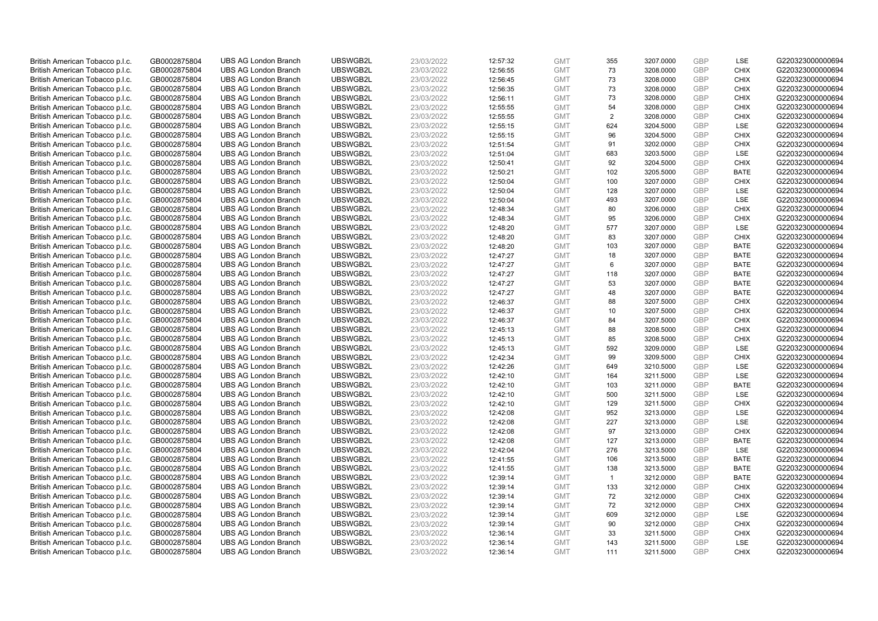| British American Tobacco p.l.c. | GB0002875804                 | <b>UBS AG London Branch</b> | UBSWGB2L             | 23/03/2022               | 12:57:32 | <b>GMT</b>               | 355            | 3207.0000              | <b>GBP</b> | LSE                | G220323000000694 |
|---------------------------------|------------------------------|-----------------------------|----------------------|--------------------------|----------|--------------------------|----------------|------------------------|------------|--------------------|------------------|
| British American Tobacco p.l.c. | GB0002875804                 | <b>UBS AG London Branch</b> | UBSWGB2L             | 23/03/2022               | 12:56:55 | <b>GMT</b>               | 73             | 3208.0000              | <b>GBP</b> | <b>CHIX</b>        | G220323000000694 |
| British American Tobacco p.l.c. | GB0002875804                 | <b>UBS AG London Branch</b> | UBSWGB2L             | 23/03/2022               | 12:56:45 | <b>GMT</b>               | 73             | 3208.0000              | <b>GBP</b> | <b>CHIX</b>        | G220323000000694 |
| British American Tobacco p.l.c. | GB0002875804                 | <b>UBS AG London Branch</b> | UBSWGB2L             | 23/03/2022               | 12:56:35 | <b>GMT</b>               | 73             | 3208.0000              | <b>GBP</b> | <b>CHIX</b>        | G220323000000694 |
| British American Tobacco p.l.c. | GB0002875804                 | <b>UBS AG London Branch</b> | UBSWGB2L             | 23/03/2022               | 12:56:11 | <b>GMT</b>               | 73             | 3208.0000              | <b>GBP</b> | <b>CHIX</b>        | G220323000000694 |
| British American Tobacco p.l.c. | GB0002875804                 | <b>UBS AG London Branch</b> | UBSWGB2L             | 23/03/2022               | 12:55:55 | <b>GMT</b>               | 54             | 3208.0000              | <b>GBP</b> | <b>CHIX</b>        | G220323000000694 |
| British American Tobacco p.l.c. | GB0002875804                 | <b>UBS AG London Branch</b> | UBSWGB2L             | 23/03/2022               | 12:55:55 | <b>GMT</b>               | 2              | 3208.0000              | <b>GBP</b> | <b>CHIX</b>        | G220323000000694 |
| British American Tobacco p.l.c. | GB0002875804                 | <b>UBS AG London Branch</b> | UBSWGB2L             | 23/03/2022               | 12:55:15 | <b>GMT</b>               | 624            | 3204.5000              | <b>GBP</b> | LSE                | G220323000000694 |
| British American Tobacco p.l.c. | GB0002875804                 | <b>UBS AG London Branch</b> | UBSWGB2L             | 23/03/2022               | 12:55:15 | <b>GMT</b>               | 96             | 3204.5000              | <b>GBP</b> | <b>CHIX</b>        | G220323000000694 |
| British American Tobacco p.l.c. | GB0002875804                 | <b>UBS AG London Branch</b> | UBSWGB2L             | 23/03/2022               | 12:51:54 | <b>GMT</b>               | 91             | 3202.0000              | <b>GBP</b> | <b>CHIX</b>        | G220323000000694 |
| British American Tobacco p.l.c. | GB0002875804                 | <b>UBS AG London Branch</b> | UBSWGB2L             | 23/03/2022               | 12:51:04 | <b>GMT</b>               | 683            | 3203.5000              | <b>GBP</b> | LSE                | G220323000000694 |
| British American Tobacco p.l.c. | GB0002875804                 | <b>UBS AG London Branch</b> | UBSWGB2L             | 23/03/2022               | 12:50:41 | <b>GMT</b>               | 92             | 3204.5000              | <b>GBP</b> | <b>CHIX</b>        | G220323000000694 |
| British American Tobacco p.l.c. | GB0002875804                 | <b>UBS AG London Branch</b> | UBSWGB2L             | 23/03/2022               | 12:50:21 | <b>GMT</b>               | 102            | 3205.5000              | GBP        | <b>BATE</b>        | G220323000000694 |
| British American Tobacco p.l.c. | GB0002875804                 | <b>UBS AG London Branch</b> | UBSWGB2L             | 23/03/2022               | 12:50:04 | <b>GMT</b>               | 100            | 3207.0000              | <b>GBP</b> | <b>CHIX</b>        | G220323000000694 |
| British American Tobacco p.l.c. | GB0002875804                 | <b>UBS AG London Branch</b> | UBSWGB2L             | 23/03/2022               | 12:50:04 | <b>GMT</b>               | 128            | 3207.0000              | GBP        | LSE                | G220323000000694 |
| British American Tobacco p.l.c. | GB0002875804                 | <b>UBS AG London Branch</b> | UBSWGB2L             | 23/03/2022               | 12:50:04 | <b>GMT</b>               | 493            | 3207.0000              | <b>GBP</b> | LSE                | G220323000000694 |
| British American Tobacco p.l.c. | GB0002875804                 | <b>UBS AG London Branch</b> | UBSWGB2L             | 23/03/2022               | 12:48:34 | <b>GMT</b>               | 80             | 3206.0000              | GBP        | <b>CHIX</b>        | G220323000000694 |
| British American Tobacco p.l.c. | GB0002875804                 | <b>UBS AG London Branch</b> | UBSWGB2L             | 23/03/2022               | 12:48:34 | <b>GMT</b>               | 95             | 3206.0000              | GBP        | <b>CHIX</b>        | G220323000000694 |
| British American Tobacco p.l.c. | GB0002875804                 | <b>UBS AG London Branch</b> | UBSWGB2L             | 23/03/2022               | 12:48:20 | <b>GMT</b>               | 577            | 3207.0000              | GBP        | <b>LSE</b>         | G220323000000694 |
| British American Tobacco p.l.c. | GB0002875804                 | <b>UBS AG London Branch</b> | UBSWGB2L             | 23/03/2022               | 12:48:20 | <b>GMT</b>               | 83             | 3207.0000              | <b>GBP</b> | <b>CHIX</b>        | G220323000000694 |
| British American Tobacco p.l.c. | GB0002875804                 | <b>UBS AG London Branch</b> | UBSWGB2L             | 23/03/2022               | 12:48:20 | <b>GMT</b>               | 103            | 3207.0000              | GBP        | <b>BATE</b>        | G220323000000694 |
| British American Tobacco p.l.c. | GB0002875804                 | <b>UBS AG London Branch</b> | UBSWGB2L             | 23/03/2022               | 12:47:27 | <b>GMT</b>               | 18             | 3207.0000              | GBP        | <b>BATE</b>        | G220323000000694 |
| British American Tobacco p.l.c. | GB0002875804                 | <b>UBS AG London Branch</b> | UBSWGB2L             | 23/03/2022               | 12:47:27 | <b>GMT</b>               | 6              | 3207.0000              | GBP        | <b>BATE</b>        | G220323000000694 |
| British American Tobacco p.l.c. | GB0002875804                 | <b>UBS AG London Branch</b> | UBSWGB2L             | 23/03/2022               | 12:47:27 | <b>GMT</b>               | 118            | 3207.0000              | <b>GBP</b> | <b>BATE</b>        | G220323000000694 |
| British American Tobacco p.l.c. | GB0002875804                 | <b>UBS AG London Branch</b> | UBSWGB2L             | 23/03/2022               | 12:47:27 | <b>GMT</b>               | 53             | 3207.0000              | <b>GBP</b> | <b>BATE</b>        | G220323000000694 |
| British American Tobacco p.l.c. | GB0002875804                 | <b>UBS AG London Branch</b> | UBSWGB2L             | 23/03/2022               | 12:47:27 | <b>GMT</b>               | 48             | 3207.0000              | GBP        | <b>BATE</b>        | G220323000000694 |
| British American Tobacco p.l.c. | GB0002875804                 | <b>UBS AG London Branch</b> | UBSWGB2L             | 23/03/2022               | 12:46:37 | <b>GMT</b>               | 88             | 3207.5000              | <b>GBP</b> | <b>CHIX</b>        | G220323000000694 |
| British American Tobacco p.l.c. | GB0002875804                 | <b>UBS AG London Branch</b> | UBSWGB2L             | 23/03/2022               | 12:46:37 | <b>GMT</b>               | 10             | 3207.5000              | <b>GBP</b> | <b>CHIX</b>        | G220323000000694 |
| British American Tobacco p.l.c. | GB0002875804                 | <b>UBS AG London Branch</b> | UBSWGB2L             | 23/03/2022               | 12:46:37 | <b>GMT</b>               | 84             | 3207.5000              | GBP        | <b>CHIX</b>        | G220323000000694 |
| British American Tobacco p.l.c. | GB0002875804                 | <b>UBS AG London Branch</b> | UBSWGB2L             | 23/03/2022               | 12:45:13 | <b>GMT</b>               | 88             | 3208.5000              | GBP        | <b>CHIX</b>        | G220323000000694 |
| British American Tobacco p.l.c. | GB0002875804                 | <b>UBS AG London Branch</b> | UBSWGB2L             | 23/03/2022               | 12:45:13 | <b>GMT</b>               | 85             | 3208.5000              | <b>GBP</b> | <b>CHIX</b>        | G220323000000694 |
| British American Tobacco p.l.c. | GB0002875804                 | <b>UBS AG London Branch</b> | UBSWGB2L             | 23/03/2022               | 12:45:13 | <b>GMT</b>               | 592            | 3209.0000              | <b>GBP</b> | <b>LSE</b>         | G220323000000694 |
| British American Tobacco p.l.c. | GB0002875804                 | <b>UBS AG London Branch</b> | UBSWGB2L             | 23/03/2022               | 12:42:34 | <b>GMT</b>               | 99             | 3209.5000              | GBP        | <b>CHIX</b>        | G220323000000694 |
| British American Tobacco p.l.c. | GB0002875804                 | <b>UBS AG London Branch</b> | UBSWGB2L             | 23/03/2022               | 12:42:26 | <b>GMT</b>               | 649            | 3210.5000              | <b>GBP</b> | <b>LSE</b>         | G220323000000694 |
| British American Tobacco p.l.c. | GB0002875804                 | <b>UBS AG London Branch</b> | UBSWGB2L             | 23/03/2022               | 12:42:10 | <b>GMT</b>               | 164            | 3211.5000              | <b>GBP</b> | <b>LSE</b>         | G220323000000694 |
| British American Tobacco p.l.c. | GB0002875804                 | <b>UBS AG London Branch</b> | UBSWGB2L             | 23/03/2022               | 12:42:10 | <b>GMT</b>               | 103            | 3211.0000              | <b>GBP</b> | <b>BATE</b>        | G220323000000694 |
| British American Tobacco p.l.c. | GB0002875804                 | <b>UBS AG London Branch</b> | UBSWGB2L             | 23/03/2022               | 12:42:10 | <b>GMT</b>               | 500            | 3211.5000              | GBP        | <b>LSE</b>         | G220323000000694 |
| British American Tobacco p.l.c. | GB0002875804                 | <b>UBS AG London Branch</b> | UBSWGB2L             | 23/03/2022               | 12:42:10 | <b>GMT</b>               | 129            | 3211.5000              | <b>GBP</b> | <b>CHIX</b>        | G220323000000694 |
| British American Tobacco p.l.c. | GB0002875804                 | <b>UBS AG London Branch</b> | UBSWGB2L             | 23/03/2022               | 12:42:08 | <b>GMT</b>               | 952            | 3213.0000              | <b>GBP</b> | LSE                | G220323000000694 |
| British American Tobacco p.l.c. | GB0002875804                 | <b>UBS AG London Branch</b> | UBSWGB2L             | 23/03/2022               | 12:42:08 | <b>GMT</b>               | 227            | 3213.0000              | <b>GBP</b> | LSE                | G220323000000694 |
| British American Tobacco p.l.c. | GB0002875804                 | <b>UBS AG London Branch</b> | UBSWGB2L             | 23/03/2022               | 12:42:08 | <b>GMT</b>               | 97             | 3213.0000              | <b>GBP</b> | <b>CHIX</b>        | G220323000000694 |
| British American Tobacco p.l.c. | GB0002875804                 | <b>UBS AG London Branch</b> | UBSWGB2L             | 23/03/2022               | 12:42:08 | <b>GMT</b>               | 127            | 3213.0000              | GBP        | <b>BATE</b>        | G220323000000694 |
| British American Tobacco p.l.c. | GB0002875804                 | <b>UBS AG London Branch</b> | UBSWGB2L             | 23/03/2022               | 12:42:04 | <b>GMT</b>               | 276            | 3213.5000              | <b>GBP</b> | <b>LSE</b>         | G220323000000694 |
| British American Tobacco p.l.c. | GB0002875804                 | <b>UBS AG London Branch</b> | UBSWGB2L             | 23/03/2022               | 12:41:55 | <b>GMT</b>               | 106            | 3213.5000              | GBP        | <b>BATE</b>        | G220323000000694 |
| British American Tobacco p.l.c. | GB0002875804                 | <b>UBS AG London Branch</b> | UBSWGB2L             | 23/03/2022               | 12:41:55 | <b>GMT</b>               | 138            | 3213.5000              | <b>GBP</b> | <b>BATE</b>        | G220323000000694 |
| British American Tobacco p.l.c. | GB0002875804                 | <b>UBS AG London Branch</b> | UBSWGB2L             | 23/03/2022               | 12:39:14 | <b>GMT</b>               | $\overline{1}$ | 3212.0000              | GBP        | <b>BATE</b>        | G220323000000694 |
| British American Tobacco p.l.c. | GB0002875804                 | <b>UBS AG London Branch</b> | UBSWGB2L             | 23/03/2022               | 12:39:14 | <b>GMT</b>               | 133            | 3212.0000              | <b>GBP</b> | <b>CHIX</b>        | G220323000000694 |
| British American Tobacco p.l.c. | GB0002875804                 | <b>UBS AG London Branch</b> | UBSWGB2L             | 23/03/2022               | 12:39:14 | <b>GMT</b>               | 72             | 3212.0000              | GBP        | <b>CHIX</b>        | G220323000000694 |
| British American Tobacco p.l.c. | GB0002875804                 | <b>UBS AG London Branch</b> | UBSWGB2L             | 23/03/2022               | 12:39:14 | <b>GMT</b>               | 72             | 3212.0000              | <b>GBP</b> | <b>CHIX</b>        | G220323000000694 |
| British American Tobacco p.l.c. | GB0002875804                 | <b>UBS AG London Branch</b> | UBSWGB2L             | 23/03/2022               | 12:39:14 | <b>GMT</b>               | 609            | 3212.0000              | GBP        | <b>LSE</b>         | G220323000000694 |
| British American Tobacco p.l.c. | GB0002875804                 | <b>UBS AG London Branch</b> | UBSWGB2L             | 23/03/2022               | 12:39:14 | <b>GMT</b>               | 90             | 3212.0000              | <b>GBP</b> | <b>CHIX</b>        | G220323000000694 |
| British American Tobacco p.l.c. | GB0002875804                 | <b>UBS AG London Branch</b> | UBSWGB2L             | 23/03/2022               | 12:36:14 | <b>GMT</b>               | 33             | 3211.5000              | <b>GBP</b> | <b>CHIX</b>        | G220323000000694 |
| British American Tobacco p.l.c. | GB0002875804<br>GB0002875804 | <b>UBS AG London Branch</b> | UBSWGB2L<br>UBSWGB2L | 23/03/2022<br>23/03/2022 | 12:36:14 | <b>GMT</b><br><b>GMT</b> | 143<br>111     | 3211.5000<br>3211.5000 | GBP<br>GBP | LSE<br><b>CHIX</b> | G220323000000694 |
| British American Tobacco p.l.c. |                              | <b>UBS AG London Branch</b> |                      |                          | 12:36:14 |                          |                |                        |            |                    | G220323000000694 |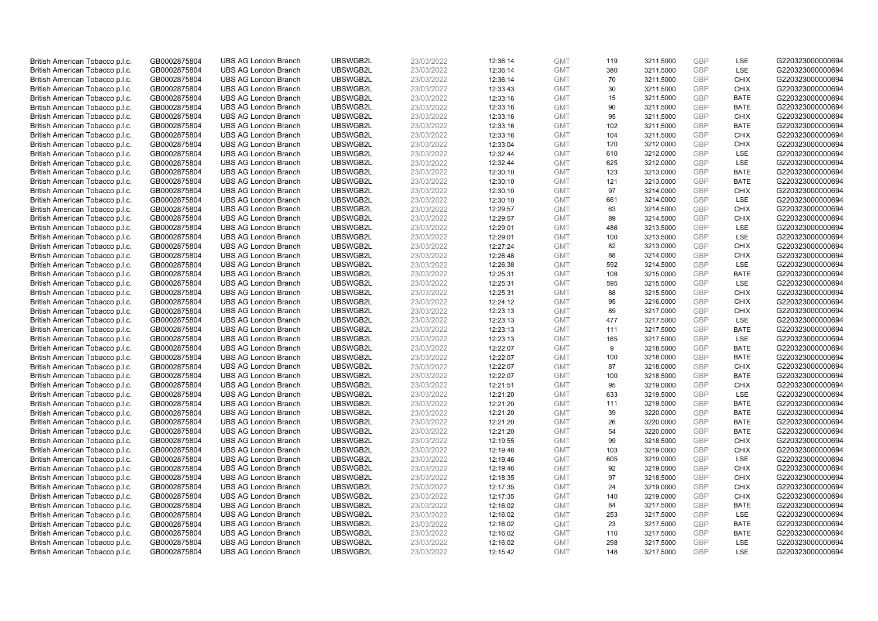| British American Tobacco p.l.c. | GB0002875804 | <b>UBS AG London Branch</b> | UBSWGB2L             | 23/03/2022 | 12:36:14 | <b>GMT</b> | 119 | 3211.5000 | <b>GBP</b> | LSE         | G220323000000694                     |
|---------------------------------|--------------|-----------------------------|----------------------|------------|----------|------------|-----|-----------|------------|-------------|--------------------------------------|
| British American Tobacco p.l.c. | GB0002875804 | <b>UBS AG London Branch</b> | UBSWGB2L             | 23/03/2022 | 12:36:14 | <b>GMT</b> | 380 | 3211.5000 | <b>GBP</b> | LSE         | G220323000000694                     |
| British American Tobacco p.l.c. | GB0002875804 | <b>UBS AG London Branch</b> | UBSWGB2L             | 23/03/2022 | 12:36:14 | <b>GMT</b> | 70  | 3211.5000 | <b>GBP</b> | <b>CHIX</b> | G220323000000694                     |
| British American Tobacco p.l.c. | GB0002875804 | <b>UBS AG London Branch</b> | UBSWGB2L             | 23/03/2022 | 12:33:43 | <b>GMT</b> | 30  | 3211.5000 | <b>GBP</b> | <b>CHIX</b> | G220323000000694                     |
| British American Tobacco p.l.c. | GB0002875804 | <b>UBS AG London Branch</b> | UBSWGB2L             | 23/03/2022 | 12:33:16 | <b>GMT</b> | 15  | 3211.5000 | <b>GBP</b> | <b>BATE</b> | G220323000000694                     |
| British American Tobacco p.l.c. | GB0002875804 | <b>UBS AG London Branch</b> | UBSWGB2L             | 23/03/2022 | 12:33:16 | <b>GMT</b> | 90  | 3211.5000 | <b>GBP</b> | BATE        | G220323000000694                     |
| British American Tobacco p.l.c. | GB0002875804 | <b>UBS AG London Branch</b> | UBSWGB2L             | 23/03/2022 | 12:33:16 | <b>GMT</b> | 95  | 3211.5000 | <b>GBP</b> | <b>CHIX</b> | G220323000000694                     |
| British American Tobacco p.l.c. | GB0002875804 | <b>UBS AG London Branch</b> | UBSWGB2L             | 23/03/2022 | 12:33:16 | <b>GMT</b> | 102 | 3211.5000 | <b>GBP</b> | <b>BATE</b> | G220323000000694                     |
| British American Tobacco p.l.c. | GB0002875804 | <b>UBS AG London Branch</b> | UBSWGB2L             | 23/03/2022 | 12:33:16 | <b>GMT</b> | 104 | 3211.5000 | <b>GBP</b> | <b>CHIX</b> | G220323000000694                     |
| British American Tobacco p.l.c. | GB0002875804 | <b>UBS AG London Branch</b> | UBSWGB2L             | 23/03/2022 | 12:33:04 | <b>GMT</b> | 120 | 3212.0000 | <b>GBP</b> | <b>CHIX</b> | G220323000000694                     |
| British American Tobacco p.l.c. | GB0002875804 | <b>UBS AG London Branch</b> | UBSWGB2L             | 23/03/2022 | 12:32:44 | <b>GMT</b> | 610 | 3212.0000 | <b>GBP</b> | LSE         | G220323000000694                     |
| British American Tobacco p.l.c. | GB0002875804 | <b>UBS AG London Branch</b> | UBSWGB2L             | 23/03/2022 | 12:32:44 | <b>GMT</b> | 625 | 3212.0000 | <b>GBP</b> | LSE         | G220323000000694                     |
| British American Tobacco p.l.c. | GB0002875804 | <b>UBS AG London Branch</b> | UBSWGB2L             | 23/03/2022 | 12:30:10 | <b>GMT</b> | 123 | 3213.0000 | <b>GBP</b> | <b>BATE</b> | G220323000000694                     |
| British American Tobacco p.l.c. | GB0002875804 | <b>UBS AG London Branch</b> | UBSWGB2L             | 23/03/2022 | 12:30:10 | <b>GMT</b> | 121 | 3213.0000 | <b>GBP</b> | <b>BATE</b> | G220323000000694                     |
| British American Tobacco p.l.c. | GB0002875804 | <b>UBS AG London Branch</b> | UBSWGB2L             | 23/03/2022 | 12:30:10 | <b>GMT</b> | 97  | 3214.0000 | <b>GBP</b> | <b>CHIX</b> | G220323000000694                     |
|                                 |              |                             | UBSWGB2L             |            |          |            |     |           |            |             |                                      |
| British American Tobacco p.l.c. | GB0002875804 | <b>UBS AG London Branch</b> |                      | 23/03/2022 | 12:30:10 | <b>GMT</b> | 661 | 3214.0000 | <b>GBP</b> | LSE         | G220323000000694                     |
| British American Tobacco p.l.c. | GB0002875804 | <b>UBS AG London Branch</b> | UBSWGB2L             | 23/03/2022 | 12:29:57 | <b>GMT</b> | 63  | 3214.5000 | <b>GBP</b> | <b>CHIX</b> | G220323000000694                     |
| British American Tobacco p.l.c. | GB0002875804 | <b>UBS AG London Branch</b> | UBSWGB2L             | 23/03/2022 | 12:29:57 | <b>GMT</b> | 89  | 3214.5000 | <b>GBP</b> | <b>CHIX</b> | G220323000000694                     |
| British American Tobacco p.l.c. | GB0002875804 | <b>UBS AG London Branch</b> | UBSWGB2L             | 23/03/2022 | 12:29:01 | <b>GMT</b> | 486 | 3213.5000 | <b>GBP</b> | <b>LSE</b>  | G220323000000694                     |
| British American Tobacco p.l.c. | GB0002875804 | <b>UBS AG London Branch</b> | UBSWGB2L             | 23/03/2022 | 12:29:01 | <b>GMT</b> | 100 | 3213.5000 | <b>GBP</b> | LSE         | G220323000000694                     |
| British American Tobacco p.l.c. | GB0002875804 | <b>UBS AG London Branch</b> | UBSWGB2L             | 23/03/2022 | 12:27:24 | <b>GMT</b> | 82  | 3213.0000 | <b>GBP</b> | <b>CHIX</b> | G220323000000694                     |
| British American Tobacco p.l.c. | GB0002875804 | <b>UBS AG London Branch</b> | UBSWGB2L             | 23/03/2022 | 12:26:48 | <b>GMT</b> | 88  | 3214.0000 | <b>GBP</b> | <b>CHIX</b> | G220323000000694                     |
| British American Tobacco p.l.c. | GB0002875804 | <b>UBS AG London Branch</b> | UBSWGB2L             | 23/03/2022 | 12:26:38 | <b>GMT</b> | 592 | 3214.5000 | <b>GBP</b> | LSE         | G220323000000694                     |
| British American Tobacco p.l.c. | GB0002875804 | <b>UBS AG London Branch</b> | UBSWGB2L             | 23/03/2022 | 12:25:31 | <b>GMT</b> | 108 | 3215.0000 | <b>GBP</b> | <b>BATE</b> | G220323000000694                     |
| British American Tobacco p.l.c. | GB0002875804 | <b>UBS AG London Branch</b> | UBSWGB2L             | 23/03/2022 | 12:25:31 | <b>GMT</b> | 595 | 3215.5000 | <b>GBP</b> | LSE         | G220323000000694                     |
| British American Tobacco p.l.c. | GB0002875804 | <b>UBS AG London Branch</b> | UBSWGB2L             | 23/03/2022 | 12:25:31 | <b>GMT</b> | 88  | 3215.5000 | <b>GBP</b> | <b>CHIX</b> | G220323000000694                     |
| British American Tobacco p.l.c. | GB0002875804 | <b>UBS AG London Branch</b> | UBSWGB2L             | 23/03/2022 | 12:24:12 | <b>GMT</b> | 95  | 3216.0000 | <b>GBP</b> | <b>CHIX</b> | G220323000000694                     |
| British American Tobacco p.l.c. | GB0002875804 | <b>UBS AG London Branch</b> | UBSWGB2L             | 23/03/2022 | 12:23:13 | <b>GMT</b> | 89  | 3217.0000 | <b>GBP</b> | <b>CHIX</b> | G220323000000694                     |
| British American Tobacco p.l.c. | GB0002875804 | <b>UBS AG London Branch</b> | UBSWGB2L             | 23/03/2022 | 12:23:13 | <b>GMT</b> | 477 | 3217.5000 | <b>GBP</b> | LSE         | G220323000000694                     |
| British American Tobacco p.l.c. | GB0002875804 | <b>UBS AG London Branch</b> | UBSWGB2L             | 23/03/2022 | 12:23:13 | <b>GMT</b> | 111 | 3217.5000 | <b>GBP</b> | <b>BATE</b> | G220323000000694                     |
| British American Tobacco p.l.c. | GB0002875804 | <b>UBS AG London Branch</b> | UBSWGB2L             | 23/03/2022 | 12:23:13 | <b>GMT</b> | 165 | 3217.5000 | <b>GBP</b> | LSE         | G220323000000694                     |
| British American Tobacco p.l.c. | GB0002875804 | <b>UBS AG London Branch</b> | UBSWGB2L             | 23/03/2022 | 12:22:07 | <b>GMT</b> | 9   | 3218.5000 | <b>GBP</b> | BATE        | G220323000000694                     |
| British American Tobacco p.l.c. | GB0002875804 | <b>UBS AG London Branch</b> | UBSWGB2L             | 23/03/2022 | 12:22:07 | <b>GMT</b> | 100 | 3218.0000 | <b>GBP</b> | <b>BATE</b> | G220323000000694                     |
| British American Tobacco p.l.c. | GB0002875804 | <b>UBS AG London Branch</b> | UBSWGB2L             | 23/03/2022 | 12:22:07 | <b>GMT</b> | 87  | 3218.0000 | GBP        | <b>CHIX</b> | G220323000000694                     |
| British American Tobacco p.l.c. | GB0002875804 | <b>UBS AG London Branch</b> | UBSWGB2L             | 23/03/2022 | 12:22:07 | <b>GMT</b> | 100 | 3218.5000 | <b>GBP</b> | <b>BATE</b> | G220323000000694                     |
| British American Tobacco p.l.c. | GB0002875804 | <b>UBS AG London Branch</b> | UBSWGB2L             | 23/03/2022 | 12:21:51 | <b>GMT</b> | 95  | 3219.0000 | <b>GBP</b> | <b>CHIX</b> | G220323000000694                     |
| British American Tobacco p.l.c. | GB0002875804 | <b>UBS AG London Branch</b> | UBSWGB2L             | 23/03/2022 | 12:21:20 | <b>GMT</b> | 633 | 3219.5000 | <b>GBP</b> | <b>LSE</b>  | G220323000000694                     |
| British American Tobacco p.l.c. | GB0002875804 | <b>UBS AG London Branch</b> | UBSWGB2L             | 23/03/2022 | 12:21:20 | <b>GMT</b> | 111 | 3219.5000 | <b>GBP</b> | <b>BATE</b> | G220323000000694                     |
| British American Tobacco p.l.c. | GB0002875804 | <b>UBS AG London Branch</b> | UBSWGB2L             | 23/03/2022 | 12:21:20 | <b>GMT</b> | 39  | 3220.0000 | <b>GBP</b> | <b>BATE</b> | G220323000000694                     |
| British American Tobacco p.l.c. | GB0002875804 | <b>UBS AG London Branch</b> | UBSWGB2L             | 23/03/2022 | 12:21:20 | <b>GMT</b> | 26  | 3220.0000 | <b>GBP</b> | <b>BATE</b> | G220323000000694                     |
| British American Tobacco p.l.c. | GB0002875804 | <b>UBS AG London Branch</b> | UBSWGB2L             | 23/03/2022 | 12:21:20 | <b>GMT</b> | 54  | 3220.0000 | <b>GBP</b> | <b>BATE</b> | G220323000000694                     |
| British American Tobacco p.l.c. | GB0002875804 | <b>UBS AG London Branch</b> | UBSWGB2L             | 23/03/2022 | 12:19:55 | <b>GMT</b> | 99  | 3218.5000 | <b>GBP</b> | <b>CHIX</b> | G220323000000694                     |
| British American Tobacco p.l.c. | GB0002875804 | <b>UBS AG London Branch</b> | UBSWGB2L             | 23/03/2022 | 12:19:46 | <b>GMT</b> | 103 | 3219.0000 | <b>GBP</b> | <b>CHIX</b> | G220323000000694                     |
| British American Tobacco p.l.c. | GB0002875804 | <b>UBS AG London Branch</b> | UBSWGB2L             | 23/03/2022 | 12:19:46 | <b>GMT</b> | 605 | 3219.0000 | GBP        | LSE         | G220323000000694                     |
| British American Tobacco p.l.c. | GB0002875804 | <b>UBS AG London Branch</b> | UBSWGB2L             | 23/03/2022 | 12:19:46 | <b>GMT</b> | 92  | 3219.0000 | <b>GBP</b> | <b>CHIX</b> | G220323000000694                     |
| British American Tobacco p.l.c. | GB0002875804 | <b>UBS AG London Branch</b> | UBSWGB2L             | 23/03/2022 | 12:18:35 | <b>GMT</b> | 97  | 3218.5000 | <b>GBP</b> | <b>CHIX</b> | G220323000000694                     |
| British American Tobacco p.l.c. | GB0002875804 | <b>UBS AG London Branch</b> | UBSWGB2L             | 23/03/2022 | 12:17:35 | <b>GMT</b> | 24  | 3219.0000 | <b>GBP</b> | <b>CHIX</b> | G220323000000694                     |
| British American Tobacco p.l.c. | GB0002875804 | <b>UBS AG London Branch</b> | UBSWGB2L             | 23/03/2022 | 12:17:35 | <b>GMT</b> | 140 | 3219.0000 | <b>GBP</b> | <b>CHIX</b> | G220323000000694                     |
| British American Tobacco p.l.c. | GB0002875804 | <b>UBS AG London Branch</b> | UBSWGB2L             | 23/03/2022 | 12:16:02 | <b>GMT</b> | 84  | 3217.5000 | <b>GBP</b> | <b>BATE</b> | G220323000000694                     |
| British American Tobacco p.l.c. | GB0002875804 | <b>UBS AG London Branch</b> | UBSWGB2L             | 23/03/2022 | 12:16:02 | <b>GMT</b> | 253 | 3217.5000 | <b>GBP</b> | <b>LSE</b>  | G220323000000694                     |
|                                 |              |                             |                      |            |          |            | 23  | 3217.5000 | <b>GBP</b> | <b>BATE</b> |                                      |
| British American Tobacco p.l.c. | GB0002875804 | <b>UBS AG London Branch</b> | UBSWGB2L<br>UBSWGB2L | 23/03/2022 | 12:16:02 | <b>GMT</b> |     |           |            | <b>BATE</b> | G220323000000694<br>G220323000000694 |
| British American Tobacco p.l.c. | GB0002875804 | <b>UBS AG London Branch</b> |                      | 23/03/2022 | 12:16:02 | <b>GMT</b> | 110 | 3217.5000 | <b>GBP</b> |             |                                      |
| British American Tobacco p.l.c. | GB0002875804 | <b>UBS AG London Branch</b> | UBSWGB2L             | 23/03/2022 | 12:16:02 | <b>GMT</b> | 298 | 3217.5000 | <b>GBP</b> | LSE         | G220323000000694                     |
| British American Tobacco p.l.c. | GB0002875804 | <b>UBS AG London Branch</b> | UBSWGB2L             | 23/03/2022 | 12:15:42 | <b>GMT</b> | 148 | 3217.5000 | GBP        | <b>LSE</b>  | G220323000000694                     |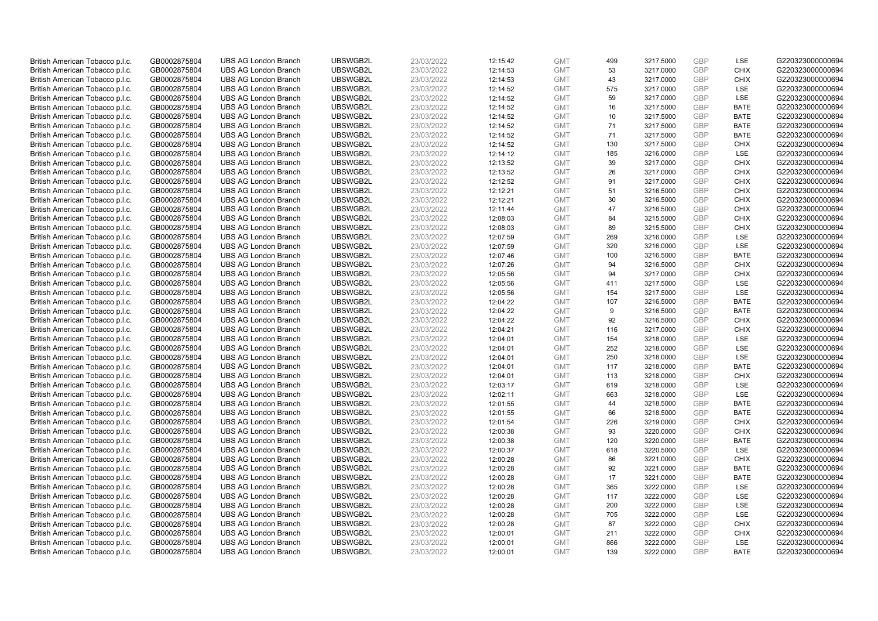| British American Tobacco p.l.c. | GB0002875804 | <b>UBS AG London Branch</b> | UBSWGB2L             | 23/03/2022               | 12:15:42             | <b>GMT</b> | 499 | 3217.5000 | <b>GBP</b> | LSE         | G220323000000694                     |
|---------------------------------|--------------|-----------------------------|----------------------|--------------------------|----------------------|------------|-----|-----------|------------|-------------|--------------------------------------|
| British American Tobacco p.l.c. | GB0002875804 | <b>UBS AG London Branch</b> | UBSWGB2L             | 23/03/2022               | 12:14:53             | <b>GMT</b> | 53  | 3217.0000 | <b>GBP</b> | <b>CHIX</b> | G220323000000694                     |
| British American Tobacco p.l.c. | GB0002875804 | <b>UBS AG London Branch</b> | UBSWGB2L             | 23/03/2022               | 12:14:53             | <b>GMT</b> | 43  | 3217.0000 | <b>GBP</b> | <b>CHIX</b> | G220323000000694                     |
| British American Tobacco p.l.c. | GB0002875804 | <b>UBS AG London Branch</b> | UBSWGB2L             | 23/03/2022               | 12:14:52             | <b>GMT</b> | 575 | 3217.0000 | <b>GBP</b> | LSE         | G220323000000694                     |
| British American Tobacco p.l.c. | GB0002875804 | <b>UBS AG London Branch</b> | UBSWGB2L             | 23/03/2022               | 12:14:52             | <b>GMT</b> | 59  | 3217.0000 | <b>GBP</b> | LSE         | G220323000000694                     |
| British American Tobacco p.l.c. | GB0002875804 | <b>UBS AG London Branch</b> | UBSWGB2L             | 23/03/2022               | 12:14:52             | <b>GMT</b> | 16  | 3217.5000 | <b>GBP</b> | <b>BATE</b> | G220323000000694                     |
| British American Tobacco p.l.c. | GB0002875804 | <b>UBS AG London Branch</b> | UBSWGB2L             | 23/03/2022               | 12:14:52             | <b>GMT</b> | 10  | 3217.5000 | <b>GBP</b> | <b>BATE</b> | G220323000000694                     |
| British American Tobacco p.l.c. | GB0002875804 | <b>UBS AG London Branch</b> | UBSWGB2L             | 23/03/2022               | 12:14:52             | <b>GMT</b> | 71  | 3217.5000 | <b>GBP</b> | <b>BATE</b> | G220323000000694                     |
| British American Tobacco p.l.c. | GB0002875804 | <b>UBS AG London Branch</b> | UBSWGB2L             | 23/03/2022               | 12:14:52             | <b>GMT</b> | 71  | 3217.5000 | <b>GBP</b> | <b>BATE</b> | G220323000000694                     |
| British American Tobacco p.l.c. | GB0002875804 | <b>UBS AG London Branch</b> | UBSWGB2L             | 23/03/2022               | 12:14:52             | <b>GMT</b> | 130 | 3217.5000 | <b>GBP</b> | <b>CHIX</b> | G220323000000694                     |
| British American Tobacco p.l.c. | GB0002875804 | <b>UBS AG London Branch</b> | UBSWGB2L             | 23/03/2022               | 12:14:12             | <b>GMT</b> | 185 | 3216.0000 | <b>GBP</b> | <b>LSE</b>  | G220323000000694                     |
| British American Tobacco p.l.c. | GB0002875804 | <b>UBS AG London Branch</b> | UBSWGB2L             | 23/03/2022               | 12:13:52             | <b>GMT</b> | 39  | 3217.0000 | <b>GBP</b> | <b>CHIX</b> | G220323000000694                     |
| British American Tobacco p.l.c. | GB0002875804 | <b>UBS AG London Branch</b> | UBSWGB2L             | 23/03/2022               | 12:13:52             | <b>GMT</b> | 26  | 3217.0000 | <b>GBP</b> | <b>CHIX</b> | G220323000000694                     |
| British American Tobacco p.l.c. | GB0002875804 | <b>UBS AG London Branch</b> | UBSWGB2L             | 23/03/2022               | 12:12:52             | <b>GMT</b> | 91  | 3217.0000 | <b>GBP</b> | <b>CHIX</b> | G220323000000694                     |
| British American Tobacco p.l.c. | GB0002875804 | <b>UBS AG London Branch</b> | UBSWGB2L             | 23/03/2022               | 12:12:21             | <b>GMT</b> | 51  | 3216.5000 | <b>GBP</b> | <b>CHIX</b> | G220323000000694                     |
| British American Tobacco p.l.c. | GB0002875804 | <b>UBS AG London Branch</b> | UBSWGB2L             | 23/03/2022               | 12:12:21             | <b>GMT</b> | 30  | 3216.5000 | <b>GBP</b> | <b>CHIX</b> | G220323000000694                     |
| British American Tobacco p.l.c. | GB0002875804 | <b>UBS AG London Branch</b> | UBSWGB2L             | 23/03/2022               | 12:11:44             | <b>GMT</b> | 47  | 3216.5000 | <b>GBP</b> | <b>CHIX</b> | G220323000000694                     |
| British American Tobacco p.l.c. | GB0002875804 | <b>UBS AG London Branch</b> | UBSWGB2L             | 23/03/2022               | 12:08:03             | <b>GMT</b> | 84  | 3215.5000 | <b>GBP</b> | <b>CHIX</b> | G220323000000694                     |
| British American Tobacco p.l.c. | GB0002875804 | <b>UBS AG London Branch</b> | UBSWGB2L             | 23/03/2022               | 12:08:03             | <b>GMT</b> | 89  | 3215.5000 | <b>GBP</b> | <b>CHIX</b> | G220323000000694                     |
| British American Tobacco p.l.c. | GB0002875804 | <b>UBS AG London Branch</b> | UBSWGB2L             | 23/03/2022               | 12:07:59             | <b>GMT</b> | 269 | 3216.0000 | <b>GBP</b> | LSE         | G220323000000694                     |
| British American Tobacco p.l.c. | GB0002875804 | <b>UBS AG London Branch</b> | UBSWGB2L             | 23/03/2022               | 12:07:59             | <b>GMT</b> | 320 | 3216.0000 | <b>GBP</b> | LSE         | G220323000000694                     |
| British American Tobacco p.l.c. | GB0002875804 | <b>UBS AG London Branch</b> | UBSWGB2L             | 23/03/2022               | 12:07:46             | <b>GMT</b> | 100 | 3216.5000 | <b>GBP</b> | <b>BATE</b> | G220323000000694                     |
| British American Tobacco p.l.c. | GB0002875804 | <b>UBS AG London Branch</b> | UBSWGB2L             | 23/03/2022               | 12:07:26             | <b>GMT</b> | 94  | 3216.5000 | <b>GBP</b> | <b>CHIX</b> | G220323000000694                     |
| British American Tobacco p.l.c. | GB0002875804 | <b>UBS AG London Branch</b> | UBSWGB2L             | 23/03/2022               | 12:05:56             | <b>GMT</b> | 94  | 3217.0000 | <b>GBP</b> | <b>CHIX</b> | G220323000000694                     |
| British American Tobacco p.l.c. | GB0002875804 | <b>UBS AG London Branch</b> | UBSWGB2L             | 23/03/2022               | 12:05:56             | <b>GMT</b> | 411 | 3217.5000 | <b>GBP</b> | LSE         | G220323000000694                     |
| British American Tobacco p.l.c. | GB0002875804 | <b>UBS AG London Branch</b> | UBSWGB2L             | 23/03/2022               | 12:05:56             | <b>GMT</b> | 154 | 3217.5000 | <b>GBP</b> | LSE         | G220323000000694                     |
| British American Tobacco p.l.c. | GB0002875804 | <b>UBS AG London Branch</b> | UBSWGB2L             | 23/03/2022               | 12:04:22             | <b>GMT</b> | 107 | 3216.5000 | <b>GBP</b> | <b>BATE</b> | G220323000000694                     |
| British American Tobacco p.l.c. | GB0002875804 | <b>UBS AG London Branch</b> | UBSWGB2L             | 23/03/2022               | 12:04:22             | <b>GMT</b> | 9   | 3216.5000 | <b>GBP</b> | <b>BATE</b> | G220323000000694                     |
| British American Tobacco p.l.c. | GB0002875804 | <b>UBS AG London Branch</b> | UBSWGB2L             | 23/03/2022               | 12:04:22             | <b>GMT</b> | 92  | 3216.5000 | <b>GBP</b> | <b>CHIX</b> | G220323000000694                     |
| British American Tobacco p.l.c. | GB0002875804 | <b>UBS AG London Branch</b> | UBSWGB2L             | 23/03/2022               | 12:04:21             | <b>GMT</b> | 116 | 3217.0000 | <b>GBP</b> | <b>CHIX</b> | G220323000000694                     |
| British American Tobacco p.l.c. | GB0002875804 | <b>UBS AG London Branch</b> | UBSWGB2L             | 23/03/2022               | 12:04:01             | <b>GMT</b> | 154 | 3218.0000 | GBP        | LSE         | G220323000000694                     |
| British American Tobacco p.l.c. | GB0002875804 | <b>UBS AG London Branch</b> | UBSWGB2L             | 23/03/2022               | 12:04:01             | <b>GMT</b> | 252 | 3218.0000 | <b>GBP</b> | <b>LSE</b>  | G220323000000694                     |
| British American Tobacco p.l.c. | GB0002875804 | <b>UBS AG London Branch</b> | UBSWGB2L             | 23/03/2022               | 12:04:01             | <b>GMT</b> | 250 | 3218.0000 | <b>GBP</b> | LSE         | G220323000000694                     |
| British American Tobacco p.l.c. | GB0002875804 | <b>UBS AG London Branch</b> | UBSWGB2L             | 23/03/2022               | 12:04:01             | <b>GMT</b> | 117 | 3218.0000 | GBP        | <b>BATE</b> | G220323000000694                     |
| British American Tobacco p.l.c. | GB0002875804 | <b>UBS AG London Branch</b> | UBSWGB2L             | 23/03/2022               | 12:04:01             | <b>GMT</b> | 113 | 3218.0000 | <b>GBP</b> | <b>CHIX</b> | G220323000000694                     |
| British American Tobacco p.l.c. | GB0002875804 | <b>UBS AG London Branch</b> | UBSWGB2L             | 23/03/2022               | 12:03:17             | <b>GMT</b> | 619 | 3218.0000 | <b>GBP</b> | LSE         | G220323000000694                     |
| British American Tobacco p.l.c. | GB0002875804 | <b>UBS AG London Branch</b> | UBSWGB2L             | 23/03/2022               | 12:02:11             | <b>GMT</b> | 663 | 3218.0000 | <b>GBP</b> | <b>LSE</b>  | G220323000000694                     |
| British American Tobacco p.l.c. | GB0002875804 | <b>UBS AG London Branch</b> | UBSWGB2L             | 23/03/2022               | 12:01:55             | <b>GMT</b> | 44  | 3218.5000 | <b>GBP</b> | <b>BATE</b> | G220323000000694                     |
| British American Tobacco p.l.c. | GB0002875804 | <b>UBS AG London Branch</b> | UBSWGB2L             | 23/03/2022               | 12:01:55             | <b>GMT</b> | 66  | 3218.5000 | <b>GBP</b> | <b>BATE</b> | G220323000000694                     |
| British American Tobacco p.l.c. | GB0002875804 | <b>UBS AG London Branch</b> | UBSWGB2L             | 23/03/2022               | 12:01:54             | <b>GMT</b> | 226 | 3219.0000 | <b>GBP</b> | <b>CHIX</b> | G220323000000694                     |
| British American Tobacco p.l.c. |              | <b>UBS AG London Branch</b> | UBSWGB2L             | 23/03/2022               |                      | <b>GMT</b> | 93  | 3220.0000 | <b>GBP</b> | <b>CHIX</b> | G220323000000694                     |
|                                 | GB0002875804 |                             |                      |                          | 12:00:38             | <b>GMT</b> | 120 |           | <b>GBP</b> | <b>BATE</b> |                                      |
| British American Tobacco p.l.c. | GB0002875804 | <b>UBS AG London Branch</b> | UBSWGB2L<br>UBSWGB2L | 23/03/2022<br>23/03/2022 | 12:00:38<br>12:00:37 | <b>GMT</b> | 618 | 3220.0000 | <b>GBP</b> | LSE         | G220323000000694<br>G220323000000694 |
| British American Tobacco p.l.c. | GB0002875804 | <b>UBS AG London Branch</b> |                      |                          |                      |            |     | 3220.5000 | <b>GBP</b> |             |                                      |
| British American Tobacco p.l.c. | GB0002875804 | <b>UBS AG London Branch</b> | UBSWGB2L             | 23/03/2022               | 12:00:28             | <b>GMT</b> | 86  | 3221.0000 |            | <b>CHIX</b> | G220323000000694                     |
| British American Tobacco p.l.c. | GB0002875804 | <b>UBS AG London Branch</b> | UBSWGB2L             | 23/03/2022               | 12:00:28             | <b>GMT</b> | 92  | 3221.0000 | <b>GBP</b> | <b>BATE</b> | G220323000000694                     |
| British American Tobacco p.l.c. | GB0002875804 | <b>UBS AG London Branch</b> | UBSWGB2L             | 23/03/2022               | 12:00:28             | <b>GMT</b> | 17  | 3221.0000 | <b>GBP</b> | <b>BATE</b> | G220323000000694                     |
| British American Tobacco p.l.c. | GB0002875804 | <b>UBS AG London Branch</b> | UBSWGB2L             | 23/03/2022               | 12:00:28             | <b>GMT</b> | 365 | 3222.0000 | <b>GBP</b> | LSE         | G220323000000694                     |
| British American Tobacco p.l.c. | GB0002875804 | <b>UBS AG London Branch</b> | UBSWGB2L             | 23/03/2022               | 12:00:28             | <b>GMT</b> | 117 | 3222.0000 | <b>GBP</b> | LSE         | G220323000000694                     |
| British American Tobacco p.l.c. | GB0002875804 | <b>UBS AG London Branch</b> | UBSWGB2L             | 23/03/2022               | 12:00:28             | <b>GMT</b> | 200 | 3222.0000 | <b>GBP</b> | LSE         | G220323000000694                     |
| British American Tobacco p.l.c. | GB0002875804 | <b>UBS AG London Branch</b> | UBSWGB2L             | 23/03/2022               | 12:00:28             | <b>GMT</b> | 705 | 3222.0000 | <b>GBP</b> | <b>LSE</b>  | G220323000000694                     |
| British American Tobacco p.l.c. | GB0002875804 | <b>UBS AG London Branch</b> | UBSWGB2L             | 23/03/2022               | 12:00:28             | <b>GMT</b> | 87  | 3222.0000 | <b>GBP</b> | <b>CHIX</b> | G220323000000694                     |
| British American Tobacco p.l.c. | GB0002875804 | <b>UBS AG London Branch</b> | UBSWGB2L             | 23/03/2022               | 12:00:01             | <b>GMT</b> | 211 | 3222.0000 | <b>GBP</b> | <b>CHIX</b> | G220323000000694                     |
| British American Tobacco p.l.c. | GB0002875804 | <b>UBS AG London Branch</b> | UBSWGB2L             | 23/03/2022               | 12:00:01             | <b>GMT</b> | 866 | 3222.0000 | <b>GBP</b> | <b>LSE</b>  | G220323000000694                     |
| British American Tobacco p.l.c. | GB0002875804 | <b>UBS AG London Branch</b> | UBSWGB2L             | 23/03/2022               | 12:00:01             | <b>GMT</b> | 139 | 3222.0000 | GBP        | <b>BATE</b> | G220323000000694                     |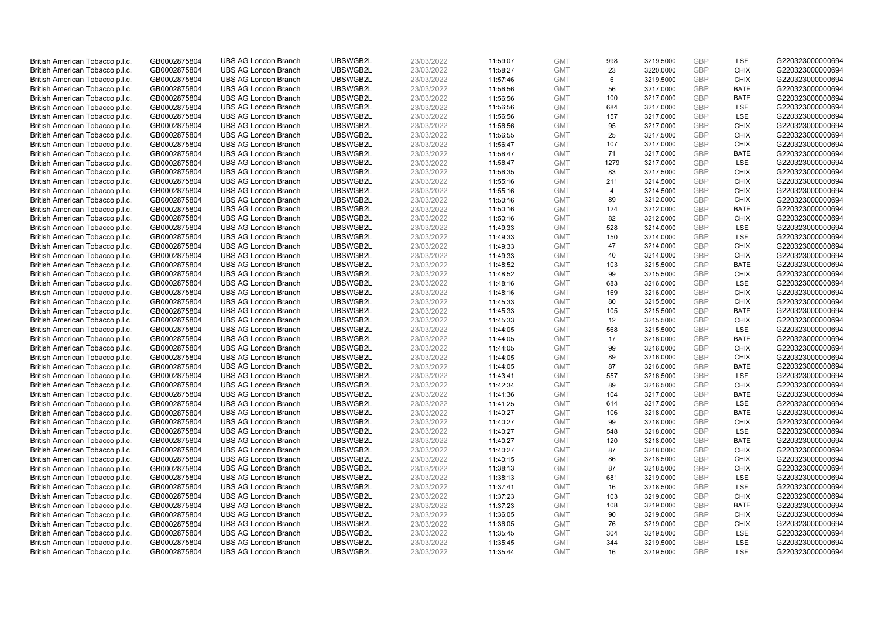| British American Tobacco p.l.c. | GB0002875804 | <b>UBS AG London Branch</b> | UBSWGB2L | 23/03/2022 | 11:59:07 | <b>GMT</b> | 998            | 3219.5000 | <b>GBP</b> | LSE         | G220323000000694 |
|---------------------------------|--------------|-----------------------------|----------|------------|----------|------------|----------------|-----------|------------|-------------|------------------|
| British American Tobacco p.l.c. | GB0002875804 | <b>UBS AG London Branch</b> | UBSWGB2L | 23/03/2022 | 11:58:27 | <b>GMT</b> | 23             | 3220.0000 | <b>GBP</b> | <b>CHIX</b> | G220323000000694 |
| British American Tobacco p.l.c. | GB0002875804 | <b>UBS AG London Branch</b> | UBSWGB2L | 23/03/2022 | 11:57:46 | <b>GMT</b> | 6              | 3219.5000 | <b>GBP</b> | <b>CHIX</b> | G220323000000694 |
| British American Tobacco p.l.c. | GB0002875804 | <b>UBS AG London Branch</b> | UBSWGB2L | 23/03/2022 | 11:56:56 | <b>GMT</b> | 56             | 3217.0000 | <b>GBP</b> | <b>BATE</b> | G220323000000694 |
| British American Tobacco p.l.c. | GB0002875804 | <b>UBS AG London Branch</b> | UBSWGB2L | 23/03/2022 | 11:56:56 | <b>GMT</b> | 100            | 3217.0000 | <b>GBP</b> | <b>BATE</b> | G220323000000694 |
| British American Tobacco p.l.c. | GB0002875804 | <b>UBS AG London Branch</b> | UBSWGB2L | 23/03/2022 | 11:56:56 | <b>GMT</b> | 684            | 3217.0000 | <b>GBP</b> | LSE         | G220323000000694 |
| British American Tobacco p.l.c. | GB0002875804 | <b>UBS AG London Branch</b> | UBSWGB2L | 23/03/2022 | 11:56:56 | <b>GMT</b> | 157            | 3217.0000 | <b>GBP</b> | LSE         | G220323000000694 |
| British American Tobacco p.l.c. | GB0002875804 | <b>UBS AG London Branch</b> | UBSWGB2L | 23/03/2022 | 11:56:56 | <b>GMT</b> | 95             | 3217.0000 | <b>GBP</b> | <b>CHIX</b> | G220323000000694 |
| British American Tobacco p.l.c. | GB0002875804 | <b>UBS AG London Branch</b> | UBSWGB2L | 23/03/2022 | 11:56:55 | <b>GMT</b> | 25             | 3217.5000 | <b>GBP</b> | <b>CHIX</b> | G220323000000694 |
| British American Tobacco p.l.c. | GB0002875804 | <b>UBS AG London Branch</b> | UBSWGB2L | 23/03/2022 | 11:56:47 | <b>GMT</b> | 107            | 3217.0000 | <b>GBP</b> | <b>CHIX</b> | G220323000000694 |
| British American Tobacco p.l.c. | GB0002875804 | <b>UBS AG London Branch</b> | UBSWGB2L | 23/03/2022 | 11:56:47 | <b>GMT</b> | 71             | 3217.0000 | <b>GBP</b> | <b>BATE</b> | G220323000000694 |
| British American Tobacco p.l.c. | GB0002875804 | <b>UBS AG London Branch</b> | UBSWGB2L | 23/03/2022 | 11:56:47 | <b>GMT</b> | 1279           | 3217.0000 | <b>GBP</b> | LSE         | G220323000000694 |
| British American Tobacco p.l.c. | GB0002875804 | <b>UBS AG London Branch</b> | UBSWGB2L | 23/03/2022 | 11:56:35 | <b>GMT</b> | 83             | 3217.5000 | <b>GBP</b> | <b>CHIX</b> | G220323000000694 |
| British American Tobacco p.l.c. | GB0002875804 | <b>UBS AG London Branch</b> | UBSWGB2L | 23/03/2022 | 11:55:16 | <b>GMT</b> | 211            | 3214.5000 | <b>GBP</b> | <b>CHIX</b> | G220323000000694 |
| British American Tobacco p.l.c. | GB0002875804 | <b>UBS AG London Branch</b> | UBSWGB2L | 23/03/2022 | 11:55:16 | <b>GMT</b> | $\overline{4}$ | 3214.5000 | <b>GBP</b> | <b>CHIX</b> | G220323000000694 |
|                                 |              |                             | UBSWGB2L |            |          |            |                |           |            |             |                  |
| British American Tobacco p.l.c. | GB0002875804 | <b>UBS AG London Branch</b> |          | 23/03/2022 | 11:50:16 | <b>GMT</b> | 89             | 3212.0000 | <b>GBP</b> | <b>CHIX</b> | G220323000000694 |
| British American Tobacco p.l.c. | GB0002875804 | <b>UBS AG London Branch</b> | UBSWGB2L | 23/03/2022 | 11:50:16 | <b>GMT</b> | 124            | 3212.0000 | <b>GBP</b> | <b>BATE</b> | G220323000000694 |
| British American Tobacco p.l.c. | GB0002875804 | <b>UBS AG London Branch</b> | UBSWGB2L | 23/03/2022 | 11:50:16 | <b>GMT</b> | 82             | 3212.0000 | <b>GBP</b> | <b>CHIX</b> | G220323000000694 |
| British American Tobacco p.l.c. | GB0002875804 | <b>UBS AG London Branch</b> | UBSWGB2L | 23/03/2022 | 11:49:33 | <b>GMT</b> | 528            | 3214.0000 | <b>GBP</b> | <b>LSE</b>  | G220323000000694 |
| British American Tobacco p.l.c. | GB0002875804 | <b>UBS AG London Branch</b> | UBSWGB2L | 23/03/2022 | 11:49:33 | <b>GMT</b> | 150            | 3214.0000 | <b>GBP</b> | LSE         | G220323000000694 |
| British American Tobacco p.l.c. | GB0002875804 | <b>UBS AG London Branch</b> | UBSWGB2L | 23/03/2022 | 11:49:33 | <b>GMT</b> | 47             | 3214.0000 | <b>GBP</b> | <b>CHIX</b> | G220323000000694 |
| British American Tobacco p.l.c. | GB0002875804 | <b>UBS AG London Branch</b> | UBSWGB2L | 23/03/2022 | 11:49:33 | <b>GMT</b> | 40             | 3214.0000 | <b>GBP</b> | <b>CHIX</b> | G220323000000694 |
| British American Tobacco p.l.c. | GB0002875804 | <b>UBS AG London Branch</b> | UBSWGB2L | 23/03/2022 | 11:48:52 | <b>GMT</b> | 103            | 3215.5000 | <b>GBP</b> | <b>BATE</b> | G220323000000694 |
| British American Tobacco p.l.c. | GB0002875804 | <b>UBS AG London Branch</b> | UBSWGB2L | 23/03/2022 | 11:48:52 | <b>GMT</b> | 99             | 3215.5000 | <b>GBP</b> | <b>CHIX</b> | G220323000000694 |
| British American Tobacco p.l.c. | GB0002875804 | <b>UBS AG London Branch</b> | UBSWGB2L | 23/03/2022 | 11:48:16 | <b>GMT</b> | 683            | 3216.0000 | <b>GBP</b> | LSE         | G220323000000694 |
| British American Tobacco p.l.c. | GB0002875804 | <b>UBS AG London Branch</b> | UBSWGB2L | 23/03/2022 | 11:48:16 | <b>GMT</b> | 169            | 3216.0000 | <b>GBP</b> | <b>CHIX</b> | G220323000000694 |
| British American Tobacco p.l.c. | GB0002875804 | <b>UBS AG London Branch</b> | UBSWGB2L | 23/03/2022 | 11:45:33 | <b>GMT</b> | 80             | 3215.5000 | <b>GBP</b> | <b>CHIX</b> | G220323000000694 |
| British American Tobacco p.l.c. | GB0002875804 | <b>UBS AG London Branch</b> | UBSWGB2L | 23/03/2022 | 11:45:33 | <b>GMT</b> | 105            | 3215.5000 | <b>GBP</b> | <b>BATE</b> | G220323000000694 |
| British American Tobacco p.l.c. | GB0002875804 | <b>UBS AG London Branch</b> | UBSWGB2L | 23/03/2022 | 11:45:33 | <b>GMT</b> | 12             | 3215.5000 | <b>GBP</b> | <b>CHIX</b> | G220323000000694 |
| British American Tobacco p.l.c. | GB0002875804 | <b>UBS AG London Branch</b> | UBSWGB2L | 23/03/2022 | 11:44:05 | <b>GMT</b> | 568            | 3215.5000 | <b>GBP</b> | LSE         | G220323000000694 |
| British American Tobacco p.l.c. | GB0002875804 | <b>UBS AG London Branch</b> | UBSWGB2L | 23/03/2022 | 11:44:05 | <b>GMT</b> | 17             | 3216.0000 | <b>GBP</b> | <b>BATE</b> | G220323000000694 |
| British American Tobacco p.l.c. | GB0002875804 | <b>UBS AG London Branch</b> | UBSWGB2L | 23/03/2022 | 11:44:05 | <b>GMT</b> | 99             | 3216.0000 | <b>GBP</b> | <b>CHIX</b> | G220323000000694 |
| British American Tobacco p.l.c. | GB0002875804 | <b>UBS AG London Branch</b> | UBSWGB2L | 23/03/2022 | 11:44:05 | <b>GMT</b> | 89             | 3216.0000 | <b>GBP</b> | <b>CHIX</b> | G220323000000694 |
| British American Tobacco p.l.c. | GB0002875804 | <b>UBS AG London Branch</b> | UBSWGB2L | 23/03/2022 | 11:44:05 | <b>GMT</b> | 87             | 3216.0000 | GBP        | <b>BATE</b> | G220323000000694 |
| British American Tobacco p.l.c. | GB0002875804 | <b>UBS AG London Branch</b> | UBSWGB2L | 23/03/2022 | 11:43:41 | <b>GMT</b> | 557            | 3216.5000 | <b>GBP</b> | LSE         | G220323000000694 |
| British American Tobacco p.l.c. | GB0002875804 | <b>UBS AG London Branch</b> | UBSWGB2L | 23/03/2022 | 11:42:34 | <b>GMT</b> | 89             | 3216.5000 | <b>GBP</b> | <b>CHIX</b> | G220323000000694 |
| British American Tobacco p.l.c. | GB0002875804 | <b>UBS AG London Branch</b> | UBSWGB2L | 23/03/2022 | 11:41:36 | <b>GMT</b> | 104            | 3217.0000 | <b>GBP</b> | <b>BATE</b> | G220323000000694 |
| British American Tobacco p.l.c. | GB0002875804 | <b>UBS AG London Branch</b> | UBSWGB2L | 23/03/2022 | 11:41:25 | <b>GMT</b> | 614            | 3217.5000 | <b>GBP</b> | LSE         | G220323000000694 |
| British American Tobacco p.l.c. | GB0002875804 | <b>UBS AG London Branch</b> | UBSWGB2L | 23/03/2022 | 11:40:27 | <b>GMT</b> | 106            | 3218.0000 | <b>GBP</b> | <b>BATE</b> | G220323000000694 |
| British American Tobacco p.l.c. | GB0002875804 | <b>UBS AG London Branch</b> | UBSWGB2L | 23/03/2022 | 11:40:27 | <b>GMT</b> | 99             | 3218.0000 | <b>GBP</b> | <b>CHIX</b> | G220323000000694 |
| British American Tobacco p.l.c. | GB0002875804 | <b>UBS AG London Branch</b> | UBSWGB2L | 23/03/2022 | 11:40:27 | <b>GMT</b> | 548            | 3218.0000 | <b>GBP</b> | LSE         | G220323000000694 |
| British American Tobacco p.l.c. | GB0002875804 | <b>UBS AG London Branch</b> | UBSWGB2L | 23/03/2022 | 11:40:27 | <b>GMT</b> | 120            | 3218.0000 | <b>GBP</b> | <b>BATE</b> | G220323000000694 |
| British American Tobacco p.l.c. | GB0002875804 | <b>UBS AG London Branch</b> | UBSWGB2L | 23/03/2022 | 11:40:27 | <b>GMT</b> | 87             | 3218.0000 | <b>GBP</b> | <b>CHIX</b> | G220323000000694 |
| British American Tobacco p.l.c. | GB0002875804 | <b>UBS AG London Branch</b> | UBSWGB2L | 23/03/2022 | 11:40:15 | <b>GMT</b> | 86             | 3218.5000 | GBP        | <b>CHIX</b> | G220323000000694 |
| British American Tobacco p.l.c. | GB0002875804 | <b>UBS AG London Branch</b> | UBSWGB2L | 23/03/2022 | 11:38:13 | <b>GMT</b> | 87             | 3218.5000 | <b>GBP</b> | <b>CHIX</b> | G220323000000694 |
|                                 |              |                             |          |            |          |            |                |           |            |             |                  |
| British American Tobacco p.l.c. | GB0002875804 | <b>UBS AG London Branch</b> | UBSWGB2L | 23/03/2022 | 11:38:13 | <b>GMT</b> | 681<br>16      | 3219.0000 | <b>GBP</b> | LSE<br>LSE  | G220323000000694 |
| British American Tobacco p.l.c. | GB0002875804 | <b>UBS AG London Branch</b> | UBSWGB2L | 23/03/2022 | 11:37:41 | <b>GMT</b> |                | 3218.5000 | <b>GBP</b> |             | G220323000000694 |
| British American Tobacco p.l.c. | GB0002875804 | <b>UBS AG London Branch</b> | UBSWGB2L | 23/03/2022 | 11:37:23 | <b>GMT</b> | 103            | 3219.0000 | <b>GBP</b> | <b>CHIX</b> | G220323000000694 |
| British American Tobacco p.l.c. | GB0002875804 | <b>UBS AG London Branch</b> | UBSWGB2L | 23/03/2022 | 11:37:23 | <b>GMT</b> | 108            | 3219.0000 | <b>GBP</b> | <b>BATE</b> | G220323000000694 |
| British American Tobacco p.l.c. | GB0002875804 | <b>UBS AG London Branch</b> | UBSWGB2L | 23/03/2022 | 11:36:05 | <b>GMT</b> | 90             | 3219.0000 | <b>GBP</b> | <b>CHIX</b> | G220323000000694 |
| British American Tobacco p.l.c. | GB0002875804 | <b>UBS AG London Branch</b> | UBSWGB2L | 23/03/2022 | 11:36:05 | <b>GMT</b> | 76             | 3219.0000 | <b>GBP</b> | <b>CHIX</b> | G220323000000694 |
| British American Tobacco p.l.c. | GB0002875804 | <b>UBS AG London Branch</b> | UBSWGB2L | 23/03/2022 | 11:35:45 | <b>GMT</b> | 304            | 3219.5000 | <b>GBP</b> | LSE         | G220323000000694 |
| British American Tobacco p.l.c. | GB0002875804 | <b>UBS AG London Branch</b> | UBSWGB2L | 23/03/2022 | 11:35:45 | <b>GMT</b> | 344            | 3219.5000 | <b>GBP</b> | LSE         | G220323000000694 |
| British American Tobacco p.l.c. | GB0002875804 | <b>UBS AG London Branch</b> | UBSWGB2L | 23/03/2022 | 11:35:44 | <b>GMT</b> | 16             | 3219.5000 | GBP        | LSE         | G220323000000694 |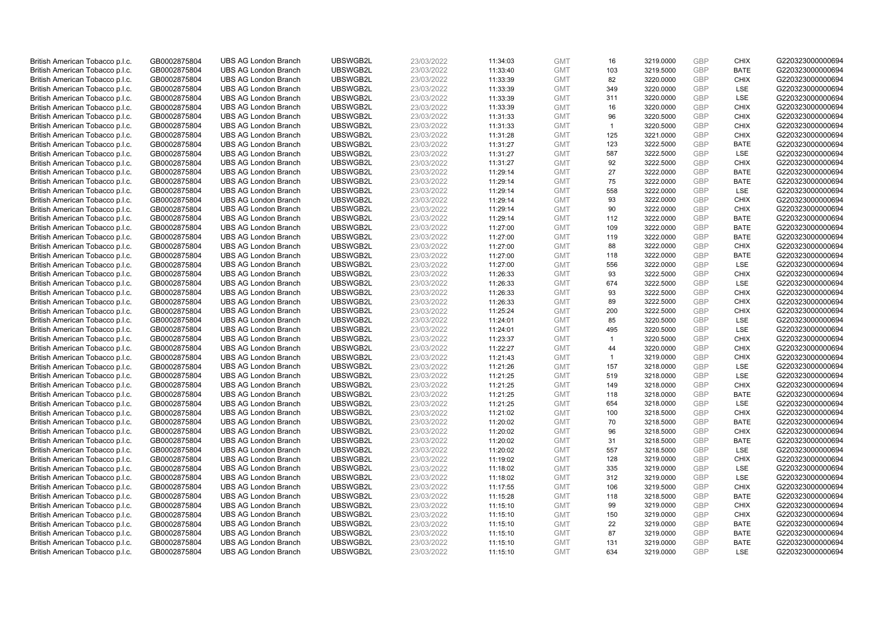| British American Tobacco p.l.c. | GB0002875804 | <b>UBS AG London Branch</b> | UBSWGB2L | 23/03/2022 | 11:34:03 | <b>GMT</b> | 16                   | 3219.0000 | <b>GBP</b> | <b>CHIX</b> | G220323000000694 |
|---------------------------------|--------------|-----------------------------|----------|------------|----------|------------|----------------------|-----------|------------|-------------|------------------|
| British American Tobacco p.l.c. | GB0002875804 | <b>UBS AG London Branch</b> | UBSWGB2L | 23/03/2022 | 11:33:40 | <b>GMT</b> | 103                  | 3219.5000 | <b>GBP</b> | <b>BATE</b> | G220323000000694 |
| British American Tobacco p.l.c. | GB0002875804 | <b>UBS AG London Branch</b> | UBSWGB2L | 23/03/2022 | 11:33:39 | <b>GMT</b> | 82                   | 3220.0000 | GBP        | <b>CHIX</b> | G220323000000694 |
| British American Tobacco p.l.c. | GB0002875804 | <b>UBS AG London Branch</b> | UBSWGB2L | 23/03/2022 | 11:33:39 | <b>GMT</b> | 349                  | 3220.0000 | GBP        | <b>LSE</b>  | G220323000000694 |
| British American Tobacco p.l.c. | GB0002875804 | <b>UBS AG London Branch</b> | UBSWGB2L | 23/03/2022 | 11:33:39 | <b>GMT</b> | 311                  | 3220.0000 | <b>GBP</b> | LSE         | G220323000000694 |
| British American Tobacco p.l.c. | GB0002875804 | <b>UBS AG London Branch</b> | UBSWGB2L | 23/03/2022 | 11:33:39 | <b>GMT</b> | 16                   | 3220.0000 | <b>GBP</b> | <b>CHIX</b> | G220323000000694 |
| British American Tobacco p.l.c. | GB0002875804 | <b>UBS AG London Branch</b> | UBSWGB2L | 23/03/2022 | 11:31:33 | <b>GMT</b> | 96                   | 3220.5000 | GBP        | <b>CHIX</b> | G220323000000694 |
| British American Tobacco p.l.c. | GB0002875804 | <b>UBS AG London Branch</b> | UBSWGB2L | 23/03/2022 | 11:31:33 | <b>GMT</b> | $\blacktriangleleft$ | 3220.5000 | <b>GBP</b> | <b>CHIX</b> | G220323000000694 |
| British American Tobacco p.l.c. | GB0002875804 | <b>UBS AG London Branch</b> | UBSWGB2L | 23/03/2022 | 11:31:28 | <b>GMT</b> | 125                  | 3221.0000 | GBP        | <b>CHIX</b> | G220323000000694 |
| British American Tobacco p.l.c. | GB0002875804 | <b>UBS AG London Branch</b> | UBSWGB2L | 23/03/2022 | 11:31:27 | <b>GMT</b> | 123                  | 3222.5000 | <b>GBP</b> | <b>BATE</b> | G220323000000694 |
| British American Tobacco p.l.c. | GB0002875804 | <b>UBS AG London Branch</b> | UBSWGB2L | 23/03/2022 | 11:31:27 | <b>GMT</b> | 587                  | 3222.5000 | GBP        | <b>LSE</b>  | G220323000000694 |
| British American Tobacco p.l.c. | GB0002875804 | <b>UBS AG London Branch</b> | UBSWGB2L | 23/03/2022 | 11:31:27 | <b>GMT</b> | 92                   | 3222.5000 | <b>GBP</b> | <b>CHIX</b> | G220323000000694 |
| British American Tobacco p.l.c. | GB0002875804 | <b>UBS AG London Branch</b> | UBSWGB2L | 23/03/2022 | 11:29:14 | <b>GMT</b> | 27                   | 3222.0000 | GBP        | <b>BATE</b> | G220323000000694 |
| British American Tobacco p.l.c. | GB0002875804 | <b>UBS AG London Branch</b> | UBSWGB2L | 23/03/2022 | 11:29:14 | <b>GMT</b> | 75                   | 3222.0000 | <b>GBP</b> | <b>BATE</b> | G220323000000694 |
| British American Tobacco p.l.c. | GB0002875804 | <b>UBS AG London Branch</b> | UBSWGB2L | 23/03/2022 | 11:29:14 | <b>GMT</b> | 558                  | 3222.0000 | <b>GBP</b> | <b>LSE</b>  | G220323000000694 |
| British American Tobacco p.l.c. | GB0002875804 | <b>UBS AG London Branch</b> | UBSWGB2L | 23/03/2022 | 11:29:14 | <b>GMT</b> | 93                   | 3222.0000 | GBP        | <b>CHIX</b> | G220323000000694 |
| British American Tobacco p.l.c. | GB0002875804 | <b>UBS AG London Branch</b> | UBSWGB2L | 23/03/2022 | 11:29:14 | <b>GMT</b> | 90                   | 3222.0000 | GBP        | <b>CHIX</b> | G220323000000694 |
| British American Tobacco p.l.c. | GB0002875804 | <b>UBS AG London Branch</b> | UBSWGB2L | 23/03/2022 | 11:29:14 | <b>GMT</b> | 112                  | 3222.0000 | GBP        | <b>BATE</b> | G220323000000694 |
| British American Tobacco p.l.c. | GB0002875804 | <b>UBS AG London Branch</b> | UBSWGB2L | 23/03/2022 | 11:27:00 | <b>GMT</b> | 109                  | 3222.0000 | <b>GBP</b> | <b>BATE</b> | G220323000000694 |
| British American Tobacco p.l.c. | GB0002875804 | <b>UBS AG London Branch</b> | UBSWGB2L | 23/03/2022 | 11:27:00 | <b>GMT</b> | 119                  | 3222.0000 | GBP        | <b>BATE</b> | G220323000000694 |
| British American Tobacco p.l.c. | GB0002875804 | <b>UBS AG London Branch</b> | UBSWGB2L | 23/03/2022 | 11:27:00 | <b>GMT</b> | 88                   | 3222.0000 | <b>GBP</b> | <b>CHIX</b> | G220323000000694 |
| British American Tobacco p.l.c. | GB0002875804 | <b>UBS AG London Branch</b> | UBSWGB2L | 23/03/2022 | 11:27:00 | <b>GMT</b> | 118                  | 3222.0000 | GBP        | <b>BATE</b> | G220323000000694 |
| British American Tobacco p.l.c. | GB0002875804 | <b>UBS AG London Branch</b> | UBSWGB2L | 23/03/2022 | 11:27:00 | <b>GMT</b> | 556                  | 3222.0000 | <b>GBP</b> | LSE         | G220323000000694 |
| British American Tobacco p.l.c. | GB0002875804 | <b>UBS AG London Branch</b> | UBSWGB2L | 23/03/2022 | 11:26:33 | <b>GMT</b> | 93                   | 3222.5000 | GBP        | <b>CHIX</b> | G220323000000694 |
| British American Tobacco p.l.c. | GB0002875804 | <b>UBS AG London Branch</b> | UBSWGB2L | 23/03/2022 | 11:26:33 | <b>GMT</b> | 674                  | 3222.5000 | <b>GBP</b> | LSE         | G220323000000694 |
| British American Tobacco p.l.c. | GB0002875804 | <b>UBS AG London Branch</b> | UBSWGB2L | 23/03/2022 | 11:26:33 | <b>GMT</b> | 93                   | 3222.5000 | GBP        | <b>CHIX</b> | G220323000000694 |
| British American Tobacco p.l.c. | GB0002875804 | <b>UBS AG London Branch</b> | UBSWGB2L | 23/03/2022 | 11:26:33 | <b>GMT</b> | 89                   | 3222.5000 | <b>GBP</b> | <b>CHIX</b> | G220323000000694 |
| British American Tobacco p.l.c. | GB0002875804 | <b>UBS AG London Branch</b> | UBSWGB2L | 23/03/2022 | 11:25:24 | <b>GMT</b> | 200                  | 3222.5000 | GBP        | <b>CHIX</b> | G220323000000694 |
| British American Tobacco p.l.c. | GB0002875804 | <b>UBS AG London Branch</b> | UBSWGB2L | 23/03/2022 | 11:24:01 | <b>GMT</b> | 85                   | 3220.5000 | GBP        | <b>LSE</b>  | G220323000000694 |
| British American Tobacco p.l.c. | GB0002875804 | <b>UBS AG London Branch</b> | UBSWGB2L | 23/03/2022 | 11:24:01 | <b>GMT</b> | 495                  | 3220.5000 | <b>GBP</b> | LSE         | G220323000000694 |
| British American Tobacco p.l.c. | GB0002875804 | <b>UBS AG London Branch</b> | UBSWGB2L | 23/03/2022 | 11:23:37 | <b>GMT</b> | $\overline{1}$       | 3220.5000 | GBP        | <b>CHIX</b> | G220323000000694 |
| British American Tobacco p.l.c. | GB0002875804 | <b>UBS AG London Branch</b> | UBSWGB2L | 23/03/2022 | 11:22:27 | <b>GMT</b> | 44                   | 3220.0000 | GBP        | <b>CHIX</b> | G220323000000694 |
| British American Tobacco p.l.c. | GB0002875804 | <b>UBS AG London Branch</b> | UBSWGB2L | 23/03/2022 | 11:21:43 | <b>GMT</b> | $\overline{1}$       | 3219.0000 | <b>GBP</b> | <b>CHIX</b> | G220323000000694 |
| British American Tobacco p.l.c. | GB0002875804 | <b>UBS AG London Branch</b> | UBSWGB2L | 23/03/2022 | 11:21:26 | <b>GMT</b> | 157                  | 3218.0000 | GBP        | LSE         | G220323000000694 |
| British American Tobacco p.l.c. | GB0002875804 | <b>UBS AG London Branch</b> | UBSWGB2L | 23/03/2022 | 11:21:25 | <b>GMT</b> | 519                  | 3218.0000 | GBP        | LSE         | G220323000000694 |
| British American Tobacco p.l.c. | GB0002875804 | <b>UBS AG London Branch</b> | UBSWGB2L | 23/03/2022 | 11:21:25 | <b>GMT</b> | 149                  | 3218.0000 | <b>GBP</b> | <b>CHIX</b> | G220323000000694 |
| British American Tobacco p.l.c. | GB0002875804 | <b>UBS AG London Branch</b> | UBSWGB2L | 23/03/2022 | 11:21:25 | <b>GMT</b> | 118                  | 3218.0000 | GBP        | <b>BATE</b> | G220323000000694 |
| British American Tobacco p.l.c. | GB0002875804 | <b>UBS AG London Branch</b> | UBSWGB2L | 23/03/2022 | 11:21:25 | <b>GMT</b> | 654                  | 3218.0000 | <b>GBP</b> | LSE         | G220323000000694 |
| British American Tobacco p.l.c. | GB0002875804 | <b>UBS AG London Branch</b> | UBSWGB2L | 23/03/2022 | 11:21:02 | <b>GMT</b> | 100                  | 3218.5000 | GBP        | <b>CHIX</b> | G220323000000694 |
| British American Tobacco p.l.c. | GB0002875804 | <b>UBS AG London Branch</b> | UBSWGB2L | 23/03/2022 | 11:20:02 | <b>GMT</b> | 70                   | 3218.5000 | <b>GBP</b> | <b>BATE</b> | G220323000000694 |
| British American Tobacco p.l.c. | GB0002875804 | <b>UBS AG London Branch</b> | UBSWGB2L | 23/03/2022 | 11:20:02 | <b>GMT</b> | 96                   | 3218.5000 | <b>GBP</b> | <b>CHIX</b> | G220323000000694 |
| British American Tobacco p.l.c. | GB0002875804 | <b>UBS AG London Branch</b> | UBSWGB2L | 23/03/2022 | 11:20:02 | <b>GMT</b> | 31                   | 3218.5000 | GBP        | <b>BATE</b> | G220323000000694 |
| British American Tobacco p.l.c. | GB0002875804 | <b>UBS AG London Branch</b> | UBSWGB2L | 23/03/2022 | 11:20:02 | <b>GMT</b> | 557                  | 3218.5000 | GBP        | LSE         | G220323000000694 |
| British American Tobacco p.l.c. | GB0002875804 | <b>UBS AG London Branch</b> | UBSWGB2L | 23/03/2022 | 11:19:02 | <b>GMT</b> | 128                  | 3219.0000 | GBP        | <b>CHIX</b> | G220323000000694 |
| British American Tobacco p.l.c. | GB0002875804 | <b>UBS AG London Branch</b> | UBSWGB2L | 23/03/2022 | 11:18:02 | <b>GMT</b> | 335                  | 3219.0000 | GBP        | <b>LSE</b>  | G220323000000694 |
| British American Tobacco p.l.c. | GB0002875804 | <b>UBS AG London Branch</b> | UBSWGB2L | 23/03/2022 | 11:18:02 | <b>GMT</b> | 312                  | 3219.0000 | <b>GBP</b> | LSE         | G220323000000694 |
| British American Tobacco p.l.c. | GB0002875804 | <b>UBS AG London Branch</b> | UBSWGB2L | 23/03/2022 | 11:17:55 | <b>GMT</b> | 106                  | 3219.5000 | GBP        | <b>CHIX</b> | G220323000000694 |
| British American Tobacco p.l.c. | GB0002875804 | <b>UBS AG London Branch</b> | UBSWGB2L | 23/03/2022 | 11:15:28 | <b>GMT</b> | 118                  | 3218.5000 | GBP        | <b>BATE</b> | G220323000000694 |
| British American Tobacco p.l.c. | GB0002875804 | <b>UBS AG London Branch</b> | UBSWGB2L | 23/03/2022 | 11:15:10 | <b>GMT</b> | 99                   | 3219.0000 | GBP        | <b>CHIX</b> | G220323000000694 |
| British American Tobacco p.l.c. | GB0002875804 | <b>UBS AG London Branch</b> | UBSWGB2L | 23/03/2022 | 11:15:10 | <b>GMT</b> | 150                  | 3219.0000 | GBP        | <b>CHIX</b> | G220323000000694 |
| British American Tobacco p.l.c. | GB0002875804 | <b>UBS AG London Branch</b> | UBSWGB2L | 23/03/2022 | 11:15:10 | <b>GMT</b> | 22                   | 3219.0000 | <b>GBP</b> | <b>BATE</b> | G220323000000694 |
| British American Tobacco p.l.c. | GB0002875804 | <b>UBS AG London Branch</b> | UBSWGB2L | 23/03/2022 | 11:15:10 | <b>GMT</b> | 87                   | 3219.0000 | <b>GBP</b> | <b>BATE</b> | G220323000000694 |
| British American Tobacco p.l.c. | GB0002875804 | <b>UBS AG London Branch</b> | UBSWGB2L | 23/03/2022 | 11:15:10 | <b>GMT</b> | 131                  | 3219.0000 | GBP        | <b>BATE</b> | G220323000000694 |
| British American Tobacco p.l.c. | GB0002875804 | <b>UBS AG London Branch</b> | UBSWGB2L | 23/03/2022 | 11:15:10 | <b>GMT</b> | 634                  | 3219.0000 | GBP        | <b>LSE</b>  | G220323000000694 |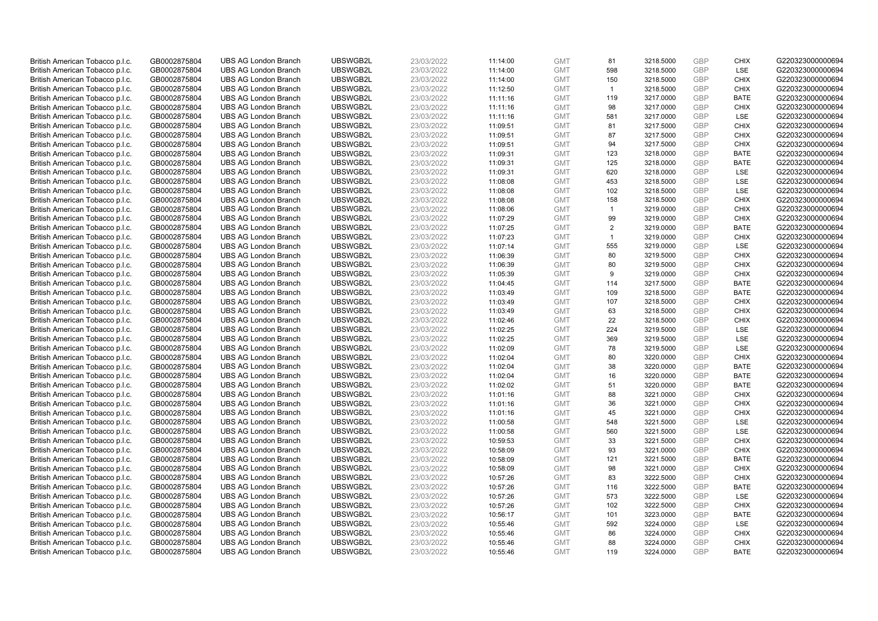| British American Tobacco p.l.c.                                    | GB0002875804                 | <b>UBS AG London Branch</b>                                | UBSWGB2L             | 23/03/2022               | 11:14:00             | <b>GMT</b>               | 81             | 3218.5000              | <b>GBP</b>               | <b>CHIX</b>        | G220323000000694                     |
|--------------------------------------------------------------------|------------------------------|------------------------------------------------------------|----------------------|--------------------------|----------------------|--------------------------|----------------|------------------------|--------------------------|--------------------|--------------------------------------|
| British American Tobacco p.l.c.                                    | GB0002875804                 | <b>UBS AG London Branch</b>                                | UBSWGB2L             | 23/03/2022               | 11:14:00             | <b>GMT</b>               | 598            | 3218.5000              | <b>GBP</b>               | LSE                | G220323000000694                     |
| British American Tobacco p.l.c.                                    | GB0002875804                 | <b>UBS AG London Branch</b>                                | UBSWGB2L             | 23/03/2022               | 11:14:00             | <b>GMT</b>               | 150            | 3218.5000              | <b>GBP</b>               | <b>CHIX</b>        | G220323000000694                     |
| British American Tobacco p.l.c.                                    | GB0002875804                 | <b>UBS AG London Branch</b>                                | UBSWGB2L             | 23/03/2022               | 11:12:50             | <b>GMT</b>               | $\mathbf{1}$   | 3218.5000              | <b>GBP</b>               | <b>CHIX</b>        | G220323000000694                     |
| British American Tobacco p.l.c.                                    | GB0002875804                 | <b>UBS AG London Branch</b>                                | UBSWGB2L             | 23/03/2022               | 11:11:16             | <b>GMT</b>               | 119            | 3217.0000              | <b>GBP</b>               | <b>BATE</b>        | G220323000000694                     |
| British American Tobacco p.l.c.                                    | GB0002875804                 | <b>UBS AG London Branch</b>                                | UBSWGB2L             | 23/03/2022               | 11:11:16             | <b>GMT</b>               | 98             | 3217.0000              | <b>GBP</b>               | <b>CHIX</b>        | G220323000000694                     |
| British American Tobacco p.l.c.                                    | GB0002875804                 | <b>UBS AG London Branch</b>                                | UBSWGB2L             | 23/03/2022               | 11:11:16             | <b>GMT</b>               | 581            | 3217.0000              | <b>GBP</b>               | LSE                | G220323000000694                     |
| British American Tobacco p.l.c.                                    | GB0002875804                 | <b>UBS AG London Branch</b>                                | UBSWGB2L             | 23/03/2022               | 11:09:51             | <b>GMT</b>               | 81             | 3217.5000              | <b>GBP</b>               | <b>CHIX</b>        | G220323000000694                     |
| British American Tobacco p.l.c.                                    | GB0002875804                 | <b>UBS AG London Branch</b>                                | UBSWGB2L             | 23/03/2022               | 11:09:51             | <b>GMT</b>               | 87             | 3217.5000              | <b>GBP</b>               | <b>CHIX</b>        | G220323000000694                     |
| British American Tobacco p.l.c.                                    | GB0002875804                 | <b>UBS AG London Branch</b>                                | UBSWGB2L             | 23/03/2022               | 11:09:51             | <b>GMT</b>               | 94             | 3217.5000              | <b>GBP</b>               | <b>CHIX</b>        | G220323000000694                     |
| British American Tobacco p.l.c.                                    | GB0002875804                 | <b>UBS AG London Branch</b>                                | UBSWGB2L             | 23/03/2022               | 11:09:31             | <b>GMT</b>               | 123            | 3218.0000              | <b>GBP</b>               | <b>BATE</b>        | G220323000000694                     |
| British American Tobacco p.l.c.                                    | GB0002875804                 | <b>UBS AG London Branch</b>                                | UBSWGB2L             | 23/03/2022               | 11:09:31             | <b>GMT</b>               | 125            | 3218.0000              | <b>GBP</b>               | <b>BATE</b>        | G220323000000694                     |
| British American Tobacco p.l.c.                                    | GB0002875804                 | <b>UBS AG London Branch</b>                                | UBSWGB2L             | 23/03/2022               | 11:09:31             | <b>GMT</b>               | 620            | 3218.0000              | <b>GBP</b>               | LSE                | G220323000000694                     |
| British American Tobacco p.l.c.                                    | GB0002875804                 | <b>UBS AG London Branch</b>                                | UBSWGB2L             | 23/03/2022               | 11:08:08             | <b>GMT</b>               | 453            | 3218.5000              | <b>GBP</b>               | LSE                | G220323000000694                     |
| British American Tobacco p.l.c.                                    | GB0002875804                 | <b>UBS AG London Branch</b>                                | UBSWGB2L             | 23/03/2022               | 11:08:08             | <b>GMT</b>               | 102            | 3218.5000              | <b>GBP</b>               | LSE                | G220323000000694                     |
| British American Tobacco p.l.c.                                    | GB0002875804                 | <b>UBS AG London Branch</b>                                | UBSWGB2L             | 23/03/2022               | 11:08:08             | <b>GMT</b>               | 158            | 3218.5000              | <b>GBP</b>               | <b>CHIX</b>        | G220323000000694                     |
| British American Tobacco p.l.c.                                    | GB0002875804                 | <b>UBS AG London Branch</b>                                | UBSWGB2L             | 23/03/2022               | 11:08:06             | <b>GMT</b>               | $\mathbf{1}$   | 3219.0000              | <b>GBP</b>               | <b>CHIX</b>        | G220323000000694                     |
| British American Tobacco p.l.c.                                    | GB0002875804                 | <b>UBS AG London Branch</b>                                | UBSWGB2L             | 23/03/2022               | 11:07:29             | <b>GMT</b>               | 99             | 3219.0000              | <b>GBP</b>               | <b>CHIX</b>        | G220323000000694                     |
| British American Tobacco p.l.c.                                    | GB0002875804                 | <b>UBS AG London Branch</b>                                | UBSWGB2L             | 23/03/2022               | 11:07:25             | <b>GMT</b>               | $\overline{2}$ | 3219.0000              | <b>GBP</b>               | <b>BATE</b>        | G220323000000694                     |
| British American Tobacco p.l.c.                                    | GB0002875804                 | <b>UBS AG London Branch</b>                                | UBSWGB2L             | 23/03/2022               | 11:07:23             | <b>GMT</b>               | $\mathbf{1}$   | 3219.0000              | <b>GBP</b>               | <b>CHIX</b>        | G220323000000694                     |
| British American Tobacco p.l.c.                                    | GB0002875804                 | <b>UBS AG London Branch</b>                                | UBSWGB2L             | 23/03/2022               | 11:07:14             | <b>GMT</b>               | 555            | 3219.0000              | <b>GBP</b>               | LSE                | G220323000000694                     |
| British American Tobacco p.l.c.                                    | GB0002875804                 | <b>UBS AG London Branch</b>                                | UBSWGB2L             | 23/03/2022               | 11:06:39             | <b>GMT</b>               | 80             | 3219.5000              | <b>GBP</b>               | <b>CHIX</b>        | G220323000000694                     |
| British American Tobacco p.l.c.                                    | GB0002875804                 | <b>UBS AG London Branch</b>                                | UBSWGB2L             | 23/03/2022               | 11:06:39             | <b>GMT</b>               | 80             | 3219.5000              | <b>GBP</b>               | <b>CHIX</b>        | G220323000000694                     |
| British American Tobacco p.l.c.                                    | GB0002875804                 | <b>UBS AG London Branch</b>                                | UBSWGB2L             | 23/03/2022               | 11:05:39             | <b>GMT</b>               | 9              | 3219.0000              | <b>GBP</b>               | <b>CHIX</b>        | G220323000000694                     |
| British American Tobacco p.l.c.                                    | GB0002875804                 | <b>UBS AG London Branch</b>                                | UBSWGB2L             | 23/03/2022               | 11:04:45             | <b>GMT</b>               | 114            | 3217.5000              | <b>GBP</b>               | <b>BATE</b>        | G220323000000694                     |
| British American Tobacco p.l.c.                                    | GB0002875804                 | <b>UBS AG London Branch</b>                                | UBSWGB2L             | 23/03/2022               | 11:03:49             | <b>GMT</b>               | 109            | 3218.5000              | <b>GBP</b>               | <b>BATE</b>        | G220323000000694                     |
| British American Tobacco p.l.c.                                    | GB0002875804                 | <b>UBS AG London Branch</b>                                | UBSWGB2L             | 23/03/2022               | 11:03:49             | <b>GMT</b>               | 107            | 3218.5000              | <b>GBP</b>               | <b>CHIX</b>        | G220323000000694                     |
| British American Tobacco p.l.c.                                    | GB0002875804                 | <b>UBS AG London Branch</b>                                | UBSWGB2L             | 23/03/2022               | 11:03:49             | <b>GMT</b>               | 63             | 3218.5000              | <b>GBP</b>               | <b>CHIX</b>        | G220323000000694                     |
| British American Tobacco p.l.c.                                    | GB0002875804                 | <b>UBS AG London Branch</b>                                | UBSWGB2L             | 23/03/2022               | 11:02:46             | <b>GMT</b>               | 22             | 3218.5000              | <b>GBP</b>               | <b>CHIX</b>        | G220323000000694                     |
| British American Tobacco p.l.c.                                    | GB0002875804                 | <b>UBS AG London Branch</b>                                | UBSWGB2L             | 23/03/2022               | 11:02:25             | <b>GMT</b>               | 224            | 3219.5000              | <b>GBP</b>               | LSE                | G220323000000694                     |
| British American Tobacco p.l.c.                                    | GB0002875804                 | <b>UBS AG London Branch</b>                                | UBSWGB2L             | 23/03/2022               | 11:02:25             | <b>GMT</b>               | 369            | 3219.5000              | <b>GBP</b>               | LSE                | G220323000000694                     |
| British American Tobacco p.l.c.                                    | GB0002875804                 | <b>UBS AG London Branch</b>                                | UBSWGB2L             | 23/03/2022               | 11:02:09             | <b>GMT</b>               | 78             | 3219.5000              | <b>GBP</b>               | LSE                | G220323000000694                     |
| British American Tobacco p.l.c.                                    | GB0002875804                 | <b>UBS AG London Branch</b>                                | UBSWGB2L             | 23/03/2022               | 11:02:04             | <b>GMT</b>               | 80             | 3220.0000              | <b>GBP</b>               | <b>CHIX</b>        | G220323000000694                     |
| British American Tobacco p.l.c.                                    | GB0002875804                 | <b>UBS AG London Branch</b>                                | UBSWGB2L             | 23/03/2022               | 11:02:04             | <b>GMT</b>               | 38             | 3220.0000              | <b>GBP</b>               | <b>BATE</b>        | G220323000000694                     |
| British American Tobacco p.l.c.                                    | GB0002875804                 | <b>UBS AG London Branch</b>                                | UBSWGB2L             | 23/03/2022               | 11:02:04             | <b>GMT</b>               | 16             | 3220.0000              | <b>GBP</b>               | <b>BATE</b>        | G220323000000694                     |
| British American Tobacco p.l.c.                                    | GB0002875804                 | <b>UBS AG London Branch</b>                                | UBSWGB2L             | 23/03/2022               | 11:02:02             | <b>GMT</b>               | 51             | 3220.0000              | <b>GBP</b>               | <b>BATE</b>        | G220323000000694                     |
| British American Tobacco p.l.c.                                    | GB0002875804                 | <b>UBS AG London Branch</b>                                | UBSWGB2L             | 23/03/2022               | 11:01:16             | <b>GMT</b>               | 88             | 3221.0000              | <b>GBP</b>               | <b>CHIX</b>        | G220323000000694                     |
| British American Tobacco p.l.c.                                    | GB0002875804                 | <b>UBS AG London Branch</b>                                | UBSWGB2L             | 23/03/2022               | 11:01:16             | <b>GMT</b>               | 36             | 3221.0000              | <b>GBP</b>               | <b>CHIX</b>        | G220323000000694                     |
| British American Tobacco p.l.c.                                    | GB0002875804                 | <b>UBS AG London Branch</b>                                | UBSWGB2L             | 23/03/2022               | 11:01:16             | <b>GMT</b>               | 45             | 3221.0000              | <b>GBP</b>               | <b>CHIX</b>        | G220323000000694                     |
| British American Tobacco p.l.c.                                    | GB0002875804                 | <b>UBS AG London Branch</b>                                | UBSWGB2L             | 23/03/2022               | 11:00:58             | <b>GMT</b>               | 548            | 3221.5000              | <b>GBP</b>               | LSE                | G220323000000694                     |
| British American Tobacco p.l.c.                                    | GB0002875804                 | <b>UBS AG London Branch</b>                                | UBSWGB2L             | 23/03/2022               | 11:00:58             | <b>GMT</b>               | 560            | 3221.5000              | <b>GBP</b>               | <b>LSE</b>         | G220323000000694                     |
| British American Tobacco p.l.c.                                    | GB0002875804                 | <b>UBS AG London Branch</b>                                | UBSWGB2L             | 23/03/2022               | 10:59:53             | <b>GMT</b>               | 33             | 3221.5000              | <b>GBP</b>               | <b>CHIX</b>        | G220323000000694                     |
| British American Tobacco p.l.c.                                    | GB0002875804                 | <b>UBS AG London Branch</b>                                | UBSWGB2L             | 23/03/2022               | 10:58:09             | <b>GMT</b>               | 93             | 3221.0000              | <b>GBP</b>               | <b>CHIX</b>        | G220323000000694                     |
| British American Tobacco p.l.c.                                    | GB0002875804                 | <b>UBS AG London Branch</b>                                | UBSWGB2L             | 23/03/2022               | 10:58:09             | <b>GMT</b>               | 121            | 3221.5000              | <b>GBP</b>               | <b>BATE</b>        | G220323000000694                     |
| British American Tobacco p.l.c.                                    | GB0002875804                 | <b>UBS AG London Branch</b>                                | UBSWGB2L             | 23/03/2022               | 10:58:09             | <b>GMT</b>               | 98             | 3221.0000              | <b>GBP</b>               | <b>CHIX</b>        | G220323000000694                     |
| British American Tobacco p.l.c.                                    | GB0002875804                 | <b>UBS AG London Branch</b>                                | UBSWGB2L             | 23/03/2022               | 10:57:26             | <b>GMT</b>               | 83             | 3222.5000              | <b>GBP</b>               | <b>CHIX</b>        | G220323000000694                     |
| British American Tobacco p.l.c.                                    | GB0002875804                 | <b>UBS AG London Branch</b>                                | UBSWGB2L             | 23/03/2022               | 10:57:26             | <b>GMT</b>               | 116            | 3222.5000              | <b>GBP</b>               | <b>BATE</b>        | G220323000000694                     |
| British American Tobacco p.l.c.                                    | GB0002875804                 | <b>UBS AG London Branch</b>                                | UBSWGB2L             | 23/03/2022               | 10:57:26             | <b>GMT</b>               | 573            | 3222.5000              | <b>GBP</b>               | LSE                | G220323000000694                     |
| British American Tobacco p.l.c.                                    | GB0002875804                 | <b>UBS AG London Branch</b>                                | UBSWGB2L             | 23/03/2022               | 10:57:26             | <b>GMT</b>               | 102            | 3222.5000              | <b>GBP</b>               | <b>CHIX</b>        | G220323000000694                     |
| British American Tobacco p.l.c.                                    | GB0002875804                 | <b>UBS AG London Branch</b>                                | UBSWGB2L             | 23/03/2022               | 10:56:17             | <b>GMT</b>               | 101            | 3223.0000              | <b>GBP</b>               | <b>BATE</b>        | G220323000000694                     |
| British American Tobacco p.l.c.                                    | GB0002875804                 | <b>UBS AG London Branch</b>                                | UBSWGB2L<br>UBSWGB2L | 23/03/2022               | 10:55:46             | <b>GMT</b>               | 592<br>86      | 3224.0000              | <b>GBP</b>               | LSE<br><b>CHIX</b> | G220323000000694<br>G220323000000694 |
| British American Tobacco p.l.c.                                    | GB0002875804<br>GB0002875804 | <b>UBS AG London Branch</b><br><b>UBS AG London Branch</b> | UBSWGB2L             | 23/03/2022<br>23/03/2022 | 10:55:46             | <b>GMT</b><br><b>GMT</b> | 88             | 3224.0000              | <b>GBP</b><br><b>GBP</b> | <b>CHIX</b>        | G220323000000694                     |
| British American Tobacco p.l.c.<br>British American Tobacco p.l.c. | GB0002875804                 | <b>UBS AG London Branch</b>                                | UBSWGB2L             | 23/03/2022               | 10:55:46<br>10:55:46 | <b>GMT</b>               | 119            | 3224.0000<br>3224.0000 | GBP                      | <b>BATE</b>        | G220323000000694                     |
|                                                                    |                              |                                                            |                      |                          |                      |                          |                |                        |                          |                    |                                      |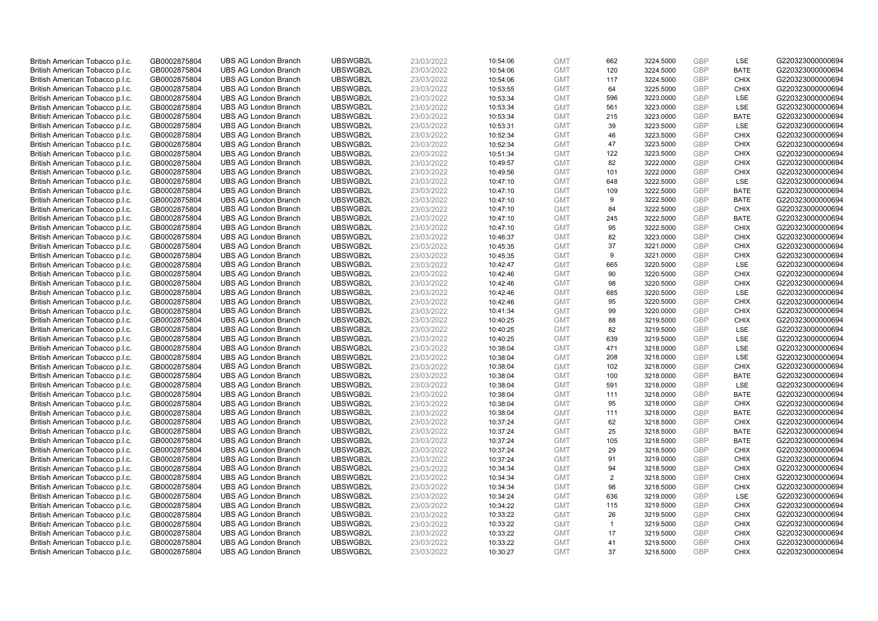| UBSWGB2L<br>120<br>GBP<br><b>BATE</b><br>G220323000000694<br>British American Tobacco p.l.c.<br>GB0002875804<br><b>UBS AG London Branch</b><br>23/03/2022<br><b>GMT</b><br>3224.5000<br>10:54:06<br>British American Tobacco p.l.c.<br>GB0002875804<br><b>UBS AG London Branch</b><br>UBSWGB2L<br>23/03/2022<br>10:54:06<br>117<br>3224.5000<br><b>GBP</b><br><b>CHIX</b><br>G220323000000694<br><b>GMT</b><br>UBSWGB2L<br>23/03/2022<br>GBP<br>G220323000000694<br>British American Tobacco p.l.c.<br>GB0002875804<br><b>UBS AG London Branch</b><br>10:53:55<br><b>GMT</b><br>64<br>3225.5000<br><b>CHIX</b><br>British American Tobacco p.l.c.<br><b>UBS AG London Branch</b><br>UBSWGB2L<br>23/03/2022<br><b>GMT</b><br>596<br>3223.0000<br><b>GBP</b><br><b>LSE</b><br>G220323000000694<br>GB0002875804<br>10:53:34<br>GBP<br><b>UBS AG London Branch</b><br>UBSWGB2L<br>561<br><b>LSE</b><br>G220323000000694<br>British American Tobacco p.l.c.<br>GB0002875804<br>23/03/2022<br>10:53:34<br><b>GMT</b><br>3223.0000<br>GB0002875804<br><b>UBS AG London Branch</b><br>UBSWGB2L<br>23/03/2022<br>10:53:34<br><b>GMT</b><br><b>GBP</b><br><b>BATE</b><br>G220323000000694<br>British American Tobacco p.l.c.<br>215<br>3223.0000<br>LSE<br>23/03/2022<br>39<br>GBP<br>G220323000000694<br>British American Tobacco p.l.c.<br>GB0002875804<br><b>UBS AG London Branch</b><br>UBSWGB2L<br><b>GMT</b><br>3223.5000<br>10:53:31<br>UBSWGB2L<br>10:52:34<br><b>GBP</b><br>G220323000000694<br>British American Tobacco p.l.c.<br>GB0002875804<br><b>UBS AG London Branch</b><br>23/03/2022<br><b>GMT</b><br>46<br>3223.5000<br><b>CHIX</b><br>GBP<br>British American Tobacco p.l.c.<br><b>UBS AG London Branch</b><br>UBSWGB2L<br>23/03/2022<br><b>GMT</b><br>47<br><b>CHIX</b><br>G220323000000694<br>GB0002875804<br>10:52:34<br>3223.5000<br><b>GBP</b><br>British American Tobacco p.l.c.<br>GB0002875804<br><b>UBS AG London Branch</b><br>UBSWGB2L<br>23/03/2022<br><b>GMT</b><br>122<br>G220323000000694<br>10:51:34<br>3223.5000<br><b>CHIX</b><br>82<br>3222.0000<br><b>GBP</b><br>British American Tobacco p.l.c.<br>GB0002875804<br><b>UBS AG London Branch</b><br>UBSWGB2L<br>23/03/2022<br>10:49:57<br><b>GMT</b><br><b>CHIX</b><br>G220323000000694<br><b>UBS AG London Branch</b><br>UBSWGB2L<br>23/03/2022<br>101<br>3222.0000<br>GBP<br><b>CHIX</b><br>G220323000000694<br>British American Tobacco p.l.c.<br>GB0002875804<br>10:49:56<br><b>GMT</b><br><b>GBP</b><br>British American Tobacco p.l.c.<br>GB0002875804<br><b>UBS AG London Branch</b><br>UBSWGB2L<br>23/03/2022<br>10:47:10<br><b>GMT</b><br>648<br>3222.5000<br>LSE<br>G220323000000694<br>109<br>GBP<br><b>BATE</b><br>British American Tobacco p.l.c.<br>GB0002875804<br><b>UBS AG London Branch</b><br>UBSWGB2L<br>23/03/2022<br><b>GMT</b><br>3222.5000<br>G220323000000694<br>10:47:10<br>British American Tobacco p.l.c.<br><b>UBS AG London Branch</b><br>UBSWGB2L<br>10:47:10<br>3222.5000<br><b>GBP</b><br><b>BATE</b><br>G220323000000694<br>GB0002875804<br>23/03/2022<br><b>GMT</b><br>9<br>UBSWGB2L<br>GBP<br>G220323000000694<br>GB0002875804<br><b>UBS AG London Branch</b><br>23/03/2022<br>10:47:10<br><b>GMT</b><br><b>CHIX</b><br>British American Tobacco p.l.c.<br>84<br>3222.5000<br><b>UBS AG London Branch</b><br>245<br>3222.5000<br><b>GBP</b><br><b>BATE</b><br>G220323000000694<br>British American Tobacco p.l.c.<br>GB0002875804<br>UBSWGB2L<br>23/03/2022<br>10:47:10<br><b>GMT</b><br>UBSWGB2L<br>95<br>GBP<br>G220323000000694<br>British American Tobacco p.l.c.<br><b>UBS AG London Branch</b><br>23/03/2022<br>10:47:10<br>3222.5000<br><b>CHIX</b><br>GB0002875804<br><b>GMT</b><br>UBSWGB2L<br><b>GBP</b><br>G220323000000694<br>British American Tobacco p.l.c.<br>GB0002875804<br><b>UBS AG London Branch</b><br>23/03/2022<br>10:46:37<br><b>GMT</b><br>82<br>3223.0000<br><b>CHIX</b><br>37<br>GBP<br>British American Tobacco p.l.c.<br>GB0002875804<br><b>UBS AG London Branch</b><br>UBSWGB2L<br>23/03/2022<br><b>GMT</b><br>3221.0000<br><b>CHIX</b><br>G220323000000694<br>10:45:35<br>G220323000000694<br>GB0002875804<br><b>UBS AG London Branch</b><br>UBSWGB2L<br>23/03/2022<br>10:45:35<br>9<br>3221.0000<br><b>GBP</b><br><b>CHIX</b><br>British American Tobacco p.l.c.<br><b>GMT</b><br>GBP<br><b>UBS AG London Branch</b><br>UBSWGB2L<br>G220323000000694<br>British American Tobacco p.l.c.<br>GB0002875804<br>23/03/2022<br>10:42:47<br><b>GMT</b><br>665<br>3220.5000<br><b>LSE</b><br><b>UBS AG London Branch</b><br>UBSWGB2L<br>90<br><b>GBP</b><br>G220323000000694<br>British American Tobacco p.l.c.<br>GB0002875804<br>23/03/2022<br>10:42:46<br><b>GMT</b><br><b>CHIX</b><br>3220.5000<br>98<br>GBP<br>British American Tobacco p.l.c.<br>GB0002875804<br><b>UBS AG London Branch</b><br>UBSWGB2L<br>23/03/2022<br>10:42:46<br><b>GMT</b><br>3220.5000<br><b>CHIX</b><br>G220323000000694<br>UBSWGB2L<br>685<br>GBP<br>LSE<br>G220323000000694<br>British American Tobacco p.l.c.<br>GB0002875804<br><b>UBS AG London Branch</b><br>23/03/2022<br>10:42:46<br><b>GMT</b><br>3220.5000<br>British American Tobacco p.l.c.<br>GB0002875804<br><b>UBS AG London Branch</b><br>UBSWGB2L<br>23/03/2022<br>10:42:46<br><b>GMT</b><br>95<br><b>GBP</b><br><b>CHIX</b><br>G220323000000694<br>3220.5000<br>GBP<br>British American Tobacco p.l.c.<br><b>UBS AG London Branch</b><br>UBSWGB2L<br>99<br><b>CHIX</b><br>G220323000000694<br>GB0002875804<br>23/03/2022<br>10:41:34<br><b>GMT</b><br>3220.0000<br><b>UBS AG London Branch</b><br>UBSWGB2L<br>88<br><b>GBP</b><br><b>CHIX</b><br>G220323000000694<br>British American Tobacco p.l.c.<br>GB0002875804<br>23/03/2022<br>10:40:25<br><b>GMT</b><br>3219.5000<br>UBSWGB2L<br>23/03/2022<br>82<br><b>GBP</b><br>G220323000000694<br>British American Tobacco p.l.c.<br>GB0002875804<br><b>UBS AG London Branch</b><br>10:40:25<br><b>GMT</b><br>3219.5000<br><b>LSE</b><br>639<br><b>GBP</b><br>LSE<br>G220323000000694<br>British American Tobacco p.l.c.<br>GB0002875804<br><b>UBS AG London Branch</b><br>UBSWGB2L<br>23/03/2022<br>10:40:25<br><b>GMT</b><br>3219.5000<br>471<br><b>GBP</b><br>LSE<br>British American Tobacco p.l.c.<br><b>UBS AG London Branch</b><br>UBSWGB2L<br>10:38:04<br>G220323000000694<br>GB0002875804<br>23/03/2022<br><b>GMT</b><br>3218.0000<br><b>GBP</b><br>British American Tobacco p.l.c.<br>GB0002875804<br><b>UBS AG London Branch</b><br>UBSWGB2L<br>23/03/2022<br>10:38:04<br><b>GMT</b><br>208<br>3218.0000<br>LSE<br>G220323000000694<br>British American Tobacco p.l.c.<br><b>UBS AG London Branch</b><br>23/03/2022<br>102<br><b>GBP</b><br><b>CHIX</b><br>G220323000000694<br>GB0002875804<br>UBSWGB2L<br>10:38:04<br><b>GMT</b><br>3218.0000<br><b>UBS AG London Branch</b><br>UBSWGB2L<br>23/03/2022<br>10:38:04<br>100<br>3218.0000<br><b>GBP</b><br><b>BATE</b><br>G220323000000694<br>British American Tobacco p.l.c.<br>GB0002875804<br><b>GMT</b><br><b>GBP</b><br>British American Tobacco p.l.c.<br>GB0002875804<br><b>UBS AG London Branch</b><br>UBSWGB2L<br>23/03/2022<br>10:38:04<br><b>GMT</b><br>591<br>3218.0000<br>LSE<br>G220323000000694<br>UBSWGB2L<br><b>GBP</b><br>G220323000000694<br>British American Tobacco p.l.c.<br>GB0002875804<br><b>UBS AG London Branch</b><br>23/03/2022<br><b>GMT</b><br>111<br><b>BATE</b><br>10:38:04<br>3218.0000<br>British American Tobacco p.l.c.<br>GB0002875804<br><b>UBS AG London Branch</b><br>UBSWGB2L<br>23/03/2022<br>10:38:04<br><b>GMT</b><br>95<br>3218.0000<br><b>GBP</b><br><b>CHIX</b><br>G220323000000694<br>G220323000000694<br><b>UBS AG London Branch</b><br>UBSWGB2L<br>23/03/2022<br>111<br><b>GBP</b><br><b>BATE</b><br>British American Tobacco p.l.c.<br>GB0002875804<br>10:38:04<br><b>GMT</b><br>3218.0000<br>British American Tobacco p.l.c.<br>GB0002875804<br><b>UBS AG London Branch</b><br>UBSWGB2L<br>23/03/2022<br>62<br><b>GBP</b><br>G220323000000694<br>10:37:24<br><b>GMT</b><br>3218.5000<br><b>CHIX</b><br>British American Tobacco p.l.c.<br>25<br><b>GBP</b><br><b>BATE</b><br>GB0002875804<br><b>UBS AG London Branch</b><br>UBSWGB2L<br>23/03/2022<br><b>GMT</b><br>3218.5000<br>G220323000000694<br>10:37:24<br><b>UBS AG London Branch</b><br>UBSWGB2L<br><b>GBP</b><br>G220323000000694<br>British American Tobacco p.l.c.<br>GB0002875804<br>23/03/2022<br>10:37:24<br><b>GMT</b><br>105<br>3218.5000<br><b>BATE</b><br>UBSWGB2L<br><b>GBP</b><br>G220323000000694<br>GB0002875804<br><b>UBS AG London Branch</b><br>23/03/2022<br>10:37:24<br><b>GMT</b><br>29<br><b>CHIX</b><br>British American Tobacco p.l.c.<br>3218.5000<br>GBP<br>British American Tobacco p.l.c.<br>GB0002875804<br><b>UBS AG London Branch</b><br>UBSWGB2L<br>23/03/2022<br>10:37:24<br><b>GMT</b><br>91<br>3219.0000<br><b>CHIX</b><br>G220323000000694<br><b>UBS AG London Branch</b><br>UBSWGB2L<br>94<br><b>GBP</b><br>G220323000000694<br>British American Tobacco p.l.c.<br>GB0002875804<br>23/03/2022<br>10:34:34<br><b>GMT</b><br>3218.5000<br><b>CHIX</b><br><b>GBP</b><br>British American Tobacco p.l.c.<br>GB0002875804<br><b>UBS AG London Branch</b><br>UBSWGB2L<br>23/03/2022<br><b>GMT</b><br>2<br><b>CHIX</b><br>G220323000000694<br>10:34:34<br>3218.5000<br>98<br><b>GBP</b><br><b>CHIX</b><br>British American Tobacco p.l.c.<br>GB0002875804<br><b>UBS AG London Branch</b><br>UBSWGB2L<br>23/03/2022<br>10:34:34<br><b>GMT</b><br>3218.5000<br>G220323000000694<br>UBSWGB2L<br>636<br><b>GBP</b><br>LSE<br>G220323000000694<br>British American Tobacco p.l.c.<br>GB0002875804<br><b>UBS AG London Branch</b><br>23/03/2022<br>10:34:24<br><b>GMT</b><br>3219.0000<br><b>GBP</b><br>British American Tobacco p.l.c.<br>GB0002875804<br><b>UBS AG London Branch</b><br>UBSWGB2L<br>23/03/2022<br>10:34:22<br><b>GMT</b><br>115<br>3219.5000<br><b>CHIX</b><br>G220323000000694<br><b>GBP</b><br>British American Tobacco p.l.c.<br><b>UBS AG London Branch</b><br>UBSWGB2L<br>23/03/2022<br><b>GMT</b><br>26<br>G220323000000694<br>GB0002875804<br>10:33:22<br><b>CHIX</b><br>3219.5000<br>British American Tobacco p.l.c.<br><b>UBS AG London Branch</b><br>UBSWGB2L<br>23/03/2022<br>3219.5000<br><b>GBP</b><br><b>CHIX</b><br>G220323000000694<br>GB0002875804<br>10:33:22<br><b>GMT</b><br>$\mathbf{1}$<br>G220323000000694<br>UBSWGB2L<br>17<br><b>GBP</b><br><b>CHIX</b><br>British American Tobacco p.l.c.<br>GB0002875804<br><b>UBS AG London Branch</b><br>23/03/2022<br>10:33:22<br>3219.5000<br><b>GMT</b><br><b>GBP</b><br>G220323000000694<br>British American Tobacco p.l.c.<br>GB0002875804<br><b>UBS AG London Branch</b><br>UBSWGB2L<br>23/03/2022<br>10:33:22<br><b>GMT</b><br>41<br>3219.5000<br><b>CHIX</b><br>37<br>GBP<br>CHIX<br>British American Tobacco p.l.c.<br>GB0002875804<br><b>UBS AG London Branch</b><br>UBSWGB2L<br>23/03/2022<br>10:30:27<br><b>GMT</b><br>3218.5000<br>G220323000000694 | British American Tobacco p.l.c. | GB0002875804 | <b>UBS AG London Branch</b> | UBSWGB2L | 23/03/2022 | 10:54:06 | <b>GMT</b> | 662 | 3224.5000 | <b>GBP</b> | <b>LSE</b> | G220323000000694 |
|-----------------------------------------------------------------------------------------------------------------------------------------------------------------------------------------------------------------------------------------------------------------------------------------------------------------------------------------------------------------------------------------------------------------------------------------------------------------------------------------------------------------------------------------------------------------------------------------------------------------------------------------------------------------------------------------------------------------------------------------------------------------------------------------------------------------------------------------------------------------------------------------------------------------------------------------------------------------------------------------------------------------------------------------------------------------------------------------------------------------------------------------------------------------------------------------------------------------------------------------------------------------------------------------------------------------------------------------------------------------------------------------------------------------------------------------------------------------------------------------------------------------------------------------------------------------------------------------------------------------------------------------------------------------------------------------------------------------------------------------------------------------------------------------------------------------------------------------------------------------------------------------------------------------------------------------------------------------------------------------------------------------------------------------------------------------------------------------------------------------------------------------------------------------------------------------------------------------------------------------------------------------------------------------------------------------------------------------------------------------------------------------------------------------------------------------------------------------------------------------------------------------------------------------------------------------------------------------------------------------------------------------------------------------------------------------------------------------------------------------------------------------------------------------------------------------------------------------------------------------------------------------------------------------------------------------------------------------------------------------------------------------------------------------------------------------------------------------------------------------------------------------------------------------------------------------------------------------------------------------------------------------------------------------------------------------------------------------------------------------------------------------------------------------------------------------------------------------------------------------------------------------------------------------------------------------------------------------------------------------------------------------------------------------------------------------------------------------------------------------------------------------------------------------------------------------------------------------------------------------------------------------------------------------------------------------------------------------------------------------------------------------------------------------------------------------------------------------------------------------------------------------------------------------------------------------------------------------------------------------------------------------------------------------------------------------------------------------------------------------------------------------------------------------------------------------------------------------------------------------------------------------------------------------------------------------------------------------------------------------------------------------------------------------------------------------------------------------------------------------------------------------------------------------------------------------------------------------------------------------------------------------------------------------------------------------------------------------------------------------------------------------------------------------------------------------------------------------------------------------------------------------------------------------------------------------------------------------------------------------------------------------------------------------------------------------------------------------------------------------------------------------------------------------------------------------------------------------------------------------------------------------------------------------------------------------------------------------------------------------------------------------------------------------------------------------------------------------------------------------------------------------------------------------------------------------------------------------------------------------------------------------------------------------------------------------------------------------------------------------------------------------------------------------------------------------------------------------------------------------------------------------------------------------------------------------------------------------------------------------------------------------------------------------------------------------------------------------------------------------------------------------------------------------------------------------------------------------------------------------------------------------------------------------------------------------------------------------------------------------------------------------------------------------------------------------------------------------------------------------------------------------------------------------------------------------------------------------------------------------------------------------------------------------------------------------------------------------------------------------------------------------------------------------------------------------------------------------------------------------------------------------------------------------------------------------------------------------------------------------------------------------------------------------------------------------------------------------------------------------------------------------------------------------------------------------------------------------------------------------------------------------------------------------------------------------------------------------------------------------------------------------------------------------------------------------------------------------------------------------------------------------------------------------------------------------------------------------------------------------------------------------------------------------------------------------------------------------------------------------------------------------------------------------------------------------------------------------------------------------------------------------------------------------------------------------------------------------------------------------------------------------------------------------------------------------------------------------------------------------------------------------------------------------------------------------------------------------------------------------------------------------------------------------------------------------------------------------------------------------------------------------------------------------------------------------------------------------------------------------------------------------------------------------------------------------------------------------------------------------------------------------------------------------------------------------------------------------------------------------------------------------------------------------------------------------------------------------------------------------------------------------------------------------------------------------------------------------------------------------------------------------------------------------------------------------------------------------------------------------------------------------------------------------------------------------------------------------------------------------------------------------------------------------------------------------------------------------------------------------------------------------------------------------------------------------------------------------------------------------------------------------------------------------------------------------------------------------------------------------------------------------------------------------------------------------------------------------------------------------------------------------------------------------------------------------------------------------------------------------------------------------------------------------------------------------------------------------------------------------------------------------------------------------------------------------------------------------------------------------------------------------------------------------------------------------------------------------------------------------------------------------------------------------------------------------------------------------------------------------------------------------------------------------------------------------------------------------------------------------------------------------------------------------------------------------------------------------------------------------------------------------------------------------------------------------------------------------------------------|---------------------------------|--------------|-----------------------------|----------|------------|----------|------------|-----|-----------|------------|------------|------------------|
|                                                                                                                                                                                                                                                                                                                                                                                                                                                                                                                                                                                                                                                                                                                                                                                                                                                                                                                                                                                                                                                                                                                                                                                                                                                                                                                                                                                                                                                                                                                                                                                                                                                                                                                                                                                                                                                                                                                                                                                                                                                                                                                                                                                                                                                                                                                                                                                                                                                                                                                                                                                                                                                                                                                                                                                                                                                                                                                                                                                                                                                                                                                                                                                                                                                                                                                                                                                                                                                                                                                                                                                                                                                                                                                                                                                                                                                                                                                                                                                                                                                                                                                                                                                                                                                                                                                                                                                                                                                                                                                                                                                                                                                                                                                                                                                                                                                                                                                                                                                                                                                                                                                                                                                                                                                                                                                                                                                                                                                                                                                                                                                                                                                                                                                                                                                                                                                                                                                                                                                                                                                                                                                                                                                                                                                                                                                                                                                                                                                                                                                                                                                                                                                                                                                                                                                                                                                                                                                                                                                                                                                                                                                                                                                                                                                                                                                                                                                                                                                                                                                                                                                                                                                                                                                                                                                                                                                                                                                                                                                                                                                                                                                                                                                                                                                                                                                                                                                                                                                                                                                                                                                                                                                                                                                                                                                                                                                                                                                                                                                                                                                                                                                                                                                                                                                                                                                                                                                                                                                                                                                                                                                                                                                                                                                                                                                                                                                                                                                                                                                                                                                                                                                                                                                                                                                                                                                                                                                                                                                                                                                                                                                                                                                                                                                                                                                                                                                                                                                                                                                   |                                 |              |                             |          |            |          |            |     |           |            |            |                  |
|                                                                                                                                                                                                                                                                                                                                                                                                                                                                                                                                                                                                                                                                                                                                                                                                                                                                                                                                                                                                                                                                                                                                                                                                                                                                                                                                                                                                                                                                                                                                                                                                                                                                                                                                                                                                                                                                                                                                                                                                                                                                                                                                                                                                                                                                                                                                                                                                                                                                                                                                                                                                                                                                                                                                                                                                                                                                                                                                                                                                                                                                                                                                                                                                                                                                                                                                                                                                                                                                                                                                                                                                                                                                                                                                                                                                                                                                                                                                                                                                                                                                                                                                                                                                                                                                                                                                                                                                                                                                                                                                                                                                                                                                                                                                                                                                                                                                                                                                                                                                                                                                                                                                                                                                                                                                                                                                                                                                                                                                                                                                                                                                                                                                                                                                                                                                                                                                                                                                                                                                                                                                                                                                                                                                                                                                                                                                                                                                                                                                                                                                                                                                                                                                                                                                                                                                                                                                                                                                                                                                                                                                                                                                                                                                                                                                                                                                                                                                                                                                                                                                                                                                                                                                                                                                                                                                                                                                                                                                                                                                                                                                                                                                                                                                                                                                                                                                                                                                                                                                                                                                                                                                                                                                                                                                                                                                                                                                                                                                                                                                                                                                                                                                                                                                                                                                                                                                                                                                                                                                                                                                                                                                                                                                                                                                                                                                                                                                                                                                                                                                                                                                                                                                                                                                                                                                                                                                                                                                                                                                                                                                                                                                                                                                                                                                                                                                                                                                                                                                                                                   |                                 |              |                             |          |            |          |            |     |           |            |            |                  |
|                                                                                                                                                                                                                                                                                                                                                                                                                                                                                                                                                                                                                                                                                                                                                                                                                                                                                                                                                                                                                                                                                                                                                                                                                                                                                                                                                                                                                                                                                                                                                                                                                                                                                                                                                                                                                                                                                                                                                                                                                                                                                                                                                                                                                                                                                                                                                                                                                                                                                                                                                                                                                                                                                                                                                                                                                                                                                                                                                                                                                                                                                                                                                                                                                                                                                                                                                                                                                                                                                                                                                                                                                                                                                                                                                                                                                                                                                                                                                                                                                                                                                                                                                                                                                                                                                                                                                                                                                                                                                                                                                                                                                                                                                                                                                                                                                                                                                                                                                                                                                                                                                                                                                                                                                                                                                                                                                                                                                                                                                                                                                                                                                                                                                                                                                                                                                                                                                                                                                                                                                                                                                                                                                                                                                                                                                                                                                                                                                                                                                                                                                                                                                                                                                                                                                                                                                                                                                                                                                                                                                                                                                                                                                                                                                                                                                                                                                                                                                                                                                                                                                                                                                                                                                                                                                                                                                                                                                                                                                                                                                                                                                                                                                                                                                                                                                                                                                                                                                                                                                                                                                                                                                                                                                                                                                                                                                                                                                                                                                                                                                                                                                                                                                                                                                                                                                                                                                                                                                                                                                                                                                                                                                                                                                                                                                                                                                                                                                                                                                                                                                                                                                                                                                                                                                                                                                                                                                                                                                                                                                                                                                                                                                                                                                                                                                                                                                                                                                                                                                                                   |                                 |              |                             |          |            |          |            |     |           |            |            |                  |
|                                                                                                                                                                                                                                                                                                                                                                                                                                                                                                                                                                                                                                                                                                                                                                                                                                                                                                                                                                                                                                                                                                                                                                                                                                                                                                                                                                                                                                                                                                                                                                                                                                                                                                                                                                                                                                                                                                                                                                                                                                                                                                                                                                                                                                                                                                                                                                                                                                                                                                                                                                                                                                                                                                                                                                                                                                                                                                                                                                                                                                                                                                                                                                                                                                                                                                                                                                                                                                                                                                                                                                                                                                                                                                                                                                                                                                                                                                                                                                                                                                                                                                                                                                                                                                                                                                                                                                                                                                                                                                                                                                                                                                                                                                                                                                                                                                                                                                                                                                                                                                                                                                                                                                                                                                                                                                                                                                                                                                                                                                                                                                                                                                                                                                                                                                                                                                                                                                                                                                                                                                                                                                                                                                                                                                                                                                                                                                                                                                                                                                                                                                                                                                                                                                                                                                                                                                                                                                                                                                                                                                                                                                                                                                                                                                                                                                                                                                                                                                                                                                                                                                                                                                                                                                                                                                                                                                                                                                                                                                                                                                                                                                                                                                                                                                                                                                                                                                                                                                                                                                                                                                                                                                                                                                                                                                                                                                                                                                                                                                                                                                                                                                                                                                                                                                                                                                                                                                                                                                                                                                                                                                                                                                                                                                                                                                                                                                                                                                                                                                                                                                                                                                                                                                                                                                                                                                                                                                                                                                                                                                                                                                                                                                                                                                                                                                                                                                                                                                                                                                                   |                                 |              |                             |          |            |          |            |     |           |            |            |                  |
|                                                                                                                                                                                                                                                                                                                                                                                                                                                                                                                                                                                                                                                                                                                                                                                                                                                                                                                                                                                                                                                                                                                                                                                                                                                                                                                                                                                                                                                                                                                                                                                                                                                                                                                                                                                                                                                                                                                                                                                                                                                                                                                                                                                                                                                                                                                                                                                                                                                                                                                                                                                                                                                                                                                                                                                                                                                                                                                                                                                                                                                                                                                                                                                                                                                                                                                                                                                                                                                                                                                                                                                                                                                                                                                                                                                                                                                                                                                                                                                                                                                                                                                                                                                                                                                                                                                                                                                                                                                                                                                                                                                                                                                                                                                                                                                                                                                                                                                                                                                                                                                                                                                                                                                                                                                                                                                                                                                                                                                                                                                                                                                                                                                                                                                                                                                                                                                                                                                                                                                                                                                                                                                                                                                                                                                                                                                                                                                                                                                                                                                                                                                                                                                                                                                                                                                                                                                                                                                                                                                                                                                                                                                                                                                                                                                                                                                                                                                                                                                                                                                                                                                                                                                                                                                                                                                                                                                                                                                                                                                                                                                                                                                                                                                                                                                                                                                                                                                                                                                                                                                                                                                                                                                                                                                                                                                                                                                                                                                                                                                                                                                                                                                                                                                                                                                                                                                                                                                                                                                                                                                                                                                                                                                                                                                                                                                                                                                                                                                                                                                                                                                                                                                                                                                                                                                                                                                                                                                                                                                                                                                                                                                                                                                                                                                                                                                                                                                                                                                                                                                   |                                 |              |                             |          |            |          |            |     |           |            |            |                  |
|                                                                                                                                                                                                                                                                                                                                                                                                                                                                                                                                                                                                                                                                                                                                                                                                                                                                                                                                                                                                                                                                                                                                                                                                                                                                                                                                                                                                                                                                                                                                                                                                                                                                                                                                                                                                                                                                                                                                                                                                                                                                                                                                                                                                                                                                                                                                                                                                                                                                                                                                                                                                                                                                                                                                                                                                                                                                                                                                                                                                                                                                                                                                                                                                                                                                                                                                                                                                                                                                                                                                                                                                                                                                                                                                                                                                                                                                                                                                                                                                                                                                                                                                                                                                                                                                                                                                                                                                                                                                                                                                                                                                                                                                                                                                                                                                                                                                                                                                                                                                                                                                                                                                                                                                                                                                                                                                                                                                                                                                                                                                                                                                                                                                                                                                                                                                                                                                                                                                                                                                                                                                                                                                                                                                                                                                                                                                                                                                                                                                                                                                                                                                                                                                                                                                                                                                                                                                                                                                                                                                                                                                                                                                                                                                                                                                                                                                                                                                                                                                                                                                                                                                                                                                                                                                                                                                                                                                                                                                                                                                                                                                                                                                                                                                                                                                                                                                                                                                                                                                                                                                                                                                                                                                                                                                                                                                                                                                                                                                                                                                                                                                                                                                                                                                                                                                                                                                                                                                                                                                                                                                                                                                                                                                                                                                                                                                                                                                                                                                                                                                                                                                                                                                                                                                                                                                                                                                                                                                                                                                                                                                                                                                                                                                                                                                                                                                                                                                                                                                                                                   |                                 |              |                             |          |            |          |            |     |           |            |            |                  |
|                                                                                                                                                                                                                                                                                                                                                                                                                                                                                                                                                                                                                                                                                                                                                                                                                                                                                                                                                                                                                                                                                                                                                                                                                                                                                                                                                                                                                                                                                                                                                                                                                                                                                                                                                                                                                                                                                                                                                                                                                                                                                                                                                                                                                                                                                                                                                                                                                                                                                                                                                                                                                                                                                                                                                                                                                                                                                                                                                                                                                                                                                                                                                                                                                                                                                                                                                                                                                                                                                                                                                                                                                                                                                                                                                                                                                                                                                                                                                                                                                                                                                                                                                                                                                                                                                                                                                                                                                                                                                                                                                                                                                                                                                                                                                                                                                                                                                                                                                                                                                                                                                                                                                                                                                                                                                                                                                                                                                                                                                                                                                                                                                                                                                                                                                                                                                                                                                                                                                                                                                                                                                                                                                                                                                                                                                                                                                                                                                                                                                                                                                                                                                                                                                                                                                                                                                                                                                                                                                                                                                                                                                                                                                                                                                                                                                                                                                                                                                                                                                                                                                                                                                                                                                                                                                                                                                                                                                                                                                                                                                                                                                                                                                                                                                                                                                                                                                                                                                                                                                                                                                                                                                                                                                                                                                                                                                                                                                                                                                                                                                                                                                                                                                                                                                                                                                                                                                                                                                                                                                                                                                                                                                                                                                                                                                                                                                                                                                                                                                                                                                                                                                                                                                                                                                                                                                                                                                                                                                                                                                                                                                                                                                                                                                                                                                                                                                                                                                                                                                                                   |                                 |              |                             |          |            |          |            |     |           |            |            |                  |
|                                                                                                                                                                                                                                                                                                                                                                                                                                                                                                                                                                                                                                                                                                                                                                                                                                                                                                                                                                                                                                                                                                                                                                                                                                                                                                                                                                                                                                                                                                                                                                                                                                                                                                                                                                                                                                                                                                                                                                                                                                                                                                                                                                                                                                                                                                                                                                                                                                                                                                                                                                                                                                                                                                                                                                                                                                                                                                                                                                                                                                                                                                                                                                                                                                                                                                                                                                                                                                                                                                                                                                                                                                                                                                                                                                                                                                                                                                                                                                                                                                                                                                                                                                                                                                                                                                                                                                                                                                                                                                                                                                                                                                                                                                                                                                                                                                                                                                                                                                                                                                                                                                                                                                                                                                                                                                                                                                                                                                                                                                                                                                                                                                                                                                                                                                                                                                                                                                                                                                                                                                                                                                                                                                                                                                                                                                                                                                                                                                                                                                                                                                                                                                                                                                                                                                                                                                                                                                                                                                                                                                                                                                                                                                                                                                                                                                                                                                                                                                                                                                                                                                                                                                                                                                                                                                                                                                                                                                                                                                                                                                                                                                                                                                                                                                                                                                                                                                                                                                                                                                                                                                                                                                                                                                                                                                                                                                                                                                                                                                                                                                                                                                                                                                                                                                                                                                                                                                                                                                                                                                                                                                                                                                                                                                                                                                                                                                                                                                                                                                                                                                                                                                                                                                                                                                                                                                                                                                                                                                                                                                                                                                                                                                                                                                                                                                                                                                                                                                                                                                                   |                                 |              |                             |          |            |          |            |     |           |            |            |                  |
|                                                                                                                                                                                                                                                                                                                                                                                                                                                                                                                                                                                                                                                                                                                                                                                                                                                                                                                                                                                                                                                                                                                                                                                                                                                                                                                                                                                                                                                                                                                                                                                                                                                                                                                                                                                                                                                                                                                                                                                                                                                                                                                                                                                                                                                                                                                                                                                                                                                                                                                                                                                                                                                                                                                                                                                                                                                                                                                                                                                                                                                                                                                                                                                                                                                                                                                                                                                                                                                                                                                                                                                                                                                                                                                                                                                                                                                                                                                                                                                                                                                                                                                                                                                                                                                                                                                                                                                                                                                                                                                                                                                                                                                                                                                                                                                                                                                                                                                                                                                                                                                                                                                                                                                                                                                                                                                                                                                                                                                                                                                                                                                                                                                                                                                                                                                                                                                                                                                                                                                                                                                                                                                                                                                                                                                                                                                                                                                                                                                                                                                                                                                                                                                                                                                                                                                                                                                                                                                                                                                                                                                                                                                                                                                                                                                                                                                                                                                                                                                                                                                                                                                                                                                                                                                                                                                                                                                                                                                                                                                                                                                                                                                                                                                                                                                                                                                                                                                                                                                                                                                                                                                                                                                                                                                                                                                                                                                                                                                                                                                                                                                                                                                                                                                                                                                                                                                                                                                                                                                                                                                                                                                                                                                                                                                                                                                                                                                                                                                                                                                                                                                                                                                                                                                                                                                                                                                                                                                                                                                                                                                                                                                                                                                                                                                                                                                                                                                                                                                                                                                   |                                 |              |                             |          |            |          |            |     |           |            |            |                  |
|                                                                                                                                                                                                                                                                                                                                                                                                                                                                                                                                                                                                                                                                                                                                                                                                                                                                                                                                                                                                                                                                                                                                                                                                                                                                                                                                                                                                                                                                                                                                                                                                                                                                                                                                                                                                                                                                                                                                                                                                                                                                                                                                                                                                                                                                                                                                                                                                                                                                                                                                                                                                                                                                                                                                                                                                                                                                                                                                                                                                                                                                                                                                                                                                                                                                                                                                                                                                                                                                                                                                                                                                                                                                                                                                                                                                                                                                                                                                                                                                                                                                                                                                                                                                                                                                                                                                                                                                                                                                                                                                                                                                                                                                                                                                                                                                                                                                                                                                                                                                                                                                                                                                                                                                                                                                                                                                                                                                                                                                                                                                                                                                                                                                                                                                                                                                                                                                                                                                                                                                                                                                                                                                                                                                                                                                                                                                                                                                                                                                                                                                                                                                                                                                                                                                                                                                                                                                                                                                                                                                                                                                                                                                                                                                                                                                                                                                                                                                                                                                                                                                                                                                                                                                                                                                                                                                                                                                                                                                                                                                                                                                                                                                                                                                                                                                                                                                                                                                                                                                                                                                                                                                                                                                                                                                                                                                                                                                                                                                                                                                                                                                                                                                                                                                                                                                                                                                                                                                                                                                                                                                                                                                                                                                                                                                                                                                                                                                                                                                                                                                                                                                                                                                                                                                                                                                                                                                                                                                                                                                                                                                                                                                                                                                                                                                                                                                                                                                                                                                                                                   |                                 |              |                             |          |            |          |            |     |           |            |            |                  |
|                                                                                                                                                                                                                                                                                                                                                                                                                                                                                                                                                                                                                                                                                                                                                                                                                                                                                                                                                                                                                                                                                                                                                                                                                                                                                                                                                                                                                                                                                                                                                                                                                                                                                                                                                                                                                                                                                                                                                                                                                                                                                                                                                                                                                                                                                                                                                                                                                                                                                                                                                                                                                                                                                                                                                                                                                                                                                                                                                                                                                                                                                                                                                                                                                                                                                                                                                                                                                                                                                                                                                                                                                                                                                                                                                                                                                                                                                                                                                                                                                                                                                                                                                                                                                                                                                                                                                                                                                                                                                                                                                                                                                                                                                                                                                                                                                                                                                                                                                                                                                                                                                                                                                                                                                                                                                                                                                                                                                                                                                                                                                                                                                                                                                                                                                                                                                                                                                                                                                                                                                                                                                                                                                                                                                                                                                                                                                                                                                                                                                                                                                                                                                                                                                                                                                                                                                                                                                                                                                                                                                                                                                                                                                                                                                                                                                                                                                                                                                                                                                                                                                                                                                                                                                                                                                                                                                                                                                                                                                                                                                                                                                                                                                                                                                                                                                                                                                                                                                                                                                                                                                                                                                                                                                                                                                                                                                                                                                                                                                                                                                                                                                                                                                                                                                                                                                                                                                                                                                                                                                                                                                                                                                                                                                                                                                                                                                                                                                                                                                                                                                                                                                                                                                                                                                                                                                                                                                                                                                                                                                                                                                                                                                                                                                                                                                                                                                                                                                                                                                                                   |                                 |              |                             |          |            |          |            |     |           |            |            |                  |
|                                                                                                                                                                                                                                                                                                                                                                                                                                                                                                                                                                                                                                                                                                                                                                                                                                                                                                                                                                                                                                                                                                                                                                                                                                                                                                                                                                                                                                                                                                                                                                                                                                                                                                                                                                                                                                                                                                                                                                                                                                                                                                                                                                                                                                                                                                                                                                                                                                                                                                                                                                                                                                                                                                                                                                                                                                                                                                                                                                                                                                                                                                                                                                                                                                                                                                                                                                                                                                                                                                                                                                                                                                                                                                                                                                                                                                                                                                                                                                                                                                                                                                                                                                                                                                                                                                                                                                                                                                                                                                                                                                                                                                                                                                                                                                                                                                                                                                                                                                                                                                                                                                                                                                                                                                                                                                                                                                                                                                                                                                                                                                                                                                                                                                                                                                                                                                                                                                                                                                                                                                                                                                                                                                                                                                                                                                                                                                                                                                                                                                                                                                                                                                                                                                                                                                                                                                                                                                                                                                                                                                                                                                                                                                                                                                                                                                                                                                                                                                                                                                                                                                                                                                                                                                                                                                                                                                                                                                                                                                                                                                                                                                                                                                                                                                                                                                                                                                                                                                                                                                                                                                                                                                                                                                                                                                                                                                                                                                                                                                                                                                                                                                                                                                                                                                                                                                                                                                                                                                                                                                                                                                                                                                                                                                                                                                                                                                                                                                                                                                                                                                                                                                                                                                                                                                                                                                                                                                                                                                                                                                                                                                                                                                                                                                                                                                                                                                                                                                                                                                                   |                                 |              |                             |          |            |          |            |     |           |            |            |                  |
|                                                                                                                                                                                                                                                                                                                                                                                                                                                                                                                                                                                                                                                                                                                                                                                                                                                                                                                                                                                                                                                                                                                                                                                                                                                                                                                                                                                                                                                                                                                                                                                                                                                                                                                                                                                                                                                                                                                                                                                                                                                                                                                                                                                                                                                                                                                                                                                                                                                                                                                                                                                                                                                                                                                                                                                                                                                                                                                                                                                                                                                                                                                                                                                                                                                                                                                                                                                                                                                                                                                                                                                                                                                                                                                                                                                                                                                                                                                                                                                                                                                                                                                                                                                                                                                                                                                                                                                                                                                                                                                                                                                                                                                                                                                                                                                                                                                                                                                                                                                                                                                                                                                                                                                                                                                                                                                                                                                                                                                                                                                                                                                                                                                                                                                                                                                                                                                                                                                                                                                                                                                                                                                                                                                                                                                                                                                                                                                                                                                                                                                                                                                                                                                                                                                                                                                                                                                                                                                                                                                                                                                                                                                                                                                                                                                                                                                                                                                                                                                                                                                                                                                                                                                                                                                                                                                                                                                                                                                                                                                                                                                                                                                                                                                                                                                                                                                                                                                                                                                                                                                                                                                                                                                                                                                                                                                                                                                                                                                                                                                                                                                                                                                                                                                                                                                                                                                                                                                                                                                                                                                                                                                                                                                                                                                                                                                                                                                                                                                                                                                                                                                                                                                                                                                                                                                                                                                                                                                                                                                                                                                                                                                                                                                                                                                                                                                                                                                                                                                                                                                   |                                 |              |                             |          |            |          |            |     |           |            |            |                  |
|                                                                                                                                                                                                                                                                                                                                                                                                                                                                                                                                                                                                                                                                                                                                                                                                                                                                                                                                                                                                                                                                                                                                                                                                                                                                                                                                                                                                                                                                                                                                                                                                                                                                                                                                                                                                                                                                                                                                                                                                                                                                                                                                                                                                                                                                                                                                                                                                                                                                                                                                                                                                                                                                                                                                                                                                                                                                                                                                                                                                                                                                                                                                                                                                                                                                                                                                                                                                                                                                                                                                                                                                                                                                                                                                                                                                                                                                                                                                                                                                                                                                                                                                                                                                                                                                                                                                                                                                                                                                                                                                                                                                                                                                                                                                                                                                                                                                                                                                                                                                                                                                                                                                                                                                                                                                                                                                                                                                                                                                                                                                                                                                                                                                                                                                                                                                                                                                                                                                                                                                                                                                                                                                                                                                                                                                                                                                                                                                                                                                                                                                                                                                                                                                                                                                                                                                                                                                                                                                                                                                                                                                                                                                                                                                                                                                                                                                                                                                                                                                                                                                                                                                                                                                                                                                                                                                                                                                                                                                                                                                                                                                                                                                                                                                                                                                                                                                                                                                                                                                                                                                                                                                                                                                                                                                                                                                                                                                                                                                                                                                                                                                                                                                                                                                                                                                                                                                                                                                                                                                                                                                                                                                                                                                                                                                                                                                                                                                                                                                                                                                                                                                                                                                                                                                                                                                                                                                                                                                                                                                                                                                                                                                                                                                                                                                                                                                                                                                                                                                                                                   |                                 |              |                             |          |            |          |            |     |           |            |            |                  |
|                                                                                                                                                                                                                                                                                                                                                                                                                                                                                                                                                                                                                                                                                                                                                                                                                                                                                                                                                                                                                                                                                                                                                                                                                                                                                                                                                                                                                                                                                                                                                                                                                                                                                                                                                                                                                                                                                                                                                                                                                                                                                                                                                                                                                                                                                                                                                                                                                                                                                                                                                                                                                                                                                                                                                                                                                                                                                                                                                                                                                                                                                                                                                                                                                                                                                                                                                                                                                                                                                                                                                                                                                                                                                                                                                                                                                                                                                                                                                                                                                                                                                                                                                                                                                                                                                                                                                                                                                                                                                                                                                                                                                                                                                                                                                                                                                                                                                                                                                                                                                                                                                                                                                                                                                                                                                                                                                                                                                                                                                                                                                                                                                                                                                                                                                                                                                                                                                                                                                                                                                                                                                                                                                                                                                                                                                                                                                                                                                                                                                                                                                                                                                                                                                                                                                                                                                                                                                                                                                                                                                                                                                                                                                                                                                                                                                                                                                                                                                                                                                                                                                                                                                                                                                                                                                                                                                                                                                                                                                                                                                                                                                                                                                                                                                                                                                                                                                                                                                                                                                                                                                                                                                                                                                                                                                                                                                                                                                                                                                                                                                                                                                                                                                                                                                                                                                                                                                                                                                                                                                                                                                                                                                                                                                                                                                                                                                                                                                                                                                                                                                                                                                                                                                                                                                                                                                                                                                                                                                                                                                                                                                                                                                                                                                                                                                                                                                                                                                                                                                                                   |                                 |              |                             |          |            |          |            |     |           |            |            |                  |
|                                                                                                                                                                                                                                                                                                                                                                                                                                                                                                                                                                                                                                                                                                                                                                                                                                                                                                                                                                                                                                                                                                                                                                                                                                                                                                                                                                                                                                                                                                                                                                                                                                                                                                                                                                                                                                                                                                                                                                                                                                                                                                                                                                                                                                                                                                                                                                                                                                                                                                                                                                                                                                                                                                                                                                                                                                                                                                                                                                                                                                                                                                                                                                                                                                                                                                                                                                                                                                                                                                                                                                                                                                                                                                                                                                                                                                                                                                                                                                                                                                                                                                                                                                                                                                                                                                                                                                                                                                                                                                                                                                                                                                                                                                                                                                                                                                                                                                                                                                                                                                                                                                                                                                                                                                                                                                                                                                                                                                                                                                                                                                                                                                                                                                                                                                                                                                                                                                                                                                                                                                                                                                                                                                                                                                                                                                                                                                                                                                                                                                                                                                                                                                                                                                                                                                                                                                                                                                                                                                                                                                                                                                                                                                                                                                                                                                                                                                                                                                                                                                                                                                                                                                                                                                                                                                                                                                                                                                                                                                                                                                                                                                                                                                                                                                                                                                                                                                                                                                                                                                                                                                                                                                                                                                                                                                                                                                                                                                                                                                                                                                                                                                                                                                                                                                                                                                                                                                                                                                                                                                                                                                                                                                                                                                                                                                                                                                                                                                                                                                                                                                                                                                                                                                                                                                                                                                                                                                                                                                                                                                                                                                                                                                                                                                                                                                                                                                                                                                                                                                                   |                                 |              |                             |          |            |          |            |     |           |            |            |                  |
|                                                                                                                                                                                                                                                                                                                                                                                                                                                                                                                                                                                                                                                                                                                                                                                                                                                                                                                                                                                                                                                                                                                                                                                                                                                                                                                                                                                                                                                                                                                                                                                                                                                                                                                                                                                                                                                                                                                                                                                                                                                                                                                                                                                                                                                                                                                                                                                                                                                                                                                                                                                                                                                                                                                                                                                                                                                                                                                                                                                                                                                                                                                                                                                                                                                                                                                                                                                                                                                                                                                                                                                                                                                                                                                                                                                                                                                                                                                                                                                                                                                                                                                                                                                                                                                                                                                                                                                                                                                                                                                                                                                                                                                                                                                                                                                                                                                                                                                                                                                                                                                                                                                                                                                                                                                                                                                                                                                                                                                                                                                                                                                                                                                                                                                                                                                                                                                                                                                                                                                                                                                                                                                                                                                                                                                                                                                                                                                                                                                                                                                                                                                                                                                                                                                                                                                                                                                                                                                                                                                                                                                                                                                                                                                                                                                                                                                                                                                                                                                                                                                                                                                                                                                                                                                                                                                                                                                                                                                                                                                                                                                                                                                                                                                                                                                                                                                                                                                                                                                                                                                                                                                                                                                                                                                                                                                                                                                                                                                                                                                                                                                                                                                                                                                                                                                                                                                                                                                                                                                                                                                                                                                                                                                                                                                                                                                                                                                                                                                                                                                                                                                                                                                                                                                                                                                                                                                                                                                                                                                                                                                                                                                                                                                                                                                                                                                                                                                                                                                                                                                   |                                 |              |                             |          |            |          |            |     |           |            |            |                  |
|                                                                                                                                                                                                                                                                                                                                                                                                                                                                                                                                                                                                                                                                                                                                                                                                                                                                                                                                                                                                                                                                                                                                                                                                                                                                                                                                                                                                                                                                                                                                                                                                                                                                                                                                                                                                                                                                                                                                                                                                                                                                                                                                                                                                                                                                                                                                                                                                                                                                                                                                                                                                                                                                                                                                                                                                                                                                                                                                                                                                                                                                                                                                                                                                                                                                                                                                                                                                                                                                                                                                                                                                                                                                                                                                                                                                                                                                                                                                                                                                                                                                                                                                                                                                                                                                                                                                                                                                                                                                                                                                                                                                                                                                                                                                                                                                                                                                                                                                                                                                                                                                                                                                                                                                                                                                                                                                                                                                                                                                                                                                                                                                                                                                                                                                                                                                                                                                                                                                                                                                                                                                                                                                                                                                                                                                                                                                                                                                                                                                                                                                                                                                                                                                                                                                                                                                                                                                                                                                                                                                                                                                                                                                                                                                                                                                                                                                                                                                                                                                                                                                                                                                                                                                                                                                                                                                                                                                                                                                                                                                                                                                                                                                                                                                                                                                                                                                                                                                                                                                                                                                                                                                                                                                                                                                                                                                                                                                                                                                                                                                                                                                                                                                                                                                                                                                                                                                                                                                                                                                                                                                                                                                                                                                                                                                                                                                                                                                                                                                                                                                                                                                                                                                                                                                                                                                                                                                                                                                                                                                                                                                                                                                                                                                                                                                                                                                                                                                                                                                                                                   |                                 |              |                             |          |            |          |            |     |           |            |            |                  |
|                                                                                                                                                                                                                                                                                                                                                                                                                                                                                                                                                                                                                                                                                                                                                                                                                                                                                                                                                                                                                                                                                                                                                                                                                                                                                                                                                                                                                                                                                                                                                                                                                                                                                                                                                                                                                                                                                                                                                                                                                                                                                                                                                                                                                                                                                                                                                                                                                                                                                                                                                                                                                                                                                                                                                                                                                                                                                                                                                                                                                                                                                                                                                                                                                                                                                                                                                                                                                                                                                                                                                                                                                                                                                                                                                                                                                                                                                                                                                                                                                                                                                                                                                                                                                                                                                                                                                                                                                                                                                                                                                                                                                                                                                                                                                                                                                                                                                                                                                                                                                                                                                                                                                                                                                                                                                                                                                                                                                                                                                                                                                                                                                                                                                                                                                                                                                                                                                                                                                                                                                                                                                                                                                                                                                                                                                                                                                                                                                                                                                                                                                                                                                                                                                                                                                                                                                                                                                                                                                                                                                                                                                                                                                                                                                                                                                                                                                                                                                                                                                                                                                                                                                                                                                                                                                                                                                                                                                                                                                                                                                                                                                                                                                                                                                                                                                                                                                                                                                                                                                                                                                                                                                                                                                                                                                                                                                                                                                                                                                                                                                                                                                                                                                                                                                                                                                                                                                                                                                                                                                                                                                                                                                                                                                                                                                                                                                                                                                                                                                                                                                                                                                                                                                                                                                                                                                                                                                                                                                                                                                                                                                                                                                                                                                                                                                                                                                                                                                                                                                                                   |                                 |              |                             |          |            |          |            |     |           |            |            |                  |
|                                                                                                                                                                                                                                                                                                                                                                                                                                                                                                                                                                                                                                                                                                                                                                                                                                                                                                                                                                                                                                                                                                                                                                                                                                                                                                                                                                                                                                                                                                                                                                                                                                                                                                                                                                                                                                                                                                                                                                                                                                                                                                                                                                                                                                                                                                                                                                                                                                                                                                                                                                                                                                                                                                                                                                                                                                                                                                                                                                                                                                                                                                                                                                                                                                                                                                                                                                                                                                                                                                                                                                                                                                                                                                                                                                                                                                                                                                                                                                                                                                                                                                                                                                                                                                                                                                                                                                                                                                                                                                                                                                                                                                                                                                                                                                                                                                                                                                                                                                                                                                                                                                                                                                                                                                                                                                                                                                                                                                                                                                                                                                                                                                                                                                                                                                                                                                                                                                                                                                                                                                                                                                                                                                                                                                                                                                                                                                                                                                                                                                                                                                                                                                                                                                                                                                                                                                                                                                                                                                                                                                                                                                                                                                                                                                                                                                                                                                                                                                                                                                                                                                                                                                                                                                                                                                                                                                                                                                                                                                                                                                                                                                                                                                                                                                                                                                                                                                                                                                                                                                                                                                                                                                                                                                                                                                                                                                                                                                                                                                                                                                                                                                                                                                                                                                                                                                                                                                                                                                                                                                                                                                                                                                                                                                                                                                                                                                                                                                                                                                                                                                                                                                                                                                                                                                                                                                                                                                                                                                                                                                                                                                                                                                                                                                                                                                                                                                                                                                                                                                                   |                                 |              |                             |          |            |          |            |     |           |            |            |                  |
|                                                                                                                                                                                                                                                                                                                                                                                                                                                                                                                                                                                                                                                                                                                                                                                                                                                                                                                                                                                                                                                                                                                                                                                                                                                                                                                                                                                                                                                                                                                                                                                                                                                                                                                                                                                                                                                                                                                                                                                                                                                                                                                                                                                                                                                                                                                                                                                                                                                                                                                                                                                                                                                                                                                                                                                                                                                                                                                                                                                                                                                                                                                                                                                                                                                                                                                                                                                                                                                                                                                                                                                                                                                                                                                                                                                                                                                                                                                                                                                                                                                                                                                                                                                                                                                                                                                                                                                                                                                                                                                                                                                                                                                                                                                                                                                                                                                                                                                                                                                                                                                                                                                                                                                                                                                                                                                                                                                                                                                                                                                                                                                                                                                                                                                                                                                                                                                                                                                                                                                                                                                                                                                                                                                                                                                                                                                                                                                                                                                                                                                                                                                                                                                                                                                                                                                                                                                                                                                                                                                                                                                                                                                                                                                                                                                                                                                                                                                                                                                                                                                                                                                                                                                                                                                                                                                                                                                                                                                                                                                                                                                                                                                                                                                                                                                                                                                                                                                                                                                                                                                                                                                                                                                                                                                                                                                                                                                                                                                                                                                                                                                                                                                                                                                                                                                                                                                                                                                                                                                                                                                                                                                                                                                                                                                                                                                                                                                                                                                                                                                                                                                                                                                                                                                                                                                                                                                                                                                                                                                                                                                                                                                                                                                                                                                                                                                                                                                                                                                                                                                   |                                 |              |                             |          |            |          |            |     |           |            |            |                  |
|                                                                                                                                                                                                                                                                                                                                                                                                                                                                                                                                                                                                                                                                                                                                                                                                                                                                                                                                                                                                                                                                                                                                                                                                                                                                                                                                                                                                                                                                                                                                                                                                                                                                                                                                                                                                                                                                                                                                                                                                                                                                                                                                                                                                                                                                                                                                                                                                                                                                                                                                                                                                                                                                                                                                                                                                                                                                                                                                                                                                                                                                                                                                                                                                                                                                                                                                                                                                                                                                                                                                                                                                                                                                                                                                                                                                                                                                                                                                                                                                                                                                                                                                                                                                                                                                                                                                                                                                                                                                                                                                                                                                                                                                                                                                                                                                                                                                                                                                                                                                                                                                                                                                                                                                                                                                                                                                                                                                                                                                                                                                                                                                                                                                                                                                                                                                                                                                                                                                                                                                                                                                                                                                                                                                                                                                                                                                                                                                                                                                                                                                                                                                                                                                                                                                                                                                                                                                                                                                                                                                                                                                                                                                                                                                                                                                                                                                                                                                                                                                                                                                                                                                                                                                                                                                                                                                                                                                                                                                                                                                                                                                                                                                                                                                                                                                                                                                                                                                                                                                                                                                                                                                                                                                                                                                                                                                                                                                                                                                                                                                                                                                                                                                                                                                                                                                                                                                                                                                                                                                                                                                                                                                                                                                                                                                                                                                                                                                                                                                                                                                                                                                                                                                                                                                                                                                                                                                                                                                                                                                                                                                                                                                                                                                                                                                                                                                                                                                                                                                                                                   |                                 |              |                             |          |            |          |            |     |           |            |            |                  |
|                                                                                                                                                                                                                                                                                                                                                                                                                                                                                                                                                                                                                                                                                                                                                                                                                                                                                                                                                                                                                                                                                                                                                                                                                                                                                                                                                                                                                                                                                                                                                                                                                                                                                                                                                                                                                                                                                                                                                                                                                                                                                                                                                                                                                                                                                                                                                                                                                                                                                                                                                                                                                                                                                                                                                                                                                                                                                                                                                                                                                                                                                                                                                                                                                                                                                                                                                                                                                                                                                                                                                                                                                                                                                                                                                                                                                                                                                                                                                                                                                                                                                                                                                                                                                                                                                                                                                                                                                                                                                                                                                                                                                                                                                                                                                                                                                                                                                                                                                                                                                                                                                                                                                                                                                                                                                                                                                                                                                                                                                                                                                                                                                                                                                                                                                                                                                                                                                                                                                                                                                                                                                                                                                                                                                                                                                                                                                                                                                                                                                                                                                                                                                                                                                                                                                                                                                                                                                                                                                                                                                                                                                                                                                                                                                                                                                                                                                                                                                                                                                                                                                                                                                                                                                                                                                                                                                                                                                                                                                                                                                                                                                                                                                                                                                                                                                                                                                                                                                                                                                                                                                                                                                                                                                                                                                                                                                                                                                                                                                                                                                                                                                                                                                                                                                                                                                                                                                                                                                                                                                                                                                                                                                                                                                                                                                                                                                                                                                                                                                                                                                                                                                                                                                                                                                                                                                                                                                                                                                                                                                                                                                                                                                                                                                                                                                                                                                                                                                                                                                                                   |                                 |              |                             |          |            |          |            |     |           |            |            |                  |
|                                                                                                                                                                                                                                                                                                                                                                                                                                                                                                                                                                                                                                                                                                                                                                                                                                                                                                                                                                                                                                                                                                                                                                                                                                                                                                                                                                                                                                                                                                                                                                                                                                                                                                                                                                                                                                                                                                                                                                                                                                                                                                                                                                                                                                                                                                                                                                                                                                                                                                                                                                                                                                                                                                                                                                                                                                                                                                                                                                                                                                                                                                                                                                                                                                                                                                                                                                                                                                                                                                                                                                                                                                                                                                                                                                                                                                                                                                                                                                                                                                                                                                                                                                                                                                                                                                                                                                                                                                                                                                                                                                                                                                                                                                                                                                                                                                                                                                                                                                                                                                                                                                                                                                                                                                                                                                                                                                                                                                                                                                                                                                                                                                                                                                                                                                                                                                                                                                                                                                                                                                                                                                                                                                                                                                                                                                                                                                                                                                                                                                                                                                                                                                                                                                                                                                                                                                                                                                                                                                                                                                                                                                                                                                                                                                                                                                                                                                                                                                                                                                                                                                                                                                                                                                                                                                                                                                                                                                                                                                                                                                                                                                                                                                                                                                                                                                                                                                                                                                                                                                                                                                                                                                                                                                                                                                                                                                                                                                                                                                                                                                                                                                                                                                                                                                                                                                                                                                                                                                                                                                                                                                                                                                                                                                                                                                                                                                                                                                                                                                                                                                                                                                                                                                                                                                                                                                                                                                                                                                                                                                                                                                                                                                                                                                                                                                                                                                                                                                                                                                                   |                                 |              |                             |          |            |          |            |     |           |            |            |                  |
|                                                                                                                                                                                                                                                                                                                                                                                                                                                                                                                                                                                                                                                                                                                                                                                                                                                                                                                                                                                                                                                                                                                                                                                                                                                                                                                                                                                                                                                                                                                                                                                                                                                                                                                                                                                                                                                                                                                                                                                                                                                                                                                                                                                                                                                                                                                                                                                                                                                                                                                                                                                                                                                                                                                                                                                                                                                                                                                                                                                                                                                                                                                                                                                                                                                                                                                                                                                                                                                                                                                                                                                                                                                                                                                                                                                                                                                                                                                                                                                                                                                                                                                                                                                                                                                                                                                                                                                                                                                                                                                                                                                                                                                                                                                                                                                                                                                                                                                                                                                                                                                                                                                                                                                                                                                                                                                                                                                                                                                                                                                                                                                                                                                                                                                                                                                                                                                                                                                                                                                                                                                                                                                                                                                                                                                                                                                                                                                                                                                                                                                                                                                                                                                                                                                                                                                                                                                                                                                                                                                                                                                                                                                                                                                                                                                                                                                                                                                                                                                                                                                                                                                                                                                                                                                                                                                                                                                                                                                                                                                                                                                                                                                                                                                                                                                                                                                                                                                                                                                                                                                                                                                                                                                                                                                                                                                                                                                                                                                                                                                                                                                                                                                                                                                                                                                                                                                                                                                                                                                                                                                                                                                                                                                                                                                                                                                                                                                                                                                                                                                                                                                                                                                                                                                                                                                                                                                                                                                                                                                                                                                                                                                                                                                                                                                                                                                                                                                                                                                                                                                   |                                 |              |                             |          |            |          |            |     |           |            |            |                  |
|                                                                                                                                                                                                                                                                                                                                                                                                                                                                                                                                                                                                                                                                                                                                                                                                                                                                                                                                                                                                                                                                                                                                                                                                                                                                                                                                                                                                                                                                                                                                                                                                                                                                                                                                                                                                                                                                                                                                                                                                                                                                                                                                                                                                                                                                                                                                                                                                                                                                                                                                                                                                                                                                                                                                                                                                                                                                                                                                                                                                                                                                                                                                                                                                                                                                                                                                                                                                                                                                                                                                                                                                                                                                                                                                                                                                                                                                                                                                                                                                                                                                                                                                                                                                                                                                                                                                                                                                                                                                                                                                                                                                                                                                                                                                                                                                                                                                                                                                                                                                                                                                                                                                                                                                                                                                                                                                                                                                                                                                                                                                                                                                                                                                                                                                                                                                                                                                                                                                                                                                                                                                                                                                                                                                                                                                                                                                                                                                                                                                                                                                                                                                                                                                                                                                                                                                                                                                                                                                                                                                                                                                                                                                                                                                                                                                                                                                                                                                                                                                                                                                                                                                                                                                                                                                                                                                                                                                                                                                                                                                                                                                                                                                                                                                                                                                                                                                                                                                                                                                                                                                                                                                                                                                                                                                                                                                                                                                                                                                                                                                                                                                                                                                                                                                                                                                                                                                                                                                                                                                                                                                                                                                                                                                                                                                                                                                                                                                                                                                                                                                                                                                                                                                                                                                                                                                                                                                                                                                                                                                                                                                                                                                                                                                                                                                                                                                                                                                                                                                                                                   |                                 |              |                             |          |            |          |            |     |           |            |            |                  |
|                                                                                                                                                                                                                                                                                                                                                                                                                                                                                                                                                                                                                                                                                                                                                                                                                                                                                                                                                                                                                                                                                                                                                                                                                                                                                                                                                                                                                                                                                                                                                                                                                                                                                                                                                                                                                                                                                                                                                                                                                                                                                                                                                                                                                                                                                                                                                                                                                                                                                                                                                                                                                                                                                                                                                                                                                                                                                                                                                                                                                                                                                                                                                                                                                                                                                                                                                                                                                                                                                                                                                                                                                                                                                                                                                                                                                                                                                                                                                                                                                                                                                                                                                                                                                                                                                                                                                                                                                                                                                                                                                                                                                                                                                                                                                                                                                                                                                                                                                                                                                                                                                                                                                                                                                                                                                                                                                                                                                                                                                                                                                                                                                                                                                                                                                                                                                                                                                                                                                                                                                                                                                                                                                                                                                                                                                                                                                                                                                                                                                                                                                                                                                                                                                                                                                                                                                                                                                                                                                                                                                                                                                                                                                                                                                                                                                                                                                                                                                                                                                                                                                                                                                                                                                                                                                                                                                                                                                                                                                                                                                                                                                                                                                                                                                                                                                                                                                                                                                                                                                                                                                                                                                                                                                                                                                                                                                                                                                                                                                                                                                                                                                                                                                                                                                                                                                                                                                                                                                                                                                                                                                                                                                                                                                                                                                                                                                                                                                                                                                                                                                                                                                                                                                                                                                                                                                                                                                                                                                                                                                                                                                                                                                                                                                                                                                                                                                                                                                                                                                                                   |                                 |              |                             |          |            |          |            |     |           |            |            |                  |
|                                                                                                                                                                                                                                                                                                                                                                                                                                                                                                                                                                                                                                                                                                                                                                                                                                                                                                                                                                                                                                                                                                                                                                                                                                                                                                                                                                                                                                                                                                                                                                                                                                                                                                                                                                                                                                                                                                                                                                                                                                                                                                                                                                                                                                                                                                                                                                                                                                                                                                                                                                                                                                                                                                                                                                                                                                                                                                                                                                                                                                                                                                                                                                                                                                                                                                                                                                                                                                                                                                                                                                                                                                                                                                                                                                                                                                                                                                                                                                                                                                                                                                                                                                                                                                                                                                                                                                                                                                                                                                                                                                                                                                                                                                                                                                                                                                                                                                                                                                                                                                                                                                                                                                                                                                                                                                                                                                                                                                                                                                                                                                                                                                                                                                                                                                                                                                                                                                                                                                                                                                                                                                                                                                                                                                                                                                                                                                                                                                                                                                                                                                                                                                                                                                                                                                                                                                                                                                                                                                                                                                                                                                                                                                                                                                                                                                                                                                                                                                                                                                                                                                                                                                                                                                                                                                                                                                                                                                                                                                                                                                                                                                                                                                                                                                                                                                                                                                                                                                                                                                                                                                                                                                                                                                                                                                                                                                                                                                                                                                                                                                                                                                                                                                                                                                                                                                                                                                                                                                                                                                                                                                                                                                                                                                                                                                                                                                                                                                                                                                                                                                                                                                                                                                                                                                                                                                                                                                                                                                                                                                                                                                                                                                                                                                                                                                                                                                                                                                                                                                                   |                                 |              |                             |          |            |          |            |     |           |            |            |                  |
|                                                                                                                                                                                                                                                                                                                                                                                                                                                                                                                                                                                                                                                                                                                                                                                                                                                                                                                                                                                                                                                                                                                                                                                                                                                                                                                                                                                                                                                                                                                                                                                                                                                                                                                                                                                                                                                                                                                                                                                                                                                                                                                                                                                                                                                                                                                                                                                                                                                                                                                                                                                                                                                                                                                                                                                                                                                                                                                                                                                                                                                                                                                                                                                                                                                                                                                                                                                                                                                                                                                                                                                                                                                                                                                                                                                                                                                                                                                                                                                                                                                                                                                                                                                                                                                                                                                                                                                                                                                                                                                                                                                                                                                                                                                                                                                                                                                                                                                                                                                                                                                                                                                                                                                                                                                                                                                                                                                                                                                                                                                                                                                                                                                                                                                                                                                                                                                                                                                                                                                                                                                                                                                                                                                                                                                                                                                                                                                                                                                                                                                                                                                                                                                                                                                                                                                                                                                                                                                                                                                                                                                                                                                                                                                                                                                                                                                                                                                                                                                                                                                                                                                                                                                                                                                                                                                                                                                                                                                                                                                                                                                                                                                                                                                                                                                                                                                                                                                                                                                                                                                                                                                                                                                                                                                                                                                                                                                                                                                                                                                                                                                                                                                                                                                                                                                                                                                                                                                                                                                                                                                                                                                                                                                                                                                                                                                                                                                                                                                                                                                                                                                                                                                                                                                                                                                                                                                                                                                                                                                                                                                                                                                                                                                                                                                                                                                                                                                                                                                                                                                   |                                 |              |                             |          |            |          |            |     |           |            |            |                  |
|                                                                                                                                                                                                                                                                                                                                                                                                                                                                                                                                                                                                                                                                                                                                                                                                                                                                                                                                                                                                                                                                                                                                                                                                                                                                                                                                                                                                                                                                                                                                                                                                                                                                                                                                                                                                                                                                                                                                                                                                                                                                                                                                                                                                                                                                                                                                                                                                                                                                                                                                                                                                                                                                                                                                                                                                                                                                                                                                                                                                                                                                                                                                                                                                                                                                                                                                                                                                                                                                                                                                                                                                                                                                                                                                                                                                                                                                                                                                                                                                                                                                                                                                                                                                                                                                                                                                                                                                                                                                                                                                                                                                                                                                                                                                                                                                                                                                                                                                                                                                                                                                                                                                                                                                                                                                                                                                                                                                                                                                                                                                                                                                                                                                                                                                                                                                                                                                                                                                                                                                                                                                                                                                                                                                                                                                                                                                                                                                                                                                                                                                                                                                                                                                                                                                                                                                                                                                                                                                                                                                                                                                                                                                                                                                                                                                                                                                                                                                                                                                                                                                                                                                                                                                                                                                                                                                                                                                                                                                                                                                                                                                                                                                                                                                                                                                                                                                                                                                                                                                                                                                                                                                                                                                                                                                                                                                                                                                                                                                                                                                                                                                                                                                                                                                                                                                                                                                                                                                                                                                                                                                                                                                                                                                                                                                                                                                                                                                                                                                                                                                                                                                                                                                                                                                                                                                                                                                                                                                                                                                                                                                                                                                                                                                                                                                                                                                                                                                                                                                                                                   |                                 |              |                             |          |            |          |            |     |           |            |            |                  |
|                                                                                                                                                                                                                                                                                                                                                                                                                                                                                                                                                                                                                                                                                                                                                                                                                                                                                                                                                                                                                                                                                                                                                                                                                                                                                                                                                                                                                                                                                                                                                                                                                                                                                                                                                                                                                                                                                                                                                                                                                                                                                                                                                                                                                                                                                                                                                                                                                                                                                                                                                                                                                                                                                                                                                                                                                                                                                                                                                                                                                                                                                                                                                                                                                                                                                                                                                                                                                                                                                                                                                                                                                                                                                                                                                                                                                                                                                                                                                                                                                                                                                                                                                                                                                                                                                                                                                                                                                                                                                                                                                                                                                                                                                                                                                                                                                                                                                                                                                                                                                                                                                                                                                                                                                                                                                                                                                                                                                                                                                                                                                                                                                                                                                                                                                                                                                                                                                                                                                                                                                                                                                                                                                                                                                                                                                                                                                                                                                                                                                                                                                                                                                                                                                                                                                                                                                                                                                                                                                                                                                                                                                                                                                                                                                                                                                                                                                                                                                                                                                                                                                                                                                                                                                                                                                                                                                                                                                                                                                                                                                                                                                                                                                                                                                                                                                                                                                                                                                                                                                                                                                                                                                                                                                                                                                                                                                                                                                                                                                                                                                                                                                                                                                                                                                                                                                                                                                                                                                                                                                                                                                                                                                                                                                                                                                                                                                                                                                                                                                                                                                                                                                                                                                                                                                                                                                                                                                                                                                                                                                                                                                                                                                                                                                                                                                                                                                                                                                                                                                                                   |                                 |              |                             |          |            |          |            |     |           |            |            |                  |
|                                                                                                                                                                                                                                                                                                                                                                                                                                                                                                                                                                                                                                                                                                                                                                                                                                                                                                                                                                                                                                                                                                                                                                                                                                                                                                                                                                                                                                                                                                                                                                                                                                                                                                                                                                                                                                                                                                                                                                                                                                                                                                                                                                                                                                                                                                                                                                                                                                                                                                                                                                                                                                                                                                                                                                                                                                                                                                                                                                                                                                                                                                                                                                                                                                                                                                                                                                                                                                                                                                                                                                                                                                                                                                                                                                                                                                                                                                                                                                                                                                                                                                                                                                                                                                                                                                                                                                                                                                                                                                                                                                                                                                                                                                                                                                                                                                                                                                                                                                                                                                                                                                                                                                                                                                                                                                                                                                                                                                                                                                                                                                                                                                                                                                                                                                                                                                                                                                                                                                                                                                                                                                                                                                                                                                                                                                                                                                                                                                                                                                                                                                                                                                                                                                                                                                                                                                                                                                                                                                                                                                                                                                                                                                                                                                                                                                                                                                                                                                                                                                                                                                                                                                                                                                                                                                                                                                                                                                                                                                                                                                                                                                                                                                                                                                                                                                                                                                                                                                                                                                                                                                                                                                                                                                                                                                                                                                                                                                                                                                                                                                                                                                                                                                                                                                                                                                                                                                                                                                                                                                                                                                                                                                                                                                                                                                                                                                                                                                                                                                                                                                                                                                                                                                                                                                                                                                                                                                                                                                                                                                                                                                                                                                                                                                                                                                                                                                                                                                                                                                                   |                                 |              |                             |          |            |          |            |     |           |            |            |                  |
|                                                                                                                                                                                                                                                                                                                                                                                                                                                                                                                                                                                                                                                                                                                                                                                                                                                                                                                                                                                                                                                                                                                                                                                                                                                                                                                                                                                                                                                                                                                                                                                                                                                                                                                                                                                                                                                                                                                                                                                                                                                                                                                                                                                                                                                                                                                                                                                                                                                                                                                                                                                                                                                                                                                                                                                                                                                                                                                                                                                                                                                                                                                                                                                                                                                                                                                                                                                                                                                                                                                                                                                                                                                                                                                                                                                                                                                                                                                                                                                                                                                                                                                                                                                                                                                                                                                                                                                                                                                                                                                                                                                                                                                                                                                                                                                                                                                                                                                                                                                                                                                                                                                                                                                                                                                                                                                                                                                                                                                                                                                                                                                                                                                                                                                                                                                                                                                                                                                                                                                                                                                                                                                                                                                                                                                                                                                                                                                                                                                                                                                                                                                                                                                                                                                                                                                                                                                                                                                                                                                                                                                                                                                                                                                                                                                                                                                                                                                                                                                                                                                                                                                                                                                                                                                                                                                                                                                                                                                                                                                                                                                                                                                                                                                                                                                                                                                                                                                                                                                                                                                                                                                                                                                                                                                                                                                                                                                                                                                                                                                                                                                                                                                                                                                                                                                                                                                                                                                                                                                                                                                                                                                                                                                                                                                                                                                                                                                                                                                                                                                                                                                                                                                                                                                                                                                                                                                                                                                                                                                                                                                                                                                                                                                                                                                                                                                                                                                                                                                                                                                   |                                 |              |                             |          |            |          |            |     |           |            |            |                  |
|                                                                                                                                                                                                                                                                                                                                                                                                                                                                                                                                                                                                                                                                                                                                                                                                                                                                                                                                                                                                                                                                                                                                                                                                                                                                                                                                                                                                                                                                                                                                                                                                                                                                                                                                                                                                                                                                                                                                                                                                                                                                                                                                                                                                                                                                                                                                                                                                                                                                                                                                                                                                                                                                                                                                                                                                                                                                                                                                                                                                                                                                                                                                                                                                                                                                                                                                                                                                                                                                                                                                                                                                                                                                                                                                                                                                                                                                                                                                                                                                                                                                                                                                                                                                                                                                                                                                                                                                                                                                                                                                                                                                                                                                                                                                                                                                                                                                                                                                                                                                                                                                                                                                                                                                                                                                                                                                                                                                                                                                                                                                                                                                                                                                                                                                                                                                                                                                                                                                                                                                                                                                                                                                                                                                                                                                                                                                                                                                                                                                                                                                                                                                                                                                                                                                                                                                                                                                                                                                                                                                                                                                                                                                                                                                                                                                                                                                                                                                                                                                                                                                                                                                                                                                                                                                                                                                                                                                                                                                                                                                                                                                                                                                                                                                                                                                                                                                                                                                                                                                                                                                                                                                                                                                                                                                                                                                                                                                                                                                                                                                                                                                                                                                                                                                                                                                                                                                                                                                                                                                                                                                                                                                                                                                                                                                                                                                                                                                                                                                                                                                                                                                                                                                                                                                                                                                                                                                                                                                                                                                                                                                                                                                                                                                                                                                                                                                                                                                                                                                                                                   |                                 |              |                             |          |            |          |            |     |           |            |            |                  |
|                                                                                                                                                                                                                                                                                                                                                                                                                                                                                                                                                                                                                                                                                                                                                                                                                                                                                                                                                                                                                                                                                                                                                                                                                                                                                                                                                                                                                                                                                                                                                                                                                                                                                                                                                                                                                                                                                                                                                                                                                                                                                                                                                                                                                                                                                                                                                                                                                                                                                                                                                                                                                                                                                                                                                                                                                                                                                                                                                                                                                                                                                                                                                                                                                                                                                                                                                                                                                                                                                                                                                                                                                                                                                                                                                                                                                                                                                                                                                                                                                                                                                                                                                                                                                                                                                                                                                                                                                                                                                                                                                                                                                                                                                                                                                                                                                                                                                                                                                                                                                                                                                                                                                                                                                                                                                                                                                                                                                                                                                                                                                                                                                                                                                                                                                                                                                                                                                                                                                                                                                                                                                                                                                                                                                                                                                                                                                                                                                                                                                                                                                                                                                                                                                                                                                                                                                                                                                                                                                                                                                                                                                                                                                                                                                                                                                                                                                                                                                                                                                                                                                                                                                                                                                                                                                                                                                                                                                                                                                                                                                                                                                                                                                                                                                                                                                                                                                                                                                                                                                                                                                                                                                                                                                                                                                                                                                                                                                                                                                                                                                                                                                                                                                                                                                                                                                                                                                                                                                                                                                                                                                                                                                                                                                                                                                                                                                                                                                                                                                                                                                                                                                                                                                                                                                                                                                                                                                                                                                                                                                                                                                                                                                                                                                                                                                                                                                                                                                                                                                                                   |                                 |              |                             |          |            |          |            |     |           |            |            |                  |
|                                                                                                                                                                                                                                                                                                                                                                                                                                                                                                                                                                                                                                                                                                                                                                                                                                                                                                                                                                                                                                                                                                                                                                                                                                                                                                                                                                                                                                                                                                                                                                                                                                                                                                                                                                                                                                                                                                                                                                                                                                                                                                                                                                                                                                                                                                                                                                                                                                                                                                                                                                                                                                                                                                                                                                                                                                                                                                                                                                                                                                                                                                                                                                                                                                                                                                                                                                                                                                                                                                                                                                                                                                                                                                                                                                                                                                                                                                                                                                                                                                                                                                                                                                                                                                                                                                                                                                                                                                                                                                                                                                                                                                                                                                                                                                                                                                                                                                                                                                                                                                                                                                                                                                                                                                                                                                                                                                                                                                                                                                                                                                                                                                                                                                                                                                                                                                                                                                                                                                                                                                                                                                                                                                                                                                                                                                                                                                                                                                                                                                                                                                                                                                                                                                                                                                                                                                                                                                                                                                                                                                                                                                                                                                                                                                                                                                                                                                                                                                                                                                                                                                                                                                                                                                                                                                                                                                                                                                                                                                                                                                                                                                                                                                                                                                                                                                                                                                                                                                                                                                                                                                                                                                                                                                                                                                                                                                                                                                                                                                                                                                                                                                                                                                                                                                                                                                                                                                                                                                                                                                                                                                                                                                                                                                                                                                                                                                                                                                                                                                                                                                                                                                                                                                                                                                                                                                                                                                                                                                                                                                                                                                                                                                                                                                                                                                                                                                                                                                                                                                                   |                                 |              |                             |          |            |          |            |     |           |            |            |                  |
|                                                                                                                                                                                                                                                                                                                                                                                                                                                                                                                                                                                                                                                                                                                                                                                                                                                                                                                                                                                                                                                                                                                                                                                                                                                                                                                                                                                                                                                                                                                                                                                                                                                                                                                                                                                                                                                                                                                                                                                                                                                                                                                                                                                                                                                                                                                                                                                                                                                                                                                                                                                                                                                                                                                                                                                                                                                                                                                                                                                                                                                                                                                                                                                                                                                                                                                                                                                                                                                                                                                                                                                                                                                                                                                                                                                                                                                                                                                                                                                                                                                                                                                                                                                                                                                                                                                                                                                                                                                                                                                                                                                                                                                                                                                                                                                                                                                                                                                                                                                                                                                                                                                                                                                                                                                                                                                                                                                                                                                                                                                                                                                                                                                                                                                                                                                                                                                                                                                                                                                                                                                                                                                                                                                                                                                                                                                                                                                                                                                                                                                                                                                                                                                                                                                                                                                                                                                                                                                                                                                                                                                                                                                                                                                                                                                                                                                                                                                                                                                                                                                                                                                                                                                                                                                                                                                                                                                                                                                                                                                                                                                                                                                                                                                                                                                                                                                                                                                                                                                                                                                                                                                                                                                                                                                                                                                                                                                                                                                                                                                                                                                                                                                                                                                                                                                                                                                                                                                                                                                                                                                                                                                                                                                                                                                                                                                                                                                                                                                                                                                                                                                                                                                                                                                                                                                                                                                                                                                                                                                                                                                                                                                                                                                                                                                                                                                                                                                                                                                                                                                   |                                 |              |                             |          |            |          |            |     |           |            |            |                  |
|                                                                                                                                                                                                                                                                                                                                                                                                                                                                                                                                                                                                                                                                                                                                                                                                                                                                                                                                                                                                                                                                                                                                                                                                                                                                                                                                                                                                                                                                                                                                                                                                                                                                                                                                                                                                                                                                                                                                                                                                                                                                                                                                                                                                                                                                                                                                                                                                                                                                                                                                                                                                                                                                                                                                                                                                                                                                                                                                                                                                                                                                                                                                                                                                                                                                                                                                                                                                                                                                                                                                                                                                                                                                                                                                                                                                                                                                                                                                                                                                                                                                                                                                                                                                                                                                                                                                                                                                                                                                                                                                                                                                                                                                                                                                                                                                                                                                                                                                                                                                                                                                                                                                                                                                                                                                                                                                                                                                                                                                                                                                                                                                                                                                                                                                                                                                                                                                                                                                                                                                                                                                                                                                                                                                                                                                                                                                                                                                                                                                                                                                                                                                                                                                                                                                                                                                                                                                                                                                                                                                                                                                                                                                                                                                                                                                                                                                                                                                                                                                                                                                                                                                                                                                                                                                                                                                                                                                                                                                                                                                                                                                                                                                                                                                                                                                                                                                                                                                                                                                                                                                                                                                                                                                                                                                                                                                                                                                                                                                                                                                                                                                                                                                                                                                                                                                                                                                                                                                                                                                                                                                                                                                                                                                                                                                                                                                                                                                                                                                                                                                                                                                                                                                                                                                                                                                                                                                                                                                                                                                                                                                                                                                                                                                                                                                                                                                                                                                                                                                                                                   |                                 |              |                             |          |            |          |            |     |           |            |            |                  |
|                                                                                                                                                                                                                                                                                                                                                                                                                                                                                                                                                                                                                                                                                                                                                                                                                                                                                                                                                                                                                                                                                                                                                                                                                                                                                                                                                                                                                                                                                                                                                                                                                                                                                                                                                                                                                                                                                                                                                                                                                                                                                                                                                                                                                                                                                                                                                                                                                                                                                                                                                                                                                                                                                                                                                                                                                                                                                                                                                                                                                                                                                                                                                                                                                                                                                                                                                                                                                                                                                                                                                                                                                                                                                                                                                                                                                                                                                                                                                                                                                                                                                                                                                                                                                                                                                                                                                                                                                                                                                                                                                                                                                                                                                                                                                                                                                                                                                                                                                                                                                                                                                                                                                                                                                                                                                                                                                                                                                                                                                                                                                                                                                                                                                                                                                                                                                                                                                                                                                                                                                                                                                                                                                                                                                                                                                                                                                                                                                                                                                                                                                                                                                                                                                                                                                                                                                                                                                                                                                                                                                                                                                                                                                                                                                                                                                                                                                                                                                                                                                                                                                                                                                                                                                                                                                                                                                                                                                                                                                                                                                                                                                                                                                                                                                                                                                                                                                                                                                                                                                                                                                                                                                                                                                                                                                                                                                                                                                                                                                                                                                                                                                                                                                                                                                                                                                                                                                                                                                                                                                                                                                                                                                                                                                                                                                                                                                                                                                                                                                                                                                                                                                                                                                                                                                                                                                                                                                                                                                                                                                                                                                                                                                                                                                                                                                                                                                                                                                                                                                                                   |                                 |              |                             |          |            |          |            |     |           |            |            |                  |
|                                                                                                                                                                                                                                                                                                                                                                                                                                                                                                                                                                                                                                                                                                                                                                                                                                                                                                                                                                                                                                                                                                                                                                                                                                                                                                                                                                                                                                                                                                                                                                                                                                                                                                                                                                                                                                                                                                                                                                                                                                                                                                                                                                                                                                                                                                                                                                                                                                                                                                                                                                                                                                                                                                                                                                                                                                                                                                                                                                                                                                                                                                                                                                                                                                                                                                                                                                                                                                                                                                                                                                                                                                                                                                                                                                                                                                                                                                                                                                                                                                                                                                                                                                                                                                                                                                                                                                                                                                                                                                                                                                                                                                                                                                                                                                                                                                                                                                                                                                                                                                                                                                                                                                                                                                                                                                                                                                                                                                                                                                                                                                                                                                                                                                                                                                                                                                                                                                                                                                                                                                                                                                                                                                                                                                                                                                                                                                                                                                                                                                                                                                                                                                                                                                                                                                                                                                                                                                                                                                                                                                                                                                                                                                                                                                                                                                                                                                                                                                                                                                                                                                                                                                                                                                                                                                                                                                                                                                                                                                                                                                                                                                                                                                                                                                                                                                                                                                                                                                                                                                                                                                                                                                                                                                                                                                                                                                                                                                                                                                                                                                                                                                                                                                                                                                                                                                                                                                                                                                                                                                                                                                                                                                                                                                                                                                                                                                                                                                                                                                                                                                                                                                                                                                                                                                                                                                                                                                                                                                                                                                                                                                                                                                                                                                                                                                                                                                                                                                                                                                                   |                                 |              |                             |          |            |          |            |     |           |            |            |                  |
|                                                                                                                                                                                                                                                                                                                                                                                                                                                                                                                                                                                                                                                                                                                                                                                                                                                                                                                                                                                                                                                                                                                                                                                                                                                                                                                                                                                                                                                                                                                                                                                                                                                                                                                                                                                                                                                                                                                                                                                                                                                                                                                                                                                                                                                                                                                                                                                                                                                                                                                                                                                                                                                                                                                                                                                                                                                                                                                                                                                                                                                                                                                                                                                                                                                                                                                                                                                                                                                                                                                                                                                                                                                                                                                                                                                                                                                                                                                                                                                                                                                                                                                                                                                                                                                                                                                                                                                                                                                                                                                                                                                                                                                                                                                                                                                                                                                                                                                                                                                                                                                                                                                                                                                                                                                                                                                                                                                                                                                                                                                                                                                                                                                                                                                                                                                                                                                                                                                                                                                                                                                                                                                                                                                                                                                                                                                                                                                                                                                                                                                                                                                                                                                                                                                                                                                                                                                                                                                                                                                                                                                                                                                                                                                                                                                                                                                                                                                                                                                                                                                                                                                                                                                                                                                                                                                                                                                                                                                                                                                                                                                                                                                                                                                                                                                                                                                                                                                                                                                                                                                                                                                                                                                                                                                                                                                                                                                                                                                                                                                                                                                                                                                                                                                                                                                                                                                                                                                                                                                                                                                                                                                                                                                                                                                                                                                                                                                                                                                                                                                                                                                                                                                                                                                                                                                                                                                                                                                                                                                                                                                                                                                                                                                                                                                                                                                                                                                                                                                                                                                   |                                 |              |                             |          |            |          |            |     |           |            |            |                  |
|                                                                                                                                                                                                                                                                                                                                                                                                                                                                                                                                                                                                                                                                                                                                                                                                                                                                                                                                                                                                                                                                                                                                                                                                                                                                                                                                                                                                                                                                                                                                                                                                                                                                                                                                                                                                                                                                                                                                                                                                                                                                                                                                                                                                                                                                                                                                                                                                                                                                                                                                                                                                                                                                                                                                                                                                                                                                                                                                                                                                                                                                                                                                                                                                                                                                                                                                                                                                                                                                                                                                                                                                                                                                                                                                                                                                                                                                                                                                                                                                                                                                                                                                                                                                                                                                                                                                                                                                                                                                                                                                                                                                                                                                                                                                                                                                                                                                                                                                                                                                                                                                                                                                                                                                                                                                                                                                                                                                                                                                                                                                                                                                                                                                                                                                                                                                                                                                                                                                                                                                                                                                                                                                                                                                                                                                                                                                                                                                                                                                                                                                                                                                                                                                                                                                                                                                                                                                                                                                                                                                                                                                                                                                                                                                                                                                                                                                                                                                                                                                                                                                                                                                                                                                                                                                                                                                                                                                                                                                                                                                                                                                                                                                                                                                                                                                                                                                                                                                                                                                                                                                                                                                                                                                                                                                                                                                                                                                                                                                                                                                                                                                                                                                                                                                                                                                                                                                                                                                                                                                                                                                                                                                                                                                                                                                                                                                                                                                                                                                                                                                                                                                                                                                                                                                                                                                                                                                                                                                                                                                                                                                                                                                                                                                                                                                                                                                                                                                                                                                                                                   |                                 |              |                             |          |            |          |            |     |           |            |            |                  |
|                                                                                                                                                                                                                                                                                                                                                                                                                                                                                                                                                                                                                                                                                                                                                                                                                                                                                                                                                                                                                                                                                                                                                                                                                                                                                                                                                                                                                                                                                                                                                                                                                                                                                                                                                                                                                                                                                                                                                                                                                                                                                                                                                                                                                                                                                                                                                                                                                                                                                                                                                                                                                                                                                                                                                                                                                                                                                                                                                                                                                                                                                                                                                                                                                                                                                                                                                                                                                                                                                                                                                                                                                                                                                                                                                                                                                                                                                                                                                                                                                                                                                                                                                                                                                                                                                                                                                                                                                                                                                                                                                                                                                                                                                                                                                                                                                                                                                                                                                                                                                                                                                                                                                                                                                                                                                                                                                                                                                                                                                                                                                                                                                                                                                                                                                                                                                                                                                                                                                                                                                                                                                                                                                                                                                                                                                                                                                                                                                                                                                                                                                                                                                                                                                                                                                                                                                                                                                                                                                                                                                                                                                                                                                                                                                                                                                                                                                                                                                                                                                                                                                                                                                                                                                                                                                                                                                                                                                                                                                                                                                                                                                                                                                                                                                                                                                                                                                                                                                                                                                                                                                                                                                                                                                                                                                                                                                                                                                                                                                                                                                                                                                                                                                                                                                                                                                                                                                                                                                                                                                                                                                                                                                                                                                                                                                                                                                                                                                                                                                                                                                                                                                                                                                                                                                                                                                                                                                                                                                                                                                                                                                                                                                                                                                                                                                                                                                                                                                                                                                                                   |                                 |              |                             |          |            |          |            |     |           |            |            |                  |
|                                                                                                                                                                                                                                                                                                                                                                                                                                                                                                                                                                                                                                                                                                                                                                                                                                                                                                                                                                                                                                                                                                                                                                                                                                                                                                                                                                                                                                                                                                                                                                                                                                                                                                                                                                                                                                                                                                                                                                                                                                                                                                                                                                                                                                                                                                                                                                                                                                                                                                                                                                                                                                                                                                                                                                                                                                                                                                                                                                                                                                                                                                                                                                                                                                                                                                                                                                                                                                                                                                                                                                                                                                                                                                                                                                                                                                                                                                                                                                                                                                                                                                                                                                                                                                                                                                                                                                                                                                                                                                                                                                                                                                                                                                                                                                                                                                                                                                                                                                                                                                                                                                                                                                                                                                                                                                                                                                                                                                                                                                                                                                                                                                                                                                                                                                                                                                                                                                                                                                                                                                                                                                                                                                                                                                                                                                                                                                                                                                                                                                                                                                                                                                                                                                                                                                                                                                                                                                                                                                                                                                                                                                                                                                                                                                                                                                                                                                                                                                                                                                                                                                                                                                                                                                                                                                                                                                                                                                                                                                                                                                                                                                                                                                                                                                                                                                                                                                                                                                                                                                                                                                                                                                                                                                                                                                                                                                                                                                                                                                                                                                                                                                                                                                                                                                                                                                                                                                                                                                                                                                                                                                                                                                                                                                                                                                                                                                                                                                                                                                                                                                                                                                                                                                                                                                                                                                                                                                                                                                                                                                                                                                                                                                                                                                                                                                                                                                                                                                                                                                                   |                                 |              |                             |          |            |          |            |     |           |            |            |                  |
|                                                                                                                                                                                                                                                                                                                                                                                                                                                                                                                                                                                                                                                                                                                                                                                                                                                                                                                                                                                                                                                                                                                                                                                                                                                                                                                                                                                                                                                                                                                                                                                                                                                                                                                                                                                                                                                                                                                                                                                                                                                                                                                                                                                                                                                                                                                                                                                                                                                                                                                                                                                                                                                                                                                                                                                                                                                                                                                                                                                                                                                                                                                                                                                                                                                                                                                                                                                                                                                                                                                                                                                                                                                                                                                                                                                                                                                                                                                                                                                                                                                                                                                                                                                                                                                                                                                                                                                                                                                                                                                                                                                                                                                                                                                                                                                                                                                                                                                                                                                                                                                                                                                                                                                                                                                                                                                                                                                                                                                                                                                                                                                                                                                                                                                                                                                                                                                                                                                                                                                                                                                                                                                                                                                                                                                                                                                                                                                                                                                                                                                                                                                                                                                                                                                                                                                                                                                                                                                                                                                                                                                                                                                                                                                                                                                                                                                                                                                                                                                                                                                                                                                                                                                                                                                                                                                                                                                                                                                                                                                                                                                                                                                                                                                                                                                                                                                                                                                                                                                                                                                                                                                                                                                                                                                                                                                                                                                                                                                                                                                                                                                                                                                                                                                                                                                                                                                                                                                                                                                                                                                                                                                                                                                                                                                                                                                                                                                                                                                                                                                                                                                                                                                                                                                                                                                                                                                                                                                                                                                                                                                                                                                                                                                                                                                                                                                                                                                                                                                                                                                   |                                 |              |                             |          |            |          |            |     |           |            |            |                  |
|                                                                                                                                                                                                                                                                                                                                                                                                                                                                                                                                                                                                                                                                                                                                                                                                                                                                                                                                                                                                                                                                                                                                                                                                                                                                                                                                                                                                                                                                                                                                                                                                                                                                                                                                                                                                                                                                                                                                                                                                                                                                                                                                                                                                                                                                                                                                                                                                                                                                                                                                                                                                                                                                                                                                                                                                                                                                                                                                                                                                                                                                                                                                                                                                                                                                                                                                                                                                                                                                                                                                                                                                                                                                                                                                                                                                                                                                                                                                                                                                                                                                                                                                                                                                                                                                                                                                                                                                                                                                                                                                                                                                                                                                                                                                                                                                                                                                                                                                                                                                                                                                                                                                                                                                                                                                                                                                                                                                                                                                                                                                                                                                                                                                                                                                                                                                                                                                                                                                                                                                                                                                                                                                                                                                                                                                                                                                                                                                                                                                                                                                                                                                                                                                                                                                                                                                                                                                                                                                                                                                                                                                                                                                                                                                                                                                                                                                                                                                                                                                                                                                                                                                                                                                                                                                                                                                                                                                                                                                                                                                                                                                                                                                                                                                                                                                                                                                                                                                                                                                                                                                                                                                                                                                                                                                                                                                                                                                                                                                                                                                                                                                                                                                                                                                                                                                                                                                                                                                                                                                                                                                                                                                                                                                                                                                                                                                                                                                                                                                                                                                                                                                                                                                                                                                                                                                                                                                                                                                                                                                                                                                                                                                                                                                                                                                                                                                                                                                                                                                                                                   |                                 |              |                             |          |            |          |            |     |           |            |            |                  |
|                                                                                                                                                                                                                                                                                                                                                                                                                                                                                                                                                                                                                                                                                                                                                                                                                                                                                                                                                                                                                                                                                                                                                                                                                                                                                                                                                                                                                                                                                                                                                                                                                                                                                                                                                                                                                                                                                                                                                                                                                                                                                                                                                                                                                                                                                                                                                                                                                                                                                                                                                                                                                                                                                                                                                                                                                                                                                                                                                                                                                                                                                                                                                                                                                                                                                                                                                                                                                                                                                                                                                                                                                                                                                                                                                                                                                                                                                                                                                                                                                                                                                                                                                                                                                                                                                                                                                                                                                                                                                                                                                                                                                                                                                                                                                                                                                                                                                                                                                                                                                                                                                                                                                                                                                                                                                                                                                                                                                                                                                                                                                                                                                                                                                                                                                                                                                                                                                                                                                                                                                                                                                                                                                                                                                                                                                                                                                                                                                                                                                                                                                                                                                                                                                                                                                                                                                                                                                                                                                                                                                                                                                                                                                                                                                                                                                                                                                                                                                                                                                                                                                                                                                                                                                                                                                                                                                                                                                                                                                                                                                                                                                                                                                                                                                                                                                                                                                                                                                                                                                                                                                                                                                                                                                                                                                                                                                                                                                                                                                                                                                                                                                                                                                                                                                                                                                                                                                                                                                                                                                                                                                                                                                                                                                                                                                                                                                                                                                                                                                                                                                                                                                                                                                                                                                                                                                                                                                                                                                                                                                                                                                                                                                                                                                                                                                                                                                                                                                                                                                                                   |                                 |              |                             |          |            |          |            |     |           |            |            |                  |
|                                                                                                                                                                                                                                                                                                                                                                                                                                                                                                                                                                                                                                                                                                                                                                                                                                                                                                                                                                                                                                                                                                                                                                                                                                                                                                                                                                                                                                                                                                                                                                                                                                                                                                                                                                                                                                                                                                                                                                                                                                                                                                                                                                                                                                                                                                                                                                                                                                                                                                                                                                                                                                                                                                                                                                                                                                                                                                                                                                                                                                                                                                                                                                                                                                                                                                                                                                                                                                                                                                                                                                                                                                                                                                                                                                                                                                                                                                                                                                                                                                                                                                                                                                                                                                                                                                                                                                                                                                                                                                                                                                                                                                                                                                                                                                                                                                                                                                                                                                                                                                                                                                                                                                                                                                                                                                                                                                                                                                                                                                                                                                                                                                                                                                                                                                                                                                                                                                                                                                                                                                                                                                                                                                                                                                                                                                                                                                                                                                                                                                                                                                                                                                                                                                                                                                                                                                                                                                                                                                                                                                                                                                                                                                                                                                                                                                                                                                                                                                                                                                                                                                                                                                                                                                                                                                                                                                                                                                                                                                                                                                                                                                                                                                                                                                                                                                                                                                                                                                                                                                                                                                                                                                                                                                                                                                                                                                                                                                                                                                                                                                                                                                                                                                                                                                                                                                                                                                                                                                                                                                                                                                                                                                                                                                                                                                                                                                                                                                                                                                                                                                                                                                                                                                                                                                                                                                                                                                                                                                                                                                                                                                                                                                                                                                                                                                                                                                                                                                                                                                                   |                                 |              |                             |          |            |          |            |     |           |            |            |                  |
|                                                                                                                                                                                                                                                                                                                                                                                                                                                                                                                                                                                                                                                                                                                                                                                                                                                                                                                                                                                                                                                                                                                                                                                                                                                                                                                                                                                                                                                                                                                                                                                                                                                                                                                                                                                                                                                                                                                                                                                                                                                                                                                                                                                                                                                                                                                                                                                                                                                                                                                                                                                                                                                                                                                                                                                                                                                                                                                                                                                                                                                                                                                                                                                                                                                                                                                                                                                                                                                                                                                                                                                                                                                                                                                                                                                                                                                                                                                                                                                                                                                                                                                                                                                                                                                                                                                                                                                                                                                                                                                                                                                                                                                                                                                                                                                                                                                                                                                                                                                                                                                                                                                                                                                                                                                                                                                                                                                                                                                                                                                                                                                                                                                                                                                                                                                                                                                                                                                                                                                                                                                                                                                                                                                                                                                                                                                                                                                                                                                                                                                                                                                                                                                                                                                                                                                                                                                                                                                                                                                                                                                                                                                                                                                                                                                                                                                                                                                                                                                                                                                                                                                                                                                                                                                                                                                                                                                                                                                                                                                                                                                                                                                                                                                                                                                                                                                                                                                                                                                                                                                                                                                                                                                                                                                                                                                                                                                                                                                                                                                                                                                                                                                                                                                                                                                                                                                                                                                                                                                                                                                                                                                                                                                                                                                                                                                                                                                                                                                                                                                                                                                                                                                                                                                                                                                                                                                                                                                                                                                                                                                                                                                                                                                                                                                                                                                                                                                                                                                                                                                   |                                 |              |                             |          |            |          |            |     |           |            |            |                  |
|                                                                                                                                                                                                                                                                                                                                                                                                                                                                                                                                                                                                                                                                                                                                                                                                                                                                                                                                                                                                                                                                                                                                                                                                                                                                                                                                                                                                                                                                                                                                                                                                                                                                                                                                                                                                                                                                                                                                                                                                                                                                                                                                                                                                                                                                                                                                                                                                                                                                                                                                                                                                                                                                                                                                                                                                                                                                                                                                                                                                                                                                                                                                                                                                                                                                                                                                                                                                                                                                                                                                                                                                                                                                                                                                                                                                                                                                                                                                                                                                                                                                                                                                                                                                                                                                                                                                                                                                                                                                                                                                                                                                                                                                                                                                                                                                                                                                                                                                                                                                                                                                                                                                                                                                                                                                                                                                                                                                                                                                                                                                                                                                                                                                                                                                                                                                                                                                                                                                                                                                                                                                                                                                                                                                                                                                                                                                                                                                                                                                                                                                                                                                                                                                                                                                                                                                                                                                                                                                                                                                                                                                                                                                                                                                                                                                                                                                                                                                                                                                                                                                                                                                                                                                                                                                                                                                                                                                                                                                                                                                                                                                                                                                                                                                                                                                                                                                                                                                                                                                                                                                                                                                                                                                                                                                                                                                                                                                                                                                                                                                                                                                                                                                                                                                                                                                                                                                                                                                                                                                                                                                                                                                                                                                                                                                                                                                                                                                                                                                                                                                                                                                                                                                                                                                                                                                                                                                                                                                                                                                                                                                                                                                                                                                                                                                                                                                                                                                                                                                                                                   |                                 |              |                             |          |            |          |            |     |           |            |            |                  |
|                                                                                                                                                                                                                                                                                                                                                                                                                                                                                                                                                                                                                                                                                                                                                                                                                                                                                                                                                                                                                                                                                                                                                                                                                                                                                                                                                                                                                                                                                                                                                                                                                                                                                                                                                                                                                                                                                                                                                                                                                                                                                                                                                                                                                                                                                                                                                                                                                                                                                                                                                                                                                                                                                                                                                                                                                                                                                                                                                                                                                                                                                                                                                                                                                                                                                                                                                                                                                                                                                                                                                                                                                                                                                                                                                                                                                                                                                                                                                                                                                                                                                                                                                                                                                                                                                                                                                                                                                                                                                                                                                                                                                                                                                                                                                                                                                                                                                                                                                                                                                                                                                                                                                                                                                                                                                                                                                                                                                                                                                                                                                                                                                                                                                                                                                                                                                                                                                                                                                                                                                                                                                                                                                                                                                                                                                                                                                                                                                                                                                                                                                                                                                                                                                                                                                                                                                                                                                                                                                                                                                                                                                                                                                                                                                                                                                                                                                                                                                                                                                                                                                                                                                                                                                                                                                                                                                                                                                                                                                                                                                                                                                                                                                                                                                                                                                                                                                                                                                                                                                                                                                                                                                                                                                                                                                                                                                                                                                                                                                                                                                                                                                                                                                                                                                                                                                                                                                                                                                                                                                                                                                                                                                                                                                                                                                                                                                                                                                                                                                                                                                                                                                                                                                                                                                                                                                                                                                                                                                                                                                                                                                                                                                                                                                                                                                                                                                                                                                                                                                                                   |                                 |              |                             |          |            |          |            |     |           |            |            |                  |
|                                                                                                                                                                                                                                                                                                                                                                                                                                                                                                                                                                                                                                                                                                                                                                                                                                                                                                                                                                                                                                                                                                                                                                                                                                                                                                                                                                                                                                                                                                                                                                                                                                                                                                                                                                                                                                                                                                                                                                                                                                                                                                                                                                                                                                                                                                                                                                                                                                                                                                                                                                                                                                                                                                                                                                                                                                                                                                                                                                                                                                                                                                                                                                                                                                                                                                                                                                                                                                                                                                                                                                                                                                                                                                                                                                                                                                                                                                                                                                                                                                                                                                                                                                                                                                                                                                                                                                                                                                                                                                                                                                                                                                                                                                                                                                                                                                                                                                                                                                                                                                                                                                                                                                                                                                                                                                                                                                                                                                                                                                                                                                                                                                                                                                                                                                                                                                                                                                                                                                                                                                                                                                                                                                                                                                                                                                                                                                                                                                                                                                                                                                                                                                                                                                                                                                                                                                                                                                                                                                                                                                                                                                                                                                                                                                                                                                                                                                                                                                                                                                                                                                                                                                                                                                                                                                                                                                                                                                                                                                                                                                                                                                                                                                                                                                                                                                                                                                                                                                                                                                                                                                                                                                                                                                                                                                                                                                                                                                                                                                                                                                                                                                                                                                                                                                                                                                                                                                                                                                                                                                                                                                                                                                                                                                                                                                                                                                                                                                                                                                                                                                                                                                                                                                                                                                                                                                                                                                                                                                                                                                                                                                                                                                                                                                                                                                                                                                                                                                                                                                                   |                                 |              |                             |          |            |          |            |     |           |            |            |                  |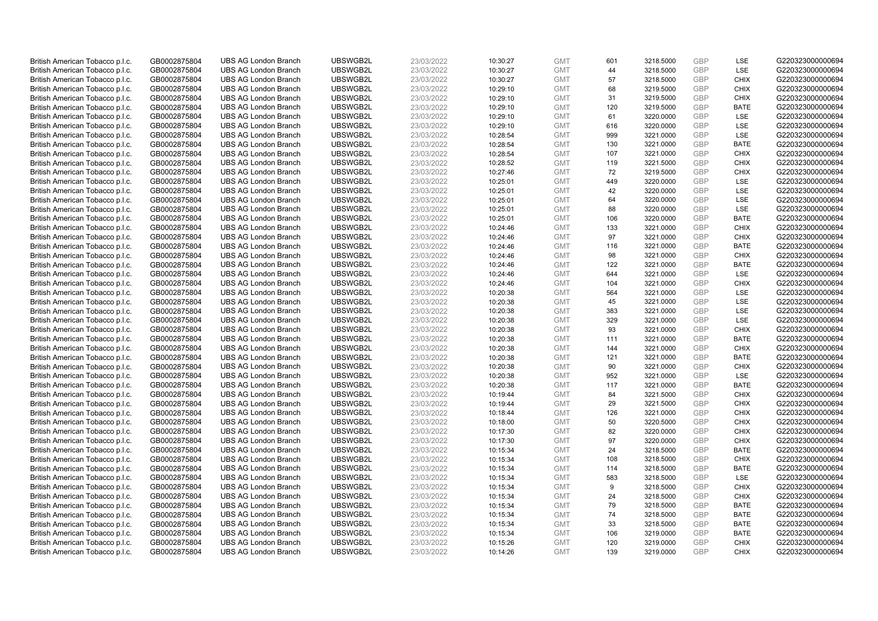| British American Tobacco p.l.c. | GB0002875804 | <b>UBS AG London Branch</b> | UBSWGB2L             | 23/03/2022               | 10:30:27 | <b>GMT</b> | 601 | 3218.5000 | <b>GBP</b> | LSE         | G220323000000694                     |
|---------------------------------|--------------|-----------------------------|----------------------|--------------------------|----------|------------|-----|-----------|------------|-------------|--------------------------------------|
| British American Tobacco p.l.c. | GB0002875804 | <b>UBS AG London Branch</b> | UBSWGB2L             | 23/03/2022               | 10:30:27 | <b>GMT</b> | 44  | 3218.5000 | GBP        | LSE         | G220323000000694                     |
| British American Tobacco p.l.c. | GB0002875804 | <b>UBS AG London Branch</b> | UBSWGB2L             | 23/03/2022               | 10:30:27 | <b>GMT</b> | 57  | 3218.5000 | <b>GBP</b> | <b>CHIX</b> | G220323000000694                     |
| British American Tobacco p.l.c. | GB0002875804 | <b>UBS AG London Branch</b> | UBSWGB2L             | 23/03/2022               | 10:29:10 | <b>GMT</b> | 68  | 3219.5000 | <b>GBP</b> | <b>CHIX</b> | G220323000000694                     |
| British American Tobacco p.l.c. | GB0002875804 | <b>UBS AG London Branch</b> | UBSWGB2L             | 23/03/2022               | 10:29:10 | <b>GMT</b> | 31  | 3219.5000 | <b>GBP</b> | <b>CHIX</b> | G220323000000694                     |
| British American Tobacco p.l.c. | GB0002875804 | <b>UBS AG London Branch</b> | UBSWGB2L             | 23/03/2022               | 10:29:10 | <b>GMT</b> | 120 | 3219.5000 | <b>GBP</b> | <b>BATE</b> | G220323000000694                     |
| British American Tobacco p.l.c. | GB0002875804 | <b>UBS AG London Branch</b> | UBSWGB2L             | 23/03/2022               | 10:29:10 | <b>GMT</b> | 61  | 3220.0000 | <b>GBP</b> | LSE         | G220323000000694                     |
| British American Tobacco p.l.c. | GB0002875804 | <b>UBS AG London Branch</b> | UBSWGB2L             | 23/03/2022               | 10:29:10 | <b>GMT</b> | 616 | 3220.0000 | <b>GBP</b> | LSE         | G220323000000694                     |
| British American Tobacco p.l.c. | GB0002875804 | <b>UBS AG London Branch</b> | UBSWGB2L             | 23/03/2022               | 10:28:54 | <b>GMT</b> | 999 | 3221.0000 | <b>GBP</b> | LSE         | G220323000000694                     |
| British American Tobacco p.l.c. | GB0002875804 | <b>UBS AG London Branch</b> | UBSWGB2L             | 23/03/2022               | 10:28:54 | <b>GMT</b> | 130 | 3221.0000 | <b>GBP</b> | <b>BATE</b> | G220323000000694                     |
| British American Tobacco p.l.c. | GB0002875804 | <b>UBS AG London Branch</b> | UBSWGB2L             | 23/03/2022               | 10:28:54 | <b>GMT</b> | 107 | 3221.0000 | <b>GBP</b> | CHIX        | G220323000000694                     |
| British American Tobacco p.l.c. | GB0002875804 | <b>UBS AG London Branch</b> | UBSWGB2L             | 23/03/2022               | 10:28:52 | <b>GMT</b> | 119 | 3221.5000 | <b>GBP</b> | <b>CHIX</b> | G220323000000694                     |
| British American Tobacco p.l.c. | GB0002875804 | <b>UBS AG London Branch</b> | UBSWGB2L             | 23/03/2022               | 10:27:46 | <b>GMT</b> | 72  | 3219.5000 | <b>GBP</b> | <b>CHIX</b> | G220323000000694                     |
| British American Tobacco p.l.c. | GB0002875804 | <b>UBS AG London Branch</b> | UBSWGB2L             | 23/03/2022               | 10:25:01 | <b>GMT</b> | 449 | 3220.0000 | <b>GBP</b> | <b>LSE</b>  | G220323000000694                     |
| British American Tobacco p.l.c. | GB0002875804 | <b>UBS AG London Branch</b> | UBSWGB2L             | 23/03/2022               | 10:25:01 | <b>GMT</b> | 42  | 3220.0000 | GBP        | LSE         | G220323000000694                     |
| British American Tobacco p.l.c. | GB0002875804 | <b>UBS AG London Branch</b> | UBSWGB2L             | 23/03/2022               | 10:25:01 | <b>GMT</b> | 64  | 3220.0000 | <b>GBP</b> | LSE         | G220323000000694                     |
| British American Tobacco p.l.c. | GB0002875804 | <b>UBS AG London Branch</b> | UBSWGB2L             | 23/03/2022               | 10:25:01 | <b>GMT</b> | 88  | 3220.0000 | GBP        | LSE         | G220323000000694                     |
| British American Tobacco p.l.c. | GB0002875804 | <b>UBS AG London Branch</b> | UBSWGB2L             | 23/03/2022               | 10:25:01 | <b>GMT</b> | 106 | 3220.0000 | <b>GBP</b> | <b>BATE</b> | G220323000000694                     |
| British American Tobacco p.l.c. | GB0002875804 | <b>UBS AG London Branch</b> | UBSWGB2L             | 23/03/2022               | 10:24:46 | <b>GMT</b> | 133 | 3221.0000 | <b>GBP</b> | <b>CHIX</b> | G220323000000694                     |
| British American Tobacco p.l.c. | GB0002875804 | <b>UBS AG London Branch</b> | UBSWGB2L             | 23/03/2022               | 10:24:46 | <b>GMT</b> | 97  | 3221.0000 | <b>GBP</b> | <b>CHIX</b> | G220323000000694                     |
|                                 |              | <b>UBS AG London Branch</b> |                      |                          |          | <b>GMT</b> | 116 | 3221.0000 | <b>GBP</b> | <b>BATE</b> |                                      |
| British American Tobacco p.l.c. | GB0002875804 | <b>UBS AG London Branch</b> | UBSWGB2L<br>UBSWGB2L | 23/03/2022<br>23/03/2022 | 10:24:46 | <b>GMT</b> | 98  | 3221.0000 | GBP        | <b>CHIX</b> | G220323000000694<br>G220323000000694 |
| British American Tobacco p.l.c. | GB0002875804 |                             |                      |                          | 10:24:46 |            |     |           | <b>GBP</b> |             |                                      |
| British American Tobacco p.l.c. | GB0002875804 | <b>UBS AG London Branch</b> | UBSWGB2L             | 23/03/2022               | 10:24:46 | <b>GMT</b> | 122 | 3221.0000 |            | <b>BATE</b> | G220323000000694                     |
| British American Tobacco p.l.c. | GB0002875804 | <b>UBS AG London Branch</b> | UBSWGB2L             | 23/03/2022               | 10:24:46 | <b>GMT</b> | 644 | 3221.0000 | GBP        | <b>LSE</b>  | G220323000000694                     |
| British American Tobacco p.l.c. | GB0002875804 | <b>UBS AG London Branch</b> | UBSWGB2L             | 23/03/2022               | 10:24:46 | <b>GMT</b> | 104 | 3221.0000 | <b>GBP</b> | <b>CHIX</b> | G220323000000694                     |
| British American Tobacco p.l.c. | GB0002875804 | <b>UBS AG London Branch</b> | UBSWGB2L             | 23/03/2022               | 10:20:38 | <b>GMT</b> | 564 | 3221.0000 | GBP        | LSE         | G220323000000694                     |
| British American Tobacco p.l.c. | GB0002875804 | <b>UBS AG London Branch</b> | UBSWGB2L             | 23/03/2022               | 10:20:38 | <b>GMT</b> | 45  | 3221.0000 | <b>GBP</b> | LSE         | G220323000000694                     |
| British American Tobacco p.l.c. | GB0002875804 | <b>UBS AG London Branch</b> | UBSWGB2L             | 23/03/2022               | 10:20:38 | <b>GMT</b> | 383 | 3221.0000 | GBP        | LSE         | G220323000000694                     |
| British American Tobacco p.l.c. | GB0002875804 | <b>UBS AG London Branch</b> | UBSWGB2L             | 23/03/2022               | 10:20:38 | <b>GMT</b> | 329 | 3221.0000 | <b>GBP</b> | LSE         | G220323000000694                     |
| British American Tobacco p.l.c. | GB0002875804 | <b>UBS AG London Branch</b> | UBSWGB2L             | 23/03/2022               | 10:20:38 | <b>GMT</b> | 93  | 3221.0000 | GBP        | <b>CHIX</b> | G220323000000694                     |
| British American Tobacco p.l.c. | GB0002875804 | <b>UBS AG London Branch</b> | UBSWGB2L             | 23/03/2022               | 10:20:38 | <b>GMT</b> | 111 | 3221.0000 | <b>GBP</b> | <b>BATE</b> | G220323000000694                     |
| British American Tobacco p.l.c. | GB0002875804 | <b>UBS AG London Branch</b> | UBSWGB2L             | 23/03/2022               | 10:20:38 | <b>GMT</b> | 144 | 3221.0000 | GBP        | <b>CHIX</b> | G220323000000694                     |
| British American Tobacco p.l.c. | GB0002875804 | <b>UBS AG London Branch</b> | UBSWGB2L             | 23/03/2022               | 10:20:38 | <b>GMT</b> | 121 | 3221.0000 | <b>GBP</b> | <b>BATE</b> | G220323000000694                     |
| British American Tobacco p.l.c. | GB0002875804 | <b>UBS AG London Branch</b> | UBSWGB2L             | 23/03/2022               | 10:20:38 | <b>GMT</b> | 90  | 3221.0000 | <b>GBP</b> | <b>CHIX</b> | G220323000000694                     |
| British American Tobacco p.l.c. | GB0002875804 | <b>UBS AG London Branch</b> | UBSWGB2L             | 23/03/2022               | 10:20:38 | <b>GMT</b> | 952 | 3221.0000 | GBP        | LSE         | G220323000000694                     |
| British American Tobacco p.l.c. | GB0002875804 | <b>UBS AG London Branch</b> | UBSWGB2L             | 23/03/2022               | 10:20:38 | <b>GMT</b> | 117 | 3221.0000 | <b>GBP</b> | <b>BATE</b> | G220323000000694                     |
| British American Tobacco p.l.c. | GB0002875804 | <b>UBS AG London Branch</b> | UBSWGB2L             | 23/03/2022               | 10:19:44 | <b>GMT</b> | 84  | 3221.5000 | GBP        | <b>CHIX</b> | G220323000000694                     |
| British American Tobacco p.l.c. | GB0002875804 | <b>UBS AG London Branch</b> | UBSWGB2L             | 23/03/2022               | 10:19:44 | <b>GMT</b> | 29  | 3221.5000 | <b>GBP</b> | <b>CHIX</b> | G220323000000694                     |
| British American Tobacco p.l.c. | GB0002875804 | <b>UBS AG London Branch</b> | UBSWGB2L             | 23/03/2022               | 10:18:44 | <b>GMT</b> | 126 | 3221.0000 | GBP        | <b>CHIX</b> | G220323000000694                     |
| British American Tobacco p.l.c. | GB0002875804 | <b>UBS AG London Branch</b> | UBSWGB2L             | 23/03/2022               | 10:18:00 | <b>GMT</b> | 50  | 3220.5000 | <b>GBP</b> | <b>CHIX</b> | G220323000000694                     |
| British American Tobacco p.l.c. | GB0002875804 | <b>UBS AG London Branch</b> | UBSWGB2L             | 23/03/2022               | 10:17:30 | <b>GMT</b> | 82  | 3220.0000 | GBP        | <b>CHIX</b> | G220323000000694                     |
| British American Tobacco p.l.c. | GB0002875804 | <b>UBS AG London Branch</b> | UBSWGB2L             | 23/03/2022               | 10:17:30 | <b>GMT</b> | 97  | 3220.0000 | <b>GBP</b> | <b>CHIX</b> | G220323000000694                     |
| British American Tobacco p.l.c. | GB0002875804 | <b>UBS AG London Branch</b> | UBSWGB2L             | 23/03/2022               | 10:15:34 | <b>GMT</b> | 24  | 3218.5000 | GBP        | <b>BATE</b> | G220323000000694                     |
| British American Tobacco p.l.c. | GB0002875804 | <b>UBS AG London Branch</b> | UBSWGB2L             | 23/03/2022               | 10:15:34 | <b>GMT</b> | 108 | 3218.5000 | <b>GBP</b> | <b>CHIX</b> | G220323000000694                     |
| British American Tobacco p.l.c. | GB0002875804 | <b>UBS AG London Branch</b> | UBSWGB2L             | 23/03/2022               | 10:15:34 | <b>GMT</b> | 114 | 3218.5000 | <b>GBP</b> | <b>BATE</b> | G220323000000694                     |
| British American Tobacco p.l.c. | GB0002875804 | <b>UBS AG London Branch</b> | UBSWGB2L             | 23/03/2022               | 10:15:34 | <b>GMT</b> | 583 | 3218.5000 | <b>GBP</b> | LSE         | G220323000000694                     |
| British American Tobacco p.l.c. | GB0002875804 | <b>UBS AG London Branch</b> | UBSWGB2L             | 23/03/2022               | 10:15:34 | <b>GMT</b> | 9   | 3218.5000 | <b>GBP</b> | <b>CHIX</b> | G220323000000694                     |
| British American Tobacco p.l.c. | GB0002875804 | <b>UBS AG London Branch</b> | UBSWGB2L             | 23/03/2022               | 10:15:34 | <b>GMT</b> | 24  | 3218.5000 | <b>GBP</b> | <b>CHIX</b> | G220323000000694                     |
| British American Tobacco p.l.c. | GB0002875804 | <b>UBS AG London Branch</b> | UBSWGB2L             | 23/03/2022               | 10:15:34 | <b>GMT</b> | 79  | 3218.5000 | <b>GBP</b> | <b>BATE</b> | G220323000000694                     |
| British American Tobacco p.l.c. | GB0002875804 | <b>UBS AG London Branch</b> | UBSWGB2L             | 23/03/2022               | 10:15:34 | <b>GMT</b> | 74  | 3218.5000 | <b>GBP</b> | <b>BATE</b> | G220323000000694                     |
| British American Tobacco p.l.c. | GB0002875804 | <b>UBS AG London Branch</b> | UBSWGB2L             | 23/03/2022               | 10:15:34 | <b>GMT</b> | 33  | 3218.5000 | <b>GBP</b> | <b>BATE</b> | G220323000000694                     |
| British American Tobacco p.l.c. | GB0002875804 | <b>UBS AG London Branch</b> | UBSWGB2L             | 23/03/2022               | 10:15:34 | <b>GMT</b> | 106 | 3219.0000 | <b>GBP</b> | <b>BATE</b> | G220323000000694                     |
| British American Tobacco p.l.c. | GB0002875804 | <b>UBS AG London Branch</b> | UBSWGB2L             | 23/03/2022               | 10:15:26 | <b>GMT</b> | 120 | 3219.0000 | <b>GBP</b> | <b>CHIX</b> | G220323000000694                     |
| British American Tobacco p.l.c. | GB0002875804 | <b>UBS AG London Branch</b> | UBSWGB2L             | 23/03/2022               | 10:14:26 | <b>GMT</b> | 139 | 3219.0000 | GBP        | CHIX        | G220323000000694                     |
|                                 |              |                             |                      |                          |          |            |     |           |            |             |                                      |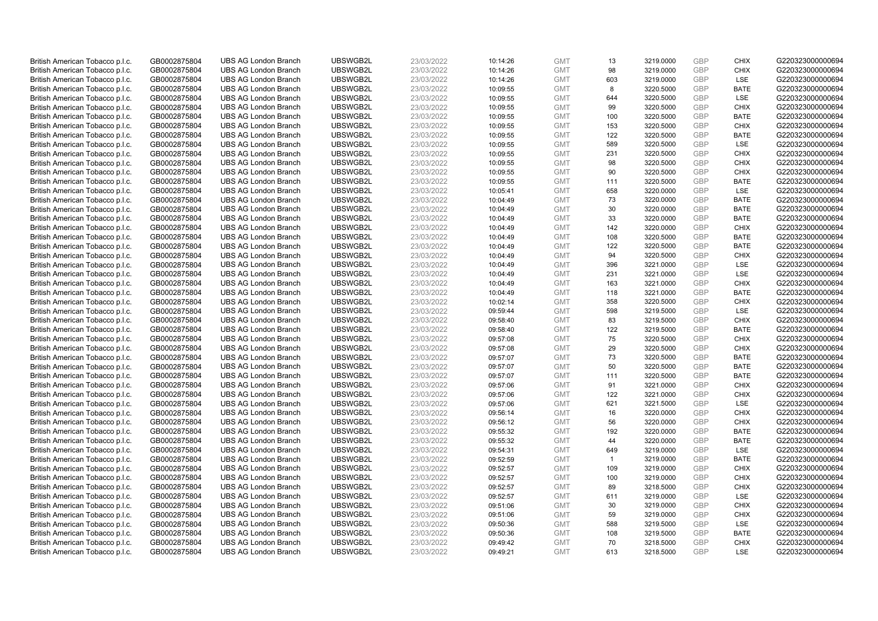| British American Tobacco p.l.c. | GB0002875804 | <b>UBS AG London Branch</b> | UBSWGB2L | 23/03/2022 | 10:14:26 | <b>GMT</b> | 13           | 3219.0000 | <b>GBP</b> | <b>CHIX</b> | G220323000000694 |
|---------------------------------|--------------|-----------------------------|----------|------------|----------|------------|--------------|-----------|------------|-------------|------------------|
| British American Tobacco p.l.c. | GB0002875804 | <b>UBS AG London Branch</b> | UBSWGB2L | 23/03/2022 | 10:14:26 | <b>GMT</b> | 98           | 3219.0000 | <b>GBP</b> | <b>CHIX</b> | G220323000000694 |
| British American Tobacco p.l.c. | GB0002875804 | <b>UBS AG London Branch</b> | UBSWGB2L | 23/03/2022 | 10:14:26 | <b>GMT</b> | 603          | 3219.0000 | <b>GBP</b> | LSE         | G220323000000694 |
| British American Tobacco p.l.c. | GB0002875804 | <b>UBS AG London Branch</b> | UBSWGB2L | 23/03/2022 | 10:09:55 | <b>GMT</b> | 8            | 3220.5000 | <b>GBP</b> | <b>BATE</b> | G220323000000694 |
| British American Tobacco p.l.c. | GB0002875804 | <b>UBS AG London Branch</b> | UBSWGB2L | 23/03/2022 | 10:09:55 | <b>GMT</b> | 644          | 3220.5000 | <b>GBP</b> | LSE         | G220323000000694 |
| British American Tobacco p.l.c. | GB0002875804 | <b>UBS AG London Branch</b> | UBSWGB2L | 23/03/2022 | 10:09:55 | <b>GMT</b> | 99           | 3220.5000 | <b>GBP</b> | <b>CHIX</b> | G220323000000694 |
| British American Tobacco p.l.c. | GB0002875804 | <b>UBS AG London Branch</b> | UBSWGB2L | 23/03/2022 | 10:09:55 | <b>GMT</b> | 100          | 3220.5000 | <b>GBP</b> | <b>BATE</b> | G220323000000694 |
| British American Tobacco p.l.c. | GB0002875804 | <b>UBS AG London Branch</b> | UBSWGB2L | 23/03/2022 | 10:09:55 | <b>GMT</b> | 153          | 3220.5000 | <b>GBP</b> | <b>CHIX</b> | G220323000000694 |
| British American Tobacco p.l.c. | GB0002875804 | <b>UBS AG London Branch</b> | UBSWGB2L | 23/03/2022 | 10:09:55 | <b>GMT</b> | 122          | 3220.5000 | <b>GBP</b> | <b>BATE</b> | G220323000000694 |
| British American Tobacco p.l.c. | GB0002875804 | <b>UBS AG London Branch</b> | UBSWGB2L | 23/03/2022 | 10:09:55 | <b>GMT</b> | 589          | 3220.5000 | <b>GBP</b> | LSE         | G220323000000694 |
| British American Tobacco p.l.c. | GB0002875804 | <b>UBS AG London Branch</b> | UBSWGB2L | 23/03/2022 | 10:09:55 | <b>GMT</b> | 231          | 3220.5000 | <b>GBP</b> | <b>CHIX</b> | G220323000000694 |
| British American Tobacco p.l.c. | GB0002875804 | <b>UBS AG London Branch</b> | UBSWGB2L | 23/03/2022 | 10:09:55 | <b>GMT</b> | 98           | 3220.5000 | <b>GBP</b> | <b>CHIX</b> | G220323000000694 |
| British American Tobacco p.l.c. | GB0002875804 | <b>UBS AG London Branch</b> | UBSWGB2L | 23/03/2022 | 10:09:55 | <b>GMT</b> | 90           | 3220.5000 | <b>GBP</b> | <b>CHIX</b> | G220323000000694 |
| British American Tobacco p.l.c. | GB0002875804 | <b>UBS AG London Branch</b> | UBSWGB2L | 23/03/2022 | 10:09:55 | <b>GMT</b> | 111          | 3220.5000 | <b>GBP</b> | <b>BATE</b> | G220323000000694 |
| British American Tobacco p.l.c. | GB0002875804 | <b>UBS AG London Branch</b> | UBSWGB2L | 23/03/2022 | 10:05:41 | <b>GMT</b> | 658          | 3220.0000 | <b>GBP</b> | <b>LSE</b>  | G220323000000694 |
| British American Tobacco p.l.c. | GB0002875804 | <b>UBS AG London Branch</b> | UBSWGB2L | 23/03/2022 | 10:04:49 | <b>GMT</b> | 73           | 3220.0000 | <b>GBP</b> | <b>BATE</b> | G220323000000694 |
| British American Tobacco p.l.c. | GB0002875804 | <b>UBS AG London Branch</b> | UBSWGB2L | 23/03/2022 | 10:04:49 | <b>GMT</b> | 30           | 3220.0000 | <b>GBP</b> | <b>BATE</b> | G220323000000694 |
| British American Tobacco p.l.c. | GB0002875804 | <b>UBS AG London Branch</b> | UBSWGB2L | 23/03/2022 | 10:04:49 | <b>GMT</b> | 33           | 3220.0000 | <b>GBP</b> | <b>BATE</b> | G220323000000694 |
| British American Tobacco p.l.c. | GB0002875804 | <b>UBS AG London Branch</b> | UBSWGB2L | 23/03/2022 | 10:04:49 | <b>GMT</b> | 142          | 3220.0000 | <b>GBP</b> | <b>CHIX</b> | G220323000000694 |
| British American Tobacco p.l.c. | GB0002875804 | <b>UBS AG London Branch</b> | UBSWGB2L | 23/03/2022 | 10:04:49 | <b>GMT</b> | 108          | 3220.5000 | <b>GBP</b> | <b>BATE</b> | G220323000000694 |
| British American Tobacco p.l.c. | GB0002875804 | <b>UBS AG London Branch</b> | UBSWGB2L | 23/03/2022 | 10:04:49 | <b>GMT</b> | 122          | 3220.5000 | <b>GBP</b> | <b>BATE</b> | G220323000000694 |
| British American Tobacco p.l.c. | GB0002875804 | <b>UBS AG London Branch</b> | UBSWGB2L | 23/03/2022 | 10:04:49 | <b>GMT</b> | 94           | 3220.5000 | <b>GBP</b> | <b>CHIX</b> | G220323000000694 |
| British American Tobacco p.l.c. | GB0002875804 | <b>UBS AG London Branch</b> | UBSWGB2L | 23/03/2022 | 10:04:49 | <b>GMT</b> | 396          | 3221.0000 | <b>GBP</b> | LSE         | G220323000000694 |
| British American Tobacco p.l.c. | GB0002875804 | <b>UBS AG London Branch</b> | UBSWGB2L | 23/03/2022 | 10:04:49 | <b>GMT</b> | 231          | 3221.0000 | <b>GBP</b> | <b>LSE</b>  | G220323000000694 |
| British American Tobacco p.l.c. | GB0002875804 | <b>UBS AG London Branch</b> | UBSWGB2L | 23/03/2022 | 10:04:49 | <b>GMT</b> | 163          | 3221.0000 | <b>GBP</b> | <b>CHIX</b> | G220323000000694 |
| British American Tobacco p.l.c. | GB0002875804 | <b>UBS AG London Branch</b> | UBSWGB2L | 23/03/2022 | 10:04:49 | <b>GMT</b> | 118          | 3221.0000 | <b>GBP</b> | <b>BATE</b> | G220323000000694 |
| British American Tobacco p.l.c. | GB0002875804 | <b>UBS AG London Branch</b> | UBSWGB2L | 23/03/2022 | 10:02:14 | <b>GMT</b> | 358          | 3220.5000 | <b>GBP</b> | <b>CHIX</b> | G220323000000694 |
| British American Tobacco p.l.c. | GB0002875804 | <b>UBS AG London Branch</b> | UBSWGB2L | 23/03/2022 | 09:59:44 | <b>GMT</b> | 598          | 3219.5000 | <b>GBP</b> | LSE         | G220323000000694 |
| British American Tobacco p.l.c. | GB0002875804 | <b>UBS AG London Branch</b> | UBSWGB2L | 23/03/2022 | 09:58:40 | <b>GMT</b> | 83           | 3219.5000 | <b>GBP</b> | <b>CHIX</b> | G220323000000694 |
| British American Tobacco p.l.c. | GB0002875804 | <b>UBS AG London Branch</b> | UBSWGB2L | 23/03/2022 | 09:58:40 | <b>GMT</b> | 122          | 3219.5000 | <b>GBP</b> | <b>BATE</b> | G220323000000694 |
| British American Tobacco p.l.c. | GB0002875804 | <b>UBS AG London Branch</b> | UBSWGB2L | 23/03/2022 | 09:57:08 | <b>GMT</b> | 75           | 3220.5000 | <b>GBP</b> | <b>CHIX</b> | G220323000000694 |
| British American Tobacco p.l.c. | GB0002875804 | <b>UBS AG London Branch</b> | UBSWGB2L | 23/03/2022 | 09:57:08 | <b>GMT</b> | 29           | 3220.5000 | <b>GBP</b> | <b>CHIX</b> | G220323000000694 |
| British American Tobacco p.l.c. | GB0002875804 | <b>UBS AG London Branch</b> | UBSWGB2L | 23/03/2022 | 09:57:07 | <b>GMT</b> | 73           | 3220.5000 | <b>GBP</b> | <b>BATE</b> | G220323000000694 |
| British American Tobacco p.l.c. | GB0002875804 | <b>UBS AG London Branch</b> | UBSWGB2L | 23/03/2022 | 09:57:07 | <b>GMT</b> | 50           | 3220.5000 | GBP        | <b>BATE</b> | G220323000000694 |
| British American Tobacco p.l.c. | GB0002875804 | <b>UBS AG London Branch</b> | UBSWGB2L | 23/03/2022 | 09:57:07 | <b>GMT</b> | 111          | 3220.5000 | <b>GBP</b> | <b>BATE</b> | G220323000000694 |
| British American Tobacco p.l.c. | GB0002875804 | <b>UBS AG London Branch</b> | UBSWGB2L | 23/03/2022 | 09:57:06 | <b>GMT</b> | 91           | 3221.0000 | <b>GBP</b> | <b>CHIX</b> | G220323000000694 |
| British American Tobacco p.l.c. | GB0002875804 | <b>UBS AG London Branch</b> | UBSWGB2L | 23/03/2022 | 09:57:06 | <b>GMT</b> | 122          | 3221.0000 | <b>GBP</b> | <b>CHIX</b> | G220323000000694 |
| British American Tobacco p.l.c. | GB0002875804 | <b>UBS AG London Branch</b> | UBSWGB2L | 23/03/2022 | 09:57:06 | <b>GMT</b> | 621          | 3221.5000 | <b>GBP</b> | LSE         | G220323000000694 |
| British American Tobacco p.l.c. | GB0002875804 | <b>UBS AG London Branch</b> | UBSWGB2L | 23/03/2022 | 09:56:14 | <b>GMT</b> | 16           | 3220.0000 | <b>GBP</b> | <b>CHIX</b> | G220323000000694 |
| British American Tobacco p.l.c. | GB0002875804 | <b>UBS AG London Branch</b> | UBSWGB2L | 23/03/2022 | 09:56:12 | <b>GMT</b> | 56           | 3220.0000 | <b>GBP</b> | <b>CHIX</b> | G220323000000694 |
| British American Tobacco p.l.c. | GB0002875804 | <b>UBS AG London Branch</b> | UBSWGB2L | 23/03/2022 | 09:55:32 | <b>GMT</b> | 192          | 3220.0000 | <b>GBP</b> | <b>BATE</b> | G220323000000694 |
| British American Tobacco p.l.c. | GB0002875804 | <b>UBS AG London Branch</b> | UBSWGB2L | 23/03/2022 | 09:55:32 | <b>GMT</b> | 44           | 3220.0000 | <b>GBP</b> | <b>BATE</b> | G220323000000694 |
| British American Tobacco p.l.c. | GB0002875804 | <b>UBS AG London Branch</b> | UBSWGB2L | 23/03/2022 | 09:54:31 | <b>GMT</b> | 649          | 3219.0000 | <b>GBP</b> | LSE         | G220323000000694 |
| British American Tobacco p.l.c. | GB0002875804 | <b>UBS AG London Branch</b> | UBSWGB2L | 23/03/2022 | 09:52:59 | <b>GMT</b> | $\mathbf{1}$ | 3219.0000 | <b>GBP</b> | <b>BATE</b> | G220323000000694 |
| British American Tobacco p.l.c. | GB0002875804 | <b>UBS AG London Branch</b> | UBSWGB2L | 23/03/2022 | 09:52:57 | <b>GMT</b> | 109          | 3219.0000 | <b>GBP</b> | <b>CHIX</b> | G220323000000694 |
| British American Tobacco p.l.c. | GB0002875804 | <b>UBS AG London Branch</b> | UBSWGB2L | 23/03/2022 | 09:52:57 | <b>GMT</b> | 100          | 3219.0000 | <b>GBP</b> | <b>CHIX</b> | G220323000000694 |
| British American Tobacco p.l.c. | GB0002875804 | <b>UBS AG London Branch</b> | UBSWGB2L | 23/03/2022 | 09:52:57 | <b>GMT</b> | 89           | 3218.5000 | <b>GBP</b> | <b>CHIX</b> | G220323000000694 |
| British American Tobacco p.l.c. | GB0002875804 | <b>UBS AG London Branch</b> | UBSWGB2L | 23/03/2022 | 09:52:57 | <b>GMT</b> | 611          | 3219.0000 | <b>GBP</b> | LSE         | G220323000000694 |
| British American Tobacco p.l.c. | GB0002875804 | <b>UBS AG London Branch</b> | UBSWGB2L | 23/03/2022 | 09:51:06 | <b>GMT</b> | 30           | 3219.0000 | <b>GBP</b> | <b>CHIX</b> | G220323000000694 |
| British American Tobacco p.l.c. | GB0002875804 | <b>UBS AG London Branch</b> | UBSWGB2L | 23/03/2022 | 09:51:06 | <b>GMT</b> | 59           | 3219.0000 | <b>GBP</b> | <b>CHIX</b> | G220323000000694 |
| British American Tobacco p.l.c. | GB0002875804 | <b>UBS AG London Branch</b> | UBSWGB2L | 23/03/2022 | 09:50:36 | <b>GMT</b> | 588          | 3219.5000 | <b>GBP</b> | LSE         | G220323000000694 |
| British American Tobacco p.l.c. | GB0002875804 | <b>UBS AG London Branch</b> | UBSWGB2L | 23/03/2022 | 09:50:36 | <b>GMT</b> | 108          | 3219.5000 | <b>GBP</b> | <b>BATE</b> | G220323000000694 |
| British American Tobacco p.l.c. | GB0002875804 | <b>UBS AG London Branch</b> | UBSWGB2L | 23/03/2022 | 09:49:42 | <b>GMT</b> | 70           | 3218.5000 | <b>GBP</b> | <b>CHIX</b> | G220323000000694 |
| British American Tobacco p.l.c. | GB0002875804 | <b>UBS AG London Branch</b> | UBSWGB2L | 23/03/2022 | 09:49:21 | <b>GMT</b> | 613          | 3218.5000 | GBP        | <b>LSE</b>  | G220323000000694 |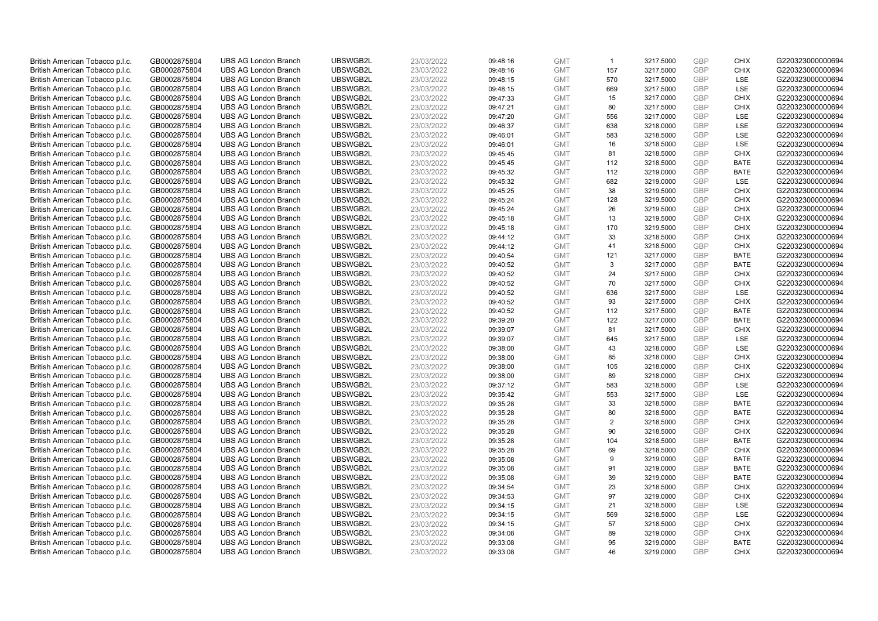| British American Tobacco p.l.c. | GB0002875804 | <b>UBS AG London Branch</b> | UBSWGB2L | 23/03/2022 | 09:48:16 | <b>GMT</b> | $\overline{1}$ | 3217.5000 | <b>GBP</b> | <b>CHIX</b> | G220323000000694 |
|---------------------------------|--------------|-----------------------------|----------|------------|----------|------------|----------------|-----------|------------|-------------|------------------|
| British American Tobacco p.l.c. | GB0002875804 | <b>UBS AG London Branch</b> | UBSWGB2L | 23/03/2022 | 09:48:16 | <b>GMT</b> | 157            | 3217.5000 | GBP        | <b>CHIX</b> | G220323000000694 |
| British American Tobacco p.l.c. | GB0002875804 | <b>UBS AG London Branch</b> | UBSWGB2L | 23/03/2022 | 09:48:15 | <b>GMT</b> | 570            | 3217.5000 | GBP        | LSE         | G220323000000694 |
| British American Tobacco p.l.c. | GB0002875804 | <b>UBS AG London Branch</b> | UBSWGB2L | 23/03/2022 | 09:48:15 | <b>GMT</b> | 669            | 3217.5000 | GBP        | LSE         | G220323000000694 |
| British American Tobacco p.l.c. | GB0002875804 | <b>UBS AG London Branch</b> | UBSWGB2L | 23/03/2022 | 09:47:33 | <b>GMT</b> | 15             | 3217.0000 | <b>GBP</b> | <b>CHIX</b> | G220323000000694 |
| British American Tobacco p.l.c. | GB0002875804 | <b>UBS AG London Branch</b> | UBSWGB2L | 23/03/2022 | 09:47:21 | <b>GMT</b> | 80             | 3217.5000 | <b>GBP</b> | <b>CHIX</b> | G220323000000694 |
| British American Tobacco p.l.c. | GB0002875804 | <b>UBS AG London Branch</b> | UBSWGB2L | 23/03/2022 | 09:47:20 | <b>GMT</b> | 556            | 3217.0000 | GBP        | LSE         | G220323000000694 |
| British American Tobacco p.l.c. | GB0002875804 | <b>UBS AG London Branch</b> | UBSWGB2L | 23/03/2022 | 09:46:37 | <b>GMT</b> | 638            | 3218.0000 | <b>GBP</b> | LSE         | G220323000000694 |
| British American Tobacco p.l.c. | GB0002875804 | <b>UBS AG London Branch</b> | UBSWGB2L | 23/03/2022 | 09:46:01 | <b>GMT</b> | 583            | 3218.5000 | GBP        | LSE         | G220323000000694 |
| British American Tobacco p.l.c. | GB0002875804 | <b>UBS AG London Branch</b> | UBSWGB2L | 23/03/2022 | 09:46:01 | <b>GMT</b> | 16             | 3218.5000 | <b>GBP</b> | <b>LSE</b>  | G220323000000694 |
| British American Tobacco p.l.c. | GB0002875804 | <b>UBS AG London Branch</b> | UBSWGB2L | 23/03/2022 | 09:45:45 | <b>GMT</b> | 81             | 3218.5000 | GBP        | <b>CHIX</b> | G220323000000694 |
| British American Tobacco p.l.c. | GB0002875804 | <b>UBS AG London Branch</b> | UBSWGB2L | 23/03/2022 | 09:45:45 | <b>GMT</b> | 112            | 3218.5000 | <b>GBP</b> | <b>BATE</b> | G220323000000694 |
| British American Tobacco p.l.c. | GB0002875804 | <b>UBS AG London Branch</b> | UBSWGB2L | 23/03/2022 | 09:45:32 | <b>GMT</b> | 112            | 3219.0000 | <b>GBP</b> | <b>BATE</b> | G220323000000694 |
| British American Tobacco p.l.c. | GB0002875804 | <b>UBS AG London Branch</b> | UBSWGB2L | 23/03/2022 | 09:45:32 | <b>GMT</b> | 682            | 3219.0000 | <b>GBP</b> | <b>LSE</b>  | G220323000000694 |
| British American Tobacco p.l.c. | GB0002875804 | <b>UBS AG London Branch</b> | UBSWGB2L | 23/03/2022 | 09:45:25 | <b>GMT</b> | 38             | 3219.5000 | <b>GBP</b> | <b>CHIX</b> | G220323000000694 |
| British American Tobacco p.l.c. | GB0002875804 | <b>UBS AG London Branch</b> | UBSWGB2L | 23/03/2022 | 09:45:24 | <b>GMT</b> | 128            | 3219.5000 | GBP        | <b>CHIX</b> | G220323000000694 |
| British American Tobacco p.l.c. | GB0002875804 | <b>UBS AG London Branch</b> | UBSWGB2L | 23/03/2022 | 09:45:24 | <b>GMT</b> | 26             | 3219.5000 | GBP        | <b>CHIX</b> | G220323000000694 |
| British American Tobacco p.l.c. | GB0002875804 | <b>UBS AG London Branch</b> | UBSWGB2L | 23/03/2022 | 09:45:18 | <b>GMT</b> | 13             | 3219.5000 | GBP        | <b>CHIX</b> | G220323000000694 |
| British American Tobacco p.l.c. | GB0002875804 | <b>UBS AG London Branch</b> | UBSWGB2L | 23/03/2022 | 09:45:18 | <b>GMT</b> | 170            | 3219.5000 | <b>GBP</b> | <b>CHIX</b> | G220323000000694 |
| British American Tobacco p.l.c. | GB0002875804 | <b>UBS AG London Branch</b> | UBSWGB2L | 23/03/2022 | 09:44:12 | <b>GMT</b> | 33             | 3218.5000 | GBP        | <b>CHIX</b> | G220323000000694 |
| British American Tobacco p.l.c. | GB0002875804 | <b>UBS AG London Branch</b> | UBSWGB2L | 23/03/2022 | 09:44:12 | <b>GMT</b> | 41             | 3218.5000 | <b>GBP</b> | <b>CHIX</b> | G220323000000694 |
| British American Tobacco p.l.c. | GB0002875804 | <b>UBS AG London Branch</b> | UBSWGB2L | 23/03/2022 | 09:40:54 | <b>GMT</b> | 121            | 3217.0000 | GBP        | <b>BATE</b> | G220323000000694 |
| British American Tobacco p.l.c. | GB0002875804 | <b>UBS AG London Branch</b> | UBSWGB2L | 23/03/2022 | 09:40:52 | <b>GMT</b> | 3              | 3217.0000 | <b>GBP</b> | <b>BATE</b> | G220323000000694 |
| British American Tobacco p.l.c. | GB0002875804 | <b>UBS AG London Branch</b> | UBSWGB2L | 23/03/2022 | 09:40:52 | <b>GMT</b> | 24             | 3217.5000 | GBP        | <b>CHIX</b> | G220323000000694 |
| British American Tobacco p.l.c. | GB0002875804 | <b>UBS AG London Branch</b> | UBSWGB2L | 23/03/2022 | 09:40:52 | <b>GMT</b> | 70             | 3217.5000 | <b>GBP</b> | <b>CHIX</b> | G220323000000694 |
| British American Tobacco p.l.c. | GB0002875804 | <b>UBS AG London Branch</b> | UBSWGB2L | 23/03/2022 | 09:40:52 | <b>GMT</b> | 636            | 3217.5000 | <b>GBP</b> | LSE         | G220323000000694 |
| British American Tobacco p.l.c. | GB0002875804 | <b>UBS AG London Branch</b> | UBSWGB2L | 23/03/2022 | 09:40:52 | <b>GMT</b> | 93             | 3217.5000 | <b>GBP</b> | <b>CHIX</b> | G220323000000694 |
| British American Tobacco p.l.c. | GB0002875804 | <b>UBS AG London Branch</b> | UBSWGB2L | 23/03/2022 | 09:40:52 | <b>GMT</b> | 112            | 3217.5000 | <b>GBP</b> | <b>BATE</b> | G220323000000694 |
| British American Tobacco p.l.c. | GB0002875804 | <b>UBS AG London Branch</b> | UBSWGB2L | 23/03/2022 | 09:39:20 | <b>GMT</b> | 122            | 3217.0000 | GBP        | <b>BATE</b> | G220323000000694 |
| British American Tobacco p.l.c. | GB0002875804 | <b>UBS AG London Branch</b> | UBSWGB2L | 23/03/2022 | 09:39:07 | <b>GMT</b> | 81             | 3217.5000 | GBP        | <b>CHIX</b> | G220323000000694 |
| British American Tobacco p.l.c. | GB0002875804 | <b>UBS AG London Branch</b> | UBSWGB2L | 23/03/2022 | 09:39:07 | <b>GMT</b> | 645            | 3217.5000 | GBP        | <b>LSE</b>  | G220323000000694 |
| British American Tobacco p.l.c. | GB0002875804 | <b>UBS AG London Branch</b> | UBSWGB2L | 23/03/2022 | 09:38:00 | <b>GMT</b> | 43             | 3218.0000 | GBP        | <b>LSE</b>  | G220323000000694 |
| British American Tobacco p.l.c. | GB0002875804 | <b>UBS AG London Branch</b> | UBSWGB2L | 23/03/2022 | 09:38:00 | <b>GMT</b> | 85             | 3218.0000 | GBP        | <b>CHIX</b> | G220323000000694 |
| British American Tobacco p.l.c. | GB0002875804 | <b>UBS AG London Branch</b> | UBSWGB2L | 23/03/2022 | 09:38:00 | <b>GMT</b> | 105            | 3218.0000 | GBP        | <b>CHIX</b> | G220323000000694 |
| British American Tobacco p.l.c. | GB0002875804 | <b>UBS AG London Branch</b> | UBSWGB2L | 23/03/2022 | 09:38:00 | <b>GMT</b> | 89             | 3218.0000 | GBP        | <b>CHIX</b> | G220323000000694 |
| British American Tobacco p.l.c. | GB0002875804 | <b>UBS AG London Branch</b> | UBSWGB2L | 23/03/2022 | 09:37:12 | <b>GMT</b> | 583            | 3218.5000 | <b>GBP</b> | LSE         | G220323000000694 |
| British American Tobacco p.l.c. | GB0002875804 | <b>UBS AG London Branch</b> | UBSWGB2L | 23/03/2022 | 09:35:42 | <b>GMT</b> | 553            | 3217.5000 | GBP        | <b>LSE</b>  | G220323000000694 |
| British American Tobacco p.l.c. | GB0002875804 | <b>UBS AG London Branch</b> | UBSWGB2L | 23/03/2022 | 09:35:28 | <b>GMT</b> | 33             | 3218.5000 | <b>GBP</b> | <b>BATE</b> | G220323000000694 |
| British American Tobacco p.l.c. | GB0002875804 | <b>UBS AG London Branch</b> | UBSWGB2L | 23/03/2022 | 09:35:28 | <b>GMT</b> | 80             | 3218.5000 | GBP        | <b>BATE</b> | G220323000000694 |
| British American Tobacco p.l.c. | GB0002875804 | <b>UBS AG London Branch</b> | UBSWGB2L | 23/03/2022 | 09:35:28 | <b>GMT</b> | 2              | 3218.5000 | GBP        | <b>CHIX</b> | G220323000000694 |
| British American Tobacco p.l.c. | GB0002875804 | <b>UBS AG London Branch</b> | UBSWGB2L | 23/03/2022 | 09:35:28 | <b>GMT</b> | 90             | 3218.5000 | <b>GBP</b> | <b>CHIX</b> | G220323000000694 |
| British American Tobacco p.l.c. | GB0002875804 | <b>UBS AG London Branch</b> | UBSWGB2L | 23/03/2022 | 09:35:28 | <b>GMT</b> | 104            | 3218.5000 | GBP        | <b>BATE</b> | G220323000000694 |
| British American Tobacco p.l.c. | GB0002875804 | <b>UBS AG London Branch</b> | UBSWGB2L | 23/03/2022 | 09:35:28 | <b>GMT</b> | 69             | 3218.5000 | GBP        | <b>CHIX</b> | G220323000000694 |
| British American Tobacco p.l.c. | GB0002875804 | <b>UBS AG London Branch</b> | UBSWGB2L | 23/03/2022 | 09:35:08 | <b>GMT</b> | 9              | 3219.0000 | GBP        | <b>BATE</b> | G220323000000694 |
| British American Tobacco p.l.c. | GB0002875804 | <b>UBS AG London Branch</b> | UBSWGB2L | 23/03/2022 | 09:35:08 | <b>GMT</b> | 91             | 3219.0000 | GBP        | <b>BATE</b> | G220323000000694 |
| British American Tobacco p.l.c. | GB0002875804 | <b>UBS AG London Branch</b> | UBSWGB2L | 23/03/2022 | 09:35:08 | <b>GMT</b> | 39             | 3219.0000 | <b>GBP</b> | <b>BATE</b> | G220323000000694 |
| British American Tobacco p.l.c. | GB0002875804 | <b>UBS AG London Branch</b> | UBSWGB2L | 23/03/2022 | 09:34:54 | <b>GMT</b> | 23             | 3218.5000 | <b>GBP</b> | <b>CHIX</b> | G220323000000694 |
| British American Tobacco p.l.c. | GB0002875804 | <b>UBS AG London Branch</b> | UBSWGB2L | 23/03/2022 | 09:34:53 | <b>GMT</b> | 97             | 3219.0000 | GBP        | <b>CHIX</b> | G220323000000694 |
| British American Tobacco p.l.c. | GB0002875804 | <b>UBS AG London Branch</b> | UBSWGB2L | 23/03/2022 | 09:34:15 | <b>GMT</b> | 21             | 3218.5000 | <b>GBP</b> | LSE         | G220323000000694 |
| British American Tobacco p.l.c. | GB0002875804 | <b>UBS AG London Branch</b> | UBSWGB2L | 23/03/2022 | 09:34:15 | <b>GMT</b> | 569            | 3218.5000 | GBP        | LSE         | G220323000000694 |
| British American Tobacco p.l.c. | GB0002875804 | <b>UBS AG London Branch</b> | UBSWGB2L | 23/03/2022 | 09:34:15 | <b>GMT</b> | 57             | 3218.5000 | GBP        | <b>CHIX</b> | G220323000000694 |
| British American Tobacco p.l.c. | GB0002875804 | <b>UBS AG London Branch</b> | UBSWGB2L | 23/03/2022 | 09:34:08 | <b>GMT</b> | 89             | 3219.0000 | <b>GBP</b> | <b>CHIX</b> | G220323000000694 |
| British American Tobacco p.l.c. | GB0002875804 | <b>UBS AG London Branch</b> | UBSWGB2L | 23/03/2022 | 09:33:08 | <b>GMT</b> | 95             | 3219.0000 | GBP        | <b>BATE</b> | G220323000000694 |
| British American Tobacco p.l.c. | GB0002875804 | <b>UBS AG London Branch</b> | UBSWGB2L | 23/03/2022 | 09:33:08 | <b>GMT</b> | 46             | 3219.0000 | GBP        | <b>CHIX</b> | G220323000000694 |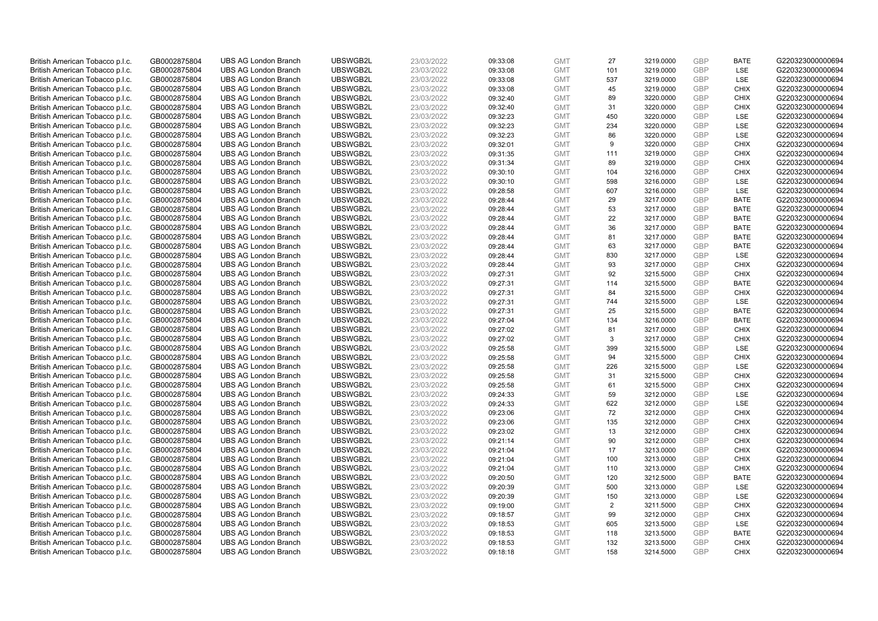| British American Tobacco p.l.c. | GB0002875804 | <b>UBS AG London Branch</b> | UBSWGB2L | 23/03/2022 | 09:33:08 | <b>GMT</b> | 27             | 3219.0000 | <b>GBP</b> | <b>BATE</b> | G220323000000694 |
|---------------------------------|--------------|-----------------------------|----------|------------|----------|------------|----------------|-----------|------------|-------------|------------------|
| British American Tobacco p.l.c. | GB0002875804 | <b>UBS AG London Branch</b> | UBSWGB2L | 23/03/2022 | 09:33:08 | <b>GMT</b> | 101            | 3219.0000 | GBP        | <b>LSE</b>  | G220323000000694 |
| British American Tobacco p.l.c. | GB0002875804 | <b>UBS AG London Branch</b> | UBSWGB2L | 23/03/2022 | 09:33:08 | <b>GMT</b> | 537            | 3219.0000 | GBP        | LSE         | G220323000000694 |
| British American Tobacco p.l.c. | GB0002875804 | <b>UBS AG London Branch</b> | UBSWGB2L | 23/03/2022 | 09:33:08 | <b>GMT</b> | 45             | 3219.0000 | GBP        | <b>CHIX</b> | G220323000000694 |
| British American Tobacco p.l.c. | GB0002875804 | <b>UBS AG London Branch</b> | UBSWGB2L | 23/03/2022 | 09:32:40 | <b>GMT</b> | 89             | 3220.0000 | <b>GBP</b> | <b>CHIX</b> | G220323000000694 |
| British American Tobacco p.l.c. | GB0002875804 | <b>UBS AG London Branch</b> | UBSWGB2L | 23/03/2022 | 09:32:40 | <b>GMT</b> | 31             | 3220.0000 | <b>GBP</b> | <b>CHIX</b> | G220323000000694 |
| British American Tobacco p.l.c. | GB0002875804 | <b>UBS AG London Branch</b> | UBSWGB2L | 23/03/2022 | 09:32:23 | <b>GMT</b> | 450            | 3220.0000 | GBP        | LSE         | G220323000000694 |
| British American Tobacco p.l.c. | GB0002875804 | <b>UBS AG London Branch</b> | UBSWGB2L | 23/03/2022 | 09:32:23 | <b>GMT</b> | 234            | 3220.0000 | <b>GBP</b> | LSE         | G220323000000694 |
| British American Tobacco p.l.c. | GB0002875804 | <b>UBS AG London Branch</b> | UBSWGB2L | 23/03/2022 | 09:32:23 | <b>GMT</b> | 86             | 3220.0000 | GBP        | LSE         | G220323000000694 |
| British American Tobacco p.l.c. | GB0002875804 | <b>UBS AG London Branch</b> | UBSWGB2L | 23/03/2022 | 09:32:01 | <b>GMT</b> | 9              | 3220.0000 | <b>GBP</b> | <b>CHIX</b> | G220323000000694 |
| British American Tobacco p.l.c. | GB0002875804 | <b>UBS AG London Branch</b> | UBSWGB2L | 23/03/2022 | 09:31:35 | <b>GMT</b> | 111            | 3219.0000 | GBP        | <b>CHIX</b> | G220323000000694 |
| British American Tobacco p.l.c. | GB0002875804 | <b>UBS AG London Branch</b> | UBSWGB2L | 23/03/2022 | 09:31:34 | <b>GMT</b> | 89             | 3219.0000 | <b>GBP</b> | <b>CHIX</b> | G220323000000694 |
| British American Tobacco p.l.c. | GB0002875804 | <b>UBS AG London Branch</b> | UBSWGB2L | 23/03/2022 | 09:30:10 | <b>GMT</b> | 104            | 3216.0000 | <b>GBP</b> | <b>CHIX</b> | G220323000000694 |
| British American Tobacco p.l.c. | GB0002875804 | <b>UBS AG London Branch</b> | UBSWGB2L | 23/03/2022 | 09:30:10 | <b>GMT</b> | 598            | 3216.0000 | <b>GBP</b> | <b>LSE</b>  | G220323000000694 |
| British American Tobacco p.l.c. | GB0002875804 | <b>UBS AG London Branch</b> | UBSWGB2L | 23/03/2022 | 09:28:58 | <b>GMT</b> | 607            | 3216.0000 | <b>GBP</b> | <b>LSE</b>  | G220323000000694 |
| British American Tobacco p.l.c. | GB0002875804 | <b>UBS AG London Branch</b> | UBSWGB2L | 23/03/2022 | 09:28:44 | <b>GMT</b> | 29             | 3217.0000 | GBP        | <b>BATE</b> | G220323000000694 |
| British American Tobacco p.l.c. | GB0002875804 | <b>UBS AG London Branch</b> | UBSWGB2L | 23/03/2022 | 09:28:44 | <b>GMT</b> | 53             | 3217.0000 | GBP        | <b>BATE</b> | G220323000000694 |
| British American Tobacco p.l.c. | GB0002875804 | <b>UBS AG London Branch</b> | UBSWGB2L | 23/03/2022 | 09:28:44 | <b>GMT</b> | 22             | 3217.0000 | GBP        | <b>BATE</b> | G220323000000694 |
| British American Tobacco p.l.c. | GB0002875804 | <b>UBS AG London Branch</b> | UBSWGB2L | 23/03/2022 | 09:28:44 | <b>GMT</b> | 36             | 3217.0000 | <b>GBP</b> | <b>BATE</b> | G220323000000694 |
| British American Tobacco p.l.c. | GB0002875804 | <b>UBS AG London Branch</b> | UBSWGB2L | 23/03/2022 | 09:28:44 | <b>GMT</b> | 81             | 3217.0000 | GBP        | <b>BATE</b> | G220323000000694 |
| British American Tobacco p.l.c. | GB0002875804 | <b>UBS AG London Branch</b> | UBSWGB2L | 23/03/2022 | 09:28:44 | <b>GMT</b> | 63             | 3217.0000 | <b>GBP</b> | <b>BATE</b> | G220323000000694 |
| British American Tobacco p.l.c. | GB0002875804 | <b>UBS AG London Branch</b> | UBSWGB2L | 23/03/2022 | 09:28:44 | <b>GMT</b> | 830            | 3217.0000 | GBP        | LSE         | G220323000000694 |
| British American Tobacco p.l.c. | GB0002875804 | <b>UBS AG London Branch</b> | UBSWGB2L | 23/03/2022 | 09:28:44 | <b>GMT</b> | 93             | 3217.0000 | <b>GBP</b> | <b>CHIX</b> | G220323000000694 |
| British American Tobacco p.l.c. | GB0002875804 | <b>UBS AG London Branch</b> | UBSWGB2L | 23/03/2022 | 09:27:31 | <b>GMT</b> | 92             | 3215.5000 | GBP        | <b>CHIX</b> | G220323000000694 |
| British American Tobacco p.l.c. | GB0002875804 | <b>UBS AG London Branch</b> | UBSWGB2L | 23/03/2022 | 09:27:31 | <b>GMT</b> | 114            | 3215.5000 | <b>GBP</b> | <b>BATE</b> | G220323000000694 |
| British American Tobacco p.l.c. | GB0002875804 | <b>UBS AG London Branch</b> | UBSWGB2L | 23/03/2022 | 09:27:31 | <b>GMT</b> | 84             | 3215.5000 | <b>GBP</b> | <b>CHIX</b> | G220323000000694 |
| British American Tobacco p.l.c. | GB0002875804 | <b>UBS AG London Branch</b> | UBSWGB2L | 23/03/2022 | 09:27:31 | <b>GMT</b> | 744            | 3215.5000 | <b>GBP</b> | <b>LSE</b>  | G220323000000694 |
| British American Tobacco p.l.c. | GB0002875804 | <b>UBS AG London Branch</b> | UBSWGB2L | 23/03/2022 | 09:27:31 | <b>GMT</b> | 25             | 3215.5000 | <b>GBP</b> | <b>BATE</b> | G220323000000694 |
| British American Tobacco p.l.c. | GB0002875804 | <b>UBS AG London Branch</b> | UBSWGB2L | 23/03/2022 | 09:27:04 | <b>GMT</b> | 134            | 3216.0000 | GBP        | <b>BATE</b> | G220323000000694 |
| British American Tobacco p.l.c. | GB0002875804 | <b>UBS AG London Branch</b> | UBSWGB2L | 23/03/2022 | 09:27:02 | <b>GMT</b> | 81             | 3217.0000 | GBP        | <b>CHIX</b> | G220323000000694 |
| British American Tobacco p.l.c. | GB0002875804 | <b>UBS AG London Branch</b> | UBSWGB2L | 23/03/2022 | 09:27:02 | <b>GMT</b> | 3              | 3217.0000 | GBP        | <b>CHIX</b> | G220323000000694 |
| British American Tobacco p.l.c. | GB0002875804 | <b>UBS AG London Branch</b> | UBSWGB2L | 23/03/2022 | 09:25:58 | <b>GMT</b> | 399            | 3215.5000 | GBP        | <b>LSE</b>  | G220323000000694 |
| British American Tobacco p.l.c. | GB0002875804 | <b>UBS AG London Branch</b> | UBSWGB2L | 23/03/2022 | 09:25:58 | <b>GMT</b> | 94             | 3215.5000 | <b>GBP</b> | <b>CHIX</b> | G220323000000694 |
| British American Tobacco p.l.c. | GB0002875804 | <b>UBS AG London Branch</b> | UBSWGB2L | 23/03/2022 | 09:25:58 | <b>GMT</b> | 226            | 3215.5000 | GBP        | LSE         | G220323000000694 |
| British American Tobacco p.l.c. | GB0002875804 | <b>UBS AG London Branch</b> | UBSWGB2L | 23/03/2022 | 09:25:58 | <b>GMT</b> | 31             | 3215.5000 | GBP        | <b>CHIX</b> | G220323000000694 |
| British American Tobacco p.l.c. | GB0002875804 | <b>UBS AG London Branch</b> | UBSWGB2L | 23/03/2022 | 09:25:58 | <b>GMT</b> | 61             | 3215.5000 | <b>GBP</b> | <b>CHIX</b> | G220323000000694 |
| British American Tobacco p.l.c. | GB0002875804 | <b>UBS AG London Branch</b> | UBSWGB2L | 23/03/2022 | 09:24:33 | <b>GMT</b> | 59             | 3212.0000 | GBP        | <b>LSE</b>  | G220323000000694 |
| British American Tobacco p.l.c. | GB0002875804 | <b>UBS AG London Branch</b> | UBSWGB2L | 23/03/2022 | 09:24:33 | <b>GMT</b> | 622            | 3212.0000 | <b>GBP</b> | LSE         | G220323000000694 |
| British American Tobacco p.l.c. | GB0002875804 | <b>UBS AG London Branch</b> | UBSWGB2L | 23/03/2022 | 09:23:06 | <b>GMT</b> | 72             | 3212.0000 | GBP        | <b>CHIX</b> | G220323000000694 |
| British American Tobacco p.l.c. | GB0002875804 | <b>UBS AG London Branch</b> | UBSWGB2L | 23/03/2022 | 09:23:06 | <b>GMT</b> | 135            | 3212.0000 | <b>GBP</b> | <b>CHIX</b> | G220323000000694 |
| British American Tobacco p.l.c. | GB0002875804 | <b>UBS AG London Branch</b> | UBSWGB2L | 23/03/2022 | 09:23:02 | <b>GMT</b> | 13             | 3212.0000 | GBP        | <b>CHIX</b> | G220323000000694 |
| British American Tobacco p.l.c. | GB0002875804 | <b>UBS AG London Branch</b> | UBSWGB2L | 23/03/2022 | 09:21:14 | <b>GMT</b> | 90             | 3212.0000 | GBP        | <b>CHIX</b> | G220323000000694 |
| British American Tobacco p.l.c. | GB0002875804 | <b>UBS AG London Branch</b> | UBSWGB2L | 23/03/2022 | 09:21:04 | <b>GMT</b> | 17             | 3213.0000 | GBP        | <b>CHIX</b> | G220323000000694 |
| British American Tobacco p.l.c. | GB0002875804 | <b>UBS AG London Branch</b> | UBSWGB2L | 23/03/2022 | 09:21:04 | <b>GMT</b> | 100            | 3213.0000 | GBP        | <b>CHIX</b> | G220323000000694 |
| British American Tobacco p.l.c. | GB0002875804 | <b>UBS AG London Branch</b> | UBSWGB2L | 23/03/2022 | 09:21:04 | <b>GMT</b> | 110            | 3213.0000 | GBP        | <b>CHIX</b> | G220323000000694 |
| British American Tobacco p.l.c. | GB0002875804 | <b>UBS AG London Branch</b> | UBSWGB2L | 23/03/2022 | 09:20:50 | <b>GMT</b> | 120            | 3212.5000 | <b>GBP</b> | <b>BATE</b> | G220323000000694 |
| British American Tobacco p.l.c. | GB0002875804 | <b>UBS AG London Branch</b> | UBSWGB2L | 23/03/2022 | 09:20:39 | <b>GMT</b> | 500            | 3213.0000 | <b>GBP</b> | LSE         | G220323000000694 |
| British American Tobacco p.l.c. | GB0002875804 | <b>UBS AG London Branch</b> | UBSWGB2L | 23/03/2022 | 09:20:39 | <b>GMT</b> | 150            | 3213.0000 | <b>GBP</b> | LSE         | G220323000000694 |
| British American Tobacco p.l.c. | GB0002875804 | <b>UBS AG London Branch</b> | UBSWGB2L | 23/03/2022 | 09:19:00 | <b>GMT</b> | $\overline{2}$ | 3211.5000 | <b>GBP</b> | <b>CHIX</b> | G220323000000694 |
| British American Tobacco p.l.c. | GB0002875804 | <b>UBS AG London Branch</b> | UBSWGB2L | 23/03/2022 | 09:18:57 | <b>GMT</b> | 99             | 3212.0000 | GBP        | <b>CHIX</b> | G220323000000694 |
| British American Tobacco p.l.c. | GB0002875804 | <b>UBS AG London Branch</b> | UBSWGB2L | 23/03/2022 | 09:18:53 | <b>GMT</b> | 605            | 3213.5000 | <b>GBP</b> | LSE         | G220323000000694 |
| British American Tobacco p.l.c. | GB0002875804 | <b>UBS AG London Branch</b> | UBSWGB2L | 23/03/2022 | 09:18:53 | <b>GMT</b> | 118            | 3213.5000 | <b>GBP</b> | <b>BATE</b> | G220323000000694 |
| British American Tobacco p.l.c. | GB0002875804 | <b>UBS AG London Branch</b> | UBSWGB2L | 23/03/2022 | 09:18:53 | <b>GMT</b> | 132            | 3213.5000 | GBP        | <b>CHIX</b> | G220323000000694 |
| British American Tobacco p.l.c. | GB0002875804 | <b>UBS AG London Branch</b> | UBSWGB2L | 23/03/2022 | 09:18:18 | <b>GMT</b> | 158            | 3214.5000 | GBP        | <b>CHIX</b> | G220323000000694 |
|                                 |              |                             |          |            |          |            |                |           |            |             |                  |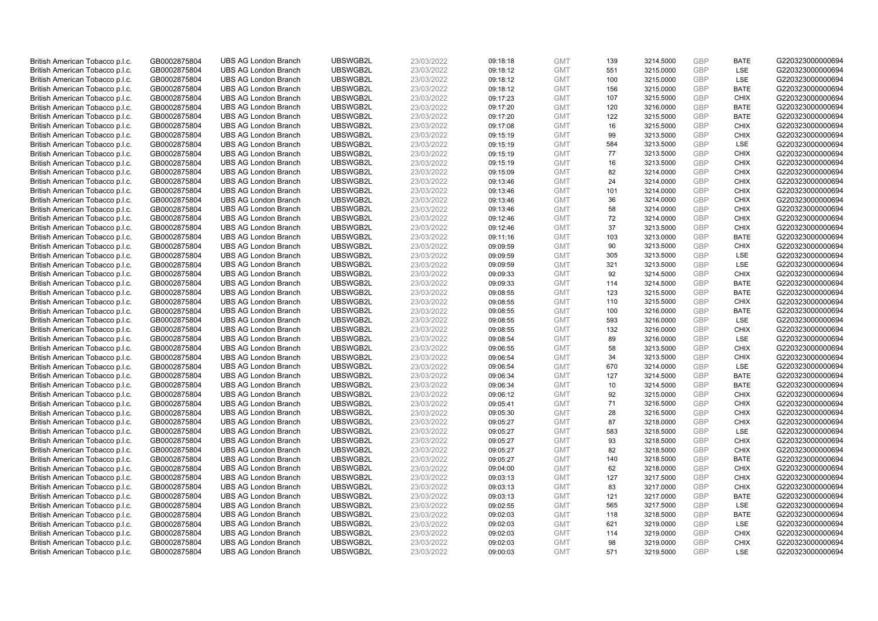| British American Tobacco p.l.c. | GB0002875804 | <b>UBS AG London Branch</b> | UBSWGB2L | 23/03/2022 | 09:18:18 | <b>GMT</b> | 139 | 3214.5000 | <b>GBP</b> | <b>BATE</b> | G220323000000694 |
|---------------------------------|--------------|-----------------------------|----------|------------|----------|------------|-----|-----------|------------|-------------|------------------|
| British American Tobacco p.l.c. | GB0002875804 | <b>UBS AG London Branch</b> | UBSWGB2L | 23/03/2022 | 09:18:12 | <b>GMT</b> | 551 | 3215.0000 | GBP        | <b>LSE</b>  | G220323000000694 |
| British American Tobacco p.l.c. | GB0002875804 | <b>UBS AG London Branch</b> | UBSWGB2L | 23/03/2022 | 09:18:12 | <b>GMT</b> | 100 | 3215.0000 | <b>GBP</b> | LSE         | G220323000000694 |
| British American Tobacco p.l.c. | GB0002875804 | <b>UBS AG London Branch</b> | UBSWGB2L | 23/03/2022 | 09:18:12 | <b>GMT</b> | 156 | 3215.0000 | GBP        | <b>BATE</b> | G220323000000694 |
| British American Tobacco p.l.c. | GB0002875804 | <b>UBS AG London Branch</b> | UBSWGB2L | 23/03/2022 | 09:17:23 | <b>GMT</b> | 107 | 3215.5000 | GBP        | <b>CHIX</b> | G220323000000694 |
| British American Tobacco p.l.c. | GB0002875804 | <b>UBS AG London Branch</b> | UBSWGB2L | 23/03/2022 | 09:17:20 | <b>GMT</b> | 120 | 3216.0000 | <b>GBP</b> | <b>BATE</b> | G220323000000694 |
| British American Tobacco p.l.c. | GB0002875804 | <b>UBS AG London Branch</b> | UBSWGB2L | 23/03/2022 | 09:17:20 | <b>GMT</b> | 122 | 3215.5000 | <b>GBP</b> | <b>BATE</b> | G220323000000694 |
| British American Tobacco p.l.c. | GB0002875804 | <b>UBS AG London Branch</b> | UBSWGB2L | 23/03/2022 | 09:17:08 | <b>GMT</b> | 16  | 3215.5000 | <b>GBP</b> | <b>CHIX</b> | G220323000000694 |
| British American Tobacco p.l.c. | GB0002875804 | <b>UBS AG London Branch</b> | UBSWGB2L | 23/03/2022 | 09:15:19 | <b>GMT</b> | 99  | 3213.5000 | <b>GBP</b> | <b>CHIX</b> | G220323000000694 |
| British American Tobacco p.l.c. | GB0002875804 | <b>UBS AG London Branch</b> | UBSWGB2L | 23/03/2022 | 09:15:19 | <b>GMT</b> | 584 | 3213.5000 | <b>GBP</b> | <b>LSE</b>  | G220323000000694 |
| British American Tobacco p.l.c. | GB0002875804 | <b>UBS AG London Branch</b> | UBSWGB2L | 23/03/2022 | 09:15:19 | <b>GMT</b> | 77  | 3213.5000 | <b>GBP</b> | <b>CHIX</b> | G220323000000694 |
| British American Tobacco p.l.c. | GB0002875804 | <b>UBS AG London Branch</b> | UBSWGB2L | 23/03/2022 | 09:15:19 | <b>GMT</b> | 16  | 3213.5000 | <b>GBP</b> | <b>CHIX</b> | G220323000000694 |
| British American Tobacco p.l.c. | GB0002875804 | <b>UBS AG London Branch</b> | UBSWGB2L | 23/03/2022 | 09:15:09 | <b>GMT</b> | 82  | 3214.0000 | <b>GBP</b> | <b>CHIX</b> | G220323000000694 |
| British American Tobacco p.l.c. | GB0002875804 | <b>UBS AG London Branch</b> | UBSWGB2L | 23/03/2022 | 09:13:46 | <b>GMT</b> | 24  | 3214.0000 | <b>GBP</b> | <b>CHIX</b> | G220323000000694 |
| British American Tobacco p.l.c. | GB0002875804 | <b>UBS AG London Branch</b> | UBSWGB2L | 23/03/2022 | 09:13:46 | <b>GMT</b> | 101 | 3214.0000 | <b>GBP</b> | <b>CHIX</b> | G220323000000694 |
| British American Tobacco p.l.c. | GB0002875804 | <b>UBS AG London Branch</b> | UBSWGB2L | 23/03/2022 | 09:13:46 | <b>GMT</b> | 36  | 3214.0000 | GBP        | <b>CHIX</b> | G220323000000694 |
| British American Tobacco p.l.c. | GB0002875804 | <b>UBS AG London Branch</b> | UBSWGB2L | 23/03/2022 | 09:13:46 | <b>GMT</b> | 58  | 3214.0000 | <b>GBP</b> | <b>CHIX</b> | G220323000000694 |
| British American Tobacco p.l.c. | GB0002875804 | <b>UBS AG London Branch</b> | UBSWGB2L | 23/03/2022 | 09:12:46 | <b>GMT</b> | 72  | 3214.0000 | GBP        | <b>CHIX</b> | G220323000000694 |
| British American Tobacco p.l.c. | GB0002875804 | <b>UBS AG London Branch</b> | UBSWGB2L | 23/03/2022 | 09:12:46 | <b>GMT</b> | 37  | 3213.5000 | <b>GBP</b> | <b>CHIX</b> | G220323000000694 |
| British American Tobacco p.l.c. | GB0002875804 | <b>UBS AG London Branch</b> | UBSWGB2L | 23/03/2022 | 09:11:16 | <b>GMT</b> | 103 | 3213.0000 | <b>GBP</b> | <b>BATE</b> | G220323000000694 |
| British American Tobacco p.l.c. | GB0002875804 | <b>UBS AG London Branch</b> | UBSWGB2L | 23/03/2022 | 09:09:59 | <b>GMT</b> | 90  | 3213.5000 | <b>GBP</b> | <b>CHIX</b> | G220323000000694 |
| British American Tobacco p.l.c. | GB0002875804 | <b>UBS AG London Branch</b> | UBSWGB2L | 23/03/2022 | 09:09:59 | <b>GMT</b> | 305 | 3213.5000 | <b>GBP</b> | LSE         | G220323000000694 |
| British American Tobacco p.l.c. | GB0002875804 | <b>UBS AG London Branch</b> | UBSWGB2L | 23/03/2022 | 09:09:59 | <b>GMT</b> | 321 | 3213.5000 | <b>GBP</b> | LSE         | G220323000000694 |
| British American Tobacco p.l.c. | GB0002875804 | <b>UBS AG London Branch</b> | UBSWGB2L | 23/03/2022 | 09:09:33 | <b>GMT</b> | 92  | 3214.5000 | <b>GBP</b> | <b>CHIX</b> | G220323000000694 |
| British American Tobacco p.l.c. | GB0002875804 | <b>UBS AG London Branch</b> | UBSWGB2L | 23/03/2022 | 09:09:33 | <b>GMT</b> | 114 | 3214.5000 | <b>GBP</b> | <b>BATE</b> | G220323000000694 |
| British American Tobacco p.l.c. | GB0002875804 | <b>UBS AG London Branch</b> | UBSWGB2L | 23/03/2022 | 09:08:55 | <b>GMT</b> | 123 | 3215.5000 | <b>GBP</b> | <b>BATE</b> | G220323000000694 |
| British American Tobacco p.l.c. | GB0002875804 | <b>UBS AG London Branch</b> | UBSWGB2L | 23/03/2022 | 09:08:55 | <b>GMT</b> | 110 | 3215.5000 | <b>GBP</b> | <b>CHIX</b> | G220323000000694 |
| British American Tobacco p.l.c. | GB0002875804 | <b>UBS AG London Branch</b> | UBSWGB2L | 23/03/2022 | 09:08:55 | <b>GMT</b> | 100 | 3216.0000 | <b>GBP</b> | <b>BATE</b> | G220323000000694 |
| British American Tobacco p.l.c. | GB0002875804 | <b>UBS AG London Branch</b> | UBSWGB2L | 23/03/2022 | 09:08:55 | <b>GMT</b> | 593 | 3216.0000 | <b>GBP</b> | <b>LSE</b>  | G220323000000694 |
| British American Tobacco p.l.c. | GB0002875804 | <b>UBS AG London Branch</b> | UBSWGB2L | 23/03/2022 | 09:08:55 | <b>GMT</b> | 132 | 3216.0000 | <b>GBP</b> | <b>CHIX</b> | G220323000000694 |
| British American Tobacco p.l.c. | GB0002875804 | <b>UBS AG London Branch</b> | UBSWGB2L | 23/03/2022 | 09:08:54 | <b>GMT</b> | 89  | 3216.0000 | GBP        | <b>LSE</b>  | G220323000000694 |
| British American Tobacco p.l.c. | GB0002875804 | <b>UBS AG London Branch</b> | UBSWGB2L | 23/03/2022 | 09:06:55 | <b>GMT</b> | 58  | 3213.5000 | GBP        | <b>CHIX</b> | G220323000000694 |
| British American Tobacco p.l.c. | GB0002875804 | <b>UBS AG London Branch</b> | UBSWGB2L | 23/03/2022 | 09:06:54 | <b>GMT</b> | 34  | 3213.5000 | <b>GBP</b> | <b>CHIX</b> | G220323000000694 |
| British American Tobacco p.l.c. | GB0002875804 | <b>UBS AG London Branch</b> | UBSWGB2L | 23/03/2022 | 09:06:54 | <b>GMT</b> | 670 | 3214.0000 | GBP        | LSE         | G220323000000694 |
| British American Tobacco p.l.c. | GB0002875804 | <b>UBS AG London Branch</b> | UBSWGB2L | 23/03/2022 | 09:06:34 | <b>GMT</b> | 127 | 3214.5000 | GBP        | <b>BATE</b> | G220323000000694 |
| British American Tobacco p.l.c. | GB0002875804 | <b>UBS AG London Branch</b> | UBSWGB2L | 23/03/2022 | 09:06:34 | <b>GMT</b> | 10  | 3214.5000 | <b>GBP</b> | <b>BATE</b> | G220323000000694 |
| British American Tobacco p.l.c. | GB0002875804 | <b>UBS AG London Branch</b> | UBSWGB2L | 23/03/2022 | 09:06:12 | <b>GMT</b> | 92  | 3215.0000 | GBP        | <b>CHIX</b> | G220323000000694 |
| British American Tobacco p.l.c. | GB0002875804 | <b>UBS AG London Branch</b> | UBSWGB2L | 23/03/2022 | 09:05:41 | <b>GMT</b> | 71  | 3216.5000 | <b>GBP</b> | <b>CHIX</b> | G220323000000694 |
| British American Tobacco p.l.c. | GB0002875804 | <b>UBS AG London Branch</b> | UBSWGB2L | 23/03/2022 | 09:05:30 | <b>GMT</b> | 28  | 3216.5000 | GBP        | <b>CHIX</b> | G220323000000694 |
| British American Tobacco p.l.c. | GB0002875804 | <b>UBS AG London Branch</b> | UBSWGB2L | 23/03/2022 | 09:05:27 | <b>GMT</b> | 87  | 3218.0000 | <b>GBP</b> | <b>CHIX</b> | G220323000000694 |
| British American Tobacco p.l.c. | GB0002875804 | <b>UBS AG London Branch</b> | UBSWGB2L | 23/03/2022 | 09:05:27 | <b>GMT</b> | 583 | 3218.5000 | <b>GBP</b> | <b>LSE</b>  | G220323000000694 |
| British American Tobacco p.l.c. | GB0002875804 | <b>UBS AG London Branch</b> | UBSWGB2L | 23/03/2022 | 09:05:27 | <b>GMT</b> | 93  | 3218.5000 | GBP        | <b>CHIX</b> | G220323000000694 |
| British American Tobacco p.l.c. | GB0002875804 | <b>UBS AG London Branch</b> | UBSWGB2L | 23/03/2022 | 09:05:27 | <b>GMT</b> | 82  | 3218.5000 | GBP        | <b>CHIX</b> | G220323000000694 |
| British American Tobacco p.l.c. | GB0002875804 | <b>UBS AG London Branch</b> | UBSWGB2L | 23/03/2022 | 09:05:27 | <b>GMT</b> | 140 | 3218.5000 | GBP        | <b>BATE</b> | G220323000000694 |
| British American Tobacco p.l.c. | GB0002875804 | <b>UBS AG London Branch</b> | UBSWGB2L | 23/03/2022 | 09:04:00 | <b>GMT</b> | 62  | 3218.0000 | GBP        | <b>CHIX</b> | G220323000000694 |
| British American Tobacco p.l.c. | GB0002875804 | <b>UBS AG London Branch</b> | UBSWGB2L | 23/03/2022 | 09:03:13 | <b>GMT</b> | 127 | 3217.5000 | <b>GBP</b> | <b>CHIX</b> | G220323000000694 |
| British American Tobacco p.l.c. | GB0002875804 | <b>UBS AG London Branch</b> | UBSWGB2L | 23/03/2022 | 09:03:13 | <b>GMT</b> | 83  | 3217.0000 | <b>GBP</b> | <b>CHIX</b> | G220323000000694 |
| British American Tobacco p.l.c. | GB0002875804 | <b>UBS AG London Branch</b> | UBSWGB2L | 23/03/2022 | 09:03:13 | <b>GMT</b> | 121 | 3217.0000 | GBP        | <b>BATE</b> | G220323000000694 |
| British American Tobacco p.l.c. | GB0002875804 | <b>UBS AG London Branch</b> | UBSWGB2L | 23/03/2022 | 09:02:55 | <b>GMT</b> | 565 | 3217.5000 | GBP        | LSE         | G220323000000694 |
| British American Tobacco p.l.c. | GB0002875804 | <b>UBS AG London Branch</b> | UBSWGB2L | 23/03/2022 | 09:02:03 | <b>GMT</b> | 118 | 3218.5000 | GBP        | <b>BATE</b> | G220323000000694 |
| British American Tobacco p.l.c. | GB0002875804 | <b>UBS AG London Branch</b> | UBSWGB2L | 23/03/2022 | 09:02:03 | <b>GMT</b> | 621 | 3219.0000 | <b>GBP</b> | LSE         | G220323000000694 |
| British American Tobacco p.l.c. | GB0002875804 | <b>UBS AG London Branch</b> | UBSWGB2L | 23/03/2022 | 09:02:03 | <b>GMT</b> | 114 | 3219.0000 | <b>GBP</b> | <b>CHIX</b> | G220323000000694 |
| British American Tobacco p.l.c. | GB0002875804 | <b>UBS AG London Branch</b> | UBSWGB2L | 23/03/2022 | 09:02:03 | <b>GMT</b> | 98  | 3219.0000 | GBP        | <b>CHIX</b> | G220323000000694 |
| British American Tobacco p.l.c. | GB0002875804 | <b>UBS AG London Branch</b> | UBSWGB2L | 23/03/2022 | 09:00:03 | <b>GMT</b> | 571 | 3219.5000 | GBP        | <b>LSE</b>  | G220323000000694 |
|                                 |              |                             |          |            |          |            |     |           |            |             |                  |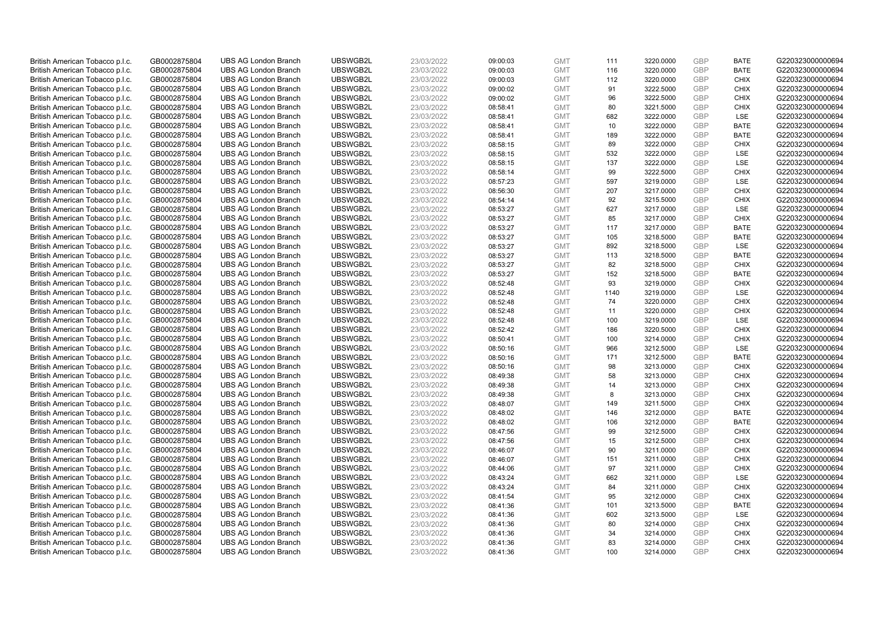| British American Tobacco p.l.c.                                    | GB0002875804                 | <b>UBS AG London Branch</b>                                | UBSWGB2L             | 23/03/2022               | 09:00:03             | <b>GMT</b>               | 111       | 3220.0000              | <b>GBP</b>               | <b>BATE</b>                | G220323000000694                     |
|--------------------------------------------------------------------|------------------------------|------------------------------------------------------------|----------------------|--------------------------|----------------------|--------------------------|-----------|------------------------|--------------------------|----------------------------|--------------------------------------|
| British American Tobacco p.l.c.                                    | GB0002875804                 | <b>UBS AG London Branch</b>                                | UBSWGB2L             | 23/03/2022               | 09:00:03             | <b>GMT</b>               | 116       | 3220.0000              | <b>GBP</b>               | <b>BATE</b>                | G220323000000694                     |
| British American Tobacco p.l.c.                                    | GB0002875804                 | <b>UBS AG London Branch</b>                                | UBSWGB2L             | 23/03/2022               | 09:00:03             | <b>GMT</b>               | 112       | 3220.0000              | <b>GBP</b>               | <b>CHIX</b>                | G220323000000694                     |
| British American Tobacco p.l.c.                                    | GB0002875804                 | <b>UBS AG London Branch</b>                                | UBSWGB2L             | 23/03/2022               | 09:00:02             | <b>GMT</b>               | 91        | 3222.5000              | <b>GBP</b>               | <b>CHIX</b>                | G220323000000694                     |
| British American Tobacco p.l.c.                                    | GB0002875804                 | <b>UBS AG London Branch</b>                                | UBSWGB2L             | 23/03/2022               | 09:00:02             | <b>GMT</b>               | 96        | 3222.5000              | <b>GBP</b>               | <b>CHIX</b>                | G220323000000694                     |
| British American Tobacco p.l.c.                                    | GB0002875804                 | <b>UBS AG London Branch</b>                                | UBSWGB2L             | 23/03/2022               | 08:58:41             | <b>GMT</b>               | 80        | 3221.5000              | <b>GBP</b>               | <b>CHIX</b>                | G220323000000694                     |
| British American Tobacco p.l.c.                                    | GB0002875804                 | <b>UBS AG London Branch</b>                                | UBSWGB2L             | 23/03/2022               | 08:58:41             | <b>GMT</b>               | 682       | 3222.0000              | <b>GBP</b>               | LSE                        | G220323000000694                     |
| British American Tobacco p.l.c.                                    | GB0002875804                 | <b>UBS AG London Branch</b>                                | UBSWGB2L             | 23/03/2022               | 08:58:41             | <b>GMT</b>               | 10        | 3222.0000              | <b>GBP</b>               | <b>BATE</b>                | G220323000000694                     |
| British American Tobacco p.l.c.                                    | GB0002875804                 | <b>UBS AG London Branch</b>                                | UBSWGB2L             | 23/03/2022               | 08:58:41             | <b>GMT</b>               | 189       | 3222.0000              | <b>GBP</b>               | <b>BATE</b>                | G220323000000694                     |
| British American Tobacco p.l.c.                                    | GB0002875804                 | <b>UBS AG London Branch</b>                                | UBSWGB2L             | 23/03/2022               | 08:58:15             | <b>GMT</b>               | 89        | 3222.0000              | <b>GBP</b>               | <b>CHIX</b>                | G220323000000694                     |
| British American Tobacco p.l.c.                                    | GB0002875804                 | <b>UBS AG London Branch</b>                                | UBSWGB2L             | 23/03/2022               | 08:58:15             | <b>GMT</b>               | 532       | 3222.0000              | <b>GBP</b>               | LSE                        | G220323000000694                     |
| British American Tobacco p.l.c.                                    | GB0002875804                 | <b>UBS AG London Branch</b>                                | UBSWGB2L             | 23/03/2022               | 08:58:15             | <b>GMT</b>               | 137       | 3222.0000              | <b>GBP</b>               | LSE                        | G220323000000694                     |
| British American Tobacco p.l.c.                                    | GB0002875804                 | <b>UBS AG London Branch</b>                                | UBSWGB2L             | 23/03/2022               | 08:58:14             | <b>GMT</b>               | 99        | 3222.5000              | <b>GBP</b>               | <b>CHIX</b>                | G220323000000694                     |
| British American Tobacco p.l.c.                                    | GB0002875804                 | <b>UBS AG London Branch</b>                                | UBSWGB2L             | 23/03/2022               | 08:57:23             | <b>GMT</b>               | 597       | 3219.0000              | <b>GBP</b>               | LSE                        | G220323000000694                     |
| British American Tobacco p.l.c.                                    | GB0002875804                 | <b>UBS AG London Branch</b>                                | UBSWGB2L             | 23/03/2022               | 08:56:30             | <b>GMT</b>               | 207       | 3217.0000              | <b>GBP</b>               | <b>CHIX</b>                | G220323000000694                     |
| British American Tobacco p.l.c.                                    | GB0002875804                 | <b>UBS AG London Branch</b>                                | UBSWGB2L             | 23/03/2022               | 08:54:14             | <b>GMT</b>               | 92        | 3215.5000              | <b>GBP</b>               | <b>CHIX</b>                | G220323000000694                     |
| British American Tobacco p.l.c.                                    | GB0002875804                 | <b>UBS AG London Branch</b>                                | UBSWGB2L             | 23/03/2022               | 08:53:27             | <b>GMT</b>               | 627       | 3217.0000              | <b>GBP</b>               | LSE                        | G220323000000694                     |
| British American Tobacco p.l.c.                                    | GB0002875804                 | <b>UBS AG London Branch</b>                                | UBSWGB2L             | 23/03/2022               | 08:53:27             | <b>GMT</b>               | 85        | 3217.0000              | <b>GBP</b>               | <b>CHIX</b>                | G220323000000694                     |
| British American Tobacco p.l.c.                                    | GB0002875804                 | <b>UBS AG London Branch</b>                                | UBSWGB2L             | 23/03/2022               | 08:53:27             | <b>GMT</b>               | 117       | 3217.0000              | <b>GBP</b>               | <b>BATE</b>                | G220323000000694                     |
| British American Tobacco p.l.c.                                    | GB0002875804                 | <b>UBS AG London Branch</b>                                | UBSWGB2L             | 23/03/2022               | 08:53:27             | <b>GMT</b>               | 105       | 3218.5000              | <b>GBP</b>               | <b>BATE</b>                | G220323000000694                     |
| British American Tobacco p.l.c.                                    | GB0002875804                 | <b>UBS AG London Branch</b>                                | UBSWGB2L             | 23/03/2022               | 08:53:27             | <b>GMT</b>               | 892       | 3218.5000              | <b>GBP</b>               | LSE                        | G220323000000694                     |
| British American Tobacco p.l.c.                                    | GB0002875804                 | <b>UBS AG London Branch</b>                                | UBSWGB2L             | 23/03/2022               | 08:53:27             | <b>GMT</b>               | 113       | 3218.5000              | <b>GBP</b>               | <b>BATE</b>                | G220323000000694                     |
| British American Tobacco p.l.c.                                    | GB0002875804                 | <b>UBS AG London Branch</b>                                | UBSWGB2L             | 23/03/2022               | 08:53:27             | <b>GMT</b>               | 82        | 3218.5000              | <b>GBP</b>               | <b>CHIX</b>                | G220323000000694                     |
| British American Tobacco p.l.c.                                    | GB0002875804                 | <b>UBS AG London Branch</b>                                | UBSWGB2L             | 23/03/2022               | 08:53:27             | <b>GMT</b>               | 152       | 3218.5000              | <b>GBP</b>               | <b>BATE</b>                | G220323000000694                     |
| British American Tobacco p.l.c.                                    | GB0002875804                 | <b>UBS AG London Branch</b>                                | UBSWGB2L             | 23/03/2022               | 08:52:48             | <b>GMT</b>               | 93        | 3219.0000              | <b>GBP</b>               | <b>CHIX</b>                | G220323000000694                     |
| British American Tobacco p.l.c.                                    | GB0002875804                 | <b>UBS AG London Branch</b>                                | UBSWGB2L             | 23/03/2022               | 08:52:48             | <b>GMT</b>               | 1140      | 3219.0000              | <b>GBP</b>               | LSE                        | G220323000000694                     |
| British American Tobacco p.l.c.                                    | GB0002875804                 | <b>UBS AG London Branch</b>                                | UBSWGB2L             | 23/03/2022               | 08:52:48             | <b>GMT</b>               | 74        | 3220.0000              | <b>GBP</b>               | <b>CHIX</b>                | G220323000000694                     |
| British American Tobacco p.l.c.                                    | GB0002875804                 | <b>UBS AG London Branch</b>                                | UBSWGB2L             | 23/03/2022               | 08:52:48             | <b>GMT</b>               | 11        | 3220.0000              | <b>GBP</b>               | <b>CHIX</b>                | G220323000000694                     |
| British American Tobacco p.l.c.                                    | GB0002875804                 | <b>UBS AG London Branch</b>                                | UBSWGB2L             | 23/03/2022               | 08:52:48             | <b>GMT</b>               | 100       | 3219.0000              | <b>GBP</b>               | LSE                        | G220323000000694                     |
| British American Tobacco p.l.c.                                    | GB0002875804                 | <b>UBS AG London Branch</b>                                | UBSWGB2L             | 23/03/2022               | 08:52:42             | <b>GMT</b>               | 186       | 3220.5000              | <b>GBP</b>               | <b>CHIX</b>                | G220323000000694                     |
| British American Tobacco p.l.c.                                    | GB0002875804                 | <b>UBS AG London Branch</b>                                | UBSWGB2L             | 23/03/2022               | 08:50:41             | <b>GMT</b>               | 100       | 3214.0000              | <b>GBP</b>               | <b>CHIX</b>                | G220323000000694                     |
| British American Tobacco p.l.c.                                    | GB0002875804                 | <b>UBS AG London Branch</b>                                | UBSWGB2L             | 23/03/2022               | 08:50:16             | <b>GMT</b>               | 966       | 3212.5000              | <b>GBP</b>               | LSE                        | G220323000000694                     |
| British American Tobacco p.l.c.                                    | GB0002875804                 | <b>UBS AG London Branch</b>                                | UBSWGB2L             | 23/03/2022               | 08:50:16             | <b>GMT</b>               | 171       | 3212.5000              | <b>GBP</b>               | <b>BATE</b>                | G220323000000694                     |
| British American Tobacco p.l.c.                                    | GB0002875804                 | <b>UBS AG London Branch</b>                                | UBSWGB2L             | 23/03/2022               | 08:50:16             | <b>GMT</b>               | 98        | 3213.0000              | <b>GBP</b>               | <b>CHIX</b>                | G220323000000694                     |
| British American Tobacco p.l.c.                                    | GB0002875804                 | <b>UBS AG London Branch</b>                                | UBSWGB2L             | 23/03/2022               | 08:49:38             | <b>GMT</b>               | 58        | 3213.0000              | <b>GBP</b>               | <b>CHIX</b>                | G220323000000694                     |
| British American Tobacco p.l.c.                                    | GB0002875804                 | <b>UBS AG London Branch</b>                                | UBSWGB2L             | 23/03/2022               | 08:49:38             | <b>GMT</b>               | 14        | 3213.0000              | <b>GBP</b>               | <b>CHIX</b>                | G220323000000694                     |
| British American Tobacco p.l.c.                                    | GB0002875804                 | <b>UBS AG London Branch</b>                                | UBSWGB2L             | 23/03/2022               | 08:49:38             | <b>GMT</b>               | 8         | 3213.0000              | <b>GBP</b>               | <b>CHIX</b>                | G220323000000694                     |
| British American Tobacco p.l.c.                                    | GB0002875804                 | <b>UBS AG London Branch</b>                                | UBSWGB2L             | 23/03/2022               | 08:48:07             | <b>GMT</b>               | 149       | 3211.5000              | <b>GBP</b>               | <b>CHIX</b>                | G220323000000694                     |
| British American Tobacco p.l.c.                                    | GB0002875804                 | <b>UBS AG London Branch</b>                                | UBSWGB2L             | 23/03/2022               | 08:48:02             | <b>GMT</b>               | 146       | 3212.0000              | <b>GBP</b>               | <b>BATE</b>                | G220323000000694                     |
| British American Tobacco p.l.c.                                    | GB0002875804                 | <b>UBS AG London Branch</b>                                | UBSWGB2L             | 23/03/2022               | 08:48:02             | <b>GMT</b>               | 106       | 3212.0000              | <b>GBP</b>               | <b>BATE</b>                | G220323000000694                     |
| British American Tobacco p.l.c.                                    | GB0002875804                 | <b>UBS AG London Branch</b>                                | UBSWGB2L             | 23/03/2022               | 08:47:56             | <b>GMT</b>               | 99        | 3212.5000              | <b>GBP</b>               | <b>CHIX</b>                | G220323000000694                     |
| British American Tobacco p.l.c.                                    | GB0002875804                 | <b>UBS AG London Branch</b>                                | UBSWGB2L<br>UBSWGB2L | 23/03/2022               | 08:47:56             | <b>GMT</b>               | 15        | 3212.5000              | <b>GBP</b><br><b>GBP</b> | <b>CHIX</b>                | G220323000000694                     |
| British American Tobacco p.l.c.                                    | GB0002875804                 | <b>UBS AG London Branch</b>                                |                      | 23/03/2022               | 08:46:07             | <b>GMT</b>               | 90        | 3211.0000              | <b>GBP</b>               | <b>CHIX</b><br><b>CHIX</b> | G220323000000694                     |
| British American Tobacco p.l.c.                                    | GB0002875804                 | <b>UBS AG London Branch</b><br><b>UBS AG London Branch</b> | UBSWGB2L             | 23/03/2022               | 08:46:07             | <b>GMT</b>               | 151<br>97 | 3211.0000              |                          | <b>CHIX</b>                | G220323000000694                     |
| British American Tobacco p.l.c.                                    | GB0002875804<br>GB0002875804 | <b>UBS AG London Branch</b>                                | UBSWGB2L<br>UBSWGB2L | 23/03/2022<br>23/03/2022 | 08:44:06<br>08:43:24 | <b>GMT</b><br><b>GMT</b> | 662       | 3211.0000<br>3211.0000 | <b>GBP</b><br><b>GBP</b> | LSE                        | G220323000000694<br>G220323000000694 |
| British American Tobacco p.l.c.                                    |                              |                                                            |                      |                          |                      | <b>GMT</b>               | 84        | 3211.0000              | <b>GBP</b>               | <b>CHIX</b>                |                                      |
| British American Tobacco p.l.c.<br>British American Tobacco p.l.c. | GB0002875804<br>GB0002875804 | <b>UBS AG London Branch</b><br><b>UBS AG London Branch</b> | UBSWGB2L<br>UBSWGB2L | 23/03/2022<br>23/03/2022 | 08:43:24<br>08:41:54 | <b>GMT</b>               | 95        | 3212.0000              | <b>GBP</b>               | <b>CHIX</b>                | G220323000000694<br>G220323000000694 |
| British American Tobacco p.l.c.                                    | GB0002875804                 | <b>UBS AG London Branch</b>                                | UBSWGB2L             | 23/03/2022               | 08:41:36             | <b>GMT</b>               | 101       | 3213.5000              | <b>GBP</b>               | <b>BATE</b>                | G220323000000694                     |
| British American Tobacco p.l.c.                                    | GB0002875804                 | <b>UBS AG London Branch</b>                                | UBSWGB2L             | 23/03/2022               | 08:41:36             | <b>GMT</b>               | 602       | 3213.5000              | <b>GBP</b>               | <b>LSE</b>                 | G220323000000694                     |
| British American Tobacco p.l.c.                                    | GB0002875804                 | <b>UBS AG London Branch</b>                                | UBSWGB2L             | 23/03/2022               | 08:41:36             | <b>GMT</b>               | 80        | 3214.0000              | <b>GBP</b>               | <b>CHIX</b>                | G220323000000694                     |
| British American Tobacco p.l.c.                                    | GB0002875804                 | <b>UBS AG London Branch</b>                                | UBSWGB2L             | 23/03/2022               | 08:41:36             | <b>GMT</b>               | 34        | 3214.0000              | <b>GBP</b>               | <b>CHIX</b>                | G220323000000694                     |
| British American Tobacco p.l.c.                                    | GB0002875804                 | <b>UBS AG London Branch</b>                                | UBSWGB2L             | 23/03/2022               | 08:41:36             | <b>GMT</b>               | 83        | 3214.0000              | <b>GBP</b>               | <b>CHIX</b>                | G220323000000694                     |
| British American Tobacco p.l.c.                                    | GB0002875804                 | <b>UBS AG London Branch</b>                                | UBSWGB2L             | 23/03/2022               | 08:41:36             | <b>GMT</b>               | 100       | 3214.0000              | GBP                      | <b>CHIX</b>                | G220323000000694                     |
|                                                                    |                              |                                                            |                      |                          |                      |                          |           |                        |                          |                            |                                      |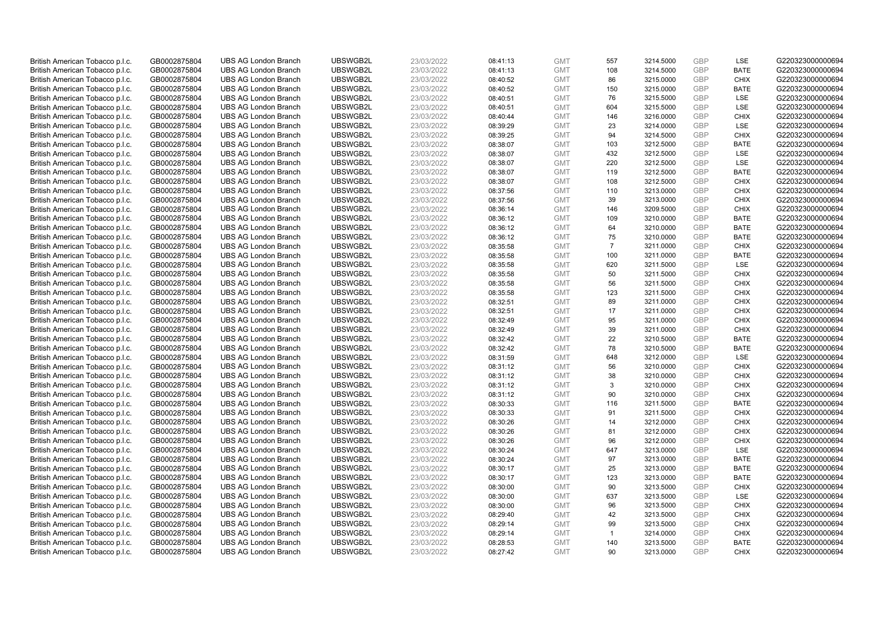| British American Tobacco p.l.c. | GB0002875804 | <b>UBS AG London Branch</b> | UBSWGB2L | 23/03/2022 | 08:41:13 | <b>GMT</b> | 557            | 3214.5000 | <b>GBP</b> | LSE         | G220323000000694 |
|---------------------------------|--------------|-----------------------------|----------|------------|----------|------------|----------------|-----------|------------|-------------|------------------|
| British American Tobacco p.l.c. | GB0002875804 | <b>UBS AG London Branch</b> | UBSWGB2L | 23/03/2022 | 08:41:13 | <b>GMT</b> | 108            | 3214.5000 | <b>GBP</b> | <b>BATE</b> | G220323000000694 |
| British American Tobacco p.l.c. | GB0002875804 | <b>UBS AG London Branch</b> | UBSWGB2L | 23/03/2022 | 08:40:52 | <b>GMT</b> | 86             | 3215.0000 | GBP        | <b>CHIX</b> | G220323000000694 |
| British American Tobacco p.l.c. | GB0002875804 | <b>UBS AG London Branch</b> | UBSWGB2L | 23/03/2022 | 08:40:52 | <b>GMT</b> | 150            | 3215.0000 | GBP        | <b>BATE</b> | G220323000000694 |
| British American Tobacco p.l.c. | GB0002875804 | <b>UBS AG London Branch</b> | UBSWGB2L | 23/03/2022 | 08:40:51 | <b>GMT</b> | 76             | 3215.5000 | <b>GBP</b> | LSE         | G220323000000694 |
| British American Tobacco p.l.c. | GB0002875804 | <b>UBS AG London Branch</b> | UBSWGB2L | 23/03/2022 | 08:40:51 | <b>GMT</b> | 604            | 3215.5000 | <b>GBP</b> | <b>LSE</b>  | G220323000000694 |
| British American Tobacco p.l.c. | GB0002875804 | <b>UBS AG London Branch</b> | UBSWGB2L | 23/03/2022 | 08:40:44 | <b>GMT</b> | 146            | 3216.0000 | GBP        | <b>CHIX</b> | G220323000000694 |
| British American Tobacco p.l.c. | GB0002875804 | <b>UBS AG London Branch</b> | UBSWGB2L | 23/03/2022 | 08:39:29 | <b>GMT</b> | 23             | 3214.0000 | <b>GBP</b> | <b>LSE</b>  | G220323000000694 |
| British American Tobacco p.l.c. | GB0002875804 | <b>UBS AG London Branch</b> | UBSWGB2L | 23/03/2022 | 08:39:25 | <b>GMT</b> | 94             | 3214.5000 | GBP        | <b>CHIX</b> | G220323000000694 |
| British American Tobacco p.l.c. | GB0002875804 | <b>UBS AG London Branch</b> | UBSWGB2L | 23/03/2022 | 08:38:07 | <b>GMT</b> | 103            | 3212.5000 | <b>GBP</b> | <b>BATE</b> | G220323000000694 |
| British American Tobacco p.l.c. | GB0002875804 | <b>UBS AG London Branch</b> | UBSWGB2L | 23/03/2022 | 08:38:07 | <b>GMT</b> | 432            | 3212.5000 | GBP        | <b>LSE</b>  | G220323000000694 |
| British American Tobacco p.l.c. | GB0002875804 | <b>UBS AG London Branch</b> | UBSWGB2L | 23/03/2022 | 08:38:07 | <b>GMT</b> | 220            | 3212.5000 | <b>GBP</b> | LSE         | G220323000000694 |
| British American Tobacco p.l.c. | GB0002875804 | <b>UBS AG London Branch</b> | UBSWGB2L | 23/03/2022 | 08:38:07 | <b>GMT</b> | 119            | 3212.5000 | <b>GBP</b> | <b>BATE</b> | G220323000000694 |
| British American Tobacco p.l.c. | GB0002875804 | <b>UBS AG London Branch</b> | UBSWGB2L | 23/03/2022 | 08:38:07 | <b>GMT</b> | 108            | 3212.5000 | <b>GBP</b> | <b>CHIX</b> | G220323000000694 |
| British American Tobacco p.l.c. | GB0002875804 | <b>UBS AG London Branch</b> | UBSWGB2L | 23/03/2022 | 08:37:56 | <b>GMT</b> | 110            | 3213.0000 | <b>GBP</b> | <b>CHIX</b> | G220323000000694 |
| British American Tobacco p.l.c. | GB0002875804 | <b>UBS AG London Branch</b> | UBSWGB2L | 23/03/2022 | 08:37:56 | <b>GMT</b> | 39             | 3213.0000 | GBP        | <b>CHIX</b> | G220323000000694 |
| British American Tobacco p.l.c. | GB0002875804 | <b>UBS AG London Branch</b> | UBSWGB2L | 23/03/2022 | 08:36:14 | <b>GMT</b> | 146            | 3209.5000 | GBP        | <b>CHIX</b> | G220323000000694 |
| British American Tobacco p.l.c. | GB0002875804 | <b>UBS AG London Branch</b> | UBSWGB2L | 23/03/2022 | 08:36:12 | <b>GMT</b> | 109            | 3210.0000 | GBP        | <b>BATE</b> | G220323000000694 |
| British American Tobacco p.l.c. | GB0002875804 | <b>UBS AG London Branch</b> | UBSWGB2L | 23/03/2022 | 08:36:12 | <b>GMT</b> | 64             | 3210.0000 | <b>GBP</b> | <b>BATE</b> | G220323000000694 |
| British American Tobacco p.l.c. | GB0002875804 | <b>UBS AG London Branch</b> | UBSWGB2L | 23/03/2022 | 08:36:12 | <b>GMT</b> | 75             | 3210.0000 | GBP        | <b>BATE</b> | G220323000000694 |
| British American Tobacco p.l.c. | GB0002875804 | <b>UBS AG London Branch</b> | UBSWGB2L | 23/03/2022 | 08:35:58 | <b>GMT</b> | $\overline{7}$ | 3211.0000 | <b>GBP</b> | <b>CHIX</b> | G220323000000694 |
| British American Tobacco p.l.c. | GB0002875804 | <b>UBS AG London Branch</b> | UBSWGB2L | 23/03/2022 | 08:35:58 | <b>GMT</b> | 100            | 3211.0000 | GBP        | <b>BATE</b> | G220323000000694 |
| British American Tobacco p.l.c. | GB0002875804 | <b>UBS AG London Branch</b> | UBSWGB2L | 23/03/2022 | 08:35:58 | <b>GMT</b> | 620            | 3211.5000 | <b>GBP</b> | LSE         | G220323000000694 |
| British American Tobacco p.l.c. | GB0002875804 | <b>UBS AG London Branch</b> | UBSWGB2L | 23/03/2022 | 08:35:58 | <b>GMT</b> | 50             | 3211.5000 | GBP        | <b>CHIX</b> | G220323000000694 |
| British American Tobacco p.l.c. | GB0002875804 | <b>UBS AG London Branch</b> | UBSWGB2L | 23/03/2022 | 08:35:58 | <b>GMT</b> | 56             | 3211.5000 | <b>GBP</b> | <b>CHIX</b> | G220323000000694 |
| British American Tobacco p.l.c. | GB0002875804 | <b>UBS AG London Branch</b> | UBSWGB2L | 23/03/2022 | 08:35:58 | <b>GMT</b> | 123            | 3211.5000 | GBP        | <b>CHIX</b> | G220323000000694 |
| British American Tobacco p.l.c. | GB0002875804 | <b>UBS AG London Branch</b> | UBSWGB2L | 23/03/2022 | 08:32:51 | <b>GMT</b> | 89             | 3211.0000 | <b>GBP</b> | <b>CHIX</b> | G220323000000694 |
| British American Tobacco p.l.c. | GB0002875804 | <b>UBS AG London Branch</b> | UBSWGB2L | 23/03/2022 | 08:32:51 | <b>GMT</b> | 17             | 3211.0000 | GBP        | <b>CHIX</b> | G220323000000694 |
| British American Tobacco p.l.c. | GB0002875804 | <b>UBS AG London Branch</b> | UBSWGB2L | 23/03/2022 | 08:32:49 | <b>GMT</b> | 95             | 3211.0000 | GBP        | <b>CHIX</b> | G220323000000694 |
| British American Tobacco p.l.c. | GB0002875804 | <b>UBS AG London Branch</b> | UBSWGB2L | 23/03/2022 | 08:32:49 | <b>GMT</b> | 39             | 3211.0000 | GBP        | <b>CHIX</b> | G220323000000694 |
| British American Tobacco p.l.c. | GB0002875804 | <b>UBS AG London Branch</b> | UBSWGB2L | 23/03/2022 | 08:32:42 | <b>GMT</b> | 22             | 3210.5000 | GBP        | <b>BATE</b> | G220323000000694 |
| British American Tobacco p.l.c. | GB0002875804 | <b>UBS AG London Branch</b> | UBSWGB2L | 23/03/2022 | 08:32:42 | <b>GMT</b> | 78             | 3210.5000 | GBP        | <b>BATE</b> | G220323000000694 |
| British American Tobacco p.l.c. | GB0002875804 | <b>UBS AG London Branch</b> | UBSWGB2L | 23/03/2022 | 08:31:59 | <b>GMT</b> | 648            | 3212.0000 | GBP        | LSE         | G220323000000694 |
| British American Tobacco p.l.c. | GB0002875804 | <b>UBS AG London Branch</b> | UBSWGB2L | 23/03/2022 | 08:31:12 | <b>GMT</b> | 56             | 3210.0000 | GBP        | <b>CHIX</b> | G220323000000694 |
| British American Tobacco p.l.c. | GB0002875804 | <b>UBS AG London Branch</b> | UBSWGB2L | 23/03/2022 | 08:31:12 | <b>GMT</b> | 38             | 3210.0000 | GBP        | <b>CHIX</b> | G220323000000694 |
| British American Tobacco p.l.c. | GB0002875804 | <b>UBS AG London Branch</b> | UBSWGB2L | 23/03/2022 | 08:31:12 | <b>GMT</b> | 3              | 3210.0000 | <b>GBP</b> | <b>CHIX</b> | G220323000000694 |
| British American Tobacco p.l.c. | GB0002875804 | <b>UBS AG London Branch</b> | UBSWGB2L | 23/03/2022 | 08:31:12 | <b>GMT</b> | 90             | 3210.0000 | GBP        | <b>CHIX</b> | G220323000000694 |
| British American Tobacco p.l.c. | GB0002875804 | <b>UBS AG London Branch</b> | UBSWGB2L | 23/03/2022 | 08:30:33 | <b>GMT</b> | 116            | 3211.5000 | <b>GBP</b> | <b>BATE</b> | G220323000000694 |
| British American Tobacco p.l.c. | GB0002875804 | <b>UBS AG London Branch</b> | UBSWGB2L | 23/03/2022 | 08:30:33 | <b>GMT</b> | 91             | 3211.5000 | GBP        | <b>CHIX</b> | G220323000000694 |
| British American Tobacco p.l.c. | GB0002875804 | <b>UBS AG London Branch</b> | UBSWGB2L | 23/03/2022 | 08:30:26 | <b>GMT</b> | 14             | 3212.0000 | <b>GBP</b> | <b>CHIX</b> | G220323000000694 |
| British American Tobacco p.l.c. | GB0002875804 | <b>UBS AG London Branch</b> | UBSWGB2L | 23/03/2022 | 08:30:26 | <b>GMT</b> | 81             | 3212.0000 | <b>GBP</b> | <b>CHIX</b> | G220323000000694 |
| British American Tobacco p.l.c. | GB0002875804 | <b>UBS AG London Branch</b> | UBSWGB2L | 23/03/2022 | 08:30:26 | <b>GMT</b> | 96             | 3212.0000 | GBP        | <b>CHIX</b> | G220323000000694 |
| British American Tobacco p.l.c. | GB0002875804 | <b>UBS AG London Branch</b> | UBSWGB2L | 23/03/2022 | 08:30:24 | <b>GMT</b> | 647            | 3213.0000 | GBP        | LSE         | G220323000000694 |
| British American Tobacco p.l.c. | GB0002875804 | <b>UBS AG London Branch</b> | UBSWGB2L | 23/03/2022 | 08:30:24 | <b>GMT</b> | 97             | 3213.0000 | GBP        | <b>BATE</b> | G220323000000694 |
| British American Tobacco p.l.c. | GB0002875804 | <b>UBS AG London Branch</b> | UBSWGB2L | 23/03/2022 | 08:30:17 | <b>GMT</b> | 25             | 3213.0000 | GBP        | <b>BATE</b> | G220323000000694 |
| British American Tobacco p.l.c. | GB0002875804 | <b>UBS AG London Branch</b> | UBSWGB2L | 23/03/2022 | 08:30:17 | <b>GMT</b> | 123            | 3213.0000 | <b>GBP</b> | <b>BATE</b> | G220323000000694 |
| British American Tobacco p.l.c. | GB0002875804 | <b>UBS AG London Branch</b> | UBSWGB2L | 23/03/2022 | 08:30:00 | <b>GMT</b> | 90             | 3213.5000 | <b>GBP</b> | <b>CHIX</b> | G220323000000694 |
| British American Tobacco p.l.c. | GB0002875804 | <b>UBS AG London Branch</b> | UBSWGB2L | 23/03/2022 | 08:30:00 | <b>GMT</b> | 637            | 3213.5000 | GBP        | LSE         | G220323000000694 |
| British American Tobacco p.l.c. | GB0002875804 | <b>UBS AG London Branch</b> | UBSWGB2L | 23/03/2022 | 08:30:00 | <b>GMT</b> | 96             | 3213.5000 | GBP        | <b>CHIX</b> | G220323000000694 |
| British American Tobacco p.l.c. | GB0002875804 | <b>UBS AG London Branch</b> | UBSWGB2L | 23/03/2022 | 08:29:40 | <b>GMT</b> | 42             | 3213.5000 | GBP        | <b>CHIX</b> | G220323000000694 |
| British American Tobacco p.l.c. | GB0002875804 | <b>UBS AG London Branch</b> | UBSWGB2L | 23/03/2022 | 08:29:14 | <b>GMT</b> | 99             | 3213.5000 | <b>GBP</b> | <b>CHIX</b> | G220323000000694 |
| British American Tobacco p.l.c. | GB0002875804 | <b>UBS AG London Branch</b> | UBSWGB2L | 23/03/2022 | 08:29:14 | <b>GMT</b> | $\mathbf{1}$   | 3214.0000 | <b>GBP</b> | <b>CHIX</b> | G220323000000694 |
| British American Tobacco p.l.c. | GB0002875804 | <b>UBS AG London Branch</b> | UBSWGB2L | 23/03/2022 | 08:28:53 | <b>GMT</b> | 140            | 3213.5000 | GBP        | <b>BATE</b> | G220323000000694 |
| British American Tobacco p.l.c. | GB0002875804 | <b>UBS AG London Branch</b> | UBSWGB2L | 23/03/2022 | 08:27:42 | <b>GMT</b> | 90             | 3213.0000 | GBP        | <b>CHIX</b> | G220323000000694 |
|                                 |              |                             |          |            |          |            |                |           |            |             |                  |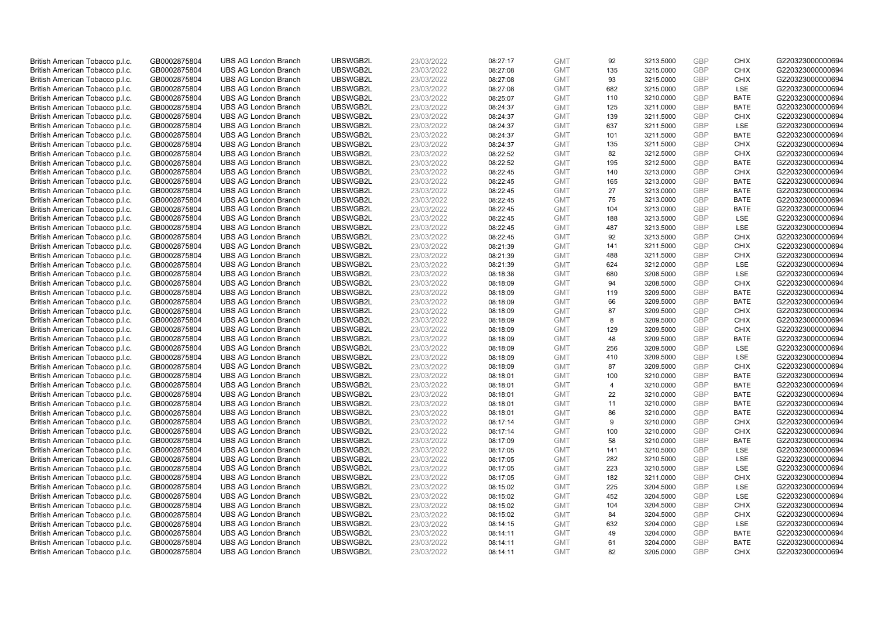| British American Tobacco p.l.c.                                    | GB0002875804                 | <b>UBS AG London Branch</b> | UBSWGB2L | 23/03/2022 | 08:27:17 | <b>GMT</b> | 92  | 3213.5000 | <b>GBP</b> | <b>CHIX</b> | G220323000000694 |
|--------------------------------------------------------------------|------------------------------|-----------------------------|----------|------------|----------|------------|-----|-----------|------------|-------------|------------------|
| British American Tobacco p.l.c.                                    | GB0002875804                 | <b>UBS AG London Branch</b> | UBSWGB2L | 23/03/2022 | 08:27:08 | <b>GMT</b> | 135 | 3215.0000 | <b>GBP</b> | <b>CHIX</b> | G220323000000694 |
| British American Tobacco p.l.c.                                    | GB0002875804                 | <b>UBS AG London Branch</b> | UBSWGB2L | 23/03/2022 | 08:27:08 | <b>GMT</b> | 93  | 3215.0000 | GBP        | <b>CHIX</b> | G220323000000694 |
| British American Tobacco p.l.c.                                    | GB0002875804                 | <b>UBS AG London Branch</b> | UBSWGB2L | 23/03/2022 | 08:27:08 | <b>GMT</b> | 682 | 3215.0000 | GBP        | <b>LSE</b>  | G220323000000694 |
| British American Tobacco p.l.c.                                    | GB0002875804                 | <b>UBS AG London Branch</b> | UBSWGB2L | 23/03/2022 | 08:25:07 | <b>GMT</b> | 110 | 3210.0000 | <b>GBP</b> | <b>BATE</b> | G220323000000694 |
| British American Tobacco p.l.c.                                    | GB0002875804                 | <b>UBS AG London Branch</b> | UBSWGB2L | 23/03/2022 | 08:24:37 | <b>GMT</b> | 125 | 3211.0000 | <b>GBP</b> | <b>BATE</b> | G220323000000694 |
| British American Tobacco p.l.c.                                    | GB0002875804                 | <b>UBS AG London Branch</b> | UBSWGB2L | 23/03/2022 | 08:24:37 | <b>GMT</b> | 139 | 3211.5000 | GBP        | <b>CHIX</b> | G220323000000694 |
| British American Tobacco p.l.c.                                    | GB0002875804                 | <b>UBS AG London Branch</b> | UBSWGB2L | 23/03/2022 | 08:24:37 | <b>GMT</b> | 637 | 3211.5000 | <b>GBP</b> | LSE         | G220323000000694 |
| British American Tobacco p.l.c.                                    | GB0002875804                 | <b>UBS AG London Branch</b> | UBSWGB2L | 23/03/2022 | 08:24:37 | <b>GMT</b> | 101 | 3211.5000 | GBP        | <b>BATE</b> | G220323000000694 |
| British American Tobacco p.l.c.                                    | GB0002875804                 | <b>UBS AG London Branch</b> | UBSWGB2L | 23/03/2022 | 08:24:37 | <b>GMT</b> | 135 | 3211.5000 | <b>GBP</b> | <b>CHIX</b> | G220323000000694 |
| British American Tobacco p.l.c.                                    | GB0002875804                 | <b>UBS AG London Branch</b> | UBSWGB2L | 23/03/2022 | 08:22:52 | <b>GMT</b> | 82  | 3212.5000 | GBP        | <b>CHIX</b> | G220323000000694 |
| British American Tobacco p.l.c.                                    | GB0002875804                 | <b>UBS AG London Branch</b> | UBSWGB2L | 23/03/2022 | 08:22:52 | <b>GMT</b> | 195 | 3212.5000 | <b>GBP</b> | <b>BATE</b> | G220323000000694 |
| British American Tobacco p.l.c.                                    | GB0002875804                 | <b>UBS AG London Branch</b> | UBSWGB2L | 23/03/2022 | 08:22:45 | <b>GMT</b> | 140 | 3213.0000 | <b>GBP</b> | <b>CHIX</b> | G220323000000694 |
| British American Tobacco p.l.c.                                    | GB0002875804                 | <b>UBS AG London Branch</b> | UBSWGB2L | 23/03/2022 | 08:22:45 | <b>GMT</b> | 165 | 3213.0000 | <b>GBP</b> | <b>BATE</b> | G220323000000694 |
| British American Tobacco p.l.c.                                    | GB0002875804                 | <b>UBS AG London Branch</b> | UBSWGB2L | 23/03/2022 | 08:22:45 | <b>GMT</b> | 27  | 3213.0000 | <b>GBP</b> | <b>BATE</b> | G220323000000694 |
| British American Tobacco p.l.c.                                    | GB0002875804                 | <b>UBS AG London Branch</b> | UBSWGB2L | 23/03/2022 | 08:22:45 | <b>GMT</b> | 75  | 3213.0000 | GBP        | <b>BATE</b> | G220323000000694 |
| British American Tobacco p.l.c.                                    | GB0002875804                 | <b>UBS AG London Branch</b> | UBSWGB2L | 23/03/2022 | 08:22:45 | <b>GMT</b> | 104 | 3213.0000 | GBP        | <b>BATE</b> | G220323000000694 |
| British American Tobacco p.l.c.                                    | GB0002875804                 | <b>UBS AG London Branch</b> | UBSWGB2L | 23/03/2022 | 08:22:45 | <b>GMT</b> | 188 | 3213.5000 | <b>GBP</b> | LSE         | G220323000000694 |
| British American Tobacco p.l.c.                                    | GB0002875804                 | <b>UBS AG London Branch</b> | UBSWGB2L | 23/03/2022 | 08:22:45 | <b>GMT</b> | 487 | 3213.5000 | <b>GBP</b> | <b>LSE</b>  | G220323000000694 |
| British American Tobacco p.l.c.                                    | GB0002875804                 | <b>UBS AG London Branch</b> | UBSWGB2L | 23/03/2022 | 08:22:45 | <b>GMT</b> | 92  | 3213.5000 | GBP        | <b>CHIX</b> | G220323000000694 |
| British American Tobacco p.l.c.                                    | GB0002875804                 | <b>UBS AG London Branch</b> | UBSWGB2L | 23/03/2022 | 08:21:39 | <b>GMT</b> | 141 | 3211.5000 | <b>GBP</b> | <b>CHIX</b> | G220323000000694 |
| British American Tobacco p.l.c.                                    | GB0002875804                 | <b>UBS AG London Branch</b> | UBSWGB2L | 23/03/2022 | 08:21:39 | <b>GMT</b> | 488 | 3211.5000 | GBP        | <b>CHIX</b> | G220323000000694 |
| British American Tobacco p.l.c.                                    | GB0002875804                 | <b>UBS AG London Branch</b> | UBSWGB2L | 23/03/2022 | 08:21:39 | <b>GMT</b> | 624 | 3212.0000 | <b>GBP</b> | LSE         | G220323000000694 |
| British American Tobacco p.l.c.                                    | GB0002875804                 | <b>UBS AG London Branch</b> | UBSWGB2L | 23/03/2022 | 08:18:38 | <b>GMT</b> | 680 | 3208.5000 | GBP        | <b>LSE</b>  | G220323000000694 |
| British American Tobacco p.l.c.                                    | GB0002875804                 | <b>UBS AG London Branch</b> | UBSWGB2L | 23/03/2022 | 08:18:09 | <b>GMT</b> | 94  | 3208.5000 | <b>GBP</b> | <b>CHIX</b> | G220323000000694 |
| British American Tobacco p.l.c.                                    | GB0002875804                 | <b>UBS AG London Branch</b> | UBSWGB2L | 23/03/2022 | 08:18:09 | <b>GMT</b> | 119 | 3209.5000 | GBP        | <b>BATE</b> | G220323000000694 |
| British American Tobacco p.l.c.                                    | GB0002875804                 | <b>UBS AG London Branch</b> | UBSWGB2L | 23/03/2022 | 08:18:09 | <b>GMT</b> | 66  | 3209.5000 | <b>GBP</b> | <b>BATE</b> | G220323000000694 |
| British American Tobacco p.l.c.                                    | GB0002875804                 | <b>UBS AG London Branch</b> | UBSWGB2L | 23/03/2022 | 08:18:09 | <b>GMT</b> | 87  | 3209.5000 | <b>GBP</b> | <b>CHIX</b> | G220323000000694 |
| British American Tobacco p.l.c.                                    | GB0002875804                 | <b>UBS AG London Branch</b> | UBSWGB2L | 23/03/2022 | 08:18:09 | <b>GMT</b> | 8   | 3209.5000 | GBP        | <b>CHIX</b> | G220323000000694 |
| British American Tobacco p.l.c.                                    | GB0002875804                 | <b>UBS AG London Branch</b> | UBSWGB2L | 23/03/2022 | 08:18:09 | <b>GMT</b> | 129 | 3209.5000 | GBP        | <b>CHIX</b> | G220323000000694 |
| British American Tobacco p.l.c.                                    | GB0002875804                 | <b>UBS AG London Branch</b> | UBSWGB2L | 23/03/2022 | 08:18:09 | <b>GMT</b> | 48  | 3209.5000 | GBP        | <b>BATE</b> | G220323000000694 |
| British American Tobacco p.l.c.                                    | GB0002875804                 | <b>UBS AG London Branch</b> | UBSWGB2L | 23/03/2022 | 08:18:09 | <b>GMT</b> | 256 | 3209.5000 | GBP        | <b>LSE</b>  | G220323000000694 |
| British American Tobacco p.l.c.                                    | GB0002875804                 | <b>UBS AG London Branch</b> | UBSWGB2L | 23/03/2022 | 08:18:09 | <b>GMT</b> | 410 | 3209.5000 | GBP        | LSE         | G220323000000694 |
| British American Tobacco p.l.c.                                    | GB0002875804                 | <b>UBS AG London Branch</b> | UBSWGB2L | 23/03/2022 | 08:18:09 | <b>GMT</b> | 87  | 3209.5000 | GBP        | <b>CHIX</b> | G220323000000694 |
| British American Tobacco p.l.c.                                    | GB0002875804                 | <b>UBS AG London Branch</b> | UBSWGB2L | 23/03/2022 | 08:18:01 | <b>GMT</b> | 100 | 3210.0000 | GBP        | <b>BATE</b> | G220323000000694 |
| British American Tobacco p.l.c.                                    | GB0002875804                 | <b>UBS AG London Branch</b> | UBSWGB2L | 23/03/2022 | 08:18:01 | <b>GMT</b> | 4   | 3210.0000 | <b>GBP</b> | <b>BATE</b> | G220323000000694 |
| British American Tobacco p.l.c.                                    | GB0002875804                 | <b>UBS AG London Branch</b> | UBSWGB2L | 23/03/2022 | 08:18:01 | <b>GMT</b> | 22  | 3210.0000 | GBP        | <b>BATE</b> | G220323000000694 |
| British American Tobacco p.l.c.                                    | GB0002875804                 | <b>UBS AG London Branch</b> | UBSWGB2L | 23/03/2022 | 08:18:01 | <b>GMT</b> | 11  | 3210.0000 | <b>GBP</b> | <b>BATE</b> | G220323000000694 |
| British American Tobacco p.l.c.                                    | GB0002875804                 | <b>UBS AG London Branch</b> | UBSWGB2L | 23/03/2022 | 08:18:01 | <b>GMT</b> | 86  | 3210.0000 | GBP        | <b>BATE</b> | G220323000000694 |
| British American Tobacco p.l.c.                                    | GB0002875804                 | <b>UBS AG London Branch</b> | UBSWGB2L | 23/03/2022 | 08:17:14 | <b>GMT</b> | 9   | 3210.0000 | GBP        | <b>CHIX</b> | G220323000000694 |
| British American Tobacco p.l.c.                                    | GB0002875804                 | <b>UBS AG London Branch</b> | UBSWGB2L | 23/03/2022 | 08:17:14 | <b>GMT</b> | 100 | 3210.0000 | <b>GBP</b> | <b>CHIX</b> | G220323000000694 |
| British American Tobacco p.l.c.                                    | GB0002875804                 | <b>UBS AG London Branch</b> | UBSWGB2L | 23/03/2022 | 08:17:09 | <b>GMT</b> | 58  | 3210.0000 | GBP        | <b>BATE</b> | G220323000000694 |
| British American Tobacco p.l.c.                                    | GB0002875804                 | <b>UBS AG London Branch</b> | UBSWGB2L | 23/03/2022 | 08:17:05 | <b>GMT</b> | 141 | 3210.5000 | GBP        | LSE         | G220323000000694 |
| British American Tobacco p.l.c.                                    | GB0002875804                 | <b>UBS AG London Branch</b> | UBSWGB2L | 23/03/2022 | 08:17:05 | <b>GMT</b> | 282 | 3210.5000 | GBP        | <b>LSE</b>  | G220323000000694 |
| British American Tobacco p.l.c.                                    | GB0002875804                 | <b>UBS AG London Branch</b> | UBSWGB2L | 23/03/2022 | 08:17:05 | <b>GMT</b> | 223 | 3210.5000 | GBP        | <b>LSE</b>  | G220323000000694 |
|                                                                    |                              | <b>UBS AG London Branch</b> | UBSWGB2L | 23/03/2022 | 08:17:05 | <b>GMT</b> | 182 | 3211.0000 | <b>GBP</b> | <b>CHIX</b> | G220323000000694 |
| British American Tobacco p.l.c.<br>British American Tobacco p.l.c. | GB0002875804<br>GB0002875804 | <b>UBS AG London Branch</b> | UBSWGB2L | 23/03/2022 | 08:15:02 | <b>GMT</b> | 225 | 3204.5000 | <b>GBP</b> | LSE         | G220323000000694 |
|                                                                    |                              | <b>UBS AG London Branch</b> | UBSWGB2L |            |          | <b>GMT</b> | 452 | 3204.5000 | GBP        | LSE         | G220323000000694 |
| British American Tobacco p.l.c.                                    | GB0002875804                 |                             |          | 23/03/2022 | 08:15:02 | <b>GMT</b> |     |           | GBP        |             |                  |
| British American Tobacco p.l.c.                                    | GB0002875804                 | <b>UBS AG London Branch</b> | UBSWGB2L | 23/03/2022 | 08:15:02 |            | 104 | 3204.5000 | GBP        | <b>CHIX</b> | G220323000000694 |
| British American Tobacco p.l.c.                                    | GB0002875804                 | <b>UBS AG London Branch</b> | UBSWGB2L | 23/03/2022 | 08:15:02 | <b>GMT</b> | 84  | 3204.5000 |            | <b>CHIX</b> | G220323000000694 |
| British American Tobacco p.l.c.                                    | GB0002875804                 | <b>UBS AG London Branch</b> | UBSWGB2L | 23/03/2022 | 08:14:15 | <b>GMT</b> | 632 | 3204.0000 | <b>GBP</b> | LSE         | G220323000000694 |
| British American Tobacco p.l.c.                                    | GB0002875804                 | <b>UBS AG London Branch</b> | UBSWGB2L | 23/03/2022 | 08:14:11 | <b>GMT</b> | 49  | 3204.0000 | <b>GBP</b> | <b>BATE</b> | G220323000000694 |
| British American Tobacco p.l.c.                                    | GB0002875804                 | <b>UBS AG London Branch</b> | UBSWGB2L | 23/03/2022 | 08:14:11 | <b>GMT</b> | 61  | 3204.0000 | GBP        | <b>BATE</b> | G220323000000694 |
| British American Tobacco p.l.c.                                    | GB0002875804                 | <b>UBS AG London Branch</b> | UBSWGB2L | 23/03/2022 | 08:14:11 | <b>GMT</b> | 82  | 3205.0000 | GBP        | <b>CHIX</b> | G220323000000694 |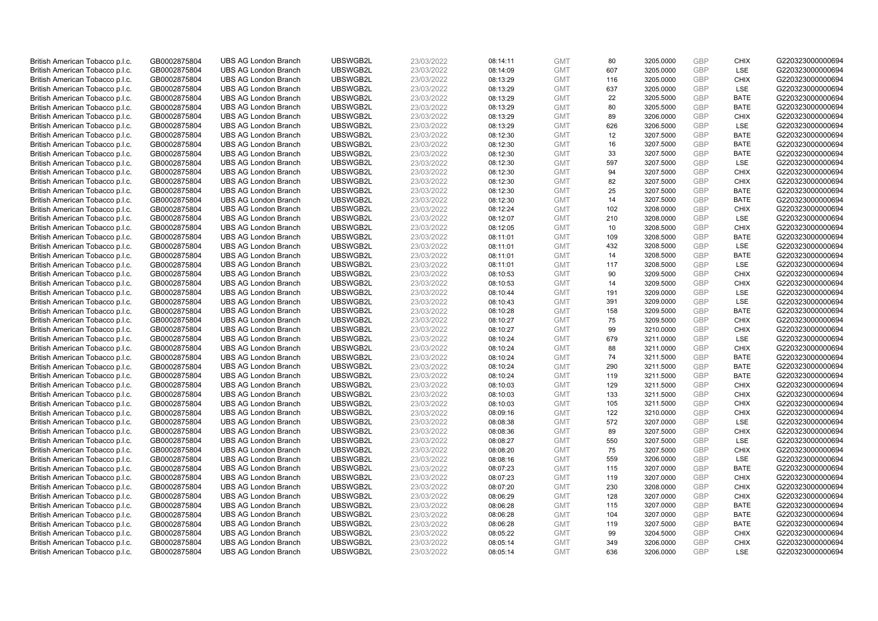| British American Tobacco p.l.c. | GB0002875804 | <b>UBS AG London Branch</b> | UBSWGB2L | 23/03/2022 | 08:14:11 | <b>GMT</b> | 80  | 3205.0000 | <b>GBP</b> | <b>CHIX</b> | G220323000000694 |
|---------------------------------|--------------|-----------------------------|----------|------------|----------|------------|-----|-----------|------------|-------------|------------------|
| British American Tobacco p.l.c. | GB0002875804 | <b>UBS AG London Branch</b> | UBSWGB2L | 23/03/2022 | 08:14:09 | <b>GMT</b> | 607 | 3205.0000 | GBP        | LSE         | G220323000000694 |
| British American Tobacco p.l.c. | GB0002875804 | <b>UBS AG London Branch</b> | UBSWGB2L | 23/03/2022 | 08:13:29 | <b>GMT</b> | 116 | 3205.0000 | <b>GBP</b> | <b>CHIX</b> | G220323000000694 |
| British American Tobacco p.l.c. | GB0002875804 | <b>UBS AG London Branch</b> | UBSWGB2L | 23/03/2022 | 08:13:29 | <b>GMT</b> | 637 | 3205.0000 | GBP        | LSE         | G220323000000694 |
| British American Tobacco p.l.c. | GB0002875804 | <b>UBS AG London Branch</b> | UBSWGB2L | 23/03/2022 | 08:13:29 | <b>GMT</b> | 22  | 3205.5000 | <b>GBP</b> | <b>BATE</b> | G220323000000694 |
| British American Tobacco p.l.c. | GB0002875804 | <b>UBS AG London Branch</b> | UBSWGB2L | 23/03/2022 | 08:13:29 | <b>GMT</b> | 80  | 3205.5000 | GBP        | <b>BATE</b> | G220323000000694 |
| British American Tobacco p.l.c. | GB0002875804 | <b>UBS AG London Branch</b> | UBSWGB2L | 23/03/2022 | 08:13:29 | <b>GMT</b> | 89  | 3206.0000 | <b>GBP</b> | <b>CHIX</b> | G220323000000694 |
| British American Tobacco p.l.c. | GB0002875804 | <b>UBS AG London Branch</b> | UBSWGB2L | 23/03/2022 | 08:13:29 | <b>GMT</b> | 626 | 3206.5000 | <b>GBP</b> | LSE         | G220323000000694 |
| British American Tobacco p.l.c. | GB0002875804 | <b>UBS AG London Branch</b> | UBSWGB2L | 23/03/2022 | 08:12:30 | <b>GMT</b> | 12  | 3207.5000 | <b>GBP</b> | <b>BATE</b> | G220323000000694 |
| British American Tobacco p.l.c. | GB0002875804 | <b>UBS AG London Branch</b> | UBSWGB2L | 23/03/2022 | 08:12:30 | <b>GMT</b> | 16  | 3207.5000 | GBP        | <b>BATE</b> | G220323000000694 |
| British American Tobacco p.l.c. | GB0002875804 | <b>UBS AG London Branch</b> | UBSWGB2L | 23/03/2022 | 08:12:30 | <b>GMT</b> | 33  | 3207.5000 | <b>GBP</b> | <b>BATE</b> | G220323000000694 |
| British American Tobacco p.l.c. | GB0002875804 | <b>UBS AG London Branch</b> | UBSWGB2L | 23/03/2022 | 08:12:30 | <b>GMT</b> | 597 | 3207.5000 | <b>GBP</b> | LSE         | G220323000000694 |
| British American Tobacco p.l.c. | GB0002875804 | <b>UBS AG London Branch</b> | UBSWGB2L | 23/03/2022 | 08:12:30 | <b>GMT</b> | 94  | 3207.5000 | <b>GBP</b> | <b>CHIX</b> | G220323000000694 |
| British American Tobacco p.l.c. | GB0002875804 | <b>UBS AG London Branch</b> | UBSWGB2L | 23/03/2022 | 08:12:30 | <b>GMT</b> | 82  | 3207.5000 | <b>GBP</b> | <b>CHIX</b> | G220323000000694 |
| British American Tobacco p.l.c. | GB0002875804 | <b>UBS AG London Branch</b> | UBSWGB2L | 23/03/2022 | 08:12:30 | <b>GMT</b> | 25  | 3207.5000 | <b>GBP</b> | <b>BATE</b> | G220323000000694 |
| British American Tobacco p.l.c. | GB0002875804 | <b>UBS AG London Branch</b> | UBSWGB2L | 23/03/2022 | 08:12:30 | <b>GMT</b> | 14  | 3207.5000 | <b>GBP</b> | <b>BATE</b> | G220323000000694 |
| British American Tobacco p.l.c. | GB0002875804 | <b>UBS AG London Branch</b> | UBSWGB2L | 23/03/2022 | 08:12:24 | <b>GMT</b> | 102 | 3208.0000 | <b>GBP</b> | <b>CHIX</b> | G220323000000694 |
| British American Tobacco p.l.c. | GB0002875804 | <b>UBS AG London Branch</b> | UBSWGB2L | 23/03/2022 | 08:12:07 | <b>GMT</b> | 210 | 3208.0000 | GBP        | LSE         | G220323000000694 |
| British American Tobacco p.l.c. | GB0002875804 | <b>UBS AG London Branch</b> | UBSWGB2L | 23/03/2022 | 08:12:05 | <b>GMT</b> | 10  | 3208.5000 | <b>GBP</b> | <b>CHIX</b> | G220323000000694 |
| British American Tobacco p.l.c. | GB0002875804 | <b>UBS AG London Branch</b> | UBSWGB2L | 23/03/2022 | 08:11:01 | <b>GMT</b> | 109 | 3208.5000 | <b>GBP</b> | <b>BATE</b> | G220323000000694 |
| British American Tobacco p.l.c. | GB0002875804 | <b>UBS AG London Branch</b> | UBSWGB2L | 23/03/2022 | 08:11:01 | <b>GMT</b> | 432 | 3208.5000 | <b>GBP</b> | LSE         | G220323000000694 |
| British American Tobacco p.l.c. | GB0002875804 | <b>UBS AG London Branch</b> | UBSWGB2L | 23/03/2022 | 08:11:01 | <b>GMT</b> | 14  | 3208.5000 | GBP        | <b>BATE</b> | G220323000000694 |
| British American Tobacco p.l.c. | GB0002875804 | <b>UBS AG London Branch</b> | UBSWGB2L | 23/03/2022 | 08:11:01 | <b>GMT</b> | 117 | 3208.5000 | <b>GBP</b> | LSE         | G220323000000694 |
| British American Tobacco p.l.c. | GB0002875804 | <b>UBS AG London Branch</b> | UBSWGB2L | 23/03/2022 | 08:10:53 | <b>GMT</b> | 90  | 3209.5000 | <b>GBP</b> | <b>CHIX</b> | G220323000000694 |
| British American Tobacco p.l.c. | GB0002875804 | <b>UBS AG London Branch</b> | UBSWGB2L | 23/03/2022 | 08:10:53 | <b>GMT</b> | 14  | 3209.5000 | <b>GBP</b> | <b>CHIX</b> | G220323000000694 |
| British American Tobacco p.l.c. | GB0002875804 | <b>UBS AG London Branch</b> | UBSWGB2L | 23/03/2022 | 08:10:44 | <b>GMT</b> | 191 | 3209.0000 | <b>GBP</b> | LSE         | G220323000000694 |
| British American Tobacco p.l.c. | GB0002875804 | <b>UBS AG London Branch</b> | UBSWGB2L | 23/03/2022 | 08:10:43 | <b>GMT</b> | 391 | 3209.0000 | <b>GBP</b> | LSE         | G220323000000694 |
| British American Tobacco p.l.c. | GB0002875804 | <b>UBS AG London Branch</b> | UBSWGB2L | 23/03/2022 | 08:10:28 | <b>GMT</b> | 158 | 3209.5000 | <b>GBP</b> | <b>BATE</b> | G220323000000694 |
| British American Tobacco p.l.c. | GB0002875804 | <b>UBS AG London Branch</b> | UBSWGB2L | 23/03/2022 | 08:10:27 | <b>GMT</b> | 75  | 3209.5000 | <b>GBP</b> | <b>CHIX</b> | G220323000000694 |
| British American Tobacco p.l.c. | GB0002875804 | <b>UBS AG London Branch</b> | UBSWGB2L | 23/03/2022 | 08:10:27 | <b>GMT</b> | 99  | 3210.0000 | GBP        | <b>CHIX</b> | G220323000000694 |
| British American Tobacco p.l.c. | GB0002875804 | <b>UBS AG London Branch</b> | UBSWGB2L | 23/03/2022 | 08:10:24 | <b>GMT</b> | 679 | 3211.0000 | <b>GBP</b> | LSE         | G220323000000694 |
| British American Tobacco p.l.c. | GB0002875804 | <b>UBS AG London Branch</b> | UBSWGB2L | 23/03/2022 | 08:10:24 | <b>GMT</b> | 88  | 3211.0000 | <b>GBP</b> | <b>CHIX</b> | G220323000000694 |
| British American Tobacco p.l.c. | GB0002875804 | <b>UBS AG London Branch</b> | UBSWGB2L | 23/03/2022 | 08:10:24 | <b>GMT</b> | 74  | 3211.5000 | <b>GBP</b> | <b>BATE</b> | G220323000000694 |
| British American Tobacco p.l.c. | GB0002875804 | <b>UBS AG London Branch</b> | UBSWGB2L | 23/03/2022 | 08:10:24 | <b>GMT</b> | 290 | 3211.5000 | <b>GBP</b> | <b>BATE</b> | G220323000000694 |
| British American Tobacco p.l.c. | GB0002875804 | <b>UBS AG London Branch</b> | UBSWGB2L | 23/03/2022 | 08:10:24 | <b>GMT</b> | 119 | 3211.5000 | <b>GBP</b> | <b>BATE</b> | G220323000000694 |
| British American Tobacco p.l.c. | GB0002875804 | <b>UBS AG London Branch</b> | UBSWGB2L | 23/03/2022 | 08:10:03 | <b>GMT</b> | 129 | 3211.5000 | <b>GBP</b> | <b>CHIX</b> | G220323000000694 |
| British American Tobacco p.l.c. | GB0002875804 | <b>UBS AG London Branch</b> | UBSWGB2L | 23/03/2022 | 08:10:03 | <b>GMT</b> | 133 | 3211.5000 | <b>GBP</b> | <b>CHIX</b> | G220323000000694 |
| British American Tobacco p.l.c. | GB0002875804 | <b>UBS AG London Branch</b> | UBSWGB2L | 23/03/2022 | 08:10:03 | <b>GMT</b> | 105 | 3211.5000 | <b>GBP</b> | <b>CHIX</b> | G220323000000694 |
| British American Tobacco p.l.c. | GB0002875804 | <b>UBS AG London Branch</b> | UBSWGB2L | 23/03/2022 | 08:09:16 | <b>GMT</b> | 122 | 3210.0000 | <b>GBP</b> | <b>CHIX</b> | G220323000000694 |
| British American Tobacco p.l.c. | GB0002875804 | <b>UBS AG London Branch</b> | UBSWGB2L | 23/03/2022 | 08:08:38 | <b>GMT</b> | 572 | 3207.0000 | <b>GBP</b> | LSE         | G220323000000694 |
| British American Tobacco p.l.c. | GB0002875804 | <b>UBS AG London Branch</b> | UBSWGB2L | 23/03/2022 | 08:08:36 | <b>GMT</b> | 89  | 3207.5000 | GBP        | <b>CHIX</b> | G220323000000694 |
| British American Tobacco p.l.c. | GB0002875804 | <b>UBS AG London Branch</b> | UBSWGB2L | 23/03/2022 | 08:08:27 | <b>GMT</b> | 550 | 3207.5000 | <b>GBP</b> | LSE         | G220323000000694 |
| British American Tobacco p.l.c. | GB0002875804 | <b>UBS AG London Branch</b> | UBSWGB2L | 23/03/2022 | 08:08:20 | <b>GMT</b> | 75  | 3207.5000 | <b>GBP</b> | <b>CHIX</b> | G220323000000694 |
| British American Tobacco p.l.c. | GB0002875804 | <b>UBS AG London Branch</b> | UBSWGB2L | 23/03/2022 | 08:08:16 | <b>GMT</b> | 559 | 3206.0000 | GBP        | LSE         | G220323000000694 |
| British American Tobacco p.l.c. | GB0002875804 | <b>UBS AG London Branch</b> | UBSWGB2L | 23/03/2022 | 08:07:23 | <b>GMT</b> | 115 | 3207.0000 | <b>GBP</b> | <b>BATE</b> | G220323000000694 |
| British American Tobacco p.l.c. | GB0002875804 | <b>UBS AG London Branch</b> | UBSWGB2L | 23/03/2022 | 08:07:23 | <b>GMT</b> | 119 | 3207.0000 | <b>GBP</b> | <b>CHIX</b> | G220323000000694 |
| British American Tobacco p.l.c. | GB0002875804 | <b>UBS AG London Branch</b> | UBSWGB2L | 23/03/2022 | 08:07:20 | <b>GMT</b> | 230 | 3208.0000 | <b>GBP</b> | <b>CHIX</b> | G220323000000694 |
| British American Tobacco p.l.c. | GB0002875804 | <b>UBS AG London Branch</b> | UBSWGB2L | 23/03/2022 | 08:06:29 | <b>GMT</b> | 128 | 3207.0000 | <b>GBP</b> | <b>CHIX</b> | G220323000000694 |
| British American Tobacco p.l.c. | GB0002875804 | <b>UBS AG London Branch</b> | UBSWGB2L | 23/03/2022 | 08:06:28 | <b>GMT</b> | 115 | 3207.0000 | <b>GBP</b> | <b>BATE</b> | G220323000000694 |
| British American Tobacco p.l.c. | GB0002875804 | <b>UBS AG London Branch</b> | UBSWGB2L | 23/03/2022 | 08:06:28 | <b>GMT</b> | 104 | 3207.0000 | <b>GBP</b> | <b>BATE</b> | G220323000000694 |
| British American Tobacco p.l.c. | GB0002875804 | <b>UBS AG London Branch</b> | UBSWGB2L | 23/03/2022 | 08:06:28 | <b>GMT</b> | 119 | 3207.5000 | <b>GBP</b> | <b>BATE</b> | G220323000000694 |
| British American Tobacco p.l.c. | GB0002875804 | <b>UBS AG London Branch</b> | UBSWGB2L | 23/03/2022 | 08:05:22 | <b>GMT</b> | 99  | 3204.5000 | <b>GBP</b> | <b>CHIX</b> | G220323000000694 |
| British American Tobacco p.l.c. | GB0002875804 | <b>UBS AG London Branch</b> | UBSWGB2L | 23/03/2022 | 08:05:14 | <b>GMT</b> | 349 | 3206.0000 | GBP        | <b>CHIX</b> | G220323000000694 |
| British American Tobacco p.l.c. | GB0002875804 | <b>UBS AG London Branch</b> | UBSWGB2L | 23/03/2022 | 08:05:14 | <b>GMT</b> | 636 | 3206.0000 | GBP        | <b>LSE</b>  | G220323000000694 |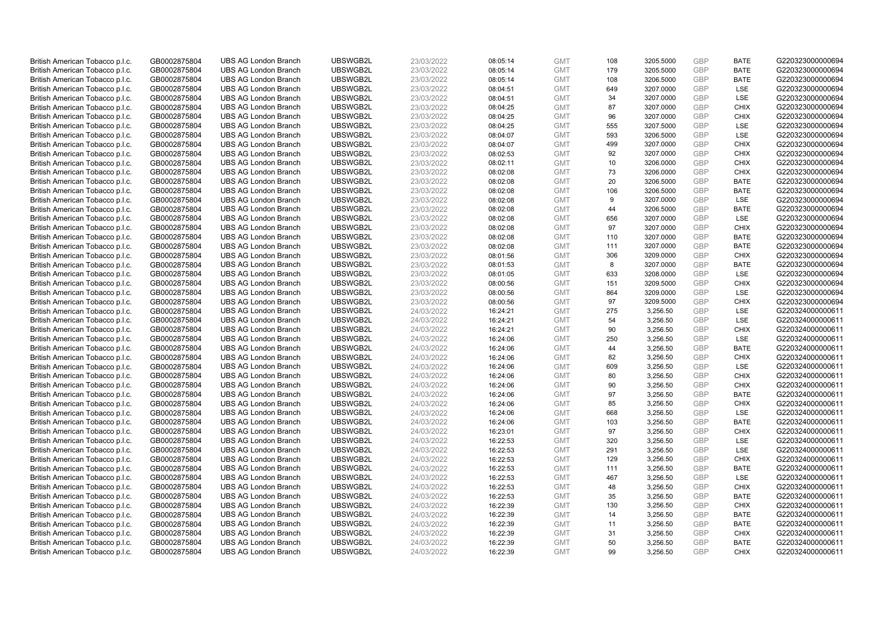| British American Tobacco p.l.c. | GB0002875804 | <b>UBS AG London Branch</b> | UBSWGB2L | 23/03/2022 | 08:05:14 | <b>GMT</b> | 108 | 3205.5000 | <b>GBP</b> | <b>BATE</b> | G220323000000694 |
|---------------------------------|--------------|-----------------------------|----------|------------|----------|------------|-----|-----------|------------|-------------|------------------|
| British American Tobacco p.l.c. | GB0002875804 | <b>UBS AG London Branch</b> | UBSWGB2L | 23/03/2022 | 08:05:14 | <b>GMT</b> | 179 | 3205.5000 | <b>GBP</b> | <b>BATE</b> | G220323000000694 |
| British American Tobacco p.l.c. | GB0002875804 | <b>UBS AG London Branch</b> | UBSWGB2L | 23/03/2022 | 08:05:14 | <b>GMT</b> | 108 | 3206.5000 | <b>GBP</b> | <b>BATE</b> | G220323000000694 |
| British American Tobacco p.l.c. | GB0002875804 | <b>UBS AG London Branch</b> | UBSWGB2L | 23/03/2022 | 08:04:51 | <b>GMT</b> | 649 | 3207.0000 | GBP        | <b>LSE</b>  | G220323000000694 |
| British American Tobacco p.l.c. | GB0002875804 | <b>UBS AG London Branch</b> | UBSWGB2L | 23/03/2022 | 08:04:51 | <b>GMT</b> | 34  | 3207.0000 | <b>GBP</b> | LSE         | G220323000000694 |
| British American Tobacco p.l.c. | GB0002875804 | <b>UBS AG London Branch</b> | UBSWGB2L | 23/03/2022 | 08:04:25 | <b>GMT</b> | 87  | 3207.0000 | <b>GBP</b> | <b>CHIX</b> | G220323000000694 |
| British American Tobacco p.l.c. | GB0002875804 | <b>UBS AG London Branch</b> | UBSWGB2L | 23/03/2022 | 08:04:25 | <b>GMT</b> | 96  | 3207.0000 | <b>GBP</b> | <b>CHIX</b> | G220323000000694 |
| British American Tobacco p.l.c. | GB0002875804 | <b>UBS AG London Branch</b> | UBSWGB2L | 23/03/2022 | 08:04:25 | <b>GMT</b> | 555 | 3207.5000 | <b>GBP</b> | <b>LSE</b>  | G220323000000694 |
| British American Tobacco p.l.c. | GB0002875804 | <b>UBS AG London Branch</b> | UBSWGB2L | 23/03/2022 | 08:04:07 | <b>GMT</b> | 593 | 3206.5000 | <b>GBP</b> | LSE         | G220323000000694 |
| British American Tobacco p.l.c. | GB0002875804 | <b>UBS AG London Branch</b> | UBSWGB2L | 23/03/2022 | 08:04:07 | <b>GMT</b> | 499 | 3207.0000 | <b>GBP</b> | <b>CHIX</b> | G220323000000694 |
| British American Tobacco p.l.c. | GB0002875804 | <b>UBS AG London Branch</b> | UBSWGB2L | 23/03/2022 | 08:02:53 | <b>GMT</b> | 92  | 3207.0000 | <b>GBP</b> | <b>CHIX</b> | G220323000000694 |
| British American Tobacco p.l.c. | GB0002875804 | <b>UBS AG London Branch</b> | UBSWGB2L | 23/03/2022 | 08:02:11 | <b>GMT</b> | 10  | 3206.0000 | <b>GBP</b> | <b>CHIX</b> | G220323000000694 |
| British American Tobacco p.l.c. | GB0002875804 | <b>UBS AG London Branch</b> | UBSWGB2L | 23/03/2022 | 08:02:08 | <b>GMT</b> | 73  | 3206.0000 | <b>GBP</b> | <b>CHIX</b> | G220323000000694 |
| British American Tobacco p.l.c. | GB0002875804 | <b>UBS AG London Branch</b> | UBSWGB2L | 23/03/2022 | 08:02:08 | <b>GMT</b> | 20  | 3206.5000 | <b>GBP</b> | <b>BATE</b> | G220323000000694 |
| British American Tobacco p.l.c. | GB0002875804 | <b>UBS AG London Branch</b> | UBSWGB2L | 23/03/2022 | 08:02:08 | <b>GMT</b> | 106 | 3206.5000 | <b>GBP</b> | <b>BATE</b> | G220323000000694 |
| British American Tobacco p.l.c. | GB0002875804 | <b>UBS AG London Branch</b> | UBSWGB2L | 23/03/2022 | 08:02:08 | <b>GMT</b> | 9   | 3207.0000 | GBP        | LSE         | G220323000000694 |
| British American Tobacco p.l.c. | GB0002875804 | <b>UBS AG London Branch</b> | UBSWGB2L | 23/03/2022 | 08:02:08 | <b>GMT</b> | 44  | 3206.5000 | GBP        | <b>BATE</b> | G220323000000694 |
| British American Tobacco p.l.c. | GB0002875804 | <b>UBS AG London Branch</b> | UBSWGB2L | 23/03/2022 | 08:02:08 | <b>GMT</b> | 656 | 3207.0000 | GBP        | LSE         | G220323000000694 |
| British American Tobacco p.l.c. | GB0002875804 | <b>UBS AG London Branch</b> | UBSWGB2L | 23/03/2022 | 08:02:08 | <b>GMT</b> | 97  | 3207.0000 | <b>GBP</b> | <b>CHIX</b> | G220323000000694 |
| British American Tobacco p.l.c. | GB0002875804 | <b>UBS AG London Branch</b> | UBSWGB2L | 23/03/2022 | 08:02:08 | <b>GMT</b> | 110 | 3207.0000 | GBP        | <b>BATE</b> | G220323000000694 |
| British American Tobacco p.l.c. | GB0002875804 | <b>UBS AG London Branch</b> | UBSWGB2L | 23/03/2022 | 08:02:08 | <b>GMT</b> | 111 | 3207.0000 | <b>GBP</b> | <b>BATE</b> | G220323000000694 |
| British American Tobacco p.l.c. | GB0002875804 | <b>UBS AG London Branch</b> | UBSWGB2L | 23/03/2022 | 08:01:56 | <b>GMT</b> | 306 | 3209.0000 | GBP        | <b>CHIX</b> | G220323000000694 |
| British American Tobacco p.l.c. | GB0002875804 | <b>UBS AG London Branch</b> | UBSWGB2L | 23/03/2022 | 08:01:53 | <b>GMT</b> | 8   | 3207.0000 | <b>GBP</b> | <b>BATE</b> | G220323000000694 |
| British American Tobacco p.l.c. | GB0002875804 | <b>UBS AG London Branch</b> | UBSWGB2L | 23/03/2022 | 08:01:05 | <b>GMT</b> | 633 | 3208.0000 | GBP        | <b>LSE</b>  | G220323000000694 |
| British American Tobacco p.l.c. | GB0002875804 | <b>UBS AG London Branch</b> | UBSWGB2L | 23/03/2022 | 08:00:56 | <b>GMT</b> | 151 | 3209.5000 | <b>GBP</b> | <b>CHIX</b> | G220323000000694 |
| British American Tobacco p.l.c. | GB0002875804 | <b>UBS AG London Branch</b> | UBSWGB2L | 23/03/2022 | 08:00:56 | <b>GMT</b> | 864 | 3209.0000 | GBP        | <b>LSE</b>  | G220323000000694 |
| British American Tobacco p.l.c. | GB0002875804 | <b>UBS AG London Branch</b> | UBSWGB2L | 23/03/2022 | 08:00:56 | <b>GMT</b> | 97  | 3209.5000 | <b>GBP</b> | <b>CHIX</b> | G220323000000694 |
| British American Tobacco p.l.c. | GB0002875804 | <b>UBS AG London Branch</b> | UBSWGB2L | 24/03/2022 | 16:24:21 | <b>GMT</b> | 275 | 3,256.50  | GBP        | <b>LSE</b>  | G220324000000611 |
| British American Tobacco p.l.c. | GB0002875804 | <b>UBS AG London Branch</b> | UBSWGB2L | 24/03/2022 | 16:24:21 | <b>GMT</b> | 54  | 3,256.50  | <b>GBP</b> | LSE         | G220324000000611 |
| British American Tobacco p.l.c. | GB0002875804 | <b>UBS AG London Branch</b> | UBSWGB2L | 24/03/2022 | 16:24:21 | <b>GMT</b> | 90  | 3,256.50  | GBP        | <b>CHIX</b> | G220324000000611 |
| British American Tobacco p.l.c. | GB0002875804 | <b>UBS AG London Branch</b> | UBSWGB2L | 24/03/2022 | 16:24:06 | <b>GMT</b> | 250 | 3,256.50  | GBP        | <b>LSE</b>  | G220324000000611 |
| British American Tobacco p.l.c. | GB0002875804 | <b>UBS AG London Branch</b> | UBSWGB2L | 24/03/2022 | 16:24:06 | <b>GMT</b> | 44  | 3,256.50  | <b>GBP</b> | <b>BATE</b> | G220324000000611 |
| British American Tobacco p.l.c. | GB0002875804 | <b>UBS AG London Branch</b> | UBSWGB2L | 24/03/2022 | 16:24:06 | <b>GMT</b> | 82  | 3,256.50  | <b>GBP</b> | <b>CHIX</b> | G220324000000611 |
| British American Tobacco p.l.c. | GB0002875804 | <b>UBS AG London Branch</b> | UBSWGB2L | 24/03/2022 | 16:24:06 | <b>GMT</b> | 609 | 3,256.50  | GBP        | LSE         | G220324000000611 |
| British American Tobacco p.l.c. | GB0002875804 | <b>UBS AG London Branch</b> | UBSWGB2L | 24/03/2022 | 16:24:06 | <b>GMT</b> | 80  | 3,256.50  | GBP        | <b>CHIX</b> | G220324000000611 |
| British American Tobacco p.l.c. | GB0002875804 | <b>UBS AG London Branch</b> | UBSWGB2L | 24/03/2022 | 16:24:06 | <b>GMT</b> | 90  | 3,256.50  | <b>GBP</b> | <b>CHIX</b> | G220324000000611 |
| British American Tobacco p.l.c. | GB0002875804 | <b>UBS AG London Branch</b> | UBSWGB2L | 24/03/2022 | 16:24:06 | <b>GMT</b> | 97  | 3,256.50  | GBP        | <b>BATE</b> | G220324000000611 |
| British American Tobacco p.l.c. | GB0002875804 | <b>UBS AG London Branch</b> | UBSWGB2L | 24/03/2022 | 16:24:06 | <b>GMT</b> | 85  | 3,256.50  | <b>GBP</b> | <b>CHIX</b> | G220324000000611 |
| British American Tobacco p.l.c. | GB0002875804 | <b>UBS AG London Branch</b> | UBSWGB2L | 24/03/2022 | 16:24:06 | <b>GMT</b> | 668 | 3,256.50  | <b>GBP</b> | LSE         | G220324000000611 |
| British American Tobacco p.l.c. | GB0002875804 | <b>UBS AG London Branch</b> | UBSWGB2L | 24/03/2022 | 16:24:06 | <b>GMT</b> | 103 | 3,256.50  | <b>GBP</b> | <b>BATE</b> | G220324000000611 |
| British American Tobacco p.l.c. | GB0002875804 | <b>UBS AG London Branch</b> | UBSWGB2L | 24/03/2022 | 16:23:01 | <b>GMT</b> | 97  | 3,256.50  | GBP        | <b>CHIX</b> | G220324000000611 |
| British American Tobacco p.l.c. | GB0002875804 | <b>UBS AG London Branch</b> | UBSWGB2L | 24/03/2022 | 16:22:53 | <b>GMT</b> | 320 | 3,256.50  | <b>GBP</b> | <b>LSE</b>  | G220324000000611 |
| British American Tobacco p.l.c. | GB0002875804 | <b>UBS AG London Branch</b> | UBSWGB2L | 24/03/2022 | 16:22:53 | <b>GMT</b> | 291 | 3,256.50  | GBP        | LSE         | G220324000000611 |
| British American Tobacco p.l.c. | GB0002875804 | <b>UBS AG London Branch</b> | UBSWGB2L | 24/03/2022 | 16:22:53 | <b>GMT</b> | 129 | 3,256.50  | GBP        | <b>CHIX</b> | G220324000000611 |
| British American Tobacco p.l.c. | GB0002875804 | <b>UBS AG London Branch</b> | UBSWGB2L | 24/03/2022 | 16:22:53 | <b>GMT</b> | 111 | 3,256.50  | <b>GBP</b> | <b>BATE</b> | G220324000000611 |
| British American Tobacco p.l.c. | GB0002875804 | <b>UBS AG London Branch</b> | UBSWGB2L | 24/03/2022 | 16:22:53 | <b>GMT</b> | 467 | 3,256.50  | <b>GBP</b> | LSE         | G220324000000611 |
| British American Tobacco p.l.c. | GB0002875804 | <b>UBS AG London Branch</b> | UBSWGB2L | 24/03/2022 | 16:22:53 | <b>GMT</b> | 48  | 3,256.50  | <b>GBP</b> | <b>CHIX</b> | G220324000000611 |
| British American Tobacco p.l.c. | GB0002875804 | <b>UBS AG London Branch</b> | UBSWGB2L | 24/03/2022 | 16:22:53 | <b>GMT</b> | 35  | 3,256.50  | GBP        | <b>BATE</b> | G220324000000611 |
| British American Tobacco p.l.c. | GB0002875804 | <b>UBS AG London Branch</b> | UBSWGB2L | 24/03/2022 | 16:22:39 | <b>GMT</b> | 130 | 3,256.50  | <b>GBP</b> | <b>CHIX</b> | G220324000000611 |
| British American Tobacco p.l.c. | GB0002875804 | <b>UBS AG London Branch</b> | UBSWGB2L | 24/03/2022 | 16:22:39 | <b>GMT</b> | 14  | 3,256.50  | GBP        | <b>BATE</b> | G220324000000611 |
| British American Tobacco p.l.c. | GB0002875804 | <b>UBS AG London Branch</b> | UBSWGB2L | 24/03/2022 | 16:22:39 | <b>GMT</b> | 11  | 3,256.50  | <b>GBP</b> | <b>BATE</b> | G220324000000611 |
| British American Tobacco p.l.c. | GB0002875804 | <b>UBS AG London Branch</b> | UBSWGB2L | 24/03/2022 | 16:22:39 | <b>GMT</b> | 31  | 3,256.50  | <b>GBP</b> | <b>CHIX</b> | G220324000000611 |
| British American Tobacco p.l.c. | GB0002875804 | <b>UBS AG London Branch</b> | UBSWGB2L | 24/03/2022 | 16:22:39 | <b>GMT</b> | 50  | 3,256.50  | GBP        | <b>BATE</b> | G220324000000611 |
| British American Tobacco p.l.c. | GB0002875804 | <b>UBS AG London Branch</b> | UBSWGB2L | 24/03/2022 | 16:22:39 | <b>GMT</b> | 99  | 3.256.50  | GBP        | <b>CHIX</b> | G220324000000611 |
|                                 |              |                             |          |            |          |            |     |           |            |             |                  |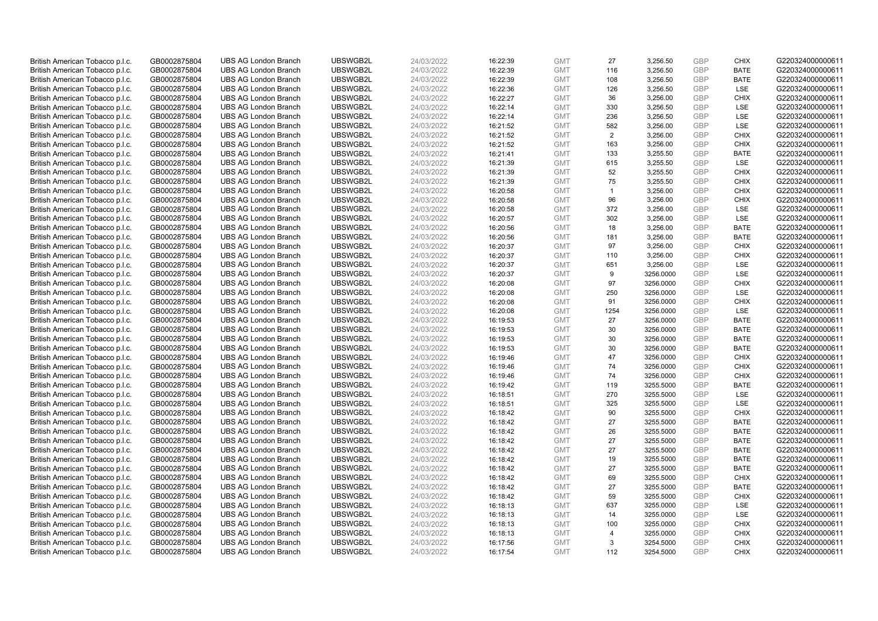| British American Tobacco p.l.c. | GB0002875804 | <b>UBS AG London Branch</b> | UBSWGB2L | 24/03/2022 | 16:22:39 | <b>GMT</b> | 27             | 3,256.50  | <b>GBP</b> | <b>CHIX</b> | G220324000000611 |
|---------------------------------|--------------|-----------------------------|----------|------------|----------|------------|----------------|-----------|------------|-------------|------------------|
| British American Tobacco p.l.c. | GB0002875804 | <b>UBS AG London Branch</b> | UBSWGB2L | 24/03/2022 | 16:22:39 | <b>GMT</b> | 116            | 3,256.50  | <b>GBP</b> | <b>BATE</b> | G220324000000611 |
| British American Tobacco p.l.c. | GB0002875804 | <b>UBS AG London Branch</b> | UBSWGB2L | 24/03/2022 | 16:22:39 | <b>GMT</b> | 108            | 3,256.50  | GBP        | <b>BATE</b> | G220324000000611 |
| British American Tobacco p.l.c. | GB0002875804 | <b>UBS AG London Branch</b> | UBSWGB2L | 24/03/2022 | 16:22:36 | <b>GMT</b> | 126            | 3,256.50  | GBP        | <b>LSE</b>  | G220324000000611 |
| British American Tobacco p.l.c. | GB0002875804 | <b>UBS AG London Branch</b> | UBSWGB2L | 24/03/2022 | 16:22:27 | <b>GMT</b> | 36             | 3,256.00  | <b>GBP</b> | <b>CHIX</b> | G220324000000611 |
| British American Tobacco p.l.c. | GB0002875804 | <b>UBS AG London Branch</b> | UBSWGB2L | 24/03/2022 | 16:22:14 | <b>GMT</b> | 330            | 3,256.50  | <b>GBP</b> | <b>LSE</b>  | G220324000000611 |
| British American Tobacco p.l.c. | GB0002875804 | <b>UBS AG London Branch</b> | UBSWGB2L | 24/03/2022 | 16:22:14 | <b>GMT</b> | 236            | 3,256.50  | GBP        | LSE         | G220324000000611 |
| British American Tobacco p.l.c. | GB0002875804 | <b>UBS AG London Branch</b> | UBSWGB2L | 24/03/2022 | 16:21:52 | <b>GMT</b> | 582            | 3,256.00  | <b>GBP</b> | LSE         | G220324000000611 |
| British American Tobacco p.l.c. | GB0002875804 | <b>UBS AG London Branch</b> | UBSWGB2L | 24/03/2022 | 16:21:52 | <b>GMT</b> | 2              | 3,256.00  | GBP        | <b>CHIX</b> | G220324000000611 |
| British American Tobacco p.l.c. | GB0002875804 | <b>UBS AG London Branch</b> | UBSWGB2L | 24/03/2022 | 16:21:52 | <b>GMT</b> | 163            | 3,256.00  | <b>GBP</b> | <b>CHIX</b> | G220324000000611 |
| British American Tobacco p.l.c. | GB0002875804 | <b>UBS AG London Branch</b> | UBSWGB2L | 24/03/2022 | 16:21:41 | <b>GMT</b> | 133            | 3,255.50  | GBP        | <b>BATE</b> | G220324000000611 |
| British American Tobacco p.l.c. | GB0002875804 | <b>UBS AG London Branch</b> | UBSWGB2L | 24/03/2022 | 16:21:39 | <b>GMT</b> | 615            | 3,255.50  | <b>GBP</b> | LSE         | G220324000000611 |
| British American Tobacco p.l.c. | GB0002875804 | <b>UBS AG London Branch</b> | UBSWGB2L | 24/03/2022 | 16:21:39 | <b>GMT</b> | 52             | 3,255.50  | <b>GBP</b> | <b>CHIX</b> | G220324000000611 |
| British American Tobacco p.l.c. | GB0002875804 | <b>UBS AG London Branch</b> | UBSWGB2L | 24/03/2022 | 16:21:39 | <b>GMT</b> | 75             | 3,255.50  | <b>GBP</b> | <b>CHIX</b> | G220324000000611 |
| British American Tobacco p.l.c. | GB0002875804 | <b>UBS AG London Branch</b> | UBSWGB2L | 24/03/2022 | 16:20:58 | <b>GMT</b> | $\overline{1}$ | 3,256.00  | <b>GBP</b> | <b>CHIX</b> | G220324000000611 |
| British American Tobacco p.l.c. | GB0002875804 | <b>UBS AG London Branch</b> | UBSWGB2L | 24/03/2022 | 16:20:58 | <b>GMT</b> | 96             | 3,256.00  | <b>GBP</b> | <b>CHIX</b> | G220324000000611 |
| British American Tobacco p.l.c. | GB0002875804 | <b>UBS AG London Branch</b> | UBSWGB2L | 24/03/2022 | 16:20:58 | <b>GMT</b> | 372            | 3,256.00  | <b>GBP</b> | <b>LSE</b>  | G220324000000611 |
| British American Tobacco p.l.c. | GB0002875804 | <b>UBS AG London Branch</b> | UBSWGB2L | 24/03/2022 | 16:20:57 | <b>GMT</b> | 302            | 3,256.00  | GBP        | LSE         | G220324000000611 |
| British American Tobacco p.l.c. | GB0002875804 | <b>UBS AG London Branch</b> | UBSWGB2L | 24/03/2022 | 16:20:56 | <b>GMT</b> | 18             | 3,256.00  | <b>GBP</b> | <b>BATE</b> | G220324000000611 |
| British American Tobacco p.l.c. | GB0002875804 | <b>UBS AG London Branch</b> | UBSWGB2L | 24/03/2022 | 16:20:56 | <b>GMT</b> | 181            | 3,256.00  | GBP        | <b>BATE</b> | G220324000000611 |
| British American Tobacco p.l.c. | GB0002875804 | <b>UBS AG London Branch</b> | UBSWGB2L | 24/03/2022 | 16:20:37 | <b>GMT</b> | 97             | 3,256.00  | <b>GBP</b> | <b>CHIX</b> | G220324000000611 |
| British American Tobacco p.l.c. | GB0002875804 | <b>UBS AG London Branch</b> | UBSWGB2L | 24/03/2022 | 16:20:37 | <b>GMT</b> | 110            | 3,256.00  | <b>GBP</b> | <b>CHIX</b> | G220324000000611 |
| British American Tobacco p.l.c. | GB0002875804 | <b>UBS AG London Branch</b> | UBSWGB2L | 24/03/2022 | 16:20:37 | <b>GMT</b> | 651            | 3,256.00  | <b>GBP</b> | LSE         | G220324000000611 |
| British American Tobacco p.l.c. | GB0002875804 | <b>UBS AG London Branch</b> | UBSWGB2L | 24/03/2022 | 16:20:37 | <b>GMT</b> | 9              | 3256.0000 | GBP        | <b>LSE</b>  | G220324000000611 |
| British American Tobacco p.l.c. | GB0002875804 | <b>UBS AG London Branch</b> | UBSWGB2L | 24/03/2022 | 16:20:08 | <b>GMT</b> | 97             | 3256.0000 | <b>GBP</b> | <b>CHIX</b> | G220324000000611 |
| British American Tobacco p.l.c. | GB0002875804 | <b>UBS AG London Branch</b> | UBSWGB2L | 24/03/2022 | 16:20:08 | <b>GMT</b> | 250            | 3256.0000 | <b>GBP</b> | LSE         | G220324000000611 |
| British American Tobacco p.l.c. | GB0002875804 | <b>UBS AG London Branch</b> | UBSWGB2L | 24/03/2022 | 16:20:08 | <b>GMT</b> | 91             | 3256.0000 | <b>GBP</b> | <b>CHIX</b> | G220324000000611 |
| British American Tobacco p.l.c. | GB0002875804 | <b>UBS AG London Branch</b> | UBSWGB2L | 24/03/2022 | 16:20:08 | <b>GMT</b> | 1254           | 3256.0000 | <b>GBP</b> | <b>LSE</b>  | G220324000000611 |
| British American Tobacco p.l.c. | GB0002875804 | <b>UBS AG London Branch</b> | UBSWGB2L | 24/03/2022 | 16:19:53 | <b>GMT</b> | 27             | 3256.0000 | GBP        | <b>BATE</b> | G220324000000611 |
| British American Tobacco p.l.c. | GB0002875804 | <b>UBS AG London Branch</b> | UBSWGB2L | 24/03/2022 | 16:19:53 | <b>GMT</b> | 30             | 3256.0000 | <b>GBP</b> | <b>BATE</b> | G220324000000611 |
| British American Tobacco p.l.c. | GB0002875804 | <b>UBS AG London Branch</b> | UBSWGB2L | 24/03/2022 | 16:19:53 | <b>GMT</b> | 30             | 3256.0000 | GBP        | <b>BATE</b> | G220324000000611 |
| British American Tobacco p.l.c. | GB0002875804 | <b>UBS AG London Branch</b> | UBSWGB2L | 24/03/2022 | 16:19:53 | <b>GMT</b> | 30             | 3256.0000 | GBP        | <b>BATE</b> | G220324000000611 |
| British American Tobacco p.l.c. | GB0002875804 | <b>UBS AG London Branch</b> | UBSWGB2L | 24/03/2022 | 16:19:46 | <b>GMT</b> | 47             | 3256.0000 | GBP        | <b>CHIX</b> | G220324000000611 |
| British American Tobacco p.l.c. | GB0002875804 | <b>UBS AG London Branch</b> | UBSWGB2L | 24/03/2022 | 16:19:46 | <b>GMT</b> | 74             | 3256.0000 | GBP        | <b>CHIX</b> | G220324000000611 |
| British American Tobacco p.l.c. | GB0002875804 | <b>UBS AG London Branch</b> | UBSWGB2L | 24/03/2022 | 16:19:46 | <b>GMT</b> | 74             | 3256.0000 | <b>GBP</b> | <b>CHIX</b> | G220324000000611 |
| British American Tobacco p.l.c. | GB0002875804 | <b>UBS AG London Branch</b> | UBSWGB2L | 24/03/2022 | 16:19:42 | <b>GMT</b> | 119            | 3255.5000 | <b>GBP</b> | <b>BATE</b> | G220324000000611 |
| British American Tobacco p.l.c. | GB0002875804 | <b>UBS AG London Branch</b> | UBSWGB2L | 24/03/2022 | 16:18:51 | <b>GMT</b> | 270            | 3255.5000 | <b>GBP</b> | <b>LSE</b>  | G220324000000611 |
| British American Tobacco p.l.c. | GB0002875804 | <b>UBS AG London Branch</b> | UBSWGB2L | 24/03/2022 | 16:18:51 | <b>GMT</b> | 325            | 3255.5000 | <b>GBP</b> | LSE         | G220324000000611 |
| British American Tobacco p.l.c. | GB0002875804 | <b>UBS AG London Branch</b> | UBSWGB2L | 24/03/2022 | 16:18:42 | <b>GMT</b> | 90             | 3255.5000 | <b>GBP</b> | <b>CHIX</b> | G220324000000611 |
| British American Tobacco p.l.c. | GB0002875804 | <b>UBS AG London Branch</b> | UBSWGB2L | 24/03/2022 | 16:18:42 | <b>GMT</b> | 27             | 3255.5000 | <b>GBP</b> | <b>BATE</b> | G220324000000611 |
| British American Tobacco p.l.c. | GB0002875804 | <b>UBS AG London Branch</b> | UBSWGB2L | 24/03/2022 | 16:18:42 | <b>GMT</b> | 26             | 3255.5000 | <b>GBP</b> | <b>BATE</b> | G220324000000611 |
| British American Tobacco p.l.c. | GB0002875804 | <b>UBS AG London Branch</b> | UBSWGB2L | 24/03/2022 | 16:18:42 | <b>GMT</b> | 27             | 3255.5000 | GBP        | <b>BATE</b> | G220324000000611 |
| British American Tobacco p.l.c. | GB0002875804 | <b>UBS AG London Branch</b> | UBSWGB2L | 24/03/2022 | 16:18:42 | <b>GMT</b> | 27             | 3255.5000 | <b>GBP</b> | <b>BATE</b> | G220324000000611 |
| British American Tobacco p.l.c. | GB0002875804 | <b>UBS AG London Branch</b> | UBSWGB2L | 24/03/2022 | 16:18:42 | <b>GMT</b> | 19             | 3255.5000 | GBP        | <b>BATE</b> | G220324000000611 |
| British American Tobacco p.l.c. | GB0002875804 | <b>UBS AG London Branch</b> | UBSWGB2L | 24/03/2022 | 16:18:42 | <b>GMT</b> | 27             | 3255.5000 | GBP        | <b>BATE</b> | G220324000000611 |
| British American Tobacco p.l.c. | GB0002875804 | <b>UBS AG London Branch</b> | UBSWGB2L | 24/03/2022 | 16:18:42 | <b>GMT</b> | 69             | 3255.5000 | GBP        | <b>CHIX</b> | G220324000000611 |
| British American Tobacco p.l.c. | GB0002875804 | <b>UBS AG London Branch</b> | UBSWGB2L | 24/03/2022 | 16:18:42 | <b>GMT</b> | 27             | 3255.5000 | GBP        | <b>BATE</b> | G220324000000611 |
| British American Tobacco p.l.c. | GB0002875804 | <b>UBS AG London Branch</b> | UBSWGB2L | 24/03/2022 | 16:18:42 | <b>GMT</b> | 59             | 3255.5000 | <b>GBP</b> | <b>CHIX</b> | G220324000000611 |
| British American Tobacco p.l.c. | GB0002875804 | <b>UBS AG London Branch</b> | UBSWGB2L | 24/03/2022 | 16:18:13 | <b>GMT</b> | 637            | 3255.0000 | GBP        | LSE         | G220324000000611 |
| British American Tobacco p.l.c. | GB0002875804 | <b>UBS AG London Branch</b> | UBSWGB2L | 24/03/2022 | 16:18:13 | <b>GMT</b> | 14             | 3255.0000 | <b>GBP</b> | <b>LSE</b>  | G220324000000611 |
| British American Tobacco p.l.c. | GB0002875804 | <b>UBS AG London Branch</b> | UBSWGB2L | 24/03/2022 | 16:18:13 | <b>GMT</b> | 100            | 3255.0000 | <b>GBP</b> | <b>CHIX</b> | G220324000000611 |
| British American Tobacco p.l.c. | GB0002875804 | <b>UBS AG London Branch</b> | UBSWGB2L | 24/03/2022 | 16:18:13 | <b>GMT</b> | $\overline{4}$ | 3255.0000 | GBP        | <b>CHIX</b> | G220324000000611 |
| British American Tobacco p.l.c. | GB0002875804 | <b>UBS AG London Branch</b> | UBSWGB2L | 24/03/2022 | 16:17:56 | <b>GMT</b> | 3              | 3254.5000 | <b>GBP</b> | <b>CHIX</b> | G220324000000611 |
| British American Tobacco p.l.c. | GB0002875804 | <b>UBS AG London Branch</b> | UBSWGB2L | 24/03/2022 | 16:17:54 | <b>GMT</b> | 112            | 3254.5000 | GBP        | <b>CHIX</b> | G220324000000611 |
|                                 |              |                             |          |            |          |            |                |           |            |             |                  |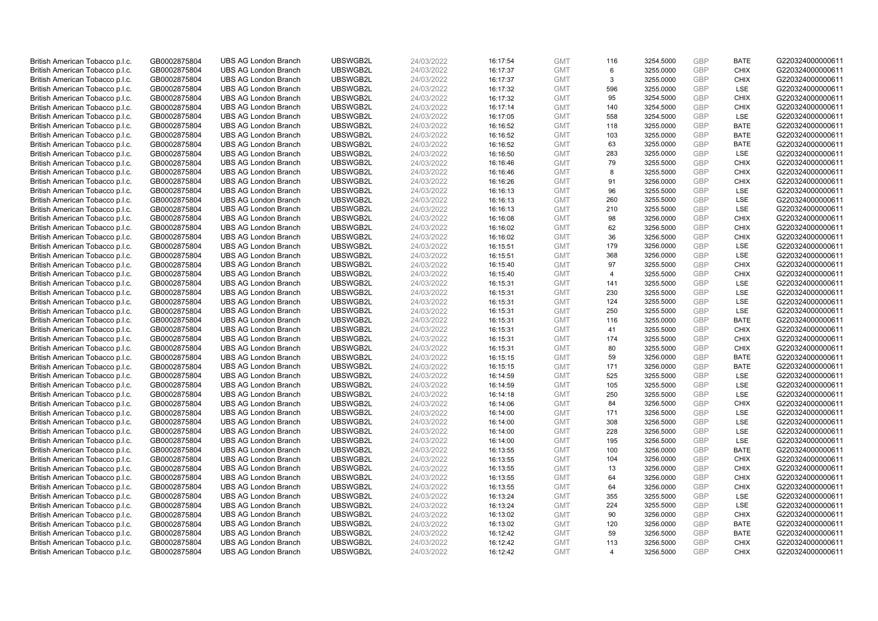| British American Tobacco p.l.c. | GB0002875804 | <b>UBS AG London Branch</b> | UBSWGB2L | 24/03/2022 | 16:17:54 | <b>GMT</b> | 116            | 3254.5000 | GBP        | <b>BATE</b> | G220324000000611 |
|---------------------------------|--------------|-----------------------------|----------|------------|----------|------------|----------------|-----------|------------|-------------|------------------|
| British American Tobacco p.l.c. | GB0002875804 | <b>UBS AG London Branch</b> | UBSWGB2L | 24/03/2022 | 16:17:37 | <b>GMT</b> | 6              | 3255.0000 | GBP        | <b>CHIX</b> | G220324000000611 |
| British American Tobacco p.l.c. | GB0002875804 | <b>UBS AG London Branch</b> | UBSWGB2L | 24/03/2022 | 16:17:37 | <b>GMT</b> | 3              | 3255.0000 | GBP        | <b>CHIX</b> | G220324000000611 |
| British American Tobacco p.l.c. | GB0002875804 | <b>UBS AG London Branch</b> | UBSWGB2L | 24/03/2022 | 16:17:32 | <b>GMT</b> | 596            | 3255.0000 | GBP        | LSE         | G220324000000611 |
| British American Tobacco p.l.c. | GB0002875804 | <b>UBS AG London Branch</b> | UBSWGB2L | 24/03/2022 | 16:17:32 | <b>GMT</b> | 95             | 3254.5000 | GBP        | <b>CHIX</b> | G220324000000611 |
| British American Tobacco p.l.c. | GB0002875804 | <b>UBS AG London Branch</b> | UBSWGB2L | 24/03/2022 | 16:17:14 | <b>GMT</b> | 140            | 3254.5000 | GBP        | <b>CHIX</b> | G220324000000611 |
| British American Tobacco p.l.c. | GB0002875804 | <b>UBS AG London Branch</b> | UBSWGB2L | 24/03/2022 | 16:17:05 | <b>GMT</b> | 558            | 3254.5000 | GBP        | LSE         | G220324000000611 |
| British American Tobacco p.l.c. | GB0002875804 | <b>UBS AG London Branch</b> | UBSWGB2L | 24/03/2022 | 16:16:52 | <b>GMT</b> | 118            | 3255.0000 | GBP        | <b>BATE</b> | G220324000000611 |
| British American Tobacco p.l.c. | GB0002875804 | <b>UBS AG London Branch</b> | UBSWGB2L | 24/03/2022 | 16:16:52 | <b>GMT</b> | 103            | 3255.0000 | GBP        | <b>BATE</b> | G220324000000611 |
| British American Tobacco p.l.c. | GB0002875804 | <b>UBS AG London Branch</b> | UBSWGB2L | 24/03/2022 | 16:16:52 | <b>GMT</b> | 63             | 3255.0000 | <b>GBP</b> | <b>BATE</b> | G220324000000611 |
| British American Tobacco p.l.c. | GB0002875804 | <b>UBS AG London Branch</b> | UBSWGB2L | 24/03/2022 | 16:16:50 | <b>GMT</b> | 283            | 3255.0000 | GBP        | LSE         | G220324000000611 |
| British American Tobacco p.l.c. | GB0002875804 | <b>UBS AG London Branch</b> | UBSWGB2L | 24/03/2022 | 16:16:46 | <b>GMT</b> | 79             | 3255.5000 | GBP        | <b>CHIX</b> | G220324000000611 |
| British American Tobacco p.l.c. | GB0002875804 | <b>UBS AG London Branch</b> | UBSWGB2L | 24/03/2022 | 16:16:46 | <b>GMT</b> | 8              | 3255.5000 | GBP        | <b>CHIX</b> | G220324000000611 |
| British American Tobacco p.l.c. | GB0002875804 | <b>UBS AG London Branch</b> | UBSWGB2L | 24/03/2022 | 16:16:26 | <b>GMT</b> | 91             | 3256.0000 | GBP        | <b>CHIX</b> | G220324000000611 |
| British American Tobacco p.l.c. | GB0002875804 | <b>UBS AG London Branch</b> | UBSWGB2L | 24/03/2022 | 16:16:13 | <b>GMT</b> | 96             | 3255.5000 | GBP        | LSE         | G220324000000611 |
| British American Tobacco p.l.c. | GB0002875804 | <b>UBS AG London Branch</b> | UBSWGB2L | 24/03/2022 | 16:16:13 | <b>GMT</b> | 260            | 3255.5000 | GBP        | LSE         | G220324000000611 |
| British American Tobacco p.l.c. | GB0002875804 | <b>UBS AG London Branch</b> | UBSWGB2L | 24/03/2022 | 16:16:13 | <b>GMT</b> | 210            | 3255.5000 | GBP        | LSE         | G220324000000611 |
| British American Tobacco p.l.c. | GB0002875804 | <b>UBS AG London Branch</b> | UBSWGB2L | 24/03/2022 | 16:16:08 | <b>GMT</b> | 98             | 3256.0000 | GBP        | <b>CHIX</b> | G220324000000611 |
| British American Tobacco p.l.c. | GB0002875804 | <b>UBS AG London Branch</b> | UBSWGB2L | 24/03/2022 | 16:16:02 | <b>GMT</b> | 62             | 3256.5000 | GBP        | <b>CHIX</b> | G220324000000611 |
| British American Tobacco p.l.c. | GB0002875804 | <b>UBS AG London Branch</b> | UBSWGB2L | 24/03/2022 | 16:16:02 | <b>GMT</b> | 36             | 3256.5000 | GBP        | <b>CHIX</b> | G220324000000611 |
| British American Tobacco p.l.c. | GB0002875804 | <b>UBS AG London Branch</b> | UBSWGB2L | 24/03/2022 | 16:15:51 | <b>GMT</b> | 179            | 3256.0000 | GBP        | LSE         | G220324000000611 |
| British American Tobacco p.l.c. | GB0002875804 | <b>UBS AG London Branch</b> | UBSWGB2L | 24/03/2022 | 16:15:51 | <b>GMT</b> | 368            | 3256.0000 | GBP        | LSE         | G220324000000611 |
| British American Tobacco p.l.c. | GB0002875804 | <b>UBS AG London Branch</b> | UBSWGB2L | 24/03/2022 | 16:15:40 | <b>GMT</b> | 97             | 3255.5000 | GBP        | <b>CHIX</b> | G220324000000611 |
| British American Tobacco p.l.c. | GB0002875804 | <b>UBS AG London Branch</b> | UBSWGB2L | 24/03/2022 | 16:15:40 | <b>GMT</b> | $\overline{4}$ | 3255.5000 | GBP        | <b>CHIX</b> | G220324000000611 |
| British American Tobacco p.l.c. | GB0002875804 | <b>UBS AG London Branch</b> | UBSWGB2L | 24/03/2022 | 16:15:31 | <b>GMT</b> | 141            | 3255.5000 | <b>GBP</b> | LSE         | G220324000000611 |
| British American Tobacco p.l.c. | GB0002875804 | <b>UBS AG London Branch</b> | UBSWGB2L | 24/03/2022 | 16:15:31 | <b>GMT</b> | 230            | 3255.5000 | GBP        | LSE         | G220324000000611 |
| British American Tobacco p.l.c. | GB0002875804 | <b>UBS AG London Branch</b> | UBSWGB2L | 24/03/2022 | 16:15:31 | <b>GMT</b> | 124            | 3255.5000 | GBP        | LSE         | G220324000000611 |
| British American Tobacco p.l.c. | GB0002875804 | <b>UBS AG London Branch</b> | UBSWGB2L | 24/03/2022 | 16:15:31 | <b>GMT</b> | 250            | 3255.5000 | GBP        | LSE         | G220324000000611 |
| British American Tobacco p.l.c. | GB0002875804 | <b>UBS AG London Branch</b> | UBSWGB2L | 24/03/2022 | 16:15:31 | <b>GMT</b> | 116            | 3255.0000 | GBP        | <b>BATE</b> | G220324000000611 |
| British American Tobacco p.l.c. | GB0002875804 | <b>UBS AG London Branch</b> | UBSWGB2L | 24/03/2022 | 16:15:31 | <b>GMT</b> | 41             | 3255.5000 | GBP        | <b>CHIX</b> | G220324000000611 |
| British American Tobacco p.l.c. | GB0002875804 | <b>UBS AG London Branch</b> | UBSWGB2L | 24/03/2022 | 16:15:31 | <b>GMT</b> | 174            | 3255.5000 | GBP        | <b>CHIX</b> | G220324000000611 |
| British American Tobacco p.l.c. | GB0002875804 | <b>UBS AG London Branch</b> | UBSWGB2L | 24/03/2022 | 16:15:31 | <b>GMT</b> | 80             | 3255.5000 | GBP        | <b>CHIX</b> | G220324000000611 |
| British American Tobacco p.l.c. | GB0002875804 | <b>UBS AG London Branch</b> | UBSWGB2L | 24/03/2022 | 16:15:15 | <b>GMT</b> | 59             | 3256.0000 | GBP        | <b>BATE</b> | G220324000000611 |
| British American Tobacco p.l.c. | GB0002875804 | <b>UBS AG London Branch</b> | UBSWGB2L | 24/03/2022 | 16:15:15 | <b>GMT</b> | 171            | 3256.0000 | GBP        | <b>BATE</b> | G220324000000611 |
| British American Tobacco p.l.c. | GB0002875804 | <b>UBS AG London Branch</b> | UBSWGB2L | 24/03/2022 | 16:14:59 | <b>GMT</b> | 525            | 3255.5000 | GBP        | LSE         | G220324000000611 |
| British American Tobacco p.l.c. | GB0002875804 | <b>UBS AG London Branch</b> | UBSWGB2L | 24/03/2022 | 16:14:59 | <b>GMT</b> | 105            | 3255.5000 | <b>GBP</b> | LSE         | G220324000000611 |
| British American Tobacco p.l.c. | GB0002875804 | <b>UBS AG London Branch</b> | UBSWGB2L | 24/03/2022 | 16:14:18 | <b>GMT</b> | 250            | 3255.5000 | GBP        | LSE         | G220324000000611 |
| British American Tobacco p.l.c. | GB0002875804 | <b>UBS AG London Branch</b> | UBSWGB2L | 24/03/2022 | 16:14:06 | <b>GMT</b> | 84             | 3256.5000 | GBP        | <b>CHIX</b> | G220324000000611 |
| British American Tobacco p.l.c. | GB0002875804 | <b>UBS AG London Branch</b> | UBSWGB2L | 24/03/2022 | 16:14:00 | <b>GMT</b> | 171            | 3256.5000 | GBP        | <b>LSE</b>  | G220324000000611 |
| British American Tobacco p.l.c. | GB0002875804 | <b>UBS AG London Branch</b> | UBSWGB2L | 24/03/2022 | 16:14:00 | <b>GMT</b> | 308            | 3256.5000 | GBP        | LSE         | G220324000000611 |
| British American Tobacco p.l.c. | GB0002875804 | <b>UBS AG London Branch</b> | UBSWGB2L | 24/03/2022 | 16:14:00 | <b>GMT</b> | 228            | 3256.5000 | GBP        | LSE         | G220324000000611 |
| British American Tobacco p.l.c. | GB0002875804 | <b>UBS AG London Branch</b> | UBSWGB2L | 24/03/2022 | 16:14:00 | <b>GMT</b> | 195            | 3256.5000 | GBP        | LSE         | G220324000000611 |
| British American Tobacco p.l.c. | GB0002875804 | <b>UBS AG London Branch</b> | UBSWGB2L | 24/03/2022 | 16:13:55 | <b>GMT</b> | 100            | 3256.0000 | GBP        | <b>BATE</b> | G220324000000611 |
| British American Tobacco p.l.c. | GB0002875804 | <b>UBS AG London Branch</b> | UBSWGB2L | 24/03/2022 | 16:13:55 | <b>GMT</b> | 104            | 3256.0000 | GBP        | <b>CHIX</b> | G220324000000611 |
| British American Tobacco p.l.c. | GB0002875804 | <b>UBS AG London Branch</b> | UBSWGB2L | 24/03/2022 | 16:13:55 | <b>GMT</b> | 13             | 3256.0000 | GBP        | <b>CHIX</b> | G220324000000611 |
| British American Tobacco p.l.c. | GB0002875804 | <b>UBS AG London Branch</b> | UBSWGB2L | 24/03/2022 | 16:13:55 | <b>GMT</b> | 64             | 3256.0000 | <b>GBP</b> | <b>CHIX</b> | G220324000000611 |
| British American Tobacco p.l.c. | GB0002875804 | <b>UBS AG London Branch</b> | UBSWGB2L | 24/03/2022 | 16:13:55 | <b>GMT</b> | 64             | 3256.0000 | GBP        | <b>CHIX</b> | G220324000000611 |
| British American Tobacco p.l.c. | GB0002875804 | <b>UBS AG London Branch</b> | UBSWGB2L | 24/03/2022 | 16:13:24 | <b>GMT</b> | 355            | 3255.5000 | GBP        | LSE         | G220324000000611 |
| British American Tobacco p.l.c. | GB0002875804 | <b>UBS AG London Branch</b> | UBSWGB2L | 24/03/2022 | 16:13:24 | <b>GMT</b> | 224            | 3255.5000 | GBP        | LSE         | G220324000000611 |
| British American Tobacco p.l.c. | GB0002875804 | <b>UBS AG London Branch</b> | UBSWGB2L | 24/03/2022 | 16:13:02 | <b>GMT</b> | 90             | 3256.0000 | GBP        | <b>CHIX</b> | G220324000000611 |
| British American Tobacco p.l.c. | GB0002875804 | <b>UBS AG London Branch</b> | UBSWGB2L | 24/03/2022 | 16:13:02 | <b>GMT</b> | 120            | 3256.0000 | GBP        | <b>BATE</b> | G220324000000611 |
| British American Tobacco p.l.c. | GB0002875804 | <b>UBS AG London Branch</b> | UBSWGB2L | 24/03/2022 | 16:12:42 | <b>GMT</b> | 59             | 3256.5000 | GBP        | <b>BATE</b> | G220324000000611 |
| British American Tobacco p.l.c. | GB0002875804 | <b>UBS AG London Branch</b> | UBSWGB2L | 24/03/2022 | 16:12:42 | <b>GMT</b> | 113            | 3256.5000 | GBP        | <b>CHIX</b> | G220324000000611 |
| British American Tobacco p.l.c. | GB0002875804 | <b>UBS AG London Branch</b> | UBSWGB2L | 24/03/2022 | 16:12:42 | <b>GMT</b> | $\overline{4}$ | 3256.5000 | GBP        | <b>CHIX</b> | G220324000000611 |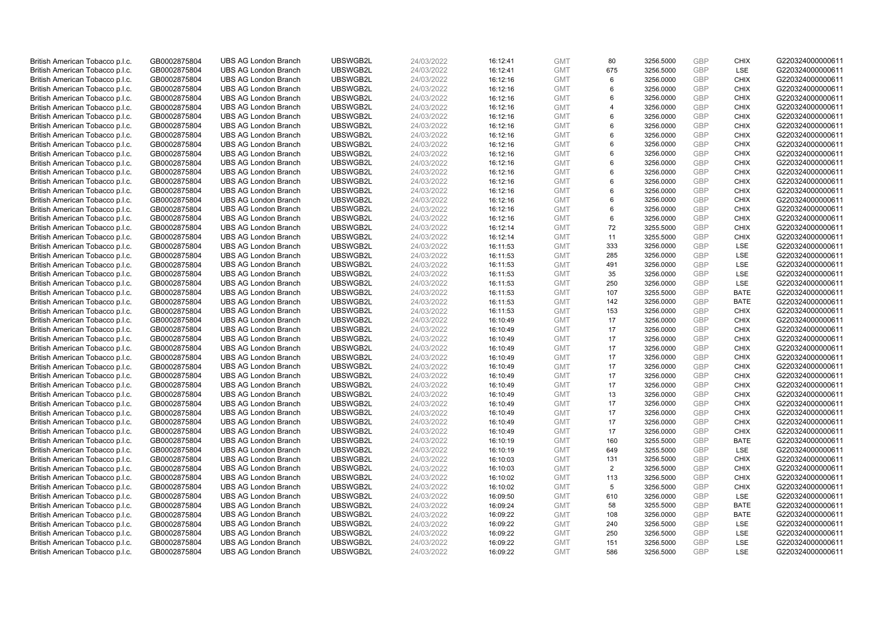| British American Tobacco p.l.c. | GB0002875804 | <b>UBS AG London Branch</b> | UBSWGB2L | 24/03/2022 |          | <b>GMT</b> |                |           | GBP               |                    | G220324000000611 |
|---------------------------------|--------------|-----------------------------|----------|------------|----------|------------|----------------|-----------|-------------------|--------------------|------------------|
|                                 |              |                             |          |            | 16:12:41 |            | 80<br>675      | 3256.5000 | GBP               | <b>CHIX</b><br>LSE |                  |
| British American Tobacco p.l.c. | GB0002875804 | <b>UBS AG London Branch</b> | UBSWGB2L | 24/03/2022 | 16:12:41 | <b>GMT</b> |                | 3256.5000 |                   |                    | G220324000000611 |
| British American Tobacco p.l.c. | GB0002875804 | <b>UBS AG London Branch</b> | UBSWGB2L | 24/03/2022 | 16:12:16 | <b>GMT</b> | 6              | 3256.0000 | GBP               | <b>CHIX</b>        | G220324000000611 |
| British American Tobacco p.l.c. | GB0002875804 | <b>UBS AG London Branch</b> | UBSWGB2L | 24/03/2022 | 16:12:16 | <b>GMT</b> | 6              | 3256.0000 | GBP               | <b>CHIX</b>        | G220324000000611 |
| British American Tobacco p.l.c. | GB0002875804 | <b>UBS AG London Branch</b> | UBSWGB2L | 24/03/2022 | 16:12:16 | <b>GMT</b> | 6              | 3256.0000 | GBP               | <b>CHIX</b>        | G220324000000611 |
| British American Tobacco p.l.c. | GB0002875804 | <b>UBS AG London Branch</b> | UBSWGB2L | 24/03/2022 | 16:12:16 | <b>GMT</b> | $\overline{4}$ | 3256.0000 | GBP               | <b>CHIX</b>        | G220324000000611 |
| British American Tobacco p.l.c. | GB0002875804 | <b>UBS AG London Branch</b> | UBSWGB2L | 24/03/2022 | 16:12:16 | <b>GMT</b> | 6              | 3256.0000 | GBP               | <b>CHIX</b>        | G220324000000611 |
| British American Tobacco p.l.c. | GB0002875804 | <b>UBS AG London Branch</b> | UBSWGB2L | 24/03/2022 | 16:12:16 | <b>GMT</b> | 6              | 3256.0000 | GBP               | <b>CHIX</b>        | G220324000000611 |
| British American Tobacco p.l.c. | GB0002875804 | <b>UBS AG London Branch</b> | UBSWGB2L | 24/03/2022 | 16:12:16 | <b>GMT</b> | 6              | 3256.0000 | GBP               | <b>CHIX</b>        | G220324000000611 |
| British American Tobacco p.l.c. | GB0002875804 | <b>UBS AG London Branch</b> | UBSWGB2L | 24/03/2022 | 16:12:16 | <b>GMT</b> | 6              | 3256.0000 | GBP               | <b>CHIX</b>        | G220324000000611 |
| British American Tobacco p.l.c. | GB0002875804 | <b>UBS AG London Branch</b> | UBSWGB2L | 24/03/2022 | 16:12:16 | <b>GMT</b> | 6              | 3256.0000 | GBP               | <b>CHIX</b>        | G220324000000611 |
| British American Tobacco p.l.c. | GB0002875804 | <b>UBS AG London Branch</b> | UBSWGB2L | 24/03/2022 | 16:12:16 | <b>GMT</b> | 6              | 3256.0000 | GBP               | <b>CHIX</b>        | G220324000000611 |
| British American Tobacco p.l.c. | GB0002875804 | <b>UBS AG London Branch</b> | UBSWGB2L | 24/03/2022 | 16:12:16 | <b>GMT</b> | 6              | 3256.0000 | GBP               | <b>CHIX</b>        | G220324000000611 |
| British American Tobacco p.l.c. | GB0002875804 | <b>UBS AG London Branch</b> | UBSWGB2L | 24/03/2022 | 16:12:16 | <b>GMT</b> | 6              | 3256.0000 | GBP               | <b>CHIX</b>        | G220324000000611 |
| British American Tobacco p.l.c. | GB0002875804 | <b>UBS AG London Branch</b> | UBSWGB2L | 24/03/2022 | 16:12:16 | <b>GMT</b> | 6              | 3256.0000 | GBP               | <b>CHIX</b>        | G220324000000611 |
| British American Tobacco p.l.c. | GB0002875804 | <b>UBS AG London Branch</b> | UBSWGB2L | 24/03/2022 | 16:12:16 | <b>GMT</b> | 6              | 3256.0000 | GBP               | <b>CHIX</b>        | G220324000000611 |
| British American Tobacco p.l.c. | GB0002875804 | <b>UBS AG London Branch</b> | UBSWGB2L | 24/03/2022 | 16:12:16 | <b>GMT</b> | 6              | 3256.0000 | GBP               | <b>CHIX</b>        | G220324000000611 |
| British American Tobacco p.l.c. | GB0002875804 | <b>UBS AG London Branch</b> | UBSWGB2L | 24/03/2022 | 16:12:16 | <b>GMT</b> | 6              | 3256.0000 | GBP               | <b>CHIX</b>        | G220324000000611 |
| British American Tobacco p.l.c. | GB0002875804 | <b>UBS AG London Branch</b> | UBSWGB2L | 24/03/2022 | 16:12:14 | <b>GMT</b> | 72             | 3255.5000 | GBP               | <b>CHIX</b>        | G220324000000611 |
| British American Tobacco p.l.c. | GB0002875804 | <b>UBS AG London Branch</b> | UBSWGB2L | 24/03/2022 | 16:12:14 | <b>GMT</b> | 11             | 3255.5000 | GBP               | <b>CHIX</b>        | G220324000000611 |
| British American Tobacco p.l.c. | GB0002875804 | <b>UBS AG London Branch</b> | UBSWGB2L | 24/03/2022 | 16:11:53 | <b>GMT</b> | 333            | 3256.0000 | GBP               | LSE                | G220324000000611 |
| British American Tobacco p.l.c. | GB0002875804 | <b>UBS AG London Branch</b> | UBSWGB2L | 24/03/2022 | 16:11:53 | <b>GMT</b> | 285            | 3256.0000 | GBP               | LSE                | G220324000000611 |
| British American Tobacco p.l.c. | GB0002875804 | <b>UBS AG London Branch</b> | UBSWGB2L | 24/03/2022 | 16:11:53 | <b>GMT</b> | 491            | 3256.0000 | GBP               | LSE                | G220324000000611 |
| British American Tobacco p.l.c. | GB0002875804 | <b>UBS AG London Branch</b> | UBSWGB2L | 24/03/2022 | 16:11:53 | <b>GMT</b> | 35             | 3256.0000 | GBP               | LSE                | G220324000000611 |
| British American Tobacco p.l.c. | GB0002875804 | <b>UBS AG London Branch</b> | UBSWGB2L | 24/03/2022 | 16:11:53 | <b>GMT</b> | 250            | 3256.0000 | GBP               | LSE                | G220324000000611 |
| British American Tobacco p.l.c. | GB0002875804 | <b>UBS AG London Branch</b> | UBSWGB2L | 24/03/2022 | 16:11:53 | <b>GMT</b> | 107            | 3255.5000 | GBP               | <b>BATE</b>        | G220324000000611 |
| British American Tobacco p.l.c. | GB0002875804 | <b>UBS AG London Branch</b> | UBSWGB2L | 24/03/2022 | 16:11:53 | <b>GMT</b> | 142            | 3256.0000 | GBP               | <b>BATE</b>        | G220324000000611 |
| British American Tobacco p.l.c. | GB0002875804 | <b>UBS AG London Branch</b> | UBSWGB2L | 24/03/2022 | 16:11:53 | <b>GMT</b> | 153            | 3256.0000 | <b>GBP</b>        | <b>CHIX</b>        | G220324000000611 |
| British American Tobacco p.l.c. | GB0002875804 | <b>UBS AG London Branch</b> | UBSWGB2L | 24/03/2022 | 16:10:49 | <b>GMT</b> | 17             | 3256.0000 | GBP               | <b>CHIX</b>        | G220324000000611 |
| British American Tobacco p.l.c. | GB0002875804 | <b>UBS AG London Branch</b> | UBSWGB2L | 24/03/2022 | 16:10:49 | <b>GMT</b> | 17             | 3256.0000 | GBP               | <b>CHIX</b>        | G220324000000611 |
| British American Tobacco p.l.c. | GB0002875804 | <b>UBS AG London Branch</b> | UBSWGB2L | 24/03/2022 | 16:10:49 | <b>GMT</b> | 17             | 3256.0000 | GBP               | <b>CHIX</b>        | G220324000000611 |
| British American Tobacco p.l.c. | GB0002875804 | <b>UBS AG London Branch</b> | UBSWGB2L | 24/03/2022 | 16:10:49 | <b>GMT</b> | 17             | 3256.0000 | GBP               | <b>CHIX</b>        | G220324000000611 |
| British American Tobacco p.l.c. | GB0002875804 | <b>UBS AG London Branch</b> | UBSWGB2L | 24/03/2022 | 16:10:49 | <b>GMT</b> | 17             | 3256.0000 | GBP               | <b>CHIX</b>        | G220324000000611 |
| British American Tobacco p.l.c. | GB0002875804 | <b>UBS AG London Branch</b> | UBSWGB2L | 24/03/2022 | 16:10:49 | <b>GMT</b> | 17             | 3256.0000 | GBP               | <b>CHIX</b>        | G220324000000611 |
| British American Tobacco p.l.c. | GB0002875804 | <b>UBS AG London Branch</b> | UBSWGB2L | 24/03/2022 | 16:10:49 | <b>GMT</b> | 17             | 3256.0000 | GBP               | <b>CHIX</b>        | G220324000000611 |
| British American Tobacco p.l.c. | GB0002875804 | <b>UBS AG London Branch</b> | UBSWGB2L | 24/03/2022 | 16:10:49 | <b>GMT</b> | 17             | 3256.0000 | GBP               | <b>CHIX</b>        | G220324000000611 |
| British American Tobacco p.l.c. | GB0002875804 | <b>UBS AG London Branch</b> | UBSWGB2L | 24/03/2022 | 16:10:49 | <b>GMT</b> | 13             | 3256.0000 | GBP               | <b>CHIX</b>        | G220324000000611 |
| British American Tobacco p.l.c. | GB0002875804 | <b>UBS AG London Branch</b> | UBSWGB2L | 24/03/2022 | 16:10:49 | <b>GMT</b> | 17             | 3256.0000 | GBP               | <b>CHIX</b>        | G220324000000611 |
|                                 |              | <b>UBS AG London Branch</b> | UBSWGB2L |            |          | <b>GMT</b> | 17             | 3256.0000 | GBP               | <b>CHIX</b>        | G220324000000611 |
| British American Tobacco p.l.c. | GB0002875804 |                             |          | 24/03/2022 | 16:10:49 |            |                |           |                   |                    |                  |
| British American Tobacco p.l.c. | GB0002875804 | <b>UBS AG London Branch</b> | UBSWGB2L | 24/03/2022 | 16:10:49 | <b>GMT</b> | 17<br>17       | 3256.0000 | GBP<br><b>GBP</b> | <b>CHIX</b>        | G220324000000611 |
| British American Tobacco p.l.c. | GB0002875804 | <b>UBS AG London Branch</b> | UBSWGB2L | 24/03/2022 | 16:10:49 | <b>GMT</b> |                | 3256.0000 |                   | <b>CHIX</b>        | G220324000000611 |
| British American Tobacco p.l.c. | GB0002875804 | <b>UBS AG London Branch</b> | UBSWGB2L | 24/03/2022 | 16:10:19 | <b>GMT</b> | 160            | 3255.5000 | GBP               | <b>BATE</b>        | G220324000000611 |
| British American Tobacco p.l.c. | GB0002875804 | <b>UBS AG London Branch</b> | UBSWGB2L | 24/03/2022 | 16:10:19 | <b>GMT</b> | 649            | 3255.5000 | GBP               | LSE                | G220324000000611 |
| British American Tobacco p.l.c. | GB0002875804 | <b>UBS AG London Branch</b> | UBSWGB2L | 24/03/2022 | 16:10:03 | <b>GMT</b> | 131            | 3256.5000 | GBP               | <b>CHIX</b>        | G220324000000611 |
| British American Tobacco p.l.c. | GB0002875804 | <b>UBS AG London Branch</b> | UBSWGB2L | 24/03/2022 | 16:10:03 | <b>GMT</b> | 2              | 3256.5000 | GBP               | <b>CHIX</b>        | G220324000000611 |
| British American Tobacco p.l.c. | GB0002875804 | <b>UBS AG London Branch</b> | UBSWGB2L | 24/03/2022 | 16:10:02 | <b>GMT</b> | 113            | 3256.5000 | GBP               | <b>CHIX</b>        | G220324000000611 |
| British American Tobacco p.l.c. | GB0002875804 | <b>UBS AG London Branch</b> | UBSWGB2L | 24/03/2022 | 16:10:02 | <b>GMT</b> | 5              | 3256.5000 | <b>GBP</b>        | <b>CHIX</b>        | G220324000000611 |
| British American Tobacco p.l.c. | GB0002875804 | <b>UBS AG London Branch</b> | UBSWGB2L | 24/03/2022 | 16:09:50 | <b>GMT</b> | 610            | 3256.0000 | GBP               | LSE                | G220324000000611 |
| British American Tobacco p.l.c. | GB0002875804 | <b>UBS AG London Branch</b> | UBSWGB2L | 24/03/2022 | 16:09:24 | <b>GMT</b> | 58             | 3255.5000 | GBP               | <b>BATE</b>        | G220324000000611 |
| British American Tobacco p.l.c. | GB0002875804 | <b>UBS AG London Branch</b> | UBSWGB2L | 24/03/2022 | 16:09:22 | <b>GMT</b> | 108            | 3256.0000 | GBP               | <b>BATE</b>        | G220324000000611 |
| British American Tobacco p.l.c. | GB0002875804 | <b>UBS AG London Branch</b> | UBSWGB2L | 24/03/2022 | 16:09:22 | <b>GMT</b> | 240            | 3256.5000 | GBP               | LSE                | G220324000000611 |
| British American Tobacco p.l.c. | GB0002875804 | <b>UBS AG London Branch</b> | UBSWGB2L | 24/03/2022 | 16:09:22 | <b>GMT</b> | 250            | 3256.5000 | <b>GBP</b>        | LSE                | G220324000000611 |
| British American Tobacco p.l.c. | GB0002875804 | <b>UBS AG London Branch</b> | UBSWGB2L | 24/03/2022 | 16:09:22 | <b>GMT</b> | 151            | 3256.5000 | GBP               | LSE                | G220324000000611 |
| British American Tobacco p.l.c. | GB0002875804 | <b>UBS AG London Branch</b> | UBSWGB2L | 24/03/2022 | 16:09:22 | <b>GMT</b> | 586            | 3256.5000 | GBP               | <b>LSE</b>         | G220324000000611 |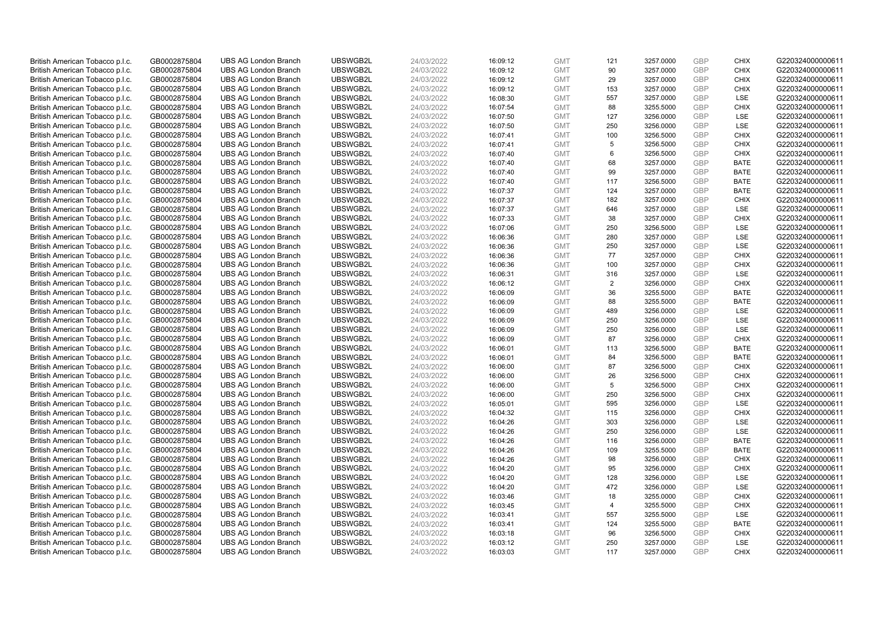| British American Tobacco p.l.c. | GB0002875804 | <b>UBS AG London Branch</b> | UBSWGB2L             | 24/03/2022 | 16:09:12 | <b>GMT</b>               | 121            | 3257.0000              | GBP        | <b>CHIX</b> | G220324000000611                     |
|---------------------------------|--------------|-----------------------------|----------------------|------------|----------|--------------------------|----------------|------------------------|------------|-------------|--------------------------------------|
| British American Tobacco p.l.c. | GB0002875804 | <b>UBS AG London Branch</b> | UBSWGB2L             | 24/03/2022 | 16:09:12 | <b>GMT</b>               | 90             | 3257.0000              | GBP        | <b>CHIX</b> | G220324000000611                     |
| British American Tobacco p.l.c. | GB0002875804 | <b>UBS AG London Branch</b> | UBSWGB2L             | 24/03/2022 | 16:09:12 | <b>GMT</b>               | 29             | 3257.0000              | GBP        | <b>CHIX</b> | G220324000000611                     |
| British American Tobacco p.l.c. | GB0002875804 | <b>UBS AG London Branch</b> | UBSWGB2L             | 24/03/2022 | 16:09:12 | <b>GMT</b>               | 153            | 3257.0000              | GBP        | <b>CHIX</b> | G220324000000611                     |
| British American Tobacco p.l.c. | GB0002875804 | <b>UBS AG London Branch</b> | UBSWGB2L             | 24/03/2022 | 16:08:30 | <b>GMT</b>               | 557            | 3257.0000              | GBP        | LSE         | G220324000000611                     |
| British American Tobacco p.l.c. | GB0002875804 | <b>UBS AG London Branch</b> | UBSWGB2L             | 24/03/2022 | 16:07:54 | <b>GMT</b>               | 88             | 3255.5000              | GBP        | <b>CHIX</b> | G220324000000611                     |
| British American Tobacco p.l.c. | GB0002875804 | <b>UBS AG London Branch</b> | UBSWGB2L             | 24/03/2022 | 16:07:50 | <b>GMT</b>               | 127            | 3256.0000              | GBP        | <b>LSE</b>  | G220324000000611                     |
| British American Tobacco p.l.c. | GB0002875804 | <b>UBS AG London Branch</b> | UBSWGB2L             | 24/03/2022 | 16:07:50 | <b>GMT</b>               | 250            | 3256.0000              | GBP        | LSE         | G220324000000611                     |
| British American Tobacco p.l.c. | GB0002875804 | <b>UBS AG London Branch</b> | UBSWGB2L             | 24/03/2022 | 16:07:41 | <b>GMT</b>               | 100            | 3256.5000              | GBP        | <b>CHIX</b> | G220324000000611                     |
| British American Tobacco p.l.c. | GB0002875804 | <b>UBS AG London Branch</b> | UBSWGB2L             | 24/03/2022 | 16:07:41 | <b>GMT</b>               | 5              | 3256.5000              | GBP        | <b>CHIX</b> | G220324000000611                     |
| British American Tobacco p.l.c. | GB0002875804 | <b>UBS AG London Branch</b> | UBSWGB2L             | 24/03/2022 | 16:07:40 | <b>GMT</b>               | 6              | 3256.5000              | GBP        | <b>CHIX</b> | G220324000000611                     |
| British American Tobacco p.l.c. | GB0002875804 | <b>UBS AG London Branch</b> | UBSWGB2L             | 24/03/2022 | 16:07:40 | <b>GMT</b>               | 68             | 3257.0000              | GBP        | <b>BATE</b> | G220324000000611                     |
| British American Tobacco p.l.c. | GB0002875804 | <b>UBS AG London Branch</b> | UBSWGB2L             | 24/03/2022 | 16:07:40 | <b>GMT</b>               | 99             | 3257.0000              | GBP        | <b>BATE</b> | G220324000000611                     |
| British American Tobacco p.l.c. | GB0002875804 | <b>UBS AG London Branch</b> | UBSWGB2L             | 24/03/2022 | 16:07:40 | <b>GMT</b>               | 117            | 3256.5000              | GBP        | <b>BATE</b> | G220324000000611                     |
| British American Tobacco p.l.c. | GB0002875804 | <b>UBS AG London Branch</b> | UBSWGB2L             | 24/03/2022 | 16:07:37 | <b>GMT</b>               | 124            | 3257.0000              | GBP        | <b>BATE</b> | G220324000000611                     |
| British American Tobacco p.l.c. | GB0002875804 | <b>UBS AG London Branch</b> | UBSWGB2L             | 24/03/2022 | 16:07:37 | <b>GMT</b>               | 182            | 3257.0000              | GBP        | <b>CHIX</b> | G220324000000611                     |
| British American Tobacco p.l.c. | GB0002875804 | <b>UBS AG London Branch</b> | UBSWGB2L             | 24/03/2022 | 16:07:37 | <b>GMT</b>               | 646            | 3257.0000              | GBP        | <b>LSE</b>  | G220324000000611                     |
| British American Tobacco p.l.c. | GB0002875804 | <b>UBS AG London Branch</b> | UBSWGB2L             | 24/03/2022 | 16:07:33 | <b>GMT</b>               | 38             | 3257.0000              | GBP        | <b>CHIX</b> | G220324000000611                     |
| British American Tobacco p.l.c. | GB0002875804 | <b>UBS AG London Branch</b> | UBSWGB2L             | 24/03/2022 | 16:07:06 | <b>GMT</b>               | 250            | 3256.5000              | GBP        | <b>LSE</b>  | G220324000000611                     |
| British American Tobacco p.l.c. | GB0002875804 | <b>UBS AG London Branch</b> | UBSWGB2L             | 24/03/2022 | 16:06:36 | <b>GMT</b>               | 280            | 3257.0000              | GBP        | <b>LSE</b>  | G220324000000611                     |
| British American Tobacco p.l.c. | GB0002875804 | <b>UBS AG London Branch</b> | UBSWGB2L             | 24/03/2022 | 16:06:36 | <b>GMT</b>               | 250            | 3257.0000              | GBP        | LSE         | G220324000000611                     |
| British American Tobacco p.l.c. | GB0002875804 | <b>UBS AG London Branch</b> | UBSWGB2L             | 24/03/2022 | 16:06:36 | <b>GMT</b>               | 77             | 3257.0000              | GBP        | <b>CHIX</b> | G220324000000611                     |
| British American Tobacco p.l.c. | GB0002875804 | <b>UBS AG London Branch</b> | UBSWGB2L             | 24/03/2022 | 16:06:36 | <b>GMT</b>               | 100            | 3257.0000              | GBP        | <b>CHIX</b> | G220324000000611                     |
| British American Tobacco p.l.c. | GB0002875804 | <b>UBS AG London Branch</b> | UBSWGB2L             | 24/03/2022 | 16:06:31 | <b>GMT</b>               | 316            | 3257.0000              | GBP        | <b>LSE</b>  | G220324000000611                     |
| British American Tobacco p.l.c. | GB0002875804 | <b>UBS AG London Branch</b> | UBSWGB2L             | 24/03/2022 | 16:06:12 | <b>GMT</b>               | $\overline{2}$ | 3256.0000              | GBP        | <b>CHIX</b> | G220324000000611                     |
| British American Tobacco p.l.c. | GB0002875804 | <b>UBS AG London Branch</b> | UBSWGB2L             | 24/03/2022 | 16:06:09 | <b>GMT</b>               | 36             | 3255.5000              | GBP        | <b>BATE</b> | G220324000000611                     |
| British American Tobacco p.l.c. | GB0002875804 | <b>UBS AG London Branch</b> | UBSWGB2L             | 24/03/2022 | 16:06:09 | <b>GMT</b>               | 88             | 3255.5000              | GBP        | <b>BATE</b> | G220324000000611                     |
| British American Tobacco p.l.c. | GB0002875804 | <b>UBS AG London Branch</b> | UBSWGB2L             | 24/03/2022 | 16:06:09 | <b>GMT</b>               | 489            | 3256.0000              | <b>GBP</b> | <b>LSE</b>  | G220324000000611                     |
| British American Tobacco p.l.c. | GB0002875804 | <b>UBS AG London Branch</b> | UBSWGB2L             | 24/03/2022 | 16:06:09 | <b>GMT</b>               | 250            | 3256.0000              | GBP        | LSE         | G220324000000611                     |
| British American Tobacco p.l.c. | GB0002875804 | <b>UBS AG London Branch</b> | UBSWGB2L             | 24/03/2022 | 16:06:09 | <b>GMT</b>               | 250            | 3256.0000              | GBP        | <b>LSE</b>  | G220324000000611                     |
| British American Tobacco p.l.c. | GB0002875804 | <b>UBS AG London Branch</b> | UBSWGB2L             | 24/03/2022 | 16:06:09 | <b>GMT</b>               | 87             | 3256.0000              | GBP        | <b>CHIX</b> | G220324000000611                     |
| British American Tobacco p.l.c. | GB0002875804 | <b>UBS AG London Branch</b> | UBSWGB2L             | 24/03/2022 | 16:06:01 | <b>GMT</b>               | 113            | 3256.5000              | GBP        | <b>BATE</b> | G220324000000611                     |
| British American Tobacco p.l.c. | GB0002875804 | <b>UBS AG London Branch</b> | UBSWGB2L             | 24/03/2022 | 16:06:01 | <b>GMT</b>               | 84             | 3256.5000              | GBP        | <b>BATE</b> | G220324000000611                     |
| British American Tobacco p.l.c. | GB0002875804 | <b>UBS AG London Branch</b> | UBSWGB2L             | 24/03/2022 | 16:06:00 | <b>GMT</b>               | 87             | 3256.5000              | GBP        | <b>CHIX</b> | G220324000000611                     |
| British American Tobacco p.l.c. | GB0002875804 | <b>UBS AG London Branch</b> | UBSWGB2L             | 24/03/2022 | 16:06:00 | <b>GMT</b>               | 26             | 3256.5000              | GBP        | <b>CHIX</b> | G220324000000611                     |
| British American Tobacco p.l.c. | GB0002875804 | <b>UBS AG London Branch</b> | UBSWGB2L             | 24/03/2022 | 16:06:00 | <b>GMT</b>               | 5              | 3256.5000              | GBP        | <b>CHIX</b> | G220324000000611                     |
| British American Tobacco p.l.c. | GB0002875804 | <b>UBS AG London Branch</b> | UBSWGB2L             | 24/03/2022 | 16:06:00 | <b>GMT</b>               | 250            | 3256.5000              | GBP        | <b>CHIX</b> | G220324000000611                     |
| British American Tobacco p.l.c. | GB0002875804 | <b>UBS AG London Branch</b> | UBSWGB2L             | 24/03/2022 | 16:05:01 | <b>GMT</b>               | 595            | 3256.0000              | GBP        | LSE         | G220324000000611                     |
| British American Tobacco p.l.c. | GB0002875804 | <b>UBS AG London Branch</b> | UBSWGB2L             | 24/03/2022 | 16:04:32 | <b>GMT</b>               | 115            | 3256.0000              | GBP        | <b>CHIX</b> | G220324000000611                     |
| British American Tobacco p.l.c. | GB0002875804 | <b>UBS AG London Branch</b> | UBSWGB2L             | 24/03/2022 | 16:04:26 | <b>GMT</b>               | 303            | 3256.0000              | GBP        | LSE         | G220324000000611                     |
| British American Tobacco p.l.c. | GB0002875804 | <b>UBS AG London Branch</b> | UBSWGB2L             | 24/03/2022 | 16:04:26 | <b>GMT</b>               | 250            | 3256.0000              | <b>GBP</b> | <b>LSE</b>  | G220324000000611                     |
| British American Tobacco p.l.c. | GB0002875804 | <b>UBS AG London Branch</b> | UBSWGB2L             | 24/03/2022 | 16:04:26 | <b>GMT</b>               | 116            | 3256.0000              | GBP        | <b>BATE</b> | G220324000000611                     |
| British American Tobacco p.l.c. | GB0002875804 | <b>UBS AG London Branch</b> | UBSWGB2L             | 24/03/2022 | 16:04:26 | <b>GMT</b>               | 109            | 3255.5000              | GBP        | <b>BATE</b> | G220324000000611                     |
| British American Tobacco p.l.c. | GB0002875804 | <b>UBS AG London Branch</b> | UBSWGB2L             | 24/03/2022 | 16:04:26 | <b>GMT</b>               | 98             | 3256.0000              | GBP        | <b>CHIX</b> | G220324000000611                     |
| British American Tobacco p.l.c. | GB0002875804 | <b>UBS AG London Branch</b> | UBSWGB2L             | 24/03/2022 | 16:04:20 | <b>GMT</b>               | 95             | 3256.0000              | GBP        | <b>CHIX</b> | G220324000000611                     |
| British American Tobacco p.l.c. | GB0002875804 | <b>UBS AG London Branch</b> | UBSWGB2L             | 24/03/2022 | 16:04:20 | <b>GMT</b>               | 128            | 3256.0000              | <b>GBP</b> | LSE         | G220324000000611                     |
| British American Tobacco p.l.c. | GB0002875804 | <b>UBS AG London Branch</b> | UBSWGB2L             | 24/03/2022 | 16:04:20 | <b>GMT</b>               | 472            | 3256.0000              | <b>GBP</b> | <b>LSE</b>  | G220324000000611                     |
| British American Tobacco p.l.c. | GB0002875804 | <b>UBS AG London Branch</b> | UBSWGB2L             | 24/03/2022 | 16:03:46 | <b>GMT</b>               | 18             | 3255.0000              | GBP        | <b>CHIX</b> | G220324000000611                     |
| British American Tobacco p.l.c. | GB0002875804 | <b>UBS AG London Branch</b> | UBSWGB2L             | 24/03/2022 | 16:03:45 | <b>GMT</b>               |                | 3255.5000              | GBP        | <b>CHIX</b> | G220324000000611                     |
| British American Tobacco p.l.c. | GB0002875804 | <b>UBS AG London Branch</b> | UBSWGB2L             | 24/03/2022 |          | <b>GMT</b>               | 4<br>557       |                        | GBP        | LSE         | G220324000000611                     |
|                                 |              | <b>UBS AG London Branch</b> |                      | 24/03/2022 | 16:03:41 |                          | 124            | 3255.5000<br>3255.5000 | GBP        | <b>BATE</b> |                                      |
| British American Tobacco p.l.c. | GB0002875804 | <b>UBS AG London Branch</b> | UBSWGB2L<br>UBSWGB2L |            | 16:03:41 | <b>GMT</b>               | 96             |                        | <b>GBP</b> | <b>CHIX</b> | G220324000000611<br>G220324000000611 |
| British American Tobacco p.l.c. | GB0002875804 |                             |                      | 24/03/2022 | 16:03:18 | <b>GMT</b>               |                | 3256.5000              | GBP        | LSE         | G220324000000611                     |
| British American Tobacco p.l.c. | GB0002875804 | <b>UBS AG London Branch</b> | UBSWGB2L             | 24/03/2022 | 16:03:12 | <b>GMT</b><br><b>GMT</b> | 250<br>117     | 3257.0000              | GBP        | <b>CHIX</b> |                                      |
| British American Tobacco p.l.c. | GB0002875804 | <b>UBS AG London Branch</b> | UBSWGB2L             | 24/03/2022 | 16:03:03 |                          |                | 3257.0000              |            |             | G220324000000611                     |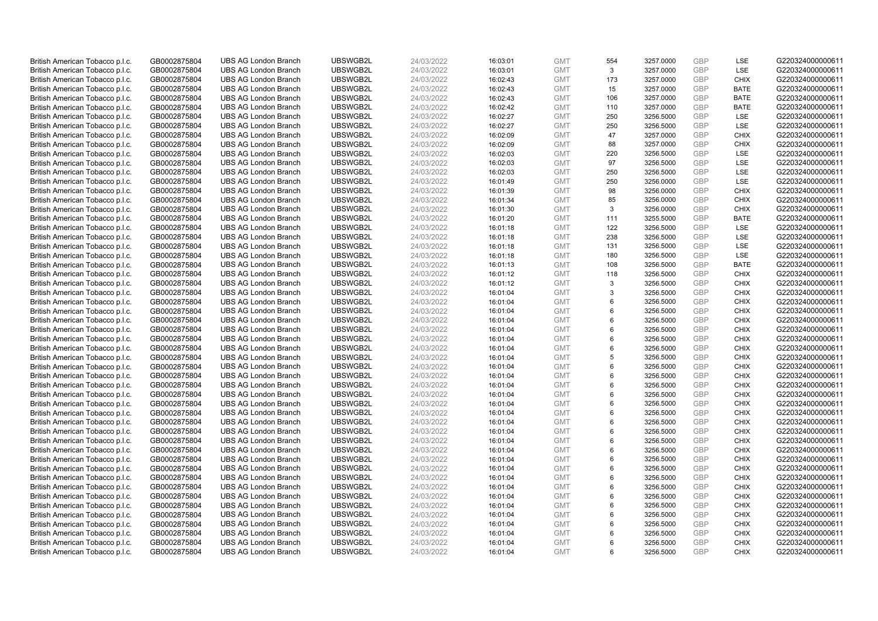| British American Tobacco p.l.c. | GB0002875804 | <b>UBS AG London Branch</b> | UBSWGB2L             | 24/03/2022 |          | <b>GMT</b> |          | 3257.0000              | GBP        | LSE                        | G220324000000611                     |
|---------------------------------|--------------|-----------------------------|----------------------|------------|----------|------------|----------|------------------------|------------|----------------------------|--------------------------------------|
|                                 |              |                             |                      |            | 16:03:01 |            | 554<br>3 |                        | GBP        | LSE                        |                                      |
| British American Tobacco p.l.c. | GB0002875804 | <b>UBS AG London Branch</b> | UBSWGB2L             | 24/03/2022 | 16:03:01 | <b>GMT</b> |          | 3257.0000              |            |                            | G220324000000611                     |
| British American Tobacco p.l.c. | GB0002875804 | <b>UBS AG London Branch</b> | UBSWGB2L             | 24/03/2022 | 16:02:43 | <b>GMT</b> | 173      | 3257.0000              | GBP        | <b>CHIX</b>                | G220324000000611                     |
| British American Tobacco p.l.c. | GB0002875804 | <b>UBS AG London Branch</b> | UBSWGB2L             | 24/03/2022 | 16:02:43 | <b>GMT</b> | 15       | 3257.0000              | GBP        | <b>BATE</b>                | G220324000000611                     |
| British American Tobacco p.l.c. | GB0002875804 | <b>UBS AG London Branch</b> | UBSWGB2L             | 24/03/2022 | 16:02:43 | <b>GMT</b> | 106      | 3257.0000              | GBP        | <b>BATE</b>                | G220324000000611                     |
| British American Tobacco p.l.c. | GB0002875804 | <b>UBS AG London Branch</b> | UBSWGB2L             | 24/03/2022 | 16:02:42 | <b>GMT</b> | 110      | 3257.0000              | GBP        | <b>BATE</b>                | G220324000000611                     |
| British American Tobacco p.l.c. | GB0002875804 | <b>UBS AG London Branch</b> | UBSWGB2L             | 24/03/2022 | 16:02:27 | <b>GMT</b> | 250      | 3256.5000              | GBP        | LSE                        | G220324000000611                     |
| British American Tobacco p.l.c. | GB0002875804 | <b>UBS AG London Branch</b> | UBSWGB2L             | 24/03/2022 | 16:02:27 | <b>GMT</b> | 250      | 3256.5000              | GBP        | LSE                        | G220324000000611                     |
| British American Tobacco p.l.c. | GB0002875804 | <b>UBS AG London Branch</b> | UBSWGB2L             | 24/03/2022 | 16:02:09 | <b>GMT</b> | 47       | 3257.0000              | GBP        | <b>CHIX</b>                | G220324000000611                     |
| British American Tobacco p.l.c. | GB0002875804 | <b>UBS AG London Branch</b> | UBSWGB2L             | 24/03/2022 | 16:02:09 | <b>GMT</b> | 88       | 3257.0000              | GBP        | <b>CHIX</b>                | G220324000000611                     |
| British American Tobacco p.l.c. | GB0002875804 | <b>UBS AG London Branch</b> | UBSWGB2L             | 24/03/2022 | 16:02:03 | <b>GMT</b> | 220      | 3256.5000              | GBP        | LSE                        | G220324000000611                     |
| British American Tobacco p.l.c. | GB0002875804 | <b>UBS AG London Branch</b> | UBSWGB2L             | 24/03/2022 | 16:02:03 | <b>GMT</b> | 97       | 3256.5000              | GBP        | LSE                        | G220324000000611                     |
| British American Tobacco p.l.c. | GB0002875804 | <b>UBS AG London Branch</b> | UBSWGB2L             | 24/03/2022 | 16:02:03 | <b>GMT</b> | 250      | 3256.5000              | GBP        | LSE                        | G220324000000611                     |
| British American Tobacco p.l.c. | GB0002875804 | <b>UBS AG London Branch</b> | UBSWGB2L             | 24/03/2022 | 16:01:49 | <b>GMT</b> | 250      | 3256.0000              | GBP        | LSE                        | G220324000000611                     |
| British American Tobacco p.l.c. | GB0002875804 | <b>UBS AG London Branch</b> | UBSWGB2L             | 24/03/2022 | 16:01:39 | <b>GMT</b> | 98       | 3256.0000              | GBP        | <b>CHIX</b>                | G220324000000611                     |
| British American Tobacco p.l.c. | GB0002875804 | <b>UBS AG London Branch</b> | UBSWGB2L             | 24/03/2022 | 16:01:34 | <b>GMT</b> | 85       | 3256.0000              | GBP        | <b>CHIX</b>                | G220324000000611                     |
| British American Tobacco p.l.c. | GB0002875804 | <b>UBS AG London Branch</b> | UBSWGB2L             | 24/03/2022 | 16:01:30 | <b>GMT</b> | 3        | 3256.0000              | GBP        | <b>CHIX</b>                | G220324000000611                     |
| British American Tobacco p.l.c. | GB0002875804 | <b>UBS AG London Branch</b> | UBSWGB2L             | 24/03/2022 | 16:01:20 | <b>GMT</b> | 111      | 3255.5000              | GBP        | <b>BATE</b>                | G220324000000611                     |
| British American Tobacco p.l.c. | GB0002875804 | <b>UBS AG London Branch</b> | UBSWGB2L             | 24/03/2022 | 16:01:18 | <b>GMT</b> | 122      | 3256.5000              | GBP        | <b>LSE</b>                 | G220324000000611                     |
| British American Tobacco p.l.c. | GB0002875804 | <b>UBS AG London Branch</b> | UBSWGB2L             | 24/03/2022 | 16:01:18 | <b>GMT</b> | 238      | 3256.5000              | GBP        | LSE                        | G220324000000611                     |
| British American Tobacco p.l.c. | GB0002875804 | <b>UBS AG London Branch</b> | UBSWGB2L             | 24/03/2022 | 16:01:18 | <b>GMT</b> | 131      | 3256.5000              | GBP        | LSE                        | G220324000000611                     |
| British American Tobacco p.l.c. | GB0002875804 | <b>UBS AG London Branch</b> | UBSWGB2L             | 24/03/2022 | 16:01:18 | <b>GMT</b> | 180      | 3256.5000              | GBP        | LSE                        | G220324000000611                     |
| British American Tobacco p.l.c. | GB0002875804 | <b>UBS AG London Branch</b> | UBSWGB2L             | 24/03/2022 | 16:01:13 | <b>GMT</b> | 108      | 3256.5000              | GBP        | <b>BATE</b>                | G220324000000611                     |
| British American Tobacco p.l.c. | GB0002875804 | <b>UBS AG London Branch</b> | UBSWGB2L             | 24/03/2022 | 16:01:12 | <b>GMT</b> | 118      | 3256.5000              | GBP        | <b>CHIX</b>                | G220324000000611                     |
| British American Tobacco p.l.c. | GB0002875804 | <b>UBS AG London Branch</b> | UBSWGB2L             | 24/03/2022 | 16:01:12 | <b>GMT</b> | 3        | 3256.5000              | GBP        | <b>CHIX</b>                | G220324000000611                     |
| British American Tobacco p.l.c. | GB0002875804 | <b>UBS AG London Branch</b> | UBSWGB2L             | 24/03/2022 | 16:01:04 | <b>GMT</b> | 3        | 3256.5000              | GBP        | <b>CHIX</b>                | G220324000000611                     |
| British American Tobacco p.l.c. | GB0002875804 | <b>UBS AG London Branch</b> | UBSWGB2L             | 24/03/2022 | 16:01:04 | <b>GMT</b> | 6        | 3256.5000              | GBP        | <b>CHIX</b>                | G220324000000611                     |
| British American Tobacco p.l.c. | GB0002875804 | <b>UBS AG London Branch</b> | UBSWGB2L             | 24/03/2022 | 16:01:04 | <b>GMT</b> | 6        | 3256.5000              | GBP        | <b>CHIX</b>                | G220324000000611                     |
| British American Tobacco p.l.c. | GB0002875804 | <b>UBS AG London Branch</b> | UBSWGB2L             | 24/03/2022 | 16:01:04 | <b>GMT</b> | 6        | 3256.5000              | GBP        | <b>CHIX</b>                | G220324000000611                     |
| British American Tobacco p.l.c. | GB0002875804 | <b>UBS AG London Branch</b> | UBSWGB2L             | 24/03/2022 | 16:01:04 | <b>GMT</b> | 6        | 3256.5000              | GBP        | <b>CHIX</b>                | G220324000000611                     |
| British American Tobacco p.l.c. | GB0002875804 | <b>UBS AG London Branch</b> | UBSWGB2L             | 24/03/2022 | 16:01:04 | <b>GMT</b> | 6        | 3256.5000              | GBP        | <b>CHIX</b>                | G220324000000611                     |
| British American Tobacco p.l.c. | GB0002875804 | <b>UBS AG London Branch</b> | UBSWGB2L             | 24/03/2022 | 16:01:04 | <b>GMT</b> | 6        | 3256.5000              | GBP        | <b>CHIX</b>                | G220324000000611                     |
| British American Tobacco p.l.c. | GB0002875804 | <b>UBS AG London Branch</b> | UBSWGB2L             | 24/03/2022 | 16:01:04 | <b>GMT</b> | 5        | 3256.5000              | GBP        | <b>CHIX</b>                | G220324000000611                     |
| British American Tobacco p.l.c. | GB0002875804 | <b>UBS AG London Branch</b> | UBSWGB2L             | 24/03/2022 | 16:01:04 | <b>GMT</b> | 6        | 3256.5000              | GBP        | <b>CHIX</b>                | G220324000000611                     |
| British American Tobacco p.l.c. | GB0002875804 | <b>UBS AG London Branch</b> | UBSWGB2L             | 24/03/2022 | 16:01:04 | <b>GMT</b> | 6        | 3256.5000              | GBP        | <b>CHIX</b>                | G220324000000611                     |
| British American Tobacco p.l.c. | GB0002875804 | <b>UBS AG London Branch</b> | UBSWGB2L             | 24/03/2022 | 16:01:04 | <b>GMT</b> | 6        | 3256.5000              | GBP        | <b>CHIX</b>                | G220324000000611                     |
| British American Tobacco p.l.c. | GB0002875804 | <b>UBS AG London Branch</b> | UBSWGB2L             | 24/03/2022 | 16:01:04 | <b>GMT</b> | 6        | 3256.5000              | GBP        | <b>CHIX</b>                | G220324000000611                     |
| British American Tobacco p.l.c. | GB0002875804 | <b>UBS AG London Branch</b> | UBSWGB2L             | 24/03/2022 | 16:01:04 | <b>GMT</b> | 6        | 3256.5000              | GBP        | <b>CHIX</b>                | G220324000000611                     |
| British American Tobacco p.l.c. | GB0002875804 | <b>UBS AG London Branch</b> | UBSWGB2L             | 24/03/2022 | 16:01:04 | <b>GMT</b> | 6        | 3256.5000              | GBP        | <b>CHIX</b>                | G220324000000611                     |
| British American Tobacco p.l.c. | GB0002875804 | <b>UBS AG London Branch</b> | UBSWGB2L             | 24/03/2022 | 16:01:04 | <b>GMT</b> | 6        | 3256.5000              | GBP        | <b>CHIX</b>                | G220324000000611                     |
| British American Tobacco p.l.c. | GB0002875804 | <b>UBS AG London Branch</b> | UBSWGB2L             | 24/03/2022 | 16:01:04 | <b>GMT</b> | 6        | 3256.5000              | GBP        | <b>CHIX</b>                | G220324000000611                     |
| British American Tobacco p.l.c. | GB0002875804 | <b>UBS AG London Branch</b> | UBSWGB2L             | 24/03/2022 | 16:01:04 | <b>GMT</b> | 6        | 3256.5000              | GBP        | <b>CHIX</b>                | G220324000000611                     |
| British American Tobacco p.l.c. | GB0002875804 | <b>UBS AG London Branch</b> | UBSWGB2L             | 24/03/2022 | 16:01:04 | <b>GMT</b> | 6        | 3256.5000              | GBP        | <b>CHIX</b>                | G220324000000611                     |
| British American Tobacco p.l.c. | GB0002875804 | <b>UBS AG London Branch</b> | UBSWGB2L             | 24/03/2022 | 16:01:04 | <b>GMT</b> | 6        | 3256.5000              | GBP        | <b>CHIX</b>                | G220324000000611                     |
| British American Tobacco p.l.c. | GB0002875804 | <b>UBS AG London Branch</b> | UBSWGB2L             | 24/03/2022 | 16:01:04 | <b>GMT</b> | 6        | 3256.5000              | GBP        | <b>CHIX</b>                | G220324000000611                     |
|                                 |              | <b>UBS AG London Branch</b> | UBSWGB2L             | 24/03/2022 |          | <b>GMT</b> | 6        |                        | GBP        |                            | G220324000000611                     |
| British American Tobacco p.l.c. | GB0002875804 |                             |                      |            | 16:01:04 | <b>GMT</b> | 6        | 3256.5000<br>3256.5000 |            | <b>CHIX</b><br><b>CHIX</b> |                                      |
| British American Tobacco p.l.c. | GB0002875804 | <b>UBS AG London Branch</b> | UBSWGB2L<br>UBSWGB2L | 24/03/2022 | 16:01:04 |            | 6        |                        | GBP<br>GBP |                            | G220324000000611<br>G220324000000611 |
| British American Tobacco p.l.c. | GB0002875804 | <b>UBS AG London Branch</b> |                      | 24/03/2022 | 16:01:04 | <b>GMT</b> |          | 3256.5000              | GBP        | <b>CHIX</b>                |                                      |
| British American Tobacco p.l.c. | GB0002875804 | <b>UBS AG London Branch</b> | UBSWGB2L             | 24/03/2022 | 16:01:04 | <b>GMT</b> | 6        | 3256.5000              |            | <b>CHIX</b>                | G220324000000611                     |
| British American Tobacco p.l.c. | GB0002875804 | <b>UBS AG London Branch</b> | UBSWGB2L             | 24/03/2022 | 16:01:04 | <b>GMT</b> | 6        | 3256.5000              | GBP        | <b>CHIX</b>                | G220324000000611                     |
| British American Tobacco p.l.c. | GB0002875804 | <b>UBS AG London Branch</b> | UBSWGB2L             | 24/03/2022 | 16:01:04 | <b>GMT</b> | 6        | 3256.5000              | GBP        | <b>CHIX</b>                | G220324000000611                     |
| British American Tobacco p.l.c. | GB0002875804 | <b>UBS AG London Branch</b> | UBSWGB2L             | 24/03/2022 | 16:01:04 | <b>GMT</b> | 6        | 3256.5000              | <b>GBP</b> | <b>CHIX</b>                | G220324000000611                     |
| British American Tobacco p.l.c. | GB0002875804 | <b>UBS AG London Branch</b> | UBSWGB2L             | 24/03/2022 | 16:01:04 | <b>GMT</b> | 6        | 3256.5000              | GBP        | <b>CHIX</b>                | G220324000000611                     |
| British American Tobacco p.l.c. | GB0002875804 | <b>UBS AG London Branch</b> | UBSWGB2L             | 24/03/2022 | 16:01:04 | <b>GMT</b> | 6        | 3256.5000              | GBP        | <b>CHIX</b>                | G220324000000611                     |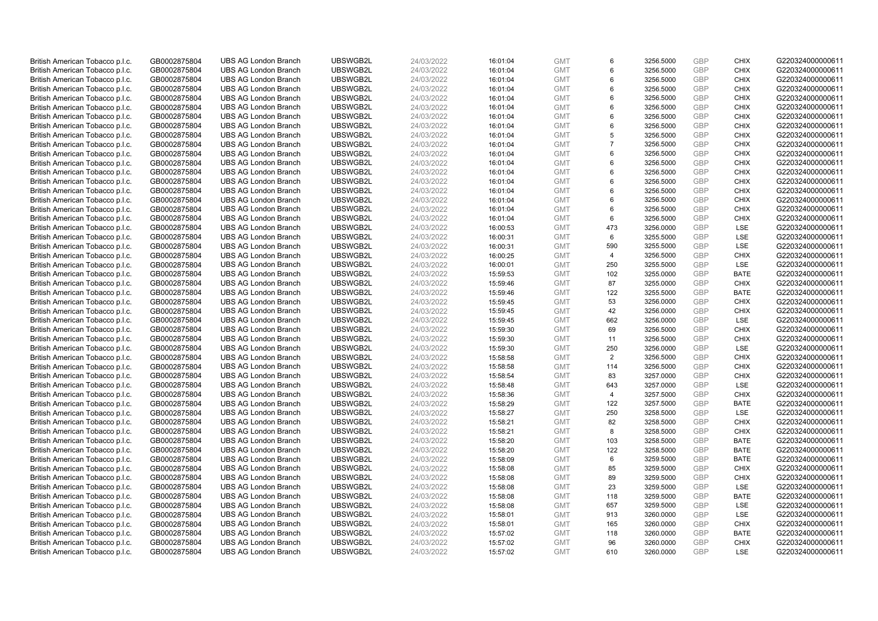| British American Tobacco p.l.c. | GB0002875804                 | <b>UBS AG London Branch</b> | UBSWGB2L             | 24/03/2022               | 16:01:04 | <b>GMT</b>               | 6              | 3256.5000              | GBP        | <b>CHIX</b>        | G220324000000611 |
|---------------------------------|------------------------------|-----------------------------|----------------------|--------------------------|----------|--------------------------|----------------|------------------------|------------|--------------------|------------------|
| British American Tobacco p.l.c. | GB0002875804                 | <b>UBS AG London Branch</b> | UBSWGB2L             | 24/03/2022               | 16:01:04 | <b>GMT</b>               | 6              | 3256.5000              | GBP        | <b>CHIX</b>        | G220324000000611 |
| British American Tobacco p.l.c. | GB0002875804                 | <b>UBS AG London Branch</b> | UBSWGB2L             | 24/03/2022               | 16:01:04 | <b>GMT</b>               | 6              | 3256.5000              | GBP        | <b>CHIX</b>        | G220324000000611 |
| British American Tobacco p.l.c. | GB0002875804                 | <b>UBS AG London Branch</b> | UBSWGB2L             | 24/03/2022               | 16:01:04 | <b>GMT</b>               | 6              | 3256.5000              | GBP        | <b>CHIX</b>        | G220324000000611 |
| British American Tobacco p.l.c. | GB0002875804                 | <b>UBS AG London Branch</b> | UBSWGB2L             | 24/03/2022               | 16:01:04 | <b>GMT</b>               | 6              | 3256.5000              | GBP        | <b>CHIX</b>        | G220324000000611 |
| British American Tobacco p.l.c. | GB0002875804                 | <b>UBS AG London Branch</b> | UBSWGB2L             | 24/03/2022               | 16:01:04 | <b>GMT</b>               | 6              | 3256.5000              | GBP        | <b>CHIX</b>        | G220324000000611 |
| British American Tobacco p.l.c. | GB0002875804                 | <b>UBS AG London Branch</b> | UBSWGB2L             | 24/03/2022               | 16:01:04 | <b>GMT</b>               | 6              | 3256.5000              | GBP        | <b>CHIX</b>        | G220324000000611 |
| British American Tobacco p.l.c. | GB0002875804                 | <b>UBS AG London Branch</b> | UBSWGB2L             | 24/03/2022               | 16:01:04 | <b>GMT</b>               | 6              | 3256.5000              | GBP        | <b>CHIX</b>        | G220324000000611 |
| British American Tobacco p.l.c. | GB0002875804                 | <b>UBS AG London Branch</b> | UBSWGB2L             | 24/03/2022               | 16:01:04 | <b>GMT</b>               | 5              | 3256.5000              | GBP        | <b>CHIX</b>        | G220324000000611 |
| British American Tobacco p.l.c. | GB0002875804                 | <b>UBS AG London Branch</b> | UBSWGB2L             | 24/03/2022               | 16:01:04 | <b>GMT</b>               | $\overline{7}$ | 3256.5000              | <b>GBP</b> | <b>CHIX</b>        | G220324000000611 |
| British American Tobacco p.l.c. | GB0002875804                 | <b>UBS AG London Branch</b> | UBSWGB2L             | 24/03/2022               | 16:01:04 | <b>GMT</b>               | 6              | 3256.5000              | GBP        | <b>CHIX</b>        | G220324000000611 |
| British American Tobacco p.l.c. | GB0002875804                 | <b>UBS AG London Branch</b> | UBSWGB2L             | 24/03/2022               | 16:01:04 | <b>GMT</b>               | 6              | 3256.5000              | GBP        | <b>CHIX</b>        | G220324000000611 |
| British American Tobacco p.l.c. | GB0002875804                 | <b>UBS AG London Branch</b> | UBSWGB2L             | 24/03/2022               | 16:01:04 | <b>GMT</b>               | 6              | 3256.5000              | GBP        | <b>CHIX</b>        | G220324000000611 |
| British American Tobacco p.l.c. | GB0002875804                 | <b>UBS AG London Branch</b> | UBSWGB2L             | 24/03/2022               | 16:01:04 | <b>GMT</b>               | 6              | 3256.5000              | GBP        | <b>CHIX</b>        | G220324000000611 |
| British American Tobacco p.l.c. | GB0002875804                 | <b>UBS AG London Branch</b> | UBSWGB2L             | 24/03/2022               | 16:01:04 | <b>GMT</b>               | 6              | 3256.5000              | GBP        | <b>CHIX</b>        | G220324000000611 |
| British American Tobacco p.l.c. | GB0002875804                 | <b>UBS AG London Branch</b> | UBSWGB2L             | 24/03/2022               | 16:01:04 | <b>GMT</b>               | 6              | 3256.5000              | GBP        | <b>CHIX</b>        | G220324000000611 |
| British American Tobacco p.l.c. | GB0002875804                 | <b>UBS AG London Branch</b> | UBSWGB2L             | 24/03/2022               | 16:01:04 | <b>GMT</b>               | 6              | 3256.5000              | GBP        | <b>CHIX</b>        | G220324000000611 |
| British American Tobacco p.l.c. | GB0002875804                 | <b>UBS AG London Branch</b> | UBSWGB2L             | 24/03/2022               | 16:01:04 | <b>GMT</b>               | 6              | 3256.5000              | GBP        | <b>CHIX</b>        | G220324000000611 |
| British American Tobacco p.l.c. | GB0002875804                 | <b>UBS AG London Branch</b> | UBSWGB2L             | 24/03/2022               | 16:00:53 | <b>GMT</b>               | 473            | 3256.0000              | GBP        | LSE                | G220324000000611 |
| British American Tobacco p.l.c. | GB0002875804                 | <b>UBS AG London Branch</b> | UBSWGB2L             | 24/03/2022               | 16:00:31 | <b>GMT</b>               | 6              | 3255.5000              | GBP        | LSE                | G220324000000611 |
| British American Tobacco p.l.c. | GB0002875804                 | <b>UBS AG London Branch</b> | UBSWGB2L             | 24/03/2022               | 16:00:31 | <b>GMT</b>               | 590            | 3255.5000              | GBP        | LSE                | G220324000000611 |
| British American Tobacco p.l.c. | GB0002875804                 | <b>UBS AG London Branch</b> | UBSWGB2L             | 24/03/2022               | 16:00:25 | <b>GMT</b>               | $\overline{4}$ | 3256.5000              | GBP        | <b>CHIX</b>        | G220324000000611 |
| British American Tobacco p.l.c. | GB0002875804                 | <b>UBS AG London Branch</b> | UBSWGB2L             | 24/03/2022               | 16:00:01 | <b>GMT</b>               | 250            | 3255.5000              | GBP        | <b>LSE</b>         | G220324000000611 |
| British American Tobacco p.l.c. | GB0002875804                 | <b>UBS AG London Branch</b> | UBSWGB2L             | 24/03/2022               | 15:59:53 | <b>GMT</b>               | 102            | 3255.0000              | GBP        | <b>BATE</b>        | G220324000000611 |
| British American Tobacco p.l.c. | GB0002875804                 | <b>UBS AG London Branch</b> | UBSWGB2L             | 24/03/2022               | 15:59:46 | <b>GMT</b>               | 87             | 3255.0000              | GBP        | <b>CHIX</b>        | G220324000000611 |
| British American Tobacco p.l.c. | GB0002875804                 | <b>UBS AG London Branch</b> | UBSWGB2L             | 24/03/2022               | 15:59:46 | <b>GMT</b>               | 122            | 3255.5000              | GBP        | <b>BATE</b>        | G220324000000611 |
| British American Tobacco p.l.c. | GB0002875804                 | <b>UBS AG London Branch</b> | UBSWGB2L             | 24/03/2022               | 15:59:45 | <b>GMT</b>               | 53             | 3256.0000              | GBP        | <b>CHIX</b>        | G220324000000611 |
| British American Tobacco p.l.c. | GB0002875804                 | <b>UBS AG London Branch</b> | UBSWGB2L             | 24/03/2022               | 15:59:45 | <b>GMT</b>               | 42             | 3256.0000              | GBP        | <b>CHIX</b>        | G220324000000611 |
| British American Tobacco p.l.c. | GB0002875804                 | <b>UBS AG London Branch</b> | UBSWGB2L             | 24/03/2022               | 15:59:45 | <b>GMT</b>               | 662            | 3256.0000              | GBP        | LSE                | G220324000000611 |
| British American Tobacco p.l.c. | GB0002875804                 | <b>UBS AG London Branch</b> | UBSWGB2L             | 24/03/2022               | 15:59:30 | <b>GMT</b>               | 69             | 3256.5000              | GBP        | <b>CHIX</b>        | G220324000000611 |
| British American Tobacco p.l.c. | GB0002875804                 | <b>UBS AG London Branch</b> | UBSWGB2L             | 24/03/2022               | 15:59:30 | <b>GMT</b>               | 11             | 3256.5000              | GBP        | <b>CHIX</b>        | G220324000000611 |
| British American Tobacco p.l.c. | GB0002875804                 | <b>UBS AG London Branch</b> | UBSWGB2L             | 24/03/2022               | 15:59:30 | <b>GMT</b>               | 250            | 3256.0000              | GBP        | <b>LSE</b>         | G220324000000611 |
| British American Tobacco p.l.c. | GB0002875804                 | <b>UBS AG London Branch</b> | UBSWGB2L             | 24/03/2022               | 15:58:58 | <b>GMT</b>               | 2              | 3256.5000              | GBP        | <b>CHIX</b>        | G220324000000611 |
| British American Tobacco p.l.c. | GB0002875804                 | <b>UBS AG London Branch</b> | UBSWGB2L             | 24/03/2022               | 15:58:58 | <b>GMT</b>               | 114            | 3256.5000              | GBP        | <b>CHIX</b>        | G220324000000611 |
| British American Tobacco p.l.c. | GB0002875804                 | <b>UBS AG London Branch</b> | UBSWGB2L             | 24/03/2022               | 15:58:54 | <b>GMT</b>               | 83             | 3257.0000              | GBP        | <b>CHIX</b>        | G220324000000611 |
| British American Tobacco p.l.c. | GB0002875804                 | <b>UBS AG London Branch</b> | UBSWGB2L             | 24/03/2022               | 15:58:48 | <b>GMT</b>               | 643            | 3257.0000              | GBP        | LSE                | G220324000000611 |
| British American Tobacco p.l.c. | GB0002875804                 | <b>UBS AG London Branch</b> | UBSWGB2L             | 24/03/2022               | 15:58:36 | <b>GMT</b>               | $\overline{4}$ | 3257.5000              | GBP        | <b>CHIX</b>        | G220324000000611 |
| British American Tobacco p.l.c. | GB0002875804                 | <b>UBS AG London Branch</b> | UBSWGB2L             | 24/03/2022               | 15:58:29 | <b>GMT</b>               | 122            | 3257.5000              | GBP        | <b>BATE</b>        | G220324000000611 |
| British American Tobacco p.l.c. | GB0002875804                 | <b>UBS AG London Branch</b> | UBSWGB2L             | 24/03/2022               | 15:58:27 | <b>GMT</b>               | 250            | 3258.5000              | GBP        | <b>LSE</b>         | G220324000000611 |
| British American Tobacco p.l.c. | GB0002875804                 | <b>UBS AG London Branch</b> | UBSWGB2L             | 24/03/2022               | 15:58:21 | <b>GMT</b>               | 82             | 3258.5000              | GBP        | <b>CHIX</b>        | G220324000000611 |
| British American Tobacco p.l.c. | GB0002875804                 | <b>UBS AG London Branch</b> | UBSWGB2L             | 24/03/2022               | 15:58:21 | <b>GMT</b>               | 8              | 3258.5000              | GBP        | <b>CHIX</b>        | G220324000000611 |
| British American Tobacco p.l.c. | GB0002875804                 | <b>UBS AG London Branch</b> | UBSWGB2L             | 24/03/2022               | 15:58:20 | <b>GMT</b>               | 103            | 3258.5000              | GBP        | <b>BATE</b>        | G220324000000611 |
| British American Tobacco p.l.c. | GB0002875804                 | <b>UBS AG London Branch</b> | UBSWGB2L             | 24/03/2022               | 15:58:20 | <b>GMT</b>               | 122            | 3258.5000              | GBP        | <b>BATE</b>        | G220324000000611 |
| British American Tobacco p.l.c. | GB0002875804                 | <b>UBS AG London Branch</b> | UBSWGB2L             | 24/03/2022               | 15:58:09 | <b>GMT</b>               | 6              | 3259.5000              | GBP        | <b>BATE</b>        | G220324000000611 |
| British American Tobacco p.l.c. | GB0002875804                 | <b>UBS AG London Branch</b> | UBSWGB2L             | 24/03/2022               | 15:58:08 | <b>GMT</b>               | 85             | 3259.5000              | GBP        | <b>CHIX</b>        | G220324000000611 |
| British American Tobacco p.l.c. | GB0002875804                 | <b>UBS AG London Branch</b> | UBSWGB2L             | 24/03/2022               | 15:58:08 | <b>GMT</b>               | 89             | 3259.5000              | GBP        | <b>CHIX</b>        | G220324000000611 |
| British American Tobacco p.l.c. | GB0002875804                 | <b>UBS AG London Branch</b> | UBSWGB2L             | 24/03/2022               | 15:58:08 | <b>GMT</b>               | 23             | 3259.5000              | GBP        | <b>LSE</b>         | G220324000000611 |
| British American Tobacco p.l.c. | GB0002875804                 | <b>UBS AG London Branch</b> | UBSWGB2L             | 24/03/2022               | 15:58:08 | <b>GMT</b>               | 118            | 3259.5000              | GBP        | <b>BATE</b>        | G220324000000611 |
| British American Tobacco p.l.c. | GB0002875804                 | <b>UBS AG London Branch</b> | UBSWGB2L             | 24/03/2022               | 15:58:08 | <b>GMT</b>               | 657            | 3259.5000              | GBP        | LSE                | G220324000000611 |
| British American Tobacco p.l.c. | GB0002875804                 | <b>UBS AG London Branch</b> | UBSWGB2L             | 24/03/2022               | 15:58:01 | <b>GMT</b>               | 913            | 3260.0000              | GBP        | LSE                | G220324000000611 |
| British American Tobacco p.l.c. | GB0002875804                 | <b>UBS AG London Branch</b> | UBSWGB2L             | 24/03/2022               | 15:58:01 | <b>GMT</b>               | 165            | 3260.0000              | GBP        | <b>CHIX</b>        | G220324000000611 |
| British American Tobacco p.l.c. | GB0002875804                 | <b>UBS AG London Branch</b> | UBSWGB2L             | 24/03/2022               | 15:57:02 | <b>GMT</b>               | 118            | 3260.0000              | GBP        | <b>BATE</b>        | G220324000000611 |
| British American Tobacco p.l.c. | GB0002875804<br>GB0002875804 | <b>UBS AG London Branch</b> | UBSWGB2L<br>UBSWGB2L | 24/03/2022<br>24/03/2022 | 15:57:02 | <b>GMT</b><br><b>GMT</b> | 96<br>610      | 3260.0000<br>3260.0000 | GBP<br>GBP | <b>CHIX</b><br>LSE | G220324000000611 |
| British American Tobacco p.l.c. |                              | <b>UBS AG London Branch</b> |                      |                          | 15:57:02 |                          |                |                        |            |                    | G220324000000611 |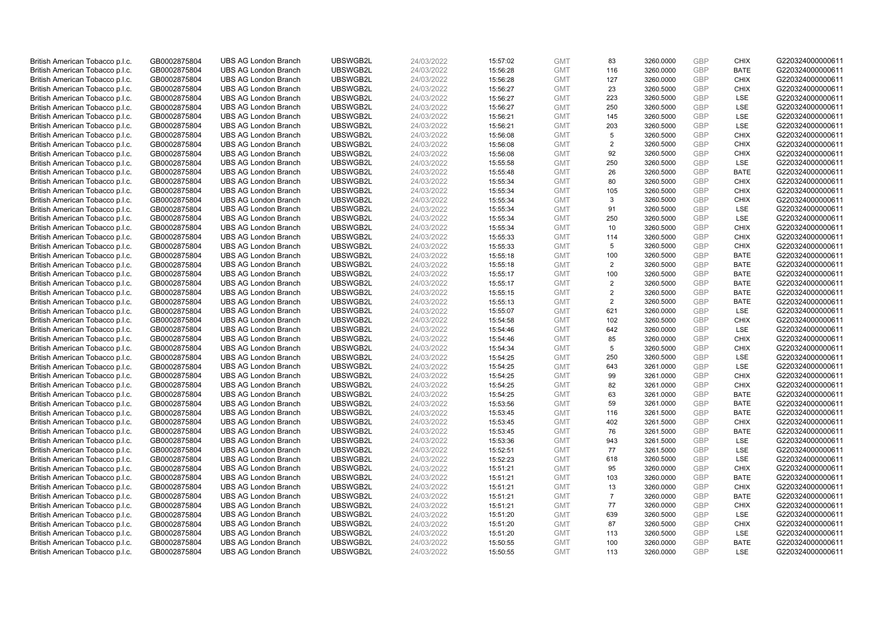| British American Tobacco p.l.c. | GB0002875804 | <b>UBS AG London Branch</b> | UBSWGB2L | 24/03/2022 | 15:57:02 | <b>GMT</b> | 83             | 3260.0000 | <b>GBP</b> | <b>CHIX</b> | G220324000000611 |
|---------------------------------|--------------|-----------------------------|----------|------------|----------|------------|----------------|-----------|------------|-------------|------------------|
| British American Tobacco p.l.c. | GB0002875804 | <b>UBS AG London Branch</b> | UBSWGB2L | 24/03/2022 | 15:56:28 | <b>GMT</b> | 116            | 3260.0000 | <b>GBP</b> | <b>BATE</b> | G220324000000611 |
| British American Tobacco p.l.c. | GB0002875804 | <b>UBS AG London Branch</b> | UBSWGB2L | 24/03/2022 | 15:56:28 | <b>GMT</b> | 127            | 3260.0000 | GBP        | <b>CHIX</b> | G220324000000611 |
| British American Tobacco p.l.c. | GB0002875804 | <b>UBS AG London Branch</b> | UBSWGB2L | 24/03/2022 | 15:56:27 | <b>GMT</b> | 23             | 3260.5000 | GBP        | <b>CHIX</b> | G220324000000611 |
| British American Tobacco p.l.c. | GB0002875804 | <b>UBS AG London Branch</b> | UBSWGB2L | 24/03/2022 | 15:56:27 | <b>GMT</b> | 223            | 3260.5000 | <b>GBP</b> | LSE         | G220324000000611 |
| British American Tobacco p.l.c. | GB0002875804 | <b>UBS AG London Branch</b> | UBSWGB2L | 24/03/2022 | 15:56:27 | <b>GMT</b> | 250            | 3260.5000 | GBP        | LSE         | G220324000000611 |
| British American Tobacco p.l.c. | GB0002875804 | <b>UBS AG London Branch</b> | UBSWGB2L | 24/03/2022 | 15:56:21 | <b>GMT</b> | 145            | 3260.5000 | GBP        | LSE         | G220324000000611 |
| British American Tobacco p.l.c. | GB0002875804 | <b>UBS AG London Branch</b> | UBSWGB2L | 24/03/2022 | 15:56:21 | <b>GMT</b> | 203            | 3260.5000 | <b>GBP</b> | LSE         | G220324000000611 |
| British American Tobacco p.l.c. | GB0002875804 | <b>UBS AG London Branch</b> | UBSWGB2L | 24/03/2022 | 15:56:08 | <b>GMT</b> | 5              | 3260.5000 | <b>GBP</b> | <b>CHIX</b> | G220324000000611 |
| British American Tobacco p.l.c. | GB0002875804 | <b>UBS AG London Branch</b> | UBSWGB2L | 24/03/2022 | 15:56:08 | <b>GMT</b> | $\overline{2}$ | 3260.5000 | <b>GBP</b> | <b>CHIX</b> | G220324000000611 |
| British American Tobacco p.l.c. | GB0002875804 | <b>UBS AG London Branch</b> | UBSWGB2L | 24/03/2022 | 15:56:08 | <b>GMT</b> | 92             | 3260.5000 | GBP        | <b>CHIX</b> | G220324000000611 |
| British American Tobacco p.l.c. | GB0002875804 | <b>UBS AG London Branch</b> | UBSWGB2L | 24/03/2022 | 15:55:58 | <b>GMT</b> | 250            | 3260.5000 | <b>GBP</b> | LSE         | G220324000000611 |
| British American Tobacco p.l.c. | GB0002875804 | <b>UBS AG London Branch</b> | UBSWGB2L | 24/03/2022 | 15:55:48 | <b>GMT</b> | 26             | 3260.5000 | <b>GBP</b> | <b>BATE</b> | G220324000000611 |
| British American Tobacco p.l.c. | GB0002875804 | <b>UBS AG London Branch</b> | UBSWGB2L | 24/03/2022 | 15:55:34 | <b>GMT</b> | 80             | 3260.5000 | <b>GBP</b> | <b>CHIX</b> | G220324000000611 |
| British American Tobacco p.l.c. | GB0002875804 | <b>UBS AG London Branch</b> | UBSWGB2L | 24/03/2022 | 15:55:34 | <b>GMT</b> | 105            | 3260.5000 | <b>GBP</b> | <b>CHIX</b> | G220324000000611 |
| British American Tobacco p.l.c. | GB0002875804 | <b>UBS AG London Branch</b> | UBSWGB2L | 24/03/2022 | 15:55:34 | <b>GMT</b> | 3              | 3260.5000 | GBP        | <b>CHIX</b> | G220324000000611 |
| British American Tobacco p.l.c. | GB0002875804 | <b>UBS AG London Branch</b> | UBSWGB2L | 24/03/2022 | 15:55:34 | <b>GMT</b> | 91             | 3260.5000 | <b>GBP</b> | <b>LSE</b>  | G220324000000611 |
| British American Tobacco p.l.c. | GB0002875804 | <b>UBS AG London Branch</b> | UBSWGB2L | 24/03/2022 | 15:55:34 | <b>GMT</b> | 250            | 3260.5000 | GBP        | LSE         | G220324000000611 |
| British American Tobacco p.l.c. | GB0002875804 | <b>UBS AG London Branch</b> | UBSWGB2L | 24/03/2022 | 15:55:34 | <b>GMT</b> | 10             | 3260.5000 | <b>GBP</b> | <b>CHIX</b> | G220324000000611 |
| British American Tobacco p.l.c. | GB0002875804 | <b>UBS AG London Branch</b> | UBSWGB2L | 24/03/2022 | 15:55:33 | <b>GMT</b> | 114            | 3260.5000 | GBP        | <b>CHIX</b> | G220324000000611 |
| British American Tobacco p.l.c. | GB0002875804 | <b>UBS AG London Branch</b> | UBSWGB2L | 24/03/2022 | 15:55:33 | <b>GMT</b> | 5              | 3260.5000 | <b>GBP</b> | <b>CHIX</b> | G220324000000611 |
| British American Tobacco p.l.c. | GB0002875804 | <b>UBS AG London Branch</b> | UBSWGB2L | 24/03/2022 | 15:55:18 | <b>GMT</b> | 100            | 3260.5000 | <b>GBP</b> | <b>BATE</b> | G220324000000611 |
| British American Tobacco p.l.c. | GB0002875804 | <b>UBS AG London Branch</b> | UBSWGB2L | 24/03/2022 | 15:55:18 | <b>GMT</b> | $\overline{2}$ | 3260.5000 | <b>GBP</b> | <b>BATE</b> | G220324000000611 |
| British American Tobacco p.l.c. | GB0002875804 | <b>UBS AG London Branch</b> | UBSWGB2L | 24/03/2022 | 15:55:17 | <b>GMT</b> | 100            | 3260.5000 | GBP        | <b>BATE</b> | G220324000000611 |
| British American Tobacco p.l.c. | GB0002875804 | <b>UBS AG London Branch</b> | UBSWGB2L | 24/03/2022 | 15:55:17 | <b>GMT</b> | $\overline{2}$ | 3260.5000 | <b>GBP</b> | <b>BATE</b> | G220324000000611 |
| British American Tobacco p.l.c. | GB0002875804 | <b>UBS AG London Branch</b> | UBSWGB2L | 24/03/2022 | 15:55:15 | <b>GMT</b> | $\overline{2}$ | 3260.5000 | <b>GBP</b> | <b>BATE</b> | G220324000000611 |
| British American Tobacco p.l.c. | GB0002875804 | <b>UBS AG London Branch</b> | UBSWGB2L | 24/03/2022 | 15:55:13 | <b>GMT</b> | 2              | 3260.5000 | <b>GBP</b> | <b>BATE</b> | G220324000000611 |
| British American Tobacco p.l.c. | GB0002875804 | <b>UBS AG London Branch</b> | UBSWGB2L | 24/03/2022 | 15:55:07 | <b>GMT</b> | 621            | 3260.0000 | <b>GBP</b> | LSE         | G220324000000611 |
| British American Tobacco p.l.c. | GB0002875804 | <b>UBS AG London Branch</b> | UBSWGB2L | 24/03/2022 | 15:54:58 | <b>GMT</b> | 102            | 3260.5000 | GBP        | <b>CHIX</b> | G220324000000611 |
| British American Tobacco p.l.c. | GB0002875804 | <b>UBS AG London Branch</b> | UBSWGB2L | 24/03/2022 | 15:54:46 | <b>GMT</b> | 642            | 3260.0000 | <b>GBP</b> | <b>LSE</b>  | G220324000000611 |
| British American Tobacco p.l.c. | GB0002875804 | <b>UBS AG London Branch</b> | UBSWGB2L | 24/03/2022 | 15:54:46 | <b>GMT</b> | 85             | 3260.0000 | GBP        | <b>CHIX</b> | G220324000000611 |
| British American Tobacco p.l.c. | GB0002875804 | <b>UBS AG London Branch</b> | UBSWGB2L | 24/03/2022 | 15:54:34 | <b>GMT</b> | 5              | 3260.5000 | GBP        | <b>CHIX</b> | G220324000000611 |
| British American Tobacco p.l.c. | GB0002875804 | <b>UBS AG London Branch</b> | UBSWGB2L | 24/03/2022 | 15:54:25 | <b>GMT</b> | 250            | 3260.5000 | GBP        | LSE         | G220324000000611 |
| British American Tobacco p.l.c. | GB0002875804 | <b>UBS AG London Branch</b> | UBSWGB2L | 24/03/2022 | 15:54:25 | <b>GMT</b> | 643            | 3261.0000 | GBP        | LSE         | G220324000000611 |
| British American Tobacco p.l.c. | GB0002875804 | <b>UBS AG London Branch</b> | UBSWGB2L | 24/03/2022 | 15:54:25 | <b>GMT</b> | 99             | 3261.0000 | <b>GBP</b> | <b>CHIX</b> | G220324000000611 |
| British American Tobacco p.l.c. | GB0002875804 | <b>UBS AG London Branch</b> | UBSWGB2L | 24/03/2022 | 15:54:25 | <b>GMT</b> | 82             | 3261.0000 | <b>GBP</b> | <b>CHIX</b> | G220324000000611 |
| British American Tobacco p.l.c. | GB0002875804 | <b>UBS AG London Branch</b> | UBSWGB2L | 24/03/2022 | 15:54:25 | <b>GMT</b> | 63             | 3261.0000 | GBP        | <b>BATE</b> | G220324000000611 |
| British American Tobacco p.l.c. | GB0002875804 | <b>UBS AG London Branch</b> | UBSWGB2L | 24/03/2022 | 15:53:56 | <b>GMT</b> | 59             | 3261.0000 | <b>GBP</b> | <b>BATE</b> | G220324000000611 |
| British American Tobacco p.l.c. | GB0002875804 | <b>UBS AG London Branch</b> | UBSWGB2L | 24/03/2022 | 15:53:45 | <b>GMT</b> | 116            | 3261.5000 | <b>GBP</b> | <b>BATE</b> | G220324000000611 |
| British American Tobacco p.l.c. | GB0002875804 | <b>UBS AG London Branch</b> | UBSWGB2L | 24/03/2022 | 15:53:45 | <b>GMT</b> | 402            | 3261.5000 | <b>GBP</b> | <b>CHIX</b> | G220324000000611 |
| British American Tobacco p.l.c. | GB0002875804 | <b>UBS AG London Branch</b> | UBSWGB2L | 24/03/2022 | 15:53:45 | <b>GMT</b> | 76             | 3261.5000 | <b>GBP</b> | <b>BATE</b> | G220324000000611 |
| British American Tobacco p.l.c. | GB0002875804 | <b>UBS AG London Branch</b> | UBSWGB2L | 24/03/2022 | 15:53:36 | <b>GMT</b> | 943            | 3261.5000 | GBP        | LSE         | G220324000000611 |
| British American Tobacco p.l.c. | GB0002875804 | <b>UBS AG London Branch</b> | UBSWGB2L | 24/03/2022 | 15:52:51 | <b>GMT</b> | 77             | 3261.5000 | <b>GBP</b> | LSE         | G220324000000611 |
| British American Tobacco p.l.c. | GB0002875804 | <b>UBS AG London Branch</b> | UBSWGB2L | 24/03/2022 | 15:52:23 | <b>GMT</b> | 618            | 3260.5000 | GBP        | LSE         | G220324000000611 |
| British American Tobacco p.l.c. | GB0002875804 | <b>UBS AG London Branch</b> | UBSWGB2L | 24/03/2022 | 15:51:21 | <b>GMT</b> | 95             | 3260.0000 | GBP        | <b>CHIX</b> | G220324000000611 |
| British American Tobacco p.l.c. | GB0002875804 | <b>UBS AG London Branch</b> | UBSWGB2L | 24/03/2022 | 15:51:21 | <b>GMT</b> | 103            | 3260.0000 | GBP        | <b>BATE</b> | G220324000000611 |
| British American Tobacco p.l.c. | GB0002875804 | <b>UBS AG London Branch</b> | UBSWGB2L | 24/03/2022 | 15:51:21 | <b>GMT</b> | 13             | 3260.0000 | GBP        | <b>CHIX</b> | G220324000000611 |
| British American Tobacco p.l.c. | GB0002875804 | <b>UBS AG London Branch</b> | UBSWGB2L | 24/03/2022 | 15:51:21 | <b>GMT</b> | $\overline{7}$ | 3260.0000 | <b>GBP</b> | <b>BATE</b> | G220324000000611 |
| British American Tobacco p.l.c. | GB0002875804 | <b>UBS AG London Branch</b> | UBSWGB2L | 24/03/2022 | 15:51:21 | <b>GMT</b> | 77             | 3260.0000 | GBP        | <b>CHIX</b> | G220324000000611 |
| British American Tobacco p.l.c. | GB0002875804 | <b>UBS AG London Branch</b> | UBSWGB2L | 24/03/2022 | 15:51:20 | <b>GMT</b> | 639            | 3260.5000 | GBP        | <b>LSE</b>  | G220324000000611 |
| British American Tobacco p.l.c. | GB0002875804 | <b>UBS AG London Branch</b> | UBSWGB2L | 24/03/2022 | 15:51:20 | <b>GMT</b> | 87             | 3260.5000 | <b>GBP</b> | <b>CHIX</b> | G220324000000611 |
| British American Tobacco p.l.c. | GB0002875804 | <b>UBS AG London Branch</b> | UBSWGB2L | 24/03/2022 | 15:51:20 | <b>GMT</b> | 113            | 3260.5000 | GBP        | LSE         | G220324000000611 |
| British American Tobacco p.l.c. | GB0002875804 | <b>UBS AG London Branch</b> | UBSWGB2L | 24/03/2022 | 15:50:55 | <b>GMT</b> | 100            | 3260.0000 | GBP        | <b>BATE</b> | G220324000000611 |
| British American Tobacco p.l.c. | GB0002875804 | <b>UBS AG London Branch</b> | UBSWGB2L | 24/03/2022 | 15:50:55 | <b>GMT</b> | 113            | 3260.0000 | GBP        | <b>LSE</b>  | G220324000000611 |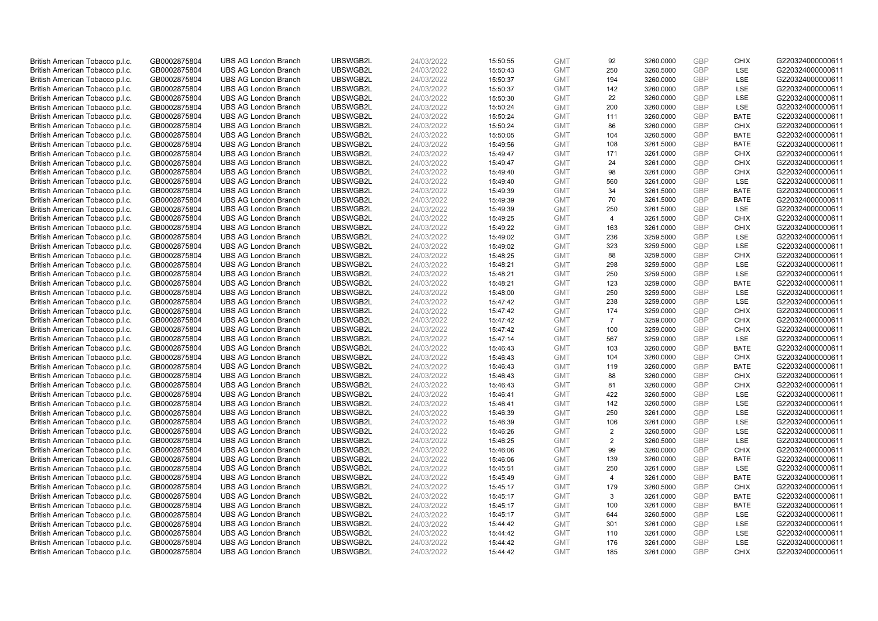| British American Tobacco p.l.c. | GB0002875804 | <b>UBS AG London Branch</b>                                | UBSWGB2L             | 24/03/2022 | 15:50:55 | <b>GMT</b>               | 92             | 3260.0000 | GBP               | <b>CHIX</b>       | G220324000000611                     |
|---------------------------------|--------------|------------------------------------------------------------|----------------------|------------|----------|--------------------------|----------------|-----------|-------------------|-------------------|--------------------------------------|
| British American Tobacco p.l.c. | GB0002875804 | <b>UBS AG London Branch</b>                                | UBSWGB2L             | 24/03/2022 | 15:50:43 | <b>GMT</b>               | 250            | 3260.5000 | GBP               | LSE               | G220324000000611                     |
| British American Tobacco p.l.c. | GB0002875804 | <b>UBS AG London Branch</b>                                | UBSWGB2L             | 24/03/2022 | 15:50:37 | <b>GMT</b>               | 194            | 3260.0000 | GBP               | LSE               | G220324000000611                     |
| British American Tobacco p.l.c. | GB0002875804 | <b>UBS AG London Branch</b>                                | UBSWGB2L             | 24/03/2022 | 15:50:37 | <b>GMT</b>               | 142            | 3260.0000 | GBP               | LSE               | G220324000000611                     |
| British American Tobacco p.l.c. | GB0002875804 | <b>UBS AG London Branch</b>                                | UBSWGB2L             | 24/03/2022 | 15:50:30 | <b>GMT</b>               | 22             | 3260.0000 | GBP               | LSE               | G220324000000611                     |
| British American Tobacco p.l.c. | GB0002875804 | <b>UBS AG London Branch</b>                                | UBSWGB2L             | 24/03/2022 | 15:50:24 | <b>GMT</b>               | 200            | 3260.0000 | GBP               | LSE               | G220324000000611                     |
| British American Tobacco p.l.c. | GB0002875804 | <b>UBS AG London Branch</b>                                | UBSWGB2L             | 24/03/2022 | 15:50:24 | <b>GMT</b>               | 111            | 3260.0000 | GBP               | <b>BATE</b>       | G220324000000611                     |
| British American Tobacco p.l.c. | GB0002875804 | <b>UBS AG London Branch</b>                                | UBSWGB2L             | 24/03/2022 | 15:50:24 | <b>GMT</b>               | 86             | 3260.0000 | GBP               | <b>CHIX</b>       | G220324000000611                     |
| British American Tobacco p.l.c. | GB0002875804 | <b>UBS AG London Branch</b>                                | UBSWGB2L             | 24/03/2022 | 15:50:05 | <b>GMT</b>               | 104            | 3260.5000 | GBP               | <b>BATE</b>       | G220324000000611                     |
| British American Tobacco p.l.c. | GB0002875804 | <b>UBS AG London Branch</b>                                | UBSWGB2L             | 24/03/2022 | 15:49:56 | <b>GMT</b>               | 108            | 3261.5000 | GBP               | <b>BATE</b>       | G220324000000611                     |
| British American Tobacco p.l.c. | GB0002875804 | <b>UBS AG London Branch</b>                                | UBSWGB2L             | 24/03/2022 | 15:49:47 | <b>GMT</b>               | 171            | 3261.0000 | GBP               | <b>CHIX</b>       | G220324000000611                     |
| British American Tobacco p.l.c. | GB0002875804 | <b>UBS AG London Branch</b>                                | UBSWGB2L             | 24/03/2022 | 15:49:47 | <b>GMT</b>               | 24             | 3261.0000 | GBP               | <b>CHIX</b>       | G220324000000611                     |
| British American Tobacco p.l.c. | GB0002875804 | <b>UBS AG London Branch</b>                                | UBSWGB2L             | 24/03/2022 | 15:49:40 | <b>GMT</b>               | 98             | 3261.0000 | GBP               | <b>CHIX</b>       | G220324000000611                     |
| British American Tobacco p.l.c. | GB0002875804 | <b>UBS AG London Branch</b>                                | UBSWGB2L             | 24/03/2022 | 15:49:40 | <b>GMT</b>               | 560            | 3261.0000 | GBP               | LSE               | G220324000000611                     |
| British American Tobacco p.l.c. | GB0002875804 | <b>UBS AG London Branch</b>                                | UBSWGB2L             | 24/03/2022 | 15:49:39 | <b>GMT</b>               | 34             | 3261.5000 | GBP               | <b>BATE</b>       | G220324000000611                     |
| British American Tobacco p.l.c. | GB0002875804 | <b>UBS AG London Branch</b>                                | UBSWGB2L             | 24/03/2022 | 15:49:39 | <b>GMT</b>               | 70             | 3261.5000 | GBP               | <b>BATE</b>       | G220324000000611                     |
| British American Tobacco p.l.c. | GB0002875804 | <b>UBS AG London Branch</b>                                | UBSWGB2L             | 24/03/2022 | 15:49:39 | <b>GMT</b>               | 250            | 3261.5000 | GBP               | LSE               | G220324000000611                     |
| British American Tobacco p.l.c. | GB0002875804 | <b>UBS AG London Branch</b>                                | UBSWGB2L             | 24/03/2022 | 15:49:25 | <b>GMT</b>               | $\overline{4}$ | 3261.5000 | GBP               | <b>CHIX</b>       | G220324000000611                     |
| British American Tobacco p.l.c. | GB0002875804 | <b>UBS AG London Branch</b>                                | UBSWGB2L             | 24/03/2022 | 15:49:22 | <b>GMT</b>               | 163            | 3261.0000 | GBP               | <b>CHIX</b>       | G220324000000611                     |
| British American Tobacco p.l.c. | GB0002875804 | <b>UBS AG London Branch</b>                                | UBSWGB2L             | 24/03/2022 | 15:49:02 | <b>GMT</b>               | 236            | 3259.5000 | GBP               | LSE               | G220324000000611                     |
| British American Tobacco p.l.c. | GB0002875804 | <b>UBS AG London Branch</b>                                | UBSWGB2L             | 24/03/2022 | 15:49:02 | <b>GMT</b>               | 323            | 3259.5000 | GBP               | LSE               | G220324000000611                     |
| British American Tobacco p.l.c. | GB0002875804 | <b>UBS AG London Branch</b>                                | UBSWGB2L             | 24/03/2022 | 15:48:25 | <b>GMT</b>               | 88             | 3259.5000 | GBP               | <b>CHIX</b>       | G220324000000611                     |
| British American Tobacco p.l.c. | GB0002875804 | <b>UBS AG London Branch</b>                                | UBSWGB2L             | 24/03/2022 | 15:48:21 | <b>GMT</b>               | 298            | 3259.5000 | GBP               | LSE               | G220324000000611                     |
| British American Tobacco p.l.c. | GB0002875804 | <b>UBS AG London Branch</b>                                | UBSWGB2L             | 24/03/2022 | 15:48:21 | <b>GMT</b>               | 250            | 3259.5000 | GBP               | LSE               | G220324000000611                     |
| British American Tobacco p.l.c. | GB0002875804 | <b>UBS AG London Branch</b>                                | UBSWGB2L             | 24/03/2022 | 15:48:21 | <b>GMT</b>               | 123            | 3259.0000 | GBP               | <b>BATE</b>       | G220324000000611                     |
| British American Tobacco p.l.c. | GB0002875804 | <b>UBS AG London Branch</b>                                | UBSWGB2L             | 24/03/2022 | 15:48:00 | <b>GMT</b>               | 250            | 3259.5000 | GBP               | LSE               | G220324000000611                     |
| British American Tobacco p.l.c. | GB0002875804 | <b>UBS AG London Branch</b>                                | UBSWGB2L             | 24/03/2022 | 15:47:42 | <b>GMT</b>               | 238            | 3259.0000 | GBP               | LSE               | G220324000000611                     |
| British American Tobacco p.l.c. | GB0002875804 | <b>UBS AG London Branch</b>                                | UBSWGB2L             | 24/03/2022 | 15:47:42 | <b>GMT</b>               | 174            | 3259.0000 | <b>GBP</b>        | <b>CHIX</b>       | G220324000000611                     |
| British American Tobacco p.l.c. | GB0002875804 | <b>UBS AG London Branch</b>                                | UBSWGB2L             | 24/03/2022 | 15:47:42 | <b>GMT</b>               | $\overline{7}$ | 3259.0000 | GBP               | <b>CHIX</b>       | G220324000000611                     |
| British American Tobacco p.l.c. | GB0002875804 | <b>UBS AG London Branch</b>                                | UBSWGB2L             | 24/03/2022 | 15:47:42 | <b>GMT</b>               | 100            | 3259.0000 | GBP               | <b>CHIX</b>       | G220324000000611                     |
| British American Tobacco p.l.c. | GB0002875804 | <b>UBS AG London Branch</b>                                | UBSWGB2L             | 24/03/2022 | 15:47:14 | <b>GMT</b>               | 567            | 3259.0000 | GBP               | LSE               | G220324000000611                     |
| British American Tobacco p.l.c. | GB0002875804 | <b>UBS AG London Branch</b>                                | UBSWGB2L             | 24/03/2022 | 15:46:43 | <b>GMT</b>               | 103            | 3260.0000 | GBP               | <b>BATE</b>       | G220324000000611                     |
| British American Tobacco p.l.c. | GB0002875804 | <b>UBS AG London Branch</b>                                | UBSWGB2L             | 24/03/2022 | 15:46:43 | <b>GMT</b>               | 104            | 3260.0000 | GBP               | <b>CHIX</b>       | G220324000000611                     |
| British American Tobacco p.l.c. | GB0002875804 | <b>UBS AG London Branch</b>                                | UBSWGB2L             | 24/03/2022 | 15:46:43 | <b>GMT</b>               | 119            | 3260.0000 | GBP               | <b>BATE</b>       | G220324000000611                     |
| British American Tobacco p.l.c. | GB0002875804 | <b>UBS AG London Branch</b>                                | UBSWGB2L             | 24/03/2022 | 15:46:43 | <b>GMT</b>               | 88             | 3260.0000 | GBP               | <b>CHIX</b>       | G220324000000611                     |
| British American Tobacco p.l.c. | GB0002875804 | <b>UBS AG London Branch</b>                                | UBSWGB2L             | 24/03/2022 | 15:46:43 | <b>GMT</b>               | 81             | 3260.0000 | GBP               | <b>CHIX</b>       | G220324000000611                     |
| British American Tobacco p.l.c. | GB0002875804 | <b>UBS AG London Branch</b>                                | UBSWGB2L             | 24/03/2022 | 15:46:41 | <b>GMT</b>               | 422            | 3260.5000 | GBP               | LSE               | G220324000000611                     |
| British American Tobacco p.l.c. | GB0002875804 | <b>UBS AG London Branch</b>                                | UBSWGB2L             | 24/03/2022 | 15:46:41 | <b>GMT</b>               | 142            | 3260.5000 | GBP               | LSE               | G220324000000611                     |
| British American Tobacco p.l.c. | GB0002875804 | <b>UBS AG London Branch</b>                                | UBSWGB2L             | 24/03/2022 | 15:46:39 | <b>GMT</b>               | 250            | 3261.0000 | GBP               | LSE               | G220324000000611                     |
| British American Tobacco p.l.c. | GB0002875804 | <b>UBS AG London Branch</b>                                | UBSWGB2L             | 24/03/2022 | 15:46:39 | <b>GMT</b>               | 106            | 3261.0000 | GBP               | LSE               | G220324000000611                     |
| British American Tobacco p.l.c. | GB0002875804 | <b>UBS AG London Branch</b>                                | UBSWGB2L             | 24/03/2022 | 15:46:26 | <b>GMT</b>               | 2              | 3260.5000 | <b>GBP</b>        | LSE               | G220324000000611                     |
| British American Tobacco p.l.c. | GB0002875804 | <b>UBS AG London Branch</b>                                | UBSWGB2L             | 24/03/2022 | 15:46:25 | <b>GMT</b>               | $\overline{2}$ | 3260.5000 | GBP               | LSE               | G220324000000611                     |
| British American Tobacco p.l.c. | GB0002875804 | <b>UBS AG London Branch</b>                                | UBSWGB2L             | 24/03/2022 | 15:46:06 | <b>GMT</b>               | 99             | 3260.0000 | GBP               | <b>CHIX</b>       | G220324000000611                     |
| British American Tobacco p.l.c. | GB0002875804 | <b>UBS AG London Branch</b>                                | UBSWGB2L             | 24/03/2022 | 15:46:06 | <b>GMT</b>               | 139            | 3260.0000 | GBP               | <b>BATE</b>       | G220324000000611                     |
| British American Tobacco p.l.c. | GB0002875804 | <b>UBS AG London Branch</b>                                | UBSWGB2L             | 24/03/2022 | 15:45:51 | <b>GMT</b>               | 250            | 3261.0000 | GBP               | LSE               | G220324000000611                     |
| British American Tobacco p.l.c. | GB0002875804 | <b>UBS AG London Branch</b>                                | UBSWGB2L             | 24/03/2022 | 15:45:49 | <b>GMT</b>               | $\overline{4}$ | 3261.0000 | GBP               | <b>BATE</b>       | G220324000000611                     |
| British American Tobacco p.l.c. | GB0002875804 | <b>UBS AG London Branch</b>                                | UBSWGB2L             | 24/03/2022 | 15:45:17 | <b>GMT</b>               | 179            | 3260.5000 | GBP               | <b>CHIX</b>       | G220324000000611                     |
| British American Tobacco p.l.c. | GB0002875804 | <b>UBS AG London Branch</b>                                | UBSWGB2L             | 24/03/2022 | 15:45:17 | <b>GMT</b>               | 3              | 3261.0000 | GBP               | <b>BATE</b>       | G220324000000611                     |
| British American Tobacco p.l.c. | GB0002875804 | <b>UBS AG London Branch</b>                                | UBSWGB2L             | 24/03/2022 |          | <b>GMT</b>               | 100            | 3261.0000 | GBP               | <b>BATE</b>       | G220324000000611                     |
| British American Tobacco p.l.c. |              | <b>UBS AG London Branch</b>                                | UBSWGB2L             | 24/03/2022 | 15:45:17 | <b>GMT</b>               | 644            |           | GBP               | <b>LSE</b>        | G220324000000611                     |
|                                 | GB0002875804 |                                                            |                      |            | 15:45:17 |                          |                | 3260.5000 |                   |                   |                                      |
| British American Tobacco p.l.c. | GB0002875804 | <b>UBS AG London Branch</b><br><b>UBS AG London Branch</b> | UBSWGB2L<br>UBSWGB2L | 24/03/2022 | 15:44:42 | <b>GMT</b>               | 301<br>110     | 3261.0000 | GBP<br><b>GBP</b> | LSE<br><b>LSE</b> | G220324000000611<br>G220324000000611 |
| British American Tobacco p.l.c. | GB0002875804 |                                                            |                      | 24/03/2022 | 15:44:42 | <b>GMT</b>               |                | 3261.0000 | GBP               | LSE               | G220324000000611                     |
| British American Tobacco p.l.c. | GB0002875804 | <b>UBS AG London Branch</b>                                | UBSWGB2L             | 24/03/2022 | 15:44:42 | <b>GMT</b><br><b>GMT</b> | 176<br>185     | 3261.0000 | GBP               | <b>CHIX</b>       |                                      |
| British American Tobacco p.l.c. | GB0002875804 | <b>UBS AG London Branch</b>                                | UBSWGB2L             | 24/03/2022 | 15:44:42 |                          |                | 3261.0000 |                   |                   | G220324000000611                     |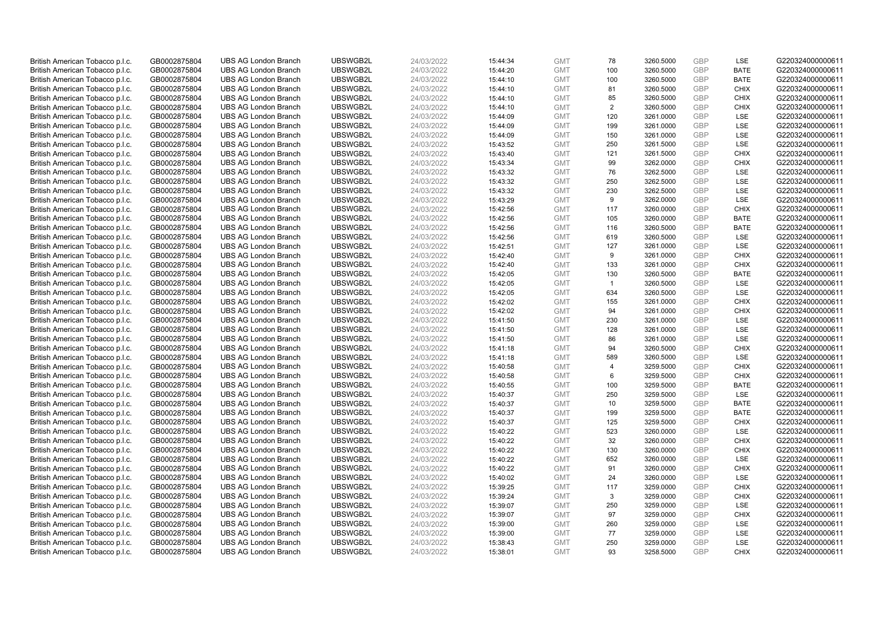| British American Tobacco p.l.c. | GB0002875804 | <b>UBS AG London Branch</b> | UBSWGB2L | 24/03/2022 | 15:44:34 | <b>GMT</b> | 78             | 3260.5000 | GBP        | LSE         | G220324000000611 |
|---------------------------------|--------------|-----------------------------|----------|------------|----------|------------|----------------|-----------|------------|-------------|------------------|
| British American Tobacco p.l.c. | GB0002875804 | <b>UBS AG London Branch</b> | UBSWGB2L | 24/03/2022 | 15:44:20 | <b>GMT</b> | 100            | 3260.5000 | GBP        | <b>BATE</b> | G220324000000611 |
| British American Tobacco p.l.c. | GB0002875804 | <b>UBS AG London Branch</b> | UBSWGB2L | 24/03/2022 | 15:44:10 | <b>GMT</b> | 100            | 3260.5000 | GBP        | <b>BATE</b> | G220324000000611 |
| British American Tobacco p.l.c. | GB0002875804 | <b>UBS AG London Branch</b> | UBSWGB2L | 24/03/2022 | 15:44:10 | <b>GMT</b> | 81             | 3260.5000 | GBP        | <b>CHIX</b> | G220324000000611 |
| British American Tobacco p.l.c. | GB0002875804 | <b>UBS AG London Branch</b> | UBSWGB2L | 24/03/2022 | 15:44:10 | <b>GMT</b> | 85             | 3260.5000 | GBP        | <b>CHIX</b> | G220324000000611 |
| British American Tobacco p.l.c. | GB0002875804 | <b>UBS AG London Branch</b> | UBSWGB2L | 24/03/2022 | 15:44:10 | <b>GMT</b> | $\overline{2}$ | 3260.5000 | GBP        | <b>CHIX</b> | G220324000000611 |
| British American Tobacco p.l.c. | GB0002875804 | <b>UBS AG London Branch</b> | UBSWGB2L | 24/03/2022 | 15:44:09 | <b>GMT</b> | 120            | 3261.0000 | GBP        | <b>LSE</b>  | G220324000000611 |
| British American Tobacco p.l.c. | GB0002875804 | <b>UBS AG London Branch</b> | UBSWGB2L | 24/03/2022 | 15:44:09 | <b>GMT</b> | 199            | 3261.0000 | GBP        | LSE         | G220324000000611 |
| British American Tobacco p.l.c. | GB0002875804 | <b>UBS AG London Branch</b> | UBSWGB2L | 24/03/2022 | 15:44:09 | <b>GMT</b> | 150            | 3261.0000 | GBP        | LSE         | G220324000000611 |
| British American Tobacco p.l.c. | GB0002875804 | <b>UBS AG London Branch</b> | UBSWGB2L | 24/03/2022 | 15:43:52 | <b>GMT</b> | 250            | 3261.5000 | GBP        | LSE         | G220324000000611 |
| British American Tobacco p.l.c. | GB0002875804 | <b>UBS AG London Branch</b> | UBSWGB2L | 24/03/2022 | 15:43:40 | <b>GMT</b> | 121            | 3261.5000 | GBP        | <b>CHIX</b> | G220324000000611 |
| British American Tobacco p.l.c. | GB0002875804 | <b>UBS AG London Branch</b> | UBSWGB2L | 24/03/2022 | 15:43:34 | <b>GMT</b> | 99             | 3262.0000 | GBP        | <b>CHIX</b> | G220324000000611 |
| British American Tobacco p.l.c. | GB0002875804 | <b>UBS AG London Branch</b> | UBSWGB2L | 24/03/2022 | 15:43:32 | <b>GMT</b> | 76             | 3262.5000 | GBP        | LSE         | G220324000000611 |
| British American Tobacco p.l.c. | GB0002875804 | <b>UBS AG London Branch</b> | UBSWGB2L | 24/03/2022 | 15:43:32 | <b>GMT</b> | 250            | 3262.5000 | GBP        | LSE         | G220324000000611 |
| British American Tobacco p.l.c. | GB0002875804 | <b>UBS AG London Branch</b> | UBSWGB2L | 24/03/2022 | 15:43:32 | <b>GMT</b> | 230            | 3262.5000 | GBP        | <b>LSE</b>  | G220324000000611 |
|                                 |              |                             | UBSWGB2L |            |          |            |                |           |            | LSE         | G220324000000611 |
| British American Tobacco p.l.c. | GB0002875804 | <b>UBS AG London Branch</b> |          | 24/03/2022 | 15:43:29 | <b>GMT</b> | 9              | 3262.0000 | GBP        |             |                  |
| British American Tobacco p.l.c. | GB0002875804 | <b>UBS AG London Branch</b> | UBSWGB2L | 24/03/2022 | 15:42:56 | <b>GMT</b> | 117            | 3260.0000 | GBP        | <b>CHIX</b> | G220324000000611 |
| British American Tobacco p.l.c. | GB0002875804 | <b>UBS AG London Branch</b> | UBSWGB2L | 24/03/2022 | 15:42:56 | <b>GMT</b> | 105            | 3260.0000 | GBP        | <b>BATE</b> | G220324000000611 |
| British American Tobacco p.l.c. | GB0002875804 | <b>UBS AG London Branch</b> | UBSWGB2L | 24/03/2022 | 15:42:56 | <b>GMT</b> | 116            | 3260.5000 | GBP        | <b>BATE</b> | G220324000000611 |
| British American Tobacco p.l.c. | GB0002875804 | <b>UBS AG London Branch</b> | UBSWGB2L | 24/03/2022 | 15:42:56 | <b>GMT</b> | 619            | 3260.5000 | GBP        | LSE         | G220324000000611 |
| British American Tobacco p.l.c. | GB0002875804 | <b>UBS AG London Branch</b> | UBSWGB2L | 24/03/2022 | 15:42:51 | <b>GMT</b> | 127            | 3261.0000 | GBP        | LSE         | G220324000000611 |
| British American Tobacco p.l.c. | GB0002875804 | <b>UBS AG London Branch</b> | UBSWGB2L | 24/03/2022 | 15:42:40 | <b>GMT</b> | 9              | 3261.0000 | GBP        | <b>CHIX</b> | G220324000000611 |
| British American Tobacco p.l.c. | GB0002875804 | <b>UBS AG London Branch</b> | UBSWGB2L | 24/03/2022 | 15:42:40 | <b>GMT</b> | 133            | 3261.0000 | GBP        | <b>CHIX</b> | G220324000000611 |
| British American Tobacco p.l.c. | GB0002875804 | <b>UBS AG London Branch</b> | UBSWGB2L | 24/03/2022 | 15:42:05 | <b>GMT</b> | 130            | 3260.5000 | GBP        | <b>BATE</b> | G220324000000611 |
| British American Tobacco p.l.c. | GB0002875804 | <b>UBS AG London Branch</b> | UBSWGB2L | 24/03/2022 | 15:42:05 | <b>GMT</b> | $\mathbf{1}$   | 3260.5000 | GBP        | LSE         | G220324000000611 |
| British American Tobacco p.l.c. | GB0002875804 | <b>UBS AG London Branch</b> | UBSWGB2L | 24/03/2022 | 15:42:05 | <b>GMT</b> | 634            | 3260.5000 | GBP        | LSE         | G220324000000611 |
| British American Tobacco p.l.c. | GB0002875804 | <b>UBS AG London Branch</b> | UBSWGB2L | 24/03/2022 | 15:42:02 | <b>GMT</b> | 155            | 3261.0000 | GBP        | <b>CHIX</b> | G220324000000611 |
| British American Tobacco p.l.c. | GB0002875804 | <b>UBS AG London Branch</b> | UBSWGB2L | 24/03/2022 | 15:42:02 | <b>GMT</b> | 94             | 3261.0000 | <b>GBP</b> | <b>CHIX</b> | G220324000000611 |
| British American Tobacco p.l.c. | GB0002875804 | <b>UBS AG London Branch</b> | UBSWGB2L | 24/03/2022 | 15:41:50 | <b>GMT</b> | 230            | 3261.0000 | GBP        | LSE         | G220324000000611 |
| British American Tobacco p.l.c. | GB0002875804 | <b>UBS AG London Branch</b> | UBSWGB2L | 24/03/2022 | 15:41:50 | <b>GMT</b> | 128            | 3261.0000 | GBP        | LSE         | G220324000000611 |
| British American Tobacco p.l.c. | GB0002875804 | <b>UBS AG London Branch</b> | UBSWGB2L | 24/03/2022 | 15:41:50 | <b>GMT</b> | 86             | 3261.0000 | GBP        | LSE         | G220324000000611 |
| British American Tobacco p.l.c. | GB0002875804 | <b>UBS AG London Branch</b> | UBSWGB2L | 24/03/2022 | 15:41:18 | <b>GMT</b> | 94             | 3260.5000 | GBP        | <b>CHIX</b> | G220324000000611 |
| British American Tobacco p.l.c. | GB0002875804 | <b>UBS AG London Branch</b> | UBSWGB2L | 24/03/2022 | 15:41:18 | <b>GMT</b> | 589            | 3260.5000 | GBP        | LSE         | G220324000000611 |
| British American Tobacco p.l.c. | GB0002875804 | <b>UBS AG London Branch</b> | UBSWGB2L | 24/03/2022 | 15:40:58 | <b>GMT</b> | $\overline{4}$ | 3259.5000 | GBP        | <b>CHIX</b> | G220324000000611 |
| British American Tobacco p.l.c. | GB0002875804 | <b>UBS AG London Branch</b> | UBSWGB2L | 24/03/2022 | 15:40:58 | <b>GMT</b> | 6              | 3259.5000 | GBP        | <b>CHIX</b> | G220324000000611 |
| British American Tobacco p.l.c. | GB0002875804 | <b>UBS AG London Branch</b> | UBSWGB2L | 24/03/2022 | 15:40:55 | <b>GMT</b> | 100            | 3259.5000 | GBP        | <b>BATE</b> | G220324000000611 |
| British American Tobacco p.l.c. | GB0002875804 | <b>UBS AG London Branch</b> | UBSWGB2L | 24/03/2022 | 15:40:37 | <b>GMT</b> | 250            | 3259.5000 | GBP        | <b>LSE</b>  | G220324000000611 |
| British American Tobacco p.l.c. | GB0002875804 | <b>UBS AG London Branch</b> | UBSWGB2L | 24/03/2022 | 15:40:37 | <b>GMT</b> | 10             | 3259.5000 | GBP        | <b>BATE</b> | G220324000000611 |
| British American Tobacco p.l.c. | GB0002875804 | <b>UBS AG London Branch</b> | UBSWGB2L | 24/03/2022 | 15:40:37 | <b>GMT</b> | 199            | 3259.5000 | GBP        | <b>BATE</b> | G220324000000611 |
| British American Tobacco p.l.c. | GB0002875804 | <b>UBS AG London Branch</b> | UBSWGB2L | 24/03/2022 | 15:40:37 | <b>GMT</b> | 125            | 3259.5000 | GBP        | <b>CHIX</b> | G220324000000611 |
| British American Tobacco p.l.c. | GB0002875804 | <b>UBS AG London Branch</b> | UBSWGB2L | 24/03/2022 | 15:40:22 | <b>GMT</b> | 523            | 3260.0000 | <b>GBP</b> | <b>LSE</b>  | G220324000000611 |
| British American Tobacco p.l.c. | GB0002875804 | <b>UBS AG London Branch</b> | UBSWGB2L | 24/03/2022 | 15:40:22 | <b>GMT</b> | 32             | 3260.0000 | GBP        | <b>CHIX</b> | G220324000000611 |
|                                 | GB0002875804 | <b>UBS AG London Branch</b> | UBSWGB2L | 24/03/2022 | 15:40:22 | <b>GMT</b> | 130            |           | GBP        | <b>CHIX</b> | G220324000000611 |
| British American Tobacco p.l.c. |              |                             |          |            |          |            |                | 3260.0000 |            |             |                  |
| British American Tobacco p.l.c. | GB0002875804 | <b>UBS AG London Branch</b> | UBSWGB2L | 24/03/2022 | 15:40:22 | <b>GMT</b> | 652            | 3260.0000 | GBP        | LSE         | G220324000000611 |
| British American Tobacco p.l.c. | GB0002875804 | <b>UBS AG London Branch</b> | UBSWGB2L | 24/03/2022 | 15:40:22 | <b>GMT</b> | 91             | 3260.0000 | GBP        | <b>CHIX</b> | G220324000000611 |
| British American Tobacco p.l.c. | GB0002875804 | <b>UBS AG London Branch</b> | UBSWGB2L | 24/03/2022 | 15:40:02 | <b>GMT</b> | 24             | 3260.0000 | GBP        | LSE         | G220324000000611 |
| British American Tobacco p.l.c. | GB0002875804 | <b>UBS AG London Branch</b> | UBSWGB2L | 24/03/2022 | 15:39:25 | <b>GMT</b> | 117            | 3259.0000 | <b>GBP</b> | <b>CHIX</b> | G220324000000611 |
| British American Tobacco p.l.c. | GB0002875804 | <b>UBS AG London Branch</b> | UBSWGB2L | 24/03/2022 | 15:39:24 | <b>GMT</b> | 3              | 3259.0000 | GBP        | <b>CHIX</b> | G220324000000611 |
| British American Tobacco p.l.c. | GB0002875804 | <b>UBS AG London Branch</b> | UBSWGB2L | 24/03/2022 | 15:39:07 | <b>GMT</b> | 250            | 3259.0000 | GBP        | LSE         | G220324000000611 |
| British American Tobacco p.l.c. | GB0002875804 | <b>UBS AG London Branch</b> | UBSWGB2L | 24/03/2022 | 15:39:07 | <b>GMT</b> | 97             | 3259.0000 | GBP        | <b>CHIX</b> | G220324000000611 |
| British American Tobacco p.l.c. | GB0002875804 | <b>UBS AG London Branch</b> | UBSWGB2L | 24/03/2022 | 15:39:00 | <b>GMT</b> | 260            | 3259.0000 | GBP        | LSE         | G220324000000611 |
| British American Tobacco p.l.c. | GB0002875804 | <b>UBS AG London Branch</b> | UBSWGB2L | 24/03/2022 | 15:39:00 | <b>GMT</b> | 77             | 3259.0000 | <b>GBP</b> | LSE         | G220324000000611 |
| British American Tobacco p.l.c. | GB0002875804 | <b>UBS AG London Branch</b> | UBSWGB2L | 24/03/2022 | 15:38:43 | <b>GMT</b> | 250            | 3259.0000 | GBP        | LSE         | G220324000000611 |
| British American Tobacco p.l.c. | GB0002875804 | <b>UBS AG London Branch</b> | UBSWGB2L | 24/03/2022 | 15:38:01 | <b>GMT</b> | 93             | 3258.5000 | GBP        | <b>CHIX</b> | G220324000000611 |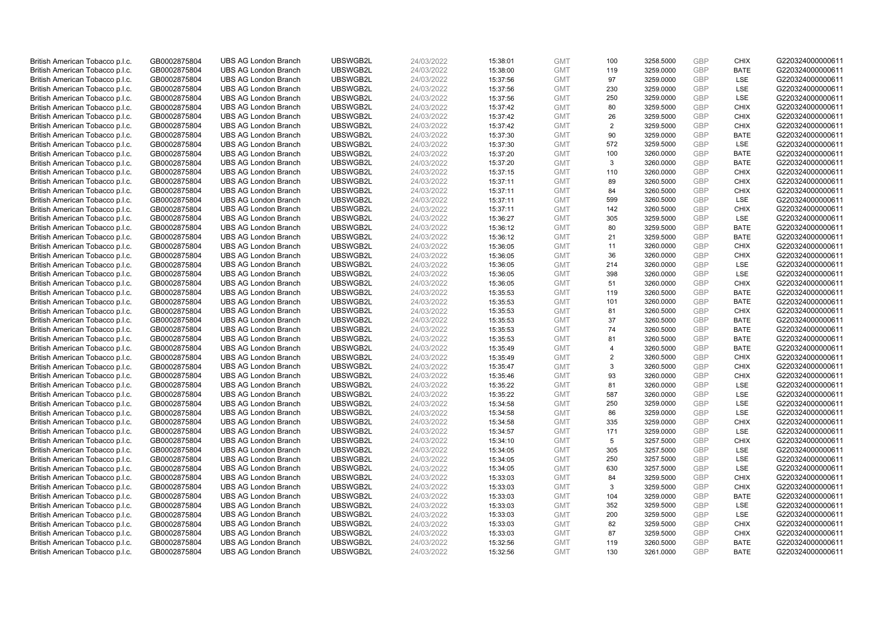| British American Tobacco p.l.c. | GB0002875804 | <b>UBS AG London Branch</b> | UBSWGB2L | 24/03/2022 | 15:38:01 | <b>GMT</b> | 100 | 3258.5000 | <b>GBP</b> | <b>CHIX</b> | G220324000000611 |
|---------------------------------|--------------|-----------------------------|----------|------------|----------|------------|-----|-----------|------------|-------------|------------------|
| British American Tobacco p.l.c. | GB0002875804 | <b>UBS AG London Branch</b> | UBSWGB2L | 24/03/2022 | 15:38:00 | <b>GMT</b> | 119 | 3259.0000 | GBP        | <b>BATE</b> | G220324000000611 |
| British American Tobacco p.l.c. | GB0002875804 | <b>UBS AG London Branch</b> | UBSWGB2L | 24/03/2022 | 15:37:56 | <b>GMT</b> | 97  | 3259.0000 | <b>GBP</b> | LSE         | G220324000000611 |
| British American Tobacco p.l.c. | GB0002875804 | <b>UBS AG London Branch</b> | UBSWGB2L | 24/03/2022 | 15:37:56 | <b>GMT</b> | 230 | 3259.0000 | <b>GBP</b> | LSE         | G220324000000611 |
| British American Tobacco p.l.c. | GB0002875804 | <b>UBS AG London Branch</b> | UBSWGB2L | 24/03/2022 | 15:37:56 | <b>GMT</b> | 250 | 3259.0000 | <b>GBP</b> | <b>LSE</b>  | G220324000000611 |
| British American Tobacco p.l.c. | GB0002875804 | <b>UBS AG London Branch</b> | UBSWGB2L | 24/03/2022 | 15:37:42 | <b>GMT</b> | 80  | 3259.5000 | <b>GBP</b> | <b>CHIX</b> | G220324000000611 |
| British American Tobacco p.l.c. | GB0002875804 | <b>UBS AG London Branch</b> | UBSWGB2L | 24/03/2022 | 15:37:42 | <b>GMT</b> | 26  | 3259.5000 | <b>GBP</b> | <b>CHIX</b> | G220324000000611 |
| British American Tobacco p.l.c. | GB0002875804 | <b>UBS AG London Branch</b> | UBSWGB2L | 24/03/2022 | 15:37:42 | <b>GMT</b> | 2   | 3259.5000 | <b>GBP</b> | <b>CHIX</b> | G220324000000611 |
| British American Tobacco p.l.c. | GB0002875804 | <b>UBS AG London Branch</b> | UBSWGB2L | 24/03/2022 | 15:37:30 | <b>GMT</b> | 90  | 3259.0000 | <b>GBP</b> | <b>BATE</b> | G220324000000611 |
| British American Tobacco p.l.c. | GB0002875804 | <b>UBS AG London Branch</b> | UBSWGB2L | 24/03/2022 | 15:37:30 | <b>GMT</b> | 572 | 3259.5000 | <b>GBP</b> | <b>LSE</b>  | G220324000000611 |
| British American Tobacco p.l.c. | GB0002875804 | <b>UBS AG London Branch</b> | UBSWGB2L | 24/03/2022 | 15:37:20 | <b>GMT</b> | 100 | 3260.0000 | GBP        | <b>BATE</b> | G220324000000611 |
| British American Tobacco p.l.c. | GB0002875804 | <b>UBS AG London Branch</b> | UBSWGB2L | 24/03/2022 | 15:37:20 | <b>GMT</b> | 3   | 3260.0000 | <b>GBP</b> | <b>BATE</b> | G220324000000611 |
| British American Tobacco p.l.c. | GB0002875804 | <b>UBS AG London Branch</b> | UBSWGB2L | 24/03/2022 | 15:37:15 | <b>GMT</b> | 110 | 3260.0000 | <b>GBP</b> | <b>CHIX</b> | G220324000000611 |
| British American Tobacco p.l.c. | GB0002875804 | <b>UBS AG London Branch</b> | UBSWGB2L | 24/03/2022 | 15:37:11 | <b>GMT</b> | 89  | 3260.5000 | <b>GBP</b> | <b>CHIX</b> | G220324000000611 |
| British American Tobacco p.l.c. | GB0002875804 | <b>UBS AG London Branch</b> | UBSWGB2L | 24/03/2022 | 15:37:11 | <b>GMT</b> | 84  | 3260.5000 | <b>GBP</b> | <b>CHIX</b> | G220324000000611 |
| British American Tobacco p.l.c. | GB0002875804 | <b>UBS AG London Branch</b> | UBSWGB2L | 24/03/2022 | 15:37:11 | <b>GMT</b> | 599 | 3260.5000 | <b>GBP</b> | LSE         | G220324000000611 |
| British American Tobacco p.l.c. | GB0002875804 | <b>UBS AG London Branch</b> | UBSWGB2L | 24/03/2022 | 15:37:11 | <b>GMT</b> | 142 | 3260.5000 | <b>GBP</b> | <b>CHIX</b> | G220324000000611 |
| British American Tobacco p.l.c. | GB0002875804 | <b>UBS AG London Branch</b> | UBSWGB2L | 24/03/2022 | 15:36:27 | <b>GMT</b> | 305 | 3259.5000 | GBP        | LSE         | G220324000000611 |
| British American Tobacco p.l.c. | GB0002875804 | <b>UBS AG London Branch</b> | UBSWGB2L | 24/03/2022 | 15:36:12 | <b>GMT</b> | 80  | 3259.5000 | <b>GBP</b> | <b>BATE</b> | G220324000000611 |
| British American Tobacco p.l.c. | GB0002875804 | <b>UBS AG London Branch</b> | UBSWGB2L | 24/03/2022 | 15:36:12 | <b>GMT</b> | 21  | 3259.5000 | <b>GBP</b> | <b>BATE</b> | G220324000000611 |
| British American Tobacco p.l.c. | GB0002875804 | <b>UBS AG London Branch</b> | UBSWGB2L | 24/03/2022 | 15:36:05 | <b>GMT</b> | 11  | 3260.0000 | <b>GBP</b> | <b>CHIX</b> | G220324000000611 |
| British American Tobacco p.l.c. | GB0002875804 | <b>UBS AG London Branch</b> | UBSWGB2L | 24/03/2022 | 15:36:05 | <b>GMT</b> | 36  | 3260.0000 | GBP        | <b>CHIX</b> | G220324000000611 |
| British American Tobacco p.l.c. | GB0002875804 | <b>UBS AG London Branch</b> | UBSWGB2L | 24/03/2022 | 15:36:05 | <b>GMT</b> | 214 | 3260.0000 | <b>GBP</b> | <b>LSE</b>  | G220324000000611 |
| British American Tobacco p.l.c. | GB0002875804 | <b>UBS AG London Branch</b> | UBSWGB2L | 24/03/2022 | 15:36:05 | <b>GMT</b> | 398 | 3260.0000 | <b>GBP</b> | LSE         | G220324000000611 |
| British American Tobacco p.l.c. | GB0002875804 | <b>UBS AG London Branch</b> | UBSWGB2L | 24/03/2022 | 15:36:05 | <b>GMT</b> | 51  | 3260.0000 | <b>GBP</b> | <b>CHIX</b> | G220324000000611 |
| British American Tobacco p.l.c. | GB0002875804 | <b>UBS AG London Branch</b> | UBSWGB2L | 24/03/2022 | 15:35:53 | <b>GMT</b> | 119 | 3260.5000 | GBP        | <b>BATE</b> | G220324000000611 |
| British American Tobacco p.l.c. | GB0002875804 | <b>UBS AG London Branch</b> | UBSWGB2L | 24/03/2022 | 15:35:53 | <b>GMT</b> | 101 | 3260.0000 | GBP        | <b>BATE</b> | G220324000000611 |
| British American Tobacco p.l.c. | GB0002875804 | <b>UBS AG London Branch</b> | UBSWGB2L | 24/03/2022 | 15:35:53 | <b>GMT</b> | 81  | 3260.5000 | <b>GBP</b> | <b>CHIX</b> | G220324000000611 |
| British American Tobacco p.l.c. | GB0002875804 | <b>UBS AG London Branch</b> | UBSWGB2L | 24/03/2022 | 15:35:53 | <b>GMT</b> | 37  | 3260.5000 | <b>GBP</b> | <b>BATE</b> | G220324000000611 |
| British American Tobacco p.l.c. | GB0002875804 | <b>UBS AG London Branch</b> | UBSWGB2L | 24/03/2022 | 15:35:53 | <b>GMT</b> | 74  | 3260.5000 | GBP        | <b>BATE</b> | G220324000000611 |
| British American Tobacco p.l.c. | GB0002875804 | <b>UBS AG London Branch</b> | UBSWGB2L | 24/03/2022 | 15:35:53 | <b>GMT</b> | 81  | 3260.5000 | <b>GBP</b> | <b>BATE</b> | G220324000000611 |
| British American Tobacco p.l.c. | GB0002875804 | <b>UBS AG London Branch</b> | UBSWGB2L | 24/03/2022 | 15:35:49 | <b>GMT</b> | 4   | 3260.5000 | GBP        | <b>BATE</b> | G220324000000611 |
| British American Tobacco p.l.c. | GB0002875804 | <b>UBS AG London Branch</b> | UBSWGB2L | 24/03/2022 | 15:35:49 | <b>GMT</b> | 2   | 3260.5000 | <b>GBP</b> | <b>CHIX</b> | G220324000000611 |
| British American Tobacco p.l.c. | GB0002875804 | <b>UBS AG London Branch</b> | UBSWGB2L | 24/03/2022 | 15:35:47 | <b>GMT</b> | 3   | 3260.5000 | <b>GBP</b> | <b>CHIX</b> | G220324000000611 |
| British American Tobacco p.l.c. | GB0002875804 | <b>UBS AG London Branch</b> | UBSWGB2L | 24/03/2022 | 15:35:46 | <b>GMT</b> | 93  | 3260.0000 | <b>GBP</b> | <b>CHIX</b> | G220324000000611 |
| British American Tobacco p.l.c. | GB0002875804 | <b>UBS AG London Branch</b> | UBSWGB2L | 24/03/2022 | 15:35:22 | <b>GMT</b> | 81  | 3260.0000 | <b>GBP</b> | LSE         | G220324000000611 |
| British American Tobacco p.l.c. | GB0002875804 | <b>UBS AG London Branch</b> | UBSWGB2L | 24/03/2022 | 15:35:22 | <b>GMT</b> | 587 | 3260.0000 | <b>GBP</b> | LSE         | G220324000000611 |
| British American Tobacco p.l.c. | GB0002875804 | <b>UBS AG London Branch</b> | UBSWGB2L | 24/03/2022 | 15:34:58 | <b>GMT</b> | 250 | 3259.0000 | <b>GBP</b> | LSE         | G220324000000611 |
| British American Tobacco p.l.c. | GB0002875804 | <b>UBS AG London Branch</b> | UBSWGB2L | 24/03/2022 | 15:34:58 | <b>GMT</b> | 86  | 3259.0000 | <b>GBP</b> | LSE         | G220324000000611 |
| British American Tobacco p.l.c. | GB0002875804 | <b>UBS AG London Branch</b> | UBSWGB2L | 24/03/2022 | 15:34:58 | <b>GMT</b> | 335 | 3259.0000 | <b>GBP</b> | <b>CHIX</b> | G220324000000611 |
| British American Tobacco p.l.c. | GB0002875804 | <b>UBS AG London Branch</b> | UBSWGB2L | 24/03/2022 | 15:34:57 | <b>GMT</b> | 171 | 3259.0000 | <b>GBP</b> | <b>LSE</b>  | G220324000000611 |
| British American Tobacco p.l.c. | GB0002875804 | <b>UBS AG London Branch</b> | UBSWGB2L | 24/03/2022 | 15:34:10 | <b>GMT</b> | 5   | 3257.5000 | <b>GBP</b> | <b>CHIX</b> | G220324000000611 |
| British American Tobacco p.l.c. | GB0002875804 | <b>UBS AG London Branch</b> | UBSWGB2L | 24/03/2022 | 15:34:05 | <b>GMT</b> | 305 | 3257.5000 | <b>GBP</b> | LSE         | G220324000000611 |
| British American Tobacco p.l.c. | GB0002875804 | <b>UBS AG London Branch</b> | UBSWGB2L | 24/03/2022 | 15:34:05 | <b>GMT</b> | 250 | 3257.5000 | <b>GBP</b> | LSE         | G220324000000611 |
| British American Tobacco p.l.c. | GB0002875804 | <b>UBS AG London Branch</b> | UBSWGB2L | 24/03/2022 | 15:34:05 | <b>GMT</b> | 630 | 3257.5000 | <b>GBP</b> | <b>LSE</b>  | G220324000000611 |
| British American Tobacco p.l.c. | GB0002875804 | <b>UBS AG London Branch</b> | UBSWGB2L | 24/03/2022 | 15:33:03 | <b>GMT</b> | 84  | 3259.5000 | <b>GBP</b> | <b>CHIX</b> | G220324000000611 |
| British American Tobacco p.l.c. | GB0002875804 | <b>UBS AG London Branch</b> | UBSWGB2L | 24/03/2022 | 15:33:03 | <b>GMT</b> | 3   | 3259.5000 | <b>GBP</b> | <b>CHIX</b> | G220324000000611 |
| British American Tobacco p.l.c. | GB0002875804 | <b>UBS AG London Branch</b> | UBSWGB2L | 24/03/2022 | 15:33:03 | <b>GMT</b> | 104 | 3259.0000 | <b>GBP</b> | <b>BATE</b> | G220324000000611 |
| British American Tobacco p.l.c. | GB0002875804 | <b>UBS AG London Branch</b> | UBSWGB2L | 24/03/2022 | 15:33:03 | <b>GMT</b> | 352 | 3259.5000 | <b>GBP</b> | LSE         | G220324000000611 |
| British American Tobacco p.l.c. | GB0002875804 | <b>UBS AG London Branch</b> | UBSWGB2L | 24/03/2022 | 15:33:03 | <b>GMT</b> | 200 | 3259.5000 | <b>GBP</b> | <b>LSE</b>  | G220324000000611 |
| British American Tobacco p.l.c. | GB0002875804 | <b>UBS AG London Branch</b> | UBSWGB2L | 24/03/2022 | 15:33:03 | <b>GMT</b> | 82  | 3259.5000 | <b>GBP</b> | <b>CHIX</b> | G220324000000611 |
| British American Tobacco p.l.c. | GB0002875804 | <b>UBS AG London Branch</b> | UBSWGB2L | 24/03/2022 | 15:33:03 | <b>GMT</b> | 87  | 3259.5000 | <b>GBP</b> | <b>CHIX</b> | G220324000000611 |
| British American Tobacco p.l.c. | GB0002875804 | <b>UBS AG London Branch</b> | UBSWGB2L | 24/03/2022 | 15:32:56 | <b>GMT</b> | 119 | 3260.5000 | <b>GBP</b> | <b>BATE</b> | G220324000000611 |
| British American Tobacco p.l.c. | GB0002875804 | <b>UBS AG London Branch</b> | UBSWGB2L | 24/03/2022 | 15:32:56 | <b>GMT</b> | 130 | 3261.0000 | GBP        | <b>BATE</b> | G220324000000611 |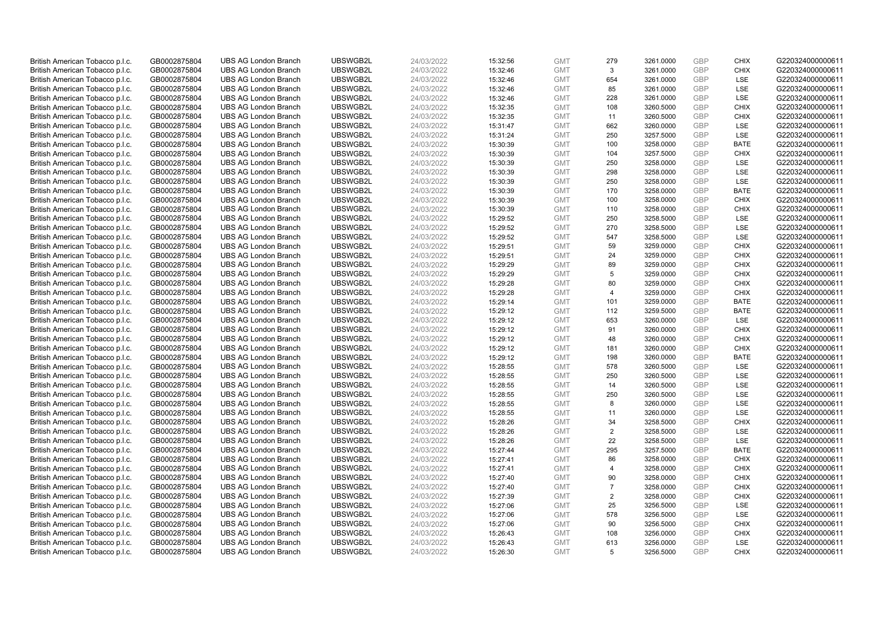| British American Tobacco p.l.c. | GB0002875804 | <b>UBS AG London Branch</b> | UBSWGB2L | 24/03/2022 | 15:32:56 | <b>GMT</b>               | 279            | 3261.0000              | <b>GBP</b>        | <b>CHIX</b>        | G220324000000611 |
|---------------------------------|--------------|-----------------------------|----------|------------|----------|--------------------------|----------------|------------------------|-------------------|--------------------|------------------|
| British American Tobacco p.l.c. | GB0002875804 | <b>UBS AG London Branch</b> | UBSWGB2L | 24/03/2022 | 15:32:46 | <b>GMT</b>               | 3              | 3261.0000              | <b>GBP</b>        | <b>CHIX</b>        | G220324000000611 |
| British American Tobacco p.l.c. | GB0002875804 | <b>UBS AG London Branch</b> | UBSWGB2L | 24/03/2022 | 15:32:46 | <b>GMT</b>               | 654            | 3261.0000              | <b>GBP</b>        | LSE                | G220324000000611 |
| British American Tobacco p.l.c. | GB0002875804 | <b>UBS AG London Branch</b> | UBSWGB2L | 24/03/2022 | 15:32:46 | <b>GMT</b>               | 85             | 3261.0000              | <b>GBP</b>        | LSE                | G220324000000611 |
| British American Tobacco p.l.c. | GB0002875804 | <b>UBS AG London Branch</b> | UBSWGB2L | 24/03/2022 | 15:32:46 | <b>GMT</b>               | 228            | 3261.0000              | <b>GBP</b>        | <b>LSE</b>         | G220324000000611 |
| British American Tobacco p.l.c. | GB0002875804 | <b>UBS AG London Branch</b> | UBSWGB2L | 24/03/2022 | 15:32:35 | <b>GMT</b>               | 108            | 3260.5000              | <b>GBP</b>        | <b>CHIX</b>        | G220324000000611 |
| British American Tobacco p.l.c. | GB0002875804 | <b>UBS AG London Branch</b> | UBSWGB2L | 24/03/2022 | 15:32:35 | <b>GMT</b>               | 11             | 3260.5000              | <b>GBP</b>        | <b>CHIX</b>        | G220324000000611 |
| British American Tobacco p.l.c. | GB0002875804 | <b>UBS AG London Branch</b> | UBSWGB2L | 24/03/2022 | 15:31:47 | <b>GMT</b>               | 662            | 3260.0000              | <b>GBP</b>        | LSE                | G220324000000611 |
| British American Tobacco p.l.c. | GB0002875804 | <b>UBS AG London Branch</b> | UBSWGB2L | 24/03/2022 | 15:31:24 | <b>GMT</b>               | 250            | 3257.5000              | <b>GBP</b>        | LSE                | G220324000000611 |
| British American Tobacco p.l.c. | GB0002875804 | <b>UBS AG London Branch</b> | UBSWGB2L | 24/03/2022 | 15:30:39 | <b>GMT</b>               | 100            | 3258.0000              | <b>GBP</b>        | <b>BATE</b>        | G220324000000611 |
| British American Tobacco p.l.c. | GB0002875804 | <b>UBS AG London Branch</b> | UBSWGB2L | 24/03/2022 | 15:30:39 | <b>GMT</b>               | 104            | 3257.5000              | GBP               | <b>CHIX</b>        | G220324000000611 |
| British American Tobacco p.l.c. | GB0002875804 | <b>UBS AG London Branch</b> | UBSWGB2L | 24/03/2022 | 15:30:39 | <b>GMT</b>               | 250            | 3258.0000              | <b>GBP</b>        | LSE                | G220324000000611 |
| British American Tobacco p.l.c. | GB0002875804 | <b>UBS AG London Branch</b> | UBSWGB2L | 24/03/2022 | 15:30:39 | <b>GMT</b>               | 298            | 3258.0000              | <b>GBP</b>        | LSE                | G220324000000611 |
| British American Tobacco p.l.c. | GB0002875804 | <b>UBS AG London Branch</b> | UBSWGB2L | 24/03/2022 | 15:30:39 | <b>GMT</b>               | 250            | 3258.0000              | <b>GBP</b>        | LSE                | G220324000000611 |
| British American Tobacco p.l.c. | GB0002875804 | <b>UBS AG London Branch</b> | UBSWGB2L | 24/03/2022 | 15:30:39 | <b>GMT</b>               | 170            | 3258.0000              | <b>GBP</b>        | <b>BATE</b>        | G220324000000611 |
| British American Tobacco p.l.c. | GB0002875804 | <b>UBS AG London Branch</b> | UBSWGB2L | 24/03/2022 | 15:30:39 | <b>GMT</b>               | 100            | 3258.0000              | <b>GBP</b>        | <b>CHIX</b>        | G220324000000611 |
| British American Tobacco p.l.c. | GB0002875804 | <b>UBS AG London Branch</b> | UBSWGB2L | 24/03/2022 | 15:30:39 | <b>GMT</b>               | 110            | 3258.0000              | <b>GBP</b>        | <b>CHIX</b>        | G220324000000611 |
| British American Tobacco p.l.c. | GB0002875804 | <b>UBS AG London Branch</b> | UBSWGB2L | 24/03/2022 | 15:29:52 | <b>GMT</b>               | 250            | 3258.5000              | GBP               | LSE                | G220324000000611 |
| British American Tobacco p.l.c. | GB0002875804 | <b>UBS AG London Branch</b> | UBSWGB2L | 24/03/2022 | 15:29:52 | <b>GMT</b>               | 270            | 3258.5000              | <b>GBP</b>        | <b>LSE</b>         | G220324000000611 |
| British American Tobacco p.l.c. | GB0002875804 | <b>UBS AG London Branch</b> | UBSWGB2L | 24/03/2022 | 15:29:52 | <b>GMT</b>               | 547            | 3258.5000              | <b>GBP</b>        | LSE                | G220324000000611 |
| British American Tobacco p.l.c. | GB0002875804 | <b>UBS AG London Branch</b> | UBSWGB2L | 24/03/2022 | 15:29:51 | <b>GMT</b>               | 59             | 3259.0000              | <b>GBP</b>        | <b>CHIX</b>        | G220324000000611 |
| British American Tobacco p.l.c. | GB0002875804 | <b>UBS AG London Branch</b> | UBSWGB2L | 24/03/2022 | 15:29:51 | <b>GMT</b>               | 24             | 3259.0000              | GBP               | <b>CHIX</b>        | G220324000000611 |
| British American Tobacco p.l.c. | GB0002875804 | <b>UBS AG London Branch</b> | UBSWGB2L | 24/03/2022 | 15:29:29 | <b>GMT</b>               | 89             | 3259.0000              | GBP               | <b>CHIX</b>        | G220324000000611 |
| British American Tobacco p.l.c. | GB0002875804 | <b>UBS AG London Branch</b> | UBSWGB2L | 24/03/2022 | 15:29:29 | <b>GMT</b>               | 5              | 3259.0000              | <b>GBP</b>        | <b>CHIX</b>        | G220324000000611 |
| British American Tobacco p.l.c. | GB0002875804 | <b>UBS AG London Branch</b> | UBSWGB2L | 24/03/2022 | 15:29:28 | <b>GMT</b>               | 80             | 3259.0000              | GBP               | <b>CHIX</b>        | G220324000000611 |
| British American Tobacco p.l.c. | GB0002875804 | <b>UBS AG London Branch</b> | UBSWGB2L | 24/03/2022 | 15:29:28 | <b>GMT</b>               | $\overline{4}$ | 3259.0000              | GBP               | <b>CHIX</b>        | G220324000000611 |
| British American Tobacco p.l.c. | GB0002875804 | <b>UBS AG London Branch</b> | UBSWGB2L | 24/03/2022 | 15:29:14 | <b>GMT</b>               | 101            | 3259.0000              | GBP               | <b>BATE</b>        | G220324000000611 |
| British American Tobacco p.l.c. | GB0002875804 | <b>UBS AG London Branch</b> | UBSWGB2L | 24/03/2022 | 15:29:12 | <b>GMT</b>               | 112            | 3259.5000              | <b>GBP</b>        | <b>BATE</b>        | G220324000000611 |
| British American Tobacco p.l.c. | GB0002875804 | <b>UBS AG London Branch</b> | UBSWGB2L | 24/03/2022 | 15:29:12 | <b>GMT</b>               | 653            | 3260.0000              | GBP               | LSE                | G220324000000611 |
| British American Tobacco p.l.c. | GB0002875804 | <b>UBS AG London Branch</b> | UBSWGB2L | 24/03/2022 | 15:29:12 | <b>GMT</b>               | 91             | 3260.0000              | <b>GBP</b>        | <b>CHIX</b>        | G220324000000611 |
| British American Tobacco p.l.c. | GB0002875804 | <b>UBS AG London Branch</b> | UBSWGB2L | 24/03/2022 | 15:29:12 | <b>GMT</b>               | 48             | 3260.0000              | <b>GBP</b>        | <b>CHIX</b>        | G220324000000611 |
| British American Tobacco p.l.c. | GB0002875804 | <b>UBS AG London Branch</b> | UBSWGB2L | 24/03/2022 | 15:29:12 | <b>GMT</b>               | 181            | 3260.0000              | GBP               | <b>CHIX</b>        | G220324000000611 |
| British American Tobacco p.l.c. | GB0002875804 | <b>UBS AG London Branch</b> | UBSWGB2L | 24/03/2022 | 15:29:12 | <b>GMT</b>               | 198            | 3260.0000              | GBP               | <b>BATE</b>        | G220324000000611 |
| British American Tobacco p.l.c. | GB0002875804 | <b>UBS AG London Branch</b> | UBSWGB2L | 24/03/2022 | 15:28:55 | <b>GMT</b>               | 578            | 3260.5000              | GBP               | LSE                | G220324000000611 |
| British American Tobacco p.l.c. | GB0002875804 | <b>UBS AG London Branch</b> | UBSWGB2L | 24/03/2022 | 15:28:55 | <b>GMT</b>               | 250            | 3260.5000              | <b>GBP</b>        | LSE                | G220324000000611 |
| British American Tobacco p.l.c. | GB0002875804 | <b>UBS AG London Branch</b> | UBSWGB2L | 24/03/2022 | 15:28:55 | <b>GMT</b>               | 14             | 3260.5000              | GBP               | LSE                | G220324000000611 |
| British American Tobacco p.l.c. | GB0002875804 | <b>UBS AG London Branch</b> | UBSWGB2L | 24/03/2022 | 15:28:55 | <b>GMT</b>               | 250            | 3260.5000              | <b>GBP</b>        | LSE                | G220324000000611 |
| British American Tobacco p.l.c. | GB0002875804 | <b>UBS AG London Branch</b> | UBSWGB2L | 24/03/2022 | 15:28:55 | <b>GMT</b>               | 8              | 3260.0000              | <b>GBP</b>        | LSE                | G220324000000611 |
| British American Tobacco p.l.c. | GB0002875804 | <b>UBS AG London Branch</b> | UBSWGB2L | 24/03/2022 | 15:28:55 | <b>GMT</b>               | 11             | 3260.0000              | <b>GBP</b>        | LSE                | G220324000000611 |
| British American Tobacco p.l.c. | GB0002875804 | <b>UBS AG London Branch</b> | UBSWGB2L | 24/03/2022 | 15:28:26 | <b>GMT</b>               | 34             | 3258.5000              | <b>GBP</b>        | <b>CHIX</b>        | G220324000000611 |
| British American Tobacco p.l.c. | GB0002875804 | <b>UBS AG London Branch</b> | UBSWGB2L | 24/03/2022 | 15:28:26 | <b>GMT</b>               | 2              | 3258.5000              | <b>GBP</b>        | <b>LSE</b>         | G220324000000611 |
| British American Tobacco p.l.c. | GB0002875804 | <b>UBS AG London Branch</b> | UBSWGB2L | 24/03/2022 | 15:28:26 | <b>GMT</b>               | 22             | 3258.5000              | GBP               | LSE                | G220324000000611 |
| British American Tobacco p.l.c. | GB0002875804 | <b>UBS AG London Branch</b> | UBSWGB2L | 24/03/2022 | 15:27:44 | <b>GMT</b>               | 295            | 3257.5000              | <b>GBP</b>        | <b>BATE</b>        | G220324000000611 |
| British American Tobacco p.l.c. | GB0002875804 | <b>UBS AG London Branch</b> | UBSWGB2L | 24/03/2022 | 15:27:41 | <b>GMT</b>               | 86             | 3258.0000              | GBP               | <b>CHIX</b>        | G220324000000611 |
| British American Tobacco p.l.c. | GB0002875804 | <b>UBS AG London Branch</b> | UBSWGB2L | 24/03/2022 | 15:27:41 | <b>GMT</b>               | $\overline{4}$ | 3258.0000              | <b>GBP</b>        | <b>CHIX</b>        | G220324000000611 |
| British American Tobacco p.l.c. | GB0002875804 | <b>UBS AG London Branch</b> | UBSWGB2L | 24/03/2022 | 15:27:40 | <b>GMT</b>               | 90             | 3258.0000              | GBP               | <b>CHIX</b>        | G220324000000611 |
| British American Tobacco p.l.c. | GB0002875804 | <b>UBS AG London Branch</b> | UBSWGB2L | 24/03/2022 | 15:27:40 | <b>GMT</b>               | $\overline{7}$ | 3258.0000              | <b>GBP</b>        | <b>CHIX</b>        | G220324000000611 |
| British American Tobacco p.l.c. | GB0002875804 | <b>UBS AG London Branch</b> | UBSWGB2L | 24/03/2022 | 15:27:39 | <b>GMT</b>               | 2              | 3258.0000              | <b>GBP</b>        | <b>CHIX</b>        | G220324000000611 |
| British American Tobacco p.l.c. | GB0002875804 | <b>UBS AG London Branch</b> | UBSWGB2L | 24/03/2022 | 15:27:06 | <b>GMT</b>               | 25             | 3256.5000              | <b>GBP</b>        | LSE                | G220324000000611 |
| British American Tobacco p.l.c. | GB0002875804 | <b>UBS AG London Branch</b> | UBSWGB2L | 24/03/2022 | 15:27:06 | <b>GMT</b>               | 578            | 3256.5000              | <b>GBP</b>        | <b>LSE</b>         | G220324000000611 |
| British American Tobacco p.l.c. | GB0002875804 | <b>UBS AG London Branch</b> | UBSWGB2L | 24/03/2022 | 15:27:06 | <b>GMT</b>               | 90             | 3256.5000              | <b>GBP</b>        | <b>CHIX</b>        | G220324000000611 |
| British American Tobacco p.l.c. | GB0002875804 | <b>UBS AG London Branch</b> | UBSWGB2L | 24/03/2022 | 15:26:43 | <b>GMT</b>               | 108            | 3256.0000              | GBP               | <b>CHIX</b>        | G220324000000611 |
| British American Tobacco p.l.c. | GB0002875804 | <b>UBS AG London Branch</b> | UBSWGB2L | 24/03/2022 | 15:26:43 | <b>GMT</b><br><b>GMT</b> | 613<br>5       | 3256.0000<br>3256.5000 | <b>GBP</b><br>GBP | LSE<br><b>CHIX</b> | G220324000000611 |
| British American Tobacco p.l.c. | GB0002875804 | <b>UBS AG London Branch</b> | UBSWGB2L | 24/03/2022 | 15:26:30 |                          |                |                        |                   |                    | G220324000000611 |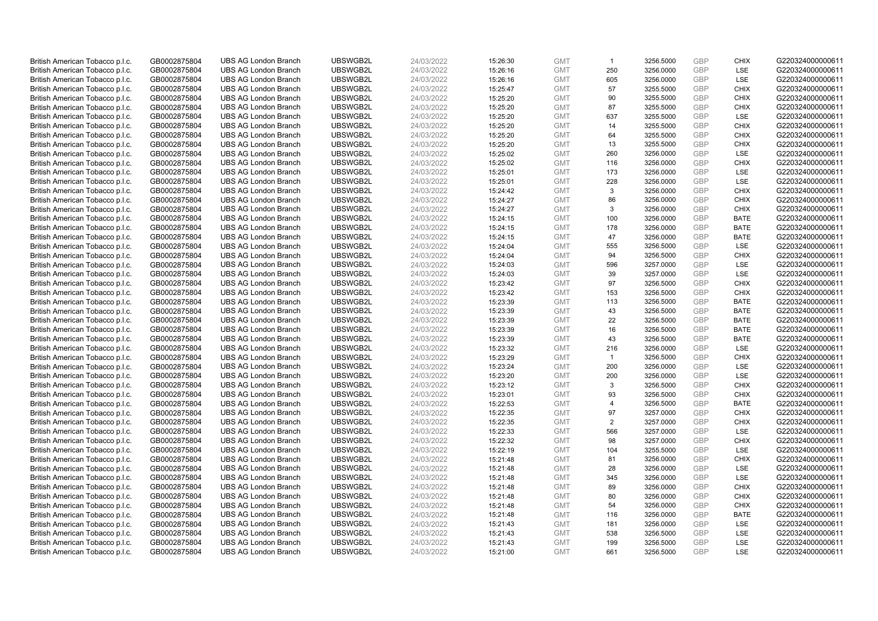| British American Tobacco p.l.c. | GB0002875804 | <b>UBS AG London Branch</b> | UBSWGB2L | 24/03/2022 | 15:26:30 | <b>GMT</b> | $\mathbf{1}$   | 3256.5000 | GBP        | <b>CHIX</b> | G220324000000611 |
|---------------------------------|--------------|-----------------------------|----------|------------|----------|------------|----------------|-----------|------------|-------------|------------------|
| British American Tobacco p.l.c. | GB0002875804 | <b>UBS AG London Branch</b> | UBSWGB2L | 24/03/2022 | 15:26:16 | <b>GMT</b> | 250            | 3256.0000 | GBP        | LSE         | G220324000000611 |
| British American Tobacco p.l.c. | GB0002875804 | <b>UBS AG London Branch</b> | UBSWGB2L | 24/03/2022 | 15:26:16 | <b>GMT</b> | 605            | 3256.0000 | GBP        | LSE         | G220324000000611 |
| British American Tobacco p.l.c. | GB0002875804 | <b>UBS AG London Branch</b> | UBSWGB2L | 24/03/2022 | 15:25:47 | <b>GMT</b> | 57             | 3255.5000 | GBP        | <b>CHIX</b> | G220324000000611 |
| British American Tobacco p.l.c. | GB0002875804 | <b>UBS AG London Branch</b> | UBSWGB2L | 24/03/2022 | 15:25:20 | <b>GMT</b> | 90             | 3255.5000 | GBP        | <b>CHIX</b> | G220324000000611 |
| British American Tobacco p.l.c. | GB0002875804 | <b>UBS AG London Branch</b> | UBSWGB2L | 24/03/2022 | 15:25:20 | <b>GMT</b> | 87             | 3255.5000 | GBP        | <b>CHIX</b> | G220324000000611 |
| British American Tobacco p.l.c. | GB0002875804 | <b>UBS AG London Branch</b> | UBSWGB2L | 24/03/2022 | 15:25:20 | <b>GMT</b> | 637            | 3255.5000 | GBP        | LSE         | G220324000000611 |
| British American Tobacco p.l.c. | GB0002875804 | <b>UBS AG London Branch</b> | UBSWGB2L | 24/03/2022 | 15:25:20 | <b>GMT</b> | 14             | 3255.5000 | GBP        | <b>CHIX</b> | G220324000000611 |
| British American Tobacco p.l.c. | GB0002875804 | <b>UBS AG London Branch</b> | UBSWGB2L | 24/03/2022 | 15:25:20 | <b>GMT</b> | 64             | 3255.5000 | GBP        | <b>CHIX</b> | G220324000000611 |
| British American Tobacco p.l.c. | GB0002875804 | <b>UBS AG London Branch</b> | UBSWGB2L | 24/03/2022 | 15:25:20 | <b>GMT</b> | 13             | 3255.5000 | GBP        | <b>CHIX</b> | G220324000000611 |
| British American Tobacco p.l.c. | GB0002875804 | <b>UBS AG London Branch</b> | UBSWGB2L | 24/03/2022 | 15:25:02 | <b>GMT</b> | 260            | 3256.0000 | <b>GBP</b> | LSE         | G220324000000611 |
| British American Tobacco p.l.c. | GB0002875804 | <b>UBS AG London Branch</b> | UBSWGB2L | 24/03/2022 | 15:25:02 | <b>GMT</b> | 116            | 3256.0000 | GBP        | <b>CHIX</b> | G220324000000611 |
| British American Tobacco p.l.c. | GB0002875804 | <b>UBS AG London Branch</b> | UBSWGB2L | 24/03/2022 | 15:25:01 | <b>GMT</b> | 173            | 3256.0000 | GBP        | LSE         | G220324000000611 |
| British American Tobacco p.l.c. | GB0002875804 | <b>UBS AG London Branch</b> | UBSWGB2L | 24/03/2022 | 15:25:01 | <b>GMT</b> | 228            | 3256.0000 | GBP        | LSE         | G220324000000611 |
| British American Tobacco p.l.c. | GB0002875804 | <b>UBS AG London Branch</b> | UBSWGB2L | 24/03/2022 | 15:24:42 | <b>GMT</b> | 3              | 3256.0000 | GBP        | <b>CHIX</b> | G220324000000611 |
| British American Tobacco p.l.c. | GB0002875804 | <b>UBS AG London Branch</b> | UBSWGB2L | 24/03/2022 | 15:24:27 | <b>GMT</b> | 86             | 3256.0000 | GBP        | <b>CHIX</b> | G220324000000611 |
| British American Tobacco p.l.c. | GB0002875804 | <b>UBS AG London Branch</b> | UBSWGB2L | 24/03/2022 | 15:24:27 | <b>GMT</b> | 3              | 3256.0000 | GBP        | <b>CHIX</b> | G220324000000611 |
| British American Tobacco p.l.c. | GB0002875804 | <b>UBS AG London Branch</b> | UBSWGB2L | 24/03/2022 | 15:24:15 | <b>GMT</b> | 100            | 3256.0000 | GBP        | <b>BATE</b> | G220324000000611 |
| British American Tobacco p.l.c. | GB0002875804 | <b>UBS AG London Branch</b> | UBSWGB2L | 24/03/2022 | 15:24:15 | <b>GMT</b> | 178            | 3256.0000 | GBP        | <b>BATE</b> | G220324000000611 |
| British American Tobacco p.l.c. | GB0002875804 | <b>UBS AG London Branch</b> | UBSWGB2L | 24/03/2022 | 15:24:15 | <b>GMT</b> | 47             | 3256.0000 | GBP        | <b>BATE</b> | G220324000000611 |
| British American Tobacco p.l.c. | GB0002875804 | <b>UBS AG London Branch</b> | UBSWGB2L | 24/03/2022 | 15:24:04 | <b>GMT</b> | 555            | 3256.5000 | GBP        | LSE         | G220324000000611 |
| British American Tobacco p.l.c. | GB0002875804 | <b>UBS AG London Branch</b> | UBSWGB2L | 24/03/2022 | 15:24:04 | <b>GMT</b> | 94             | 3256.5000 | GBP        | <b>CHIX</b> | G220324000000611 |
| British American Tobacco p.l.c. | GB0002875804 | <b>UBS AG London Branch</b> | UBSWGB2L | 24/03/2022 | 15:24:03 | <b>GMT</b> | 596            | 3257.0000 | GBP        | <b>LSE</b>  | G220324000000611 |
| British American Tobacco p.l.c. | GB0002875804 | <b>UBS AG London Branch</b> | UBSWGB2L | 24/03/2022 | 15:24:03 | <b>GMT</b> | 39             | 3257.0000 | GBP        | LSE         | G220324000000611 |
| British American Tobacco p.l.c. | GB0002875804 | <b>UBS AG London Branch</b> | UBSWGB2L | 24/03/2022 | 15:23:42 | <b>GMT</b> | 97             | 3256.5000 | <b>GBP</b> | <b>CHIX</b> | G220324000000611 |
| British American Tobacco p.l.c. | GB0002875804 | <b>UBS AG London Branch</b> | UBSWGB2L | 24/03/2022 | 15:23:42 | <b>GMT</b> | 153            | 3256.5000 | GBP        | <b>CHIX</b> | G220324000000611 |
| British American Tobacco p.l.c. | GB0002875804 | <b>UBS AG London Branch</b> | UBSWGB2L | 24/03/2022 | 15:23:39 | <b>GMT</b> | 113            | 3256.5000 | GBP        | <b>BATE</b> | G220324000000611 |
| British American Tobacco p.l.c. | GB0002875804 | <b>UBS AG London Branch</b> | UBSWGB2L | 24/03/2022 | 15:23:39 | <b>GMT</b> | 43             | 3256.5000 | GBP        | <b>BATE</b> | G220324000000611 |
| British American Tobacco p.l.c. | GB0002875804 | <b>UBS AG London Branch</b> | UBSWGB2L | 24/03/2022 | 15:23:39 | <b>GMT</b> | 22             | 3256.5000 | GBP        | <b>BATE</b> | G220324000000611 |
| British American Tobacco p.l.c. | GB0002875804 | <b>UBS AG London Branch</b> | UBSWGB2L | 24/03/2022 | 15:23:39 | <b>GMT</b> | 16             | 3256.5000 | GBP        | <b>BATE</b> | G220324000000611 |
| British American Tobacco p.l.c. | GB0002875804 | <b>UBS AG London Branch</b> | UBSWGB2L | 24/03/2022 | 15:23:39 | <b>GMT</b> | 43             | 3256.5000 | GBP        | <b>BATE</b> | G220324000000611 |
| British American Tobacco p.l.c. | GB0002875804 | <b>UBS AG London Branch</b> | UBSWGB2L | 24/03/2022 | 15:23:32 | <b>GMT</b> | 216            | 3256.0000 | GBP        | <b>LSE</b>  | G220324000000611 |
| British American Tobacco p.l.c. | GB0002875804 | <b>UBS AG London Branch</b> | UBSWGB2L | 24/03/2022 | 15:23:29 | <b>GMT</b> | $\overline{1}$ | 3256.5000 | GBP        | <b>CHIX</b> | G220324000000611 |
| British American Tobacco p.l.c. | GB0002875804 | <b>UBS AG London Branch</b> | UBSWGB2L | 24/03/2022 | 15:23:24 | <b>GMT</b> | 200            | 3256.0000 | GBP        | LSE         | G220324000000611 |
| British American Tobacco p.l.c. | GB0002875804 | <b>UBS AG London Branch</b> | UBSWGB2L | 24/03/2022 | 15:23:20 | <b>GMT</b> | 200            | 3256.0000 | GBP        | LSE         | G220324000000611 |
| British American Tobacco p.l.c. | GB0002875804 | <b>UBS AG London Branch</b> | UBSWGB2L | 24/03/2022 | 15:23:12 | <b>GMT</b> | 3              | 3256.5000 | GBP        | <b>CHIX</b> | G220324000000611 |
| British American Tobacco p.l.c. | GB0002875804 | <b>UBS AG London Branch</b> | UBSWGB2L | 24/03/2022 | 15:23:01 | <b>GMT</b> | 93             | 3256.5000 | GBP        | <b>CHIX</b> | G220324000000611 |
| British American Tobacco p.l.c. | GB0002875804 | <b>UBS AG London Branch</b> | UBSWGB2L | 24/03/2022 | 15:22:53 | <b>GMT</b> | $\overline{4}$ | 3256.5000 | GBP        | <b>BATE</b> | G220324000000611 |
| British American Tobacco p.l.c. | GB0002875804 | <b>UBS AG London Branch</b> | UBSWGB2L | 24/03/2022 | 15:22:35 | <b>GMT</b> | 97             | 3257.0000 | GBP        | <b>CHIX</b> | G220324000000611 |
| British American Tobacco p.l.c. | GB0002875804 | <b>UBS AG London Branch</b> | UBSWGB2L | 24/03/2022 | 15:22:35 | <b>GMT</b> | $\overline{2}$ | 3257.0000 | GBP        | <b>CHIX</b> | G220324000000611 |
| British American Tobacco p.l.c. | GB0002875804 | <b>UBS AG London Branch</b> | UBSWGB2L | 24/03/2022 | 15:22:33 | <b>GMT</b> | 566            | 3257.0000 | GBP        | LSE         | G220324000000611 |
| British American Tobacco p.l.c. | GB0002875804 | <b>UBS AG London Branch</b> | UBSWGB2L | 24/03/2022 | 15:22:32 | <b>GMT</b> | 98             | 3257.0000 | GBP        | <b>CHIX</b> | G220324000000611 |
| British American Tobacco p.l.c. | GB0002875804 | <b>UBS AG London Branch</b> | UBSWGB2L | 24/03/2022 | 15:22:19 | <b>GMT</b> | 104            | 3255.5000 | GBP        | <b>LSE</b>  | G220324000000611 |
| British American Tobacco p.l.c. | GB0002875804 | <b>UBS AG London Branch</b> | UBSWGB2L | 24/03/2022 | 15:21:48 | <b>GMT</b> | 81             | 3256.0000 | GBP        | <b>CHIX</b> | G220324000000611 |
| British American Tobacco p.l.c. | GB0002875804 | <b>UBS AG London Branch</b> | UBSWGB2L | 24/03/2022 | 15:21:48 | <b>GMT</b> | 28             | 3256.0000 | GBP        | <b>LSE</b>  | G220324000000611 |
| British American Tobacco p.l.c. | GB0002875804 | <b>UBS AG London Branch</b> | UBSWGB2L | 24/03/2022 | 15:21:48 | <b>GMT</b> | 345            | 3256.0000 | <b>GBP</b> | LSE         | G220324000000611 |
| British American Tobacco p.l.c. | GB0002875804 | <b>UBS AG London Branch</b> | UBSWGB2L | 24/03/2022 | 15:21:48 | <b>GMT</b> | 89             | 3256.0000 | GBP        | <b>CHIX</b> | G220324000000611 |
| British American Tobacco p.l.c. | GB0002875804 | <b>UBS AG London Branch</b> | UBSWGB2L | 24/03/2022 | 15:21:48 | <b>GMT</b> | 80             | 3256.0000 | GBP        | <b>CHIX</b> | G220324000000611 |
| British American Tobacco p.l.c. | GB0002875804 | <b>UBS AG London Branch</b> | UBSWGB2L | 24/03/2022 | 15:21:48 | <b>GMT</b> | 54             | 3256.0000 | GBP        | <b>CHIX</b> | G220324000000611 |
| British American Tobacco p.l.c. | GB0002875804 | <b>UBS AG London Branch</b> | UBSWGB2L | 24/03/2022 | 15:21:48 | <b>GMT</b> | 116            | 3256.0000 | GBP        | <b>BATE</b> | G220324000000611 |
| British American Tobacco p.l.c. | GB0002875804 | <b>UBS AG London Branch</b> | UBSWGB2L | 24/03/2022 | 15:21:43 | <b>GMT</b> | 181            | 3256.0000 | GBP        | LSE         | G220324000000611 |
| British American Tobacco p.l.c. | GB0002875804 | <b>UBS AG London Branch</b> | UBSWGB2L | 24/03/2022 | 15:21:43 | <b>GMT</b> | 538            | 3256.5000 | <b>GBP</b> | LSE         | G220324000000611 |
| British American Tobacco p.l.c. | GB0002875804 | <b>UBS AG London Branch</b> | UBSWGB2L | 24/03/2022 | 15:21:43 | <b>GMT</b> | 199            | 3256.5000 | GBP        | LSE         | G220324000000611 |
| British American Tobacco p.l.c. | GB0002875804 | <b>UBS AG London Branch</b> | UBSWGB2L | 24/03/2022 | 15:21:00 | <b>GMT</b> | 661            | 3256.5000 | GBP        | LSE         | G220324000000611 |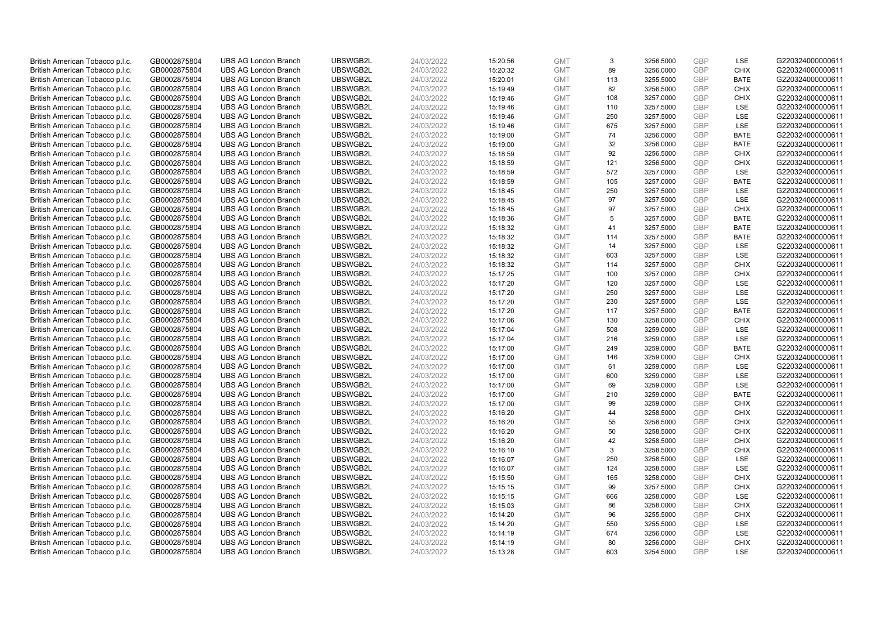| British American Tobacco p.l.c. | GB0002875804 | <b>UBS AG London Branch</b> | UBSWGB2L | 24/03/2022 | 15:20:56 | <b>GMT</b> | 3   | 3256.5000 | GBP        | LSE         | G220324000000611 |
|---------------------------------|--------------|-----------------------------|----------|------------|----------|------------|-----|-----------|------------|-------------|------------------|
| British American Tobacco p.l.c. | GB0002875804 | <b>UBS AG London Branch</b> | UBSWGB2L | 24/03/2022 | 15:20:32 | <b>GMT</b> | 89  | 3256.0000 | GBP        | <b>CHIX</b> | G220324000000611 |
| British American Tobacco p.l.c. | GB0002875804 | <b>UBS AG London Branch</b> | UBSWGB2L | 24/03/2022 | 15:20:01 | <b>GMT</b> | 113 | 3255.5000 | GBP        | <b>BATE</b> | G220324000000611 |
| British American Tobacco p.l.c. | GB0002875804 | <b>UBS AG London Branch</b> | UBSWGB2L | 24/03/2022 | 15:19:49 | <b>GMT</b> | 82  | 3256.5000 | GBP        | <b>CHIX</b> | G220324000000611 |
| British American Tobacco p.l.c. | GB0002875804 | <b>UBS AG London Branch</b> | UBSWGB2L | 24/03/2022 | 15:19:46 | <b>GMT</b> | 108 | 3257.0000 | GBP        | <b>CHIX</b> | G220324000000611 |
| British American Tobacco p.l.c. | GB0002875804 | <b>UBS AG London Branch</b> | UBSWGB2L | 24/03/2022 | 15:19:46 | <b>GMT</b> | 110 | 3257.5000 | GBP        | LSE         | G220324000000611 |
| British American Tobacco p.l.c. | GB0002875804 | <b>UBS AG London Branch</b> | UBSWGB2L | 24/03/2022 | 15:19:46 | <b>GMT</b> | 250 | 3257.5000 | GBP        | LSE         | G220324000000611 |
| British American Tobacco p.l.c. | GB0002875804 | <b>UBS AG London Branch</b> | UBSWGB2L | 24/03/2022 | 15:19:46 | <b>GMT</b> | 675 | 3257.5000 | GBP        | LSE         | G220324000000611 |
| British American Tobacco p.l.c. | GB0002875804 | <b>UBS AG London Branch</b> | UBSWGB2L | 24/03/2022 | 15:19:00 | <b>GMT</b> | 74  | 3256.0000 | GBP        | <b>BATE</b> | G220324000000611 |
| British American Tobacco p.l.c. | GB0002875804 | <b>UBS AG London Branch</b> | UBSWGB2L | 24/03/2022 | 15:19:00 | <b>GMT</b> | 32  | 3256.0000 | GBP        | <b>BATE</b> | G220324000000611 |
| British American Tobacco p.l.c. | GB0002875804 | <b>UBS AG London Branch</b> | UBSWGB2L | 24/03/2022 | 15:18:59 | <b>GMT</b> | 92  | 3256.5000 | GBP        | <b>CHIX</b> | G220324000000611 |
| British American Tobacco p.l.c. | GB0002875804 | <b>UBS AG London Branch</b> | UBSWGB2L | 24/03/2022 | 15:18:59 | <b>GMT</b> | 121 | 3256.5000 | GBP        | <b>CHIX</b> | G220324000000611 |
| British American Tobacco p.l.c. | GB0002875804 | <b>UBS AG London Branch</b> | UBSWGB2L | 24/03/2022 | 15:18:59 | <b>GMT</b> | 572 | 3257.0000 | GBP        | LSE         | G220324000000611 |
| British American Tobacco p.l.c. | GB0002875804 | <b>UBS AG London Branch</b> | UBSWGB2L | 24/03/2022 | 15:18:59 | <b>GMT</b> | 105 | 3257.0000 | GBP        | <b>BATE</b> | G220324000000611 |
| British American Tobacco p.l.c. | GB0002875804 | <b>UBS AG London Branch</b> | UBSWGB2L | 24/03/2022 | 15:18:45 | <b>GMT</b> | 250 | 3257.5000 | GBP        | LSE         | G220324000000611 |
| British American Tobacco p.l.c. | GB0002875804 | <b>UBS AG London Branch</b> | UBSWGB2L | 24/03/2022 | 15:18:45 | <b>GMT</b> | 97  | 3257.5000 | GBP        | LSE         | G220324000000611 |
| British American Tobacco p.l.c. | GB0002875804 | <b>UBS AG London Branch</b> | UBSWGB2L | 24/03/2022 | 15:18:45 | <b>GMT</b> | 97  | 3257.5000 | GBP        | <b>CHIX</b> | G220324000000611 |
| British American Tobacco p.l.c. | GB0002875804 | <b>UBS AG London Branch</b> | UBSWGB2L | 24/03/2022 | 15:18:36 | <b>GMT</b> | 5   | 3257.5000 | GBP        | <b>BATE</b> | G220324000000611 |
| British American Tobacco p.l.c. | GB0002875804 | <b>UBS AG London Branch</b> | UBSWGB2L | 24/03/2022 | 15:18:32 | <b>GMT</b> | 41  | 3257.5000 | GBP        | <b>BATE</b> | G220324000000611 |
| British American Tobacco p.l.c. | GB0002875804 | <b>UBS AG London Branch</b> | UBSWGB2L | 24/03/2022 | 15:18:32 | <b>GMT</b> | 114 | 3257.5000 | GBP        | <b>BATE</b> | G220324000000611 |
| British American Tobacco p.l.c. | GB0002875804 | <b>UBS AG London Branch</b> | UBSWGB2L | 24/03/2022 | 15:18:32 | <b>GMT</b> | 14  | 3257.5000 | GBP        | LSE         | G220324000000611 |
| British American Tobacco p.l.c. | GB0002875804 | <b>UBS AG London Branch</b> | UBSWGB2L | 24/03/2022 | 15:18:32 | <b>GMT</b> | 603 | 3257.5000 | GBP        | LSE         | G220324000000611 |
| British American Tobacco p.l.c. | GB0002875804 | <b>UBS AG London Branch</b> | UBSWGB2L | 24/03/2022 | 15:18:32 | <b>GMT</b> | 114 | 3257.5000 | GBP        | <b>CHIX</b> | G220324000000611 |
| British American Tobacco p.l.c. | GB0002875804 | <b>UBS AG London Branch</b> | UBSWGB2L | 24/03/2022 | 15:17:25 | <b>GMT</b> | 100 | 3257.0000 | GBP        | <b>CHIX</b> | G220324000000611 |
| British American Tobacco p.l.c. | GB0002875804 | <b>UBS AG London Branch</b> | UBSWGB2L | 24/03/2022 | 15:17:20 | <b>GMT</b> | 120 | 3257.5000 | <b>GBP</b> | LSE         | G220324000000611 |
| British American Tobacco p.l.c. | GB0002875804 | <b>UBS AG London Branch</b> | UBSWGB2L | 24/03/2022 | 15:17:20 | <b>GMT</b> | 250 | 3257.5000 | GBP        | LSE         | G220324000000611 |
| British American Tobacco p.l.c. | GB0002875804 | <b>UBS AG London Branch</b> | UBSWGB2L | 24/03/2022 | 15:17:20 | <b>GMT</b> | 230 | 3257.5000 | GBP        | LSE         | G220324000000611 |
| British American Tobacco p.l.c. | GB0002875804 | <b>UBS AG London Branch</b> | UBSWGB2L | 24/03/2022 | 15:17:20 | <b>GMT</b> | 117 | 3257.5000 | GBP        | <b>BATE</b> | G220324000000611 |
| British American Tobacco p.l.c. | GB0002875804 | <b>UBS AG London Branch</b> | UBSWGB2L | 24/03/2022 | 15:17:06 | <b>GMT</b> | 130 | 3258.0000 | GBP        | <b>CHIX</b> | G220324000000611 |
| British American Tobacco p.l.c. | GB0002875804 | <b>UBS AG London Branch</b> | UBSWGB2L | 24/03/2022 | 15:17:04 | <b>GMT</b> | 508 | 3259.0000 | GBP        | LSE         | G220324000000611 |
| British American Tobacco p.l.c. | GB0002875804 | <b>UBS AG London Branch</b> | UBSWGB2L | 24/03/2022 | 15:17:04 | <b>GMT</b> | 216 | 3259.0000 | GBP        | LSE         | G220324000000611 |
| British American Tobacco p.l.c. | GB0002875804 | <b>UBS AG London Branch</b> | UBSWGB2L | 24/03/2022 | 15:17:00 | <b>GMT</b> | 249 | 3259.0000 | GBP        | <b>BATE</b> | G220324000000611 |
| British American Tobacco p.l.c. | GB0002875804 | <b>UBS AG London Branch</b> | UBSWGB2L | 24/03/2022 | 15:17:00 | <b>GMT</b> | 146 | 3259.0000 | GBP        | <b>CHIX</b> | G220324000000611 |
| British American Tobacco p.l.c. | GB0002875804 | <b>UBS AG London Branch</b> | UBSWGB2L | 24/03/2022 | 15:17:00 | <b>GMT</b> | 61  | 3259.0000 | GBP        | LSE         | G220324000000611 |
| British American Tobacco p.l.c. | GB0002875804 | <b>UBS AG London Branch</b> | UBSWGB2L | 24/03/2022 | 15:17:00 | <b>GMT</b> | 600 | 3259.0000 | GBP        | LSE         | G220324000000611 |
| British American Tobacco p.l.c. | GB0002875804 | <b>UBS AG London Branch</b> | UBSWGB2L | 24/03/2022 | 15:17:00 | <b>GMT</b> | 69  | 3259.0000 | GBP        | LSE         | G220324000000611 |
| British American Tobacco p.l.c. | GB0002875804 | <b>UBS AG London Branch</b> | UBSWGB2L | 24/03/2022 | 15:17:00 | <b>GMT</b> | 210 | 3259.0000 | GBP        | <b>BATE</b> | G220324000000611 |
| British American Tobacco p.l.c. | GB0002875804 | <b>UBS AG London Branch</b> | UBSWGB2L | 24/03/2022 | 15:17:00 | <b>GMT</b> | 99  | 3259.0000 | GBP        | <b>CHIX</b> | G220324000000611 |
| British American Tobacco p.l.c. | GB0002875804 | <b>UBS AG London Branch</b> | UBSWGB2L | 24/03/2022 | 15:16:20 | <b>GMT</b> | 44  | 3258.5000 | GBP        | <b>CHIX</b> | G220324000000611 |
| British American Tobacco p.l.c. | GB0002875804 | <b>UBS AG London Branch</b> | UBSWGB2L | 24/03/2022 | 15:16:20 | <b>GMT</b> | 55  | 3258.5000 | GBP        | <b>CHIX</b> | G220324000000611 |
| British American Tobacco p.l.c. | GB0002875804 | <b>UBS AG London Branch</b> | UBSWGB2L | 24/03/2022 | 15:16:20 | <b>GMT</b> | 50  | 3258.5000 | GBP        | <b>CHIX</b> | G220324000000611 |
| British American Tobacco p.l.c. | GB0002875804 | <b>UBS AG London Branch</b> | UBSWGB2L | 24/03/2022 | 15:16:20 | <b>GMT</b> | 42  | 3258.5000 | GBP        | <b>CHIX</b> | G220324000000611 |
| British American Tobacco p.l.c. | GB0002875804 | <b>UBS AG London Branch</b> | UBSWGB2L | 24/03/2022 | 15:16:10 | <b>GMT</b> | 3   | 3258.5000 | GBP        | <b>CHIX</b> | G220324000000611 |
| British American Tobacco p.l.c. | GB0002875804 | <b>UBS AG London Branch</b> | UBSWGB2L | 24/03/2022 | 15:16:07 | <b>GMT</b> | 250 | 3258.5000 | GBP        | LSE         | G220324000000611 |
| British American Tobacco p.l.c. | GB0002875804 | <b>UBS AG London Branch</b> | UBSWGB2L | 24/03/2022 | 15:16:07 | <b>GMT</b> | 124 | 3258.5000 | GBP        | <b>LSE</b>  | G220324000000611 |
| British American Tobacco p.l.c. | GB0002875804 | <b>UBS AG London Branch</b> | UBSWGB2L | 24/03/2022 | 15:15:50 | <b>GMT</b> | 165 | 3258.0000 | GBP        | <b>CHIX</b> | G220324000000611 |
| British American Tobacco p.l.c. | GB0002875804 | <b>UBS AG London Branch</b> | UBSWGB2L | 24/03/2022 | 15:15:15 | <b>GMT</b> | 99  | 3257.5000 | GBP        | <b>CHIX</b> | G220324000000611 |
| British American Tobacco p.l.c. | GB0002875804 | <b>UBS AG London Branch</b> | UBSWGB2L | 24/03/2022 | 15:15:15 | <b>GMT</b> | 666 | 3258.0000 | GBP        | LSE         | G220324000000611 |
| British American Tobacco p.l.c. | GB0002875804 | <b>UBS AG London Branch</b> | UBSWGB2L | 24/03/2022 | 15:15:03 | <b>GMT</b> | 86  | 3258.0000 | GBP        | <b>CHIX</b> | G220324000000611 |
| British American Tobacco p.l.c. | GB0002875804 | <b>UBS AG London Branch</b> | UBSWGB2L | 24/03/2022 | 15:14:20 | <b>GMT</b> | 96  | 3255.5000 | GBP        | <b>CHIX</b> | G220324000000611 |
| British American Tobacco p.l.c. | GB0002875804 | <b>UBS AG London Branch</b> | UBSWGB2L | 24/03/2022 | 15:14:20 | <b>GMT</b> | 550 | 3255.5000 | GBP        | LSE         | G220324000000611 |
| British American Tobacco p.l.c. | GB0002875804 | <b>UBS AG London Branch</b> | UBSWGB2L | 24/03/2022 | 15:14:19 | <b>GMT</b> | 674 | 3256.0000 | <b>GBP</b> | LSE         | G220324000000611 |
| British American Tobacco p.l.c. | GB0002875804 | <b>UBS AG London Branch</b> | UBSWGB2L | 24/03/2022 | 15:14:19 | <b>GMT</b> | 80  | 3256.0000 | GBP        | <b>CHIX</b> | G220324000000611 |
| British American Tobacco p.l.c. | GB0002875804 | <b>UBS AG London Branch</b> | UBSWGB2L | 24/03/2022 | 15:13:28 | <b>GMT</b> | 603 | 3254.5000 | GBP        | LSE         | G220324000000611 |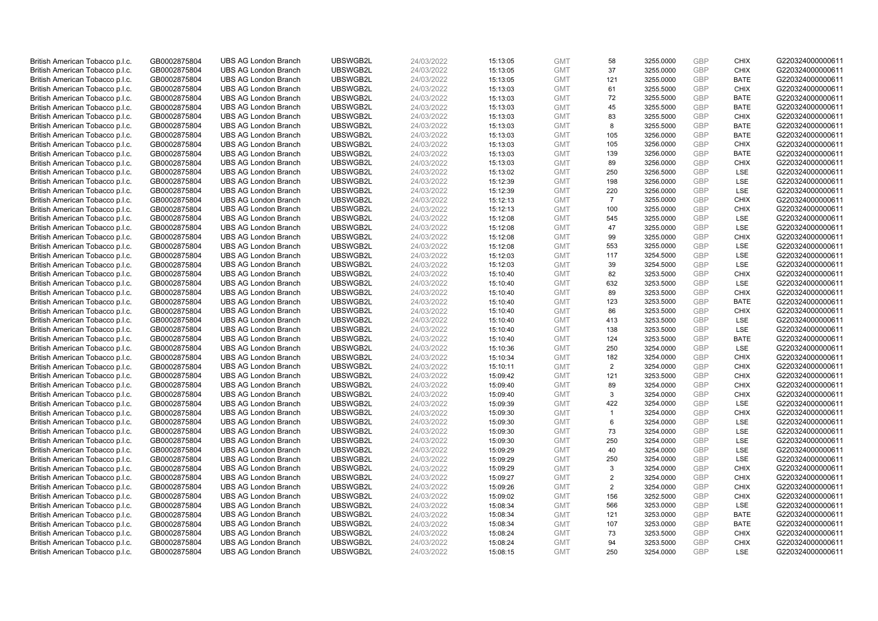| British American Tobacco p.l.c. | GB0002875804 | <b>UBS AG London Branch</b> | UBSWGB2L             | 24/03/2022 | 15:13:05 | <b>GMT</b> | 58             | 3255.0000              | GBP        | <b>CHIX</b>                | G220324000000611                     |
|---------------------------------|--------------|-----------------------------|----------------------|------------|----------|------------|----------------|------------------------|------------|----------------------------|--------------------------------------|
| British American Tobacco p.l.c. | GB0002875804 | <b>UBS AG London Branch</b> | UBSWGB2L             | 24/03/2022 | 15:13:05 | <b>GMT</b> | 37             | 3255.0000              | GBP        | <b>CHIX</b>                | G220324000000611                     |
| British American Tobacco p.l.c. | GB0002875804 | <b>UBS AG London Branch</b> | UBSWGB2L             | 24/03/2022 | 15:13:05 | <b>GMT</b> | 121            | 3255.0000              | GBP        | <b>BATE</b>                | G220324000000611                     |
| British American Tobacco p.l.c. | GB0002875804 | <b>UBS AG London Branch</b> | UBSWGB2L             | 24/03/2022 | 15:13:03 | <b>GMT</b> | 61             | 3255.5000              | GBP        | <b>CHIX</b>                | G220324000000611                     |
| British American Tobacco p.l.c. | GB0002875804 | <b>UBS AG London Branch</b> | UBSWGB2L             | 24/03/2022 | 15:13:03 | <b>GMT</b> | 72             | 3255.5000              | GBP        | <b>BATE</b>                | G220324000000611                     |
| British American Tobacco p.l.c. | GB0002875804 | <b>UBS AG London Branch</b> | UBSWGB2L             | 24/03/2022 | 15:13:03 | <b>GMT</b> | 45             | 3255.5000              | GBP        | <b>BATE</b>                | G220324000000611                     |
| British American Tobacco p.l.c. | GB0002875804 | <b>UBS AG London Branch</b> | UBSWGB2L             | 24/03/2022 | 15:13:03 | <b>GMT</b> | 83             | 3255.5000              | GBP        | <b>CHIX</b>                | G220324000000611                     |
| British American Tobacco p.l.c. | GB0002875804 | <b>UBS AG London Branch</b> | UBSWGB2L             | 24/03/2022 | 15:13:03 | <b>GMT</b> | 8              | 3255.5000              | GBP        | <b>BATE</b>                | G220324000000611                     |
| British American Tobacco p.l.c. | GB0002875804 | <b>UBS AG London Branch</b> | UBSWGB2L             | 24/03/2022 | 15:13:03 | <b>GMT</b> | 105            | 3256.0000              | GBP        | <b>BATE</b>                | G220324000000611                     |
| British American Tobacco p.l.c. | GB0002875804 | <b>UBS AG London Branch</b> | UBSWGB2L             | 24/03/2022 | 15:13:03 | <b>GMT</b> | 105            | 3256.0000              | GBP        | <b>CHIX</b>                | G220324000000611                     |
| British American Tobacco p.l.c. | GB0002875804 | <b>UBS AG London Branch</b> | UBSWGB2L             | 24/03/2022 | 15:13:03 | <b>GMT</b> | 139            | 3256.0000              | GBP        | <b>BATE</b>                | G220324000000611                     |
| British American Tobacco p.l.c. | GB0002875804 | <b>UBS AG London Branch</b> | UBSWGB2L             | 24/03/2022 | 15:13:03 | <b>GMT</b> | 89             | 3256.0000              | GBP        | <b>CHIX</b>                | G220324000000611                     |
| British American Tobacco p.l.c. | GB0002875804 | <b>UBS AG London Branch</b> | UBSWGB2L             | 24/03/2022 | 15:13:02 | <b>GMT</b> | 250            | 3256.5000              | GBP        | <b>LSE</b>                 | G220324000000611                     |
| British American Tobacco p.l.c. | GB0002875804 | <b>UBS AG London Branch</b> | UBSWGB2L             | 24/03/2022 | 15:12:39 | <b>GMT</b> | 198            | 3256.0000              | GBP        | LSE                        | G220324000000611                     |
| British American Tobacco p.l.c. | GB0002875804 | <b>UBS AG London Branch</b> | UBSWGB2L             | 24/03/2022 | 15:12:39 | <b>GMT</b> | 220            | 3256.0000              | GBP        | LSE                        | G220324000000611                     |
| British American Tobacco p.l.c. | GB0002875804 | <b>UBS AG London Branch</b> | UBSWGB2L             | 24/03/2022 | 15:12:13 | <b>GMT</b> | $\overline{7}$ | 3255.0000              | GBP        | <b>CHIX</b>                | G220324000000611                     |
| British American Tobacco p.l.c. | GB0002875804 | <b>UBS AG London Branch</b> | UBSWGB2L             | 24/03/2022 | 15:12:13 | <b>GMT</b> | 100            | 3255.0000              | GBP        | <b>CHIX</b>                | G220324000000611                     |
| British American Tobacco p.l.c. | GB0002875804 | <b>UBS AG London Branch</b> | UBSWGB2L             | 24/03/2022 | 15:12:08 | <b>GMT</b> | 545            | 3255.0000              | GBP        | LSE                        | G220324000000611                     |
| British American Tobacco p.l.c. | GB0002875804 | <b>UBS AG London Branch</b> | UBSWGB2L             | 24/03/2022 | 15:12:08 | <b>GMT</b> | 47             | 3255.0000              | GBP        | <b>LSE</b>                 | G220324000000611                     |
| British American Tobacco p.l.c. | GB0002875804 | <b>UBS AG London Branch</b> | UBSWGB2L             | 24/03/2022 | 15:12:08 | <b>GMT</b> | 99             | 3255.0000              | GBP        | <b>CHIX</b>                | G220324000000611                     |
| British American Tobacco p.l.c. | GB0002875804 | <b>UBS AG London Branch</b> | UBSWGB2L             | 24/03/2022 | 15:12:08 | <b>GMT</b> | 553            | 3255.0000              | GBP        | LSE                        | G220324000000611                     |
| British American Tobacco p.l.c. | GB0002875804 | <b>UBS AG London Branch</b> | UBSWGB2L             | 24/03/2022 | 15:12:03 | <b>GMT</b> | 117            | 3254.5000              | GBP        | LSE                        | G220324000000611                     |
| British American Tobacco p.l.c. | GB0002875804 | <b>UBS AG London Branch</b> | UBSWGB2L             | 24/03/2022 | 15:12:03 | <b>GMT</b> | 39             | 3254.5000              | GBP        | LSE                        | G220324000000611                     |
| British American Tobacco p.l.c. | GB0002875804 | <b>UBS AG London Branch</b> | UBSWGB2L             | 24/03/2022 | 15:10:40 | <b>GMT</b> | 82             | 3253.5000              | GBP        | <b>CHIX</b>                | G220324000000611                     |
| British American Tobacco p.l.c. | GB0002875804 | <b>UBS AG London Branch</b> | UBSWGB2L             | 24/03/2022 | 15:10:40 | <b>GMT</b> | 632            | 3253.5000              | GBP        | LSE                        | G220324000000611                     |
| British American Tobacco p.l.c. | GB0002875804 | <b>UBS AG London Branch</b> | UBSWGB2L             | 24/03/2022 | 15:10:40 | <b>GMT</b> | 89             | 3253.5000              | GBP        | <b>CHIX</b>                | G220324000000611                     |
| British American Tobacco p.l.c. | GB0002875804 | <b>UBS AG London Branch</b> | UBSWGB2L             | 24/03/2022 | 15:10:40 | <b>GMT</b> | 123            | 3253.5000              | GBP        | <b>BATE</b>                | G220324000000611                     |
| British American Tobacco p.l.c. | GB0002875804 | <b>UBS AG London Branch</b> | UBSWGB2L             | 24/03/2022 | 15:10:40 | <b>GMT</b> | 86             | 3253.5000              | GBP        | <b>CHIX</b>                | G220324000000611                     |
| British American Tobacco p.l.c. | GB0002875804 | <b>UBS AG London Branch</b> | UBSWGB2L             | 24/03/2022 | 15:10:40 | <b>GMT</b> | 413            | 3253.5000              | GBP        | LSE                        | G220324000000611                     |
| British American Tobacco p.l.c. | GB0002875804 | <b>UBS AG London Branch</b> | UBSWGB2L             | 24/03/2022 | 15:10:40 | <b>GMT</b> | 138            | 3253.5000              | GBP        | LSE                        | G220324000000611                     |
| British American Tobacco p.l.c. | GB0002875804 | <b>UBS AG London Branch</b> | UBSWGB2L             | 24/03/2022 | 15:10:40 | <b>GMT</b> | 124            | 3253.5000              | GBP        | <b>BATE</b>                | G220324000000611                     |
| British American Tobacco p.l.c. | GB0002875804 | <b>UBS AG London Branch</b> | UBSWGB2L             | 24/03/2022 | 15:10:36 | <b>GMT</b> | 250            | 3254.0000              | GBP        | LSE                        | G220324000000611                     |
| British American Tobacco p.l.c. | GB0002875804 | <b>UBS AG London Branch</b> | UBSWGB2L             | 24/03/2022 | 15:10:34 | <b>GMT</b> | 182            | 3254.0000              | GBP        | <b>CHIX</b>                | G220324000000611                     |
| British American Tobacco p.l.c. | GB0002875804 | <b>UBS AG London Branch</b> | UBSWGB2L             | 24/03/2022 | 15:10:11 | <b>GMT</b> | $\overline{2}$ | 3254.0000              | GBP        | <b>CHIX</b>                | G220324000000611                     |
| British American Tobacco p.l.c. | GB0002875804 | <b>UBS AG London Branch</b> | UBSWGB2L             | 24/03/2022 | 15:09:42 | <b>GMT</b> | 121            | 3253.5000              | GBP        | <b>CHIX</b>                | G220324000000611                     |
| British American Tobacco p.l.c. | GB0002875804 | <b>UBS AG London Branch</b> | UBSWGB2L             | 24/03/2022 | 15:09:40 | <b>GMT</b> | 89             | 3254.0000              | GBP        | <b>CHIX</b>                | G220324000000611                     |
| British American Tobacco p.l.c. | GB0002875804 | <b>UBS AG London Branch</b> | UBSWGB2L             | 24/03/2022 | 15:09:40 | <b>GMT</b> | 3              | 3254.0000              | GBP        | <b>CHIX</b>                | G220324000000611                     |
| British American Tobacco p.l.c. | GB0002875804 | <b>UBS AG London Branch</b> | UBSWGB2L             | 24/03/2022 | 15:09:39 | <b>GMT</b> | 422            | 3254.0000              | GBP        | LSE                        | G220324000000611                     |
| British American Tobacco p.l.c. | GB0002875804 | <b>UBS AG London Branch</b> | UBSWGB2L             | 24/03/2022 | 15:09:30 | <b>GMT</b> | $\mathbf{1}$   | 3254.0000              | GBP        | <b>CHIX</b>                | G220324000000611                     |
| British American Tobacco p.l.c. | GB0002875804 | <b>UBS AG London Branch</b> | UBSWGB2L             | 24/03/2022 | 15:09:30 | <b>GMT</b> | 6              | 3254.0000              | GBP        | LSE                        | G220324000000611                     |
| British American Tobacco p.l.c. | GB0002875804 | <b>UBS AG London Branch</b> | UBSWGB2L             | 24/03/2022 | 15:09:30 | <b>GMT</b> | 73             | 3254.0000              | GBP        | LSE                        | G220324000000611                     |
| British American Tobacco p.l.c. | GB0002875804 | <b>UBS AG London Branch</b> | UBSWGB2L             | 24/03/2022 | 15:09:30 | <b>GMT</b> | 250            | 3254.0000              | GBP        | LSE                        | G220324000000611                     |
| British American Tobacco p.l.c. | GB0002875804 | <b>UBS AG London Branch</b> | UBSWGB2L             | 24/03/2022 | 15:09:29 | <b>GMT</b> | 40             | 3254.0000              | GBP        | LSE                        | G220324000000611                     |
| British American Tobacco p.l.c. | GB0002875804 | <b>UBS AG London Branch</b> | UBSWGB2L             | 24/03/2022 | 15:09:29 | <b>GMT</b> | 250            | 3254.0000              | GBP        | LSE                        | G220324000000611                     |
| British American Tobacco p.l.c. | GB0002875804 | <b>UBS AG London Branch</b> | UBSWGB2L             | 24/03/2022 | 15:09:29 | <b>GMT</b> | 3              | 3254.0000              | GBP        | <b>CHIX</b>                | G220324000000611                     |
|                                 |              | <b>UBS AG London Branch</b> | UBSWGB2L             | 24/03/2022 |          | <b>GMT</b> | 2              |                        | GBP        |                            | G220324000000611                     |
| British American Tobacco p.l.c. | GB0002875804 |                             |                      |            | 15:09:27 | <b>GMT</b> | $\overline{2}$ | 3254.0000<br>3254.0000 | <b>GBP</b> | <b>CHIX</b><br><b>CHIX</b> |                                      |
| British American Tobacco p.l.c. | GB0002875804 | <b>UBS AG London Branch</b> | UBSWGB2L<br>UBSWGB2L | 24/03/2022 | 15:09:26 |            | 156            |                        | GBP        |                            | G220324000000611<br>G220324000000611 |
| British American Tobacco p.l.c. | GB0002875804 | <b>UBS AG London Branch</b> |                      | 24/03/2022 | 15:09:02 | <b>GMT</b> |                | 3252.5000              | GBP        | <b>CHIX</b>                |                                      |
| British American Tobacco p.l.c. | GB0002875804 | <b>UBS AG London Branch</b> | UBSWGB2L             | 24/03/2022 | 15:08:34 | <b>GMT</b> | 566            | 3253.0000              |            | LSE                        | G220324000000611                     |
| British American Tobacco p.l.c. | GB0002875804 | <b>UBS AG London Branch</b> | UBSWGB2L             | 24/03/2022 | 15:08:34 | <b>GMT</b> | 121            | 3253.0000              | GBP        | <b>BATE</b>                | G220324000000611                     |
| British American Tobacco p.l.c. | GB0002875804 | <b>UBS AG London Branch</b> | UBSWGB2L             | 24/03/2022 | 15:08:34 | <b>GMT</b> | 107            | 3253.0000              | GBP        | <b>BATE</b>                | G220324000000611                     |
| British American Tobacco p.l.c. | GB0002875804 | <b>UBS AG London Branch</b> | UBSWGB2L             | 24/03/2022 | 15:08:24 | <b>GMT</b> | 73             | 3253.5000              | <b>GBP</b> | <b>CHIX</b>                | G220324000000611                     |
| British American Tobacco p.l.c. | GB0002875804 | <b>UBS AG London Branch</b> | UBSWGB2L             | 24/03/2022 | 15:08:24 | <b>GMT</b> | 94             | 3253.5000              | GBP        | <b>CHIX</b>                | G220324000000611                     |
| British American Tobacco p.l.c. | GB0002875804 | <b>UBS AG London Branch</b> | UBSWGB2L             | 24/03/2022 | 15:08:15 | <b>GMT</b> | 250            | 3254.0000              | <b>GBP</b> | LSE                        | G220324000000611                     |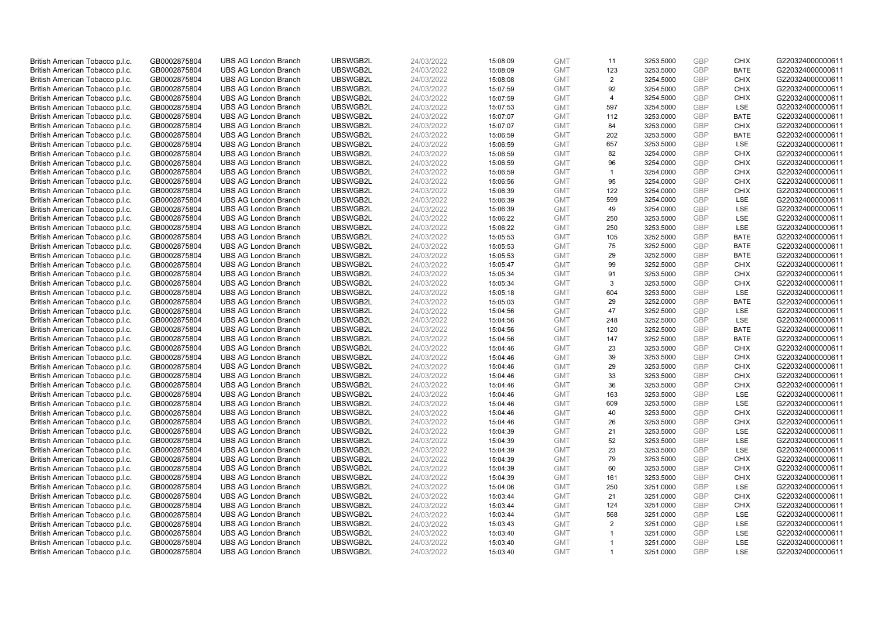| British American Tobacco p.l.c. | GB0002875804 | <b>UBS AG London Branch</b> | UBSWGB2L | 24/03/2022 | 15:08:09             | <b>GMT</b> | 11             | 3253.5000 | GBP        | <b>CHIX</b>               | G220324000000611 |
|---------------------------------|--------------|-----------------------------|----------|------------|----------------------|------------|----------------|-----------|------------|---------------------------|------------------|
| British American Tobacco p.l.c. | GB0002875804 | <b>UBS AG London Branch</b> | UBSWGB2L | 24/03/2022 | 15:08:09             | <b>GMT</b> | 123            | 3253.5000 | GBP        | <b>BATE</b>               | G220324000000611 |
| British American Tobacco p.l.c. | GB0002875804 | <b>UBS AG London Branch</b> | UBSWGB2L | 24/03/2022 | 15:08:08             | <b>GMT</b> | 2              | 3254.5000 | GBP        | <b>CHIX</b>               | G220324000000611 |
| British American Tobacco p.l.c. | GB0002875804 | <b>UBS AG London Branch</b> | UBSWGB2L | 24/03/2022 | 15:07:59             | <b>GMT</b> | 92             | 3254.5000 | GBP        | <b>CHIX</b>               | G220324000000611 |
| British American Tobacco p.l.c. | GB0002875804 | <b>UBS AG London Branch</b> | UBSWGB2L | 24/03/2022 | 15:07:59             | <b>GMT</b> | $\overline{4}$ | 3254.5000 | GBP        | <b>CHIX</b>               | G220324000000611 |
| British American Tobacco p.l.c. | GB0002875804 | <b>UBS AG London Branch</b> | UBSWGB2L | 24/03/2022 | 15:07:53             | <b>GMT</b> | 597            | 3254.5000 | GBP        | LSE                       | G220324000000611 |
| British American Tobacco p.l.c. | GB0002875804 | <b>UBS AG London Branch</b> | UBSWGB2L | 24/03/2022 | 15:07:07             | <b>GMT</b> | 112            | 3253.0000 | GBP        | <b>BATE</b>               | G220324000000611 |
| British American Tobacco p.l.c. | GB0002875804 | <b>UBS AG London Branch</b> | UBSWGB2L | 24/03/2022 | 15:07:07             | <b>GMT</b> | 84             | 3253.0000 | GBP        | <b>CHIX</b>               | G220324000000611 |
| British American Tobacco p.l.c. | GB0002875804 | <b>UBS AG London Branch</b> | UBSWGB2L | 24/03/2022 | 15:06:59             | <b>GMT</b> | 202            | 3253.5000 | GBP        | <b>BATE</b>               | G220324000000611 |
| British American Tobacco p.l.c. | GB0002875804 | <b>UBS AG London Branch</b> | UBSWGB2L | 24/03/2022 | 15:06:59             | <b>GMT</b> | 657            | 3253.5000 | GBP        | LSE                       | G220324000000611 |
| British American Tobacco p.l.c. | GB0002875804 | <b>UBS AG London Branch</b> | UBSWGB2L | 24/03/2022 | 15:06:59             | <b>GMT</b> | 82             | 3254.0000 | GBP        | <b>CHIX</b>               | G220324000000611 |
| British American Tobacco p.l.c. | GB0002875804 | <b>UBS AG London Branch</b> | UBSWGB2L | 24/03/2022 | 15:06:59             | <b>GMT</b> | 96             | 3254.0000 | GBP        | <b>CHIX</b>               | G220324000000611 |
| British American Tobacco p.l.c. | GB0002875804 | <b>UBS AG London Branch</b> | UBSWGB2L | 24/03/2022 | 15:06:59             | <b>GMT</b> | $\mathbf{1}$   | 3254.0000 | GBP        | <b>CHIX</b>               | G220324000000611 |
| British American Tobacco p.l.c. | GB0002875804 | <b>UBS AG London Branch</b> | UBSWGB2L | 24/03/2022 | 15:06:56             | <b>GMT</b> | 95             | 3254.0000 | GBP        | <b>CHIX</b>               | G220324000000611 |
| British American Tobacco p.l.c. | GB0002875804 | <b>UBS AG London Branch</b> | UBSWGB2L | 24/03/2022 |                      | <b>GMT</b> | 122            | 3254.0000 | GBP        | <b>CHIX</b>               | G220324000000611 |
|                                 |              |                             | UBSWGB2L |            | 15:06:39             |            |                |           | GBP        | LSE                       | G220324000000611 |
| British American Tobacco p.l.c. | GB0002875804 | <b>UBS AG London Branch</b> |          | 24/03/2022 | 15:06:39             | <b>GMT</b> | 599            | 3254.0000 |            |                           |                  |
| British American Tobacco p.l.c. | GB0002875804 | <b>UBS AG London Branch</b> | UBSWGB2L | 24/03/2022 | 15:06:39             | <b>GMT</b> | 49             | 3254.0000 | GBP        | LSE                       | G220324000000611 |
| British American Tobacco p.l.c. | GB0002875804 | <b>UBS AG London Branch</b> | UBSWGB2L | 24/03/2022 | 15:06:22             | <b>GMT</b> | 250            | 3253.5000 | GBP        | LSE                       | G220324000000611 |
| British American Tobacco p.l.c. | GB0002875804 | <b>UBS AG London Branch</b> | UBSWGB2L | 24/03/2022 | 15:06:22             | <b>GMT</b> | 250            | 3253.5000 | GBP        | <b>LSE</b>                | G220324000000611 |
| British American Tobacco p.l.c. | GB0002875804 | <b>UBS AG London Branch</b> | UBSWGB2L | 24/03/2022 | 15:05:53             | <b>GMT</b> | 105            | 3252.5000 | GBP        | <b>BATE</b>               | G220324000000611 |
| British American Tobacco p.l.c. | GB0002875804 | <b>UBS AG London Branch</b> | UBSWGB2L | 24/03/2022 | 15:05:53             | <b>GMT</b> | 75             | 3252.5000 | GBP        | <b>BATE</b>               | G220324000000611 |
| British American Tobacco p.l.c. | GB0002875804 | <b>UBS AG London Branch</b> | UBSWGB2L | 24/03/2022 | 15:05:53             | <b>GMT</b> | 29             | 3252.5000 | GBP        | <b>BATE</b>               | G220324000000611 |
| British American Tobacco p.l.c. | GB0002875804 | <b>UBS AG London Branch</b> | UBSWGB2L | 24/03/2022 | 15:05:47             | <b>GMT</b> | 99             | 3252.5000 | GBP        | <b>CHIX</b>               | G220324000000611 |
| British American Tobacco p.l.c. | GB0002875804 | <b>UBS AG London Branch</b> | UBSWGB2L | 24/03/2022 | 15:05:34             | <b>GMT</b> | 91             | 3253.5000 | GBP        | <b>CHIX</b>               | G220324000000611 |
| British American Tobacco p.l.c. | GB0002875804 | <b>UBS AG London Branch</b> | UBSWGB2L | 24/03/2022 | 15:05:34             | <b>GMT</b> | 3              | 3253.5000 | GBP        | <b>CHIX</b>               | G220324000000611 |
| British American Tobacco p.l.c. | GB0002875804 | <b>UBS AG London Branch</b> | UBSWGB2L | 24/03/2022 | 15:05:18             | <b>GMT</b> | 604            | 3253.5000 | GBP        | <b>LSE</b>                | G220324000000611 |
| British American Tobacco p.l.c. | GB0002875804 | <b>UBS AG London Branch</b> | UBSWGB2L | 24/03/2022 | 15:05:03             | <b>GMT</b> | 29             | 3252.0000 | GBP        | <b>BATE</b>               | G220324000000611 |
| British American Tobacco p.l.c. | GB0002875804 | <b>UBS AG London Branch</b> | UBSWGB2L | 24/03/2022 | 15:04:56             | <b>GMT</b> | 47             | 3252.5000 | GBP        | <b>LSE</b>                | G220324000000611 |
| British American Tobacco p.l.c. | GB0002875804 | <b>UBS AG London Branch</b> | UBSWGB2L | 24/03/2022 | 15:04:56             | <b>GMT</b> | 248            | 3252.5000 | GBP        | LSE                       | G220324000000611 |
| British American Tobacco p.l.c. | GB0002875804 | <b>UBS AG London Branch</b> | UBSWGB2L | 24/03/2022 | 15:04:56             | <b>GMT</b> | 120            | 3252.5000 | GBP        | <b>BATE</b>               | G220324000000611 |
| British American Tobacco p.l.c. | GB0002875804 | <b>UBS AG London Branch</b> | UBSWGB2L | 24/03/2022 | 15:04:56             | <b>GMT</b> | 147            | 3252.5000 | GBP        | <b>BATE</b>               | G220324000000611 |
| British American Tobacco p.l.c. | GB0002875804 | <b>UBS AG London Branch</b> | UBSWGB2L | 24/03/2022 | 15:04:46             | <b>GMT</b> | 23             | 3253.5000 | GBP        | <b>CHIX</b>               | G220324000000611 |
| British American Tobacco p.l.c. | GB0002875804 | <b>UBS AG London Branch</b> | UBSWGB2L | 24/03/2022 | 15:04:46             | <b>GMT</b> | 39             | 3253.5000 | GBP        | <b>CHIX</b>               | G220324000000611 |
| British American Tobacco p.l.c. | GB0002875804 | <b>UBS AG London Branch</b> | UBSWGB2L | 24/03/2022 | 15:04:46             | <b>GMT</b> | 29             | 3253.5000 | GBP        | <b>CHIX</b>               | G220324000000611 |
| British American Tobacco p.l.c. | GB0002875804 | <b>UBS AG London Branch</b> | UBSWGB2L | 24/03/2022 | 15:04:46             | <b>GMT</b> | 33             | 3253.5000 | GBP        | <b>CHIX</b>               | G220324000000611 |
| British American Tobacco p.l.c. | GB0002875804 | <b>UBS AG London Branch</b> | UBSWGB2L | 24/03/2022 | 15:04:46             | <b>GMT</b> | 36             | 3253.5000 | GBP        | <b>CHIX</b>               | G220324000000611 |
| British American Tobacco p.l.c. | GB0002875804 | <b>UBS AG London Branch</b> | UBSWGB2L | 24/03/2022 | 15:04:46             | <b>GMT</b> | 163            | 3253.5000 | GBP        | <b>LSE</b>                | G220324000000611 |
| British American Tobacco p.l.c. | GB0002875804 | <b>UBS AG London Branch</b> | UBSWGB2L | 24/03/2022 | 15:04:46             | <b>GMT</b> | 609            | 3253.5000 | GBP        | LSE                       | G220324000000611 |
| British American Tobacco p.l.c. | GB0002875804 | <b>UBS AG London Branch</b> | UBSWGB2L | 24/03/2022 | 15:04:46             | <b>GMT</b> | 40             | 3253.5000 | GBP        | <b>CHIX</b>               | G220324000000611 |
| British American Tobacco p.l.c. | GB0002875804 | <b>UBS AG London Branch</b> | UBSWGB2L | 24/03/2022 | 15:04:46             | <b>GMT</b> | 26             | 3253.5000 | GBP        | <b>CHIX</b>               | G220324000000611 |
| British American Tobacco p.l.c. | GB0002875804 | <b>UBS AG London Branch</b> | UBSWGB2L | 24/03/2022 | 15:04:39             | <b>GMT</b> | 21             | 3253.5000 | GBP        | <b>LSE</b>                | G220324000000611 |
| British American Tobacco p.l.c. | GB0002875804 | <b>UBS AG London Branch</b> | UBSWGB2L | 24/03/2022 | 15:04:39             | <b>GMT</b> | 52             | 3253.5000 | GBP        | LSE                       | G220324000000611 |
| British American Tobacco p.l.c. | GB0002875804 | <b>UBS AG London Branch</b> | UBSWGB2L | 24/03/2022 | 15:04:39             | <b>GMT</b> | 23             | 3253.5000 | GBP        | LSE                       | G220324000000611 |
| British American Tobacco p.l.c. | GB0002875804 | <b>UBS AG London Branch</b> | UBSWGB2L | 24/03/2022 |                      | <b>GMT</b> | 79             | 3253.5000 | GBP        | <b>CHIX</b>               | G220324000000611 |
| British American Tobacco p.l.c. | GB0002875804 | <b>UBS AG London Branch</b> | UBSWGB2L | 24/03/2022 | 15:04:39<br>15:04:39 | <b>GMT</b> | 60             | 3253.5000 | GBP        | <b>CHIX</b>               | G220324000000611 |
|                                 |              |                             |          |            |                      |            |                |           |            |                           |                  |
| British American Tobacco p.l.c. | GB0002875804 | <b>UBS AG London Branch</b> | UBSWGB2L | 24/03/2022 | 15:04:39             | <b>GMT</b> | 161            | 3253.5000 | GBP        | <b>CHIX</b><br><b>LSE</b> | G220324000000611 |
| British American Tobacco p.l.c. | GB0002875804 | <b>UBS AG London Branch</b> | UBSWGB2L | 24/03/2022 | 15:04:06             | <b>GMT</b> | 250            | 3251.0000 | <b>GBP</b> |                           | G220324000000611 |
| British American Tobacco p.l.c. | GB0002875804 | <b>UBS AG London Branch</b> | UBSWGB2L | 24/03/2022 | 15:03:44             | <b>GMT</b> | 21             | 3251.0000 | GBP        | <b>CHIX</b>               | G220324000000611 |
| British American Tobacco p.l.c. | GB0002875804 | <b>UBS AG London Branch</b> | UBSWGB2L | 24/03/2022 | 15:03:44             | <b>GMT</b> | 124            | 3251.0000 | GBP        | <b>CHIX</b>               | G220324000000611 |
| British American Tobacco p.l.c. | GB0002875804 | <b>UBS AG London Branch</b> | UBSWGB2L | 24/03/2022 | 15:03:44             | <b>GMT</b> | 568            | 3251.0000 | GBP        | <b>LSE</b>                | G220324000000611 |
| British American Tobacco p.l.c. | GB0002875804 | <b>UBS AG London Branch</b> | UBSWGB2L | 24/03/2022 | 15:03:43             | <b>GMT</b> | 2              | 3251.0000 | GBP        | LSE                       | G220324000000611 |
| British American Tobacco p.l.c. | GB0002875804 | <b>UBS AG London Branch</b> | UBSWGB2L | 24/03/2022 | 15:03:40             | <b>GMT</b> | $\overline{1}$ | 3251.0000 | <b>GBP</b> | <b>LSE</b>                | G220324000000611 |
| British American Tobacco p.l.c. | GB0002875804 | <b>UBS AG London Branch</b> | UBSWGB2L | 24/03/2022 | 15:03:40             | <b>GMT</b> | $\overline{1}$ | 3251.0000 | GBP        | LSE                       | G220324000000611 |
| British American Tobacco p.l.c. | GB0002875804 | <b>UBS AG London Branch</b> | UBSWGB2L | 24/03/2022 | 15:03:40             | <b>GMT</b> | $\mathbf{1}$   | 3251.0000 | GBP        | <b>LSE</b>                | G220324000000611 |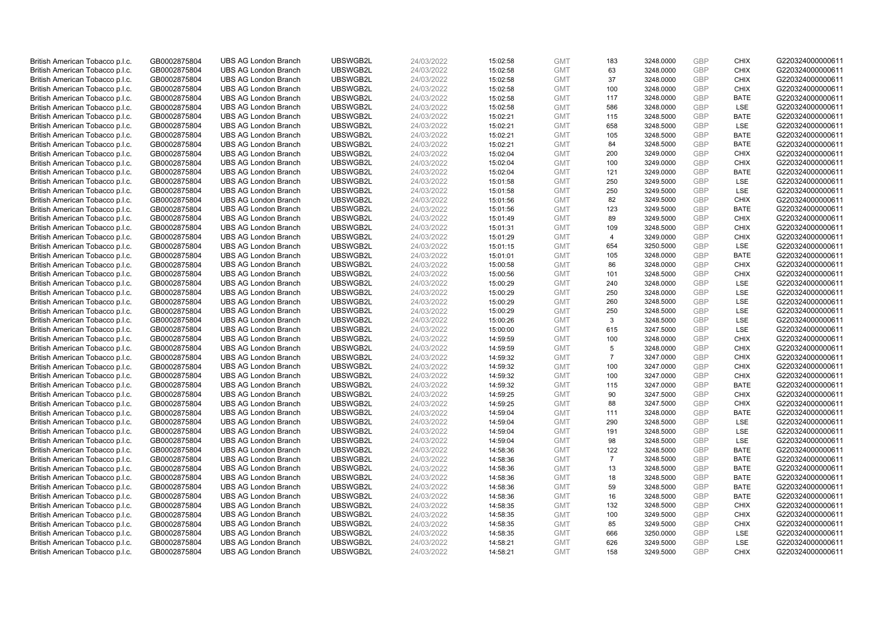| British American Tobacco p.l.c. | GB0002875804 | <b>UBS AG London Branch</b> | UBSWGB2L | 24/03/2022 | 15:02:58 | <b>GMT</b>               | 183            | 3248.0000 | GBP        | <b>CHIX</b> | G220324000000611 |
|---------------------------------|--------------|-----------------------------|----------|------------|----------|--------------------------|----------------|-----------|------------|-------------|------------------|
| British American Tobacco p.l.c. | GB0002875804 | <b>UBS AG London Branch</b> | UBSWGB2L | 24/03/2022 | 15:02:58 | <b>GMT</b>               | 63             | 3248.0000 | GBP        | <b>CHIX</b> | G220324000000611 |
| British American Tobacco p.l.c. | GB0002875804 | <b>UBS AG London Branch</b> | UBSWGB2L | 24/03/2022 | 15:02:58 | <b>GMT</b>               | 37             | 3248.0000 | GBP        | <b>CHIX</b> | G220324000000611 |
| British American Tobacco p.l.c. | GB0002875804 | <b>UBS AG London Branch</b> | UBSWGB2L | 24/03/2022 | 15:02:58 | <b>GMT</b>               | 100            | 3248.0000 | GBP        | <b>CHIX</b> | G220324000000611 |
| British American Tobacco p.l.c. | GB0002875804 | <b>UBS AG London Branch</b> | UBSWGB2L | 24/03/2022 | 15:02:58 | <b>GMT</b>               | 117            | 3248.0000 | GBP        | <b>BATE</b> | G220324000000611 |
| British American Tobacco p.l.c. | GB0002875804 | <b>UBS AG London Branch</b> | UBSWGB2L | 24/03/2022 | 15:02:58 | <b>GMT</b>               | 586            | 3248.0000 | GBP        | LSE         | G220324000000611 |
| British American Tobacco p.l.c. | GB0002875804 | <b>UBS AG London Branch</b> | UBSWGB2L | 24/03/2022 | 15:02:21 | <b>GMT</b>               | 115            | 3248.5000 | GBP        | <b>BATE</b> | G220324000000611 |
| British American Tobacco p.l.c. | GB0002875804 | <b>UBS AG London Branch</b> | UBSWGB2L | 24/03/2022 | 15:02:21 | <b>GMT</b>               | 658            | 3248.5000 | GBP        | LSE         | G220324000000611 |
| British American Tobacco p.l.c. | GB0002875804 | <b>UBS AG London Branch</b> | UBSWGB2L | 24/03/2022 | 15:02:21 | <b>GMT</b>               | 105            | 3248.5000 | GBP        | <b>BATE</b> | G220324000000611 |
| British American Tobacco p.l.c. | GB0002875804 | <b>UBS AG London Branch</b> | UBSWGB2L | 24/03/2022 | 15:02:21 | <b>GMT</b>               | 84             | 3248.5000 | GBP        | <b>BATE</b> | G220324000000611 |
| British American Tobacco p.l.c. | GB0002875804 | <b>UBS AG London Branch</b> | UBSWGB2L | 24/03/2022 | 15:02:04 | <b>GMT</b>               | 200            | 3249.0000 | GBP        | <b>CHIX</b> | G220324000000611 |
| British American Tobacco p.l.c. | GB0002875804 | <b>UBS AG London Branch</b> | UBSWGB2L | 24/03/2022 | 15:02:04 | <b>GMT</b>               | 100            | 3249.0000 | GBP        | <b>CHIX</b> | G220324000000611 |
| British American Tobacco p.l.c. | GB0002875804 | <b>UBS AG London Branch</b> | UBSWGB2L | 24/03/2022 | 15:02:04 | <b>GMT</b>               | 121            | 3249.0000 | GBP        | <b>BATE</b> | G220324000000611 |
| British American Tobacco p.l.c. | GB0002875804 | <b>UBS AG London Branch</b> | UBSWGB2L | 24/03/2022 | 15:01:58 | <b>GMT</b>               | 250            | 3249.5000 | GBP        | LSE         | G220324000000611 |
| British American Tobacco p.l.c. | GB0002875804 | <b>UBS AG London Branch</b> | UBSWGB2L | 24/03/2022 | 15:01:58 | <b>GMT</b>               | 250            | 3249.5000 | GBP        | <b>LSE</b>  | G220324000000611 |
| British American Tobacco p.l.c. | GB0002875804 | <b>UBS AG London Branch</b> | UBSWGB2L | 24/03/2022 | 15:01:56 | <b>GMT</b>               | 82             | 3249.5000 | GBP        | <b>CHIX</b> | G220324000000611 |
| British American Tobacco p.l.c. | GB0002875804 | <b>UBS AG London Branch</b> | UBSWGB2L | 24/03/2022 | 15:01:56 | <b>GMT</b>               | 123            | 3249.5000 | GBP        | <b>BATE</b> | G220324000000611 |
| British American Tobacco p.l.c. | GB0002875804 | <b>UBS AG London Branch</b> | UBSWGB2L | 24/03/2022 | 15:01:49 | <b>GMT</b>               | 89             | 3249.5000 | GBP        | <b>CHIX</b> | G220324000000611 |
| British American Tobacco p.l.c. | GB0002875804 | <b>UBS AG London Branch</b> | UBSWGB2L | 24/03/2022 | 15:01:31 | <b>GMT</b>               | 109            | 3248.5000 | GBP        | <b>CHIX</b> | G220324000000611 |
| British American Tobacco p.l.c. | GB0002875804 | <b>UBS AG London Branch</b> | UBSWGB2L | 24/03/2022 | 15:01:29 | <b>GMT</b>               | $\overline{4}$ | 3249.0000 | GBP        | <b>CHIX</b> | G220324000000611 |
| British American Tobacco p.l.c. | GB0002875804 | <b>UBS AG London Branch</b> | UBSWGB2L | 24/03/2022 | 15:01:15 | <b>GMT</b>               | 654            | 3250.5000 | GBP        | LSE         | G220324000000611 |
| British American Tobacco p.l.c. | GB0002875804 | <b>UBS AG London Branch</b> | UBSWGB2L | 24/03/2022 | 15:01:01 | <b>GMT</b>               | 105            | 3248.0000 | GBP        | <b>BATE</b> | G220324000000611 |
| British American Tobacco p.l.c. | GB0002875804 | <b>UBS AG London Branch</b> | UBSWGB2L | 24/03/2022 | 15:00:58 | <b>GMT</b>               | 86             | 3248.0000 | GBP        | <b>CHIX</b> | G220324000000611 |
| British American Tobacco p.l.c. | GB0002875804 | <b>UBS AG London Branch</b> | UBSWGB2L | 24/03/2022 | 15:00:56 | <b>GMT</b>               | 101            | 3248.5000 | GBP        | <b>CHIX</b> | G220324000000611 |
| British American Tobacco p.l.c. | GB0002875804 | <b>UBS AG London Branch</b> | UBSWGB2L | 24/03/2022 | 15:00:29 | <b>GMT</b>               | 240            | 3248.0000 | GBP        | LSE         | G220324000000611 |
| British American Tobacco p.l.c. | GB0002875804 | <b>UBS AG London Branch</b> | UBSWGB2L | 24/03/2022 | 15:00:29 | <b>GMT</b>               | 250            | 3248.0000 | GBP        | LSE         | G220324000000611 |
| British American Tobacco p.l.c. | GB0002875804 | <b>UBS AG London Branch</b> | UBSWGB2L | 24/03/2022 | 15:00:29 | <b>GMT</b>               | 260            | 3248.5000 | GBP        | LSE         | G220324000000611 |
| British American Tobacco p.l.c. | GB0002875804 | <b>UBS AG London Branch</b> | UBSWGB2L | 24/03/2022 | 15:00:29 | <b>GMT</b>               | 250            | 3248.5000 | GBP        | <b>LSE</b>  | G220324000000611 |
| British American Tobacco p.l.c. | GB0002875804 | <b>UBS AG London Branch</b> | UBSWGB2L | 24/03/2022 | 15:00:26 | <b>GMT</b>               | 3              | 3248.5000 | GBP        | LSE         | G220324000000611 |
| British American Tobacco p.l.c. | GB0002875804 | <b>UBS AG London Branch</b> | UBSWGB2L | 24/03/2022 | 15:00:00 | <b>GMT</b>               | 615            | 3247.5000 | GBP        | LSE         | G220324000000611 |
| British American Tobacco p.l.c. | GB0002875804 | <b>UBS AG London Branch</b> | UBSWGB2L | 24/03/2022 | 14:59:59 | <b>GMT</b>               | 100            | 3248.0000 | GBP        | <b>CHIX</b> | G220324000000611 |
| British American Tobacco p.l.c. | GB0002875804 | <b>UBS AG London Branch</b> | UBSWGB2L | 24/03/2022 | 14:59:59 | <b>GMT</b>               | 5              | 3248.0000 | GBP        | <b>CHIX</b> | G220324000000611 |
| British American Tobacco p.l.c. | GB0002875804 | <b>UBS AG London Branch</b> | UBSWGB2L | 24/03/2022 | 14:59:32 | <b>GMT</b>               | $\overline{7}$ | 3247.0000 | GBP        | <b>CHIX</b> | G220324000000611 |
| British American Tobacco p.l.c. | GB0002875804 | <b>UBS AG London Branch</b> | UBSWGB2L | 24/03/2022 | 14:59:32 | <b>GMT</b>               | 100            | 3247.0000 | GBP        | <b>CHIX</b> | G220324000000611 |
| British American Tobacco p.l.c. | GB0002875804 | <b>UBS AG London Branch</b> | UBSWGB2L | 24/03/2022 | 14:59:32 | <b>GMT</b>               | 100            | 3247.0000 | GBP        | <b>CHIX</b> | G220324000000611 |
| British American Tobacco p.l.c. | GB0002875804 | <b>UBS AG London Branch</b> | UBSWGB2L | 24/03/2022 | 14:59:32 | <b>GMT</b>               | 115            | 3247.0000 | GBP        | <b>BATE</b> | G220324000000611 |
| British American Tobacco p.l.c. | GB0002875804 | <b>UBS AG London Branch</b> | UBSWGB2L | 24/03/2022 | 14:59:25 | <b>GMT</b>               | 90             | 3247.5000 | GBP        | <b>CHIX</b> | G220324000000611 |
| British American Tobacco p.l.c. | GB0002875804 | <b>UBS AG London Branch</b> | UBSWGB2L | 24/03/2022 | 14:59:25 | <b>GMT</b>               | 88             | 3247.5000 | GBP        | <b>CHIX</b> | G220324000000611 |
| British American Tobacco p.l.c. | GB0002875804 | <b>UBS AG London Branch</b> | UBSWGB2L | 24/03/2022 | 14:59:04 | <b>GMT</b>               | 111            | 3248.0000 | GBP        | <b>BATE</b> | G220324000000611 |
| British American Tobacco p.l.c. | GB0002875804 | <b>UBS AG London Branch</b> | UBSWGB2L | 24/03/2022 | 14:59:04 | <b>GMT</b>               | 290            | 3248.5000 | GBP        | LSE         | G220324000000611 |
| British American Tobacco p.l.c. |              | <b>UBS AG London Branch</b> | UBSWGB2L | 24/03/2022 |          | <b>GMT</b>               | 191            | 3248.5000 | GBP        | <b>LSE</b>  | G220324000000611 |
|                                 | GB0002875804 |                             | UBSWGB2L |            | 14:59:04 |                          | 98             |           | GBP        | LSE         | G220324000000611 |
| British American Tobacco p.l.c. | GB0002875804 | <b>UBS AG London Branch</b> |          | 24/03/2022 | 14:59:04 | <b>GMT</b><br><b>GMT</b> |                | 3248.5000 | GBP        |             |                  |
| British American Tobacco p.l.c. | GB0002875804 | <b>UBS AG London Branch</b> | UBSWGB2L | 24/03/2022 | 14:58:36 |                          | 122            | 3248.5000 |            | <b>BATE</b> | G220324000000611 |
| British American Tobacco p.l.c. | GB0002875804 | <b>UBS AG London Branch</b> | UBSWGB2L | 24/03/2022 | 14:58:36 | <b>GMT</b>               | $\overline{7}$ | 3248.5000 | GBP        | <b>BATE</b> | G220324000000611 |
| British American Tobacco p.l.c. | GB0002875804 | <b>UBS AG London Branch</b> | UBSWGB2L | 24/03/2022 | 14:58:36 | <b>GMT</b>               | 13             | 3248.5000 | GBP        | <b>BATE</b> | G220324000000611 |
| British American Tobacco p.l.c. | GB0002875804 | <b>UBS AG London Branch</b> | UBSWGB2L | 24/03/2022 | 14:58:36 | <b>GMT</b>               | 18             | 3248.5000 | GBP        | <b>BATE</b> | G220324000000611 |
| British American Tobacco p.l.c. | GB0002875804 | <b>UBS AG London Branch</b> | UBSWGB2L | 24/03/2022 | 14:58:36 | <b>GMT</b>               | 59             | 3248.5000 | GBP        | <b>BATE</b> | G220324000000611 |
| British American Tobacco p.l.c. | GB0002875804 | <b>UBS AG London Branch</b> | UBSWGB2L | 24/03/2022 | 14:58:36 | <b>GMT</b>               | 16             | 3248.5000 | GBP        | <b>BATE</b> | G220324000000611 |
| British American Tobacco p.l.c. | GB0002875804 | <b>UBS AG London Branch</b> | UBSWGB2L | 24/03/2022 | 14:58:35 | <b>GMT</b>               | 132            | 3248.5000 | GBP        | <b>CHIX</b> | G220324000000611 |
| British American Tobacco p.l.c. | GB0002875804 | <b>UBS AG London Branch</b> | UBSWGB2L | 24/03/2022 | 14:58:35 | <b>GMT</b>               | 100            | 3249.5000 | GBP        | <b>CHIX</b> | G220324000000611 |
| British American Tobacco p.l.c. | GB0002875804 | <b>UBS AG London Branch</b> | UBSWGB2L | 24/03/2022 | 14:58:35 | <b>GMT</b>               | 85             | 3249.5000 | GBP        | <b>CHIX</b> | G220324000000611 |
| British American Tobacco p.l.c. | GB0002875804 | <b>UBS AG London Branch</b> | UBSWGB2L | 24/03/2022 | 14:58:35 | <b>GMT</b>               | 666            | 3250.0000 | <b>GBP</b> | LSE         | G220324000000611 |
| British American Tobacco p.l.c. | GB0002875804 | <b>UBS AG London Branch</b> | UBSWGB2L | 24/03/2022 | 14:58:21 | <b>GMT</b>               | 626            | 3249.5000 | GBP        | LSE         | G220324000000611 |
| British American Tobacco p.l.c. | GB0002875804 | <b>UBS AG London Branch</b> | UBSWGB2L | 24/03/2022 | 14:58:21 | <b>GMT</b>               | 158            | 3249.5000 | GBP        | <b>CHIX</b> | G220324000000611 |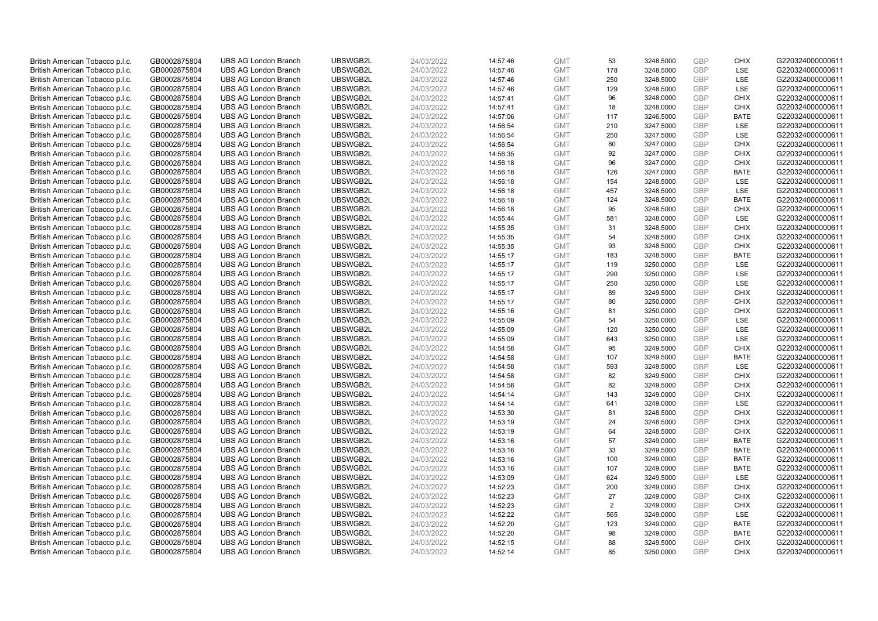| British American Tobacco p.l.c. | GB0002875804                 | <b>UBS AG London Branch</b>                                | UBSWGB2L             | 24/03/2022               | 14:57:46             | <b>GMT</b>               | 53             | 3248.5000              | GBP        | <b>CHIX</b> | G220324000000611 |
|---------------------------------|------------------------------|------------------------------------------------------------|----------------------|--------------------------|----------------------|--------------------------|----------------|------------------------|------------|-------------|------------------|
| British American Tobacco p.l.c. | GB0002875804                 | <b>UBS AG London Branch</b>                                | UBSWGB2L             | 24/03/2022               | 14:57:46             | <b>GMT</b>               | 178            | 3248.5000              | GBP        | <b>LSE</b>  | G220324000000611 |
| British American Tobacco p.l.c. | GB0002875804                 | <b>UBS AG London Branch</b>                                | UBSWGB2L             | 24/03/2022               | 14:57:46             | <b>GMT</b>               | 250            | 3248.5000              | GBP        | LSE         | G220324000000611 |
| British American Tobacco p.l.c. | GB0002875804                 | <b>UBS AG London Branch</b>                                | UBSWGB2L             | 24/03/2022               | 14:57:46             | <b>GMT</b>               | 129            | 3248.5000              | GBP        | LSE         | G220324000000611 |
| British American Tobacco p.l.c. | GB0002875804                 | <b>UBS AG London Branch</b>                                | UBSWGB2L             | 24/03/2022               | 14:57:41             | <b>GMT</b>               | 96             | 3248.0000              | GBP        | <b>CHIX</b> | G220324000000611 |
| British American Tobacco p.l.c. | GB0002875804                 | <b>UBS AG London Branch</b>                                | UBSWGB2L             | 24/03/2022               | 14:57:41             | <b>GMT</b>               | 18             | 3248.0000              | GBP        | <b>CHIX</b> | G220324000000611 |
| British American Tobacco p.l.c. | GB0002875804                 | <b>UBS AG London Branch</b>                                | UBSWGB2L             | 24/03/2022               | 14:57:06             | <b>GMT</b>               | 117            | 3246.5000              | GBP        | <b>BATE</b> | G220324000000611 |
| British American Tobacco p.l.c. | GB0002875804                 | <b>UBS AG London Branch</b>                                | UBSWGB2L             | 24/03/2022               | 14:56:54             | <b>GMT</b>               | 210            | 3247.5000              | GBP        | LSE         | G220324000000611 |
| British American Tobacco p.l.c. | GB0002875804                 | <b>UBS AG London Branch</b>                                | UBSWGB2L             | 24/03/2022               | 14:56:54             | <b>GMT</b>               | 250            | 3247.5000              | GBP        | LSE         | G220324000000611 |
| British American Tobacco p.l.c. | GB0002875804                 | <b>UBS AG London Branch</b>                                | UBSWGB2L             | 24/03/2022               | 14:56:54             | <b>GMT</b>               | 80             | 3247.0000              | GBP        | <b>CHIX</b> | G220324000000611 |
| British American Tobacco p.l.c. | GB0002875804                 | <b>UBS AG London Branch</b>                                | UBSWGB2L             | 24/03/2022               | 14:56:35             | <b>GMT</b>               | 92             | 3247.0000              | GBP        | <b>CHIX</b> | G220324000000611 |
| British American Tobacco p.l.c. | GB0002875804                 | <b>UBS AG London Branch</b>                                | UBSWGB2L             | 24/03/2022               | 14:56:18             | <b>GMT</b>               | 96             | 3247.0000              | GBP        | <b>CHIX</b> | G220324000000611 |
| British American Tobacco p.l.c. | GB0002875804                 | <b>UBS AG London Branch</b>                                | UBSWGB2L             | 24/03/2022               | 14:56:18             | <b>GMT</b>               | 126            | 3247.0000              | GBP        | <b>BATE</b> | G220324000000611 |
| British American Tobacco p.l.c. | GB0002875804                 | <b>UBS AG London Branch</b>                                | UBSWGB2L             | 24/03/2022               | 14:56:18             | <b>GMT</b>               | 154            | 3248.5000              | GBP        | LSE         | G220324000000611 |
| British American Tobacco p.l.c. | GB0002875804                 | <b>UBS AG London Branch</b>                                | UBSWGB2L             | 24/03/2022               | 14:56:18             | <b>GMT</b>               | 457            | 3248.5000              | GBP        | <b>LSE</b>  | G220324000000611 |
| British American Tobacco p.l.c. | GB0002875804                 | <b>UBS AG London Branch</b>                                | UBSWGB2L             | 24/03/2022               | 14:56:18             | <b>GMT</b>               | 124            | 3248.5000              | GBP        | <b>BATE</b> | G220324000000611 |
| British American Tobacco p.l.c. | GB0002875804                 | <b>UBS AG London Branch</b>                                | UBSWGB2L             | 24/03/2022               | 14:56:18             | <b>GMT</b>               | 95             | 3248.5000              | GBP        | <b>CHIX</b> | G220324000000611 |
| British American Tobacco p.l.c. | GB0002875804                 | <b>UBS AG London Branch</b>                                | UBSWGB2L             | 24/03/2022               | 14:55:44             | <b>GMT</b>               | 581            | 3248.0000              | GBP        | LSE         | G220324000000611 |
| British American Tobacco p.l.c. | GB0002875804                 | <b>UBS AG London Branch</b>                                | UBSWGB2L             | 24/03/2022               | 14:55:35             | <b>GMT</b>               | 31             | 3248.5000              | GBP        | <b>CHIX</b> | G220324000000611 |
| British American Tobacco p.l.c. | GB0002875804                 | <b>UBS AG London Branch</b>                                | UBSWGB2L             | 24/03/2022               | 14:55:35             | <b>GMT</b>               | 54             | 3248.5000              | GBP        | <b>CHIX</b> | G220324000000611 |
| British American Tobacco p.l.c. | GB0002875804                 | <b>UBS AG London Branch</b>                                | UBSWGB2L             | 24/03/2022               | 14:55:35             | <b>GMT</b>               | 93             | 3248.5000              | GBP        | <b>CHIX</b> | G220324000000611 |
| British American Tobacco p.l.c. | GB0002875804                 | <b>UBS AG London Branch</b>                                | UBSWGB2L             | 24/03/2022               | 14:55:17             | <b>GMT</b>               | 183            | 3248.5000              | GBP        | <b>BATE</b> | G220324000000611 |
| British American Tobacco p.l.c. | GB0002875804                 | <b>UBS AG London Branch</b>                                | UBSWGB2L             | 24/03/2022               | 14:55:17             | <b>GMT</b>               | 119            | 3250.0000              | GBP        | LSE         | G220324000000611 |
| British American Tobacco p.l.c. | GB0002875804                 | <b>UBS AG London Branch</b>                                | UBSWGB2L             | 24/03/2022               | 14:55:17             | <b>GMT</b>               | 290            | 3250.0000              | GBP        | LSE         | G220324000000611 |
| British American Tobacco p.l.c. | GB0002875804                 | <b>UBS AG London Branch</b>                                | UBSWGB2L             | 24/03/2022               | 14:55:17             | <b>GMT</b>               | 250            | 3250.0000              | GBP        | LSE         | G220324000000611 |
| British American Tobacco p.l.c. | GB0002875804                 | <b>UBS AG London Branch</b>                                | UBSWGB2L             | 24/03/2022               | 14:55:17             | <b>GMT</b>               | 89             | 3249.5000              | GBP        | <b>CHIX</b> | G220324000000611 |
| British American Tobacco p.l.c. | GB0002875804                 | <b>UBS AG London Branch</b>                                | UBSWGB2L             | 24/03/2022               | 14:55:17             | <b>GMT</b>               | 80             | 3250.0000              | GBP        | <b>CHIX</b> | G220324000000611 |
| British American Tobacco p.l.c. | GB0002875804                 | <b>UBS AG London Branch</b>                                | UBSWGB2L             | 24/03/2022               | 14:55:16             | <b>GMT</b>               | 81             | 3250.0000              | GBP        | <b>CHIX</b> | G220324000000611 |
| British American Tobacco p.l.c. | GB0002875804                 | <b>UBS AG London Branch</b>                                | UBSWGB2L             | 24/03/2022               | 14:55:09             | <b>GMT</b>               | 54             | 3250.0000              | GBP        | LSE         | G220324000000611 |
| British American Tobacco p.l.c. | GB0002875804                 | <b>UBS AG London Branch</b>                                | UBSWGB2L             | 24/03/2022               | 14:55:09             | <b>GMT</b>               | 120            | 3250.0000              | GBP        | LSE         | G220324000000611 |
| British American Tobacco p.l.c. | GB0002875804                 | <b>UBS AG London Branch</b>                                | UBSWGB2L             | 24/03/2022               | 14:55:09             | <b>GMT</b>               | 643            | 3250.0000              | GBP        | LSE         | G220324000000611 |
| British American Tobacco p.l.c. | GB0002875804                 | <b>UBS AG London Branch</b>                                | UBSWGB2L             | 24/03/2022               | 14:54:58             | <b>GMT</b>               | 95             | 3249.5000              | GBP        | <b>CHIX</b> | G220324000000611 |
| British American Tobacco p.l.c. | GB0002875804                 | <b>UBS AG London Branch</b>                                | UBSWGB2L             | 24/03/2022               | 14:54:58             | <b>GMT</b>               | 107            | 3249.5000              | GBP        | <b>BATE</b> | G220324000000611 |
| British American Tobacco p.l.c. | GB0002875804                 | <b>UBS AG London Branch</b>                                | UBSWGB2L             | 24/03/2022               | 14:54:58             | <b>GMT</b>               | 593            | 3249.5000              | GBP        | <b>LSE</b>  | G220324000000611 |
| British American Tobacco p.l.c. | GB0002875804                 | <b>UBS AG London Branch</b>                                | UBSWGB2L             | 24/03/2022               | 14:54:58             | <b>GMT</b>               | 82             | 3249.5000              | GBP        | <b>CHIX</b> | G220324000000611 |
| British American Tobacco p.l.c. | GB0002875804                 | <b>UBS AG London Branch</b>                                | UBSWGB2L             | 24/03/2022               | 14:54:58             | <b>GMT</b>               | 82             | 3249.5000              | GBP        | <b>CHIX</b> | G220324000000611 |
| British American Tobacco p.l.c. | GB0002875804                 | <b>UBS AG London Branch</b>                                | UBSWGB2L             | 24/03/2022               | 14:54:14             | <b>GMT</b>               | 143            | 3249.0000              | GBP        | <b>CHIX</b> | G220324000000611 |
| British American Tobacco p.l.c. | GB0002875804                 | <b>UBS AG London Branch</b>                                | UBSWGB2L             | 24/03/2022               | 14:54:14             | <b>GMT</b>               | 641            | 3249.0000              | GBP        | LSE         | G220324000000611 |
| British American Tobacco p.l.c. | GB0002875804                 | <b>UBS AG London Branch</b>                                | UBSWGB2L             | 24/03/2022               | 14:53:30             | <b>GMT</b>               | 81             | 3248.5000              | GBP        | <b>CHIX</b> | G220324000000611 |
| British American Tobacco p.l.c. | GB0002875804                 | <b>UBS AG London Branch</b>                                | UBSWGB2L             | 24/03/2022               | 14:53:19             | <b>GMT</b>               | 24             | 3248.5000              | GBP        | <b>CHIX</b> | G220324000000611 |
| British American Tobacco p.l.c. |                              | <b>UBS AG London Branch</b>                                | UBSWGB2L             | 24/03/2022               |                      | <b>GMT</b>               | 64             | 3248.5000              | GBP        | <b>CHIX</b> | G220324000000611 |
|                                 | GB0002875804                 |                                                            |                      |                          | 14:53:19             |                          | 57             |                        | GBP        | <b>BATE</b> | G220324000000611 |
| British American Tobacco p.l.c. | GB0002875804<br>GB0002875804 | <b>UBS AG London Branch</b><br><b>UBS AG London Branch</b> | UBSWGB2L<br>UBSWGB2L | 24/03/2022<br>24/03/2022 | 14:53:16<br>14:53:16 | <b>GMT</b><br><b>GMT</b> | 33             | 3249.0000<br>3249.5000 | GBP        | <b>BATE</b> | G220324000000611 |
| British American Tobacco p.l.c. |                              |                                                            |                      |                          |                      |                          | 100            |                        | GBP        | <b>BATE</b> |                  |
| British American Tobacco p.l.c. | GB0002875804                 | <b>UBS AG London Branch</b>                                | UBSWGB2L             | 24/03/2022               | 14:53:16             | <b>GMT</b>               |                | 3249.0000              |            |             | G220324000000611 |
| British American Tobacco p.l.c. | GB0002875804                 | <b>UBS AG London Branch</b>                                | UBSWGB2L             | 24/03/2022               | 14:53:16             | <b>GMT</b>               | 107            | 3249.0000              | GBP        | <b>BATE</b> | G220324000000611 |
| British American Tobacco p.l.c. | GB0002875804                 | <b>UBS AG London Branch</b>                                | UBSWGB2L             | 24/03/2022               | 14:53:09             | <b>GMT</b>               | 624            | 3249.5000              | GBP        | LSE         | G220324000000611 |
| British American Tobacco p.l.c. | GB0002875804                 | <b>UBS AG London Branch</b>                                | UBSWGB2L             | 24/03/2022               | 14:52:23             | <b>GMT</b>               | 200            | 3249.0000              | GBP        | <b>CHIX</b> | G220324000000611 |
| British American Tobacco p.l.c. | GB0002875804                 | <b>UBS AG London Branch</b>                                | UBSWGB2L             | 24/03/2022               | 14:52:23             | <b>GMT</b>               | 27             | 3249.0000              | GBP        | <b>CHIX</b> | G220324000000611 |
| British American Tobacco p.l.c. | GB0002875804                 | <b>UBS AG London Branch</b>                                | UBSWGB2L             | 24/03/2022               | 14:52:23             | <b>GMT</b>               | $\overline{2}$ | 3249.0000              | GBP        | <b>CHIX</b> | G220324000000611 |
| British American Tobacco p.l.c. | GB0002875804                 | <b>UBS AG London Branch</b>                                | UBSWGB2L             | 24/03/2022               | 14:52:22             | <b>GMT</b>               | 565            | 3249.0000              | GBP        | LSE         | G220324000000611 |
| British American Tobacco p.l.c. | GB0002875804                 | <b>UBS AG London Branch</b>                                | UBSWGB2L             | 24/03/2022               | 14:52:20             | <b>GMT</b>               | 123            | 3249.0000              | GBP        | <b>BATE</b> | G220324000000611 |
| British American Tobacco p.l.c. | GB0002875804                 | <b>UBS AG London Branch</b>                                | UBSWGB2L             | 24/03/2022               | 14:52:20             | <b>GMT</b>               | 98             | 3249.0000              | <b>GBP</b> | <b>BATE</b> | G220324000000611 |
| British American Tobacco p.l.c. | GB0002875804                 | <b>UBS AG London Branch</b>                                | UBSWGB2L             | 24/03/2022               | 14:52:15             | <b>GMT</b>               | 88             | 3249.5000              | GBP        | <b>CHIX</b> | G220324000000611 |
| British American Tobacco p.l.c. | GB0002875804                 | <b>UBS AG London Branch</b>                                | UBSWGB2L             | 24/03/2022               | 14:52:14             | <b>GMT</b>               | 85             | 3250.0000              | GBP        | <b>CHIX</b> | G220324000000611 |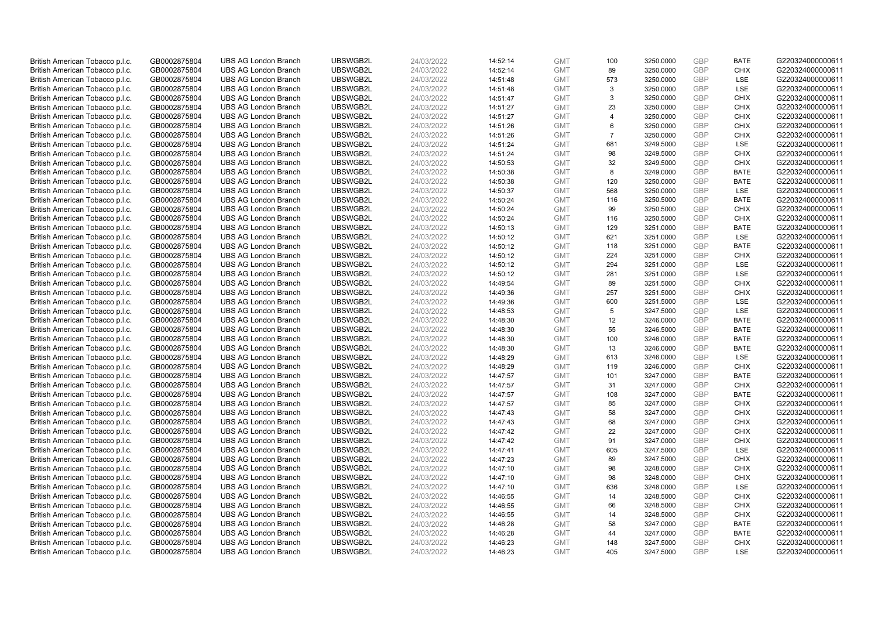| British American Tobacco p.l.c. | GB0002875804 | <b>UBS AG London Branch</b> | UBSWGB2L | 24/03/2022 | 14:52:14 | <b>GMT</b>               | 100            | 3250.0000 | GBP        | <b>BATE</b> | G220324000000611 |
|---------------------------------|--------------|-----------------------------|----------|------------|----------|--------------------------|----------------|-----------|------------|-------------|------------------|
|                                 | GB0002875804 | <b>UBS AG London Branch</b> | UBSWGB2L | 24/03/2022 |          | <b>GMT</b>               | 89             | 3250.0000 | GBP        | <b>CHIX</b> | G220324000000611 |
| British American Tobacco p.l.c. |              |                             |          |            | 14:52:14 |                          |                |           |            |             |                  |
| British American Tobacco p.l.c. | GB0002875804 | <b>UBS AG London Branch</b> | UBSWGB2L | 24/03/2022 | 14:51:48 | <b>GMT</b>               | 573            | 3250.0000 | GBP        | LSE         | G220324000000611 |
| British American Tobacco p.l.c. | GB0002875804 | <b>UBS AG London Branch</b> | UBSWGB2L | 24/03/2022 | 14:51:48 | <b>GMT</b>               | 3              | 3250.0000 | GBP        | LSE         | G220324000000611 |
| British American Tobacco p.l.c. | GB0002875804 | <b>UBS AG London Branch</b> | UBSWGB2L | 24/03/2022 | 14:51:47 | <b>GMT</b>               | 3              | 3250.0000 | GBP        | <b>CHIX</b> | G220324000000611 |
| British American Tobacco p.l.c. | GB0002875804 | <b>UBS AG London Branch</b> | UBSWGB2L | 24/03/2022 | 14:51:27 | <b>GMT</b>               | 23             | 3250.0000 | GBP        | <b>CHIX</b> | G220324000000611 |
| British American Tobacco p.l.c. | GB0002875804 | <b>UBS AG London Branch</b> | UBSWGB2L | 24/03/2022 | 14:51:27 | <b>GMT</b>               | $\overline{4}$ | 3250.0000 | GBP        | <b>CHIX</b> | G220324000000611 |
| British American Tobacco p.l.c. | GB0002875804 | <b>UBS AG London Branch</b> | UBSWGB2L | 24/03/2022 | 14:51:26 | <b>GMT</b>               | 6              | 3250.0000 | GBP        | <b>CHIX</b> | G220324000000611 |
| British American Tobacco p.l.c. | GB0002875804 | <b>UBS AG London Branch</b> | UBSWGB2L | 24/03/2022 | 14:51:26 | <b>GMT</b>               | $\overline{7}$ | 3250.0000 | GBP        | <b>CHIX</b> | G220324000000611 |
| British American Tobacco p.l.c. | GB0002875804 | <b>UBS AG London Branch</b> | UBSWGB2L | 24/03/2022 | 14:51:24 | <b>GMT</b>               | 681            | 3249.5000 | GBP        | LSE         | G220324000000611 |
| British American Tobacco p.l.c. | GB0002875804 | <b>UBS AG London Branch</b> | UBSWGB2L | 24/03/2022 | 14:51:24 | <b>GMT</b>               | 98             | 3249.5000 | GBP        | <b>CHIX</b> | G220324000000611 |
| British American Tobacco p.l.c. | GB0002875804 | <b>UBS AG London Branch</b> | UBSWGB2L | 24/03/2022 | 14:50:53 | <b>GMT</b>               | 32             | 3249.5000 | GBP        | <b>CHIX</b> | G220324000000611 |
| British American Tobacco p.l.c. | GB0002875804 | <b>UBS AG London Branch</b> | UBSWGB2L | 24/03/2022 | 14:50:38 | <b>GMT</b>               | 8              | 3249.0000 | GBP        | <b>BATE</b> | G220324000000611 |
| British American Tobacco p.l.c. | GB0002875804 | <b>UBS AG London Branch</b> | UBSWGB2L | 24/03/2022 | 14:50:38 | <b>GMT</b>               | 120            | 3250.0000 | GBP        | <b>BATE</b> | G220324000000611 |
| British American Tobacco p.l.c. | GB0002875804 | <b>UBS AG London Branch</b> | UBSWGB2L | 24/03/2022 | 14:50:37 | <b>GMT</b>               | 568            | 3250.0000 | GBP        | LSE         | G220324000000611 |
| British American Tobacco p.l.c. | GB0002875804 | <b>UBS AG London Branch</b> | UBSWGB2L | 24/03/2022 | 14:50:24 | <b>GMT</b>               | 116            | 3250.5000 | GBP        | <b>BATE</b> | G220324000000611 |
| British American Tobacco p.l.c. | GB0002875804 | <b>UBS AG London Branch</b> | UBSWGB2L | 24/03/2022 | 14:50:24 | <b>GMT</b>               | 99             | 3250.5000 | GBP        | <b>CHIX</b> | G220324000000611 |
| British American Tobacco p.l.c. | GB0002875804 | <b>UBS AG London Branch</b> | UBSWGB2L | 24/03/2022 | 14:50:24 | <b>GMT</b>               | 116            | 3250.5000 | GBP        | <b>CHIX</b> | G220324000000611 |
|                                 |              | <b>UBS AG London Branch</b> | UBSWGB2L |            |          |                          |                |           |            | <b>BATE</b> |                  |
| British American Tobacco p.l.c. | GB0002875804 |                             |          | 24/03/2022 | 14:50:13 | <b>GMT</b>               | 129            | 3251.0000 | GBP        |             | G220324000000611 |
| British American Tobacco p.l.c. | GB0002875804 | <b>UBS AG London Branch</b> | UBSWGB2L | 24/03/2022 | 14:50:12 | <b>GMT</b>               | 621            | 3251.0000 | GBP        | LSE         | G220324000000611 |
| British American Tobacco p.l.c. | GB0002875804 | <b>UBS AG London Branch</b> | UBSWGB2L | 24/03/2022 | 14:50:12 | <b>GMT</b>               | 118            | 3251.0000 | GBP        | <b>BATE</b> | G220324000000611 |
| British American Tobacco p.l.c. | GB0002875804 | <b>UBS AG London Branch</b> | UBSWGB2L | 24/03/2022 | 14:50:12 | <b>GMT</b>               | 224            | 3251.0000 | GBP        | <b>CHIX</b> | G220324000000611 |
| British American Tobacco p.l.c. | GB0002875804 | <b>UBS AG London Branch</b> | UBSWGB2L | 24/03/2022 | 14:50:12 | <b>GMT</b>               | 294            | 3251.0000 | GBP        | LSE         | G220324000000611 |
| British American Tobacco p.l.c. | GB0002875804 | <b>UBS AG London Branch</b> | UBSWGB2L | 24/03/2022 | 14:50:12 | <b>GMT</b>               | 281            | 3251.0000 | GBP        | LSE         | G220324000000611 |
| British American Tobacco p.l.c. | GB0002875804 | <b>UBS AG London Branch</b> | UBSWGB2L | 24/03/2022 | 14:49:54 | <b>GMT</b>               | 89             | 3251.5000 | GBP        | <b>CHIX</b> | G220324000000611 |
| British American Tobacco p.l.c. | GB0002875804 | <b>UBS AG London Branch</b> | UBSWGB2L | 24/03/2022 | 14:49:36 | <b>GMT</b>               | 257            | 3251.5000 | GBP        | <b>CHIX</b> | G220324000000611 |
| British American Tobacco p.l.c. | GB0002875804 | <b>UBS AG London Branch</b> | UBSWGB2L | 24/03/2022 | 14:49:36 | <b>GMT</b>               | 600            | 3251.5000 | GBP        | LSE         | G220324000000611 |
| British American Tobacco p.l.c. | GB0002875804 | <b>UBS AG London Branch</b> | UBSWGB2L | 24/03/2022 | 14:48:53 | <b>GMT</b>               | 5              | 3247.5000 | GBP        | LSE         | G220324000000611 |
| British American Tobacco p.l.c. | GB0002875804 | <b>UBS AG London Branch</b> | UBSWGB2L | 24/03/2022 | 14:48:30 | <b>GMT</b>               | 12             | 3246.0000 | GBP        | <b>BATE</b> | G220324000000611 |
| British American Tobacco p.l.c. | GB0002875804 | <b>UBS AG London Branch</b> | UBSWGB2L | 24/03/2022 | 14:48:30 | <b>GMT</b>               | 55             | 3246.5000 | GBP        | <b>BATE</b> | G220324000000611 |
| British American Tobacco p.l.c. | GB0002875804 | <b>UBS AG London Branch</b> | UBSWGB2L | 24/03/2022 | 14:48:30 | <b>GMT</b>               | 100            | 3246.0000 | GBP        | <b>BATE</b> | G220324000000611 |
| British American Tobacco p.l.c. | GB0002875804 | <b>UBS AG London Branch</b> | UBSWGB2L | 24/03/2022 | 14:48:30 | <b>GMT</b>               | 13             | 3246.0000 | GBP        | <b>BATE</b> | G220324000000611 |
| British American Tobacco p.l.c. | GB0002875804 | <b>UBS AG London Branch</b> | UBSWGB2L | 24/03/2022 | 14:48:29 | <b>GMT</b>               | 613            | 3246.0000 | GBP        | LSE         | G220324000000611 |
| British American Tobacco p.l.c. | GB0002875804 | <b>UBS AG London Branch</b> | UBSWGB2L | 24/03/2022 | 14:48:29 | <b>GMT</b>               | 119            | 3246.0000 | GBP        | <b>CHIX</b> | G220324000000611 |
| British American Tobacco p.l.c. | GB0002875804 | <b>UBS AG London Branch</b> | UBSWGB2L | 24/03/2022 | 14:47:57 | <b>GMT</b>               | 101            | 3247.0000 | GBP        | <b>BATE</b> | G220324000000611 |
| British American Tobacco p.l.c. | GB0002875804 | <b>UBS AG London Branch</b> | UBSWGB2L | 24/03/2022 | 14:47:57 | <b>GMT</b>               | 31             | 3247.0000 | GBP        | <b>CHIX</b> | G220324000000611 |
| British American Tobacco p.l.c. | GB0002875804 | <b>UBS AG London Branch</b> | UBSWGB2L | 24/03/2022 | 14:47:57 | <b>GMT</b>               | 108            | 3247.0000 | GBP        | <b>BATE</b> | G220324000000611 |
| British American Tobacco p.l.c. | GB0002875804 | <b>UBS AG London Branch</b> | UBSWGB2L | 24/03/2022 | 14:47:57 | <b>GMT</b>               | 85             | 3247.0000 | GBP        | <b>CHIX</b> | G220324000000611 |
| British American Tobacco p.l.c. | GB0002875804 | <b>UBS AG London Branch</b> | UBSWGB2L | 24/03/2022 | 14:47:43 | <b>GMT</b>               | 58             | 3247.0000 | GBP        | <b>CHIX</b> | G220324000000611 |
| British American Tobacco p.l.c. | GB0002875804 | <b>UBS AG London Branch</b> | UBSWGB2L | 24/03/2022 | 14:47:43 | <b>GMT</b>               | 68             | 3247.0000 | GBP        | <b>CHIX</b> | G220324000000611 |
| British American Tobacco p.l.c. | GB0002875804 | <b>UBS AG London Branch</b> | UBSWGB2L | 24/03/2022 | 14:47:42 | <b>GMT</b>               | 22             | 3247.0000 | <b>GBP</b> | <b>CHIX</b> | G220324000000611 |
|                                 |              |                             |          |            |          |                          | 91             |           | GBP        | <b>CHIX</b> | G220324000000611 |
| British American Tobacco p.l.c. | GB0002875804 | <b>UBS AG London Branch</b> | UBSWGB2L | 24/03/2022 | 14:47:42 | <b>GMT</b><br><b>GMT</b> |                | 3247.0000 | GBP        | <b>LSE</b>  |                  |
| British American Tobacco p.l.c. | GB0002875804 | <b>UBS AG London Branch</b> | UBSWGB2L | 24/03/2022 | 14:47:41 |                          | 605            | 3247.5000 |            |             | G220324000000611 |
| British American Tobacco p.l.c. | GB0002875804 | <b>UBS AG London Branch</b> | UBSWGB2L | 24/03/2022 | 14:47:23 | <b>GMT</b>               | 89             | 3247.5000 | GBP        | <b>CHIX</b> | G220324000000611 |
| British American Tobacco p.l.c. | GB0002875804 | <b>UBS AG London Branch</b> | UBSWGB2L | 24/03/2022 | 14:47:10 | <b>GMT</b>               | 98             | 3248.0000 | GBP        | <b>CHIX</b> | G220324000000611 |
| British American Tobacco p.l.c. | GB0002875804 | <b>UBS AG London Branch</b> | UBSWGB2L | 24/03/2022 | 14:47:10 | <b>GMT</b>               | 98             | 3248.0000 | GBP        | <b>CHIX</b> | G220324000000611 |
| British American Tobacco p.l.c. | GB0002875804 | <b>UBS AG London Branch</b> | UBSWGB2L | 24/03/2022 | 14:47:10 | <b>GMT</b>               | 636            | 3248.0000 | <b>GBP</b> | <b>LSE</b>  | G220324000000611 |
| British American Tobacco p.l.c. | GB0002875804 | <b>UBS AG London Branch</b> | UBSWGB2L | 24/03/2022 | 14:46:55 | <b>GMT</b>               | 14             | 3248.5000 | GBP        | <b>CHIX</b> | G220324000000611 |
| British American Tobacco p.l.c. | GB0002875804 | <b>UBS AG London Branch</b> | UBSWGB2L | 24/03/2022 | 14:46:55 | <b>GMT</b>               | 66             | 3248.5000 | GBP        | <b>CHIX</b> | G220324000000611 |
| British American Tobacco p.l.c. | GB0002875804 | <b>UBS AG London Branch</b> | UBSWGB2L | 24/03/2022 | 14:46:55 | <b>GMT</b>               | 14             | 3248.5000 | GBP        | <b>CHIX</b> | G220324000000611 |
| British American Tobacco p.l.c. | GB0002875804 | <b>UBS AG London Branch</b> | UBSWGB2L | 24/03/2022 | 14:46:28 | <b>GMT</b>               | 58             | 3247.0000 | GBP        | <b>BATE</b> | G220324000000611 |
| British American Tobacco p.l.c. | GB0002875804 | <b>UBS AG London Branch</b> | UBSWGB2L | 24/03/2022 | 14:46:28 | <b>GMT</b>               | 44             | 3247.0000 | <b>GBP</b> | <b>BATE</b> | G220324000000611 |
| British American Tobacco p.l.c. | GB0002875804 | <b>UBS AG London Branch</b> | UBSWGB2L | 24/03/2022 | 14:46:23 | <b>GMT</b>               | 148            | 3247.5000 | GBP        | <b>CHIX</b> | G220324000000611 |
| British American Tobacco p.l.c. | GB0002875804 | <b>UBS AG London Branch</b> | UBSWGB2L | 24/03/2022 | 14:46:23 | <b>GMT</b>               | 405            | 3247.5000 | GBP        | LSE         | G220324000000611 |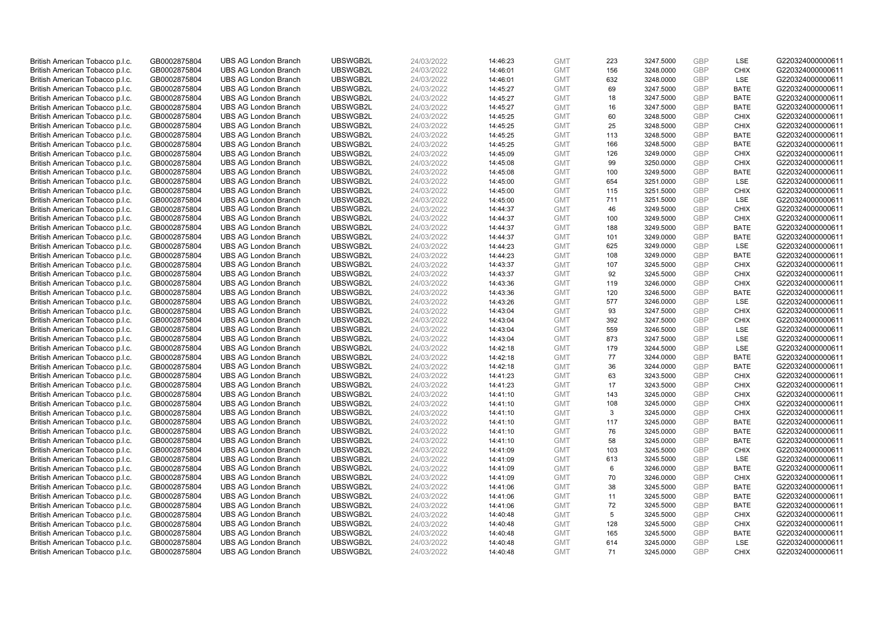| British American Tobacco p.l.c. | GB0002875804 | <b>UBS AG London Branch</b> | UBSWGB2L | 24/03/2022 | 14:46:23 | <b>GMT</b> | 223 | 3247.5000 | <b>GBP</b> | LSE         | G220324000000611 |
|---------------------------------|--------------|-----------------------------|----------|------------|----------|------------|-----|-----------|------------|-------------|------------------|
| British American Tobacco p.l.c. | GB0002875804 | <b>UBS AG London Branch</b> | UBSWGB2L | 24/03/2022 | 14:46:01 | <b>GMT</b> | 156 | 3248.0000 | <b>GBP</b> | <b>CHIX</b> | G220324000000611 |
| British American Tobacco p.l.c. | GB0002875804 | <b>UBS AG London Branch</b> | UBSWGB2L | 24/03/2022 | 14:46:01 | <b>GMT</b> | 632 | 3248.0000 | GBP        | LSE         | G220324000000611 |
| British American Tobacco p.l.c. | GB0002875804 | <b>UBS AG London Branch</b> | UBSWGB2L | 24/03/2022 | 14:45:27 | <b>GMT</b> | 69  | 3247.5000 | <b>GBP</b> | <b>BATE</b> | G220324000000611 |
| British American Tobacco p.l.c. | GB0002875804 | <b>UBS AG London Branch</b> | UBSWGB2L | 24/03/2022 | 14:45:27 | <b>GMT</b> | 18  | 3247.5000 | GBP        | <b>BATE</b> | G220324000000611 |
| British American Tobacco p.l.c. | GB0002875804 | <b>UBS AG London Branch</b> | UBSWGB2L | 24/03/2022 | 14:45:27 | <b>GMT</b> | 16  | 3247.5000 | GBP        | <b>BATE</b> | G220324000000611 |
| British American Tobacco p.l.c. | GB0002875804 | <b>UBS AG London Branch</b> | UBSWGB2L | 24/03/2022 | 14:45:25 | <b>GMT</b> | 60  | 3248.5000 | GBP        | <b>CHIX</b> | G220324000000611 |
| British American Tobacco p.l.c. | GB0002875804 | <b>UBS AG London Branch</b> | UBSWGB2L | 24/03/2022 | 14:45:25 | <b>GMT</b> | 25  | 3248.5000 | <b>GBP</b> | <b>CHIX</b> | G220324000000611 |
| British American Tobacco p.l.c. | GB0002875804 | <b>UBS AG London Branch</b> | UBSWGB2L | 24/03/2022 | 14:45:25 | <b>GMT</b> | 113 | 3248.5000 | <b>GBP</b> | <b>BATE</b> | G220324000000611 |
| British American Tobacco p.l.c. | GB0002875804 | <b>UBS AG London Branch</b> | UBSWGB2L | 24/03/2022 | 14:45:25 | <b>GMT</b> | 166 | 3248.5000 | <b>GBP</b> | <b>BATE</b> | G220324000000611 |
| British American Tobacco p.l.c. | GB0002875804 | <b>UBS AG London Branch</b> | UBSWGB2L | 24/03/2022 | 14:45:09 | <b>GMT</b> | 126 | 3249.0000 | GBP        | <b>CHIX</b> | G220324000000611 |
| British American Tobacco p.l.c. | GB0002875804 | <b>UBS AG London Branch</b> | UBSWGB2L | 24/03/2022 | 14:45:08 | <b>GMT</b> | 99  | 3250.0000 | <b>GBP</b> | <b>CHIX</b> | G220324000000611 |
| British American Tobacco p.l.c. | GB0002875804 | <b>UBS AG London Branch</b> | UBSWGB2L | 24/03/2022 | 14:45:08 | <b>GMT</b> | 100 | 3249.5000 | <b>GBP</b> | <b>BATE</b> | G220324000000611 |
| British American Tobacco p.l.c. | GB0002875804 | <b>UBS AG London Branch</b> | UBSWGB2L | 24/03/2022 | 14:45:00 | <b>GMT</b> | 654 | 3251.0000 | <b>GBP</b> | LSE         | G220324000000611 |
| British American Tobacco p.l.c. | GB0002875804 | <b>UBS AG London Branch</b> | UBSWGB2L | 24/03/2022 | 14:45:00 | <b>GMT</b> | 115 | 3251.5000 | <b>GBP</b> | <b>CHIX</b> | G220324000000611 |
| British American Tobacco p.l.c. | GB0002875804 | <b>UBS AG London Branch</b> | UBSWGB2L | 24/03/2022 | 14:45:00 | <b>GMT</b> | 711 | 3251.5000 | GBP        | LSE         | G220324000000611 |
| British American Tobacco p.l.c. | GB0002875804 | <b>UBS AG London Branch</b> | UBSWGB2L | 24/03/2022 | 14:44:37 | <b>GMT</b> | 46  | 3249.5000 | <b>GBP</b> | <b>CHIX</b> | G220324000000611 |
| British American Tobacco p.l.c. | GB0002875804 | <b>UBS AG London Branch</b> | UBSWGB2L | 24/03/2022 | 14:44:37 | <b>GMT</b> | 100 | 3249.5000 | GBP        | <b>CHIX</b> | G220324000000611 |
| British American Tobacco p.l.c. | GB0002875804 | <b>UBS AG London Branch</b> | UBSWGB2L | 24/03/2022 | 14:44:37 | <b>GMT</b> | 188 | 3249.5000 | <b>GBP</b> | <b>BATE</b> | G220324000000611 |
| British American Tobacco p.l.c. | GB0002875804 | <b>UBS AG London Branch</b> | UBSWGB2L | 24/03/2022 | 14:44:37 | <b>GMT</b> | 101 | 3249.0000 | GBP        | <b>BATE</b> | G220324000000611 |
| British American Tobacco p.l.c. | GB0002875804 | <b>UBS AG London Branch</b> | UBSWGB2L | 24/03/2022 | 14:44:23 | <b>GMT</b> | 625 | 3249.0000 | <b>GBP</b> | LSE         | G220324000000611 |
| British American Tobacco p.l.c. | GB0002875804 | <b>UBS AG London Branch</b> | UBSWGB2L | 24/03/2022 | 14:44:23 | <b>GMT</b> | 108 | 3249.0000 | <b>GBP</b> | <b>BATE</b> | G220324000000611 |
| British American Tobacco p.l.c. | GB0002875804 | <b>UBS AG London Branch</b> | UBSWGB2L | 24/03/2022 | 14:43:37 | <b>GMT</b> | 107 | 3245.5000 | <b>GBP</b> | <b>CHIX</b> | G220324000000611 |
| British American Tobacco p.l.c. | GB0002875804 | <b>UBS AG London Branch</b> | UBSWGB2L | 24/03/2022 | 14:43:37 | <b>GMT</b> | 92  | 3245.5000 | GBP        | <b>CHIX</b> | G220324000000611 |
| British American Tobacco p.l.c. | GB0002875804 | <b>UBS AG London Branch</b> | UBSWGB2L | 24/03/2022 | 14:43:36 | <b>GMT</b> | 119 | 3246.0000 | <b>GBP</b> | <b>CHIX</b> | G220324000000611 |
| British American Tobacco p.l.c. | GB0002875804 | <b>UBS AG London Branch</b> | UBSWGB2L | 24/03/2022 | 14:43:36 | <b>GMT</b> | 120 | 3246.5000 | <b>GBP</b> | <b>BATE</b> | G220324000000611 |
| British American Tobacco p.l.c. | GB0002875804 | <b>UBS AG London Branch</b> | UBSWGB2L | 24/03/2022 | 14:43:26 | <b>GMT</b> | 577 | 3246.0000 | <b>GBP</b> | LSE         | G220324000000611 |
| British American Tobacco p.l.c. | GB0002875804 | <b>UBS AG London Branch</b> | UBSWGB2L | 24/03/2022 | 14:43:04 | <b>GMT</b> | 93  | 3247.5000 | <b>GBP</b> | <b>CHIX</b> | G220324000000611 |
| British American Tobacco p.l.c. | GB0002875804 | <b>UBS AG London Branch</b> | UBSWGB2L | 24/03/2022 | 14:43:04 | <b>GMT</b> | 392 | 3247.5000 | GBP        | <b>CHIX</b> | G220324000000611 |
| British American Tobacco p.l.c. | GB0002875804 | <b>UBS AG London Branch</b> | UBSWGB2L | 24/03/2022 | 14:43:04 | <b>GMT</b> | 559 | 3246.5000 | <b>GBP</b> | <b>LSE</b>  | G220324000000611 |
| British American Tobacco p.l.c. | GB0002875804 | <b>UBS AG London Branch</b> | UBSWGB2L | 24/03/2022 | 14:43:04 | <b>GMT</b> | 873 | 3247.5000 | GBP        | LSE         | G220324000000611 |
| British American Tobacco p.l.c. | GB0002875804 | <b>UBS AG London Branch</b> | UBSWGB2L | 24/03/2022 | 14:42:18 | <b>GMT</b> | 179 | 3244.5000 | GBP        | <b>LSE</b>  | G220324000000611 |
| British American Tobacco p.l.c. | GB0002875804 | <b>UBS AG London Branch</b> | UBSWGB2L | 24/03/2022 | 14:42:18 | <b>GMT</b> | 77  | 3244.0000 | GBP        | <b>BATE</b> | G220324000000611 |
| British American Tobacco p.l.c. | GB0002875804 | <b>UBS AG London Branch</b> | UBSWGB2L | 24/03/2022 | 14:42:18 | <b>GMT</b> | 36  | 3244.0000 | GBP        | <b>BATE</b> | G220324000000611 |
| British American Tobacco p.l.c. | GB0002875804 | <b>UBS AG London Branch</b> | UBSWGB2L | 24/03/2022 | 14:41:23 | <b>GMT</b> | 63  | 3243.5000 | <b>GBP</b> | <b>CHIX</b> | G220324000000611 |
| British American Tobacco p.l.c. | GB0002875804 | <b>UBS AG London Branch</b> | UBSWGB2L | 24/03/2022 | 14:41:23 | <b>GMT</b> | 17  | 3243.5000 | <b>GBP</b> | <b>CHIX</b> | G220324000000611 |
| British American Tobacco p.l.c. | GB0002875804 | <b>UBS AG London Branch</b> | UBSWGB2L | 24/03/2022 | 14:41:10 | <b>GMT</b> | 143 | 3245.0000 | GBP        | <b>CHIX</b> | G220324000000611 |
| British American Tobacco p.l.c. | GB0002875804 | <b>UBS AG London Branch</b> | UBSWGB2L | 24/03/2022 | 14:41:10 | <b>GMT</b> | 108 | 3245.0000 | <b>GBP</b> | <b>CHIX</b> | G220324000000611 |
| British American Tobacco p.l.c. | GB0002875804 | <b>UBS AG London Branch</b> | UBSWGB2L | 24/03/2022 | 14:41:10 | <b>GMT</b> | 3   | 3245.0000 | <b>GBP</b> | <b>CHIX</b> | G220324000000611 |
| British American Tobacco p.l.c. | GB0002875804 | <b>UBS AG London Branch</b> | UBSWGB2L | 24/03/2022 | 14:41:10 | <b>GMT</b> | 117 | 3245.0000 | <b>GBP</b> | <b>BATE</b> | G220324000000611 |
| British American Tobacco p.l.c. | GB0002875804 | <b>UBS AG London Branch</b> | UBSWGB2L | 24/03/2022 | 14:41:10 | <b>GMT</b> | 76  | 3245.0000 | <b>GBP</b> | <b>BATE</b> | G220324000000611 |
| British American Tobacco p.l.c. | GB0002875804 | <b>UBS AG London Branch</b> | UBSWGB2L | 24/03/2022 | 14:41:10 | <b>GMT</b> | 58  | 3245.0000 | GBP        | <b>BATE</b> | G220324000000611 |
| British American Tobacco p.l.c. | GB0002875804 | <b>UBS AG London Branch</b> | UBSWGB2L | 24/03/2022 | 14:41:09 | <b>GMT</b> | 103 | 3245.5000 | <b>GBP</b> | <b>CHIX</b> | G220324000000611 |
| British American Tobacco p.l.c. | GB0002875804 | <b>UBS AG London Branch</b> | UBSWGB2L | 24/03/2022 | 14:41:09 | <b>GMT</b> | 613 | 3245.5000 | GBP        | LSE         | G220324000000611 |
| British American Tobacco p.l.c. | GB0002875804 | <b>UBS AG London Branch</b> | UBSWGB2L | 24/03/2022 | 14:41:09 | <b>GMT</b> | 6   | 3246.0000 | GBP        | <b>BATE</b> | G220324000000611 |
| British American Tobacco p.l.c. | GB0002875804 | <b>UBS AG London Branch</b> | UBSWGB2L | 24/03/2022 | 14:41:09 | <b>GMT</b> | 70  | 3246.0000 | GBP        | <b>CHIX</b> | G220324000000611 |
| British American Tobacco p.l.c. | GB0002875804 | <b>UBS AG London Branch</b> | UBSWGB2L | 24/03/2022 | 14:41:06 | <b>GMT</b> | 38  | 3245.5000 | GBP        | <b>BATE</b> | G220324000000611 |
| British American Tobacco p.l.c. | GB0002875804 | <b>UBS AG London Branch</b> | UBSWGB2L | 24/03/2022 | 14:41:06 | <b>GMT</b> | 11  | 3245.5000 | <b>GBP</b> | <b>BATE</b> | G220324000000611 |
| British American Tobacco p.l.c. | GB0002875804 | <b>UBS AG London Branch</b> | UBSWGB2L | 24/03/2022 | 14:41:06 | <b>GMT</b> | 72  | 3245.5000 | GBP        | <b>BATE</b> | G220324000000611 |
| British American Tobacco p.l.c. | GB0002875804 | <b>UBS AG London Branch</b> | UBSWGB2L | 24/03/2022 | 14:40:48 | <b>GMT</b> | 5   | 3245.5000 | GBP        | <b>CHIX</b> | G220324000000611 |
| British American Tobacco p.l.c. | GB0002875804 | <b>UBS AG London Branch</b> | UBSWGB2L | 24/03/2022 | 14:40:48 | <b>GMT</b> | 128 | 3245.5000 | <b>GBP</b> | <b>CHIX</b> | G220324000000611 |
| British American Tobacco p.l.c. | GB0002875804 | <b>UBS AG London Branch</b> | UBSWGB2L | 24/03/2022 | 14:40:48 | <b>GMT</b> | 165 | 3245.5000 | GBP        | <b>BATE</b> | G220324000000611 |
| British American Tobacco p.l.c. | GB0002875804 | <b>UBS AG London Branch</b> | UBSWGB2L | 24/03/2022 | 14:40:48 | <b>GMT</b> | 614 | 3245.0000 | <b>GBP</b> | LSE         | G220324000000611 |
| British American Tobacco p.l.c. | GB0002875804 | <b>UBS AG London Branch</b> | UBSWGB2L | 24/03/2022 | 14:40:48 | <b>GMT</b> | 71  | 3245.0000 | GBP        | <b>CHIX</b> | G220324000000611 |
|                                 |              |                             |          |            |          |            |     |           |            |             |                  |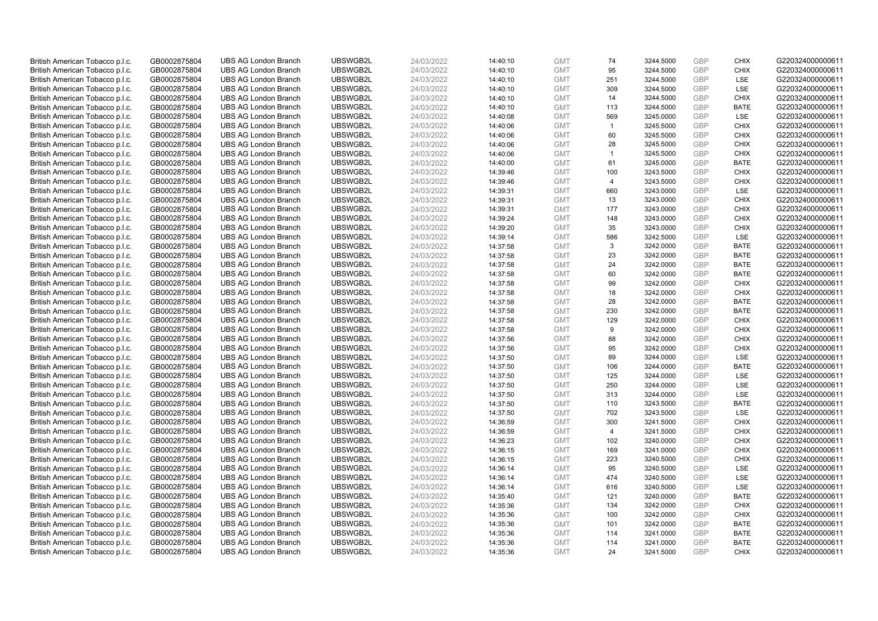| British American Tobacco p.l.c. | GB0002875804 | <b>UBS AG London Branch</b> | UBSWGB2L | 24/03/2022 | 14:40:10 | <b>GMT</b> | 74             | 3244.5000 | GBP        | <b>CHIX</b> | G220324000000611 |
|---------------------------------|--------------|-----------------------------|----------|------------|----------|------------|----------------|-----------|------------|-------------|------------------|
| British American Tobacco p.l.c. | GB0002875804 | <b>UBS AG London Branch</b> | UBSWGB2L | 24/03/2022 | 14:40:10 | <b>GMT</b> | 95             | 3244.5000 | GBP        | <b>CHIX</b> | G220324000000611 |
| British American Tobacco p.l.c. | GB0002875804 | <b>UBS AG London Branch</b> | UBSWGB2L | 24/03/2022 | 14:40:10 | <b>GMT</b> | 251            | 3244.5000 | GBP        | LSE         | G220324000000611 |
| British American Tobacco p.l.c. | GB0002875804 | <b>UBS AG London Branch</b> | UBSWGB2L | 24/03/2022 | 14:40:10 | <b>GMT</b> | 309            | 3244.5000 | GBP        | LSE         | G220324000000611 |
| British American Tobacco p.l.c. | GB0002875804 | <b>UBS AG London Branch</b> | UBSWGB2L | 24/03/2022 | 14:40:10 | <b>GMT</b> | 14             | 3244.5000 | GBP        | <b>CHIX</b> | G220324000000611 |
| British American Tobacco p.l.c. | GB0002875804 | <b>UBS AG London Branch</b> | UBSWGB2L | 24/03/2022 | 14:40:10 | <b>GMT</b> | 113            | 3244.5000 | GBP        | <b>BATE</b> | G220324000000611 |
| British American Tobacco p.l.c. | GB0002875804 | <b>UBS AG London Branch</b> | UBSWGB2L | 24/03/2022 | 14:40:08 | <b>GMT</b> | 569            | 3245.0000 | GBP        | LSE         | G220324000000611 |
| British American Tobacco p.l.c. | GB0002875804 | <b>UBS AG London Branch</b> | UBSWGB2L | 24/03/2022 | 14:40:06 | <b>GMT</b> | $\mathbf{1}$   | 3245.5000 | GBP        | <b>CHIX</b> | G220324000000611 |
| British American Tobacco p.l.c. | GB0002875804 | <b>UBS AG London Branch</b> | UBSWGB2L | 24/03/2022 | 14:40:06 | <b>GMT</b> | 60             | 3245.5000 | GBP        | <b>CHIX</b> | G220324000000611 |
| British American Tobacco p.l.c. | GB0002875804 | <b>UBS AG London Branch</b> | UBSWGB2L | 24/03/2022 | 14:40:06 | <b>GMT</b> | 28             | 3245.5000 | GBP        | <b>CHIX</b> | G220324000000611 |
| British American Tobacco p.l.c. | GB0002875804 | <b>UBS AG London Branch</b> | UBSWGB2L | 24/03/2022 | 14:40:06 | <b>GMT</b> | $\overline{1}$ | 3245.5000 | GBP        | <b>CHIX</b> | G220324000000611 |
| British American Tobacco p.l.c. | GB0002875804 | <b>UBS AG London Branch</b> | UBSWGB2L | 24/03/2022 | 14:40:00 | <b>GMT</b> | 61             | 3245.0000 | GBP        | <b>BATE</b> | G220324000000611 |
| British American Tobacco p.l.c. | GB0002875804 | <b>UBS AG London Branch</b> | UBSWGB2L | 24/03/2022 | 14:39:46 | <b>GMT</b> | 100            | 3243.5000 | GBP        | <b>CHIX</b> | G220324000000611 |
| British American Tobacco p.l.c. | GB0002875804 | <b>UBS AG London Branch</b> | UBSWGB2L | 24/03/2022 | 14:39:46 | <b>GMT</b> | $\overline{4}$ | 3243.5000 | GBP        | <b>CHIX</b> | G220324000000611 |
| British American Tobacco p.l.c. | GB0002875804 | <b>UBS AG London Branch</b> | UBSWGB2L | 24/03/2022 | 14:39:31 | <b>GMT</b> | 660            | 3243.0000 | GBP        | LSE         | G220324000000611 |
| British American Tobacco p.l.c. | GB0002875804 | <b>UBS AG London Branch</b> | UBSWGB2L | 24/03/2022 | 14:39:31 | <b>GMT</b> | 13             | 3243.0000 | GBP        | <b>CHIX</b> | G220324000000611 |
| British American Tobacco p.l.c. | GB0002875804 | <b>UBS AG London Branch</b> | UBSWGB2L | 24/03/2022 | 14:39:31 | <b>GMT</b> | 177            | 3243.0000 | GBP        | <b>CHIX</b> | G220324000000611 |
| British American Tobacco p.l.c. | GB0002875804 | <b>UBS AG London Branch</b> | UBSWGB2L | 24/03/2022 | 14:39:24 | <b>GMT</b> | 148            | 3243.0000 | GBP        | <b>CHIX</b> | G220324000000611 |
| British American Tobacco p.l.c. | GB0002875804 | <b>UBS AG London Branch</b> | UBSWGB2L | 24/03/2022 | 14:39:20 | <b>GMT</b> | 35             | 3243.0000 | GBP        | <b>CHIX</b> | G220324000000611 |
| British American Tobacco p.l.c. | GB0002875804 | <b>UBS AG London Branch</b> | UBSWGB2L | 24/03/2022 | 14:39:14 | <b>GMT</b> | 586            | 3242.5000 | GBP        | LSE         | G220324000000611 |
| British American Tobacco p.l.c. | GB0002875804 | <b>UBS AG London Branch</b> | UBSWGB2L | 24/03/2022 | 14:37:58 | <b>GMT</b> | 3              | 3242.0000 | GBP        | <b>BATE</b> | G220324000000611 |
| British American Tobacco p.l.c. | GB0002875804 | <b>UBS AG London Branch</b> | UBSWGB2L | 24/03/2022 | 14:37:58 | <b>GMT</b> | 23             | 3242.0000 | GBP        | <b>BATE</b> | G220324000000611 |
| British American Tobacco p.l.c. | GB0002875804 | <b>UBS AG London Branch</b> | UBSWGB2L | 24/03/2022 | 14:37:58 | <b>GMT</b> | 24             | 3242.0000 | GBP        | <b>BATE</b> | G220324000000611 |
| British American Tobacco p.l.c. | GB0002875804 | <b>UBS AG London Branch</b> | UBSWGB2L | 24/03/2022 | 14:37:58 | <b>GMT</b> | 60             | 3242.0000 | GBP        | <b>BATE</b> | G220324000000611 |
| British American Tobacco p.l.c. | GB0002875804 | <b>UBS AG London Branch</b> | UBSWGB2L | 24/03/2022 | 14:37:58 | <b>GMT</b> | 99             | 3242.0000 | GBP        | <b>CHIX</b> | G220324000000611 |
| British American Tobacco p.l.c. | GB0002875804 | <b>UBS AG London Branch</b> | UBSWGB2L | 24/03/2022 | 14:37:58 | <b>GMT</b> | 18             | 3242.0000 | GBP        | <b>CHIX</b> | G220324000000611 |
| British American Tobacco p.l.c. | GB0002875804 | <b>UBS AG London Branch</b> | UBSWGB2L | 24/03/2022 | 14:37:58 | <b>GMT</b> | 28             | 3242.0000 | GBP        | <b>BATE</b> | G220324000000611 |
| British American Tobacco p.l.c. | GB0002875804 | <b>UBS AG London Branch</b> | UBSWGB2L | 24/03/2022 | 14:37:58 | <b>GMT</b> | 230            | 3242.0000 | <b>GBP</b> | <b>BATE</b> | G220324000000611 |
| British American Tobacco p.l.c. | GB0002875804 | <b>UBS AG London Branch</b> | UBSWGB2L | 24/03/2022 | 14:37:58 | <b>GMT</b> | 129            | 3242.0000 | GBP        | <b>CHIX</b> | G220324000000611 |
| British American Tobacco p.l.c. | GB0002875804 | <b>UBS AG London Branch</b> | UBSWGB2L | 24/03/2022 | 14:37:58 | <b>GMT</b> | 9              | 3242.0000 | GBP        | <b>CHIX</b> | G220324000000611 |
| British American Tobacco p.l.c. | GB0002875804 | <b>UBS AG London Branch</b> | UBSWGB2L | 24/03/2022 | 14:37:56 | <b>GMT</b> | 88             | 3242.0000 | GBP        | <b>CHIX</b> | G220324000000611 |
| British American Tobacco p.l.c. | GB0002875804 | <b>UBS AG London Branch</b> | UBSWGB2L | 24/03/2022 | 14:37:56 | <b>GMT</b> | 95             | 3242.0000 | GBP        | <b>CHIX</b> | G220324000000611 |
| British American Tobacco p.l.c. | GB0002875804 | <b>UBS AG London Branch</b> | UBSWGB2L | 24/03/2022 | 14:37:50 | <b>GMT</b> | 89             | 3244.0000 | GBP        | LSE         | G220324000000611 |
| British American Tobacco p.l.c. | GB0002875804 | <b>UBS AG London Branch</b> | UBSWGB2L | 24/03/2022 | 14:37:50 | <b>GMT</b> | 106            | 3244.0000 | GBP        | <b>BATE</b> | G220324000000611 |
| British American Tobacco p.l.c. | GB0002875804 | <b>UBS AG London Branch</b> | UBSWGB2L | 24/03/2022 | 14:37:50 | <b>GMT</b> | 125            | 3244.0000 | GBP        | LSE         | G220324000000611 |
| British American Tobacco p.l.c. | GB0002875804 | <b>UBS AG London Branch</b> | UBSWGB2L | 24/03/2022 | 14:37:50 | <b>GMT</b> | 250            | 3244.0000 | GBP        | LSE         | G220324000000611 |
| British American Tobacco p.l.c. | GB0002875804 | <b>UBS AG London Branch</b> | UBSWGB2L | 24/03/2022 | 14:37:50 | <b>GMT</b> | 313            | 3244.0000 | GBP        | <b>LSE</b>  | G220324000000611 |
| British American Tobacco p.l.c. | GB0002875804 | <b>UBS AG London Branch</b> | UBSWGB2L | 24/03/2022 | 14:37:50 | <b>GMT</b> | 110            | 3243.5000 | GBP        | <b>BATE</b> | G220324000000611 |
| British American Tobacco p.l.c. | GB0002875804 | <b>UBS AG London Branch</b> | UBSWGB2L | 24/03/2022 | 14:37:50 | <b>GMT</b> | 702            | 3243.5000 | GBP        | <b>LSE</b>  | G220324000000611 |
| British American Tobacco p.l.c. | GB0002875804 | <b>UBS AG London Branch</b> | UBSWGB2L | 24/03/2022 | 14:36:59 | <b>GMT</b> | 300            | 3241.5000 | GBP        | <b>CHIX</b> | G220324000000611 |
| British American Tobacco p.l.c. | GB0002875804 | <b>UBS AG London Branch</b> | UBSWGB2L | 24/03/2022 | 14:36:59 | <b>GMT</b> | $\overline{4}$ | 3241.5000 | <b>GBP</b> | <b>CHIX</b> | G220324000000611 |
| British American Tobacco p.l.c. | GB0002875804 | <b>UBS AG London Branch</b> | UBSWGB2L | 24/03/2022 | 14:36:23 | <b>GMT</b> | 102            | 3240.0000 | GBP        | <b>CHIX</b> | G220324000000611 |
| British American Tobacco p.l.c. | GB0002875804 | <b>UBS AG London Branch</b> | UBSWGB2L | 24/03/2022 | 14:36:15 | <b>GMT</b> | 169            | 3241.0000 | GBP        | <b>CHIX</b> | G220324000000611 |
| British American Tobacco p.l.c. | GB0002875804 | <b>UBS AG London Branch</b> | UBSWGB2L | 24/03/2022 | 14:36:15 | <b>GMT</b> | 223            | 3240.5000 | GBP        | <b>CHIX</b> | G220324000000611 |
| British American Tobacco p.l.c. | GB0002875804 | <b>UBS AG London Branch</b> | UBSWGB2L | 24/03/2022 | 14:36:14 | <b>GMT</b> | 95             | 3240.5000 | GBP        | <b>LSE</b>  | G220324000000611 |
| British American Tobacco p.l.c. | GB0002875804 | <b>UBS AG London Branch</b> | UBSWGB2L | 24/03/2022 | 14:36:14 | <b>GMT</b> | 474            | 3240.5000 | GBP        | LSE         | G220324000000611 |
| British American Tobacco p.l.c. | GB0002875804 | <b>UBS AG London Branch</b> | UBSWGB2L | 24/03/2022 | 14:36:14 | <b>GMT</b> | 616            | 3240.5000 | GBP        | <b>LSE</b>  | G220324000000611 |
| British American Tobacco p.l.c. | GB0002875804 | <b>UBS AG London Branch</b> | UBSWGB2L | 24/03/2022 | 14:35:40 | <b>GMT</b> | 121            | 3240.0000 | GBP        | <b>BATE</b> | G220324000000611 |
| British American Tobacco p.l.c. | GB0002875804 | <b>UBS AG London Branch</b> | UBSWGB2L | 24/03/2022 | 14:35:36 | <b>GMT</b> | 134            | 3242.0000 | GBP        | <b>CHIX</b> | G220324000000611 |
| British American Tobacco p.l.c. | GB0002875804 | <b>UBS AG London Branch</b> | UBSWGB2L | 24/03/2022 | 14:35:36 | <b>GMT</b> | 100            | 3242.0000 | GBP        | <b>CHIX</b> | G220324000000611 |
| British American Tobacco p.l.c. | GB0002875804 | <b>UBS AG London Branch</b> | UBSWGB2L | 24/03/2022 | 14:35:36 | <b>GMT</b> | 101            | 3242.0000 | GBP        | <b>BATE</b> | G220324000000611 |
| British American Tobacco p.l.c. | GB0002875804 | <b>UBS AG London Branch</b> | UBSWGB2L | 24/03/2022 | 14:35:36 | <b>GMT</b> | 114            | 3241.0000 | <b>GBP</b> | <b>BATE</b> | G220324000000611 |
| British American Tobacco p.l.c. | GB0002875804 | <b>UBS AG London Branch</b> | UBSWGB2L | 24/03/2022 | 14:35:36 | <b>GMT</b> | 114            | 3241.0000 | GBP        | <b>BATE</b> | G220324000000611 |
| British American Tobacco p.l.c. | GB0002875804 | <b>UBS AG London Branch</b> | UBSWGB2L | 24/03/2022 | 14:35:36 | <b>GMT</b> | 24             | 3241.5000 | GBP        | <b>CHIX</b> | G220324000000611 |
|                                 |              |                             |          |            |          |            |                |           |            |             |                  |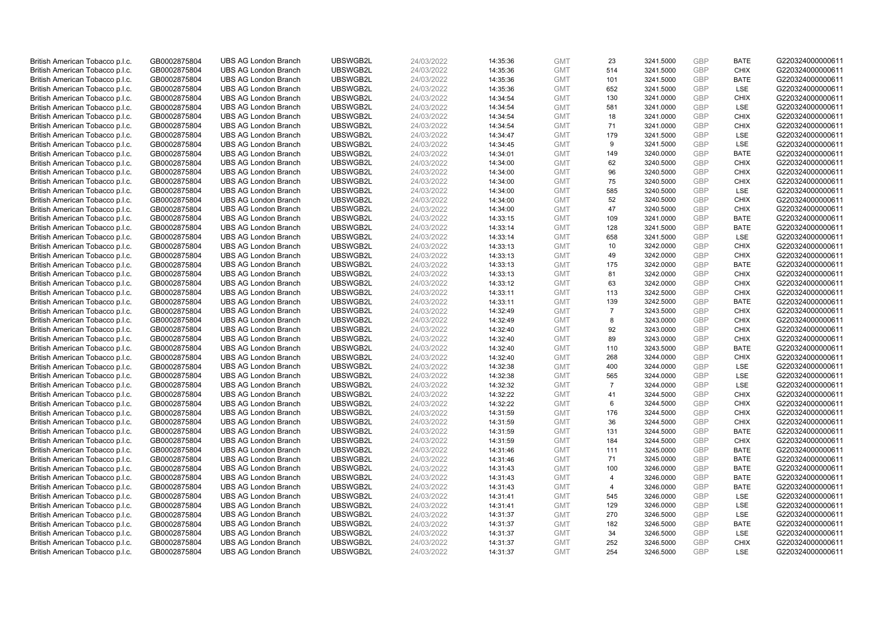| British American Tobacco p.l.c. | GB0002875804 | <b>UBS AG London Branch</b> | UBSWGB2L | 24/03/2022 | 14:35:36 | <b>GMT</b> | 23             | 3241.5000 | GBP        | <b>BATE</b> | G220324000000611 |
|---------------------------------|--------------|-----------------------------|----------|------------|----------|------------|----------------|-----------|------------|-------------|------------------|
| British American Tobacco p.l.c. | GB0002875804 | <b>UBS AG London Branch</b> | UBSWGB2L | 24/03/2022 | 14:35:36 | <b>GMT</b> | 514            | 3241.5000 | GBP        | <b>CHIX</b> | G220324000000611 |
| British American Tobacco p.l.c. | GB0002875804 | <b>UBS AG London Branch</b> | UBSWGB2L | 24/03/2022 | 14:35:36 | <b>GMT</b> | 101            | 3241.5000 | GBP        | <b>BATE</b> | G220324000000611 |
| British American Tobacco p.l.c. | GB0002875804 | <b>UBS AG London Branch</b> | UBSWGB2L | 24/03/2022 | 14:35:36 | <b>GMT</b> | 652            | 3241.5000 | GBP        | LSE         | G220324000000611 |
| British American Tobacco p.l.c. | GB0002875804 | <b>UBS AG London Branch</b> | UBSWGB2L | 24/03/2022 | 14:34:54 | <b>GMT</b> | 130            | 3241.0000 | GBP        | <b>CHIX</b> | G220324000000611 |
| British American Tobacco p.l.c. | GB0002875804 | <b>UBS AG London Branch</b> | UBSWGB2L | 24/03/2022 | 14:34:54 | <b>GMT</b> | 581            | 3241.0000 | GBP        | <b>LSE</b>  | G220324000000611 |
| British American Tobacco p.l.c. | GB0002875804 | <b>UBS AG London Branch</b> | UBSWGB2L | 24/03/2022 | 14:34:54 | <b>GMT</b> | 18             | 3241.0000 | GBP        | <b>CHIX</b> | G220324000000611 |
| British American Tobacco p.l.c. | GB0002875804 | <b>UBS AG London Branch</b> | UBSWGB2L | 24/03/2022 | 14:34:54 | <b>GMT</b> | 71             | 3241.0000 | GBP        | <b>CHIX</b> | G220324000000611 |
| British American Tobacco p.l.c. | GB0002875804 | <b>UBS AG London Branch</b> | UBSWGB2L | 24/03/2022 | 14:34:47 | <b>GMT</b> | 179            | 3241.5000 | GBP        | LSE         | G220324000000611 |
| British American Tobacco p.l.c. | GB0002875804 | <b>UBS AG London Branch</b> | UBSWGB2L | 24/03/2022 | 14:34:45 | <b>GMT</b> | 9              | 3241.5000 | <b>GBP</b> | <b>LSE</b>  | G220324000000611 |
| British American Tobacco p.l.c. | GB0002875804 | <b>UBS AG London Branch</b> | UBSWGB2L | 24/03/2022 | 14:34:01 | <b>GMT</b> | 149            | 3240.0000 | GBP        | <b>BATE</b> | G220324000000611 |
| British American Tobacco p.l.c. | GB0002875804 | <b>UBS AG London Branch</b> | UBSWGB2L | 24/03/2022 | 14:34:00 | <b>GMT</b> | 62             | 3240.5000 | GBP        | <b>CHIX</b> | G220324000000611 |
| British American Tobacco p.l.c. | GB0002875804 | <b>UBS AG London Branch</b> | UBSWGB2L | 24/03/2022 | 14:34:00 | <b>GMT</b> | 96             | 3240.5000 | GBP        | <b>CHIX</b> | G220324000000611 |
| British American Tobacco p.l.c. | GB0002875804 | <b>UBS AG London Branch</b> | UBSWGB2L | 24/03/2022 | 14:34:00 | <b>GMT</b> | 75             | 3240.5000 | GBP        | <b>CHIX</b> | G220324000000611 |
| British American Tobacco p.l.c. | GB0002875804 | <b>UBS AG London Branch</b> | UBSWGB2L | 24/03/2022 | 14:34:00 | <b>GMT</b> | 585            | 3240.5000 | GBP        | LSE         | G220324000000611 |
| British American Tobacco p.l.c. | GB0002875804 | <b>UBS AG London Branch</b> | UBSWGB2L | 24/03/2022 | 14:34:00 | <b>GMT</b> | 52             | 3240.5000 | GBP        | <b>CHIX</b> | G220324000000611 |
| British American Tobacco p.l.c. | GB0002875804 | <b>UBS AG London Branch</b> | UBSWGB2L | 24/03/2022 | 14:34:00 | <b>GMT</b> | 47             | 3240.5000 | GBP        | <b>CHIX</b> | G220324000000611 |
| British American Tobacco p.l.c. | GB0002875804 | <b>UBS AG London Branch</b> | UBSWGB2L | 24/03/2022 | 14:33:15 | <b>GMT</b> | 109            | 3241.0000 | GBP        | <b>BATE</b> | G220324000000611 |
| British American Tobacco p.l.c. | GB0002875804 | <b>UBS AG London Branch</b> | UBSWGB2L | 24/03/2022 | 14:33:14 | <b>GMT</b> | 128            | 3241.5000 | GBP        | <b>BATE</b> | G220324000000611 |
| British American Tobacco p.l.c. | GB0002875804 | <b>UBS AG London Branch</b> | UBSWGB2L | 24/03/2022 | 14:33:14 | <b>GMT</b> | 658            | 3241.5000 | GBP        | LSE         | G220324000000611 |
| British American Tobacco p.l.c. | GB0002875804 | <b>UBS AG London Branch</b> | UBSWGB2L | 24/03/2022 | 14:33:13 | <b>GMT</b> | 10             | 3242.0000 | GBP        | <b>CHIX</b> | G220324000000611 |
| British American Tobacco p.l.c. | GB0002875804 | <b>UBS AG London Branch</b> | UBSWGB2L | 24/03/2022 | 14:33:13 | <b>GMT</b> | 49             | 3242.0000 | GBP        | <b>CHIX</b> | G220324000000611 |
| British American Tobacco p.l.c. | GB0002875804 | <b>UBS AG London Branch</b> | UBSWGB2L | 24/03/2022 | 14:33:13 | <b>GMT</b> | 175            | 3242.0000 | GBP        | <b>BATE</b> | G220324000000611 |
| British American Tobacco p.l.c. | GB0002875804 | <b>UBS AG London Branch</b> | UBSWGB2L | 24/03/2022 | 14:33:13 | <b>GMT</b> | 81             | 3242.0000 | GBP        | <b>CHIX</b> | G220324000000611 |
| British American Tobacco p.l.c. | GB0002875804 | <b>UBS AG London Branch</b> | UBSWGB2L | 24/03/2022 | 14:33:12 | <b>GMT</b> | 63             | 3242.0000 | <b>GBP</b> | <b>CHIX</b> | G220324000000611 |
| British American Tobacco p.l.c. | GB0002875804 | <b>UBS AG London Branch</b> | UBSWGB2L | 24/03/2022 | 14:33:11 | <b>GMT</b> | 113            | 3242.5000 | GBP        | <b>CHIX</b> | G220324000000611 |
| British American Tobacco p.l.c. | GB0002875804 | <b>UBS AG London Branch</b> | UBSWGB2L | 24/03/2022 | 14:33:11 | <b>GMT</b> | 139            | 3242.5000 | GBP        | <b>BATE</b> | G220324000000611 |
| British American Tobacco p.l.c. | GB0002875804 | <b>UBS AG London Branch</b> | UBSWGB2L | 24/03/2022 | 14:32:49 | <b>GMT</b> | $\overline{7}$ | 3243.5000 | GBP        | <b>CHIX</b> | G220324000000611 |
| British American Tobacco p.l.c. | GB0002875804 | <b>UBS AG London Branch</b> | UBSWGB2L | 24/03/2022 | 14:32:49 | <b>GMT</b> | 8              | 3243.0000 | GBP        | <b>CHIX</b> | G220324000000611 |
| British American Tobacco p.l.c. | GB0002875804 | <b>UBS AG London Branch</b> | UBSWGB2L | 24/03/2022 | 14:32:40 | <b>GMT</b> | 92             | 3243.0000 | GBP        | <b>CHIX</b> | G220324000000611 |
| British American Tobacco p.l.c. | GB0002875804 | <b>UBS AG London Branch</b> | UBSWGB2L | 24/03/2022 | 14:32:40 | <b>GMT</b> | 89             | 3243.0000 | GBP        | <b>CHIX</b> | G220324000000611 |
| British American Tobacco p.l.c. | GB0002875804 | <b>UBS AG London Branch</b> | UBSWGB2L | 24/03/2022 | 14:32:40 | <b>GMT</b> | 110            | 3243.5000 | GBP        | <b>BATE</b> | G220324000000611 |
| British American Tobacco p.l.c. | GB0002875804 | <b>UBS AG London Branch</b> | UBSWGB2L | 24/03/2022 | 14:32:40 | <b>GMT</b> | 268            | 3244.0000 | GBP        | <b>CHIX</b> | G220324000000611 |
| British American Tobacco p.l.c. | GB0002875804 | <b>UBS AG London Branch</b> | UBSWGB2L | 24/03/2022 | 14:32:38 | <b>GMT</b> | 400            | 3244.0000 | GBP        | LSE         | G220324000000611 |
| British American Tobacco p.l.c. | GB0002875804 | <b>UBS AG London Branch</b> | UBSWGB2L | 24/03/2022 | 14:32:38 | <b>GMT</b> | 565            | 3244.0000 | GBP        | LSE         | G220324000000611 |
| British American Tobacco p.l.c. | GB0002875804 | <b>UBS AG London Branch</b> | UBSWGB2L | 24/03/2022 | 14:32:32 | <b>GMT</b> | $\overline{7}$ | 3244.0000 | GBP        | LSE         | G220324000000611 |
| British American Tobacco p.l.c. | GB0002875804 | <b>UBS AG London Branch</b> | UBSWGB2L | 24/03/2022 | 14:32:22 | <b>GMT</b> | 41             | 3244.5000 | GBP        | <b>CHIX</b> | G220324000000611 |
| British American Tobacco p.l.c. | GB0002875804 | <b>UBS AG London Branch</b> | UBSWGB2L | 24/03/2022 | 14:32:22 | <b>GMT</b> | 6              | 3244.5000 | GBP        | <b>CHIX</b> | G220324000000611 |
| British American Tobacco p.l.c. | GB0002875804 | <b>UBS AG London Branch</b> | UBSWGB2L | 24/03/2022 | 14:31:59 | <b>GMT</b> | 176            | 3244.5000 | GBP        | <b>CHIX</b> | G220324000000611 |
| British American Tobacco p.l.c. | GB0002875804 | <b>UBS AG London Branch</b> | UBSWGB2L | 24/03/2022 | 14:31:59 | <b>GMT</b> | 36             | 3244.5000 | GBP        | <b>CHIX</b> | G220324000000611 |
| British American Tobacco p.l.c. | GB0002875804 | <b>UBS AG London Branch</b> | UBSWGB2L | 24/03/2022 | 14:31:59 | <b>GMT</b> | 131            | 3244.5000 | GBP        | <b>BATE</b> | G220324000000611 |
| British American Tobacco p.l.c. | GB0002875804 | <b>UBS AG London Branch</b> | UBSWGB2L | 24/03/2022 | 14:31:59 | <b>GMT</b> | 184            | 3244.5000 | GBP        | <b>CHIX</b> | G220324000000611 |
| British American Tobacco p.l.c. | GB0002875804 | <b>UBS AG London Branch</b> | UBSWGB2L | 24/03/2022 | 14:31:46 | <b>GMT</b> | 111            | 3245.0000 | GBP        | <b>BATE</b> | G220324000000611 |
| British American Tobacco p.l.c. | GB0002875804 | <b>UBS AG London Branch</b> | UBSWGB2L | 24/03/2022 | 14:31:46 | <b>GMT</b> | 71             | 3245.0000 | GBP        | <b>BATE</b> | G220324000000611 |
| British American Tobacco p.l.c. | GB0002875804 | <b>UBS AG London Branch</b> | UBSWGB2L | 24/03/2022 | 14:31:43 | <b>GMT</b> | 100            | 3246.0000 | GBP        | <b>BATE</b> | G220324000000611 |
| British American Tobacco p.l.c. | GB0002875804 | <b>UBS AG London Branch</b> | UBSWGB2L | 24/03/2022 | 14:31:43 | <b>GMT</b> | $\overline{4}$ | 3246.0000 | GBP        | <b>BATE</b> | G220324000000611 |
| British American Tobacco p.l.c. | GB0002875804 | <b>UBS AG London Branch</b> | UBSWGB2L | 24/03/2022 | 14:31:43 | <b>GMT</b> | $\overline{4}$ | 3246.0000 | GBP        | <b>BATE</b> | G220324000000611 |
| British American Tobacco p.l.c. | GB0002875804 | <b>UBS AG London Branch</b> | UBSWGB2L | 24/03/2022 | 14:31:41 | <b>GMT</b> | 545            | 3246.0000 | GBP        | LSE         | G220324000000611 |
| British American Tobacco p.l.c. | GB0002875804 | <b>UBS AG London Branch</b> | UBSWGB2L | 24/03/2022 | 14:31:41 | <b>GMT</b> | 129            | 3246.0000 | GBP        | LSE         | G220324000000611 |
| British American Tobacco p.l.c. | GB0002875804 | <b>UBS AG London Branch</b> | UBSWGB2L | 24/03/2022 | 14:31:37 | <b>GMT</b> | 270            | 3246.5000 | GBP        | <b>LSE</b>  | G220324000000611 |
| British American Tobacco p.l.c. | GB0002875804 | <b>UBS AG London Branch</b> | UBSWGB2L | 24/03/2022 | 14:31:37 | <b>GMT</b> | 182            | 3246.5000 | GBP        | <b>BATE</b> | G220324000000611 |
| British American Tobacco p.l.c. | GB0002875804 | <b>UBS AG London Branch</b> | UBSWGB2L | 24/03/2022 | 14:31:37 | <b>GMT</b> | 34             | 3246.5000 | <b>GBP</b> | LSE         | G220324000000611 |
| British American Tobacco p.l.c. | GB0002875804 | <b>UBS AG London Branch</b> | UBSWGB2L | 24/03/2022 | 14:31:37 | <b>GMT</b> | 252            | 3246.5000 | GBP        | <b>CHIX</b> | G220324000000611 |
| British American Tobacco p.l.c. | GB0002875804 | <b>UBS AG London Branch</b> | UBSWGB2L | 24/03/2022 | 14:31:37 | <b>GMT</b> | 254            | 3246.5000 | GBP        | <b>LSE</b>  | G220324000000611 |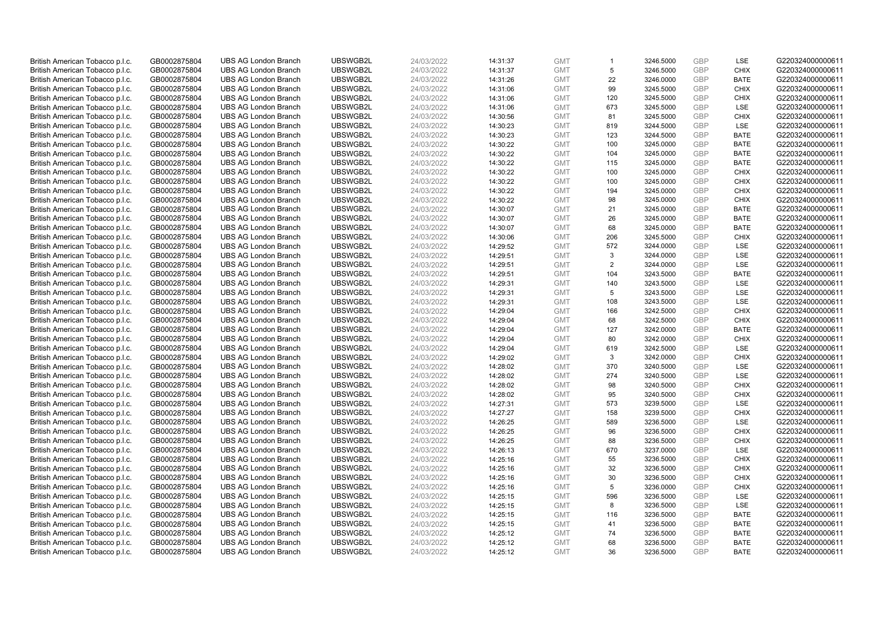| British American Tobacco p.l.c. | GB0002875804 | <b>UBS AG London Branch</b> | UBSWGB2L | 24/03/2022 | 14:31:37 | <b>GMT</b> | $\overline{1}$ | 3246.5000 | GBP        | LSE         | G220324000000611 |
|---------------------------------|--------------|-----------------------------|----------|------------|----------|------------|----------------|-----------|------------|-------------|------------------|
| British American Tobacco p.l.c. | GB0002875804 | <b>UBS AG London Branch</b> | UBSWGB2L | 24/03/2022 | 14:31:37 | <b>GMT</b> | 5              | 3246.5000 | GBP        | <b>CHIX</b> | G220324000000611 |
| British American Tobacco p.l.c. | GB0002875804 | <b>UBS AG London Branch</b> | UBSWGB2L | 24/03/2022 | 14:31:26 | <b>GMT</b> | 22             | 3246.0000 | GBP        | <b>BATE</b> | G220324000000611 |
| British American Tobacco p.l.c. | GB0002875804 | <b>UBS AG London Branch</b> | UBSWGB2L | 24/03/2022 | 14:31:06 | <b>GMT</b> | 99             | 3245.5000 | GBP        | <b>CHIX</b> | G220324000000611 |
| British American Tobacco p.l.c. | GB0002875804 | <b>UBS AG London Branch</b> | UBSWGB2L | 24/03/2022 | 14:31:06 | <b>GMT</b> | 120            | 3245.5000 | GBP        | <b>CHIX</b> | G220324000000611 |
| British American Tobacco p.l.c. | GB0002875804 | <b>UBS AG London Branch</b> | UBSWGB2L | 24/03/2022 | 14:31:06 | <b>GMT</b> | 673            | 3245.5000 | GBP        | <b>LSE</b>  | G220324000000611 |
| British American Tobacco p.l.c. | GB0002875804 | <b>UBS AG London Branch</b> | UBSWGB2L | 24/03/2022 | 14:30:56 | <b>GMT</b> | 81             | 3245.5000 | GBP        | <b>CHIX</b> | G220324000000611 |
| British American Tobacco p.l.c. | GB0002875804 | <b>UBS AG London Branch</b> | UBSWGB2L | 24/03/2022 | 14:30:23 | <b>GMT</b> | 819            | 3244.5000 | GBP        | LSE         | G220324000000611 |
| British American Tobacco p.l.c. | GB0002875804 | <b>UBS AG London Branch</b> | UBSWGB2L | 24/03/2022 | 14:30:23 | <b>GMT</b> | 123            | 3244.5000 | GBP        | <b>BATE</b> | G220324000000611 |
| British American Tobacco p.l.c. | GB0002875804 | <b>UBS AG London Branch</b> | UBSWGB2L | 24/03/2022 | 14:30:22 | <b>GMT</b> | 100            | 3245.0000 | <b>GBP</b> | <b>BATE</b> | G220324000000611 |
| British American Tobacco p.l.c. | GB0002875804 | <b>UBS AG London Branch</b> | UBSWGB2L | 24/03/2022 | 14:30:22 | <b>GMT</b> | 104            | 3245.0000 | GBP        | <b>BATE</b> | G220324000000611 |
| British American Tobacco p.l.c. | GB0002875804 | <b>UBS AG London Branch</b> | UBSWGB2L | 24/03/2022 | 14:30:22 | <b>GMT</b> | 115            | 3245.0000 | GBP        | <b>BATE</b> | G220324000000611 |
| British American Tobacco p.l.c. | GB0002875804 | <b>UBS AG London Branch</b> | UBSWGB2L | 24/03/2022 | 14:30:22 | <b>GMT</b> | 100            | 3245.0000 | GBP        | <b>CHIX</b> | G220324000000611 |
| British American Tobacco p.l.c. | GB0002875804 | <b>UBS AG London Branch</b> | UBSWGB2L | 24/03/2022 | 14:30:22 | <b>GMT</b> | 100            | 3245.0000 | GBP        | <b>CHIX</b> | G220324000000611 |
| British American Tobacco p.l.c. | GB0002875804 | <b>UBS AG London Branch</b> | UBSWGB2L | 24/03/2022 | 14:30:22 | <b>GMT</b> | 194            | 3245.0000 | GBP        | <b>CHIX</b> | G220324000000611 |
| British American Tobacco p.l.c. | GB0002875804 | <b>UBS AG London Branch</b> | UBSWGB2L | 24/03/2022 | 14:30:22 | <b>GMT</b> | 98             | 3245.0000 | GBP        | <b>CHIX</b> | G220324000000611 |
| British American Tobacco p.l.c. | GB0002875804 | <b>UBS AG London Branch</b> | UBSWGB2L | 24/03/2022 | 14:30:07 | <b>GMT</b> | 21             | 3245.0000 | GBP        | <b>BATE</b> | G220324000000611 |
| British American Tobacco p.l.c. | GB0002875804 | <b>UBS AG London Branch</b> | UBSWGB2L | 24/03/2022 | 14:30:07 | <b>GMT</b> | 26             | 3245.0000 | GBP        | <b>BATE</b> | G220324000000611 |
| British American Tobacco p.l.c. | GB0002875804 | <b>UBS AG London Branch</b> | UBSWGB2L | 24/03/2022 | 14:30:07 | <b>GMT</b> | 68             | 3245.0000 | GBP        | <b>BATE</b> | G220324000000611 |
| British American Tobacco p.l.c. | GB0002875804 | <b>UBS AG London Branch</b> | UBSWGB2L | 24/03/2022 | 14:30:06 | <b>GMT</b> | 206            | 3245.5000 | GBP        | <b>CHIX</b> | G220324000000611 |
| British American Tobacco p.l.c. | GB0002875804 | <b>UBS AG London Branch</b> | UBSWGB2L | 24/03/2022 | 14:29:52 | <b>GMT</b> | 572            | 3244.0000 | GBP        | <b>LSE</b>  | G220324000000611 |
| British American Tobacco p.l.c. | GB0002875804 | <b>UBS AG London Branch</b> | UBSWGB2L | 24/03/2022 | 14:29:51 | <b>GMT</b> | 3              | 3244.0000 | GBP        | LSE         | G220324000000611 |
| British American Tobacco p.l.c. | GB0002875804 | <b>UBS AG London Branch</b> | UBSWGB2L | 24/03/2022 | 14:29:51 | <b>GMT</b> | $\overline{2}$ | 3244.0000 | GBP        | <b>LSE</b>  | G220324000000611 |
| British American Tobacco p.l.c. | GB0002875804 | <b>UBS AG London Branch</b> | UBSWGB2L | 24/03/2022 | 14:29:51 | <b>GMT</b> | 104            | 3243.5000 | GBP        | <b>BATE</b> | G220324000000611 |
| British American Tobacco p.l.c. | GB0002875804 | <b>UBS AG London Branch</b> | UBSWGB2L | 24/03/2022 | 14:29:31 | <b>GMT</b> | 140            | 3243.5000 | <b>GBP</b> | LSE         | G220324000000611 |
| British American Tobacco p.l.c. | GB0002875804 | <b>UBS AG London Branch</b> | UBSWGB2L | 24/03/2022 | 14:29:31 | <b>GMT</b> | 5              | 3243.5000 | GBP        | LSE         | G220324000000611 |
| British American Tobacco p.l.c. | GB0002875804 | <b>UBS AG London Branch</b> | UBSWGB2L | 24/03/2022 | 14:29:31 | <b>GMT</b> | 108            | 3243.5000 | GBP        | LSE         | G220324000000611 |
| British American Tobacco p.l.c. | GB0002875804 | <b>UBS AG London Branch</b> | UBSWGB2L | 24/03/2022 | 14:29:04 | <b>GMT</b> | 166            | 3242.5000 | GBP        | <b>CHIX</b> | G220324000000611 |
| British American Tobacco p.l.c. | GB0002875804 | <b>UBS AG London Branch</b> | UBSWGB2L | 24/03/2022 | 14:29:04 | <b>GMT</b> | 68             | 3242.5000 | GBP        | <b>CHIX</b> | G220324000000611 |
| British American Tobacco p.l.c. | GB0002875804 | <b>UBS AG London Branch</b> | UBSWGB2L | 24/03/2022 | 14:29:04 | <b>GMT</b> | 127            | 3242.0000 | GBP        | <b>BATE</b> | G220324000000611 |
| British American Tobacco p.l.c. | GB0002875804 | <b>UBS AG London Branch</b> | UBSWGB2L | 24/03/2022 | 14:29:04 | <b>GMT</b> | 80             | 3242.0000 | GBP        | <b>CHIX</b> | G220324000000611 |
| British American Tobacco p.l.c. | GB0002875804 | <b>UBS AG London Branch</b> | UBSWGB2L | 24/03/2022 | 14:29:04 | <b>GMT</b> | 619            | 3242.5000 | GBP        | <b>LSE</b>  | G220324000000611 |
| British American Tobacco p.l.c. | GB0002875804 | <b>UBS AG London Branch</b> | UBSWGB2L | 24/03/2022 | 14:29:02 | <b>GMT</b> | 3              | 3242.0000 | GBP        | <b>CHIX</b> | G220324000000611 |
| British American Tobacco p.l.c. | GB0002875804 | <b>UBS AG London Branch</b> | UBSWGB2L | 24/03/2022 | 14:28:02 | <b>GMT</b> | 370            | 3240.5000 | GBP        | LSE         | G220324000000611 |
| British American Tobacco p.l.c. | GB0002875804 | <b>UBS AG London Branch</b> | UBSWGB2L | 24/03/2022 | 14:28:02 | <b>GMT</b> | 274            | 3240.5000 | GBP        | LSE         | G220324000000611 |
| British American Tobacco p.l.c. | GB0002875804 | <b>UBS AG London Branch</b> | UBSWGB2L | 24/03/2022 | 14:28:02 | <b>GMT</b> | 98             | 3240.5000 | GBP        | <b>CHIX</b> | G220324000000611 |
| British American Tobacco p.l.c. | GB0002875804 | <b>UBS AG London Branch</b> | UBSWGB2L | 24/03/2022 | 14:28:02 | <b>GMT</b> | 95             | 3240.5000 | GBP        | <b>CHIX</b> | G220324000000611 |
| British American Tobacco p.l.c. | GB0002875804 | <b>UBS AG London Branch</b> | UBSWGB2L | 24/03/2022 | 14:27:31 | <b>GMT</b> | 573            | 3239.5000 | GBP        | LSE         | G220324000000611 |
| British American Tobacco p.l.c. | GB0002875804 | <b>UBS AG London Branch</b> | UBSWGB2L | 24/03/2022 | 14:27:27 | <b>GMT</b> | 158            | 3239.5000 | GBP        | <b>CHIX</b> | G220324000000611 |
| British American Tobacco p.l.c. | GB0002875804 | <b>UBS AG London Branch</b> | UBSWGB2L | 24/03/2022 | 14:26:25 | <b>GMT</b> | 589            | 3236.5000 | GBP        | LSE         | G220324000000611 |
| British American Tobacco p.l.c. | GB0002875804 | <b>UBS AG London Branch</b> | UBSWGB2L | 24/03/2022 | 14:26:25 | <b>GMT</b> | 96             | 3236.5000 | GBP        | <b>CHIX</b> | G220324000000611 |
| British American Tobacco p.l.c. | GB0002875804 | <b>UBS AG London Branch</b> | UBSWGB2L | 24/03/2022 | 14:26:25 | <b>GMT</b> | 88             | 3236.5000 | GBP        | <b>CHIX</b> | G220324000000611 |
| British American Tobacco p.l.c. | GB0002875804 | <b>UBS AG London Branch</b> | UBSWGB2L | 24/03/2022 | 14:26:13 | <b>GMT</b> | 670            | 3237.0000 | GBP        | <b>LSE</b>  | G220324000000611 |
| British American Tobacco p.l.c. | GB0002875804 | <b>UBS AG London Branch</b> | UBSWGB2L | 24/03/2022 | 14:25:16 | <b>GMT</b> | 55             | 3236.5000 | GBP        | <b>CHIX</b> | G220324000000611 |
| British American Tobacco p.l.c. | GB0002875804 | <b>UBS AG London Branch</b> | UBSWGB2L | 24/03/2022 | 14:25:16 | <b>GMT</b> | 32             | 3236.5000 | GBP        | <b>CHIX</b> | G220324000000611 |
| British American Tobacco p.l.c. | GB0002875804 | <b>UBS AG London Branch</b> | UBSWGB2L | 24/03/2022 | 14:25:16 | <b>GMT</b> | 30             | 3236.5000 | GBP        | <b>CHIX</b> | G220324000000611 |
| British American Tobacco p.l.c. | GB0002875804 | <b>UBS AG London Branch</b> | UBSWGB2L | 24/03/2022 | 14:25:16 | <b>GMT</b> | 5              | 3236.0000 | GBP        | <b>CHIX</b> | G220324000000611 |
| British American Tobacco p.l.c. | GB0002875804 | <b>UBS AG London Branch</b> | UBSWGB2L | 24/03/2022 | 14:25:15 | <b>GMT</b> | 596            | 3236.5000 | GBP        | LSE         | G220324000000611 |
| British American Tobacco p.l.c. | GB0002875804 | <b>UBS AG London Branch</b> | UBSWGB2L | 24/03/2022 | 14:25:15 | <b>GMT</b> | 8              | 3236.5000 | GBP        | LSE         | G220324000000611 |
| British American Tobacco p.l.c. | GB0002875804 | <b>UBS AG London Branch</b> | UBSWGB2L | 24/03/2022 | 14:25:15 | <b>GMT</b> | 116            | 3236.5000 | GBP        | <b>BATE</b> | G220324000000611 |
| British American Tobacco p.l.c. | GB0002875804 | <b>UBS AG London Branch</b> | UBSWGB2L | 24/03/2022 | 14:25:15 | <b>GMT</b> | 41             | 3236.5000 | GBP        | <b>BATE</b> | G220324000000611 |
| British American Tobacco p.l.c. | GB0002875804 | <b>UBS AG London Branch</b> | UBSWGB2L | 24/03/2022 | 14:25:12 | <b>GMT</b> | 74             | 3236.5000 | GBP        | <b>BATE</b> | G220324000000611 |
| British American Tobacco p.l.c. | GB0002875804 | <b>UBS AG London Branch</b> | UBSWGB2L | 24/03/2022 | 14:25:12 | <b>GMT</b> | 68             | 3236.5000 | GBP        | <b>BATE</b> | G220324000000611 |
| British American Tobacco p.l.c. | GB0002875804 | <b>UBS AG London Branch</b> | UBSWGB2L | 24/03/2022 | 14:25:12 | <b>GMT</b> | 36             | 3236.5000 | GBP        | <b>BATE</b> | G220324000000611 |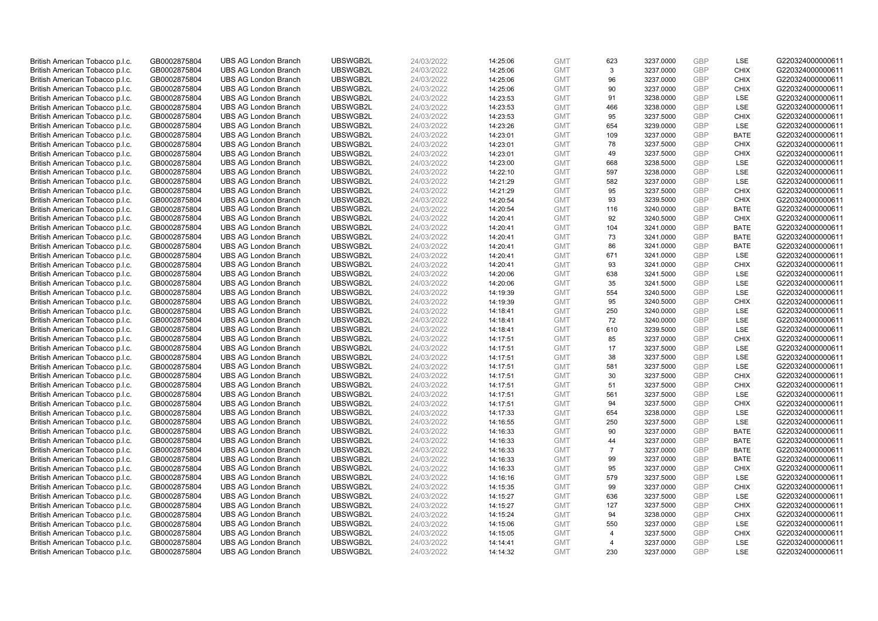| British American Tobacco p.l.c. | GB0002875804 | <b>UBS AG London Branch</b> | UBSWGB2L | 24/03/2022 | 14:25:06             | <b>GMT</b> | 623            | 3237.0000 | GBP        | LSE         | G220324000000611 |
|---------------------------------|--------------|-----------------------------|----------|------------|----------------------|------------|----------------|-----------|------------|-------------|------------------|
| British American Tobacco p.l.c. | GB0002875804 | <b>UBS AG London Branch</b> | UBSWGB2L | 24/03/2022 | 14:25:06             | <b>GMT</b> | 3              | 3237.0000 | GBP        | <b>CHIX</b> | G220324000000611 |
| British American Tobacco p.l.c. | GB0002875804 | <b>UBS AG London Branch</b> | UBSWGB2L | 24/03/2022 | 14:25:06             | <b>GMT</b> | 96             | 3237.0000 | GBP        | <b>CHIX</b> | G220324000000611 |
| British American Tobacco p.l.c. | GB0002875804 | <b>UBS AG London Branch</b> | UBSWGB2L | 24/03/2022 | 14:25:06             | <b>GMT</b> | 90             | 3237.0000 | GBP        | <b>CHIX</b> | G220324000000611 |
| British American Tobacco p.l.c. | GB0002875804 | <b>UBS AG London Branch</b> | UBSWGB2L | 24/03/2022 | 14:23:53             | <b>GMT</b> | 91             | 3238.0000 | GBP        | LSE         | G220324000000611 |
| British American Tobacco p.l.c. | GB0002875804 | <b>UBS AG London Branch</b> | UBSWGB2L | 24/03/2022 | 14:23:53             | <b>GMT</b> | 466            | 3238.0000 | GBP        | LSE         | G220324000000611 |
| British American Tobacco p.l.c. | GB0002875804 | <b>UBS AG London Branch</b> | UBSWGB2L | 24/03/2022 | 14:23:53             | <b>GMT</b> | 95             | 3237.5000 | GBP        | <b>CHIX</b> | G220324000000611 |
| British American Tobacco p.l.c. | GB0002875804 | <b>UBS AG London Branch</b> | UBSWGB2L | 24/03/2022 | 14:23:26             | <b>GMT</b> | 654            | 3239.0000 | GBP        | LSE         | G220324000000611 |
| British American Tobacco p.l.c. | GB0002875804 | <b>UBS AG London Branch</b> | UBSWGB2L | 24/03/2022 | 14:23:01             | <b>GMT</b> | 109            | 3237.0000 | GBP        | <b>BATE</b> | G220324000000611 |
| British American Tobacco p.l.c. | GB0002875804 | <b>UBS AG London Branch</b> | UBSWGB2L | 24/03/2022 | 14:23:01             | <b>GMT</b> | 78             | 3237.5000 | GBP        | <b>CHIX</b> | G220324000000611 |
| British American Tobacco p.l.c. | GB0002875804 | <b>UBS AG London Branch</b> | UBSWGB2L | 24/03/2022 | 14:23:01             | <b>GMT</b> | 49             | 3237.5000 | GBP        | <b>CHIX</b> | G220324000000611 |
| British American Tobacco p.l.c. | GB0002875804 | <b>UBS AG London Branch</b> | UBSWGB2L | 24/03/2022 | 14:23:00             | <b>GMT</b> | 668            | 3238.5000 | GBP        | LSE         | G220324000000611 |
| British American Tobacco p.l.c. | GB0002875804 | <b>UBS AG London Branch</b> | UBSWGB2L | 24/03/2022 | 14:22:10             | <b>GMT</b> | 597            | 3238.0000 | GBP        | LSE         | G220324000000611 |
| British American Tobacco p.l.c. | GB0002875804 | <b>UBS AG London Branch</b> | UBSWGB2L | 24/03/2022 | 14:21:29             | <b>GMT</b> | 582            | 3237.0000 | GBP        | LSE         | G220324000000611 |
| British American Tobacco p.l.c. | GB0002875804 | <b>UBS AG London Branch</b> | UBSWGB2L | 24/03/2022 | 14:21:29             | <b>GMT</b> | 95             | 3237.5000 | GBP        | <b>CHIX</b> | G220324000000611 |
| British American Tobacco p.l.c. | GB0002875804 | <b>UBS AG London Branch</b> | UBSWGB2L | 24/03/2022 | 14:20:54             | <b>GMT</b> | 93             | 3239.5000 | GBP        | <b>CHIX</b> | G220324000000611 |
| British American Tobacco p.l.c. | GB0002875804 | <b>UBS AG London Branch</b> | UBSWGB2L | 24/03/2022 | 14:20:54             | <b>GMT</b> | 116            | 3240.0000 | GBP        | <b>BATE</b> | G220324000000611 |
| British American Tobacco p.l.c. | GB0002875804 | <b>UBS AG London Branch</b> | UBSWGB2L | 24/03/2022 | 14:20:41             | <b>GMT</b> | 92             | 3240.5000 | GBP        | <b>CHIX</b> | G220324000000611 |
| British American Tobacco p.l.c. | GB0002875804 | <b>UBS AG London Branch</b> | UBSWGB2L | 24/03/2022 | 14:20:41             | <b>GMT</b> | 104            | 3241.0000 | GBP        | <b>BATE</b> | G220324000000611 |
| British American Tobacco p.l.c. | GB0002875804 | <b>UBS AG London Branch</b> | UBSWGB2L | 24/03/2022 | 14:20:41             | <b>GMT</b> | 73             | 3241.0000 | GBP        | <b>BATE</b> | G220324000000611 |
| British American Tobacco p.l.c. | GB0002875804 | <b>UBS AG London Branch</b> | UBSWGB2L | 24/03/2022 | 14:20:41             | <b>GMT</b> | 86             | 3241.0000 | GBP        | <b>BATE</b> | G220324000000611 |
| British American Tobacco p.l.c. | GB0002875804 | <b>UBS AG London Branch</b> | UBSWGB2L | 24/03/2022 | 14:20:41             | <b>GMT</b> | 671            | 3241.0000 | GBP        | LSE         | G220324000000611 |
| British American Tobacco p.l.c. | GB0002875804 | <b>UBS AG London Branch</b> | UBSWGB2L | 24/03/2022 | 14:20:41             | <b>GMT</b> | 93             | 3241.0000 | GBP        | <b>CHIX</b> | G220324000000611 |
| British American Tobacco p.l.c. | GB0002875804 | <b>UBS AG London Branch</b> | UBSWGB2L | 24/03/2022 | 14:20:06             | <b>GMT</b> | 638            | 3241.5000 | GBP        | <b>LSE</b>  | G220324000000611 |
| British American Tobacco p.l.c. | GB0002875804 | <b>UBS AG London Branch</b> | UBSWGB2L | 24/03/2022 | 14:20:06             | <b>GMT</b> | 35             | 3241.5000 | GBP        | LSE         | G220324000000611 |
| British American Tobacco p.l.c. | GB0002875804 | <b>UBS AG London Branch</b> | UBSWGB2L | 24/03/2022 | 14:19:39             | <b>GMT</b> | 554            | 3240.5000 | GBP        | <b>LSE</b>  | G220324000000611 |
| British American Tobacco p.l.c. | GB0002875804 | <b>UBS AG London Branch</b> | UBSWGB2L | 24/03/2022 | 14:19:39             | <b>GMT</b> | 95             | 3240.5000 | GBP        | <b>CHIX</b> | G220324000000611 |
| British American Tobacco p.l.c. | GB0002875804 | <b>UBS AG London Branch</b> | UBSWGB2L | 24/03/2022 | 14:18:41             | <b>GMT</b> | 250            | 3240.0000 | <b>GBP</b> | <b>LSE</b>  | G220324000000611 |
| British American Tobacco p.l.c. | GB0002875804 | <b>UBS AG London Branch</b> | UBSWGB2L | 24/03/2022 | 14:18:41             | <b>GMT</b> | 72             | 3240.0000 | GBP        | LSE         | G220324000000611 |
| British American Tobacco p.l.c. | GB0002875804 | <b>UBS AG London Branch</b> | UBSWGB2L | 24/03/2022 | 14:18:41             | <b>GMT</b> | 610            | 3239.5000 | GBP        | <b>LSE</b>  | G220324000000611 |
| British American Tobacco p.l.c. | GB0002875804 | <b>UBS AG London Branch</b> | UBSWGB2L | 24/03/2022 | 14:17:51             | <b>GMT</b> | 85             | 3237.0000 | GBP        | <b>CHIX</b> | G220324000000611 |
| British American Tobacco p.l.c. | GB0002875804 | <b>UBS AG London Branch</b> | UBSWGB2L | 24/03/2022 | 14:17:51             | <b>GMT</b> | 17             | 3237.5000 | GBP        | <b>LSE</b>  | G220324000000611 |
| British American Tobacco p.l.c. | GB0002875804 | <b>UBS AG London Branch</b> | UBSWGB2L | 24/03/2022 | 14:17:51             | <b>GMT</b> | 38             | 3237.5000 | GBP        | LSE         | G220324000000611 |
| British American Tobacco p.l.c. | GB0002875804 | <b>UBS AG London Branch</b> | UBSWGB2L | 24/03/2022 | 14:17:51             | <b>GMT</b> | 581            | 3237.5000 | GBP        | <b>LSE</b>  | G220324000000611 |
| British American Tobacco p.l.c. | GB0002875804 | <b>UBS AG London Branch</b> | UBSWGB2L | 24/03/2022 | 14:17:51             | <b>GMT</b> | 30             | 3237.5000 | GBP        | <b>CHIX</b> | G220324000000611 |
| British American Tobacco p.l.c. | GB0002875804 | <b>UBS AG London Branch</b> | UBSWGB2L | 24/03/2022 | 14:17:51             | <b>GMT</b> | 51             | 3237.5000 | GBP        | <b>CHIX</b> | G220324000000611 |
| British American Tobacco p.l.c. | GB0002875804 | <b>UBS AG London Branch</b> | UBSWGB2L | 24/03/2022 | 14:17:51             | <b>GMT</b> | 561            | 3237.5000 | GBP        | <b>LSE</b>  | G220324000000611 |
| British American Tobacco p.l.c. | GB0002875804 | <b>UBS AG London Branch</b> | UBSWGB2L | 24/03/2022 | 14:17:51             | <b>GMT</b> | 94             | 3237.5000 | GBP        | <b>CHIX</b> | G220324000000611 |
| British American Tobacco p.l.c. | GB0002875804 | <b>UBS AG London Branch</b> | UBSWGB2L | 24/03/2022 | 14:17:33             | <b>GMT</b> | 654            | 3238.0000 | GBP        | <b>LSE</b>  | G220324000000611 |
| British American Tobacco p.l.c. | GB0002875804 | <b>UBS AG London Branch</b> | UBSWGB2L | 24/03/2022 | 14:16:55             | <b>GMT</b> | 250            | 3237.5000 | GBP        | LSE         | G220324000000611 |
| British American Tobacco p.l.c. | GB0002875804 | <b>UBS AG London Branch</b> | UBSWGB2L | 24/03/2022 | 14:16:33             | <b>GMT</b> | 90             | 3237.0000 | <b>GBP</b> | <b>BATE</b> | G220324000000611 |
| British American Tobacco p.l.c. | GB0002875804 | <b>UBS AG London Branch</b> | UBSWGB2L | 24/03/2022 | 14:16:33             | <b>GMT</b> | 44             | 3237.0000 | GBP        | <b>BATE</b> | G220324000000611 |
| British American Tobacco p.l.c. | GB0002875804 | <b>UBS AG London Branch</b> | UBSWGB2L | 24/03/2022 | 14:16:33             | <b>GMT</b> | $\overline{7}$ | 3237.0000 | GBP        | <b>BATE</b> | G220324000000611 |
| British American Tobacco p.l.c. | GB0002875804 | <b>UBS AG London Branch</b> | UBSWGB2L | 24/03/2022 |                      | <b>GMT</b> | 99             | 3237.0000 | GBP        | <b>BATE</b> | G220324000000611 |
| British American Tobacco p.l.c. | GB0002875804 | <b>UBS AG London Branch</b> | UBSWGB2L | 24/03/2022 | 14:16:33<br>14:16:33 | <b>GMT</b> | 95             | 3237.0000 | GBP        | <b>CHIX</b> | G220324000000611 |
|                                 |              | <b>UBS AG London Branch</b> | UBSWGB2L | 24/03/2022 |                      | <b>GMT</b> | 579            |           | GBP        | LSE         | G220324000000611 |
| British American Tobacco p.l.c. | GB0002875804 |                             |          |            | 14:16:16             |            | 99             | 3237.5000 |            |             |                  |
| British American Tobacco p.l.c. | GB0002875804 | <b>UBS AG London Branch</b> | UBSWGB2L | 24/03/2022 | 14:15:35             | <b>GMT</b> |                | 3237.0000 | <b>GBP</b> | <b>CHIX</b> | G220324000000611 |
| British American Tobacco p.l.c. | GB0002875804 | <b>UBS AG London Branch</b> | UBSWGB2L | 24/03/2022 | 14:15:27             | <b>GMT</b> | 636            | 3237.5000 | GBP        | LSE         | G220324000000611 |
| British American Tobacco p.l.c. | GB0002875804 | <b>UBS AG London Branch</b> | UBSWGB2L | 24/03/2022 | 14:15:27             | <b>GMT</b> | 127            | 3237.5000 | GBP        | <b>CHIX</b> | G220324000000611 |
| British American Tobacco p.l.c. | GB0002875804 | <b>UBS AG London Branch</b> | UBSWGB2L | 24/03/2022 | 14:15:24             | <b>GMT</b> | 94             | 3238.0000 | GBP        | <b>CHIX</b> | G220324000000611 |
| British American Tobacco p.l.c. | GB0002875804 | <b>UBS AG London Branch</b> | UBSWGB2L | 24/03/2022 | 14:15:06             | <b>GMT</b> | 550            | 3237.0000 | GBP        | LSE         | G220324000000611 |
| British American Tobacco p.l.c. | GB0002875804 | <b>UBS AG London Branch</b> | UBSWGB2L | 24/03/2022 | 14:15:05             | <b>GMT</b> | $\overline{4}$ | 3237.5000 | <b>GBP</b> | <b>CHIX</b> | G220324000000611 |
| British American Tobacco p.l.c. | GB0002875804 | <b>UBS AG London Branch</b> | UBSWGB2L | 24/03/2022 | 14:14:41             | <b>GMT</b> | 4              | 3237.0000 | GBP        | LSE         | G220324000000611 |
| British American Tobacco p.l.c. | GB0002875804 | <b>UBS AG London Branch</b> | UBSWGB2L | 24/03/2022 | 14:14:32             | <b>GMT</b> | 230            | 3237.0000 | GBP        | <b>LSE</b>  | G220324000000611 |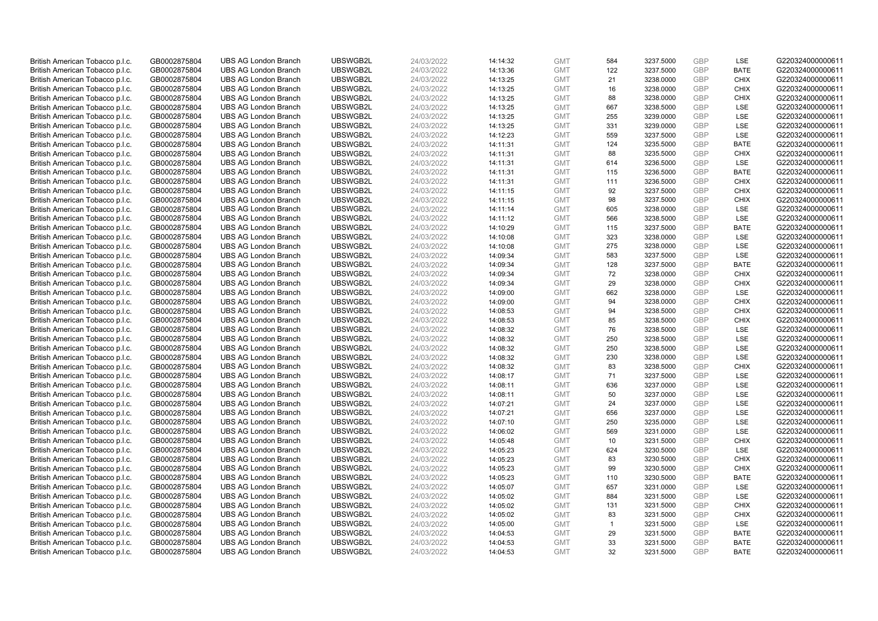| British American Tobacco p.l.c. | GB0002875804 | <b>UBS AG London Branch</b> | UBSWGB2L | 24/03/2022 | 14:14:32 | <b>GMT</b> | 584          | 3237.5000 | GBP        | LSE         | G220324000000611 |
|---------------------------------|--------------|-----------------------------|----------|------------|----------|------------|--------------|-----------|------------|-------------|------------------|
| British American Tobacco p.l.c. | GB0002875804 | <b>UBS AG London Branch</b> | UBSWGB2L | 24/03/2022 | 14:13:36 | <b>GMT</b> | 122          | 3237.5000 | GBP        | <b>BATE</b> | G220324000000611 |
| British American Tobacco p.l.c. | GB0002875804 | <b>UBS AG London Branch</b> | UBSWGB2L | 24/03/2022 | 14:13:25 | <b>GMT</b> | 21           | 3238.0000 | GBP        | <b>CHIX</b> | G220324000000611 |
| British American Tobacco p.l.c. | GB0002875804 | <b>UBS AG London Branch</b> | UBSWGB2L | 24/03/2022 | 14:13:25 | <b>GMT</b> | 16           | 3238.0000 | GBP        | <b>CHIX</b> | G220324000000611 |
| British American Tobacco p.l.c. | GB0002875804 | <b>UBS AG London Branch</b> | UBSWGB2L | 24/03/2022 | 14:13:25 | <b>GMT</b> | 88           | 3238.0000 | GBP        | <b>CHIX</b> | G220324000000611 |
| British American Tobacco p.l.c. | GB0002875804 | <b>UBS AG London Branch</b> | UBSWGB2L | 24/03/2022 | 14:13:25 | <b>GMT</b> | 667          | 3238.5000 | GBP        | <b>LSE</b>  | G220324000000611 |
| British American Tobacco p.l.c. | GB0002875804 | <b>UBS AG London Branch</b> | UBSWGB2L | 24/03/2022 | 14:13:25 | <b>GMT</b> | 255          | 3239.0000 | GBP        | LSE         | G220324000000611 |
| British American Tobacco p.l.c. | GB0002875804 | <b>UBS AG London Branch</b> | UBSWGB2L | 24/03/2022 | 14:13:25 | <b>GMT</b> | 331          | 3239.0000 | GBP        | LSE         | G220324000000611 |
| British American Tobacco p.l.c. | GB0002875804 | <b>UBS AG London Branch</b> | UBSWGB2L | 24/03/2022 | 14:12:23 | <b>GMT</b> | 559          | 3237.5000 | GBP        | LSE         | G220324000000611 |
| British American Tobacco p.l.c. | GB0002875804 | <b>UBS AG London Branch</b> | UBSWGB2L | 24/03/2022 | 14:11:31 | <b>GMT</b> | 124          | 3235.5000 | <b>GBP</b> | <b>BATE</b> | G220324000000611 |
| British American Tobacco p.l.c. | GB0002875804 | <b>UBS AG London Branch</b> | UBSWGB2L | 24/03/2022 | 14:11:31 | <b>GMT</b> | 88           | 3235.5000 | GBP        | <b>CHIX</b> | G220324000000611 |
| British American Tobacco p.l.c. | GB0002875804 | <b>UBS AG London Branch</b> | UBSWGB2L | 24/03/2022 | 14:11:31 | <b>GMT</b> | 614          | 3236.5000 | GBP        | <b>LSE</b>  | G220324000000611 |
| British American Tobacco p.l.c. | GB0002875804 | <b>UBS AG London Branch</b> | UBSWGB2L | 24/03/2022 | 14:11:31 | <b>GMT</b> | 115          | 3236.5000 | GBP        | <b>BATE</b> | G220324000000611 |
| British American Tobacco p.l.c. | GB0002875804 | <b>UBS AG London Branch</b> | UBSWGB2L | 24/03/2022 | 14:11:31 | <b>GMT</b> | 111          | 3236.5000 | GBP        | <b>CHIX</b> | G220324000000611 |
| British American Tobacco p.l.c. | GB0002875804 | <b>UBS AG London Branch</b> | UBSWGB2L | 24/03/2022 | 14:11:15 | <b>GMT</b> | 92           | 3237.5000 | GBP        | <b>CHIX</b> | G220324000000611 |
| British American Tobacco p.l.c. | GB0002875804 | <b>UBS AG London Branch</b> | UBSWGB2L | 24/03/2022 | 14:11:15 | <b>GMT</b> | 98           | 3237.5000 | GBP        | <b>CHIX</b> | G220324000000611 |
| British American Tobacco p.l.c. | GB0002875804 | <b>UBS AG London Branch</b> | UBSWGB2L | 24/03/2022 | 14:11:14 | <b>GMT</b> | 605          | 3238.0000 | GBP        | <b>LSE</b>  | G220324000000611 |
| British American Tobacco p.l.c. | GB0002875804 | <b>UBS AG London Branch</b> | UBSWGB2L | 24/03/2022 | 14:11:12 | <b>GMT</b> | 566          | 3238.5000 | GBP        | LSE         | G220324000000611 |
| British American Tobacco p.l.c. | GB0002875804 | <b>UBS AG London Branch</b> | UBSWGB2L | 24/03/2022 | 14:10:29 | <b>GMT</b> | 115          | 3237.5000 | GBP        | <b>BATE</b> | G220324000000611 |
| British American Tobacco p.l.c. | GB0002875804 | <b>UBS AG London Branch</b> | UBSWGB2L | 24/03/2022 | 14:10:08 | <b>GMT</b> | 323          | 3238.0000 | GBP        | LSE         | G220324000000611 |
| British American Tobacco p.l.c. | GB0002875804 | <b>UBS AG London Branch</b> | UBSWGB2L | 24/03/2022 | 14:10:08 | <b>GMT</b> | 275          | 3238.0000 | <b>GBP</b> | LSE         | G220324000000611 |
| British American Tobacco p.l.c. | GB0002875804 | <b>UBS AG London Branch</b> | UBSWGB2L | 24/03/2022 | 14:09:34 | <b>GMT</b> | 583          | 3237.5000 | GBP        | LSE         | G220324000000611 |
| British American Tobacco p.l.c. | GB0002875804 | <b>UBS AG London Branch</b> | UBSWGB2L | 24/03/2022 | 14:09:34 | <b>GMT</b> | 128          | 3237.5000 | GBP        | <b>BATE</b> | G220324000000611 |
| British American Tobacco p.l.c. | GB0002875804 | <b>UBS AG London Branch</b> | UBSWGB2L | 24/03/2022 | 14:09:34 | <b>GMT</b> | 72           | 3238.0000 | GBP        | <b>CHIX</b> | G220324000000611 |
| British American Tobacco p.l.c. | GB0002875804 | <b>UBS AG London Branch</b> | UBSWGB2L | 24/03/2022 | 14:09:34 | <b>GMT</b> | 29           | 3238.0000 | <b>GBP</b> | <b>CHIX</b> | G220324000000611 |
| British American Tobacco p.l.c. | GB0002875804 | <b>UBS AG London Branch</b> | UBSWGB2L | 24/03/2022 | 14:09:00 | <b>GMT</b> | 662          | 3238.0000 | GBP        | LSE         | G220324000000611 |
| British American Tobacco p.l.c. | GB0002875804 | <b>UBS AG London Branch</b> | UBSWGB2L | 24/03/2022 | 14:09:00 | <b>GMT</b> | 94           | 3238.0000 | GBP        | <b>CHIX</b> | G220324000000611 |
| British American Tobacco p.l.c. | GB0002875804 | <b>UBS AG London Branch</b> | UBSWGB2L | 24/03/2022 | 14:08:53 | <b>GMT</b> | 94           | 3238.5000 | GBP        | <b>CHIX</b> | G220324000000611 |
| British American Tobacco p.l.c. | GB0002875804 | <b>UBS AG London Branch</b> | UBSWGB2L | 24/03/2022 | 14:08:53 | <b>GMT</b> | 85           | 3238.5000 | GBP        | <b>CHIX</b> | G220324000000611 |
| British American Tobacco p.l.c. | GB0002875804 | <b>UBS AG London Branch</b> | UBSWGB2L | 24/03/2022 | 14:08:32 | <b>GMT</b> | 76           | 3238.5000 | GBP        | LSE         | G220324000000611 |
| British American Tobacco p.l.c. | GB0002875804 | <b>UBS AG London Branch</b> | UBSWGB2L | 24/03/2022 | 14:08:32 | <b>GMT</b> | 250          | 3238.5000 | GBP        | LSE         | G220324000000611 |
| British American Tobacco p.l.c. | GB0002875804 | <b>UBS AG London Branch</b> | UBSWGB2L | 24/03/2022 | 14:08:32 | <b>GMT</b> | 250          | 3238.5000 | GBP        | <b>LSE</b>  | G220324000000611 |
| British American Tobacco p.l.c. | GB0002875804 | <b>UBS AG London Branch</b> | UBSWGB2L | 24/03/2022 | 14:08:32 | <b>GMT</b> | 230          | 3238.0000 | GBP        | <b>LSE</b>  | G220324000000611 |
| British American Tobacco p.l.c. | GB0002875804 | <b>UBS AG London Branch</b> | UBSWGB2L | 24/03/2022 | 14:08:32 | <b>GMT</b> | 83           | 3238.5000 | GBP        | <b>CHIX</b> | G220324000000611 |
| British American Tobacco p.l.c. | GB0002875804 | <b>UBS AG London Branch</b> | UBSWGB2L | 24/03/2022 | 14:08:17 | <b>GMT</b> | 71           | 3237.5000 | GBP        | <b>LSE</b>  | G220324000000611 |
| British American Tobacco p.l.c. | GB0002875804 | <b>UBS AG London Branch</b> | UBSWGB2L | 24/03/2022 | 14:08:11 | <b>GMT</b> | 636          | 3237.0000 | <b>GBP</b> | LSE         | G220324000000611 |
| British American Tobacco p.l.c. | GB0002875804 | <b>UBS AG London Branch</b> | UBSWGB2L | 24/03/2022 | 14:08:11 | <b>GMT</b> | 50           | 3237.0000 | GBP        | LSE         | G220324000000611 |
| British American Tobacco p.l.c. | GB0002875804 | <b>UBS AG London Branch</b> | UBSWGB2L | 24/03/2022 | 14:07:21 | <b>GMT</b> | 24           | 3237.0000 | GBP        | LSE         | G220324000000611 |
| British American Tobacco p.l.c. | GB0002875804 | <b>UBS AG London Branch</b> | UBSWGB2L | 24/03/2022 | 14:07:21 | <b>GMT</b> | 656          | 3237.0000 | GBP        | LSE         | G220324000000611 |
| British American Tobacco p.l.c. | GB0002875804 | <b>UBS AG London Branch</b> | UBSWGB2L | 24/03/2022 | 14:07:10 | <b>GMT</b> | 250          | 3235.0000 | GBP        | LSE         | G220324000000611 |
| British American Tobacco p.l.c. | GB0002875804 | <b>UBS AG London Branch</b> | UBSWGB2L | 24/03/2022 | 14:06:02 | <b>GMT</b> | 569          | 3231.0000 | GBP        | <b>LSE</b>  | G220324000000611 |
| British American Tobacco p.l.c. | GB0002875804 | <b>UBS AG London Branch</b> | UBSWGB2L | 24/03/2022 | 14:05:48 | <b>GMT</b> | 10           | 3231.5000 | GBP        | <b>CHIX</b> | G220324000000611 |
| British American Tobacco p.l.c. | GB0002875804 | <b>UBS AG London Branch</b> | UBSWGB2L | 24/03/2022 | 14:05:23 | <b>GMT</b> | 624          | 3230.5000 | GBP        | <b>LSE</b>  | G220324000000611 |
| British American Tobacco p.l.c. | GB0002875804 | <b>UBS AG London Branch</b> | UBSWGB2L | 24/03/2022 | 14:05:23 | <b>GMT</b> | 83           | 3230.5000 | GBP        | <b>CHIX</b> | G220324000000611 |
| British American Tobacco p.l.c. | GB0002875804 | <b>UBS AG London Branch</b> | UBSWGB2L | 24/03/2022 | 14:05:23 | <b>GMT</b> | 99           | 3230.5000 | GBP        | <b>CHIX</b> | G220324000000611 |
| British American Tobacco p.l.c. | GB0002875804 | <b>UBS AG London Branch</b> | UBSWGB2L | 24/03/2022 | 14:05:23 | <b>GMT</b> | 110          | 3230.5000 | GBP        | <b>BATE</b> | G220324000000611 |
| British American Tobacco p.l.c. | GB0002875804 | <b>UBS AG London Branch</b> | UBSWGB2L | 24/03/2022 | 14:05:07 | <b>GMT</b> | 657          | 3231.0000 | GBP        | <b>LSE</b>  | G220324000000611 |
| British American Tobacco p.l.c. | GB0002875804 | <b>UBS AG London Branch</b> | UBSWGB2L | 24/03/2022 | 14:05:02 | <b>GMT</b> | 884          | 3231.5000 | GBP        | LSE         | G220324000000611 |
| British American Tobacco p.l.c. | GB0002875804 | <b>UBS AG London Branch</b> | UBSWGB2L | 24/03/2022 | 14:05:02 | <b>GMT</b> | 131          | 3231.5000 | GBP        | <b>CHIX</b> | G220324000000611 |
| British American Tobacco p.l.c. | GB0002875804 | <b>UBS AG London Branch</b> | UBSWGB2L | 24/03/2022 | 14:05:02 | <b>GMT</b> | 83           | 3231.5000 | GBP        | <b>CHIX</b> | G220324000000611 |
| British American Tobacco p.l.c. | GB0002875804 | <b>UBS AG London Branch</b> | UBSWGB2L | 24/03/2022 | 14:05:00 | <b>GMT</b> | $\mathbf{1}$ | 3231.5000 | GBP        | LSE         | G220324000000611 |
| British American Tobacco p.l.c. | GB0002875804 | <b>UBS AG London Branch</b> | UBSWGB2L | 24/03/2022 | 14:04:53 | <b>GMT</b> | 29           | 3231.5000 | GBP        | <b>BATE</b> | G220324000000611 |
| British American Tobacco p.l.c. | GB0002875804 | <b>UBS AG London Branch</b> | UBSWGB2L | 24/03/2022 | 14:04:53 | <b>GMT</b> | 33           | 3231.5000 | GBP        | <b>BATE</b> | G220324000000611 |
| British American Tobacco p.l.c. | GB0002875804 | <b>UBS AG London Branch</b> | UBSWGB2L | 24/03/2022 | 14:04:53 | <b>GMT</b> | 32           | 3231.5000 | GBP        | <b>BATE</b> | G220324000000611 |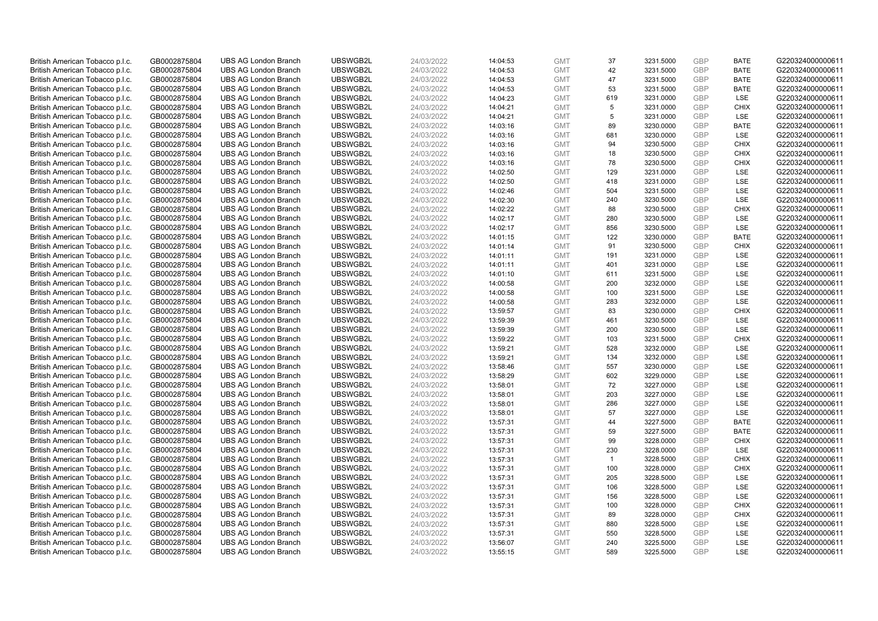| British American Tobacco p.l.c. | GB0002875804 | <b>UBS AG London Branch</b> | UBSWGB2L | 24/03/2022 | 14:04:53 | <b>GMT</b> | 37             | 3231.5000 | GBP        | <b>BATE</b> | G220324000000611 |
|---------------------------------|--------------|-----------------------------|----------|------------|----------|------------|----------------|-----------|------------|-------------|------------------|
| British American Tobacco p.l.c. | GB0002875804 | <b>UBS AG London Branch</b> | UBSWGB2L | 24/03/2022 | 14:04:53 | <b>GMT</b> | 42             | 3231.5000 | GBP        | <b>BATE</b> | G220324000000611 |
| British American Tobacco p.l.c. | GB0002875804 | <b>UBS AG London Branch</b> | UBSWGB2L | 24/03/2022 | 14:04:53 | <b>GMT</b> | 47             | 3231.5000 | GBP        | <b>BATE</b> | G220324000000611 |
| British American Tobacco p.l.c. | GB0002875804 | <b>UBS AG London Branch</b> | UBSWGB2L | 24/03/2022 | 14:04:53 | <b>GMT</b> | 53             | 3231.5000 | GBP        | <b>BATE</b> | G220324000000611 |
| British American Tobacco p.l.c. | GB0002875804 | <b>UBS AG London Branch</b> | UBSWGB2L | 24/03/2022 | 14:04:23 | <b>GMT</b> | 619            | 3231.0000 | GBP        | LSE         | G220324000000611 |
| British American Tobacco p.l.c. | GB0002875804 | <b>UBS AG London Branch</b> | UBSWGB2L | 24/03/2022 | 14:04:21 | <b>GMT</b> | 5              | 3231.0000 | GBP        | <b>CHIX</b> | G220324000000611 |
| British American Tobacco p.l.c. | GB0002875804 | <b>UBS AG London Branch</b> | UBSWGB2L | 24/03/2022 | 14:04:21 | <b>GMT</b> | 5              | 3231.0000 | GBP        | <b>LSE</b>  | G220324000000611 |
| British American Tobacco p.l.c. | GB0002875804 | <b>UBS AG London Branch</b> | UBSWGB2L | 24/03/2022 | 14:03:16 | <b>GMT</b> | 89             | 3230.0000 | GBP        | <b>BATE</b> | G220324000000611 |
| British American Tobacco p.l.c. | GB0002875804 | <b>UBS AG London Branch</b> | UBSWGB2L | 24/03/2022 | 14:03:16 | <b>GMT</b> | 681            | 3230.0000 | GBP        | LSE         | G220324000000611 |
| British American Tobacco p.l.c. | GB0002875804 | <b>UBS AG London Branch</b> | UBSWGB2L | 24/03/2022 | 14:03:16 | <b>GMT</b> | 94             | 3230.5000 | GBP        | <b>CHIX</b> | G220324000000611 |
| British American Tobacco p.l.c. | GB0002875804 | <b>UBS AG London Branch</b> | UBSWGB2L | 24/03/2022 | 14:03:16 | <b>GMT</b> | 18             | 3230.5000 | GBP        | <b>CHIX</b> | G220324000000611 |
| British American Tobacco p.l.c. | GB0002875804 | <b>UBS AG London Branch</b> | UBSWGB2L | 24/03/2022 | 14:03:16 | <b>GMT</b> | 78             | 3230.5000 | GBP        | <b>CHIX</b> | G220324000000611 |
| British American Tobacco p.l.c. | GB0002875804 | <b>UBS AG London Branch</b> | UBSWGB2L | 24/03/2022 | 14:02:50 | <b>GMT</b> | 129            | 3231.0000 | GBP        | LSE         | G220324000000611 |
| British American Tobacco p.l.c. | GB0002875804 | <b>UBS AG London Branch</b> | UBSWGB2L | 24/03/2022 | 14:02:50 | <b>GMT</b> | 418            | 3231.0000 | GBP        | LSE         | G220324000000611 |
| British American Tobacco p.l.c. | GB0002875804 | <b>UBS AG London Branch</b> | UBSWGB2L | 24/03/2022 | 14:02:46 | <b>GMT</b> | 504            | 3231.5000 | GBP        | <b>LSE</b>  | G220324000000611 |
| British American Tobacco p.l.c. | GB0002875804 | <b>UBS AG London Branch</b> | UBSWGB2L | 24/03/2022 | 14:02:30 | <b>GMT</b> | 240            | 3230.5000 | GBP        | LSE         | G220324000000611 |
| British American Tobacco p.l.c. | GB0002875804 | <b>UBS AG London Branch</b> | UBSWGB2L | 24/03/2022 | 14:02:22 | <b>GMT</b> | 88             | 3230.5000 | GBP        | <b>CHIX</b> | G220324000000611 |
| British American Tobacco p.l.c. | GB0002875804 | <b>UBS AG London Branch</b> | UBSWGB2L | 24/03/2022 | 14:02:17 | <b>GMT</b> | 280            | 3230.5000 | GBP        | LSE         | G220324000000611 |
| British American Tobacco p.l.c. | GB0002875804 | <b>UBS AG London Branch</b> | UBSWGB2L | 24/03/2022 | 14:02:17 | <b>GMT</b> | 856            | 3230.5000 | GBP        | <b>LSE</b>  | G220324000000611 |
| British American Tobacco p.l.c. | GB0002875804 | <b>UBS AG London Branch</b> | UBSWGB2L | 24/03/2022 | 14:01:15 | <b>GMT</b> | 122            | 3230.0000 | GBP        | <b>BATE</b> | G220324000000611 |
| British American Tobacco p.l.c. | GB0002875804 | <b>UBS AG London Branch</b> | UBSWGB2L | 24/03/2022 | 14:01:14 | <b>GMT</b> | 91             | 3230.5000 | GBP        | <b>CHIX</b> | G220324000000611 |
| British American Tobacco p.l.c. | GB0002875804 | <b>UBS AG London Branch</b> | UBSWGB2L | 24/03/2022 | 14:01:11 | <b>GMT</b> | 191            | 3231.0000 | GBP        | LSE         | G220324000000611 |
| British American Tobacco p.l.c. | GB0002875804 | <b>UBS AG London Branch</b> | UBSWGB2L | 24/03/2022 | 14:01:11 | <b>GMT</b> | 401            | 3231.0000 | GBP        | LSE         | G220324000000611 |
| British American Tobacco p.l.c. | GB0002875804 | <b>UBS AG London Branch</b> | UBSWGB2L | 24/03/2022 | 14:01:10 | <b>GMT</b> | 611            | 3231.5000 | GBP        | LSE         | G220324000000611 |
| British American Tobacco p.l.c. | GB0002875804 | <b>UBS AG London Branch</b> | UBSWGB2L | 24/03/2022 | 14:00:58 | <b>GMT</b> | 200            | 3232.0000 | GBP        | LSE         | G220324000000611 |
| British American Tobacco p.l.c. | GB0002875804 | <b>UBS AG London Branch</b> | UBSWGB2L | 24/03/2022 | 14:00:58 | <b>GMT</b> | 100            | 3231.5000 | GBP        | LSE         | G220324000000611 |
| British American Tobacco p.l.c. | GB0002875804 | <b>UBS AG London Branch</b> | UBSWGB2L | 24/03/2022 | 14:00:58 | <b>GMT</b> | 283            | 3232.0000 | GBP        | LSE         | G220324000000611 |
| British American Tobacco p.l.c. | GB0002875804 | <b>UBS AG London Branch</b> | UBSWGB2L | 24/03/2022 | 13:59:57 | <b>GMT</b> | 83             | 3230.0000 | <b>GBP</b> | <b>CHIX</b> | G220324000000611 |
| British American Tobacco p.l.c. | GB0002875804 | <b>UBS AG London Branch</b> | UBSWGB2L | 24/03/2022 | 13:59:39 | <b>GMT</b> | 461            | 3230.5000 | GBP        | LSE         | G220324000000611 |
| British American Tobacco p.l.c. | GB0002875804 | <b>UBS AG London Branch</b> | UBSWGB2L | 24/03/2022 | 13:59:39 | <b>GMT</b> | 200            | 3230.5000 | GBP        | <b>LSE</b>  | G220324000000611 |
| British American Tobacco p.l.c. | GB0002875804 | <b>UBS AG London Branch</b> | UBSWGB2L | 24/03/2022 | 13:59:22 | <b>GMT</b> | 103            | 3231.5000 | GBP        | <b>CHIX</b> | G220324000000611 |
| British American Tobacco p.l.c. | GB0002875804 | <b>UBS AG London Branch</b> | UBSWGB2L | 24/03/2022 | 13:59:21 | <b>GMT</b> | 528            | 3232.0000 | GBP        | <b>LSE</b>  | G220324000000611 |
| British American Tobacco p.l.c. | GB0002875804 | <b>UBS AG London Branch</b> | UBSWGB2L | 24/03/2022 | 13:59:21 | <b>GMT</b> | 134            | 3232.0000 | GBP        | LSE         | G220324000000611 |
| British American Tobacco p.l.c. | GB0002875804 | <b>UBS AG London Branch</b> | UBSWGB2L | 24/03/2022 | 13:58:46 | <b>GMT</b> | 557            | 3230.0000 | GBP        | <b>LSE</b>  | G220324000000611 |
| British American Tobacco p.l.c. | GB0002875804 | <b>UBS AG London Branch</b> | UBSWGB2L | 24/03/2022 | 13:58:29 | <b>GMT</b> | 602            | 3229.0000 | GBP        | LSE         | G220324000000611 |
| British American Tobacco p.l.c. | GB0002875804 | <b>UBS AG London Branch</b> | UBSWGB2L | 24/03/2022 | 13:58:01 | <b>GMT</b> | 72             | 3227.0000 | GBP        | LSE         | G220324000000611 |
| British American Tobacco p.l.c. | GB0002875804 | <b>UBS AG London Branch</b> | UBSWGB2L | 24/03/2022 | 13:58:01 | <b>GMT</b> | 203            | 3227.0000 | GBP        | <b>LSE</b>  | G220324000000611 |
| British American Tobacco p.l.c. | GB0002875804 | <b>UBS AG London Branch</b> | UBSWGB2L | 24/03/2022 | 13:58:01 | <b>GMT</b> | 286            | 3227.0000 | GBP        | LSE         | G220324000000611 |
| British American Tobacco p.l.c. | GB0002875804 | <b>UBS AG London Branch</b> | UBSWGB2L | 24/03/2022 | 13:58:01 | <b>GMT</b> | 57             | 3227.0000 | GBP        | <b>LSE</b>  | G220324000000611 |
| British American Tobacco p.l.c. | GB0002875804 | <b>UBS AG London Branch</b> | UBSWGB2L | 24/03/2022 | 13:57:31 | <b>GMT</b> | 44             | 3227.5000 | GBP        | <b>BATE</b> | G220324000000611 |
| British American Tobacco p.l.c. | GB0002875804 | <b>UBS AG London Branch</b> | UBSWGB2L | 24/03/2022 | 13:57:31 | <b>GMT</b> | 59             | 3227.5000 | <b>GBP</b> | <b>BATE</b> | G220324000000611 |
| British American Tobacco p.l.c. | GB0002875804 | <b>UBS AG London Branch</b> | UBSWGB2L | 24/03/2022 | 13:57:31 | <b>GMT</b> | 99             | 3228.0000 | GBP        | <b>CHIX</b> | G220324000000611 |
| British American Tobacco p.l.c. | GB0002875804 | <b>UBS AG London Branch</b> | UBSWGB2L | 24/03/2022 | 13:57:31 | <b>GMT</b> | 230            | 3228.0000 | GBP        | LSE         | G220324000000611 |
| British American Tobacco p.l.c. | GB0002875804 | <b>UBS AG London Branch</b> | UBSWGB2L | 24/03/2022 | 13:57:31 | <b>GMT</b> | $\overline{1}$ | 3228.5000 | GBP        | <b>CHIX</b> | G220324000000611 |
| British American Tobacco p.l.c. | GB0002875804 | <b>UBS AG London Branch</b> | UBSWGB2L | 24/03/2022 | 13:57:31 | <b>GMT</b> | 100            | 3228.0000 | GBP        | <b>CHIX</b> | G220324000000611 |
| British American Tobacco p.l.c. | GB0002875804 | <b>UBS AG London Branch</b> | UBSWGB2L | 24/03/2022 | 13:57:31 | <b>GMT</b> | 205            | 3228.5000 | <b>GBP</b> | LSE         | G220324000000611 |
| British American Tobacco p.l.c. | GB0002875804 | <b>UBS AG London Branch</b> | UBSWGB2L | 24/03/2022 | 13:57:31 | <b>GMT</b> | 106            | 3228.5000 | <b>GBP</b> | <b>LSE</b>  | G220324000000611 |
| British American Tobacco p.l.c. | GB0002875804 | <b>UBS AG London Branch</b> | UBSWGB2L | 24/03/2022 | 13:57:31 | <b>GMT</b> | 156            | 3228.5000 | GBP        | LSE         | G220324000000611 |
| British American Tobacco p.l.c. | GB0002875804 | <b>UBS AG London Branch</b> | UBSWGB2L | 24/03/2022 | 13:57:31 | <b>GMT</b> | 100            | 3228.0000 | GBP        | <b>CHIX</b> | G220324000000611 |
| British American Tobacco p.l.c. | GB0002875804 | <b>UBS AG London Branch</b> | UBSWGB2L | 24/03/2022 | 13:57:31 | <b>GMT</b> | 89             | 3228.0000 | GBP        | <b>CHIX</b> | G220324000000611 |
| British American Tobacco p.l.c. | GB0002875804 | <b>UBS AG London Branch</b> | UBSWGB2L | 24/03/2022 | 13:57:31 | <b>GMT</b> | 880            | 3228.5000 | GBP        | LSE         | G220324000000611 |
| British American Tobacco p.l.c. | GB0002875804 | <b>UBS AG London Branch</b> | UBSWGB2L | 24/03/2022 | 13:57:31 | <b>GMT</b> | 550            | 3228.5000 | <b>GBP</b> | LSE         | G220324000000611 |
| British American Tobacco p.l.c. | GB0002875804 | <b>UBS AG London Branch</b> | UBSWGB2L | 24/03/2022 | 13:56:07 | <b>GMT</b> | 240            | 3225.5000 | GBP        | LSE         | G220324000000611 |
| British American Tobacco p.l.c. | GB0002875804 | <b>UBS AG London Branch</b> | UBSWGB2L | 24/03/2022 | 13:55:15 | <b>GMT</b> | 589            | 3225.5000 | GBP        | <b>LSE</b>  | G220324000000611 |
|                                 |              |                             |          |            |          |            |                |           |            |             |                  |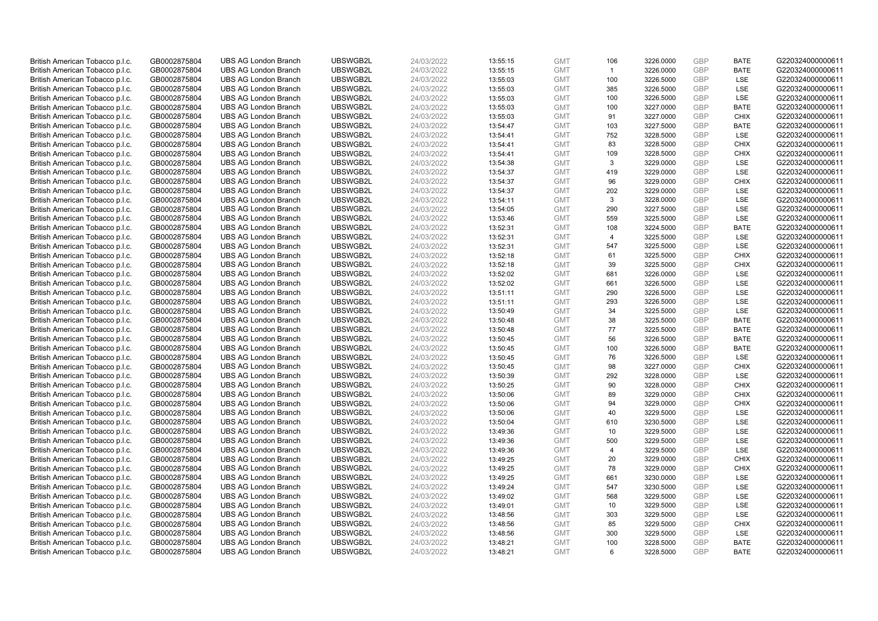| British American Tobacco p.l.c.                                    | GB0002875804                 | <b>UBS AG London Branch</b>                                | UBSWGB2L             | 24/03/2022               | 13:55:15             | <b>GMT</b>               | 106            | 3226.0000              | GBP               | <b>BATE</b>        | G220324000000611                     |
|--------------------------------------------------------------------|------------------------------|------------------------------------------------------------|----------------------|--------------------------|----------------------|--------------------------|----------------|------------------------|-------------------|--------------------|--------------------------------------|
| British American Tobacco p.l.c.                                    | GB0002875804                 | <b>UBS AG London Branch</b>                                | UBSWGB2L             | 24/03/2022               | 13:55:15             | <b>GMT</b>               | $\mathbf{1}$   | 3226.0000              | GBP               | <b>BATE</b>        | G220324000000611                     |
| British American Tobacco p.l.c.                                    | GB0002875804                 | <b>UBS AG London Branch</b>                                | UBSWGB2L             | 24/03/2022               | 13:55:03             | <b>GMT</b>               | 100            | 3226.5000              | GBP               | LSE                | G220324000000611                     |
| British American Tobacco p.l.c.                                    | GB0002875804                 | <b>UBS AG London Branch</b>                                | UBSWGB2L             | 24/03/2022               | 13:55:03             | <b>GMT</b>               | 385            | 3226.5000              | GBP               | LSE                | G220324000000611                     |
| British American Tobacco p.l.c.                                    | GB0002875804                 | <b>UBS AG London Branch</b>                                | UBSWGB2L             | 24/03/2022               | 13:55:03             | <b>GMT</b>               | 100            | 3226.5000              | GBP               | LSE                | G220324000000611                     |
| British American Tobacco p.l.c.                                    | GB0002875804                 | <b>UBS AG London Branch</b>                                | UBSWGB2L             | 24/03/2022               | 13:55:03             | <b>GMT</b>               | 100            | 3227.0000              | GBP               | <b>BATE</b>        | G220324000000611                     |
| British American Tobacco p.l.c.                                    | GB0002875804                 | <b>UBS AG London Branch</b>                                | UBSWGB2L             | 24/03/2022               | 13:55:03             | <b>GMT</b>               | 91             | 3227.0000              | GBP               | <b>CHIX</b>        | G220324000000611                     |
| British American Tobacco p.l.c.                                    | GB0002875804                 | <b>UBS AG London Branch</b>                                | UBSWGB2L             | 24/03/2022               | 13:54:47             | <b>GMT</b>               | 103            | 3227.5000              | GBP               | <b>BATE</b>        | G220324000000611                     |
| British American Tobacco p.l.c.                                    | GB0002875804                 | <b>UBS AG London Branch</b>                                | UBSWGB2L             | 24/03/2022               | 13:54:41             | <b>GMT</b>               | 752            | 3228.5000              | GBP               | LSE                | G220324000000611                     |
| British American Tobacco p.l.c.                                    | GB0002875804                 | <b>UBS AG London Branch</b>                                | UBSWGB2L             | 24/03/2022               | 13:54:41             | <b>GMT</b>               | 83             | 3228.5000              | <b>GBP</b>        | <b>CHIX</b>        | G220324000000611                     |
| British American Tobacco p.l.c.                                    | GB0002875804                 | <b>UBS AG London Branch</b>                                | UBSWGB2L             | 24/03/2022               | 13:54:41             | <b>GMT</b>               | 109            | 3228.5000              | GBP               | <b>CHIX</b>        | G220324000000611                     |
| British American Tobacco p.l.c.                                    | GB0002875804                 | <b>UBS AG London Branch</b>                                | UBSWGB2L             | 24/03/2022               | 13:54:38             | <b>GMT</b>               | 3              | 3229.0000              | GBP               | <b>LSE</b>         | G220324000000611                     |
| British American Tobacco p.l.c.                                    | GB0002875804                 | <b>UBS AG London Branch</b>                                | UBSWGB2L             | 24/03/2022               | 13:54:37             | <b>GMT</b>               | 419            | 3229.0000              | GBP               | LSE                | G220324000000611                     |
| British American Tobacco p.l.c.                                    | GB0002875804                 | <b>UBS AG London Branch</b>                                | UBSWGB2L             | 24/03/2022               | 13:54:37             | <b>GMT</b>               | 96             | 3229.0000              | GBP               | <b>CHIX</b>        | G220324000000611                     |
| British American Tobacco p.l.c.                                    | GB0002875804                 | <b>UBS AG London Branch</b>                                | UBSWGB2L             | 24/03/2022               | 13:54:37             | <b>GMT</b>               | 202            | 3229.0000              | GBP               | LSE                | G220324000000611                     |
| British American Tobacco p.l.c.                                    | GB0002875804                 | <b>UBS AG London Branch</b>                                | UBSWGB2L             | 24/03/2022               | 13:54:11             | <b>GMT</b>               | 3              | 3228.0000              | GBP               | LSE                | G220324000000611                     |
| British American Tobacco p.l.c.                                    | GB0002875804                 | <b>UBS AG London Branch</b>                                | UBSWGB2L             | 24/03/2022               | 13:54:05             | <b>GMT</b>               | 290            | 3227.5000              | GBP               | <b>LSE</b>         | G220324000000611                     |
| British American Tobacco p.l.c.                                    | GB0002875804                 | <b>UBS AG London Branch</b>                                | UBSWGB2L             | 24/03/2022               | 13:53:46             | <b>GMT</b>               | 559            | 3225.5000              | GBP               | LSE                | G220324000000611                     |
| British American Tobacco p.l.c.                                    | GB0002875804                 | <b>UBS AG London Branch</b>                                | UBSWGB2L             | 24/03/2022               | 13:52:31             | <b>GMT</b>               | 108            | 3224.5000              | GBP               | <b>BATE</b>        | G220324000000611                     |
| British American Tobacco p.l.c.                                    | GB0002875804                 | <b>UBS AG London Branch</b>                                | UBSWGB2L             | 24/03/2022               | 13:52:31             | <b>GMT</b>               | $\overline{4}$ | 3225.5000              | GBP               | LSE                | G220324000000611                     |
| British American Tobacco p.l.c.                                    | GB0002875804                 | <b>UBS AG London Branch</b>                                | UBSWGB2L             | 24/03/2022               | 13:52:31             | <b>GMT</b>               | 547            | 3225.5000              | GBP               | LSE                | G220324000000611                     |
| British American Tobacco p.l.c.                                    | GB0002875804                 | <b>UBS AG London Branch</b>                                | UBSWGB2L             | 24/03/2022               | 13:52:18             | <b>GMT</b>               | 61             | 3225.5000              | GBP               | <b>CHIX</b>        | G220324000000611                     |
| British American Tobacco p.l.c.                                    | GB0002875804                 | <b>UBS AG London Branch</b>                                | UBSWGB2L             | 24/03/2022               | 13:52:18             | <b>GMT</b>               | 39             | 3225.5000              | GBP               | <b>CHIX</b>        | G220324000000611                     |
| British American Tobacco p.l.c.                                    | GB0002875804                 | <b>UBS AG London Branch</b>                                | UBSWGB2L             | 24/03/2022               | 13:52:02             | <b>GMT</b>               | 681            | 3226.0000              | GBP               | LSE                | G220324000000611                     |
| British American Tobacco p.l.c.                                    | GB0002875804                 | <b>UBS AG London Branch</b>                                | UBSWGB2L             | 24/03/2022               | 13:52:02             | <b>GMT</b>               | 661            | 3226.5000              | <b>GBP</b>        | LSE                | G220324000000611                     |
| British American Tobacco p.l.c.                                    | GB0002875804                 | <b>UBS AG London Branch</b>                                | UBSWGB2L             | 24/03/2022               | 13:51:11             | <b>GMT</b>               | 290            | 3226.5000              | GBP               | LSE                | G220324000000611                     |
| British American Tobacco p.l.c.                                    | GB0002875804                 | <b>UBS AG London Branch</b>                                | UBSWGB2L             | 24/03/2022               | 13:51:11             | <b>GMT</b>               | 293            | 3226.5000              | GBP               | LSE                | G220324000000611                     |
| British American Tobacco p.l.c.                                    | GB0002875804                 | <b>UBS AG London Branch</b>                                | UBSWGB2L             | 24/03/2022               | 13:50:49             | <b>GMT</b>               | 34             | 3225.5000              | GBP               | LSE                | G220324000000611                     |
| British American Tobacco p.l.c.                                    | GB0002875804                 | <b>UBS AG London Branch</b>                                | UBSWGB2L             | 24/03/2022               | 13:50:48             | <b>GMT</b>               | 38             | 3225.5000              | GBP               | <b>BATE</b>        | G220324000000611                     |
| British American Tobacco p.l.c.                                    | GB0002875804                 | <b>UBS AG London Branch</b>                                | UBSWGB2L             | 24/03/2022               | 13:50:48             | <b>GMT</b>               | 77             | 3225.5000              | GBP               | <b>BATE</b>        | G220324000000611                     |
| British American Tobacco p.l.c.                                    | GB0002875804                 | <b>UBS AG London Branch</b>                                | UBSWGB2L             | 24/03/2022               | 13:50:45             | <b>GMT</b>               | 56             | 3226.5000              | GBP               | <b>BATE</b>        | G220324000000611                     |
| British American Tobacco p.l.c.                                    | GB0002875804                 | <b>UBS AG London Branch</b>                                | UBSWGB2L             | 24/03/2022               | 13:50:45             | <b>GMT</b>               | 100            | 3226.5000              | GBP               | <b>BATE</b>        | G220324000000611                     |
| British American Tobacco p.l.c.                                    | GB0002875804                 | <b>UBS AG London Branch</b>                                | UBSWGB2L             | 24/03/2022               | 13:50:45             | <b>GMT</b>               | 76             | 3226.5000              | GBP               | <b>LSE</b>         | G220324000000611                     |
| British American Tobacco p.l.c.                                    | GB0002875804                 | <b>UBS AG London Branch</b>                                | UBSWGB2L             | 24/03/2022               | 13:50:45             | <b>GMT</b>               | 98             | 3227.0000              | GBP               | <b>CHIX</b>        | G220324000000611                     |
| British American Tobacco p.l.c.                                    | GB0002875804                 | <b>UBS AG London Branch</b>                                | UBSWGB2L             | 24/03/2022               | 13:50:39             | <b>GMT</b>               | 292            | 3228.0000              | GBP               | LSE                | G220324000000611                     |
| British American Tobacco p.l.c.                                    | GB0002875804                 | <b>UBS AG London Branch</b>                                | UBSWGB2L             | 24/03/2022               | 13:50:25             | <b>GMT</b>               | 90             | 3228.0000              | GBP               | <b>CHIX</b>        | G220324000000611                     |
| British American Tobacco p.l.c.                                    | GB0002875804                 | <b>UBS AG London Branch</b>                                | UBSWGB2L             | 24/03/2022               | 13:50:06             | <b>GMT</b>               | 89             | 3229.0000              | GBP               | <b>CHIX</b>        | G220324000000611                     |
| British American Tobacco p.l.c.                                    | GB0002875804                 | <b>UBS AG London Branch</b>                                | UBSWGB2L             | 24/03/2022               | 13:50:06             | <b>GMT</b>               | 94             | 3229.0000              | GBP               | <b>CHIX</b>        | G220324000000611                     |
| British American Tobacco p.l.c.                                    | GB0002875804                 | <b>UBS AG London Branch</b>                                | UBSWGB2L             | 24/03/2022               | 13:50:06             | <b>GMT</b>               | 40             | 3229.5000              | GBP               | <b>LSE</b>         | G220324000000611                     |
| British American Tobacco p.l.c.                                    | GB0002875804                 | <b>UBS AG London Branch</b>                                | UBSWGB2L             | 24/03/2022               | 13:50:04             | <b>GMT</b>               | 610            | 3230.5000              | GBP               | LSE                | G220324000000611                     |
| British American Tobacco p.l.c.                                    | GB0002875804                 | <b>UBS AG London Branch</b>                                | UBSWGB2L             | 24/03/2022               | 13:49:36             | <b>GMT</b>               | 10             | 3229.5000              | GBP               | <b>LSE</b>         | G220324000000611                     |
| British American Tobacco p.l.c.                                    | GB0002875804                 | <b>UBS AG London Branch</b>                                | UBSWGB2L             | 24/03/2022               | 13:49:36             | <b>GMT</b>               | 500            | 3229.5000              | GBP               | LSE                | G220324000000611                     |
| British American Tobacco p.l.c.                                    | GB0002875804                 | <b>UBS AG London Branch</b>                                | UBSWGB2L             | 24/03/2022               | 13:49:36             | <b>GMT</b>               | $\overline{4}$ | 3229.5000              | GBP               | <b>LSE</b>         | G220324000000611                     |
| British American Tobacco p.l.c.                                    | GB0002875804                 | <b>UBS AG London Branch</b>                                | UBSWGB2L             | 24/03/2022               | 13:49:25             | <b>GMT</b>               | 20             | 3229.0000              | GBP               | <b>CHIX</b>        | G220324000000611                     |
| British American Tobacco p.l.c.                                    | GB0002875804                 | <b>UBS AG London Branch</b>                                | UBSWGB2L             | 24/03/2022               | 13:49:25             | <b>GMT</b>               | 78             | 3229.0000              | GBP               | <b>CHIX</b>        | G220324000000611                     |
| British American Tobacco p.l.c.                                    | GB0002875804                 | <b>UBS AG London Branch</b>                                | UBSWGB2L             | 24/03/2022               | 13:49:25             | <b>GMT</b>               | 661            | 3230.0000              | <b>GBP</b>        | LSE                | G220324000000611                     |
| British American Tobacco p.l.c.                                    | GB0002875804                 | <b>UBS AG London Branch</b>                                | UBSWGB2L             | 24/03/2022               | 13:49:24             | <b>GMT</b>               | 547            | 3230.5000              | GBP               | <b>LSE</b>         | G220324000000611                     |
| British American Tobacco p.l.c.                                    | GB0002875804                 | <b>UBS AG London Branch</b>                                | UBSWGB2L             | 24/03/2022               | 13:49:02             | <b>GMT</b>               | 568            | 3229.5000              | GBP               | LSE                | G220324000000611                     |
| British American Tobacco p.l.c.                                    | GB0002875804                 | <b>UBS AG London Branch</b>                                | UBSWGB2L             | 24/03/2022               | 13:49:01             | <b>GMT</b>               | 10             | 3229.5000              | GBP               | LSE                | G220324000000611                     |
| British American Tobacco p.l.c.                                    | GB0002875804                 | <b>UBS AG London Branch</b>                                | UBSWGB2L             | 24/03/2022               | 13:48:56             | <b>GMT</b>               | 303            | 3229.5000              | GBP               | LSE                | G220324000000611                     |
| British American Tobacco p.l.c.                                    | GB0002875804                 | <b>UBS AG London Branch</b><br><b>UBS AG London Branch</b> | UBSWGB2L<br>UBSWGB2L | 24/03/2022               | 13:48:56             | <b>GMT</b><br><b>GMT</b> | 85<br>300      | 3229.5000              | GBP<br><b>GBP</b> | <b>CHIX</b><br>LSE | G220324000000611<br>G220324000000611 |
| British American Tobacco p.l.c.                                    | GB0002875804<br>GB0002875804 | <b>UBS AG London Branch</b>                                | UBSWGB2L             | 24/03/2022<br>24/03/2022 | 13:48:56             | <b>GMT</b>               | 100            | 3229.5000              | GBP               | <b>BATE</b>        | G220324000000611                     |
| British American Tobacco p.l.c.<br>British American Tobacco p.l.c. | GB0002875804                 | <b>UBS AG London Branch</b>                                | UBSWGB2L             | 24/03/2022               | 13:48:21<br>13:48:21 | <b>GMT</b>               | 6              | 3228.5000<br>3228.5000 | GBP               | <b>BATE</b>        | G220324000000611                     |
|                                                                    |                              |                                                            |                      |                          |                      |                          |                |                        |                   |                    |                                      |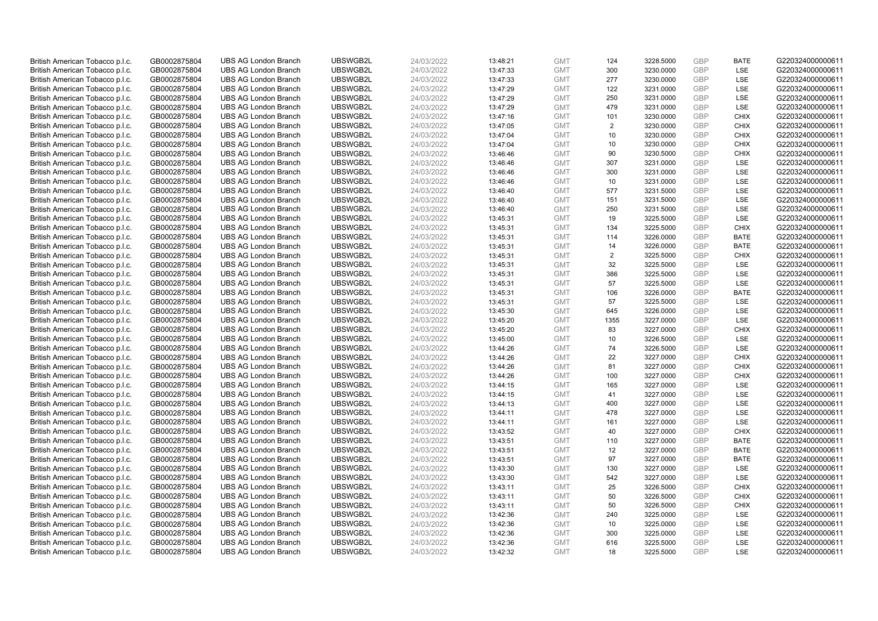| British American Tobacco p.l.c. | GB0002875804 | <b>UBS AG London Branch</b> | UBSWGB2L | 24/03/2022 | 13:48:21 | <b>GMT</b> | 124            | 3228.5000 | GBP        | <b>BATE</b> | G220324000000611 |
|---------------------------------|--------------|-----------------------------|----------|------------|----------|------------|----------------|-----------|------------|-------------|------------------|
|                                 |              |                             |          |            |          |            |                |           | GBP        | LSE         |                  |
| British American Tobacco p.l.c. | GB0002875804 | <b>UBS AG London Branch</b> | UBSWGB2L | 24/03/2022 | 13:47:33 | <b>GMT</b> | 300            | 3230.0000 |            |             | G220324000000611 |
| British American Tobacco p.l.c. | GB0002875804 | <b>UBS AG London Branch</b> | UBSWGB2L | 24/03/2022 | 13:47:33 | <b>GMT</b> | 277            | 3230.0000 | GBP        | LSE         | G220324000000611 |
| British American Tobacco p.l.c. | GB0002875804 | <b>UBS AG London Branch</b> | UBSWGB2L | 24/03/2022 | 13:47:29 | <b>GMT</b> | 122            | 3231.0000 | GBP        | LSE         | G220324000000611 |
| British American Tobacco p.l.c. | GB0002875804 | <b>UBS AG London Branch</b> | UBSWGB2L | 24/03/2022 | 13:47:29 | <b>GMT</b> | 250            | 3231.0000 | GBP        | LSE         | G220324000000611 |
| British American Tobacco p.l.c. | GB0002875804 | <b>UBS AG London Branch</b> | UBSWGB2L | 24/03/2022 | 13:47:29 | <b>GMT</b> | 479            | 3231.0000 | GBP        | LSE         | G220324000000611 |
| British American Tobacco p.l.c. | GB0002875804 | <b>UBS AG London Branch</b> | UBSWGB2L | 24/03/2022 | 13:47:16 | <b>GMT</b> | 101            | 3230.0000 | GBP        | <b>CHIX</b> | G220324000000611 |
| British American Tobacco p.l.c. | GB0002875804 | <b>UBS AG London Branch</b> | UBSWGB2L | 24/03/2022 | 13:47:05 | <b>GMT</b> | $\overline{2}$ | 3230.0000 | GBP        | <b>CHIX</b> | G220324000000611 |
| British American Tobacco p.l.c. | GB0002875804 | <b>UBS AG London Branch</b> | UBSWGB2L | 24/03/2022 | 13:47:04 | <b>GMT</b> | 10             | 3230.0000 | GBP        | <b>CHIX</b> | G220324000000611 |
| British American Tobacco p.l.c. | GB0002875804 | <b>UBS AG London Branch</b> | UBSWGB2L | 24/03/2022 | 13:47:04 | <b>GMT</b> | 10             | 3230.0000 | GBP        | <b>CHIX</b> | G220324000000611 |
| British American Tobacco p.l.c. | GB0002875804 | <b>UBS AG London Branch</b> | UBSWGB2L | 24/03/2022 | 13:46:46 | <b>GMT</b> | 90             | 3230.5000 | GBP        | <b>CHIX</b> | G220324000000611 |
| British American Tobacco p.l.c. | GB0002875804 | <b>UBS AG London Branch</b> | UBSWGB2L | 24/03/2022 | 13:46:46 | <b>GMT</b> | 307            | 3231.0000 | GBP        | LSE         | G220324000000611 |
| British American Tobacco p.l.c. | GB0002875804 | <b>UBS AG London Branch</b> | UBSWGB2L | 24/03/2022 | 13:46:46 | <b>GMT</b> | 300            | 3231.0000 | GBP        | <b>LSE</b>  | G220324000000611 |
| British American Tobacco p.l.c. | GB0002875804 | <b>UBS AG London Branch</b> | UBSWGB2L | 24/03/2022 | 13:46:46 | <b>GMT</b> | 10             | 3231.0000 | GBP        | LSE         | G220324000000611 |
| British American Tobacco p.l.c. | GB0002875804 | <b>UBS AG London Branch</b> | UBSWGB2L | 24/03/2022 | 13:46:40 | <b>GMT</b> | 577            | 3231.5000 | GBP        | LSE         | G220324000000611 |
| British American Tobacco p.l.c. | GB0002875804 | <b>UBS AG London Branch</b> | UBSWGB2L | 24/03/2022 | 13:46:40 | <b>GMT</b> | 151            | 3231.5000 | GBP        | LSE         | G220324000000611 |
|                                 |              |                             | UBSWGB2L |            |          | <b>GMT</b> | 250            |           | GBP        | <b>LSE</b>  |                  |
| British American Tobacco p.l.c. | GB0002875804 | <b>UBS AG London Branch</b> |          | 24/03/2022 | 13:46:40 |            |                | 3231.5000 |            |             | G220324000000611 |
| British American Tobacco p.l.c. | GB0002875804 | <b>UBS AG London Branch</b> | UBSWGB2L | 24/03/2022 | 13:45:31 | <b>GMT</b> | 19             | 3225.5000 | GBP        | LSE         | G220324000000611 |
| British American Tobacco p.l.c. | GB0002875804 | <b>UBS AG London Branch</b> | UBSWGB2L | 24/03/2022 | 13:45:31 | <b>GMT</b> | 134            | 3225.5000 | GBP        | <b>CHIX</b> | G220324000000611 |
| British American Tobacco p.l.c. | GB0002875804 | <b>UBS AG London Branch</b> | UBSWGB2L | 24/03/2022 | 13:45:31 | <b>GMT</b> | 114            | 3226.0000 | GBP        | <b>BATE</b> | G220324000000611 |
| British American Tobacco p.l.c. | GB0002875804 | <b>UBS AG London Branch</b> | UBSWGB2L | 24/03/2022 | 13:45:31 | <b>GMT</b> | 14             | 3226.0000 | GBP        | <b>BATE</b> | G220324000000611 |
| British American Tobacco p.l.c. | GB0002875804 | <b>UBS AG London Branch</b> | UBSWGB2L | 24/03/2022 | 13:45:31 | <b>GMT</b> | $\overline{2}$ | 3225.5000 | GBP        | <b>CHIX</b> | G220324000000611 |
| British American Tobacco p.l.c. | GB0002875804 | <b>UBS AG London Branch</b> | UBSWGB2L | 24/03/2022 | 13:45:31 | <b>GMT</b> | 32             | 3225.5000 | GBP        | LSE         | G220324000000611 |
| British American Tobacco p.l.c. | GB0002875804 | <b>UBS AG London Branch</b> | UBSWGB2L | 24/03/2022 | 13:45:31 | <b>GMT</b> | 386            | 3225.5000 | GBP        | <b>LSE</b>  | G220324000000611 |
| British American Tobacco p.l.c. | GB0002875804 | <b>UBS AG London Branch</b> | UBSWGB2L | 24/03/2022 | 13:45:31 | <b>GMT</b> | 57             | 3225.5000 | GBP        | LSE         | G220324000000611 |
| British American Tobacco p.l.c. | GB0002875804 | <b>UBS AG London Branch</b> | UBSWGB2L | 24/03/2022 | 13:45:31 | <b>GMT</b> | 106            | 3226.0000 | GBP        | <b>BATE</b> | G220324000000611 |
| British American Tobacco p.l.c. | GB0002875804 | <b>UBS AG London Branch</b> | UBSWGB2L | 24/03/2022 | 13:45:31 | <b>GMT</b> | 57             | 3225.5000 | GBP        | LSE         | G220324000000611 |
| British American Tobacco p.l.c. | GB0002875804 | <b>UBS AG London Branch</b> | UBSWGB2L | 24/03/2022 | 13:45:30 | <b>GMT</b> | 645            | 3226.0000 | <b>GBP</b> | LSE         | G220324000000611 |
| British American Tobacco p.l.c. | GB0002875804 | <b>UBS AG London Branch</b> | UBSWGB2L | 24/03/2022 | 13:45:20 | <b>GMT</b> | 1355           | 3227.0000 | GBP        | LSE         | G220324000000611 |
| British American Tobacco p.l.c. | GB0002875804 | <b>UBS AG London Branch</b> | UBSWGB2L | 24/03/2022 | 13:45:20 | <b>GMT</b> | 83             | 3227.0000 | GBP        | <b>CHIX</b> | G220324000000611 |
| British American Tobacco p.l.c. | GB0002875804 | <b>UBS AG London Branch</b> | UBSWGB2L | 24/03/2022 | 13:45:00 | <b>GMT</b> | 10             | 3226.5000 | GBP        | LSE         | G220324000000611 |
| British American Tobacco p.l.c. | GB0002875804 | <b>UBS AG London Branch</b> | UBSWGB2L | 24/03/2022 | 13:44:26 | <b>GMT</b> | 74             | 3226.5000 | GBP        | <b>LSE</b>  | G220324000000611 |
| British American Tobacco p.l.c. | GB0002875804 | <b>UBS AG London Branch</b> | UBSWGB2L | 24/03/2022 | 13:44:26 | <b>GMT</b> | 22             | 3227.0000 | GBP        | <b>CHIX</b> | G220324000000611 |
|                                 |              |                             |          |            |          |            | 81             |           |            |             |                  |
| British American Tobacco p.l.c. | GB0002875804 | <b>UBS AG London Branch</b> | UBSWGB2L | 24/03/2022 | 13:44:26 | <b>GMT</b> |                | 3227.0000 | GBP        | <b>CHIX</b> | G220324000000611 |
| British American Tobacco p.l.c. | GB0002875804 | <b>UBS AG London Branch</b> | UBSWGB2L | 24/03/2022 | 13:44:26 | <b>GMT</b> | 100            | 3227.0000 | GBP        | <b>CHIX</b> | G220324000000611 |
| British American Tobacco p.l.c. | GB0002875804 | <b>UBS AG London Branch</b> | UBSWGB2L | 24/03/2022 | 13:44:15 | <b>GMT</b> | 165            | 3227.0000 | GBP        | LSE         | G220324000000611 |
| British American Tobacco p.l.c. | GB0002875804 | <b>UBS AG London Branch</b> | UBSWGB2L | 24/03/2022 | 13:44:15 | <b>GMT</b> | 41             | 3227.0000 | GBP        | <b>LSE</b>  | G220324000000611 |
| British American Tobacco p.l.c. | GB0002875804 | <b>UBS AG London Branch</b> | UBSWGB2L | 24/03/2022 | 13:44:13 | <b>GMT</b> | 400            | 3227.0000 | GBP        | LSE         | G220324000000611 |
| British American Tobacco p.l.c. | GB0002875804 | <b>UBS AG London Branch</b> | UBSWGB2L | 24/03/2022 | 13:44:11 | <b>GMT</b> | 478            | 3227.0000 | GBP        | <b>LSE</b>  | G220324000000611 |
| British American Tobacco p.l.c. | GB0002875804 | <b>UBS AG London Branch</b> | UBSWGB2L | 24/03/2022 | 13:44:11 | <b>GMT</b> | 161            | 3227.0000 | GBP        | LSE         | G220324000000611 |
| British American Tobacco p.l.c. | GB0002875804 | <b>UBS AG London Branch</b> | UBSWGB2L | 24/03/2022 | 13:43:52 | <b>GMT</b> | 40             | 3227.0000 | <b>GBP</b> | <b>CHIX</b> | G220324000000611 |
| British American Tobacco p.l.c. | GB0002875804 | <b>UBS AG London Branch</b> | UBSWGB2L | 24/03/2022 | 13:43:51 | <b>GMT</b> | 110            | 3227.0000 | GBP        | <b>BATE</b> | G220324000000611 |
| British American Tobacco p.l.c. | GB0002875804 | <b>UBS AG London Branch</b> | UBSWGB2L | 24/03/2022 | 13:43:51 | <b>GMT</b> | 12             | 3227.0000 | GBP        | <b>BATE</b> | G220324000000611 |
| British American Tobacco p.l.c. | GB0002875804 | <b>UBS AG London Branch</b> | UBSWGB2L | 24/03/2022 | 13:43:51 | <b>GMT</b> | 97             | 3227.0000 | GBP        | <b>BATE</b> | G220324000000611 |
| British American Tobacco p.l.c. | GB0002875804 | <b>UBS AG London Branch</b> | UBSWGB2L | 24/03/2022 | 13:43:30 | <b>GMT</b> | 130            | 3227.0000 | GBP        | <b>LSE</b>  | G220324000000611 |
| British American Tobacco p.l.c. | GB0002875804 | <b>UBS AG London Branch</b> | UBSWGB2L | 24/03/2022 | 13:43:30 | <b>GMT</b> | 542            | 3227.0000 | GBP        | LSE         | G220324000000611 |
| British American Tobacco p.l.c. | GB0002875804 | <b>UBS AG London Branch</b> | UBSWGB2L | 24/03/2022 | 13:43:11 | <b>GMT</b> | 25             | 3226.5000 | <b>GBP</b> | <b>CHIX</b> | G220324000000611 |
| British American Tobacco p.l.c. | GB0002875804 | <b>UBS AG London Branch</b> | UBSWGB2L | 24/03/2022 | 13:43:11 | <b>GMT</b> | 50             | 3226.5000 | GBP        | <b>CHIX</b> | G220324000000611 |
| British American Tobacco p.l.c. | GB0002875804 | <b>UBS AG London Branch</b> | UBSWGB2L | 24/03/2022 | 13:43:11 | <b>GMT</b> | 50             | 3226.5000 | GBP        | <b>CHIX</b> | G220324000000611 |
| British American Tobacco p.l.c. | GB0002875804 | <b>UBS AG London Branch</b> | UBSWGB2L | 24/03/2022 | 13:42:36 | <b>GMT</b> | 240            | 3225.0000 | GBP        | <b>LSE</b>  | G220324000000611 |
| British American Tobacco p.l.c. | GB0002875804 | <b>UBS AG London Branch</b> | UBSWGB2L | 24/03/2022 | 13:42:36 | <b>GMT</b> | 10             | 3225.0000 | GBP        | LSE         | G220324000000611 |
| British American Tobacco p.l.c. | GB0002875804 | <b>UBS AG London Branch</b> | UBSWGB2L | 24/03/2022 | 13:42:36 | <b>GMT</b> | 300            | 3225.0000 | <b>GBP</b> | <b>LSE</b>  | G220324000000611 |
|                                 |              |                             |          |            |          |            |                |           | GBP        | LSE         | G220324000000611 |
| British American Tobacco p.l.c. | GB0002875804 | <b>UBS AG London Branch</b> | UBSWGB2L | 24/03/2022 | 13:42:36 | <b>GMT</b> | 616            | 3225.5000 |            |             |                  |
| British American Tobacco p.l.c. | GB0002875804 | <b>UBS AG London Branch</b> | UBSWGB2L | 24/03/2022 | 13:42:32 | <b>GMT</b> | 18             | 3225.5000 | GBP        | <b>LSE</b>  | G220324000000611 |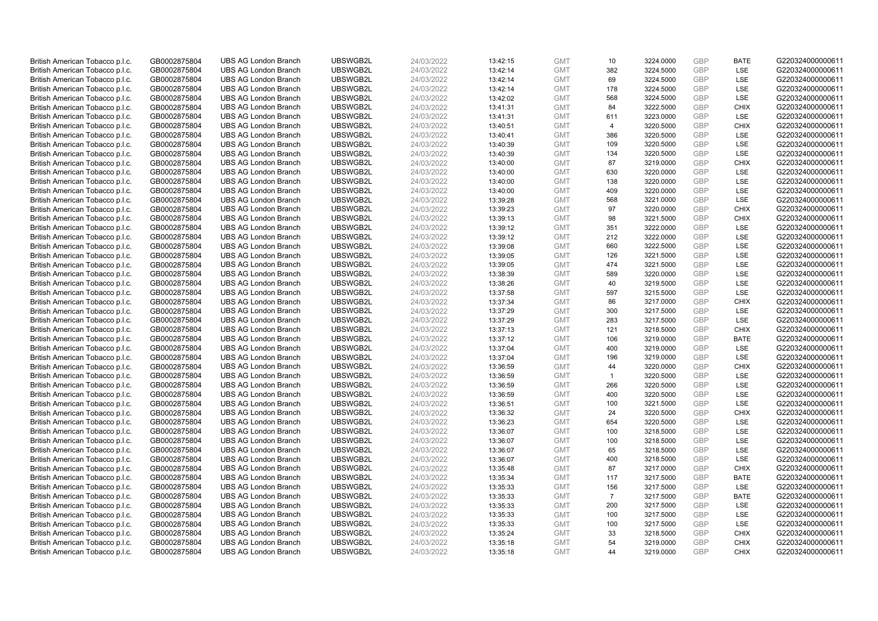| British American Tobacco p.l.c. | GB0002875804 | <b>UBS AG London Branch</b> | UBSWGB2L | 24/03/2022 | 13:42:15 | <b>GMT</b> | 10             | 3224.0000 | GBP        | <b>BATE</b>       | G220324000000611 |
|---------------------------------|--------------|-----------------------------|----------|------------|----------|------------|----------------|-----------|------------|-------------------|------------------|
|                                 |              |                             |          |            |          |            |                |           |            |                   |                  |
| British American Tobacco p.l.c. | GB0002875804 | <b>UBS AG London Branch</b> | UBSWGB2L | 24/03/2022 | 13:42:14 | <b>GMT</b> | 382            | 3224.5000 | GBP        | <b>LSE</b>        | G220324000000611 |
| British American Tobacco p.l.c. | GB0002875804 | <b>UBS AG London Branch</b> | UBSWGB2L | 24/03/2022 | 13:42:14 | <b>GMT</b> | 69             | 3224.5000 | GBP        | LSE               | G220324000000611 |
| British American Tobacco p.l.c. | GB0002875804 | <b>UBS AG London Branch</b> | UBSWGB2L | 24/03/2022 | 13:42:14 | <b>GMT</b> | 178            | 3224.5000 | GBP        | LSE               | G220324000000611 |
| British American Tobacco p.l.c. | GB0002875804 | <b>UBS AG London Branch</b> | UBSWGB2L | 24/03/2022 | 13:42:02 | <b>GMT</b> | 568            | 3224.5000 | GBP        | LSE               | G220324000000611 |
| British American Tobacco p.l.c. | GB0002875804 | <b>UBS AG London Branch</b> | UBSWGB2L | 24/03/2022 | 13:41:31 | <b>GMT</b> | 84             | 3222.5000 | GBP        | <b>CHIX</b>       | G220324000000611 |
| British American Tobacco p.l.c. | GB0002875804 | <b>UBS AG London Branch</b> | UBSWGB2L | 24/03/2022 | 13:41:31 | <b>GMT</b> | 611            | 3223.0000 | GBP        | <b>LSE</b>        | G220324000000611 |
| British American Tobacco p.l.c. | GB0002875804 | <b>UBS AG London Branch</b> | UBSWGB2L | 24/03/2022 | 13:40:51 | <b>GMT</b> | 4              | 3220.5000 | GBP        | <b>CHIX</b>       | G220324000000611 |
| British American Tobacco p.l.c. | GB0002875804 | <b>UBS AG London Branch</b> | UBSWGB2L | 24/03/2022 | 13:40:41 | <b>GMT</b> | 386            | 3220.5000 | GBP        | LSE               | G220324000000611 |
| British American Tobacco p.l.c. | GB0002875804 | <b>UBS AG London Branch</b> | UBSWGB2L | 24/03/2022 | 13:40:39 | <b>GMT</b> | 109            | 3220.5000 | GBP        | LSE               | G220324000000611 |
| British American Tobacco p.l.c. | GB0002875804 | <b>UBS AG London Branch</b> | UBSWGB2L | 24/03/2022 | 13:40:39 | <b>GMT</b> | 134            | 3220.5000 | GBP        | LSE               | G220324000000611 |
| British American Tobacco p.l.c. | GB0002875804 | <b>UBS AG London Branch</b> | UBSWGB2L | 24/03/2022 | 13:40:00 | <b>GMT</b> | 87             | 3219.0000 | GBP        | <b>CHIX</b>       | G220324000000611 |
| British American Tobacco p.l.c. | GB0002875804 | <b>UBS AG London Branch</b> | UBSWGB2L | 24/03/2022 | 13:40:00 | <b>GMT</b> | 630            | 3220.0000 | GBP        | LSE               | G220324000000611 |
| British American Tobacco p.l.c. | GB0002875804 | <b>UBS AG London Branch</b> | UBSWGB2L | 24/03/2022 | 13:40:00 | <b>GMT</b> | 138            | 3220.0000 | GBP        | LSE               | G220324000000611 |
| British American Tobacco p.l.c. | GB0002875804 | <b>UBS AG London Branch</b> | UBSWGB2L | 24/03/2022 | 13:40:00 | <b>GMT</b> | 409            | 3220.0000 | GBP        | <b>LSE</b>        | G220324000000611 |
| British American Tobacco p.l.c. | GB0002875804 | <b>UBS AG London Branch</b> | UBSWGB2L | 24/03/2022 | 13:39:28 | <b>GMT</b> | 568            | 3221.0000 | GBP        | LSE               | G220324000000611 |
|                                 |              |                             | UBSWGB2L |            |          | <b>GMT</b> |                |           | GBP        |                   |                  |
| British American Tobacco p.l.c. | GB0002875804 | <b>UBS AG London Branch</b> |          | 24/03/2022 | 13:39:23 |            | 97             | 3220.0000 |            | <b>CHIX</b>       | G220324000000611 |
| British American Tobacco p.l.c. | GB0002875804 | <b>UBS AG London Branch</b> | UBSWGB2L | 24/03/2022 | 13:39:13 | <b>GMT</b> | 98             | 3221.5000 | GBP        | <b>CHIX</b>       | G220324000000611 |
| British American Tobacco p.l.c. | GB0002875804 | <b>UBS AG London Branch</b> | UBSWGB2L | 24/03/2022 | 13:39:12 | <b>GMT</b> | 351            | 3222.0000 | GBP        | <b>LSE</b>        | G220324000000611 |
| British American Tobacco p.l.c. | GB0002875804 | <b>UBS AG London Branch</b> | UBSWGB2L | 24/03/2022 | 13:39:12 | <b>GMT</b> | 212            | 3222.0000 | GBP        | <b>LSE</b>        | G220324000000611 |
| British American Tobacco p.l.c. | GB0002875804 | <b>UBS AG London Branch</b> | UBSWGB2L | 24/03/2022 | 13:39:08 | <b>GMT</b> | 660            | 3222.5000 | GBP        | LSE               | G220324000000611 |
| British American Tobacco p.l.c. | GB0002875804 | <b>UBS AG London Branch</b> | UBSWGB2L | 24/03/2022 | 13:39:05 | <b>GMT</b> | 126            | 3221.5000 | GBP        | LSE               | G220324000000611 |
| British American Tobacco p.l.c. | GB0002875804 | <b>UBS AG London Branch</b> | UBSWGB2L | 24/03/2022 | 13:39:05 | <b>GMT</b> | 474            | 3221.5000 | GBP        | LSE               | G220324000000611 |
| British American Tobacco p.l.c. | GB0002875804 | <b>UBS AG London Branch</b> | UBSWGB2L | 24/03/2022 | 13:38:39 | <b>GMT</b> | 589            | 3220.0000 | GBP        | LSE               | G220324000000611 |
| British American Tobacco p.l.c. | GB0002875804 | <b>UBS AG London Branch</b> | UBSWGB2L | 24/03/2022 | 13:38:26 | <b>GMT</b> | 40             | 3219.5000 | GBP        | LSE               | G220324000000611 |
| British American Tobacco p.l.c. | GB0002875804 | <b>UBS AG London Branch</b> | UBSWGB2L | 24/03/2022 | 13:37:58 | <b>GMT</b> | 597            | 3215.5000 | GBP        | <b>LSE</b>        | G220324000000611 |
| British American Tobacco p.l.c. | GB0002875804 | <b>UBS AG London Branch</b> | UBSWGB2L | 24/03/2022 | 13:37:34 | <b>GMT</b> | 86             | 3217.0000 | GBP        | <b>CHIX</b>       | G220324000000611 |
| British American Tobacco p.l.c. | GB0002875804 | <b>UBS AG London Branch</b> | UBSWGB2L | 24/03/2022 | 13:37:29 | <b>GMT</b> | 300            | 3217.5000 | <b>GBP</b> | <b>LSE</b>        | G220324000000611 |
| British American Tobacco p.l.c. | GB0002875804 | <b>UBS AG London Branch</b> | UBSWGB2L | 24/03/2022 | 13:37:29 | <b>GMT</b> | 283            | 3217.5000 | GBP        | LSE               | G220324000000611 |
| British American Tobacco p.l.c. | GB0002875804 | <b>UBS AG London Branch</b> | UBSWGB2L | 24/03/2022 | 13:37:13 | <b>GMT</b> | 121            | 3218.5000 | GBP        | <b>CHIX</b>       | G220324000000611 |
| British American Tobacco p.l.c. | GB0002875804 | <b>UBS AG London Branch</b> | UBSWGB2L | 24/03/2022 | 13:37:12 | <b>GMT</b> | 106            | 3219.0000 | GBP        | <b>BATE</b>       | G220324000000611 |
| British American Tobacco p.l.c. | GB0002875804 | <b>UBS AG London Branch</b> | UBSWGB2L | 24/03/2022 | 13:37:04 | <b>GMT</b> | 400            | 3219.0000 | GBP        | <b>LSE</b>        | G220324000000611 |
| British American Tobacco p.l.c. | GB0002875804 | <b>UBS AG London Branch</b> | UBSWGB2L | 24/03/2022 | 13:37:04 | <b>GMT</b> | 196            | 3219.0000 | <b>GBP</b> | LSE               | G220324000000611 |
| British American Tobacco p.l.c. | GB0002875804 | <b>UBS AG London Branch</b> | UBSWGB2L | 24/03/2022 | 13:36:59 | <b>GMT</b> | 44             | 3220.0000 | GBP        | <b>CHIX</b>       | G220324000000611 |
| British American Tobacco p.l.c. | GB0002875804 | <b>UBS AG London Branch</b> | UBSWGB2L | 24/03/2022 | 13:36:59 | <b>GMT</b> | $\mathbf{1}$   | 3220.5000 | GBP        | LSE               | G220324000000611 |
| British American Tobacco p.l.c. | GB0002875804 | <b>UBS AG London Branch</b> | UBSWGB2L | 24/03/2022 | 13:36:59 | <b>GMT</b> | 266            | 3220.5000 | GBP        | LSE               | G220324000000611 |
| British American Tobacco p.l.c. | GB0002875804 | <b>UBS AG London Branch</b> | UBSWGB2L | 24/03/2022 | 13:36:59 | <b>GMT</b> | 400            | 3220.5000 | GBP        | <b>LSE</b>        | G220324000000611 |
| British American Tobacco p.l.c. | GB0002875804 | <b>UBS AG London Branch</b> | UBSWGB2L | 24/03/2022 | 13:36:51 | <b>GMT</b> | 100            | 3221.5000 | GBP        | LSE               | G220324000000611 |
| British American Tobacco p.l.c. | GB0002875804 | <b>UBS AG London Branch</b> | UBSWGB2L | 24/03/2022 | 13:36:32 | <b>GMT</b> | 24             | 3220.5000 | GBP        | <b>CHIX</b>       | G220324000000611 |
|                                 |              |                             |          |            |          |            |                |           | GBP        |                   |                  |
| British American Tobacco p.l.c. | GB0002875804 | <b>UBS AG London Branch</b> | UBSWGB2L | 24/03/2022 | 13:36:23 | <b>GMT</b> | 654            | 3220.5000 |            | LSE<br><b>LSE</b> | G220324000000611 |
| British American Tobacco p.l.c. | GB0002875804 | <b>UBS AG London Branch</b> | UBSWGB2L | 24/03/2022 | 13:36:07 | <b>GMT</b> | 100            | 3218.5000 | <b>GBP</b> |                   | G220324000000611 |
| British American Tobacco p.l.c. | GB0002875804 | <b>UBS AG London Branch</b> | UBSWGB2L | 24/03/2022 | 13:36:07 | <b>GMT</b> | 100            | 3218.5000 | GBP        | LSE               | G220324000000611 |
| British American Tobacco p.l.c. | GB0002875804 | <b>UBS AG London Branch</b> | UBSWGB2L | 24/03/2022 | 13:36:07 | <b>GMT</b> | 65             | 3218.5000 | GBP        | LSE               | G220324000000611 |
| British American Tobacco p.l.c. | GB0002875804 | <b>UBS AG London Branch</b> | UBSWGB2L | 24/03/2022 | 13:36:07 | <b>GMT</b> | 400            | 3218.5000 | GBP        | LSE               | G220324000000611 |
| British American Tobacco p.l.c. | GB0002875804 | <b>UBS AG London Branch</b> | UBSWGB2L | 24/03/2022 | 13:35:48 | <b>GMT</b> | 87             | 3217.0000 | GBP        | <b>CHIX</b>       | G220324000000611 |
| British American Tobacco p.l.c. | GB0002875804 | <b>UBS AG London Branch</b> | UBSWGB2L | 24/03/2022 | 13:35:34 | <b>GMT</b> | 117            | 3217.5000 | GBP        | <b>BATE</b>       | G220324000000611 |
| British American Tobacco p.l.c. | GB0002875804 | <b>UBS AG London Branch</b> | UBSWGB2L | 24/03/2022 | 13:35:33 | <b>GMT</b> | 156            | 3217.5000 | <b>GBP</b> | <b>LSE</b>        | G220324000000611 |
| British American Tobacco p.l.c. | GB0002875804 | <b>UBS AG London Branch</b> | UBSWGB2L | 24/03/2022 | 13:35:33 | <b>GMT</b> | $\overline{7}$ | 3217.5000 | GBP        | <b>BATE</b>       | G220324000000611 |
| British American Tobacco p.l.c. | GB0002875804 | <b>UBS AG London Branch</b> | UBSWGB2L | 24/03/2022 | 13:35:33 | <b>GMT</b> | 200            | 3217.5000 | GBP        | LSE               | G220324000000611 |
| British American Tobacco p.l.c. | GB0002875804 | <b>UBS AG London Branch</b> | UBSWGB2L | 24/03/2022 | 13:35:33 | <b>GMT</b> | 100            | 3217.5000 | GBP        | <b>LSE</b>        | G220324000000611 |
| British American Tobacco p.l.c. | GB0002875804 | <b>UBS AG London Branch</b> | UBSWGB2L | 24/03/2022 | 13:35:33 | <b>GMT</b> | 100            | 3217.5000 | GBP        | LSE               | G220324000000611 |
| British American Tobacco p.l.c. | GB0002875804 | <b>UBS AG London Branch</b> | UBSWGB2L | 24/03/2022 | 13:35:24 | <b>GMT</b> | 33             | 3218.5000 | <b>GBP</b> | <b>CHIX</b>       | G220324000000611 |
| British American Tobacco p.l.c. | GB0002875804 | <b>UBS AG London Branch</b> | UBSWGB2L | 24/03/2022 | 13:35:18 | <b>GMT</b> | 54             | 3219.0000 | GBP        | <b>CHIX</b>       | G220324000000611 |
| British American Tobacco p.l.c. | GB0002875804 | <b>UBS AG London Branch</b> | UBSWGB2L | 24/03/2022 | 13:35:18 | <b>GMT</b> | 44             | 3219.0000 | GBP        | <b>CHIX</b>       | G220324000000611 |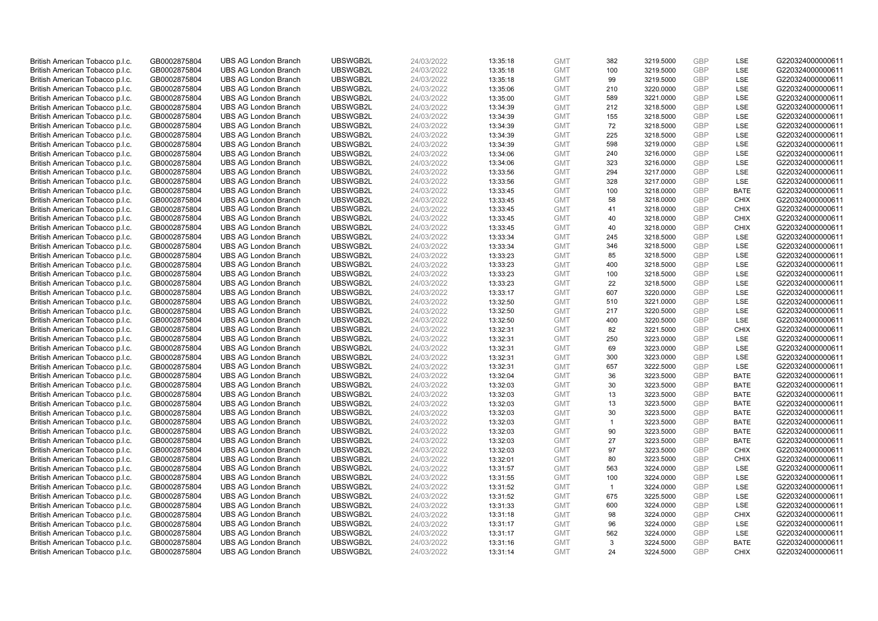| British American Tobacco p.l.c. | GB0002875804 | <b>UBS AG London Branch</b> | UBSWGB2L | 24/03/2022 | 13:35:18 | <b>GMT</b> | 382            | 3219.5000 | <b>GBP</b> | LSE         | G220324000000611 |
|---------------------------------|--------------|-----------------------------|----------|------------|----------|------------|----------------|-----------|------------|-------------|------------------|
| British American Tobacco p.l.c. | GB0002875804 | <b>UBS AG London Branch</b> | UBSWGB2L | 24/03/2022 | 13:35:18 | <b>GMT</b> | 100            | 3219.5000 | GBP        | LSE         | G220324000000611 |
| British American Tobacco p.l.c. | GB0002875804 | <b>UBS AG London Branch</b> | UBSWGB2L | 24/03/2022 | 13:35:18 | <b>GMT</b> | 99             | 3219.5000 | <b>GBP</b> | LSE         | G220324000000611 |
| British American Tobacco p.l.c. | GB0002875804 | <b>UBS AG London Branch</b> | UBSWGB2L | 24/03/2022 | 13:35:06 | <b>GMT</b> | 210            | 3220.0000 | <b>GBP</b> | LSE         | G220324000000611 |
| British American Tobacco p.l.c. | GB0002875804 | <b>UBS AG London Branch</b> | UBSWGB2L | 24/03/2022 | 13:35:00 | <b>GMT</b> | 589            | 3221.0000 | <b>GBP</b> | <b>LSE</b>  | G220324000000611 |
| British American Tobacco p.l.c. | GB0002875804 | <b>UBS AG London Branch</b> | UBSWGB2L | 24/03/2022 | 13:34:39 | <b>GMT</b> | 212            | 3218.5000 | <b>GBP</b> | LSE         | G220324000000611 |
| British American Tobacco p.l.c. | GB0002875804 | <b>UBS AG London Branch</b> | UBSWGB2L | 24/03/2022 | 13:34:39 | <b>GMT</b> | 155            | 3218.5000 | <b>GBP</b> | LSE         | G220324000000611 |
| British American Tobacco p.l.c. | GB0002875804 | <b>UBS AG London Branch</b> | UBSWGB2L | 24/03/2022 | 13:34:39 | <b>GMT</b> | 72             | 3218.5000 | <b>GBP</b> | LSE         | G220324000000611 |
| British American Tobacco p.l.c. | GB0002875804 | <b>UBS AG London Branch</b> | UBSWGB2L | 24/03/2022 | 13:34:39 | <b>GMT</b> | 225            | 3218.5000 | <b>GBP</b> | LSE         | G220324000000611 |
| British American Tobacco p.l.c. | GB0002875804 | <b>UBS AG London Branch</b> | UBSWGB2L | 24/03/2022 | 13:34:39 | <b>GMT</b> | 598            | 3219.0000 | <b>GBP</b> | <b>LSE</b>  | G220324000000611 |
| British American Tobacco p.l.c. | GB0002875804 | <b>UBS AG London Branch</b> | UBSWGB2L | 24/03/2022 | 13:34:06 | <b>GMT</b> | 240            | 3216.0000 | <b>GBP</b> | LSE         | G220324000000611 |
| British American Tobacco p.l.c. | GB0002875804 | <b>UBS AG London Branch</b> | UBSWGB2L | 24/03/2022 | 13:34:06 | <b>GMT</b> | 323            | 3216.0000 | <b>GBP</b> | LSE         | G220324000000611 |
| British American Tobacco p.l.c. | GB0002875804 | <b>UBS AG London Branch</b> | UBSWGB2L | 24/03/2022 | 13:33:56 | <b>GMT</b> | 294            | 3217.0000 | <b>GBP</b> | LSE         | G220324000000611 |
| British American Tobacco p.l.c. | GB0002875804 | <b>UBS AG London Branch</b> | UBSWGB2L | 24/03/2022 | 13:33:56 | <b>GMT</b> | 328            | 3217.0000 | <b>GBP</b> | LSE         | G220324000000611 |
| British American Tobacco p.l.c. | GB0002875804 | <b>UBS AG London Branch</b> | UBSWGB2L | 24/03/2022 | 13:33:45 | <b>GMT</b> | 100            | 3218.0000 | <b>GBP</b> | <b>BATE</b> | G220324000000611 |
| British American Tobacco p.l.c. | GB0002875804 | <b>UBS AG London Branch</b> | UBSWGB2L | 24/03/2022 | 13:33:45 | <b>GMT</b> | 58             | 3218.0000 | <b>GBP</b> | <b>CHIX</b> | G220324000000611 |
| British American Tobacco p.l.c. | GB0002875804 | <b>UBS AG London Branch</b> | UBSWGB2L | 24/03/2022 | 13:33:45 | <b>GMT</b> | 41             | 3218.0000 | <b>GBP</b> | <b>CHIX</b> | G220324000000611 |
| British American Tobacco p.l.c. | GB0002875804 | <b>UBS AG London Branch</b> | UBSWGB2L | 24/03/2022 | 13:33:45 | <b>GMT</b> | 40             | 3218.0000 | GBP        | <b>CHIX</b> | G220324000000611 |
| British American Tobacco p.l.c. | GB0002875804 | <b>UBS AG London Branch</b> | UBSWGB2L | 24/03/2022 | 13:33:45 | <b>GMT</b> | 40             | 3218.0000 | GBP        | <b>CHIX</b> | G220324000000611 |
| British American Tobacco p.l.c. | GB0002875804 | <b>UBS AG London Branch</b> | UBSWGB2L | 24/03/2022 | 13:33:34 | <b>GMT</b> | 245            | 3218.5000 | <b>GBP</b> | <b>LSE</b>  | G220324000000611 |
| British American Tobacco p.l.c. | GB0002875804 | <b>UBS AG London Branch</b> | UBSWGB2L | 24/03/2022 | 13:33:34 | <b>GMT</b> | 346            | 3218.5000 | <b>GBP</b> | LSE         | G220324000000611 |
| British American Tobacco p.l.c. | GB0002875804 | <b>UBS AG London Branch</b> | UBSWGB2L | 24/03/2022 | 13:33:23 | <b>GMT</b> | 85             | 3218.5000 | GBP        | LSE         | G220324000000611 |
| British American Tobacco p.l.c. | GB0002875804 | <b>UBS AG London Branch</b> | UBSWGB2L | 24/03/2022 | 13:33:23 | <b>GMT</b> | 400            | 3218.5000 | <b>GBP</b> | LSE         | G220324000000611 |
| British American Tobacco p.l.c. | GB0002875804 | <b>UBS AG London Branch</b> | UBSWGB2L | 24/03/2022 | 13:33:23 | <b>GMT</b> | 100            | 3218.5000 | GBP        | LSE         | G220324000000611 |
| British American Tobacco p.l.c. | GB0002875804 | <b>UBS AG London Branch</b> | UBSWGB2L | 24/03/2022 | 13:33:23 | <b>GMT</b> | 22             | 3218.5000 | GBP        | LSE         | G220324000000611 |
| British American Tobacco p.l.c. | GB0002875804 | <b>UBS AG London Branch</b> | UBSWGB2L | 24/03/2022 | 13:33:17 | <b>GMT</b> | 607            | 3220.0000 | <b>GBP</b> | LSE         | G220324000000611 |
| British American Tobacco p.l.c. | GB0002875804 | <b>UBS AG London Branch</b> | UBSWGB2L | 24/03/2022 | 13:32:50 | <b>GMT</b> | 510            | 3221.0000 | GBP        | LSE         | G220324000000611 |
| British American Tobacco p.l.c. | GB0002875804 | <b>UBS AG London Branch</b> | UBSWGB2L | 24/03/2022 | 13:32:50 | <b>GMT</b> | 217            | 3220.5000 | <b>GBP</b> | LSE         | G220324000000611 |
| British American Tobacco p.l.c. | GB0002875804 | <b>UBS AG London Branch</b> | UBSWGB2L | 24/03/2022 | 13:32:50 | <b>GMT</b> | 400            | 3220.5000 | GBP        | LSE         | G220324000000611 |
| British American Tobacco p.l.c. | GB0002875804 | <b>UBS AG London Branch</b> | UBSWGB2L | 24/03/2022 | 13:32:31 | <b>GMT</b> | 82             | 3221.5000 | <b>GBP</b> | <b>CHIX</b> | G220324000000611 |
| British American Tobacco p.l.c. | GB0002875804 | <b>UBS AG London Branch</b> | UBSWGB2L | 24/03/2022 | 13:32:31 | <b>GMT</b> | 250            | 3223.0000 | <b>GBP</b> | LSE         | G220324000000611 |
| British American Tobacco p.l.c. | GB0002875804 | <b>UBS AG London Branch</b> | UBSWGB2L | 24/03/2022 | 13:32:31 | <b>GMT</b> | 69             | 3223.0000 | GBP        | <b>LSE</b>  | G220324000000611 |
| British American Tobacco p.l.c. | GB0002875804 | <b>UBS AG London Branch</b> | UBSWGB2L | 24/03/2022 | 13:32:31 | <b>GMT</b> | 300            | 3223.0000 | GBP        | LSE         | G220324000000611 |
| British American Tobacco p.l.c. | GB0002875804 | <b>UBS AG London Branch</b> | UBSWGB2L | 24/03/2022 | 13:32:31 | <b>GMT</b> | 657            | 3222.5000 | <b>GBP</b> | LSE         | G220324000000611 |
| British American Tobacco p.l.c. | GB0002875804 | <b>UBS AG London Branch</b> | UBSWGB2L | 24/03/2022 | 13:32:04 | <b>GMT</b> | 36             | 3223.5000 | <b>GBP</b> | <b>BATE</b> | G220324000000611 |
| British American Tobacco p.l.c. | GB0002875804 | <b>UBS AG London Branch</b> | UBSWGB2L | 24/03/2022 | 13:32:03 | <b>GMT</b> | 30             | 3223.5000 | GBP        | <b>BATE</b> | G220324000000611 |
| British American Tobacco p.l.c. | GB0002875804 | <b>UBS AG London Branch</b> | UBSWGB2L | 24/03/2022 | 13:32:03 | <b>GMT</b> | 13             | 3223.5000 | GBP        | <b>BATE</b> | G220324000000611 |
| British American Tobacco p.l.c. | GB0002875804 | <b>UBS AG London Branch</b> | UBSWGB2L | 24/03/2022 | 13:32:03 | <b>GMT</b> | 13             | 3223.5000 | <b>GBP</b> | <b>BATE</b> | G220324000000611 |
| British American Tobacco p.l.c. | GB0002875804 | <b>UBS AG London Branch</b> | UBSWGB2L | 24/03/2022 | 13:32:03 | <b>GMT</b> | 30             | 3223.5000 | <b>GBP</b> | <b>BATE</b> | G220324000000611 |
| British American Tobacco p.l.c. | GB0002875804 | <b>UBS AG London Branch</b> | UBSWGB2L | 24/03/2022 | 13:32:03 | <b>GMT</b> | $\mathbf{1}$   | 3223.5000 | <b>GBP</b> | <b>BATE</b> | G220324000000611 |
| British American Tobacco p.l.c. | GB0002875804 | <b>UBS AG London Branch</b> | UBSWGB2L | 24/03/2022 | 13:32:03 | <b>GMT</b> | 90             | 3223.5000 | <b>GBP</b> | <b>BATE</b> | G220324000000611 |
| British American Tobacco p.l.c. | GB0002875804 | <b>UBS AG London Branch</b> | UBSWGB2L | 24/03/2022 | 13:32:03 | <b>GMT</b> | 27             | 3223.5000 | GBP        | <b>BATE</b> | G220324000000611 |
| British American Tobacco p.l.c. | GB0002875804 | <b>UBS AG London Branch</b> | UBSWGB2L | 24/03/2022 | 13:32:03 | <b>GMT</b> | 97             | 3223.5000 | <b>GBP</b> | <b>CHIX</b> | G220324000000611 |
| British American Tobacco p.l.c. | GB0002875804 | <b>UBS AG London Branch</b> | UBSWGB2L | 24/03/2022 | 13:32:01 | <b>GMT</b> | 80             | 3223.5000 | <b>GBP</b> | <b>CHIX</b> | G220324000000611 |
| British American Tobacco p.l.c. | GB0002875804 | <b>UBS AG London Branch</b> | UBSWGB2L | 24/03/2022 | 13:31:57 | <b>GMT</b> | 563            | 3224.0000 | <b>GBP</b> | <b>LSE</b>  | G220324000000611 |
| British American Tobacco p.l.c. | GB0002875804 | <b>UBS AG London Branch</b> | UBSWGB2L | 24/03/2022 | 13:31:55 | <b>GMT</b> | 100            | 3224.0000 | GBP        | LSE         | G220324000000611 |
| British American Tobacco p.l.c. | GB0002875804 | <b>UBS AG London Branch</b> | UBSWGB2L | 24/03/2022 | 13:31:52 | <b>GMT</b> | $\overline{1}$ | 3224.0000 | <b>GBP</b> | LSE         | G220324000000611 |
| British American Tobacco p.l.c. | GB0002875804 | <b>UBS AG London Branch</b> | UBSWGB2L | 24/03/2022 | 13:31:52 | <b>GMT</b> | 675            | 3225.5000 | <b>GBP</b> | LSE         | G220324000000611 |
| British American Tobacco p.l.c. | GB0002875804 | <b>UBS AG London Branch</b> | UBSWGB2L | 24/03/2022 | 13:31:33 | <b>GMT</b> | 600            | 3224.0000 | <b>GBP</b> | LSE         | G220324000000611 |
| British American Tobacco p.l.c. | GB0002875804 | <b>UBS AG London Branch</b> | UBSWGB2L | 24/03/2022 | 13:31:18 | <b>GMT</b> | 98             | 3224.0000 | <b>GBP</b> | <b>CHIX</b> | G220324000000611 |
| British American Tobacco p.l.c. | GB0002875804 | <b>UBS AG London Branch</b> | UBSWGB2L | 24/03/2022 | 13:31:17 | <b>GMT</b> | 96             | 3224.0000 | <b>GBP</b> | LSE         | G220324000000611 |
| British American Tobacco p.l.c. | GB0002875804 | <b>UBS AG London Branch</b> | UBSWGB2L | 24/03/2022 | 13:31:17 | <b>GMT</b> | 562            | 3224.0000 | GBP        | LSE         | G220324000000611 |
| British American Tobacco p.l.c. | GB0002875804 | <b>UBS AG London Branch</b> | UBSWGB2L | 24/03/2022 | 13:31:16 | <b>GMT</b> | 3              | 3224.5000 | <b>GBP</b> | <b>BATE</b> | G220324000000611 |
| British American Tobacco p.l.c. | GB0002875804 | <b>UBS AG London Branch</b> | UBSWGB2L | 24/03/2022 | 13:31:14 | <b>GMT</b> | 24             | 3224.5000 | GBP        | <b>CHIX</b> | G220324000000611 |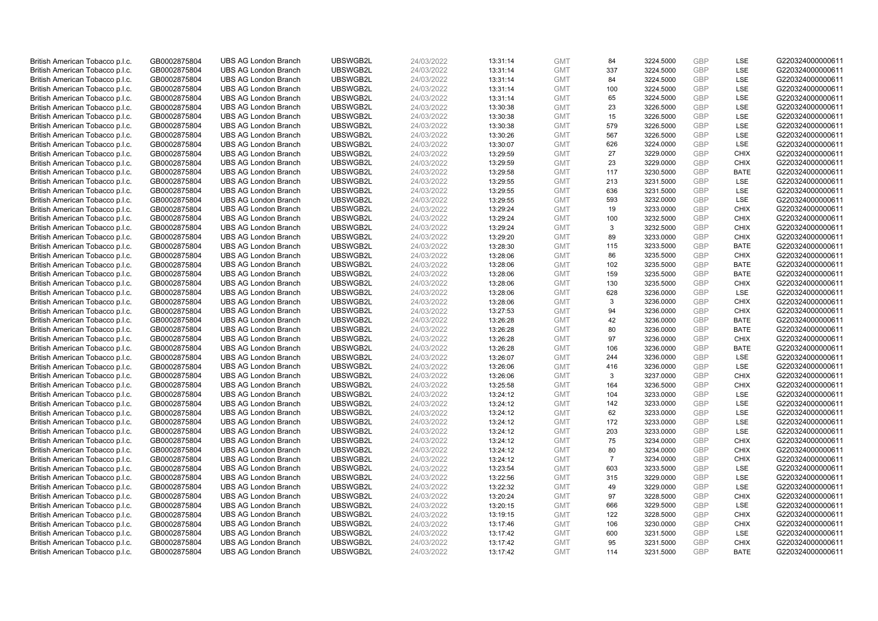| British American Tobacco p.l.c. | GB0002875804 | <b>UBS AG London Branch</b> | UBSWGB2L | 24/03/2022 | 13:31:14 | <b>GMT</b> | 84             | 3224.5000 | GBP        | LSE         | G220324000000611 |
|---------------------------------|--------------|-----------------------------|----------|------------|----------|------------|----------------|-----------|------------|-------------|------------------|
| British American Tobacco p.l.c. | GB0002875804 | <b>UBS AG London Branch</b> | UBSWGB2L | 24/03/2022 | 13:31:14 | <b>GMT</b> | 337            | 3224.5000 | GBP        | LSE         | G220324000000611 |
| British American Tobacco p.l.c. | GB0002875804 | <b>UBS AG London Branch</b> | UBSWGB2L | 24/03/2022 | 13:31:14 | <b>GMT</b> | 84             | 3224.5000 | GBP        | LSE         | G220324000000611 |
| British American Tobacco p.l.c. | GB0002875804 | <b>UBS AG London Branch</b> | UBSWGB2L | 24/03/2022 | 13:31:14 | <b>GMT</b> | 100            | 3224.5000 | GBP        | LSE         | G220324000000611 |
| British American Tobacco p.l.c. | GB0002875804 | <b>UBS AG London Branch</b> | UBSWGB2L | 24/03/2022 | 13:31:14 | <b>GMT</b> | 65             | 3224.5000 | GBP        | LSE         | G220324000000611 |
| British American Tobacco p.l.c. | GB0002875804 | <b>UBS AG London Branch</b> | UBSWGB2L | 24/03/2022 | 13:30:38 | <b>GMT</b> | 23             | 3226.5000 | GBP        | LSE         | G220324000000611 |
| British American Tobacco p.l.c. | GB0002875804 | <b>UBS AG London Branch</b> | UBSWGB2L | 24/03/2022 | 13:30:38 | <b>GMT</b> | 15             | 3226.5000 | GBP        | LSE         | G220324000000611 |
| British American Tobacco p.l.c. | GB0002875804 | <b>UBS AG London Branch</b> | UBSWGB2L | 24/03/2022 | 13:30:38 | <b>GMT</b> | 579            | 3226.5000 | GBP        | LSE         | G220324000000611 |
| British American Tobacco p.l.c. | GB0002875804 | <b>UBS AG London Branch</b> | UBSWGB2L | 24/03/2022 | 13:30:26 | <b>GMT</b> | 567            | 3226.5000 | GBP        | LSE         | G220324000000611 |
| British American Tobacco p.l.c. | GB0002875804 | <b>UBS AG London Branch</b> | UBSWGB2L | 24/03/2022 | 13:30:07 | <b>GMT</b> | 626            | 3224.0000 | GBP        | LSE         | G220324000000611 |
| British American Tobacco p.l.c. | GB0002875804 | <b>UBS AG London Branch</b> | UBSWGB2L | 24/03/2022 | 13:29:59 | <b>GMT</b> | 27             | 3229.0000 | GBP        | <b>CHIX</b> | G220324000000611 |
| British American Tobacco p.l.c. | GB0002875804 | <b>UBS AG London Branch</b> | UBSWGB2L | 24/03/2022 | 13:29:59 | <b>GMT</b> | 23             | 3229.0000 | GBP        | <b>CHIX</b> | G220324000000611 |
| British American Tobacco p.l.c. | GB0002875804 | <b>UBS AG London Branch</b> | UBSWGB2L | 24/03/2022 | 13:29:58 | <b>GMT</b> | 117            | 3230.5000 | GBP        | <b>BATE</b> | G220324000000611 |
| British American Tobacco p.l.c. | GB0002875804 | <b>UBS AG London Branch</b> | UBSWGB2L | 24/03/2022 | 13:29:55 | <b>GMT</b> | 213            | 3231.5000 | GBP        | LSE         | G220324000000611 |
| British American Tobacco p.l.c. | GB0002875804 | <b>UBS AG London Branch</b> | UBSWGB2L | 24/03/2022 | 13:29:55 | <b>GMT</b> | 636            | 3231.5000 | <b>GBP</b> | LSE         | G220324000000611 |
| British American Tobacco p.l.c. | GB0002875804 | <b>UBS AG London Branch</b> | UBSWGB2L | 24/03/2022 | 13:29:55 | <b>GMT</b> | 593            | 3232.0000 | GBP        | LSE         | G220324000000611 |
| British American Tobacco p.l.c. | GB0002875804 | <b>UBS AG London Branch</b> | UBSWGB2L | 24/03/2022 | 13:29:24 | <b>GMT</b> | 19             | 3233.0000 | GBP        | <b>CHIX</b> | G220324000000611 |
| British American Tobacco p.l.c. | GB0002875804 | <b>UBS AG London Branch</b> | UBSWGB2L | 24/03/2022 | 13:29:24 | <b>GMT</b> | 100            | 3232.5000 | GBP        | <b>CHIX</b> | G220324000000611 |
| British American Tobacco p.l.c. | GB0002875804 | <b>UBS AG London Branch</b> | UBSWGB2L | 24/03/2022 | 13:29:24 | <b>GMT</b> | 3              | 3232.5000 | GBP        | <b>CHIX</b> | G220324000000611 |
| British American Tobacco p.l.c. | GB0002875804 | <b>UBS AG London Branch</b> | UBSWGB2L | 24/03/2022 | 13:29:20 | <b>GMT</b> | 89             | 3233.0000 | GBP        | <b>CHIX</b> | G220324000000611 |
| British American Tobacco p.l.c. | GB0002875804 | <b>UBS AG London Branch</b> | UBSWGB2L | 24/03/2022 | 13:28:30 | <b>GMT</b> | 115            | 3233.5000 | GBP        | <b>BATE</b> | G220324000000611 |
| British American Tobacco p.l.c. | GB0002875804 | <b>UBS AG London Branch</b> | UBSWGB2L | 24/03/2022 | 13:28:06 | <b>GMT</b> | 86             | 3235.5000 | GBP        | <b>CHIX</b> | G220324000000611 |
| British American Tobacco p.l.c. | GB0002875804 | <b>UBS AG London Branch</b> | UBSWGB2L | 24/03/2022 | 13:28:06 | <b>GMT</b> | 102            | 3235.5000 | GBP        | <b>BATE</b> | G220324000000611 |
| British American Tobacco p.l.c. | GB0002875804 | <b>UBS AG London Branch</b> | UBSWGB2L | 24/03/2022 | 13:28:06 | <b>GMT</b> | 159            | 3235.5000 | GBP        | <b>BATE</b> | G220324000000611 |
| British American Tobacco p.l.c. | GB0002875804 | <b>UBS AG London Branch</b> | UBSWGB2L | 24/03/2022 | 13:28:06 | <b>GMT</b> | 130            | 3235.5000 | GBP        | <b>CHIX</b> | G220324000000611 |
| British American Tobacco p.l.c. | GB0002875804 | <b>UBS AG London Branch</b> | UBSWGB2L | 24/03/2022 | 13:28:06 | <b>GMT</b> | 628            | 3236.0000 | GBP        | LSE         | G220324000000611 |
| British American Tobacco p.l.c. | GB0002875804 | <b>UBS AG London Branch</b> | UBSWGB2L | 24/03/2022 | 13:28:06 | <b>GMT</b> | 3              | 3236.0000 | GBP        | <b>CHIX</b> | G220324000000611 |
| British American Tobacco p.l.c. | GB0002875804 | <b>UBS AG London Branch</b> | UBSWGB2L | 24/03/2022 | 13:27:53 | <b>GMT</b> | 94             | 3236.0000 | <b>GBP</b> | <b>CHIX</b> | G220324000000611 |
| British American Tobacco p.l.c. | GB0002875804 | <b>UBS AG London Branch</b> | UBSWGB2L | 24/03/2022 | 13:26:28 | <b>GMT</b> | 42             | 3236.0000 | GBP        | <b>BATE</b> | G220324000000611 |
| British American Tobacco p.l.c. | GB0002875804 | <b>UBS AG London Branch</b> | UBSWGB2L | 24/03/2022 | 13:26:28 | <b>GMT</b> | 80             | 3236.0000 | GBP        | <b>BATE</b> | G220324000000611 |
| British American Tobacco p.l.c. | GB0002875804 | <b>UBS AG London Branch</b> | UBSWGB2L | 24/03/2022 | 13:26:28 | <b>GMT</b> | 97             | 3236.0000 | GBP        | <b>CHIX</b> | G220324000000611 |
| British American Tobacco p.l.c. | GB0002875804 | <b>UBS AG London Branch</b> | UBSWGB2L | 24/03/2022 | 13:26:28 | <b>GMT</b> | 106            | 3236.0000 | GBP        | <b>BATE</b> | G220324000000611 |
| British American Tobacco p.l.c. | GB0002875804 | <b>UBS AG London Branch</b> | UBSWGB2L | 24/03/2022 | 13:26:07 | <b>GMT</b> | 244            | 3236.0000 | GBP        | LSE         | G220324000000611 |
| British American Tobacco p.l.c. | GB0002875804 | <b>UBS AG London Branch</b> | UBSWGB2L | 24/03/2022 | 13:26:06 | <b>GMT</b> | 416            | 3236.0000 | GBP        | LSE         | G220324000000611 |
| British American Tobacco p.l.c. | GB0002875804 | <b>UBS AG London Branch</b> | UBSWGB2L | 24/03/2022 | 13:26:06 | <b>GMT</b> | 3              | 3237.0000 | GBP        | <b>CHIX</b> | G220324000000611 |
| British American Tobacco p.l.c. | GB0002875804 | <b>UBS AG London Branch</b> | UBSWGB2L | 24/03/2022 | 13:25:58 | <b>GMT</b> | 164            | 3236.5000 | GBP        | <b>CHIX</b> | G220324000000611 |
| British American Tobacco p.l.c. | GB0002875804 | <b>UBS AG London Branch</b> | UBSWGB2L | 24/03/2022 | 13:24:12 | <b>GMT</b> | 104            | 3233.0000 | GBP        | LSE         | G220324000000611 |
| British American Tobacco p.l.c. | GB0002875804 | <b>UBS AG London Branch</b> | UBSWGB2L | 24/03/2022 | 13:24:12 | <b>GMT</b> | 142            | 3233.0000 | GBP        | LSE         | G220324000000611 |
| British American Tobacco p.l.c. | GB0002875804 | <b>UBS AG London Branch</b> | UBSWGB2L | 24/03/2022 | 13:24:12 | <b>GMT</b> | 62             | 3233.0000 | GBP        | LSE         | G220324000000611 |
| British American Tobacco p.l.c. | GB0002875804 | <b>UBS AG London Branch</b> | UBSWGB2L | 24/03/2022 | 13:24:12 | <b>GMT</b> | 172            | 3233.0000 | GBP        | LSE         | G220324000000611 |
| British American Tobacco p.l.c. | GB0002875804 | <b>UBS AG London Branch</b> | UBSWGB2L | 24/03/2022 | 13:24:12 | <b>GMT</b> | 203            | 3233.0000 | <b>GBP</b> | LSE         | G220324000000611 |
| British American Tobacco p.l.c. | GB0002875804 | <b>UBS AG London Branch</b> | UBSWGB2L | 24/03/2022 | 13:24:12 | <b>GMT</b> | 75             | 3234.0000 | GBP        | <b>CHIX</b> | G220324000000611 |
| British American Tobacco p.l.c. | GB0002875804 | <b>UBS AG London Branch</b> | UBSWGB2L | 24/03/2022 | 13:24:12 | <b>GMT</b> | 80             | 3234.0000 | GBP        | <b>CHIX</b> | G220324000000611 |
| British American Tobacco p.l.c. | GB0002875804 | <b>UBS AG London Branch</b> | UBSWGB2L | 24/03/2022 | 13:24:12 | <b>GMT</b> | $\overline{7}$ | 3234.0000 | GBP        | <b>CHIX</b> | G220324000000611 |
| British American Tobacco p.l.c. | GB0002875804 | <b>UBS AG London Branch</b> | UBSWGB2L | 24/03/2022 | 13:23:54 | <b>GMT</b> | 603            | 3233.5000 | GBP        | <b>LSE</b>  | G220324000000611 |
| British American Tobacco p.l.c. | GB0002875804 | <b>UBS AG London Branch</b> | UBSWGB2L | 24/03/2022 | 13:22:56 | <b>GMT</b> | 315            | 3229.0000 | <b>GBP</b> | LSE         | G220324000000611 |
| British American Tobacco p.l.c. | GB0002875804 | <b>UBS AG London Branch</b> | UBSWGB2L | 24/03/2022 | 13:22:32 | <b>GMT</b> | 49             | 3229.0000 | <b>GBP</b> | LSE         | G220324000000611 |
| British American Tobacco p.l.c. | GB0002875804 | <b>UBS AG London Branch</b> | UBSWGB2L | 24/03/2022 | 13:20:24 | <b>GMT</b> | 97             | 3228.5000 | GBP        | <b>CHIX</b> | G220324000000611 |
| British American Tobacco p.l.c. | GB0002875804 | <b>UBS AG London Branch</b> | UBSWGB2L | 24/03/2022 | 13:20:15 | <b>GMT</b> | 666            | 3229.5000 | GBP        | LSE         | G220324000000611 |
| British American Tobacco p.l.c. | GB0002875804 | <b>UBS AG London Branch</b> | UBSWGB2L | 24/03/2022 | 13:19:15 | <b>GMT</b> | 122            | 3228.5000 | GBP        | <b>CHIX</b> | G220324000000611 |
| British American Tobacco p.l.c. | GB0002875804 | <b>UBS AG London Branch</b> | UBSWGB2L | 24/03/2022 | 13:17:46 | <b>GMT</b> | 106            | 3230.0000 | GBP        | <b>CHIX</b> | G220324000000611 |
| British American Tobacco p.l.c. | GB0002875804 | <b>UBS AG London Branch</b> | UBSWGB2L | 24/03/2022 | 13:17:42 | <b>GMT</b> | 600            | 3231.5000 | <b>GBP</b> | LSE         | G220324000000611 |
| British American Tobacco p.l.c. | GB0002875804 | <b>UBS AG London Branch</b> | UBSWGB2L | 24/03/2022 | 13:17:42 | <b>GMT</b> | 95             | 3231.5000 | GBP        | <b>CHIX</b> | G220324000000611 |
| British American Tobacco p.l.c. | GB0002875804 | <b>UBS AG London Branch</b> | UBSWGB2L | 24/03/2022 | 13:17:42 | <b>GMT</b> | 114            | 3231.5000 | GBP        | <b>BATE</b> | G220324000000611 |
|                                 |              |                             |          |            |          |            |                |           |            |             |                  |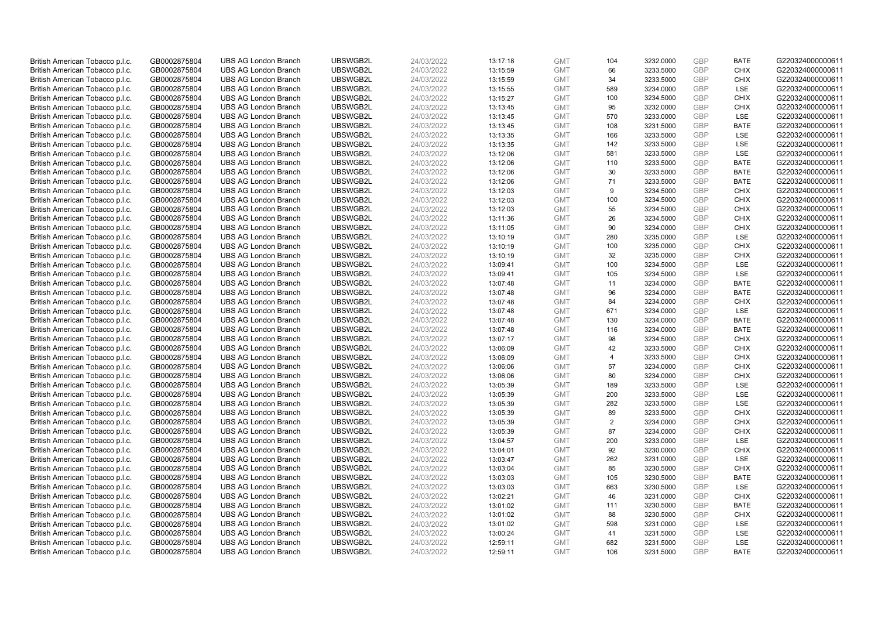| British American Tobacco p.l.c. | GB0002875804                 | <b>UBS AG London Branch</b> | UBSWGB2L             | 24/03/2022               | 13:17:18 | <b>GMT</b>               | 104            | 3232.0000              | GBP        | <b>BATE</b>        | G220324000000611 |
|---------------------------------|------------------------------|-----------------------------|----------------------|--------------------------|----------|--------------------------|----------------|------------------------|------------|--------------------|------------------|
| British American Tobacco p.l.c. | GB0002875804                 | <b>UBS AG London Branch</b> | UBSWGB2L             | 24/03/2022               | 13:15:59 | <b>GMT</b>               | 66             | 3233.5000              | GBP        | <b>CHIX</b>        | G220324000000611 |
| British American Tobacco p.l.c. | GB0002875804                 | <b>UBS AG London Branch</b> | UBSWGB2L             | 24/03/2022               | 13:15:59 | <b>GMT</b>               | 34             | 3233.5000              | GBP        | <b>CHIX</b>        | G220324000000611 |
| British American Tobacco p.l.c. | GB0002875804                 | <b>UBS AG London Branch</b> | UBSWGB2L             | 24/03/2022               | 13:15:55 | <b>GMT</b>               | 589            | 3234.0000              | GBP        | <b>LSE</b>         | G220324000000611 |
| British American Tobacco p.l.c. | GB0002875804                 | <b>UBS AG London Branch</b> | UBSWGB2L             | 24/03/2022               | 13:15:27 | <b>GMT</b>               | 100            | 3234.5000              | GBP        | <b>CHIX</b>        | G220324000000611 |
| British American Tobacco p.l.c. | GB0002875804                 | <b>UBS AG London Branch</b> | UBSWGB2L             | 24/03/2022               | 13:13:45 | <b>GMT</b>               | 95             | 3232.0000              | GBP        | <b>CHIX</b>        | G220324000000611 |
| British American Tobacco p.l.c. | GB0002875804                 | <b>UBS AG London Branch</b> | UBSWGB2L             | 24/03/2022               | 13:13:45 | <b>GMT</b>               | 570            | 3233.0000              | GBP        | LSE                | G220324000000611 |
| British American Tobacco p.l.c. | GB0002875804                 | <b>UBS AG London Branch</b> | UBSWGB2L             | 24/03/2022               | 13:13:45 | <b>GMT</b>               | 108            | 3231.5000              | GBP        | <b>BATE</b>        | G220324000000611 |
| British American Tobacco p.l.c. | GB0002875804                 | <b>UBS AG London Branch</b> | UBSWGB2L             | 24/03/2022               | 13:13:35 | <b>GMT</b>               | 166            | 3233.5000              | GBP        | LSE                | G220324000000611 |
| British American Tobacco p.l.c. | GB0002875804                 | <b>UBS AG London Branch</b> | UBSWGB2L             | 24/03/2022               | 13:13:35 | <b>GMT</b>               | 142            | 3233.5000              | <b>GBP</b> | <b>LSE</b>         | G220324000000611 |
| British American Tobacco p.l.c. | GB0002875804                 | <b>UBS AG London Branch</b> | UBSWGB2L             | 24/03/2022               | 13:12:06 | <b>GMT</b>               | 581            | 3233.5000              | GBP        | LSE                | G220324000000611 |
| British American Tobacco p.l.c. | GB0002875804                 | <b>UBS AG London Branch</b> | UBSWGB2L             | 24/03/2022               | 13:12:06 | <b>GMT</b>               | 110            | 3233.5000              | GBP        | <b>BATE</b>        | G220324000000611 |
| British American Tobacco p.l.c. | GB0002875804                 | <b>UBS AG London Branch</b> | UBSWGB2L             | 24/03/2022               | 13:12:06 | <b>GMT</b>               | 30             | 3233.5000              | GBP        | <b>BATE</b>        | G220324000000611 |
| British American Tobacco p.l.c. | GB0002875804                 | <b>UBS AG London Branch</b> | UBSWGB2L             | 24/03/2022               | 13:12:06 | <b>GMT</b>               | 71             | 3233.5000              | GBP        | <b>BATE</b>        | G220324000000611 |
| British American Tobacco p.l.c. | GB0002875804                 | <b>UBS AG London Branch</b> | UBSWGB2L             | 24/03/2022               | 13:12:03 | <b>GMT</b>               | 9              | 3234.5000              | GBP        | <b>CHIX</b>        | G220324000000611 |
| British American Tobacco p.l.c. | GB0002875804                 | <b>UBS AG London Branch</b> | UBSWGB2L             | 24/03/2022               | 13:12:03 | <b>GMT</b>               | 100            | 3234.5000              | GBP        | <b>CHIX</b>        | G220324000000611 |
| British American Tobacco p.l.c. | GB0002875804                 | <b>UBS AG London Branch</b> | UBSWGB2L             | 24/03/2022               | 13:12:03 | <b>GMT</b>               | 55             | 3234.5000              | GBP        | <b>CHIX</b>        | G220324000000611 |
| British American Tobacco p.l.c. | GB0002875804                 | <b>UBS AG London Branch</b> | UBSWGB2L             | 24/03/2022               | 13:11:36 | <b>GMT</b>               | 26             | 3234.5000              | GBP        | <b>CHIX</b>        | G220324000000611 |
| British American Tobacco p.l.c. | GB0002875804                 | <b>UBS AG London Branch</b> | UBSWGB2L             | 24/03/2022               | 13:11:05 | <b>GMT</b>               | 90             | 3234.0000              | GBP        | <b>CHIX</b>        | G220324000000611 |
| British American Tobacco p.l.c. | GB0002875804                 | <b>UBS AG London Branch</b> | UBSWGB2L             | 24/03/2022               | 13:10:19 | <b>GMT</b>               | 280            | 3235.0000              | GBP        | LSE                | G220324000000611 |
| British American Tobacco p.l.c. | GB0002875804                 | <b>UBS AG London Branch</b> | UBSWGB2L             | 24/03/2022               | 13:10:19 | <b>GMT</b>               | 100            | 3235.0000              | GBP        | <b>CHIX</b>        | G220324000000611 |
| British American Tobacco p.l.c. | GB0002875804                 | <b>UBS AG London Branch</b> | UBSWGB2L             | 24/03/2022               | 13:10:19 | <b>GMT</b>               | 32             | 3235.0000              | GBP        | <b>CHIX</b>        | G220324000000611 |
| British American Tobacco p.l.c. | GB0002875804                 | <b>UBS AG London Branch</b> | UBSWGB2L             | 24/03/2022               | 13:09:41 | <b>GMT</b>               | 100            | 3234.5000              | GBP        | <b>LSE</b>         | G220324000000611 |
| British American Tobacco p.l.c. | GB0002875804                 | <b>UBS AG London Branch</b> | UBSWGB2L             | 24/03/2022               | 13:09:41 | <b>GMT</b>               | 105            | 3234.5000              | GBP        | LSE                | G220324000000611 |
| British American Tobacco p.l.c. | GB0002875804                 | <b>UBS AG London Branch</b> | UBSWGB2L             | 24/03/2022               | 13:07:48 | <b>GMT</b>               | 11             | 3234.0000              | GBP        | <b>BATE</b>        | G220324000000611 |
| British American Tobacco p.l.c. | GB0002875804                 | <b>UBS AG London Branch</b> | UBSWGB2L             | 24/03/2022               | 13:07:48 | <b>GMT</b>               | 96             | 3234.0000              | GBP        | <b>BATE</b>        | G220324000000611 |
| British American Tobacco p.l.c. | GB0002875804                 | <b>UBS AG London Branch</b> | UBSWGB2L             | 24/03/2022               | 13:07:48 | <b>GMT</b>               | 84             | 3234.0000              | GBP        | <b>CHIX</b>        | G220324000000611 |
| British American Tobacco p.l.c. | GB0002875804                 | <b>UBS AG London Branch</b> | UBSWGB2L             | 24/03/2022               | 13:07:48 | <b>GMT</b>               | 671            | 3234.0000              | GBP        | LSE                | G220324000000611 |
| British American Tobacco p.l.c. | GB0002875804                 | <b>UBS AG London Branch</b> | UBSWGB2L             | 24/03/2022               | 13:07:48 | <b>GMT</b>               | 130            | 3234.0000              | GBP        | <b>BATE</b>        | G220324000000611 |
| British American Tobacco p.l.c. | GB0002875804                 | <b>UBS AG London Branch</b> | UBSWGB2L             | 24/03/2022               | 13:07:48 | <b>GMT</b>               | 116            | 3234.0000              | GBP        | <b>BATE</b>        | G220324000000611 |
| British American Tobacco p.l.c. | GB0002875804                 | <b>UBS AG London Branch</b> | UBSWGB2L             | 24/03/2022               | 13:07:17 | <b>GMT</b>               | 98             | 3234.5000              | GBP        | <b>CHIX</b>        | G220324000000611 |
| British American Tobacco p.l.c. | GB0002875804                 | <b>UBS AG London Branch</b> | UBSWGB2L             | 24/03/2022               | 13:06:09 | <b>GMT</b>               | 42             | 3233.5000              | GBP        | <b>CHIX</b>        | G220324000000611 |
| British American Tobacco p.l.c. | GB0002875804                 | <b>UBS AG London Branch</b> | UBSWGB2L             | 24/03/2022               | 13:06:09 | <b>GMT</b>               | $\overline{4}$ | 3233.5000              | GBP        | <b>CHIX</b>        | G220324000000611 |
| British American Tobacco p.l.c. | GB0002875804                 | <b>UBS AG London Branch</b> | UBSWGB2L             | 24/03/2022               | 13:06:06 | <b>GMT</b>               | 57             | 3234.0000              | GBP        | <b>CHIX</b>        | G220324000000611 |
| British American Tobacco p.l.c. | GB0002875804                 | <b>UBS AG London Branch</b> | UBSWGB2L             | 24/03/2022               | 13:06:06 | <b>GMT</b>               | 80             | 3234.0000              | GBP        | <b>CHIX</b>        | G220324000000611 |
| British American Tobacco p.l.c. | GB0002875804                 | <b>UBS AG London Branch</b> | UBSWGB2L             | 24/03/2022               | 13:05:39 | <b>GMT</b>               | 189            | 3233.5000              | <b>GBP</b> | LSE                | G220324000000611 |
| British American Tobacco p.l.c. | GB0002875804                 | <b>UBS AG London Branch</b> | UBSWGB2L             | 24/03/2022               | 13:05:39 | <b>GMT</b>               | 200            | 3233.5000              | GBP        | LSE                | G220324000000611 |
| British American Tobacco p.l.c. | GB0002875804                 | <b>UBS AG London Branch</b> | UBSWGB2L             | 24/03/2022               | 13:05:39 | <b>GMT</b>               | 282            | 3233.5000              | GBP        | LSE                | G220324000000611 |
| British American Tobacco p.l.c. | GB0002875804                 | <b>UBS AG London Branch</b> | UBSWGB2L             | 24/03/2022               | 13:05:39 | <b>GMT</b>               | 89             | 3233.5000              | GBP        | <b>CHIX</b>        | G220324000000611 |
| British American Tobacco p.l.c. | GB0002875804                 | <b>UBS AG London Branch</b> | UBSWGB2L             | 24/03/2022               | 13:05:39 | <b>GMT</b>               | $\overline{2}$ | 3234.0000              | GBP        | <b>CHIX</b>        | G220324000000611 |
| British American Tobacco p.l.c. | GB0002875804                 | <b>UBS AG London Branch</b> | UBSWGB2L             | 24/03/2022               | 13:05:39 | <b>GMT</b>               | 87             | 3234.0000              | GBP        | <b>CHIX</b>        | G220324000000611 |
| British American Tobacco p.l.c. | GB0002875804                 | <b>UBS AG London Branch</b> | UBSWGB2L             | 24/03/2022               | 13:04:57 | <b>GMT</b>               | 200            | 3233.0000              | GBP        | LSE                | G220324000000611 |
| British American Tobacco p.l.c. | GB0002875804                 | <b>UBS AG London Branch</b> | UBSWGB2L             | 24/03/2022               | 13:04:01 | <b>GMT</b>               | 92             | 3230.0000              | GBP        | <b>CHIX</b>        | G220324000000611 |
| British American Tobacco p.l.c. | GB0002875804                 | <b>UBS AG London Branch</b> | UBSWGB2L             | 24/03/2022               | 13:03:47 | <b>GMT</b>               | 262            | 3231.0000              | GBP        | LSE                | G220324000000611 |
| British American Tobacco p.l.c. | GB0002875804                 | <b>UBS AG London Branch</b> | UBSWGB2L             | 24/03/2022               | 13:03:04 | <b>GMT</b>               | 85             | 3230.5000              | GBP        | <b>CHIX</b>        | G220324000000611 |
| British American Tobacco p.l.c. | GB0002875804                 | <b>UBS AG London Branch</b> | UBSWGB2L             | 24/03/2022               | 13:03:03 | <b>GMT</b>               | 105            | 3230.5000              | GBP        | <b>BATE</b>        | G220324000000611 |
| British American Tobacco p.l.c. | GB0002875804                 | <b>UBS AG London Branch</b> | UBSWGB2L             | 24/03/2022               | 13:03:03 | <b>GMT</b>               | 663            | 3230.5000              | GBP        | <b>LSE</b>         | G220324000000611 |
| British American Tobacco p.l.c. | GB0002875804                 | <b>UBS AG London Branch</b> | UBSWGB2L             | 24/03/2022               | 13:02:21 | <b>GMT</b>               | 46             | 3231.0000              | GBP        | <b>CHIX</b>        | G220324000000611 |
| British American Tobacco p.l.c. | GB0002875804                 | <b>UBS AG London Branch</b> | UBSWGB2L             | 24/03/2022               | 13:01:02 | <b>GMT</b>               | 111            | 3230.5000              | GBP        | <b>BATE</b>        | G220324000000611 |
| British American Tobacco p.l.c. | GB0002875804                 | <b>UBS AG London Branch</b> | UBSWGB2L             | 24/03/2022               | 13:01:02 | <b>GMT</b>               | 88             | 3230.5000              | GBP        | <b>CHIX</b>        | G220324000000611 |
| British American Tobacco p.l.c. | GB0002875804                 | <b>UBS AG London Branch</b> | UBSWGB2L             | 24/03/2022               | 13:01:02 | <b>GMT</b>               | 598            | 3231.0000              | GBP        | LSE                | G220324000000611 |
| British American Tobacco p.l.c. | GB0002875804                 | <b>UBS AG London Branch</b> | UBSWGB2L             | 24/03/2022               | 13:00:24 | <b>GMT</b>               | 41             | 3231.5000              | <b>GBP</b> | LSE                | G220324000000611 |
| British American Tobacco p.l.c. | GB0002875804<br>GB0002875804 | <b>UBS AG London Branch</b> | UBSWGB2L<br>UBSWGB2L | 24/03/2022<br>24/03/2022 | 12:59:11 | <b>GMT</b><br><b>GMT</b> | 682<br>106     | 3231.5000<br>3231.5000 | GBP<br>GBP | LSE<br><b>BATE</b> | G220324000000611 |
| British American Tobacco p.l.c. |                              | <b>UBS AG London Branch</b> |                      |                          | 12:59:11 |                          |                |                        |            |                    | G220324000000611 |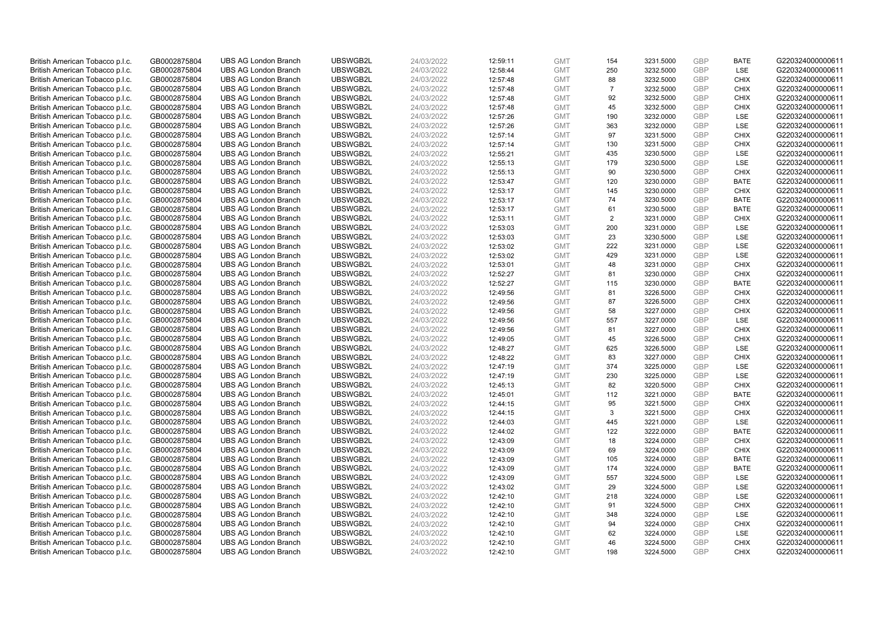| British American Tobacco p.l.c. | GB0002875804 | <b>UBS AG London Branch</b> | UBSWGB2L | 24/03/2022 | 12:59:11 | <b>GMT</b> | 154            | 3231.5000 | GBP        | <b>BATE</b> | G220324000000611 |
|---------------------------------|--------------|-----------------------------|----------|------------|----------|------------|----------------|-----------|------------|-------------|------------------|
| British American Tobacco p.l.c. | GB0002875804 | <b>UBS AG London Branch</b> | UBSWGB2L | 24/03/2022 | 12:58:44 | <b>GMT</b> | 250            | 3232.5000 | GBP        | LSE         | G220324000000611 |
| British American Tobacco p.l.c. | GB0002875804 | <b>UBS AG London Branch</b> | UBSWGB2L | 24/03/2022 | 12:57:48 | <b>GMT</b> | 88             | 3232.5000 | GBP        | <b>CHIX</b> | G220324000000611 |
| British American Tobacco p.l.c. | GB0002875804 | <b>UBS AG London Branch</b> | UBSWGB2L | 24/03/2022 | 12:57:48 | <b>GMT</b> | $\overline{7}$ | 3232.5000 | GBP        | <b>CHIX</b> | G220324000000611 |
| British American Tobacco p.l.c. | GB0002875804 | <b>UBS AG London Branch</b> | UBSWGB2L | 24/03/2022 | 12:57:48 | <b>GMT</b> | 92             | 3232.5000 | GBP        | <b>CHIX</b> | G220324000000611 |
| British American Tobacco p.l.c. | GB0002875804 | <b>UBS AG London Branch</b> | UBSWGB2L | 24/03/2022 | 12:57:48 | <b>GMT</b> | 45             | 3232.5000 | GBP        | <b>CHIX</b> | G220324000000611 |
| British American Tobacco p.l.c. | GB0002875804 | <b>UBS AG London Branch</b> | UBSWGB2L | 24/03/2022 | 12:57:26 | <b>GMT</b> | 190            | 3232.0000 | GBP        | LSE         | G220324000000611 |
| British American Tobacco p.l.c. | GB0002875804 | <b>UBS AG London Branch</b> | UBSWGB2L | 24/03/2022 | 12:57:26 | <b>GMT</b> | 363            | 3232.0000 | GBP        | LSE         | G220324000000611 |
| British American Tobacco p.l.c. | GB0002875804 | <b>UBS AG London Branch</b> | UBSWGB2L | 24/03/2022 | 12:57:14 | <b>GMT</b> | 97             | 3231.5000 | GBP        | <b>CHIX</b> | G220324000000611 |
| British American Tobacco p.l.c. | GB0002875804 | <b>UBS AG London Branch</b> | UBSWGB2L | 24/03/2022 | 12:57:14 | <b>GMT</b> | 130            | 3231.5000 | GBP        | <b>CHIX</b> | G220324000000611 |
| British American Tobacco p.l.c. | GB0002875804 | <b>UBS AG London Branch</b> | UBSWGB2L | 24/03/2022 | 12:55:21 | <b>GMT</b> | 435            | 3230.5000 | GBP        | LSE         | G220324000000611 |
| British American Tobacco p.l.c. | GB0002875804 | <b>UBS AG London Branch</b> | UBSWGB2L | 24/03/2022 | 12:55:13 | <b>GMT</b> | 179            | 3230.5000 | GBP        | LSE         | G220324000000611 |
| British American Tobacco p.l.c. | GB0002875804 | <b>UBS AG London Branch</b> | UBSWGB2L | 24/03/2022 | 12:55:13 | <b>GMT</b> | 90             | 3230.5000 | GBP        | <b>CHIX</b> | G220324000000611 |
| British American Tobacco p.l.c. | GB0002875804 | <b>UBS AG London Branch</b> | UBSWGB2L | 24/03/2022 | 12:53:47 | <b>GMT</b> | 120            | 3230.0000 | GBP        | <b>BATE</b> | G220324000000611 |
| British American Tobacco p.l.c. | GB0002875804 | <b>UBS AG London Branch</b> | UBSWGB2L | 24/03/2022 | 12:53:17 | <b>GMT</b> | 145            | 3230.0000 | GBP        | <b>CHIX</b> | G220324000000611 |
| British American Tobacco p.l.c. | GB0002875804 | <b>UBS AG London Branch</b> | UBSWGB2L | 24/03/2022 | 12:53:17 | <b>GMT</b> | 74             | 3230.5000 | GBP        | <b>BATE</b> | G220324000000611 |
|                                 |              |                             | UBSWGB2L |            |          | <b>GMT</b> |                |           | GBP        |             |                  |
| British American Tobacco p.l.c. | GB0002875804 | <b>UBS AG London Branch</b> |          | 24/03/2022 | 12:53:17 |            | 61             | 3230.5000 |            | <b>BATE</b> | G220324000000611 |
| British American Tobacco p.l.c. | GB0002875804 | <b>UBS AG London Branch</b> | UBSWGB2L | 24/03/2022 | 12:53:11 | <b>GMT</b> | $\overline{2}$ | 3231.0000 | GBP        | <b>CHIX</b> | G220324000000611 |
| British American Tobacco p.l.c. | GB0002875804 | <b>UBS AG London Branch</b> | UBSWGB2L | 24/03/2022 | 12:53:03 | <b>GMT</b> | 200            | 3231.0000 | GBP        | <b>LSE</b>  | G220324000000611 |
| British American Tobacco p.l.c. | GB0002875804 | <b>UBS AG London Branch</b> | UBSWGB2L | 24/03/2022 | 12:53:03 | <b>GMT</b> | 23             | 3230.5000 | GBP        | LSE         | G220324000000611 |
| British American Tobacco p.l.c. | GB0002875804 | <b>UBS AG London Branch</b> | UBSWGB2L | 24/03/2022 | 12:53:02 | <b>GMT</b> | 222            | 3231.0000 | GBP        | LSE         | G220324000000611 |
| British American Tobacco p.l.c. | GB0002875804 | <b>UBS AG London Branch</b> | UBSWGB2L | 24/03/2022 | 12:53:02 | <b>GMT</b> | 429            | 3231.0000 | GBP        | LSE         | G220324000000611 |
| British American Tobacco p.l.c. | GB0002875804 | <b>UBS AG London Branch</b> | UBSWGB2L | 24/03/2022 | 12:53:01 | <b>GMT</b> | 48             | 3231.0000 | GBP        | <b>CHIX</b> | G220324000000611 |
| British American Tobacco p.l.c. | GB0002875804 | <b>UBS AG London Branch</b> | UBSWGB2L | 24/03/2022 | 12:52:27 | <b>GMT</b> | 81             | 3230.0000 | GBP        | <b>CHIX</b> | G220324000000611 |
| British American Tobacco p.l.c. | GB0002875804 | <b>UBS AG London Branch</b> | UBSWGB2L | 24/03/2022 | 12:52:27 | <b>GMT</b> | 115            | 3230.0000 | GBP        | <b>BATE</b> | G220324000000611 |
| British American Tobacco p.l.c. | GB0002875804 | <b>UBS AG London Branch</b> | UBSWGB2L | 24/03/2022 | 12:49:56 | <b>GMT</b> | 81             | 3226.5000 | GBP        | <b>CHIX</b> | G220324000000611 |
| British American Tobacco p.l.c. | GB0002875804 | <b>UBS AG London Branch</b> | UBSWGB2L | 24/03/2022 | 12:49:56 | <b>GMT</b> | 87             | 3226.5000 | GBP        | <b>CHIX</b> | G220324000000611 |
| British American Tobacco p.l.c. | GB0002875804 | <b>UBS AG London Branch</b> | UBSWGB2L | 24/03/2022 | 12:49:56 | <b>GMT</b> | 58             | 3227.0000 | GBP        | <b>CHIX</b> | G220324000000611 |
| British American Tobacco p.l.c. | GB0002875804 | <b>UBS AG London Branch</b> | UBSWGB2L | 24/03/2022 | 12:49:56 | <b>GMT</b> | 557            | 3227.0000 | GBP        | LSE         | G220324000000611 |
| British American Tobacco p.l.c. | GB0002875804 | <b>UBS AG London Branch</b> | UBSWGB2L | 24/03/2022 | 12:49:56 | <b>GMT</b> | 81             | 3227.0000 | GBP        | <b>CHIX</b> | G220324000000611 |
| British American Tobacco p.l.c. | GB0002875804 | <b>UBS AG London Branch</b> | UBSWGB2L | 24/03/2022 | 12:49:05 | <b>GMT</b> | 45             | 3226.5000 | GBP        | <b>CHIX</b> | G220324000000611 |
| British American Tobacco p.l.c. | GB0002875804 | <b>UBS AG London Branch</b> | UBSWGB2L | 24/03/2022 | 12:48:27 | <b>GMT</b> | 625            | 3226.5000 | GBP        | LSE         | G220324000000611 |
| British American Tobacco p.l.c. | GB0002875804 | <b>UBS AG London Branch</b> | UBSWGB2L | 24/03/2022 | 12:48:22 | <b>GMT</b> | 83             | 3227.0000 | GBP        | <b>CHIX</b> | G220324000000611 |
| British American Tobacco p.l.c. | GB0002875804 | <b>UBS AG London Branch</b> | UBSWGB2L | 24/03/2022 | 12:47:19 | <b>GMT</b> | 374            | 3225.0000 | GBP        | LSE         | G220324000000611 |
| British American Tobacco p.l.c. | GB0002875804 | <b>UBS AG London Branch</b> | UBSWGB2L | 24/03/2022 | 12:47:19 | <b>GMT</b> | 230            | 3225.0000 | GBP        | LSE         | G220324000000611 |
| British American Tobacco p.l.c. | GB0002875804 | <b>UBS AG London Branch</b> | UBSWGB2L | 24/03/2022 | 12:45:13 | <b>GMT</b> | 82             | 3220.5000 | GBP        | <b>CHIX</b> | G220324000000611 |
| British American Tobacco p.l.c. | GB0002875804 | <b>UBS AG London Branch</b> | UBSWGB2L | 24/03/2022 | 12:45:01 | <b>GMT</b> | 112            | 3221.0000 | GBP        | <b>BATE</b> | G220324000000611 |
| British American Tobacco p.l.c. | GB0002875804 | <b>UBS AG London Branch</b> | UBSWGB2L | 24/03/2022 | 12:44:15 | <b>GMT</b> | 95             | 3221.5000 | GBP        | <b>CHIX</b> | G220324000000611 |
| British American Tobacco p.l.c. | GB0002875804 | <b>UBS AG London Branch</b> | UBSWGB2L | 24/03/2022 | 12:44:15 | <b>GMT</b> | 3              | 3221.5000 | GBP        | <b>CHIX</b> | G220324000000611 |
| British American Tobacco p.l.c. | GB0002875804 | <b>UBS AG London Branch</b> | UBSWGB2L | 24/03/2022 | 12:44:03 | <b>GMT</b> | 445            | 3221.0000 | GBP        | LSE         | G220324000000611 |
| British American Tobacco p.l.c. | GB0002875804 | <b>UBS AG London Branch</b> | UBSWGB2L | 24/03/2022 | 12:44:02 | <b>GMT</b> | 122            | 3222.0000 | <b>GBP</b> | <b>BATE</b> | G220324000000611 |
| British American Tobacco p.l.c. | GB0002875804 | <b>UBS AG London Branch</b> | UBSWGB2L | 24/03/2022 | 12:43:09 | <b>GMT</b> | 18             | 3224.0000 | GBP        | <b>CHIX</b> | G220324000000611 |
| British American Tobacco p.l.c. | GB0002875804 | <b>UBS AG London Branch</b> | UBSWGB2L | 24/03/2022 | 12:43:09 | <b>GMT</b> | 69             | 3224.0000 | GBP        | <b>CHIX</b> | G220324000000611 |
| British American Tobacco p.l.c. |              | <b>UBS AG London Branch</b> | UBSWGB2L | 24/03/2022 |          | <b>GMT</b> | 105            | 3224.0000 | GBP        | <b>BATE</b> | G220324000000611 |
|                                 | GB0002875804 | <b>UBS AG London Branch</b> | UBSWGB2L |            | 12:43:09 |            | 174            |           | GBP        | <b>BATE</b> | G220324000000611 |
| British American Tobacco p.l.c. | GB0002875804 |                             |          | 24/03/2022 | 12:43:09 | <b>GMT</b> |                | 3224.0000 |            |             |                  |
| British American Tobacco p.l.c. | GB0002875804 | <b>UBS AG London Branch</b> | UBSWGB2L | 24/03/2022 | 12:43:09 | <b>GMT</b> | 557            | 3224.5000 | GBP        | LSE         | G220324000000611 |
| British American Tobacco p.l.c. | GB0002875804 | <b>UBS AG London Branch</b> | UBSWGB2L | 24/03/2022 | 12:43:02 | <b>GMT</b> | 29             | 3224.5000 | <b>GBP</b> | LSE         | G220324000000611 |
| British American Tobacco p.l.c. | GB0002875804 | <b>UBS AG London Branch</b> | UBSWGB2L | 24/03/2022 | 12:42:10 | <b>GMT</b> | 218            | 3224.0000 | GBP        | LSE         | G220324000000611 |
| British American Tobacco p.l.c. | GB0002875804 | <b>UBS AG London Branch</b> | UBSWGB2L | 24/03/2022 | 12:42:10 | <b>GMT</b> | 91             | 3224.5000 | GBP        | <b>CHIX</b> | G220324000000611 |
| British American Tobacco p.l.c. | GB0002875804 | <b>UBS AG London Branch</b> | UBSWGB2L | 24/03/2022 | 12:42:10 | <b>GMT</b> | 348            | 3224.0000 | GBP        | <b>LSE</b>  | G220324000000611 |
| British American Tobacco p.l.c. | GB0002875804 | <b>UBS AG London Branch</b> | UBSWGB2L | 24/03/2022 | 12:42:10 | <b>GMT</b> | 94             | 3224.0000 | GBP        | <b>CHIX</b> | G220324000000611 |
| British American Tobacco p.l.c. | GB0002875804 | <b>UBS AG London Branch</b> | UBSWGB2L | 24/03/2022 | 12:42:10 | <b>GMT</b> | 62             | 3224.0000 | <b>GBP</b> | LSE         | G220324000000611 |
| British American Tobacco p.l.c. | GB0002875804 | <b>UBS AG London Branch</b> | UBSWGB2L | 24/03/2022 | 12:42:10 | <b>GMT</b> | 46             | 3224.5000 | GBP        | <b>CHIX</b> | G220324000000611 |
| British American Tobacco p.l.c. | GB0002875804 | <b>UBS AG London Branch</b> | UBSWGB2L | 24/03/2022 | 12:42:10 | <b>GMT</b> | 198            | 3224.5000 | GBP        | <b>CHIX</b> | G220324000000611 |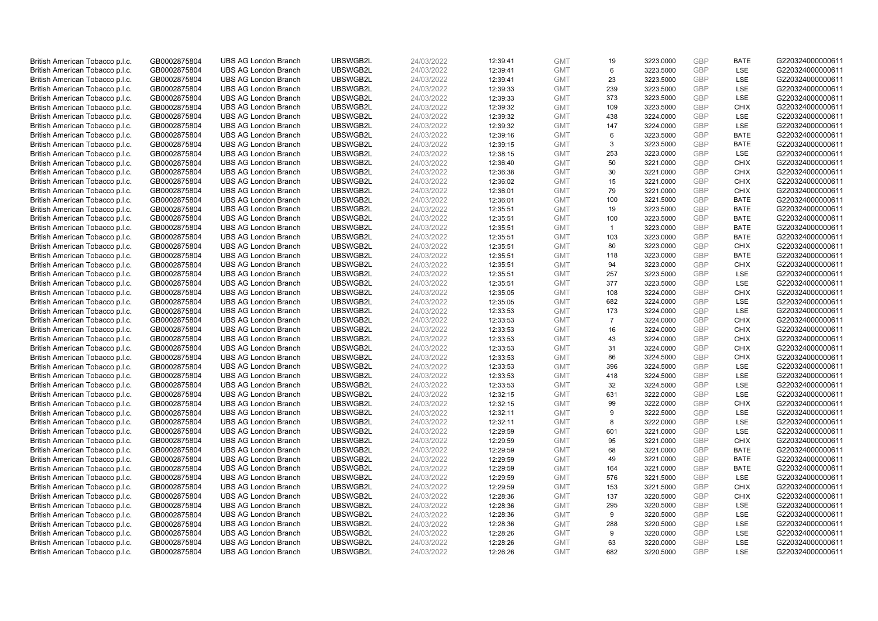| British American Tobacco p.l.c. | GB0002875804 | <b>UBS AG London Branch</b> | UBSWGB2L | 24/03/2022 | 12:39:41 | <b>GMT</b>               | 19             | 3223.0000 | <b>GBP</b> | <b>BATE</b>       | G220324000000611 |
|---------------------------------|--------------|-----------------------------|----------|------------|----------|--------------------------|----------------|-----------|------------|-------------------|------------------|
| British American Tobacco p.l.c. | GB0002875804 | <b>UBS AG London Branch</b> | UBSWGB2L | 24/03/2022 | 12:39:41 | <b>GMT</b>               | 6              | 3223.5000 | GBP        | LSE               | G220324000000611 |
| British American Tobacco p.l.c. | GB0002875804 | <b>UBS AG London Branch</b> | UBSWGB2L | 24/03/2022 | 12:39:41 | <b>GMT</b>               | 23             | 3223.5000 | <b>GBP</b> | LSE               | G220324000000611 |
| British American Tobacco p.l.c. | GB0002875804 | <b>UBS AG London Branch</b> | UBSWGB2L | 24/03/2022 | 12:39:33 | <b>GMT</b>               | 239            | 3223.5000 | <b>GBP</b> | LSE               | G220324000000611 |
| British American Tobacco p.l.c. | GB0002875804 | <b>UBS AG London Branch</b> | UBSWGB2L | 24/03/2022 | 12:39:33 | <b>GMT</b>               | 373            | 3223.5000 | <b>GBP</b> | <b>LSE</b>        | G220324000000611 |
| British American Tobacco p.l.c. | GB0002875804 | <b>UBS AG London Branch</b> | UBSWGB2L | 24/03/2022 | 12:39:32 | <b>GMT</b>               | 109            | 3223.5000 | <b>GBP</b> | <b>CHIX</b>       | G220324000000611 |
| British American Tobacco p.l.c. | GB0002875804 | <b>UBS AG London Branch</b> | UBSWGB2L | 24/03/2022 | 12:39:32 | <b>GMT</b>               | 438            | 3224.0000 | <b>GBP</b> | LSE               | G220324000000611 |
| British American Tobacco p.l.c. | GB0002875804 | <b>UBS AG London Branch</b> | UBSWGB2L | 24/03/2022 | 12:39:32 | <b>GMT</b>               | 147            | 3224.0000 | <b>GBP</b> | LSE               | G220324000000611 |
| British American Tobacco p.l.c. | GB0002875804 | <b>UBS AG London Branch</b> | UBSWGB2L | 24/03/2022 | 12:39:16 | <b>GMT</b>               | 6              | 3223.5000 | <b>GBP</b> | <b>BATE</b>       | G220324000000611 |
| British American Tobacco p.l.c. | GB0002875804 | <b>UBS AG London Branch</b> | UBSWGB2L | 24/03/2022 | 12:39:15 | <b>GMT</b>               | 3              | 3223.5000 | <b>GBP</b> | <b>BATE</b>       | G220324000000611 |
| British American Tobacco p.l.c. | GB0002875804 | <b>UBS AG London Branch</b> | UBSWGB2L | 24/03/2022 | 12:38:15 | <b>GMT</b>               | 253            | 3223.0000 | GBP        | LSE               | G220324000000611 |
| British American Tobacco p.l.c. | GB0002875804 | <b>UBS AG London Branch</b> | UBSWGB2L | 24/03/2022 | 12:36:40 | <b>GMT</b>               | 50             | 3221.0000 | <b>GBP</b> | <b>CHIX</b>       | G220324000000611 |
| British American Tobacco p.l.c. | GB0002875804 | <b>UBS AG London Branch</b> | UBSWGB2L | 24/03/2022 | 12:36:38 | <b>GMT</b>               | 30             | 3221.0000 | <b>GBP</b> | <b>CHIX</b>       | G220324000000611 |
| British American Tobacco p.l.c. | GB0002875804 | <b>UBS AG London Branch</b> | UBSWGB2L | 24/03/2022 | 12:36:02 | <b>GMT</b>               | 15             | 3221.0000 | <b>GBP</b> | <b>CHIX</b>       | G220324000000611 |
| British American Tobacco p.l.c. | GB0002875804 | <b>UBS AG London Branch</b> | UBSWGB2L | 24/03/2022 | 12:36:01 | <b>GMT</b>               | 79             | 3221.0000 | <b>GBP</b> | <b>CHIX</b>       | G220324000000611 |
| British American Tobacco p.l.c. | GB0002875804 | <b>UBS AG London Branch</b> | UBSWGB2L | 24/03/2022 | 12:36:01 | <b>GMT</b>               | 100            | 3221.5000 | <b>GBP</b> | <b>BATE</b>       | G220324000000611 |
| British American Tobacco p.l.c. | GB0002875804 | <b>UBS AG London Branch</b> | UBSWGB2L | 24/03/2022 | 12:35:51 | <b>GMT</b>               | 19             | 3223.5000 | <b>GBP</b> | <b>BATE</b>       | G220324000000611 |
| British American Tobacco p.l.c. | GB0002875804 | <b>UBS AG London Branch</b> | UBSWGB2L | 24/03/2022 | 12:35:51 | <b>GMT</b>               | 100            | 3223.5000 | GBP        | <b>BATE</b>       | G220324000000611 |
| British American Tobacco p.l.c. | GB0002875804 | <b>UBS AG London Branch</b> | UBSWGB2L | 24/03/2022 | 12:35:51 | <b>GMT</b>               | $\overline{1}$ | 3223.0000 | GBP        | <b>BATE</b>       | G220324000000611 |
| British American Tobacco p.l.c. | GB0002875804 | <b>UBS AG London Branch</b> | UBSWGB2L | 24/03/2022 | 12:35:51 | <b>GMT</b>               | 103            | 3223.0000 | <b>GBP</b> | <b>BATE</b>       | G220324000000611 |
| British American Tobacco p.l.c. | GB0002875804 | <b>UBS AG London Branch</b> | UBSWGB2L | 24/03/2022 | 12:35:51 | <b>GMT</b>               | 80             | 3223.0000 | <b>GBP</b> | <b>CHIX</b>       | G220324000000611 |
| British American Tobacco p.l.c. | GB0002875804 | <b>UBS AG London Branch</b> | UBSWGB2L | 24/03/2022 | 12:35:51 | <b>GMT</b>               | 118            | 3223.0000 | GBP        | <b>BATE</b>       | G220324000000611 |
| British American Tobacco p.l.c. | GB0002875804 | <b>UBS AG London Branch</b> | UBSWGB2L | 24/03/2022 | 12:35:51 | <b>GMT</b>               | 94             | 3223.0000 | GBP        | <b>CHIX</b>       | G220324000000611 |
| British American Tobacco p.l.c. | GB0002875804 | <b>UBS AG London Branch</b> | UBSWGB2L | 24/03/2022 | 12:35:51 | <b>GMT</b>               | 257            | 3223.5000 | <b>GBP</b> | LSE               | G220324000000611 |
| British American Tobacco p.l.c. | GB0002875804 | <b>UBS AG London Branch</b> | UBSWGB2L | 24/03/2022 | 12:35:51 | <b>GMT</b>               | 377            | 3223.5000 | GBP        | LSE               | G220324000000611 |
| British American Tobacco p.l.c. | GB0002875804 | <b>UBS AG London Branch</b> | UBSWGB2L | 24/03/2022 | 12:35:05 | <b>GMT</b>               | 108            | 3224.0000 | <b>GBP</b> | <b>CHIX</b>       | G220324000000611 |
| British American Tobacco p.l.c. | GB0002875804 | <b>UBS AG London Branch</b> | UBSWGB2L | 24/03/2022 | 12:35:05 | <b>GMT</b>               | 682            | 3224.0000 | GBP        | LSE               | G220324000000611 |
| British American Tobacco p.l.c. | GB0002875804 | <b>UBS AG London Branch</b> | UBSWGB2L | 24/03/2022 | 12:33:53 | <b>GMT</b>               | 173            | 3224.0000 | <b>GBP</b> | LSE               | G220324000000611 |
| British American Tobacco p.l.c. | GB0002875804 | <b>UBS AG London Branch</b> | UBSWGB2L | 24/03/2022 | 12:33:53 | <b>GMT</b>               | $\overline{7}$ | 3224.0000 | GBP        | <b>CHIX</b>       | G220324000000611 |
| British American Tobacco p.l.c. | GB0002875804 | <b>UBS AG London Branch</b> | UBSWGB2L | 24/03/2022 | 12:33:53 | <b>GMT</b>               | 16             | 3224.0000 | GBP        | <b>CHIX</b>       | G220324000000611 |
| British American Tobacco p.l.c. | GB0002875804 | <b>UBS AG London Branch</b> | UBSWGB2L | 24/03/2022 | 12:33:53 | <b>GMT</b>               | 43             | 3224.0000 | <b>GBP</b> | <b>CHIX</b>       | G220324000000611 |
| British American Tobacco p.l.c. | GB0002875804 | <b>UBS AG London Branch</b> | UBSWGB2L | 24/03/2022 | 12:33:53 | <b>GMT</b>               | 31             | 3224.0000 | GBP        | <b>CHIX</b>       | G220324000000611 |
| British American Tobacco p.l.c. | GB0002875804 | <b>UBS AG London Branch</b> | UBSWGB2L | 24/03/2022 | 12:33:53 | <b>GMT</b>               | 86             | 3224.5000 | GBP        | <b>CHIX</b>       | G220324000000611 |
| British American Tobacco p.l.c. | GB0002875804 | <b>UBS AG London Branch</b> | UBSWGB2L | 24/03/2022 | 12:33:53 | <b>GMT</b>               | 396            | 3224.5000 | <b>GBP</b> | <b>LSE</b>        | G220324000000611 |
| British American Tobacco p.l.c. | GB0002875804 | <b>UBS AG London Branch</b> | UBSWGB2L | 24/03/2022 | 12:33:53 | <b>GMT</b>               | 418            | 3224.5000 | <b>GBP</b> | LSE               | G220324000000611 |
| British American Tobacco p.l.c. | GB0002875804 | <b>UBS AG London Branch</b> | UBSWGB2L | 24/03/2022 | 12:33:53 | <b>GMT</b>               | 32             | 3224.5000 | GBP        | LSE               | G220324000000611 |
| British American Tobacco p.l.c. | GB0002875804 | <b>UBS AG London Branch</b> | UBSWGB2L | 24/03/2022 | 12:32:15 | <b>GMT</b>               | 631            | 3222.0000 | GBP        | LSE               | G220324000000611 |
| British American Tobacco p.l.c. | GB0002875804 | <b>UBS AG London Branch</b> | UBSWGB2L | 24/03/2022 | 12:32:15 | <b>GMT</b>               | 99             | 3222.0000 | <b>GBP</b> | <b>CHIX</b>       | G220324000000611 |
| British American Tobacco p.l.c. | GB0002875804 | <b>UBS AG London Branch</b> | UBSWGB2L | 24/03/2022 | 12:32:11 | <b>GMT</b>               | 9              | 3222.5000 | <b>GBP</b> | <b>LSE</b>        | G220324000000611 |
| British American Tobacco p.l.c. | GB0002875804 | <b>UBS AG London Branch</b> | UBSWGB2L | 24/03/2022 | 12:32:11 | <b>GMT</b>               | 8              | 3222.0000 | <b>GBP</b> | LSE               | G220324000000611 |
| British American Tobacco p.l.c. | GB0002875804 | <b>UBS AG London Branch</b> | UBSWGB2L | 24/03/2022 | 12:29:59 | <b>GMT</b>               | 601            | 3221.0000 | <b>GBP</b> | LSE               | G220324000000611 |
| British American Tobacco p.l.c. | GB0002875804 | <b>UBS AG London Branch</b> | UBSWGB2L | 24/03/2022 | 12:29:59 | <b>GMT</b>               | 95             | 3221.0000 | GBP        | <b>CHIX</b>       | G220324000000611 |
| British American Tobacco p.l.c. | GB0002875804 | <b>UBS AG London Branch</b> | UBSWGB2L | 24/03/2022 | 12:29:59 | <b>GMT</b>               | 68             | 3221.0000 | <b>GBP</b> | <b>BATE</b>       | G220324000000611 |
| British American Tobacco p.l.c. | GB0002875804 | <b>UBS AG London Branch</b> | UBSWGB2L | 24/03/2022 | 12:29:59 | <b>GMT</b>               | 49             | 3221.0000 | GBP        | <b>BATE</b>       | G220324000000611 |
| British American Tobacco p.l.c. | GB0002875804 | <b>UBS AG London Branch</b> | UBSWGB2L | 24/03/2022 | 12:29:59 | <b>GMT</b>               | 164            | 3221.0000 | <b>GBP</b> | <b>BATE</b>       | G220324000000611 |
| British American Tobacco p.l.c. | GB0002875804 | <b>UBS AG London Branch</b> | UBSWGB2L | 24/03/2022 | 12:29:59 | <b>GMT</b>               | 576            | 3221.5000 | GBP        | LSE               | G220324000000611 |
| British American Tobacco p.l.c. | GB0002875804 | <b>UBS AG London Branch</b> | UBSWGB2L | 24/03/2022 | 12:29:59 | <b>GMT</b>               | 153            | 3221.5000 | <b>GBP</b> | <b>CHIX</b>       | G220324000000611 |
| British American Tobacco p.l.c. | GB0002875804 | <b>UBS AG London Branch</b> | UBSWGB2L | 24/03/2022 | 12:28:36 | <b>GMT</b>               | 137            | 3220.5000 | <b>GBP</b> | <b>CHIX</b>       | G220324000000611 |
| British American Tobacco p.l.c. | GB0002875804 | <b>UBS AG London Branch</b> | UBSWGB2L | 24/03/2022 | 12:28:36 | <b>GMT</b>               | 295            | 3220.5000 | <b>GBP</b> | LSE               | G220324000000611 |
| British American Tobacco p.l.c. | GB0002875804 | <b>UBS AG London Branch</b> | UBSWGB2L | 24/03/2022 | 12:28:36 | <b>GMT</b>               | 9              | 3220.5000 | <b>GBP</b> | LSE               | G220324000000611 |
| British American Tobacco p.l.c. | GB0002875804 | <b>UBS AG London Branch</b> | UBSWGB2L | 24/03/2022 | 12:28:36 | <b>GMT</b>               | 288            | 3220.5000 | <b>GBP</b> | LSE               | G220324000000611 |
| British American Tobacco p.l.c. | GB0002875804 | <b>UBS AG London Branch</b> | UBSWGB2L | 24/03/2022 | 12:28:26 | <b>GMT</b>               | 9              | 3220.0000 | <b>GBP</b> | LSE               | G220324000000611 |
| British American Tobacco p.l.c. | GB0002875804 | <b>UBS AG London Branch</b> | UBSWGB2L | 24/03/2022 | 12:28:26 | <b>GMT</b><br><b>GMT</b> | 63<br>682      | 3220.0000 | GBP<br>GBP | LSE<br><b>LSE</b> | G220324000000611 |
| British American Tobacco p.l.c. | GB0002875804 | <b>UBS AG London Branch</b> | UBSWGB2L | 24/03/2022 | 12:26:26 |                          |                | 3220.5000 |            |                   | G220324000000611 |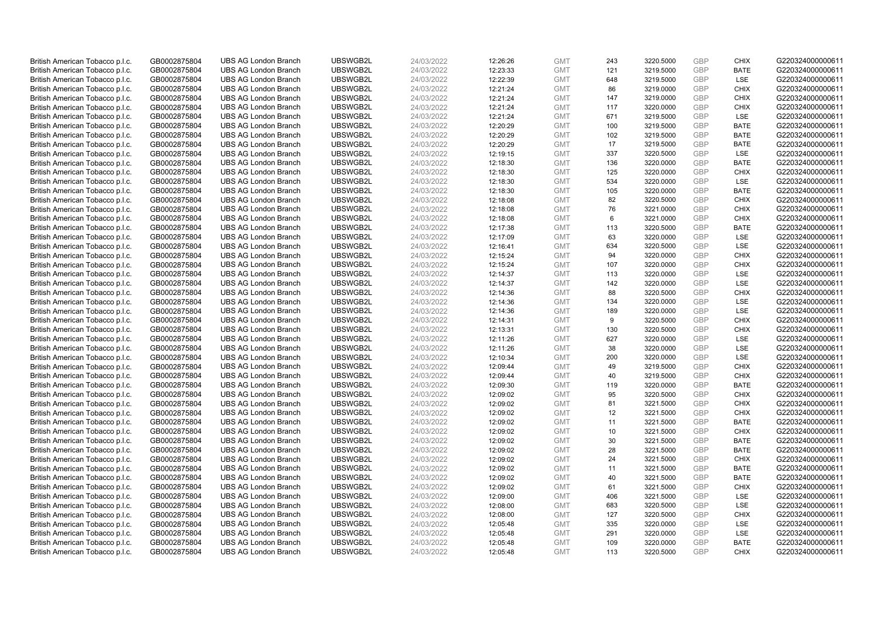| British American Tobacco p.l.c. | GB0002875804 | <b>UBS AG London Branch</b> | UBSWGB2L | 24/03/2022 | 12:26:26 | <b>GMT</b> | 243 | 3220.5000 | GBP        | <b>CHIX</b> | G220324000000611 |
|---------------------------------|--------------|-----------------------------|----------|------------|----------|------------|-----|-----------|------------|-------------|------------------|
| British American Tobacco p.l.c. | GB0002875804 | <b>UBS AG London Branch</b> | UBSWGB2L | 24/03/2022 | 12:23:33 | <b>GMT</b> | 121 | 3219.5000 | GBP        | <b>BATE</b> | G220324000000611 |
| British American Tobacco p.l.c. | GB0002875804 | <b>UBS AG London Branch</b> | UBSWGB2L | 24/03/2022 | 12:22:39 | <b>GMT</b> | 648 | 3219.5000 | GBP        | LSE         | G220324000000611 |
| British American Tobacco p.l.c. | GB0002875804 | <b>UBS AG London Branch</b> | UBSWGB2L | 24/03/2022 | 12:21:24 | <b>GMT</b> | 86  | 3219.0000 | GBP        | <b>CHIX</b> | G220324000000611 |
| British American Tobacco p.l.c. | GB0002875804 | <b>UBS AG London Branch</b> | UBSWGB2L | 24/03/2022 | 12:21:24 | <b>GMT</b> | 147 | 3219.0000 | GBP        | <b>CHIX</b> | G220324000000611 |
| British American Tobacco p.l.c. | GB0002875804 | <b>UBS AG London Branch</b> | UBSWGB2L | 24/03/2022 | 12:21:24 | <b>GMT</b> | 117 | 3220.0000 | GBP        | <b>CHIX</b> | G220324000000611 |
| British American Tobacco p.l.c. | GB0002875804 | <b>UBS AG London Branch</b> | UBSWGB2L | 24/03/2022 | 12:21:24 | <b>GMT</b> | 671 | 3219.5000 | GBP        | LSE         | G220324000000611 |
| British American Tobacco p.l.c. | GB0002875804 | <b>UBS AG London Branch</b> | UBSWGB2L | 24/03/2022 | 12:20:29 | <b>GMT</b> | 100 | 3219.5000 | GBP        | <b>BATE</b> | G220324000000611 |
| British American Tobacco p.l.c. | GB0002875804 | <b>UBS AG London Branch</b> | UBSWGB2L | 24/03/2022 | 12:20:29 | <b>GMT</b> | 102 | 3219.5000 | GBP        | <b>BATE</b> | G220324000000611 |
| British American Tobacco p.l.c. | GB0002875804 | <b>UBS AG London Branch</b> | UBSWGB2L | 24/03/2022 | 12:20:29 | <b>GMT</b> | 17  | 3219.5000 | <b>GBP</b> | <b>BATE</b> | G220324000000611 |
| British American Tobacco p.l.c. | GB0002875804 | <b>UBS AG London Branch</b> | UBSWGB2L | 24/03/2022 | 12:19:15 | <b>GMT</b> | 337 | 3220.5000 | GBP        | LSE         | G220324000000611 |
| British American Tobacco p.l.c. | GB0002875804 | <b>UBS AG London Branch</b> | UBSWGB2L | 24/03/2022 | 12:18:30 | <b>GMT</b> | 136 | 3220.0000 | GBP        | <b>BATE</b> | G220324000000611 |
| British American Tobacco p.l.c. | GB0002875804 | <b>UBS AG London Branch</b> | UBSWGB2L | 24/03/2022 | 12:18:30 | <b>GMT</b> | 125 | 3220.0000 | GBP        | <b>CHIX</b> | G220324000000611 |
| British American Tobacco p.l.c. | GB0002875804 | <b>UBS AG London Branch</b> | UBSWGB2L | 24/03/2022 | 12:18:30 | <b>GMT</b> | 534 | 3220.0000 | GBP        | LSE         | G220324000000611 |
| British American Tobacco p.l.c. | GB0002875804 | <b>UBS AG London Branch</b> | UBSWGB2L | 24/03/2022 | 12:18:30 | <b>GMT</b> | 105 | 3220.0000 | GBP        | <b>BATE</b> | G220324000000611 |
| British American Tobacco p.l.c. | GB0002875804 | <b>UBS AG London Branch</b> | UBSWGB2L | 24/03/2022 | 12:18:08 | <b>GMT</b> | 82  | 3220.5000 | GBP        | <b>CHIX</b> | G220324000000611 |
| British American Tobacco p.l.c. | GB0002875804 | <b>UBS AG London Branch</b> | UBSWGB2L | 24/03/2022 | 12:18:08 | <b>GMT</b> | 76  | 3221.0000 | GBP        | <b>CHIX</b> | G220324000000611 |
| British American Tobacco p.l.c. | GB0002875804 | <b>UBS AG London Branch</b> | UBSWGB2L | 24/03/2022 | 12:18:08 | <b>GMT</b> | 6   | 3221.0000 | GBP        | <b>CHIX</b> | G220324000000611 |
| British American Tobacco p.l.c. | GB0002875804 | <b>UBS AG London Branch</b> | UBSWGB2L | 24/03/2022 | 12:17:38 | <b>GMT</b> | 113 | 3220.5000 | GBP        | <b>BATE</b> | G220324000000611 |
| British American Tobacco p.l.c. | GB0002875804 | <b>UBS AG London Branch</b> | UBSWGB2L | 24/03/2022 | 12:17:09 | <b>GMT</b> | 63  | 3220.0000 | GBP        | LSE         | G220324000000611 |
| British American Tobacco p.l.c. | GB0002875804 | <b>UBS AG London Branch</b> | UBSWGB2L | 24/03/2022 | 12:16:41 | <b>GMT</b> | 634 | 3220.5000 | GBP        | LSE         | G220324000000611 |
| British American Tobacco p.l.c. | GB0002875804 | <b>UBS AG London Branch</b> | UBSWGB2L | 24/03/2022 | 12:15:24 | <b>GMT</b> | 94  | 3220.0000 | GBP        | <b>CHIX</b> | G220324000000611 |
| British American Tobacco p.l.c. | GB0002875804 | <b>UBS AG London Branch</b> | UBSWGB2L | 24/03/2022 | 12:15:24 | <b>GMT</b> | 107 | 3220.0000 | GBP        | <b>CHIX</b> | G220324000000611 |
| British American Tobacco p.l.c. | GB0002875804 | <b>UBS AG London Branch</b> | UBSWGB2L | 24/03/2022 | 12:14:37 | <b>GMT</b> | 113 | 3220.0000 | GBP        | LSE         | G220324000000611 |
| British American Tobacco p.l.c. | GB0002875804 | <b>UBS AG London Branch</b> | UBSWGB2L | 24/03/2022 | 12:14:37 | <b>GMT</b> | 142 | 3220.0000 | <b>GBP</b> | <b>LSE</b>  | G220324000000611 |
| British American Tobacco p.l.c. | GB0002875804 | <b>UBS AG London Branch</b> | UBSWGB2L | 24/03/2022 | 12:14:36 | <b>GMT</b> | 88  | 3220.5000 | GBP        | <b>CHIX</b> | G220324000000611 |
| British American Tobacco p.l.c. | GB0002875804 | <b>UBS AG London Branch</b> | UBSWGB2L | 24/03/2022 | 12:14:36 | <b>GMT</b> | 134 | 3220.0000 | GBP        | <b>LSE</b>  | G220324000000611 |
| British American Tobacco p.l.c. | GB0002875804 | <b>UBS AG London Branch</b> | UBSWGB2L | 24/03/2022 | 12:14:36 | <b>GMT</b> | 189 | 3220.0000 | GBP        | LSE         | G220324000000611 |
| British American Tobacco p.l.c. | GB0002875804 | <b>UBS AG London Branch</b> | UBSWGB2L | 24/03/2022 | 12:14:31 | <b>GMT</b> | 9   | 3220.5000 | GBP        | <b>CHIX</b> | G220324000000611 |
| British American Tobacco p.l.c. | GB0002875804 | <b>UBS AG London Branch</b> | UBSWGB2L | 24/03/2022 | 12:13:31 | <b>GMT</b> | 130 | 3220.5000 | GBP        | <b>CHIX</b> | G220324000000611 |
| British American Tobacco p.l.c. | GB0002875804 | <b>UBS AG London Branch</b> | UBSWGB2L | 24/03/2022 | 12:11:26 | <b>GMT</b> | 627 | 3220.0000 | GBP        | LSE         | G220324000000611 |
| British American Tobacco p.l.c. | GB0002875804 | <b>UBS AG London Branch</b> | UBSWGB2L | 24/03/2022 | 12:11:26 | <b>GMT</b> | 38  | 3220.0000 | GBP        | <b>LSE</b>  | G220324000000611 |
| British American Tobacco p.l.c. | GB0002875804 | <b>UBS AG London Branch</b> | UBSWGB2L | 24/03/2022 | 12:10:34 | <b>GMT</b> | 200 | 3220.0000 | GBP        | <b>LSE</b>  | G220324000000611 |
| British American Tobacco p.l.c. | GB0002875804 | <b>UBS AG London Branch</b> | UBSWGB2L | 24/03/2022 | 12:09:44 | <b>GMT</b> | 49  | 3219.5000 | GBP        | <b>CHIX</b> | G220324000000611 |
| British American Tobacco p.l.c. | GB0002875804 | <b>UBS AG London Branch</b> | UBSWGB2L | 24/03/2022 | 12:09:44 | <b>GMT</b> | 40  | 3219.5000 | GBP        | <b>CHIX</b> | G220324000000611 |
| British American Tobacco p.l.c. | GB0002875804 | <b>UBS AG London Branch</b> | UBSWGB2L | 24/03/2022 | 12:09:30 | <b>GMT</b> | 119 | 3220.0000 | GBP        | <b>BATE</b> | G220324000000611 |
| British American Tobacco p.l.c. | GB0002875804 | <b>UBS AG London Branch</b> | UBSWGB2L | 24/03/2022 | 12:09:02 | <b>GMT</b> | 95  | 3220.5000 | GBP        | <b>CHIX</b> | G220324000000611 |
| British American Tobacco p.l.c. | GB0002875804 | <b>UBS AG London Branch</b> | UBSWGB2L | 24/03/2022 | 12:09:02 | <b>GMT</b> | 81  | 3221.5000 | GBP        | <b>CHIX</b> | G220324000000611 |
| British American Tobacco p.l.c. | GB0002875804 | <b>UBS AG London Branch</b> | UBSWGB2L | 24/03/2022 | 12:09:02 | <b>GMT</b> | 12  | 3221.5000 | GBP        | <b>CHIX</b> | G220324000000611 |
| British American Tobacco p.l.c. | GB0002875804 | <b>UBS AG London Branch</b> | UBSWGB2L | 24/03/2022 | 12:09:02 | <b>GMT</b> | 11  | 3221.5000 | GBP        | <b>BATE</b> | G220324000000611 |
| British American Tobacco p.l.c. | GB0002875804 | <b>UBS AG London Branch</b> | UBSWGB2L | 24/03/2022 | 12:09:02 | <b>GMT</b> | 10  | 3221.5000 | GBP        | <b>CHIX</b> | G220324000000611 |
| British American Tobacco p.l.c. | GB0002875804 | <b>UBS AG London Branch</b> | UBSWGB2L | 24/03/2022 | 12:09:02 | <b>GMT</b> | 30  | 3221.5000 | GBP        | <b>BATE</b> | G220324000000611 |
| British American Tobacco p.l.c. | GB0002875804 | <b>UBS AG London Branch</b> | UBSWGB2L | 24/03/2022 | 12:09:02 | <b>GMT</b> | 28  | 3221.5000 | GBP        | <b>BATE</b> | G220324000000611 |
| British American Tobacco p.l.c. | GB0002875804 | <b>UBS AG London Branch</b> | UBSWGB2L | 24/03/2022 | 12:09:02 | <b>GMT</b> | 24  | 3221.5000 | GBP        | <b>CHIX</b> | G220324000000611 |
| British American Tobacco p.l.c. | GB0002875804 | <b>UBS AG London Branch</b> | UBSWGB2L | 24/03/2022 | 12:09:02 | <b>GMT</b> | 11  | 3221.5000 | GBP        | <b>BATE</b> | G220324000000611 |
| British American Tobacco p.l.c. | GB0002875804 | <b>UBS AG London Branch</b> | UBSWGB2L | 24/03/2022 | 12:09:02 | <b>GMT</b> | 40  | 3221.5000 | GBP        | <b>BATE</b> | G220324000000611 |
| British American Tobacco p.l.c. | GB0002875804 | <b>UBS AG London Branch</b> | UBSWGB2L | 24/03/2022 | 12:09:02 | <b>GMT</b> | 61  | 3221.5000 | GBP        | <b>CHIX</b> | G220324000000611 |
| British American Tobacco p.l.c. | GB0002875804 | <b>UBS AG London Branch</b> | UBSWGB2L | 24/03/2022 | 12:09:00 | <b>GMT</b> | 406 | 3221.5000 | GBP        | LSE         | G220324000000611 |
| British American Tobacco p.l.c. | GB0002875804 | <b>UBS AG London Branch</b> | UBSWGB2L | 24/03/2022 | 12:08:00 | <b>GMT</b> | 683 | 3220.5000 | GBP        | LSE         | G220324000000611 |
| British American Tobacco p.l.c. | GB0002875804 | <b>UBS AG London Branch</b> | UBSWGB2L | 24/03/2022 | 12:08:00 | <b>GMT</b> | 127 | 3220.5000 | GBP        | <b>CHIX</b> | G220324000000611 |
| British American Tobacco p.l.c. | GB0002875804 | <b>UBS AG London Branch</b> | UBSWGB2L | 24/03/2022 | 12:05:48 | <b>GMT</b> | 335 | 3220.0000 | GBP        | LSE         | G220324000000611 |
| British American Tobacco p.l.c. | GB0002875804 | <b>UBS AG London Branch</b> | UBSWGB2L | 24/03/2022 | 12:05:48 | <b>GMT</b> | 291 | 3220.0000 | GBP        | LSE         | G220324000000611 |
| British American Tobacco p.l.c. | GB0002875804 | <b>UBS AG London Branch</b> | UBSWGB2L | 24/03/2022 | 12:05:48 | <b>GMT</b> | 109 | 3220.0000 | GBP        | <b>BATE</b> | G220324000000611 |
| British American Tobacco p.l.c. | GB0002875804 | <b>UBS AG London Branch</b> | UBSWGB2L | 24/03/2022 | 12:05:48 | <b>GMT</b> | 113 | 3220.5000 | GBP        | <b>CHIX</b> | G220324000000611 |